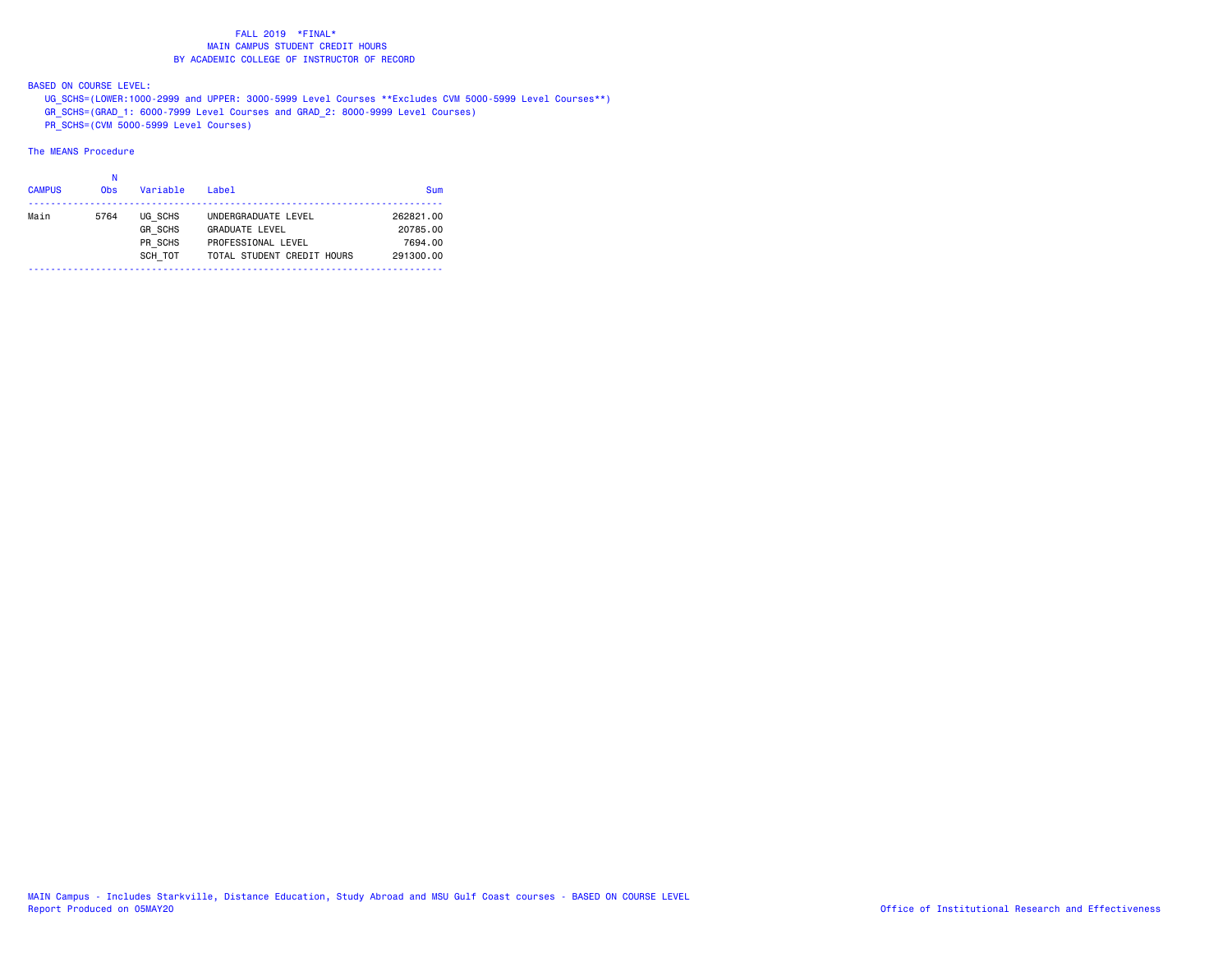BASED ON COURSE LEVEL:

UG\_SCHS=(LOWER:1000-2999 and UPPER: 3000-5999 Level Courses \*\*Excludes CVM 5000-5999 Level Courses\*\*)

- GR\_SCHS=(GRAD\_1: 6000-7999 Level Courses and GRAD\_2: 8000-9999 Level Courses)
- PR\_SCHS=(CVM 5000-5999 Level Courses)

| <b>CAMPUS</b> | Ν<br><b>Obs</b> | Variable       | Label                      | Sum       |
|---------------|-----------------|----------------|----------------------------|-----------|
| Main          | 5764            | UG SCHS        | UNDERGRADUATE LEVEL        | 262821.00 |
|               |                 | <b>GR SCHS</b> | <b>GRADUATE LEVEL</b>      | 20785.00  |
|               |                 | PR SCHS        | PROFESSIONAL LEVEL         | 7694.00   |
|               |                 | SCH TOT        | TOTAL STUDENT CREDIT HOURS | 291300.00 |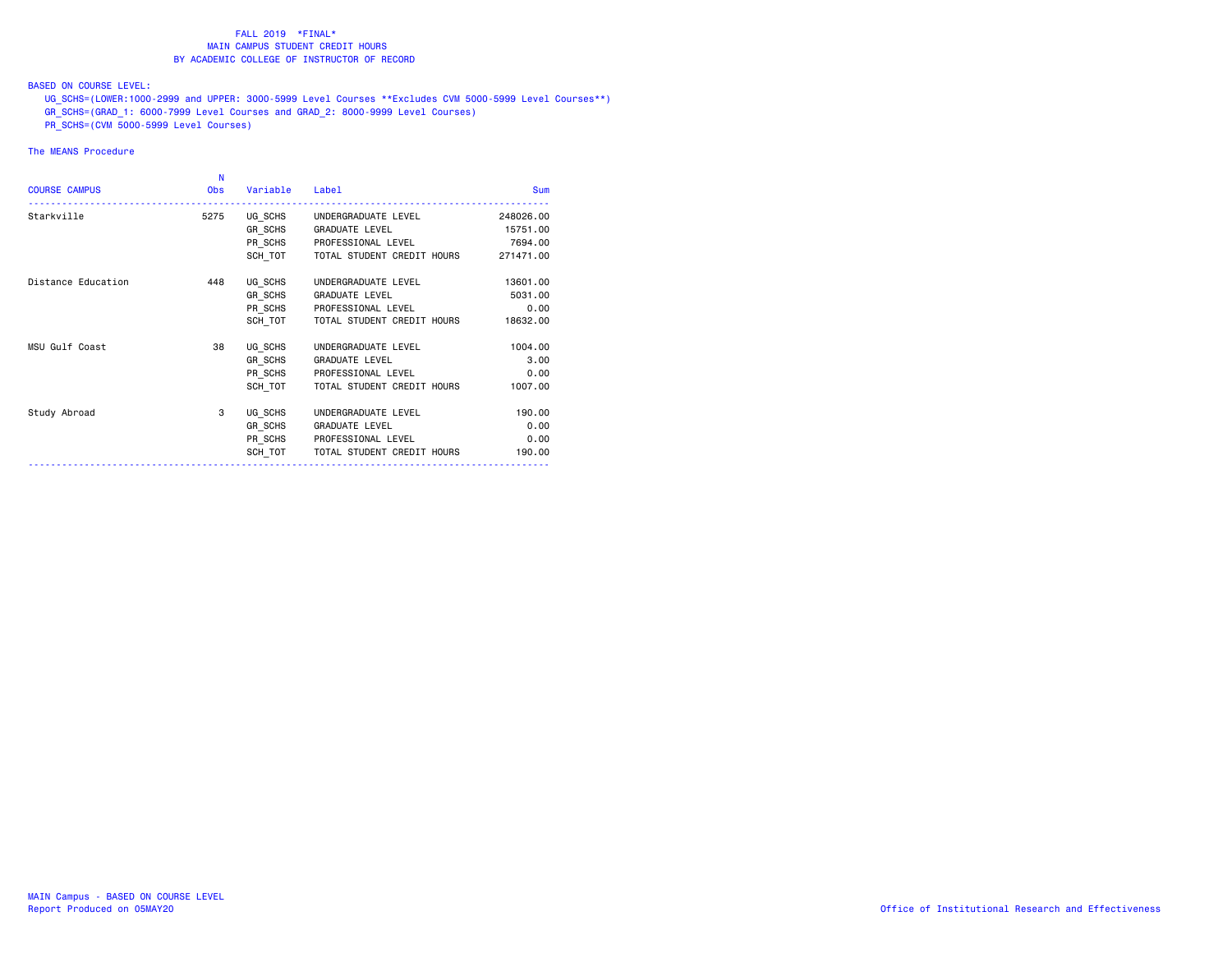BASED ON COURSE LEVEL:

UG\_SCHS=(LOWER:1000-2999 and UPPER: 3000-5999 Level Courses \*\*Excludes CVM 5000-5999 Level Courses\*\*)

- GR\_SCHS=(GRAD\_1: 6000-7999 Level Courses and GRAD\_2: 8000-9999 Level Courses)
- PR\_SCHS=(CVM 5000-5999 Level Courses)

| <b>COURSE CAMPUS</b> | N<br><b>Obs</b> | Variable | Label                              | <b>Sum</b> |
|----------------------|-----------------|----------|------------------------------------|------------|
| Starkville           | 5275            |          | UG SCHS UNDERGRADUATE LEVEL        | 248026.00  |
|                      |                 |          | GR SCHS GRADUATE LEVEL             | 15751.00   |
|                      |                 |          | PR SCHS PROFESSIONAL LEVEL         | 7694.00    |
|                      |                 |          | SCH TOT TOTAL STUDENT CREDIT HOURS | 271471.00  |
| Distance Education   | 448             | UG SCHS  | UNDERGRADUATE LEVEL                | 13601.00   |
|                      |                 | GR SCHS  | <b>GRADUATE LEVEL</b>              | 5031.00    |
|                      |                 |          | PR SCHS PROFESSIONAL LEVEL         | 0.00       |
|                      |                 | SCH TOT  | TOTAL STUDENT CREDIT HOURS         | 18632.00   |
| MSU Gulf Coast       | 38              | UG SCHS  | UNDERGRADUATE LEVEL                | 1004.00    |
|                      |                 | GR SCHS  | <b>GRADUATE LEVEL</b>              | 3.00       |
|                      |                 | PR SCHS  | PROFESSIONAL LEVEL                 | 0.00       |
|                      |                 | SCH TOT  | TOTAL STUDENT CREDIT HOURS         | 1007.00    |
| Study Abroad         | 3               | UG SCHS  | UNDERGRADUATE LEVEL                | 190.00     |
|                      |                 | GR SCHS  | <b>GRADUATE LEVEL</b>              | 0.00       |
|                      |                 |          | PR SCHS PROFESSIONAL LEVEL         | 0.00       |
|                      |                 |          | SCH_TOT TOTAL STUDENT CREDIT HOURS | 190,00     |
|                      |                 |          |                                    |            |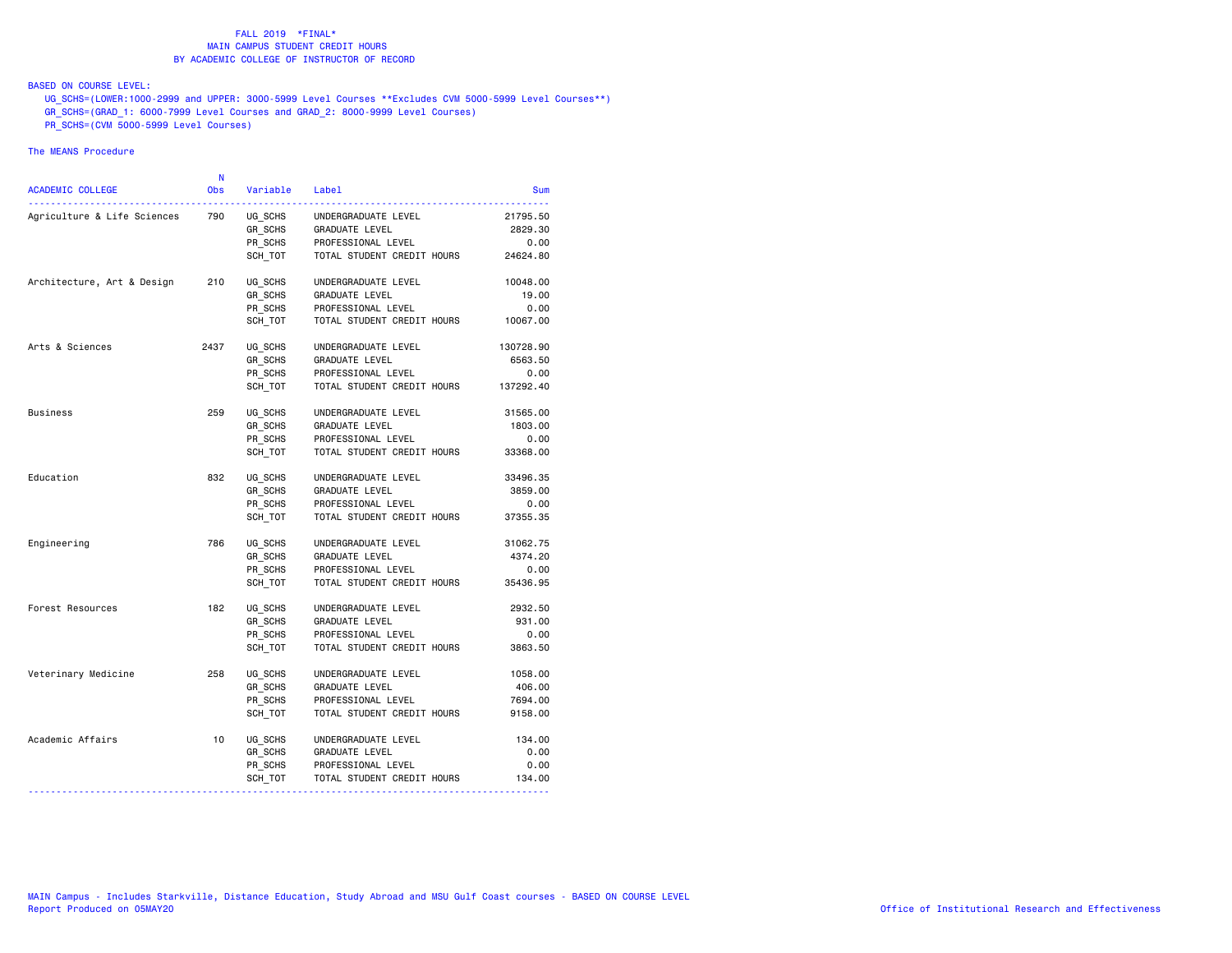## BASED ON COURSE LEVEL:

UG\_SCHS=(LOWER:1000-2999 and UPPER: 3000-5999 Level Courses \*\*Excludes CVM 5000-5999 Level Courses\*\*)

- GR\_SCHS=(GRAD\_1: 6000-7999 Level Courses and GRAD\_2: 8000-9999 Level Courses)
- PR\_SCHS=(CVM 5000-5999 Level Courses)

| 790<br>Agriculture & Life Sciences<br>UG SCHS<br>UNDERGRADUATE LEVEL<br>21795.50<br>GR SCHS<br>GRADUATE LEVEL<br>2829.30<br>PR SCHS<br>PROFESSIONAL LEVEL<br>0.00<br>SCH TOT<br>TOTAL STUDENT CREDIT HOURS<br>24624.80<br>Architecture, Art & Design<br>210<br>UG SCHS<br>UNDERGRADUATE LEVEL<br>10048.00<br>GR_SCHS<br>GRADUATE LEVEL<br>19.00<br>PR SCHS<br>PROFESSIONAL LEVEL<br>0.00<br>SCH TOT<br>TOTAL STUDENT CREDIT HOURS<br>10067.00<br>Arts & Sciences<br>2437<br>UG SCHS<br>UNDERGRADUATE LEVEL<br>130728.90<br>GR SCHS<br>GRADUATE LEVEL<br>6563.50<br>PR SCHS<br>PROFESSIONAL LEVEL<br>0.00<br>TOTAL STUDENT CREDIT HOURS<br>137292.40<br>SCH TOT<br>259<br>Business<br>UG SCHS<br>UNDERGRADUATE LEVEL<br>31565.00<br>GR SCHS<br>GRADUATE LEVEL<br>1803.00<br>PR SCHS<br>PROFESSIONAL LEVEL<br>0.00<br>SCH TOT<br>TOTAL STUDENT CREDIT HOURS<br>33368.00<br>Education<br>832<br>UG SCHS<br>UNDERGRADUATE LEVEL<br>33496.35<br>GR SCHS<br>GRADUATE LEVEL<br>3859.00<br>PR SCHS<br>PROFESSIONAL LEVEL<br>0.00<br>TOTAL STUDENT CREDIT HOURS<br>37355.35<br>SCH TOT<br>786<br>Engineering<br>UG SCHS<br>UNDERGRADUATE LEVEL<br>31062.75<br>GR SCHS<br>GRADUATE LEVEL<br>4374.20<br>PR SCHS<br>PROFESSIONAL LEVEL<br>0.00<br>SCH_TOT<br>TOTAL STUDENT CREDIT HOURS<br>35436.95<br>Forest Resources<br>182<br>UG SCHS<br>UNDERGRADUATE LEVEL<br>2932.50<br>GR SCHS<br>GRADUATE LEVEL<br>931.00<br>PR SCHS<br>PROFESSIONAL LEVEL<br>0.00<br>SCH TOT<br>TOTAL STUDENT CREDIT HOURS<br>3863.50<br>258<br>Veterinary Medicine<br>UG SCHS<br>UNDERGRADUATE LEVEL<br>1058.00<br>GR SCHS<br><b>GRADUATE LEVEL</b><br>406.00<br>PR_SCHS<br>PROFESSIONAL LEVEL<br>7694.00<br>TOTAL STUDENT CREDIT HOURS<br>SCH TOT<br>9158.00<br>Academic Affairs<br>10<br>UG_SCHS<br>134.00<br>UNDERGRADUATE LEVEL<br>GR_SCHS<br>GRADUATE LEVEL<br>0.00<br>PR SCHS<br>PROFESSIONAL LEVEL<br>0.00<br>SCH_TOT<br>TOTAL STUDENT CREDIT HOURS<br>134.00 | ACADEMIC COLLEGE | N<br><b>Obs</b> | Variable | Label | Sum |
|-------------------------------------------------------------------------------------------------------------------------------------------------------------------------------------------------------------------------------------------------------------------------------------------------------------------------------------------------------------------------------------------------------------------------------------------------------------------------------------------------------------------------------------------------------------------------------------------------------------------------------------------------------------------------------------------------------------------------------------------------------------------------------------------------------------------------------------------------------------------------------------------------------------------------------------------------------------------------------------------------------------------------------------------------------------------------------------------------------------------------------------------------------------------------------------------------------------------------------------------------------------------------------------------------------------------------------------------------------------------------------------------------------------------------------------------------------------------------------------------------------------------------------------------------------------------------------------------------------------------------------------------------------------------------------------------------------------------------------------------------------------------------------------------------------------------------------------------------------------------------------------------------------------------------------------|------------------|-----------------|----------|-------|-----|
|                                                                                                                                                                                                                                                                                                                                                                                                                                                                                                                                                                                                                                                                                                                                                                                                                                                                                                                                                                                                                                                                                                                                                                                                                                                                                                                                                                                                                                                                                                                                                                                                                                                                                                                                                                                                                                                                                                                                     |                  |                 |          |       |     |
|                                                                                                                                                                                                                                                                                                                                                                                                                                                                                                                                                                                                                                                                                                                                                                                                                                                                                                                                                                                                                                                                                                                                                                                                                                                                                                                                                                                                                                                                                                                                                                                                                                                                                                                                                                                                                                                                                                                                     |                  |                 |          |       |     |
|                                                                                                                                                                                                                                                                                                                                                                                                                                                                                                                                                                                                                                                                                                                                                                                                                                                                                                                                                                                                                                                                                                                                                                                                                                                                                                                                                                                                                                                                                                                                                                                                                                                                                                                                                                                                                                                                                                                                     |                  |                 |          |       |     |
|                                                                                                                                                                                                                                                                                                                                                                                                                                                                                                                                                                                                                                                                                                                                                                                                                                                                                                                                                                                                                                                                                                                                                                                                                                                                                                                                                                                                                                                                                                                                                                                                                                                                                                                                                                                                                                                                                                                                     |                  |                 |          |       |     |
|                                                                                                                                                                                                                                                                                                                                                                                                                                                                                                                                                                                                                                                                                                                                                                                                                                                                                                                                                                                                                                                                                                                                                                                                                                                                                                                                                                                                                                                                                                                                                                                                                                                                                                                                                                                                                                                                                                                                     |                  |                 |          |       |     |
|                                                                                                                                                                                                                                                                                                                                                                                                                                                                                                                                                                                                                                                                                                                                                                                                                                                                                                                                                                                                                                                                                                                                                                                                                                                                                                                                                                                                                                                                                                                                                                                                                                                                                                                                                                                                                                                                                                                                     |                  |                 |          |       |     |
|                                                                                                                                                                                                                                                                                                                                                                                                                                                                                                                                                                                                                                                                                                                                                                                                                                                                                                                                                                                                                                                                                                                                                                                                                                                                                                                                                                                                                                                                                                                                                                                                                                                                                                                                                                                                                                                                                                                                     |                  |                 |          |       |     |
|                                                                                                                                                                                                                                                                                                                                                                                                                                                                                                                                                                                                                                                                                                                                                                                                                                                                                                                                                                                                                                                                                                                                                                                                                                                                                                                                                                                                                                                                                                                                                                                                                                                                                                                                                                                                                                                                                                                                     |                  |                 |          |       |     |
|                                                                                                                                                                                                                                                                                                                                                                                                                                                                                                                                                                                                                                                                                                                                                                                                                                                                                                                                                                                                                                                                                                                                                                                                                                                                                                                                                                                                                                                                                                                                                                                                                                                                                                                                                                                                                                                                                                                                     |                  |                 |          |       |     |
|                                                                                                                                                                                                                                                                                                                                                                                                                                                                                                                                                                                                                                                                                                                                                                                                                                                                                                                                                                                                                                                                                                                                                                                                                                                                                                                                                                                                                                                                                                                                                                                                                                                                                                                                                                                                                                                                                                                                     |                  |                 |          |       |     |
|                                                                                                                                                                                                                                                                                                                                                                                                                                                                                                                                                                                                                                                                                                                                                                                                                                                                                                                                                                                                                                                                                                                                                                                                                                                                                                                                                                                                                                                                                                                                                                                                                                                                                                                                                                                                                                                                                                                                     |                  |                 |          |       |     |
|                                                                                                                                                                                                                                                                                                                                                                                                                                                                                                                                                                                                                                                                                                                                                                                                                                                                                                                                                                                                                                                                                                                                                                                                                                                                                                                                                                                                                                                                                                                                                                                                                                                                                                                                                                                                                                                                                                                                     |                  |                 |          |       |     |
|                                                                                                                                                                                                                                                                                                                                                                                                                                                                                                                                                                                                                                                                                                                                                                                                                                                                                                                                                                                                                                                                                                                                                                                                                                                                                                                                                                                                                                                                                                                                                                                                                                                                                                                                                                                                                                                                                                                                     |                  |                 |          |       |     |
|                                                                                                                                                                                                                                                                                                                                                                                                                                                                                                                                                                                                                                                                                                                                                                                                                                                                                                                                                                                                                                                                                                                                                                                                                                                                                                                                                                                                                                                                                                                                                                                                                                                                                                                                                                                                                                                                                                                                     |                  |                 |          |       |     |
|                                                                                                                                                                                                                                                                                                                                                                                                                                                                                                                                                                                                                                                                                                                                                                                                                                                                                                                                                                                                                                                                                                                                                                                                                                                                                                                                                                                                                                                                                                                                                                                                                                                                                                                                                                                                                                                                                                                                     |                  |                 |          |       |     |
|                                                                                                                                                                                                                                                                                                                                                                                                                                                                                                                                                                                                                                                                                                                                                                                                                                                                                                                                                                                                                                                                                                                                                                                                                                                                                                                                                                                                                                                                                                                                                                                                                                                                                                                                                                                                                                                                                                                                     |                  |                 |          |       |     |
|                                                                                                                                                                                                                                                                                                                                                                                                                                                                                                                                                                                                                                                                                                                                                                                                                                                                                                                                                                                                                                                                                                                                                                                                                                                                                                                                                                                                                                                                                                                                                                                                                                                                                                                                                                                                                                                                                                                                     |                  |                 |          |       |     |
|                                                                                                                                                                                                                                                                                                                                                                                                                                                                                                                                                                                                                                                                                                                                                                                                                                                                                                                                                                                                                                                                                                                                                                                                                                                                                                                                                                                                                                                                                                                                                                                                                                                                                                                                                                                                                                                                                                                                     |                  |                 |          |       |     |
|                                                                                                                                                                                                                                                                                                                                                                                                                                                                                                                                                                                                                                                                                                                                                                                                                                                                                                                                                                                                                                                                                                                                                                                                                                                                                                                                                                                                                                                                                                                                                                                                                                                                                                                                                                                                                                                                                                                                     |                  |                 |          |       |     |
|                                                                                                                                                                                                                                                                                                                                                                                                                                                                                                                                                                                                                                                                                                                                                                                                                                                                                                                                                                                                                                                                                                                                                                                                                                                                                                                                                                                                                                                                                                                                                                                                                                                                                                                                                                                                                                                                                                                                     |                  |                 |          |       |     |
|                                                                                                                                                                                                                                                                                                                                                                                                                                                                                                                                                                                                                                                                                                                                                                                                                                                                                                                                                                                                                                                                                                                                                                                                                                                                                                                                                                                                                                                                                                                                                                                                                                                                                                                                                                                                                                                                                                                                     |                  |                 |          |       |     |
|                                                                                                                                                                                                                                                                                                                                                                                                                                                                                                                                                                                                                                                                                                                                                                                                                                                                                                                                                                                                                                                                                                                                                                                                                                                                                                                                                                                                                                                                                                                                                                                                                                                                                                                                                                                                                                                                                                                                     |                  |                 |          |       |     |
|                                                                                                                                                                                                                                                                                                                                                                                                                                                                                                                                                                                                                                                                                                                                                                                                                                                                                                                                                                                                                                                                                                                                                                                                                                                                                                                                                                                                                                                                                                                                                                                                                                                                                                                                                                                                                                                                                                                                     |                  |                 |          |       |     |
|                                                                                                                                                                                                                                                                                                                                                                                                                                                                                                                                                                                                                                                                                                                                                                                                                                                                                                                                                                                                                                                                                                                                                                                                                                                                                                                                                                                                                                                                                                                                                                                                                                                                                                                                                                                                                                                                                                                                     |                  |                 |          |       |     |
|                                                                                                                                                                                                                                                                                                                                                                                                                                                                                                                                                                                                                                                                                                                                                                                                                                                                                                                                                                                                                                                                                                                                                                                                                                                                                                                                                                                                                                                                                                                                                                                                                                                                                                                                                                                                                                                                                                                                     |                  |                 |          |       |     |
|                                                                                                                                                                                                                                                                                                                                                                                                                                                                                                                                                                                                                                                                                                                                                                                                                                                                                                                                                                                                                                                                                                                                                                                                                                                                                                                                                                                                                                                                                                                                                                                                                                                                                                                                                                                                                                                                                                                                     |                  |                 |          |       |     |
|                                                                                                                                                                                                                                                                                                                                                                                                                                                                                                                                                                                                                                                                                                                                                                                                                                                                                                                                                                                                                                                                                                                                                                                                                                                                                                                                                                                                                                                                                                                                                                                                                                                                                                                                                                                                                                                                                                                                     |                  |                 |          |       |     |
|                                                                                                                                                                                                                                                                                                                                                                                                                                                                                                                                                                                                                                                                                                                                                                                                                                                                                                                                                                                                                                                                                                                                                                                                                                                                                                                                                                                                                                                                                                                                                                                                                                                                                                                                                                                                                                                                                                                                     |                  |                 |          |       |     |
|                                                                                                                                                                                                                                                                                                                                                                                                                                                                                                                                                                                                                                                                                                                                                                                                                                                                                                                                                                                                                                                                                                                                                                                                                                                                                                                                                                                                                                                                                                                                                                                                                                                                                                                                                                                                                                                                                                                                     |                  |                 |          |       |     |
|                                                                                                                                                                                                                                                                                                                                                                                                                                                                                                                                                                                                                                                                                                                                                                                                                                                                                                                                                                                                                                                                                                                                                                                                                                                                                                                                                                                                                                                                                                                                                                                                                                                                                                                                                                                                                                                                                                                                     |                  |                 |          |       |     |
|                                                                                                                                                                                                                                                                                                                                                                                                                                                                                                                                                                                                                                                                                                                                                                                                                                                                                                                                                                                                                                                                                                                                                                                                                                                                                                                                                                                                                                                                                                                                                                                                                                                                                                                                                                                                                                                                                                                                     |                  |                 |          |       |     |
|                                                                                                                                                                                                                                                                                                                                                                                                                                                                                                                                                                                                                                                                                                                                                                                                                                                                                                                                                                                                                                                                                                                                                                                                                                                                                                                                                                                                                                                                                                                                                                                                                                                                                                                                                                                                                                                                                                                                     |                  |                 |          |       |     |
|                                                                                                                                                                                                                                                                                                                                                                                                                                                                                                                                                                                                                                                                                                                                                                                                                                                                                                                                                                                                                                                                                                                                                                                                                                                                                                                                                                                                                                                                                                                                                                                                                                                                                                                                                                                                                                                                                                                                     |                  |                 |          |       |     |
|                                                                                                                                                                                                                                                                                                                                                                                                                                                                                                                                                                                                                                                                                                                                                                                                                                                                                                                                                                                                                                                                                                                                                                                                                                                                                                                                                                                                                                                                                                                                                                                                                                                                                                                                                                                                                                                                                                                                     |                  |                 |          |       |     |
|                                                                                                                                                                                                                                                                                                                                                                                                                                                                                                                                                                                                                                                                                                                                                                                                                                                                                                                                                                                                                                                                                                                                                                                                                                                                                                                                                                                                                                                                                                                                                                                                                                                                                                                                                                                                                                                                                                                                     |                  |                 |          |       |     |
| ---------------------------                                                                                                                                                                                                                                                                                                                                                                                                                                                                                                                                                                                                                                                                                                                                                                                                                                                                                                                                                                                                                                                                                                                                                                                                                                                                                                                                                                                                                                                                                                                                                                                                                                                                                                                                                                                                                                                                                                         |                  |                 |          |       |     |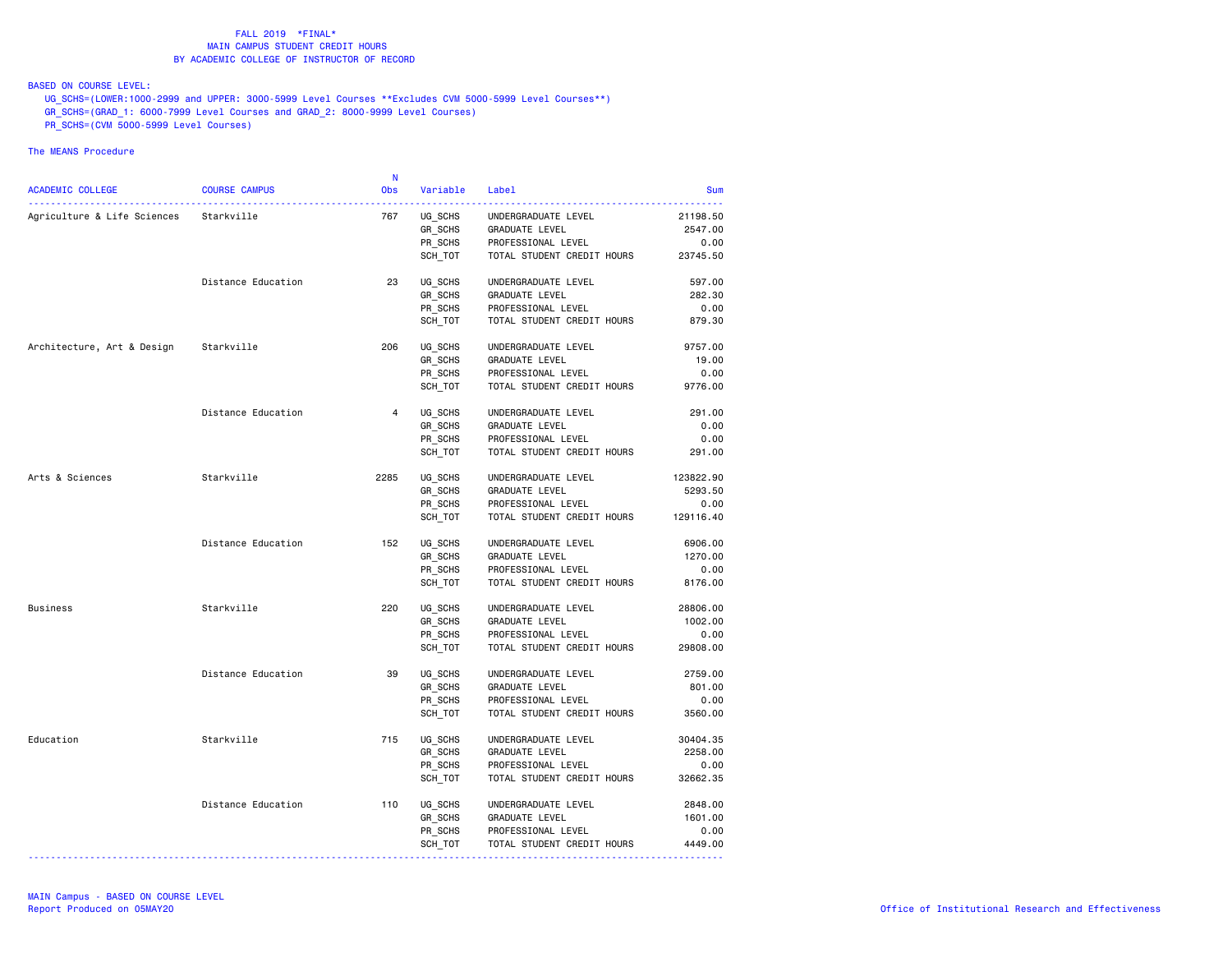BASED ON COURSE LEVEL:

UG\_SCHS=(LOWER:1000-2999 and UPPER: 3000-5999 Level Courses \*\*Excludes CVM 5000-5999 Level Courses\*\*)

- GR\_SCHS=(GRAD\_1: 6000-7999 Level Courses and GRAD\_2: 8000-9999 Level Courses)
- PR\_SCHS=(CVM 5000-5999 Level Courses)

|                                        |                      | - N            |          |                            |            |
|----------------------------------------|----------------------|----------------|----------|----------------------------|------------|
| ACADEMIC COLLEGE                       | <b>COURSE CAMPUS</b> | Obs            | Variable | Label                      | <b>Sum</b> |
| Agriculture & Life Sciences Starkville |                      | 767            | UG SCHS  | UNDERGRADUATE LEVEL        | 21198.50   |
|                                        |                      |                | GR_SCHS  | GRADUATE LEVEL             | 2547.00    |
|                                        |                      |                | PR SCHS  | PROFESSIONAL LEVEL         | 0.00       |
|                                        |                      |                | SCH TOT  | TOTAL STUDENT CREDIT HOURS | 23745.50   |
|                                        | Distance Education   | 23             | UG SCHS  | UNDERGRADUATE LEVEL        | 597.00     |
|                                        |                      |                | GR SCHS  | <b>GRADUATE LEVEL</b>      | 282.30     |
|                                        |                      |                | PR_SCHS  | PROFESSIONAL LEVEL         | 0.00       |
|                                        |                      |                | SCH TOT  | TOTAL STUDENT CREDIT HOURS | 879.30     |
| Architecture, Art & Design             | Starkville           | 206            | UG_SCHS  | UNDERGRADUATE LEVEL        | 9757.00    |
|                                        |                      |                | GR_SCHS  | <b>GRADUATE LEVEL</b>      | 19.00      |
|                                        |                      |                | PR_SCHS  | PROFESSIONAL LEVEL         | 0.00       |
|                                        |                      |                | SCH_TOT  | TOTAL STUDENT CREDIT HOURS | 9776.00    |
|                                        | Distance Education   | $\overline{4}$ | UG SCHS  | UNDERGRADUATE LEVEL        | 291.00     |
|                                        |                      |                | GR SCHS  | <b>GRADUATE LEVEL</b>      | 0.00       |
|                                        |                      |                | PR SCHS  | PROFESSIONAL LEVEL         | 0.00       |
|                                        |                      |                | SCH_TOT  | TOTAL STUDENT CREDIT HOURS | 291.00     |
| Arts & Sciences                        | Starkville           | 2285           | UG SCHS  | UNDERGRADUATE LEVEL        | 123822.90  |
|                                        |                      |                | GR_SCHS  | GRADUATE LEVEL             | 5293.50    |
|                                        |                      |                | PR SCHS  | PROFESSIONAL LEVEL         | 0.00       |
|                                        |                      |                | SCH_TOT  | TOTAL STUDENT CREDIT HOURS | 129116.40  |
|                                        | Distance Education   | 152            | UG SCHS  | UNDERGRADUATE LEVEL        | 6906.00    |
|                                        |                      |                | GR_SCHS  | GRADUATE LEVEL             | 1270.00    |
|                                        |                      |                | PR SCHS  | PROFESSIONAL LEVEL         | 0.00       |
|                                        |                      |                | SCH_TOT  | TOTAL STUDENT CREDIT HOURS | 8176.00    |
| <b>Business</b>                        | Starkville           | 220            | UG SCHS  | UNDERGRADUATE LEVEL        | 28806.00   |
|                                        |                      |                | GR_SCHS  | <b>GRADUATE LEVEL</b>      | 1002.00    |
|                                        |                      |                | PR SCHS  | PROFESSIONAL LEVEL         | 0.00       |
|                                        |                      |                | SCH TOT  | TOTAL STUDENT CREDIT HOURS | 29808.00   |
|                                        | Distance Education   | 39             | UG_SCHS  | UNDERGRADUATE LEVEL        | 2759.00    |
|                                        |                      |                | GR SCHS  | GRADUATE LEVEL             | 801.00     |
|                                        |                      |                | PR_SCHS  | PROFESSIONAL LEVEL         | 0.00       |
|                                        |                      |                | SCH_TOT  | TOTAL STUDENT CREDIT HOURS | 3560.00    |
| Education                              | Starkville           | 715            | UG_SCHS  | UNDERGRADUATE LEVEL        | 30404.35   |
|                                        |                      |                | GR SCHS  | <b>GRADUATE LEVEL</b>      | 2258.00    |
|                                        |                      |                | PR SCHS  | PROFESSIONAL LEVEL         | 0.00       |
|                                        |                      |                | SCH_TOT  | TOTAL STUDENT CREDIT HOURS | 32662.35   |
|                                        | Distance Education   | 110            | UG SCHS  | UNDERGRADUATE LEVEL        | 2848.00    |
|                                        |                      |                | GR_SCHS  | <b>GRADUATE LEVEL</b>      | 1601.00    |
|                                        |                      |                | PR SCHS  | PROFESSIONAL LEVEL         | 0.00       |
|                                        |                      |                | SCH_TOT  | TOTAL STUDENT CREDIT HOURS | 4449.00    |
|                                        |                      |                |          |                            |            |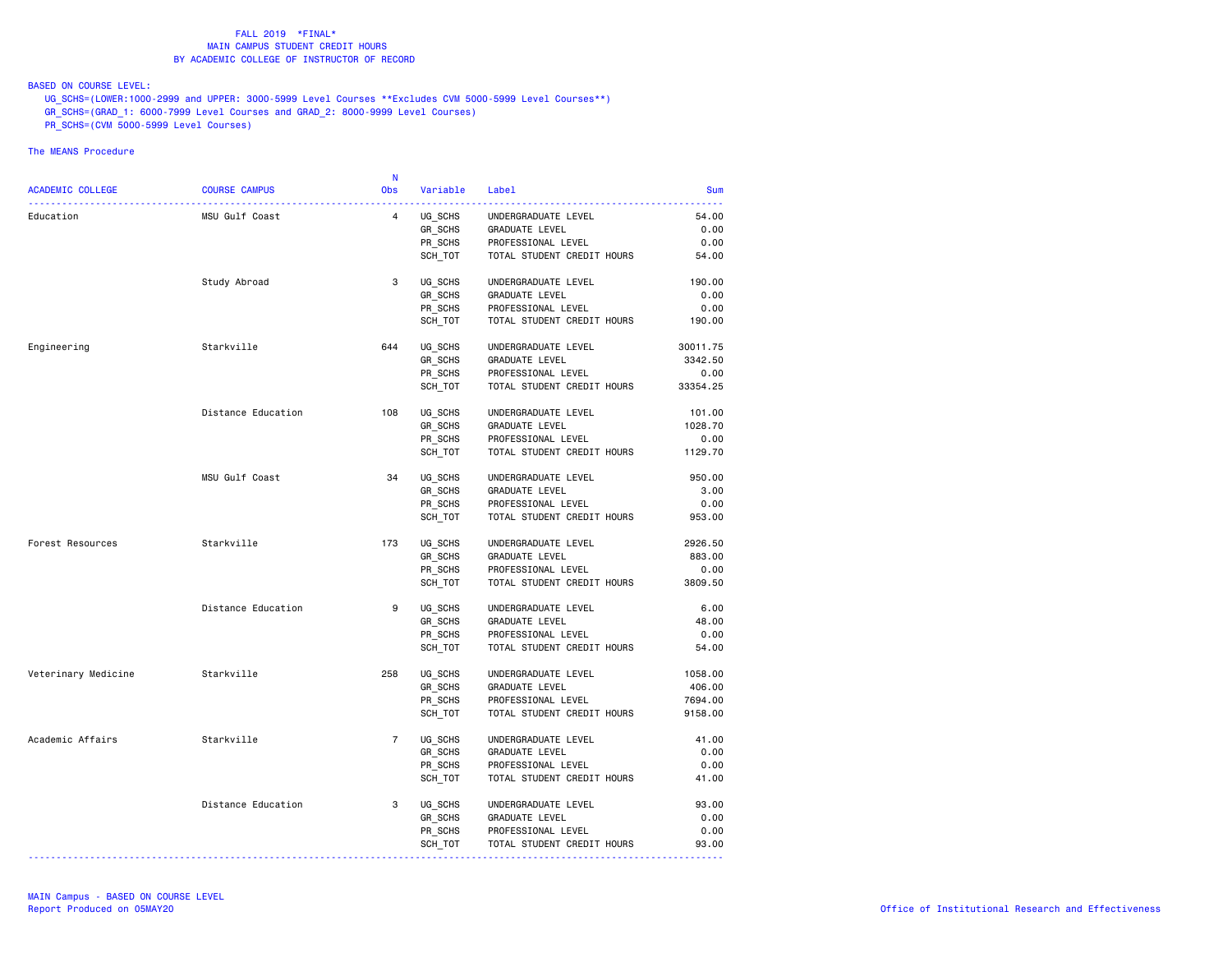BASED ON COURSE LEVEL:

UG\_SCHS=(LOWER:1000-2999 and UPPER: 3000-5999 Level Courses \*\*Excludes CVM 5000-5999 Level Courses\*\*)

- GR\_SCHS=(GRAD\_1: 6000-7999 Level Courses and GRAD\_2: 8000-9999 Level Courses)
- PR\_SCHS=(CVM 5000-5999 Level Courses)

|                                                  |                      | -N             |                    |                                                  |               |
|--------------------------------------------------|----------------------|----------------|--------------------|--------------------------------------------------|---------------|
| ACADEMIC COLLEGE                                 | <b>COURSE CAMPUS</b> | Obs            | Variable           | Label                                            | <b>Sum</b>    |
| -----------------------------------<br>Education | MSU Gulf Coast       | $\overline{4}$ | UG SCHS            | UNDERGRADUATE LEVEL                              | 54.00         |
|                                                  |                      |                | GR_SCHS            | GRADUATE LEVEL                                   | 0.00          |
|                                                  |                      |                | PR SCHS            | PROFESSIONAL LEVEL                               | 0.00          |
|                                                  |                      |                | SCH TOT            | TOTAL STUDENT CREDIT HOURS                       | 54.00         |
|                                                  | Study Abroad         | 3              | UG SCHS            | UNDERGRADUATE LEVEL                              | 190.00        |
|                                                  |                      |                | GR SCHS            | <b>GRADUATE LEVEL</b>                            | 0.00          |
|                                                  |                      |                | PR_SCHS            | PROFESSIONAL LEVEL                               | 0.00          |
|                                                  |                      |                | SCH_TOT            | TOTAL STUDENT CREDIT HOURS                       | 190.00        |
| Engineering                                      | Starkville           | 644            | UG_SCHS            | UNDERGRADUATE LEVEL                              | 30011.75      |
|                                                  |                      |                | GR_SCHS            | <b>GRADUATE LEVEL</b>                            | 3342.50       |
|                                                  |                      |                | PR_SCHS            | PROFESSIONAL LEVEL                               | 0.00          |
|                                                  |                      |                | SCH_TOT            | TOTAL STUDENT CREDIT HOURS                       | 33354.25      |
|                                                  | Distance Education   | 108            | UG_SCHS            | UNDERGRADUATE LEVEL                              | 101.00        |
|                                                  |                      |                | GR SCHS            | <b>GRADUATE LEVEL</b>                            | 1028.70       |
|                                                  |                      |                | PR SCHS            | PROFESSIONAL LEVEL                               | 0.00          |
|                                                  |                      |                | SCH_TOT            | TOTAL STUDENT CREDIT HOURS                       | 1129.70       |
|                                                  | MSU Gulf Coast       | 34             | UG_SCHS            | UNDERGRADUATE LEVEL                              | 950.00        |
|                                                  |                      |                | GR_SCHS            | GRADUATE LEVEL                                   | 3.00          |
|                                                  |                      |                | PR SCHS            | PROFESSIONAL LEVEL                               | 0.00          |
|                                                  |                      |                | SCH_TOT            | TOTAL STUDENT CREDIT HOURS                       | 953.00        |
| Forest Resources                                 | Starkville           | 173            | UG SCHS            | UNDERGRADUATE LEVEL                              | 2926.50       |
|                                                  |                      |                | GR_SCHS            | GRADUATE LEVEL                                   | 883.00        |
|                                                  |                      |                | PR SCHS            | PROFESSIONAL LEVEL                               | 0.00          |
|                                                  |                      |                | SCH_TOT            | TOTAL STUDENT CREDIT HOURS                       | 3809.50       |
|                                                  | Distance Education   | 9              | UG SCHS            | UNDERGRADUATE LEVEL                              | 6.00          |
|                                                  |                      |                | GR_SCHS            | <b>GRADUATE LEVEL</b>                            | 48.00         |
|                                                  |                      |                | PR SCHS            | PROFESSIONAL LEVEL                               | 0.00          |
|                                                  |                      |                | SCH_TOT            | TOTAL STUDENT CREDIT HOURS                       | 54.00         |
| Veterinary Medicine                              | Starkville           | 258            | UG_SCHS            | UNDERGRADUATE LEVEL                              | 1058.00       |
|                                                  |                      |                | GR_SCHS            | GRADUATE LEVEL                                   | 406.00        |
|                                                  |                      |                | PR_SCHS            | PROFESSIONAL LEVEL                               | 7694.00       |
|                                                  |                      |                | SCH_TOT            | TOTAL STUDENT CREDIT HOURS                       | 9158.00       |
| Academic Affairs                                 | Starkville           | $\overline{7}$ | UG_SCHS            | UNDERGRADUATE LEVEL                              | 41.00         |
|                                                  |                      |                | GR SCHS            | <b>GRADUATE LEVEL</b>                            | 0.00          |
|                                                  |                      |                | PR SCHS            | PROFESSIONAL LEVEL                               | 0.00          |
|                                                  |                      |                | SCH_TOT            | TOTAL STUDENT CREDIT HOURS                       | 41.00         |
|                                                  | Distance Education   | 3              | UG SCHS            | UNDERGRADUATE LEVEL                              | 93.00         |
|                                                  |                      |                | GR_SCHS            | <b>GRADUATE LEVEL</b>                            | 0.00          |
|                                                  |                      |                |                    |                                                  |               |
|                                                  |                      |                | PR_SCHS<br>SCH_TOT | PROFESSIONAL LEVEL<br>TOTAL STUDENT CREDIT HOURS | 0.00<br>93.00 |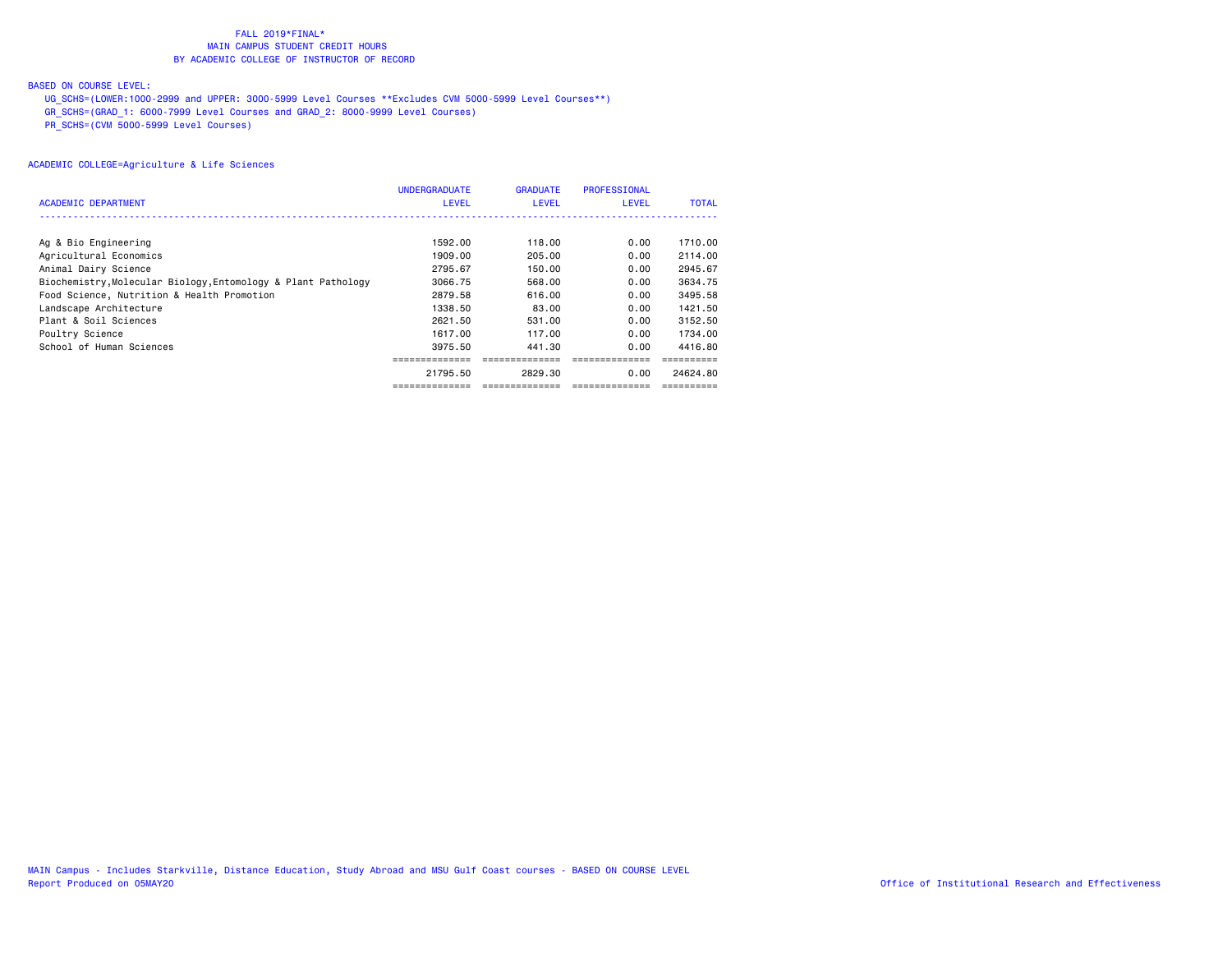## BASED ON COURSE LEVEL:

UG\_SCHS=(LOWER:1000-2999 and UPPER: 3000-5999 Level Courses \*\*Excludes CVM 5000-5999 Level Courses\*\*)

GR\_SCHS=(GRAD\_1: 6000-7999 Level Courses and GRAD\_2: 8000-9999 Level Courses)

PR\_SCHS=(CVM 5000-5999 Level Courses)

|                                                               | <b>UNDERGRADUATE</b> | <b>GRADUATE</b> | <b>PROFESSIONAL</b> |              |
|---------------------------------------------------------------|----------------------|-----------------|---------------------|--------------|
| ACADEMIC DEPARTMENT                                           | <b>LEVEL</b>         | <b>LEVEL</b>    | <b>LEVEL</b>        | <b>TOTAL</b> |
|                                                               |                      |                 |                     |              |
| Ag & Bio Engineering                                          | 1592.00              | 118.00          | 0.00                | 1710.00      |
| Agricultural Economics                                        | 1909.00              | 205,00          | 0.00                | 2114.00      |
| Animal Dairy Science                                          | 2795.67              | 150.00          | 0.00                | 2945.67      |
| Biochemistry, Molecular Biology, Entomology & Plant Pathology | 3066.75              | 568,00          | 0.00                | 3634.75      |
| Food Science, Nutrition & Health Promotion                    | 2879.58              | 616,00          | 0.00                | 3495.58      |
| Landscape Architecture                                        | 1338.50              | 83.00           | 0.00                | 1421.50      |
| Plant & Soil Sciences                                         | 2621.50              | 531.00          | 0.00                | 3152.50      |
| Poultry Science                                               | 1617.00              | 117.00          | 0.00                | 1734.00      |
| School of Human Sciences                                      | 3975.50              | 441.30          | 0.00                | 4416.80      |
|                                                               |                      |                 |                     |              |
|                                                               | 21795.50             | 2829.30         | 0.00                | 24624.80     |
|                                                               | ---------            |                 |                     |              |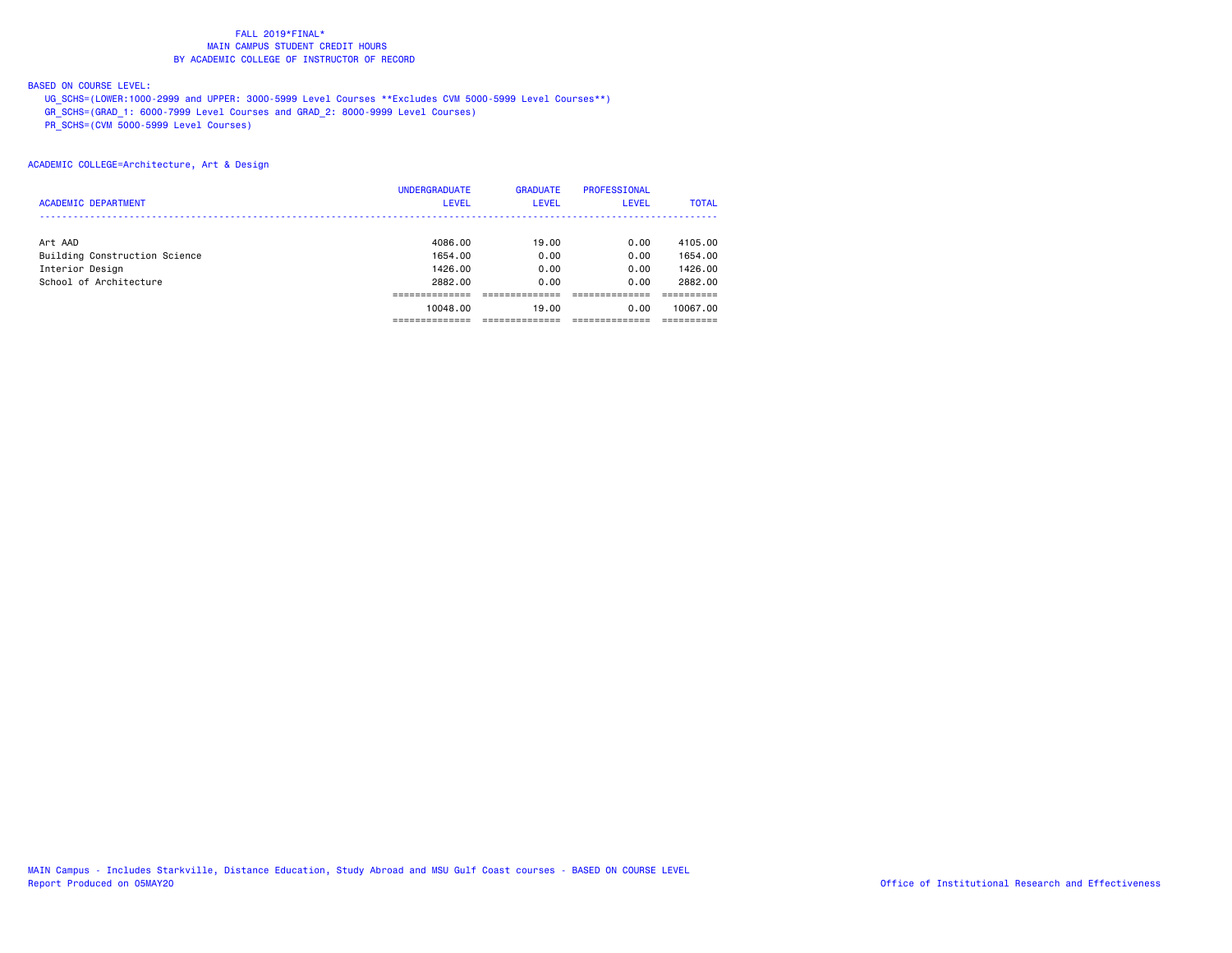## BASED ON COURSE LEVEL:

UG\_SCHS=(LOWER:1000-2999 and UPPER: 3000-5999 Level Courses \*\*Excludes CVM 5000-5999 Level Courses\*\*)

GR\_SCHS=(GRAD\_1: 6000-7999 Level Courses and GRAD\_2: 8000-9999 Level Courses)

PR\_SCHS=(CVM 5000-5999 Level Courses)

### ACADEMIC COLLEGE=Architecture, Art & Design

|                               | <b>UNDERGRADUATE</b> | <b>GRADUATE</b> | <b>PROFESSIONAL</b> |              |
|-------------------------------|----------------------|-----------------|---------------------|--------------|
| <b>ACADEMIC DEPARTMENT</b>    | LEVEL                | <b>LEVEL</b>    | <b>LEVEL</b>        | <b>TOTAL</b> |
|                               |                      |                 |                     |              |
| Art AAD                       | 4086.00              | 19.00           | 0.00                | 4105.00      |
| Building Construction Science | 1654.00              | 0.00            | 0.00                | 1654.00      |
| Interior Design               | 1426.00              | 0.00            | 0.00                | 1426.00      |
| School of Architecture        | 2882.00              | 0.00            | 0.00                | 2882.00      |
|                               |                      |                 |                     |              |
|                               | 10048.00             | 19,00           | 0.00                | 10067.00     |
|                               |                      |                 |                     |              |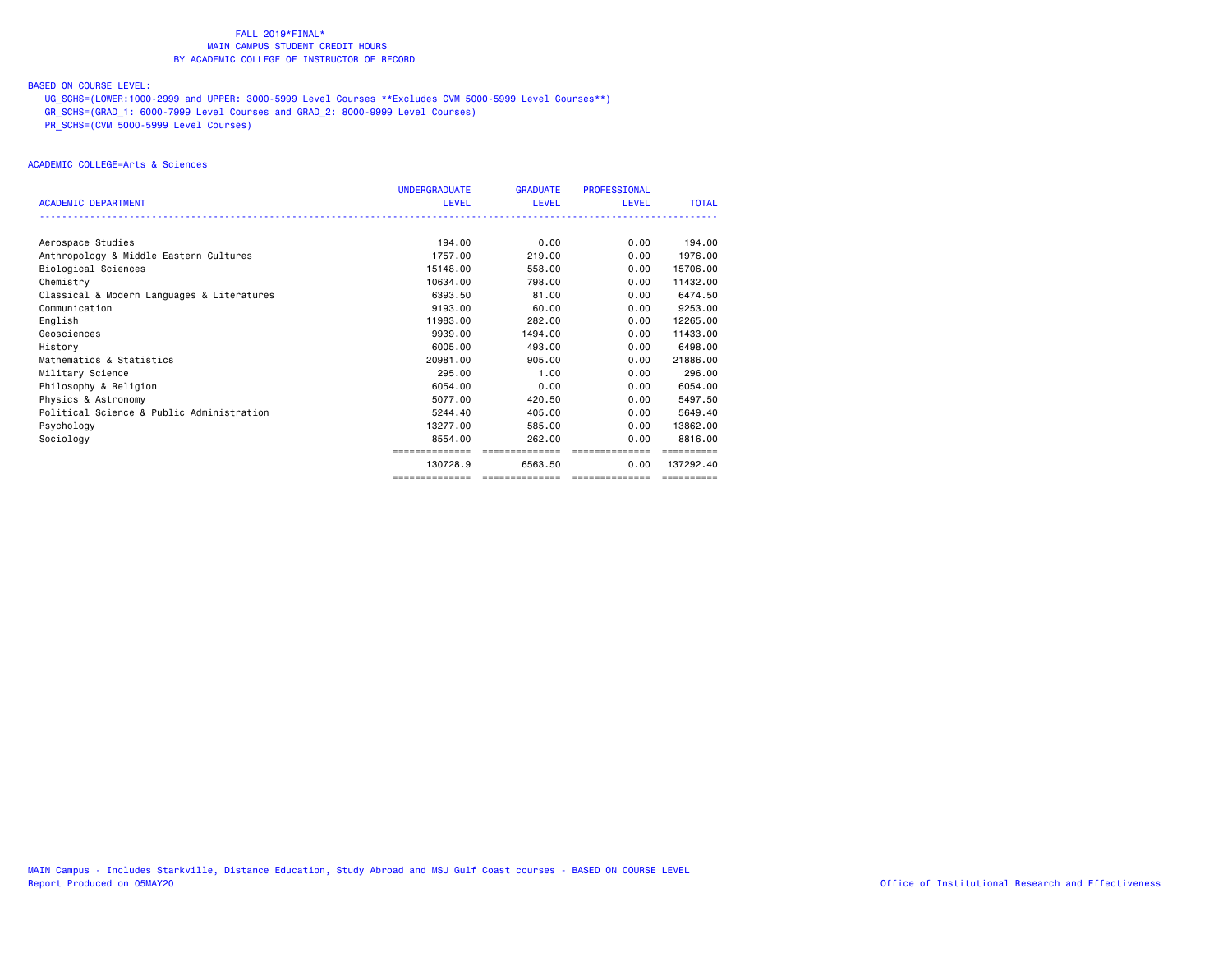## BASED ON COURSE LEVEL:

UG\_SCHS=(LOWER:1000-2999 and UPPER: 3000-5999 Level Courses \*\*Excludes CVM 5000-5999 Level Courses\*\*)

GR\_SCHS=(GRAD\_1: 6000-7999 Level Courses and GRAD\_2: 8000-9999 Level Courses)

PR\_SCHS=(CVM 5000-5999 Level Courses)

## ACADEMIC COLLEGE=Arts & Sciences

|                                            | <b>UNDERGRADUATE</b> | <b>GRADUATE</b> | <b>PROFESSIONAL</b> |              |
|--------------------------------------------|----------------------|-----------------|---------------------|--------------|
| <b>ACADEMIC DEPARTMENT</b>                 | LEVEL                | LEVEL           | LEVEL               | <b>TOTAL</b> |
|                                            |                      |                 |                     |              |
| Aerospace Studies                          | 194.00               | 0.00            | 0.00                | 194,00       |
| Anthropology & Middle Eastern Cultures     | 1757.00              | 219,00          | 0.00                | 1976.00      |
| Biological Sciences                        | 15148.00             | 558,00          | 0.00                | 15706.00     |
| Chemistry                                  | 10634.00             | 798,00          | 0.00                | 11432.00     |
| Classical & Modern Languages & Literatures | 6393.50              | 81.00           | 0.00                | 6474.50      |
| Communication                              | 9193.00              | 60.00           | 0.00                | 9253.00      |
| English                                    | 11983.00             | 282.00          | 0.00                | 12265.00     |
| Geosciences                                | 9939,00              | 1494.00         | 0.00                | 11433.00     |
| History                                    | 6005.00              | 493,00          | 0.00                | 6498,00      |
| Mathematics & Statistics                   | 20981.00             | 905,00          | 0.00                | 21886.00     |
| Military Science                           | 295,00               | 1.00            | 0.00                | 296.00       |
| Philosophy & Religion                      | 6054.00              | 0.00            | 0.00                | 6054.00      |
| Physics & Astronomy                        | 5077.00              | 420.50          | 0.00                | 5497.50      |
| Political Science & Public Administration  | 5244.40              | 405,00          | 0.00                | 5649.40      |
| Psychology                                 | 13277.00             | 585.00          | 0.00                | 13862.00     |
| Sociology                                  | 8554.00              | 262.00          | 0.00                | 8816,00      |
|                                            | :===========         | ==============  | ==============      |              |
|                                            | 130728.9             | 6563.50         | 0.00                | 137292.40    |
|                                            |                      |                 |                     | ==========   |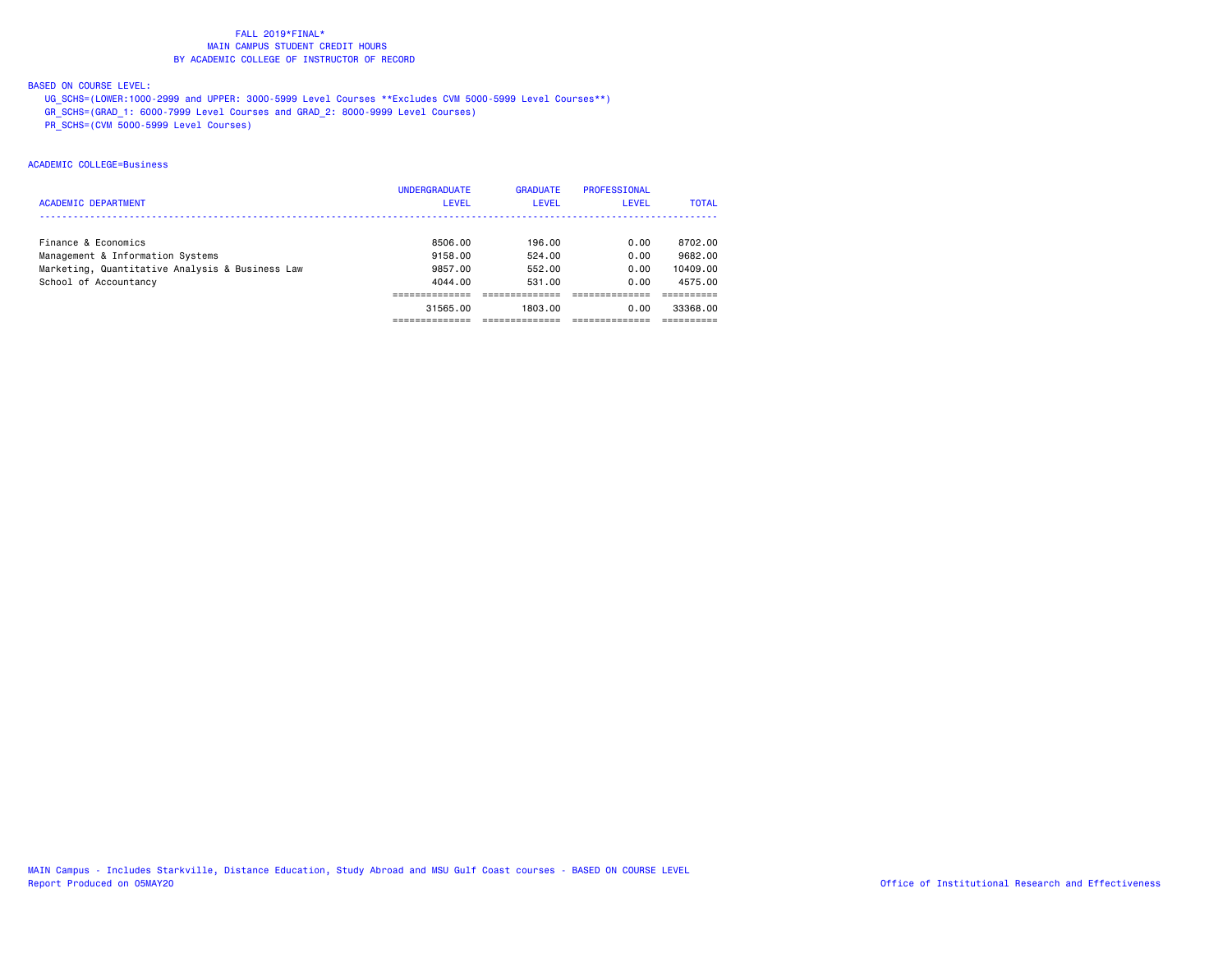## BASED ON COURSE LEVEL:

UG\_SCHS=(LOWER:1000-2999 and UPPER: 3000-5999 Level Courses \*\*Excludes CVM 5000-5999 Level Courses\*\*)

GR\_SCHS=(GRAD\_1: 6000-7999 Level Courses and GRAD\_2: 8000-9999 Level Courses)

PR\_SCHS=(CVM 5000-5999 Level Courses)

# ACADEMIC COLLEGE=Business

|                                                 | <b>UNDERGRADUATE</b> | <b>GRADUATE</b> | <b>PROFESSIONAL</b> |              |
|-------------------------------------------------|----------------------|-----------------|---------------------|--------------|
| <b>ACADEMIC DEPARTMENT</b>                      | <b>LEVEL</b>         | LEVEL           | LEVEL               | <b>TOTAL</b> |
|                                                 |                      |                 |                     |              |
| Finance & Economics                             | 8506.00              | 196.00          | 0.00                | 8702.00      |
| Management & Information Systems                | 9158.00              | 524.00          | 0.00                | 9682.00      |
| Marketing, Quantitative Analysis & Business Law | 9857.00              | 552.00          | 0.00                | 10409.00     |
| School of Accountancy                           | 4044.00              | 531.00          | 0.00                | 4575.00      |
|                                                 |                      |                 |                     |              |
|                                                 | 31565.00             | 1803.00         | 0.00                | 33368.00     |
|                                                 |                      |                 |                     |              |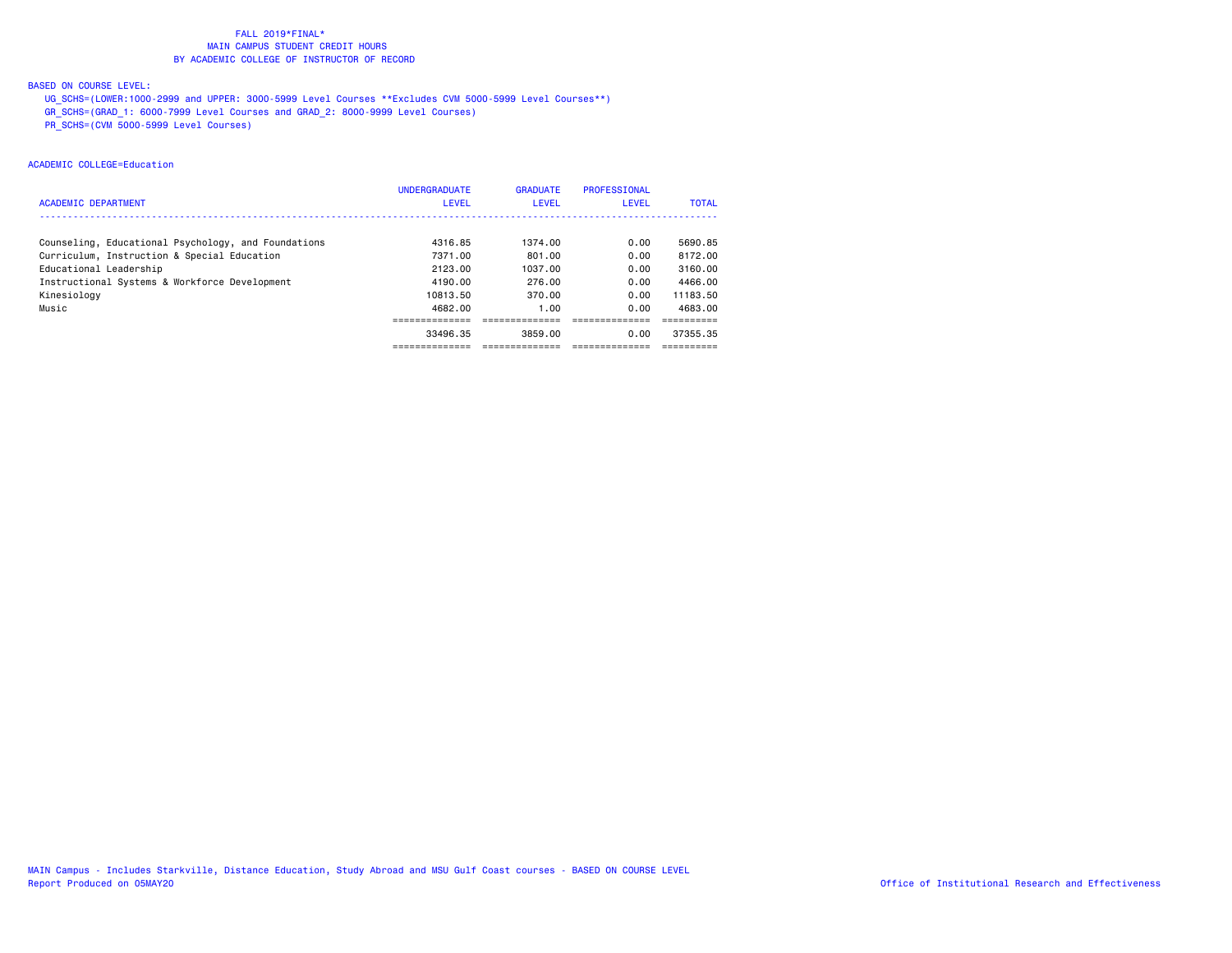## BASED ON COURSE LEVEL:

UG\_SCHS=(LOWER:1000-2999 and UPPER: 3000-5999 Level Courses \*\*Excludes CVM 5000-5999 Level Courses\*\*)

GR\_SCHS=(GRAD\_1: 6000-7999 Level Courses and GRAD\_2: 8000-9999 Level Courses)

PR\_SCHS=(CVM 5000-5999 Level Courses)

# ACADEMIC COLLEGE=Education

|                                                     | <b>UNDERGRADUATE</b> | <b>GRADUATE</b> | <b>PROFESSIONAL</b> |              |
|-----------------------------------------------------|----------------------|-----------------|---------------------|--------------|
| <b>ACADEMIC DEPARTMENT</b>                          | <b>LEVEL</b>         | LEVEL           | <b>LEVEL</b>        | <b>TOTAL</b> |
|                                                     |                      |                 |                     |              |
| Counseling, Educational Psychology, and Foundations | 4316.85              | 1374.00         | 0.00                | 5690.85      |
| Curriculum, Instruction & Special Education         | 7371.00              | 801.00          | 0.00                | 8172.00      |
| Educational Leadership                              | 2123.00              | 1037.00         | 0.00                | 3160.00      |
| Instructional Systems & Workforce Development       | 4190.00              | 276.00          | 0.00                | 4466.00      |
| Kinesiology                                         | 10813.50             | 370.00          | 0.00                | 11183.50     |
| Music                                               | 4682.00              | 1.00            | 0.00                | 4683.00      |
|                                                     |                      |                 |                     |              |
|                                                     | 33496.35             | 3859.00         | 0.00                | 37355.35     |
|                                                     |                      |                 |                     |              |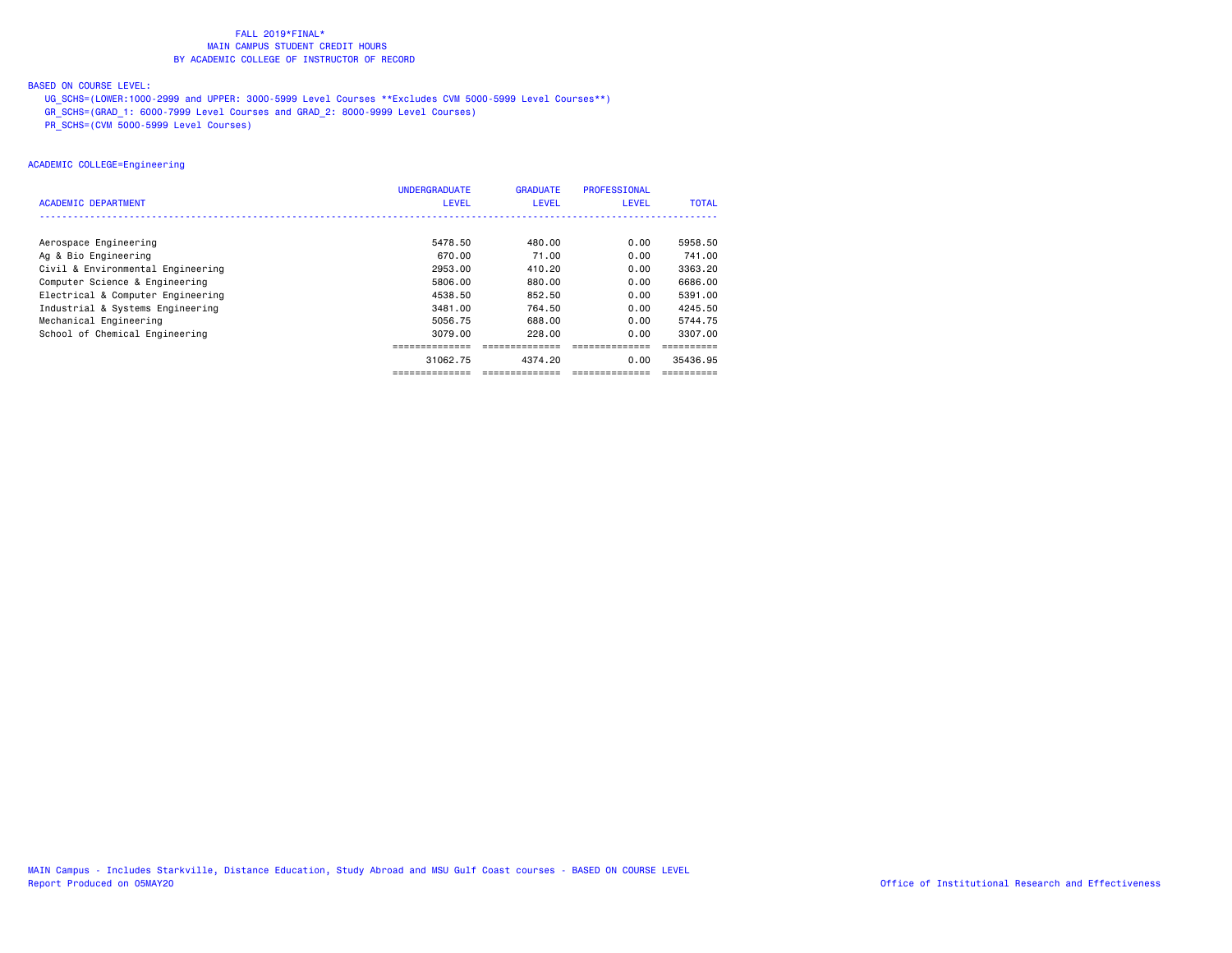## BASED ON COURSE LEVEL:

UG\_SCHS=(LOWER:1000-2999 and UPPER: 3000-5999 Level Courses \*\*Excludes CVM 5000-5999 Level Courses\*\*)

GR\_SCHS=(GRAD\_1: 6000-7999 Level Courses and GRAD\_2: 8000-9999 Level Courses)

PR\_SCHS=(CVM 5000-5999 Level Courses)

## ACADEMIC COLLEGE=Engineering

|                                   | <b>UNDERGRADUATE</b> | <b>GRADUATE</b> | <b>PROFESSIONAL</b> |              |
|-----------------------------------|----------------------|-----------------|---------------------|--------------|
| <b>ACADEMIC DEPARTMENT</b>        | <b>LEVEL</b>         | LEVEL           | <b>LEVEL</b>        | <b>TOTAL</b> |
|                                   |                      |                 |                     |              |
| Aerospace Engineering             | 5478.50              | 480.00          | 0.00                | 5958.50      |
| Ag & Bio Engineering              | 670.00               | 71.00           | 0.00                | 741.00       |
| Civil & Environmental Engineering | 2953.00              | 410.20          | 0.00                | 3363.20      |
| Computer Science & Engineering    | 5806.00              | 880.00          | 0.00                | 6686.00      |
| Electrical & Computer Engineering | 4538.50              | 852.50          | 0.00                | 5391.00      |
| Industrial & Systems Engineering  | 3481.00              | 764.50          | 0.00                | 4245.50      |
| Mechanical Engineering            | 5056.75              | 688.00          | 0.00                | 5744.75      |
| School of Chemical Engineering    | 3079.00              | 228.00          | 0.00                | 3307.00      |
|                                   |                      |                 |                     |              |
|                                   | 31062.75             | 4374.20         | 0.00                | 35436.95     |
|                                   | ==============       | ==============  | --------------      | ==========   |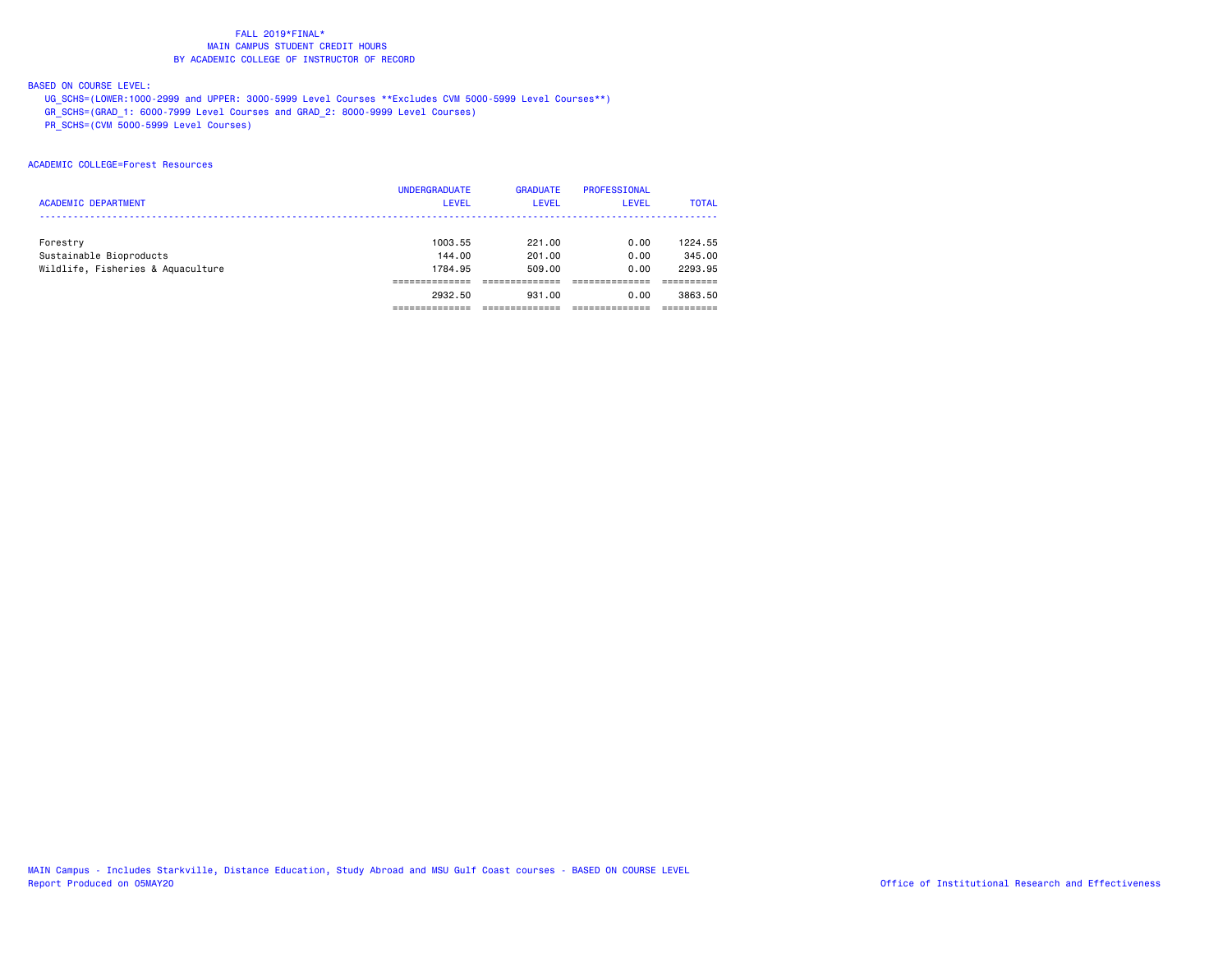## BASED ON COURSE LEVEL:

UG\_SCHS=(LOWER:1000-2999 and UPPER: 3000-5999 Level Courses \*\*Excludes CVM 5000-5999 Level Courses\*\*)

GR\_SCHS=(GRAD\_1: 6000-7999 Level Courses and GRAD\_2: 8000-9999 Level Courses)

PR\_SCHS=(CVM 5000-5999 Level Courses)

## ACADEMIC COLLEGE=Forest Resources

|                                   | <b>UNDERGRADUATE</b> | <b>GRADUATE</b> | <b>PROFESSIONAL</b> |              |
|-----------------------------------|----------------------|-----------------|---------------------|--------------|
| <b>ACADEMIC DEPARTMENT</b>        | <b>LEVEL</b>         | <b>LEVEL</b>    | <b>LEVEL</b>        | <b>TOTAL</b> |
|                                   |                      |                 |                     |              |
| Forestry                          | 1003.55              | 221.00          | 0.00                | 1224.55      |
| Sustainable Bioproducts           | 144.00               | 201.00          | 0.00                | 345.00       |
| Wildlife, Fisheries & Aquaculture | 1784.95              | 509.00          | 0.00                | 2293.95      |
|                                   |                      |                 |                     |              |
|                                   | 2932.50              | 931.00          | 0.00                | 3863.50      |
|                                   |                      |                 |                     |              |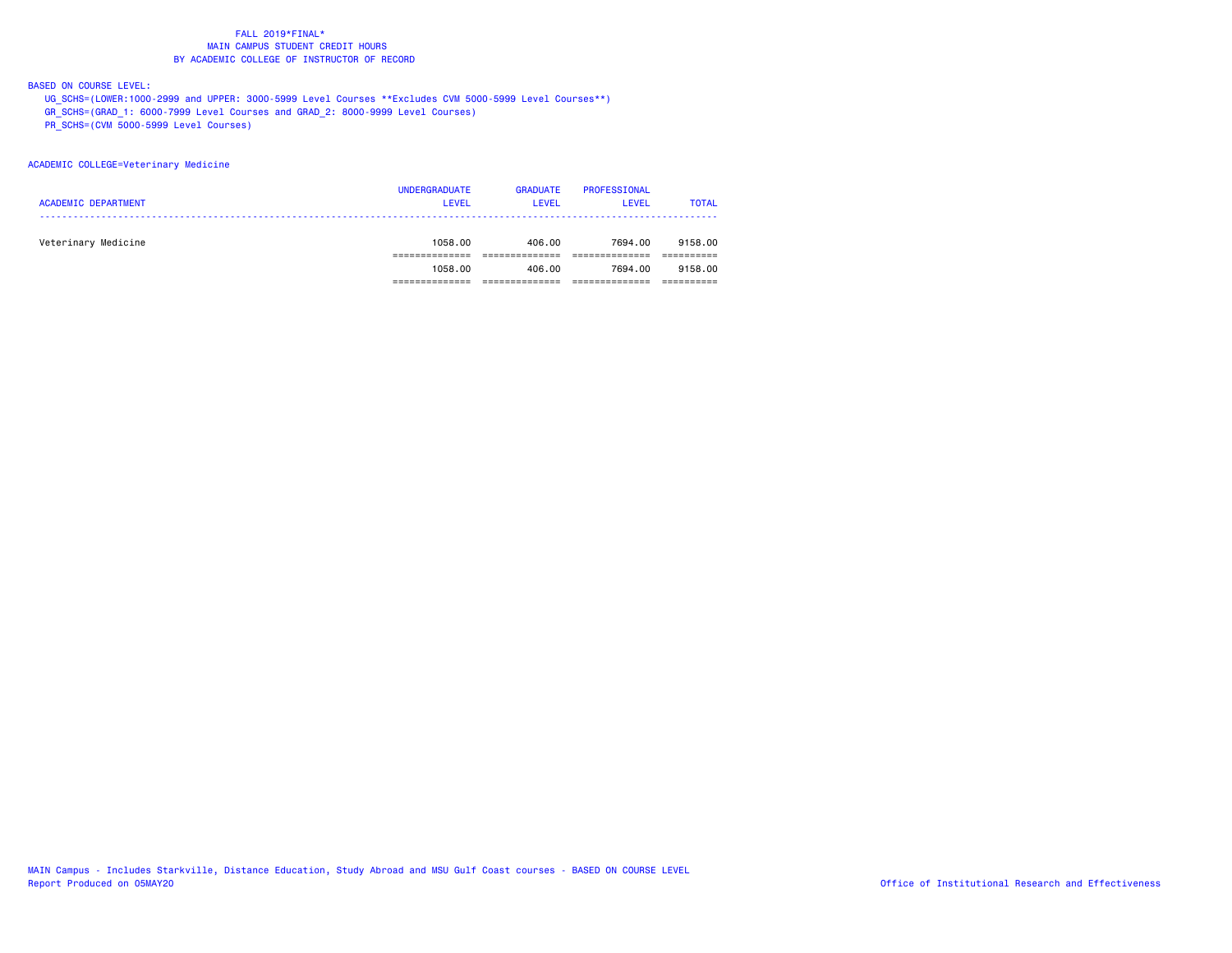## BASED ON COURSE LEVEL:

UG\_SCHS=(LOWER:1000-2999 and UPPER: 3000-5999 Level Courses \*\*Excludes CVM 5000-5999 Level Courses\*\*)

GR\_SCHS=(GRAD\_1: 6000-7999 Level Courses and GRAD\_2: 8000-9999 Level Courses)

PR\_SCHS=(CVM 5000-5999 Level Courses)

#### ACADEMIC COLLEGE=Veterinary Medicine

| <b>ACADEMIC DEPARTMENT</b> | <b>UNDERGRADUATE</b><br><b>LEVEL</b> | <b>GRADUATE</b><br><b>LEVEL</b> | PROFESSIONAL<br>LEVEL | <b>TOTAL</b> |
|----------------------------|--------------------------------------|---------------------------------|-----------------------|--------------|
| Veterinary Medicine        | 1058.00                              | 406.00                          | 7694.00               | 9158.00      |
|                            | 1058.00                              | 406.00                          | 7694.00               | 9158.00      |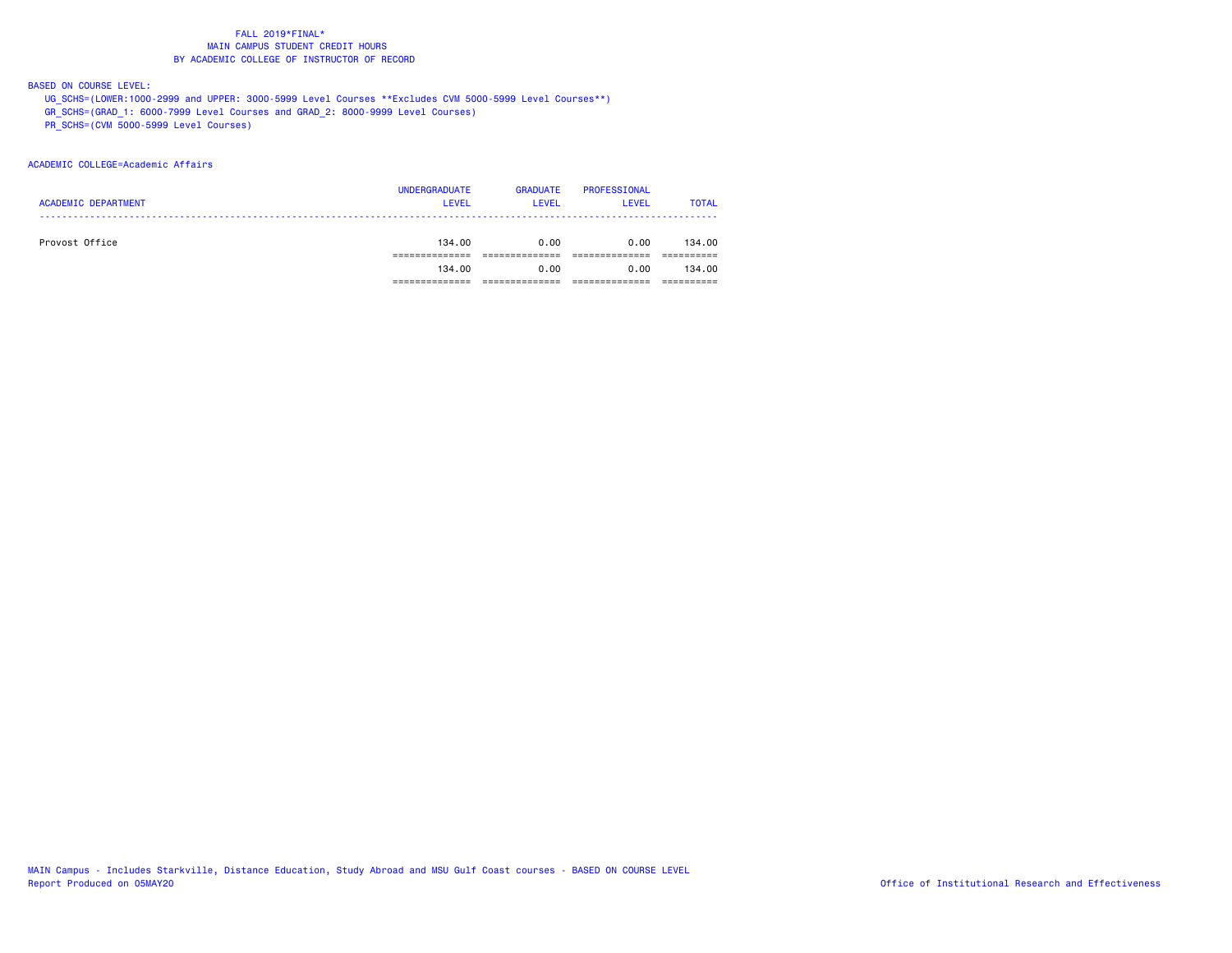## BASED ON COURSE LEVEL:

UG\_SCHS=(LOWER:1000-2999 and UPPER: 3000-5999 Level Courses \*\*Excludes CVM 5000-5999 Level Courses\*\*)

GR\_SCHS=(GRAD\_1: 6000-7999 Level Courses and GRAD\_2: 8000-9999 Level Courses)

PR\_SCHS=(CVM 5000-5999 Level Courses)

## ACADEMIC COLLEGE=Academic Affairs

|                            | <b>UNDERGRADUATE</b> | <b>GRADUATE</b> | PROFESSIONAL |              |
|----------------------------|----------------------|-----------------|--------------|--------------|
| <b>ACADEMIC DEPARTMENT</b> | <b>LEVEL</b>         | <b>LEVEL</b>    | <b>LEVEL</b> | <b>TOTAL</b> |
|                            |                      |                 |              |              |
| Provost Office             | 134,00               | 0.00            | 0.00         | 134.00       |
|                            |                      |                 |              |              |
|                            | 134,00               | 0.00            | 0.00         | 134.00       |
|                            |                      |                 |              |              |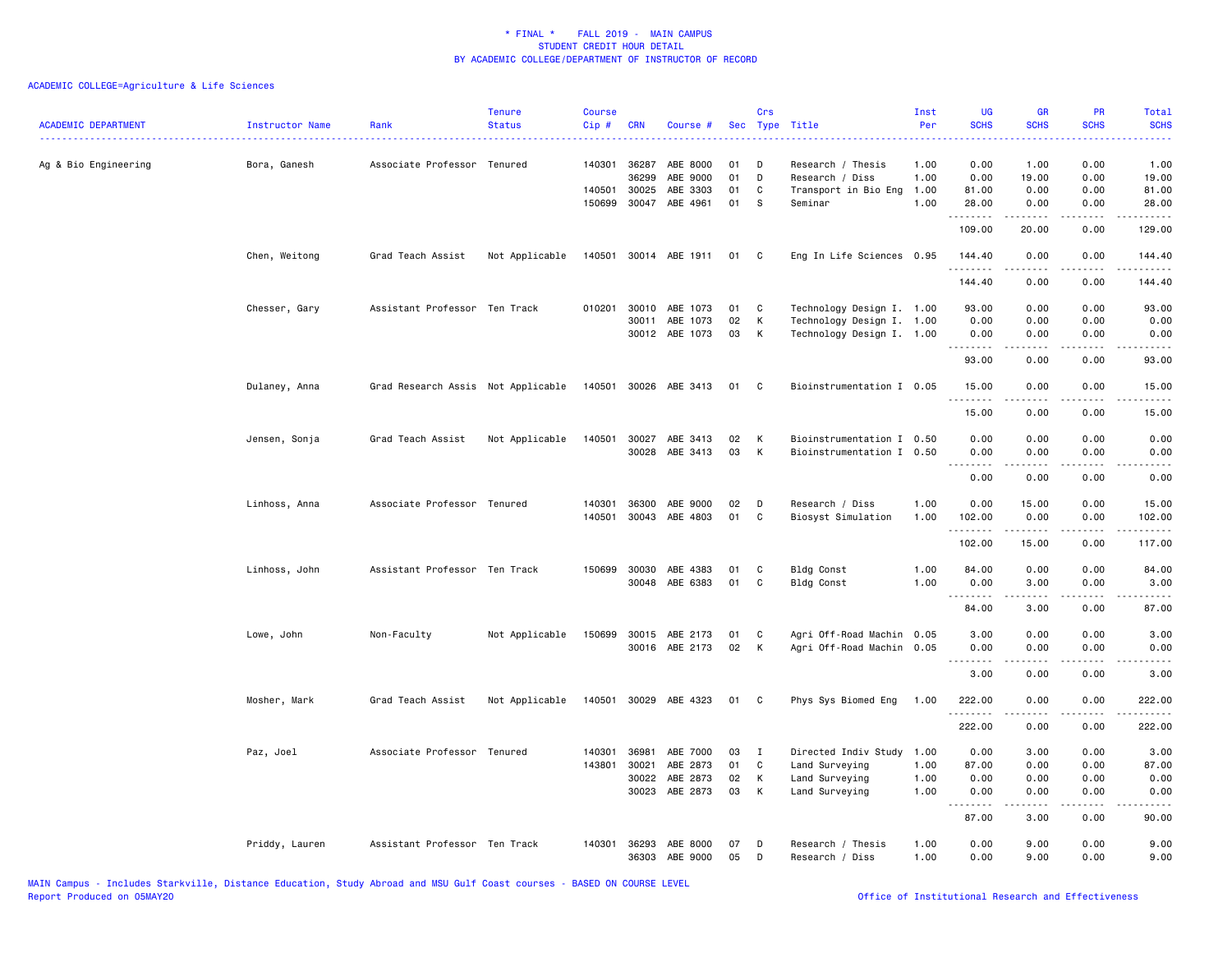| <b>ACADEMIC DEPARTMENT</b> | Instructor Name<br>. | Rank                               | <b>Tenure</b><br><b>Status</b> | <b>Course</b><br>Cip# | <b>CRN</b> | Course #              | <b>Sec</b> | Crs            | Type Title                | Inst<br>Per | <b>UG</b><br><b>SCHS</b> | <b>GR</b><br><b>SCHS</b>                                                                                  | <b>PR</b><br><b>SCHS</b> | Total<br><b>SCHS</b><br>. |
|----------------------------|----------------------|------------------------------------|--------------------------------|-----------------------|------------|-----------------------|------------|----------------|---------------------------|-------------|--------------------------|-----------------------------------------------------------------------------------------------------------|--------------------------|---------------------------|
| Ag & Bio Engineering       | Bora, Ganesh         | Associate Professor Tenured        |                                | 140301                | 36287      | ABE 8000              | 01         | D              | Research / Thesis         | 1.00        | 0.00                     | 1.00                                                                                                      | 0.00                     | 1.00                      |
|                            |                      |                                    |                                |                       | 36299      | ABE 9000              | 01         | D              | Research / Diss           | 1.00        | 0.00                     | 19.00                                                                                                     | 0.00                     | 19.00                     |
|                            |                      |                                    |                                | 140501                | 30025      | ABE 3303              | 01         | C              | Transport in Bio Eng      | 1.00        | 81.00                    | 0.00                                                                                                      | 0.00                     | 81.00                     |
|                            |                      |                                    |                                | 150699                | 30047      | ABE 4961              | 01         | -S             | Seminar                   | 1.00        | 28.00<br>.               | 0.00                                                                                                      | 0.00                     | 28.00                     |
|                            |                      |                                    |                                |                       |            |                       |            |                |                           |             | 109.00                   | 20.00                                                                                                     | 0.00                     | 129.00                    |
|                            | Chen, Weitong        | Grad Teach Assist                  | Not Applicable                 |                       |            | 140501 30014 ABE 1911 | 01         | C <sub>1</sub> | Eng In Life Sciences 0.95 |             | 144.40<br>.              | 0.00                                                                                                      | 0.00                     | 144.40                    |
|                            |                      |                                    |                                |                       |            |                       |            |                |                           |             | 144.40                   | 0.00                                                                                                      | 0.00                     | 144.40                    |
|                            | Chesser, Gary        | Assistant Professor Ten Track      |                                | 010201                | 30010      | ABE 1073              | 01         | C              | Technology Design I. 1.00 |             | 93.00                    | 0.00                                                                                                      | 0.00                     | 93.00                     |
|                            |                      |                                    |                                |                       | 30011      | ABE 1073              | 02         | К              | Technology Design I. 1.00 |             | 0.00                     | 0.00                                                                                                      | 0.00                     | 0.00                      |
|                            |                      |                                    |                                |                       |            | 30012 ABE 1073        | 03         | К              | Technology Design I. 1.00 |             | 0.00<br>.                | 0.00<br>.                                                                                                 | 0.00<br>.                | 0.00<br>. <u>.</u> .      |
|                            |                      |                                    |                                |                       |            |                       |            |                |                           |             | 93.00                    | 0.00                                                                                                      | 0.00                     | 93.00                     |
|                            | Dulaney, Anna        | Grad Research Assis Not Applicable |                                | 140501                | 30026      | ABE 3413              | 01         | C              | Bioinstrumentation I 0.05 |             | 15.00                    | 0.00                                                                                                      | 0.00                     | 15.00                     |
|                            |                      |                                    |                                |                       |            |                       |            |                |                           |             | .<br>15.00               | 0.00                                                                                                      | 0.00                     | 15.00                     |
|                            | Jensen, Sonja        | Grad Teach Assist                  | Not Applicable                 | 140501                | 30027      | ABE 3413              | 02         | K              | Bioinstrumentation I 0.50 |             | 0.00                     | 0.00                                                                                                      | 0.00                     | 0.00                      |
|                            |                      |                                    |                                |                       |            | 30028 ABE 3413        | 03         | К              | Bioinstrumentation I 0.50 |             | 0.00                     | 0.00                                                                                                      | 0.00                     | 0.00                      |
|                            |                      |                                    |                                |                       |            |                       |            |                |                           |             | <u>.</u>                 | .                                                                                                         | $\frac{1}{2}$            | $- - - -$                 |
|                            |                      |                                    |                                |                       |            |                       |            |                |                           |             | 0.00                     | 0.00                                                                                                      | 0.00                     | 0.00                      |
|                            | Linhoss, Anna        | Associate Professor Tenured        |                                | 140301                | 36300      | ABE 9000              | 02         | D              | Research / Diss           | 1.00        | 0.00                     | 15.00                                                                                                     | 0.00                     | 15.00                     |
|                            |                      |                                    |                                | 140501                |            | 30043 ABE 4803        | 01         | C              | Biosyst Simulation        | 1.00        | 102.00<br>.              | 0.00<br>$\begin{array}{cccccccccc} \bullet & \bullet & \bullet & \bullet & \bullet & \bullet \end{array}$ | 0.00<br>.                | 102.00<br>.               |
|                            |                      |                                    |                                |                       |            |                       |            |                |                           |             | 102.00                   | 15.00                                                                                                     | 0.00                     | 117.00                    |
|                            | Linhoss, John        | Assistant Professor Ten Track      |                                | 150699                | 30030      | ABE 4383              | 01         | C              | <b>Bldg Const</b>         | 1.00        | 84.00                    | 0.00                                                                                                      | 0.00                     | 84.00                     |
|                            |                      |                                    |                                |                       | 30048      | ABE 6383              | 01         | C              | Bldg Const                | 1.00        | 0.00                     | 3.00                                                                                                      | 0.00                     | 3.00                      |
|                            |                      |                                    |                                |                       |            |                       |            |                |                           |             | <u>.</u><br>84.00        | .<br>3.00                                                                                                 | 0.00                     | .<br>87.00                |
|                            |                      |                                    |                                |                       |            |                       |            |                |                           |             |                          |                                                                                                           |                          |                           |
|                            | Lowe, John           | Non-Faculty                        | Not Applicable                 | 150699                |            | 30015 ABE 2173        | 01         | C              | Agri Off-Road Machin      | 0.05        | 3.00                     | 0.00                                                                                                      | 0.00                     | 3.00                      |
|                            |                      |                                    |                                |                       |            | 30016 ABE 2173        | 02         | K              | Agri Off-Road Machin 0.05 |             | 0.00<br>.                | 0.00<br>.                                                                                                 | 0.00<br>.                | 0.00<br>$- - - -$         |
|                            |                      |                                    |                                |                       |            |                       |            |                |                           |             | 3.00                     | 0.00                                                                                                      | 0.00                     | 3.00                      |
|                            | Mosher, Mark         | Grad Teach Assist                  | Not Applicable                 | 140501                |            | 30029 ABE 4323        | 01         | C              | Phys Sys Biomed Eng       | 1.00        | 222.00<br>.              | 0.00<br>$   -$                                                                                            | 0.00<br>.                | 222.00<br>.               |
|                            |                      |                                    |                                |                       |            |                       |            |                |                           |             | 222.00                   | 0.00                                                                                                      | 0.00                     | 222.00                    |
|                            | Paz, Joel            | Associate Professor Tenured        |                                | 140301                | 36981      | ABE 7000              | 03         | $\mathbf{I}$   | Directed Indiv Study      | 1.00        | 0.00                     | 3.00                                                                                                      | 0.00                     | 3.00                      |
|                            |                      |                                    |                                | 143801                | 30021      | ABE 2873              | 01         | C              | Land Surveying            | 1.00        | 87.00                    | 0.00                                                                                                      | 0.00                     | 87.00                     |
|                            |                      |                                    |                                |                       | 30022      | ABE 2873              | 02         | К              | Land Surveying            | 1.00        | 0.00                     | 0.00                                                                                                      | 0.00                     | 0.00                      |
|                            |                      |                                    |                                |                       | 30023      | ABE 2873              | 03         | K              | Land Surveying            | 1.00        | 0.00<br>.                | 0.00<br>.                                                                                                 | 0.00<br>.                | 0.00<br>$\frac{1}{2}$     |
|                            |                      |                                    |                                |                       |            |                       |            |                |                           |             | 87.00                    | 3.00                                                                                                      | 0.00                     | 90.00                     |
|                            | Priddy, Lauren       | Assistant Professor Ten Track      |                                | 140301                | 36293      | ABE 8000              | 07         | D              | Research / Thesis         | 1.00        | 0.00                     | 9.00                                                                                                      | 0.00                     | 9.00                      |
|                            |                      |                                    |                                |                       |            | 36303 ABE 9000        | 05         | D              | Research / Diss           | 1.00        | 0.00                     | 9.00                                                                                                      | 0.00                     | 9.00                      |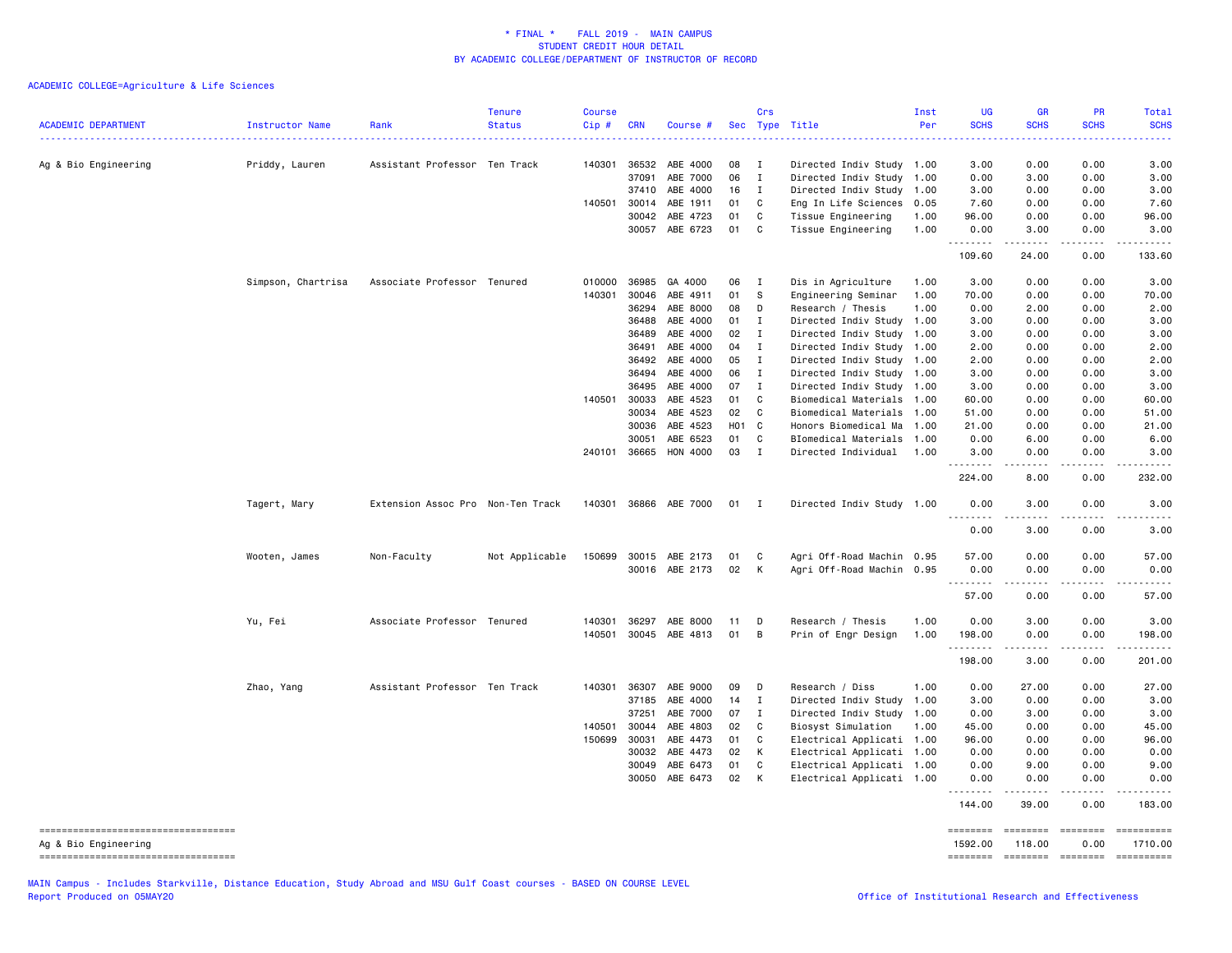ACADEMIC COLLEGE=Agriculture & Life Sciences

| <b>ACADEMIC DEPARTMENT</b>                                 | Instructor Name<br>. | Rank                              | <b>Tenure</b><br><b>Status</b> | <b>Course</b><br>Cip# | <b>CRN</b>     | Course #             |          | Crs              | Sec Type Title                                    | Inst<br>Per | UG<br><b>SCHS</b>  | GR<br><b>SCHS</b>                                                                                                                                            | PR<br><b>SCHS</b>                                                                                                                                                                                                                                                                                                                                                                                                                                                                      | <b>Total</b><br><b>SCHS</b>                                                                                                                                                               |
|------------------------------------------------------------|----------------------|-----------------------------------|--------------------------------|-----------------------|----------------|----------------------|----------|------------------|---------------------------------------------------|-------------|--------------------|--------------------------------------------------------------------------------------------------------------------------------------------------------------|----------------------------------------------------------------------------------------------------------------------------------------------------------------------------------------------------------------------------------------------------------------------------------------------------------------------------------------------------------------------------------------------------------------------------------------------------------------------------------------|-------------------------------------------------------------------------------------------------------------------------------------------------------------------------------------------|
| Ag & Bio Engineering                                       | Priddy, Lauren       | Assistant Professor Ten Track     |                                | 140301                | 36532          | ABE 4000             | 08       | Ι.               | Directed Indiv Study 1.00                         |             | 3.00               | 0.00                                                                                                                                                         | 0.00                                                                                                                                                                                                                                                                                                                                                                                                                                                                                   | 3.00                                                                                                                                                                                      |
|                                                            |                      |                                   |                                |                       | 37091          | ABE 7000             | 06       | $\mathbf I$      | Directed Indiv Study 1.00                         |             | 0.00               | 3.00                                                                                                                                                         | 0.00                                                                                                                                                                                                                                                                                                                                                                                                                                                                                   | 3.00                                                                                                                                                                                      |
|                                                            |                      |                                   |                                |                       | 37410          | ABE 4000             | 16       | $\mathbf I$      | Directed Indiv Study                              | 1.00        | 3.00               | 0.00                                                                                                                                                         | 0.00                                                                                                                                                                                                                                                                                                                                                                                                                                                                                   | 3.00                                                                                                                                                                                      |
|                                                            |                      |                                   |                                | 140501                | 30014          | ABE 1911             | 01       | C                | Eng In Life Sciences                              | 0.05        | 7.60               | 0.00                                                                                                                                                         | 0.00                                                                                                                                                                                                                                                                                                                                                                                                                                                                                   | 7.60                                                                                                                                                                                      |
|                                                            |                      |                                   |                                |                       | 30042          | ABE 4723             | 01       | C                | Tissue Engineering                                | 1.00        | 96.00              | 0.00                                                                                                                                                         | 0.00                                                                                                                                                                                                                                                                                                                                                                                                                                                                                   | 96.00                                                                                                                                                                                     |
|                                                            |                      |                                   |                                |                       | 30057          | ABE 6723             | 01       | C                | Tissue Engineering                                | 1.00        | 0.00<br><b></b>    | 3.00<br>$\sim$ 200 $\sim$ 200                                                                                                                                | 0.00<br>.                                                                                                                                                                                                                                                                                                                                                                                                                                                                              | 3.00<br>.                                                                                                                                                                                 |
|                                                            |                      |                                   |                                |                       |                |                      |          |                  |                                                   |             | 109.60             | 24.00                                                                                                                                                        | 0.00                                                                                                                                                                                                                                                                                                                                                                                                                                                                                   | 133.60                                                                                                                                                                                    |
|                                                            | Simpson, Chartrisa   | Associate Professor Tenured       |                                | 010000                | 36985          | GA 4000              | 06       | $\mathbf{I}$     | Dis in Agriculture                                | 1.00        | 3.00               | 0.00                                                                                                                                                         | 0.00                                                                                                                                                                                                                                                                                                                                                                                                                                                                                   | 3.00                                                                                                                                                                                      |
|                                                            |                      |                                   |                                | 140301                | 30046          | ABE 4911             | 01       | -S               | Engineering Seminar                               | 1.00        | 70.00              | 0.00                                                                                                                                                         | 0.00                                                                                                                                                                                                                                                                                                                                                                                                                                                                                   | 70.00                                                                                                                                                                                     |
|                                                            |                      |                                   |                                |                       | 36294          | ABE 8000             | 08       | D                | Research / Thesis                                 | 1.00        | 0.00               | 2.00                                                                                                                                                         | 0.00                                                                                                                                                                                                                                                                                                                                                                                                                                                                                   | 2.00                                                                                                                                                                                      |
|                                                            |                      |                                   |                                |                       | 36488          | ABE 4000             | 01<br>02 | I                | Directed Indiv Study                              | 1.00        | 3.00               | 0.00                                                                                                                                                         | 0.00                                                                                                                                                                                                                                                                                                                                                                                                                                                                                   | 3.00                                                                                                                                                                                      |
|                                                            |                      |                                   |                                |                       | 36489<br>36491 | ABE 4000<br>ABE 4000 | 04       | I<br>$\mathbf I$ | Directed Indiv Study<br>Directed Indiv Study 1.00 | 1.00        | 3.00<br>2.00       | 0.00<br>0.00                                                                                                                                                 | 0.00<br>0.00                                                                                                                                                                                                                                                                                                                                                                                                                                                                           | 3.00<br>2.00                                                                                                                                                                              |
|                                                            |                      |                                   |                                |                       | 36492          | ABE 4000             | 05       | $\mathbf{I}$     | Directed Indiv Study 1.00                         |             | 2.00               | 0.00                                                                                                                                                         | 0.00                                                                                                                                                                                                                                                                                                                                                                                                                                                                                   | 2.00                                                                                                                                                                                      |
|                                                            |                      |                                   |                                |                       | 36494          | ABE 4000             | 06       | $\mathbf{I}$     | Directed Indiv Study 1.00                         |             | 3.00               | 0.00                                                                                                                                                         | 0.00                                                                                                                                                                                                                                                                                                                                                                                                                                                                                   | 3.00                                                                                                                                                                                      |
|                                                            |                      |                                   |                                |                       | 36495          | ABE 4000             | 07       | Ι.               | Directed Indiv Study                              | 1.00        | 3.00               | 0.00                                                                                                                                                         | 0.00                                                                                                                                                                                                                                                                                                                                                                                                                                                                                   | 3.00                                                                                                                                                                                      |
|                                                            |                      |                                   |                                | 140501                | 30033          | ABE 4523             | 01       | $\mathbb{C}$     | Biomedical Materials                              | 1.00        | 60.00              | 0.00                                                                                                                                                         | 0.00                                                                                                                                                                                                                                                                                                                                                                                                                                                                                   | 60.00                                                                                                                                                                                     |
|                                                            |                      |                                   |                                |                       | 30034          | ABE 4523             | 02       | C                | Biomedical Materials                              | 1.00        | 51.00              | 0.00                                                                                                                                                         | 0.00                                                                                                                                                                                                                                                                                                                                                                                                                                                                                   | 51.00                                                                                                                                                                                     |
|                                                            |                      |                                   |                                |                       | 30036          | ABE 4523             | H01 C    |                  | Honors Biomedical Ma                              | 1.00        | 21.00              | 0.00                                                                                                                                                         | 0.00                                                                                                                                                                                                                                                                                                                                                                                                                                                                                   | 21.00                                                                                                                                                                                     |
|                                                            |                      |                                   |                                |                       | 30051          | ABE 6523             | 01       | C                | BIomedical Materials 1.00                         |             | 0.00               | 6.00                                                                                                                                                         | 0.00                                                                                                                                                                                                                                                                                                                                                                                                                                                                                   | 6.00                                                                                                                                                                                      |
|                                                            |                      |                                   |                                |                       | 240101 36665   | HON 4000             | 03       | $\mathbf{I}$     | Directed Individual                               | 1.00        | 3.00<br>.          | 0.00<br>.                                                                                                                                                    | 0.00<br>.                                                                                                                                                                                                                                                                                                                                                                                                                                                                              | 3.00<br>.                                                                                                                                                                                 |
|                                                            |                      |                                   |                                |                       |                |                      |          |                  |                                                   |             | 224.00             | 8.00                                                                                                                                                         | 0.00                                                                                                                                                                                                                                                                                                                                                                                                                                                                                   | 232.00                                                                                                                                                                                    |
|                                                            | Tagert, Mary         | Extension Assoc Pro Non-Ten Track |                                | 140301                |                | 36866 ABE 7000       | 01       | $\mathbf{I}$     | Directed Indiv Study 1.00                         |             | 0.00<br><u>.</u>   | 3.00<br>.                                                                                                                                                    | 0.00<br>.                                                                                                                                                                                                                                                                                                                                                                                                                                                                              | 3.00<br>.                                                                                                                                                                                 |
|                                                            |                      |                                   |                                |                       |                |                      |          |                  |                                                   |             | 0.00               | 3.00                                                                                                                                                         | 0.00                                                                                                                                                                                                                                                                                                                                                                                                                                                                                   | 3.00                                                                                                                                                                                      |
|                                                            | Wooten, James        | Non-Faculty                       | Not Applicable                 | 150699                | 30015          | ABE 2173             | 01       | C                | Agri Off-Road Machin 0.95                         |             | 57.00              | 0.00                                                                                                                                                         | 0.00                                                                                                                                                                                                                                                                                                                                                                                                                                                                                   | 57.00                                                                                                                                                                                     |
|                                                            |                      |                                   |                                |                       |                | 30016 ABE 2173       | 02       | К                | Agri Off-Road Machin 0.95                         |             | 0.00               | 0.00                                                                                                                                                         | 0.00                                                                                                                                                                                                                                                                                                                                                                                                                                                                                   | 0.00                                                                                                                                                                                      |
|                                                            |                      |                                   |                                |                       |                |                      |          |                  |                                                   |             | .<br>57.00         | .<br>0.00                                                                                                                                                    | .<br>0.00                                                                                                                                                                                                                                                                                                                                                                                                                                                                              | .<br>57.00                                                                                                                                                                                |
|                                                            | Yu, Fei              | Associate Professor Tenured       |                                | 140301                | 36297          | ABE 8000             | 11       | D                | Research / Thesis                                 | 1.00        | 0.00               | 3.00                                                                                                                                                         | 0.00                                                                                                                                                                                                                                                                                                                                                                                                                                                                                   | 3.00                                                                                                                                                                                      |
|                                                            |                      |                                   |                                | 140501                |                | 30045 ABE 4813       | 01       | B                | Prin of Engr Design                               | 1.00        | 198.00             | 0.00                                                                                                                                                         | 0.00                                                                                                                                                                                                                                                                                                                                                                                                                                                                                   | 198.00                                                                                                                                                                                    |
|                                                            |                      |                                   |                                |                       |                |                      |          |                  |                                                   |             | <u>.</u><br>198.00 | $\frac{1}{2} \left( \frac{1}{2} \right) \left( \frac{1}{2} \right) \left( \frac{1}{2} \right) \left( \frac{1}{2} \right) \left( \frac{1}{2} \right)$<br>3.00 | .<br>0.00                                                                                                                                                                                                                                                                                                                                                                                                                                                                              | $\frac{1}{2} \left( \frac{1}{2} \right) \left( \frac{1}{2} \right) \left( \frac{1}{2} \right) \left( \frac{1}{2} \right) \left( \frac{1}{2} \right) \left( \frac{1}{2} \right)$<br>201.00 |
|                                                            | Zhao, Yang           | Assistant Professor Ten Track     |                                | 140301                | 36307          | ABE 9000             | 09       | D                | Research / Diss                                   | 1.00        | 0.00               | 27.00                                                                                                                                                        | 0.00                                                                                                                                                                                                                                                                                                                                                                                                                                                                                   | 27.00                                                                                                                                                                                     |
|                                                            |                      |                                   |                                |                       | 37185          | ABE 4000             | 14       | $\mathbf I$      | Directed Indiv Study                              | 1.00        | 3.00               | 0.00                                                                                                                                                         | 0.00                                                                                                                                                                                                                                                                                                                                                                                                                                                                                   | 3.00                                                                                                                                                                                      |
|                                                            |                      |                                   |                                |                       | 37251          | ABE 7000             | 07       | Ι.               | Directed Indiv Study                              | 1.00        | 0.00               | 3.00                                                                                                                                                         | 0.00                                                                                                                                                                                                                                                                                                                                                                                                                                                                                   | 3.00                                                                                                                                                                                      |
|                                                            |                      |                                   |                                | 140501                | 30044          | ABE 4803             | 02       | C                | Biosyst Simulation                                | 1.00        | 45.00              | 0.00                                                                                                                                                         | 0.00                                                                                                                                                                                                                                                                                                                                                                                                                                                                                   | 45.00                                                                                                                                                                                     |
|                                                            |                      |                                   |                                | 150699                | 30031          | ABE 4473             | 01       | C                | Electrical Applicati                              | 1.00        | 96.00              | 0.00                                                                                                                                                         | 0.00                                                                                                                                                                                                                                                                                                                                                                                                                                                                                   | 96.00                                                                                                                                                                                     |
|                                                            |                      |                                   |                                |                       | 30032          | ABE 4473             | 02       | K                | Electrical Applicati 1.00                         |             | 0.00               | 0.00                                                                                                                                                         | 0.00                                                                                                                                                                                                                                                                                                                                                                                                                                                                                   | 0.00                                                                                                                                                                                      |
|                                                            |                      |                                   |                                |                       | 30049          | ABE 6473             | 01       | C                | Electrical Applicati 1.00                         |             | 0.00               | 9.00                                                                                                                                                         | 0.00                                                                                                                                                                                                                                                                                                                                                                                                                                                                                   | 9.00                                                                                                                                                                                      |
|                                                            |                      |                                   |                                |                       | 30050          | ABE 6473             | 02       | K                | Electrical Applicati 1.00                         |             | 0.00<br>.          | 0.00<br>.                                                                                                                                                    | 0.00<br>$  -$                                                                                                                                                                                                                                                                                                                                                                                                                                                                          | 0.00<br>.                                                                                                                                                                                 |
|                                                            |                      |                                   |                                |                       |                |                      |          |                  |                                                   |             | 144.00             | 39.00                                                                                                                                                        | 0.00                                                                                                                                                                                                                                                                                                                                                                                                                                                                                   | 183.00                                                                                                                                                                                    |
| ----------------------------------<br>Ag & Bio Engineering |                      |                                   |                                |                       |                |                      |          |                  |                                                   |             | 1592.00            | 118.00                                                                                                                                                       | 0.00                                                                                                                                                                                                                                                                                                                                                                                                                                                                                   | ==========<br>1710.00                                                                                                                                                                     |
| ------------------------------------                       |                      |                                   |                                |                       |                |                      |          |                  |                                                   |             | ========           | <b>ESSESSES</b>                                                                                                                                              | $\begin{array}{cccccccccc} \multicolumn{2}{c}{} & \multicolumn{2}{c}{} & \multicolumn{2}{c}{} & \multicolumn{2}{c}{} & \multicolumn{2}{c}{} & \multicolumn{2}{c}{} & \multicolumn{2}{c}{} & \multicolumn{2}{c}{} & \multicolumn{2}{c}{} & \multicolumn{2}{c}{} & \multicolumn{2}{c}{} & \multicolumn{2}{c}{} & \multicolumn{2}{c}{} & \multicolumn{2}{c}{} & \multicolumn{2}{c}{} & \multicolumn{2}{c}{} & \multicolumn{2}{c}{} & \multicolumn{2}{c}{} & \multicolumn{2}{c}{} & \mult$ |                                                                                                                                                                                           |

MAIN Campus - Includes Starkville, Distance Education, Study Abroad and MSU Gulf Coast courses - BASED ON COURSE LEVEL<br>Report Produced on 05MAY20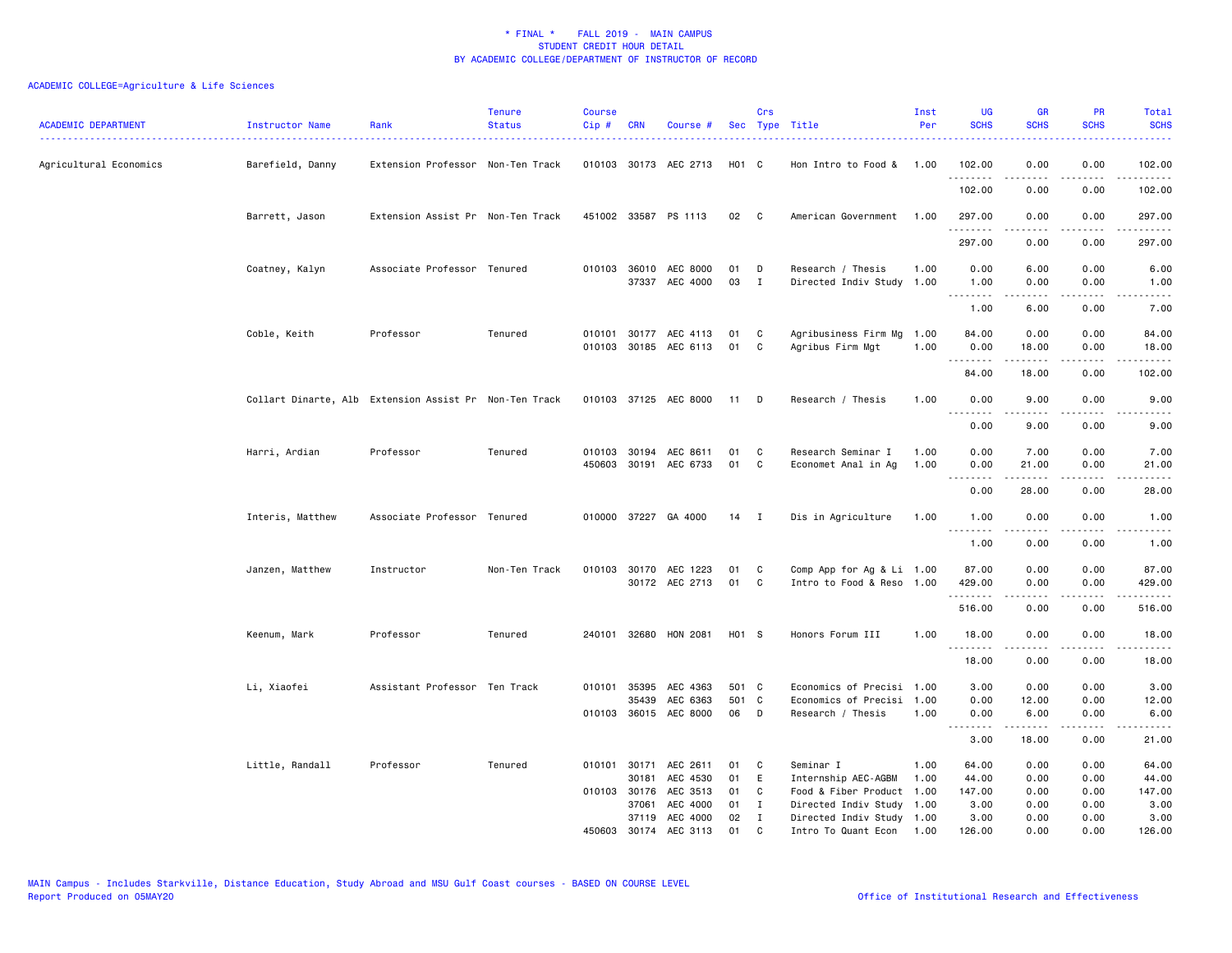| <b>ACADEMIC DEPARTMENT</b> | Instructor Name                                        | Rank                              | <b>Tenure</b><br><b>Status</b> | <b>Course</b><br>Cip# | CRN          | Course #                                       |             | Crs               | Sec Type Title                            | Inst<br>Per  | <b>UG</b><br><b>SCHS</b>                                                                                                          | <b>GR</b><br><b>SCHS</b> | PR<br><b>SCHS</b>                           | Total<br><b>SCHS</b><br>$\frac{1}{2} \left( \frac{1}{2} \right) \left( \frac{1}{2} \right) \left( \frac{1}{2} \right) \left( \frac{1}{2} \right) \left( \frac{1}{2} \right)$ |
|----------------------------|--------------------------------------------------------|-----------------------------------|--------------------------------|-----------------------|--------------|------------------------------------------------|-------------|-------------------|-------------------------------------------|--------------|-----------------------------------------------------------------------------------------------------------------------------------|--------------------------|---------------------------------------------|------------------------------------------------------------------------------------------------------------------------------------------------------------------------------|
| Agricultural Economics     | Barefield, Danny                                       | Extension Professor Non-Ten Track |                                |                       |              | 010103 30173 AEC 2713                          | H01 C       |                   | Hon Intro to Food & 1.00                  |              | 102.00<br>.                                                                                                                       | 0.00<br>$\frac{1}{2}$    | 0.00<br>.                                   | 102.00<br>$\frac{1}{2} \left( \frac{1}{2} \right) \left( \frac{1}{2} \right) \left( \frac{1}{2} \right) \left( \frac{1}{2} \right) \left( \frac{1}{2} \right)$               |
|                            |                                                        |                                   |                                |                       |              |                                                |             |                   |                                           |              | 102.00                                                                                                                            | 0.00                     | 0.00                                        | 102.00                                                                                                                                                                       |
|                            | Barrett, Jason                                         | Extension Assist Pr Non-Ten Track |                                |                       |              | 451002 33587 PS 1113                           | 02          | C                 | American Government                       | 1.00         | 297.00<br>.                                                                                                                       | 0.00                     | 0.00<br>.                                   | 297.00<br>.                                                                                                                                                                  |
|                            |                                                        |                                   |                                |                       |              |                                                |             |                   |                                           |              | 297.00                                                                                                                            | -----<br>0.00            | 0.00                                        | 297.00                                                                                                                                                                       |
|                            | Coatney, Kalyn                                         | Associate Professor Tenured       |                                |                       |              | 010103 36010 AEC 8000<br>37337 AEC 4000        | 01<br>03    | D<br>$\mathbf{I}$ | Research / Thesis<br>Directed Indiv Study | 1.00<br>1.00 | 0.00<br>1.00<br>.                                                                                                                 | 6.00<br>0.00<br>.        | 0.00<br>0.00<br>$\sim$ $\sim$ $\sim$ $\sim$ | 6.00<br>1.00<br>$\frac{1}{2} \frac{1}{2} \frac{1}{2} \frac{1}{2} \frac{1}{2} \frac{1}{2} \frac{1}{2} \frac{1}{2}$                                                            |
|                            |                                                        |                                   |                                |                       |              |                                                |             |                   |                                           |              | 1.00                                                                                                                              | 6.00                     | 0.00                                        | 7.00                                                                                                                                                                         |
|                            | Coble, Keith                                           | Professor                         | Tenured                        |                       |              | 010101 30177 AEC 4113<br>010103 30185 AEC 6113 | 01<br>01    | C<br>C            | Agribusiness Firm Mg<br>Agribus Firm Mgt  | 1.00<br>1.00 | 84.00<br>0.00<br>.                                                                                                                | 0.00<br>18.00            | 0.00<br>0.00<br>.                           | 84.00<br>18.00                                                                                                                                                               |
|                            |                                                        |                                   |                                |                       |              |                                                |             |                   |                                           |              | 84.00                                                                                                                             | 18.00                    | 0.00                                        | 102.00                                                                                                                                                                       |
|                            | Collart Dinarte, Alb Extension Assist Pr Non-Ten Track |                                   |                                |                       |              | 010103 37125 AEC 8000                          | 11 D        |                   | Research / Thesis                         | 1.00         | 0.00                                                                                                                              | 9.00                     | 0.00                                        | 9.00                                                                                                                                                                         |
|                            |                                                        |                                   |                                |                       |              |                                                |             |                   |                                           |              | $\frac{1}{2} \left( \frac{1}{2} \right) \left( \frac{1}{2} \right) \left( \frac{1}{2} \right) \left( \frac{1}{2} \right)$<br>0.00 | 9.00                     | 0.00                                        | 9.00                                                                                                                                                                         |
|                            | Harri, Ardian                                          | Professor                         | Tenured                        |                       |              | 010103 30194 AEC 8611                          | 01          | C                 | Research Seminar I                        | 1.00         | 0.00                                                                                                                              | 7.00                     | 0.00                                        | 7.00                                                                                                                                                                         |
|                            |                                                        |                                   |                                |                       |              | 450603 30191 AEC 6733                          | 01          | C                 | Economet Anal in Ag                       | 1.00         | 0.00<br><u>.</u>                                                                                                                  | 21.00                    | 0.00<br>.                                   | 21.00<br>.                                                                                                                                                                   |
|                            |                                                        |                                   |                                |                       |              |                                                |             |                   |                                           |              | 0.00                                                                                                                              | 28.00                    | 0.00                                        | 28.00                                                                                                                                                                        |
|                            | Interis, Matthew                                       | Associate Professor Tenured       |                                |                       |              | 010000 37227 GA 4000                           | $14$ I      |                   | Dis in Agriculture                        | 1.00         | 1.00<br>.                                                                                                                         | 0.00                     | 0.00                                        | 1.00                                                                                                                                                                         |
|                            |                                                        |                                   |                                |                       |              |                                                |             |                   |                                           |              | 1.00                                                                                                                              | 0.00                     | 0.00                                        | 1.00                                                                                                                                                                         |
|                            | Janzen, Matthew                                        | Instructor                        | Non-Ten Track                  |                       |              | 010103 30170 AEC 1223                          | 01          | C                 | Comp App for Ag & Li 1.00                 |              | 87.00                                                                                                                             | 0.00                     | 0.00                                        | 87.00                                                                                                                                                                        |
|                            |                                                        |                                   |                                |                       |              | 30172 AEC 2713                                 | 01          | C                 | Intro to Food & Reso 1.00                 |              | 429.00<br>.                                                                                                                       | 0.00                     | 0.00<br>.                                   | 429.00<br>.                                                                                                                                                                  |
|                            |                                                        |                                   |                                |                       |              |                                                |             |                   |                                           |              | 516.00                                                                                                                            | 0.00                     | 0.00                                        | 516.00                                                                                                                                                                       |
|                            | Keenum, Mark                                           | Professor                         | Tenured                        |                       |              | 240101 32680 HON 2081                          | H01 S       |                   | Honors Forum III                          | 1.00         | 18.00<br>.                                                                                                                        | 0.00                     | 0.00<br>.                                   | 18.00                                                                                                                                                                        |
|                            |                                                        |                                   |                                |                       |              |                                                |             |                   |                                           |              | 18.00                                                                                                                             | 0.00                     | 0.00                                        | 18.00                                                                                                                                                                        |
|                            | Li, Xiaofei                                            | Assistant Professor Ten Track     |                                |                       | 010101 35395 | AEC 4363                                       | 501 C       |                   | Economics of Precisi 1.00                 |              | 3.00                                                                                                                              | 0.00                     | 0.00                                        | 3.00                                                                                                                                                                         |
|                            |                                                        |                                   |                                |                       | 35439        | AEC 6363<br>010103 36015 AEC 8000              | 501 C<br>06 | D                 | Economics of Precisi<br>Research / Thesis | 1.00<br>1.00 | 0.00<br>0.00                                                                                                                      | 12.00<br>6.00            | 0.00<br>0.00                                | 12.00<br>6.00                                                                                                                                                                |
|                            |                                                        |                                   |                                |                       |              |                                                |             |                   |                                           |              | $\sim$ $\sim$ $\sim$ $\sim$<br>.<br>3.00                                                                                          | 18.00                    | $\sim$ $\sim$ $\sim$ $\sim$<br>0.00         | 21.00                                                                                                                                                                        |
|                            |                                                        |                                   |                                |                       |              |                                                |             |                   |                                           |              |                                                                                                                                   |                          |                                             |                                                                                                                                                                              |
|                            | Little, Randall                                        | Professor                         | Tenured                        |                       | 30181        | 010101 30171 AEC 2611<br>AEC 4530              | 01<br>01    | C<br>E            | Seminar I<br>Internship AEC-AGBM          | 1.00<br>1.00 | 64.00<br>44.00                                                                                                                    | 0.00<br>0.00             | 0.00<br>0.00                                | 64.00<br>44.00                                                                                                                                                               |
|                            |                                                        |                                   |                                |                       | 010103 30176 | AEC 3513                                       | 01          | C                 | Food & Fiber Product                      | 1.00         | 147.00                                                                                                                            | 0.00                     | 0.00                                        | 147.00                                                                                                                                                                       |
|                            |                                                        |                                   |                                |                       | 37061        | AEC 4000                                       | 01          | $\mathbf{I}$      | Directed Indiv Study                      | 1.00         | 3.00                                                                                                                              | 0.00                     | 0.00                                        | 3.00                                                                                                                                                                         |
|                            |                                                        |                                   |                                |                       |              | 37119 AEC 4000                                 | 02          | $\mathbf{I}$      | Directed Indiv Study                      | 1.00         | 3.00                                                                                                                              | 0.00                     | 0.00                                        | 3.00                                                                                                                                                                         |
|                            |                                                        |                                   |                                |                       |              | 450603 30174 AEC 3113                          | 01          | C.                | Intro To Quant Econ                       | 1.00         | 126.00                                                                                                                            | 0.00                     | 0.00                                        | 126.00                                                                                                                                                                       |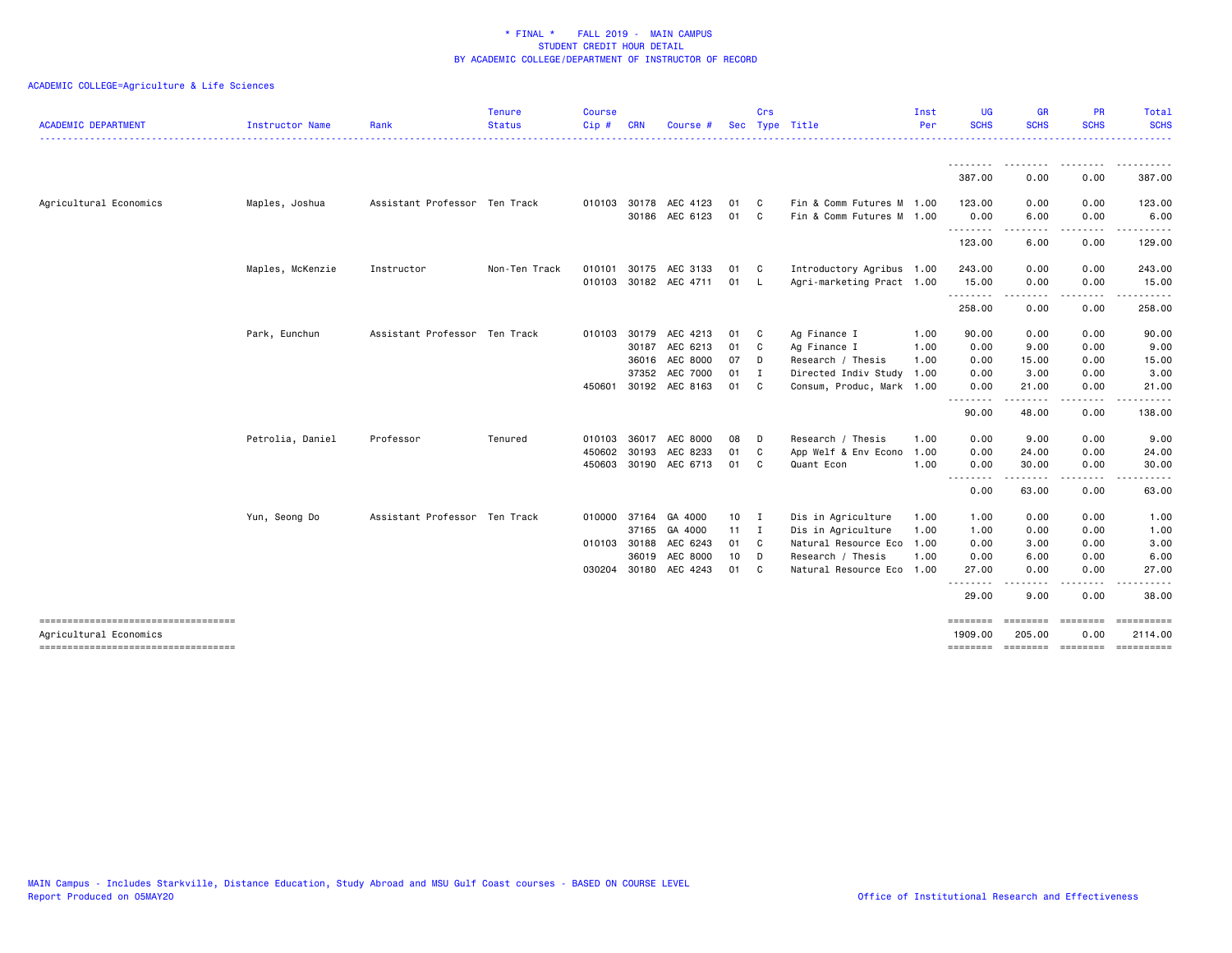| <b>ACADEMIC DEPARTMENT</b>          | Instructor Name  | Rank                          | <b>Tenure</b><br><b>Status</b> | <b>Course</b><br>Cip# | <b>CRN</b>   | Course                |                 | Crs            | Sec Type Title            | Inst<br>Per | <b>UG</b><br><b>SCHS</b> | <b>GR</b><br><b>SCHS</b>        | <b>PR</b><br><b>SCHS</b> | Total<br><b>SCHS</b>                 |
|-------------------------------------|------------------|-------------------------------|--------------------------------|-----------------------|--------------|-----------------------|-----------------|----------------|---------------------------|-------------|--------------------------|---------------------------------|--------------------------|--------------------------------------|
|                                     |                  |                               | . <u>.</u> .                   |                       |              |                       |                 |                |                           |             | <u>.</u>                 |                                 |                          | <u>.</u>                             |
|                                     |                  |                               |                                |                       |              |                       |                 |                |                           |             | <u>.</u><br>387.00       | <u> - - - - - - - -</u><br>0.00 | ---------<br>0.00        | .<br>387.00                          |
| Agricultural Economics              | Maples, Joshua   | Assistant Professor Ten Track |                                |                       |              | 010103 30178 AEC 4123 | 01              | $\mathbf{C}$   | Fin & Comm Futures M 1.00 |             | 123.00                   | 0.00                            | 0.00                     | 123.00                               |
|                                     |                  |                               |                                |                       |              | 30186 AEC 6123        | 01              | C              | Fin & Comm Futures M 1.00 |             | 0.00                     | 6.00                            | 0.00                     | 6.00                                 |
|                                     |                  |                               |                                |                       |              |                       |                 |                |                           |             | .<br>123.00              | 6.00                            | 0.00                     | 129.00                               |
|                                     | Maples, McKenzie | Instructor                    | Non-Ten Track                  | 010101                | 30175        | AEC 3133              | 01              | $\mathbf{C}$   | Introductory Agribus 1.00 |             | 243.00                   | 0.00                            | 0.00                     | 243.00                               |
|                                     |                  |                               |                                |                       |              | 010103 30182 AEC 4711 | 01              | <b>L</b>       | Agri-marketing Pract 1.00 |             | 15.00<br><u>.</u>        | 0.00<br>. <b>.</b>              | 0.00<br>.                | 15.00<br>.                           |
|                                     |                  |                               |                                |                       |              |                       |                 |                |                           |             | 258.00                   | 0.00                            | 0.00                     | 258.00                               |
|                                     | Park, Eunchun    | Assistant Professor Ten Track |                                |                       |              | 010103 30179 AEC 4213 | 01              | $\mathbf{C}$   | Ag Finance I              | 1.00        | 90.00                    | 0.00                            | 0.00                     | 90.00                                |
|                                     |                  |                               |                                |                       |              | 30187 AEC 6213        | 01              | C.             | Ag Finance I              | 1.00        | 0.00                     | 9.00                            | 0.00                     | 9.00                                 |
|                                     |                  |                               |                                |                       | 36016        | AEC 8000              | 07              | D              | Research / Thesis         | 1.00        | 0.00                     | 15.00                           | 0.00                     | 15.00                                |
|                                     |                  |                               |                                |                       | 37352        | AEC 7000              | 01 I            |                | Directed Indiv Study      | 1.00        | 0.00                     | 3.00                            | 0.00                     | 3.00                                 |
|                                     |                  |                               |                                | 450601                |              | 30192 AEC 8163        | 01              | C C            | Consum, Produc, Mark 1.00 |             | 0.00                     | 21.00                           | 0.00                     | 21.00                                |
|                                     |                  |                               |                                |                       |              |                       |                 |                |                           |             | .<br>90.00               | 48.00                           | 0.00                     | 138.00                               |
|                                     | Petrolia, Daniel | Professor                     | Tenured                        | 010103                | 36017        | AEC 8000              | 08              | D D            | Research / Thesis         | 1.00        | 0.00                     | 9.00                            | 0.00                     | 9.00                                 |
|                                     |                  |                               |                                | 450602                | 30193        | AEC 8233              | 01              | C              | App Welf & Env Econo      | 1.00        | 0.00                     | 24.00                           | 0.00                     | 24.00                                |
|                                     |                  |                               |                                |                       |              | 450603 30190 AEC 6713 | 01              | C.             | Quant Econ                | 1.00        | 0.00                     | 30.00                           | 0.00                     | 30.00                                |
|                                     |                  |                               |                                |                       |              |                       |                 |                |                           |             | --------<br>0.00         | .<br>63.00                      | . <b>.</b> .<br>0.00     | 63.00                                |
|                                     | Yun, Seong Do    | Assistant Professor Ten Track |                                |                       | 010000 37164 | GA 4000               | 10 I            |                | Dis in Agriculture        | 1.00        | 1.00                     | 0.00                            | 0.00                     | 1.00                                 |
|                                     |                  |                               |                                |                       | 37165        | GA 4000               | $11 \quad I$    |                | Dis in Agriculture        | 1.00        | 1.00                     | 0.00                            | 0.00                     | 1.00                                 |
|                                     |                  |                               |                                | 010103                | 30188        | AEC 6243              | 01 C            |                | Natural Resource Eco      | 1.00        | 0.00                     | 3.00                            | 0.00                     | 3.00                                 |
|                                     |                  |                               |                                |                       | 36019        | AEC 8000              | 10 <sub>1</sub> | D D            | Research / Thesis         | 1.00        | 0.00                     | 6.00                            | 0.00                     | 6.00                                 |
|                                     |                  |                               |                                |                       |              | 030204 30180 AEC 4243 | 01              | C <sub>1</sub> | Natural Resource Eco 1.00 |             | 27.00                    | 0.00                            | 0.00                     | 27.00                                |
|                                     |                  |                               |                                |                       |              |                       |                 |                |                           |             | $\frac{1}{2}$<br>29.00   | 9.00                            | 0.00                     | 38.00                                |
| ----------------------------------- |                  |                               |                                |                       |              |                       |                 |                |                           |             | ========                 | eeeeeee                         |                          | ==========                           |
| Agricultural Economics              |                  |                               |                                |                       |              |                       |                 |                |                           |             | 1909.00<br>---------     | 205.00                          | 0.00                     | 2114.00<br>stateste esterne enternen |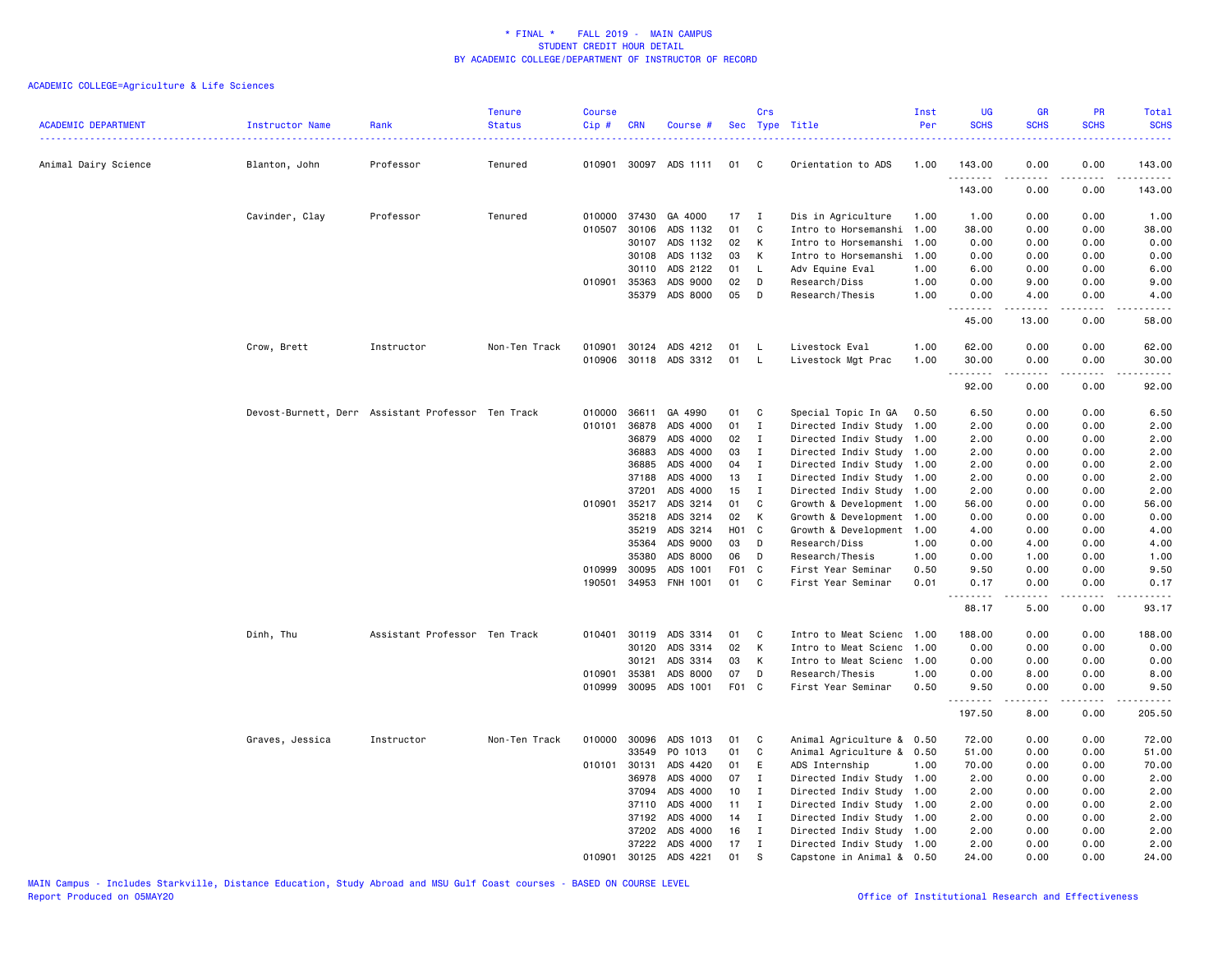| <b>ACADEMIC DEPARTMENT</b> | Instructor Name | Rank                                               | <b>Tenure</b><br><b>Status</b> | <b>Course</b><br>Cip# | <b>CRN</b>            | Course #             | <b>Sec</b>      | Crs              | Type Title                                   | Inst<br>Per  | <b>UG</b><br><b>SCHS</b>                                                                                                                                      | <b>GR</b><br><b>SCHS</b> | <b>PR</b><br><b>SCHS</b> | Total<br><b>SCHS</b>                                                                                                               |
|----------------------------|-----------------|----------------------------------------------------|--------------------------------|-----------------------|-----------------------|----------------------|-----------------|------------------|----------------------------------------------|--------------|---------------------------------------------------------------------------------------------------------------------------------------------------------------|--------------------------|--------------------------|------------------------------------------------------------------------------------------------------------------------------------|
| Animal Dairy Science       | Blanton, John   | Professor                                          | Tenured                        | 010901                |                       | 30097 ADS 1111       | 01              | C                | Orientation to ADS                           | 1.00         | 143.00                                                                                                                                                        | 0.00                     | 0.00                     | 143.00                                                                                                                             |
|                            |                 |                                                    |                                |                       |                       |                      |                 |                  |                                              |              | 143.00                                                                                                                                                        | 0.00                     | 0.00                     | 143.00                                                                                                                             |
|                            | Cavinder, Clay  | Professor                                          | Tenured                        |                       | 010000 37430          | GA 4000              | 17              | I                | Dis in Agriculture                           | 1.00         | 1.00                                                                                                                                                          | 0.00                     | 0.00                     | 1.00                                                                                                                               |
|                            |                 |                                                    |                                |                       | 010507 30106          | ADS 1132             | 01              | C                | Intro to Horsemanshi                         | 1.00         | 38.00                                                                                                                                                         | 0.00                     | 0.00                     | 38.00                                                                                                                              |
|                            |                 |                                                    |                                |                       | 30107                 | ADS 1132             | 02              | К                | Intro to Horsemanshi                         | 1.00         | 0.00                                                                                                                                                          | 0.00                     | 0.00                     | 0.00                                                                                                                               |
|                            |                 |                                                    |                                |                       | 30108                 | ADS 1132<br>ADS 2122 | 03<br>01        | К                | Intro to Horsemanshi                         | 1.00         | 0.00                                                                                                                                                          | 0.00                     | 0.00                     | 0.00<br>6.00                                                                                                                       |
|                            |                 |                                                    |                                |                       | 30110<br>010901 35363 | ADS 9000             | 02              | L<br>D           | Adv Equine Eval<br>Research/Diss             | 1.00<br>1.00 | 6.00<br>0.00                                                                                                                                                  | 0.00<br>9.00             | 0.00<br>0.00             | 9.00                                                                                                                               |
|                            |                 |                                                    |                                |                       | 35379                 | ADS 8000             | 05              | D                | Research/Thesis                              | 1.00         | 0.00                                                                                                                                                          | 4.00                     | 0.00                     | 4.00                                                                                                                               |
|                            |                 |                                                    |                                |                       |                       |                      |                 |                  |                                              |              | .<br>45.00                                                                                                                                                    | $\frac{1}{2}$<br>13.00   | .<br>0.00                | . <b>.</b><br>58.00                                                                                                                |
|                            | Crow, Brett     | Instructor                                         | Non-Ten Track                  | 010901                | 30124                 | ADS 4212             | 01              | - L              | Livestock Eval                               | 1.00         | 62.00                                                                                                                                                         | 0.00                     | 0.00                     | 62.00                                                                                                                              |
|                            |                 |                                                    |                                | 010906                |                       | 30118 ADS 3312       | 01              | - L              | Livestock Mgt Prac                           | 1.00         | 30.00                                                                                                                                                         | 0.00                     | 0.00                     | 30.00                                                                                                                              |
|                            |                 |                                                    |                                |                       |                       |                      |                 |                  |                                              |              | $\frac{1}{2} \left( \frac{1}{2} \right) \left( \frac{1}{2} \right) \left( \frac{1}{2} \right) \left( \frac{1}{2} \right) \left( \frac{1}{2} \right)$<br>92.00 | 0.00                     | .<br>0.00                | $\frac{1}{2} \left( \frac{1}{2} \right) \left( \frac{1}{2} \right) \left( \frac{1}{2} \right) \left( \frac{1}{2} \right)$<br>92.00 |
|                            |                 | Devost-Burnett, Derr Assistant Professor Ten Track |                                | 010000                | 36611                 | GA 4990              | 01              | C                | Special Topic In GA                          | 0.50         | 6.50                                                                                                                                                          | 0.00                     | 0.00                     | 6.50                                                                                                                               |
|                            |                 |                                                    |                                | 010101                | 36878                 | ADS 4000             | 01              | $\mathbf{I}$     | Directed Indiv Study                         | 1.00         | 2.00                                                                                                                                                          | 0.00                     | 0.00                     | 2.00                                                                                                                               |
|                            |                 |                                                    |                                |                       | 36879                 | ADS 4000             | 02              | Ι.               | Directed Indiv Study                         | 1.00         | 2.00                                                                                                                                                          | 0.00                     | 0.00                     | 2.00                                                                                                                               |
|                            |                 |                                                    |                                |                       | 36883                 | ADS 4000             | 03              | <b>I</b>         | Directed Indiv Study                         | 1.00         | 2.00                                                                                                                                                          | 0.00                     | 0.00                     | 2.00                                                                                                                               |
|                            |                 |                                                    |                                |                       | 36885                 | ADS 4000             | 04              | $\mathbf{I}$     | Directed Indiv Study                         | 1.00         | 2.00                                                                                                                                                          | 0.00                     | 0.00                     | 2.00                                                                                                                               |
|                            |                 |                                                    |                                |                       | 37188                 | ADS 4000             | 13              | I                | Directed Indiv Study                         | 1.00         | 2.00                                                                                                                                                          | 0.00                     | 0.00                     | 2.00                                                                                                                               |
|                            |                 |                                                    |                                |                       | 37201<br>010901 35217 | ADS 4000<br>ADS 3214 | 15<br>01        | I<br>C           | Directed Indiv Study<br>Growth & Development | 1.00         | 2.00<br>56.00                                                                                                                                                 | 0.00<br>0.00             | 0.00<br>0.00             | 2.00<br>56.00                                                                                                                      |
|                            |                 |                                                    |                                |                       | 35218                 | ADS 3214             | 02              | К                | Growth & Development                         | 1.00<br>1.00 | 0.00                                                                                                                                                          | 0.00                     | 0.00                     | 0.00                                                                                                                               |
|                            |                 |                                                    |                                |                       | 35219                 | ADS 3214             | HO <sub>1</sub> | C                | Growth & Development                         | 1.00         | 4.00                                                                                                                                                          | 0.00                     | 0.00                     | 4.00                                                                                                                               |
|                            |                 |                                                    |                                |                       | 35364                 | ADS 9000             | 03              | D                | Research/Diss                                | 1.00         | 0.00                                                                                                                                                          | 4.00                     | 0.00                     | 4.00                                                                                                                               |
|                            |                 |                                                    |                                |                       | 35380                 | ADS 8000             | 06              | D                | Research/Thesis                              | 1.00         | 0.00                                                                                                                                                          | 1.00                     | 0.00                     | 1.00                                                                                                                               |
|                            |                 |                                                    |                                | 010999                | 30095                 | ADS 1001             | F01 C           |                  | First Year Seminar                           | 0.50         | 9.50                                                                                                                                                          | 0.00                     | 0.00                     | 9.50                                                                                                                               |
|                            |                 |                                                    |                                | 190501                | 34953                 | FNH 1001             | 01              | C                | First Year Seminar                           | 0.01         | 0.17<br><u>.</u>                                                                                                                                              | 0.00<br>.                | 0.00<br>.                | 0.17<br>$\frac{1}{2}$                                                                                                              |
|                            |                 |                                                    |                                |                       |                       |                      |                 |                  |                                              |              | 88.17                                                                                                                                                         | 5.00                     | 0.00                     | 93.17                                                                                                                              |
|                            | Dinh, Thu       | Assistant Professor Ten Track                      |                                | 010401                | 30119                 | ADS 3314             | 01              | C                | Intro to Meat Scienc                         | 1.00         | 188.00                                                                                                                                                        | 0.00                     | 0.00                     | 188.00                                                                                                                             |
|                            |                 |                                                    |                                |                       | 30120                 | ADS 3314             | 02              | К                | Intro to Meat Scienc                         | 1.00         | 0.00                                                                                                                                                          | 0.00                     | 0.00                     | 0.00                                                                                                                               |
|                            |                 |                                                    |                                |                       | 30121                 | ADS 3314             | 03              | К                | Intro to Meat Scienc                         | 1.00         | 0.00                                                                                                                                                          | 0.00                     | 0.00                     | 0.00                                                                                                                               |
|                            |                 |                                                    |                                | 010901                | 35381                 | ADS 8000             | 07              | D                | Research/Thesis                              | 1.00         | 0.00                                                                                                                                                          | 8.00                     | 0.00                     | 8.00                                                                                                                               |
|                            |                 |                                                    |                                |                       | 010999 30095          | ADS 1001             | F01 C           |                  | First Year Seminar                           | 0.50         | 9.50<br>$- - - -$                                                                                                                                             | 0.00<br>.                | 0.00<br>.                | 9.50<br>- - - - -                                                                                                                  |
|                            |                 |                                                    |                                |                       |                       |                      |                 |                  |                                              |              | 197.50                                                                                                                                                        | 8.00                     | 0.00                     | 205.50                                                                                                                             |
|                            | Graves, Jessica | Instructor                                         | Non-Ten Track                  | 010000                | 30096                 | ADS 1013             | 01              | C                | Animal Agriculture & 0.50                    |              | 72.00                                                                                                                                                         | 0.00                     | 0.00                     | 72.00                                                                                                                              |
|                            |                 |                                                    |                                |                       | 33549                 | PO 1013              | 01              | C                | Animal Agriculture & 0.50                    |              | 51.00                                                                                                                                                         | 0.00                     | 0.00                     | 51.00                                                                                                                              |
|                            |                 |                                                    |                                |                       | 010101 30131<br>36978 | ADS 4420<br>ADS 4000 | 01<br>07        | E<br>$\mathbf I$ | ADS Internship<br>Directed Indiv Study 1.00  | 1.00         | 70.00<br>2.00                                                                                                                                                 | 0.00<br>0.00             | 0.00<br>0.00             | 70.00<br>2.00                                                                                                                      |
|                            |                 |                                                    |                                |                       | 37094                 | ADS 4000             | 10              | Ι.               | Directed Indiv Study                         | 1.00         | 2.00                                                                                                                                                          | 0.00                     | 0.00                     | 2.00                                                                                                                               |
|                            |                 |                                                    |                                |                       | 37110                 | ADS 4000             | 11              | Ι                | Directed Indiv Study 1.00                    |              | 2.00                                                                                                                                                          | 0.00                     | 0.00                     | 2.00                                                                                                                               |
|                            |                 |                                                    |                                |                       | 37192                 | ADS 4000             | 14              | Ι.               | Directed Indiv Study 1.00                    |              | 2.00                                                                                                                                                          | 0.00                     | 0.00                     | 2.00                                                                                                                               |
|                            |                 |                                                    |                                |                       | 37202                 | ADS 4000             | 16              | $\mathbf{I}$     | Directed Indiv Study                         | 1.00         | 2.00                                                                                                                                                          | 0.00                     | 0.00                     | 2.00                                                                                                                               |
|                            |                 |                                                    |                                |                       | 37222                 | ADS 4000             | 17              | $\mathbf I$      | Directed Indiv Study 1.00                    |              | 2.00                                                                                                                                                          | 0.00                     | 0.00                     | 2.00                                                                                                                               |
|                            |                 |                                                    |                                | 010901                | 30125                 | ADS 4221             | 01              | <sub>S</sub>     | Capstone in Animal & 0.50                    |              | 24.00                                                                                                                                                         | 0.00                     | 0.00                     | 24.00                                                                                                                              |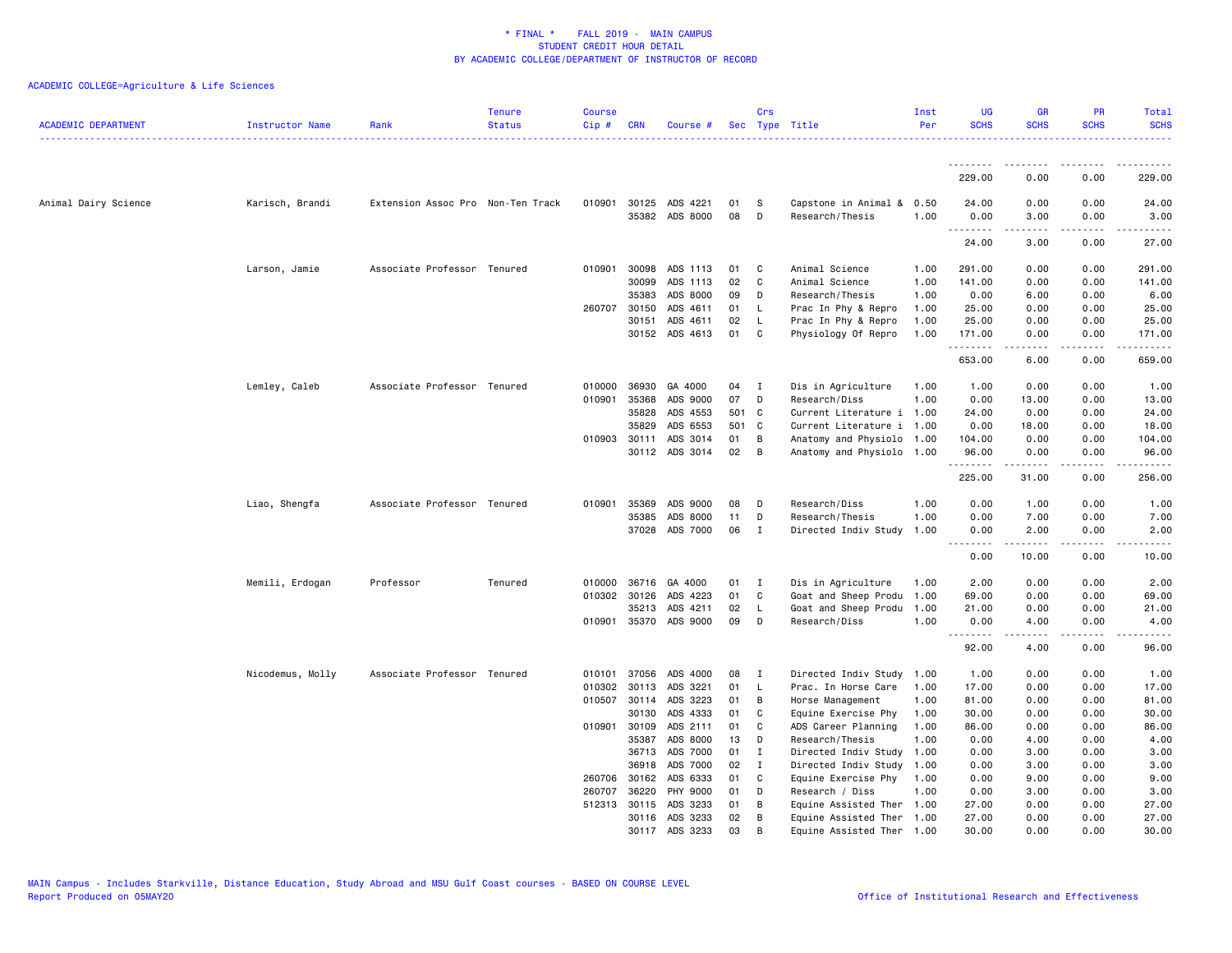| -------------<br><u>.</u><br>.<br>.<br>229.00<br>0.00<br>0.00<br>229.00<br>30125<br>0.00<br>0.00<br>Animal Dairy Science<br>Extension Assoc Pro Non-Ten Track<br>010901<br>ADS 4221<br>01<br>S<br>Capstone in Animal &<br>0.50<br>24.00<br>24.00<br>Karisch, Brandi<br>ADS 8000<br>08<br>35382<br>D<br>Research/Thesis<br>1.00<br>0.00<br>0.00<br>3.00<br>3.00<br>.<br>3.00<br>27.00<br>24.00<br>0.00<br>Associate Professor Tenured<br>010901<br>30098<br>ADS 1113<br>01<br>C<br>Animal Science<br>1.00<br>291.00<br>0.00<br>0.00<br>291.00<br>Larson, Jamie<br>02<br>$\mathbf C$<br>30099<br>ADS 1113<br>Animal Science<br>1.00<br>141.00<br>0.00<br>0.00<br>141.00<br>35383<br>ADS 8000<br>09<br>Research/Thesis<br>D<br>1.00<br>0.00<br>6.00<br>0.00<br>6.00<br>ADS 4611<br>25.00<br>260707 30150<br>01<br><b>L</b><br>Prac In Phy & Repro<br>1.00<br>25.00<br>0.00<br>0.00<br>ADS 4611<br>02<br>30151<br>L<br>Prac In Phy & Repro<br>1.00<br>25.00<br>0.00<br>0.00<br>25.00<br>30152<br>ADS 4613<br>01<br>C<br>Physiology Of Repro<br>1.00<br>171.00<br>0.00<br>0.00<br>171.00<br>.<br>653.00<br>6.00<br>0.00<br>659.00<br>Lemley, Caleb<br>Associate Professor Tenured<br>36930<br>GA 4000<br>04<br>Dis in Agriculture<br>1.00<br>1.00<br>0.00<br>0.00<br>1.00<br>010000<br>- I<br>010901<br>35368<br>ADS 9000<br>07<br>D<br>Research/Diss<br>1.00<br>0.00<br>13.00<br>0.00<br>13.00<br>35828<br>ADS 4553<br>501 C<br>Current Literature i<br>24.00<br>1.00<br>0.00<br>0.00<br>24.00<br>35829<br>ADS 6553<br>501 C<br>Current Literature i<br>1.00<br>0.00<br>18.00<br>0.00<br>18.00<br>010903 30111<br>ADS 3014<br>01<br>B<br>Anatomy and Physiolo<br>104.00<br>0.00<br>0.00<br>1.00<br>104.00<br>02<br>30112<br>ADS 3014<br>B<br>Anatomy and Physiolo 1.00<br>96.00<br>0.00<br>0.00<br>96.00<br>.<br>225.00<br>31.00<br>0.00<br>256.00<br>35369<br>ADS 9000<br>08<br>1.00<br>0.00<br>1.00<br>0.00<br>1.00<br>Liao, Shengfa<br>Associate Professor Tenured<br>010901<br>D<br>Research/Diss<br>35385<br>ADS 8000<br>11<br>1.00<br>D<br>Research/Thesis<br>0.00<br>7.00<br>0.00<br>7.00<br>37028<br>ADS 7000<br>06<br>$\mathbf{I}$<br>Directed Indiv Study<br>1.00<br>2.00<br>0.00<br>0.00<br>2.00<br>.<br>$- - - -$<br>.<br>0.00<br>10.00<br>0.00<br>10.00<br>Memili, Erdogan<br>010000 36716<br>GA 4000<br>01<br>Dis in Agriculture<br>2.00<br>0.00<br>0.00<br>2.00<br>Professor<br>Tenured<br>1.00<br>$\blacksquare$<br>01<br>C<br>Goat and Sheep Produ<br>0.00<br>010302 30126<br>ADS 4223<br>1.00<br>69.00<br>0.00<br>69.00<br>35213<br>02<br>Goat and Sheep Produ<br>1.00<br>21.00<br>0.00<br>0.00<br>21.00<br>ADS 4211<br>L.<br>010901 35370 ADS 9000<br>09<br>D<br>Research/Diss<br>1.00<br>0.00<br>4.00<br>0.00<br>4.00<br>.<br>$\frac{1}{2} \left( \frac{1}{2} \right) \left( \frac{1}{2} \right) \left( \frac{1}{2} \right) \left( \frac{1}{2} \right) \left( \frac{1}{2} \right)$<br>.<br>.<br>92.00<br>4.00<br>0.00<br>96.00<br>08<br>0.00<br>Nicodemus, Molly<br>Associate Professor Tenured<br>010101<br>37056<br>ADS 4000<br>I<br>Directed Indiv Study<br>1.00<br>1.00<br>0.00<br>1.00<br>30113<br>01<br>010302<br>ADS 3221<br>L<br>Prac. In Horse Care<br>1.00<br>17.00<br>0.00<br>0.00<br>17.00<br>010507<br>30114<br>ADS 3223<br>01<br>Horse Management<br>1.00<br>81.00<br>0.00<br>0.00<br>81.00<br>В<br>ADS 4333<br>30130<br>01<br>C<br>0.00<br>30.00<br>Equine Exercise Phy<br>1.00<br>30.00<br>0.00<br>010901 30109<br>ADS 2111<br>01<br>C<br>ADS Career Planning<br>1.00<br>86.00<br>0.00<br>0.00<br>86.00<br>35387<br>ADS 8000<br>13<br>D<br>Research/Thesis<br>1.00<br>0.00<br>4.00<br>0.00<br>4.00<br>ADS 7000<br>01<br>36713<br>I<br>Directed Indiv Study<br>1.00<br>0.00<br>3.00<br>0.00<br>3.00<br>ADS 7000<br>02<br>36918<br>I<br>Directed Indiv Study<br>1.00<br>0.00<br>3.00<br>0.00<br>3.00<br>260706 30162<br>ADS 6333<br>01<br>1.00<br>0.00<br>0.00<br>9.00<br>C<br>Equine Exercise Phy<br>9.00 | <b>ACADEMIC DEPARTMENT</b> | Instructor Name | Rank | <b>Tenure</b><br><b>Status</b> | <b>Course</b><br>Cip# | <b>CRN</b> | Course # |    | Crs | Sec Type Title | Inst<br>Per | <b>UG</b><br><b>SCHS</b> | <b>GR</b><br><b>SCHS</b> | <b>PR</b><br><b>SCHS</b> | <b>Total</b><br><b>SCHS</b> |
|------------------------------------------------------------------------------------------------------------------------------------------------------------------------------------------------------------------------------------------------------------------------------------------------------------------------------------------------------------------------------------------------------------------------------------------------------------------------------------------------------------------------------------------------------------------------------------------------------------------------------------------------------------------------------------------------------------------------------------------------------------------------------------------------------------------------------------------------------------------------------------------------------------------------------------------------------------------------------------------------------------------------------------------------------------------------------------------------------------------------------------------------------------------------------------------------------------------------------------------------------------------------------------------------------------------------------------------------------------------------------------------------------------------------------------------------------------------------------------------------------------------------------------------------------------------------------------------------------------------------------------------------------------------------------------------------------------------------------------------------------------------------------------------------------------------------------------------------------------------------------------------------------------------------------------------------------------------------------------------------------------------------------------------------------------------------------------------------------------------------------------------------------------------------------------------------------------------------------------------------------------------------------------------------------------------------------------------------------------------------------------------------------------------------------------------------------------------------------------------------------------------------------------------------------------------------------------------------------------------------------------------------------------------------------------------------------------------------------------------------------------------------------------------------------------------------------------------------------------------------------------------------------------------------------------------------------------------------------------------------------------------------------------------------------------------------------------------------------------------------------------------------------------------------------------------------------------------------------------------------------------------------------------------------------------------------------------------------------------------------------------------------------------------------------------------------------------------------------------------------------------------------------------------------------------------------------------------------------------------------------------------------------------------------------------------------------------------------------------------------------------------------------------------------------------------------------------------------------------------------------------------------------------------------------------------|----------------------------|-----------------|------|--------------------------------|-----------------------|------------|----------|----|-----|----------------|-------------|--------------------------|--------------------------|--------------------------|-----------------------------|
|                                                                                                                                                                                                                                                                                                                                                                                                                                                                                                                                                                                                                                                                                                                                                                                                                                                                                                                                                                                                                                                                                                                                                                                                                                                                                                                                                                                                                                                                                                                                                                                                                                                                                                                                                                                                                                                                                                                                                                                                                                                                                                                                                                                                                                                                                                                                                                                                                                                                                                                                                                                                                                                                                                                                                                                                                                                                                                                                                                                                                                                                                                                                                                                                                                                                                                                                                                                                                                                                                                                                                                                                                                                                                                                                                                                                                                                                                                                                          |                            |                 |      |                                |                       |            |          |    |     |                |             |                          |                          |                          |                             |
|                                                                                                                                                                                                                                                                                                                                                                                                                                                                                                                                                                                                                                                                                                                                                                                                                                                                                                                                                                                                                                                                                                                                                                                                                                                                                                                                                                                                                                                                                                                                                                                                                                                                                                                                                                                                                                                                                                                                                                                                                                                                                                                                                                                                                                                                                                                                                                                                                                                                                                                                                                                                                                                                                                                                                                                                                                                                                                                                                                                                                                                                                                                                                                                                                                                                                                                                                                                                                                                                                                                                                                                                                                                                                                                                                                                                                                                                                                                                          |                            |                 |      |                                |                       |            |          |    |     |                |             |                          |                          |                          |                             |
|                                                                                                                                                                                                                                                                                                                                                                                                                                                                                                                                                                                                                                                                                                                                                                                                                                                                                                                                                                                                                                                                                                                                                                                                                                                                                                                                                                                                                                                                                                                                                                                                                                                                                                                                                                                                                                                                                                                                                                                                                                                                                                                                                                                                                                                                                                                                                                                                                                                                                                                                                                                                                                                                                                                                                                                                                                                                                                                                                                                                                                                                                                                                                                                                                                                                                                                                                                                                                                                                                                                                                                                                                                                                                                                                                                                                                                                                                                                                          |                            |                 |      |                                |                       |            |          |    |     |                |             |                          |                          |                          |                             |
|                                                                                                                                                                                                                                                                                                                                                                                                                                                                                                                                                                                                                                                                                                                                                                                                                                                                                                                                                                                                                                                                                                                                                                                                                                                                                                                                                                                                                                                                                                                                                                                                                                                                                                                                                                                                                                                                                                                                                                                                                                                                                                                                                                                                                                                                                                                                                                                                                                                                                                                                                                                                                                                                                                                                                                                                                                                                                                                                                                                                                                                                                                                                                                                                                                                                                                                                                                                                                                                                                                                                                                                                                                                                                                                                                                                                                                                                                                                                          |                            |                 |      |                                |                       |            |          |    |     |                |             |                          |                          |                          |                             |
|                                                                                                                                                                                                                                                                                                                                                                                                                                                                                                                                                                                                                                                                                                                                                                                                                                                                                                                                                                                                                                                                                                                                                                                                                                                                                                                                                                                                                                                                                                                                                                                                                                                                                                                                                                                                                                                                                                                                                                                                                                                                                                                                                                                                                                                                                                                                                                                                                                                                                                                                                                                                                                                                                                                                                                                                                                                                                                                                                                                                                                                                                                                                                                                                                                                                                                                                                                                                                                                                                                                                                                                                                                                                                                                                                                                                                                                                                                                                          |                            |                 |      |                                |                       |            |          |    |     |                |             |                          |                          |                          |                             |
|                                                                                                                                                                                                                                                                                                                                                                                                                                                                                                                                                                                                                                                                                                                                                                                                                                                                                                                                                                                                                                                                                                                                                                                                                                                                                                                                                                                                                                                                                                                                                                                                                                                                                                                                                                                                                                                                                                                                                                                                                                                                                                                                                                                                                                                                                                                                                                                                                                                                                                                                                                                                                                                                                                                                                                                                                                                                                                                                                                                                                                                                                                                                                                                                                                                                                                                                                                                                                                                                                                                                                                                                                                                                                                                                                                                                                                                                                                                                          |                            |                 |      |                                |                       |            |          |    |     |                |             |                          |                          |                          |                             |
|                                                                                                                                                                                                                                                                                                                                                                                                                                                                                                                                                                                                                                                                                                                                                                                                                                                                                                                                                                                                                                                                                                                                                                                                                                                                                                                                                                                                                                                                                                                                                                                                                                                                                                                                                                                                                                                                                                                                                                                                                                                                                                                                                                                                                                                                                                                                                                                                                                                                                                                                                                                                                                                                                                                                                                                                                                                                                                                                                                                                                                                                                                                                                                                                                                                                                                                                                                                                                                                                                                                                                                                                                                                                                                                                                                                                                                                                                                                                          |                            |                 |      |                                |                       |            |          |    |     |                |             |                          |                          |                          |                             |
|                                                                                                                                                                                                                                                                                                                                                                                                                                                                                                                                                                                                                                                                                                                                                                                                                                                                                                                                                                                                                                                                                                                                                                                                                                                                                                                                                                                                                                                                                                                                                                                                                                                                                                                                                                                                                                                                                                                                                                                                                                                                                                                                                                                                                                                                                                                                                                                                                                                                                                                                                                                                                                                                                                                                                                                                                                                                                                                                                                                                                                                                                                                                                                                                                                                                                                                                                                                                                                                                                                                                                                                                                                                                                                                                                                                                                                                                                                                                          |                            |                 |      |                                |                       |            |          |    |     |                |             |                          |                          |                          |                             |
|                                                                                                                                                                                                                                                                                                                                                                                                                                                                                                                                                                                                                                                                                                                                                                                                                                                                                                                                                                                                                                                                                                                                                                                                                                                                                                                                                                                                                                                                                                                                                                                                                                                                                                                                                                                                                                                                                                                                                                                                                                                                                                                                                                                                                                                                                                                                                                                                                                                                                                                                                                                                                                                                                                                                                                                                                                                                                                                                                                                                                                                                                                                                                                                                                                                                                                                                                                                                                                                                                                                                                                                                                                                                                                                                                                                                                                                                                                                                          |                            |                 |      |                                |                       |            |          |    |     |                |             |                          |                          |                          |                             |
|                                                                                                                                                                                                                                                                                                                                                                                                                                                                                                                                                                                                                                                                                                                                                                                                                                                                                                                                                                                                                                                                                                                                                                                                                                                                                                                                                                                                                                                                                                                                                                                                                                                                                                                                                                                                                                                                                                                                                                                                                                                                                                                                                                                                                                                                                                                                                                                                                                                                                                                                                                                                                                                                                                                                                                                                                                                                                                                                                                                                                                                                                                                                                                                                                                                                                                                                                                                                                                                                                                                                                                                                                                                                                                                                                                                                                                                                                                                                          |                            |                 |      |                                |                       |            |          |    |     |                |             |                          |                          |                          |                             |
|                                                                                                                                                                                                                                                                                                                                                                                                                                                                                                                                                                                                                                                                                                                                                                                                                                                                                                                                                                                                                                                                                                                                                                                                                                                                                                                                                                                                                                                                                                                                                                                                                                                                                                                                                                                                                                                                                                                                                                                                                                                                                                                                                                                                                                                                                                                                                                                                                                                                                                                                                                                                                                                                                                                                                                                                                                                                                                                                                                                                                                                                                                                                                                                                                                                                                                                                                                                                                                                                                                                                                                                                                                                                                                                                                                                                                                                                                                                                          |                            |                 |      |                                |                       |            |          |    |     |                |             |                          |                          |                          |                             |
|                                                                                                                                                                                                                                                                                                                                                                                                                                                                                                                                                                                                                                                                                                                                                                                                                                                                                                                                                                                                                                                                                                                                                                                                                                                                                                                                                                                                                                                                                                                                                                                                                                                                                                                                                                                                                                                                                                                                                                                                                                                                                                                                                                                                                                                                                                                                                                                                                                                                                                                                                                                                                                                                                                                                                                                                                                                                                                                                                                                                                                                                                                                                                                                                                                                                                                                                                                                                                                                                                                                                                                                                                                                                                                                                                                                                                                                                                                                                          |                            |                 |      |                                |                       |            |          |    |     |                |             |                          |                          |                          |                             |
|                                                                                                                                                                                                                                                                                                                                                                                                                                                                                                                                                                                                                                                                                                                                                                                                                                                                                                                                                                                                                                                                                                                                                                                                                                                                                                                                                                                                                                                                                                                                                                                                                                                                                                                                                                                                                                                                                                                                                                                                                                                                                                                                                                                                                                                                                                                                                                                                                                                                                                                                                                                                                                                                                                                                                                                                                                                                                                                                                                                                                                                                                                                                                                                                                                                                                                                                                                                                                                                                                                                                                                                                                                                                                                                                                                                                                                                                                                                                          |                            |                 |      |                                |                       |            |          |    |     |                |             |                          |                          |                          |                             |
|                                                                                                                                                                                                                                                                                                                                                                                                                                                                                                                                                                                                                                                                                                                                                                                                                                                                                                                                                                                                                                                                                                                                                                                                                                                                                                                                                                                                                                                                                                                                                                                                                                                                                                                                                                                                                                                                                                                                                                                                                                                                                                                                                                                                                                                                                                                                                                                                                                                                                                                                                                                                                                                                                                                                                                                                                                                                                                                                                                                                                                                                                                                                                                                                                                                                                                                                                                                                                                                                                                                                                                                                                                                                                                                                                                                                                                                                                                                                          |                            |                 |      |                                |                       |            |          |    |     |                |             |                          |                          |                          |                             |
|                                                                                                                                                                                                                                                                                                                                                                                                                                                                                                                                                                                                                                                                                                                                                                                                                                                                                                                                                                                                                                                                                                                                                                                                                                                                                                                                                                                                                                                                                                                                                                                                                                                                                                                                                                                                                                                                                                                                                                                                                                                                                                                                                                                                                                                                                                                                                                                                                                                                                                                                                                                                                                                                                                                                                                                                                                                                                                                                                                                                                                                                                                                                                                                                                                                                                                                                                                                                                                                                                                                                                                                                                                                                                                                                                                                                                                                                                                                                          |                            |                 |      |                                |                       |            |          |    |     |                |             |                          |                          |                          |                             |
|                                                                                                                                                                                                                                                                                                                                                                                                                                                                                                                                                                                                                                                                                                                                                                                                                                                                                                                                                                                                                                                                                                                                                                                                                                                                                                                                                                                                                                                                                                                                                                                                                                                                                                                                                                                                                                                                                                                                                                                                                                                                                                                                                                                                                                                                                                                                                                                                                                                                                                                                                                                                                                                                                                                                                                                                                                                                                                                                                                                                                                                                                                                                                                                                                                                                                                                                                                                                                                                                                                                                                                                                                                                                                                                                                                                                                                                                                                                                          |                            |                 |      |                                |                       |            |          |    |     |                |             |                          |                          |                          |                             |
|                                                                                                                                                                                                                                                                                                                                                                                                                                                                                                                                                                                                                                                                                                                                                                                                                                                                                                                                                                                                                                                                                                                                                                                                                                                                                                                                                                                                                                                                                                                                                                                                                                                                                                                                                                                                                                                                                                                                                                                                                                                                                                                                                                                                                                                                                                                                                                                                                                                                                                                                                                                                                                                                                                                                                                                                                                                                                                                                                                                                                                                                                                                                                                                                                                                                                                                                                                                                                                                                                                                                                                                                                                                                                                                                                                                                                                                                                                                                          |                            |                 |      |                                |                       |            |          |    |     |                |             |                          |                          |                          |                             |
|                                                                                                                                                                                                                                                                                                                                                                                                                                                                                                                                                                                                                                                                                                                                                                                                                                                                                                                                                                                                                                                                                                                                                                                                                                                                                                                                                                                                                                                                                                                                                                                                                                                                                                                                                                                                                                                                                                                                                                                                                                                                                                                                                                                                                                                                                                                                                                                                                                                                                                                                                                                                                                                                                                                                                                                                                                                                                                                                                                                                                                                                                                                                                                                                                                                                                                                                                                                                                                                                                                                                                                                                                                                                                                                                                                                                                                                                                                                                          |                            |                 |      |                                |                       |            |          |    |     |                |             |                          |                          |                          |                             |
|                                                                                                                                                                                                                                                                                                                                                                                                                                                                                                                                                                                                                                                                                                                                                                                                                                                                                                                                                                                                                                                                                                                                                                                                                                                                                                                                                                                                                                                                                                                                                                                                                                                                                                                                                                                                                                                                                                                                                                                                                                                                                                                                                                                                                                                                                                                                                                                                                                                                                                                                                                                                                                                                                                                                                                                                                                                                                                                                                                                                                                                                                                                                                                                                                                                                                                                                                                                                                                                                                                                                                                                                                                                                                                                                                                                                                                                                                                                                          |                            |                 |      |                                |                       |            |          |    |     |                |             |                          |                          |                          |                             |
|                                                                                                                                                                                                                                                                                                                                                                                                                                                                                                                                                                                                                                                                                                                                                                                                                                                                                                                                                                                                                                                                                                                                                                                                                                                                                                                                                                                                                                                                                                                                                                                                                                                                                                                                                                                                                                                                                                                                                                                                                                                                                                                                                                                                                                                                                                                                                                                                                                                                                                                                                                                                                                                                                                                                                                                                                                                                                                                                                                                                                                                                                                                                                                                                                                                                                                                                                                                                                                                                                                                                                                                                                                                                                                                                                                                                                                                                                                                                          |                            |                 |      |                                |                       |            |          |    |     |                |             |                          |                          |                          |                             |
|                                                                                                                                                                                                                                                                                                                                                                                                                                                                                                                                                                                                                                                                                                                                                                                                                                                                                                                                                                                                                                                                                                                                                                                                                                                                                                                                                                                                                                                                                                                                                                                                                                                                                                                                                                                                                                                                                                                                                                                                                                                                                                                                                                                                                                                                                                                                                                                                                                                                                                                                                                                                                                                                                                                                                                                                                                                                                                                                                                                                                                                                                                                                                                                                                                                                                                                                                                                                                                                                                                                                                                                                                                                                                                                                                                                                                                                                                                                                          |                            |                 |      |                                |                       |            |          |    |     |                |             |                          |                          |                          |                             |
|                                                                                                                                                                                                                                                                                                                                                                                                                                                                                                                                                                                                                                                                                                                                                                                                                                                                                                                                                                                                                                                                                                                                                                                                                                                                                                                                                                                                                                                                                                                                                                                                                                                                                                                                                                                                                                                                                                                                                                                                                                                                                                                                                                                                                                                                                                                                                                                                                                                                                                                                                                                                                                                                                                                                                                                                                                                                                                                                                                                                                                                                                                                                                                                                                                                                                                                                                                                                                                                                                                                                                                                                                                                                                                                                                                                                                                                                                                                                          |                            |                 |      |                                |                       |            |          |    |     |                |             |                          |                          |                          |                             |
|                                                                                                                                                                                                                                                                                                                                                                                                                                                                                                                                                                                                                                                                                                                                                                                                                                                                                                                                                                                                                                                                                                                                                                                                                                                                                                                                                                                                                                                                                                                                                                                                                                                                                                                                                                                                                                                                                                                                                                                                                                                                                                                                                                                                                                                                                                                                                                                                                                                                                                                                                                                                                                                                                                                                                                                                                                                                                                                                                                                                                                                                                                                                                                                                                                                                                                                                                                                                                                                                                                                                                                                                                                                                                                                                                                                                                                                                                                                                          |                            |                 |      |                                |                       |            |          |    |     |                |             |                          |                          |                          |                             |
|                                                                                                                                                                                                                                                                                                                                                                                                                                                                                                                                                                                                                                                                                                                                                                                                                                                                                                                                                                                                                                                                                                                                                                                                                                                                                                                                                                                                                                                                                                                                                                                                                                                                                                                                                                                                                                                                                                                                                                                                                                                                                                                                                                                                                                                                                                                                                                                                                                                                                                                                                                                                                                                                                                                                                                                                                                                                                                                                                                                                                                                                                                                                                                                                                                                                                                                                                                                                                                                                                                                                                                                                                                                                                                                                                                                                                                                                                                                                          |                            |                 |      |                                |                       |            |          |    |     |                |             |                          |                          |                          |                             |
|                                                                                                                                                                                                                                                                                                                                                                                                                                                                                                                                                                                                                                                                                                                                                                                                                                                                                                                                                                                                                                                                                                                                                                                                                                                                                                                                                                                                                                                                                                                                                                                                                                                                                                                                                                                                                                                                                                                                                                                                                                                                                                                                                                                                                                                                                                                                                                                                                                                                                                                                                                                                                                                                                                                                                                                                                                                                                                                                                                                                                                                                                                                                                                                                                                                                                                                                                                                                                                                                                                                                                                                                                                                                                                                                                                                                                                                                                                                                          |                            |                 |      |                                |                       |            |          |    |     |                |             |                          |                          |                          |                             |
|                                                                                                                                                                                                                                                                                                                                                                                                                                                                                                                                                                                                                                                                                                                                                                                                                                                                                                                                                                                                                                                                                                                                                                                                                                                                                                                                                                                                                                                                                                                                                                                                                                                                                                                                                                                                                                                                                                                                                                                                                                                                                                                                                                                                                                                                                                                                                                                                                                                                                                                                                                                                                                                                                                                                                                                                                                                                                                                                                                                                                                                                                                                                                                                                                                                                                                                                                                                                                                                                                                                                                                                                                                                                                                                                                                                                                                                                                                                                          |                            |                 |      |                                |                       |            |          |    |     |                |             |                          |                          |                          |                             |
|                                                                                                                                                                                                                                                                                                                                                                                                                                                                                                                                                                                                                                                                                                                                                                                                                                                                                                                                                                                                                                                                                                                                                                                                                                                                                                                                                                                                                                                                                                                                                                                                                                                                                                                                                                                                                                                                                                                                                                                                                                                                                                                                                                                                                                                                                                                                                                                                                                                                                                                                                                                                                                                                                                                                                                                                                                                                                                                                                                                                                                                                                                                                                                                                                                                                                                                                                                                                                                                                                                                                                                                                                                                                                                                                                                                                                                                                                                                                          |                            |                 |      |                                |                       |            |          |    |     |                |             |                          |                          |                          |                             |
|                                                                                                                                                                                                                                                                                                                                                                                                                                                                                                                                                                                                                                                                                                                                                                                                                                                                                                                                                                                                                                                                                                                                                                                                                                                                                                                                                                                                                                                                                                                                                                                                                                                                                                                                                                                                                                                                                                                                                                                                                                                                                                                                                                                                                                                                                                                                                                                                                                                                                                                                                                                                                                                                                                                                                                                                                                                                                                                                                                                                                                                                                                                                                                                                                                                                                                                                                                                                                                                                                                                                                                                                                                                                                                                                                                                                                                                                                                                                          |                            |                 |      |                                |                       |            |          |    |     |                |             |                          |                          |                          |                             |
|                                                                                                                                                                                                                                                                                                                                                                                                                                                                                                                                                                                                                                                                                                                                                                                                                                                                                                                                                                                                                                                                                                                                                                                                                                                                                                                                                                                                                                                                                                                                                                                                                                                                                                                                                                                                                                                                                                                                                                                                                                                                                                                                                                                                                                                                                                                                                                                                                                                                                                                                                                                                                                                                                                                                                                                                                                                                                                                                                                                                                                                                                                                                                                                                                                                                                                                                                                                                                                                                                                                                                                                                                                                                                                                                                                                                                                                                                                                                          |                            |                 |      |                                |                       |            |          |    |     |                |             |                          |                          |                          |                             |
|                                                                                                                                                                                                                                                                                                                                                                                                                                                                                                                                                                                                                                                                                                                                                                                                                                                                                                                                                                                                                                                                                                                                                                                                                                                                                                                                                                                                                                                                                                                                                                                                                                                                                                                                                                                                                                                                                                                                                                                                                                                                                                                                                                                                                                                                                                                                                                                                                                                                                                                                                                                                                                                                                                                                                                                                                                                                                                                                                                                                                                                                                                                                                                                                                                                                                                                                                                                                                                                                                                                                                                                                                                                                                                                                                                                                                                                                                                                                          |                            |                 |      |                                |                       |            |          |    |     |                |             |                          |                          |                          |                             |
|                                                                                                                                                                                                                                                                                                                                                                                                                                                                                                                                                                                                                                                                                                                                                                                                                                                                                                                                                                                                                                                                                                                                                                                                                                                                                                                                                                                                                                                                                                                                                                                                                                                                                                                                                                                                                                                                                                                                                                                                                                                                                                                                                                                                                                                                                                                                                                                                                                                                                                                                                                                                                                                                                                                                                                                                                                                                                                                                                                                                                                                                                                                                                                                                                                                                                                                                                                                                                                                                                                                                                                                                                                                                                                                                                                                                                                                                                                                                          |                            |                 |      |                                |                       |            |          |    |     |                |             |                          |                          |                          |                             |
|                                                                                                                                                                                                                                                                                                                                                                                                                                                                                                                                                                                                                                                                                                                                                                                                                                                                                                                                                                                                                                                                                                                                                                                                                                                                                                                                                                                                                                                                                                                                                                                                                                                                                                                                                                                                                                                                                                                                                                                                                                                                                                                                                                                                                                                                                                                                                                                                                                                                                                                                                                                                                                                                                                                                                                                                                                                                                                                                                                                                                                                                                                                                                                                                                                                                                                                                                                                                                                                                                                                                                                                                                                                                                                                                                                                                                                                                                                                                          |                            |                 |      |                                |                       |            |          |    |     |                |             |                          |                          |                          |                             |
|                                                                                                                                                                                                                                                                                                                                                                                                                                                                                                                                                                                                                                                                                                                                                                                                                                                                                                                                                                                                                                                                                                                                                                                                                                                                                                                                                                                                                                                                                                                                                                                                                                                                                                                                                                                                                                                                                                                                                                                                                                                                                                                                                                                                                                                                                                                                                                                                                                                                                                                                                                                                                                                                                                                                                                                                                                                                                                                                                                                                                                                                                                                                                                                                                                                                                                                                                                                                                                                                                                                                                                                                                                                                                                                                                                                                                                                                                                                                          |                            |                 |      |                                |                       |            |          |    |     |                |             |                          |                          |                          |                             |
|                                                                                                                                                                                                                                                                                                                                                                                                                                                                                                                                                                                                                                                                                                                                                                                                                                                                                                                                                                                                                                                                                                                                                                                                                                                                                                                                                                                                                                                                                                                                                                                                                                                                                                                                                                                                                                                                                                                                                                                                                                                                                                                                                                                                                                                                                                                                                                                                                                                                                                                                                                                                                                                                                                                                                                                                                                                                                                                                                                                                                                                                                                                                                                                                                                                                                                                                                                                                                                                                                                                                                                                                                                                                                                                                                                                                                                                                                                                                          |                            |                 |      |                                |                       |            |          |    |     |                |             |                          |                          |                          |                             |
|                                                                                                                                                                                                                                                                                                                                                                                                                                                                                                                                                                                                                                                                                                                                                                                                                                                                                                                                                                                                                                                                                                                                                                                                                                                                                                                                                                                                                                                                                                                                                                                                                                                                                                                                                                                                                                                                                                                                                                                                                                                                                                                                                                                                                                                                                                                                                                                                                                                                                                                                                                                                                                                                                                                                                                                                                                                                                                                                                                                                                                                                                                                                                                                                                                                                                                                                                                                                                                                                                                                                                                                                                                                                                                                                                                                                                                                                                                                                          |                            |                 |      |                                |                       |            |          |    |     |                |             |                          |                          |                          |                             |
|                                                                                                                                                                                                                                                                                                                                                                                                                                                                                                                                                                                                                                                                                                                                                                                                                                                                                                                                                                                                                                                                                                                                                                                                                                                                                                                                                                                                                                                                                                                                                                                                                                                                                                                                                                                                                                                                                                                                                                                                                                                                                                                                                                                                                                                                                                                                                                                                                                                                                                                                                                                                                                                                                                                                                                                                                                                                                                                                                                                                                                                                                                                                                                                                                                                                                                                                                                                                                                                                                                                                                                                                                                                                                                                                                                                                                                                                                                                                          |                            |                 |      |                                |                       |            |          |    |     |                |             |                          |                          |                          |                             |
|                                                                                                                                                                                                                                                                                                                                                                                                                                                                                                                                                                                                                                                                                                                                                                                                                                                                                                                                                                                                                                                                                                                                                                                                                                                                                                                                                                                                                                                                                                                                                                                                                                                                                                                                                                                                                                                                                                                                                                                                                                                                                                                                                                                                                                                                                                                                                                                                                                                                                                                                                                                                                                                                                                                                                                                                                                                                                                                                                                                                                                                                                                                                                                                                                                                                                                                                                                                                                                                                                                                                                                                                                                                                                                                                                                                                                                                                                                                                          |                            |                 |      |                                |                       | 36220      |          | 01 |     |                |             |                          |                          |                          |                             |
| 260707<br>PHY 9000<br>D<br>Research / Diss<br>1.00<br>0.00<br>3.00<br>0.00<br>3.00<br>30115<br>ADS 3233<br>01<br>B<br>27.00<br>512313<br>Equine Assisted Ther<br>1.00<br>27.00<br>0.00<br>0.00                                                                                                                                                                                                                                                                                                                                                                                                                                                                                                                                                                                                                                                                                                                                                                                                                                                                                                                                                                                                                                                                                                                                                                                                                                                                                                                                                                                                                                                                                                                                                                                                                                                                                                                                                                                                                                                                                                                                                                                                                                                                                                                                                                                                                                                                                                                                                                                                                                                                                                                                                                                                                                                                                                                                                                                                                                                                                                                                                                                                                                                                                                                                                                                                                                                                                                                                                                                                                                                                                                                                                                                                                                                                                                                                           |                            |                 |      |                                |                       |            |          |    |     |                |             |                          |                          |                          |                             |
| 30116<br>ADS 3233<br>02<br>B<br>Equine Assisted Ther<br>1.00<br>27.00<br>0.00<br>0.00<br>27.00                                                                                                                                                                                                                                                                                                                                                                                                                                                                                                                                                                                                                                                                                                                                                                                                                                                                                                                                                                                                                                                                                                                                                                                                                                                                                                                                                                                                                                                                                                                                                                                                                                                                                                                                                                                                                                                                                                                                                                                                                                                                                                                                                                                                                                                                                                                                                                                                                                                                                                                                                                                                                                                                                                                                                                                                                                                                                                                                                                                                                                                                                                                                                                                                                                                                                                                                                                                                                                                                                                                                                                                                                                                                                                                                                                                                                                           |                            |                 |      |                                |                       |            |          |    |     |                |             |                          |                          |                          |                             |
| 03<br>30117 ADS 3233<br>B<br>1.00<br>30.00<br>0.00<br>0.00<br>30.00<br>Equine Assisted Ther                                                                                                                                                                                                                                                                                                                                                                                                                                                                                                                                                                                                                                                                                                                                                                                                                                                                                                                                                                                                                                                                                                                                                                                                                                                                                                                                                                                                                                                                                                                                                                                                                                                                                                                                                                                                                                                                                                                                                                                                                                                                                                                                                                                                                                                                                                                                                                                                                                                                                                                                                                                                                                                                                                                                                                                                                                                                                                                                                                                                                                                                                                                                                                                                                                                                                                                                                                                                                                                                                                                                                                                                                                                                                                                                                                                                                                              |                            |                 |      |                                |                       |            |          |    |     |                |             |                          |                          |                          |                             |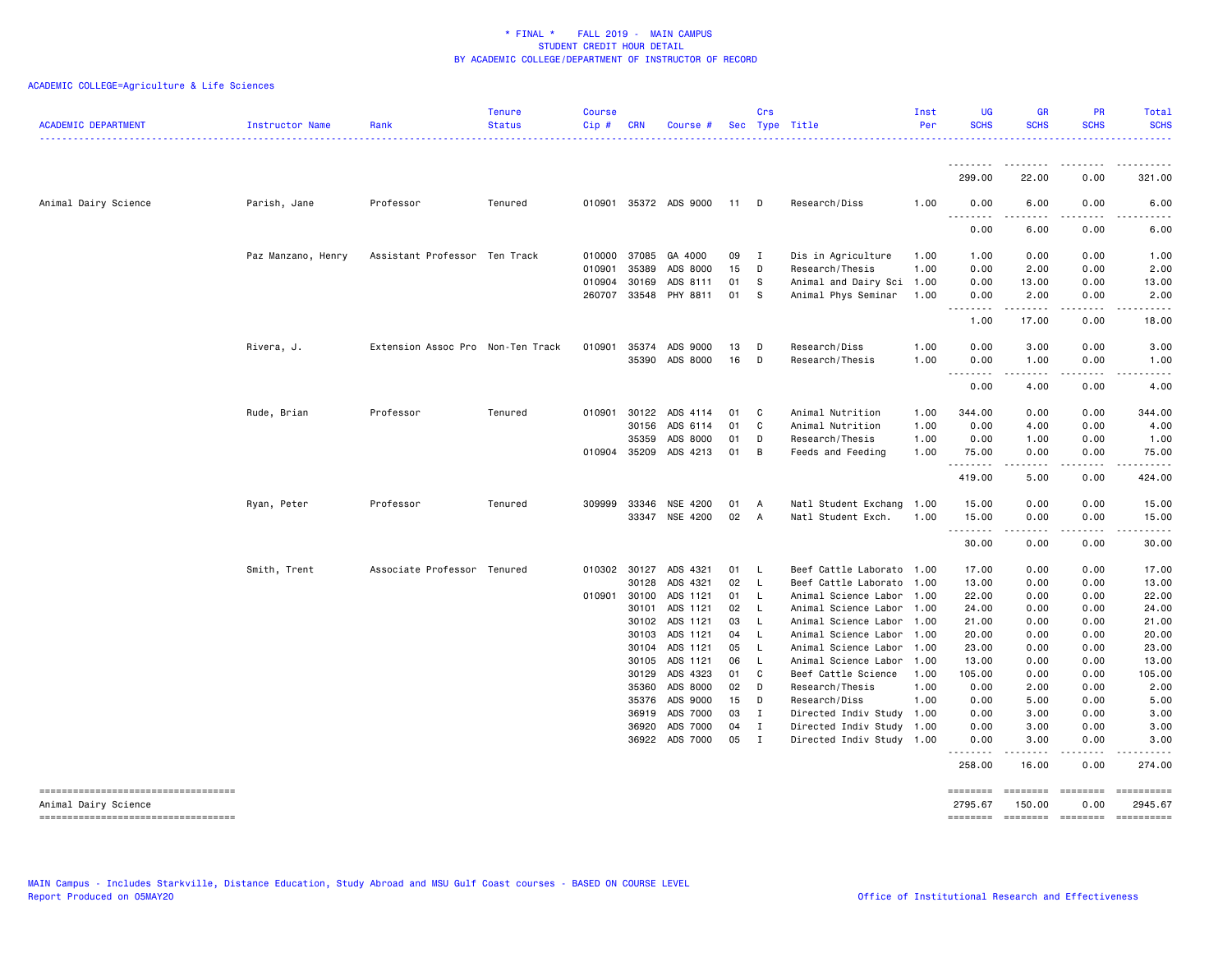| <b>ACADEMIC DEPARTMENT</b>                                 | Instructor Name    | Rank<br>.                         | <b>Tenure</b><br><b>Status</b><br>------------ | <b>Course</b><br>Cip# | <b>CRN</b>     | Course #              |          | Crs                         | Sec Type Title                                         | Inst<br>Per | <b>UG</b><br><b>SCHS</b>          | <b>GR</b><br><b>SCHS</b>                                                                                                                                      | PR<br><b>SCHS</b>     | Total<br><b>SCHS</b>    |
|------------------------------------------------------------|--------------------|-----------------------------------|------------------------------------------------|-----------------------|----------------|-----------------------|----------|-----------------------------|--------------------------------------------------------|-------------|-----------------------------------|---------------------------------------------------------------------------------------------------------------------------------------------------------------|-----------------------|-------------------------|
|                                                            |                    |                                   |                                                |                       |                |                       |          |                             |                                                        |             | 299.00                            | 22.00                                                                                                                                                         | 0.00                  | 321.00                  |
| Animal Dairy Science                                       | Parish, Jane       | Professor                         | Tenured                                        |                       |                | 010901 35372 ADS 9000 | 11       | <b>D</b>                    | Research/Diss                                          | 1.00        | 0.00                              | 6.00                                                                                                                                                          | 0.00                  | 6.00                    |
|                                                            |                    |                                   |                                                |                       |                |                       |          |                             |                                                        |             | .<br>$\sim$ $\sim$ $\sim$<br>0.00 | .<br>6.00                                                                                                                                                     | $\frac{1}{2}$<br>0.00 | 6.00                    |
|                                                            | Paz Manzano, Henry | Assistant Professor Ten Track     |                                                |                       | 010000 37085   | GA 4000               | 09       | $\mathbf{I}$                | Dis in Agriculture                                     | 1.00        | 1.00                              | 0.00                                                                                                                                                          | 0.00                  | 1.00                    |
|                                                            |                    |                                   |                                                | 010901                | 35389          | ADS 8000              | 15       | D                           | Research/Thesis                                        | 1.00        | 0.00                              | 2.00                                                                                                                                                          | 0.00                  | 2.00                    |
|                                                            |                    |                                   |                                                | 010904                | 30169          | ADS 8111              | 01       | - S                         | Animal and Dairy Sci 1.00                              |             | 0.00                              | 13.00                                                                                                                                                         | 0.00                  | 13.00                   |
|                                                            |                    |                                   |                                                |                       | 260707 33548   | PHY 8811              | 01       | s                           | Animal Phys Seminar                                    | 1.00        | 0.00                              | 2.00                                                                                                                                                          | 0.00                  | 2.00                    |
|                                                            |                    |                                   |                                                |                       |                |                       |          |                             |                                                        |             | .<br>1.00                         | $\frac{1}{2} \left( \frac{1}{2} \right) \left( \frac{1}{2} \right) \left( \frac{1}{2} \right) \left( \frac{1}{2} \right) \left( \frac{1}{2} \right)$<br>17.00 | 0.00                  | 18.00                   |
|                                                            | Rivera, J.         | Extension Assoc Pro Non-Ten Track |                                                |                       | 010901 35374   | ADS 9000              | 13       | D                           | Research/Diss                                          | 1.00        | 0.00                              | 3.00                                                                                                                                                          | 0.00                  | 3.00                    |
|                                                            |                    |                                   |                                                |                       | 35390          | ADS 8000              | 16       | D                           | Research/Thesis                                        | 1.00        | 0.00                              | 1.00                                                                                                                                                          | 0.00                  | 1.00                    |
|                                                            |                    |                                   |                                                |                       |                |                       |          |                             |                                                        |             | .<br>$- - -$<br>0.00              | .<br>4.00                                                                                                                                                     | $\frac{1}{2}$<br>0.00 | 4.00                    |
|                                                            | Rude, Brian        | Professor                         | Tenured                                        |                       | 010901 30122   | ADS 4114              | 01       | C                           | Animal Nutrition                                       | 1.00        | 344.00                            | 0.00                                                                                                                                                          | 0.00                  | 344.00                  |
|                                                            |                    |                                   |                                                |                       | 30156          | ADS 6114              | 01       | C.                          | Animal Nutrition                                       | 1.00        | 0.00                              | 4.00                                                                                                                                                          | 0.00                  | 4.00                    |
|                                                            |                    |                                   |                                                |                       | 35359          | ADS 8000              | 01       | D                           | Research/Thesis                                        | 1.00        | 0.00                              | 1.00                                                                                                                                                          | 0.00                  | 1.00                    |
|                                                            |                    |                                   |                                                |                       | 010904 35209   | ADS 4213              | 01       | B                           | Feeds and Feeding                                      | 1.00        | 75.00                             | 0.00                                                                                                                                                          | 0.00                  | 75.00                   |
|                                                            |                    |                                   |                                                |                       |                |                       |          |                             |                                                        |             | .<br>419.00                       | . <b>.</b><br>5.00                                                                                                                                            | 0.00                  | $\frac{1}{2}$<br>424.00 |
|                                                            | Ryan, Peter        | Professor                         | Tenured                                        |                       | 309999 33346   | NSE 4200              | 01       | A                           | Natl Student Exchang 1.00                              |             | 15.00                             | 0.00                                                                                                                                                          | 0.00                  | 15.00                   |
|                                                            |                    |                                   |                                                |                       | 33347          | NSE 4200              | 02       | A                           | Natl Student Exch.                                     | 1.00        | 15.00<br>.                        | 0.00                                                                                                                                                          | 0.00                  | 15.00                   |
|                                                            |                    |                                   |                                                |                       |                |                       |          |                             |                                                        |             | 30.00                             | 0.00                                                                                                                                                          | 0.00                  | 30.00                   |
|                                                            | Smith, Trent       | Associate Professor Tenured       |                                                |                       | 010302 30127   | ADS 4321              | 01       | $\mathsf{L}$                | Beef Cattle Laborato 1.00                              |             | 17.00                             | 0.00                                                                                                                                                          | 0.00                  | 17.00                   |
|                                                            |                    |                                   |                                                |                       | 30128          | ADS 4321              | 02       | $\mathsf{L}$                | Beef Cattle Laborato 1.00                              |             | 13.00                             | 0.00                                                                                                                                                          | 0.00                  | 13.00                   |
|                                                            |                    |                                   |                                                |                       | 010901 30100   | ADS 1121              | 01       | - L                         | Animal Science Labor                                   | 1.00        | 22.00                             | 0.00                                                                                                                                                          | 0.00                  | 22.00                   |
|                                                            |                    |                                   |                                                |                       | 30101          | ADS 1121              | 02       | - L                         | Animal Science Labor 1.00                              |             | 24.00                             | 0.00                                                                                                                                                          | 0.00                  | 24.00                   |
|                                                            |                    |                                   |                                                |                       | 30102          | ADS 1121              | 03       | L                           | Animal Science Labor 1.00                              |             | 21.00                             | 0.00                                                                                                                                                          | 0.00                  | 21.00                   |
|                                                            |                    |                                   |                                                |                       | 30103          | ADS 1121              | 04       | - L                         | Animal Science Labor                                   | 1.00        | 20.00                             | 0.00                                                                                                                                                          | 0.00                  | 20.00                   |
|                                                            |                    |                                   |                                                |                       | 30104          | ADS 1121              | 05       | -L                          | Animal Science Labor                                   | 1.00        | 23.00                             | 0.00                                                                                                                                                          | 0.00                  | 23.00                   |
|                                                            |                    |                                   |                                                |                       | 30105          | ADS 1121              | 06       | - L                         | Animal Science Labor                                   | 1.00        | 13.00                             | 0.00                                                                                                                                                          | 0.00                  | 13.00                   |
|                                                            |                    |                                   |                                                |                       | 30129          | ADS 4323              | 01       | C.                          | Beef Cattle Science                                    | 1.00        | 105.00                            | 0.00                                                                                                                                                          | 0.00                  | 105.00                  |
|                                                            |                    |                                   |                                                |                       | 35360          | ADS 8000              | 02       | D                           | Research/Thesis                                        | 1.00        | 0.00                              | 2.00                                                                                                                                                          | 0.00                  | 2.00                    |
|                                                            |                    |                                   |                                                |                       | 35376          | ADS 9000              | 15       | D                           | Research/Diss                                          | 1.00        | 0.00                              | 5.00                                                                                                                                                          | 0.00                  | 5.00                    |
|                                                            |                    |                                   |                                                |                       | 36919          | ADS 7000              | 03       | I                           | Directed Indiv Study                                   | 1.00        | 0.00                              | 3.00                                                                                                                                                          | 0.00                  | 3.00                    |
|                                                            |                    |                                   |                                                |                       | 36920<br>36922 | ADS 7000<br>ADS 7000  | 04<br>05 | $\mathbf{I}$<br>$\mathbf I$ | Directed Indiv Study 1.00<br>Directed Indiv Study 1.00 |             | 0.00<br>0.00                      | 3.00<br>3.00                                                                                                                                                  | 0.00<br>0.00          | 3.00<br>3.00            |
|                                                            |                    |                                   |                                                |                       |                |                       |          |                             |                                                        |             | .<br>258.00                       | $\frac{1}{2} \left( \frac{1}{2} \right) \left( \frac{1}{2} \right) \left( \frac{1}{2} \right) \left( \frac{1}{2} \right) \left( \frac{1}{2} \right)$<br>16.00 | المتمامين<br>0.00     | 274.00                  |
| ----------------------------------<br>Animal Dairy Science |                    |                                   |                                                |                       |                |                       |          |                             |                                                        |             | ========<br>2795.67               | <b>EEEEEEEE</b><br>150.00                                                                                                                                     | ========<br>0.00      | ==========<br>2945.67   |
| ----------------------------------                         |                    |                                   |                                                |                       |                |                       |          |                             |                                                        |             | ========                          | ======== =======                                                                                                                                              |                       | ==========              |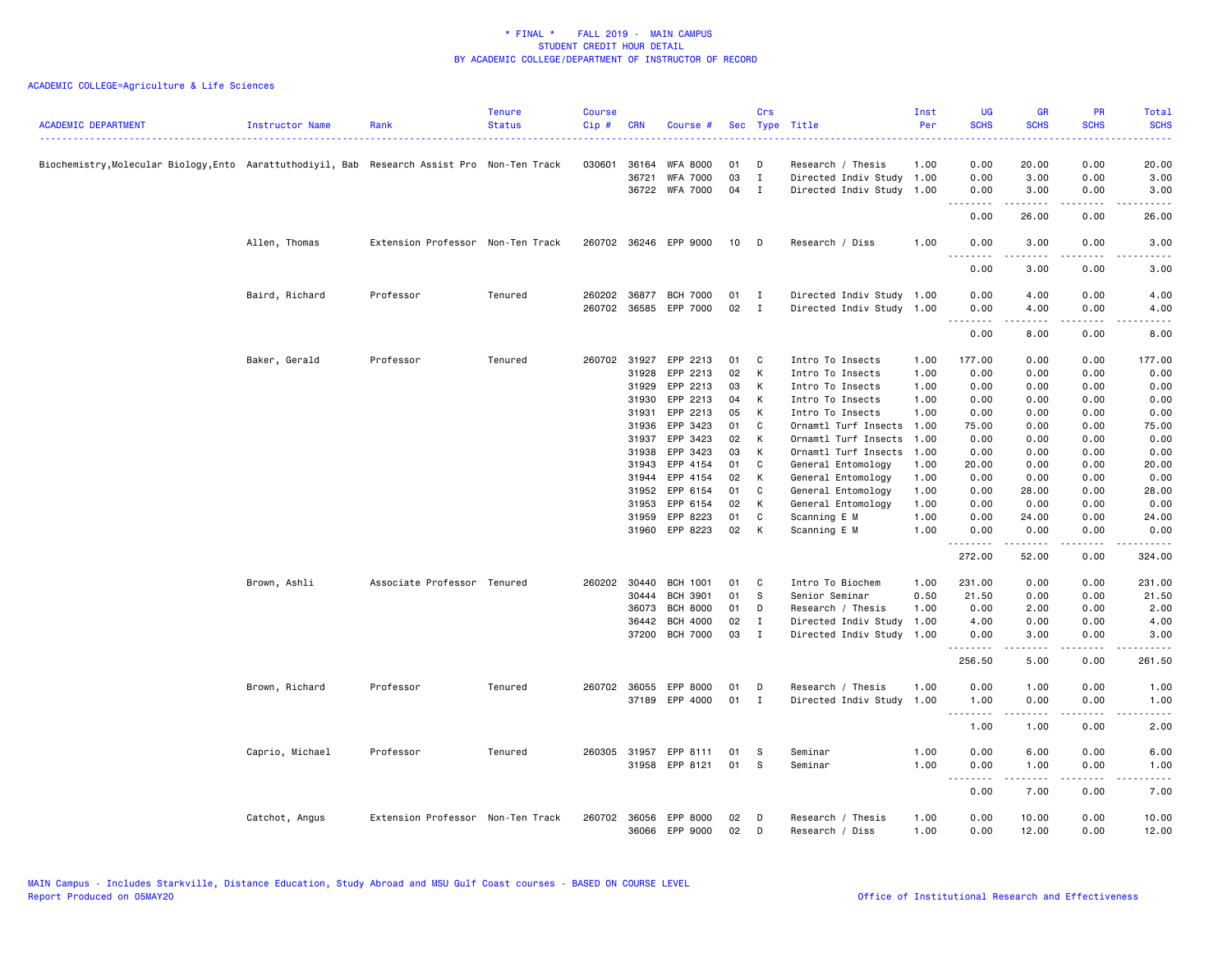| <b>ACADEMIC DEPARTMENT</b>                                                                 | Instructor Name | Rank                              | <b>Tenure</b><br><b>Status</b> | <b>Course</b><br>Cip# | <b>CRN</b>   | Course #              |    | Crs            | Sec Type Title            | Inst<br>Per | <b>UG</b><br><b>SCHS</b>          | <b>GR</b><br><b>SCHS</b>                                                                                                                                                                 | <b>PR</b><br><b>SCHS</b> | Total<br><b>SCHS</b>                                                                                                              |
|--------------------------------------------------------------------------------------------|-----------------|-----------------------------------|--------------------------------|-----------------------|--------------|-----------------------|----|----------------|---------------------------|-------------|-----------------------------------|------------------------------------------------------------------------------------------------------------------------------------------------------------------------------------------|--------------------------|-----------------------------------------------------------------------------------------------------------------------------------|
| Biochemistry,Molecular Biology,Ento Aarattuthodiyil, Bab Research Assist Pro Non-Ten Track |                 |                                   |                                | 030601                | 36164        | <b>WFA 8000</b>       | 01 | D              | Research / Thesis         | 1.00        | 0.00                              | 20.00                                                                                                                                                                                    | 0.00                     | 20.00                                                                                                                             |
|                                                                                            |                 |                                   |                                |                       | 36721        | <b>WFA 7000</b>       | 03 | $\mathbf I$    | Directed Indiv Study      | 1.00        | 0.00                              | 3.00                                                                                                                                                                                     | 0.00                     | 3.00                                                                                                                              |
|                                                                                            |                 |                                   |                                |                       |              | 36722 WFA 7000        | 04 | $\blacksquare$ | Directed Indiv Study      | 1.00        | 0.00                              | 3.00                                                                                                                                                                                     | 0.00                     | 3.00                                                                                                                              |
|                                                                                            |                 |                                   |                                |                       |              |                       |    |                |                           |             | .<br>0.00                         | $\frac{1}{2} \left( \frac{1}{2} \right) \left( \frac{1}{2} \right) \left( \frac{1}{2} \right) \left( \frac{1}{2} \right) \left( \frac{1}{2} \right) \left( \frac{1}{2} \right)$<br>26.00 | .<br>0.00                | 26.00                                                                                                                             |
|                                                                                            | Allen, Thomas   | Extension Professor Non-Ten Track |                                |                       |              | 260702 36246 EPP 9000 | 10 | D              | Research / Diss           | 1.00        | 0.00<br>.                         | 3.00                                                                                                                                                                                     | 0.00                     | 3.00                                                                                                                              |
|                                                                                            |                 |                                   |                                |                       |              |                       |    |                |                           |             | 0.00                              | 3.00                                                                                                                                                                                     | 0.00                     | 3.00                                                                                                                              |
|                                                                                            | Baird, Richard  | Professor                         | Tenured                        |                       |              | 260202 36877 BCH 7000 | 01 | $\mathbf{I}$   | Directed Indiv Study 1.00 |             | 0.00                              | 4.00                                                                                                                                                                                     | 0.00                     | 4.00                                                                                                                              |
|                                                                                            |                 |                                   |                                |                       |              | 260702 36585 EPP 7000 | 02 | $\mathbf{I}$   | Directed Indiv Study 1.00 |             | 0.00<br>.<br>$\sim$ $\sim$ $\sim$ | 4.00                                                                                                                                                                                     | 0.00                     | 4.00                                                                                                                              |
|                                                                                            |                 |                                   |                                |                       |              |                       |    |                |                           |             | 0.00                              | 8.00                                                                                                                                                                                     | 0.00                     | 8.00                                                                                                                              |
|                                                                                            | Baker, Gerald   | Professor                         | Tenured                        |                       | 260702 31927 | EPP 2213              | 01 | <b>C</b>       | Intro To Insects          | 1.00        | 177.00                            | 0.00                                                                                                                                                                                     | 0.00                     | 177.00                                                                                                                            |
|                                                                                            |                 |                                   |                                |                       | 31928        | EPP 2213              | 02 | К              | Intro To Insects          | 1.00        | 0.00                              | 0.00                                                                                                                                                                                     | 0.00                     | 0.00                                                                                                                              |
|                                                                                            |                 |                                   |                                |                       | 31929        | EPP 2213              | 03 | К              | Intro To Insects          | 1.00        | 0.00                              | 0.00                                                                                                                                                                                     | 0.00                     | 0.00                                                                                                                              |
|                                                                                            |                 |                                   |                                |                       | 31930        | EPP 2213              | 04 | К              | Intro To Insects          | 1.00        | 0.00                              | 0.00                                                                                                                                                                                     | 0.00                     | 0.00                                                                                                                              |
|                                                                                            |                 |                                   |                                |                       | 31931        | EPP 2213              | 05 | К              | Intro To Insects          | 1.00        | 0.00                              | 0.00                                                                                                                                                                                     | 0.00                     | 0.00                                                                                                                              |
|                                                                                            |                 |                                   |                                |                       | 31936        | EPP 3423              | 01 | C              | Ornamtl Turf Insects      | 1.00        | 75.00                             | 0.00                                                                                                                                                                                     | 0.00                     | 75.00                                                                                                                             |
|                                                                                            |                 |                                   |                                |                       | 31937        | EPP 3423              | 02 | K              | Ornamtl Turf Insects      | 1.00        | 0.00                              | 0.00                                                                                                                                                                                     | 0.00                     | 0.00                                                                                                                              |
|                                                                                            |                 |                                   |                                |                       | 31938        | EPP 3423              | 03 | К              | Ornamtl Turf Insects      | 1.00        | 0.00                              | 0.00                                                                                                                                                                                     | 0.00                     | 0.00                                                                                                                              |
|                                                                                            |                 |                                   |                                |                       | 31943        | EPP 4154              | 01 | C              | General Entomology        | 1.00        | 20.00                             | 0.00                                                                                                                                                                                     | 0.00                     | 20.00                                                                                                                             |
|                                                                                            |                 |                                   |                                |                       | 31944        | EPP 4154              | 02 | К              | General Entomology        | 1.00        | 0.00                              | 0.00                                                                                                                                                                                     | 0.00                     | 0.00                                                                                                                              |
|                                                                                            |                 |                                   |                                |                       | 31952        | EPP 6154              | 01 | C              | General Entomology        | 1.00        | 0.00                              | 28.00                                                                                                                                                                                    | 0.00                     | 28.00                                                                                                                             |
|                                                                                            |                 |                                   |                                |                       | 31953        | EPP 6154              | 02 | К              | General Entomology        | 1.00        | 0.00                              | 0.00                                                                                                                                                                                     | 0.00                     | 0.00                                                                                                                              |
|                                                                                            |                 |                                   |                                |                       | 31959        | EPP 8223              | 01 | C              | Scanning E M              | 1.00        | 0.00                              | 24.00                                                                                                                                                                                    | 0.00                     | 24.00                                                                                                                             |
|                                                                                            |                 |                                   |                                |                       |              | 31960 EPP 8223        | 02 | К              | Scanning E M              | 1.00        | 0.00                              | 0.00                                                                                                                                                                                     | 0.00                     | 0.00                                                                                                                              |
|                                                                                            |                 |                                   |                                |                       |              |                       |    |                |                           |             | .<br>272.00                       | .<br>52.00                                                                                                                                                                               | .<br>0.00                | $- - - - -$<br>324.00                                                                                                             |
|                                                                                            | Brown, Ashli    | Associate Professor Tenured       |                                |                       | 260202 30440 | BCH 1001              | 01 | C              | Intro To Biochem          | 1.00        | 231.00                            | 0.00                                                                                                                                                                                     | 0.00                     | 231.00                                                                                                                            |
|                                                                                            |                 |                                   |                                |                       | 30444        | <b>BCH 3901</b>       | 01 | S              | Senior Seminar            | 0.50        | 21.50                             | 0.00                                                                                                                                                                                     | 0.00                     | 21.50                                                                                                                             |
|                                                                                            |                 |                                   |                                |                       | 36073        | <b>BCH 8000</b>       | 01 | D              | Research / Thesis         | 1.00        | 0.00                              | 2.00                                                                                                                                                                                     | 0.00                     | 2.00                                                                                                                              |
|                                                                                            |                 |                                   |                                |                       | 36442        | <b>BCH 4000</b>       | 02 | $\mathbf{I}$   | Directed Indiv Study      | 1.00        | 4.00                              | 0.00                                                                                                                                                                                     | 0.00                     | 4.00                                                                                                                              |
|                                                                                            |                 |                                   |                                |                       | 37200        | <b>BCH 7000</b>       | 03 | $\mathbf{I}$   | Directed Indiv Study      | 1.00        | 0.00<br>.                         | 3.00                                                                                                                                                                                     | 0.00                     | 3.00                                                                                                                              |
|                                                                                            |                 |                                   |                                |                       |              |                       |    |                |                           |             | 256.50                            | 5.00                                                                                                                                                                                     | 0.00                     | 261.50                                                                                                                            |
|                                                                                            | Brown, Richard  | Professor                         | Tenured                        |                       | 260702 36055 | EPP 8000              | 01 | D              | Research / Thesis         | 1.00        | 0.00                              | 1.00                                                                                                                                                                                     | 0.00                     | 1.00                                                                                                                              |
|                                                                                            |                 |                                   |                                |                       | 37189        | EPP 4000              | 01 | $\mathbf{I}$   | Directed Indiv Study      | 1.00        | 1.00                              | 0.00                                                                                                                                                                                     | 0.00                     | 1.00                                                                                                                              |
|                                                                                            |                 |                                   |                                |                       |              |                       |    |                |                           |             | .<br>1.00                         | .<br>1.00                                                                                                                                                                                | .<br>0.00                | $\frac{1}{2}$<br>2.00                                                                                                             |
|                                                                                            | Caprio, Michael | Professor                         | Tenured                        |                       | 260305 31957 | EPP 8111              | 01 | -S             | Seminar                   | 1.00        | 0.00                              | 6.00                                                                                                                                                                                     | 0.00                     | 6.00                                                                                                                              |
|                                                                                            |                 |                                   |                                |                       |              | 31958 EPP 8121        | 01 | <b>S</b>       | Seminar                   | 1.00        | 0.00                              | 1.00                                                                                                                                                                                     | 0.00                     | 1.00                                                                                                                              |
|                                                                                            |                 |                                   |                                |                       |              |                       |    |                |                           |             | $- - -$<br>.<br>0.00              | $\frac{1}{2} \left( \frac{1}{2} \right) \left( \frac{1}{2} \right) \left( \frac{1}{2} \right) \left( \frac{1}{2} \right) \left( \frac{1}{2} \right) \left( \frac{1}{2} \right)$<br>7.00  | د د د د<br>0.00          | $\frac{1}{2} \left( \frac{1}{2} \right) \left( \frac{1}{2} \right) \left( \frac{1}{2} \right) \left( \frac{1}{2} \right)$<br>7.00 |
|                                                                                            | Catchot, Angus  | Extension Professor Non-Ten Track |                                | 260702                | 36056        | EPP 8000              | 02 | D              | Research / Thesis         | 1.00        | 0.00                              | 10.00                                                                                                                                                                                    | 0.00                     | 10.00                                                                                                                             |
|                                                                                            |                 |                                   |                                |                       | 36066        | EPP 9000              | 02 | D              | Research / Diss           | 1.00        | 0.00                              | 12.00                                                                                                                                                                                    | 0.00                     | 12.00                                                                                                                             |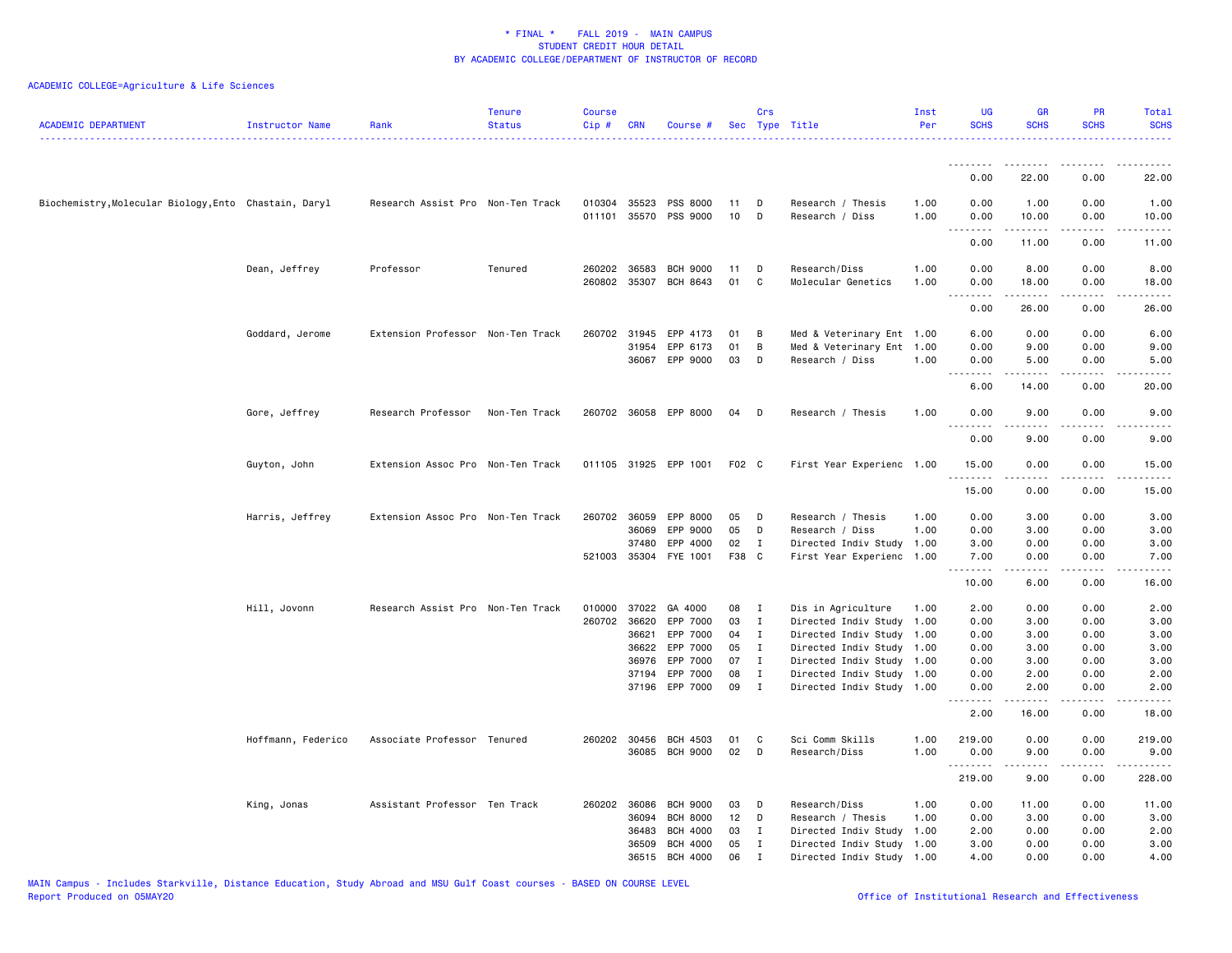| <b>ACADEMIC DEPARTMENT</b>                            | Instructor Name    | Rank                              | <b>Tenure</b><br><b>Status</b> | Course<br>Cip# | CRN                          | Course #                                |          | Crs               | Sec Type Title                                    | Inst<br>Per  | <b>UG</b><br><b>SCHS</b> | <b>GR</b><br><b>SCHS</b>                                                                                                                                              | PR<br><b>SCHS</b>            | Total<br><b>SCHS</b>                                                                                                                                                  |
|-------------------------------------------------------|--------------------|-----------------------------------|--------------------------------|----------------|------------------------------|-----------------------------------------|----------|-------------------|---------------------------------------------------|--------------|--------------------------|-----------------------------------------------------------------------------------------------------------------------------------------------------------------------|------------------------------|-----------------------------------------------------------------------------------------------------------------------------------------------------------------------|
|                                                       |                    |                                   |                                |                |                              |                                         |          |                   |                                                   |              |                          |                                                                                                                                                                       |                              |                                                                                                                                                                       |
|                                                       |                    |                                   |                                |                |                              |                                         |          |                   |                                                   |              | 0.00                     | 22.00                                                                                                                                                                 | 0.00                         | 22.00                                                                                                                                                                 |
| Biochemistry, Molecular Biology, Ento Chastain, Daryl |                    | Research Assist Pro Non-Ten Track |                                | 011101         |                              | 010304 35523 PSS 8000<br>35570 PSS 9000 | 11<br>10 | D<br>D            | Research / Thesis<br>Research / Diss              | 1.00<br>1.00 | 0.00<br>0.00<br>.        | 1.00<br>10.00<br>$\frac{1}{2} \left( \frac{1}{2} \right) \left( \frac{1}{2} \right) \left( \frac{1}{2} \right) \left( \frac{1}{2} \right) \left( \frac{1}{2} \right)$ | 0.00<br>0.00<br>د د د د      | 1.00<br>10.00<br>$\frac{1}{2} \left( \frac{1}{2} \right) \left( \frac{1}{2} \right) \left( \frac{1}{2} \right) \left( \frac{1}{2} \right) \left( \frac{1}{2} \right)$ |
|                                                       |                    |                                   |                                |                |                              |                                         |          |                   |                                                   |              | 0.00                     | 11.00                                                                                                                                                                 | 0.00                         | 11.00                                                                                                                                                                 |
|                                                       | Dean, Jeffrey      | Professor                         | Tenured                        |                | 260202 36583<br>260802 35307 | BCH 9000<br>BCH 8643                    | 11<br>01 | D<br>C            | Research/Diss<br>Molecular Genetics               | 1.00<br>1.00 | 0.00<br>0.00<br>.        | 8.00<br>18.00<br>المتمام المنابذ                                                                                                                                      | 0.00<br>0.00<br>.            | 8.00<br>18.00<br>$\frac{1}{2} \left( \frac{1}{2} \right) \left( \frac{1}{2} \right) \left( \frac{1}{2} \right) \left( \frac{1}{2} \right) \left( \frac{1}{2} \right)$ |
|                                                       |                    |                                   |                                |                |                              |                                         |          |                   |                                                   |              | 0.00                     | 26.00                                                                                                                                                                 | 0.00                         | 26.00                                                                                                                                                                 |
|                                                       | Goddard, Jerome    | Extension Professor Non-Ten Track |                                | 260702         | 31945                        | EPP 4173                                | 01       | В                 | Med & Veterinary Ent 1.00                         |              | 6.00                     | 0.00                                                                                                                                                                  | 0.00                         | 6.00                                                                                                                                                                  |
|                                                       |                    |                                   |                                |                | 31954                        | EPP 6173<br>36067 EPP 9000              | 01<br>03 | В<br>D            | Med & Veterinary Ent<br>Research / Diss           | 1.00<br>1.00 | 0.00<br>0.00             | 9.00<br>5.00                                                                                                                                                          | 0.00<br>0.00                 | 9.00<br>5.00                                                                                                                                                          |
|                                                       |                    |                                   |                                |                |                              |                                         |          |                   |                                                   |              | .                        | .                                                                                                                                                                     | .                            | $\frac{1}{2}$                                                                                                                                                         |
|                                                       |                    |                                   |                                |                |                              |                                         |          |                   |                                                   |              | 6.00                     | 14.00                                                                                                                                                                 | 0.00                         | 20.00                                                                                                                                                                 |
|                                                       | Gore, Jeffrey      | Research Professor                | Non-Ten Track                  |                |                              | 260702 36058 EPP 8000                   | 04       | D                 | Research / Thesis                                 | 1.00         | 0.00<br>.                | 9.00<br>-----                                                                                                                                                         | 0.00<br>.                    | 9.00<br>$\frac{1}{2}$                                                                                                                                                 |
|                                                       |                    |                                   |                                |                |                              |                                         |          |                   |                                                   |              | 0.00                     | 9.00                                                                                                                                                                  | 0.00                         | 9.00                                                                                                                                                                  |
|                                                       | Guyton, John       | Extension Assoc Pro Non-Ten Track |                                |                |                              | 011105 31925 EPP 1001                   | F02 C    |                   | First Year Experienc 1.00                         |              | 15.00<br>.               | 0.00<br>.                                                                                                                                                             | 0.00<br>$\sim$ $\sim$ $\sim$ | 15.00<br>$\frac{1}{2} \left( \frac{1}{2} \right) \left( \frac{1}{2} \right) \left( \frac{1}{2} \right) \left( \frac{1}{2} \right) \left( \frac{1}{2} \right)$         |
|                                                       |                    |                                   |                                |                |                              |                                         |          |                   |                                                   |              | 15.00                    | 0.00                                                                                                                                                                  | 0.00                         | 15.00                                                                                                                                                                 |
|                                                       | Harris, Jeffrey    | Extension Assoc Pro Non-Ten Track |                                | 260702         | 36059                        | EPP 8000                                | 05       | D                 | Research / Thesis                                 | 1.00         | 0.00                     | 3.00                                                                                                                                                                  | 0.00                         | 3.00                                                                                                                                                                  |
|                                                       |                    |                                   |                                |                | 36069                        | EPP 9000                                | 05       | D                 | Research / Diss                                   | 1.00         | 0.00                     | 3.00                                                                                                                                                                  | 0.00                         | 3.00                                                                                                                                                                  |
|                                                       |                    |                                   |                                |                | 37480                        | EPP 4000                                | 02       | Ι.                | Directed Indiv Study                              | 1.00         | 3.00                     | 0.00                                                                                                                                                                  | 0.00                         | 3.00                                                                                                                                                                  |
|                                                       |                    |                                   |                                |                |                              | 521003 35304 FYE 1001                   | F38      | C                 | First Year Experienc 1.00                         |              | 7.00<br>.                | 0.00<br>.                                                                                                                                                             | 0.00<br>.                    | 7.00<br>$\frac{1}{2} \left( \frac{1}{2} \right) \left( \frac{1}{2} \right) \left( \frac{1}{2} \right) \left( \frac{1}{2} \right) \left( \frac{1}{2} \right)$          |
|                                                       |                    |                                   |                                |                |                              |                                         |          |                   |                                                   |              | 10.00                    | 6.00                                                                                                                                                                  | 0.00                         | 16.00                                                                                                                                                                 |
|                                                       | Hill, Jovonn       | Research Assist Pro Non-Ten Track |                                | 010000         | 37022                        | GA 4000                                 | 08       | I                 | Dis in Agriculture                                | 1.00         | 2.00                     | 0.00                                                                                                                                                                  | 0.00                         | 2.00                                                                                                                                                                  |
|                                                       |                    |                                   |                                | 260702         | 36620                        | EPP 7000                                | 03       | $\mathbf{I}$      | Directed Indiv Study                              | 1.00         | 0.00                     | 3.00                                                                                                                                                                  | 0.00                         | 3.00                                                                                                                                                                  |
|                                                       |                    |                                   |                                |                | 36621                        | EPP 7000                                | 04       | $\mathbf{I}$      | Directed Indiv Study 1.00                         |              | 0.00                     | 3.00                                                                                                                                                                  | 0.00                         | 3.00                                                                                                                                                                  |
|                                                       |                    |                                   |                                |                | 36622                        | EPP 7000                                | 05       | $\mathbf{I}$      | Directed Indiv Study 1.00                         |              | 0.00                     | 3.00                                                                                                                                                                  | 0.00                         | 3.00                                                                                                                                                                  |
|                                                       |                    |                                   |                                |                | 36976<br>37194               | EPP 7000<br>EPP 7000                    | 07<br>08 | I<br>$\mathbf{I}$ | Directed Indiv Study 1.00<br>Directed Indiv Study | 1.00         | 0.00<br>0.00             | 3.00<br>2.00                                                                                                                                                          | 0.00<br>0.00                 | 3.00<br>2.00                                                                                                                                                          |
|                                                       |                    |                                   |                                |                |                              | 37196 EPP 7000                          | 09       | $\mathbf{I}$      | Directed Indiv Study 1.00                         |              | 0.00                     | 2.00                                                                                                                                                                  | 0.00                         | 2.00                                                                                                                                                                  |
|                                                       |                    |                                   |                                |                |                              |                                         |          |                   |                                                   |              | .<br>2.00                | .<br>16.00                                                                                                                                                            | د د د د<br>0.00              | $\omega$ is a set<br>18.00                                                                                                                                            |
|                                                       | Hoffmann, Federico | Associate Professor Tenured       |                                |                |                              | 260202 30456 BCH 4503                   | 01       | C                 | Sci Comm Skills                                   | 1.00         | 219.00                   | 0.00                                                                                                                                                                  | 0.00                         | 219.00                                                                                                                                                                |
|                                                       |                    |                                   |                                |                |                              | 36085 BCH 9000                          | 02       | D                 | Research/Diss                                     | 1.00         | 0.00<br>.                | 9.00                                                                                                                                                                  | 0.00                         | 9.00<br>.                                                                                                                                                             |
|                                                       |                    |                                   |                                |                |                              |                                         |          |                   |                                                   |              | 219.00                   | 9.00                                                                                                                                                                  | 0.00                         | 228.00                                                                                                                                                                |
|                                                       | King, Jonas        | Assistant Professor Ten Track     |                                |                | 260202 36086                 | <b>BCH 9000</b>                         | 03       | D                 | Research/Diss                                     | 1.00         | 0.00                     | 11.00                                                                                                                                                                 | 0.00                         | 11.00                                                                                                                                                                 |
|                                                       |                    |                                   |                                |                | 36094                        | <b>BCH 8000</b>                         | 12       | D                 | Research / Thesis                                 | 1.00         | 0.00                     | 3.00                                                                                                                                                                  | 0.00                         | 3.00                                                                                                                                                                  |
|                                                       |                    |                                   |                                |                | 36483                        | BCH 4000                                | 03       | $\mathbf{I}$      | Directed Indiv Study                              | 1.00         | 2.00                     | 0.00                                                                                                                                                                  | 0.00                         | 2.00                                                                                                                                                                  |
|                                                       |                    |                                   |                                |                | 36509                        | <b>BCH 4000</b>                         | 05       | $\mathbf{I}$      | Directed Indiv Study 1.00                         |              | 3.00                     | 0.00                                                                                                                                                                  | 0.00                         | 3.00                                                                                                                                                                  |
|                                                       |                    |                                   |                                |                |                              | 36515 BCH 4000                          | 06       | $\mathbf{I}$      | Directed Indiv Study 1.00                         |              | 4.00                     | 0.00                                                                                                                                                                  | 0.00                         | 4.00                                                                                                                                                                  |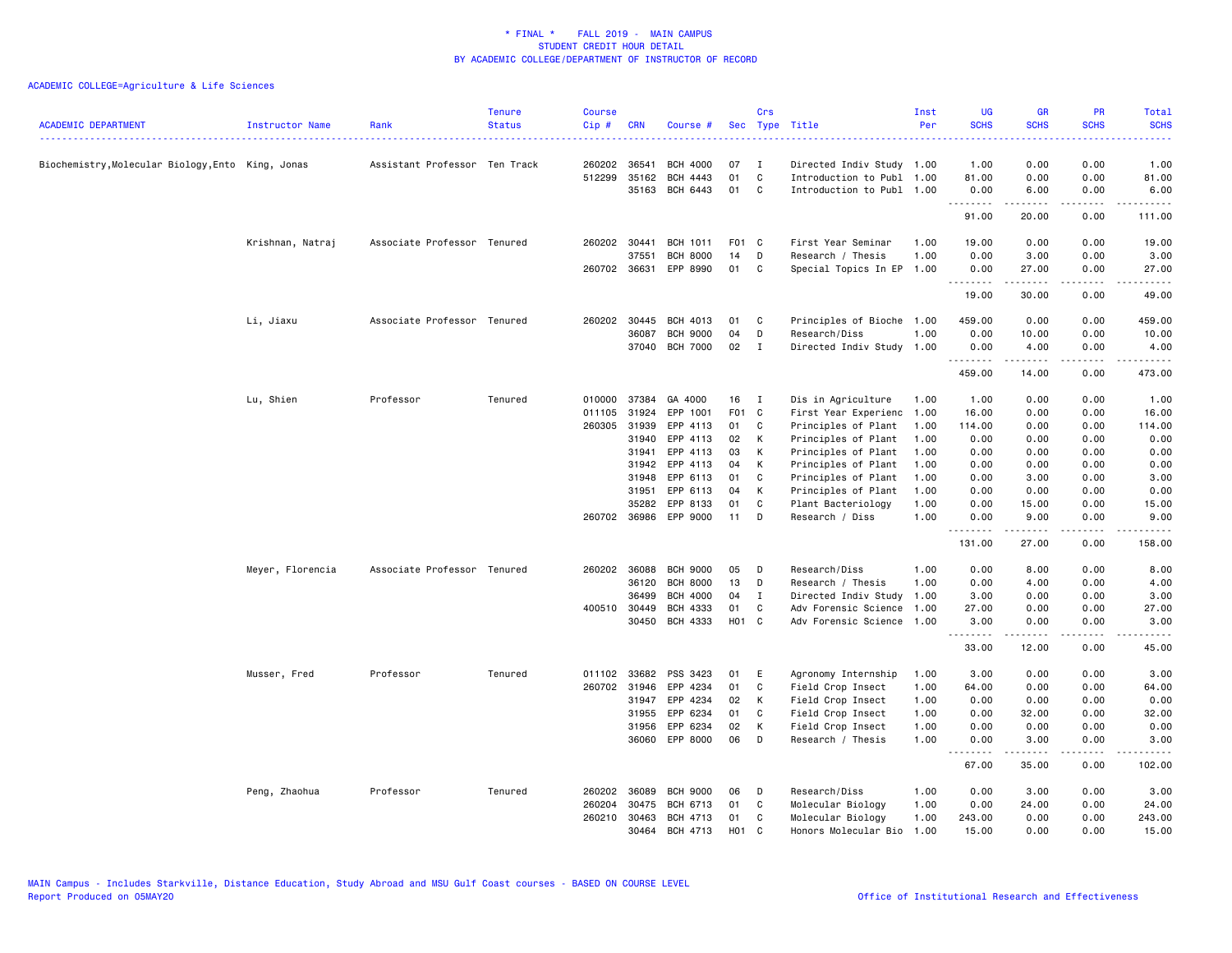| <b>ACADEMIC DEPARTMENT</b>                      | Instructor Name  | Rank                          | <b>Tenure</b><br><b>Status</b> | <b>Course</b><br>Cip# | <b>CRN</b>            | Course #             |                  | Crs          | Sec Type Title                        | Inst<br>Per  | <b>UG</b><br><b>SCHS</b><br>. | <b>GR</b><br><b>SCHS</b> | <b>PR</b><br><b>SCHS</b> | Total<br><b>SCHS</b> |
|-------------------------------------------------|------------------|-------------------------------|--------------------------------|-----------------------|-----------------------|----------------------|------------------|--------------|---------------------------------------|--------------|-------------------------------|--------------------------|--------------------------|----------------------|
| Biochemistry,Molecular Biology,Ento King, Jonas |                  | Assistant Professor Ten Track |                                | 260202                | 36541                 | <b>BCH 4000</b>      | 07               | $\mathbf I$  | Directed Indiv Study 1.00             |              | 1.00                          | 0.00                     | 0.00                     | 1.00                 |
|                                                 |                  |                               |                                | 512299                | 35162                 | BCH 4443             | 01               | $\mathtt{C}$ | Introduction to Publ 1.00             |              | 81.00                         | 0.00                     | 0.00                     | 81.00                |
|                                                 |                  |                               |                                |                       | 35163                 | BCH 6443             | 01               | C            | Introduction to Publ 1.00             |              | 0.00<br>.                     | 6.00<br>$- - - - -$      | 0.00<br>.                | 6.00<br>. <b>.</b>   |
|                                                 |                  |                               |                                |                       |                       |                      |                  |              |                                       |              | 91.00                         | 20.00                    | 0.00                     | 111.00               |
|                                                 | Krishnan, Natraj | Associate Professor Tenured   |                                | 260202 30441          |                       | <b>BCH 1011</b>      | F01 C            |              | First Year Seminar                    | 1.00         | 19.00                         | 0.00                     | 0.00                     | 19.00                |
|                                                 |                  |                               |                                |                       | 37551                 | <b>BCH 8000</b>      | 14               | D            | Research / Thesis                     | 1.00         | 0.00                          | 3.00                     | 0.00                     | 3.00                 |
|                                                 |                  |                               |                                |                       | 260702 36631          | EPP 8990             | 01               | C            | Special Topics In EP                  | 1.00         | 0.00<br>.                     | 27.00<br>.               | 0.00<br>.                | 27.00<br>.           |
|                                                 |                  |                               |                                |                       |                       |                      |                  |              |                                       |              | 19.00                         | 30.00                    | 0.00                     | 49.00                |
|                                                 | Li, Jiaxu        | Associate Professor Tenured   |                                |                       | 260202 30445          | BCH 4013             | 01               | C            | Principles of Bioche 1.00             |              | 459.00                        | 0.00                     | 0.00                     | 459.00               |
|                                                 |                  |                               |                                |                       | 36087                 | <b>BCH 9000</b>      | 04               | D            | Research/Diss                         | 1.00         | 0.00                          | 10.00                    | 0.00                     | 10.00                |
|                                                 |                  |                               |                                |                       |                       | 37040 BCH 7000       | 02               | $\mathbf{I}$ | Directed Indiv Study                  | 1.00         | 0.00<br>.                     | 4.00<br>$\frac{1}{2}$    | 0.00<br>.                | 4.00<br>.            |
|                                                 |                  |                               |                                |                       |                       |                      |                  |              |                                       |              | 459.00                        | 14.00                    | 0.00                     | 473.00               |
|                                                 | Lu, Shien        | Professor                     | Tenured                        | 010000                | 37384                 | GA 4000              | 16               | I            | Dis in Agriculture                    | 1.00         | 1.00                          | 0.00                     | 0.00                     | 1.00                 |
|                                                 |                  |                               |                                | 011105                | 31924                 | EPP 1001             | F <sub>0</sub> 1 | $\mathbf{C}$ | First Year Experienc                  | 1.00         | 16.00                         | 0.00                     | 0.00                     | 16.00                |
|                                                 |                  |                               |                                | 260305                | 31939                 | EPP 4113             | 01               | C            | Principles of Plant                   | 1.00         | 114.00                        | 0.00                     | 0.00                     | 114.00               |
|                                                 |                  |                               |                                |                       | 31940                 | EPP 4113             | 02               | К            | Principles of Plant                   | 1.00         | 0.00                          | 0.00                     | 0.00                     | 0.00                 |
|                                                 |                  |                               |                                |                       | 31941                 | EPP 4113             | 03               | К            | Principles of Plant                   | 1.00         | 0.00                          | 0.00                     | 0.00                     | 0.00                 |
|                                                 |                  |                               |                                |                       | 31942                 | EPP 4113             | 04               | K            | Principles of Plant                   | 1.00         | 0.00                          | 0.00                     | 0.00                     | 0.00                 |
|                                                 |                  |                               |                                |                       | 31948                 | EPP 6113             | 01               | C            | Principles of Plant                   | 1.00         | 0.00                          | 3.00                     | 0.00                     | 3.00                 |
|                                                 |                  |                               |                                |                       | 31951                 | EPP 6113             | 04               | К            | Principles of Plant                   | 1.00         | 0.00                          | 0.00                     | 0.00                     | 0.00                 |
|                                                 |                  |                               |                                |                       | 35282<br>260702 36986 | EPP 8133<br>EPP 9000 | 01<br>11         | C<br>D       | Plant Bacteriology<br>Research / Diss | 1.00<br>1.00 | 0.00<br>0.00                  | 15.00<br>9.00            | 0.00<br>0.00             | 15.00<br>9.00        |
|                                                 |                  |                               |                                |                       |                       |                      |                  |              |                                       |              | <u>.</u>                      | .                        |                          |                      |
|                                                 |                  |                               |                                |                       |                       |                      |                  |              |                                       |              | 131.00                        | 27.00                    | 0.00                     | 158.00               |
|                                                 | Meyer, Florencia | Associate Professor Tenured   |                                |                       | 260202 36088          | <b>BCH 9000</b>      | 05               | D            | Research/Diss                         | 1.00         | 0.00                          | 8.00                     | 0.00                     | 8.00                 |
|                                                 |                  |                               |                                |                       | 36120                 | <b>BCH 8000</b>      | 13               | D            | Research / Thesis                     | 1.00         | 0.00                          | 4.00                     | 0.00                     | 4.00                 |
|                                                 |                  |                               |                                |                       | 36499                 | <b>BCH 4000</b>      | 04               | <b>I</b>     | Directed Indiv Study                  | 1.00         | 3.00                          | 0.00                     | 0.00                     | 3.00                 |
|                                                 |                  |                               |                                | 400510 30449          |                       | <b>BCH 4333</b>      | 01               | C            | Adv Forensic Science                  | 1.00         | 27.00                         | 0.00                     | 0.00                     | 27.00                |
|                                                 |                  |                               |                                |                       | 30450                 | BCH 4333             | H01 C            |              | Adv Forensic Science                  | 1.00         | 3.00<br><u>.</u>              | 0.00<br>$- - - - -$      | 0.00<br>.                | 3.00<br>.            |
|                                                 |                  |                               |                                |                       |                       |                      |                  |              |                                       |              | 33.00                         | 12.00                    | 0.00                     | 45.00                |
|                                                 | Musser, Fred     | Professor                     | Tenured                        | 011102                | 33682                 | PSS 3423             | 01               | E            | Agronomy Internship                   | 1.00         | 3.00                          | 0.00                     | 0.00                     | 3.00                 |
|                                                 |                  |                               |                                |                       | 260702 31946          | EPP 4234             | 01               | $\mathtt{C}$ | Field Crop Insect                     | 1.00         | 64.00                         | 0.00                     | 0.00                     | 64.00                |
|                                                 |                  |                               |                                |                       | 31947                 | EPP 4234             | 02               | К            | Field Crop Insect                     | 1.00         | 0.00                          | 0.00                     | 0.00                     | 0.00                 |
|                                                 |                  |                               |                                |                       | 31955                 | EPP 6234             | 01               | C            | Field Crop Insect                     | 1.00         | 0.00                          | 32.00                    | 0.00                     | 32.00                |
|                                                 |                  |                               |                                |                       | 31956                 | EPP 6234             | 02               | К            | Field Crop Insect                     | 1.00         | 0.00                          | 0.00                     | 0.00                     | 0.00                 |
|                                                 |                  |                               |                                |                       |                       | 36060 EPP 8000       | 06               | D            | Research / Thesis                     | 1.00         | 0.00<br>.                     | 3.00<br>.                | 0.00<br>.                | 3.00<br>-----        |
|                                                 |                  |                               |                                |                       |                       |                      |                  |              |                                       |              | 67.00                         | 35.00                    | 0.00                     | 102.00               |
|                                                 | Peng, Zhaohua    | Professor                     | Tenured                        | 260202                | 36089                 | <b>BCH 9000</b>      | 06               | D            | Research/Diss                         | 1.00         | 0.00                          | 3.00                     | 0.00                     | 3.00                 |
|                                                 |                  |                               |                                | 260204                | 30475                 | BCH 6713             | 01               | C            | Molecular Biology                     | 1.00         | 0.00                          | 24.00                    | 0.00                     | 24.00                |
|                                                 |                  |                               |                                |                       | 260210 30463          | BCH 4713             | 01               | C            | Molecular Biology                     | 1.00         | 243.00                        | 0.00                     | 0.00                     | 243.00               |
|                                                 |                  |                               |                                |                       | 30464                 | BCH 4713             | H <sub>0</sub> 1 | C            | Honors Molecular Bio                  | 1.00         | 15.00                         | 0.00                     | 0.00                     | 15.00                |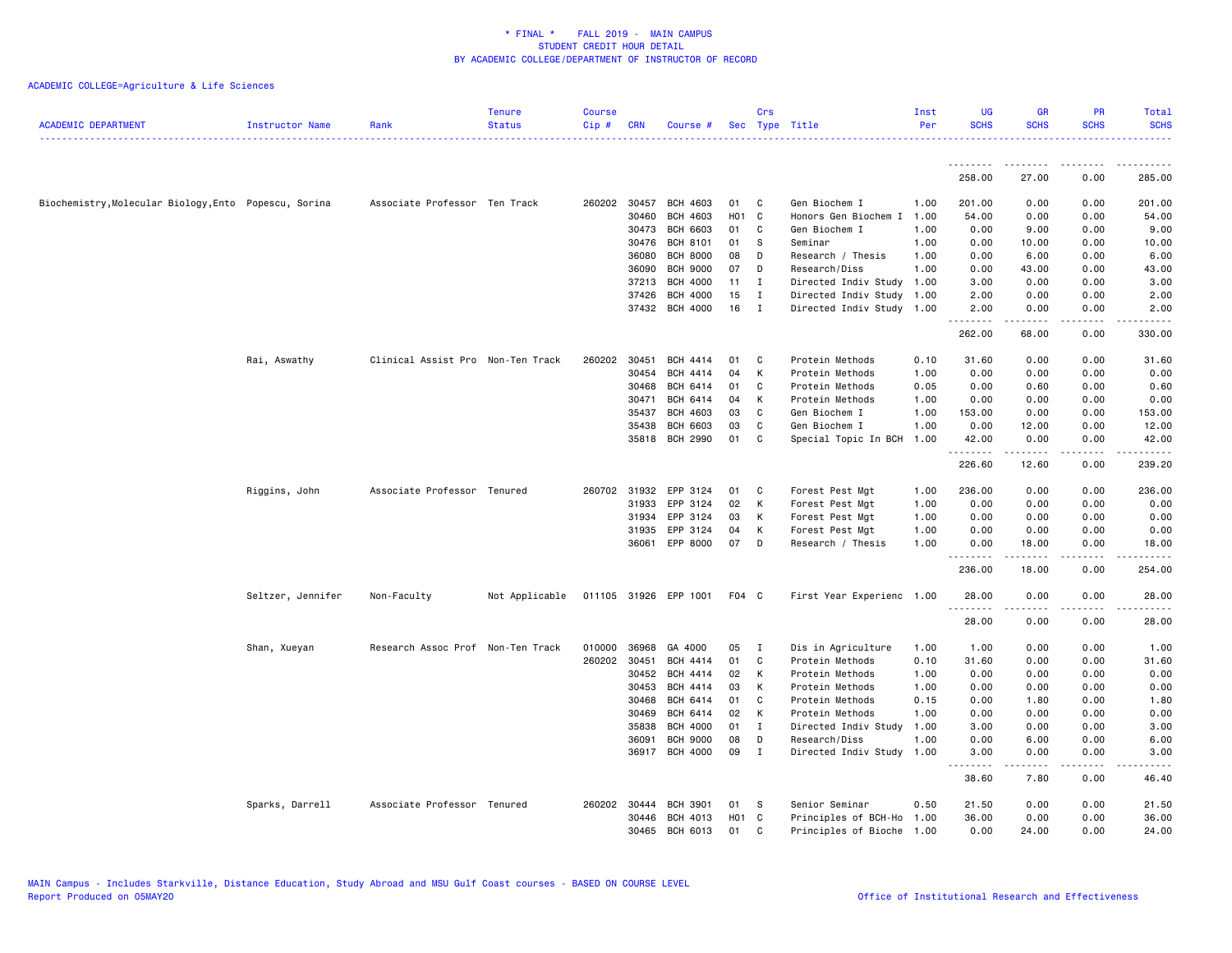| <b>ACADEMIC DEPARTMENT</b>                            | Instructor Name   | Rank                              | <b>Tenure</b><br><b>Status</b> | <b>Course</b><br>Cip# | <b>CRN</b>   | Course #              |       | Crs          | Sec Type Title            | Inst<br>Per | <b>UG</b><br><b>SCHS</b> | <b>GR</b><br><b>SCHS</b> | PR<br><b>SCHS</b> | <b>Total</b><br><b>SCHS</b> |
|-------------------------------------------------------|-------------------|-----------------------------------|--------------------------------|-----------------------|--------------|-----------------------|-------|--------------|---------------------------|-------------|--------------------------|--------------------------|-------------------|-----------------------------|
|                                                       |                   |                                   |                                |                       |              |                       |       |              |                           |             | --------                 |                          |                   |                             |
|                                                       |                   |                                   |                                |                       |              |                       |       |              |                           |             | 258.00                   | 27.00                    | 0.00              | 285.00                      |
| Biochemistry, Molecular Biology, Ento Popescu, Sorina |                   | Associate Professor Ten Track     |                                |                       | 260202 30457 | <b>BCH 4603</b>       | 01    | C            | Gen Biochem I             | 1.00        | 201.00                   | 0.00                     | 0.00              | 201.00                      |
|                                                       |                   |                                   |                                |                       | 30460        | <b>BCH 4603</b>       | H01 C |              | Honors Gen Biochem I      | 1.00        | 54.00                    | 0.00                     | 0.00              | 54.00                       |
|                                                       |                   |                                   |                                |                       | 30473        | <b>BCH 6603</b>       | 01    | C            | Gen Biochem I             | 1.00        | 0.00                     | 9.00                     | 0.00              | 9.00                        |
|                                                       |                   |                                   |                                |                       | 30476        | <b>BCH 8101</b>       | 01    | S            | Seminar                   | 1.00        | 0.00                     | 10.00                    | 0.00              | 10.00                       |
|                                                       |                   |                                   |                                |                       | 36080        | <b>BCH 8000</b>       | 08    | D            | Research / Thesis         | 1.00        | 0.00                     | 6.00                     | 0.00              | 6.00                        |
|                                                       |                   |                                   |                                |                       | 36090        | <b>BCH 9000</b>       | 07    | D            | Research/Diss             | 1.00        | 0.00                     | 43.00                    | 0.00              | 43.00                       |
|                                                       |                   |                                   |                                |                       | 37213        | <b>BCH 4000</b>       | 11    | $\mathbf{I}$ | Directed Indiv Study      | 1.00        | 3.00                     | 0.00                     | 0.00              | 3.00                        |
|                                                       |                   |                                   |                                |                       | 37426        | <b>BCH 4000</b>       | 15    | $\mathbf{I}$ | Directed Indiv Study      | 1.00        | 2.00                     | 0.00                     | 0.00              | 2.00                        |
|                                                       |                   |                                   |                                |                       |              | 37432 BCH 4000        | 16    | $\mathbf{I}$ | Directed Indiv Study 1.00 |             | 2.00<br>.                | 0.00<br><u>.</u>         | 0.00<br>.         | 2.00<br>.                   |
|                                                       |                   |                                   |                                |                       |              |                       |       |              |                           |             | 262.00                   | 68.00                    | 0.00              | 330.00                      |
|                                                       | Rai, Aswathy      | Clinical Assist Pro Non-Ten Track |                                | 260202                | 30451        | BCH 4414              | 01    | C            | Protein Methods           | 0.10        | 31.60                    | 0.00                     | 0.00              | 31.60                       |
|                                                       |                   |                                   |                                |                       | 30454        | <b>BCH 4414</b>       | 04    | К            | Protein Methods           | 1.00        | 0.00                     | 0.00                     | 0.00              | 0.00                        |
|                                                       |                   |                                   |                                |                       | 30468        | BCH 6414              | 01    | C            | Protein Methods           | 0.05        | 0.00                     | 0.60                     | 0.00              | 0.60                        |
|                                                       |                   |                                   |                                |                       | 30471        | BCH 6414              | 04    | K            | Protein Methods           | 1.00        | 0.00                     | 0.00                     | 0.00              | 0.00                        |
|                                                       |                   |                                   |                                |                       | 35437        | <b>BCH 4603</b>       | 03    | C            | Gen Biochem I             | 1.00        | 153.00                   | 0.00                     | 0.00              | 153.00                      |
|                                                       |                   |                                   |                                |                       | 35438        | BCH 6603              | 03    | C            | Gen Biochem I             | 1.00        | 0.00                     | 12.00                    | 0.00              | 12.00                       |
|                                                       |                   |                                   |                                |                       | 35818        | <b>BCH 2990</b>       | 01    | C            | Special Topic In BCH      | 1.00        | 42.00                    | 0.00                     | 0.00              | 42.00                       |
|                                                       |                   |                                   |                                |                       |              |                       |       |              |                           |             | .<br>226.60              | 12.60                    | .<br>0.00         | 239.20                      |
|                                                       | Riggins, John     | Associate Professor Tenured       |                                |                       | 260702 31932 | EPP 3124              | 01    | C            | Forest Pest Mgt           | 1.00        | 236.00                   | 0.00                     | 0.00              | 236.00                      |
|                                                       |                   |                                   |                                |                       | 31933        | EPP 3124              | 02    | К            | Forest Pest Mgt           | 1.00        | 0.00                     | 0.00                     | 0.00              | 0.00                        |
|                                                       |                   |                                   |                                |                       | 31934        | EPP 3124              | 03    | К            | Forest Pest Mgt           | 1.00        | 0.00                     | 0.00                     | 0.00              | 0.00                        |
|                                                       |                   |                                   |                                |                       | 31935        | EPP 3124              | 04    | К            | Forest Pest Mgt           | 1.00        | 0.00                     | 0.00                     | 0.00              | 0.00                        |
|                                                       |                   |                                   |                                |                       |              | 36061 EPP 8000        | 07    | D            | Research / Thesis         | 1.00        | 0.00                     | 18.00                    | 0.00              | 18.00                       |
|                                                       |                   |                                   |                                |                       |              |                       |       |              |                           |             | <u>.</u><br>236.00       | .<br>18.00               | .<br>0.00         | .<br>254.00                 |
|                                                       | Seltzer, Jennifer | Non-Faculty                       | Not Applicable                 |                       |              | 011105 31926 EPP 1001 | F04 C |              | First Year Experienc 1.00 |             | 28.00<br>.               | 0.00                     | 0.00<br>.         | 28.00                       |
|                                                       |                   |                                   |                                |                       |              |                       |       |              |                           |             | 28.00                    | 0.00                     | 0.00              | 28.00                       |
|                                                       | Shan, Xueyan      | Research Assoc Prof Non-Ten Track |                                | 010000                | 36968        | GA 4000               | 05    | $\mathbf{I}$ | Dis in Agriculture        | 1.00        | 1.00                     | 0.00                     | 0.00              | 1.00                        |
|                                                       |                   |                                   |                                | 260202 30451          |              | BCH 4414              | 01    | C            | Protein Methods           | 0.10        | 31.60                    | 0.00                     | 0.00              | 31.60                       |
|                                                       |                   |                                   |                                |                       | 30452        | BCH 4414              | 02    | К            | Protein Methods           | 1.00        | 0.00                     | 0.00                     | 0.00              | 0.00                        |
|                                                       |                   |                                   |                                |                       | 30453        | BCH 4414              | 03    | К            | Protein Methods           | 1.00        | 0.00                     | 0.00                     | 0.00              | 0.00                        |
|                                                       |                   |                                   |                                |                       | 30468        | BCH 6414              | 01    | C            | Protein Methods           | 0.15        | 0.00                     | 1.80                     | 0.00              | 1.80                        |
|                                                       |                   |                                   |                                |                       | 30469        | BCH 6414              | 02    | К            | Protein Methods           | 1.00        | 0.00                     | 0.00                     | 0.00              | 0.00                        |
|                                                       |                   |                                   |                                |                       | 35838        | <b>BCH 4000</b>       | 01    | $\mathbf{I}$ | Directed Indiv Study      | 1.00        | 3.00                     | 0.00                     | 0.00              | 3.00                        |
|                                                       |                   |                                   |                                |                       | 36091        | <b>BCH 9000</b>       | 08    | D            | Research/Diss             | 1.00        | 0.00                     | 6.00                     | 0.00              | 6.00                        |
|                                                       |                   |                                   |                                |                       | 36917        | BCH 4000              | 09    | $\mathbf{I}$ | Directed Indiv Study      | 1.00        | 3.00<br>.                | 0.00<br>.                | 0.00<br>.         | 3.00                        |
|                                                       |                   |                                   |                                |                       |              |                       |       |              |                           |             | 38.60                    | 7.80                     | 0.00              | 46.40                       |
|                                                       | Sparks, Darrell   | Associate Professor Tenured       |                                |                       | 260202 30444 | <b>BCH 3901</b>       | 01    | s            | Senior Seminar            | 0.50        | 21.50                    | 0.00                     | 0.00              | 21.50                       |
|                                                       |                   |                                   |                                |                       | 30446        | BCH 4013              | H01 C |              | Principles of BCH-Ho      | 1.00        | 36.00                    | 0.00                     | 0.00              | 36.00                       |
|                                                       |                   |                                   |                                |                       | 30465        | BCH 6013              | 01    | C            | Principles of Bioche      | 1.00        | 0.00                     | 24.00                    | 0.00              | 24.00                       |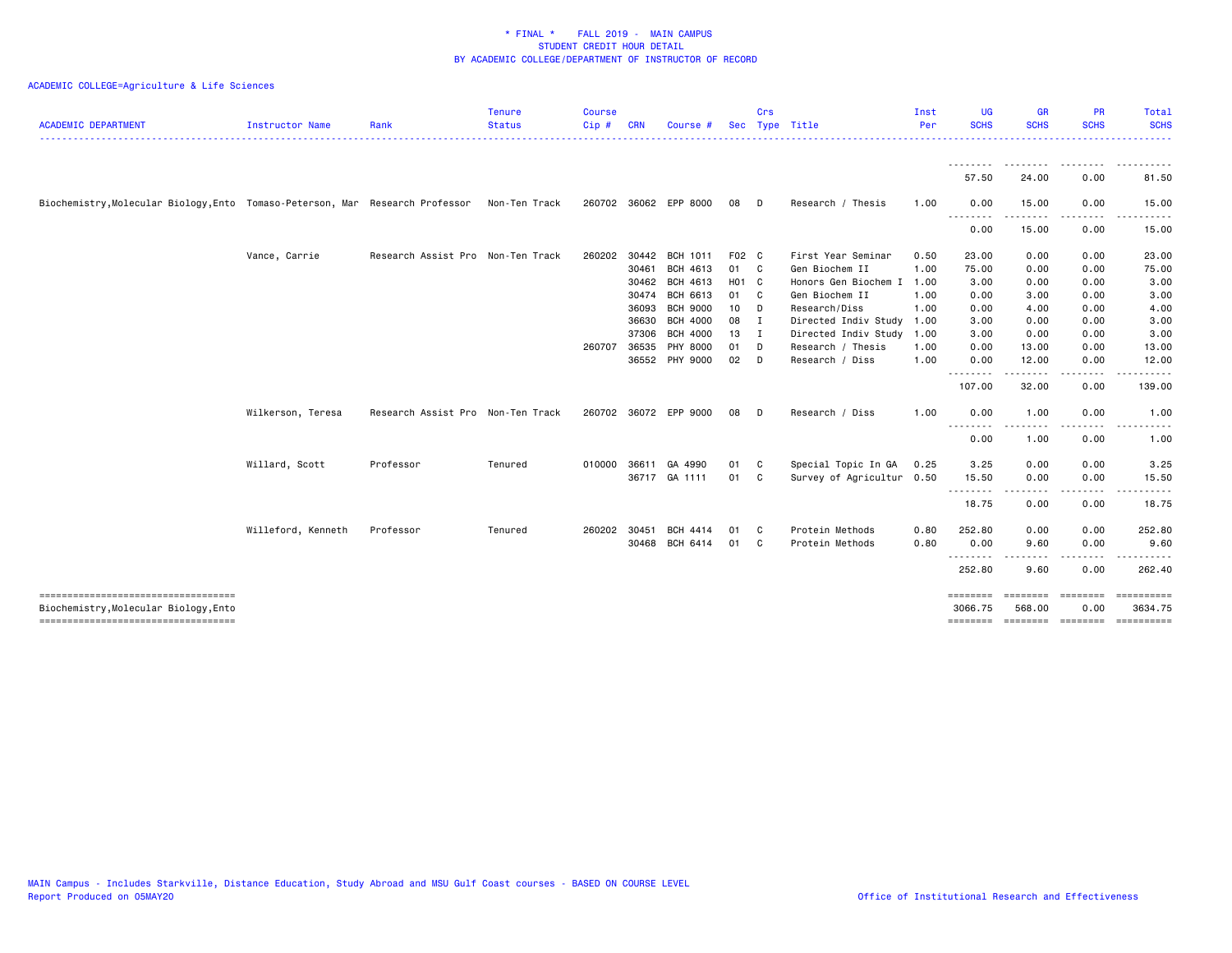| <b>ACADEMIC DEPARTMENT</b>                                                    | Instructor Name    | Rank                              | <b>Tenure</b><br><b>Status</b> | <b>Course</b><br>Cip# | <b>CRN</b> | Course #              |              | Crs            | Sec Type Title            | Inst<br>Per | UG<br><b>SCHS</b>   | GR<br><b>SCHS</b>  | <b>PR</b><br><b>SCHS</b>                                                                                                                                                                | Total<br><b>SCHS</b>  |
|-------------------------------------------------------------------------------|--------------------|-----------------------------------|--------------------------------|-----------------------|------------|-----------------------|--------------|----------------|---------------------------|-------------|---------------------|--------------------|-----------------------------------------------------------------------------------------------------------------------------------------------------------------------------------------|-----------------------|
|                                                                               |                    |                                   |                                |                       |            |                       |              |                |                           |             | --------            |                    |                                                                                                                                                                                         |                       |
|                                                                               |                    |                                   |                                |                       |            |                       |              |                |                           |             | 57.50               | 24.00              | 0.00                                                                                                                                                                                    | 81.50                 |
| Biochemistry, Molecular Biology, Ento Tomaso-Peterson, Mar Research Professor |                    |                                   | Non-Ten Track                  |                       |            | 260702 36062 EPP 8000 | 08           | D.             | Research / Thesis         | 1.00        | 0.00                | 15.00              | 0.00<br>.                                                                                                                                                                               | 15.00                 |
|                                                                               |                    |                                   |                                |                       |            |                       |              |                |                           |             | --------<br>0.00    | .<br>15.00         | 0.00                                                                                                                                                                                    | 15.00                 |
|                                                                               | Vance, Carrie      | Research Assist Pro Non-Ten Track |                                | 260202                | 30442      | BCH 1011              | F02 C        |                | First Year Seminar        | 0.50        | 23.00               | 0.00               | 0.00                                                                                                                                                                                    | 23.00                 |
|                                                                               |                    |                                   |                                |                       | 30461      | BCH 4613              | 01 C         |                | Gen Biochem II            | 1.00        | 75.00               | 0.00               | 0.00                                                                                                                                                                                    | 75.00                 |
|                                                                               |                    |                                   |                                |                       | 30462      | BCH 4613              | H01 C        |                | Honors Gen Biochem I      | 1.00        | 3.00                | 0.00               | 0.00                                                                                                                                                                                    | 3.00                  |
|                                                                               |                    |                                   |                                |                       | 30474      | BCH 6613              | 01 C         |                | Gen Biochem II            | 1.00        | 0.00                | 3.00               | 0.00                                                                                                                                                                                    | 3.00                  |
|                                                                               |                    |                                   |                                |                       | 36093      | <b>BCH 9000</b>       | 10           | $\mathsf{D}$   | Research/Diss             | 1.00        | 0.00                | 4.00               | 0.00                                                                                                                                                                                    | 4.00                  |
|                                                                               |                    |                                   |                                |                       | 36630      | <b>BCH 4000</b>       | 08           | $\blacksquare$ | Directed Indiv Study      | 1.00        | 3.00                | 0.00               | 0.00                                                                                                                                                                                    | 3.00                  |
|                                                                               |                    |                                   |                                |                       | 37306      | <b>BCH 4000</b>       | $13 \quad I$ |                | Directed Indiv Study      | 1.00        | 3.00                | 0.00               | 0.00                                                                                                                                                                                    | 3.00                  |
|                                                                               |                    |                                   |                                | 260707                | 36535      | PHY 8000              | 01           | D              | Research / Thesis         | 1.00        | 0.00                | 13.00              | 0.00                                                                                                                                                                                    | 13.00                 |
|                                                                               |                    |                                   |                                |                       |            | 36552 PHY 9000        | $02$ D       |                | Research / Diss           | 1.00        | 0.00<br>.           | 12.00<br><u>.</u>  | 0.00<br>$\frac{1}{2} \left( \frac{1}{2} \right) \left( \frac{1}{2} \right) \left( \frac{1}{2} \right) \left( \frac{1}{2} \right) \left( \frac{1}{2} \right) \left( \frac{1}{2} \right)$ | 12.00<br>.            |
|                                                                               |                    |                                   |                                |                       |            |                       |              |                |                           |             | 107.00              | 32.00              | 0.00                                                                                                                                                                                    | 139.00                |
|                                                                               | Wilkerson, Teresa  | Research Assist Pro Non-Ten Track |                                |                       |            | 260702 36072 EPP 9000 | 08           | D              | Research / Diss           | 1.00        | 0.00                | 1.00               | 0.00                                                                                                                                                                                    | 1.00                  |
|                                                                               |                    |                                   |                                |                       |            |                       |              |                |                           |             | <u>.</u><br>0.00    | 1.00               | 0.00                                                                                                                                                                                    | 1.00                  |
|                                                                               | Willard, Scott     | Professor                         | Tenured                        |                       |            | 010000 36611 GA 4990  | 01 C         |                | Special Topic In GA       | 0.25        | 3.25                | 0.00               | 0.00                                                                                                                                                                                    | 3.25                  |
|                                                                               |                    |                                   |                                |                       |            | 36717 GA 1111         | 01 C         |                | Survey of Agricultur 0.50 |             | 15.50<br>.          | 0.00               | 0.00                                                                                                                                                                                    | 15.50                 |
|                                                                               |                    |                                   |                                |                       |            |                       |              |                |                           |             | 18.75               | 0.00               | 0.00                                                                                                                                                                                    | 18.75                 |
|                                                                               | Willeford, Kenneth | Professor                         | Tenured                        | 260202 30451          |            | <b>BCH 4414</b>       | 01           | - C            | Protein Methods           | 0.80        | 252.80              | 0.00               | 0.00                                                                                                                                                                                    | 252.80                |
|                                                                               |                    |                                   |                                |                       | 30468      | BCH 6414              | 01           | C              | Protein Methods           | 0.80        | 0.00<br>.           | 9.60               | 0.00<br>.                                                                                                                                                                               | 9.60                  |
|                                                                               |                    |                                   |                                |                       |            |                       |              |                |                           |             | 252.80              | 9.60               | 0.00                                                                                                                                                                                    | 262.40                |
| -----------------------------------<br>Biochemistry,Molecular Biology,Ento    |                    |                                   |                                |                       |            |                       |              |                |                           |             | ========<br>3066.75 | ========<br>568.00 | ========<br>0.00                                                                                                                                                                        | ==========<br>3634.75 |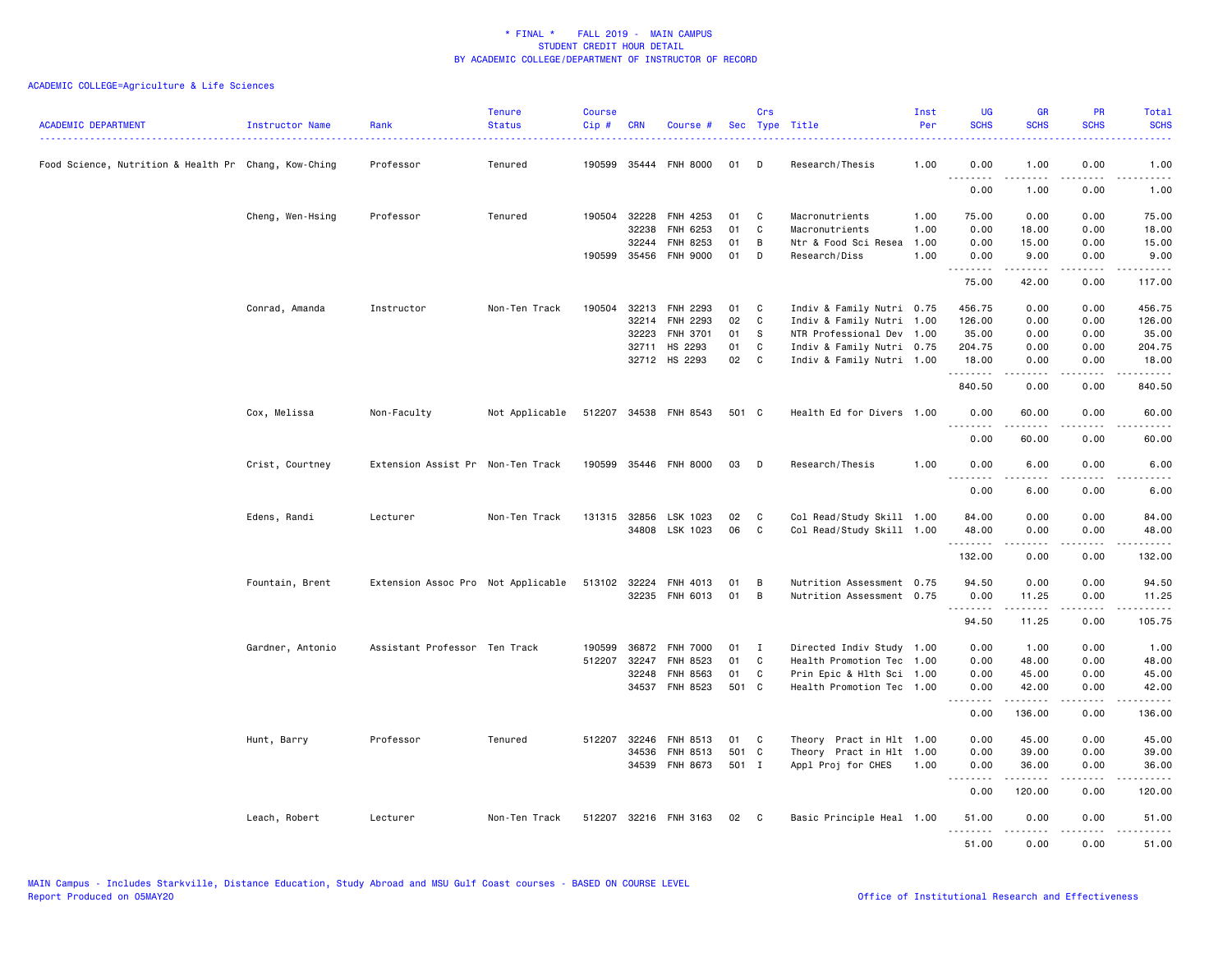| <b>ACADEMIC DEPARTMENT</b>                           | Instructor Name  | Rank<br>.                          | <b>Tenure</b><br><b>Status</b> | <b>Course</b><br>$Cip \#$ | <b>CRN</b>            | Course #              |          | Crs          | Sec Type Title                   | Inst<br>Per  | <b>UG</b><br><b>SCHS</b> | <b>GR</b><br><b>SCHS</b>      | <b>PR</b><br><b>SCHS</b> | Total<br><b>SCHS</b><br><b><i><u><u>.</u></u></i></b> |
|------------------------------------------------------|------------------|------------------------------------|--------------------------------|---------------------------|-----------------------|-----------------------|----------|--------------|----------------------------------|--------------|--------------------------|-------------------------------|--------------------------|-------------------------------------------------------|
| Food Science, Nutrition & Health Pr Chang, Kow-Ching |                  | Professor                          | Tenured                        | 190599                    | 35444                 | FNH 8000              | 01       | D            | Research/Thesis                  | 1.00         | 0.00                     | 1.00<br>$\sim$ 200 $\sim$ 200 | 0.00<br>.                | 1.00<br>$\omega$ is $\omega$ in .                     |
|                                                      |                  |                                    |                                |                           |                       |                       |          |              |                                  |              | 0.00                     | 1.00                          | 0.00                     | 1.00                                                  |
|                                                      | Cheng, Wen-Hsing | Professor                          | Tenured                        |                           | 190504 32228<br>32238 | FNH 4253<br>FNH 6253  | 01<br>01 | C<br>C       | Macronutrients<br>Macronutrients | 1.00<br>1.00 | 75.00<br>0.00            | 0.00<br>18.00                 | 0.00<br>0.00             | 75.00<br>18.00                                        |
|                                                      |                  |                                    |                                |                           | 32244                 | FNH 8253              | 01       | B            | Ntr & Food Sci Resea             | 1.00         | 0.00                     | 15.00                         | 0.00                     | 15.00                                                 |
|                                                      |                  |                                    |                                |                           |                       | 190599 35456 FNH 9000 | 01       | D            | Research/Diss                    | 1.00         | 0.00                     | 9.00                          | 0.00                     | 9.00                                                  |
|                                                      |                  |                                    |                                |                           |                       |                       |          |              |                                  |              | .<br>75.00               | $- - - - -$<br>42.00          | $- - - -$<br>0.00        | 117.00                                                |
|                                                      | Conrad, Amanda   | Instructor                         | Non-Ten Track                  | 190504                    |                       | 32213 FNH 2293        | 01       | C            | Indiv & Family Nutri 0.75        |              | 456.75                   | 0.00                          | 0.00                     | 456.75                                                |
|                                                      |                  |                                    |                                |                           | 32214                 | FNH 2293              | 02       | C            | Indiv & Family Nutri 1.00        |              | 126.00                   | 0.00                          | 0.00                     | 126.00                                                |
|                                                      |                  |                                    |                                |                           | 32223                 | <b>FNH 3701</b>       | 01       | -S           | NTR Professional Dev 1.00        |              | 35.00                    | 0.00                          | 0.00                     | 35.00                                                 |
|                                                      |                  |                                    |                                |                           |                       | 32711 HS 2293         | 01       | C            | Indiv & Family Nutri 0.75        |              | 204.75                   | 0.00                          | 0.00                     | 204.75                                                |
|                                                      |                  |                                    |                                |                           |                       | 32712 HS 2293         | 02       | $\mathbf{C}$ | Indiv & Family Nutri 1.00        |              | 18.00<br>. <b>.</b>      | 0.00<br>.                     | 0.00<br>.                | 18.00<br>. <b>.</b>                                   |
|                                                      |                  |                                    |                                |                           |                       |                       |          |              |                                  |              | 840.50                   | 0.00                          | 0.00                     | 840.50                                                |
|                                                      | Cox, Melissa     | Non-Faculty                        | Not Applicable                 |                           |                       | 512207 34538 FNH 8543 | 501 C    |              | Health Ed for Divers 1.00        |              | 0.00<br><u>.</u>         | 60.00                         | 0.00                     | 60.00<br>.                                            |
|                                                      |                  |                                    |                                |                           |                       |                       |          |              |                                  |              | 0.00                     | 60.00                         | 0.00                     | 60.00                                                 |
|                                                      | Crist, Courtney  | Extension Assist Pr Non-Ten Track  |                                |                           |                       | 190599 35446 FNH 8000 | 03       | D            | Research/Thesis                  | 1.00         | 0.00<br>.                | 6.00<br>.                     | 0.00<br>----             | 6.00<br>$- - - -$                                     |
|                                                      |                  |                                    |                                |                           |                       |                       |          |              |                                  |              | 0.00                     | 6.00                          | 0.00                     | 6.00                                                  |
|                                                      | Edens, Randi     | Lecturer                           | Non-Ten Track                  |                           |                       | 131315 32856 LSK 1023 | 02       | C            | Col Read/Study Skill 1.00        |              | 84.00                    | 0.00                          | 0.00                     | 84.00                                                 |
|                                                      |                  |                                    |                                |                           |                       | 34808 LSK 1023        | 06       | C            | Col Read/Study Skill 1.00        |              | 48.00                    | 0.00                          | 0.00                     | 48.00                                                 |
|                                                      |                  |                                    |                                |                           |                       |                       |          |              |                                  |              | .<br>132.00              | <u>.</u><br>0.00              | د د د د<br>0.00          | .<br>132.00                                           |
|                                                      | Fountain, Brent  | Extension Assoc Pro Not Applicable |                                |                           | 513102 32224          | FNH 4013              | 01       | в            | Nutrition Assessment 0.75        |              | 94.50                    | 0.00                          | 0.00                     | 94.50                                                 |
|                                                      |                  |                                    |                                |                           |                       | 32235 FNH 6013        | 01       | B            | Nutrition Assessment 0.75        |              | 0.00                     | 11.25                         | 0.00                     | 11.25                                                 |
|                                                      |                  |                                    |                                |                           |                       |                       |          |              |                                  |              | .<br>94.50               | -----<br>11.25                | د د د د<br>0.00          | .<br>105.75                                           |
|                                                      | Gardner, Antonio | Assistant Professor Ten Track      |                                | 190599                    | 36872                 | <b>FNH 7000</b>       | 01       | $\mathbf{I}$ | Directed Indiv Study 1.00        |              | 0.00                     | 1.00                          | 0.00                     | 1.00                                                  |
|                                                      |                  |                                    |                                | 512207                    | 32247                 | FNH 8523              | 01       | C            | Health Promotion Tec 1.00        |              | 0.00                     | 48.00                         | 0.00                     | 48.00                                                 |
|                                                      |                  |                                    |                                |                           | 32248                 | FNH 8563              | 01       | C            | Prin Epic & Hlth Sci 1.00        |              | 0.00                     | 45.00                         | 0.00                     | 45.00                                                 |
|                                                      |                  |                                    |                                |                           |                       | 34537 FNH 8523        | 501 C    |              | Health Promotion Tec 1.00        |              | 0.00<br>.                | 42.00<br><u>.</u>             | 0.00<br>.                | 42.00<br>.                                            |
|                                                      |                  |                                    |                                |                           |                       |                       |          |              |                                  |              | 0.00                     | 136.00                        | 0.00                     | 136.00                                                |
|                                                      | Hunt, Barry      | Professor                          | Tenured                        |                           | 512207 32246          | FNH 8513              | 01       | C            | Theory Pract in Hlt 1.00         |              | 0.00                     | 45.00                         | 0.00                     | 45.00                                                 |
|                                                      |                  |                                    |                                |                           | 34536                 | FNH 8513              | 501 C    |              | Theory Pract in Hlt 1.00         |              | 0.00                     | 39.00                         | 0.00                     | 39.00                                                 |
|                                                      |                  |                                    |                                |                           |                       | 34539 FNH 8673        | 501 I    |              | Appl Proj for CHES               | 1.00         | 0.00<br>.                | 36.00                         | 0.00<br>.                | 36.00<br>.                                            |
|                                                      |                  |                                    |                                |                           |                       |                       |          |              |                                  |              | 0.00                     | 120.00                        | 0.00                     | 120.00                                                |
|                                                      | Leach, Robert    | Lecturer                           | Non-Ten Track                  |                           |                       | 512207 32216 FNH 3163 | 02       | - C          | Basic Principle Heal 1.00        |              | 51.00<br>.               | 0.00<br>المتمام المتحدة       | 0.00<br>د د د د          | 51.00<br>.                                            |
|                                                      |                  |                                    |                                |                           |                       |                       |          |              |                                  |              | 51.00                    | 0.00                          | 0.00                     | 51.00                                                 |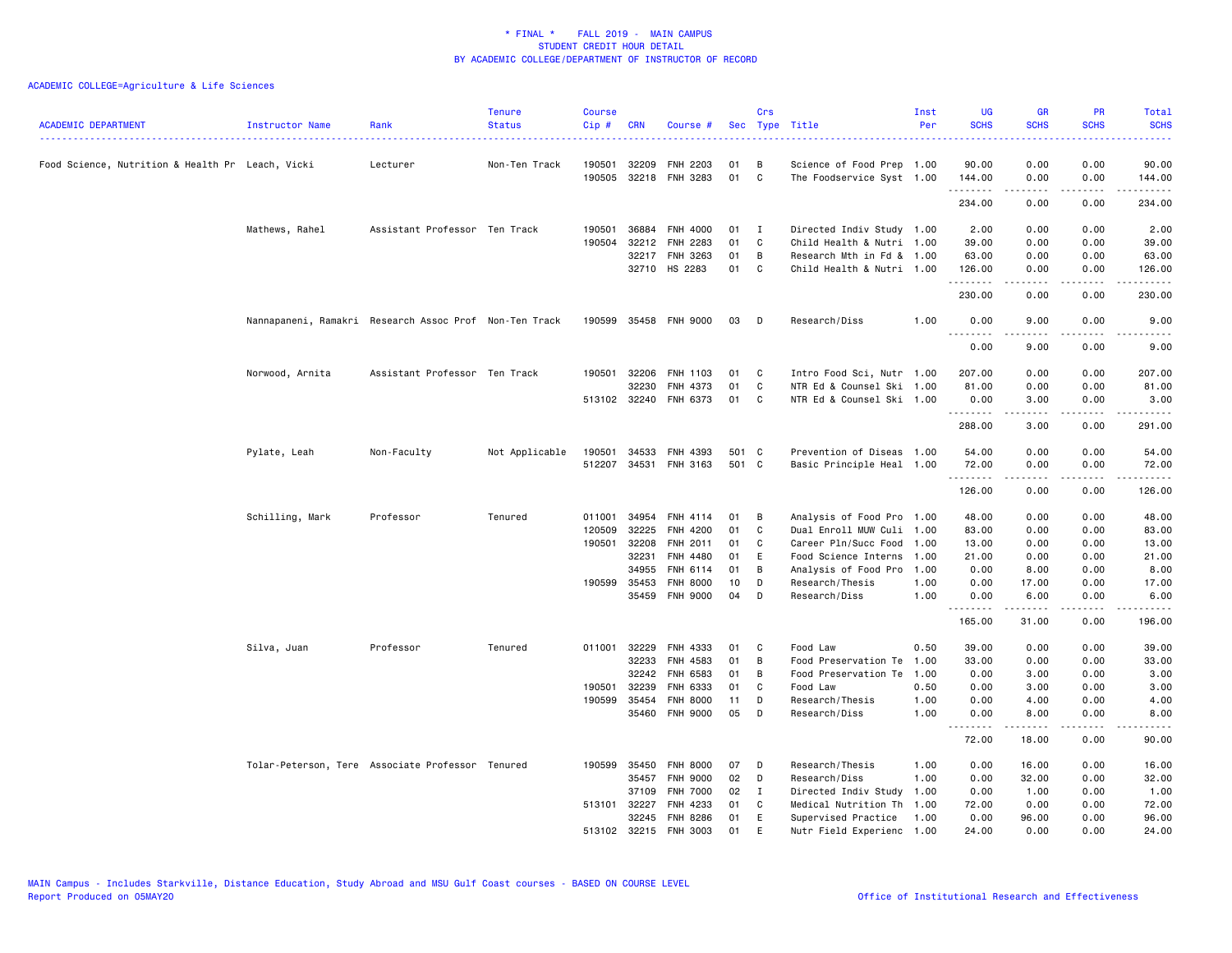| <b>ACADEMIC DEPARTMENT</b>                       | Instructor Name                                  | Rank                                                   | <b>Tenure</b><br><b>Status</b> | <b>Course</b><br>Cip # | <b>CRN</b>   | Course #              |       | Crs | Sec Type Title            | Inst<br>Per | <b>UG</b><br><b>SCHS</b>     | <b>GR</b><br><b>SCHS</b> | <b>PR</b><br><b>SCHS</b>                                                                                                          | Total<br><b>SCHS</b> |
|--------------------------------------------------|--------------------------------------------------|--------------------------------------------------------|--------------------------------|------------------------|--------------|-----------------------|-------|-----|---------------------------|-------------|------------------------------|--------------------------|-----------------------------------------------------------------------------------------------------------------------------------|----------------------|
| Food Science, Nutrition & Health Pr Leach, Vicki |                                                  | Lecturer                                               | Non-Ten Track                  | 190501                 | 32209        | <b>FNH 2203</b>       | 01    | B   | Science of Food Prep 1.00 |             | 90.00                        | 0.00                     | 0.00                                                                                                                              | 90.00                |
|                                                  |                                                  |                                                        |                                | 190505                 |              | 32218 FNH 3283        | 01    | C   | The Foodservice Syst 1.00 |             | 144.00                       | 0.00                     | 0.00                                                                                                                              | 144.00               |
|                                                  |                                                  |                                                        |                                |                        |              |                       |       |     |                           |             | .<br>234.00                  | 2.2.2.2.2<br>0.00        | .<br>0.00                                                                                                                         | .<br>234.00          |
|                                                  | Mathews, Rahel                                   | Assistant Professor Ten Track                          |                                | 190501                 | 36884        | <b>FNH 4000</b>       | 01    | I   | Directed Indiv Study 1.00 |             | 2.00                         | 0.00                     | 0.00                                                                                                                              | 2.00                 |
|                                                  |                                                  |                                                        |                                | 190504                 | 32212        | <b>FNH 2283</b>       | 01    | C   | Child Health & Nutri 1.00 |             | 39.00                        | 0.00                     | 0.00                                                                                                                              | 39.00                |
|                                                  |                                                  |                                                        |                                |                        | 32217        | FNH 3263              | 01    | B   | Research Mth in Fd & 1.00 |             | 63.00                        | 0.00                     | 0.00                                                                                                                              | 63.00                |
|                                                  |                                                  |                                                        |                                |                        |              | 32710 HS 2283         | 01    | C   | Child Health & Nutri 1.00 |             | 126.00                       | 0.00                     | 0.00                                                                                                                              | 126.00               |
|                                                  |                                                  |                                                        |                                |                        |              |                       |       |     |                           |             | .<br>230.00                  | -----<br>0.00            | .<br>0.00                                                                                                                         | .<br>230.00          |
|                                                  |                                                  | Nannapaneni, Ramakri Research Assoc Prof Non-Ten Track |                                |                        |              | 190599 35458 FNH 9000 | 03    | D   | Research/Diss             | 1.00        | 0.00                         | 9.00                     | 0.00                                                                                                                              | 9.00                 |
|                                                  |                                                  |                                                        |                                |                        |              |                       |       |     |                           |             | $\sim$ $\sim$ $\sim$<br>0.00 | 9.00                     | 0.00                                                                                                                              | 9.00                 |
|                                                  | Norwood, Arnita                                  | Assistant Professor Ten Track                          |                                |                        | 190501 32206 | FNH 1103              | 01    | C   | Intro Food Sci, Nutr 1.00 |             | 207.00                       | 0.00                     | 0.00                                                                                                                              | 207.00               |
|                                                  |                                                  |                                                        |                                |                        | 32230        | FNH 4373              | 01    | C   | NTR Ed & Counsel Ski 1.00 |             | 81.00                        | 0.00                     | 0.00                                                                                                                              | 81.00                |
|                                                  |                                                  |                                                        |                                |                        | 513102 32240 | FNH 6373              | 01    | C   | NTR Ed & Counsel Ski 1.00 |             | 0.00                         | 3.00                     | 0.00                                                                                                                              | 3.00                 |
|                                                  |                                                  |                                                        |                                |                        |              |                       |       |     |                           |             | .<br>288.00                  | .<br>3.00                | $- - - -$<br>0.00                                                                                                                 | .<br>291.00          |
|                                                  | Pylate, Leah                                     | Non-Faculty                                            | Not Applicable                 | 190501                 | 34533        | <b>FNH 4393</b>       | 501 C |     | Prevention of Diseas 1.00 |             | 54.00                        | 0.00                     | 0.00                                                                                                                              | 54.00                |
|                                                  |                                                  |                                                        |                                |                        |              | 512207 34531 FNH 3163 | 501 C |     | Basic Principle Heal 1.00 |             | 72.00                        | 0.00                     | 0.00                                                                                                                              | 72.00                |
|                                                  |                                                  |                                                        |                                |                        |              |                       |       |     |                           |             | .<br>126.00                  | -----<br>0.00            | .<br>0.00                                                                                                                         | . <b>.</b><br>126.00 |
|                                                  | Schilling, Mark                                  | Professor                                              | Tenured                        | 011001                 | 34954        | FNH 4114              | 01    | B   | Analysis of Food Pro 1.00 |             | 48.00                        | 0.00                     | 0.00                                                                                                                              | 48.00                |
|                                                  |                                                  |                                                        |                                | 120509                 | 32225        | FNH 4200              | 01    | C   | Dual Enroll MUW Culi 1.00 |             | 83.00                        | 0.00                     | 0.00                                                                                                                              | 83.00                |
|                                                  |                                                  |                                                        |                                |                        | 190501 32208 | FNH 2011              | 01    | C   | Career Pln/Succ Food      | 1.00        | 13.00                        | 0.00                     | 0.00                                                                                                                              | 13.00                |
|                                                  |                                                  |                                                        |                                |                        | 32231        | FNH 4480              | 01    | E   | Food Science Interns 1.00 |             | 21.00                        | 0.00                     | 0.00                                                                                                                              | 21.00                |
|                                                  |                                                  |                                                        |                                |                        | 34955        | FNH 6114              | 01    | B   | Analysis of Food Pro      | 1.00        | 0.00                         | 8.00                     | 0.00                                                                                                                              | 8.00                 |
|                                                  |                                                  |                                                        |                                |                        | 190599 35453 | <b>FNH 8000</b>       | 10    | D   | Research/Thesis           | 1.00        | 0.00                         | 17.00                    | 0.00                                                                                                                              | 17.00                |
|                                                  |                                                  |                                                        |                                |                        | 35459        | <b>FNH 9000</b>       | 04    | D   | Research/Diss             | 1.00        | 0.00                         | 6.00                     | 0.00                                                                                                                              | 6.00                 |
|                                                  |                                                  |                                                        |                                |                        |              |                       |       |     |                           |             | .<br>165.00                  | $- - - - -$<br>31.00     | $\frac{1}{2} \left( \frac{1}{2} \right) \left( \frac{1}{2} \right) \left( \frac{1}{2} \right) \left( \frac{1}{2} \right)$<br>0.00 | .<br>196.00          |
|                                                  | Silva, Juan                                      | Professor                                              | Tenured                        |                        | 011001 32229 | FNH 4333              | 01    | C   | Food Law                  | 0.50        | 39.00                        | 0.00                     | 0.00                                                                                                                              | 39.00                |
|                                                  |                                                  |                                                        |                                |                        | 32233        | FNH 4583              | 01    | B   | Food Preservation Te      | 1.00        | 33.00                        | 0.00                     | 0.00                                                                                                                              | 33.00                |
|                                                  |                                                  |                                                        |                                |                        | 32242        | FNH 6583              | 01    | B   | Food Preservation Te      | 1.00        | 0.00                         | 3.00                     | 0.00                                                                                                                              | 3.00                 |
|                                                  |                                                  |                                                        |                                | 190501                 | 32239        | FNH 6333              | 01    | C   | Food Law                  | 0.50        | 0.00                         | 3.00                     | 0.00                                                                                                                              | 3.00                 |
|                                                  |                                                  |                                                        |                                |                        | 190599 35454 | <b>FNH 8000</b>       | 11    | D   | Research/Thesis           | 1.00        | 0.00                         | 4.00                     | 0.00                                                                                                                              | 4.00                 |
|                                                  |                                                  |                                                        |                                |                        |              | 35460 FNH 9000        | 05    | D   | Research/Diss             | 1.00        | 0.00                         | 8.00                     | 0.00                                                                                                                              | 8.00                 |
|                                                  |                                                  |                                                        |                                |                        |              |                       |       |     |                           |             | .<br>72.00                   | .<br>18.00               | .<br>0.00                                                                                                                         | 90.00                |
|                                                  | Tolar-Peterson, Tere Associate Professor Tenured |                                                        |                                |                        | 190599 35450 | <b>FNH 8000</b>       | 07    | D   | Research/Thesis           | 1.00        | 0.00                         | 16.00                    | 0.00                                                                                                                              | 16.00                |
|                                                  |                                                  |                                                        |                                |                        | 35457        | <b>FNH 9000</b>       | 02    | D   | Research/Diss             | 1.00        | 0.00                         | 32.00                    | 0.00                                                                                                                              | 32.00                |
|                                                  |                                                  |                                                        |                                |                        | 37109        | <b>FNH 7000</b>       | 02    | Ι.  | Directed Indiv Study      | 1.00        | 0.00                         | 1.00                     | 0.00                                                                                                                              | 1.00                 |
|                                                  |                                                  |                                                        |                                |                        | 513101 32227 | FNH 4233              | 01    | C   | Medical Nutrition Th      | 1.00        | 72.00                        | 0.00                     | 0.00                                                                                                                              | 72.00                |
|                                                  |                                                  |                                                        |                                |                        | 32245        | <b>FNH 8286</b>       | 01    | E   | Supervised Practice       | 1.00        | 0.00                         | 96.00                    | 0.00                                                                                                                              | 96.00                |
|                                                  |                                                  |                                                        |                                |                        |              | 513102 32215 FNH 3003 | 01    | E   | Nutr Field Experienc 1.00 |             | 24.00                        | 0.00                     | 0.00                                                                                                                              | 24.00                |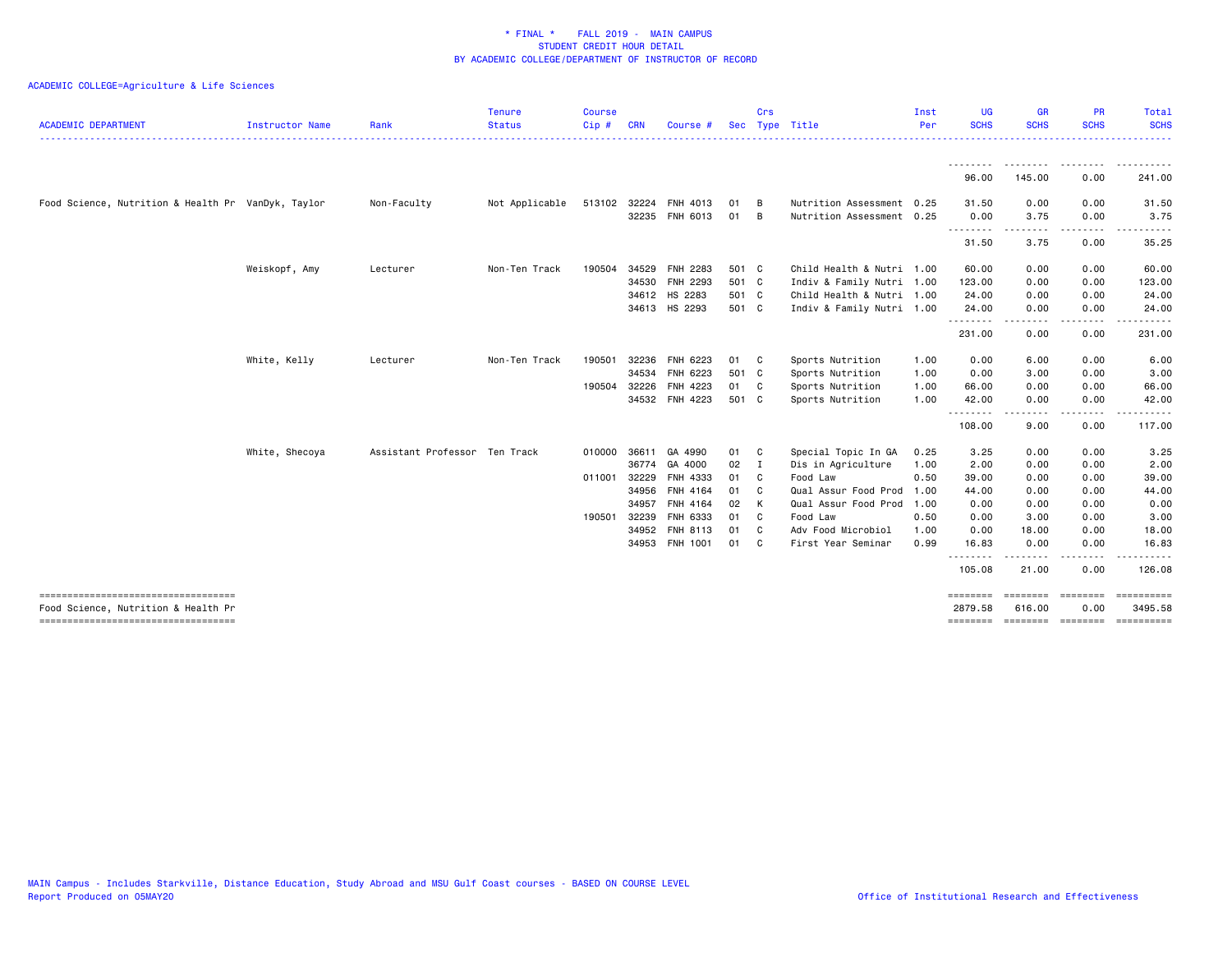| <b>ACADEMIC DEPARTMENT</b>                                                 | <b>Instructor Name</b> | Rank                          | <b>Tenure</b><br><b>Status</b> | <b>Course</b><br>Cip# | <b>CRN</b>   | Course #                   |                | Crs            | Sec Type Title                                         | Inst<br>Per | <b>UG</b><br><b>SCHS</b> | <b>GR</b><br><b>SCHS</b> | <b>PR</b><br><b>SCHS</b> | Total<br><b>SCHS</b>                  |
|----------------------------------------------------------------------------|------------------------|-------------------------------|--------------------------------|-----------------------|--------------|----------------------------|----------------|----------------|--------------------------------------------------------|-------------|--------------------------|--------------------------|--------------------------|---------------------------------------|
|                                                                            |                        |                               |                                |                       |              |                            |                |                |                                                        |             | 96.00                    | 145.00                   | 0.00                     | 241.00                                |
| Food Science, Nutrition & Health Pr VanDyk, Taylor                         |                        | Non-Faculty                   | Not Applicable                 | 513102                | 32224        | FNH 4013<br>32235 FNH 6013 | 01<br>01 B     | $\overline{B}$ | Nutrition Assessment 0.25<br>Nutrition Assessment 0.25 |             | 31.50<br>0.00            | 0.00<br>3.75             | 0.00<br>0.00             | 31.50<br>3.75                         |
|                                                                            |                        |                               |                                |                       |              |                            |                |                |                                                        |             | .<br>31.50               | 3.75                     | 0.00                     | 35.25                                 |
|                                                                            | Weiskopf, Amy          | Lecturer                      | Non-Ten Track                  | 190504                | 34529        | FNH 2283<br>34530 FNH 2293 | 501 C<br>501 C |                | Child Health & Nutri 1.00<br>Indiv & Family Nutri 1.00 |             | 60.00<br>123.00          | 0.00<br>0.00             | 0.00<br>0.00             | 60.00<br>123.00                       |
|                                                                            |                        |                               |                                |                       |              | 34612 HS 2283              | 501 C          |                | Child Health & Nutri 1.00                              |             | 24.00                    | 0.00                     | 0.00                     | 24.00                                 |
|                                                                            |                        |                               |                                |                       |              | 34613 HS 2293              | 501 C          |                | Indiv & Family Nutri 1.00                              |             | 24.00                    | 0.00                     | 0.00                     | 24.00                                 |
|                                                                            |                        |                               |                                |                       |              |                            |                |                |                                                        |             | .<br>231.00              | 0.00                     | 0.00                     | 231.00                                |
|                                                                            | White, Kelly           | Lecturer                      | Non-Ten Track                  | 190501                | 32236        | FNH 6223                   | 01 C           |                | Sports Nutrition                                       | 1.00        | 0.00                     | 6.00                     | 0.00                     | 6.00                                  |
|                                                                            |                        |                               |                                |                       | 34534        | FNH 6223                   | 501 C          |                | Sports Nutrition                                       | 1.00        | 0.00                     | 3.00                     | 0.00                     | 3.00                                  |
|                                                                            |                        |                               |                                | 190504                | 32226        | FNH 4223                   | 01 C           |                | Sports Nutrition                                       | 1.00        | 66.00                    | 0.00                     | 0.00                     | 66.00                                 |
|                                                                            |                        |                               |                                |                       |              | 34532 FNH 4223             | 501 C          |                | Sports Nutrition                                       | 1.00        | 42.00<br>.               | 0.00<br>----             | 0.00<br>$   -$           | 42.00                                 |
|                                                                            |                        |                               |                                |                       |              |                            |                |                |                                                        |             | 108.00                   | 9.00                     | 0.00                     | 117.00                                |
|                                                                            | White, Shecoya         | Assistant Professor Ten Track |                                | 010000                | 36611        | GA 4990                    | 01 C           |                | Special Topic In GA                                    | 0.25        | 3.25                     | 0.00                     | 0.00                     | 3.25                                  |
|                                                                            |                        |                               |                                |                       | 36774        | GA 4000                    | $02 \quad I$   |                | Dis in Agriculture                                     | 1.00        | 2.00                     | 0.00                     | 0.00                     | 2.00                                  |
|                                                                            |                        |                               |                                |                       | 011001 32229 | FNH 4333                   | 01 C           |                | Food Law                                               | 0.50        | 39.00                    | 0.00                     | 0.00                     | 39.00                                 |
|                                                                            |                        |                               |                                |                       | 34956        | <b>FNH 4164</b>            | 01             | C.             | Qual Assur Food Prod                                   | 1.00        | 44.00                    | 0.00                     | 0.00                     | 44.00                                 |
|                                                                            |                        |                               |                                |                       | 34957        | FNH 4164                   | 02             | K              | Qual Assur Food Prod                                   | 1.00        | 0.00                     | 0.00                     | 0.00                     | 0.00                                  |
|                                                                            |                        |                               |                                | 190501                | 32239        | FNH 6333                   | 01             | $\mathbf{C}$   | Food Law                                               | 0.50        | 0.00                     | 3.00                     | 0.00                     | 3.00                                  |
|                                                                            |                        |                               |                                |                       | 34952        | FNH 8113                   | 01             | C              | Adv Food Microbiol                                     | 1.00        | 0.00                     | 18.00                    | 0.00                     | 18.00                                 |
|                                                                            |                        |                               |                                |                       | 34953        | FNH 1001                   | 01             | C.             | First Year Seminar                                     | 0.99        | 16.83<br>.               | 0.00                     | 0.00<br>.                | 16.83                                 |
|                                                                            |                        |                               |                                |                       |              |                            |                |                |                                                        |             | 105.08                   | 21.00                    | 0.00                     | 126.08                                |
| -----------------------------------<br>Food Science, Nutrition & Health Pr |                        |                               |                                |                       |              |                            |                |                |                                                        |             | ========<br>2879.58      | 616.00                   | ========<br>0.00         | ==========<br>3495.58                 |
| -------------------------------------                                      |                        |                               |                                |                       |              |                            |                |                |                                                        |             |                          |                          |                          | ======== ======== ======== ========== |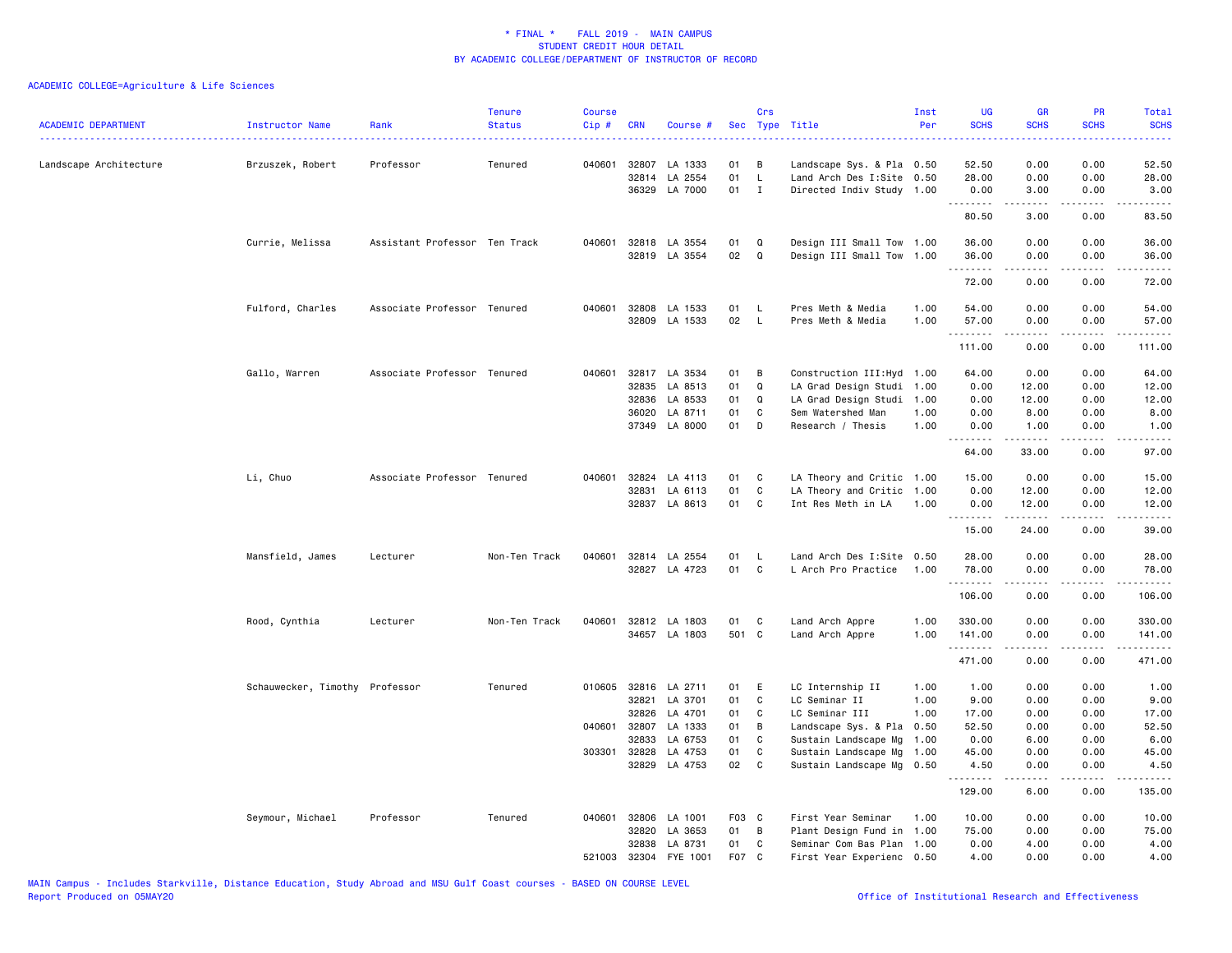| <b>ACADEMIC DEPARTMENT</b><br>------------------------------------ | Instructor Name<br>.           | Rank                          | <b>Tenure</b><br><b>Status</b> | <b>Course</b><br>Cip# | <b>CRN</b>   | Course #             | <b>Sec</b> | Crs          | Type Title                | Inst<br>Per | <b>UG</b><br><b>SCHS</b> | <b>GR</b><br><b>SCHS</b>                                                                                                                                                                                                                                                                                                                     | <b>PR</b><br><b>SCHS</b>            | Total<br><b>SCHS</b><br><b>.</b> . |
|--------------------------------------------------------------------|--------------------------------|-------------------------------|--------------------------------|-----------------------|--------------|----------------------|------------|--------------|---------------------------|-------------|--------------------------|----------------------------------------------------------------------------------------------------------------------------------------------------------------------------------------------------------------------------------------------------------------------------------------------------------------------------------------------|-------------------------------------|------------------------------------|
| Landscape Architecture                                             | Brzuszek, Robert               | Professor                     | Tenured                        | 040601                | 32807        | LA 1333              | 01         | в            | Landscape Sys. & Pla 0.50 |             | 52.50                    | 0.00                                                                                                                                                                                                                                                                                                                                         | 0.00                                | 52.50                              |
|                                                                    |                                |                               |                                |                       | 32814        | LA 2554              | 01         | $\mathsf L$  | Land Arch Des I:Site      | 0.50        | 28.00                    | 0.00                                                                                                                                                                                                                                                                                                                                         | 0.00                                | 28.00                              |
|                                                                    |                                |                               |                                |                       |              | 36329 LA 7000        | 01         | $\mathbf I$  | Directed Indiv Study 1.00 |             | 0.00<br><u>.</u>         | 3.00<br>22222                                                                                                                                                                                                                                                                                                                                | 0.00<br>.                           | 3.00<br>.                          |
|                                                                    |                                |                               |                                |                       |              |                      |            |              |                           |             | 80.50                    | 3.00                                                                                                                                                                                                                                                                                                                                         | 0.00                                | 83.50                              |
|                                                                    | Currie, Melissa                | Assistant Professor Ten Track |                                | 040601                |              | 32818 LA 3554        | 01         | Q            | Design III Small Tow 1.00 |             | 36.00                    | 0.00                                                                                                                                                                                                                                                                                                                                         | 0.00                                | 36.00                              |
|                                                                    |                                |                               |                                |                       |              | 32819 LA 3554        | 02         | $\Omega$     | Design III Small Tow 1.00 |             | 36.00<br>.               | 0.00<br>$\frac{1}{2} \left( \begin{array}{ccc} 1 & 0 & 0 & 0 \\ 0 & 0 & 0 & 0 \\ 0 & 0 & 0 & 0 \\ 0 & 0 & 0 & 0 \\ 0 & 0 & 0 & 0 \\ 0 & 0 & 0 & 0 \\ 0 & 0 & 0 & 0 \\ 0 & 0 & 0 & 0 \\ 0 & 0 & 0 & 0 \\ 0 & 0 & 0 & 0 \\ 0 & 0 & 0 & 0 & 0 \\ 0 & 0 & 0 & 0 & 0 \\ 0 & 0 & 0 & 0 & 0 \\ 0 & 0 & 0 & 0 & 0 \\ 0 & 0 & 0 & 0 & 0 \\ 0 & 0 & 0$ | 0.00<br>.                           | 36.00<br>.                         |
|                                                                    |                                |                               |                                |                       |              |                      |            |              |                           |             | 72.00                    | 0.00                                                                                                                                                                                                                                                                                                                                         | 0.00                                | 72.00                              |
|                                                                    | Fulford, Charles               | Associate Professor Tenured   |                                |                       |              | 040601 32808 LA 1533 | 01         | <b>L</b>     | Pres Meth & Media         | 1.00        | 54.00                    | 0.00                                                                                                                                                                                                                                                                                                                                         | 0.00                                | 54.00                              |
|                                                                    |                                |                               |                                |                       |              | 32809 LA 1533        | 02         | $\mathsf{L}$ | Pres Meth & Media         | 1.00        | 57.00                    | 0.00                                                                                                                                                                                                                                                                                                                                         | 0.00                                | 57.00                              |
|                                                                    |                                |                               |                                |                       |              |                      |            |              |                           |             | .<br>111.00              | .<br>0.00                                                                                                                                                                                                                                                                                                                                    | .<br>0.00                           | .<br>111.00                        |
|                                                                    | Gallo, Warren                  | Associate Professor Tenured   |                                | 040601                |              | 32817 LA 3534        | 01         | B            | Construction III: Hyd     | 1.00        | 64.00                    | 0.00                                                                                                                                                                                                                                                                                                                                         | 0.00                                | 64.00                              |
|                                                                    |                                |                               |                                |                       | 32835        | LA 8513              | 01         | Q            | LA Grad Design Studi      | 1.00        | 0.00                     | 12.00                                                                                                                                                                                                                                                                                                                                        | 0.00                                | 12.00                              |
|                                                                    |                                |                               |                                |                       | 32836        | LA 8533              | 01         | Q            | LA Grad Design Studi      | 1.00        | 0.00                     | 12.00                                                                                                                                                                                                                                                                                                                                        | 0.00                                | 12.00                              |
|                                                                    |                                |                               |                                |                       | 36020        | LA 8711              | 01         | C            | Sem Watershed Man         | 1.00        | 0.00                     | 8.00                                                                                                                                                                                                                                                                                                                                         | 0.00                                | 8.00                               |
|                                                                    |                                |                               |                                |                       |              | 37349 LA 8000        | 01         | D            | Research / Thesis         | 1.00        | 0.00<br>----             | 1.00<br>.                                                                                                                                                                                                                                                                                                                                    | 0.00                                | 1.00                               |
|                                                                    |                                |                               |                                |                       |              |                      |            |              |                           |             | 64.00                    | 33.00                                                                                                                                                                                                                                                                                                                                        | 0.00                                | 97.00                              |
|                                                                    | Li, Chuo                       | Associate Professor Tenured   |                                | 040601                |              | 32824 LA 4113        | 01         | C            | LA Theory and Critic 1.00 |             | 15.00                    | 0.00                                                                                                                                                                                                                                                                                                                                         | 0.00                                | 15.00                              |
|                                                                    |                                |                               |                                |                       | 32831        | LA 6113              | 01         | C            | LA Theory and Critic      | 1.00        | 0.00                     | 12.00                                                                                                                                                                                                                                                                                                                                        | 0.00                                | 12.00                              |
|                                                                    |                                |                               |                                |                       |              | 32837 LA 8613        | 01         | $\mathtt{C}$ | Int Res Meth in LA        | 1.00        | 0.00<br>.                | 12.00<br>.                                                                                                                                                                                                                                                                                                                                   | 0.00<br>.                           | 12.00<br>.                         |
|                                                                    |                                |                               |                                |                       |              |                      |            |              |                           |             | 15.00                    | 24.00                                                                                                                                                                                                                                                                                                                                        | 0.00                                | 39.00                              |
|                                                                    | Mansfield, James               | Lecturer                      | Non-Ten Track                  | 040601                |              | 32814 LA 2554        | 01         | L            | Land Arch Des I:Site      | 0.50        | 28.00                    | 0.00                                                                                                                                                                                                                                                                                                                                         | 0.00                                | 28.00                              |
|                                                                    |                                |                               |                                |                       |              | 32827 LA 4723        | 01         | $\mathbf c$  | L Arch Pro Practice       | 1.00        | 78.00<br>.               | 0.00                                                                                                                                                                                                                                                                                                                                         | 0.00                                | 78.00                              |
|                                                                    |                                |                               |                                |                       |              |                      |            |              |                           |             | 106.00                   | 0.00                                                                                                                                                                                                                                                                                                                                         | 0.00                                | 106.00                             |
|                                                                    | Rood, Cynthia                  | Lecturer                      | Non-Ten Track                  |                       |              | 040601 32812 LA 1803 | 01         | C            | Land Arch Appre           | 1.00        | 330.00                   | 0.00                                                                                                                                                                                                                                                                                                                                         | 0.00                                | 330.00                             |
|                                                                    |                                |                               |                                |                       |              | 34657 LA 1803        | 501 C      |              | Land Arch Appre           | 1.00        | 141.00                   | 0.00                                                                                                                                                                                                                                                                                                                                         | 0.00                                | 141.00                             |
|                                                                    |                                |                               |                                |                       |              |                      |            |              |                           |             | .<br>471.00              | 0.00                                                                                                                                                                                                                                                                                                                                         | $\sim$ $\sim$ $\sim$ $\sim$<br>0.00 | .<br>471.00                        |
|                                                                    | Schauwecker, Timothy Professor |                               | Tenured                        |                       |              | 010605 32816 LA 2711 | 01         | - E          | LC Internship II          | 1.00        | 1.00                     | 0.00                                                                                                                                                                                                                                                                                                                                         | 0.00                                | 1.00                               |
|                                                                    |                                |                               |                                |                       | 32821        | LA 3701              | 01         | $\mathtt{C}$ | LC Seminar II             | 1.00        | 9.00                     | 0.00                                                                                                                                                                                                                                                                                                                                         | 0.00                                | 9.00                               |
|                                                                    |                                |                               |                                |                       | 32826        | LA 4701              | 01         | C            | LC Seminar III            | 1.00        | 17.00                    | 0.00                                                                                                                                                                                                                                                                                                                                         | 0.00                                | 17.00                              |
|                                                                    |                                |                               |                                |                       | 040601 32807 | LA 1333              | 01         | B            | Landscape Sys. & Pla      | 0.50        | 52.50                    | 0.00                                                                                                                                                                                                                                                                                                                                         | 0.00                                | 52.50                              |
|                                                                    |                                |                               |                                |                       | 32833        | LA 6753              | 01         | C            | Sustain Landscape Mg      | 1.00        | 0.00                     | 6.00                                                                                                                                                                                                                                                                                                                                         | 0.00                                | 6.00                               |
|                                                                    |                                |                               |                                | 303301                | 32828        | LA 4753              | 01         | C            | Sustain Landscape Mg      | 1.00        | 45.00                    | 0.00                                                                                                                                                                                                                                                                                                                                         | 0.00                                | 45.00                              |
|                                                                    |                                |                               |                                |                       |              | 32829 LA 4753        | 02         | $\mathtt{C}$ | Sustain Landscape Mg 0.50 |             | 4.50<br>.                | 0.00<br>.                                                                                                                                                                                                                                                                                                                                    | 0.00<br>.                           | 4.50<br>$- - - - - -$              |
|                                                                    |                                |                               |                                |                       |              |                      |            |              |                           |             | 129.00                   | 6.00                                                                                                                                                                                                                                                                                                                                         | 0.00                                | 135.00                             |
|                                                                    | Seymour, Michael               | Professor                     | Tenured                        | 040601                |              | 32806 LA 1001        | F03 C      |              | First Year Seminar        | 1.00        | 10.00                    | 0.00                                                                                                                                                                                                                                                                                                                                         | 0.00                                | 10.00                              |
|                                                                    |                                |                               |                                |                       | 32820        | LA 3653              | 01         | В            | Plant Design Fund in 1.00 |             | 75.00                    | 0.00                                                                                                                                                                                                                                                                                                                                         | 0.00                                | 75.00                              |
|                                                                    |                                |                               |                                |                       | 32838        | LA 8731              | 01         | C            | Seminar Com Bas Plan 1.00 |             | 0.00                     | 4.00                                                                                                                                                                                                                                                                                                                                         | 0.00                                | 4.00                               |
|                                                                    |                                |                               |                                | 521003                | 32304        | FYE 1001             | F07        | C            | First Year Experienc 0.50 |             | 4.00                     | 0.00                                                                                                                                                                                                                                                                                                                                         | 0.00                                | 4.00                               |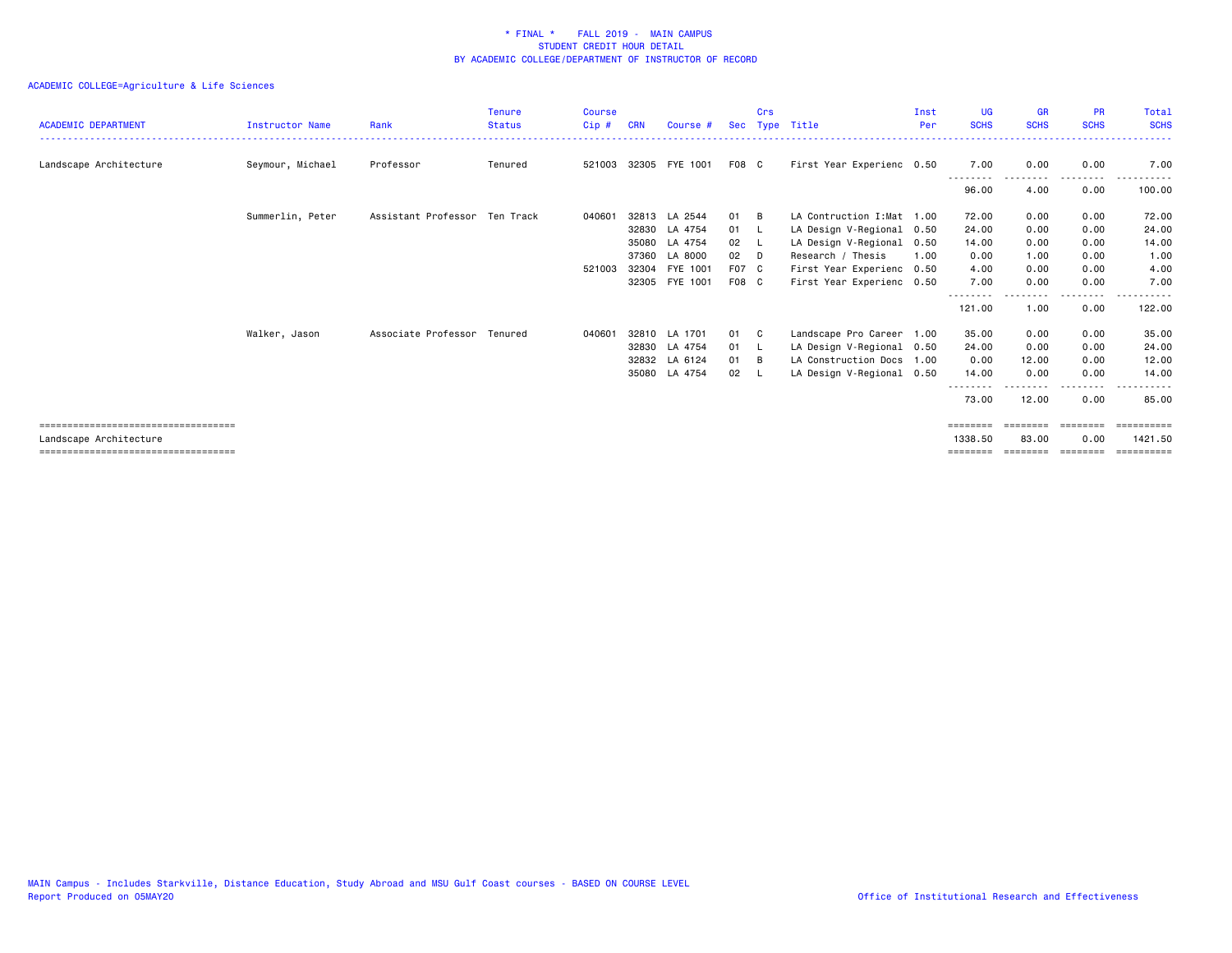| <b>ACADEMIC DEPARTMENT</b>           | Instructor Name  | Rank                          | <b>Tenure</b><br><b>Status</b> | <b>Course</b><br>Cip# | <b>CRN</b> | Course #       | <b>Sec</b> | Crs      | Type Title                 | Inst<br>Per | <b>UG</b><br><b>SCHS</b> | <b>GR</b><br><b>SCHS</b> | <b>PR</b><br><b>SCHS</b> | Total<br><b>SCHS</b> |
|--------------------------------------|------------------|-------------------------------|--------------------------------|-----------------------|------------|----------------|------------|----------|----------------------------|-------------|--------------------------|--------------------------|--------------------------|----------------------|
|                                      |                  |                               |                                |                       |            |                |            |          |                            |             |                          |                          |                          |                      |
| Landscape Architecture               | Seymour, Michael | Professor                     | Tenured                        | 521003                |            | 32305 FYE 1001 | F08 C      |          | First Year Experienc 0.50  |             | 7.00                     | 0.00                     | 0.00                     | 7.00                 |
|                                      |                  |                               |                                |                       |            |                |            |          |                            |             | --------<br>96.00        | 4.00                     | . <b>.</b> .<br>0.00     | 100.00               |
|                                      | Summerlin, Peter | Assistant Professor Ten Track |                                | 040601                |            | 32813 LA 2544  | 01         | - B      | LA Contruction I: Mat 1.00 |             | 72.00                    | 0.00                     | 0.00                     | 72.00                |
|                                      |                  |                               |                                |                       |            | 32830 LA 4754  | 01         | <b>L</b> | LA Design V-Regional 0.50  |             | 24.00                    | 0.00                     | 0.00                     | 24.00                |
|                                      |                  |                               |                                |                       | 35080      | LA 4754        | 02         | - 11     | LA Design V-Regional 0.50  |             | 14.00                    | 0.00                     | 0.00                     | 14.00                |
|                                      |                  |                               |                                |                       | 37360      | LA 8000        | 02         | $\Box$   | Research / Thesis          | 1.00        | 0.00                     | 1.00                     | 0.00                     | 1.00                 |
|                                      |                  |                               |                                | 521003                |            | 32304 FYE 1001 | F07 C      |          | First Year Experienc 0.50  |             | 4.00                     | 0.00                     | 0.00                     | 4.00                 |
|                                      |                  |                               |                                |                       |            | 32305 FYE 1001 | F08 C      |          | First Year Experienc 0.50  |             | 7.00                     | 0.00                     | 0.00                     | 7.00                 |
|                                      |                  |                               |                                |                       |            |                |            |          |                            |             | .<br>121.00              | 1.00                     | $- - - -$<br>0.00        | 122.00               |
|                                      | Walker, Jason    | Associate Professor Tenured   |                                | 040601                |            | 32810 LA 1701  | 01 C       |          | Landscape Pro Career 1.00  |             | 35.00                    | 0.00                     | 0.00                     | 35.00                |
|                                      |                  |                               |                                |                       |            | 32830 LA 4754  | 01 L       |          | LA Design V-Regional 0.50  |             | 24.00                    | 0.00                     | 0.00                     | 24.00                |
|                                      |                  |                               |                                |                       |            | 32832 LA 6124  | 01         | - B      | LA Construction Docs 1.00  |             | 0.00                     | 12.00                    | 0.00                     | 12.00                |
|                                      |                  |                               |                                |                       |            | 35080 LA 4754  | 02         | - 11     | LA Design V-Regional 0.50  |             | 14.00                    | 0.00                     | 0.00                     | 14.00                |
|                                      |                  |                               |                                |                       |            |                |            |          |                            |             | --------<br>73.00        | 12.00                    | .<br>0.00                | 85.00                |
| ==================================== |                  |                               |                                |                       |            |                |            |          |                            |             | ========                 | ========                 | ========                 |                      |
| Landscape Architecture               |                  |                               |                                |                       |            |                |            |          |                            |             | 1338.50                  | 83.00                    | 0.00                     | 1421.50              |
|                                      |                  |                               |                                |                       |            |                |            |          |                            |             |                          |                          |                          |                      |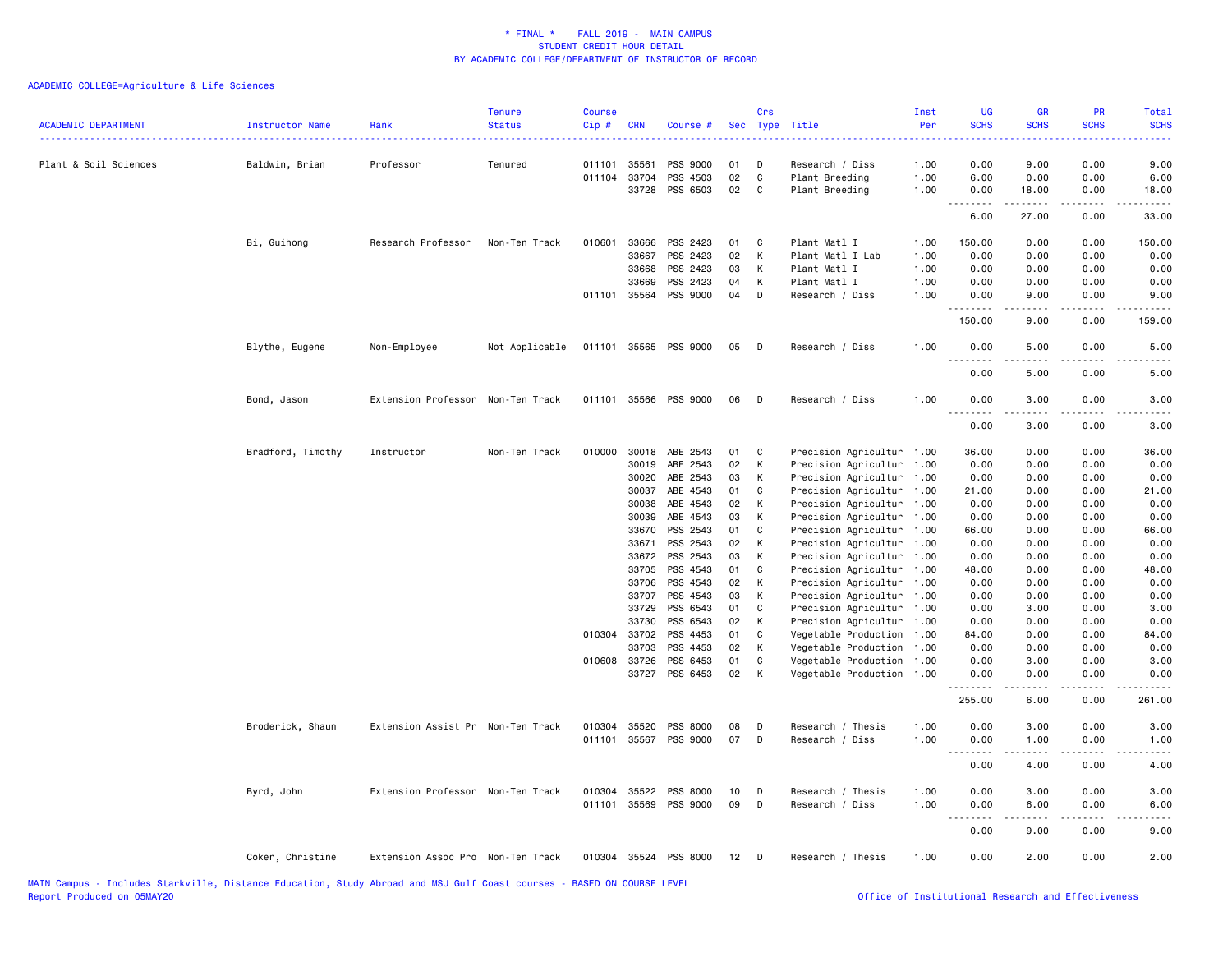| <b>ACADEMIC DEPARTMENT</b> | Instructor Name<br>------------------- | Rank                              | <b>Tenure</b><br><b>Status</b> | <b>Course</b><br>Cip# | <b>CRN</b>   | Course #              |    | Crs    | Sec Type Title            | Inst<br>Per | <b>UG</b><br><b>SCHS</b> | <b>GR</b><br><b>SCHS</b> | <b>PR</b><br><b>SCHS</b> | Total<br><b>SCHS</b> |
|----------------------------|----------------------------------------|-----------------------------------|--------------------------------|-----------------------|--------------|-----------------------|----|--------|---------------------------|-------------|--------------------------|--------------------------|--------------------------|----------------------|
| Plant & Soil Sciences      | Baldwin, Brian                         | Professor                         | Tenured                        | 011101                | 35561        | PSS 9000              | 01 | D      | Research / Diss           | 1.00        | 0.00                     | 9.00                     | 0.00                     | 9.00                 |
|                            |                                        |                                   |                                | 011104                | 33704        | PSS 4503              | 02 | C      | Plant Breeding            | 1.00        | 6.00                     | 0.00                     | 0.00                     | 6.00                 |
|                            |                                        |                                   |                                |                       | 33728        | PSS 6503              | 02 | C      | Plant Breeding            | 1.00        | 0.00                     | 18.00                    | 0.00                     | 18.00                |
|                            |                                        |                                   |                                |                       |              |                       |    |        |                           |             | .<br>$- - -$<br>6.00     | .<br>27.00               | .<br>0.00                | .<br>33.00           |
|                            | Bi, Guihong                            | Research Professor                | Non-Ten Track                  | 010601                | 33666        | PSS 2423              | 01 | C      | Plant Matl I              | 1.00        | 150.00                   | 0.00                     | 0.00                     | 150.00               |
|                            |                                        |                                   |                                |                       | 33667        | PSS 2423              | 02 | К      | Plant Matl I Lab          | 1.00        | 0.00                     | 0.00                     | 0.00                     | 0.00                 |
|                            |                                        |                                   |                                |                       | 33668        | PSS 2423              | 03 | K      | Plant Matl I              | 1.00        | 0.00                     | 0.00                     | 0.00                     | 0.00                 |
|                            |                                        |                                   |                                |                       | 33669        | PSS 2423              | 04 | K      | Plant Matl I              | 1.00        | 0.00                     | 0.00                     | 0.00                     | 0.00                 |
|                            |                                        |                                   |                                |                       | 011101 35564 | PSS 9000              | 04 | D      | Research / Diss           | 1.00        | 0.00<br>.                | 9.00<br>.                | 0.00<br>.                | 9.00                 |
|                            |                                        |                                   |                                |                       |              |                       |    |        |                           |             | 150.00                   | 9.00                     | 0.00                     | 159.00               |
|                            | Blythe, Eugene                         | Non-Employee                      | Not Applicable                 |                       | 011101 35565 | PSS 9000              | 05 | $\Box$ | Research / Diss           | 1.00        | 0.00<br>$\frac{1}{2}$    | 5.00<br>.                | 0.00<br>$\frac{1}{2}$    | 5.00                 |
|                            |                                        |                                   |                                |                       |              |                       |    |        |                           |             | 0.00                     | 5.00                     | 0.00                     | 5.00                 |
|                            | Bond, Jason                            | Extension Professor               | Non-Ten Track                  |                       | 011101 35566 | <b>PSS 9000</b>       | 06 | D      | Research / Diss           | 1.00        | 0.00                     | 3.00                     | 0.00                     | 3.00                 |
|                            |                                        |                                   |                                |                       |              |                       |    |        |                           |             | 0.00                     | 3.00                     | 0.00                     | 3.00                 |
|                            | Bradford, Timothy                      | Instructor                        | Non-Ten Track                  | 010000                | 30018        | ABE 2543              | 01 | C      | Precision Agricultur 1.00 |             | 36.00                    | 0.00                     | 0.00                     | 36.00                |
|                            |                                        |                                   |                                |                       | 30019        | ABE 2543              | 02 | К      | Precision Agricultur 1.00 |             | 0.00                     | 0.00                     | 0.00                     | 0.00                 |
|                            |                                        |                                   |                                |                       | 30020        | ABE 2543              | 03 | к      | Precision Agricultur 1.00 |             | 0.00                     | 0.00                     | 0.00                     | 0.00                 |
|                            |                                        |                                   |                                |                       | 30037        | ABE 4543              | 01 | C      | Precision Agricultur 1.00 |             | 21.00                    | 0.00                     | 0.00                     | 21.00                |
|                            |                                        |                                   |                                |                       | 30038        | ABE 4543              | 02 | К      | Precision Agricultur 1.00 |             | 0.00                     | 0.00                     | 0.00                     | 0.00                 |
|                            |                                        |                                   |                                |                       | 30039        | ABE 4543              | 03 | К      | Precision Agricultur 1.00 |             | 0.00                     | 0.00                     | 0.00                     | 0.00                 |
|                            |                                        |                                   |                                |                       | 33670        | PSS 2543              | 01 | C      | Precision Agricultur 1.00 |             | 66.00                    | 0.00                     | 0.00                     | 66.00                |
|                            |                                        |                                   |                                |                       | 33671        | PSS 2543              | 02 | К      | Precision Agricultur 1.00 |             | 0.00                     | 0.00                     | 0.00                     | 0.00                 |
|                            |                                        |                                   |                                |                       | 33672        | PSS 2543              | 03 | K      | Precision Agricultur 1.00 |             | 0.00                     | 0.00                     | 0.00                     | 0.00                 |
|                            |                                        |                                   |                                |                       | 33705        | PSS 4543              | 01 | C      | Precision Agricultur 1.00 |             | 48.00                    | 0.00                     | 0.00                     | 48.00                |
|                            |                                        |                                   |                                |                       | 33706        | PSS 4543              | 02 | K      | Precision Agricultur 1.00 |             | 0.00                     | 0.00                     | 0.00                     | 0.00                 |
|                            |                                        |                                   |                                |                       | 33707        | PSS 4543              | 03 | К      | Precision Agricultur 1.00 |             | 0.00                     | 0.00                     | 0.00                     | 0.00                 |
|                            |                                        |                                   |                                |                       | 33729        | PSS 6543              | 01 | C      | Precision Agricultur 1.00 |             | 0.00                     | 3.00                     | 0.00                     | 3.00                 |
|                            |                                        |                                   |                                |                       | 33730        | PSS 6543              | 02 | к      | Precision Agricultur 1.00 |             | 0.00                     | 0.00                     | 0.00                     | 0.00                 |
|                            |                                        |                                   |                                |                       | 010304 33702 | PSS 4453              | 01 | C      | Vegetable Production 1.00 |             | 84.00                    | 0.00                     | 0.00                     | 84.00                |
|                            |                                        |                                   |                                |                       | 33703        | PSS 4453              | 02 | К      | Vegetable Production 1.00 |             | 0.00                     | 0.00                     | 0.00                     | 0.00                 |
|                            |                                        |                                   |                                | 010608                | 33726        | PSS 6453              | 01 | C      | Vegetable Production 1.00 |             | 0.00                     | 3.00                     | 0.00                     | 3.00                 |
|                            |                                        |                                   |                                |                       | 33727        | PSS 6453              | 02 | К      | Vegetable Production 1.00 |             | 0.00<br>.                | 0.00<br>-----            | 0.00<br>المتماما         | 0.00<br>.            |
|                            |                                        |                                   |                                |                       |              |                       |    |        |                           |             | 255.00                   | 6.00                     | 0.00                     | 261.00               |
|                            | Broderick, Shaun                       | Extension Assist Pr Non-Ten Track |                                | 010304                | 35520        | PSS 8000              | 08 | D      | Research / Thesis         | 1.00        | 0.00                     | 3.00                     | 0.00                     | 3.00                 |
|                            |                                        |                                   |                                |                       | 011101 35567 | PSS 9000              | 07 | D      | Research / Diss           | 1.00        | 0.00                     | 1.00                     | 0.00                     | 1.00                 |
|                            |                                        |                                   |                                |                       |              |                       |    |        |                           |             |                          |                          |                          |                      |
|                            |                                        |                                   |                                |                       |              |                       |    |        |                           |             | 0.00                     | 4.00                     | 0.00                     | 4.00                 |
|                            | Byrd, John                             | Extension Professor Non-Ten Track |                                |                       | 010304 35522 | PSS 8000              | 10 | D      | Research / Thesis         | 1.00        | 0.00                     | 3.00                     | 0.00                     | 3.00                 |
|                            |                                        |                                   |                                |                       | 011101 35569 | PSS 9000              | 09 | D      | Research / Diss           | 1.00        | 0.00<br>$ -$<br>.        | 6.00<br>-----            | 0.00<br>.                | 6.00                 |
|                            |                                        |                                   |                                |                       |              |                       |    |        |                           |             | 0.00                     | 9.00                     | 0.00                     | 9.00                 |
|                            | Coker, Christine                       | Extension Assoc Pro Non-Ten Track |                                |                       |              | 010304 35524 PSS 8000 | 12 | D D    | Research / Thesis         | 1.00        | 0.00                     | 2.00                     | 0.00                     | 2.00                 |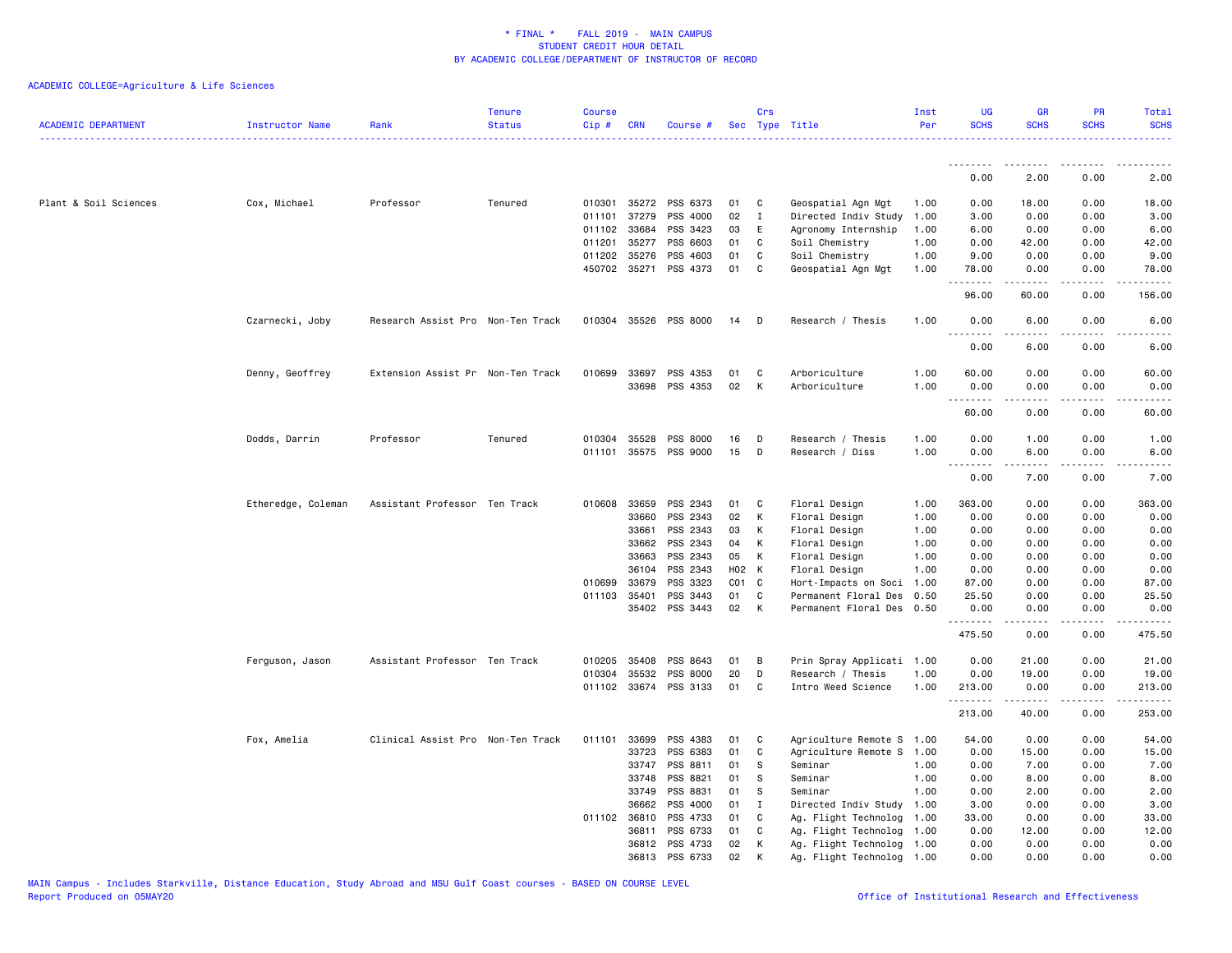| <b>ACADEMIC DEPARTMENT</b> | Instructor Name    | Rank                              | <b>Tenure</b><br><b>Status</b> | <b>Course</b><br>Cip# | <b>CRN</b>   | Course #              |    | Crs<br>Sec Type Title |                           | Inst<br>Per | UG<br><b>SCHS</b>  | <b>GR</b><br><b>SCHS</b> | PR<br><b>SCHS</b>                   | Total<br><b>SCHS</b>    |
|----------------------------|--------------------|-----------------------------------|--------------------------------|-----------------------|--------------|-----------------------|----|-----------------------|---------------------------|-------------|--------------------|--------------------------|-------------------------------------|-------------------------|
|                            |                    |                                   |                                |                       |              |                       |    |                       |                           |             | .                  |                          |                                     |                         |
|                            |                    |                                   |                                |                       |              |                       |    |                       |                           |             | 0.00               | 2.00                     | 0.00                                | 2.00                    |
| Plant & Soil Sciences      | Cox, Michael       | Professor                         | Tenured                        | 010301                |              | 35272 PSS 6373        | 01 | C                     | Geospatial Agn Mgt        | 1.00        | 0.00               | 18.00                    | 0.00                                | 18.00                   |
|                            |                    |                                   |                                | 011101                | 37279        | PSS 4000              | 02 | $\mathbf I$           | Directed Indiv Study      | 1.00        | 3.00               | 0.00                     | 0.00                                | 3.00                    |
|                            |                    |                                   |                                | 011102                | 33684        | PSS 3423              | 03 | E                     | Agronomy Internship       | 1.00        | 6.00               | 0.00                     | 0.00                                | 6.00                    |
|                            |                    |                                   |                                | 011201                | 35277        | PSS 6603              | 01 | C                     | Soil Chemistry            | 1.00        | 0.00               | 42.00                    | 0.00                                | 42.00                   |
|                            |                    |                                   |                                |                       | 011202 35276 | PSS 4603              | 01 | C                     | Soil Chemistry            | 1.00        | 9.00               | 0.00                     | 0.00                                | 9.00                    |
|                            |                    |                                   |                                |                       | 450702 35271 | PSS 4373              | 01 | C                     | Geospatial Agn Mgt        | 1.00        | 78.00              | 0.00                     | 0.00                                | 78.00                   |
|                            |                    |                                   |                                |                       |              |                       |    |                       |                           |             | .<br>96.00         | -----<br>60.00           | .<br>0.00                           | 156.00                  |
|                            | Czarnecki, Joby    | Research Assist Pro Non-Ten Track |                                |                       |              | 010304 35526 PSS 8000 | 14 | D                     | Research / Thesis         | 1.00        | 0.00               | 6.00                     | 0.00<br>$\sim$ $\sim$ $\sim$ $\sim$ | 6.00                    |
|                            |                    |                                   |                                |                       |              |                       |    |                       |                           |             | 0.00               | 6.00                     | 0.00                                | 6.00                    |
|                            | Denny, Geoffrey    | Extension Assist Pr Non-Ten Track |                                | 010699                | 33697        | PSS 4353              | 01 | C                     | Arboriculture             | 1.00        | 60.00              | 0.00                     | 0.00                                | 60.00                   |
|                            |                    |                                   |                                |                       | 33698        | PSS 4353              | 02 | К                     | Arboriculture             | 1.00        | 0.00               | 0.00                     | 0.00                                | 0.00                    |
|                            |                    |                                   |                                |                       |              |                       |    |                       |                           |             | <u>.</u>           |                          |                                     |                         |
|                            |                    |                                   |                                |                       |              |                       |    |                       |                           |             | 60.00              | 0.00                     | 0.00                                | 60.00                   |
|                            | Dodds, Darrin      | Professor                         | Tenured                        | 010304                | 35528        | PSS 8000              | 16 | D                     | Research / Thesis         | 1.00        | 0.00               | 1.00                     | 0.00                                | 1.00                    |
|                            |                    |                                   |                                |                       |              | 011101 35575 PSS 9000 | 15 | D                     | Research / Diss           | 1.00        | 0.00               | 6.00                     | 0.00                                | 6.00                    |
|                            |                    |                                   |                                |                       |              |                       |    |                       |                           |             | .                  | .                        | .                                   | ----                    |
|                            |                    |                                   |                                |                       |              |                       |    |                       |                           |             | 0.00               | 7.00                     | 0.00                                | 7.00                    |
|                            | Etheredge, Coleman | Assistant Professor Ten Track     |                                |                       | 010608 33659 | PSS 2343              | 01 | C                     | Floral Design             | 1.00        | 363.00             | 0.00                     | 0.00                                | 363.00                  |
|                            |                    |                                   |                                |                       | 33660        | PSS 2343              | 02 | К                     | Floral Design             | 1.00        | 0.00               | 0.00                     | 0.00                                | 0.00                    |
|                            |                    |                                   |                                |                       | 33661        | PSS 2343              | 03 | К                     | Floral Design             | 1.00        | 0.00               | 0.00                     | 0.00                                | 0.00                    |
|                            |                    |                                   |                                |                       | 33662        | PSS 2343              | 04 | К                     | Floral Design             | 1.00        | 0.00               | 0.00                     | 0.00                                | 0.00                    |
|                            |                    |                                   |                                |                       | 33663        | PSS 2343              | 05 | К                     | Floral Design             | 1.00        | 0.00               | 0.00                     | 0.00                                | 0.00                    |
|                            |                    |                                   |                                |                       | 36104        | PSS 2343              |    | H02 K                 | Floral Design             | 1.00        | 0.00               | 0.00                     | 0.00                                | 0.00                    |
|                            |                    |                                   |                                | 010699                | 33679        | PSS 3323              |    | $CO1$ $C$             | Hort-Impacts on Soci      | 1.00        | 87.00              | 0.00                     | 0.00                                | 87.00                   |
|                            |                    |                                   |                                |                       | 011103 35401 | PSS 3443              | 01 | C                     | Permanent Floral Des      | 0.50        | 25.50              | 0.00                     | 0.00                                | 25.50                   |
|                            |                    |                                   |                                |                       | 35402        | PSS 3443              | 02 | К                     | Permanent Floral Des      | 0.50        | 0.00<br>.          | 0.00<br>.                | 0.00<br>.                           | 0.00<br>.               |
|                            |                    |                                   |                                |                       |              |                       |    |                       |                           |             | 475.50             | 0.00                     | 0.00                                | 475.50                  |
|                            | Ferguson, Jason    | Assistant Professor Ten Track     |                                | 010205                | 35408        | PSS 8643              | 01 | B                     | Prin Spray Applicati 1.00 |             | 0.00               | 21.00                    | 0.00                                | 21.00                   |
|                            |                    |                                   |                                | 010304                | 35532        | PSS 8000              | 20 | D                     | Research / Thesis         | 1.00        | 0.00               | 19.00                    | 0.00                                | 19.00                   |
|                            |                    |                                   |                                |                       |              | 011102 33674 PSS 3133 | 01 | C                     | Intro Weed Science        | 1.00        | 213.00             | 0.00                     | 0.00                                | 213.00                  |
|                            |                    |                                   |                                |                       |              |                       |    |                       |                           |             | <u>.</u><br>213.00 | . <u>.</u><br>40.00      | .<br>0.00                           | $- - - - - -$<br>253.00 |
|                            | Fox, Amelia        | Clinical Assist Pro Non-Ten Track |                                | 011101                | 33699        | PSS 4383              | 01 | C                     | Agriculture Remote S      | 1.00        | 54.00              | 0.00                     | 0.00                                | 54.00                   |
|                            |                    |                                   |                                |                       | 33723        | PSS 6383              | 01 | C                     | Agriculture Remote S      | 1.00        | 0.00               | 15.00                    | 0.00                                | 15.00                   |
|                            |                    |                                   |                                |                       | 33747        | PSS 8811              | 01 | <b>S</b>              | Seminar                   | 1.00        | 0.00               | 7.00                     | 0.00                                | 7.00                    |
|                            |                    |                                   |                                |                       | 33748        | PSS 8821              | 01 | S                     | Seminar                   | 1.00        | 0.00               | 8.00                     | 0.00                                | 8.00                    |
|                            |                    |                                   |                                |                       | 33749        | PSS 8831              | 01 | S                     | Seminar                   | 1.00        | 0.00               | 2.00                     | 0.00                                | 2.00                    |
|                            |                    |                                   |                                |                       | 36662        | PSS 4000              | 01 | $\mathbf{I}$          | Directed Indiv Study 1.00 |             | 3.00               | 0.00                     | 0.00                                | 3.00                    |
|                            |                    |                                   |                                |                       | 011102 36810 | PSS 4733              | 01 | C                     | Ag. Flight Technolog 1.00 |             | 33.00              | 0.00                     | 0.00                                | 33.00                   |
|                            |                    |                                   |                                |                       | 36811        | PSS 6733              | 01 | C                     | Ag. Flight Technolog      | 1.00        | 0.00               | 12.00                    | 0.00                                | 12.00                   |
|                            |                    |                                   |                                |                       | 36812        | PSS 4733              | 02 | К                     | Ag. Flight Technolog      | 1.00        | 0.00               | 0.00                     | 0.00                                | 0.00                    |
|                            |                    |                                   |                                |                       |              | 36813 PSS 6733        | 02 | К                     | Ag. Flight Technolog 1.00 |             | 0.00               | 0.00                     | 0.00                                | 0.00                    |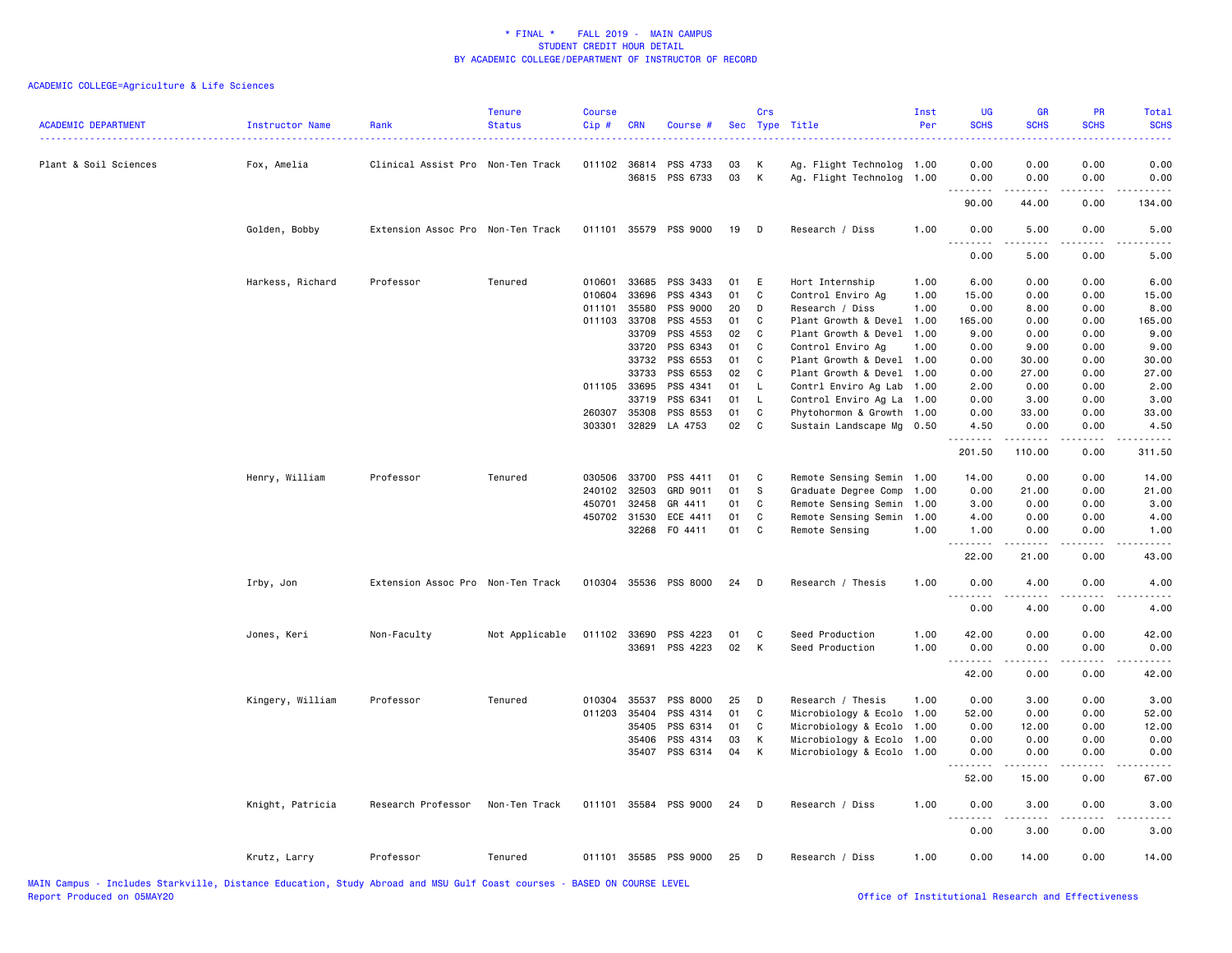| <b>ACADEMIC DEPARTMENT</b> | Instructor Name  | Rank                              | <b>Tenure</b><br><b>Status</b> | <b>Course</b><br>Cip# | CRN          | Course #              |          | Crs          | Sec Type Title            | Inst<br>Per | <b>UG</b><br><b>SCHS</b> | <b>GR</b><br><b>SCHS</b>                                                                                                                                      | PR<br><b>SCHS</b>            | Total<br><b>SCHS</b> |
|----------------------------|------------------|-----------------------------------|--------------------------------|-----------------------|--------------|-----------------------|----------|--------------|---------------------------|-------------|--------------------------|---------------------------------------------------------------------------------------------------------------------------------------------------------------|------------------------------|----------------------|
| Plant & Soil Sciences      | Fox, Amelia      | Clinical Assist Pro Non-Ten Track |                                | 011102                | 36814        | PSS 4733              | 03       | К            | Ag. Flight Technolog 1.00 |             | 0.00                     | 0.00                                                                                                                                                          | 0.00                         | 0.00                 |
|                            |                  |                                   |                                |                       |              | 36815 PSS 6733        | 03       | K            | Ag. Flight Technolog 1.00 |             | 0.00                     | 0.00<br>$\frac{1}{2} \left( \frac{1}{2} \right) \left( \frac{1}{2} \right) \left( \frac{1}{2} \right) \left( \frac{1}{2} \right) \left( \frac{1}{2} \right)$  | 0.00<br>$\sim$ $\sim$ $\sim$ | 0.00<br>.            |
|                            |                  |                                   |                                |                       |              |                       |          |              |                           |             | 90.00                    | 44.00                                                                                                                                                         | 0.00                         | 134.00               |
|                            | Golden, Bobby    | Extension Assoc Pro Non-Ten Track |                                |                       |              | 011101 35579 PSS 9000 | 19       | D            | Research / Diss           | 1.00        | 0.00                     | 5.00                                                                                                                                                          | 0.00                         | 5.00                 |
|                            |                  |                                   |                                |                       |              |                       |          |              |                           |             | .<br>0.00                | .<br>5.00                                                                                                                                                     | .<br>0.00                    | $- - - - -$<br>5.00  |
|                            | Harkess, Richard | Professor                         | Tenured                        | 010601                | 33685        | PSS 3433              | 01       | E            | Hort Internship           | 1.00        | 6.00                     | 0.00                                                                                                                                                          | 0.00                         | 6.00                 |
|                            |                  |                                   |                                | 010604                | 33696        | PSS 4343              | 01       | C            | Control Enviro Ag         | 1.00        | 15.00                    | 0.00                                                                                                                                                          | 0.00                         | 15.00                |
|                            |                  |                                   |                                | 011101                | 35580        | PSS 9000              | 20       | D            | Research / Diss           | 1.00        | 0.00                     | 8.00                                                                                                                                                          | 0.00                         | 8.00                 |
|                            |                  |                                   |                                |                       | 011103 33708 | PSS 4553              | 01       | C.           | Plant Growth & Devel      | 1.00        | 165.00                   | 0.00                                                                                                                                                          | 0.00                         | 165.00               |
|                            |                  |                                   |                                |                       | 33709        | PSS 4553              | 02       | C            | Plant Growth & Devel      | 1.00        | 9.00                     | 0.00                                                                                                                                                          | 0.00                         | 9.00                 |
|                            |                  |                                   |                                |                       | 33720        | PSS 6343              | 01       | C            | Control Enviro Ag         | 1.00        | 0.00                     | 9.00                                                                                                                                                          | 0.00                         | 9.00                 |
|                            |                  |                                   |                                |                       | 33732        | PSS 6553              | 01       | C            | Plant Growth & Devel 1.00 |             | 0.00                     | 30.00                                                                                                                                                         | 0.00                         | 30.00                |
|                            |                  |                                   |                                |                       | 33733        | PSS 6553              | 02       | C            | Plant Growth & Devel      | 1.00        | 0.00                     | 27.00                                                                                                                                                         | 0.00                         | 27.00                |
|                            |                  |                                   |                                | 011105                | 33695        | PSS 4341              | 01       | L.           | Contrl Enviro Ag Lab      | 1.00        | 2.00                     | 0.00                                                                                                                                                          | 0.00                         | 2.00                 |
|                            |                  |                                   |                                |                       | 33719        | PSS 6341              | 01       | L.           | Control Enviro Ag La 1.00 |             | 0.00                     | 3.00                                                                                                                                                          | 0.00                         | 3.00                 |
|                            |                  |                                   |                                | 260307                | 35308        | PSS 8553              | 01       | C            | Phytohormon & Growth 1.00 |             | 0.00                     | 33.00                                                                                                                                                         | 0.00                         | 33.00                |
|                            |                  |                                   |                                | 303301                | 32829        | LA 4753               | 02       | C            | Sustain Landscape Mg 0.50 |             | 4.50                     | 0.00                                                                                                                                                          | 0.00                         | 4.50                 |
|                            |                  |                                   |                                |                       |              |                       |          |              |                           |             | <u>.</u><br>201.50       | .<br>110.00                                                                                                                                                   | .<br>0.00                    | <u>.</u><br>311.50   |
|                            |                  |                                   |                                | 030506                | 33700        |                       |          | C            |                           |             |                          | 0.00                                                                                                                                                          |                              |                      |
|                            | Henry, William   | Professor                         | Tenured                        |                       | 32503        | PSS 4411<br>GRD 9011  | 01<br>01 | - S          | Remote Sensing Semin 1.00 |             | 14.00                    |                                                                                                                                                               | 0.00                         | 14.00                |
|                            |                  |                                   |                                | 240102                |              |                       |          |              | Graduate Degree Comp      | 1.00        | 0.00                     | 21.00                                                                                                                                                         | 0.00                         | 21.00                |
|                            |                  |                                   |                                | 450701                | 32458        | GR 4411               | 01       | C            | Remote Sensing Semin      | 1.00        | 3.00                     | 0.00                                                                                                                                                          | 0.00                         | 3.00                 |
|                            |                  |                                   |                                | 450702                | 31530        | ECE 4411              | 01       | C            | Remote Sensing Semin      | 1.00        | 4.00                     | 0.00                                                                                                                                                          | 0.00                         | 4.00                 |
|                            |                  |                                   |                                |                       | 32268        | F0 4411               | 01       | $\mathbf{C}$ | Remote Sensing            | 1.00        | 1.00<br><u>.</u>         | 0.00                                                                                                                                                          | 0.00                         | 1.00                 |
|                            |                  |                                   |                                |                       |              |                       |          |              |                           |             | 22.00                    | 21.00                                                                                                                                                         | 0.00                         | 43.00                |
|                            | Irby, Jon        | Extension Assoc Pro Non-Ten Track |                                |                       |              | 010304 35536 PSS 8000 | 24       | D            | Research / Thesis         | 1.00        | 0.00<br>.                | 4.00<br>.                                                                                                                                                     | 0.00                         | 4.00                 |
|                            |                  |                                   |                                |                       |              |                       |          |              |                           |             | 0.00                     | 4.00                                                                                                                                                          | 0.00                         | 4.00                 |
|                            | Jones, Keri      | Non-Faculty                       | Not Applicable                 |                       | 011102 33690 | PSS 4223              | 01       | C            | Seed Production           | 1.00        | 42.00                    | 0.00                                                                                                                                                          | 0.00                         | 42.00                |
|                            |                  |                                   |                                |                       |              | 33691 PSS 4223        | 02       | K            | Seed Production           | 1.00        | 0.00                     | 0.00                                                                                                                                                          | 0.00                         | 0.00                 |
|                            |                  |                                   |                                |                       |              |                       |          |              |                           |             | <u>.</u><br>42.00        | <u>.</u><br>0.00                                                                                                                                              | .<br>0.00                    | .<br>42.00           |
|                            | Kingery, William | Professor                         | Tenured                        | 010304                | 35537        | PSS 8000              | 25       | D            | Research / Thesis         | 1.00        | 0.00                     | 3.00                                                                                                                                                          | 0.00                         | 3.00                 |
|                            |                  |                                   |                                | 011203                | 35404        | PSS 4314              | 01       | C            | Microbiology & Ecolo      | 1.00        | 52.00                    | 0.00                                                                                                                                                          | 0.00                         | 52.00                |
|                            |                  |                                   |                                |                       | 35405        | PSS 6314              | 01       | C            | Microbiology & Ecolo      | 1.00        | 0.00                     | 12.00                                                                                                                                                         | 0.00                         | 12.00                |
|                            |                  |                                   |                                |                       | 35406        | PSS 4314              | 03       | K            | Microbiology & Ecolo 1.00 |             | 0.00                     | 0.00                                                                                                                                                          | 0.00                         | 0.00                 |
|                            |                  |                                   |                                |                       | 35407        | PSS 6314              | 04       | К            | Microbiology & Ecolo 1.00 |             | 0.00                     | 0.00                                                                                                                                                          | 0.00                         | 0.00                 |
|                            |                  |                                   |                                |                       |              |                       |          |              |                           |             | .<br>52.00               | $\frac{1}{2} \left( \frac{1}{2} \right) \left( \frac{1}{2} \right) \left( \frac{1}{2} \right) \left( \frac{1}{2} \right) \left( \frac{1}{2} \right)$<br>15.00 | .<br>0.00                    | .<br>67.00           |
|                            |                  |                                   |                                |                       |              |                       |          |              |                           |             |                          |                                                                                                                                                               |                              |                      |
|                            | Knight, Patricia | Research Professor                | Non-Ten Track                  | 011101                |              | 35584 PSS 9000        | 24       | D            | Research / Diss           | 1.00        | 0.00<br>.                | 3.00<br>.                                                                                                                                                     | 0.00<br>$  -$                | 3.00<br>$- - - - -$  |
|                            |                  |                                   |                                |                       |              |                       |          |              |                           |             | 0.00                     | 3.00                                                                                                                                                          | 0.00                         | 3.00                 |
|                            | Krutz, Larry     | Professor                         | Tenured                        |                       |              | 011101 35585 PSS 9000 | 25       | D            | Research / Diss           | 1.00        | 0.00                     | 14.00                                                                                                                                                         | 0.00                         | 14.00                |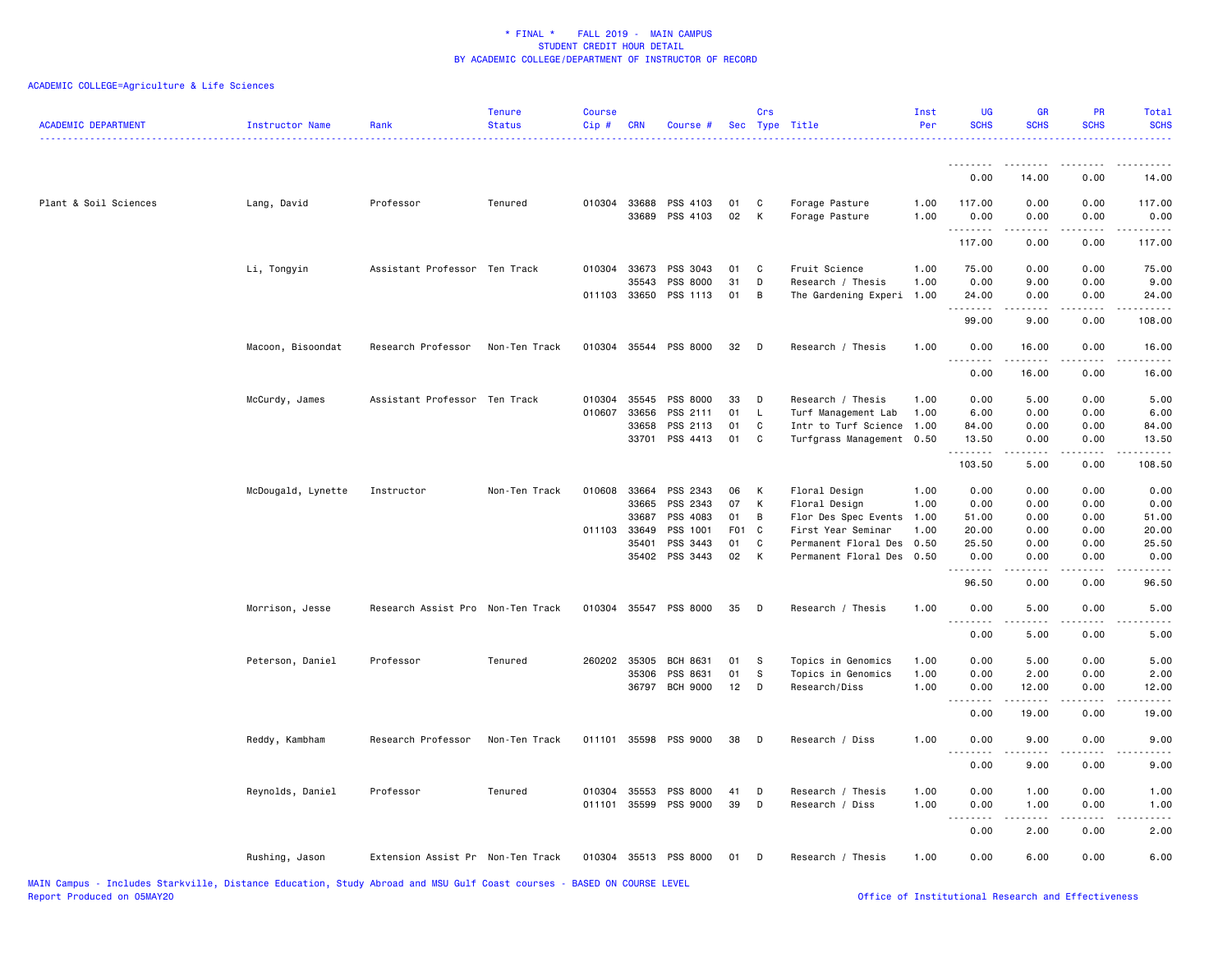| <b>ACADEMIC DEPARTMENT</b> | Instructor Name    | Rank                              | <b>Tenure</b><br><b>Status</b> | <b>Course</b><br>Cip# | <b>CRN</b>            | Course #                    |                       | Crs               | Sec Type Title                             | Inst<br>Per  | <b>UG</b><br><b>SCHS</b> | <b>GR</b><br><b>SCHS</b>                                                                                                                             | PR<br><b>SCHS</b>                   | Total<br><b>SCHS</b>                 |
|----------------------------|--------------------|-----------------------------------|--------------------------------|-----------------------|-----------------------|-----------------------------|-----------------------|-------------------|--------------------------------------------|--------------|--------------------------|------------------------------------------------------------------------------------------------------------------------------------------------------|-------------------------------------|--------------------------------------|
|                            |                    |                                   |                                |                       |                       |                             |                       |                   |                                            |              | .                        | - - - - -                                                                                                                                            |                                     |                                      |
|                            |                    |                                   |                                |                       |                       |                             |                       |                   |                                            |              | 0.00                     | 14.00                                                                                                                                                | 0.00                                | 14.00                                |
| Plant & Soil Sciences      | Lang, David        | Professor                         | Tenured                        |                       | 010304 33688<br>33689 | PSS 4103<br>PSS 4103        | 01<br>02              | C<br>К            | Forage Pasture<br>Forage Pasture           | 1.00<br>1.00 | 117.00<br>0.00<br>.      | 0.00<br>0.00<br>-----                                                                                                                                | 0.00<br>0.00<br>.                   | 117.00<br>0.00<br>.                  |
|                            |                    |                                   |                                |                       |                       |                             |                       |                   |                                            |              | 117.00                   | 0.00                                                                                                                                                 | 0.00                                | 117.00                               |
|                            | Li, Tongyin        | Assistant Professor Ten Track     |                                | 010304                | 33673                 | PSS 3043                    | 01                    | C                 | Fruit Science                              | 1.00         | 75.00                    | 0.00                                                                                                                                                 | 0.00                                | 75.00                                |
|                            |                    |                                   |                                |                       | 35543                 | PSS 8000                    | 31                    | D                 | Research / Thesis                          | 1.00         | 0.00                     | 9.00                                                                                                                                                 | 0.00                                | 9.00                                 |
|                            |                    |                                   |                                |                       | 011103 33650          | PSS 1113                    | 01                    | В                 | The Gardening Experi                       | 1.00         | 24.00<br>.               | 0.00<br>.                                                                                                                                            | 0.00<br>.                           | 24.00<br>$\sim$ $\sim$ $\sim$ $\sim$ |
|                            |                    |                                   |                                |                       |                       |                             |                       |                   |                                            |              | 99.00                    | 9.00                                                                                                                                                 | 0.00                                | 108.00                               |
|                            | Macoon, Bisoondat  | Research Professor                | Non-Ten Track                  |                       |                       | 010304 35544 PSS 8000       | 32                    | D                 | Research / Thesis                          | 1.00         | 0.00                     | 16.00                                                                                                                                                | 0.00                                | 16.00                                |
|                            |                    |                                   |                                |                       |                       |                             |                       |                   |                                            |              | 0.00                     | 16.00                                                                                                                                                | 0.00                                | 16.00                                |
|                            | McCurdy, James     | Assistant Professor Ten Track     |                                | 010304                | 35545                 | PSS 8000                    | 33                    | D                 | Research / Thesis                          | 1.00         | 0.00                     | 5.00                                                                                                                                                 | 0.00                                | 5.00                                 |
|                            |                    |                                   |                                | 010607                | 33656                 | PSS 2111                    | 01                    | L.                | Turf Management Lab                        | 1.00         | 6.00                     | 0.00                                                                                                                                                 | 0.00                                | 6.00                                 |
|                            |                    |                                   |                                |                       | 33658                 | PSS 2113                    | 01                    | C                 | Intr to Turf Science                       | 1.00         | 84.00                    | 0.00                                                                                                                                                 | 0.00                                | 84.00                                |
|                            |                    |                                   |                                |                       | 33701                 | PSS 4413                    | 01                    | C                 | Turfgrass Management                       | 0.50         | 13.50<br>.               | 0.00<br>.                                                                                                                                            | 0.00<br>$\sim$ $\sim$ $\sim$ $\sim$ | 13.50<br>المتمالين                   |
|                            |                    |                                   |                                |                       |                       |                             |                       |                   |                                            |              | 103.50                   | 5.00                                                                                                                                                 | 0.00                                | 108.50                               |
|                            | McDougald, Lynette | Instructor                        | Non-Ten Track                  | 010608                | 33664                 | PSS 2343                    | 06                    | К                 | Floral Design                              | 1.00         | 0.00                     | 0.00                                                                                                                                                 | 0.00                                | 0.00                                 |
|                            |                    |                                   |                                |                       | 33665                 | PSS 2343                    | 07                    | К                 | Floral Design                              | 1.00         | 0.00                     | 0.00                                                                                                                                                 | 0.00                                | 0.00                                 |
|                            |                    |                                   |                                |                       | 33687                 | PSS 4083                    | 01                    | B                 | Flor Des Spec Events                       | 1.00         | 51.00                    | 0.00                                                                                                                                                 | 0.00                                | 51.00                                |
|                            |                    |                                   |                                |                       | 011103 33649<br>35401 | PSS 1001<br>PSS 3443        | F <sub>01</sub><br>01 | $\mathbf{C}$<br>C | First Year Seminar<br>Permanent Floral Des | 1.00<br>0.50 | 20.00                    | 0.00                                                                                                                                                 | 0.00<br>0.00                        | 20.00<br>25.50                       |
|                            |                    |                                   |                                |                       | 35402                 | PSS 3443                    | 02                    | К                 | Permanent Floral Des                       | 0.50         | 25.50<br>0.00            | 0.00<br>0.00                                                                                                                                         | 0.00                                | 0.00                                 |
|                            |                    |                                   |                                |                       |                       |                             |                       |                   |                                            |              | .                        |                                                                                                                                                      | .                                   |                                      |
|                            |                    |                                   |                                |                       |                       |                             |                       |                   |                                            |              | 96.50                    | 0.00                                                                                                                                                 | 0.00                                | 96.50                                |
|                            | Morrison, Jesse    | Research Assist Pro Non-Ten Track |                                |                       |                       | 010304 35547 PSS 8000       | 35                    | D                 | Research / Thesis                          | 1.00         | 0.00<br>.                | 5.00                                                                                                                                                 | 0.00                                | 5.00                                 |
|                            |                    |                                   |                                |                       |                       |                             |                       |                   |                                            |              | 0.00                     | 5.00                                                                                                                                                 | 0.00                                | 5.00                                 |
|                            | Peterson, Daniel   | Professor                         | Tenured                        |                       | 260202 35305          | <b>BCH 8631</b>             | 01                    | -S                | Topics in Genomics                         | 1.00         | 0.00                     | 5.00                                                                                                                                                 | 0.00                                | 5.00                                 |
|                            |                    |                                   |                                |                       | 35306<br>36797        | PSS 8631<br><b>BCH 9000</b> | 01<br>12              | s<br>D            | Topics in Genomics<br>Research/Diss        | 1.00<br>1.00 | 0.00<br>0.00             | 2.00<br>12.00                                                                                                                                        | 0.00<br>0.00                        | 2.00<br>12.00                        |
|                            |                    |                                   |                                |                       |                       |                             |                       |                   |                                            |              | .                        | $\frac{1}{2} \left( \frac{1}{2} \right) \left( \frac{1}{2} \right) \left( \frac{1}{2} \right) \left( \frac{1}{2} \right) \left( \frac{1}{2} \right)$ |                                     | .                                    |
|                            |                    |                                   |                                |                       |                       |                             |                       |                   |                                            |              | 0.00                     | 19.00                                                                                                                                                | 0.00                                | 19.00                                |
|                            | Reddy, Kambham     | Research Professor                | Non-Ten Track                  |                       |                       | 011101 35598 PSS 9000       | 38                    | D                 | Research / Diss                            | 1.00         | 0.00<br>.                | 9.00<br>.                                                                                                                                            | 0.00                                | 9.00                                 |
|                            |                    |                                   |                                |                       |                       |                             |                       |                   |                                            |              | 0.00                     | 9.00                                                                                                                                                 | 0.00                                | 9.00                                 |
|                            | Reynolds, Daniel   | Professor                         | Tenured                        |                       | 010304 35553          | PSS 8000                    | 41                    | D                 | Research / Thesis                          | 1.00         | 0.00                     | 1.00                                                                                                                                                 | 0.00                                | 1.00                                 |
|                            |                    |                                   |                                |                       |                       | 011101 35599 PSS 9000       | 39                    | D                 | Research / Diss                            | 1.00         | 0.00<br>.                | 1.00<br>.                                                                                                                                            | 0.00<br>.                           | 1.00<br>$\frac{1}{2}$                |
|                            |                    |                                   |                                |                       |                       |                             |                       |                   |                                            |              | 0.00                     | 2.00                                                                                                                                                 | 0.00                                | 2.00                                 |
|                            | Rushing, Jason     | Extension Assist Pr Non-Ten Track |                                |                       |                       | 010304 35513 PSS 8000       | 01                    | D                 | Research / Thesis                          | 1.00         | 0.00                     | 6.00                                                                                                                                                 | 0.00                                | 6.00                                 |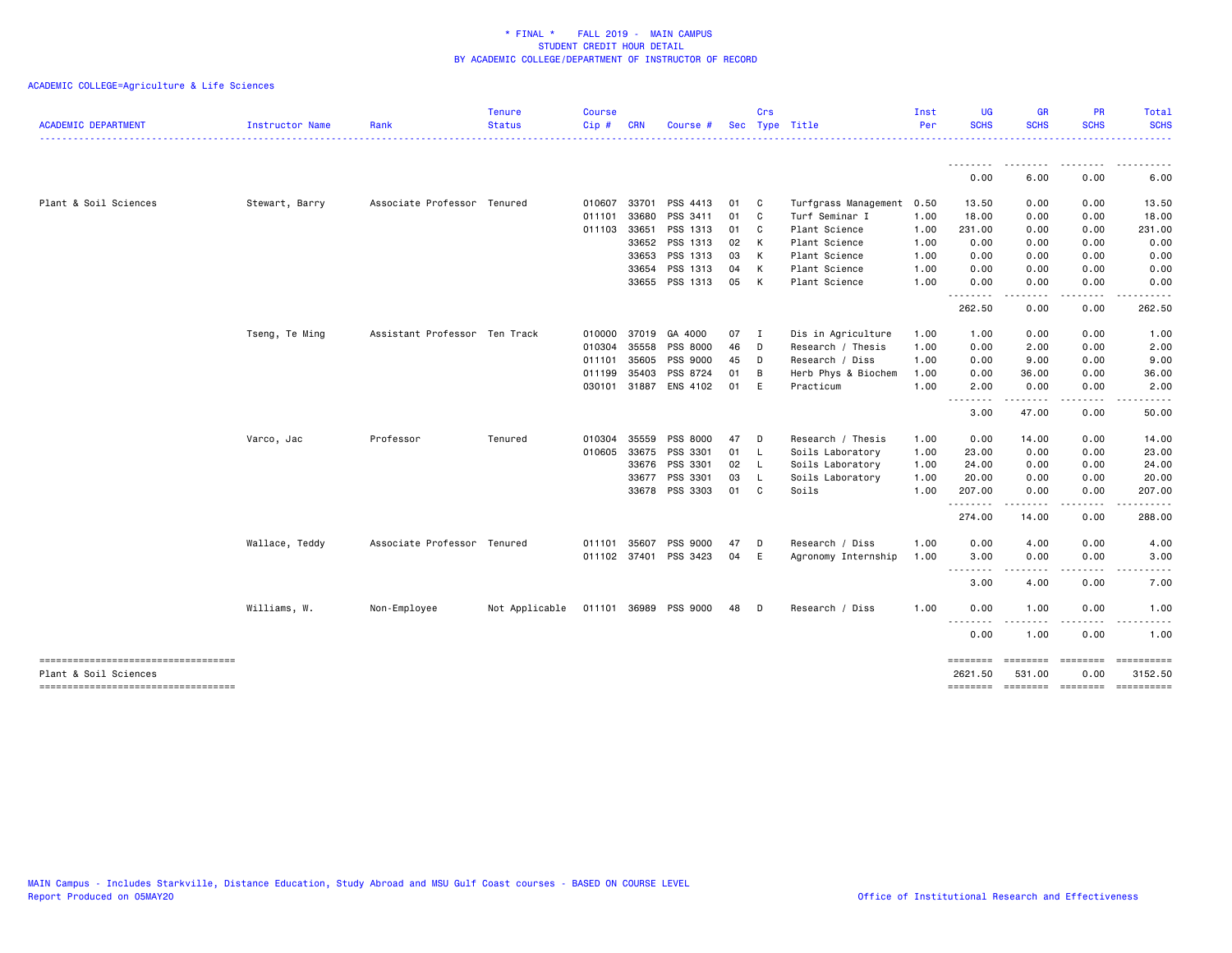| <b>ACADEMIC DEPARTMENT</b>                                   | Instructor Name | Rank                          | <b>Tenure</b><br><b>Status</b>       | <b>Course</b><br>Cip# | <b>CRN</b>   | Course #       |      | Crs            | Sec Type Title       | Inst<br>Per | <b>UG</b><br><b>SCHS</b>   | <b>GR</b><br><b>SCHS</b>                                                                                                                                                                | <b>PR</b><br><b>SCHS</b> | Total<br><b>SCHS</b>                             |
|--------------------------------------------------------------|-----------------|-------------------------------|--------------------------------------|-----------------------|--------------|----------------|------|----------------|----------------------|-------------|----------------------------|-----------------------------------------------------------------------------------------------------------------------------------------------------------------------------------------|--------------------------|--------------------------------------------------|
|                                                              |                 |                               |                                      |                       |              |                |      |                |                      |             | .                          |                                                                                                                                                                                         |                          | .                                                |
|                                                              |                 |                               |                                      |                       |              |                |      |                |                      |             | 0.00                       | 6.00                                                                                                                                                                                    | 0.00                     | 6.00                                             |
| Plant & Soil Sciences                                        | Stewart, Barry  | Associate Professor Tenured   |                                      | 010607                | 33701        | PSS 4413       | 01   | $\mathbf{C}$   | Turfgrass Management | 0.50        | 13.50                      | 0.00                                                                                                                                                                                    | 0.00                     | 13.50                                            |
|                                                              |                 |                               |                                      | 011101                | 33680        | PSS 3411       | 01   | $\mathbf{C}$   | Turf Seminar I       | 1.00        | 18.00                      | 0.00                                                                                                                                                                                    | 0.00                     | 18.00                                            |
|                                                              |                 |                               |                                      | 011103 33651          |              | PSS 1313       | 01   | $\mathbf{C}$   | Plant Science        | 1.00        | 231.00                     | 0.00                                                                                                                                                                                    | 0.00                     | 231.00                                           |
|                                                              |                 |                               |                                      |                       | 33652        | PSS 1313       | 02   | K              | Plant Science        | 1.00        | 0.00                       | 0.00                                                                                                                                                                                    | 0.00                     | 0.00                                             |
|                                                              |                 |                               |                                      |                       | 33653        | PSS 1313       | 03   | K              | Plant Science        | 1.00        | 0.00                       | 0.00                                                                                                                                                                                    | 0.00                     | 0.00                                             |
|                                                              |                 |                               |                                      |                       | 33654        | PSS 1313       | 04   | K              | Plant Science        | 1.00        | 0.00                       | 0.00                                                                                                                                                                                    | 0.00                     | 0.00                                             |
|                                                              |                 |                               |                                      |                       | 33655        | PSS 1313       | 05   | K              | Plant Science        | 1.00        | 0.00                       | 0.00                                                                                                                                                                                    | 0.00                     | 0.00                                             |
|                                                              |                 |                               |                                      |                       |              |                |      |                |                      |             | .<br>262.50                | $\frac{1}{2} \left( \frac{1}{2} \right) \left( \frac{1}{2} \right) \left( \frac{1}{2} \right) \left( \frac{1}{2} \right) \left( \frac{1}{2} \right) \left( \frac{1}{2} \right)$<br>0.00 | 0.00                     | 262.50                                           |
|                                                              | Tseng, Te Ming  | Assistant Professor Ten Track |                                      | 010000                | 37019        | GA 4000        | 07   | $\blacksquare$ | Dis in Agriculture   | 1.00        | 1.00                       | 0.00                                                                                                                                                                                    | 0.00                     | 1.00                                             |
|                                                              |                 |                               |                                      | 010304                | 35558        | PSS 8000       | 46   | D              | Research / Thesis    | 1.00        | 0.00                       | 2.00                                                                                                                                                                                    | 0.00                     | 2.00                                             |
|                                                              |                 |                               |                                      |                       | 011101 35605 | PSS 9000       | 45   | $\Box$         | Research / Diss      | 1.00        | 0.00                       | 9.00                                                                                                                                                                                    | 0.00                     | 9.00                                             |
|                                                              |                 |                               |                                      | 011199                | 35403        | PSS 8724       | 01   | в              | Herb Phys & Biochem  | 1.00        | 0.00                       | 36.00                                                                                                                                                                                   | 0.00                     | 36.00                                            |
|                                                              |                 |                               |                                      | 030101                | 31887        | ENS 4102       | 01   | E              | Practicum            | 1.00        | 2.00                       | 0.00                                                                                                                                                                                    | 0.00                     | 2.00                                             |
|                                                              |                 |                               |                                      |                       |              |                |      |                |                      |             | . <b>.</b><br>3.00         | 47.00                                                                                                                                                                                   | 0.00                     | 50.00                                            |
|                                                              | Varco, Jac      | Professor                     | Tenured                              | 010304                | 35559        | PSS 8000       | 47   | D              | Research / Thesis    | 1.00        | 0.00                       | 14.00                                                                                                                                                                                   | 0.00                     | 14.00                                            |
|                                                              |                 |                               |                                      |                       | 010605 33675 | PSS 3301       | 01   | - L            | Soils Laboratory     | 1.00        | 23.00                      | 0.00                                                                                                                                                                                    | 0.00                     | 23.00                                            |
|                                                              |                 |                               |                                      |                       | 33676        | PSS 3301       | 02 L |                | Soils Laboratory     | 1.00        | 24.00                      | 0.00                                                                                                                                                                                    | 0.00                     | 24.00                                            |
|                                                              |                 |                               |                                      |                       | 33677        | PSS 3301       | 03   | - L            | Soils Laboratory     | 1.00        | 20.00                      | 0.00                                                                                                                                                                                    | 0.00                     | 20.00                                            |
|                                                              |                 |                               |                                      |                       |              | 33678 PSS 3303 | 01 C |                | Soils                | 1.00        | 207.00                     | 0.00                                                                                                                                                                                    | 0.00<br>.                | 207.00                                           |
|                                                              |                 |                               |                                      |                       |              |                |      |                |                      |             | .<br>274.00                | .<br>14.00                                                                                                                                                                              | 0.00                     | .<br>288.00                                      |
|                                                              | Wallace, Teddy  | Associate Professor Tenured   |                                      | 011101                | 35607        | PSS 9000       | 47   | D              | Research / Diss      | 1.00        | 0.00                       | 4.00                                                                                                                                                                                    | 0.00                     | 4.00                                             |
|                                                              |                 |                               |                                      |                       | 011102 37401 | PSS 3423       | 04   | E              | Agronomy Internship  | 1.00        | 3.00                       | 0.00                                                                                                                                                                                    | 0.00<br>.                | 3.00<br>.                                        |
|                                                              |                 |                               |                                      |                       |              |                |      |                |                      |             | --------<br>3.00           | $- - - - -$<br>4.00                                                                                                                                                                     | 0.00                     | 7.00                                             |
|                                                              | Williams, W.    | Non-Employee                  | Not Applicable 011101 36989 PSS 9000 |                       |              |                | 48   | <b>D</b>       | Research / Diss      | 1.00        | 0.00                       | 1.00                                                                                                                                                                                    | 0.00                     | 1.00                                             |
|                                                              |                 |                               |                                      |                       |              |                |      |                |                      |             | .<br>$\frac{1}{2}$<br>0.00 | $- - - -$<br>1.00                                                                                                                                                                       | 0.00                     | 1.00                                             |
| -----------------------------------                          |                 |                               |                                      |                       |              |                |      |                |                      |             | ========                   | ========                                                                                                                                                                                | <b>ESSESSE</b>           | ==========                                       |
| Plant & Soil Sciences<br>----------------------------------- |                 |                               |                                      |                       |              |                |      |                |                      |             | 2621.50                    | 531.00                                                                                                                                                                                  | 0.00                     | 3152.50<br>======== ======== ======== ========== |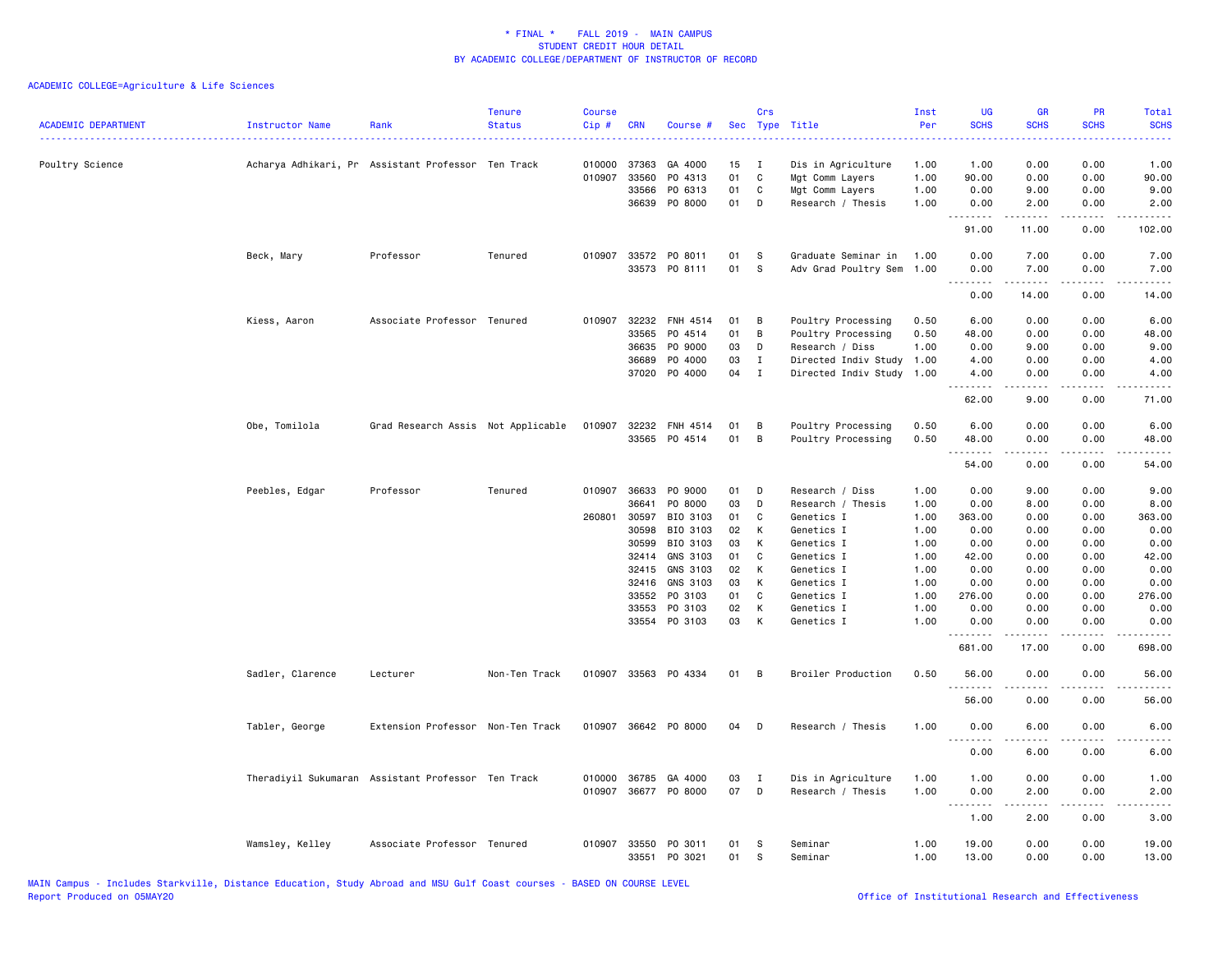| <b>ACADEMIC DEPARTMENT</b> | Instructor Name                                    | Rank                               | <b>Tenure</b><br><b>Status</b> | <b>Course</b><br>Cip# | <b>CRN</b>   | Course #              |    | Crs          | Sec Type Title            | Inst<br>Per | <b>UG</b><br><b>SCHS</b>        | <b>GR</b><br><b>SCHS</b> | <b>PR</b><br><b>SCHS</b> | <b>Total</b><br><b>SCHS</b><br>.    |
|----------------------------|----------------------------------------------------|------------------------------------|--------------------------------|-----------------------|--------------|-----------------------|----|--------------|---------------------------|-------------|---------------------------------|--------------------------|--------------------------|-------------------------------------|
| Poultry Science            | Acharya Adhikari, Pr Assistant Professor Ten Track |                                    |                                |                       | 010000 37363 | GA 4000               | 15 | $\mathbf{I}$ | Dis in Agriculture        | 1.00        | 1.00                            | 0.00                     | 0.00                     | 1.00                                |
|                            |                                                    |                                    |                                | 010907                | 33560        | PO 4313               | 01 | C            | Mgt Comm Layers           | 1.00        | 90.00                           | 0.00                     | 0.00                     | 90.00                               |
|                            |                                                    |                                    |                                |                       | 33566        | PO 6313               | 01 | $\mathbf C$  | Mgt Comm Layers           | 1.00        | 0.00                            | 9.00                     | 0.00                     | 9.00                                |
|                            |                                                    |                                    |                                |                       | 36639        | P0 8000               | 01 | D            | Research / Thesis         | 1.00        | 0.00<br>د د د د                 | 2.00                     | 0.00                     | 2.00                                |
|                            |                                                    |                                    |                                |                       |              |                       |    |              |                           |             | 91.00                           | 11.00                    | 0.00                     | 102.00                              |
|                            | Beck, Mary                                         | Professor                          | Tenured                        |                       |              | 010907 33572 PO 8011  | 01 | S            | Graduate Seminar in       | 1.00        | 0.00                            | 7.00                     | 0.00                     | 7.00                                |
|                            |                                                    |                                    |                                |                       |              | 33573 PO 8111         | 01 | S            | Adv Grad Poultry Sem 1.00 |             | 0.00                            | 7.00                     | 0.00                     | 7.00                                |
|                            |                                                    |                                    |                                |                       |              |                       |    |              |                           |             | <u> - - - - - - - -</u><br>0.00 | $- - - - -$<br>14.00     | $- - - -$<br>0.00        | 14.00                               |
|                            | Kiess, Aaron                                       | Associate Professor Tenured        |                                |                       |              | 010907 32232 FNH 4514 | 01 | В            | Poultry Processing        | 0.50        | 6.00                            | 0.00                     | 0.00                     | 6.00                                |
|                            |                                                    |                                    |                                |                       | 33565        | P0 4514               | 01 | B            | Poultry Processing        | 0.50        | 48.00                           | 0.00                     | 0.00                     | 48.00                               |
|                            |                                                    |                                    |                                |                       | 36635        | P0 9000               | 03 | D            | Research / Diss           | 1.00        | 0.00                            | 9.00                     | 0.00                     | 9.00                                |
|                            |                                                    |                                    |                                |                       | 36689        | P0 4000               | 03 | I            | Directed Indiv Study      | 1.00        | 4.00                            | 0.00                     | 0.00                     | 4.00                                |
|                            |                                                    |                                    |                                |                       | 37020        | P0 4000               | 04 | $\mathbf I$  | Directed Indiv Study      | 1.00        | 4.00<br>.                       | 0.00<br>$- - - - -$      | 0.00<br>.                | 4.00<br>$\frac{1}{2}$               |
|                            |                                                    |                                    |                                |                       |              |                       |    |              |                           |             | 62.00                           | 9.00                     | 0.00                     | 71.00                               |
|                            | Obe, Tomilola                                      | Grad Research Assis Not Applicable |                                |                       |              | 010907 32232 FNH 4514 | 01 | В            | Poultry Processing        | 0.50        | 6.00                            | 0.00                     | 0.00                     | 6.00                                |
|                            |                                                    |                                    |                                |                       |              | 33565 PO 4514         | 01 | B            | Poultry Processing        | 0.50        | 48.00                           | 0.00                     | 0.00                     | 48.00                               |
|                            |                                                    |                                    |                                |                       |              |                       |    |              |                           |             | <u>.</u><br>54.00               | 0.00                     | 0.00                     | 54.00                               |
|                            | Peebles, Edgar                                     | Professor                          | Tenured                        |                       | 010907 36633 | P0 9000               | 01 | D            | Research / Diss           | 1.00        | 0.00                            | 9.00                     | 0.00                     | 9.00                                |
|                            |                                                    |                                    |                                |                       | 36641        | PO 8000               | 03 | D            | Research / Thesis         | 1.00        | 0.00                            | 8.00                     | 0.00                     | 8.00                                |
|                            |                                                    |                                    |                                | 260801                | 30597        | BIO 3103              | 01 | C            | Genetics I                | 1.00        | 363.00                          | 0.00                     | 0.00                     | 363.00                              |
|                            |                                                    |                                    |                                |                       | 30598        | BIO 3103              | 02 | К            | Genetics I                | 1.00        | 0.00                            | 0.00                     | 0.00                     | 0.00                                |
|                            |                                                    |                                    |                                |                       | 30599        | BIO 3103              | 03 | К            | Genetics I                | 1.00        | 0.00                            | 0.00                     | 0.00                     | 0.00                                |
|                            |                                                    |                                    |                                |                       | 32414        | GNS 3103              | 01 | C            | Genetics I                | 1.00        | 42.00                           | 0.00                     | 0.00                     | 42.00                               |
|                            |                                                    |                                    |                                |                       | 32415        | GNS 3103              | 02 | К            | Genetics I                | 1.00        | 0.00                            | 0.00                     | 0.00                     | 0.00                                |
|                            |                                                    |                                    |                                |                       | 32416        | GNS 3103              | 03 | К            | Genetics I                | 1.00        | 0.00                            | 0.00                     | 0.00                     | 0.00                                |
|                            |                                                    |                                    |                                |                       | 33552        | PO 3103               | 01 | $\mathbf C$  | Genetics I                | 1.00        | 276.00                          | 0.00                     | 0.00                     | 276.00                              |
|                            |                                                    |                                    |                                |                       | 33553        | PO 3103               | 02 | К            | Genetics I                | 1.00        | 0.00                            | 0.00                     | 0.00                     | 0.00                                |
|                            |                                                    |                                    |                                |                       |              | 33554 PO 3103         | 03 | К            | Genetics I                | 1.00        | 0.00<br>.                       | 0.00                     | 0.00<br>.                | 0.00                                |
|                            |                                                    |                                    |                                |                       |              |                       |    |              |                           |             | 681.00                          | 17.00                    | 0.00                     | 698.00                              |
|                            | Sadler, Clarence                                   | Lecturer                           | Non-Ten Track                  |                       |              | 010907 33563 P0 4334  | 01 | В            | Broiler Production        | 0.50        | 56.00                           | 0.00                     | 0.00                     | 56.00                               |
|                            |                                                    |                                    |                                |                       |              |                       |    |              |                           |             | 56.00                           | 0.00                     | 0.00                     | 56.00                               |
|                            | Tabler, George                                     | Extension Professor Non-Ten Track  |                                |                       |              | 010907 36642 P0 8000  | 04 | D            | Research / Thesis         | 1.00        | 0.00<br>.                       | 6.00<br>.                | 0.00                     | 6.00                                |
|                            |                                                    |                                    |                                |                       |              |                       |    |              |                           |             | 0.00                            | 6.00                     | 0.00                     | 6.00                                |
|                            | Theradiyil Sukumaran Assistant Professor Ten Track |                                    |                                | 010000                | 36785        | GA 4000               | 03 | I            | Dis in Agriculture        | 1.00        | 1.00                            | 0.00                     | 0.00                     | 1.00                                |
|                            |                                                    |                                    |                                |                       |              | 010907 36677 PO 8000  | 07 | D            | Research / Thesis         | 1.00        | 0.00                            | 2.00                     | 0.00                     | 2.00                                |
|                            |                                                    |                                    |                                |                       |              |                       |    |              |                           |             | .<br>1.00                       | 22222<br>2.00            | المتمالين<br>0.00        | $\sim$ $\sim$ $\sim$ $\sim$<br>3.00 |
|                            | Wamsley, Kelley                                    | Associate Professor Tenured        |                                | 010907                | 33550        | PO 3011               | 01 | S            | Seminar                   | 1.00        | 19.00                           | 0.00                     | 0.00                     | 19.00                               |
|                            |                                                    |                                    |                                |                       |              | 33551 PO 3021         | 01 | S            | Seminar                   | 1.00        | 13.00                           | 0.00                     | 0.00                     | 13.00                               |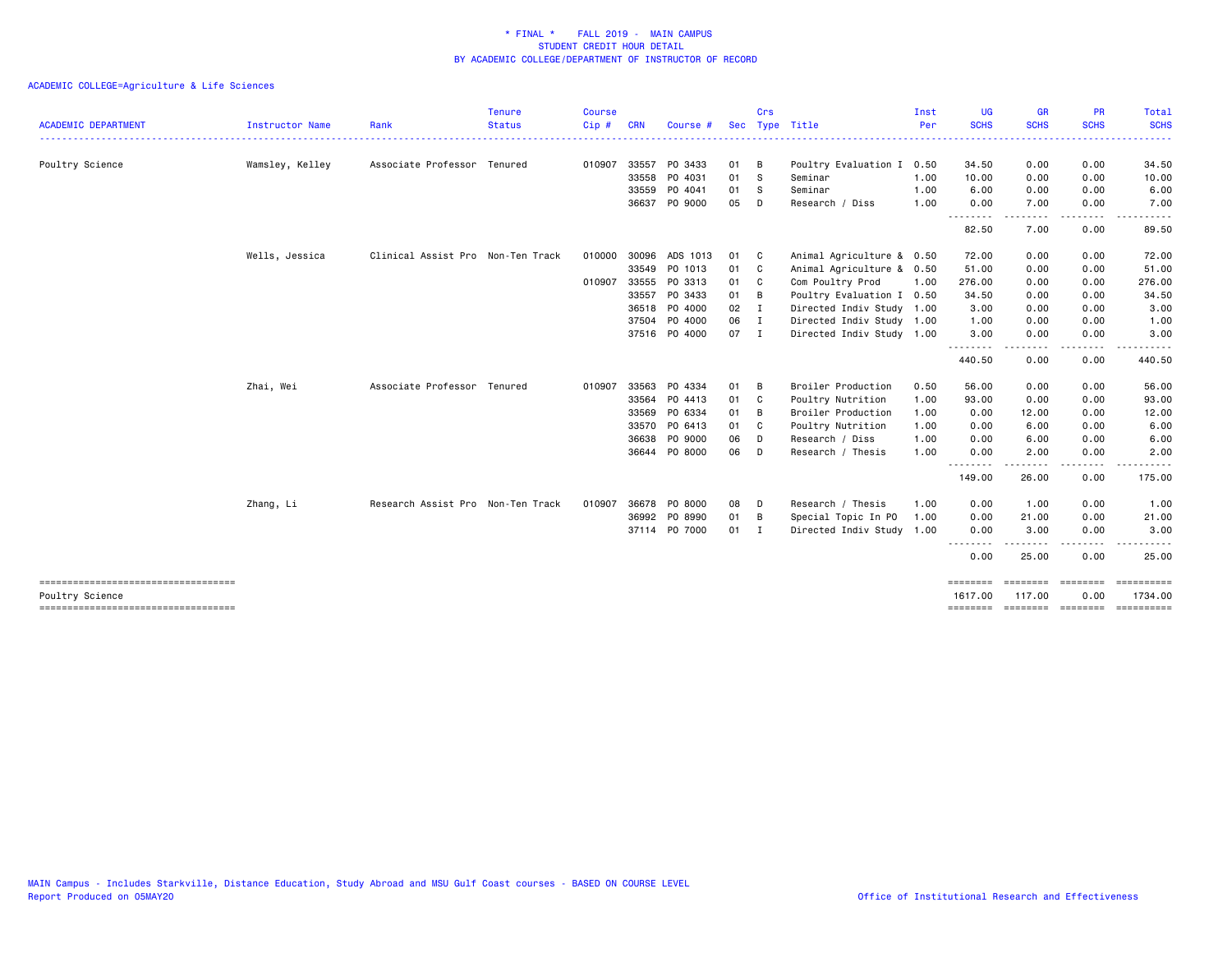| <b>ACADEMIC DEPARTMENT</b>                                | Instructor Name | Rank                              | <b>Tenure</b><br><b>Status</b> | <b>Course</b><br>Cip# | <b>CRN</b> | Course #      | <b>Sec</b> | Crs            | Type Title                | Inst<br>Per | <b>UG</b><br><b>SCHS</b> | <b>GR</b><br><b>SCHS</b> | <b>PR</b><br><b>SCHS</b> | Total<br><b>SCHS</b>  |
|-----------------------------------------------------------|-----------------|-----------------------------------|--------------------------------|-----------------------|------------|---------------|------------|----------------|---------------------------|-------------|--------------------------|--------------------------|--------------------------|-----------------------|
|                                                           |                 |                                   |                                |                       |            |               |            |                |                           |             |                          |                          |                          |                       |
| Poultry Science                                           | Wamsley, Kelley | Associate Professor Tenured       |                                | 010907                | 33557      | PO 3433       | 01         | B              | Poultry Evaluation I      | 0.50        | 34.50                    | 0.00                     | 0.00                     | 34.50                 |
|                                                           |                 |                                   |                                |                       | 33558      | PO 4031       | 01         | - S            | Seminar                   | 1.00        | 10.00                    | 0.00                     | 0.00                     | 10.00                 |
|                                                           |                 |                                   |                                |                       | 33559      | PO 4041       | 01         | s              | Seminar                   | 1.00        | 6.00                     | 0.00                     | 0.00                     | 6.00                  |
|                                                           |                 |                                   |                                |                       | 36637      | PO 9000       | 05         | D              | Research / Diss           | 1.00        | 0.00                     | 7.00                     | 0.00                     | 7.00                  |
|                                                           |                 |                                   |                                |                       |            |               |            |                |                           |             | 82.50                    | 7.00                     | 0.00                     | 89.50                 |
|                                                           | Wells, Jessica  | Clinical Assist Pro Non-Ten Track |                                | 010000                | 30096      | ADS 1013      | 01         | $\mathbf{C}$   | Animal Agriculture & 0.50 |             | 72.00                    | 0.00                     | 0.00                     | 72.00                 |
|                                                           |                 |                                   |                                |                       |            | 33549 PO 1013 | 01         | $\mathbf{C}$   | Animal Agriculture & 0.50 |             | 51.00                    | 0.00                     | 0.00                     | 51.00                 |
|                                                           |                 |                                   |                                | 010907                | 33555      | PO 3313       | 01         | <b>C</b>       | Com Poultry Prod          | 1.00        | 276.00                   | 0.00                     | 0.00                     | 276.00                |
|                                                           |                 |                                   |                                |                       | 33557      | PO 3433       | 01         | B              | Poultry Evaluation I 0.50 |             | 34.50                    | 0.00                     | 0.00                     | 34.50                 |
|                                                           |                 |                                   |                                |                       |            | 36518 PO 4000 | 02         | I              | Directed Indiv Study 1.00 |             | 3.00                     | 0.00                     | 0.00                     | 3.00                  |
|                                                           |                 |                                   |                                |                       | 37504      | P0 4000       | 06         | $\mathbf{I}$   | Directed Indiv Study 1.00 |             | 1.00                     | 0.00                     | 0.00                     | 1.00                  |
|                                                           |                 |                                   |                                |                       |            | 37516 PO 4000 | 07         | $\blacksquare$ | Directed Indiv Study 1.00 |             | 3.00                     | 0.00                     | 0.00                     | 3.00                  |
|                                                           |                 |                                   |                                |                       |            |               |            |                |                           |             | .<br>440.50              | 0.00                     | ----<br>0.00             | 440.50                |
|                                                           | Zhai, Wei       | Associate Professor Tenured       |                                | 010907                | 33563      | PO 4334       | 01         | B              | Broiler Production        | 0.50        | 56.00                    | 0.00                     | 0.00                     | 56.00                 |
|                                                           |                 |                                   |                                |                       | 33564      | PO 4413       | 01         | - C            | Poultry Nutrition         | 1.00        | 93.00                    | 0.00                     | 0.00                     | 93.00                 |
|                                                           |                 |                                   |                                |                       |            | 33569 PO 6334 | 01         | B              | Broiler Production        | 1.00        | 0.00                     | 12.00                    | 0.00                     | 12.00                 |
|                                                           |                 |                                   |                                |                       |            | 33570 PO 6413 | 01         | C.             | Poultry Nutrition         | 1.00        | 0.00                     | 6.00                     | 0.00                     | 6.00                  |
|                                                           |                 |                                   |                                |                       | 36638      | PO 9000       | 06         | D              | Research / Diss           | 1.00        | 0.00                     | 6.00                     | 0.00                     | 6.00                  |
|                                                           |                 |                                   |                                |                       |            | 36644 PO 8000 | 06         | D              | Research / Thesis         | 1.00        | 0.00                     | 2.00                     | 0.00                     | 2.00                  |
|                                                           |                 |                                   |                                |                       |            |               |            |                |                           |             | .<br>149.00              | .<br>26.00               | .<br>0.00                | .<br>175.00           |
|                                                           | Zhang, Li       | Research Assist Pro Non-Ten Track |                                | 010907                |            | 36678 PO 8000 | 08         | D              | Research / Thesis         | 1.00        | 0.00                     | 1.00                     | 0.00                     | 1.00                  |
|                                                           |                 |                                   |                                |                       |            | 36992 PO 8990 | 01         | $\overline{B}$ | Special Topic In PO       | 1.00        | 0.00                     | 21.00                    | 0.00                     | 21.00                 |
|                                                           |                 |                                   |                                |                       |            | 37114 PO 7000 | $01$ I     |                | Directed Indiv Study 1.00 |             | 0.00                     | 3.00                     | 0.00                     | 3.00                  |
|                                                           |                 |                                   |                                |                       |            |               |            |                |                           |             | 0.00                     | 25.00                    | 0.00                     | 25.00                 |
|                                                           |                 |                                   |                                |                       |            |               |            |                |                           |             |                          | ---------                | ---------                | ==========            |
| Poultry Science<br>====================================== |                 |                                   |                                |                       |            |               |            |                |                           |             | 1617.00                  | 117.00                   | 0.00                     | 1734.00<br>========== |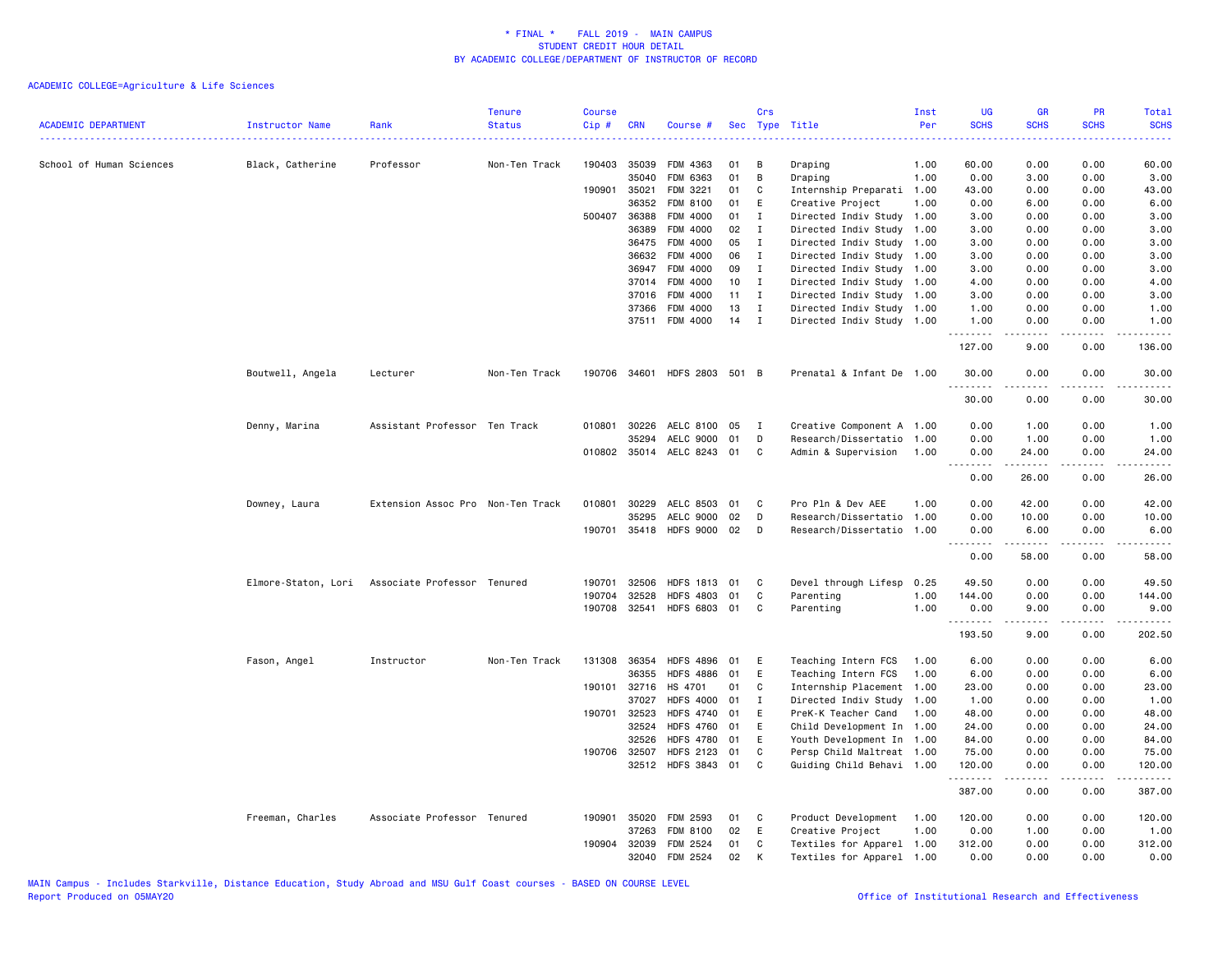| ------------------------------------<br>0.00<br>0.00<br>60.00<br>Professor<br>Non-Ten Track<br>190403 35039<br>FDM 4363<br>1.00<br>60.00<br>School of Human Sciences<br>Black, Catherine<br>01<br>в<br>Draping<br>01<br>B<br>35040<br>FDM 6363<br>Draping<br>1.00<br>0.00<br>3.00<br>0.00<br>3.00<br>FDM 3221<br>01<br>0.00<br>190901 35021<br>C<br>Internship Preparati<br>1.00<br>43.00<br>0.00<br>43.00<br>36352<br>FDM 8100<br>01<br>Creative Project<br>0.00<br>6.00<br>E<br>1.00<br>0.00<br>6.00<br>500407 36388<br>FDM 4000<br>01<br>Directed Indiv Study 1.00<br>3.00<br>I<br>3.00<br>0.00<br>0.00<br>36389<br>FDM 4000<br>02<br>I<br>Directed Indiv Study 1.00<br>3.00<br>0.00<br>0.00<br>3.00<br>36475<br>FDM 4000<br>05<br>$\mathbf{I}$<br>Directed Indiv Study<br>1.00<br>3.00<br>0.00<br>0.00<br>3.00<br>36632<br>FDM 4000<br>06<br>$\mathbf{I}$<br>Directed Indiv Study 1.00<br>3.00<br>0.00<br>0.00<br>3.00<br>09<br>FDM 4000<br>$\mathbf I$<br>Directed Indiv Study<br>3.00<br>0.00<br>0.00<br>3.00<br>36947<br>1.00<br>FDM 4000<br>10<br>37014<br>I<br>Directed Indiv Study 1.00<br>4.00<br>0.00<br>0.00<br>4.00<br>37016<br>FDM 4000<br>11<br>$\mathbf{I}$<br>Directed Indiv Study 1.00<br>3.00<br>0.00<br>0.00<br>3.00<br>FDM 4000<br>13<br>37366<br>$\mathbf{I}$<br>Directed Indiv Study 1.00<br>1.00<br>0.00<br>0.00<br>1.00<br>37511 FDM 4000<br>14<br>$\mathbf{I}$<br>Directed Indiv Study 1.00<br>1.00<br>0.00<br>0.00<br>1.00<br>.<br>. <u>.</u><br>.<br>.<br>127.00<br>9.00<br>0.00<br>136.00<br>Boutwell, Angela<br>Lecturer<br>Non-Ten Track<br>190706 34601 HDFS 2803 501 B<br>Prenatal & Infant De 1.00<br>30.00<br>0.00<br>0.00<br>30.00<br>.<br>-----<br>.<br>.<br>30.00<br>0.00<br>0.00<br>30.00<br>010801 30226<br>AELC 8100<br>Creative Component A 1.00<br>0.00<br>Denny, Marina<br>Assistant Professor Ten Track<br>05<br>$\mathbf{I}$<br>0.00<br>1.00<br>1.00<br>35294<br>AELC 9000<br>01<br>D<br>Research/Dissertatio<br>0.00<br>0.00<br>1.00<br>1.00<br>1.00<br>010802 35014 AELC 8243 01<br>C<br>Admin & Supervision<br>1.00<br>24.00<br>0.00<br>0.00<br>24.00<br>.<br>$\sim$ $\sim$ $\sim$ $\sim$<br>0.00<br>26.00<br>0.00<br>26.00<br>010801 30229<br>AELC 8503 01<br>Pro Pln & Dev AEE<br>0.00<br>42.00<br>0.00<br>42.00<br>Downey, Laura<br>Extension Assoc Pro Non-Ten Track<br>C<br>1.00<br>35295<br>AELC 9000<br>02<br>D<br>Research/Dissertatio<br>0.00<br>10.00<br>0.00<br>1.00<br>10.00<br>HDFS 9000 02<br>190701 35418<br>D<br>Research/Dissertatio<br>1.00<br>0.00<br>6.00<br>0.00<br>6.00<br>1.1.1.1.1.1.1<br>0.00<br>58.00<br>0.00<br>58.00<br>190701 32506<br><b>HDFS 1813</b><br>Devel through Lifesp<br>49.50<br>0.00<br>0.00<br>49.50<br>Elmore-Staton, Lori<br>Associate Professor Tenured<br>01<br>C<br>0.25<br>32528<br><b>HDFS 4803</b><br>01<br>C<br>1.00<br>144.00<br>0.00<br>0.00<br>190704<br>Parenting<br>144.00<br>190708<br>32541<br><b>HDFS 6803</b><br>01<br>C<br>Parenting<br>1.00<br>0.00<br>9.00<br>0.00<br>9.00<br>.<br>.<br>$\frac{1}{2}$<br>.<br>193.50<br>9.00<br>0.00<br>202.50<br>36354<br>Fason, Angel<br>Instructor<br>Non-Ten Track<br>131308<br><b>HDFS 4896</b><br>01<br>E<br>Teaching Intern FCS<br>1.00<br>6.00<br>0.00<br>0.00<br>6.00<br>36355<br><b>HDFS 4886</b><br>01<br>E<br>Teaching Intern FCS<br>1.00<br>6.00<br>0.00<br>0.00<br>6.00<br>190101 32716<br>HS 4701<br>01<br>C<br>Internship Placement<br>1.00<br>23.00<br>0.00<br>0.00<br>23.00<br>37027<br><b>HDFS 4000</b><br>01<br>$\mathbf I$<br>Directed Indiv Study<br>1.00<br>0.00<br>1.00<br>1.00<br>0.00<br>190701 32523<br><b>HDFS 4740</b><br>01<br>E<br>48.00<br>PreK-K Teacher Cand<br>1.00<br>0.00<br>0.00<br>48.00<br>32524<br><b>HDFS 4760</b><br>01<br>Ε<br>Child Development In 1.00<br>24.00<br>0.00<br>0.00<br>24.00<br>32526<br><b>HDFS 4780</b><br>01<br>E<br>Youth Development In 1.00<br>84.00<br>0.00<br>0.00<br>84.00<br>190706 32507<br><b>HDFS 2123</b><br>01<br>C<br>Persp Child Maltreat 1.00<br>75.00<br>0.00<br>0.00<br>75.00<br>32512 HDFS 3843 01<br>C.<br>Guiding Child Behavi 1.00<br>120.00<br>0.00<br>0.00<br>120.00<br>.<br>.<br>.<br>.<br>387.00<br>0.00<br>0.00<br>387.00<br>190901<br>35020<br>FDM 2593<br>Product Development<br>120.00<br>0.00<br>0.00<br>120.00<br>Freeman, Charles<br>Associate Professor Tenured<br>01<br>C<br>1.00<br>37263<br>FDM 8100<br>02<br>E<br>Creative Project<br>1.00<br>0.00<br>1.00<br>0.00<br>1.00<br>190904<br>32039<br><b>FDM 2524</b><br>01<br>Textiles for Apparel 1.00<br>312.00<br>0.00<br>0.00<br>312.00<br>C<br>02<br>32040<br>FDM 2524<br>K<br>Textiles for Apparel 1.00<br>0.00<br>0.00<br>0.00<br>0.00 | <b>ACADEMIC DEPARTMENT</b> | Instructor Name | Rank | <b>Tenure</b><br><b>Status</b> | <b>Course</b><br>Cip# | <b>CRN</b> | Course # | Crs | Sec Type Title | Inst<br>Per | <b>UG</b><br><b>SCHS</b> | <b>GR</b><br><b>SCHS</b> | <b>PR</b><br><b>SCHS</b> | <b>Total</b><br><b>SCHS</b> |
|----------------------------------------------------------------------------------------------------------------------------------------------------------------------------------------------------------------------------------------------------------------------------------------------------------------------------------------------------------------------------------------------------------------------------------------------------------------------------------------------------------------------------------------------------------------------------------------------------------------------------------------------------------------------------------------------------------------------------------------------------------------------------------------------------------------------------------------------------------------------------------------------------------------------------------------------------------------------------------------------------------------------------------------------------------------------------------------------------------------------------------------------------------------------------------------------------------------------------------------------------------------------------------------------------------------------------------------------------------------------------------------------------------------------------------------------------------------------------------------------------------------------------------------------------------------------------------------------------------------------------------------------------------------------------------------------------------------------------------------------------------------------------------------------------------------------------------------------------------------------------------------------------------------------------------------------------------------------------------------------------------------------------------------------------------------------------------------------------------------------------------------------------------------------------------------------------------------------------------------------------------------------------------------------------------------------------------------------------------------------------------------------------------------------------------------------------------------------------------------------------------------------------------------------------------------------------------------------------------------------------------------------------------------------------------------------------------------------------------------------------------------------------------------------------------------------------------------------------------------------------------------------------------------------------------------------------------------------------------------------------------------------------------------------------------------------------------------------------------------------------------------------------------------------------------------------------------------------------------------------------------------------------------------------------------------------------------------------------------------------------------------------------------------------------------------------------------------------------------------------------------------------------------------------------------------------------------------------------------------------------------------------------------------------------------------------------------------------------------------------------------------------------------------------------------------------------------------------------------------------------------------------------------------------------------------------------------------------------------------------------------------------------------------------------------------------------------------------------------------------------------------------------------------------------------------------------------------------------------------------------------------------------------------------------------------------------------------------------------------------------------------------------------------------------------------------------------------------------------------------------------------------------------------------------------------------------------------------------------------------------------------------|----------------------------|-----------------|------|--------------------------------|-----------------------|------------|----------|-----|----------------|-------------|--------------------------|--------------------------|--------------------------|-----------------------------|
|                                                                                                                                                                                                                                                                                                                                                                                                                                                                                                                                                                                                                                                                                                                                                                                                                                                                                                                                                                                                                                                                                                                                                                                                                                                                                                                                                                                                                                                                                                                                                                                                                                                                                                                                                                                                                                                                                                                                                                                                                                                                                                                                                                                                                                                                                                                                                                                                                                                                                                                                                                                                                                                                                                                                                                                                                                                                                                                                                                                                                                                                                                                                                                                                                                                                                                                                                                                                                                                                                                                                                                                                                                                                                                                                                                                                                                                                                                                                                                                                                                                                                                                                                                                                                                                                                                                                                                                                                                                                                                                                                                                                                                              |                            |                 |      |                                |                       |            |          |     |                |             |                          |                          |                          |                             |
|                                                                                                                                                                                                                                                                                                                                                                                                                                                                                                                                                                                                                                                                                                                                                                                                                                                                                                                                                                                                                                                                                                                                                                                                                                                                                                                                                                                                                                                                                                                                                                                                                                                                                                                                                                                                                                                                                                                                                                                                                                                                                                                                                                                                                                                                                                                                                                                                                                                                                                                                                                                                                                                                                                                                                                                                                                                                                                                                                                                                                                                                                                                                                                                                                                                                                                                                                                                                                                                                                                                                                                                                                                                                                                                                                                                                                                                                                                                                                                                                                                                                                                                                                                                                                                                                                                                                                                                                                                                                                                                                                                                                                                              |                            |                 |      |                                |                       |            |          |     |                |             |                          |                          |                          |                             |
|                                                                                                                                                                                                                                                                                                                                                                                                                                                                                                                                                                                                                                                                                                                                                                                                                                                                                                                                                                                                                                                                                                                                                                                                                                                                                                                                                                                                                                                                                                                                                                                                                                                                                                                                                                                                                                                                                                                                                                                                                                                                                                                                                                                                                                                                                                                                                                                                                                                                                                                                                                                                                                                                                                                                                                                                                                                                                                                                                                                                                                                                                                                                                                                                                                                                                                                                                                                                                                                                                                                                                                                                                                                                                                                                                                                                                                                                                                                                                                                                                                                                                                                                                                                                                                                                                                                                                                                                                                                                                                                                                                                                                                              |                            |                 |      |                                |                       |            |          |     |                |             |                          |                          |                          |                             |
|                                                                                                                                                                                                                                                                                                                                                                                                                                                                                                                                                                                                                                                                                                                                                                                                                                                                                                                                                                                                                                                                                                                                                                                                                                                                                                                                                                                                                                                                                                                                                                                                                                                                                                                                                                                                                                                                                                                                                                                                                                                                                                                                                                                                                                                                                                                                                                                                                                                                                                                                                                                                                                                                                                                                                                                                                                                                                                                                                                                                                                                                                                                                                                                                                                                                                                                                                                                                                                                                                                                                                                                                                                                                                                                                                                                                                                                                                                                                                                                                                                                                                                                                                                                                                                                                                                                                                                                                                                                                                                                                                                                                                                              |                            |                 |      |                                |                       |            |          |     |                |             |                          |                          |                          |                             |
|                                                                                                                                                                                                                                                                                                                                                                                                                                                                                                                                                                                                                                                                                                                                                                                                                                                                                                                                                                                                                                                                                                                                                                                                                                                                                                                                                                                                                                                                                                                                                                                                                                                                                                                                                                                                                                                                                                                                                                                                                                                                                                                                                                                                                                                                                                                                                                                                                                                                                                                                                                                                                                                                                                                                                                                                                                                                                                                                                                                                                                                                                                                                                                                                                                                                                                                                                                                                                                                                                                                                                                                                                                                                                                                                                                                                                                                                                                                                                                                                                                                                                                                                                                                                                                                                                                                                                                                                                                                                                                                                                                                                                                              |                            |                 |      |                                |                       |            |          |     |                |             |                          |                          |                          |                             |
|                                                                                                                                                                                                                                                                                                                                                                                                                                                                                                                                                                                                                                                                                                                                                                                                                                                                                                                                                                                                                                                                                                                                                                                                                                                                                                                                                                                                                                                                                                                                                                                                                                                                                                                                                                                                                                                                                                                                                                                                                                                                                                                                                                                                                                                                                                                                                                                                                                                                                                                                                                                                                                                                                                                                                                                                                                                                                                                                                                                                                                                                                                                                                                                                                                                                                                                                                                                                                                                                                                                                                                                                                                                                                                                                                                                                                                                                                                                                                                                                                                                                                                                                                                                                                                                                                                                                                                                                                                                                                                                                                                                                                                              |                            |                 |      |                                |                       |            |          |     |                |             |                          |                          |                          |                             |
|                                                                                                                                                                                                                                                                                                                                                                                                                                                                                                                                                                                                                                                                                                                                                                                                                                                                                                                                                                                                                                                                                                                                                                                                                                                                                                                                                                                                                                                                                                                                                                                                                                                                                                                                                                                                                                                                                                                                                                                                                                                                                                                                                                                                                                                                                                                                                                                                                                                                                                                                                                                                                                                                                                                                                                                                                                                                                                                                                                                                                                                                                                                                                                                                                                                                                                                                                                                                                                                                                                                                                                                                                                                                                                                                                                                                                                                                                                                                                                                                                                                                                                                                                                                                                                                                                                                                                                                                                                                                                                                                                                                                                                              |                            |                 |      |                                |                       |            |          |     |                |             |                          |                          |                          |                             |
|                                                                                                                                                                                                                                                                                                                                                                                                                                                                                                                                                                                                                                                                                                                                                                                                                                                                                                                                                                                                                                                                                                                                                                                                                                                                                                                                                                                                                                                                                                                                                                                                                                                                                                                                                                                                                                                                                                                                                                                                                                                                                                                                                                                                                                                                                                                                                                                                                                                                                                                                                                                                                                                                                                                                                                                                                                                                                                                                                                                                                                                                                                                                                                                                                                                                                                                                                                                                                                                                                                                                                                                                                                                                                                                                                                                                                                                                                                                                                                                                                                                                                                                                                                                                                                                                                                                                                                                                                                                                                                                                                                                                                                              |                            |                 |      |                                |                       |            |          |     |                |             |                          |                          |                          |                             |
|                                                                                                                                                                                                                                                                                                                                                                                                                                                                                                                                                                                                                                                                                                                                                                                                                                                                                                                                                                                                                                                                                                                                                                                                                                                                                                                                                                                                                                                                                                                                                                                                                                                                                                                                                                                                                                                                                                                                                                                                                                                                                                                                                                                                                                                                                                                                                                                                                                                                                                                                                                                                                                                                                                                                                                                                                                                                                                                                                                                                                                                                                                                                                                                                                                                                                                                                                                                                                                                                                                                                                                                                                                                                                                                                                                                                                                                                                                                                                                                                                                                                                                                                                                                                                                                                                                                                                                                                                                                                                                                                                                                                                                              |                            |                 |      |                                |                       |            |          |     |                |             |                          |                          |                          |                             |
|                                                                                                                                                                                                                                                                                                                                                                                                                                                                                                                                                                                                                                                                                                                                                                                                                                                                                                                                                                                                                                                                                                                                                                                                                                                                                                                                                                                                                                                                                                                                                                                                                                                                                                                                                                                                                                                                                                                                                                                                                                                                                                                                                                                                                                                                                                                                                                                                                                                                                                                                                                                                                                                                                                                                                                                                                                                                                                                                                                                                                                                                                                                                                                                                                                                                                                                                                                                                                                                                                                                                                                                                                                                                                                                                                                                                                                                                                                                                                                                                                                                                                                                                                                                                                                                                                                                                                                                                                                                                                                                                                                                                                                              |                            |                 |      |                                |                       |            |          |     |                |             |                          |                          |                          |                             |
|                                                                                                                                                                                                                                                                                                                                                                                                                                                                                                                                                                                                                                                                                                                                                                                                                                                                                                                                                                                                                                                                                                                                                                                                                                                                                                                                                                                                                                                                                                                                                                                                                                                                                                                                                                                                                                                                                                                                                                                                                                                                                                                                                                                                                                                                                                                                                                                                                                                                                                                                                                                                                                                                                                                                                                                                                                                                                                                                                                                                                                                                                                                                                                                                                                                                                                                                                                                                                                                                                                                                                                                                                                                                                                                                                                                                                                                                                                                                                                                                                                                                                                                                                                                                                                                                                                                                                                                                                                                                                                                                                                                                                                              |                            |                 |      |                                |                       |            |          |     |                |             |                          |                          |                          |                             |
|                                                                                                                                                                                                                                                                                                                                                                                                                                                                                                                                                                                                                                                                                                                                                                                                                                                                                                                                                                                                                                                                                                                                                                                                                                                                                                                                                                                                                                                                                                                                                                                                                                                                                                                                                                                                                                                                                                                                                                                                                                                                                                                                                                                                                                                                                                                                                                                                                                                                                                                                                                                                                                                                                                                                                                                                                                                                                                                                                                                                                                                                                                                                                                                                                                                                                                                                                                                                                                                                                                                                                                                                                                                                                                                                                                                                                                                                                                                                                                                                                                                                                                                                                                                                                                                                                                                                                                                                                                                                                                                                                                                                                                              |                            |                 |      |                                |                       |            |          |     |                |             |                          |                          |                          |                             |
|                                                                                                                                                                                                                                                                                                                                                                                                                                                                                                                                                                                                                                                                                                                                                                                                                                                                                                                                                                                                                                                                                                                                                                                                                                                                                                                                                                                                                                                                                                                                                                                                                                                                                                                                                                                                                                                                                                                                                                                                                                                                                                                                                                                                                                                                                                                                                                                                                                                                                                                                                                                                                                                                                                                                                                                                                                                                                                                                                                                                                                                                                                                                                                                                                                                                                                                                                                                                                                                                                                                                                                                                                                                                                                                                                                                                                                                                                                                                                                                                                                                                                                                                                                                                                                                                                                                                                                                                                                                                                                                                                                                                                                              |                            |                 |      |                                |                       |            |          |     |                |             |                          |                          |                          |                             |
|                                                                                                                                                                                                                                                                                                                                                                                                                                                                                                                                                                                                                                                                                                                                                                                                                                                                                                                                                                                                                                                                                                                                                                                                                                                                                                                                                                                                                                                                                                                                                                                                                                                                                                                                                                                                                                                                                                                                                                                                                                                                                                                                                                                                                                                                                                                                                                                                                                                                                                                                                                                                                                                                                                                                                                                                                                                                                                                                                                                                                                                                                                                                                                                                                                                                                                                                                                                                                                                                                                                                                                                                                                                                                                                                                                                                                                                                                                                                                                                                                                                                                                                                                                                                                                                                                                                                                                                                                                                                                                                                                                                                                                              |                            |                 |      |                                |                       |            |          |     |                |             |                          |                          |                          |                             |
|                                                                                                                                                                                                                                                                                                                                                                                                                                                                                                                                                                                                                                                                                                                                                                                                                                                                                                                                                                                                                                                                                                                                                                                                                                                                                                                                                                                                                                                                                                                                                                                                                                                                                                                                                                                                                                                                                                                                                                                                                                                                                                                                                                                                                                                                                                                                                                                                                                                                                                                                                                                                                                                                                                                                                                                                                                                                                                                                                                                                                                                                                                                                                                                                                                                                                                                                                                                                                                                                                                                                                                                                                                                                                                                                                                                                                                                                                                                                                                                                                                                                                                                                                                                                                                                                                                                                                                                                                                                                                                                                                                                                                                              |                            |                 |      |                                |                       |            |          |     |                |             |                          |                          |                          |                             |
|                                                                                                                                                                                                                                                                                                                                                                                                                                                                                                                                                                                                                                                                                                                                                                                                                                                                                                                                                                                                                                                                                                                                                                                                                                                                                                                                                                                                                                                                                                                                                                                                                                                                                                                                                                                                                                                                                                                                                                                                                                                                                                                                                                                                                                                                                                                                                                                                                                                                                                                                                                                                                                                                                                                                                                                                                                                                                                                                                                                                                                                                                                                                                                                                                                                                                                                                                                                                                                                                                                                                                                                                                                                                                                                                                                                                                                                                                                                                                                                                                                                                                                                                                                                                                                                                                                                                                                                                                                                                                                                                                                                                                                              |                            |                 |      |                                |                       |            |          |     |                |             |                          |                          |                          |                             |
|                                                                                                                                                                                                                                                                                                                                                                                                                                                                                                                                                                                                                                                                                                                                                                                                                                                                                                                                                                                                                                                                                                                                                                                                                                                                                                                                                                                                                                                                                                                                                                                                                                                                                                                                                                                                                                                                                                                                                                                                                                                                                                                                                                                                                                                                                                                                                                                                                                                                                                                                                                                                                                                                                                                                                                                                                                                                                                                                                                                                                                                                                                                                                                                                                                                                                                                                                                                                                                                                                                                                                                                                                                                                                                                                                                                                                                                                                                                                                                                                                                                                                                                                                                                                                                                                                                                                                                                                                                                                                                                                                                                                                                              |                            |                 |      |                                |                       |            |          |     |                |             |                          |                          |                          |                             |
|                                                                                                                                                                                                                                                                                                                                                                                                                                                                                                                                                                                                                                                                                                                                                                                                                                                                                                                                                                                                                                                                                                                                                                                                                                                                                                                                                                                                                                                                                                                                                                                                                                                                                                                                                                                                                                                                                                                                                                                                                                                                                                                                                                                                                                                                                                                                                                                                                                                                                                                                                                                                                                                                                                                                                                                                                                                                                                                                                                                                                                                                                                                                                                                                                                                                                                                                                                                                                                                                                                                                                                                                                                                                                                                                                                                                                                                                                                                                                                                                                                                                                                                                                                                                                                                                                                                                                                                                                                                                                                                                                                                                                                              |                            |                 |      |                                |                       |            |          |     |                |             |                          |                          |                          |                             |
|                                                                                                                                                                                                                                                                                                                                                                                                                                                                                                                                                                                                                                                                                                                                                                                                                                                                                                                                                                                                                                                                                                                                                                                                                                                                                                                                                                                                                                                                                                                                                                                                                                                                                                                                                                                                                                                                                                                                                                                                                                                                                                                                                                                                                                                                                                                                                                                                                                                                                                                                                                                                                                                                                                                                                                                                                                                                                                                                                                                                                                                                                                                                                                                                                                                                                                                                                                                                                                                                                                                                                                                                                                                                                                                                                                                                                                                                                                                                                                                                                                                                                                                                                                                                                                                                                                                                                                                                                                                                                                                                                                                                                                              |                            |                 |      |                                |                       |            |          |     |                |             |                          |                          |                          |                             |
|                                                                                                                                                                                                                                                                                                                                                                                                                                                                                                                                                                                                                                                                                                                                                                                                                                                                                                                                                                                                                                                                                                                                                                                                                                                                                                                                                                                                                                                                                                                                                                                                                                                                                                                                                                                                                                                                                                                                                                                                                                                                                                                                                                                                                                                                                                                                                                                                                                                                                                                                                                                                                                                                                                                                                                                                                                                                                                                                                                                                                                                                                                                                                                                                                                                                                                                                                                                                                                                                                                                                                                                                                                                                                                                                                                                                                                                                                                                                                                                                                                                                                                                                                                                                                                                                                                                                                                                                                                                                                                                                                                                                                                              |                            |                 |      |                                |                       |            |          |     |                |             |                          |                          |                          |                             |
|                                                                                                                                                                                                                                                                                                                                                                                                                                                                                                                                                                                                                                                                                                                                                                                                                                                                                                                                                                                                                                                                                                                                                                                                                                                                                                                                                                                                                                                                                                                                                                                                                                                                                                                                                                                                                                                                                                                                                                                                                                                                                                                                                                                                                                                                                                                                                                                                                                                                                                                                                                                                                                                                                                                                                                                                                                                                                                                                                                                                                                                                                                                                                                                                                                                                                                                                                                                                                                                                                                                                                                                                                                                                                                                                                                                                                                                                                                                                                                                                                                                                                                                                                                                                                                                                                                                                                                                                                                                                                                                                                                                                                                              |                            |                 |      |                                |                       |            |          |     |                |             |                          |                          |                          |                             |
|                                                                                                                                                                                                                                                                                                                                                                                                                                                                                                                                                                                                                                                                                                                                                                                                                                                                                                                                                                                                                                                                                                                                                                                                                                                                                                                                                                                                                                                                                                                                                                                                                                                                                                                                                                                                                                                                                                                                                                                                                                                                                                                                                                                                                                                                                                                                                                                                                                                                                                                                                                                                                                                                                                                                                                                                                                                                                                                                                                                                                                                                                                                                                                                                                                                                                                                                                                                                                                                                                                                                                                                                                                                                                                                                                                                                                                                                                                                                                                                                                                                                                                                                                                                                                                                                                                                                                                                                                                                                                                                                                                                                                                              |                            |                 |      |                                |                       |            |          |     |                |             |                          |                          |                          |                             |
|                                                                                                                                                                                                                                                                                                                                                                                                                                                                                                                                                                                                                                                                                                                                                                                                                                                                                                                                                                                                                                                                                                                                                                                                                                                                                                                                                                                                                                                                                                                                                                                                                                                                                                                                                                                                                                                                                                                                                                                                                                                                                                                                                                                                                                                                                                                                                                                                                                                                                                                                                                                                                                                                                                                                                                                                                                                                                                                                                                                                                                                                                                                                                                                                                                                                                                                                                                                                                                                                                                                                                                                                                                                                                                                                                                                                                                                                                                                                                                                                                                                                                                                                                                                                                                                                                                                                                                                                                                                                                                                                                                                                                                              |                            |                 |      |                                |                       |            |          |     |                |             |                          |                          |                          |                             |
|                                                                                                                                                                                                                                                                                                                                                                                                                                                                                                                                                                                                                                                                                                                                                                                                                                                                                                                                                                                                                                                                                                                                                                                                                                                                                                                                                                                                                                                                                                                                                                                                                                                                                                                                                                                                                                                                                                                                                                                                                                                                                                                                                                                                                                                                                                                                                                                                                                                                                                                                                                                                                                                                                                                                                                                                                                                                                                                                                                                                                                                                                                                                                                                                                                                                                                                                                                                                                                                                                                                                                                                                                                                                                                                                                                                                                                                                                                                                                                                                                                                                                                                                                                                                                                                                                                                                                                                                                                                                                                                                                                                                                                              |                            |                 |      |                                |                       |            |          |     |                |             |                          |                          |                          |                             |
|                                                                                                                                                                                                                                                                                                                                                                                                                                                                                                                                                                                                                                                                                                                                                                                                                                                                                                                                                                                                                                                                                                                                                                                                                                                                                                                                                                                                                                                                                                                                                                                                                                                                                                                                                                                                                                                                                                                                                                                                                                                                                                                                                                                                                                                                                                                                                                                                                                                                                                                                                                                                                                                                                                                                                                                                                                                                                                                                                                                                                                                                                                                                                                                                                                                                                                                                                                                                                                                                                                                                                                                                                                                                                                                                                                                                                                                                                                                                                                                                                                                                                                                                                                                                                                                                                                                                                                                                                                                                                                                                                                                                                                              |                            |                 |      |                                |                       |            |          |     |                |             |                          |                          |                          |                             |
|                                                                                                                                                                                                                                                                                                                                                                                                                                                                                                                                                                                                                                                                                                                                                                                                                                                                                                                                                                                                                                                                                                                                                                                                                                                                                                                                                                                                                                                                                                                                                                                                                                                                                                                                                                                                                                                                                                                                                                                                                                                                                                                                                                                                                                                                                                                                                                                                                                                                                                                                                                                                                                                                                                                                                                                                                                                                                                                                                                                                                                                                                                                                                                                                                                                                                                                                                                                                                                                                                                                                                                                                                                                                                                                                                                                                                                                                                                                                                                                                                                                                                                                                                                                                                                                                                                                                                                                                                                                                                                                                                                                                                                              |                            |                 |      |                                |                       |            |          |     |                |             |                          |                          |                          |                             |
|                                                                                                                                                                                                                                                                                                                                                                                                                                                                                                                                                                                                                                                                                                                                                                                                                                                                                                                                                                                                                                                                                                                                                                                                                                                                                                                                                                                                                                                                                                                                                                                                                                                                                                                                                                                                                                                                                                                                                                                                                                                                                                                                                                                                                                                                                                                                                                                                                                                                                                                                                                                                                                                                                                                                                                                                                                                                                                                                                                                                                                                                                                                                                                                                                                                                                                                                                                                                                                                                                                                                                                                                                                                                                                                                                                                                                                                                                                                                                                                                                                                                                                                                                                                                                                                                                                                                                                                                                                                                                                                                                                                                                                              |                            |                 |      |                                |                       |            |          |     |                |             |                          |                          |                          |                             |
|                                                                                                                                                                                                                                                                                                                                                                                                                                                                                                                                                                                                                                                                                                                                                                                                                                                                                                                                                                                                                                                                                                                                                                                                                                                                                                                                                                                                                                                                                                                                                                                                                                                                                                                                                                                                                                                                                                                                                                                                                                                                                                                                                                                                                                                                                                                                                                                                                                                                                                                                                                                                                                                                                                                                                                                                                                                                                                                                                                                                                                                                                                                                                                                                                                                                                                                                                                                                                                                                                                                                                                                                                                                                                                                                                                                                                                                                                                                                                                                                                                                                                                                                                                                                                                                                                                                                                                                                                                                                                                                                                                                                                                              |                            |                 |      |                                |                       |            |          |     |                |             |                          |                          |                          |                             |
|                                                                                                                                                                                                                                                                                                                                                                                                                                                                                                                                                                                                                                                                                                                                                                                                                                                                                                                                                                                                                                                                                                                                                                                                                                                                                                                                                                                                                                                                                                                                                                                                                                                                                                                                                                                                                                                                                                                                                                                                                                                                                                                                                                                                                                                                                                                                                                                                                                                                                                                                                                                                                                                                                                                                                                                                                                                                                                                                                                                                                                                                                                                                                                                                                                                                                                                                                                                                                                                                                                                                                                                                                                                                                                                                                                                                                                                                                                                                                                                                                                                                                                                                                                                                                                                                                                                                                                                                                                                                                                                                                                                                                                              |                            |                 |      |                                |                       |            |          |     |                |             |                          |                          |                          |                             |
|                                                                                                                                                                                                                                                                                                                                                                                                                                                                                                                                                                                                                                                                                                                                                                                                                                                                                                                                                                                                                                                                                                                                                                                                                                                                                                                                                                                                                                                                                                                                                                                                                                                                                                                                                                                                                                                                                                                                                                                                                                                                                                                                                                                                                                                                                                                                                                                                                                                                                                                                                                                                                                                                                                                                                                                                                                                                                                                                                                                                                                                                                                                                                                                                                                                                                                                                                                                                                                                                                                                                                                                                                                                                                                                                                                                                                                                                                                                                                                                                                                                                                                                                                                                                                                                                                                                                                                                                                                                                                                                                                                                                                                              |                            |                 |      |                                |                       |            |          |     |                |             |                          |                          |                          |                             |
|                                                                                                                                                                                                                                                                                                                                                                                                                                                                                                                                                                                                                                                                                                                                                                                                                                                                                                                                                                                                                                                                                                                                                                                                                                                                                                                                                                                                                                                                                                                                                                                                                                                                                                                                                                                                                                                                                                                                                                                                                                                                                                                                                                                                                                                                                                                                                                                                                                                                                                                                                                                                                                                                                                                                                                                                                                                                                                                                                                                                                                                                                                                                                                                                                                                                                                                                                                                                                                                                                                                                                                                                                                                                                                                                                                                                                                                                                                                                                                                                                                                                                                                                                                                                                                                                                                                                                                                                                                                                                                                                                                                                                                              |                            |                 |      |                                |                       |            |          |     |                |             |                          |                          |                          |                             |
|                                                                                                                                                                                                                                                                                                                                                                                                                                                                                                                                                                                                                                                                                                                                                                                                                                                                                                                                                                                                                                                                                                                                                                                                                                                                                                                                                                                                                                                                                                                                                                                                                                                                                                                                                                                                                                                                                                                                                                                                                                                                                                                                                                                                                                                                                                                                                                                                                                                                                                                                                                                                                                                                                                                                                                                                                                                                                                                                                                                                                                                                                                                                                                                                                                                                                                                                                                                                                                                                                                                                                                                                                                                                                                                                                                                                                                                                                                                                                                                                                                                                                                                                                                                                                                                                                                                                                                                                                                                                                                                                                                                                                                              |                            |                 |      |                                |                       |            |          |     |                |             |                          |                          |                          |                             |
|                                                                                                                                                                                                                                                                                                                                                                                                                                                                                                                                                                                                                                                                                                                                                                                                                                                                                                                                                                                                                                                                                                                                                                                                                                                                                                                                                                                                                                                                                                                                                                                                                                                                                                                                                                                                                                                                                                                                                                                                                                                                                                                                                                                                                                                                                                                                                                                                                                                                                                                                                                                                                                                                                                                                                                                                                                                                                                                                                                                                                                                                                                                                                                                                                                                                                                                                                                                                                                                                                                                                                                                                                                                                                                                                                                                                                                                                                                                                                                                                                                                                                                                                                                                                                                                                                                                                                                                                                                                                                                                                                                                                                                              |                            |                 |      |                                |                       |            |          |     |                |             |                          |                          |                          |                             |
|                                                                                                                                                                                                                                                                                                                                                                                                                                                                                                                                                                                                                                                                                                                                                                                                                                                                                                                                                                                                                                                                                                                                                                                                                                                                                                                                                                                                                                                                                                                                                                                                                                                                                                                                                                                                                                                                                                                                                                                                                                                                                                                                                                                                                                                                                                                                                                                                                                                                                                                                                                                                                                                                                                                                                                                                                                                                                                                                                                                                                                                                                                                                                                                                                                                                                                                                                                                                                                                                                                                                                                                                                                                                                                                                                                                                                                                                                                                                                                                                                                                                                                                                                                                                                                                                                                                                                                                                                                                                                                                                                                                                                                              |                            |                 |      |                                |                       |            |          |     |                |             |                          |                          |                          |                             |
|                                                                                                                                                                                                                                                                                                                                                                                                                                                                                                                                                                                                                                                                                                                                                                                                                                                                                                                                                                                                                                                                                                                                                                                                                                                                                                                                                                                                                                                                                                                                                                                                                                                                                                                                                                                                                                                                                                                                                                                                                                                                                                                                                                                                                                                                                                                                                                                                                                                                                                                                                                                                                                                                                                                                                                                                                                                                                                                                                                                                                                                                                                                                                                                                                                                                                                                                                                                                                                                                                                                                                                                                                                                                                                                                                                                                                                                                                                                                                                                                                                                                                                                                                                                                                                                                                                                                                                                                                                                                                                                                                                                                                                              |                            |                 |      |                                |                       |            |          |     |                |             |                          |                          |                          |                             |
|                                                                                                                                                                                                                                                                                                                                                                                                                                                                                                                                                                                                                                                                                                                                                                                                                                                                                                                                                                                                                                                                                                                                                                                                                                                                                                                                                                                                                                                                                                                                                                                                                                                                                                                                                                                                                                                                                                                                                                                                                                                                                                                                                                                                                                                                                                                                                                                                                                                                                                                                                                                                                                                                                                                                                                                                                                                                                                                                                                                                                                                                                                                                                                                                                                                                                                                                                                                                                                                                                                                                                                                                                                                                                                                                                                                                                                                                                                                                                                                                                                                                                                                                                                                                                                                                                                                                                                                                                                                                                                                                                                                                                                              |                            |                 |      |                                |                       |            |          |     |                |             |                          |                          |                          |                             |
|                                                                                                                                                                                                                                                                                                                                                                                                                                                                                                                                                                                                                                                                                                                                                                                                                                                                                                                                                                                                                                                                                                                                                                                                                                                                                                                                                                                                                                                                                                                                                                                                                                                                                                                                                                                                                                                                                                                                                                                                                                                                                                                                                                                                                                                                                                                                                                                                                                                                                                                                                                                                                                                                                                                                                                                                                                                                                                                                                                                                                                                                                                                                                                                                                                                                                                                                                                                                                                                                                                                                                                                                                                                                                                                                                                                                                                                                                                                                                                                                                                                                                                                                                                                                                                                                                                                                                                                                                                                                                                                                                                                                                                              |                            |                 |      |                                |                       |            |          |     |                |             |                          |                          |                          |                             |
|                                                                                                                                                                                                                                                                                                                                                                                                                                                                                                                                                                                                                                                                                                                                                                                                                                                                                                                                                                                                                                                                                                                                                                                                                                                                                                                                                                                                                                                                                                                                                                                                                                                                                                                                                                                                                                                                                                                                                                                                                                                                                                                                                                                                                                                                                                                                                                                                                                                                                                                                                                                                                                                                                                                                                                                                                                                                                                                                                                                                                                                                                                                                                                                                                                                                                                                                                                                                                                                                                                                                                                                                                                                                                                                                                                                                                                                                                                                                                                                                                                                                                                                                                                                                                                                                                                                                                                                                                                                                                                                                                                                                                                              |                            |                 |      |                                |                       |            |          |     |                |             |                          |                          |                          |                             |
|                                                                                                                                                                                                                                                                                                                                                                                                                                                                                                                                                                                                                                                                                                                                                                                                                                                                                                                                                                                                                                                                                                                                                                                                                                                                                                                                                                                                                                                                                                                                                                                                                                                                                                                                                                                                                                                                                                                                                                                                                                                                                                                                                                                                                                                                                                                                                                                                                                                                                                                                                                                                                                                                                                                                                                                                                                                                                                                                                                                                                                                                                                                                                                                                                                                                                                                                                                                                                                                                                                                                                                                                                                                                                                                                                                                                                                                                                                                                                                                                                                                                                                                                                                                                                                                                                                                                                                                                                                                                                                                                                                                                                                              |                            |                 |      |                                |                       |            |          |     |                |             |                          |                          |                          |                             |
|                                                                                                                                                                                                                                                                                                                                                                                                                                                                                                                                                                                                                                                                                                                                                                                                                                                                                                                                                                                                                                                                                                                                                                                                                                                                                                                                                                                                                                                                                                                                                                                                                                                                                                                                                                                                                                                                                                                                                                                                                                                                                                                                                                                                                                                                                                                                                                                                                                                                                                                                                                                                                                                                                                                                                                                                                                                                                                                                                                                                                                                                                                                                                                                                                                                                                                                                                                                                                                                                                                                                                                                                                                                                                                                                                                                                                                                                                                                                                                                                                                                                                                                                                                                                                                                                                                                                                                                                                                                                                                                                                                                                                                              |                            |                 |      |                                |                       |            |          |     |                |             |                          |                          |                          |                             |
|                                                                                                                                                                                                                                                                                                                                                                                                                                                                                                                                                                                                                                                                                                                                                                                                                                                                                                                                                                                                                                                                                                                                                                                                                                                                                                                                                                                                                                                                                                                                                                                                                                                                                                                                                                                                                                                                                                                                                                                                                                                                                                                                                                                                                                                                                                                                                                                                                                                                                                                                                                                                                                                                                                                                                                                                                                                                                                                                                                                                                                                                                                                                                                                                                                                                                                                                                                                                                                                                                                                                                                                                                                                                                                                                                                                                                                                                                                                                                                                                                                                                                                                                                                                                                                                                                                                                                                                                                                                                                                                                                                                                                                              |                            |                 |      |                                |                       |            |          |     |                |             |                          |                          |                          |                             |
|                                                                                                                                                                                                                                                                                                                                                                                                                                                                                                                                                                                                                                                                                                                                                                                                                                                                                                                                                                                                                                                                                                                                                                                                                                                                                                                                                                                                                                                                                                                                                                                                                                                                                                                                                                                                                                                                                                                                                                                                                                                                                                                                                                                                                                                                                                                                                                                                                                                                                                                                                                                                                                                                                                                                                                                                                                                                                                                                                                                                                                                                                                                                                                                                                                                                                                                                                                                                                                                                                                                                                                                                                                                                                                                                                                                                                                                                                                                                                                                                                                                                                                                                                                                                                                                                                                                                                                                                                                                                                                                                                                                                                                              |                            |                 |      |                                |                       |            |          |     |                |             |                          |                          |                          |                             |
|                                                                                                                                                                                                                                                                                                                                                                                                                                                                                                                                                                                                                                                                                                                                                                                                                                                                                                                                                                                                                                                                                                                                                                                                                                                                                                                                                                                                                                                                                                                                                                                                                                                                                                                                                                                                                                                                                                                                                                                                                                                                                                                                                                                                                                                                                                                                                                                                                                                                                                                                                                                                                                                                                                                                                                                                                                                                                                                                                                                                                                                                                                                                                                                                                                                                                                                                                                                                                                                                                                                                                                                                                                                                                                                                                                                                                                                                                                                                                                                                                                                                                                                                                                                                                                                                                                                                                                                                                                                                                                                                                                                                                                              |                            |                 |      |                                |                       |            |          |     |                |             |                          |                          |                          |                             |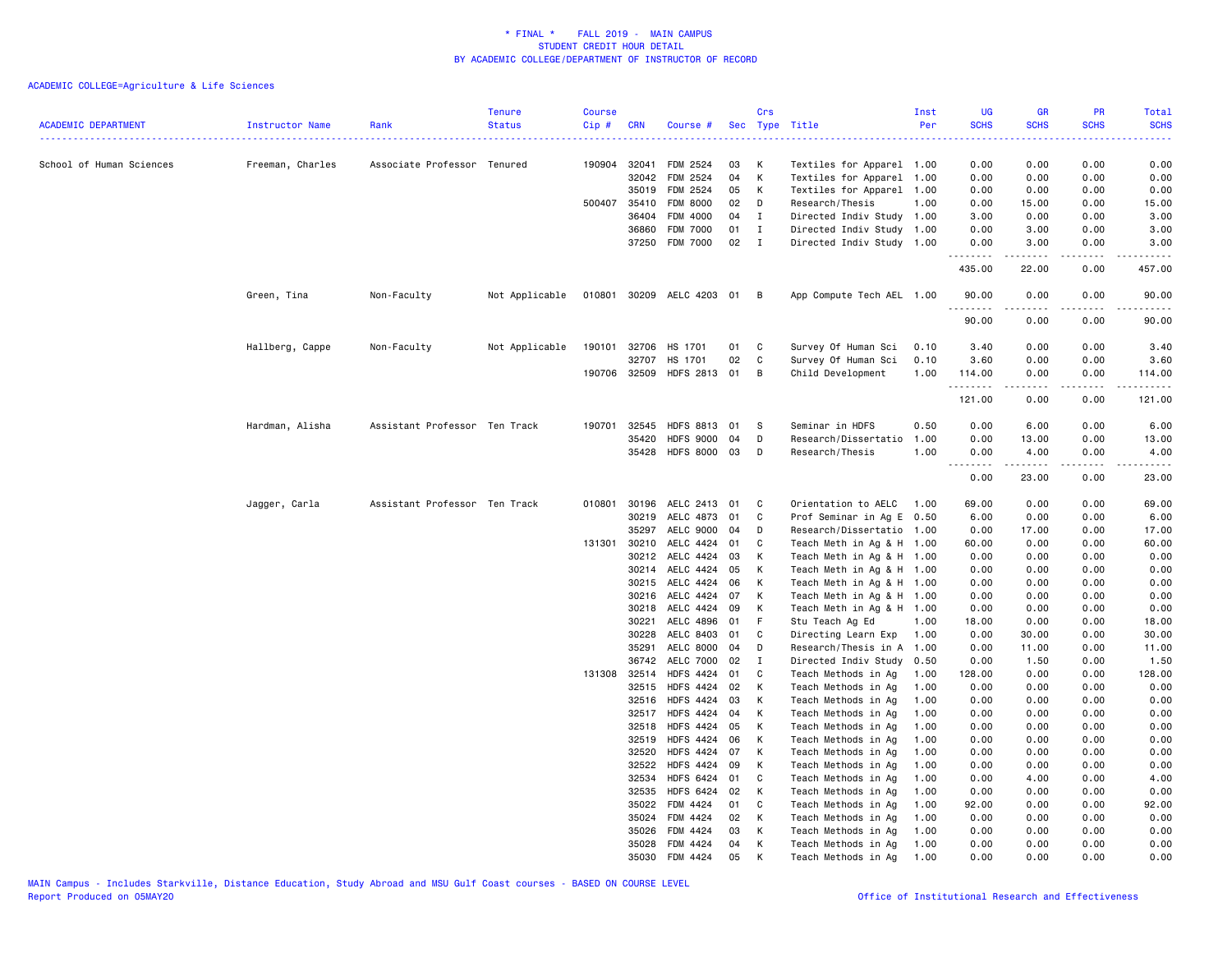| <b>ACADEMIC DEPARTMENT</b> | Instructor Name  | Rank                          | <b>Tenure</b><br><b>Status</b> | <b>Course</b><br>Cip# | <b>CRN</b>     | Course #                    |          | Crs            | Sec Type Title                                         | Inst<br>Per | UG<br><b>SCHS</b> | <b>GR</b><br><b>SCHS</b>                                                                                                                                     | PR<br><b>SCHS</b> | Total<br><b>SCHS</b>  |
|----------------------------|------------------|-------------------------------|--------------------------------|-----------------------|----------------|-----------------------------|----------|----------------|--------------------------------------------------------|-------------|-------------------|--------------------------------------------------------------------------------------------------------------------------------------------------------------|-------------------|-----------------------|
|                            |                  |                               |                                |                       |                |                             |          |                | .                                                      |             | $- - - -$         |                                                                                                                                                              |                   |                       |
| School of Human Sciences   | Freeman, Charles | Associate Professor Tenured   |                                |                       | 190904 32041   | FDM 2524                    | 03<br>04 | K<br>K         | Textiles for Apparel 1.00                              |             | 0.00              | 0.00                                                                                                                                                         | 0.00              | 0.00                  |
|                            |                  |                               |                                |                       | 32042<br>35019 | FDM 2524<br><b>FDM 2524</b> | 05       | K              | Textiles for Apparel 1.00<br>Textiles for Apparel 1.00 |             | 0.00<br>0.00      | 0.00<br>0.00                                                                                                                                                 | 0.00<br>0.00      | 0.00<br>0.00          |
|                            |                  |                               |                                |                       | 500407 35410   | <b>FDM 8000</b>             | 02       | D              | Research/Thesis                                        | 1.00        | 0.00              | 15.00                                                                                                                                                        | 0.00              | 15.00                 |
|                            |                  |                               |                                |                       | 36404          | FDM 4000                    | 04       | $\mathbf{I}$   | Directed Indiv Study 1.00                              |             | 3.00              | 0.00                                                                                                                                                         | 0.00              | 3.00                  |
|                            |                  |                               |                                |                       | 36860          | <b>FDM 7000</b>             | 01       | $\mathbf{I}$   | Directed Indiv Study 1.00                              |             | 0.00              | 3.00                                                                                                                                                         | 0.00              | 3.00                  |
|                            |                  |                               |                                |                       | 37250          | <b>FDM 7000</b>             | 02       | $\blacksquare$ | Directed Indiv Study 1.00                              |             | 0.00              | 3.00                                                                                                                                                         | 0.00              | 3.00                  |
|                            |                  |                               |                                |                       |                |                             |          |                |                                                        |             | .<br>435.00       | 22.00                                                                                                                                                        | 0.00              | 457.00                |
|                            | Green, Tina      | Non-Faculty                   | Not Applicable                 |                       |                | 010801 30209 AELC 4203 01   |          | $\overline{B}$ | App Compute Tech AEL 1.00                              |             | 90.00<br><u>.</u> | 0.00                                                                                                                                                         | 0.00              | 90.00                 |
|                            |                  |                               |                                |                       |                |                             |          |                |                                                        |             | 90.00             | 0.00                                                                                                                                                         | 0.00              | 90.00                 |
|                            | Hallberg, Cappe  | Non-Faculty                   | Not Applicable                 | 190101                | 32706          | HS 1701                     | 01       | C              | Survey Of Human Sci                                    | 0.10        | 3.40              | 0.00                                                                                                                                                         | 0.00              | 3.40                  |
|                            |                  |                               |                                |                       | 32707          | HS 1701                     | 02       | C              | Survey Of Human Sci                                    | 0.10        | 3.60              | 0.00                                                                                                                                                         | 0.00              | 3.60                  |
|                            |                  |                               |                                |                       | 190706 32509   | HDFS 2813 01                |          | $\overline{B}$ | Child Development                                      | 1.00        | 114.00<br>.       | 0.00<br>$\frac{1}{2} \left( \frac{1}{2} \right) \left( \frac{1}{2} \right) \left( \frac{1}{2} \right) \left( \frac{1}{2} \right) \left( \frac{1}{2} \right)$ | 0.00<br>.         | 114.00<br>. <u>.</u>  |
|                            |                  |                               |                                |                       |                |                             |          |                |                                                        |             | 121.00            | 0.00                                                                                                                                                         | 0.00              | 121.00                |
|                            | Hardman, Alisha  | Assistant Professor Ten Track |                                | 190701                | 32545          | <b>HDFS 8813</b>            | 01       | - S            | Seminar in HDFS                                        | 0.50        | 0.00              | 6.00                                                                                                                                                         | 0.00              | 6.00                  |
|                            |                  |                               |                                |                       | 35420          | <b>HDFS 9000</b>            | 04       | D              | Research/Dissertatio                                   | 1.00        | 0.00              | 13.00                                                                                                                                                        | 0.00              | 13.00                 |
|                            |                  |                               |                                |                       |                | 35428 HDFS 8000 03          |          | $\Box$         | Research/Thesis                                        | 1.00        | 0.00              | 4.00                                                                                                                                                         | 0.00              | 4.00                  |
|                            |                  |                               |                                |                       |                |                             |          |                |                                                        |             | .<br>0.00         | .<br>23.00                                                                                                                                                   | .<br>0.00         | . <u>.</u> .<br>23.00 |
|                            | Jagger, Carla    | Assistant Professor Ten Track |                                |                       | 010801 30196   | AELC 2413                   | 01       | C              | Orientation to AELC                                    | 1.00        | 69.00             | 0.00                                                                                                                                                         | 0.00              | 69.00                 |
|                            |                  |                               |                                |                       | 30219          | AELC 4873                   | 01       | C              | Prof Seminar in Ag E 0.50                              |             | 6.00              | 0.00                                                                                                                                                         | 0.00              | 6.00                  |
|                            |                  |                               |                                |                       | 35297          | AELC 9000                   | 04       | D              | Research/Dissertatio 1.00                              |             | 0.00              | 17.00                                                                                                                                                        | 0.00              | 17.00                 |
|                            |                  |                               |                                |                       | 131301 30210   | AELC 4424                   | 01       | C              | Teach Meth in Ag & H 1.00                              |             | 60.00             | 0.00                                                                                                                                                         | 0.00              | 60.00                 |
|                            |                  |                               |                                |                       | 30212          | AELC 4424                   | 03       | K              | Teach Meth in Ag & H 1.00                              |             | 0.00              | 0.00                                                                                                                                                         | 0.00              | 0.00                  |
|                            |                  |                               |                                |                       | 30214          | AELC 4424                   | 05       | К              | Teach Meth in Ag & H 1.00                              |             | 0.00              | 0.00                                                                                                                                                         | 0.00              | 0.00                  |
|                            |                  |                               |                                |                       | 30215          | AELC 4424                   | 06       | К              | Teach Meth in Ag & H 1.00                              |             | 0.00              | 0.00                                                                                                                                                         | 0.00              | 0.00                  |
|                            |                  |                               |                                |                       | 30216          | AELC 4424<br>AELC 4424      | 07<br>09 | K              | Teach Meth in Ag & H 1.00<br>Teach Meth in Ag & H 1.00 |             | 0.00              | 0.00                                                                                                                                                         | 0.00              | 0.00                  |
|                            |                  |                               |                                |                       | 30218<br>30221 | AELC 4896                   | 01       | К<br>F         | Stu Teach Ag Ed                                        | 1.00        | 0.00<br>18.00     | 0.00<br>0.00                                                                                                                                                 | 0.00<br>0.00      | 0.00<br>18.00         |
|                            |                  |                               |                                |                       | 30228          | AELC 8403                   | 01       | C              | Directing Learn Exp                                    | 1.00        | 0.00              | 30.00                                                                                                                                                        | 0.00              | 30.00                 |
|                            |                  |                               |                                |                       | 35291          | AELC 8000                   | 04       | D              | Research/Thesis in A 1.00                              |             | 0.00              | 11.00                                                                                                                                                        | 0.00              | 11.00                 |
|                            |                  |                               |                                |                       | 36742          | AELC 7000                   | 02       | $\mathbf{I}$   | Directed Indiv Study                                   | 0.50        | 0.00              | 1.50                                                                                                                                                         | 0.00              | 1.50                  |
|                            |                  |                               |                                | 131308                | 32514          | <b>HDFS 4424</b>            | 01       | C              | Teach Methods in Ag                                    | 1.00        | 128.00            | 0.00                                                                                                                                                         | 0.00              | 128.00                |
|                            |                  |                               |                                |                       | 32515          | <b>HDFS 4424</b>            | 02       | K              | Teach Methods in Ag                                    | 1.00        | 0.00              | 0.00                                                                                                                                                         | 0.00              | 0.00                  |
|                            |                  |                               |                                |                       | 32516          | <b>HDFS 4424</b>            | 03       | К              | Teach Methods in Ag                                    | 1.00        | 0.00              | 0.00                                                                                                                                                         | 0.00              | 0.00                  |
|                            |                  |                               |                                |                       | 32517          | <b>HDFS 4424</b>            | 04       | К              | Teach Methods in Ag                                    | 1.00        | 0.00              | 0.00                                                                                                                                                         | 0.00              | 0.00                  |
|                            |                  |                               |                                |                       | 32518          | <b>HDFS 4424</b>            | 05       | К              | Teach Methods in Ag                                    | 1.00        | 0.00              | 0.00                                                                                                                                                         | 0.00              | 0.00                  |
|                            |                  |                               |                                |                       | 32519          | HDFS 4424                   | 06       | K              | Teach Methods in Ag                                    | 1.00        | 0.00              | 0.00                                                                                                                                                         | 0.00              | 0.00                  |
|                            |                  |                               |                                |                       | 32520          | HDFS 4424                   | 07       | К              | Teach Methods in Ag                                    | 1.00        | 0.00              | 0.00                                                                                                                                                         | 0.00              | 0.00                  |
|                            |                  |                               |                                |                       | 32522          | <b>HDFS 4424</b>            | 09       | K              | Teach Methods in Ag                                    | 1.00        | 0.00              | 0.00                                                                                                                                                         | 0.00              | 0.00                  |
|                            |                  |                               |                                |                       | 32534          | <b>HDFS 6424</b>            | 01       | C              | Teach Methods in Ag                                    | 1.00        | 0.00              | 4.00                                                                                                                                                         | 0.00              | 4.00                  |
|                            |                  |                               |                                |                       | 32535          | <b>HDFS 6424</b>            | 02       | к              | Teach Methods in Ag                                    | 1.00        | 0.00              | 0.00                                                                                                                                                         | 0.00              | 0.00                  |
|                            |                  |                               |                                |                       | 35022          | FDM 4424                    | 01       | C              | Teach Methods in Ag                                    | 1.00        | 92.00             | 0.00                                                                                                                                                         | 0.00              | 92.00                 |
|                            |                  |                               |                                |                       | 35024          | FDM 4424                    | 02       | K              | Teach Methods in Ag                                    | 1.00        | 0.00              | 0.00                                                                                                                                                         | 0.00              | 0.00                  |
|                            |                  |                               |                                |                       | 35026          | FDM 4424                    | 03       | К              | Teach Methods in Ag                                    | 1.00        | 0.00              | 0.00                                                                                                                                                         | 0.00              | 0.00                  |
|                            |                  |                               |                                |                       | 35028          | FDM 4424                    | 04       | К              | Teach Methods in Ag                                    | 1.00        | 0.00              | 0.00                                                                                                                                                         | 0.00              | 0.00                  |
|                            |                  |                               |                                |                       | 35030          | FDM 4424                    | 05       | К              | Teach Methods in Ag                                    | 1.00        | 0.00              | 0.00                                                                                                                                                         | 0.00              | 0.00                  |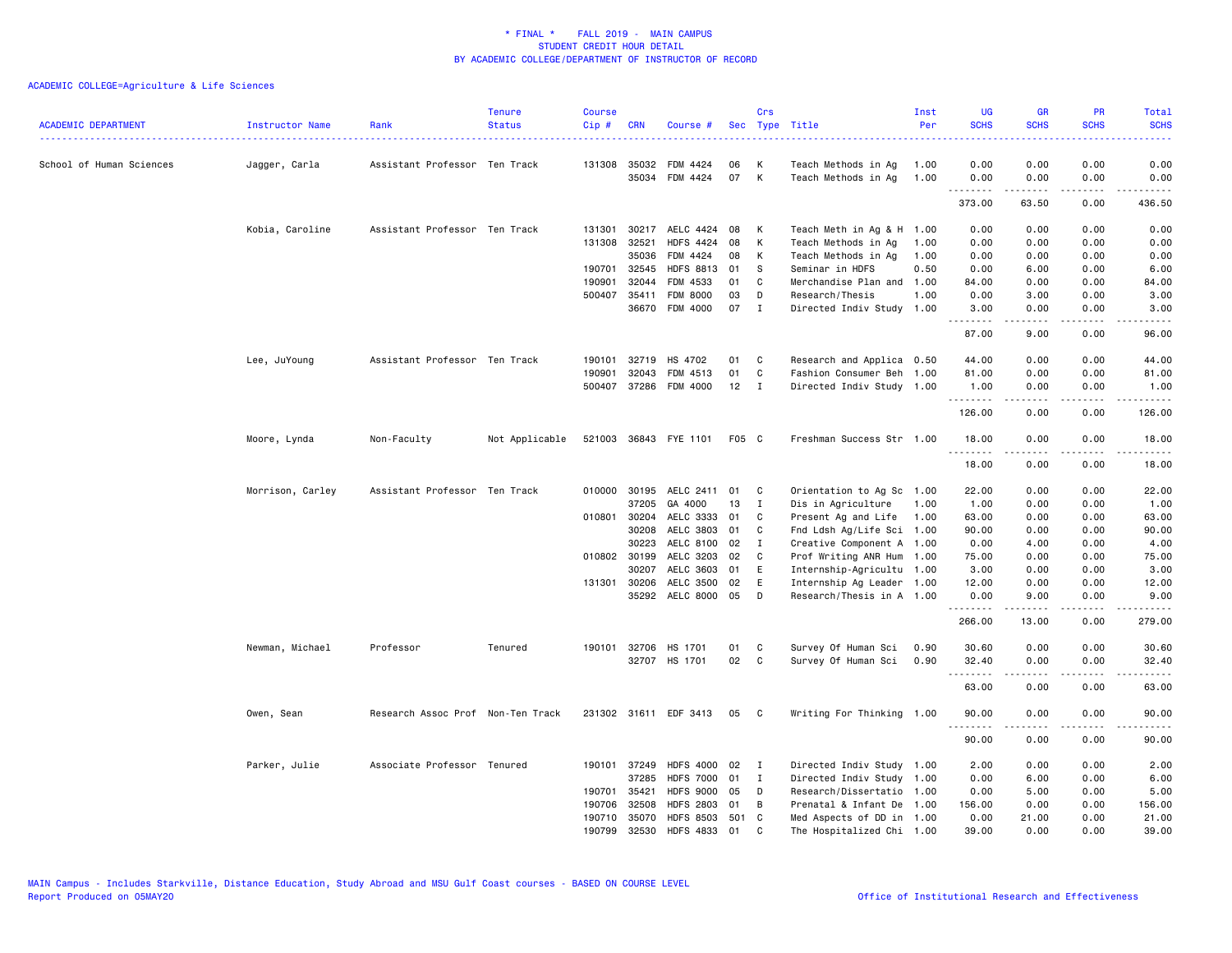| <b>ACADEMIC DEPARTMENT</b> | Instructor Name  | Rank                              | <b>Tenure</b><br><b>Status</b> | <b>Course</b><br>Cip # | <b>CRN</b>   | Course #                  |       | Crs          | Sec Type Title            | Inst<br>Per | <b>UG</b><br><b>SCHS</b> | <b>GR</b><br><b>SCHS</b>                                                                                                                                     | <b>PR</b><br><b>SCHS</b>                                                                                                          | Total<br><b>SCHS</b> |
|----------------------------|------------------|-----------------------------------|--------------------------------|------------------------|--------------|---------------------------|-------|--------------|---------------------------|-------------|--------------------------|--------------------------------------------------------------------------------------------------------------------------------------------------------------|-----------------------------------------------------------------------------------------------------------------------------------|----------------------|
| School of Human Sciences   | Jagger, Carla    | Assistant Professor Ten Track     |                                |                        | 131308 35032 | FDM 4424                  | 06    | К            | Teach Methods in Ag       | 1.00        | 0.00                     | 0.00                                                                                                                                                         | 0.00                                                                                                                              | 0.00                 |
|                            |                  |                                   |                                |                        | 35034        | FDM 4424                  | 07    | К            | Teach Methods in Ag       | 1.00        | 0.00<br><b></b>          | 0.00<br>.                                                                                                                                                    | 0.00<br>.                                                                                                                         | 0.00<br>2.2.2.2.2    |
|                            |                  |                                   |                                |                        |              |                           |       |              |                           |             | 373.00                   | 63.50                                                                                                                                                        | 0.00                                                                                                                              | 436.50               |
|                            | Kobia, Caroline  | Assistant Professor Ten Track     |                                | 131301                 | 30217        | AELC 4424                 | 08    | к            | Teach Meth in Ag & H 1.00 |             | 0.00                     | 0.00                                                                                                                                                         | 0.00                                                                                                                              | 0.00                 |
|                            |                  |                                   |                                |                        | 131308 32521 | <b>HDFS 4424</b>          | 08    | К            | Teach Methods in Ag       | 1.00        | 0.00                     | 0.00                                                                                                                                                         | 0.00                                                                                                                              | 0.00                 |
|                            |                  |                                   |                                |                        | 35036        | FDM 4424                  | 08    | К            | Teach Methods in Ag       | 1.00        | 0.00                     | 0.00                                                                                                                                                         | 0.00                                                                                                                              | 0.00                 |
|                            |                  |                                   |                                |                        | 190701 32545 | <b>HDFS 8813</b>          | 01    | -S           | Seminar in HDFS           | 0.50        | 0.00                     | 6.00                                                                                                                                                         | 0.00                                                                                                                              | 6.00                 |
|                            |                  |                                   |                                | 190901                 | 32044        | FDM 4533                  | 01    | C            | Merchandise Plan and      | 1.00        | 84.00                    | 0.00                                                                                                                                                         | 0.00                                                                                                                              | 84.00                |
|                            |                  |                                   |                                |                        | 500407 35411 | <b>FDM 8000</b>           | 03    | D            | Research/Thesis           | 1.00        | 0.00                     | 3.00                                                                                                                                                         | 0.00                                                                                                                              | 3.00                 |
|                            |                  |                                   |                                |                        |              | 36670 FDM 4000            | 07    | $\mathbf{I}$ | Directed Indiv Study 1.00 |             | 3.00<br>.                | 0.00<br><u>.</u>                                                                                                                                             | 0.00                                                                                                                              | 3.00<br>.            |
|                            |                  |                                   |                                |                        |              |                           |       |              |                           |             | 87.00                    | 9.00                                                                                                                                                         | 0.00                                                                                                                              | 96.00                |
|                            | Lee, JuYoung     | Assistant Professor Ten Track     |                                | 190101                 | 32719        | HS 4702                   | 01    | C            | Research and Applica 0.50 |             | 44.00                    | 0.00                                                                                                                                                         | 0.00                                                                                                                              | 44.00                |
|                            |                  |                                   |                                | 190901                 | 32043        | FDM 4513                  | 01    | $\mathtt{C}$ | Fashion Consumer Beh 1.00 |             | 81.00                    | 0.00                                                                                                                                                         | 0.00                                                                                                                              | 81.00                |
|                            |                  |                                   |                                |                        |              | 500407 37286 FDM 4000     | 12    | $\mathbf{I}$ | Directed Indiv Study 1.00 |             | 1.00<br>.                | 0.00<br>$\frac{1}{2} \left( \frac{1}{2} \right) \left( \frac{1}{2} \right) \left( \frac{1}{2} \right) \left( \frac{1}{2} \right) \left( \frac{1}{2} \right)$ | 0.00<br>.                                                                                                                         | 1.00<br>.            |
|                            |                  |                                   |                                |                        |              |                           |       |              |                           |             | 126.00                   | 0.00                                                                                                                                                         | 0.00                                                                                                                              | 126.00               |
|                            | Moore, Lynda     | Non-Faculty                       | Not Applicable                 |                        |              | 521003 36843 FYE 1101     | F05 C |              | Freshman Success Str 1.00 |             | 18.00<br>.               | 0.00<br><u>.</u>                                                                                                                                             | 0.00<br>$- - - -$                                                                                                                 | 18.00<br>.           |
|                            |                  |                                   |                                |                        |              |                           |       |              |                           |             | 18.00                    | 0.00                                                                                                                                                         | 0.00                                                                                                                              | 18.00                |
|                            | Morrison, Carley | Assistant Professor Ten Track     |                                |                        |              | 010000 30195 AELC 2411 01 |       | C            | Orientation to Ag Sc 1.00 |             | 22.00                    | 0.00                                                                                                                                                         | 0.00                                                                                                                              | 22.00                |
|                            |                  |                                   |                                |                        | 37205        | GA 4000                   | 13    | $\mathbf I$  | Dis in Agriculture        | 1.00        | 1.00                     | 0.00                                                                                                                                                         | 0.00                                                                                                                              | 1.00                 |
|                            |                  |                                   |                                |                        | 010801 30204 | AELC 3333                 | 01    | C            | Present Ag and Life       | 1.00        | 63.00                    | 0.00                                                                                                                                                         | 0.00                                                                                                                              | 63.00                |
|                            |                  |                                   |                                |                        | 30208        | AELC 3803                 | 01    | C            | Fnd Ldsh Ag/Life Sci 1.00 |             | 90.00                    | 0.00                                                                                                                                                         | 0.00                                                                                                                              | 90.00                |
|                            |                  |                                   |                                |                        | 30223        | AELC 8100                 | 02    | $\mathbf{I}$ | Creative Component A 1.00 |             | 0.00                     | 4.00                                                                                                                                                         | 0.00                                                                                                                              | 4.00                 |
|                            |                  |                                   |                                |                        | 010802 30199 | AELC 3203                 | 02    | C            | Prof Writing ANR Hum      | 1.00        | 75.00                    | 0.00                                                                                                                                                         | 0.00                                                                                                                              | 75.00                |
|                            |                  |                                   |                                |                        | 30207        | AELC 3603                 | 01    | E            | Internship-Agricultu 1.00 |             | 3.00                     | 0.00                                                                                                                                                         | 0.00                                                                                                                              | 3.00                 |
|                            |                  |                                   |                                |                        | 131301 30206 | AELC 3500                 | 02    | E            | Internship Ag Leader 1.00 |             | 12.00                    | 0.00                                                                                                                                                         | 0.00                                                                                                                              | 12.00                |
|                            |                  |                                   |                                |                        |              | 35292 AELC 8000           | 05    | D            | Research/Thesis in A 1.00 |             | 0.00<br>.                | 9.00<br>.                                                                                                                                                    | 0.00<br>$\frac{1}{2} \left( \frac{1}{2} \right) \left( \frac{1}{2} \right) \left( \frac{1}{2} \right) \left( \frac{1}{2} \right)$ | 9.00<br>.            |
|                            |                  |                                   |                                |                        |              |                           |       |              |                           |             | 266.00                   | 13.00                                                                                                                                                        | 0.00                                                                                                                              | 279.00               |
|                            | Newman, Michael  | Professor                         | Tenured                        |                        |              | 190101 32706 HS 1701      | 01    | C            | Survey Of Human Sci       | 0.90        | 30.60                    | 0.00                                                                                                                                                         | 0.00                                                                                                                              | 30.60                |
|                            |                  |                                   |                                |                        |              | 32707 HS 1701             | 02    | $\mathbf{C}$ | Survey Of Human Sci       | 0.90        | 32.40                    | 0.00                                                                                                                                                         | 0.00                                                                                                                              | 32.40                |
|                            |                  |                                   |                                |                        |              |                           |       |              |                           |             | <u>.</u><br>63.00        | 0.00                                                                                                                                                         | .<br>0.00                                                                                                                         | .<br>63.00           |
|                            | Owen, Sean       | Research Assoc Prof Non-Ten Track |                                |                        |              | 231302 31611 EDF 3413     | 05    | $\mathbf{C}$ | Writing For Thinking 1.00 |             | 90.00                    | 0.00                                                                                                                                                         | 0.00                                                                                                                              | 90.00                |
|                            |                  |                                   |                                |                        |              |                           |       |              |                           |             | .<br>90.00               | 0.00                                                                                                                                                         | .<br>0.00                                                                                                                         | 90.00                |
|                            | Parker, Julie    | Associate Professor Tenured       |                                |                        | 190101 37249 | <b>HDFS 4000</b>          | 02    | $\mathbf{I}$ | Directed Indiv Study 1.00 |             | 2.00                     | 0.00                                                                                                                                                         | 0.00                                                                                                                              | 2.00                 |
|                            |                  |                                   |                                |                        | 37285        | <b>HDFS 7000</b>          | 01    | $\mathbf{I}$ | Directed Indiv Study 1.00 |             | 0.00                     | 6.00                                                                                                                                                         | 0.00                                                                                                                              | 6.00                 |
|                            |                  |                                   |                                |                        | 190701 35421 | <b>HDFS 9000</b>          | 05    | D            | Research/Dissertatio 1.00 |             | 0.00                     | 5.00                                                                                                                                                         | 0.00                                                                                                                              | 5.00                 |
|                            |                  |                                   |                                | 190706                 | 32508        | <b>HDFS 2803</b>          | 01    | B            | Prenatal & Infant De      | 1.00        | 156.00                   | 0.00                                                                                                                                                         | 0.00                                                                                                                              | 156.00               |
|                            |                  |                                   |                                |                        | 190710 35070 | <b>HDFS 8503</b>          | 501 C |              | Med Aspects of DD in 1.00 |             | 0.00                     | 21.00                                                                                                                                                        | 0.00                                                                                                                              | 21,00                |
|                            |                  |                                   |                                | 190799                 | 32530        | <b>HDFS 4833</b>          | 01    | C.           | The Hospitalized Chi 1.00 |             | 39.00                    | 0.00                                                                                                                                                         | 0.00                                                                                                                              | 39.00                |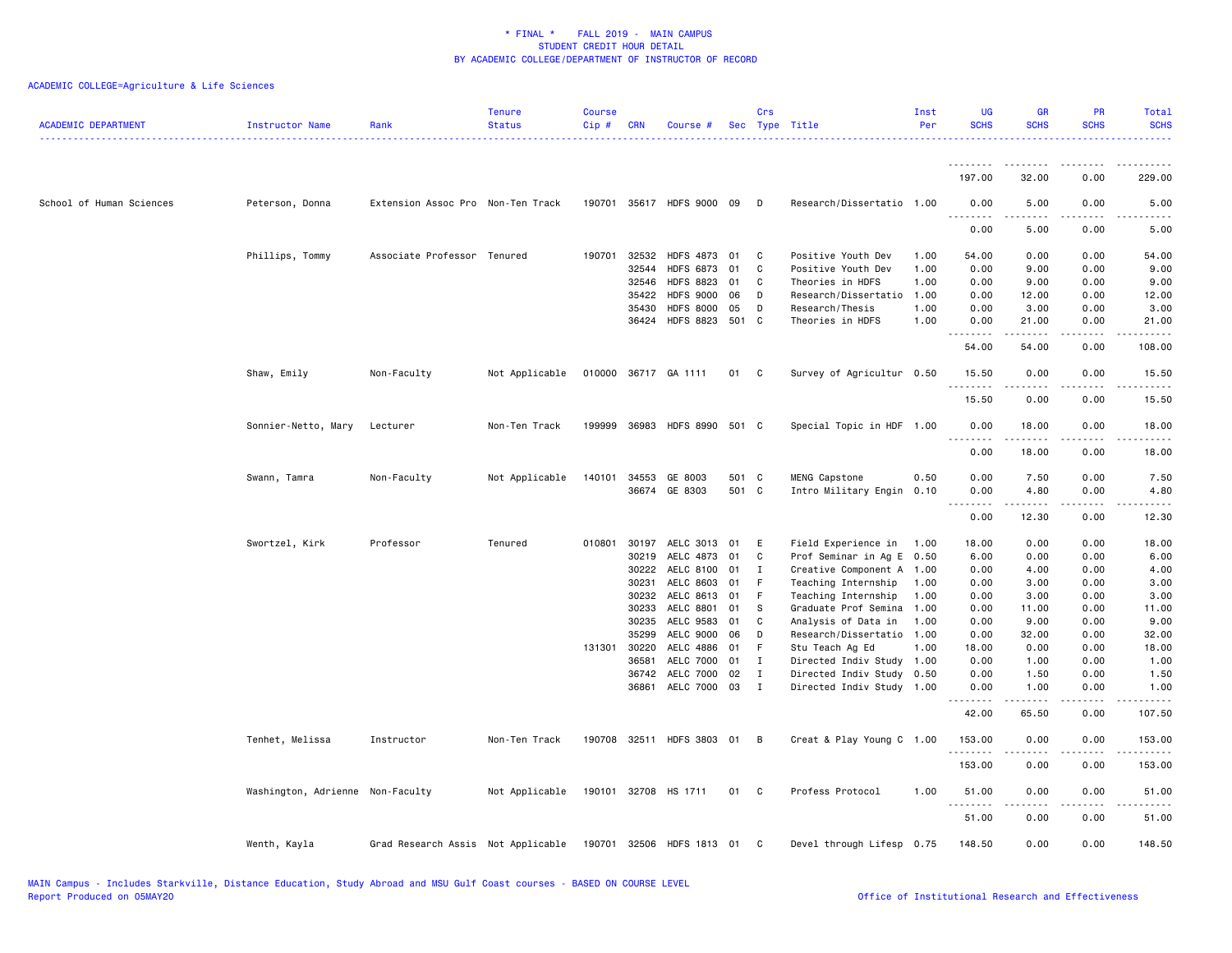| <b>ACADEMIC DEPARTMENT</b> | Instructor Name                  | Rank                                                         | <b>Tenure</b><br><b>Status</b> | <b>Course</b><br>Cip# | <b>CRN</b>   | Course #                    |       | Crs          | Sec Type Title            | Inst<br>Per | UG<br><b>SCHS</b>                 | <b>GR</b><br><b>SCHS</b> | PR<br><b>SCHS</b> | Total<br><b>SCHS</b> |
|----------------------------|----------------------------------|--------------------------------------------------------------|--------------------------------|-----------------------|--------------|-----------------------------|-------|--------------|---------------------------|-------------|-----------------------------------|--------------------------|-------------------|----------------------|
|                            |                                  |                                                              |                                |                       |              |                             |       |              |                           |             |                                   |                          |                   |                      |
|                            |                                  |                                                              |                                |                       |              |                             |       |              |                           |             | 197.00                            | 32.00                    | 0.00              | 229.00               |
| School of Human Sciences   | Peterson, Donna                  | Extension Assoc Pro Non-Ten Track                            |                                |                       |              | 190701 35617 HDFS 9000 09   |       | D.           | Research/Dissertatio 1.00 |             | 0.00<br>.                         | 5.00                     | 0.00              | 5.00                 |
|                            |                                  |                                                              |                                |                       |              |                             |       |              |                           |             | 0.00                              | 5.00                     | 0.00              | 5.00                 |
|                            | Phillips, Tommy                  | Associate Professor Tenured                                  |                                |                       | 190701 32532 | HDFS 4873 01                |       | $\mathbf{C}$ | Positive Youth Dev        | 1.00        | 54.00                             | 0.00                     | 0.00              | 54.00                |
|                            |                                  |                                                              |                                |                       | 32544        | <b>HDFS 6873</b>            | 01    | C            | Positive Youth Dev        | 1.00        | 0.00                              | 9.00                     | 0.00              | 9.00                 |
|                            |                                  |                                                              |                                |                       | 32546        | <b>HDFS 8823</b>            | 01    | C            | Theories in HDFS          | 1.00        | 0.00                              | 9.00                     | 0.00              | 9.00                 |
|                            |                                  |                                                              |                                |                       | 35422        | <b>HDFS 9000</b>            | 06    | D            | Research/Dissertatio      | 1.00        | 0.00                              | 12.00                    | 0.00              | 12.00                |
|                            |                                  |                                                              |                                |                       | 35430        | <b>HDFS 8000</b>            | 05    | D            | Research/Thesis           | 1.00        | 0.00                              | 3.00                     | 0.00              | 3.00                 |
|                            |                                  |                                                              |                                |                       | 36424        | <b>HDFS 8823</b>            | 501 C |              | Theories in HDFS          | 1.00        | 0.00                              | 21.00                    | 0.00              | 21.00                |
|                            |                                  |                                                              |                                |                       |              |                             |       |              |                           |             | 54.00                             | 54.00                    | 0.00              | 108.00               |
|                            | Shaw, Emily                      | Non-Faculty                                                  | Not Applicable                 |                       |              | 010000 36717 GA 1111        | 01 C  |              | Survey of Agricultur 0.50 |             | 15.50<br>.                        | 0.00                     | 0.00              | 15.50                |
|                            |                                  |                                                              |                                |                       |              |                             |       |              |                           |             | 15.50                             | 0.00                     | 0.00              | 15.50                |
|                            | Sonnier-Netto, Mary              | Lecturer                                                     | Non-Ten Track                  | 199999                |              | 36983 HDFS 8990 501 C       |       |              | Special Topic in HDF 1.00 |             | 0.00<br>$\sim$ $\sim$ $\sim$<br>. | 18.00                    | 0.00              | 18.00                |
|                            |                                  |                                                              |                                |                       |              |                             |       |              |                           |             | 0.00                              | 18.00                    | 0.00              | 18.00                |
|                            | Swann, Tamra                     | Non-Faculty                                                  | Not Applicable                 |                       |              | 140101 34553 GE 8003        | 501 C |              | MENG Capstone             | 0.50        | 0.00                              | 7.50                     | 0.00              | 7.50                 |
|                            |                                  |                                                              |                                |                       |              | 36674 GE 8303               | 501 C |              | Intro Military Engin      | 0.10        | 0.00                              | 4.80                     | 0.00              | 4.80                 |
|                            |                                  |                                                              |                                |                       |              |                             |       |              |                           |             | 0.00                              | 12.30                    | 0.00              | 12.30                |
|                            | Swortzel, Kirk                   | Professor                                                    | Tenured                        | 010801                | 30197        | AELC 3013                   | 01    | E            | Field Experience in       | 1.00        | 18.00                             | 0.00                     | 0.00              | 18.00                |
|                            |                                  |                                                              |                                |                       | 30219        | AELC 4873                   | 01    | C            | Prof Seminar in Ag E 0.50 |             | 6.00                              | 0.00                     | 0.00              | 6.00                 |
|                            |                                  |                                                              |                                |                       | 30222        | AELC 8100                   | 01    | I            | Creative Component A 1.00 |             | 0.00                              | 4.00                     | 0.00              | 4.00                 |
|                            |                                  |                                                              |                                |                       | 30231        | AELC 8603                   | 01    | F            | Teaching Internship       | 1.00        | 0.00                              | 3.00                     | 0.00              | 3.00                 |
|                            |                                  |                                                              |                                |                       | 30232        | AELC 8613                   | 01    | F            | Teaching Internship       | 1.00        | 0.00                              | 3.00                     | 0.00              | 3.00                 |
|                            |                                  |                                                              |                                |                       | 30233        | AELC 8801                   | 01    | s.           | Graduate Prof Semina      | 1.00        | 0.00                              | 11.00                    | 0.00              | 11.00                |
|                            |                                  |                                                              |                                |                       | 30235        | AELC 9583                   | 01    | C            | Analysis of Data in       | 1.00        | 0.00                              | 9.00                     | 0.00              | 9.00                 |
|                            |                                  |                                                              |                                |                       | 35299        | AELC 9000                   | 06    | D            | Research/Dissertatio      | 1.00        | 0.00                              | 32.00                    | 0.00              | 32.00                |
|                            |                                  |                                                              |                                |                       | 131301 30220 | AELC 4886                   | 01    | F            | Stu Teach Ag Ed           | 1.00        | 18.00                             | 0.00                     | 0.00              | 18.00                |
|                            |                                  |                                                              |                                |                       | 36581        | AELC 7000                   | 01    | $\mathbf{I}$ | Directed Indiv Study 1.00 |             | 0.00                              | 1.00                     | 0.00              | 1.00                 |
|                            |                                  |                                                              |                                |                       | 36742        | AELC 7000                   | 02    | $\mathbf{I}$ | Directed Indiv Study 0.50 |             | 0.00                              | 1.50                     | 0.00              | 1.50                 |
|                            |                                  |                                                              |                                |                       |              | 36861 AELC 7000             | 03    | $\mathbf{I}$ | Directed Indiv Study 1.00 |             | 0.00                              | 1.00                     | 0.00              | 1.00                 |
|                            |                                  |                                                              |                                |                       |              |                             |       |              |                           |             | 42.00                             | 65.50                    | 0.00              | 107.50               |
|                            | Tenhet, Melissa                  | Instructor                                                   | Non-Ten Track                  |                       |              | 190708 32511 HDFS 3803 01 B |       |              | Creat & Play Young C 1.00 |             | 153.00<br>.                       | 0.00                     | 0.00<br>.         | 153.00               |
|                            |                                  |                                                              |                                |                       |              |                             |       |              |                           |             | 153.00                            | 0.00                     | 0.00              | 153.00               |
|                            | Washington, Adrienne Non-Faculty |                                                              | Not Applicable                 |                       |              | 190101 32708 HS 1711        | 01 C  |              | Profess Protocol          | 1.00        | 51.00<br>.                        | 0.00<br>.                | 0.00<br>د د د د   | 51.00<br>.           |
|                            |                                  |                                                              |                                |                       |              |                             |       |              |                           |             | 51.00                             | 0.00                     | 0.00              | 51.00                |
|                            | Wenth, Kayla                     | Grad Research Assis Not Applicable 190701 32506 HDFS 1813 01 |                                |                       |              |                             |       | $\mathbf{C}$ | Devel through Lifesp 0.75 |             | 148.50                            | 0.00                     | 0.00              | 148.50               |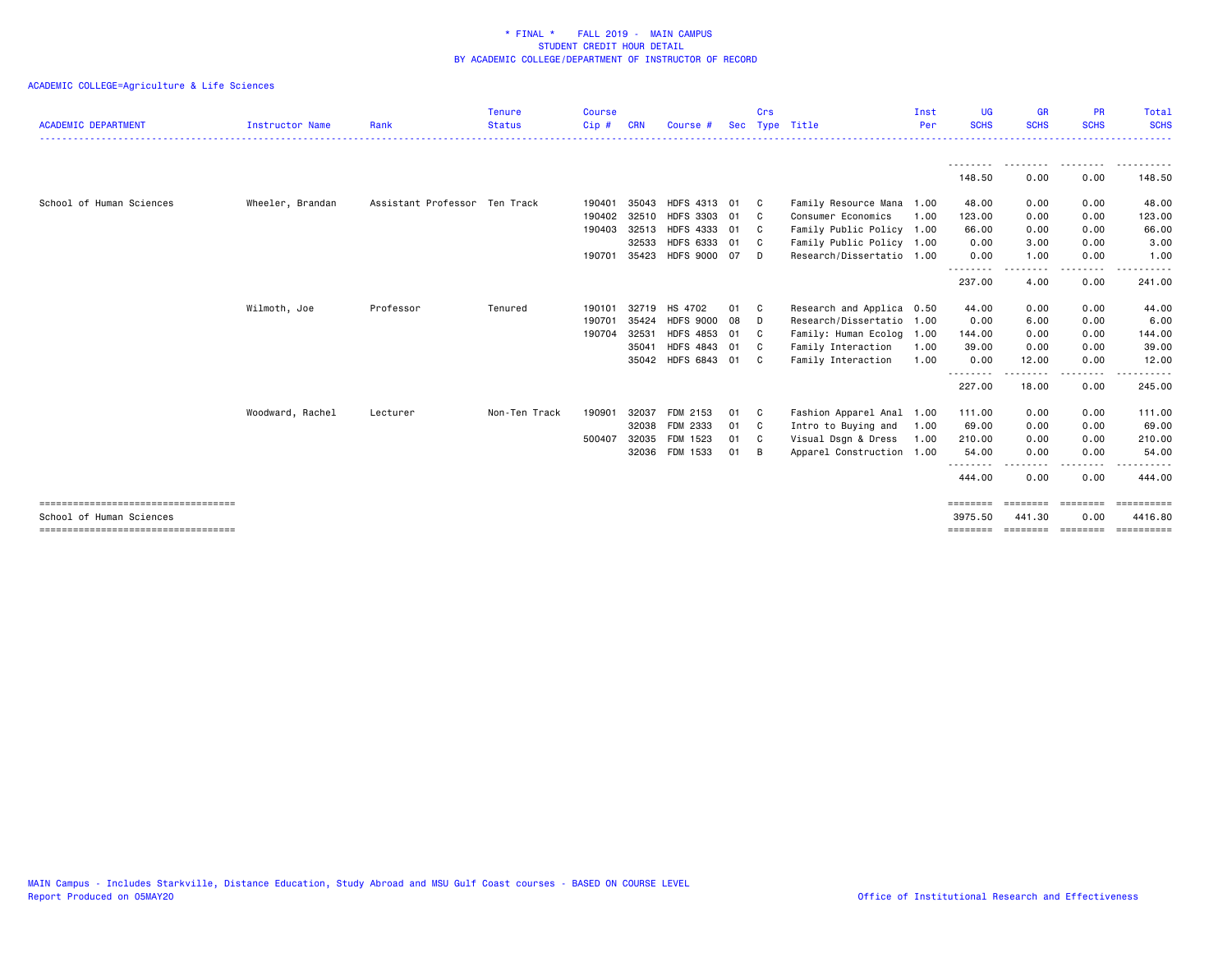|                                                                 |                        |                               | <b>Tenure</b> | <b>Course</b> |            |                    |    | Crs            |                           | Inst | <b>UG</b>           | <b>GR</b>                | <b>PR</b>        | Total                 |
|-----------------------------------------------------------------|------------------------|-------------------------------|---------------|---------------|------------|--------------------|----|----------------|---------------------------|------|---------------------|--------------------------|------------------|-----------------------|
| <b>ACADEMIC DEPARTMENT</b>                                      | <b>Instructor Name</b> | Rank                          | <b>Status</b> | $Cip$ #       | <b>CRN</b> | Course #           |    |                | Sec Type Title            | Per  | <b>SCHS</b>         | <b>SCHS</b>              | <b>SCHS</b>      | <b>SCHS</b>           |
|                                                                 |                        |                               |               |               |            |                    |    |                |                           |      |                     | --------                 | ---------        | .                     |
|                                                                 |                        |                               |               |               |            |                    |    |                |                           |      | 148.50              | 0.00                     | 0.00             | 148.50                |
| School of Human Sciences                                        | Wheeler, Brandan       | Assistant Professor Ten Track |               | 190401        | 35043      | HDFS 4313 01       |    | - C            | Family Resource Mana 1.00 |      | 48.00               | 0.00                     | 0.00             | 48.00                 |
|                                                                 |                        |                               |               | 190402        | 32510      | HDFS 3303 01       |    | C.             | Consumer Economics        | 1.00 | 123.00              | 0.00                     | 0.00             | 123.00                |
|                                                                 |                        |                               |               | 190403        | 32513      | HDFS 4333 01       |    | - C            | Family Public Policy 1.00 |      | 66.00               | 0.00                     | 0.00             | 66.00                 |
|                                                                 |                        |                               |               |               | 32533      | HDFS 6333 01       |    | C <sub>c</sub> | Family Public Policy 1.00 |      | 0.00                | 3.00                     | 0.00             | 3.00                  |
|                                                                 |                        |                               |               | 190701        | 35423      | HDFS 9000 07       |    | n.             | Research/Dissertatio 1.00 |      | 0.00                | 1.00                     | 0.00             | 1.00                  |
|                                                                 |                        |                               |               |               |            |                    |    |                |                           |      | .<br>237.00         | . <b>.</b><br>4.00       | <u>.</u><br>0.00 | -------<br>241.00     |
|                                                                 | Wilmoth, Joe           | Professor                     | Tenured       | 190101        |            | 32719 HS 4702      | 01 | - C            | Research and Applica 0.50 |      | 44.00               | 0.00                     | 0.00             | 44.00                 |
|                                                                 |                        |                               |               | 190701        | 35424      | <b>HDFS 9000</b>   | 08 | - D            | Research/Dissertatio      | 1.00 | 0.00                | 6.00                     | 0.00             | 6.00                  |
|                                                                 |                        |                               |               | 190704        | 32531      | HDFS 4853 01       |    | C.             | Family: Human Ecolog      | 1.00 | 144.00              | 0.00                     | 0.00             | 144.00                |
|                                                                 |                        |                               |               |               | 35041      | HDFS 4843 01       |    | C <sub>c</sub> | Family Interaction        | 1.00 | 39.00               | 0.00                     | 0.00             | 39.00                 |
|                                                                 |                        |                               |               |               |            | 35042 HDFS 6843 01 |    | C <sub>c</sub> | Family Interaction        | 1.00 | 0.00<br>.           | 12.00<br>. <b>.</b>      | 0.00<br>-----    | 12.00<br>------       |
|                                                                 |                        |                               |               |               |            |                    |    |                |                           |      | 227.00              | 18.00                    | 0.00             | 245.00                |
|                                                                 | Woodward, Rachel       | Lecturer                      | Non-Ten Track | 190901        | 32037      | FDM 2153           | 01 | - C            | Fashion Apparel Anal      | 1.00 | 111.00              | 0.00                     | 0.00             | 111.00                |
|                                                                 |                        |                               |               |               | 32038      | FDM 2333           | 01 | $\mathbf{C}$   | Intro to Buying and       | 1.00 | 69.00               | 0.00                     | 0.00             | 69.00                 |
|                                                                 |                        |                               |               | 500407        | 32035      | FDM 1523           | 01 | - C            | Visual Dsgn & Dress       | 1.00 | 210.00              | 0.00                     | 0.00             | 210.00                |
|                                                                 |                        |                               |               |               | 32036      | FDM 1533           | 01 | - B            | Apparel Construction      | 1.00 | 54.00               | 0.00                     | 0.00             | 54.00                 |
|                                                                 |                        |                               |               |               |            |                    |    |                |                           |      | .<br>444.00         | 0.00                     | .<br>0.00        | .<br>444.00           |
| -----------------------------------<br>School of Human Sciences |                        |                               |               |               |            |                    |    |                |                           |      | ========<br>3975.50 | <b>EEEEEEE</b><br>441.30 | ========<br>0.00 | ==========<br>4416.80 |
| ====================================                            |                        |                               |               |               |            |                    |    |                |                           |      | ========            | ========                 | ========         | EEEEEEEEE             |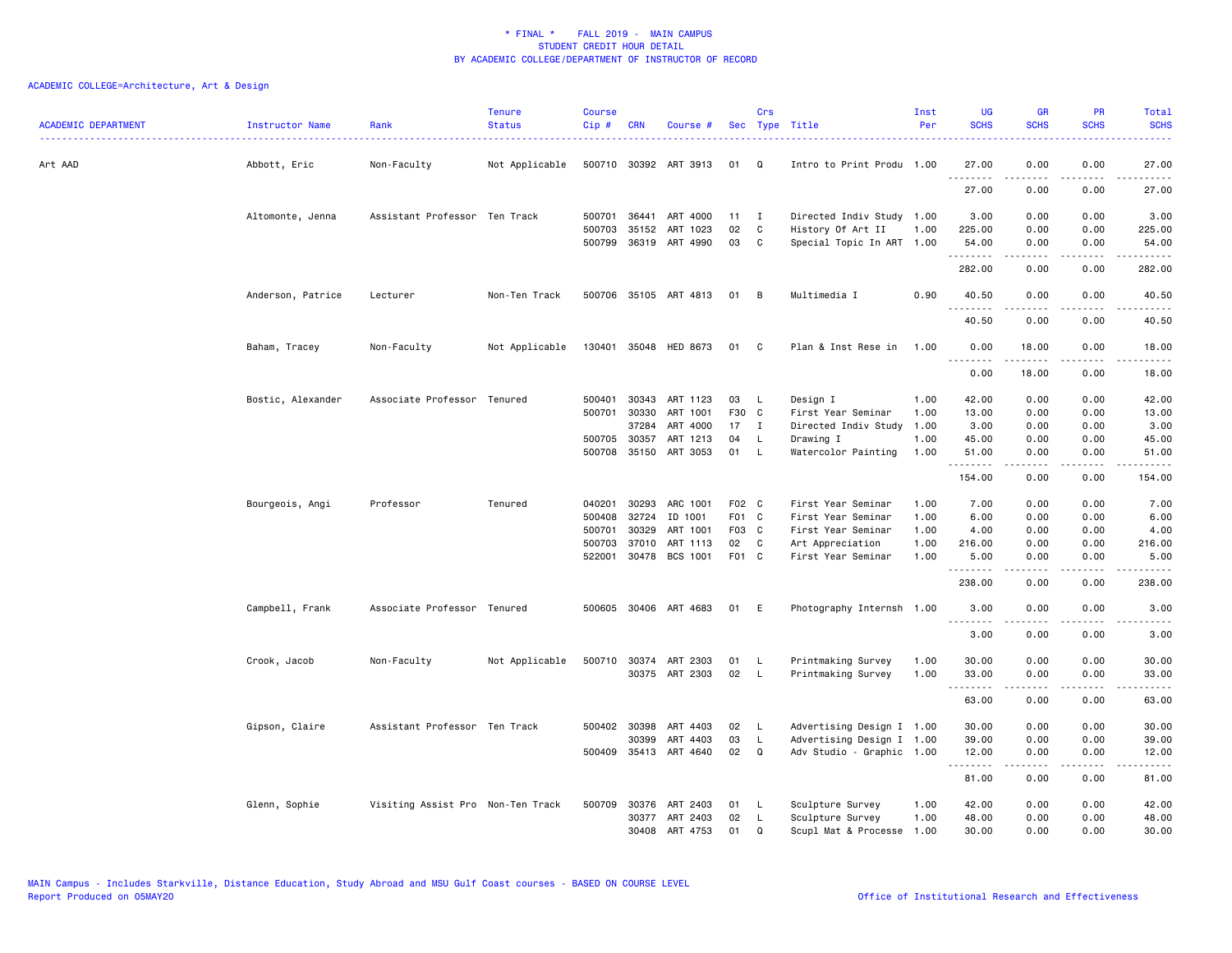| <b>ACADEMIC DEPARTMENT</b> | Instructor Name   | Rank                              | <b>Tenure</b><br><b>Status</b> | <b>Course</b><br>Cip # | <b>CRN</b>   | Course #                          |          | Crs          | Sec Type Title                                 | Inst<br>Per | <b>UG</b><br><b>SCHS</b> | <b>GR</b><br><b>SCHS</b> | <b>PR</b><br><b>SCHS</b>            | Total<br><b>SCHS</b>   |
|----------------------------|-------------------|-----------------------------------|--------------------------------|------------------------|--------------|-----------------------------------|----------|--------------|------------------------------------------------|-------------|--------------------------|--------------------------|-------------------------------------|------------------------|
| Art AAD                    | Abbott, Eric      | Non-Faculty                       | Not Applicable                 |                        |              | 500710 30392 ART 3913             | 01       | Q            | Intro to Print Produ 1.00                      |             | 27.00<br><u>.</u>        | 0.00                     | 0.00                                | 27.00                  |
|                            |                   |                                   |                                |                        |              |                                   |          |              |                                                |             | 27.00                    | 0.00                     | 0.00                                | 27.00                  |
|                            | Altomonte, Jenna  | Assistant Professor Ten Track     |                                |                        | 500701 36441 | ART 4000                          | 11       | $\mathbf{I}$ | Directed Indiv Study 1.00                      |             | 3.00                     | 0.00                     | 0.00                                | 3.00                   |
|                            |                   |                                   |                                | 500703                 | 35152        | ART 1023<br>500799 36319 ART 4990 | 02<br>03 | C<br>C       | History Of Art II<br>Special Topic In ART 1.00 | 1.00        | 225.00<br>54.00          | 0.00<br>0.00             | 0.00<br>0.00                        | 225.00<br>54.00        |
|                            |                   |                                   |                                |                        |              |                                   |          |              |                                                |             | .<br>282.00              | .<br>0.00                | $\frac{1}{2}$<br>0.00               | .<br>282.00            |
|                            | Anderson, Patrice | Lecturer                          | Non-Ten Track                  |                        |              | 500706 35105 ART 4813             | 01       | B            | Multimedia I                                   | 0.90        | 40.50<br>.               | 0.00                     | 0.00<br>د د د د                     | 40.50<br>.             |
|                            |                   |                                   |                                |                        |              |                                   |          |              |                                                |             | 40.50                    | .<br>0.00                | 0.00                                | 40.50                  |
|                            | Baham, Tracey     | Non-Faculty                       | Not Applicable                 |                        |              | 130401 35048 HED 8673             | 01 C     |              | Plan & Inst Rese in                            | 1.00        | 0.00<br>.                | 18.00                    | 0.00                                | 18.00                  |
|                            |                   |                                   |                                |                        |              |                                   |          |              |                                                |             | 0.00                     | 18.00                    | 0.00                                | 18.00                  |
|                            | Bostic, Alexander | Associate Professor Tenured       |                                | 500401                 | 30343        | ART 1123                          | 03       | - L          | Design I                                       | 1.00        | 42.00                    | 0.00                     | 0.00                                | 42.00                  |
|                            |                   |                                   |                                | 500701                 | 30330        | ART 1001                          | F30 C    |              | First Year Seminar                             | 1.00        | 13.00                    | 0.00                     | 0.00                                | 13.00                  |
|                            |                   |                                   |                                |                        | 37284        | ART 4000                          | 17       | I            | Directed Indiv Study                           | 1.00        | 3.00                     | 0.00                     | 0.00                                | 3.00                   |
|                            |                   |                                   |                                | 500705                 | 30357        | ART 1213                          | 04       | - L          | Drawing I                                      | 1.00        | 45.00                    | 0.00                     | 0.00                                | 45.00                  |
|                            |                   |                                   |                                |                        | 500708 35150 | ART 3053                          | 01       | - L          | Watercolor Painting                            | 1.00        | 51.00<br>.               | 0.00<br>. <b>.</b>       | 0.00<br>.                           | 51.00<br>.             |
|                            |                   |                                   |                                |                        |              |                                   |          |              |                                                |             | 154.00                   | 0.00                     | 0.00                                | 154.00                 |
|                            | Bourgeois, Angi   | Professor                         | Tenured                        | 040201                 | 30293        | ARC 1001                          | F02 C    |              | First Year Seminar                             | 1.00        | 7.00                     | 0.00                     | 0.00                                | 7.00                   |
|                            |                   |                                   |                                | 500408                 | 32724        | ID 1001                           | F01 C    |              | First Year Seminar                             | 1.00        | 6.00                     | 0.00                     | 0.00                                | 6.00                   |
|                            |                   |                                   |                                | 500701                 | 30329        | ART 1001                          | F03 C    |              | First Year Seminar                             | 1.00        | 4.00                     | 0.00                     | 0.00                                | 4.00                   |
|                            |                   |                                   |                                | 500703                 | 37010        | ART 1113                          | 02       | C            | Art Appreciation                               | 1.00        | 216.00                   | 0.00                     | 0.00                                | 216.00                 |
|                            |                   |                                   |                                | 522001                 |              | 30478 BCS 1001                    | F01 C    |              | First Year Seminar                             | 1.00        | 5.00<br>.                | 0.00<br>.                | 0.00<br>$- - - -$                   | 5.00                   |
|                            |                   |                                   |                                |                        |              |                                   |          |              |                                                |             | 238.00                   | 0.00                     | 0.00                                | 238.00                 |
|                            | Campbell, Frank   | Associate Professor Tenured       |                                |                        |              | 500605 30406 ART 4683             | 01       | E            | Photography Internsh 1.00                      |             | 3.00<br>.                | 0.00<br>.                | 0.00                                | 3.00                   |
|                            |                   |                                   |                                |                        |              |                                   |          |              |                                                |             | 3.00                     | 0.00                     | 0.00                                | 3.00                   |
|                            | Crook, Jacob      | Non-Faculty                       | Not Applicable                 |                        |              | 500710 30374 ART 2303             | 01       | - L          | Printmaking Survey                             | 1.00        | 30.00                    | 0.00                     | 0.00                                | 30.00                  |
|                            |                   |                                   |                                |                        |              | 30375 ART 2303                    | 02       | - L          | Printmaking Survey                             | 1.00        | 33.00<br>.               | 0.00<br>.                | 0.00<br>$\frac{1}{2}$               | 33.00<br>$\frac{1}{2}$ |
|                            |                   |                                   |                                |                        |              |                                   |          |              |                                                |             | 63.00                    | 0.00                     | 0.00                                | 63.00                  |
|                            | Gipson, Claire    | Assistant Professor Ten Track     |                                |                        | 500402 30398 | ART 4403                          | 02       | - L          | Advertising Design I 1.00                      |             | 30.00                    | 0.00                     | 0.00                                | 30.00                  |
|                            |                   |                                   |                                |                        | 30399        | ART 4403                          | 03       | L.           | Advertising Design I 1.00                      |             | 39.00                    | 0.00                     | 0.00                                | 39.00                  |
|                            |                   |                                   |                                |                        |              | 500409 35413 ART 4640             | 02       | Q            | Adv Studio - Graphic 1.00                      |             | 12.00<br>.               | 0.00<br>.                | 0.00<br>$\sim$ $\sim$ $\sim$ $\sim$ | 12.00                  |
|                            |                   |                                   |                                |                        |              |                                   |          |              |                                                |             | 81.00                    | 0.00                     | 0.00                                | 81.00                  |
|                            | Glenn, Sophie     | Visiting Assist Pro Non-Ten Track |                                | 500709                 | 30376        | ART 2403                          | 01       | - L          | Sculpture Survey                               | 1.00        | 42.00                    | 0.00                     | 0.00                                | 42.00                  |
|                            |                   |                                   |                                |                        |              | 30377 ART 2403                    | 02       | <b>L</b>     | Sculpture Survey                               | 1.00        | 48.00                    | 0.00                     | 0.00                                | 48.00                  |
|                            |                   |                                   |                                |                        | 30408        | ART 4753                          | 01       | $\Omega$     | Scupl Mat & Processe                           | 1.00        | 30.00                    | 0.00                     | 0.00                                | 30.00                  |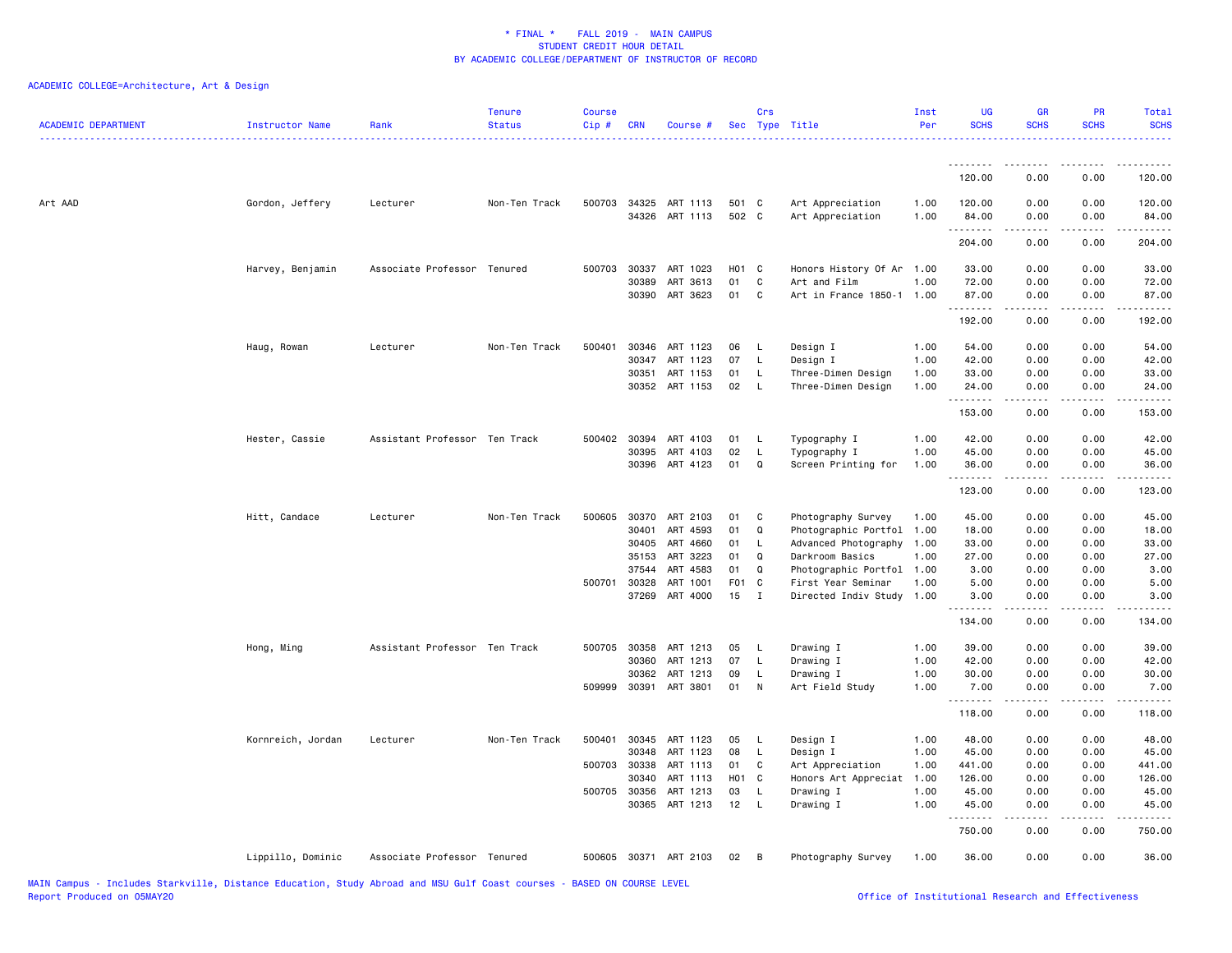| <b>ACADEMIC DEPARTMENT</b> | Instructor Name   | Rank                          | <b>Tenure</b><br><b>Status</b> | <b>Course</b><br>Cip# | <b>CRN</b>   | Course #                   |                | Crs            | Sec Type Title                       | Inst<br>Per  | <b>UG</b><br><b>SCHS</b> | <b>GR</b><br><b>SCHS</b> | PR<br><b>SCHS</b> | Total<br><b>SCHS</b> |
|----------------------------|-------------------|-------------------------------|--------------------------------|-----------------------|--------------|----------------------------|----------------|----------------|--------------------------------------|--------------|--------------------------|--------------------------|-------------------|----------------------|
|                            |                   |                               |                                |                       |              |                            |                |                |                                      |              | <u>.</u>                 | <u>.</u>                 |                   |                      |
|                            |                   |                               |                                |                       |              |                            |                |                |                                      |              | 120.00                   | 0.00                     | 0.00              | 120.00               |
| Art AAD                    | Gordon, Jeffery   | Lecturer                      | Non-Ten Track                  |                       | 500703 34325 | ART 1113<br>34326 ART 1113 | 501 C<br>502 C |                | Art Appreciation<br>Art Appreciation | 1.00<br>1.00 | 120.00<br>84.00<br>.     | 0.00<br>0.00             | 0.00<br>0.00<br>. | 120.00<br>84.00      |
|                            |                   |                               |                                |                       |              |                            |                |                |                                      |              | 204.00                   | 0.00                     | 0.00              | 204.00               |
|                            | Harvey, Benjamin  | Associate Professor Tenured   |                                | 500703                | 30337        | ART 1023                   | H01 C          |                | Honors History Of Ar 1.00            |              | 33.00                    | 0.00                     | 0.00              | 33.00                |
|                            |                   |                               |                                |                       | 30389        | ART 3613                   | 01             | C              | Art and Film                         | 1.00         | 72.00                    | 0.00                     | 0.00              | 72.00                |
|                            |                   |                               |                                |                       | 30390        | ART 3623                   | 01             | C              | Art in France 1850-1                 | 1.00         | 87.00<br>.               | 0.00<br>د د د د د        | 0.00              | 87.00                |
|                            |                   |                               |                                |                       |              |                            |                |                |                                      |              | 192.00                   | 0.00                     | 0.00              | 192.00               |
|                            | Haug, Rowan       | Lecturer                      | Non-Ten Track                  | 500401                | 30346        | ART 1123                   | 06             | L,             | Design I                             | 1.00         | 54.00                    | 0.00                     | 0.00              | 54.00                |
|                            |                   |                               |                                |                       | 30347        | ART 1123                   | 07             | $\mathsf{L}$   | Design I                             | 1.00         | 42.00                    | 0.00                     | 0.00              | 42.00                |
|                            |                   |                               |                                |                       | 30351        | ART 1153                   | 01             | L              | Three-Dimen Design                   | 1.00         | 33.00                    | 0.00                     | 0.00              | 33.00                |
|                            |                   |                               |                                |                       |              | 30352 ART 1153             | 02             | $\mathsf{L}$   | Three-Dimen Design                   | 1.00         | 24.00<br>.               | 0.00                     | 0.00              | 24.00<br>.           |
|                            |                   |                               |                                |                       |              |                            |                |                |                                      |              | 153.00                   | 0.00                     | 0.00              | 153.00               |
|                            | Hester, Cassie    | Assistant Professor Ten Track |                                |                       | 500402 30394 | ART 4103                   | 01             | - L            | Typography I                         | 1.00         | 42.00                    | 0.00                     | 0.00              | 42.00                |
|                            |                   |                               |                                |                       | 30395        | ART 4103                   | 02             | L              | Typography I                         | 1.00         | 45.00                    | 0.00                     | 0.00              | 45.00                |
|                            |                   |                               |                                |                       | 30396        | ART 4123                   | 01             | Q              | Screen Printing for                  | 1.00         | 36.00<br>.               | 0.00<br>-----            | 0.00<br>.         | 36.00<br>.           |
|                            |                   |                               |                                |                       |              |                            |                |                |                                      |              | 123.00                   | 0.00                     | 0.00              | 123.00               |
|                            | Hitt, Candace     | Lecturer                      | Non-Ten Track                  | 500605                | 30370        | ART 2103                   | 01             | C              | Photography Survey                   | 1.00         | 45.00                    | 0.00                     | 0.00              | 45.00                |
|                            |                   |                               |                                |                       | 30401        | ART 4593                   | 01             | Q              | Photographic Portfol 1.00            |              | 18.00                    | 0.00                     | 0.00              | 18.00                |
|                            |                   |                               |                                |                       | 30405        | ART 4660                   | 01             | L.             | Advanced Photography 1.00            |              | 33.00                    | 0.00                     | 0.00              | 33.00                |
|                            |                   |                               |                                |                       | 35153        | ART 3223                   | 01             | Q              | Darkroom Basics                      | 1.00         | 27.00                    | 0.00                     | 0.00              | 27.00                |
|                            |                   |                               |                                |                       | 37544        | ART 4583                   | 01             | Q              | Photographic Portfol 1.00            |              | 3.00                     | 0.00                     | 0.00              | 3.00                 |
|                            |                   |                               |                                | 500701 30328          |              | ART 1001                   | F01 C          |                | First Year Seminar                   | 1.00         | 5.00                     | 0.00                     | 0.00              | 5.00                 |
|                            |                   |                               |                                |                       | 37269        | ART 4000                   | 15             | $\blacksquare$ | Directed Indiv Study                 | 1.00         | 3.00<br>.                | 0.00                     | 0.00              | 3.00                 |
|                            |                   |                               |                                |                       |              |                            |                |                |                                      |              | 134.00                   | 0.00                     | 0.00              | 134.00               |
|                            | Hong, Ming        | Assistant Professor Ten Track |                                |                       | 500705 30358 | ART 1213                   | 05             | <b>L</b>       | Drawing I                            | 1.00         | 39.00                    | 0.00                     | 0.00              | 39.00                |
|                            |                   |                               |                                |                       | 30360        | ART 1213                   | 07             | L              | Drawing I                            | 1.00         | 42.00                    | 0.00                     | 0.00              | 42.00                |
|                            |                   |                               |                                |                       | 30362        | ART 1213                   | 09             | L              | Drawing I                            | 1.00         | 30.00                    | 0.00                     | 0.00              | 30.00                |
|                            |                   |                               |                                |                       |              | 509999 30391 ART 3801      | 01             | $\mathsf{N}$   | Art Field Study                      | 1.00         | 7.00<br><u>.</u>         | 0.00<br>$- - - - -$      | 0.00<br>.         | 7.00<br><u>.</u>     |
|                            |                   |                               |                                |                       |              |                            |                |                |                                      |              | 118.00                   | 0.00                     | 0.00              | 118.00               |
|                            | Kornreich, Jordan | Lecturer                      | Non-Ten Track                  | 500401                | 30345        | ART 1123                   | 05             | - L            | Design I                             | 1.00         | 48.00                    | 0.00                     | 0.00              | 48.00                |
|                            |                   |                               |                                |                       | 30348        | ART 1123                   | 08             | L.             | Design I                             | 1.00         | 45.00                    | 0.00                     | 0.00              | 45.00                |
|                            |                   |                               |                                | 500703                | 30338        | ART 1113                   | 01             | C              | Art Appreciation                     | 1.00         | 441.00                   | 0.00                     | 0.00              | 441.00               |
|                            |                   |                               |                                |                       | 30340        | ART 1113                   | H01 C          |                | Honors Art Appreciat                 | 1.00         | 126.00                   | 0.00                     | 0.00              | 126.00               |
|                            |                   |                               |                                |                       | 500705 30356 | ART 1213                   | 03             | <b>L</b>       | Drawing I                            | 1.00         | 45.00                    | 0.00                     | 0.00              | 45.00                |
|                            |                   |                               |                                |                       | 30365        | ART 1213                   | 12             | L.             | Drawing I                            | 1.00         | 45.00<br>.               | 0.00<br>22222            | 0.00<br>.         | 45.00<br>.           |
|                            |                   |                               |                                |                       |              |                            |                |                |                                      |              | 750.00                   | 0.00                     | 0.00              | 750.00               |
|                            | Lippillo, Dominic | Associate Professor Tenured   |                                | 500605                |              | 30371 ART 2103             | 02             | B              | Photography Survey                   | 1.00         | 36.00                    | 0.00                     | 0.00              | 36.00                |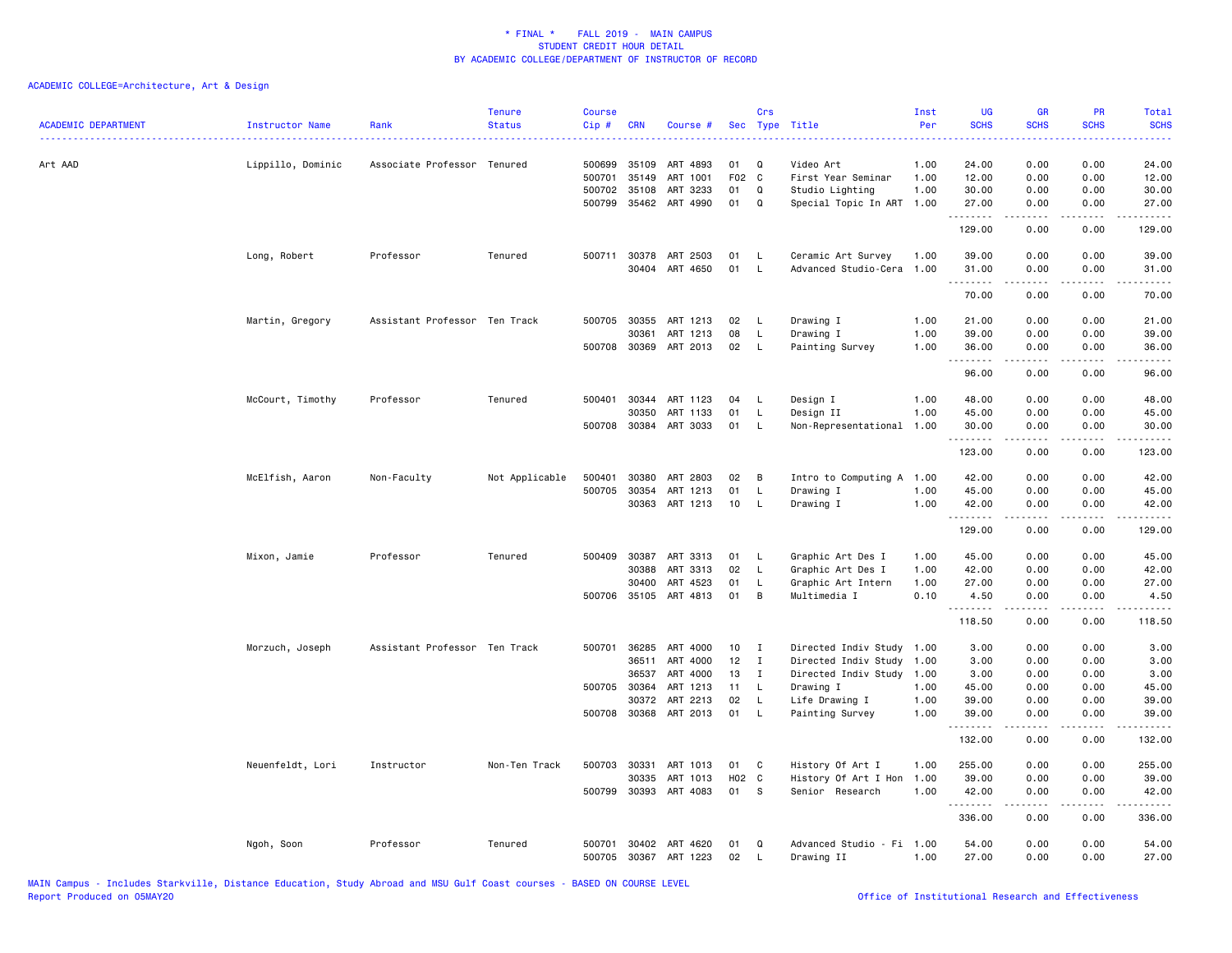| <b>ACADEMIC DEPARTMENT</b> | Instructor Name   | Rank                          | <b>Tenure</b><br><b>Status</b> | <b>Course</b><br>Cip# | <b>CRN</b>   | Course #              |       | Crs          | Sec Type Title            | Inst<br>Per | UG<br><b>SCHS</b> | <b>GR</b><br><b>SCHS</b> | <b>PR</b><br><b>SCHS</b>       | Total<br><b>SCHS</b>                                                                                                                                         |
|----------------------------|-------------------|-------------------------------|--------------------------------|-----------------------|--------------|-----------------------|-------|--------------|---------------------------|-------------|-------------------|--------------------------|--------------------------------|--------------------------------------------------------------------------------------------------------------------------------------------------------------|
| Art AAD                    | Lippillo, Dominic | Associate Professor Tenured   |                                | 500699                | 35109        | ART 4893              | 01    | Q            | Video Art                 | 1.00        | 24.00             | 0.00                     | 0.00                           | 24.00                                                                                                                                                        |
|                            |                   |                               |                                | 500701                | 35149        | ART 1001              | F02 C |              | First Year Seminar        | 1.00        | 12.00             | 0.00                     | 0.00                           | 12.00                                                                                                                                                        |
|                            |                   |                               |                                |                       | 500702 35108 | ART 3233              | 01    | Q            | Studio Lighting           | 1.00        | 30.00             | 0.00                     | 0.00                           | 30.00                                                                                                                                                        |
|                            |                   |                               |                                |                       |              | 500799 35462 ART 4990 | 01    | Q            | Special Topic In ART      | 1.00        | 27.00<br>.        | 0.00                     | 0.00                           | 27.00                                                                                                                                                        |
|                            |                   |                               |                                |                       |              |                       |       |              |                           |             | 129.00            | 0.00                     | 0.00                           | 129.00                                                                                                                                                       |
|                            | Long, Robert      | Professor                     | Tenured                        |                       | 500711 30378 | ART 2503              | 01    | - L          | Ceramic Art Survey        | 1.00        | 39.00             | 0.00                     | 0.00                           | 39.00                                                                                                                                                        |
|                            |                   |                               |                                |                       |              | 30404 ART 4650        | 01    | $\mathsf{L}$ | Advanced Studio-Cera      | 1.00        | 31.00<br>.        | 0.00<br>$\frac{1}{2}$    | 0.00<br>$- - - -$              | 31.00                                                                                                                                                        |
|                            |                   |                               |                                |                       |              |                       |       |              |                           |             | 70.00             | 0.00                     | 0.00                           | 70.00                                                                                                                                                        |
|                            | Martin, Gregory   | Assistant Professor Ten Track |                                |                       | 500705 30355 | ART 1213              | 02    | - L          | Drawing I                 | 1.00        | 21.00             | 0.00                     | 0.00                           | 21.00                                                                                                                                                        |
|                            |                   |                               |                                |                       | 30361        | ART 1213              | 08    | $\mathsf{L}$ | Drawing I                 | 1.00        | 39.00             | 0.00                     | 0.00                           | 39.00                                                                                                                                                        |
|                            |                   |                               |                                |                       | 500708 30369 | ART 2013              | 02    | $\mathsf{L}$ | Painting Survey           | 1.00        | 36.00<br>.        | 0.00                     | 0.00                           | 36.00                                                                                                                                                        |
|                            |                   |                               |                                |                       |              |                       |       |              |                           |             | 96.00             | 0.00                     | 0.00                           | 96.00                                                                                                                                                        |
|                            | McCourt, Timothy  | Professor                     | Tenured                        | 500401                | 30344        | ART 1123              | 04    | - L          | Design I                  | 1.00        | 48.00             | 0.00                     | 0.00                           | 48.00                                                                                                                                                        |
|                            |                   |                               |                                |                       | 30350        | ART 1133              | 01    | L            | Design II                 | 1.00        | 45.00             | 0.00                     | 0.00                           | 45.00                                                                                                                                                        |
|                            |                   |                               |                                |                       | 500708 30384 | ART 3033              | 01    | L            | Non-Representational      | 1.00        | 30.00<br>.        | 0.00<br>.                | 0.00<br>.                      | 30.00<br>.                                                                                                                                                   |
|                            |                   |                               |                                |                       |              |                       |       |              |                           |             | 123.00            | 0.00                     | 0.00                           | 123.00                                                                                                                                                       |
|                            | McElfish, Aaron   | Non-Faculty                   | Not Applicable                 | 500401                | 30380        | ART 2803              | 02    | B            | Intro to Computing A 1.00 |             | 42.00             | 0.00                     | 0.00                           | 42.00                                                                                                                                                        |
|                            |                   |                               |                                | 500705                | 30354        | ART 1213              | 01    | L            | Drawing I                 | 1.00        | 45.00             | 0.00                     | 0.00                           | 45.00                                                                                                                                                        |
|                            |                   |                               |                                |                       | 30363        | ART 1213              | 10    | - L          | Drawing I                 | 1.00        | 42.00<br><u>.</u> | 0.00<br>.                | 0.00<br>.                      | 42.00<br>.                                                                                                                                                   |
|                            |                   |                               |                                |                       |              |                       |       |              |                           |             | 129.00            | 0.00                     | 0.00                           | 129.00                                                                                                                                                       |
|                            | Mixon, Jamie      | Professor                     | Tenured                        | 500409                | 30387        | ART 3313              | 01    | - L          | Graphic Art Des I         | 1.00        | 45.00             | 0.00                     | 0.00                           | 45.00                                                                                                                                                        |
|                            |                   |                               |                                |                       | 30388        | ART 3313              | 02    | - L          | Graphic Art Des I         | 1.00        | 42.00             | 0.00                     | 0.00                           | 42.00                                                                                                                                                        |
|                            |                   |                               |                                |                       | 30400        | ART 4523              | 01    | L.           | Graphic Art Intern        | 1.00        | 27.00             | 0.00                     | 0.00                           | 27.00                                                                                                                                                        |
|                            |                   |                               |                                |                       |              | 500706 35105 ART 4813 | 01    | B            | Multimedia I              | 0.10        | 4.50<br>.         | 0.00<br>.                | 0.00<br>.                      | 4.50<br>$\frac{1}{2} \left( \frac{1}{2} \right) \left( \frac{1}{2} \right) \left( \frac{1}{2} \right) \left( \frac{1}{2} \right) \left( \frac{1}{2} \right)$ |
|                            |                   |                               |                                |                       |              |                       |       |              |                           |             | 118.50            | 0.00                     | 0.00                           | 118.50                                                                                                                                                       |
|                            | Morzuch, Joseph   | Assistant Professor Ten Track |                                | 500701                | 36285        | ART 4000              | 10    | $\mathbf{I}$ | Directed Indiv Study 1.00 |             | 3.00              | 0.00                     | 0.00                           | 3.00                                                                                                                                                         |
|                            |                   |                               |                                |                       | 36511        | ART 4000              | 12    | $\mathbf{I}$ | Directed Indiv Study      | 1.00        | 3.00              | 0.00                     | 0.00                           | 3.00                                                                                                                                                         |
|                            |                   |                               |                                |                       | 36537        | ART 4000              | 13    | $\bf{I}$     | Directed Indiv Study      | 1.00        | 3.00              | 0.00                     | 0.00                           | 3.00                                                                                                                                                         |
|                            |                   |                               |                                |                       | 500705 30364 | ART 1213              | 11    | L            | Drawing I                 | 1.00        | 45.00             | 0.00                     | 0.00                           | 45.00                                                                                                                                                        |
|                            |                   |                               |                                |                       | 30372        | ART 2213              | 02    | L            | Life Drawing I            | 1.00        | 39.00             | 0.00                     | 0.00                           | 39.00                                                                                                                                                        |
|                            |                   |                               |                                | 500708                | 30368        | ART 2013              | 01    | L            | Painting Survey           | 1.00        | 39.00<br>.        | 0.00<br>.                | 0.00<br>.                      | 39.00<br>.                                                                                                                                                   |
|                            |                   |                               |                                |                       |              |                       |       |              |                           |             | 132.00            | 0.00                     | 0.00                           | 132.00                                                                                                                                                       |
|                            | Neuenfeldt, Lori  | Instructor                    | Non-Ten Track                  | 500703                | 30331        | ART 1013              | 01    | C            | History Of Art I          | 1.00        | 255.00            | 0.00                     | 0.00                           | 255.00                                                                                                                                                       |
|                            |                   |                               |                                |                       | 30335        | ART 1013              | H02 C |              | History Of Art I Hon      | 1.00        | 39.00             | 0.00                     | 0.00                           | 39.00                                                                                                                                                        |
|                            |                   |                               |                                |                       |              | 500799 30393 ART 4083 | 01 S  |              | Senior Research           | 1.00        | 42.00<br>.        | 0.00<br>.                | 0.00<br>$\omega$ is a $\omega$ | 42.00                                                                                                                                                        |
|                            |                   |                               |                                |                       |              |                       |       |              |                           |             | 336.00            | 0.00                     | 0.00                           | 336.00                                                                                                                                                       |
|                            | Ngoh, Soon        | Professor                     | Tenured                        | 500701                | 30402        | ART 4620              | 01    | Q            | Advanced Studio - Fi 1.00 |             | 54.00             | 0.00                     | 0.00                           | 54.00                                                                                                                                                        |
|                            |                   |                               |                                | 500705                | 30367        | ART 1223              | 02    | L            | Drawing II                | 1.00        | 27.00             | 0.00                     | 0.00                           | 27.00                                                                                                                                                        |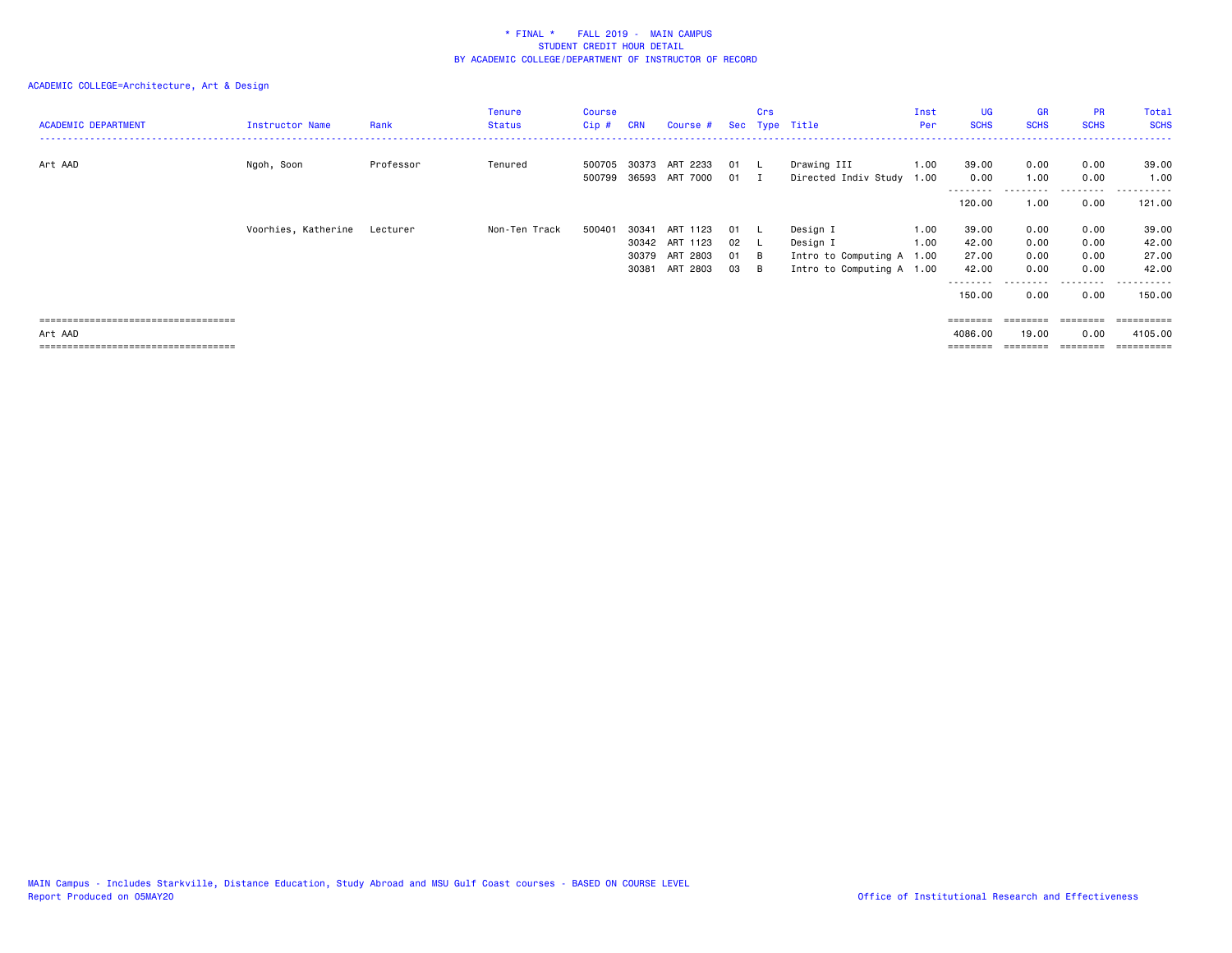| <b>ACADEMIC DEPARTMENT</b>            | Instructor Name     | Rank      | <b>Tenure</b><br><b>Status</b> | Course<br>Cip#   | <b>CRN</b> | Course #                   |                    | Crs          | Sec Type Title                      | Inst<br>Per  | UG<br><b>SCHS</b>         | <b>GR</b><br><b>SCHS</b> | <b>PR</b><br><b>SCHS</b> | Total<br><b>SCHS</b> |
|---------------------------------------|---------------------|-----------|--------------------------------|------------------|------------|----------------------------|--------------------|--------------|-------------------------------------|--------------|---------------------------|--------------------------|--------------------------|----------------------|
| Art AAD                               | Ngoh, Soon          | Professor | Tenured                        | 500705<br>500799 | 30373      | ART 2233<br>36593 ART 7000 | 01<br>$01 \quad I$ | . L          | Drawing III<br>Directed Indiv Study | 1.00<br>1.00 | 39.00<br>0.00<br>-------- | 0.00<br>1.00             | 0.00<br>0.00             | 39.00<br>1.00<br>.   |
|                                       |                     |           |                                |                  |            |                            |                    |              |                                     |              | 120.00                    | 1.00                     | 0.00                     | 121.00               |
|                                       | Voorhies, Katherine | Lecturer  | Non-Ten Track                  | 500401           | 30341      | ART 1123                   | 01                 | $\mathbf{L}$ | Design I                            | 1.00         | 39.00                     | 0.00                     | 0.00                     | 39.00                |
|                                       |                     |           |                                |                  |            | 30342 ART 1123             | 02 L               |              | Design I                            | 1.00         | 42.00                     | 0.00                     | 0.00                     | 42.00                |
|                                       |                     |           |                                |                  | 30379      | ART 2803                   | 01                 | — В          | Intro to Computing A 1.00           |              | 27.00                     | 0.00                     | 0.00                     | 27.00                |
|                                       |                     |           |                                |                  | 30381      | ART 2803                   | 03                 | - B          | Intro to Computing A 1.00           |              | 42.00<br>--------         | 0.00                     | 0.00<br>.                | 42.00<br>.           |
|                                       |                     |           |                                |                  |            |                            |                    |              |                                     |              | 150.00                    | 0.00                     | 0.00                     | 150.00               |
| ===================================== |                     |           |                                |                  |            |                            |                    |              |                                     |              | ========                  |                          |                          | ==========           |
| Art AAD                               |                     |           |                                |                  |            |                            |                    |              |                                     |              | 4086.00                   | 19.00                    | 0.00                     | 4105.00              |
| ===================================== |                     |           |                                |                  |            |                            |                    |              |                                     |              |                           |                          |                          | :======              |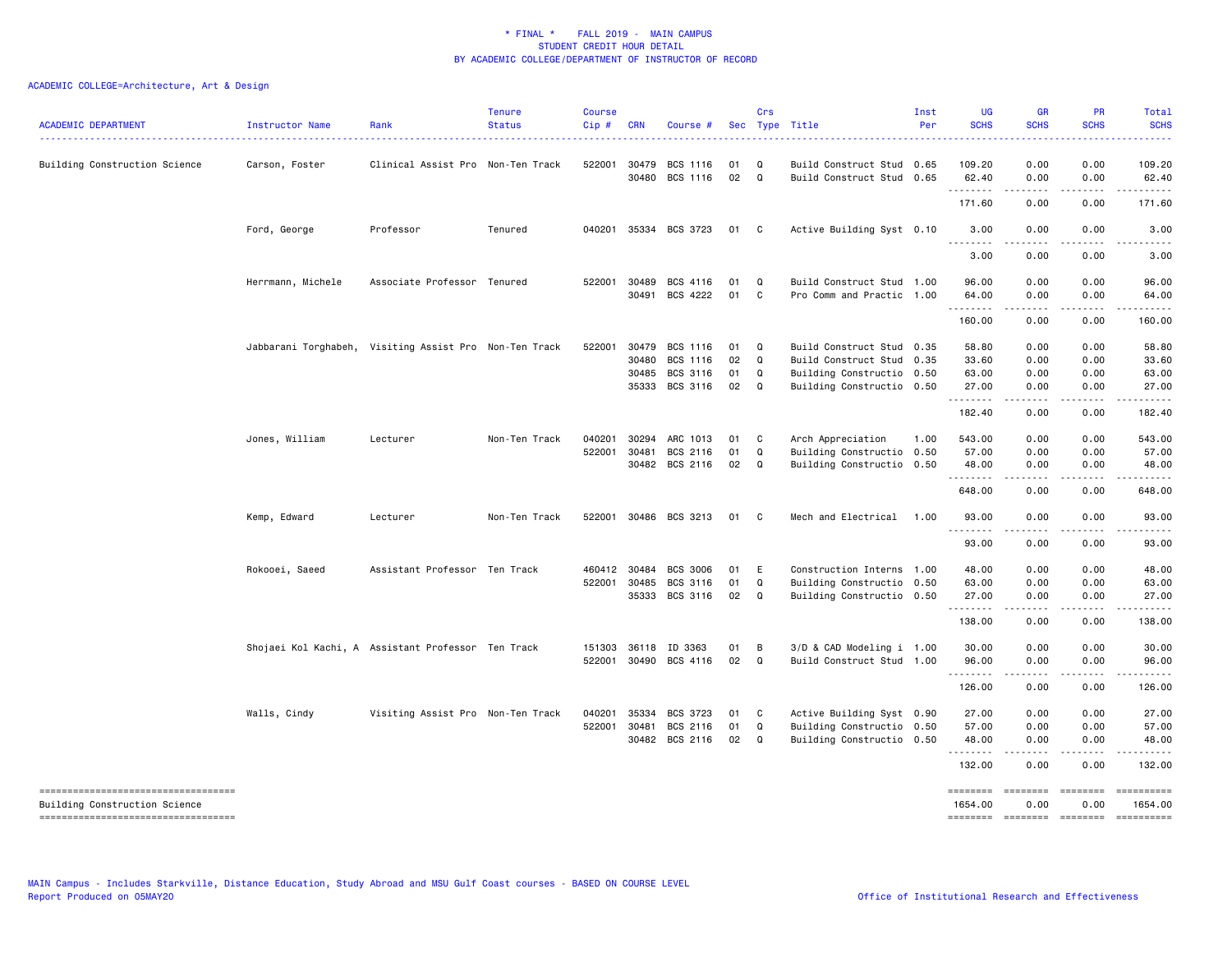| <b>ACADEMIC DEPARTMENT</b>                                                                                   | Instructor Name   | Rank                                                   | <b>Tenure</b><br><b>Status</b> | <b>Course</b><br>$Cip$ # | <b>CRN</b>            | Course #                                           |                      | Crs                    | Sec Type Title                                                                                                   | Inst<br>Per | <b>UG</b><br><b>SCHS</b>         | <b>GR</b><br><b>SCHS</b>     | <b>PR</b><br><b>SCHS</b>                                                                                                                          | Total<br><b>SCHS</b><br><u>.</u>        |
|--------------------------------------------------------------------------------------------------------------|-------------------|--------------------------------------------------------|--------------------------------|--------------------------|-----------------------|----------------------------------------------------|----------------------|------------------------|------------------------------------------------------------------------------------------------------------------|-------------|----------------------------------|------------------------------|---------------------------------------------------------------------------------------------------------------------------------------------------|-----------------------------------------|
| Building Construction Science                                                                                | Carson, Foster    | Clinical Assist Pro Non-Ten Track                      |                                | 522001                   | 30479<br>30480        | BCS 1116<br>BCS 1116                               | 01<br>02             | Q<br>Q                 | Build Construct Stud 0.65<br>Build Construct Stud 0.65                                                           |             | 109.20<br>62.40                  | 0.00<br>0.00                 | 0.00<br>0.00                                                                                                                                      | 109.20<br>62.40                         |
|                                                                                                              |                   |                                                        |                                |                          |                       |                                                    |                      |                        |                                                                                                                  |             | <u>.</u><br>171.60               | 0.00                         | 0.00                                                                                                                                              | 171.60                                  |
|                                                                                                              | Ford, George      | Professor                                              | Tenured                        |                          |                       | 040201 35334 BCS 3723                              | 01                   | $\mathbf{C}$           | Active Building Syst 0.10                                                                                        |             | 3.00<br>.                        | 0.00                         | 0.00                                                                                                                                              | 3.00                                    |
|                                                                                                              |                   |                                                        |                                |                          |                       |                                                    |                      |                        |                                                                                                                  |             | 3.00                             | 0.00                         | 0.00                                                                                                                                              | 3.00                                    |
|                                                                                                              | Herrmann, Michele | Associate Professor Tenured                            |                                | 522001                   | 30489<br>30491        | BCS 4116<br>BCS 4222                               | 01<br>01             | Q<br>C.                | Build Construct Stud 1.00<br>Pro Comm and Practic 1.00                                                           |             | 96.00<br>64.00                   | 0.00<br>0.00                 | 0.00<br>0.00                                                                                                                                      | 96.00<br>64.00                          |
|                                                                                                              |                   |                                                        |                                |                          |                       |                                                    |                      |                        |                                                                                                                  |             | .<br>160.00                      | 0.00                         | 0.00                                                                                                                                              | 160.00                                  |
|                                                                                                              |                   | Jabbarani Torghabeh, Visiting Assist Pro Non-Ten Track |                                | 522001 30479             | 30480<br>30485        | BCS 1116<br>BCS 1116<br>BCS 3116<br>35333 BCS 3116 | 01<br>02<br>01<br>02 | Q<br>Q<br>Q<br>Q       | Build Construct Stud 0.35<br>Build Construct Stud 0.35<br>Building Constructio 0.50<br>Building Constructio 0.50 |             | 58.80<br>33.60<br>63.00<br>27.00 | 0.00<br>0.00<br>0.00<br>0.00 | 0.00<br>0.00<br>0.00<br>0.00                                                                                                                      | 58.80<br>33.60<br>63.00<br>27.00        |
|                                                                                                              |                   |                                                        |                                |                          |                       |                                                    |                      |                        |                                                                                                                  |             | .<br>182.40                      | .<br>0.00                    | د د د د<br>0.00                                                                                                                                   | .<br>182.40                             |
|                                                                                                              | Jones, William    | Lecturer                                               | Non-Ten Track                  | 040201<br>522001         | 30294<br>30481        | ARC 1013<br>BCS 2116                               | 01<br>01             | C<br>Q                 | Arch Appreciation<br>Building Constructio 0.50                                                                   | 1.00        | 543.00<br>57.00                  | 0.00<br>0.00                 | 0.00<br>0.00                                                                                                                                      | 543.00<br>57.00                         |
|                                                                                                              |                   |                                                        |                                |                          |                       | 30482 BCS 2116                                     | 02                   | Q                      | Building Constructio 0.50                                                                                        |             | 48.00<br>.<br>648.00             | 0.00<br>.<br>0.00            | 0.00<br>.<br>0.00                                                                                                                                 | 48.00<br>. <b>.</b><br>648.00           |
|                                                                                                              | Kemp, Edward      | Lecturer                                               | Non-Ten Track                  | 522001                   |                       | 30486 BCS 3213                                     | 01                   | C.                     | Mech and Electrical                                                                                              | 1.00        | 93.00                            | 0.00                         | 0.00                                                                                                                                              | 93.00                                   |
|                                                                                                              |                   |                                                        |                                |                          |                       |                                                    |                      |                        |                                                                                                                  |             | .<br>93.00                       | $- - - - -$<br>0.00          | .<br>0.00                                                                                                                                         | .<br>93.00                              |
|                                                                                                              | Rokooei, Saeed    | Assistant Professor Ten Track                          |                                | 460412 30484<br>522001   | 30485<br>35333        | <b>BCS 3006</b><br>BCS 3116<br>BCS 3116            | 01<br>01<br>02       | E<br>Q<br>Q            | Construction Interns 1.00<br>Building Constructio 0.50<br>Building Constructio 0.50                              |             | 48.00<br>63.00<br>27.00<br>.     | 0.00<br>0.00<br>0.00<br>.    | 0.00<br>0.00<br>0.00<br>$\frac{1}{2} \left( \frac{1}{2} \right) \left( \frac{1}{2} \right) \left( \frac{1}{2} \right) \left( \frac{1}{2} \right)$ | 48.00<br>63.00<br>27.00<br>. <u>.</u> . |
|                                                                                                              |                   |                                                        |                                |                          |                       |                                                    |                      |                        |                                                                                                                  |             | 138.00                           | 0.00                         | 0.00                                                                                                                                              | 138.00                                  |
|                                                                                                              |                   | Shojaei Kol Kachi, A Assistant Professor Ten Track     |                                | 151303                   | 36118<br>522001 30490 | ID 3363<br>BCS 4116                                | 01<br>02             | B<br>Q                 | 3/D & CAD Modeling i 1.00<br>Build Construct Stud 1.00                                                           |             | 30.00<br>96.00<br>.              | 0.00<br>0.00                 | 0.00<br>0.00                                                                                                                                      | 30.00<br>96.00                          |
|                                                                                                              |                   |                                                        |                                |                          |                       |                                                    |                      |                        |                                                                                                                  |             | 126.00                           | 0.00                         | 0.00                                                                                                                                              | 126.00                                  |
|                                                                                                              | Walls, Cindy      | Visiting Assist Pro Non-Ten Track                      |                                | 040201<br>522001         | 35334<br>30481        | BCS 3723<br>BCS 2116<br>30482 BCS 2116             | 01<br>01<br>02       | $\mathbf{C}$<br>Q<br>Q | Active Building Syst 0.90<br>Building Constructio 0.50<br>Building Constructio 0.50                              |             | 27.00<br>57.00<br>48.00          | 0.00<br>0.00<br>0.00         | 0.00<br>0.00<br>0.00                                                                                                                              | 27.00<br>57.00<br>48.00                 |
|                                                                                                              |                   |                                                        |                                |                          |                       |                                                    |                      |                        |                                                                                                                  |             | <u>.</u><br>132.00               | .<br>0.00                    | .<br>0.00                                                                                                                                         | .<br>132.00                             |
| ------------------------------------<br>Building Construction Science<br>----------------------------------- |                   |                                                        |                                |                          |                       |                                                    |                      |                        |                                                                                                                  |             | ========<br>1654.00              | ========<br>0.00             | ========<br>0.00                                                                                                                                  | ==========<br>1654.00<br>==========     |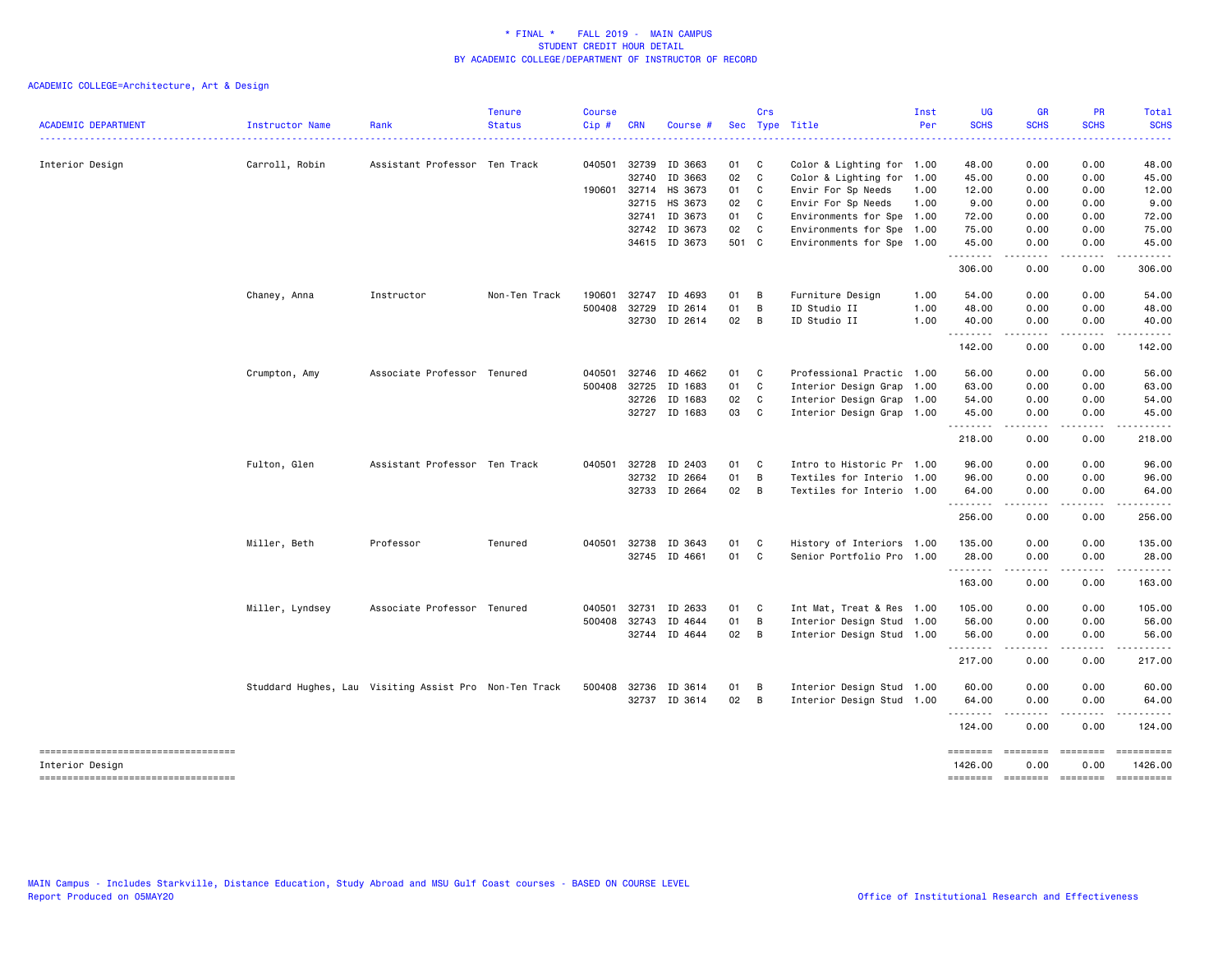|                                                          |                 |                                                        | <b>Tenure</b> | <b>Course</b> |              |               |       | Crs            |                           | Inst | UG                  | <b>GR</b>     | <b>PR</b>             | Total                                                                                                                                                                                                                                                                                                                                                                                                                                                                                  |
|----------------------------------------------------------|-----------------|--------------------------------------------------------|---------------|---------------|--------------|---------------|-------|----------------|---------------------------|------|---------------------|---------------|-----------------------|----------------------------------------------------------------------------------------------------------------------------------------------------------------------------------------------------------------------------------------------------------------------------------------------------------------------------------------------------------------------------------------------------------------------------------------------------------------------------------------|
| <b>ACADEMIC DEPARTMENT</b>                               | Instructor Name | Rank                                                   | <b>Status</b> | Cip#          | <b>CRN</b>   | Course #      |       |                | Sec Type Title            | Per  | <b>SCHS</b>         | <b>SCHS</b>   | <b>SCHS</b>           | <b>SCHS</b>                                                                                                                                                                                                                                                                                                                                                                                                                                                                            |
| Interior Design                                          | Carroll, Robin  | Assistant Professor Ten Track                          |               | 040501        | 32739        | ID 3663       | 01    | $\mathbf{C}$   | Color & Lighting for 1.00 |      | 48.00               | 0.00          | 0.00                  | 48.00                                                                                                                                                                                                                                                                                                                                                                                                                                                                                  |
|                                                          |                 |                                                        |               |               | 32740        | ID 3663       | 02    | C              | Color & Lighting for 1.00 |      | 45.00               | 0.00          | 0.00                  | 45.00                                                                                                                                                                                                                                                                                                                                                                                                                                                                                  |
|                                                          |                 |                                                        |               | 190601        | 32714        | HS 3673       | 01    | $\mathbf{C}$   | Envir For Sp Needs        | 1.00 | 12.00               | 0.00          | 0.00                  | 12.00                                                                                                                                                                                                                                                                                                                                                                                                                                                                                  |
|                                                          |                 |                                                        |               |               |              | 32715 HS 3673 | 02    | $\mathbf{C}$   | Envir For Sp Needs        | 1.00 | 9.00                | 0.00          | 0.00                  | 9.00                                                                                                                                                                                                                                                                                                                                                                                                                                                                                   |
|                                                          |                 |                                                        |               |               | 32741        | ID 3673       | 01    | C              | Environments for Spe 1.00 |      | 72.00               | 0.00          | 0.00                  | 72.00                                                                                                                                                                                                                                                                                                                                                                                                                                                                                  |
|                                                          |                 |                                                        |               |               | 32742        | ID 3673       | 02    | C              | Environments for Spe 1.00 |      | 75.00               | 0.00          | 0.00                  | 75.00                                                                                                                                                                                                                                                                                                                                                                                                                                                                                  |
|                                                          |                 |                                                        |               |               |              | 34615 ID 3673 | 501 C |                | Environments for Spe 1.00 |      | 45.00<br>.          | 0.00<br>.     | 0.00<br>.             | 45.00<br>.                                                                                                                                                                                                                                                                                                                                                                                                                                                                             |
|                                                          |                 |                                                        |               |               |              |               |       |                |                           |      | 306.00              | 0.00          | 0.00                  | 306.00                                                                                                                                                                                                                                                                                                                                                                                                                                                                                 |
|                                                          | Chaney, Anna    | Instructor                                             | Non-Ten Track | 190601        | 32747        | ID 4693       | 01    | B              | Furniture Design          | 1.00 | 54.00               | 0.00          | 0.00                  | 54.00                                                                                                                                                                                                                                                                                                                                                                                                                                                                                  |
|                                                          |                 |                                                        |               | 500408        | 32729        | ID 2614       | 01    | B              | ID Studio II              | 1.00 | 48.00               | 0.00          | 0.00                  | 48.00                                                                                                                                                                                                                                                                                                                                                                                                                                                                                  |
|                                                          |                 |                                                        |               |               |              | 32730 ID 2614 | 02    | B              | ID Studio II              | 1.00 | 40.00<br>.          | 0.00<br>.     | 0.00<br>$\frac{1}{2}$ | 40.00<br>.                                                                                                                                                                                                                                                                                                                                                                                                                                                                             |
|                                                          |                 |                                                        |               |               |              |               |       |                |                           |      | 142.00              | 0.00          | 0.00                  | 142.00                                                                                                                                                                                                                                                                                                                                                                                                                                                                                 |
|                                                          | Crumpton, Amy   | Associate Professor Tenured                            |               | 040501        | 32746        | ID 4662       | 01    | $\mathbf{C}$   | Professional Practic 1.00 |      | 56.00               | 0.00          | 0.00                  | 56.00                                                                                                                                                                                                                                                                                                                                                                                                                                                                                  |
|                                                          |                 |                                                        |               | 500408        | 32725        | ID 1683       | 01    | C              | Interior Design Grap 1.00 |      | 63.00               | 0.00          | 0.00                  | 63.00                                                                                                                                                                                                                                                                                                                                                                                                                                                                                  |
|                                                          |                 |                                                        |               |               | 32726        | ID 1683       | 02    | C              | Interior Design Grap 1.00 |      | 54.00               | 0.00          | 0.00                  | 54.00                                                                                                                                                                                                                                                                                                                                                                                                                                                                                  |
|                                                          |                 |                                                        |               |               | 32727        | ID 1683       | 03    | $\mathbf{C}$   | Interior Design Grap 1.00 |      | 45.00               | 0.00          | 0.00                  | 45.00                                                                                                                                                                                                                                                                                                                                                                                                                                                                                  |
|                                                          |                 |                                                        |               |               |              |               |       |                |                           |      | .<br>218.00         | .<br>0.00     | .<br>0.00             | .<br>218.00                                                                                                                                                                                                                                                                                                                                                                                                                                                                            |
|                                                          | Fulton, Glen    | Assistant Professor Ten Track                          |               | 040501        | 32728        | ID 2403       | 01    | C              | Intro to Historic Pr 1.00 |      | 96.00               | 0.00          | 0.00                  | 96.00                                                                                                                                                                                                                                                                                                                                                                                                                                                                                  |
|                                                          |                 |                                                        |               |               | 32732        | ID 2664       | 01    | B              | Textiles for Interio 1.00 |      | 96.00               | 0.00          | 0.00                  | 96.00                                                                                                                                                                                                                                                                                                                                                                                                                                                                                  |
|                                                          |                 |                                                        |               |               |              | 32733 ID 2664 | 02 B  |                | Textiles for Interio 1.00 |      | 64.00<br>.          | 0.00<br>----- | 0.00<br>.             | 64.00<br>.                                                                                                                                                                                                                                                                                                                                                                                                                                                                             |
|                                                          |                 |                                                        |               |               |              |               |       |                |                           |      | 256.00              | 0.00          | 0.00                  | 256.00                                                                                                                                                                                                                                                                                                                                                                                                                                                                                 |
|                                                          | Miller, Beth    | Professor                                              | Tenured       | 040501        | 32738        | ID 3643       | 01    | C              | History of Interiors 1.00 |      | 135.00              | 0.00          | 0.00                  | 135.00                                                                                                                                                                                                                                                                                                                                                                                                                                                                                 |
|                                                          |                 |                                                        |               |               |              | 32745 ID 4661 | 01    | C              | Senior Portfolio Pro 1.00 |      | 28.00               | 0.00          | 0.00                  | 28.00                                                                                                                                                                                                                                                                                                                                                                                                                                                                                  |
|                                                          |                 |                                                        |               |               |              |               |       |                |                           |      | .                   |               |                       |                                                                                                                                                                                                                                                                                                                                                                                                                                                                                        |
|                                                          |                 |                                                        |               |               |              |               |       |                |                           |      | 163.00              | 0.00          | 0.00                  | 163.00                                                                                                                                                                                                                                                                                                                                                                                                                                                                                 |
|                                                          | Miller, Lyndsey | Associate Professor Tenured                            |               | 040501        | 32731        | ID 2633       | 01    | $\mathbf{C}$   | Int Mat, Treat & Res 1.00 |      | 105.00              | 0.00          | 0.00                  | 105.00                                                                                                                                                                                                                                                                                                                                                                                                                                                                                 |
|                                                          |                 |                                                        |               | 500408        | 32743        | ID 4644       | 01    | B              | Interior Design Stud 1.00 |      | 56.00               | 0.00          | 0.00                  | 56.00                                                                                                                                                                                                                                                                                                                                                                                                                                                                                  |
|                                                          |                 |                                                        |               |               |              | 32744 ID 4644 | 02    | $\overline{B}$ | Interior Design Stud 1.00 |      | 56.00<br>.          | 0.00          | 0.00                  | 56.00                                                                                                                                                                                                                                                                                                                                                                                                                                                                                  |
|                                                          |                 |                                                        |               |               |              |               |       |                |                           |      | 217.00              | 0.00          | 0.00                  | 217,00                                                                                                                                                                                                                                                                                                                                                                                                                                                                                 |
|                                                          |                 | Studdard Hughes, Lau Visiting Assist Pro Non-Ten Track |               |               | 500408 32736 | ID 3614       | 01    | B              | Interior Design Stud 1.00 |      | 60.00               | 0.00          | 0.00                  | 60.00                                                                                                                                                                                                                                                                                                                                                                                                                                                                                  |
|                                                          |                 |                                                        |               |               |              | 32737 ID 3614 | 02    | $\overline{B}$ | Interior Design Stud 1.00 |      | 64.00<br>.          | 0.00<br>----- | 0.00<br>.             | 64.00<br>------                                                                                                                                                                                                                                                                                                                                                                                                                                                                        |
|                                                          |                 |                                                        |               |               |              |               |       |                |                           |      | 124.00              | 0.00          | 0.00                  | 124.00                                                                                                                                                                                                                                                                                                                                                                                                                                                                                 |
| =====================================<br>Interior Design |                 |                                                        |               |               |              |               |       |                |                           |      | ========<br>1426.00 | 0.00          | ========<br>0.00      | ==========<br>1426.00                                                                                                                                                                                                                                                                                                                                                                                                                                                                  |
| =====================================                    |                 |                                                        |               |               |              |               |       |                |                           |      | ========            | $=$ ========  | ========              | $\begin{array}{cccccccccc} \multicolumn{2}{c}{} & \multicolumn{2}{c}{} & \multicolumn{2}{c}{} & \multicolumn{2}{c}{} & \multicolumn{2}{c}{} & \multicolumn{2}{c}{} & \multicolumn{2}{c}{} & \multicolumn{2}{c}{} & \multicolumn{2}{c}{} & \multicolumn{2}{c}{} & \multicolumn{2}{c}{} & \multicolumn{2}{c}{} & \multicolumn{2}{c}{} & \multicolumn{2}{c}{} & \multicolumn{2}{c}{} & \multicolumn{2}{c}{} & \multicolumn{2}{c}{} & \multicolumn{2}{c}{} & \multicolumn{2}{c}{} & \mult$ |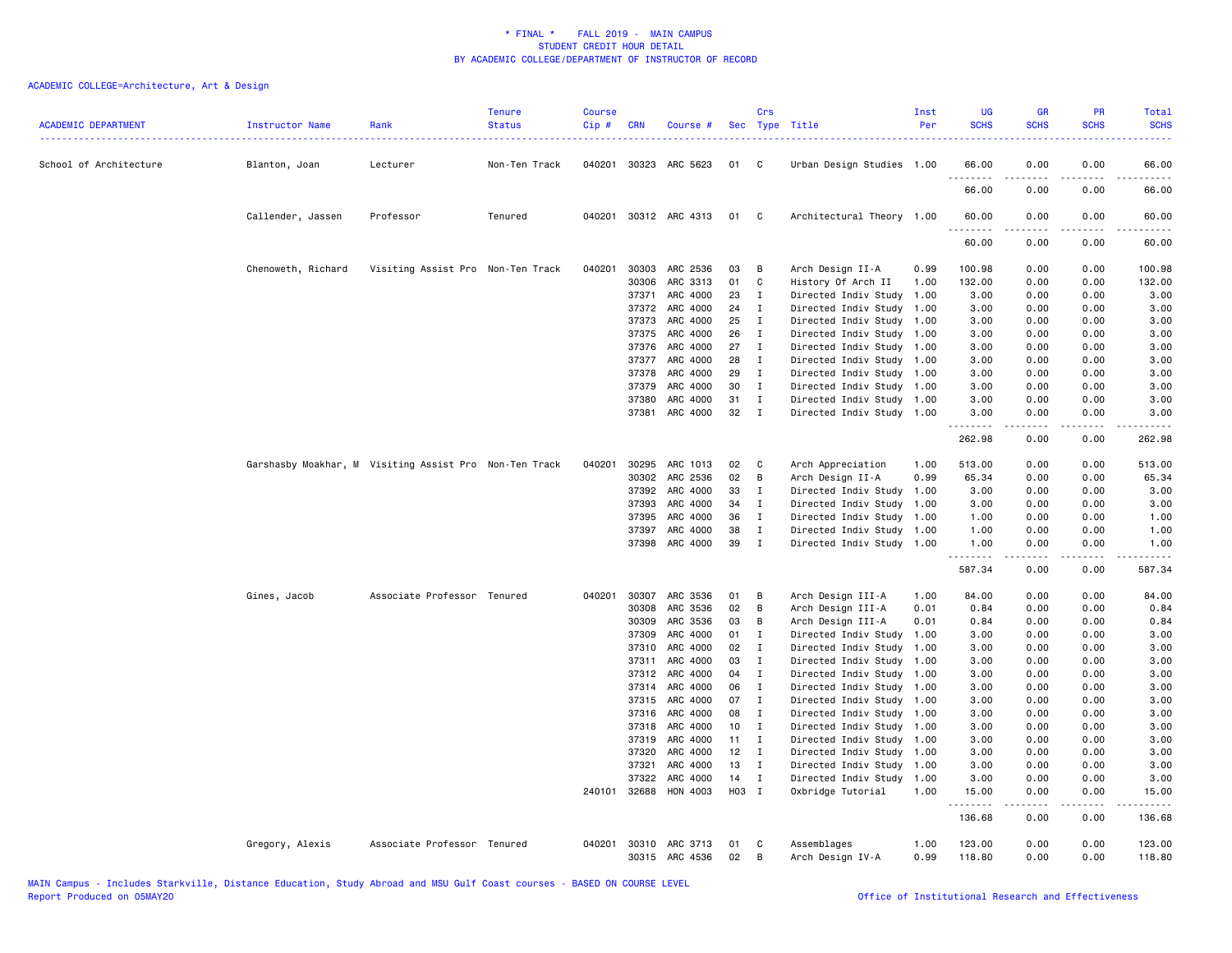| <b>ACADEMIC DEPARTMENT</b> | Instructor Name    | Rank                                                   | <b>Tenure</b><br><b>Status</b> | <b>Course</b><br>Cip# | <b>CRN</b>     | Course #                   |          | Crs               | Sec Type Title                               | Inst<br>Per  | <b>UG</b><br><b>SCHS</b> | <b>GR</b><br><b>SCHS</b> | <b>PR</b><br><b>SCHS</b> | Total<br><b>SCHS</b> |
|----------------------------|--------------------|--------------------------------------------------------|--------------------------------|-----------------------|----------------|----------------------------|----------|-------------------|----------------------------------------------|--------------|--------------------------|--------------------------|--------------------------|----------------------|
| School of Architecture     | Blanton, Joan      | Lecturer                                               | Non-Ten Track                  |                       |                | 040201 30323 ARC 5623      | 01       | C                 | Urban Design Studies 1.00                    |              | 66.00                    | 0.00                     | 0.00                     | 66.00                |
|                            |                    |                                                        |                                |                       |                |                            |          |                   |                                              |              | 66.00                    | 0.00                     | 0.00                     | 66.00                |
|                            | Callender, Jassen  | Professor                                              | Tenured                        |                       |                | 040201 30312 ARC 4313      | 01       | C                 | Architectural Theory 1.00                    |              | 60.00                    | 0.00                     | 0.00                     | 60.00                |
|                            |                    |                                                        |                                |                       |                |                            |          |                   |                                              |              | 60.00                    | 0.00                     | 0.00                     | 60.00                |
|                            | Chenoweth, Richard | Visiting Assist Pro Non-Ten Track                      |                                | 040201                | 30303          | ARC 2536                   | 03       | B                 | Arch Design II-A                             | 0.99         | 100.98                   | 0.00                     | 0.00                     | 100.98               |
|                            |                    |                                                        |                                |                       | 30306          | ARC 3313                   | 01       | $\mathtt{C}$      | History Of Arch II                           | 1.00         | 132.00                   | 0.00                     | 0.00                     | 132.00               |
|                            |                    |                                                        |                                |                       | 37371          | ARC 4000                   | 23       | $\mathbf{I}$      | Directed Indiv Study                         | 1.00         | 3.00                     | 0.00                     | 0.00                     | 3.00                 |
|                            |                    |                                                        |                                |                       | 37372          | ARC 4000                   | 24       | Ι                 | Directed Indiv Study                         | 1.00         | 3.00                     | 0.00                     | 0.00                     | 3.00                 |
|                            |                    |                                                        |                                |                       | 37373          | ARC 4000                   | 25       | Ι                 | Directed Indiv Study                         | 1.00         | 3.00                     | 0.00                     | 0.00                     | 3.00                 |
|                            |                    |                                                        |                                |                       | 37375          | ARC 4000                   | 26       | $\mathbf{I}$      | Directed Indiv Study                         | 1.00         | 3.00                     | 0.00                     | 0.00                     | 3.00                 |
|                            |                    |                                                        |                                |                       | 37376          | ARC 4000                   | 27       | I                 | Directed Indiv Study                         | 1.00         | 3.00                     | 0.00                     | 0.00                     | 3.00                 |
|                            |                    |                                                        |                                |                       | 37377          | ARC 4000                   | 28       | I                 | Directed Indiv Study                         | 1.00         | 3.00                     | 0.00                     | 0.00                     | 3.00                 |
|                            |                    |                                                        |                                |                       | 37378          | ARC 4000                   | 29       | $\mathbf I$       | Directed Indiv Study 1.00                    |              | 3.00                     | 0.00                     | 0.00                     | 3.00                 |
|                            |                    |                                                        |                                |                       | 37379          | ARC 4000                   | 30       | $\mathbf{I}$      | Directed Indiv Study                         | 1.00         | 3.00                     | 0.00                     | 0.00                     | 3.00                 |
|                            |                    |                                                        |                                |                       | 37380          | ARC 4000                   | 31       | $\mathbf{I}$      | Directed Indiv Study 1.00                    |              | 3.00                     | 0.00                     | 0.00                     | 3.00                 |
|                            |                    |                                                        |                                |                       | 37381          | ARC 4000                   | 32       | $\mathbf I$       | Directed Indiv Study 1.00                    |              | 3.00                     | 0.00                     | 0.00<br>.                | 3.00                 |
|                            |                    |                                                        |                                |                       |                |                            |          |                   |                                              |              | 262.98                   | 0.00                     | 0.00                     | 262.98               |
|                            |                    | Garshasby Moakhar, M Visiting Assist Pro Non-Ten Track |                                | 040201                |                | 30295 ARC 1013             | 02       | C                 | Arch Appreciation                            | 1.00         | 513.00                   | 0.00                     | 0.00                     | 513.00               |
|                            |                    |                                                        |                                |                       | 30302          | ARC 2536                   | 02       | B                 | Arch Design II-A                             | 0.99         | 65.34                    | 0.00                     | 0.00                     | 65.34                |
|                            |                    |                                                        |                                |                       | 37392          | ARC 4000                   | 33       | I                 | Directed Indiv Study                         | 1.00         | 3.00                     | 0.00                     | 0.00                     | 3.00                 |
|                            |                    |                                                        |                                |                       | 37393          | ARC 4000                   | 34       | Ι.                | Directed Indiv Study                         | 1.00         | 3.00                     | 0.00                     | 0.00                     | 3.00                 |
|                            |                    |                                                        |                                |                       | 37395          | ARC 4000                   | 36       | Ι.                | Directed Indiv Study                         | 1.00         | 1.00                     | 0.00                     | 0.00                     | 1.00                 |
|                            |                    |                                                        |                                |                       | 37397          | ARC 4000                   | 38       | I                 | Directed Indiv Study                         | 1.00         | 1.00                     | 0.00                     | 0.00                     | 1.00                 |
|                            |                    |                                                        |                                |                       | 37398          | ARC 4000                   | 39       | $\mathbf I$       | Directed Indiv Study 1.00                    |              | 1.00<br>.                | 0.00<br>.                | 0.00                     | 1.00                 |
|                            |                    |                                                        |                                |                       |                |                            |          |                   |                                              |              | 587.34                   | 0.00                     | 0.00                     | 587.34               |
|                            | Gines, Jacob       | Associate Professor Tenured                            |                                | 040201                | 30307          | ARC 3536                   | 01       | B                 | Arch Design III-A                            | 1.00         | 84.00                    | 0.00                     | 0.00                     | 84.00                |
|                            |                    |                                                        |                                |                       | 30308          | ARC 3536                   | 02       | B                 | Arch Design III-A                            | 0.01         | 0.84                     | 0.00                     | 0.00                     | 0.84                 |
|                            |                    |                                                        |                                |                       | 30309          | ARC 3536                   | 03       | В                 | Arch Design III-A                            | 0.01         | 0.84                     | 0.00                     | 0.00                     | 0.84                 |
|                            |                    |                                                        |                                |                       | 37309          | ARC 4000                   | 01       | Ι                 | Directed Indiv Study                         | 1.00         | 3.00                     | 0.00                     | 0.00                     | 3.00                 |
|                            |                    |                                                        |                                |                       | 37310          | ARC 4000                   | 02       | I                 | Directed Indiv Study                         | 1.00         | 3.00                     | 0.00                     | 0.00                     | 3.00                 |
|                            |                    |                                                        |                                |                       | 37311          | ARC 4000                   | 03       | $\mathbf{I}$      | Directed Indiv Study                         | 1.00         | 3.00                     | 0.00                     | 0.00                     | 3.00                 |
|                            |                    |                                                        |                                |                       | 37312          | ARC 4000                   | 04       | I                 | Directed Indiv Study                         | 1.00         | 3.00                     | 0.00                     | 0.00                     | 3.00                 |
|                            |                    |                                                        |                                |                       |                | 37314 ARC 4000             | 06       | $\mathbf I$       | Directed Indiv Study                         | 1.00         | 3.00                     | 0.00                     | 0.00                     | 3.00                 |
|                            |                    |                                                        |                                |                       | 37315          | ARC 4000                   | 07       | $\mathbf{I}$      | Directed Indiv Study 1.00                    |              | 3.00                     | 0.00                     | 0.00                     | 3.00                 |
|                            |                    |                                                        |                                |                       | 37316          | ARC 4000                   | 08       | $\mathbf{I}$      | Directed Indiv Study                         | 1.00         | 3.00                     | 0.00                     | 0.00                     | 3.00                 |
|                            |                    |                                                        |                                |                       | 37318          | ARC 4000                   | 10       | $\mathbf I$       | Directed Indiv Study                         | 1.00         | 3.00                     | 0.00                     | 0.00                     | 3.00                 |
|                            |                    |                                                        |                                |                       | 37319<br>37320 | ARC 4000<br>ARC 4000       | 11<br>12 | I<br>$\mathbf{I}$ | Directed Indiv Study                         | 1.00<br>1.00 | 3.00<br>3.00             | 0.00<br>0.00             | 0.00<br>0.00             | 3.00<br>3.00         |
|                            |                    |                                                        |                                |                       | 37321          | ARC 4000                   | 13       | $\mathbf{I}$      | Directed Indiv Study<br>Directed Indiv Study | 1.00         | 3.00                     | 0.00                     | 0.00                     | 3.00                 |
|                            |                    |                                                        |                                |                       | 37322          | ARC 4000                   | 14       | $\mathbf{I}$      | Directed Indiv Study                         | 1.00         | 3.00                     | 0.00                     | 0.00                     | 3.00                 |
|                            |                    |                                                        |                                |                       | 240101 32688   | HON 4003                   | H03 I    |                   | Oxbridge Tutorial                            | 1.00         | 15.00                    | 0.00                     | 0.00                     | 15.00                |
|                            |                    |                                                        |                                |                       |                |                            |          |                   |                                              |              | .<br>136.68              | .<br>0.00                | .<br>0.00                | -----<br>136.68      |
|                            | Gregory, Alexis    | Associate Professor Tenured                            |                                | 040201                | 30310          | ARC 3713<br>30315 ARC 4536 | 01<br>02 | C<br>B            | Assemblages<br>Arch Design IV-A              | 1.00<br>0.99 | 123.00<br>118.80         | 0.00<br>0.00             | 0.00<br>0.00             | 123.00<br>118.80     |
|                            |                    |                                                        |                                |                       |                |                            |          |                   |                                              |              |                          |                          |                          |                      |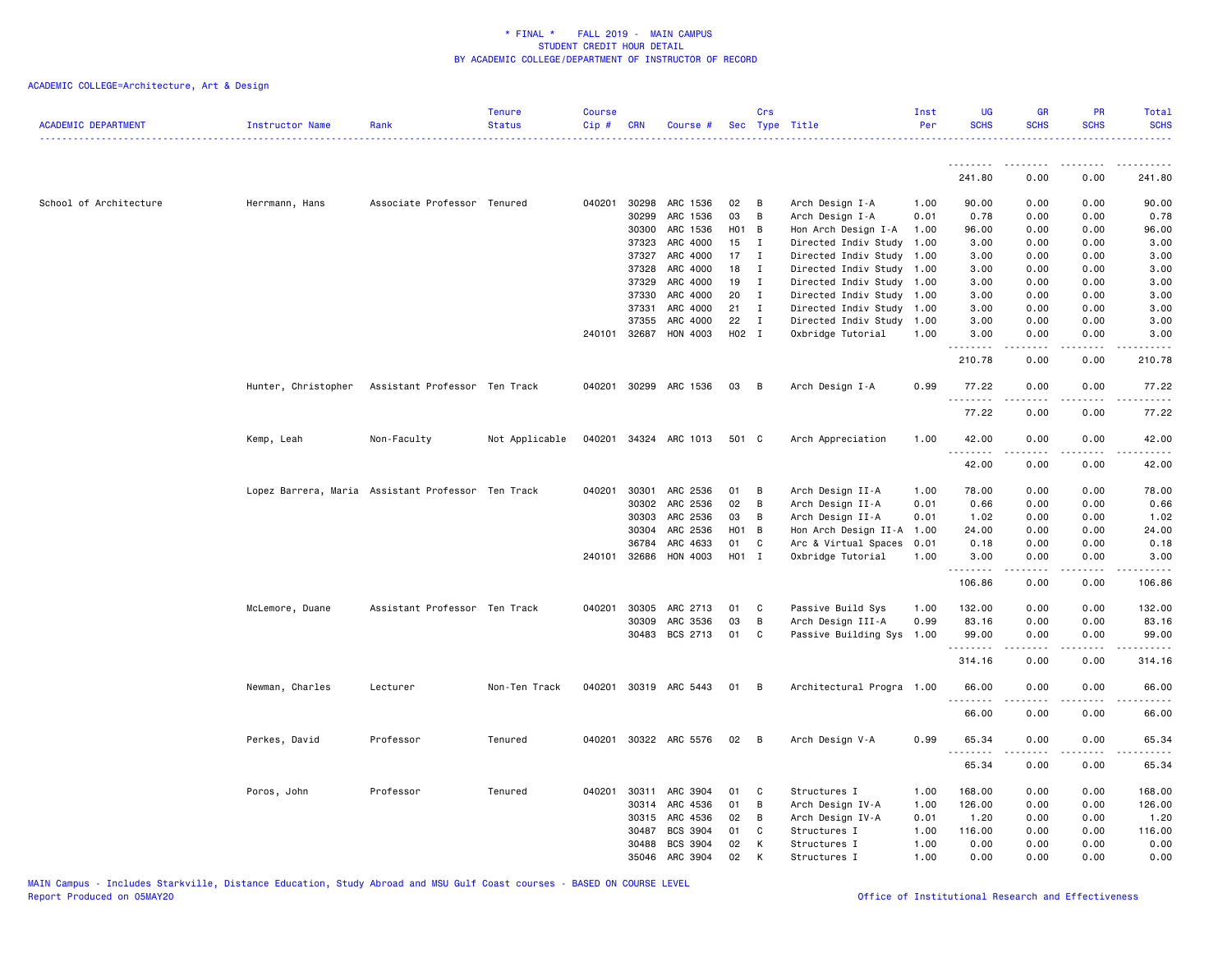| ACADEMIC DEPARTMENT    | Instructor Name     | Rank                                               | <b>Tenure</b><br><b>Status</b> | <b>Course</b><br>$Cip$ # | <b>CRN</b>   | Course #              |       | Crs            | Sec Type Title            | Inst<br>Per | <b>UG</b><br><b>SCHS</b> | <b>GR</b><br><b>SCHS</b> | <b>PR</b><br><b>SCHS</b>     | Total<br><b>SCHS</b>  |
|------------------------|---------------------|----------------------------------------------------|--------------------------------|--------------------------|--------------|-----------------------|-------|----------------|---------------------------|-------------|--------------------------|--------------------------|------------------------------|-----------------------|
|                        |                     |                                                    |                                |                          |              |                       |       |                |                           |             |                          |                          |                              |                       |
|                        |                     |                                                    |                                |                          |              |                       |       |                |                           |             | <u>.</u><br>241.80       | . <b>.</b><br>0.00       | 0.00                         | 241.80                |
| School of Architecture | Herrmann, Hans      | Associate Professor Tenured                        |                                | 040201                   | 30298        | ARC 1536              | 02    | B              | Arch Design I-A           | 1.00        | 90.00                    | 0.00                     | 0.00                         | 90.00                 |
|                        |                     |                                                    |                                |                          | 30299        | ARC 1536              | 03    | B              | Arch Design I-A           | 0.01        | 0.78                     | 0.00                     | 0.00                         | 0.78                  |
|                        |                     |                                                    |                                |                          | 30300        | ARC 1536              | H01 B |                | Hon Arch Design I-A       | 1.00        | 96.00                    | 0.00                     | 0.00                         | 96.00                 |
|                        |                     |                                                    |                                |                          | 37323        | ARC 4000              | 15    | $\mathbf{I}$   | Directed Indiv Study      | 1.00        | 3.00                     | 0.00                     | 0.00                         | 3.00                  |
|                        |                     |                                                    |                                |                          | 37327        | ARC 4000              | 17    | $\mathbf{I}$   | Directed Indiv Study      | 1.00        | 3.00                     | 0.00                     | 0.00                         | 3.00                  |
|                        |                     |                                                    |                                |                          | 37328        | ARC 4000              | 18    | $\mathbf{I}$   | Directed Indiv Study 1.00 |             | 3.00                     | 0.00                     | 0.00                         | 3.00                  |
|                        |                     |                                                    |                                |                          | 37329        | ARC 4000              | 19    | $\mathbf{I}$   | Directed Indiv Study      | 1.00        | 3.00                     | 0.00                     | 0.00                         | 3.00                  |
|                        |                     |                                                    |                                |                          | 37330        | ARC 4000              | 20    | I              | Directed Indiv Study 1.00 |             | 3.00                     | 0.00                     | 0.00                         | 3.00                  |
|                        |                     |                                                    |                                |                          | 37331        | ARC 4000              | 21    | I              | Directed Indiv Study      | 1.00        | 3.00                     | 0.00                     | 0.00                         | 3.00                  |
|                        |                     |                                                    |                                |                          | 37355        | ARC 4000              | 22    | $\mathbf{I}$   | Directed Indiv Study      | 1.00        | 3.00                     | 0.00                     | 0.00                         | 3.00                  |
|                        |                     |                                                    |                                |                          | 240101 32687 | HON 4003              | H02 I |                | Oxbridge Tutorial         | 1.00        | 3.00<br>.                | 0.00                     | 0.00                         | 3,00                  |
|                        |                     |                                                    |                                |                          |              |                       |       |                |                           |             | 210.78                   | 0.00                     | 0.00                         | 210.78                |
|                        | Hunter, Christopher | Assistant Professor Ten Track                      |                                |                          |              | 040201 30299 ARC 1536 | 03    | $\overline{B}$ | Arch Design I-A           | 0.99        | 77.22                    | 0.00                     | 0.00                         | 77.22                 |
|                        |                     |                                                    |                                |                          |              |                       |       |                |                           |             | 77.22                    | 0.00                     | 0.00                         | 77.22                 |
|                        | Kemp, Leah          | Non-Faculty                                        | Not Applicable                 |                          |              | 040201 34324 ARC 1013 | 501 C |                | Arch Appreciation         | 1.00        | 42.00                    | 0.00                     | 0.00                         | 42.00                 |
|                        |                     |                                                    |                                |                          |              |                       |       |                |                           |             | .<br>42.00               | 0.00                     | $\sim$ $\sim$ $\sim$<br>0.00 | .<br>42.00            |
|                        |                     | Lopez Barrera, Maria Assistant Professor Ten Track |                                | 040201                   | 30301        | ARC 2536              | 01    | B              | Arch Design II-A          | 1.00        | 78.00                    | 0.00                     | 0.00                         | 78.00                 |
|                        |                     |                                                    |                                |                          | 30302        | ARC 2536              | 02    | B              | Arch Design II-A          | 0.01        | 0.66                     | 0.00                     | 0.00                         | 0.66                  |
|                        |                     |                                                    |                                |                          | 30303        | ARC 2536              | 03    | B              | Arch Design II-A          | 0.01        | 1.02                     | 0.00                     | 0.00                         | 1.02                  |
|                        |                     |                                                    |                                |                          | 30304        | ARC 2536              | H01 B |                | Hon Arch Design II-A      | 1.00        | 24.00                    | 0.00                     | 0.00                         | 24.00                 |
|                        |                     |                                                    |                                |                          | 36784        | ARC 4633              | 01    | C              | Arc & Virtual Spaces      | 0.01        | 0.18                     | 0.00                     | 0.00                         | 0.18                  |
|                        |                     |                                                    |                                |                          | 240101 32686 | HON 4003              | H01 I |                | Oxbridge Tutorial         | 1.00        | 3.00<br>.                | 0.00<br><u>.</u>         | 0.00<br>.                    | 3.00<br>$- - - - - -$ |
|                        |                     |                                                    |                                |                          |              |                       |       |                |                           |             | 106.86                   | 0.00                     | 0.00                         | 106.86                |
|                        | McLemore, Duane     | Assistant Professor Ten Track                      |                                | 040201                   | 30305        | ARC 2713              | 01    | C              | Passive Build Sys         | 1.00        | 132.00                   | 0.00                     | 0.00                         | 132.00                |
|                        |                     |                                                    |                                |                          | 30309        | ARC 3536              | 03    | B              | Arch Design III-A         | 0.99        | 83.16                    | 0.00                     | 0.00                         | 83.16                 |
|                        |                     |                                                    |                                |                          |              | 30483 BCS 2713        | 01    | C              | Passive Building Sys 1.00 |             | 99.00<br>.               | 0.00                     | 0.00<br>$\sim$ $\sim$ $\sim$ | 99.00                 |
|                        |                     |                                                    |                                |                          |              |                       |       |                |                           |             | 314.16                   | 0.00                     | 0.00                         | 314.16                |
|                        | Newman, Charles     | Lecturer                                           | Non-Ten Track                  |                          |              | 040201 30319 ARC 5443 | 01 B  |                | Architectural Progra 1.00 |             | 66.00                    | 0.00                     | 0.00                         | 66.00                 |
|                        |                     |                                                    |                                |                          |              |                       |       |                |                           |             | .<br>66.00               | .<br>0.00                | .<br>0.00                    | .<br>66.00            |
|                        | Perkes, David       | Professor                                          | Tenured                        |                          |              | 040201 30322 ARC 5576 | 02    | B              | Arch Design V-A           | 0.99        | 65.34                    | 0.00                     | 0.00                         | 65.34                 |
|                        |                     |                                                    |                                |                          |              |                       |       |                |                           |             | .<br>65.34               | -----<br>0.00            | .<br>0.00                    | .<br>65.34            |
|                        | Poros, John         | Professor                                          | Tenured                        | 040201                   | 30311        | ARC 3904              | 01    | C              | Structures I              | 1.00        | 168.00                   | 0.00                     | 0.00                         | 168.00                |
|                        |                     |                                                    |                                |                          | 30314        | ARC 4536              | 01    | B              | Arch Design IV-A          | 1.00        | 126.00                   | 0.00                     | 0.00                         | 126.00                |
|                        |                     |                                                    |                                |                          | 30315        | ARC 4536              | 02    | B              | Arch Design IV-A          | 0.01        | 1.20                     | 0.00                     | 0.00                         | 1.20                  |
|                        |                     |                                                    |                                |                          | 30487        | <b>BCS 3904</b>       | 01    | C              | Structures I              | 1.00        | 116.00                   | 0.00                     | 0.00                         | 116.00                |
|                        |                     |                                                    |                                |                          | 30488        | BCS 3904              | 02    | К              | Structures I              | 1.00        | 0.00                     | 0.00                     | 0.00                         | 0.00                  |
|                        |                     |                                                    |                                |                          | 35046        | ARC 3904              | 02    | K              | Structures I              | 1.00        | 0.00                     | 0.00                     | 0.00                         | 0.00                  |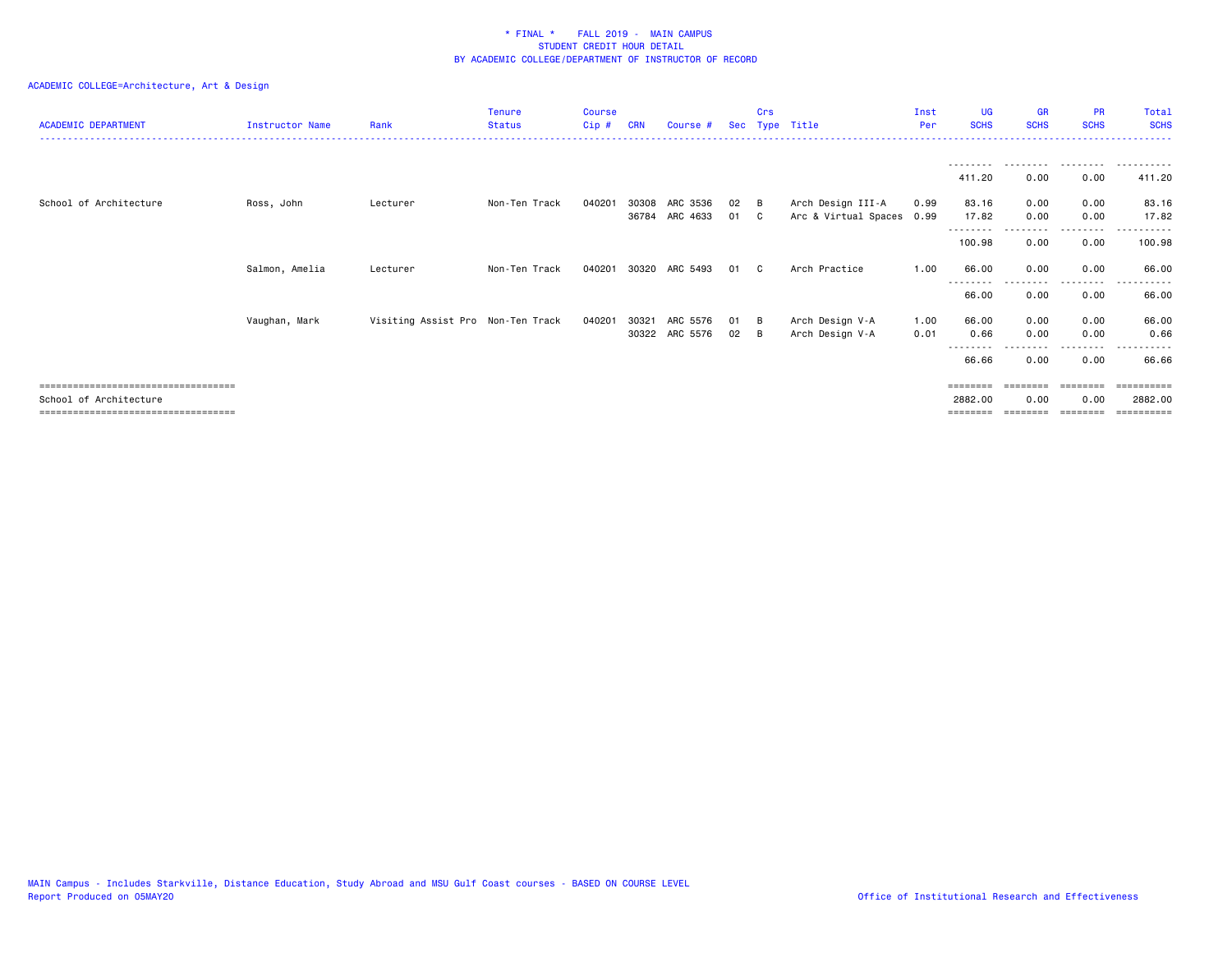| <b>ACADEMIC DEPARTMENT</b>            | <b>Instructor Name</b> | Rank                              | <b>Tenure</b><br><b>Status</b> | <b>Course</b><br>Cip# | <b>CRN</b> | Course #                   |            | Crs | Sec Type Title                            | Inst<br>Per  | <b>UG</b><br><b>SCHS</b> | <b>GR</b><br><b>SCHS</b> | <b>PR</b><br><b>SCHS</b> | Total<br><b>SCHS</b>   |
|---------------------------------------|------------------------|-----------------------------------|--------------------------------|-----------------------|------------|----------------------------|------------|-----|-------------------------------------------|--------------|--------------------------|--------------------------|--------------------------|------------------------|
|                                       |                        |                                   |                                |                       |            |                            |            |     |                                           |              | --------<br>411.20       | 0.00                     | .<br>0.00                | . <u>.</u> .<br>411.20 |
| School of Architecture                | Ross, John             | Lecturer                          | Non-Ten Track                  | 040201                | 30308      | ARC 3536<br>36784 ARC 4633 | 02<br>01 C | - B | Arch Design III-A<br>Arc & Virtual Spaces | 0.99<br>0.99 | 83.16<br>17.82           | 0.00<br>0.00             | 0.00<br>0.00             | 83.16<br>17.82         |
|                                       |                        |                                   |                                |                       |            |                            |            |     |                                           |              | 100.98                   | 0.00                     | --------<br>0.00         | ------<br>100.98       |
|                                       | Salmon, Amelia         | Lecturer                          | Non-Ten Track                  | 040201                | 30320      | ARC 5493                   | 01         | - C | Arch Practice                             | 1.00         | 66.00                    | 0.00                     | 0.00                     | 66.00                  |
|                                       |                        |                                   |                                |                       |            |                            |            |     |                                           |              | ---------<br>66.00       | --------<br>0.00         | .<br>0.00                | ------<br>66.00        |
|                                       | Vaughan, Mark          | Visiting Assist Pro Non-Ten Track |                                | 040201                | 30321      | ARC 5576                   | 01 B       |     | Arch Design V-A                           | 1.00         | 66.00                    | 0.00                     | 0.00                     | 66.00                  |
|                                       |                        |                                   |                                |                       |            | 30322 ARC 5576             | 02         | - B | Arch Design V-A                           | 0.01         | 0.66                     | 0.00                     | 0.00                     | 0.66                   |
|                                       |                        |                                   |                                |                       |            |                            |            |     |                                           |              | --------<br>66.66        | 0.00                     | -----<br>0.00            | ------<br>66.66        |
| ====================================  |                        |                                   |                                |                       |            |                            |            |     |                                           |              | ========                 | ========                 | ========                 |                        |
| School of Architecture                |                        |                                   |                                |                       |            |                            |            |     |                                           |              | 2882.00                  | 0.00                     | 0.00                     | 2882.00                |
| ===================================== |                        |                                   |                                |                       |            |                            |            |     |                                           |              | ========                 |                          | ========                 |                        |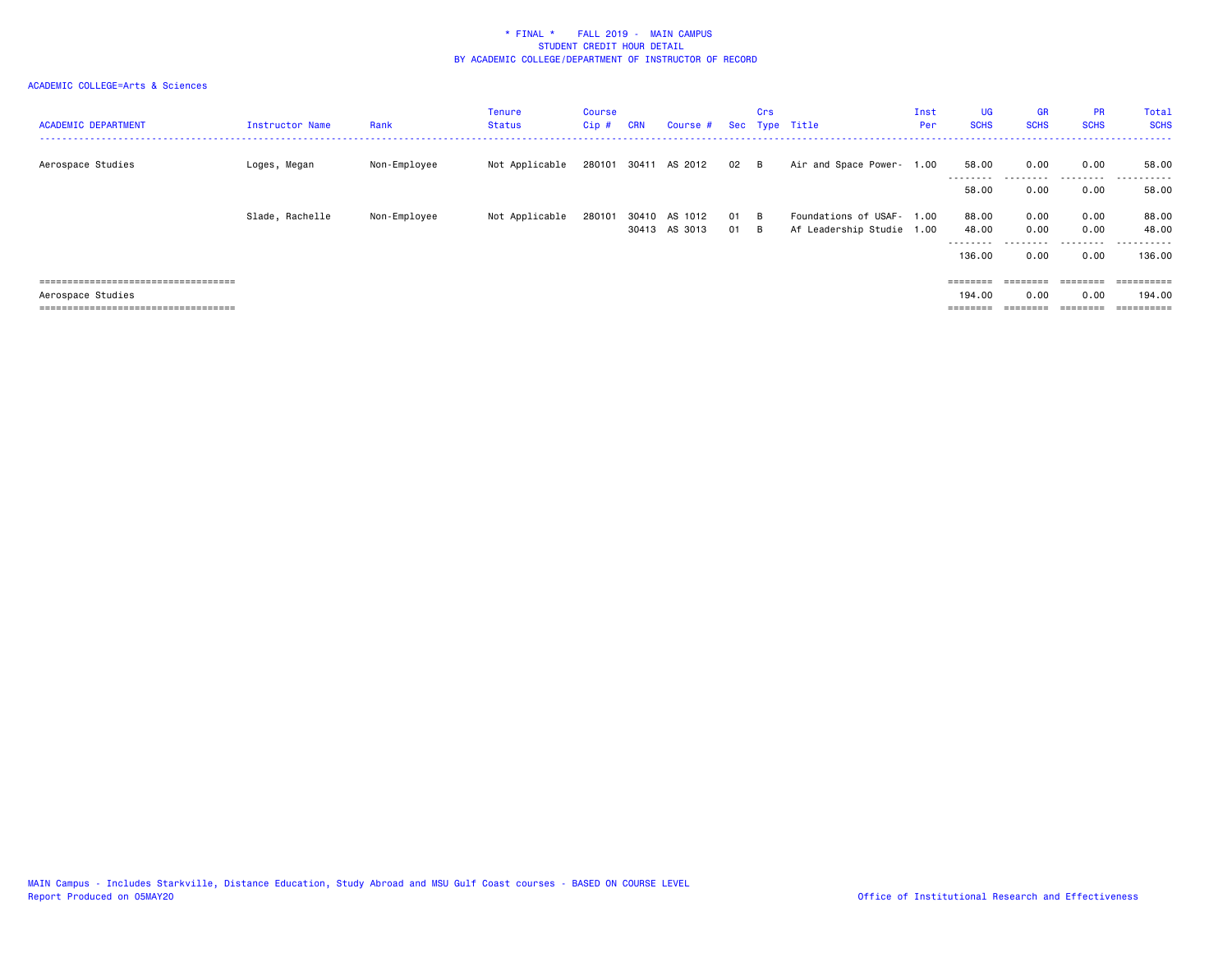| <b>ACADEMIC DEPARTMENT</b>           | Instructor Name | Rank         | <b>Tenure</b><br><b>Status</b> | Course<br>Cip# | <b>CRN</b> | Course #                       |              | Crs | Sec Type Title                                         | Inst<br>Per | <b>UG</b><br><b>SCHS</b> | <b>GR</b><br><b>SCHS</b> | <b>PR</b><br><b>SCHS</b> | Total<br><b>SCHS</b>   |
|--------------------------------------|-----------------|--------------|--------------------------------|----------------|------------|--------------------------------|--------------|-----|--------------------------------------------------------|-------------|--------------------------|--------------------------|--------------------------|------------------------|
| Aerospace Studies                    | Loges, Megan    | Non-Employee | Not Applicable                 | 280101         |            | 30411 AS 2012                  | 02 B         |     | Air and Space Power- 1.00                              |             | 58.00<br>--------        | 0.00                     | 0.00<br>--------         | 58.00<br>------        |
|                                      |                 |              |                                |                |            |                                |              |     |                                                        |             | 58.00                    | 0.00                     | 0.00                     | 58.00                  |
|                                      | Slade, Rachelle | Non-Employee | Not Applicable                 | 280101         |            | 30410 AS 1012<br>30413 AS 3013 | 01 B<br>01 B |     | Foundations of USAF- 1.00<br>Af Leadership Studie 1.00 |             | 88.00<br>48.00           | 0.00<br>0.00             | 0.00<br>0.00             | 88.00<br>48.00         |
|                                      |                 |              |                                |                |            |                                |              |     |                                                        |             | ---------<br>136.00      | 0.00                     | .<br>0.00                | .<br>$- - -$<br>136.00 |
| ==================================== |                 |              |                                |                |            |                                |              |     |                                                        |             | $=$ = = = = = = =        | ========                 | $=$ = = = = = = =        |                        |
| Aerospace Studies                    |                 |              |                                |                |            |                                |              |     |                                                        |             | 194.00                   | 0.00                     | 0.00                     | 194.00                 |
| ==================================== |                 |              |                                |                |            |                                |              |     |                                                        |             | ========                 |                          | ========                 |                        |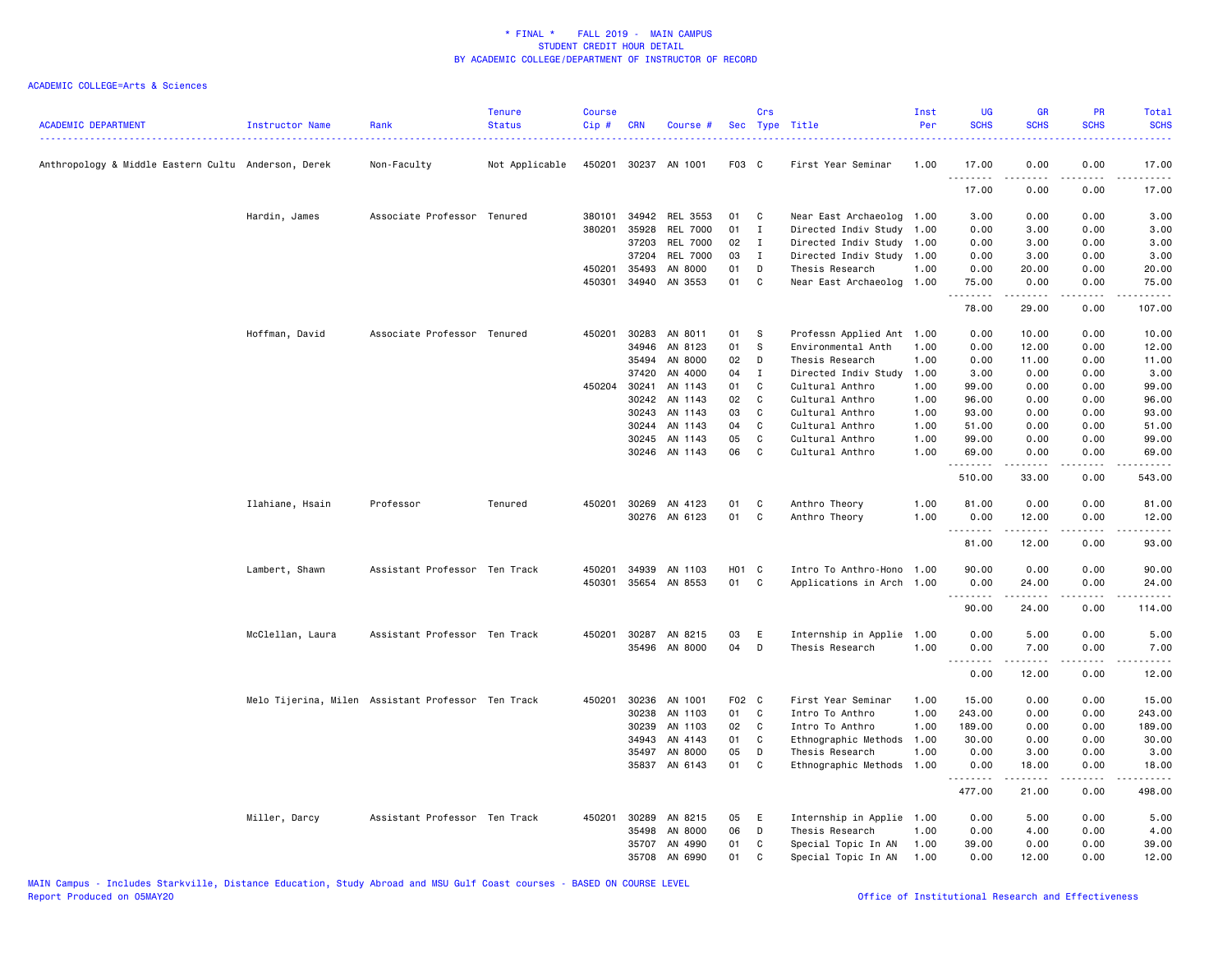| <b>ACADEMIC DEPARTMENT</b>                          | Instructor Name  | Rank                                               | <b>Tenure</b><br><b>Status</b> | <b>Course</b><br>Cip# | <b>CRN</b> | Course #             |                   | Crs          | Sec Type Title            | Inst<br>Per | <b>UG</b><br><b>SCHS</b> | <b>GR</b><br><b>SCHS</b> | <b>PR</b><br><b>SCHS</b>        | Total<br><b>SCHS</b> |
|-----------------------------------------------------|------------------|----------------------------------------------------|--------------------------------|-----------------------|------------|----------------------|-------------------|--------------|---------------------------|-------------|--------------------------|--------------------------|---------------------------------|----------------------|
| Anthropology & Middle Eastern Cultu Anderson, Derek |                  | Non-Faculty                                        | Not Applicable                 |                       |            | 450201 30237 AN 1001 | F03 C             |              | First Year Seminar        | 1.00        | 17.00<br>.               | 0.00                     | 0.00                            | 17.00                |
|                                                     |                  |                                                    |                                |                       |            |                      |                   |              |                           |             | 17.00                    | 0.00                     | 0.00                            | 17.00                |
|                                                     | Hardin, James    | Associate Professor Tenured                        |                                | 380101                | 34942      | <b>REL 3553</b>      | 01                | C            | Near East Archaeolog 1.00 |             | 3.00                     | 0.00                     | 0.00                            | 3.00                 |
|                                                     |                  |                                                    |                                | 380201                | 35928      | <b>REL 7000</b>      | 01                | $\mathbf{I}$ | Directed Indiv Study      | 1.00        | 0.00                     | 3.00                     | 0.00                            | 3.00                 |
|                                                     |                  |                                                    |                                |                       | 37203      | <b>REL 7000</b>      | 02                | $\mathbf{I}$ | Directed Indiv Study 1.00 |             | 0.00                     | 3.00                     | 0.00                            | 3.00                 |
|                                                     |                  |                                                    |                                |                       | 37204      | <b>REL 7000</b>      | 03                | I            | Directed Indiv Study 1.00 |             | 0.00                     | 3.00                     | 0.00                            | 3.00                 |
|                                                     |                  |                                                    |                                | 450201                | 35493      | AN 8000              | 01                | D            | Thesis Research           | 1.00        | 0.00                     | 20.00                    | 0.00                            | 20.00                |
|                                                     |                  |                                                    |                                | 450301                | 34940      | AN 3553              | 01                | C            | Near East Archaeolog 1.00 |             | 75.00<br>.               | 0.00<br>.                | 0.00<br>.                       | 75.00<br>.           |
|                                                     |                  |                                                    |                                |                       |            |                      |                   |              |                           |             | 78.00                    | 29.00                    | 0.00                            | 107.00               |
|                                                     | Hoffman, David   | Associate Professor Tenured                        |                                | 450201                | 30283      | AN 8011              | 01                | s            | Professn Applied Ant      | 1.00        | 0.00                     | 10.00                    | 0.00                            | 10.00                |
|                                                     |                  |                                                    |                                |                       | 34946      | AN 8123              | 01                | S            | Environmental Anth        | 1.00        | 0.00                     | 12.00                    | 0.00                            | 12.00                |
|                                                     |                  |                                                    |                                |                       | 35494      | AN 8000              | 02                | D            | Thesis Research           | 1.00        | 0.00                     | 11.00                    | 0.00                            | 11.00                |
|                                                     |                  |                                                    |                                |                       | 37420      | AN 4000              | 04                | $\mathbf{I}$ | Directed Indiv Study      | 1.00        | 3.00                     | 0.00                     | 0.00                            | 3.00                 |
|                                                     |                  |                                                    |                                | 450204                | 30241      | AN 1143              | 01                | C            | Cultural Anthro           | 1.00        | 99.00                    | 0.00                     | 0.00                            | 99.00                |
|                                                     |                  |                                                    |                                |                       | 30242      | AN 1143              | 02                | C            | Cultural Anthro           | 1.00        | 96.00                    | 0.00                     | 0.00                            | 96.00                |
|                                                     |                  |                                                    |                                |                       | 30243      | AN 1143              | 03                | C            | Cultural Anthro           | 1.00        | 93.00                    | 0.00                     | 0.00                            | 93.00                |
|                                                     |                  |                                                    |                                |                       | 30244      | AN 1143              | 04                | $\mathbf c$  | Cultural Anthro           | 1.00        | 51.00                    | 0.00                     | 0.00                            | 51.00                |
|                                                     |                  |                                                    |                                |                       | 30245      | AN 1143              | 05                | $\mathbf{C}$ | Cultural Anthro           | 1.00        | 99.00                    | 0.00                     | 0.00                            | 99.00                |
|                                                     |                  |                                                    |                                |                       |            | 30246 AN 1143        | 06                | C            | Cultural Anthro           | 1.00        | 69.00<br>.               | 0.00                     | 0.00                            | 69.00                |
|                                                     |                  |                                                    |                                |                       |            |                      |                   |              |                           |             | 510.00                   | 33.00                    | 0.00                            | 543.00               |
|                                                     | Ilahiane, Hsain  | Professor                                          | Tenured                        |                       |            | 450201 30269 AN 4123 | 01                | C            | Anthro Theory             | 1.00        | 81.00                    | 0.00                     | 0.00                            | 81.00                |
|                                                     |                  |                                                    |                                |                       |            | 30276 AN 6123        | 01                | C            | Anthro Theory             | 1.00        | 0.00<br>.                | 12.00<br>.               | 0.00<br>.                       | 12.00<br>.           |
|                                                     |                  |                                                    |                                |                       |            |                      |                   |              |                           |             | 81.00                    | 12.00                    | 0.00                            | 93.00                |
|                                                     | Lambert, Shawn   | Assistant Professor Ten Track                      |                                | 450201                | 34939      | AN 1103              | H <sub>01</sub> C |              | Intro To Anthro-Hono      | 1.00        | 90.00                    | 0.00                     | 0.00                            | 90.00                |
|                                                     |                  |                                                    |                                | 450301                |            | 35654 AN 8553        | 01                | C            | Applications in Arch 1.00 |             | 0.00                     | 24.00                    | 0.00                            | 24.00                |
|                                                     |                  |                                                    |                                |                       |            |                      |                   |              |                           |             | .                        | .                        | .                               | $- - - - - -$        |
|                                                     |                  |                                                    |                                |                       |            |                      |                   |              |                           |             | 90.00                    | 24.00                    | 0.00                            | 114.00               |
|                                                     | McClellan, Laura | Assistant Professor Ten Track                      |                                | 450201                | 30287      | AN 8215              | 03                | E            | Internship in Applie      | 1.00        | 0.00                     | 5.00                     | 0.00                            | 5.00                 |
|                                                     |                  |                                                    |                                |                       |            | 35496 AN 8000        | 04                | D            | Thesis Research           | 1.00        | 0.00<br>.                | 7.00<br>2.2.2.2.2        | 0.00<br>$\omega$ is $\omega$ in | 7.00<br>.            |
|                                                     |                  |                                                    |                                |                       |            |                      |                   |              |                           |             | 0.00                     | 12.00                    | 0.00                            | 12.00                |
|                                                     |                  | Melo Tijerina, Milen Assistant Professor Ten Track |                                | 450201                | 30236      | AN 1001              | F02 C             |              | First Year Seminar        | 1.00        | 15.00                    | 0.00                     | 0.00                            | 15.00                |
|                                                     |                  |                                                    |                                |                       | 30238      | AN 1103              | 01                | C            | Intro To Anthro           | 1.00        | 243.00                   | 0.00                     | 0.00                            | 243.00               |
|                                                     |                  |                                                    |                                |                       | 30239      | AN 1103              | 02                | C            | Intro To Anthro           | 1.00        | 189.00                   | 0.00                     | 0.00                            | 189.00               |
|                                                     |                  |                                                    |                                |                       | 34943      | AN 4143              | 01                | C            | Ethnographic Methods      | 1.00        | 30.00                    | 0.00                     | 0.00                            | 30.00                |
|                                                     |                  |                                                    |                                |                       | 35497      | AN 8000              | 05                | D            | Thesis Research           | 1.00        | 0.00                     | 3.00                     | 0.00                            | 3.00                 |
|                                                     |                  |                                                    |                                |                       |            | 35837 AN 6143        | 01                | C            | Ethnographic Methods      | 1.00        | 0.00<br>.                | 18.00<br>.               | 0.00<br>.                       | 18.00<br><u>.</u>    |
|                                                     |                  |                                                    |                                |                       |            |                      |                   |              |                           |             | 477.00                   | 21.00                    | 0.00                            | 498.00               |
|                                                     | Miller, Darcy    | Assistant Professor Ten Track                      |                                | 450201                | 30289      | AN 8215              | 05                | E            | Internship in Applie      | 1.00        | 0.00                     | 5.00                     | 0.00                            | 5.00                 |
|                                                     |                  |                                                    |                                |                       | 35498      | AN 8000              | 06                | D            | Thesis Research           | 1.00        | 0.00                     | 4.00                     | 0.00                            | 4.00                 |
|                                                     |                  |                                                    |                                |                       | 35707      | AN 4990              | 01                | C            | Special Topic In AN       | 1.00        | 39.00                    | 0.00                     | 0.00                            | 39.00                |
|                                                     |                  |                                                    |                                |                       | 35708      | AN 6990              | 01                | $\mathbf{C}$ | Special Topic In AN       | 1.00        | 0.00                     | 12.00                    | 0.00                            | 12.00                |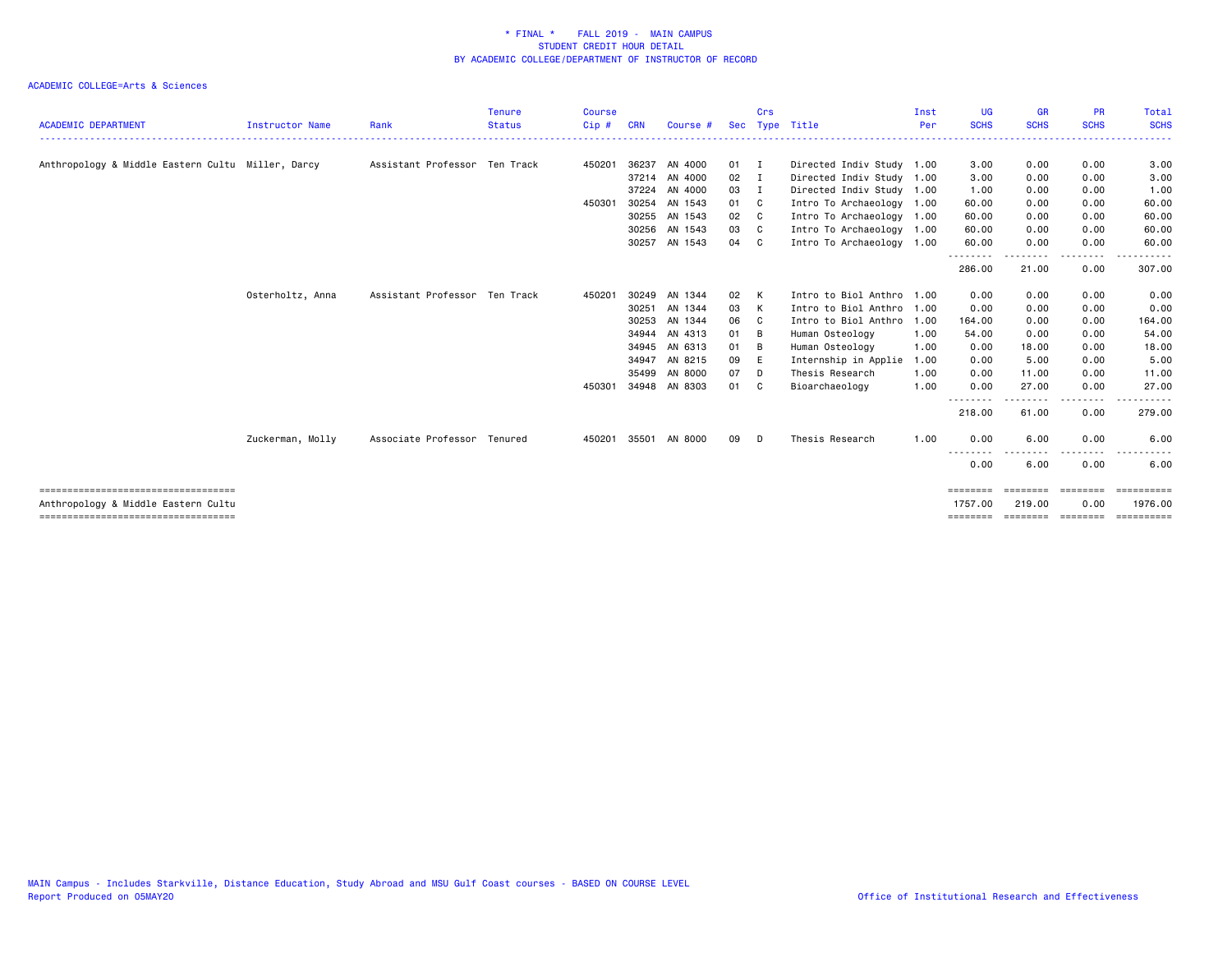|                                                   |                  |                               | <b>Tenure</b> | <b>Course</b> |            |               |               | Crs            |                           | Inst | <b>UG</b>         | <b>GR</b>         | <b>PR</b>   | Total              |
|---------------------------------------------------|------------------|-------------------------------|---------------|---------------|------------|---------------|---------------|----------------|---------------------------|------|-------------------|-------------------|-------------|--------------------|
| <b>ACADEMIC DEPARTMENT</b>                        | Instructor Name  | Rank                          | <b>Status</b> | Cip#          | <b>CRN</b> | Course #      |               |                | Sec Type Title            | Per  | <b>SCHS</b>       | <b>SCHS</b>       | <b>SCHS</b> | <b>SCHS</b>        |
|                                                   |                  |                               |               |               |            |               |               |                |                           |      |                   |                   |             |                    |
| Anthropology & Middle Eastern Cultu Miller, Darcy |                  | Assistant Professor Ten Track |               | 450201        | 36237      | AN 4000       | $01$ I        |                | Directed Indiv Study 1.00 |      | 3.00              | 0.00              | 0.00        | 3.00               |
|                                                   |                  |                               |               |               |            | 37214 AN 4000 | $02 \qquad I$ |                | Directed Indiv Study 1.00 |      | 3.00              | 0.00              | 0.00        | 3.00               |
|                                                   |                  |                               |               |               |            | 37224 AN 4000 | 03            | I              | Directed Indiv Study 1.00 |      | 1.00              | 0.00              | 0.00        | 1.00               |
|                                                   |                  |                               |               | 450301        |            | 30254 AN 1543 | 01 C          |                | Intro To Archaeology 1.00 |      | 60.00             | 0.00              | 0.00        | 60.00              |
|                                                   |                  |                               |               |               |            | 30255 AN 1543 | 02            | C <sub>1</sub> | Intro To Archaeology 1.00 |      | 60.00             | 0.00              | 0.00        | 60.00              |
|                                                   |                  |                               |               |               |            | 30256 AN 1543 | 03            | C              | Intro To Archaeology 1.00 |      | 60.00             | 0.00              | 0.00        | 60.00              |
|                                                   |                  |                               |               |               | 30257      | AN 1543       | 04            | C              | Intro To Archaeology 1.00 |      | 60.00             | 0.00              | 0.00        | 60.00              |
|                                                   |                  |                               |               |               |            |               |               |                |                           |      | 286.00            | 21.00             | .<br>0.00   | <u>.</u><br>307.00 |
|                                                   | Osterholtz, Anna | Assistant Professor Ten Track |               | 450201        |            | 30249 AN 1344 | 02            | K              | Intro to Biol Anthro 1.00 |      | 0.00              | 0.00              | 0.00        | 0.00               |
|                                                   |                  |                               |               |               | 30251      | AN 1344       | 03            | K              | Intro to Biol Anthro 1.00 |      | 0.00              | 0.00              | 0.00        | 0.00               |
|                                                   |                  |                               |               |               | 30253      | AN 1344       | 06            | $\mathbf{C}$   | Intro to Biol Anthro      | 1.00 | 164.00            | 0.00              | 0.00        | 164.00             |
|                                                   |                  |                               |               |               |            | 34944 AN 4313 | 01            | B              | Human Osteology           | 1.00 | 54.00             | 0.00              | 0.00        | 54.00              |
|                                                   |                  |                               |               |               |            | 34945 AN 6313 | 01            | B              | Human Osteology           | 1.00 | 0.00              | 18.00             | 0.00        | 18.00              |
|                                                   |                  |                               |               |               | 34947      | AN 8215       | 09            | E              | Internship in Applie      | 1.00 | 0.00              | 5.00              | 0.00        | 5.00               |
|                                                   |                  |                               |               |               | 35499      | AN 8000       | 07            | - D            | Thesis Research           | 1.00 | 0.00              | 11.00             | 0.00        | 11.00              |
|                                                   |                  |                               |               | 450301        |            | 34948 AN 8303 | 01            | - C            | Bioarchaeology            | 1.00 | 0.00              | 27.00             | 0.00        | 27.00              |
|                                                   |                  |                               |               |               |            |               |               |                |                           |      | -------<br>218.00 | 61.00             | .<br>0.00   | 279.00             |
|                                                   | Zuckerman, Molly | Associate Professor Tenured   |               | 450201        |            | 35501 AN 8000 | 09            | D              | Thesis Research           | 1.00 | 0.00              | 6.00              | 0.00        | 6.00               |
|                                                   |                  |                               |               |               |            |               |               |                |                           |      | ---<br>0.00       | 6.00              | 0.00        | 6.00               |
| ======================================            |                  |                               |               |               |            |               |               |                |                           |      | ========          | ========          | ========    | ==========         |
| Anthropology & Middle Eastern Cultu               |                  |                               |               |               |            |               |               |                |                           |      | 1757.00           | 219.00            | 0.00        | 1976.00            |
| ======================================            |                  |                               |               |               |            |               |               |                |                           |      | ========          | ======== ======== |             | ==========         |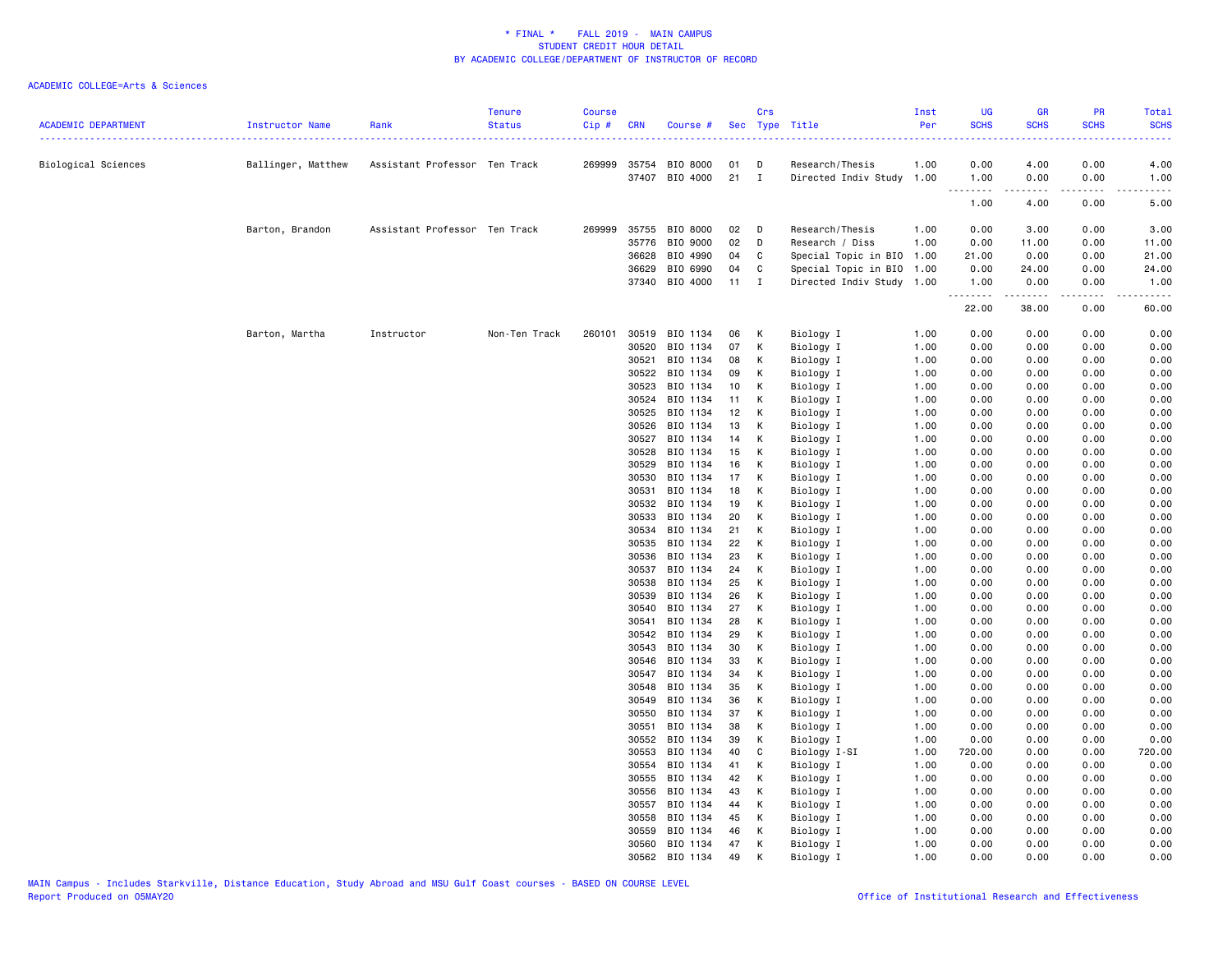| <b>ACADEMIC DEPARTMENT</b> | Instructor Name    | Rank                          | <b>Tenure</b><br><b>Status</b> | <b>Course</b><br>Cip# | <b>CRN</b>     | Course #                                |              | Crs          | Sec Type Title                               | Inst<br>Per  | UG<br><b>SCHS</b>                                           | GR<br><b>SCHS</b> | PR<br><b>SCHS</b> | Total<br><b>SCHS</b> |
|----------------------------|--------------------|-------------------------------|--------------------------------|-----------------------|----------------|-----------------------------------------|--------------|--------------|----------------------------------------------|--------------|-------------------------------------------------------------|-------------------|-------------------|----------------------|
|                            |                    |                               |                                |                       |                |                                         |              |              |                                              |              | 2.2.2.2                                                     |                   |                   |                      |
| Biological Sciences        | Ballinger, Matthew | Assistant Professor Ten Track |                                |                       |                | 269999 35754 BIO 8000<br>37407 BIO 4000 | 01<br>$21$ I | D            | Research/Thesis<br>Directed Indiv Study 1.00 | 1.00         | 0.00<br>1.00                                                | 4.00<br>0.00      | 0.00<br>0.00      | 4.00<br>1.00         |
|                            |                    |                               |                                |                       |                |                                         |              |              |                                              |              | $\sim$ $\sim$ $\sim$ $\sim$<br>$\sim$ $\sim$ $\sim$<br>1.00 | .<br>4.00         | .<br>0.00         | -----<br>5.00        |
|                            |                    |                               |                                |                       |                |                                         |              |              |                                              |              |                                                             |                   |                   |                      |
|                            | Barton, Brandon    | Assistant Professor Ten Track |                                |                       |                | 269999 35755 BIO 8000                   | 02           | $\Box$       | Research/Thesis                              | 1.00         | 0.00                                                        | 3.00              | 0.00              | 3.00                 |
|                            |                    |                               |                                |                       | 35776<br>36628 | BIO 9000<br>BIO 4990                    | 02<br>04     | D            | Research / Diss<br>Special Topic in BIO 1.00 | 1.00         | 0.00<br>21.00                                               | 11.00<br>0.00     | 0.00<br>0.00      | 11.00<br>21.00       |
|                            |                    |                               |                                |                       | 36629          | BIO 6990                                | 04           | C<br>C       | Special Topic in BIO 1.00                    |              | 0.00                                                        | 24.00             | 0.00              | 24.00                |
|                            |                    |                               |                                |                       | 37340          | BIO 4000                                | 11           | $\mathbf{I}$ | Directed Indiv Study 1.00                    |              | 1.00                                                        | 0.00              | 0.00              | 1.00                 |
|                            |                    |                               |                                |                       |                |                                         |              |              |                                              |              | .<br>22.00                                                  | .<br>38.00        | .<br>0.00         | .<br>60.00           |
|                            | Barton, Martha     | Instructor                    | Non-Ten Track                  | 260101                | 30519          | BIO 1134                                | 06           | К            | Biology I                                    | 1.00         | 0.00                                                        | 0.00              | 0.00              | 0.00                 |
|                            |                    |                               |                                |                       | 30520          | BIO 1134                                | 07           | К            | Biology I                                    | 1.00         | 0.00                                                        | 0.00              | 0.00              | 0.00                 |
|                            |                    |                               |                                |                       | 30521          | BIO 1134                                | 08           | К            | Biology I                                    | 1.00         | 0.00                                                        | 0.00              | 0.00              | 0.00                 |
|                            |                    |                               |                                |                       | 30522          | BIO 1134                                | 09           | K            | Biology I                                    | 1.00         | 0.00                                                        | 0.00              | 0.00              | 0.00                 |
|                            |                    |                               |                                |                       | 30523          | BIO 1134                                | 10           | к            | Biology I                                    | 1.00         | 0.00                                                        | 0.00              | 0.00              | 0.00                 |
|                            |                    |                               |                                |                       | 30524          | BIO 1134                                | 11           | К            | Biology I                                    | 1.00         | 0.00                                                        | 0.00              | 0.00              | 0.00                 |
|                            |                    |                               |                                |                       | 30525          | BIO 1134                                | 12           | K            | Biology I                                    | 1.00         | 0.00                                                        | 0.00              | 0.00              | 0.00                 |
|                            |                    |                               |                                |                       | 30526          | BIO 1134                                | 13           | к            | Biology I                                    | 1.00         | 0.00                                                        | 0.00              | 0.00              | 0.00                 |
|                            |                    |                               |                                |                       | 30527          | BIO 1134                                | 14           | К            | Biology I                                    | 1.00         | 0.00                                                        | 0.00              | 0.00              | 0.00                 |
|                            |                    |                               |                                |                       | 30528          | BIO 1134                                | 15           | К            | Biology I                                    | 1.00         | 0.00                                                        | 0.00              | 0.00              | 0.00                 |
|                            |                    |                               |                                |                       | 30529          | BIO 1134                                | 16           | К            | Biology I                                    | 1.00         | 0.00                                                        | 0.00              | 0.00              | 0.00                 |
|                            |                    |                               |                                |                       | 30530<br>30531 | BIO 1134<br>BIO 1134                    | 17<br>18     | К<br>К       | Biology I<br>Biology I                       | 1.00<br>1.00 | 0.00<br>0.00                                                | 0.00<br>0.00      | 0.00<br>0.00      | 0.00<br>0.00         |
|                            |                    |                               |                                |                       | 30532          | BIO 1134                                | 19           | K            | Biology I                                    | 1.00         | 0.00                                                        | 0.00              | 0.00              | 0.00                 |
|                            |                    |                               |                                |                       | 30533          | BIO 1134                                | 20           | к            | Biology I                                    | 1.00         | 0.00                                                        | 0.00              | 0.00              | 0.00                 |
|                            |                    |                               |                                |                       | 30534          | BIO 1134                                | 21           | К            | Biology I                                    | 1.00         | 0.00                                                        | 0.00              | 0.00              | 0.00                 |
|                            |                    |                               |                                |                       | 30535          | BIO 1134                                | 22           | К            | Biology I                                    | 1.00         | 0.00                                                        | 0.00              | 0.00              | 0.00                 |
|                            |                    |                               |                                |                       | 30536          | BIO 1134                                | 23           | к            | Biology I                                    | 1.00         | 0.00                                                        | 0.00              | 0.00              | 0.00                 |
|                            |                    |                               |                                |                       | 30537          | BIO 1134                                | 24           | К            | Biology I                                    | 1.00         | 0.00                                                        | 0.00              | 0.00              | 0.00                 |
|                            |                    |                               |                                |                       | 30538          | BIO 1134                                | 25           | К            | Biology I                                    | 1.00         | 0.00                                                        | 0.00              | 0.00              | 0.00                 |
|                            |                    |                               |                                |                       | 30539          | BIO 1134                                | 26           | К            | Biology I                                    | 1.00         | 0.00                                                        | 0.00              | 0.00              | 0.00                 |
|                            |                    |                               |                                |                       | 30540          | BIO 1134                                | 27           | К            | Biology I                                    | 1.00         | 0.00                                                        | 0.00              | 0.00              | 0.00                 |
|                            |                    |                               |                                |                       | 30541          | BIO 1134                                | 28           | К            | Biology I                                    | 1.00         | 0.00                                                        | 0.00              | 0.00              | 0.00                 |
|                            |                    |                               |                                |                       | 30542          | BIO 1134                                | 29           | K            | Biology I                                    | 1.00         | 0.00                                                        | 0.00              | 0.00              | 0.00                 |
|                            |                    |                               |                                |                       | 30543          | BIO 1134                                | 30           | к            | Biology I                                    | 1.00         | 0.00                                                        | 0.00              | 0.00              | 0.00                 |
|                            |                    |                               |                                |                       | 30546          | BIO 1134                                | 33           | К            | Biology I                                    | 1.00         | 0.00                                                        | 0.00              | 0.00              | 0.00                 |
|                            |                    |                               |                                |                       | 30547          | BIO 1134                                | 34           | К            | Biology I                                    | 1.00         | 0.00                                                        | 0.00              | 0.00              | 0.00                 |
|                            |                    |                               |                                |                       | 30548          | BIO 1134                                | 35           | K            | Biology I                                    | 1.00         | 0.00                                                        | 0.00              | 0.00              | 0.00                 |
|                            |                    |                               |                                |                       | 30549<br>30550 | BIO 1134<br>BIO 1134                    | 36<br>37     | К<br>K       | Biology I                                    | 1.00<br>1.00 | 0.00<br>0.00                                                | 0.00<br>0.00      | 0.00<br>0.00      | 0.00<br>0.00         |
|                            |                    |                               |                                |                       | 30551          | BIO 1134                                | 38           | К            | Biology I<br>Biology I                       | 1.00         | 0.00                                                        | 0.00              | 0.00              | 0.00                 |
|                            |                    |                               |                                |                       | 30552          | BIO 1134                                | 39           | К            | Biology I                                    | 1.00         | 0.00                                                        | 0.00              | 0.00              | 0.00                 |
|                            |                    |                               |                                |                       | 30553          | BIO 1134                                | 40           | C            | Biology I-SI                                 | 1.00         | 720.00                                                      | 0.00              | 0.00              | 720.00               |
|                            |                    |                               |                                |                       | 30554          | BIO 1134                                | 41           | К            | Biology I                                    | 1.00         | 0.00                                                        | 0.00              | 0.00              | 0.00                 |
|                            |                    |                               |                                |                       | 30555          | BIO 1134                                | 42           | K            | Biology I                                    | 1.00         | 0.00                                                        | 0.00              | 0.00              | 0.00                 |
|                            |                    |                               |                                |                       | 30556          | BIO 1134                                | 43           | К            | Biology I                                    | 1.00         | 0.00                                                        | 0.00              | 0.00              | 0.00                 |
|                            |                    |                               |                                |                       | 30557          | BIO 1134                                | 44           | К            | Biology I                                    | 1.00         | 0.00                                                        | 0.00              | 0.00              | 0.00                 |
|                            |                    |                               |                                |                       | 30558          | BIO 1134                                | 45           | К            | Biology I                                    | 1.00         | 0.00                                                        | 0.00              | 0.00              | 0.00                 |
|                            |                    |                               |                                |                       | 30559          | BIO 1134                                | 46           | К            | Biology I                                    | 1.00         | 0.00                                                        | 0.00              | 0.00              | 0.00                 |
|                            |                    |                               |                                |                       | 30560          | BIO 1134                                | 47           | K            | Biology I                                    | 1.00         | 0.00                                                        | 0.00              | 0.00              | 0.00                 |
|                            |                    |                               |                                |                       | 30562          | BIO 1134                                | 49           | K            | Biology I                                    | 1.00         | 0.00                                                        | 0.00              | 0.00              | 0.00                 |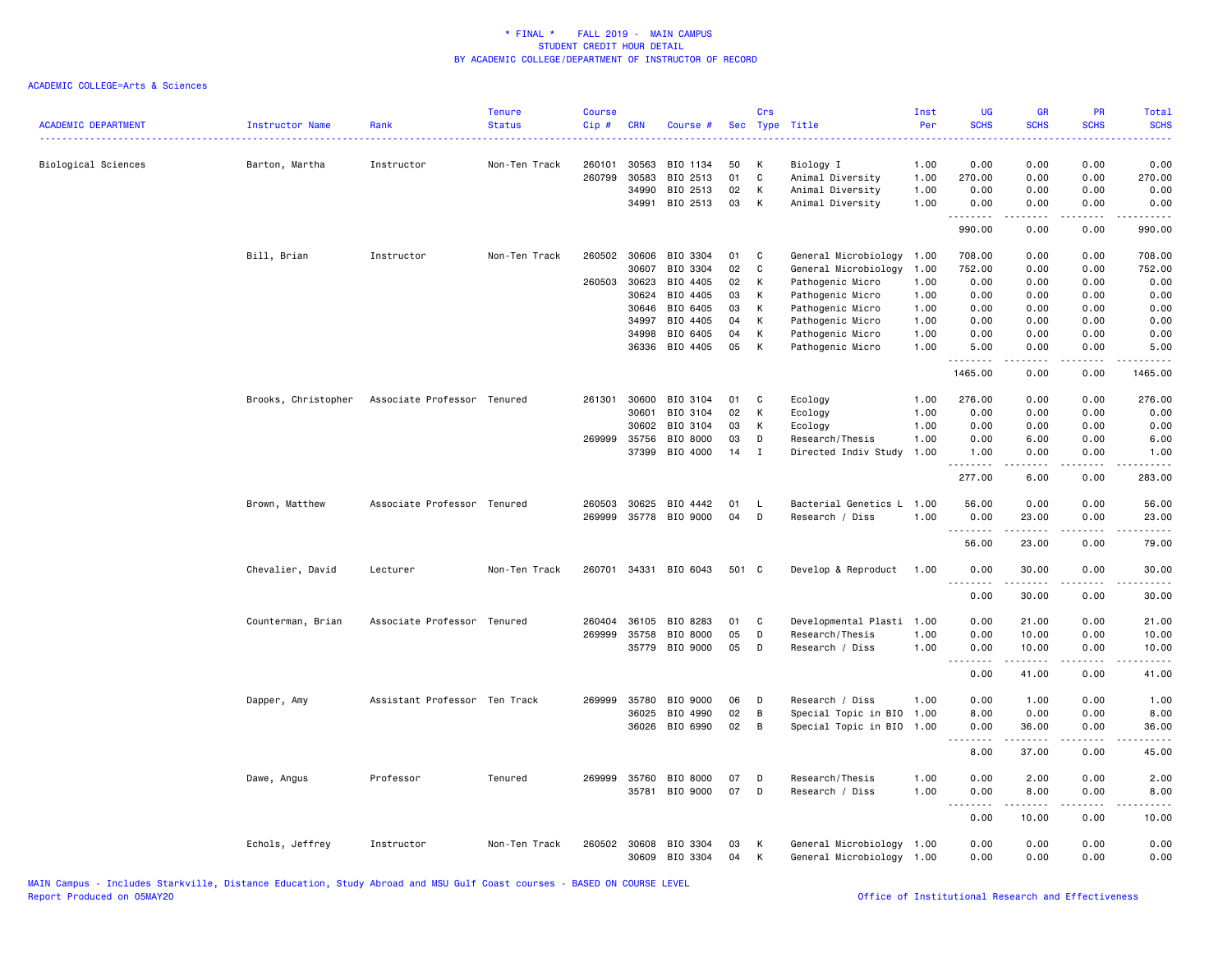| <b>ACADEMIC DEPARTMENT</b> | Instructor Name     | Rank                          | <b>Tenure</b><br><b>Status</b> | <b>Course</b><br>Cip# | <b>CRN</b>              | Course #                         | <b>Sec</b>     | Crs         | Type Title                                        | Inst<br>Per          | <b>UG</b><br><b>SCHS</b>        | <b>GR</b><br><b>SCHS</b> | PR<br><b>SCHS</b>                | <b>Total</b><br><b>SCHS</b><br>وبالاناداد                                                                                                                     |
|----------------------------|---------------------|-------------------------------|--------------------------------|-----------------------|-------------------------|----------------------------------|----------------|-------------|---------------------------------------------------|----------------------|---------------------------------|--------------------------|----------------------------------|---------------------------------------------------------------------------------------------------------------------------------------------------------------|
| Biological Sciences        | Barton, Martha      | Instructor                    | Non-Ten Track                  | 260101<br>260799      | 30563<br>30583<br>34990 | BIO 1134<br>BIO 2513<br>BIO 2513 | 50<br>01<br>02 | к<br>C<br>К | Biology I<br>Animal Diversity<br>Animal Diversity | 1.00<br>1.00<br>1.00 | 0.00<br>270.00<br>0.00          | 0.00<br>0.00<br>0.00     | 0.00<br>0.00<br>0.00             | 0.00<br>270.00<br>0.00                                                                                                                                        |
|                            |                     |                               |                                |                       | 34991                   | BIO 2513                         | 03             | К           | Animal Diversity                                  | 1.00                 | 0.00<br>$\frac{1}{2}$<br>990.00 | 0.00<br>0.00             | 0.00<br>$- - - -$<br>0.00        | 0.00<br>990.00                                                                                                                                                |
|                            | Bill, Brian         | Instructor                    | Non-Ten Track                  | 260502                | 30606                   | BIO 3304                         | 01             | C           | General Microbiology                              | 1.00                 | 708.00                          | 0.00                     | 0.00                             | 708.00                                                                                                                                                        |
|                            |                     |                               |                                |                       | 30607                   | BIO 3304                         | 02             | C           | General Microbiology                              | 1.00                 | 752.00                          | 0.00                     | 0.00                             | 752.00                                                                                                                                                        |
|                            |                     |                               |                                |                       | 260503 30623            | BIO 4405                         | 02             | К           | Pathogenic Micro                                  | 1.00                 | 0.00                            | 0.00                     | 0.00                             | 0.00                                                                                                                                                          |
|                            |                     |                               |                                |                       | 30624                   | BIO 4405                         | 03             | К           | Pathogenic Micro                                  | 1.00                 | 0.00                            | 0.00                     | 0.00                             | 0.00                                                                                                                                                          |
|                            |                     |                               |                                |                       | 30646                   | BIO 6405                         | 03             | К           | Pathogenic Micro                                  | 1.00                 | 0.00                            | 0.00                     | 0.00                             | 0.00                                                                                                                                                          |
|                            |                     |                               |                                |                       | 34997                   | BIO 4405                         | 04             | К           | Pathogenic Micro                                  | 1.00                 | 0.00                            | 0.00                     | 0.00                             | 0.00                                                                                                                                                          |
|                            |                     |                               |                                |                       | 34998                   | BIO 6405                         | 04             | К           | Pathogenic Micro                                  | 1.00                 | 0.00                            | 0.00                     | 0.00                             | 0.00                                                                                                                                                          |
|                            |                     |                               |                                |                       | 36336                   | BIO 4405                         | 05             | К           | Pathogenic Micro                                  | 1.00                 | 5.00<br>.                       | 0.00                     | 0.00                             | 5.00                                                                                                                                                          |
|                            |                     |                               |                                |                       |                         |                                  |                |             |                                                   |                      | 1465.00                         | 0.00                     | 0.00                             | 1465.00                                                                                                                                                       |
|                            | Brooks, Christopher | Associate Professor Tenured   |                                | 261301                | 30600                   | BIO 3104                         | 01             | C           | Ecology                                           | 1.00                 | 276.00                          | 0.00                     | 0.00                             | 276.00                                                                                                                                                        |
|                            |                     |                               |                                |                       | 30601                   | BIO 3104                         | 02             | К           | Ecology                                           | 1.00                 | 0.00                            | 0.00                     | 0.00                             | 0.00                                                                                                                                                          |
|                            |                     |                               |                                |                       | 30602                   | BIO 3104                         | 03             | К           | Ecology                                           | 1.00                 | 0.00                            | 0.00                     | 0.00                             | 0.00                                                                                                                                                          |
|                            |                     |                               |                                | 269999                | 35756                   | BIO 8000                         | 03             | D           | Research/Thesis                                   | 1.00                 | 0.00                            | 6.00                     | 0.00                             | 6.00                                                                                                                                                          |
|                            |                     |                               |                                |                       |                         | 37399 BIO 4000                   | 14             | $\mathbf I$ | Directed Indiv Study                              | 1.00                 | 1.00<br><u>.</u>                | 0.00<br>.                | 0.00<br>د د د د                  | 1.00<br>.                                                                                                                                                     |
|                            |                     |                               |                                |                       |                         |                                  |                |             |                                                   |                      | 277.00                          | 6.00                     | 0.00                             | 283.00                                                                                                                                                        |
|                            | Brown, Matthew      | Associate Professor Tenured   |                                | 260503                | 30625                   | BIO 4442                         | 01             | L.          | Bacterial Genetics L 1.00                         |                      | 56.00                           | 0.00                     | 0.00                             | 56.00                                                                                                                                                         |
|                            |                     |                               |                                | 269999                |                         | 35778 BIO 9000                   | 04             | D           | Research / Diss                                   | 1.00                 | 0.00<br>.                       | 23.00<br>$\sim$          | 0.00<br>$\omega = \omega/\omega$ | 23.00<br>$\frac{1}{2} \left( \frac{1}{2} \right) \left( \frac{1}{2} \right) \left( \frac{1}{2} \right) \left( \frac{1}{2} \right) \left( \frac{1}{2} \right)$ |
|                            |                     |                               |                                |                       |                         |                                  |                |             |                                                   |                      | 56.00                           | 23.00                    | 0.00                             | 79.00                                                                                                                                                         |
|                            | Chevalier, David    | Lecturer                      | Non-Ten Track                  | 260701                |                         | 34331 BIO 6043                   | 501 C          |             | Develop & Reproduct                               | 1.00                 | 0.00<br>.                       | 30.00<br>.               | 0.00<br>المتمالين                | 30.00<br>.                                                                                                                                                    |
|                            |                     |                               |                                |                       |                         |                                  |                |             |                                                   |                      | 0.00                            | 30.00                    | 0.00                             | 30.00                                                                                                                                                         |
|                            | Counterman, Brian   | Associate Professor Tenured   |                                | 260404                | 36105                   | BIO 8283                         | 01             | C           | Developmental Plasti                              | 1.00                 | 0.00                            | 21.00                    | 0.00                             | 21.00                                                                                                                                                         |
|                            |                     |                               |                                | 269999                | 35758                   | BIO 8000                         | 05             | D           | Research/Thesis                                   | 1.00                 | 0.00                            | 10.00                    | 0.00                             | 10.00                                                                                                                                                         |
|                            |                     |                               |                                |                       |                         | 35779 BIO 9000                   | 05             | D           | Research / Diss                                   | 1.00                 | 0.00                            | 10.00                    | 0.00                             | 10.00                                                                                                                                                         |
|                            |                     |                               |                                |                       |                         |                                  |                |             |                                                   |                      | --------<br>0.00                | .<br>41.00               | .<br>0.00                        | .<br>41.00                                                                                                                                                    |
|                            | Dapper, Amy         | Assistant Professor Ten Track |                                | 269999                | 35780                   | BIO 9000                         | 06             | D           | Research / Diss                                   | 1.00                 | 0.00                            | 1.00                     | 0.00                             | 1.00                                                                                                                                                          |
|                            |                     |                               |                                |                       | 36025                   | BIO 4990                         | 02             | В           | Special Topic in BIO                              | 1.00                 | 8.00                            | 0.00                     | 0.00                             | 8.00                                                                                                                                                          |
|                            |                     |                               |                                |                       |                         | 36026 BIO 6990                   | 02             | В           | Special Topic in BIO 1.00                         |                      | 0.00                            | 36.00                    | 0.00                             | 36.00                                                                                                                                                         |
|                            |                     |                               |                                |                       |                         |                                  |                |             |                                                   |                      | <u>--------</u><br>8.00         | د د د د د<br>37.00       | .<br>0.00                        | $\sim$ $\sim$ $\sim$ $\sim$ $\sim$<br>45.00                                                                                                                   |
|                            | Dawe, Angus         | Professor                     | Tenured                        | 269999                | 35760                   | BIO 8000                         | 07             | D           | Research/Thesis                                   | 1.00                 | 0.00                            | 2.00                     | 0.00                             | 2.00                                                                                                                                                          |
|                            |                     |                               |                                |                       |                         | 35781 BIO 9000                   | 07             | D           | Research / Diss                                   | 1.00                 | 0.00<br><u>.</u>                | 8.00<br><u>.</u>         | 0.00<br>د د د د                  | 8.00<br>$\frac{1}{2}$                                                                                                                                         |
|                            |                     |                               |                                |                       |                         |                                  |                |             |                                                   |                      | 0.00                            | 10.00                    | 0.00                             | 10.00                                                                                                                                                         |
|                            | Echols, Jeffrey     | Instructor                    | Non-Ten Track                  | 260502                |                         | 30608 BIO 3304<br>30609 BIO 3304 | 03<br>04       | К<br>К      | General Microbiology<br>General Microbiology 1.00 | 1.00                 | 0.00<br>0.00                    | 0.00<br>0.00             | 0.00<br>0.00                     | 0.00<br>0.00                                                                                                                                                  |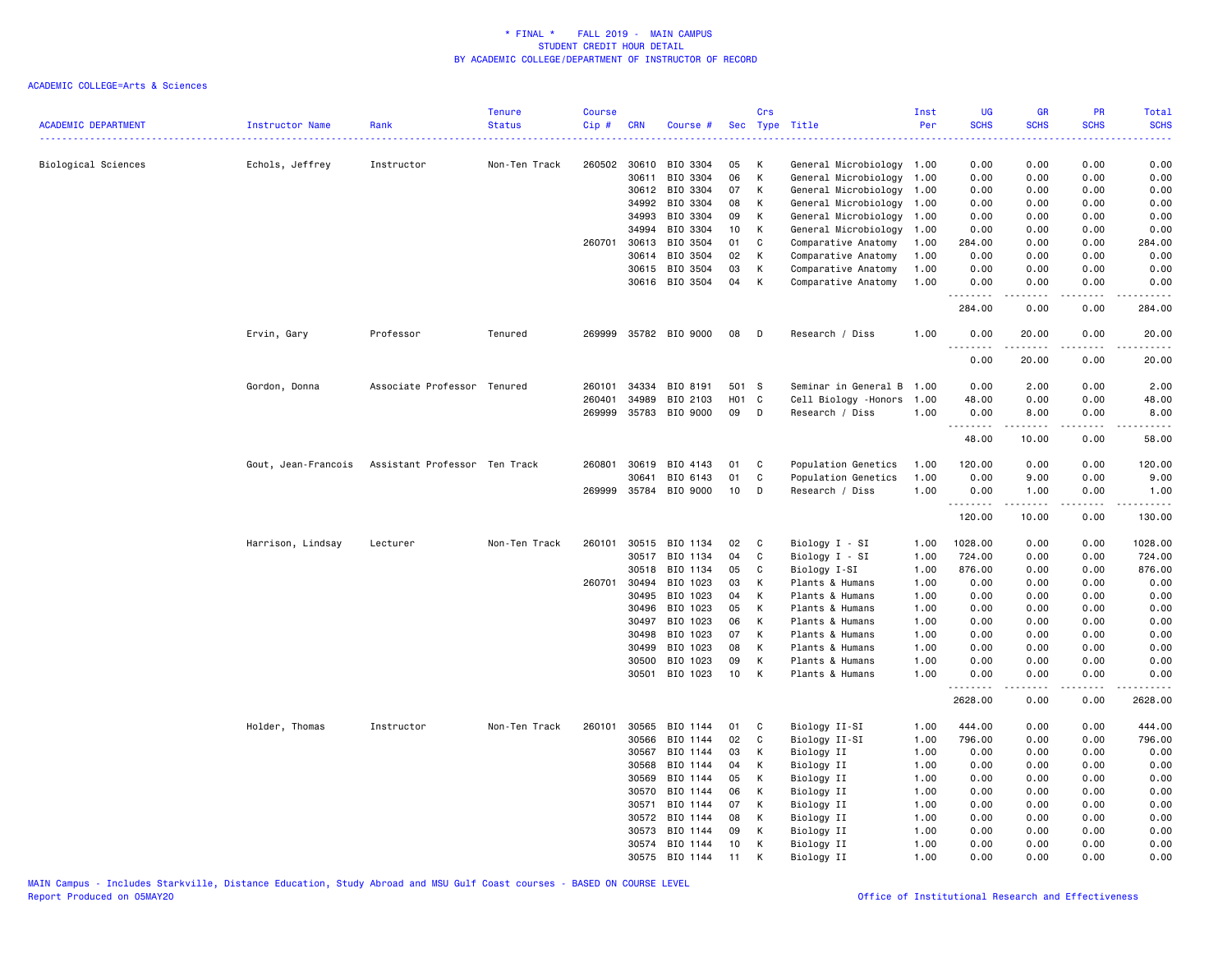| <b>ACADEMIC DEPARTMENT</b> | Instructor Name     | Rank                          | <b>Tenure</b><br><b>Status</b> | <b>Course</b><br>Cip# | <b>CRN</b>     | Course #              |          | Crs<br>Sec Type Title |                                | Inst<br>Per  | <b>UG</b><br><b>SCHS</b> | GR<br><b>SCHS</b>    | PR<br><b>SCHS</b> | Total<br><b>SCHS</b>         |
|----------------------------|---------------------|-------------------------------|--------------------------------|-----------------------|----------------|-----------------------|----------|-----------------------|--------------------------------|--------------|--------------------------|----------------------|-------------------|------------------------------|
| Biological Sciences        |                     |                               | Non-Ten Track                  |                       | 260502 30610   | BIO 3304              | 05       | К                     | .<br>General Microbiology 1.00 |              | 0.00                     | 0.00                 | 0.00              | المتمامين<br>0.00            |
|                            | Echols, Jeffrey     | Instructor                    |                                |                       | 30611          | BIO 3304              | 06       | K                     | General Microbiology 1.00      |              | 0.00                     | 0.00                 | 0.00              | 0.00                         |
|                            |                     |                               |                                |                       | 30612          | BIO 3304              | 07       | К                     | General Microbiology           | 1.00         | 0.00                     | 0.00                 | 0.00              | 0.00                         |
|                            |                     |                               |                                |                       | 34992          | BIO 3304              | 08       | Κ                     | General Microbiology           | 1.00         | 0.00                     | 0.00                 | 0.00              | 0.00                         |
|                            |                     |                               |                                |                       | 34993          | BIO 3304              | 09       | К                     | General Microbiology           | 1.00         | 0.00                     | 0.00                 | 0.00              | 0.00                         |
|                            |                     |                               |                                |                       | 34994          | BIO 3304              | 10       | К                     | General Microbiology           | 1.00         | 0.00                     | 0.00                 | 0.00              | 0.00                         |
|                            |                     |                               |                                | 260701                | 30613          | BIO 3504              | 01       | C                     | Comparative Anatomy            | 1.00         | 284.00                   | 0.00                 | 0.00              | 284.00                       |
|                            |                     |                               |                                |                       | 30614          | BIO 3504              | 02       | К                     | Comparative Anatomy            | 1.00         | 0.00                     | 0.00                 | 0.00              | 0.00                         |
|                            |                     |                               |                                |                       | 30615          | BIO 3504              | 03       | K                     | Comparative Anatomy            | 1.00         | 0.00                     | 0.00                 | 0.00              | 0.00                         |
|                            |                     |                               |                                |                       |                | 30616 BIO 3504        | 04       | К                     | Comparative Anatomy            | 1.00         | 0.00<br>.                | 0.00<br>.            | 0.00<br>.         | 0.00<br>.                    |
|                            |                     |                               |                                |                       |                |                       |          |                       |                                |              | 284.00                   | 0.00                 | 0.00              | 284.00                       |
|                            | Ervin, Gary         | Professor                     | Tenured                        | 269999                |                | 35782 BIO 9000        | 08       | D                     | Research / Diss                | 1.00         | 0.00<br><u>.</u>         | 20.00<br>------      | 0.00<br>.         | 20.00<br>. <u>.</u> .        |
|                            |                     |                               |                                |                       |                |                       |          |                       |                                |              | 0.00                     | 20.00                | 0.00              | 20.00                        |
|                            | Gordon, Donna       | Associate Professor Tenured   |                                | 260101                | 34334          | BIO 8191              | 501 S    |                       | Seminar in General B           | 1.00         | 0.00                     | 2.00                 | 0.00              | 2.00                         |
|                            |                     |                               |                                | 260401                | 34989          | BIO 2103              | H01 C    |                       | Cell Biology -Honors           | 1.00         | 48.00                    | 0.00                 | 0.00              | 48.00                        |
|                            |                     |                               |                                |                       |                | 269999 35783 BIO 9000 | 09       | $\mathsf{D}$          | Research / Diss                | 1.00         | 0.00                     | 8.00                 | 0.00              | 8.00                         |
|                            |                     |                               |                                |                       |                |                       |          |                       |                                |              | .<br>48.00               | $- - - - -$<br>10.00 | .<br>0.00         | .<br>58.00                   |
|                            | Gout, Jean-Francois | Assistant Professor Ten Track |                                | 260801                | 30619          | BIO 4143              | 01       | C                     | Population Genetics            | 1.00         | 120.00                   | 0.00                 | 0.00              | 120.00                       |
|                            |                     |                               |                                |                       | 30641          | BIO 6143              | 01       | C                     | Population Genetics            | 1.00         | 0.00                     | 9.00                 | 0.00              | 9.00                         |
|                            |                     |                               |                                |                       |                | 269999 35784 BIO 9000 | 10       | D                     | Research / Diss                | 1.00         | 0.00<br>.                | 1.00                 | 0.00              | 1.00                         |
|                            |                     |                               |                                |                       |                |                       |          |                       |                                |              | 120.00                   | -----<br>10.00       | د د د د<br>0.00   | والمستحدث والمنافذ<br>130.00 |
|                            | Harrison, Lindsay   | Lecturer                      | Non-Ten Track                  | 260101                | 30515          | BIO 1134              | 02       | C                     | Biology I - SI                 | 1.00         | 1028.00                  | 0.00                 | 0.00              | 1028.00                      |
|                            |                     |                               |                                |                       | 30517          | BIO 1134              | 04       | C                     | Biology I - SI                 | 1.00         | 724.00                   | 0.00                 | 0.00              | 724.00                       |
|                            |                     |                               |                                |                       | 30518          | BIO 1134              | 05       | C                     | Biology I-SI                   | 1.00         | 876.00                   | 0.00                 | 0.00              | 876.00                       |
|                            |                     |                               |                                | 260701                | 30494          | BIO 1023              | 03       | К                     | Plants & Humans                | 1.00         | 0.00                     | 0.00                 | 0.00              | 0.00                         |
|                            |                     |                               |                                |                       | 30495          | BIO 1023              | 04       | K                     | Plants & Humans                | 1.00         | 0.00                     | 0.00                 | 0.00              | 0.00                         |
|                            |                     |                               |                                |                       | 30496          | BIO 1023              | 05       | К                     | Plants & Humans                | 1.00         | 0.00                     | 0.00                 | 0.00              | 0.00                         |
|                            |                     |                               |                                |                       | 30497          | BIO 1023              | 06       | К                     | Plants & Humans                | 1.00         | 0.00                     | 0.00                 | 0.00              | 0.00                         |
|                            |                     |                               |                                |                       | 30498          | BIO 1023              | 07       | Κ                     | Plants & Humans                | 1.00         | 0.00                     | 0.00                 | 0.00              | 0.00                         |
|                            |                     |                               |                                |                       | 30499          | BIO 1023              | 08       | К                     | Plants & Humans                | 1.00         | 0.00                     | 0.00                 | 0.00              | 0.00                         |
|                            |                     |                               |                                |                       | 30500<br>30501 | BIO 1023              | 09<br>10 | K<br>К                | Plants & Humans                | 1.00<br>1.00 | 0.00                     | 0.00<br>0.00         | 0.00<br>0.00      | 0.00                         |
|                            |                     |                               |                                |                       |                | BIO 1023              |          |                       | Plants & Humans                |              | 0.00<br>.                | .                    | .                 | 0.00<br>.                    |
|                            |                     |                               |                                |                       |                |                       |          |                       |                                |              | 2628.00                  | 0.00                 | 0.00              | 2628.00                      |
|                            | Holder, Thomas      | Instructor                    | Non-Ten Track                  | 260101                | 30565          | BIO 1144              | 01       | C                     | Biology II-SI                  | 1.00         | 444.00                   | 0.00                 | 0.00              | 444.00                       |
|                            |                     |                               |                                |                       | 30566          | BIO 1144              | 02       | C                     | Biology II-SI                  | 1.00         | 796.00                   | 0.00                 | 0.00              | 796.00                       |
|                            |                     |                               |                                |                       | 30567          | BIO 1144              | 03       | К                     | Biology II                     | 1.00         | 0.00                     | 0.00                 | 0.00              | 0.00                         |
|                            |                     |                               |                                |                       | 30568          | BIO 1144              | 04       | К                     | Biology II                     | 1.00         | 0.00                     | 0.00                 | 0.00              | 0.00                         |
|                            |                     |                               |                                |                       | 30569          | BIO 1144              | 05       | К                     | Biology II                     | 1.00         | 0.00                     | 0.00                 | 0.00              | 0.00                         |
|                            |                     |                               |                                |                       | 30570          | BIO 1144              | 06       | K                     | Biology II                     | 1.00         | 0.00                     | 0.00                 | 0.00              | 0.00                         |
|                            |                     |                               |                                |                       | 30571          | BIO 1144              | 07       | К                     | Biology II                     | 1.00         | 0.00                     | 0.00                 | 0.00              | 0.00                         |
|                            |                     |                               |                                |                       | 30572          | BIO 1144              | 08       | К<br>К                | Biology II                     | 1.00         | 0.00<br>0.00             | 0.00                 | 0.00              | 0.00                         |
|                            |                     |                               |                                |                       | 30573<br>30574 | BIO 1144<br>BIO 1144  | 09<br>10 | K                     | Biology II<br>Biology II       | 1.00<br>1.00 | 0.00                     | 0.00<br>0.00         | 0.00<br>0.00      | 0.00<br>0.00                 |
|                            |                     |                               |                                |                       | 30575          | BIO 1144              | 11       | K                     | Biology II                     | 1.00         | 0.00                     | 0.00                 | 0.00              | 0.00                         |
|                            |                     |                               |                                |                       |                |                       |          |                       |                                |              |                          |                      |                   |                              |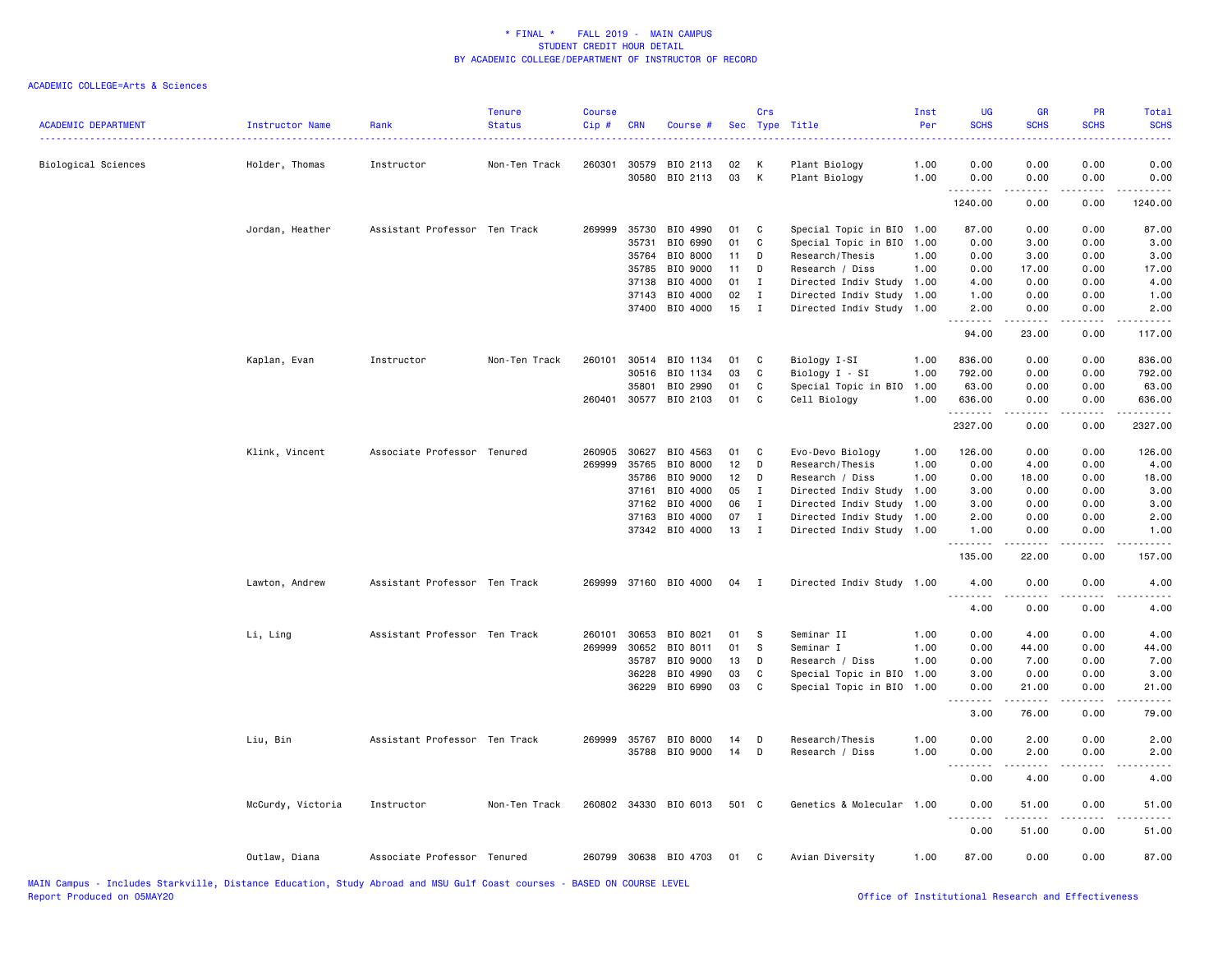| <b>ACADEMIC DEPARTMENT</b> | Instructor Name   | Rank                          | <b>Tenure</b><br><b>Status</b> | <b>Course</b><br>Cip # | <b>CRN</b>     | Course #              | Sec      | Crs                | Type Title                                   | Inst<br>Per  | <b>UG</b><br><b>SCHS</b> | GR<br><b>SCHS</b>                          | PR<br><b>SCHS</b>                                                                                                                 | Total<br><b>SCHS</b>           |
|----------------------------|-------------------|-------------------------------|--------------------------------|------------------------|----------------|-----------------------|----------|--------------------|----------------------------------------------|--------------|--------------------------|--------------------------------------------|-----------------------------------------------------------------------------------------------------------------------------------|--------------------------------|
| Biological Sciences        | Holder, Thomas    | Instructor                    | Non-Ten Track                  | 260301                 | 30579<br>30580 | BIO 2113<br>BIO 2113  | 02<br>03 | к<br>К             | Plant Biology<br>Plant Biology               | 1.00<br>1.00 | 0.00<br>0.00             | 0.00<br>0.00                               | 0.00<br>0.00                                                                                                                      | 0.00<br>0.00                   |
|                            |                   |                               |                                |                        |                |                       |          |                    |                                              |              | .<br>1240.00             | .<br>0.00                                  | $\frac{1}{2} \left( \frac{1}{2} \right) \left( \frac{1}{2} \right) \left( \frac{1}{2} \right) \left( \frac{1}{2} \right)$<br>0.00 | .<br>1240.00                   |
|                            |                   |                               |                                |                        |                |                       |          |                    |                                              |              |                          |                                            |                                                                                                                                   |                                |
|                            | Jordan, Heather   | Assistant Professor Ten Track |                                | 269999                 | 35730          | BIO 4990              | 01       | C                  | Special Topic in BIO                         | 1.00         | 87.00                    | 0.00                                       | 0.00                                                                                                                              | 87.00                          |
|                            |                   |                               |                                |                        | 35731          | BIO 6990              | 01       | C                  | Special Topic in BIO                         | 1.00         | 0.00                     | 3.00                                       | 0.00                                                                                                                              | 3.00                           |
|                            |                   |                               |                                |                        | 35764          | BIO 8000              | 11       | D                  | Research/Thesis                              | 1.00         | 0.00                     | 3.00                                       | 0.00                                                                                                                              | 3.00                           |
|                            |                   |                               |                                |                        | 35785          | BIO 9000              | 11<br>01 | D                  | Research / Diss                              | 1.00         | 0.00                     | 17.00                                      | 0.00                                                                                                                              | 17.00                          |
|                            |                   |                               |                                |                        | 37138<br>37143 | BIO 4000<br>BIO 4000  | 02       | Ι.<br>$\mathbf{I}$ | Directed Indiv Study<br>Directed Indiv Study | 1.00<br>1.00 | 4.00<br>1.00             | 0.00<br>0.00                               | 0.00<br>0.00                                                                                                                      | 4.00<br>1.00                   |
|                            |                   |                               |                                |                        | 37400          | BIO 4000              | 15       | $\mathbf{I}$       | Directed Indiv Study                         | 1.00         | 2.00                     | 0.00                                       | 0.00                                                                                                                              | 2.00                           |
|                            |                   |                               |                                |                        |                |                       |          |                    |                                              |              | .<br>94.00               | 23.00                                      | 0.00                                                                                                                              | $\sim$ $\sim$ $\sim$<br>117.00 |
|                            |                   |                               |                                |                        |                |                       |          |                    |                                              |              |                          |                                            |                                                                                                                                   |                                |
|                            | Kaplan, Evan      | Instructor                    | Non-Ten Track                  | 260101                 | 30514          | BIO 1134              | 01       | C                  | Biology I-SI                                 | 1.00         | 836.00                   | 0.00                                       | 0.00                                                                                                                              | 836.00                         |
|                            |                   |                               |                                |                        | 30516          | BIO 1134              | 03       | $\mathtt{C}$       | Biology I - SI                               | 1.00         | 792.00                   | 0.00                                       | 0.00                                                                                                                              | 792.00                         |
|                            |                   |                               |                                |                        | 35801          | BIO 2990              | 01       | C                  | Special Topic in BIO                         | 1.00         | 63.00                    | 0.00                                       | 0.00                                                                                                                              | 63.00                          |
|                            |                   |                               |                                |                        |                | 260401 30577 BIO 2103 | 01       | C                  | Cell Biology                                 | 1.00         | 636.00<br><u>.</u>       | 0.00                                       | 0.00                                                                                                                              | 636.00<br>.                    |
|                            |                   |                               |                                |                        |                |                       |          |                    |                                              |              | 2327.00                  | 0.00                                       | 0.00                                                                                                                              | 2327.00                        |
|                            | Klink, Vincent    | Associate Professor Tenured   |                                | 260905                 | 30627          | BIO 4563              | 01       | C                  | Evo-Devo Biology                             | 1.00         | 126.00                   | 0.00                                       | 0.00                                                                                                                              | 126.00                         |
|                            |                   |                               |                                | 269999                 | 35765          | BIO 8000              | 12       | D                  | Research/Thesis                              | 1.00         | 0.00                     | 4.00                                       | 0.00                                                                                                                              | 4.00                           |
|                            |                   |                               |                                |                        | 35786          | BIO 9000              | 12       | D                  | Research / Diss                              | 1.00         | 0.00                     | 18.00                                      | 0.00                                                                                                                              | 18.00                          |
|                            |                   |                               |                                |                        | 37161          | BIO 4000              | 05       | $\mathbf{I}$       | Directed Indiv Study                         | 1.00         | 3.00                     | 0.00                                       | 0.00                                                                                                                              | 3.00                           |
|                            |                   |                               |                                |                        | 37162          | BIO 4000              | 06       | $\mathbf{I}$       | Directed Indiv Study                         | 1.00         | 3.00                     | 0.00                                       | 0.00                                                                                                                              | 3.00                           |
|                            |                   |                               |                                |                        | 37163          | BIO 4000              | 07       | I                  | Directed Indiv Study                         | 1.00         | 2.00                     | 0.00                                       | 0.00                                                                                                                              | 2.00                           |
|                            |                   |                               |                                |                        |                | 37342 BIO 4000        | 13       | $\mathbf I$        | Directed Indiv Study 1.00                    |              | 1.00<br>.                | 0.00<br>$\sim$ $\sim$ $\sim$ $\sim$ $\sim$ | 0.00<br>.                                                                                                                         | 1.00<br>.                      |
|                            |                   |                               |                                |                        |                |                       |          |                    |                                              |              | 135.00                   | 22.00                                      | 0.00                                                                                                                              | 157.00                         |
|                            | Lawton, Andrew    | Assistant Professor Ten Track |                                | 269999                 |                | 37160 BIO 4000        | 04       | I                  | Directed Indiv Study 1.00                    |              | 4.00                     | 0.00                                       | 0.00                                                                                                                              | 4.00                           |
|                            |                   |                               |                                |                        |                |                       |          |                    |                                              |              | .<br>4.00                | .<br>0.00                                  | $\sim$ $\sim$ $\sim$ $\sim$<br>0.00                                                                                               | .<br>4.00                      |
|                            | Li, Ling          | Assistant Professor Ten Track |                                | 260101                 | 30653          | BIO 8021              | 01       | s                  | Seminar II                                   | 1.00         | 0.00                     | 4.00                                       | 0.00                                                                                                                              | 4.00                           |
|                            |                   |                               |                                | 269999                 | 30652          | BIO 8011              | 01       | S                  | Seminar I                                    | 1.00         | 0.00                     | 44.00                                      | 0.00                                                                                                                              | 44.00                          |
|                            |                   |                               |                                |                        | 35787          | BIO 9000              | 13       | D                  | Research / Diss                              | 1.00         | 0.00                     | 7.00                                       | 0.00                                                                                                                              | 7.00                           |
|                            |                   |                               |                                |                        | 36228          | BIO 4990              | 03       | C                  | Special Topic in BIO                         | 1.00         | 3.00                     | 0.00                                       | 0.00                                                                                                                              | 3.00                           |
|                            |                   |                               |                                |                        | 36229          | BIO 6990              | 03       | C                  | Special Topic in BIO                         | 1.00         | 0.00                     | 21.00<br>.                                 | 0.00<br>.                                                                                                                         | 21.00                          |
|                            |                   |                               |                                |                        |                |                       |          |                    |                                              |              | 3.00                     | 76.00                                      | 0.00                                                                                                                              | 79.00                          |
|                            | Liu, Bin          | Assistant Professor Ten Track |                                | 269999                 | 35767          | BIO 8000              | 14       | D                  | Research/Thesis                              | 1.00         | 0.00                     | 2.00                                       | 0.00                                                                                                                              | 2.00                           |
|                            |                   |                               |                                |                        |                | 35788 BIO 9000        | 14       | D                  | Research / Diss                              | 1.00         | 0.00<br>.                | 2.00                                       | 0.00<br>د د د د                                                                                                                   | 2.00<br>$- - - -$              |
|                            |                   |                               |                                |                        |                |                       |          |                    |                                              |              | 0.00                     | .<br>4.00                                  | 0.00                                                                                                                              | 4.00                           |
|                            | McCurdy, Victoria | Instructor                    | Non-Ten Track                  |                        |                | 260802 34330 BIO 6013 | 501 C    |                    | Genetics & Molecular 1.00                    |              | 0.00<br><u>.</u>         | 51.00<br>.                                 | 0.00<br>.                                                                                                                         | 51.00<br>.                     |
|                            |                   |                               |                                |                        |                |                       |          |                    |                                              |              | 0.00                     | 51.00                                      | 0.00                                                                                                                              | 51.00                          |
|                            | Outlaw, Diana     | Associate Professor Tenured   |                                |                        |                | 260799 30638 BIO 4703 | 01       | C.                 | Avian Diversity                              | 1.00         | 87.00                    | 0.00                                       | 0.00                                                                                                                              | 87.00                          |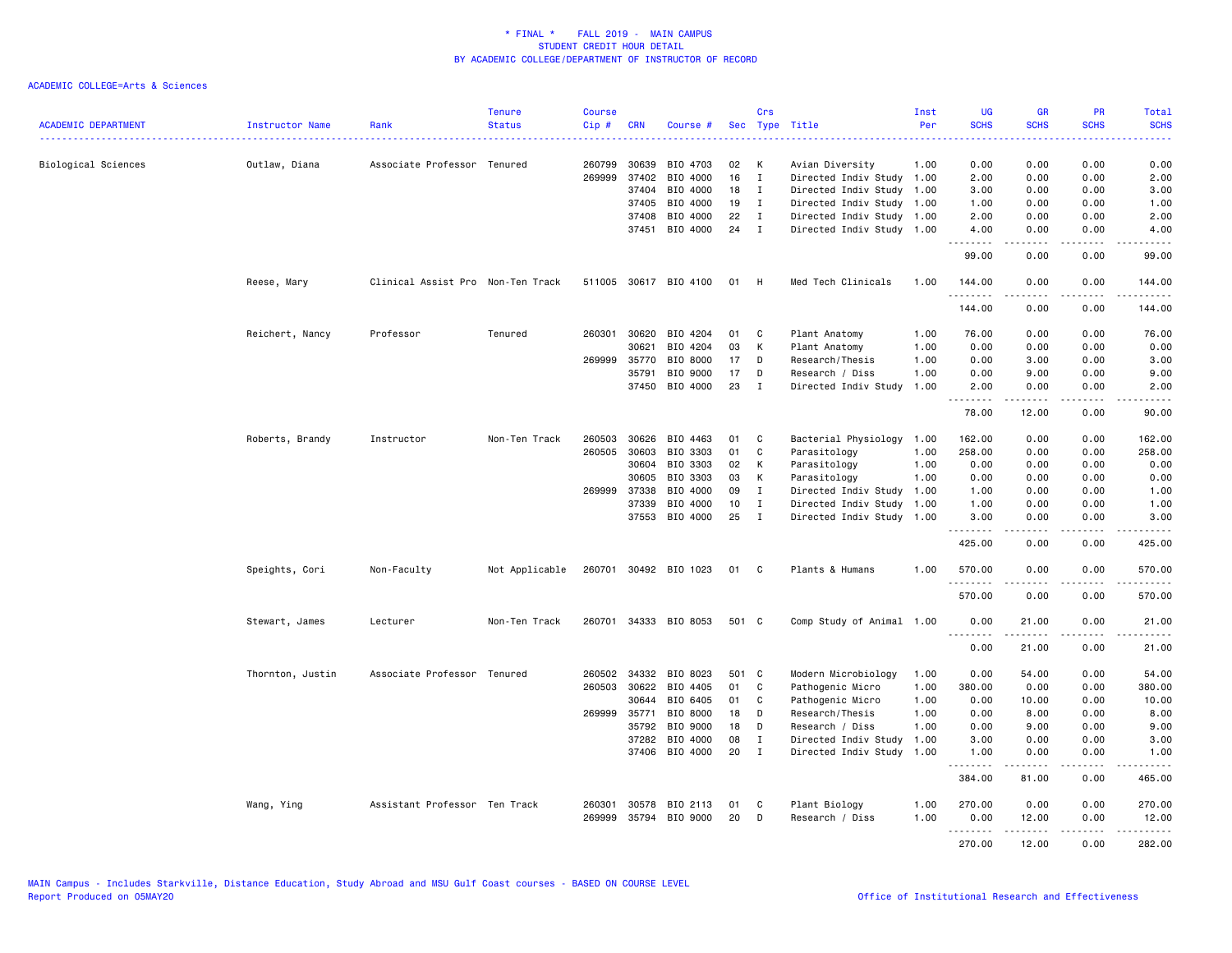| <b>ACADEMIC DEPARTMENT</b> | Instructor Name  | Rank                              | <b>Tenure</b><br><b>Status</b> | <b>Course</b><br>$Cip \#$ | <b>CRN</b>     | Course #              |          | Crs                         | Sec Type Title                                    | Inst<br>Per | <b>UG</b><br><b>SCHS</b> | <b>GR</b><br><b>SCHS</b> | <b>PR</b><br><b>SCHS</b> | Total<br><b>SCHS</b>                             |
|----------------------------|------------------|-----------------------------------|--------------------------------|---------------------------|----------------|-----------------------|----------|-----------------------------|---------------------------------------------------|-------------|--------------------------|--------------------------|--------------------------|--------------------------------------------------|
|                            |                  |                                   |                                |                           |                |                       |          |                             |                                                   |             | .                        |                          | .                        | .                                                |
| Biological Sciences        | Outlaw, Diana    | Associate Professor Tenured       |                                | 260799                    | 30639          | BIO 4703              | 02       | К                           | Avian Diversity                                   | 1.00        | 0.00                     | 0.00                     | 0.00                     | 0.00                                             |
|                            |                  |                                   |                                | 269999                    | 37402          | BIO 4000              | 16       | $\mathbf{I}$                | Directed Indiv Study 1.00                         |             | 2.00                     | 0.00                     | 0.00                     | 2.00                                             |
|                            |                  |                                   |                                |                           | 37404          | BIO 4000              | 18       | $\mathbf{I}$                | Directed Indiv Study                              | 1.00        | 3.00                     | 0.00                     | 0.00                     | 3.00                                             |
|                            |                  |                                   |                                |                           | 37405          | BIO 4000              | 19       | $\mathbf{I}$                | Directed Indiv Study 1.00                         |             | 1.00                     | 0.00                     | 0.00                     | 1.00                                             |
|                            |                  |                                   |                                |                           | 37408<br>37451 | BIO 4000<br>BIO 4000  | 22<br>24 | $\mathbf I$<br>$\mathbf{I}$ | Directed Indiv Study 1.00<br>Directed Indiv Study | 1.00        | 2.00<br>4.00             | 0.00<br>0.00             | 0.00<br>0.00             | 2.00<br>4.00                                     |
|                            |                  |                                   |                                |                           |                |                       |          |                             |                                                   |             | .                        | 22222                    | .                        | $\mathbb{Z} \times \mathbb{Z} \times \mathbb{Z}$ |
|                            |                  |                                   |                                |                           |                |                       |          |                             |                                                   |             | 99.00                    | 0.00                     | 0.00                     | 99.00                                            |
|                            | Reese, Mary      | Clinical Assist Pro Non-Ten Track |                                |                           |                | 511005 30617 BIO 4100 | 01       | H                           | Med Tech Clinicals                                | 1.00        | 144.00<br>.              | 0.00                     | 0.00<br>.                | 144.00<br>.                                      |
|                            |                  |                                   |                                |                           |                |                       |          |                             |                                                   |             | 144.00                   | 0.00                     | 0.00                     | 144.00                                           |
|                            | Reichert, Nancy  | Professor                         | Tenured                        | 260301                    | 30620          | BIO 4204              | 01       | C                           | Plant Anatomy                                     | 1.00        | 76.00                    | 0.00                     | 0.00                     | 76.00                                            |
|                            |                  |                                   |                                |                           | 30621          | BIO 4204              | 03       | К                           | Plant Anatomy                                     | 1.00        | 0.00                     | 0.00                     | 0.00                     | 0.00                                             |
|                            |                  |                                   |                                | 269999                    | 35770          | BIO 8000              | 17       | D                           | Research/Thesis                                   | 1.00        | 0.00                     | 3.00                     | 0.00                     | 3.00                                             |
|                            |                  |                                   |                                |                           | 35791          | BIO 9000              | 17       | D                           | Research / Diss                                   | 1.00        | 0.00                     | 9.00                     | 0.00                     | 9.00                                             |
|                            |                  |                                   |                                |                           | 37450          | BIO 4000              | 23       | I                           | Directed Indiv Study                              | 1.00        | 2.00<br><u>.</u>         | 0.00<br>$- - - - -$      | 0.00<br>.                | 2.00<br>$\frac{1}{2}$                            |
|                            |                  |                                   |                                |                           |                |                       |          |                             |                                                   |             | 78.00                    | 12.00                    | 0.00                     | 90.00                                            |
|                            | Roberts, Brandy  | Instructor                        | Non-Ten Track                  | 260503                    | 30626          | BIO 4463              | 01       | C                           | Bacterial Physiology                              | 1.00        | 162.00                   | 0.00                     | 0.00                     | 162.00                                           |
|                            |                  |                                   |                                | 260505                    | 30603          | BIO 3303              | 01       | C                           | Parasitology                                      | 1.00        | 258.00                   | 0.00                     | 0.00                     | 258.00                                           |
|                            |                  |                                   |                                |                           | 30604          | BIO 3303              | 02       | К                           | Parasitology                                      | 1.00        | 0.00                     | 0.00                     | 0.00                     | 0.00                                             |
|                            |                  |                                   |                                |                           | 30605          | BIO 3303              | 03       | К                           | Parasitology                                      | 1.00        | 0.00                     | 0.00                     | 0.00                     | 0.00                                             |
|                            |                  |                                   |                                | 269999                    | 37338          | BIO 4000              | 09       | $\mathbf{I}$                | Directed Indiv Study                              | 1.00        | 1.00                     | 0.00                     | 0.00                     | 1.00                                             |
|                            |                  |                                   |                                |                           | 37339          | BIO 4000              | 10       | $\mathbf{I}$                | Directed Indiv Study                              | 1.00        | 1.00                     | 0.00                     | 0.00                     | 1.00                                             |
|                            |                  |                                   |                                |                           | 37553          | BIO 4000              | 25       | $\mathbf{I}$                | Directed Indiv Study 1.00                         |             | 3.00<br>.                | 0.00<br>.                | 0.00<br>.                | 3.00<br>.                                        |
|                            |                  |                                   |                                |                           |                |                       |          |                             |                                                   |             | 425.00                   | 0.00                     | 0.00                     | 425.00                                           |
|                            | Speights, Cori   | Non-Faculty                       | Not Applicable                 |                           |                | 260701 30492 BIO 1023 | 01       | C                           | Plants & Humans                                   | 1.00        | 570.00<br>.              | 0.00<br>.                | 0.00<br>$- - - -$        | 570.00<br><u>.</u>                               |
|                            |                  |                                   |                                |                           |                |                       |          |                             |                                                   |             | 570.00                   | 0.00                     | 0.00                     | 570.00                                           |
|                            | Stewart, James   | Lecturer                          | Non-Ten Track                  |                           |                | 260701 34333 BIO 8053 | 501 C    |                             | Comp Study of Animal 1.00                         |             | 0.00                     | 21.00                    | 0.00                     | 21.00                                            |
|                            |                  |                                   |                                |                           |                |                       |          |                             |                                                   |             | --------<br>0.00         | 21.00                    | 0.00                     | .<br>21.00                                       |
|                            | Thornton, Justin | Associate Professor Tenured       |                                |                           | 260502 34332   | BIO 8023              | 501      | C                           | Modern Microbiology                               | 1.00        | 0.00                     | 54.00                    | 0.00                     | 54.00                                            |
|                            |                  |                                   |                                |                           | 260503 30622   | BIO 4405              | 01       | $\mathbf c$                 | Pathogenic Micro                                  | 1.00        | 380.00                   | 0.00                     | 0.00                     | 380.00                                           |
|                            |                  |                                   |                                |                           | 30644          | BIO 6405              | 01       | C                           | Pathogenic Micro                                  | 1.00        | 0.00                     | 10.00                    | 0.00                     | 10.00                                            |
|                            |                  |                                   |                                | 269999                    | 35771          | BIO 8000              | 18       | D                           | Research/Thesis                                   | 1.00        | 0.00                     | 8.00                     | 0.00                     | 8.00                                             |
|                            |                  |                                   |                                |                           | 35792          | BIO 9000              | 18       | D                           | Research / Diss                                   | 1.00        | 0.00                     | 9.00                     | 0.00                     | 9.00                                             |
|                            |                  |                                   |                                |                           | 37282          | BIO 4000              | 08       | $\mathbf{I}$                | Directed Indiv Study                              | 1.00        | 3.00                     | 0.00                     | 0.00                     | 3.00                                             |
|                            |                  |                                   |                                |                           |                | 37406 BIO 4000        | 20       | $\mathbf{I}$                | Directed Indiv Study                              | 1.00        | 1.00<br>.                | 0.00<br>.                | 0.00<br>.                | 1.00<br>$- - - - - -$                            |
|                            |                  |                                   |                                |                           |                |                       |          |                             |                                                   |             | 384.00                   | 81.00                    | 0.00                     | 465.00                                           |
|                            | Wang, Ying       | Assistant Professor Ten Track     |                                | 260301                    | 30578          | BIO 2113              | 01       | C                           | Plant Biology                                     | 1.00        | 270.00                   | 0.00                     | 0.00                     | 270.00                                           |
|                            |                  |                                   |                                | 269999                    | 35794          | BIO 9000              | 20       | D                           | Research / Diss                                   | 1.00        | 0.00                     | 12.00                    | 0.00                     | 12.00                                            |
|                            |                  |                                   |                                |                           |                |                       |          |                             |                                                   |             | .<br>270.00              | .<br>12.00               | 22222<br>0.00            | .<br>282.00                                      |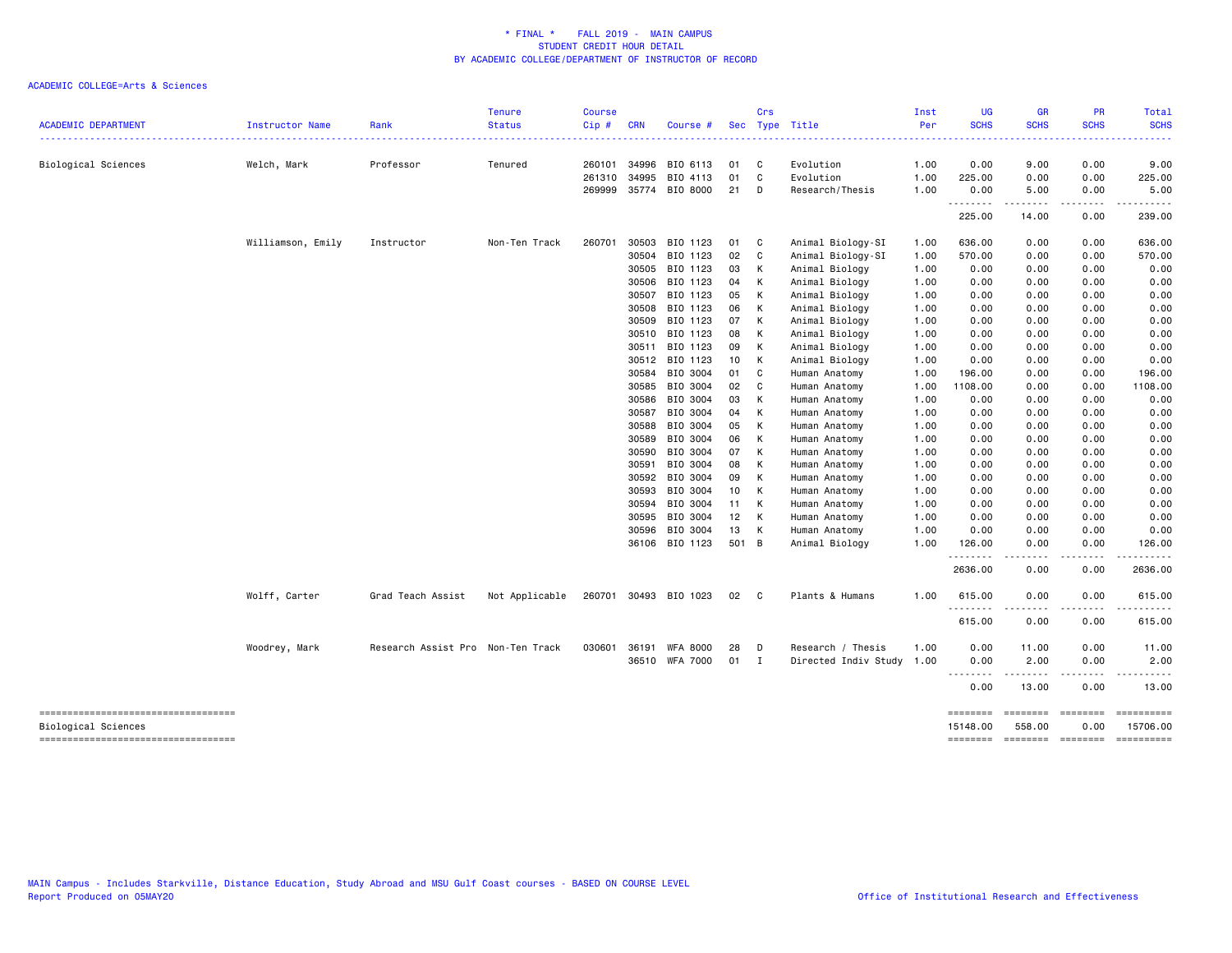|                                     |                   |                                   | <b>Tenure</b>  | <b>Course</b> |            |                       |       | Crs          |                           | Inst | <b>UG</b>        | <b>GR</b>             | <b>PR</b>         | Total                |
|-------------------------------------|-------------------|-----------------------------------|----------------|---------------|------------|-----------------------|-------|--------------|---------------------------|------|------------------|-----------------------|-------------------|----------------------|
| <b>ACADEMIC DEPARTMENT</b>          | Instructor Name   | Rank                              | <b>Status</b>  | Cip#          | <b>CRN</b> | Course #              |       |              | Sec Type Title            | Per  | <b>SCHS</b>      | <b>SCHS</b>           | <b>SCHS</b>       | <b>SCHS</b>          |
| Biological Sciences                 | Welch, Mark       | Professor                         | Tenured        | 260101        | 34996      | BIO 6113              | 01    | C            | Evolution                 | 1.00 | 0.00             | 9.00                  | 0.00              | 9.00                 |
|                                     |                   |                                   |                | 261310        | 34995      | BIO 4113              | 01    | C            | Evolution                 | 1.00 | 225.00           | 0.00                  | 0.00              | 225.00               |
|                                     |                   |                                   |                |               |            | 269999 35774 BIO 8000 | 21    | – D          | Research/Thesis           | 1.00 | 0.00             | 5.00                  | 0.00              | 5.00                 |
|                                     |                   |                                   |                |               |            |                       |       |              |                           |      | .<br>225.00      | . <b>.</b> .<br>14.00 | .<br>0.00         | .<br>239.00          |
|                                     |                   |                                   |                |               |            |                       |       |              |                           |      |                  |                       |                   |                      |
|                                     | Williamson, Emily | Instructor                        | Non-Ten Track  | 260701        | 30503      | BIO 1123              | 01    | $\mathbf{C}$ | Animal Biology-SI         | 1.00 | 636.00           | 0.00                  | 0.00              | 636.00               |
|                                     |                   |                                   |                |               | 30504      | BIO 1123              | 02    | C            | Animal Biology-SI         | 1.00 | 570.00           | 0.00                  | 0.00              | 570.00               |
|                                     |                   |                                   |                |               | 30505      | BIO 1123              | 03    | K            | Animal Biology            | 1.00 | 0.00             | 0.00                  | 0.00              | 0.00                 |
|                                     |                   |                                   |                |               | 30506      | BIO 1123              | 04    | K            | Animal Biology            | 1.00 | 0.00             | 0.00                  | 0.00              | 0.00                 |
|                                     |                   |                                   |                |               | 30507      | BIO 1123              | 05    | К            | Animal Biology            | 1.00 | 0.00             | 0.00                  | 0.00              | 0.00                 |
|                                     |                   |                                   |                |               | 30508      | BIO 1123              | 06    | К            | Animal Biology            | 1.00 | 0.00             | 0.00                  | 0.00              | 0.00                 |
|                                     |                   |                                   |                |               | 30509      | BIO 1123              | 07    | K            | Animal Biology            | 1.00 | 0.00             | 0.00                  | 0.00              | 0.00                 |
|                                     |                   |                                   |                |               | 30510      | BIO 1123              | 08    | К            | Animal Biology            | 1.00 | 0.00             | 0.00                  | 0.00              | 0.00                 |
|                                     |                   |                                   |                |               | 30511      | BIO 1123              | 09    | K            | Animal Biology            | 1.00 | 0.00             | 0.00                  | 0.00              | 0.00                 |
|                                     |                   |                                   |                |               | 30512      | BIO 1123              | 10    | K            | Animal Biology            | 1.00 | 0.00             | 0.00                  | 0.00              | 0.00                 |
|                                     |                   |                                   |                |               | 30584      | BIO 3004              | 01    | C            | Human Anatomy             | 1.00 | 196.00           | 0.00                  | 0.00              | 196.00               |
|                                     |                   |                                   |                |               | 30585      | BIO 3004              | 02    | C            | Human Anatomy             | 1.00 | 1108.00          | 0.00                  | 0.00              | 1108.00              |
|                                     |                   |                                   |                |               | 30586      | BIO 3004              | 03    | K            | Human Anatomy             | 1.00 | 0.00             | 0.00                  | 0.00              | 0.00                 |
|                                     |                   |                                   |                |               | 30587      | BIO 3004              | 04    | К            | Human Anatomy             | 1.00 | 0.00             | 0.00                  | 0.00              | 0.00                 |
|                                     |                   |                                   |                |               | 30588      | BIO 3004              | 05    | К            | Human Anatomy             | 1.00 | 0.00             | 0.00                  | 0.00              | 0.00                 |
|                                     |                   |                                   |                |               | 30589      | BIO 3004              | 06    | К            | Human Anatomy             | 1.00 | 0.00             | 0.00                  | 0.00              | 0.00                 |
|                                     |                   |                                   |                |               | 30590      | BIO 3004              | 07    | К            | Human Anatomy             | 1.00 | 0.00             | 0.00                  | 0.00              | 0.00                 |
|                                     |                   |                                   |                |               | 30591      | BIO 3004              | 08    | К            | Human Anatomy             | 1.00 | 0.00             | 0.00                  | 0.00              | 0.00                 |
|                                     |                   |                                   |                |               | 30592      | BIO 3004              | 09    | К            | Human Anatomy             | 1.00 | 0.00             | 0.00                  | 0.00              | 0.00                 |
|                                     |                   |                                   |                |               | 30593      | BIO 3004              | 10    | К            | Human Anatomy             | 1.00 | 0.00             | 0.00                  | 0.00              | 0.00                 |
|                                     |                   |                                   |                |               | 30594      | BIO 3004              | 11    | K            | Human Anatomy             | 1.00 | 0.00             | 0.00                  | 0.00              | 0.00                 |
|                                     |                   |                                   |                |               | 30595      | BIO 3004              | 12    | К            | Human Anatomy             | 1.00 | 0.00             | 0.00                  | 0.00              | 0.00                 |
|                                     |                   |                                   |                |               | 30596      | BIO 3004              | 13    | K            | Human Anatomy             | 1.00 | 0.00             | 0.00                  | 0.00              | 0.00                 |
|                                     |                   |                                   |                |               |            | 36106 BIO 1123        | 501 B |              | Animal Biology            | 1.00 | 126.00           | 0.00                  | 0.00              | 126.00               |
|                                     |                   |                                   |                |               |            |                       |       |              |                           |      | .<br>2636.00     | $- - - - -$<br>0.00   | <u>.</u><br>0.00  | <u>.</u><br>2636.00  |
|                                     | Wolff, Carter     | Grad Teach Assist                 | Not Applicable |               |            | 260701 30493 BIO 1023 | 02    | $\mathbf{C}$ | Plants & Humans           | 1.00 | 615.00           | 0.00                  | 0.00              | 615.00               |
|                                     |                   |                                   |                |               |            |                       |       |              |                           |      | .<br>615.00      | -----<br>0.00         | المتمالين<br>0.00 | .<br>615.00          |
|                                     |                   |                                   |                |               |            |                       |       |              |                           |      |                  |                       |                   |                      |
|                                     | Woodrey, Mark     | Research Assist Pro Non-Ten Track |                | 030601        |            | 36191 WFA 8000        | 28    | D            | Research / Thesis         | 1.00 | 0.00             | 11.00                 | 0.00              | 11.00                |
|                                     |                   |                                   |                |               |            | 36510 WFA 7000        | 01 I  |              | Directed Indiv Study 1.00 |      | 0.00<br>-------- | 2.00<br>.             | 0.00<br><u>.</u>  | 2.00<br>. <b>.</b> . |
|                                     |                   |                                   |                |               |            |                       |       |              |                           |      | 0.00             | 13.00                 | 0.00              | 13.00                |
| ----------------------------------- |                   |                                   |                |               |            |                       |       |              |                           |      | ========         | ========              | $=$               |                      |
| Biological Sciences                 |                   |                                   |                |               |            |                       |       |              |                           |      | 15148.00         | 558.00                | 0.00              | 15706.00             |
| ----------------------------------- |                   |                                   |                |               |            |                       |       |              |                           |      | ========         | <b>EDEDEDED</b>       | $=$ ========      |                      |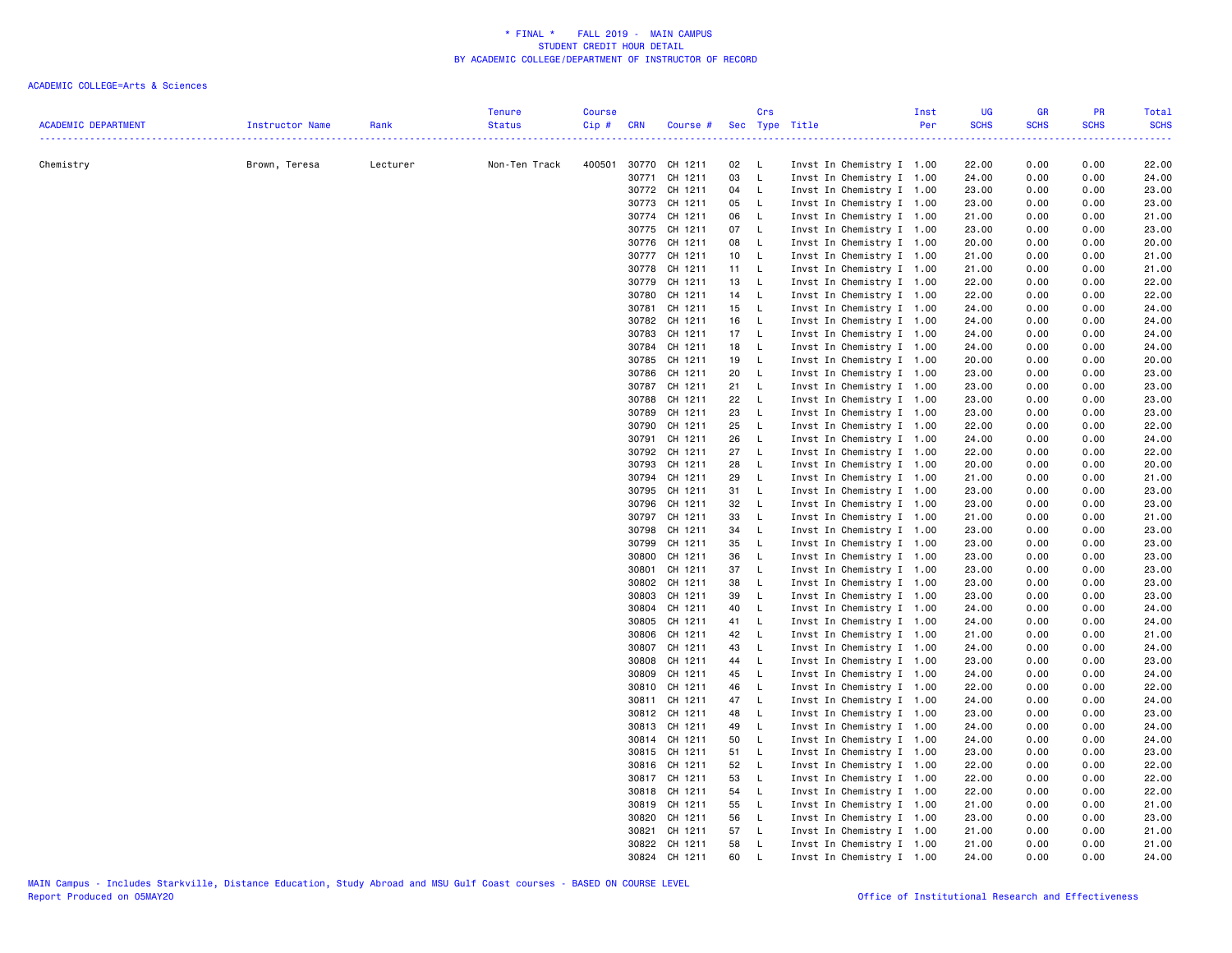|                            |                 |          | <b>Tenure</b>      | <b>Course</b> |                |                          |          | Crs                          |                                                        | Inst | UG             | <b>GR</b>    | PR           | Total          |
|----------------------------|-----------------|----------|--------------------|---------------|----------------|--------------------------|----------|------------------------------|--------------------------------------------------------|------|----------------|--------------|--------------|----------------|
| <b>ACADEMIC DEPARTMENT</b> | Instructor Name | Rank     | <b>Status</b><br>. | Cip#          | <b>CRN</b>     | Course #                 |          |                              | Sec Type Title                                         | Per  | <b>SCHS</b>    | <b>SCHS</b>  | <b>SCHS</b>  | <b>SCHS</b>    |
|                            |                 |          |                    |               |                |                          |          |                              |                                                        |      |                |              |              |                |
| Chemistry                  | Brown, Teresa   | Lecturer | Non-Ten Track      |               |                | 400501 30770 CH 1211     | 02       | $\mathsf{L}$                 | Invst In Chemistry I 1.00                              |      | 22.00          | 0.00         | 0.00         | 22.00          |
|                            |                 |          |                    |               |                | 30771 CH 1211            | 03       | $\mathsf{L}$                 | Invst In Chemistry I 1.00                              |      | 24.00          | 0.00         | 0.00         | 24.00          |
|                            |                 |          |                    |               |                | 30772 CH 1211            | 04       | $\mathsf{L}$                 | Invst In Chemistry I 1.00                              |      | 23.00          | 0.00         | 0.00         | 23.00          |
|                            |                 |          |                    |               | 30773          | CH 1211<br>30774 CH 1211 | 05<br>06 | $\mathsf{L}$<br>$\mathsf{L}$ | Invst In Chemistry I 1.00<br>Invst In Chemistry I 1.00 |      | 23.00<br>21.00 | 0.00<br>0.00 | 0.00<br>0.00 | 23.00<br>21.00 |
|                            |                 |          |                    |               |                | 30775 CH 1211            | 07       | - L                          | Invst In Chemistry I 1.00                              |      | 23.00          | 0.00         | 0.00         | 23.00          |
|                            |                 |          |                    |               | 30776          | CH 1211                  | 08       | $\mathsf{L}$                 | Invst In Chemistry I 1.00                              |      | 20.00          | 0.00         | 0.00         | 20.00          |
|                            |                 |          |                    |               |                | 30777 CH 1211            | 10       | $\mathsf{L}$                 | Invst In Chemistry I 1.00                              |      | 21.00          | 0.00         | 0.00         | 21.00          |
|                            |                 |          |                    |               | 30778          | CH 1211                  | 11       | $\mathsf{L}$                 | Invst In Chemistry I 1.00                              |      | 21.00          | 0.00         | 0.00         | 21.00          |
|                            |                 |          |                    |               | 30779          | CH 1211                  | 13       | $\mathsf{L}$                 | Invst In Chemistry I 1.00                              |      | 22.00          | 0.00         | 0.00         | 22.00          |
|                            |                 |          |                    |               | 30780          | CH 1211                  | 14       | $\mathsf{L}$                 | Invst In Chemistry I 1.00                              |      | 22.00          | 0.00         | 0.00         | 22.00          |
|                            |                 |          |                    |               |                | 30781 CH 1211            | 15       | $\mathsf{L}$                 | Invst In Chemistry I 1.00                              |      | 24.00          | 0.00         | 0.00         | 24.00          |
|                            |                 |          |                    |               | 30782          | CH 1211                  | 16       | - L                          | Invst In Chemistry I 1.00                              |      | 24.00          | 0.00         | 0.00         | 24.00          |
|                            |                 |          |                    |               | 30783          | CH 1211                  | 17       | $\mathsf{L}$                 | Invst In Chemistry I 1.00                              |      | 24.00          | 0.00         | 0.00         | 24.00          |
|                            |                 |          |                    |               | 30784          | CH 1211                  | 18       | $\mathsf{L}$                 | Invst In Chemistry I 1.00                              |      | 24.00          | 0.00         | 0.00         | 24.00          |
|                            |                 |          |                    |               | 30785          | CH 1211                  | 19       | $\mathsf{L}$                 | Invst In Chemistry I 1.00                              |      | 20.00          | 0.00         | 0.00         | 20.00          |
|                            |                 |          |                    |               | 30786          | CH 1211                  | 20       | $\mathsf{L}$                 | Invst In Chemistry I 1.00                              |      | 23.00          | 0.00         | 0.00         | 23.00          |
|                            |                 |          |                    |               | 30787          | CH 1211                  | 21       | $\mathsf{L}$                 | Invst In Chemistry I 1.00                              |      | 23.00          | 0.00         | 0.00         | 23.00          |
|                            |                 |          |                    |               | 30788          | CH 1211                  | 22       | $\mathsf{L}$                 | Invst In Chemistry I 1.00                              |      | 23.00          | 0.00         | 0.00         | 23.00          |
|                            |                 |          |                    |               | 30789          | CH 1211                  | 23       | $\mathsf{L}$                 | Invst In Chemistry I 1.00                              |      | 23.00          | 0.00         | 0.00         | 23.00          |
|                            |                 |          |                    |               | 30790          | CH 1211                  | 25       | <b>L</b>                     | Invst In Chemistry I 1.00                              |      | 22.00          | 0.00         | 0.00         | 22.00          |
|                            |                 |          |                    |               |                | 30791 CH 1211            | 26       | $\mathsf{L}$                 | Invst In Chemistry I 1.00                              |      | 24.00          | 0.00         | 0.00         | 24.00          |
|                            |                 |          |                    |               | 30792          | CH 1211                  | 27       | $\mathsf{L}$                 | Invst In Chemistry I 1.00                              |      | 22.00          | 0.00         | 0.00         | 22.00          |
|                            |                 |          |                    |               | 30793          | CH 1211                  | 28       | $\mathsf{L}$                 | Invst In Chemistry I 1.00                              |      | 20.00          | 0.00         | 0.00         | 20.00          |
|                            |                 |          |                    |               | 30794          | CH 1211                  | 29       | L.                           | Invst In Chemistry I 1.00                              |      | 21.00          | 0.00         | 0.00         | 21.00          |
|                            |                 |          |                    |               | 30795          | CH 1211                  | 31       | <b>L</b>                     | Invst In Chemistry I 1.00                              |      | 23.00          | 0.00         | 0.00         | 23.00          |
|                            |                 |          |                    |               | 30796          | CH 1211                  | 32       | $\mathsf{L}$                 | Invst In Chemistry I 1.00                              |      | 23.00          | 0.00         | 0.00         | 23.00          |
|                            |                 |          |                    |               |                | 30797 CH 1211            | 33       | $\mathsf{L}$                 | Invst In Chemistry I 1.00                              |      | 21.00          | 0.00         | 0.00         | 21.00          |
|                            |                 |          |                    |               | 30798          | CH 1211                  | 34       | $\mathsf{L}$                 | Invst In Chemistry I 1.00                              |      | 23.00          | 0.00         | 0.00         | 23.00          |
|                            |                 |          |                    |               | 30799          | CH 1211                  | 35       | $\mathsf{L}$                 | Invst In Chemistry I 1.00                              |      | 23.00          | 0.00         | 0.00         | 23.00          |
|                            |                 |          |                    |               | 30800          | CH 1211                  | 36       | $\mathsf{L}$                 | Invst In Chemistry I 1.00                              |      | 23.00          | 0.00         | 0.00         | 23.00          |
|                            |                 |          |                    |               | 30801          | CH 1211                  | 37       | $\mathsf{L}$                 | Invst In Chemistry I 1.00                              |      | 23.00          | 0.00         | 0.00         | 23.00          |
|                            |                 |          |                    |               | 30802          | CH 1211                  | 38       | L.                           | Invst In Chemistry I 1.00                              |      | 23.00          | 0.00         | 0.00         | 23.00          |
|                            |                 |          |                    |               | 30803          | CH 1211                  | 39       | $\mathsf{L}$                 | Invst In Chemistry I 1.00                              |      | 23.00          | 0.00         | 0.00         | 23.00          |
|                            |                 |          |                    |               | 30804<br>30805 | CH 1211<br>CH 1211       | 40<br>41 | $\mathsf{L}$<br>$\mathsf{L}$ | Invst In Chemistry I 1.00                              |      | 24.00<br>24.00 | 0.00<br>0.00 | 0.00<br>0.00 | 24.00<br>24.00 |
|                            |                 |          |                    |               |                | CH 1211                  | 42       | $\mathsf{L}$                 | Invst In Chemistry I 1.00                              |      |                |              |              |                |
|                            |                 |          |                    |               | 30806<br>30807 | CH 1211                  | 43       | $\mathsf{L}$                 | Invst In Chemistry I 1.00<br>Invst In Chemistry I 1.00 |      | 21.00<br>24.00 | 0.00<br>0.00 | 0.00<br>0.00 | 21.00<br>24.00 |
|                            |                 |          |                    |               | 30808          | CH 1211                  | 44       | - L                          | Invst In Chemistry I 1.00                              |      | 23.00          | 0.00         | 0.00         | 23.00          |
|                            |                 |          |                    |               | 30809          | CH 1211                  | 45       | $\mathsf{L}$                 | Invst In Chemistry I 1.00                              |      | 24.00          | 0.00         | 0.00         | 24.00          |
|                            |                 |          |                    |               |                | 30810 CH 1211            | 46       | $\mathsf{L}$                 | Invst In Chemistry I 1.00                              |      | 22.00          | 0.00         | 0.00         | 22.00          |
|                            |                 |          |                    |               |                | 30811 CH 1211            | 47       | $\mathsf{L}$                 | Invst In Chemistry I 1.00                              |      | 24.00          | 0.00         | 0.00         | 24.00          |
|                            |                 |          |                    |               |                | 30812 CH 1211            | 48       | $\mathsf{L}$                 | Invst In Chemistry I 1.00                              |      | 23.00          | 0.00         | 0.00         | 23.00          |
|                            |                 |          |                    |               |                | 30813 CH 1211            | 49       | $\mathsf{L}$                 | Invst In Chemistry I 1.00                              |      | 24.00          | 0.00         | 0.00         | 24.00          |
|                            |                 |          |                    |               |                | 30814 CH 1211            | 50       | $\mathsf{L}$                 | Invst In Chemistry I 1.00                              |      | 24.00          | 0.00         | 0.00         | 24.00          |
|                            |                 |          |                    |               |                | 30815 CH 1211            | 51       | $\mathsf{L}$                 | Invst In Chemistry I 1.00                              |      | 23.00          | 0.00         | 0.00         | 23.00          |
|                            |                 |          |                    |               |                | 30816 CH 1211            | 52       | $\mathsf{L}$                 | Invst In Chemistry I 1.00                              |      | 22.00          | 0.00         | 0.00         | 22.00          |
|                            |                 |          |                    |               |                | 30817 CH 1211            | 53       | $\mathsf{L}$                 | Invst In Chemistry I 1.00                              |      | 22.00          | 0.00         | 0.00         | 22.00          |
|                            |                 |          |                    |               | 30818          | CH 1211                  | 54       | $\mathsf{L}$                 | Invst In Chemistry I 1.00                              |      | 22.00          | 0.00         | 0.00         | 22.00          |
|                            |                 |          |                    |               |                | 30819 CH 1211            | 55       | $\mathsf{L}$                 | Invst In Chemistry I 1.00                              |      | 21.00          | 0.00         | 0.00         | 21.00          |
|                            |                 |          |                    |               | 30820          | CH 1211                  | 56       | - L                          | Invst In Chemistry I 1.00                              |      | 23.00          | 0.00         | 0.00         | 23.00          |
|                            |                 |          |                    |               | 30821          | CH 1211                  | 57       | <b>L</b>                     | Invst In Chemistry I 1.00                              |      | 21.00          | 0.00         | 0.00         | 21.00          |
|                            |                 |          |                    |               |                | 30822 CH 1211            | 58       | $\mathsf{L}$                 | Invst In Chemistry I 1.00                              |      | 21.00          | 0.00         | 0.00         | 21.00          |
|                            |                 |          |                    |               |                | 30824 CH 1211            | 60       | $\mathsf{L}$                 | Invst In Chemistry I 1.00                              |      | 24.00          | 0.00         | 0.00         | 24.00          |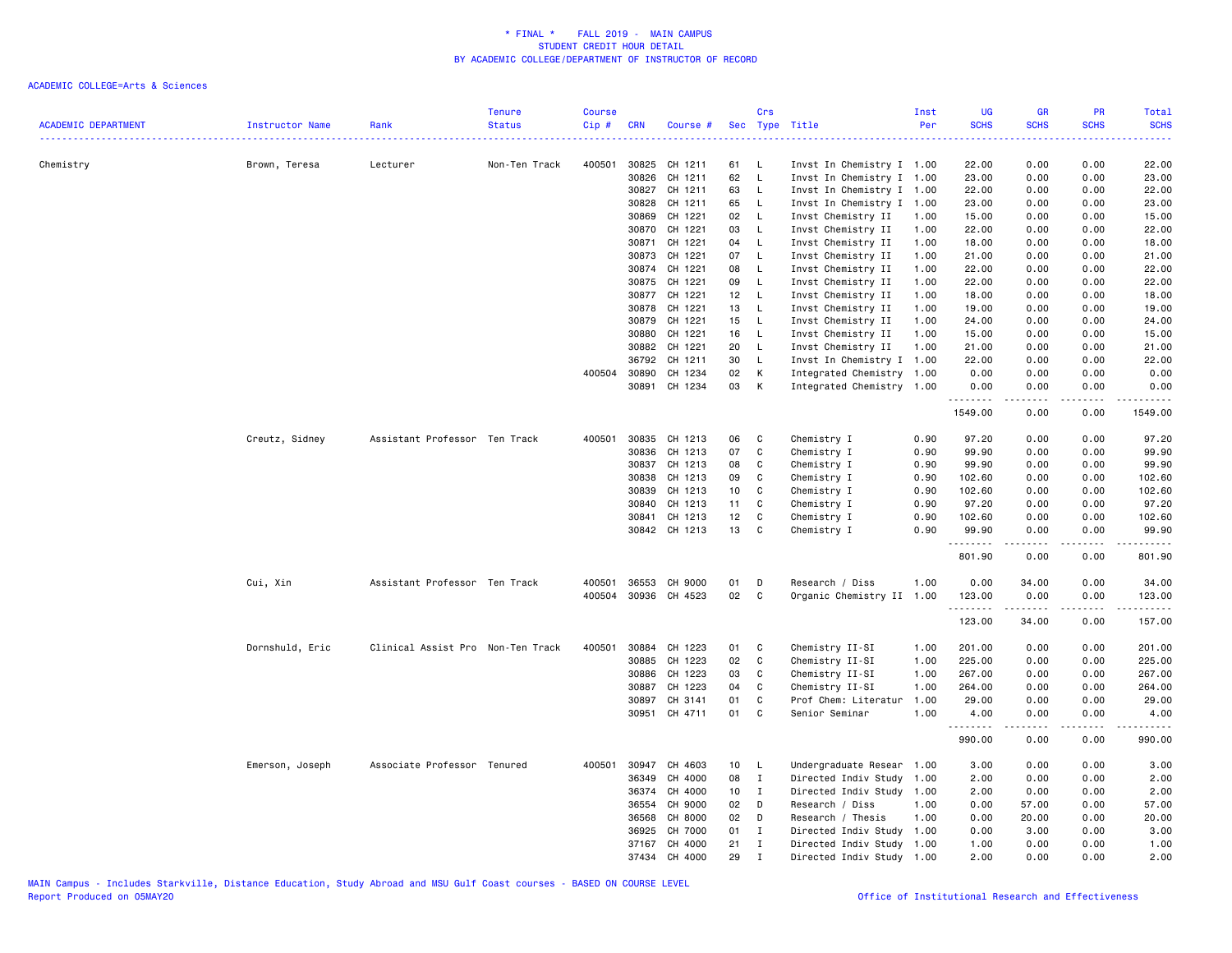| <b>ACADEMIC DEPARTMENT</b> | Instructor Name | Rank                              | <b>Tenure</b><br><b>Course</b><br><b>Status</b><br>Cip# | <b>CRN</b> | Course #             |                 | Crs          | Sec Type Title            | Inst<br>Per | <b>UG</b><br><b>SCHS</b> | <b>GR</b><br><b>SCHS</b> | PR<br><b>SCHS</b>            | Total<br><b>SCHS</b>                                                                                                                                                                                                 |
|----------------------------|-----------------|-----------------------------------|---------------------------------------------------------|------------|----------------------|-----------------|--------------|---------------------------|-------------|--------------------------|--------------------------|------------------------------|----------------------------------------------------------------------------------------------------------------------------------------------------------------------------------------------------------------------|
|                            |                 |                                   |                                                         |            |                      |                 |              |                           |             |                          |                          |                              | <b><i><u><u>.</u></u></i></b>                                                                                                                                                                                        |
| Chemistry                  | Brown, Teresa   | Lecturer                          | Non-Ten Track<br>400501                                 |            | 30825 CH 1211        | 61              | - L          | Invst In Chemistry I 1.00 |             | 22.00                    | 0.00                     | 0.00                         | 22.00                                                                                                                                                                                                                |
|                            |                 |                                   |                                                         | 30826      | CH 1211              | 62              | <b>L</b>     | Invst In Chemistry I 1.00 |             | 23.00                    | 0.00                     | 0.00                         | 23.00                                                                                                                                                                                                                |
|                            |                 |                                   |                                                         | 30827      | CH 1211              | 63              | $\mathsf{L}$ | Invst In Chemistry I 1.00 |             | 22.00                    | 0.00                     | 0.00                         | 22.00                                                                                                                                                                                                                |
|                            |                 |                                   |                                                         | 30828      | CH 1211              | 65              | - L          | Invst In Chemistry I 1.00 |             | 23.00                    | 0.00                     | 0.00                         | 23.00                                                                                                                                                                                                                |
|                            |                 |                                   |                                                         | 30869      | CH 1221              | 02              | $\mathsf{L}$ | Invst Chemistry II        | 1.00        | 15.00                    | 0.00                     | 0.00                         | 15.00                                                                                                                                                                                                                |
|                            |                 |                                   |                                                         |            | 30870 CH 1221        | 03              | $\mathsf{L}$ | Invst Chemistry II        | 1.00        | 22.00                    | 0.00                     | 0.00                         | 22.00                                                                                                                                                                                                                |
|                            |                 |                                   |                                                         | 30871      | CH 1221              | 04              | <b>L</b>     | Invst Chemistry II        | 1.00        | 18.00                    | 0.00                     | 0.00                         | 18.00                                                                                                                                                                                                                |
|                            |                 |                                   |                                                         |            | 30873 CH 1221        | 07              | - L          | Invst Chemistry II        | 1.00        | 21.00                    | 0.00                     | 0.00                         | 21.00                                                                                                                                                                                                                |
|                            |                 |                                   |                                                         | 30874      | CH 1221              | 08              | L.           | Invst Chemistry II        | 1.00        | 22.00                    | 0.00                     | 0.00                         | 22.00                                                                                                                                                                                                                |
|                            |                 |                                   |                                                         | 30875      | CH 1221              | 09              | $\mathsf{L}$ | Invst Chemistry II        | 1.00        | 22.00                    | 0.00                     | 0.00                         | 22.00                                                                                                                                                                                                                |
|                            |                 |                                   |                                                         | 30877      | CH 1221              | 12 <sub>2</sub> | - L          | Invst Chemistry II        | 1.00        | 18.00                    | 0.00                     | 0.00                         | 18.00                                                                                                                                                                                                                |
|                            |                 |                                   |                                                         |            | 30878 CH 1221        | 13              | $\mathsf{L}$ | Invst Chemistry II        | 1.00        | 19.00                    | 0.00                     | 0.00                         | 19.00                                                                                                                                                                                                                |
|                            |                 |                                   |                                                         | 30879      | CH 1221              | 15              | $\mathsf{L}$ | Invst Chemistry II        | 1.00        | 24.00                    | 0.00                     | 0.00                         | 24.00                                                                                                                                                                                                                |
|                            |                 |                                   |                                                         | 30880      | CH 1221              | 16              | <b>L</b>     | Invst Chemistry II        | 1.00        | 15.00                    | 0.00                     | 0.00                         | 15.00                                                                                                                                                                                                                |
|                            |                 |                                   |                                                         | 30882      | CH 1221              | 20              | $\mathsf{L}$ | Invst Chemistry II        | 1.00        | 21.00                    | 0.00                     | 0.00                         | 21.00                                                                                                                                                                                                                |
|                            |                 |                                   |                                                         | 36792      | CH 1211              | 30              | $\mathsf{L}$ | Invst In Chemistry I 1.00 |             | 22.00                    | 0.00                     | 0.00                         | 22.00                                                                                                                                                                                                                |
|                            |                 |                                   | 400504                                                  | 30890      | CH 1234              | 02              | K            | Integrated Chemistry 1.00 |             | 0.00                     | 0.00                     | 0.00                         | 0.00                                                                                                                                                                                                                 |
|                            |                 |                                   |                                                         |            | 30891 CH 1234        | 03              | K            | Integrated Chemistry 1.00 |             | 0.00<br>.                | 0.00<br>.                | 0.00<br>.                    | 0.00<br>.                                                                                                                                                                                                            |
|                            |                 |                                   |                                                         |            |                      |                 |              |                           |             | 1549.00                  | 0.00                     | 0.00                         | 1549.00                                                                                                                                                                                                              |
|                            | Creutz, Sidney  | Assistant Professor Ten Track     | 400501                                                  |            | 30835 CH 1213        | 06              | C            | Chemistry I               | 0.90        | 97.20                    | 0.00                     | 0.00                         | 97.20                                                                                                                                                                                                                |
|                            |                 |                                   |                                                         | 30836      | CH 1213              | 07              | C            | Chemistry I               | 0.90        | 99.90                    | 0.00                     | 0.00                         | 99.90                                                                                                                                                                                                                |
|                            |                 |                                   |                                                         | 30837      | CH 1213              | 08              | $\mathbf{C}$ | Chemistry I               | 0.90        | 99.90                    | 0.00                     | 0.00                         | 99.90                                                                                                                                                                                                                |
|                            |                 |                                   |                                                         | 30838      | CH 1213              | 09              | C            | Chemistry I               | 0.90        | 102.60                   | 0.00                     | 0.00                         | 102.60                                                                                                                                                                                                               |
|                            |                 |                                   |                                                         | 30839      | CH 1213              | 10              | C            | Chemistry I               | 0.90        | 102.60                   | 0.00                     | 0.00                         | 102.60                                                                                                                                                                                                               |
|                            |                 |                                   |                                                         | 30840      | CH 1213              | 11              | $\mathbf c$  | Chemistry I               | 0.90        | 97.20                    | 0.00                     | 0.00                         | 97.20                                                                                                                                                                                                                |
|                            |                 |                                   |                                                         | 30841      | CH 1213              | 12              | C            | Chemistry I               | 0.90        | 102.60                   | 0.00                     | 0.00                         | 102.60                                                                                                                                                                                                               |
|                            |                 |                                   |                                                         |            | 30842 CH 1213        | 13              | C            | Chemistry I               | 0.90        | 99.90                    | 0.00<br>.                | 0.00<br>.                    | 99.90                                                                                                                                                                                                                |
|                            |                 |                                   |                                                         |            |                      |                 |              |                           |             | .<br>801.90              | 0.00                     | 0.00                         | $\frac{1}{2} \left( \frac{1}{2} \right) \left( \frac{1}{2} \right) \left( \frac{1}{2} \right) \left( \frac{1}{2} \right) \left( \frac{1}{2} \right) \left( \frac{1}{2} \right) \left( \frac{1}{2} \right)$<br>801.90 |
|                            | Cui, Xin        | Assistant Professor Ten Track     | 400501                                                  |            | 36553 CH 9000        | 01              | D            | Research / Diss           | 1.00        | 0.00                     | 34.00                    | 0.00                         | 34.00                                                                                                                                                                                                                |
|                            |                 |                                   |                                                         |            | 400504 30936 CH 4523 | 02              | C            | Organic Chemistry II 1.00 |             | 123.00                   | 0.00                     | 0.00                         | 123.00                                                                                                                                                                                                               |
|                            |                 |                                   |                                                         |            |                      |                 |              |                           |             | .<br>123.00              | .<br>34.00               | .<br>0.00                    | $- - - - - - -$<br>157.00                                                                                                                                                                                            |
|                            | Dornshuld, Eric | Clinical Assist Pro Non-Ten Track | 400501                                                  |            | 30884 CH 1223        | 01              | C            | Chemistry II-SI           | 1.00        | 201.00                   | 0.00                     | 0.00                         | 201.00                                                                                                                                                                                                               |
|                            |                 |                                   |                                                         | 30885      | CH 1223              | 02              | C            | Chemistry II-SI           | 1.00        | 225.00                   | 0.00                     | 0.00                         | 225.00                                                                                                                                                                                                               |
|                            |                 |                                   |                                                         | 30886      | CH 1223              | 03              | C            | Chemistry II-SI           | 1.00        | 267.00                   | 0.00                     | 0.00                         | 267.00                                                                                                                                                                                                               |
|                            |                 |                                   |                                                         | 30887      | CH 1223              | 04              | C            | Chemistry II-SI           | 1.00        | 264.00                   | 0.00                     | 0.00                         | 264.00                                                                                                                                                                                                               |
|                            |                 |                                   |                                                         | 30897      | CH 3141              | 01              | C            | Prof Chem: Literatur      | 1.00        | 29.00                    | 0.00                     | 0.00                         | 29.00                                                                                                                                                                                                                |
|                            |                 |                                   |                                                         |            | 30951 CH 4711        | 01              | C            | Senior Seminar            | 1.00        | 4.00                     | 0.00                     | 0.00                         | 4.00                                                                                                                                                                                                                 |
|                            |                 |                                   |                                                         |            |                      |                 |              |                           |             | .<br>990.00              | 0.00                     | $\sim$ $\sim$ $\sim$<br>0.00 | .<br>990.00                                                                                                                                                                                                          |
|                            | Emerson, Joseph | Associate Professor Tenured       |                                                         |            | 400501 30947 CH 4603 | 10 <sub>1</sub> | - L          | Undergraduate Resear 1.00 |             | 3.00                     | 0.00                     | 0.00                         | 3.00                                                                                                                                                                                                                 |
|                            |                 |                                   |                                                         |            | 36349 CH 4000        | 08              | $\mathbf{I}$ | Directed Indiv Study 1.00 |             | 2.00                     | 0.00                     | 0.00                         | 2.00                                                                                                                                                                                                                 |
|                            |                 |                                   |                                                         | 36374      | CH 4000              | 10              | $\mathbf{I}$ | Directed Indiv Study 1.00 |             | 2.00                     | 0.00                     | 0.00                         | 2.00                                                                                                                                                                                                                 |
|                            |                 |                                   |                                                         | 36554      | CH 9000              | 02              | D            | Research / Diss           | 1.00        | 0.00                     | 57.00                    | 0.00                         | 57.00                                                                                                                                                                                                                |
|                            |                 |                                   |                                                         | 36568      | CH 8000              | 02              | D            | Research / Thesis         | 1.00        | 0.00                     | 20.00                    | 0.00                         | 20.00                                                                                                                                                                                                                |
|                            |                 |                                   |                                                         | 36925      | CH 7000              | 01              | $\mathbf{I}$ | Directed Indiv Study 1.00 |             | 0.00                     | 3.00                     | 0.00                         | 3.00                                                                                                                                                                                                                 |
|                            |                 |                                   |                                                         | 37167      | CH 4000              | 21              | I            | Directed Indiv Study 1.00 |             | 1.00                     | 0.00                     | 0.00                         | 1.00                                                                                                                                                                                                                 |
|                            |                 |                                   |                                                         |            | 37434 CH 4000        | 29              | $\mathbf{I}$ | Directed Indiv Study 1.00 |             | 2.00                     | 0.00                     | 0.00                         | 2.00                                                                                                                                                                                                                 |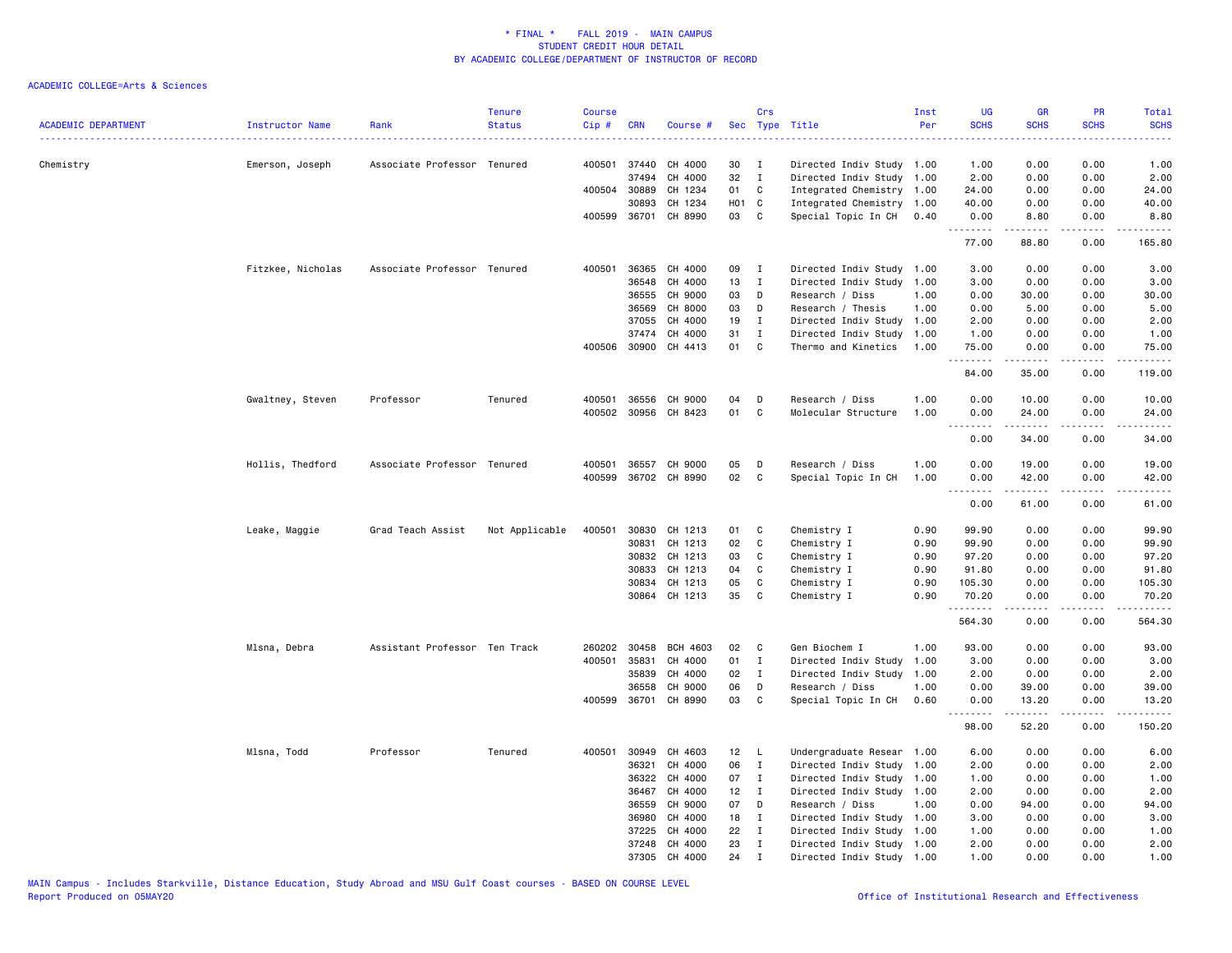| <b>ACADEMIC DEPARTMENT</b> | Instructor Name   | Rank                          | <b>Tenure</b><br><b>Status</b> | <b>Course</b><br>Cip# | <b>CRN</b>     | Course #             |          | Crs                         | Sec Type Title            | Inst<br>Per | <b>UG</b><br><b>SCHS</b><br>$\frac{1}{2} \left( \frac{1}{2} \right) \left( \frac{1}{2} \right) \left( \frac{1}{2} \right) \left( \frac{1}{2} \right)$ | <b>GR</b><br><b>SCHS</b> | <b>PR</b><br><b>SCHS</b> | <b>Total</b><br><b>SCHS</b><br>. |
|----------------------------|-------------------|-------------------------------|--------------------------------|-----------------------|----------------|----------------------|----------|-----------------------------|---------------------------|-------------|-------------------------------------------------------------------------------------------------------------------------------------------------------|--------------------------|--------------------------|----------------------------------|
| Chemistry                  | Emerson, Joseph   | Associate Professor Tenured   |                                |                       | 400501 37440   | CH 4000              | 30       | $\mathbf{I}$                | Directed Indiv Study 1.00 |             | 1.00                                                                                                                                                  | 0.00                     | 0.00                     | 1.00                             |
|                            |                   |                               |                                |                       | 37494          | CH 4000              | 32       | $\mathbf{I}$                | Directed Indiv Study 1.00 |             | 2.00                                                                                                                                                  | 0.00                     | 0.00                     | 2.00                             |
|                            |                   |                               |                                |                       | 400504 30889   | CH 1234              | 01       | C                           | Integrated Chemistry 1.00 |             | 24.00                                                                                                                                                 | 0.00                     | 0.00                     | 24.00                            |
|                            |                   |                               |                                |                       | 30893          | CH 1234              | H01 C    |                             | Integrated Chemistry      | 1.00        | 40.00                                                                                                                                                 | 0.00                     | 0.00                     | 40.00                            |
|                            |                   |                               |                                |                       |                | 400599 36701 CH 8990 | 03       | $\mathbf{C}$                | Special Topic In CH       | 0.40        | 0.00<br>.                                                                                                                                             | 8.80<br>د د د د د        | 0.00<br>.                | 8.80                             |
|                            |                   |                               |                                |                       |                |                      |          |                             |                           |             | 77.00                                                                                                                                                 | 88.80                    | 0.00                     | 165.80                           |
|                            | Fitzkee, Nicholas | Associate Professor Tenured   |                                | 400501                | 36365          | CH 4000              | 09       | I                           | Directed Indiv Study      | 1.00        | 3.00                                                                                                                                                  | 0.00                     | 0.00                     | 3.00                             |
|                            |                   |                               |                                |                       | 36548          | CH 4000              | 13       | $\mathbf I$                 | Directed Indiv Study      | 1.00        | 3.00                                                                                                                                                  | 0.00                     | 0.00                     | 3.00                             |
|                            |                   |                               |                                |                       | 36555          | CH 9000              | 03       | D                           | Research / Diss           | 1.00        | 0.00                                                                                                                                                  | 30.00                    | 0.00                     | 30.00                            |
|                            |                   |                               |                                |                       | 36569          | CH 8000              | 03       | D                           | Research / Thesis         | 1.00        | 0.00                                                                                                                                                  | 5.00                     | 0.00                     | 5.00                             |
|                            |                   |                               |                                |                       | 37055          | CH 4000              | 19       | $\mathbf{I}$                | Directed Indiv Study 1.00 |             | 2.00                                                                                                                                                  | 0.00                     | 0.00                     | 2.00                             |
|                            |                   |                               |                                |                       | 37474          | CH 4000              | 31       | $\mathbf{I}$                | Directed Indiv Study      | 1.00        | 1.00                                                                                                                                                  | 0.00                     | 0.00                     | 1.00                             |
|                            |                   |                               |                                |                       | 400506 30900   | CH 4413              | 01       | <b>C</b>                    | Thermo and Kinetics       | 1.00        | 75.00<br>.                                                                                                                                            | 0.00                     | 0.00                     | 75.00                            |
|                            |                   |                               |                                |                       |                |                      |          |                             |                           |             | 84.00                                                                                                                                                 | 35.00                    | 0.00                     | 119.00                           |
|                            | Gwaltney, Steven  | Professor                     | Tenured                        |                       | 400501 36556   | CH 9000              | 04       | D                           | Research / Diss           | 1.00        | 0.00                                                                                                                                                  | 10.00                    | 0.00                     | 10.00                            |
|                            |                   |                               |                                |                       |                | 400502 30956 CH 8423 | 01       | C                           | Molecular Structure       | 1.00        | 0.00                                                                                                                                                  | 24.00                    | 0.00                     | 24.00                            |
|                            |                   |                               |                                |                       |                |                      |          |                             |                           |             | .                                                                                                                                                     | .                        | .                        | .                                |
|                            |                   |                               |                                |                       |                |                      |          |                             |                           |             | 0.00                                                                                                                                                  | 34.00                    | 0.00                     | 34.00                            |
|                            | Hollis, Thedford  | Associate Professor Tenured   |                                |                       |                | 400501 36557 CH 9000 | 05       | D                           | Research / Diss           | 1.00        | 0.00                                                                                                                                                  | 19.00                    | 0.00                     | 19.00                            |
|                            |                   |                               |                                |                       |                | 400599 36702 CH 8990 | 02       | C.                          | Special Topic In CH       | 1.00        | 0.00                                                                                                                                                  | 42.00                    | 0.00                     | 42.00                            |
|                            |                   |                               |                                |                       |                |                      |          |                             |                           |             | .<br>0.00                                                                                                                                             | د د د د د<br>61.00       | .<br>0.00                | .<br>61.00                       |
|                            | Leake, Maggie     | Grad Teach Assist             | Not Applicable                 | 400501                | 30830          | CH 1213              | 01       | C                           | Chemistry I               | 0.90        | 99.90                                                                                                                                                 | 0.00                     | 0.00                     | 99.90                            |
|                            |                   |                               |                                |                       | 30831          | CH 1213              | 02       | C                           | Chemistry I               | 0.90        | 99.90                                                                                                                                                 | 0.00                     | 0.00                     | 99.90                            |
|                            |                   |                               |                                |                       | 30832          | CH 1213              | 03       | C                           | Chemistry I               | 0.90        | 97.20                                                                                                                                                 | 0.00                     | 0.00                     | 97.20                            |
|                            |                   |                               |                                |                       | 30833          | CH 1213              | 04       | C                           | Chemistry I               | 0.90        | 91.80                                                                                                                                                 | 0.00                     | 0.00                     | 91.80                            |
|                            |                   |                               |                                |                       | 30834          | CH 1213              | 05       | C                           | Chemistry I               | 0.90        | 105.30                                                                                                                                                | 0.00                     | 0.00                     | 105.30                           |
|                            |                   |                               |                                |                       |                | 30864 CH 1213        | 35       | C                           | Chemistry I               | 0.90        | 70.20<br>.                                                                                                                                            | 0.00<br>$- - - - -$      | 0.00<br>.                | 70.20<br><u>.</u>                |
|                            |                   |                               |                                |                       |                |                      |          |                             |                           |             | 564.30                                                                                                                                                | 0.00                     | 0.00                     | 564.30                           |
|                            | Mlsna, Debra      | Assistant Professor Ten Track |                                |                       | 260202 30458   | <b>BCH 4603</b>      | 02       | C                           | Gen Biochem I             | 1.00        | 93.00                                                                                                                                                 | 0.00                     | 0.00                     | 93.00                            |
|                            |                   |                               |                                | 400501                | 35831          | CH 4000              | 01       | $\mathbf{I}$                | Directed Indiv Study      | 1.00        | 3.00                                                                                                                                                  | 0.00                     | 0.00                     | 3.00                             |
|                            |                   |                               |                                |                       | 35839          | CH 4000              | 02       | $\mathbf{I}$                | Directed Indiv Study 1.00 |             | 2.00                                                                                                                                                  | 0.00                     | 0.00                     | 2.00                             |
|                            |                   |                               |                                |                       | 36558          | CH 9000              | 06       | D                           | Research / Diss           | 1.00        | 0.00                                                                                                                                                  | 39.00                    | 0.00                     | 39.00                            |
|                            |                   |                               |                                |                       | 400599 36701   | CH 8990              | 03       | C                           | Special Topic In CH       | 0.60        | 0.00<br>.                                                                                                                                             | 13.20<br>د د د د د       | 0.00<br>.                | 13.20<br><u>.</u>                |
|                            |                   |                               |                                |                       |                |                      |          |                             |                           |             | 98.00                                                                                                                                                 | 52.20                    | 0.00                     | 150.20                           |
|                            | Mlsna, Todd       | Professor                     | Tenured                        | 400501                | 30949          | CH 4603              | 12       | $\mathsf{L}$                | Undergraduate Resear      | 1.00        | 6.00                                                                                                                                                  | 0.00                     | 0.00                     | 6.00                             |
|                            |                   |                               |                                |                       | 36321          | CH 4000              | 06       | $\mathbf{I}$                | Directed Indiv Study 1.00 |             | 2.00                                                                                                                                                  | 0.00                     | 0.00                     | 2.00                             |
|                            |                   |                               |                                |                       | 36322          | CH 4000              | 07       | $\mathbf{I}$                | Directed Indiv Study 1.00 |             | 1.00                                                                                                                                                  | 0.00                     | 0.00                     | 1.00                             |
|                            |                   |                               |                                |                       | 36467          | CH 4000              | 12       | $\mathbf{I}$                | Directed Indiv Study 1.00 |             | 2.00                                                                                                                                                  | 0.00                     | 0.00                     | 2.00                             |
|                            |                   |                               |                                |                       | 36559          | CH 9000              | 07       | D                           | Research / Diss           | 1.00        | 0.00                                                                                                                                                  | 94.00                    | 0.00                     | 94.00                            |
|                            |                   |                               |                                |                       | 36980          | CH 4000              | 18       | I                           | Directed Indiv Study      | 1.00        | 3.00                                                                                                                                                  | 0.00                     | 0.00                     | 3.00                             |
|                            |                   |                               |                                |                       | 37225<br>37248 | CH 4000<br>CH 4000   | 22<br>23 | $\mathbf{I}$<br>$\mathbf I$ | Directed Indiv Study 1.00 |             | 1.00<br>2.00                                                                                                                                          | 0.00<br>0.00             | 0.00<br>0.00             | 1.00<br>2.00                     |
|                            |                   |                               |                                |                       |                | 37305 CH 4000        | 24       | $\mathbf{I}$                | Directed Indiv Study 1.00 |             | 1.00                                                                                                                                                  | 0.00                     | 0.00                     | 1.00                             |
|                            |                   |                               |                                |                       |                |                      |          |                             | Directed Indiv Study 1.00 |             |                                                                                                                                                       |                          |                          |                                  |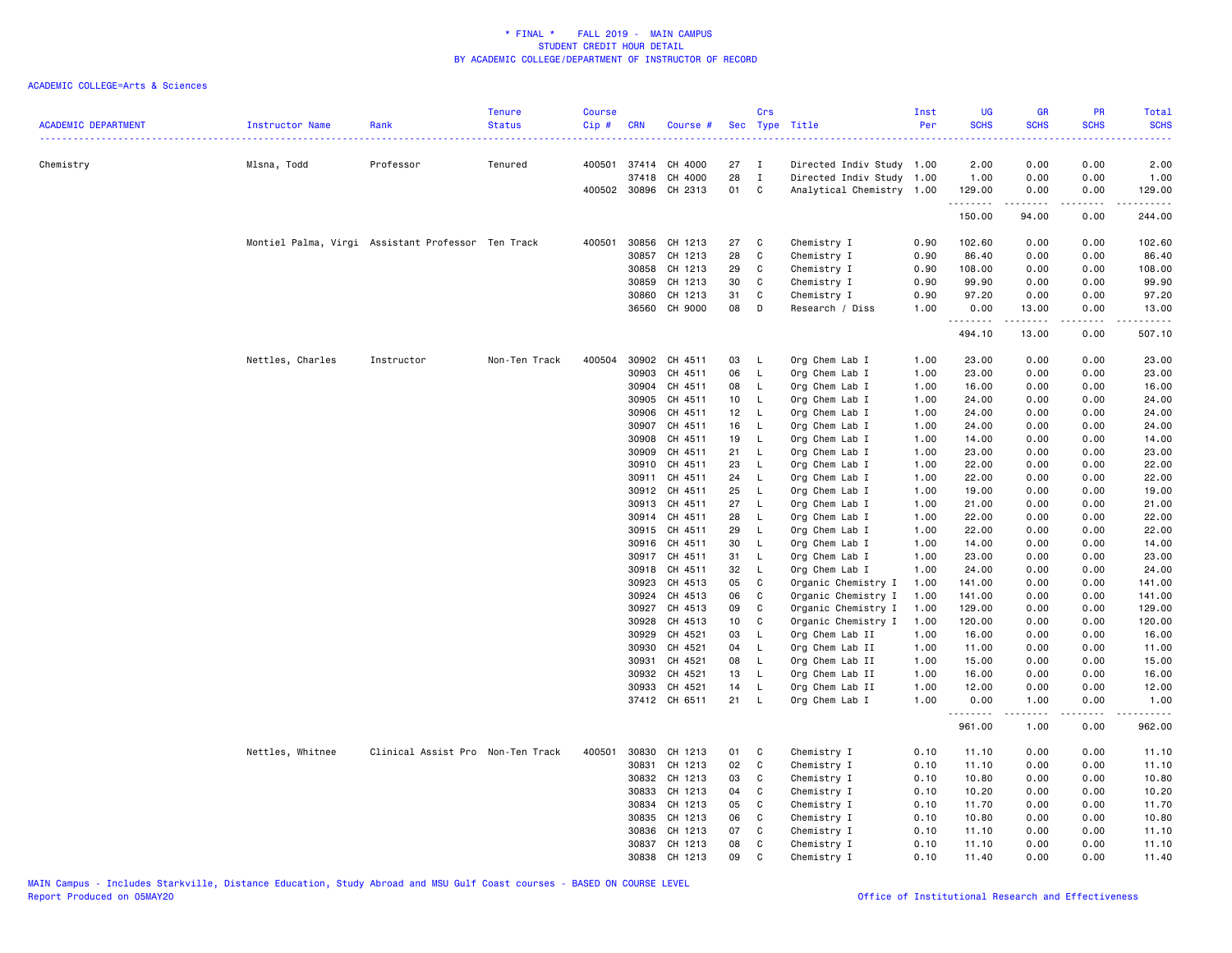| <b>ACADEMIC DEPARTMENT</b> | Instructor Name                                    | Rank                              | <b>Tenure</b><br><b>Status</b> | <b>Course</b><br>Cip# | <b>CRN</b>     | Course #                 |                 | Crs                 | Sec Type Title                   | Inst<br>Per  | <b>UG</b><br><b>SCHS</b><br>. | <b>GR</b><br><b>SCHS</b> | PR<br><b>SCHS</b> | Total<br><b>SCHS</b>  |
|----------------------------|----------------------------------------------------|-----------------------------------|--------------------------------|-----------------------|----------------|--------------------------|-----------------|---------------------|----------------------------------|--------------|-------------------------------|--------------------------|-------------------|-----------------------|
| Chemistry                  | Mlsna, Todd                                        | Professor                         | Tenured                        |                       |                | 400501 37414 CH 4000     | 27              | $\mathbf{I}$        | Directed Indiv Study 1.00        |              | 2.00                          | 0.00                     | 0.00              | 2.00                  |
|                            |                                                    |                                   |                                |                       | 37418          | CH 4000                  | 28              | $\mathbf{I}$        | Directed Indiv Study 1.00        |              | 1.00                          | 0.00                     | 0.00              | 1.00                  |
|                            |                                                    |                                   |                                |                       |                | 400502 30896 CH 2313     | 01              | C                   | Analytical Chemistry 1.00        |              | 129.00<br>.                   | 0.00<br>.                | 0.00<br>.         | 129.00<br>د د د د د د |
|                            |                                                    |                                   |                                |                       |                |                          |                 |                     |                                  |              | 150.00                        | 94.00                    | 0.00              | 244.00                |
|                            | Montiel Palma, Virgi Assistant Professor Ten Track |                                   |                                | 400501                | 30856          | CH 1213                  | 27              | C                   | Chemistry I                      | 0.90         | 102.60                        | 0.00                     | 0.00              | 102.60                |
|                            |                                                    |                                   |                                |                       | 30857          | CH 1213                  | 28              | $\mathtt{C}$        | Chemistry I                      | 0.90         | 86.40                         | 0.00                     | 0.00              | 86.40                 |
|                            |                                                    |                                   |                                |                       | 30858          | CH 1213                  | 29              | C                   | Chemistry I                      | 0.90         | 108.00                        | 0.00                     | 0.00              | 108.00                |
|                            |                                                    |                                   |                                |                       | 30859          | CH 1213                  | 30              | C                   | Chemistry I                      | 0.90         | 99.90                         | 0.00                     | 0.00              | 99.90                 |
|                            |                                                    |                                   |                                |                       | 30860          | CH 1213                  | 31              | C                   | Chemistry I                      | 0.90         | 97.20                         | 0.00                     | 0.00              | 97.20                 |
|                            |                                                    |                                   |                                |                       |                | 36560 CH 9000            | 08              | D                   | Research / Diss                  | 1.00         | 0.00<br><u>.</u>              | 13.00<br>المتمالي        | 0.00<br>.         | 13.00<br>22222)       |
|                            |                                                    |                                   |                                |                       |                |                          |                 |                     |                                  |              | 494.10                        | 13.00                    | 0.00              | 507.10                |
|                            | Nettles, Charles                                   | Instructor                        | Non-Ten Track                  | 400504                |                | 30902 CH 4511            | 03              | - L                 | Org Chem Lab I                   | 1.00         | 23.00                         | 0.00                     | 0.00              | 23.00                 |
|                            |                                                    |                                   |                                |                       | 30903          | CH 4511                  | 06              | $\mathsf{L}$        | Org Chem Lab I                   | 1.00         | 23.00                         | 0.00                     | 0.00              | 23.00                 |
|                            |                                                    |                                   |                                |                       | 30904          | CH 4511                  | 08              | <b>L</b>            | Org Chem Lab I                   | 1.00         | 16.00                         | 0.00                     | 0.00              | 16.00                 |
|                            |                                                    |                                   |                                |                       | 30905          | CH 4511                  | 10 <sub>1</sub> | <b>L</b>            | Org Chem Lab I                   | 1.00         | 24.00                         | 0.00                     | 0.00              | 24.00                 |
|                            |                                                    |                                   |                                |                       | 30906          | CH 4511                  | 12              | $\mathsf{L}$        | Org Chem Lab I                   | 1.00         | 24.00                         | 0.00                     | 0.00              | 24.00                 |
|                            |                                                    |                                   |                                |                       | 30907          | CH 4511                  | 16              | $\mathsf{L}$        | Org Chem Lab I                   | 1.00         | 24.00                         | 0.00                     | 0.00              | 24.00                 |
|                            |                                                    |                                   |                                |                       | 30908          | CH 4511<br>CH 4511       | 19<br>21        | <b>L</b>            | Org Chem Lab I                   | 1.00<br>1.00 | 14.00<br>23.00                | 0.00                     | 0.00              | 14.00                 |
|                            |                                                    |                                   |                                |                       | 30909<br>30910 | CH 4511                  | 23              | - L                 | Org Chem Lab I                   | 1.00         | 22.00                         | 0.00<br>0.00             | 0.00              | 23.00                 |
|                            |                                                    |                                   |                                |                       | 30911          | CH 4511                  | 24              | L.<br>- L           | Org Chem Lab I<br>Org Chem Lab I | 1.00         | 22.00                         | 0.00                     | 0.00<br>0.00      | 22.00<br>22.00        |
|                            |                                                    |                                   |                                |                       | 30912          | CH 4511                  | 25              | L.                  | Org Chem Lab I                   | 1.00         | 19.00                         | 0.00                     | 0.00              | 19.00                 |
|                            |                                                    |                                   |                                |                       | 30913          | CH 4511                  | 27              | $\mathsf{L}$        | Org Chem Lab I                   | 1.00         | 21.00                         | 0.00                     | 0.00              | 21.00                 |
|                            |                                                    |                                   |                                |                       | 30914          | CH 4511                  | 28              | <b>L</b>            | Org Chem Lab I                   | 1.00         | 22.00                         | 0.00                     | 0.00              | 22.00                 |
|                            |                                                    |                                   |                                |                       | 30915          | CH 4511                  | 29              | - L                 | Org Chem Lab I                   | 1.00         | 22.00                         | 0.00                     | 0.00              | 22.00                 |
|                            |                                                    |                                   |                                |                       | 30916          | CH 4511                  | 30              | L                   | Org Chem Lab I                   | 1.00         | 14.00                         | 0.00                     | 0.00              | 14.00                 |
|                            |                                                    |                                   |                                |                       | 30917          | CH 4511                  | 31              | $\mathsf{L}$        | Org Chem Lab I                   | 1.00         | 23.00                         | 0.00                     | 0.00              | 23.00                 |
|                            |                                                    |                                   |                                |                       | 30918          | CH 4511                  | 32              | $\mathsf{L}$        | Org Chem Lab I                   | 1.00         | 24.00                         | 0.00                     | 0.00              | 24.00                 |
|                            |                                                    |                                   |                                |                       | 30923          | CH 4513                  | 05              | C                   | Organic Chemistry I              | 1.00         | 141.00                        | 0.00                     | 0.00              | 141.00                |
|                            |                                                    |                                   |                                |                       | 30924          | CH 4513                  | 06              | C                   | Organic Chemistry I              | 1.00         | 141.00                        | 0.00                     | 0.00              | 141.00                |
|                            |                                                    |                                   |                                |                       | 30927          | CH 4513                  | 09              | C                   | Organic Chemistry I              | 1.00         | 129.00                        | 0.00                     | 0.00              | 129.00                |
|                            |                                                    |                                   |                                |                       | 30928          | CH 4513                  | 10              | C                   | Organic Chemistry I              | 1.00         | 120.00                        | 0.00                     | 0.00              | 120.00                |
|                            |                                                    |                                   |                                |                       | 30929          | CH 4521                  | 03              | L.                  | Org Chem Lab II                  | 1.00         | 16.00                         | 0.00                     | 0.00              | 16.00                 |
|                            |                                                    |                                   |                                |                       | 30930          | CH 4521                  | 04              | $\mathsf{L}$        | Org Chem Lab II                  | 1.00         | 11.00                         | 0.00                     | 0.00              | 11.00                 |
|                            |                                                    |                                   |                                |                       | 30931          | CH 4521                  | 08              | $\mathsf{L}$        | Org Chem Lab II                  | 1.00         | 15.00                         | 0.00                     | 0.00              | 15.00                 |
|                            |                                                    |                                   |                                |                       | 30932          | CH 4521                  | 13              | <b>L</b>            | Org Chem Lab II                  | 1.00         | 16.00                         | 0.00                     | 0.00              | 16.00                 |
|                            |                                                    |                                   |                                |                       | 30933          | CH 4521<br>37412 CH 6511 | 14<br>21        | - L<br>$\mathsf{L}$ | Org Chem Lab II                  | 1.00<br>1.00 | 12.00<br>0.00                 | 0.00                     | 0.00<br>0.00      | 12.00<br>1.00         |
|                            |                                                    |                                   |                                |                       |                |                          |                 |                     | Org Chem Lab I                   |              | .                             | 1.00<br>.                | د د د د           | .                     |
|                            |                                                    |                                   |                                |                       |                |                          |                 |                     |                                  |              | 961.00                        | 1.00                     | 0.00              | 962.00                |
|                            | Nettles, Whitnee                                   | Clinical Assist Pro Non-Ten Track |                                | 400501                | 30830          | CH 1213                  | 01              | C                   | Chemistry I                      | 0.10         | 11.10                         | 0.00                     | 0.00              | 11.10                 |
|                            |                                                    |                                   |                                |                       | 30831          | CH 1213                  | 02              | $\mathtt{C}$        | Chemistry I                      | 0.10         | 11.10                         | 0.00                     | 0.00              | 11.10                 |
|                            |                                                    |                                   |                                |                       |                | 30832 CH 1213            | 03              | C                   | Chemistry I                      | 0.10         | 10.80                         | 0.00                     | 0.00              | 10.80                 |
|                            |                                                    |                                   |                                |                       | 30833          | CH 1213                  | 04              | C                   | Chemistry I                      | 0.10         | 10.20                         | 0.00                     | 0.00              | 10.20                 |
|                            |                                                    |                                   |                                |                       | 30834          | CH 1213                  | 05              | C                   | Chemistry I                      | 0.10         | 11.70                         | 0.00                     | 0.00              | 11.70                 |
|                            |                                                    |                                   |                                |                       | 30835          | CH 1213                  | 06              | C                   | Chemistry I                      | 0.10         | 10.80                         | 0.00                     | 0.00              | 10.80                 |
|                            |                                                    |                                   |                                |                       | 30836          | CH 1213<br>CH 1213       | 07              | C<br>C              | Chemistry I                      | 0.10         | 11.10                         | 0.00                     | 0.00              | 11.10                 |
|                            |                                                    |                                   |                                |                       | 30837          |                          | 08              | C                   | Chemistry I                      | 0.10         | 11.10                         | 0.00                     | 0.00<br>0.00      | 11.10                 |
|                            |                                                    |                                   |                                |                       |                | 30838 CH 1213            | 09              |                     | Chemistry I                      | 0.10         | 11.40                         | 0.00                     |                   | 11.40                 |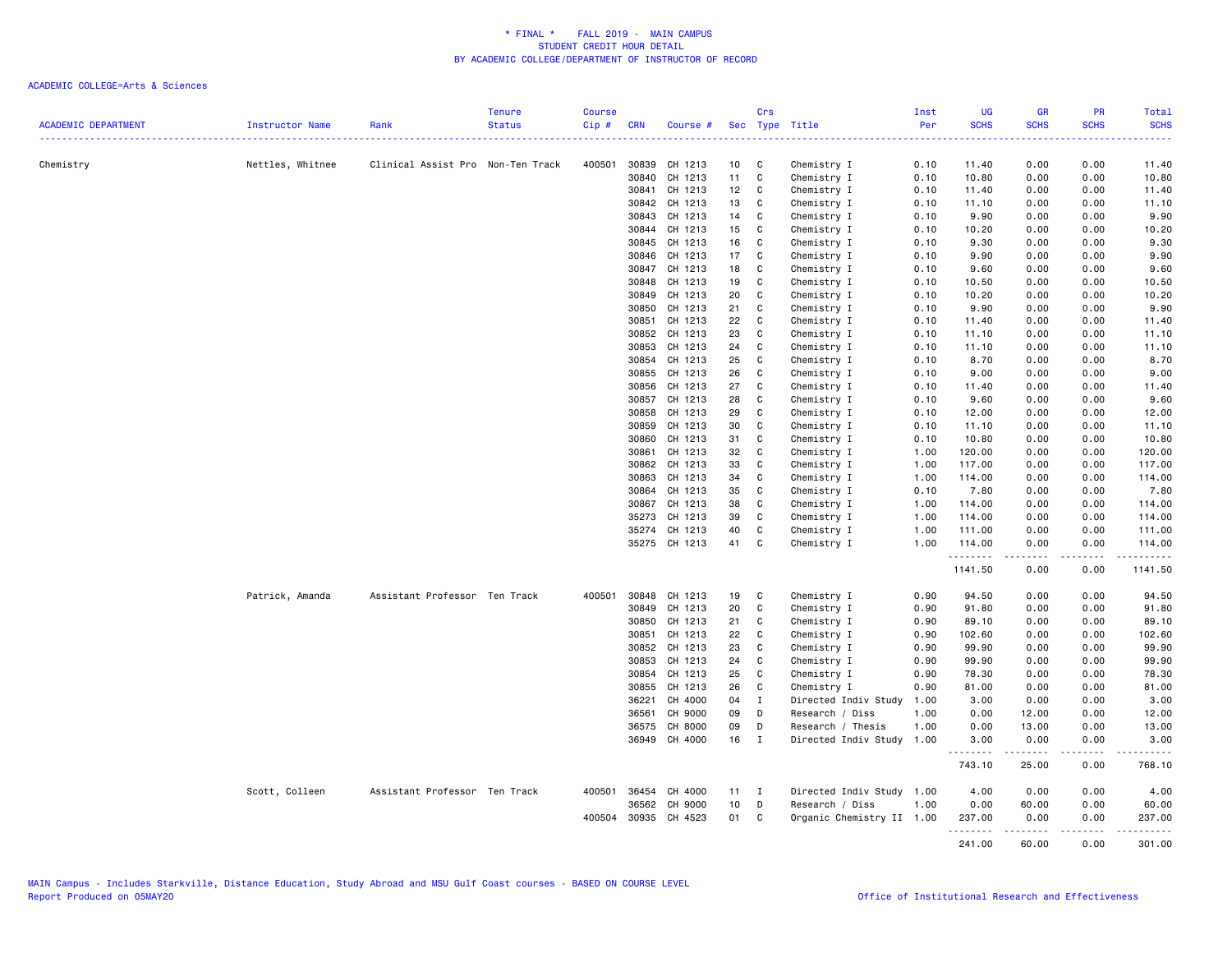| <b>ACADEMIC DEPARTMENT</b> | Instructor Name  | Rank                              | <b>Tenure</b><br><b>Status</b> | <b>Course</b><br>$Cip \#$ | CRN          | Course #             |                 | Crs          | Sec Type Title            | Inst<br>Per | <b>UG</b><br><b>SCHS</b> | <b>GR</b><br><b>SCHS</b> | PR<br><b>SCHS</b> | Total<br><b>SCHS</b> |
|----------------------------|------------------|-----------------------------------|--------------------------------|---------------------------|--------------|----------------------|-----------------|--------------|---------------------------|-------------|--------------------------|--------------------------|-------------------|----------------------|
|                            |                  |                                   |                                |                           |              |                      |                 |              |                           |             | .                        |                          |                   |                      |
| Chemistry                  | Nettles, Whitnee | Clinical Assist Pro Non-Ten Track |                                |                           | 400501 30839 | CH 1213              | 10 <sub>1</sub> | C            | Chemistry I               | 0.10        | 11.40                    | 0.00                     | 0.00              | 11.40                |
|                            |                  |                                   |                                |                           | 30840        | CH 1213              | 11              | C            | Chemistry I               | 0.10        | 10.80                    | 0.00                     | 0.00              | 10.80                |
|                            |                  |                                   |                                |                           | 30841        | CH 1213              | 12 <sub>2</sub> | C            | Chemistry I               | 0.10        | 11.40                    | 0.00                     | 0.00              | 11.40                |
|                            |                  |                                   |                                |                           | 30842        | CH 1213              | 13              | C            | Chemistry I               | 0.10        | 11.10                    | 0.00                     | 0.00              | 11.10                |
|                            |                  |                                   |                                |                           | 30843        | CH 1213              | 14              | C            | Chemistry I               | 0.10        | 9.90                     | 0.00                     | 0.00              | 9.90                 |
|                            |                  |                                   |                                |                           | 30844        | CH 1213              | 15              | C            | Chemistry I               | 0.10        | 10.20                    | 0.00                     | 0.00              | 10.20                |
|                            |                  |                                   |                                |                           | 30845        | CH 1213              | 16              | C            | Chemistry I               | 0.10        | 9.30                     | 0.00                     | 0.00              | 9.30                 |
|                            |                  |                                   |                                |                           | 30846        | CH 1213              | 17              | C            | Chemistry I               | 0.10        | 9.90                     | 0.00                     | 0.00              | 9.90                 |
|                            |                  |                                   |                                |                           | 30847        | CH 1213              | 18              | C            | Chemistry I               | 0.10        | 9.60                     | 0.00                     | 0.00              | 9.60                 |
|                            |                  |                                   |                                |                           | 30848        | CH 1213              | 19              | C            | Chemistry I               | 0.10        | 10.50                    | 0.00                     | 0.00              | 10.50                |
|                            |                  |                                   |                                |                           | 30849        | CH 1213              | 20              | C            | Chemistry I               | 0.10        | 10.20                    | 0.00                     | 0.00              | 10.20                |
|                            |                  |                                   |                                |                           | 30850        | CH 1213              | 21              | C            | Chemistry I               | 0.10        | 9.90                     | 0.00                     | 0.00              | 9.90                 |
|                            |                  |                                   |                                |                           | 30851        | CH 1213              | 22              | C            | Chemistry I               | 0.10        | 11.40                    | 0.00                     | 0.00              | 11.40                |
|                            |                  |                                   |                                |                           | 30852        | CH 1213              | 23              | $\mathtt{C}$ | Chemistry I               | 0.10        | 11.10                    | 0.00                     | 0.00              | 11.10                |
|                            |                  |                                   |                                |                           | 30853        | CH 1213              | 24              | C            | Chemistry I               | 0.10        | 11.10                    | 0.00                     | 0.00              | 11.10                |
|                            |                  |                                   |                                |                           | 30854        | CH 1213              | 25              | C            | Chemistry I               | 0.10        | 8.70                     | 0.00                     | 0.00              | 8.70                 |
|                            |                  |                                   |                                |                           | 30855        | CH 1213              | 26              | C            | Chemistry I               | 0.10        | 9.00                     | 0.00                     | 0.00              | 9.00                 |
|                            |                  |                                   |                                |                           | 30856        | CH 1213              | 27              | C            | Chemistry I               | 0.10        | 11.40                    | 0.00                     | 0.00              | 11.40                |
|                            |                  |                                   |                                |                           | 30857        | CH 1213              | 28              | C            | Chemistry I               | 0.10        | 9.60                     | 0.00                     | 0.00              | 9.60                 |
|                            |                  |                                   |                                |                           | 30858        | CH 1213              | 29              | C            | Chemistry I               | 0.10        | 12.00                    | 0.00                     | 0.00              | 12.00                |
|                            |                  |                                   |                                |                           | 30859        | CH 1213              | 30              | C            | Chemistry I               | 0.10        | 11.10                    | 0.00                     | 0.00              | 11.10                |
|                            |                  |                                   |                                |                           | 30860        | CH 1213              | 31              | C            | Chemistry I               | 0.10        | 10.80                    | 0.00                     | 0.00              | 10.80                |
|                            |                  |                                   |                                |                           | 30861        | CH 1213              | 32              | C            | Chemistry I               | 1.00        | 120.00                   | 0.00                     | 0.00              | 120.00               |
|                            |                  |                                   |                                |                           | 30862        | CH 1213              | 33              | $\mathtt{C}$ | Chemistry I               | 1.00        | 117.00                   | 0.00                     | 0.00              | 117.00               |
|                            |                  |                                   |                                |                           | 30863        | CH 1213              | 34              | $\mathtt{C}$ | Chemistry I               | 1.00        | 114.00                   | 0.00                     | 0.00              | 114.00               |
|                            |                  |                                   |                                |                           | 30864        | CH 1213              | 35              | C            | Chemistry I               | 0.10        | 7.80                     | 0.00                     | 0.00              | 7.80                 |
|                            |                  |                                   |                                |                           | 30867        | CH 1213              | 38              | C            | Chemistry I               | 1.00        | 114.00                   | 0.00                     | 0.00              | 114.00               |
|                            |                  |                                   |                                |                           | 35273        | CH 1213              | 39              | C            | Chemistry I               | 1.00        | 114.00                   | 0.00                     | 0.00              | 114.00               |
|                            |                  |                                   |                                |                           |              | 35274 CH 1213        | 40              | C            | Chemistry I               | 1.00        | 111.00                   | 0.00                     | 0.00              | 111.00               |
|                            |                  |                                   |                                |                           |              | 35275 CH 1213        | 41              | C            | Chemistry I               | 1.00        | 114.00                   | 0.00                     | 0.00              | 114.00               |
|                            |                  |                                   |                                |                           |              |                      |                 |              |                           |             |                          | .                        | .                 | .                    |
|                            |                  |                                   |                                |                           |              |                      |                 |              |                           |             | 1141.50                  | 0.00                     | 0.00              | 1141.50              |
|                            | Patrick, Amanda  | Assistant Professor Ten Track     |                                |                           |              | 400501 30848 CH 1213 | 19              | C            | Chemistry I               | 0.90        | 94.50                    | 0.00                     | 0.00              | 94.50                |
|                            |                  |                                   |                                |                           | 30849        | CH 1213              | 20              | C            | Chemistry I               | 0.90        | 91.80                    | 0.00                     | 0.00              | 91.80                |
|                            |                  |                                   |                                |                           | 30850        | CH 1213              | 21              | C            | Chemistry I               | 0.90        | 89.10                    | 0.00                     | 0.00              | 89.10                |
|                            |                  |                                   |                                |                           | 30851        | CH 1213              | 22              | C            | Chemistry I               | 0.90        | 102.60                   | 0.00                     | 0.00              | 102.60               |
|                            |                  |                                   |                                |                           | 30852        | CH 1213              | 23              | C            | Chemistry I               | 0.90        | 99.90                    | 0.00                     | 0.00              | 99.90                |
|                            |                  |                                   |                                |                           | 30853        | CH 1213              | 24              | C            | Chemistry I               | 0.90        | 99.90                    | 0.00                     | 0.00              | 99.90                |
|                            |                  |                                   |                                |                           | 30854        | CH 1213              | 25              | $\mathtt{C}$ | Chemistry I               | 0.90        | 78.30                    | 0.00                     | 0.00              | 78.30                |
|                            |                  |                                   |                                |                           | 30855        | CH 1213              | 26              | C            | Chemistry I               | 0.90        | 81.00                    | 0.00                     | 0.00              | 81.00                |
|                            |                  |                                   |                                |                           | 36221        | CH 4000              | 04              | $\mathbf{I}$ | Directed Indiv Study      | 1.00        | 3.00                     | 0.00                     | 0.00              | 3.00                 |
|                            |                  |                                   |                                |                           | 36561        | CH 9000              | 09              | D            | Research / Diss           | 1.00        | 0.00                     | 12.00                    | 0.00              | 12.00                |
|                            |                  |                                   |                                |                           | 36575        | CH 8000              | 09              | D            | Research / Thesis         | 1.00        | 0.00                     | 13.00                    | 0.00              | 13.00                |
|                            |                  |                                   |                                |                           | 36949        | CH 4000              | 16              | $\mathbf{I}$ | Directed Indiv Study      | 1.00        | 3.00<br>.                | 0.00<br>.                | 0.00              | 3.00<br>.            |
|                            |                  |                                   |                                |                           |              |                      |                 |              |                           |             | 743.10                   | 25.00                    | 0.00              | 768.10               |
|                            | Scott, Colleen   | Assistant Professor Ten Track     |                                |                           |              | 400501 36454 CH 4000 | 11              | $\mathbf{I}$ | Directed Indiv Study 1.00 |             | 4.00                     | 0.00                     | 0.00              | 4.00                 |
|                            |                  |                                   |                                |                           | 36562        | CH 9000              | 10 <sub>1</sub> | D            | Research / Diss           | 1.00        | 0.00                     | 60.00                    | 0.00              | 60.00                |
|                            |                  |                                   |                                | 400504                    |              | 30935 CH 4523        | 01              | C            | Organic Chemistry II 1.00 |             | 237.00<br><u>.</u>       | 0.00<br>.                | 0.00<br>.         | 237.00<br>.          |
|                            |                  |                                   |                                |                           |              |                      |                 |              |                           |             | 241.00                   | 60.00                    | 0.00              | 301.00               |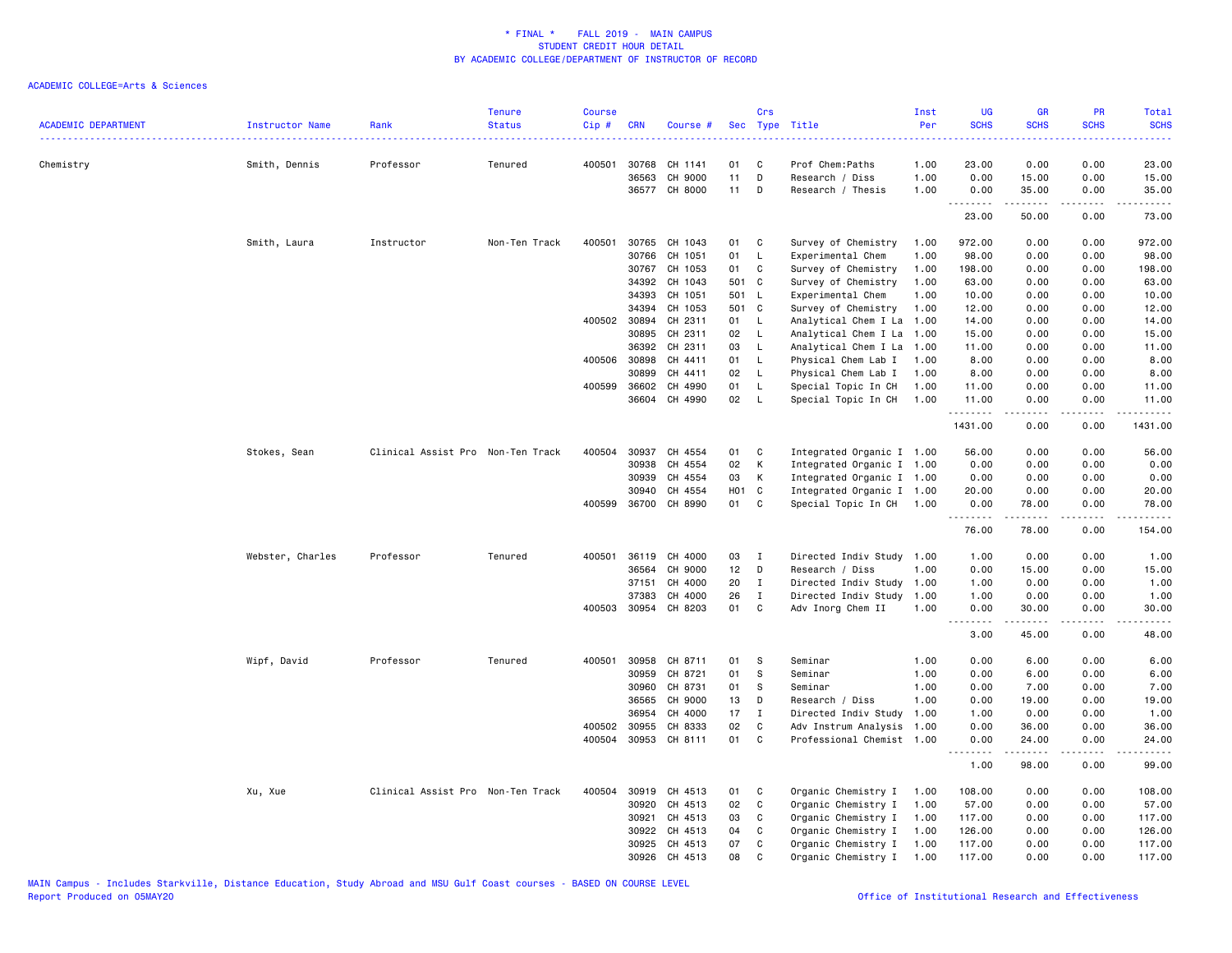| <b>ACADEMIC DEPARTMENT</b><br>------------------------------------- | Instructor Name  | Rank                              | <b>Tenure</b><br><b>Status</b> | <b>Course</b><br>Cip# | <b>CRN</b>   | Course #      | <b>Sec</b> | Crs          | Type Title                | Inst<br>Per | <b>UG</b><br><b>SCHS</b> | <b>GR</b><br><b>SCHS</b> | <b>PR</b><br><b>SCHS</b> | <b>Total</b><br><b>SCHS</b><br>.            |
|---------------------------------------------------------------------|------------------|-----------------------------------|--------------------------------|-----------------------|--------------|---------------|------------|--------------|---------------------------|-------------|--------------------------|--------------------------|--------------------------|---------------------------------------------|
| Chemistry                                                           | Smith, Dennis    | Professor                         | Tenured                        | 400501                | 30768        | CH 1141       | 01         | C            | Prof Chem: Paths          | 1.00        | 23.00                    | 0.00                     | 0.00                     | 23.00                                       |
|                                                                     |                  |                                   |                                |                       | 36563        | CH 9000       | 11         | D            | Research / Diss           | 1.00        | 0.00                     | 15.00                    | 0.00                     | 15.00                                       |
|                                                                     |                  |                                   |                                |                       |              | 36577 CH 8000 | 11         | D            | Research / Thesis         | 1.00        | 0.00                     | 35.00                    | 0.00                     | 35.00                                       |
|                                                                     |                  |                                   |                                |                       |              |               |            |              |                           |             | .<br>23.00               | .<br>50.00               | .<br>0.00                | .<br>73.00                                  |
|                                                                     | Smith, Laura     | Instructor                        | Non-Ten Track                  | 400501                | 30765        | CH 1043       | 01         | C            | Survey of Chemistry       | 1.00        | 972.00                   | 0.00                     | 0.00                     | 972.00                                      |
|                                                                     |                  |                                   |                                |                       | 30766        | CH 1051       | 01         | L            | Experimental Chem         | 1.00        | 98.00                    | 0.00                     | 0.00                     | 98.00                                       |
|                                                                     |                  |                                   |                                |                       | 30767        | CH 1053       | 01         | $\mathbf C$  | Survey of Chemistry       | 1.00        | 198.00                   | 0.00                     | 0.00                     | 198.00                                      |
|                                                                     |                  |                                   |                                |                       | 34392        | CH 1043       | 501 C      |              | Survey of Chemistry       | 1.00        | 63.00                    | 0.00                     | 0.00                     | 63.00                                       |
|                                                                     |                  |                                   |                                |                       | 34393        | CH 1051       | 501 L      |              | Experimental Chem         | 1.00        | 10.00                    | 0.00                     | 0.00                     | 10.00                                       |
|                                                                     |                  |                                   |                                |                       | 34394        | CH 1053       | 501 C      |              | Survey of Chemistry       | 1.00        | 12.00                    | 0.00                     | 0.00                     | 12.00                                       |
|                                                                     |                  |                                   |                                |                       | 400502 30894 | CH 2311       | 01         | $\mathsf{L}$ | Analytical Chem I La      | 1.00        | 14.00                    | 0.00                     | 0.00                     | 14.00                                       |
|                                                                     |                  |                                   |                                |                       | 30895        | CH 2311       | 02         | L.           | Analytical Chem I La      | 1.00        | 15.00                    | 0.00                     | 0.00                     | 15.00                                       |
|                                                                     |                  |                                   |                                |                       | 36392        | CH 2311       | 03         | L            | Analytical Chem I La      | 1.00        | 11.00                    | 0.00                     | 0.00                     | 11.00                                       |
|                                                                     |                  |                                   |                                |                       | 400506 30898 | CH 4411       | 01         | L            | Physical Chem Lab I       | 1.00        | 8.00                     | 0.00                     | 0.00                     | 8.00                                        |
|                                                                     |                  |                                   |                                |                       | 30899        | CH 4411       | 02         | L            | Physical Chem Lab I       | 1.00        | 8.00                     | 0.00                     | 0.00                     | 8.00                                        |
|                                                                     |                  |                                   |                                | 400599                | 36602        | CH 4990       | 01         | L            | Special Topic In CH       | 1.00        | 11.00                    | 0.00                     | 0.00                     | 11.00                                       |
|                                                                     |                  |                                   |                                |                       |              | 36604 CH 4990 | 02         | $\mathsf{L}$ | Special Topic In CH       | 1.00        | 11.00<br>.               | 0.00<br>.                | 0.00<br>$\frac{1}{2}$    | 11.00<br>.                                  |
|                                                                     |                  |                                   |                                |                       |              |               |            |              |                           |             | 1431.00                  | 0.00                     | 0.00                     | 1431.00                                     |
|                                                                     | Stokes, Sean     | Clinical Assist Pro Non-Ten Track |                                | 400504                | 30937        | CH 4554       | 01         | C            | Integrated Organic I 1.00 |             | 56.00                    | 0.00                     | 0.00                     | 56.00                                       |
|                                                                     |                  |                                   |                                |                       | 30938        | CH 4554       | 02         | K            | Integrated Organic I 1.00 |             | 0.00                     | 0.00                     | 0.00                     | 0.00                                        |
|                                                                     |                  |                                   |                                |                       | 30939        | CH 4554       | 03         | К            | Integrated Organic I 1.00 |             | 0.00                     | 0.00                     | 0.00                     | 0.00                                        |
|                                                                     |                  |                                   |                                |                       | 30940        | CH 4554       | H01 C      |              | Integrated Organic I 1.00 |             | 20.00                    | 0.00                     | 0.00                     | 20.00                                       |
|                                                                     |                  |                                   |                                |                       | 400599 36700 | CH 8990       | 01         | C            | Special Topic In CH 1.00  |             | 0.00                     | 78.00                    | 0.00                     | 78.00                                       |
|                                                                     |                  |                                   |                                |                       |              |               |            |              |                           |             | .<br>76.00               | د د د د د<br>78.00       | .<br>0.00                | -----<br>154.00                             |
|                                                                     | Webster, Charles | Professor                         | Tenured                        | 400501                | 36119        | CH 4000       | 03         | $\mathbf{I}$ | Directed Indiv Study      | 1.00        | 1.00                     | 0.00                     | 0.00                     | 1.00                                        |
|                                                                     |                  |                                   |                                |                       | 36564        | CH 9000       | 12         | D            | Research / Diss           | 1.00        | 0.00                     | 15.00                    | 0.00                     | 15.00                                       |
|                                                                     |                  |                                   |                                |                       | 37151        | CH 4000       | 20         | I            | Directed Indiv Study      | 1.00        | 1.00                     | 0.00                     | 0.00                     | 1.00                                        |
|                                                                     |                  |                                   |                                |                       | 37383        | CH 4000       | 26         | $\mathbf I$  | Directed Indiv Study      | 1.00        | 1.00                     | 0.00                     | 0.00                     | 1.00                                        |
|                                                                     |                  |                                   |                                | 400503                | 30954        | CH 8203       | 01         | $\mathbf c$  | Adv Inorg Chem II         | 1.00        | 0.00                     | 30.00                    | 0.00                     | 30.00                                       |
|                                                                     |                  |                                   |                                |                       |              |               |            |              |                           |             | .<br>3.00                | .<br>45.00               | $\frac{1}{2}$<br>0.00    | .<br>48.00                                  |
|                                                                     | Wipf, David      | Professor                         | Tenured                        | 400501                | 30958        | CH 8711       | 01         | S            | Seminar                   | 1.00        | 0.00                     | 6.00                     | 0.00                     | 6.00                                        |
|                                                                     |                  |                                   |                                |                       | 30959        | CH 8721       | 01         | s            | Seminar                   | 1.00        | 0.00                     | 6.00                     | 0.00                     | 6.00                                        |
|                                                                     |                  |                                   |                                |                       | 30960        | CH 8731       | 01         | S            | Seminar                   | 1.00        | 0.00                     | 7.00                     | 0.00                     | 7.00                                        |
|                                                                     |                  |                                   |                                |                       | 36565        | CH 9000       | 13         | D            | Research / Diss           | 1.00        | 0.00                     | 19.00                    | 0.00                     | 19.00                                       |
|                                                                     |                  |                                   |                                |                       | 36954        | CH 4000       | 17         | $\mathbf I$  | Directed Indiv Study      | 1.00        | 1.00                     | 0.00                     | 0.00                     | 1.00                                        |
|                                                                     |                  |                                   |                                | 400502                | 30955        | CH 8333       | 02         | C            | Adv Instrum Analysis      | 1.00        | 0.00                     | 36.00                    | 0.00                     | 36.00                                       |
|                                                                     |                  |                                   |                                | 400504                | 30953        | CH 8111       | 01         | C            | Professional Chemist 1.00 |             | 0.00                     | 24.00                    | 0.00                     | 24.00                                       |
|                                                                     |                  |                                   |                                |                       |              |               |            |              |                           |             | .<br>1.00                | المتمام المتحدة<br>98.00 | د د د د<br>0.00          | $\sim$ $\sim$ $\sim$ $\sim$ $\sim$<br>99.00 |
|                                                                     | Xu, Xue          | Clinical Assist Pro Non-Ten Track |                                | 400504                | 30919        | CH 4513       | 01         | C            | Organic Chemistry I       | 1.00        | 108.00                   | 0.00                     | 0.00                     | 108.00                                      |
|                                                                     |                  |                                   |                                |                       | 30920        | CH 4513       | 02         | C            | Organic Chemistry I       | 1.00        | 57.00                    | 0.00                     | 0.00                     | 57.00                                       |
|                                                                     |                  |                                   |                                |                       | 30921        | CH 4513       | 03         | C            | Organic Chemistry I       | 1.00        | 117.00                   | 0.00                     | 0.00                     | 117.00                                      |
|                                                                     |                  |                                   |                                |                       | 30922        | CH 4513       | 04         | C            | Organic Chemistry I       | 1.00        | 126.00                   | 0.00                     | 0.00                     | 126.00                                      |
|                                                                     |                  |                                   |                                |                       | 30925        | CH 4513       | 07         | C            | Organic Chemistry I       | 1.00        | 117.00                   | 0.00                     | 0.00                     | 117.00                                      |
|                                                                     |                  |                                   |                                |                       | 30926        | CH 4513       | 08         | $\mathbf{C}$ | Organic Chemistry I       | 1.00        | 117.00                   | 0.00                     | 0.00                     | 117.00                                      |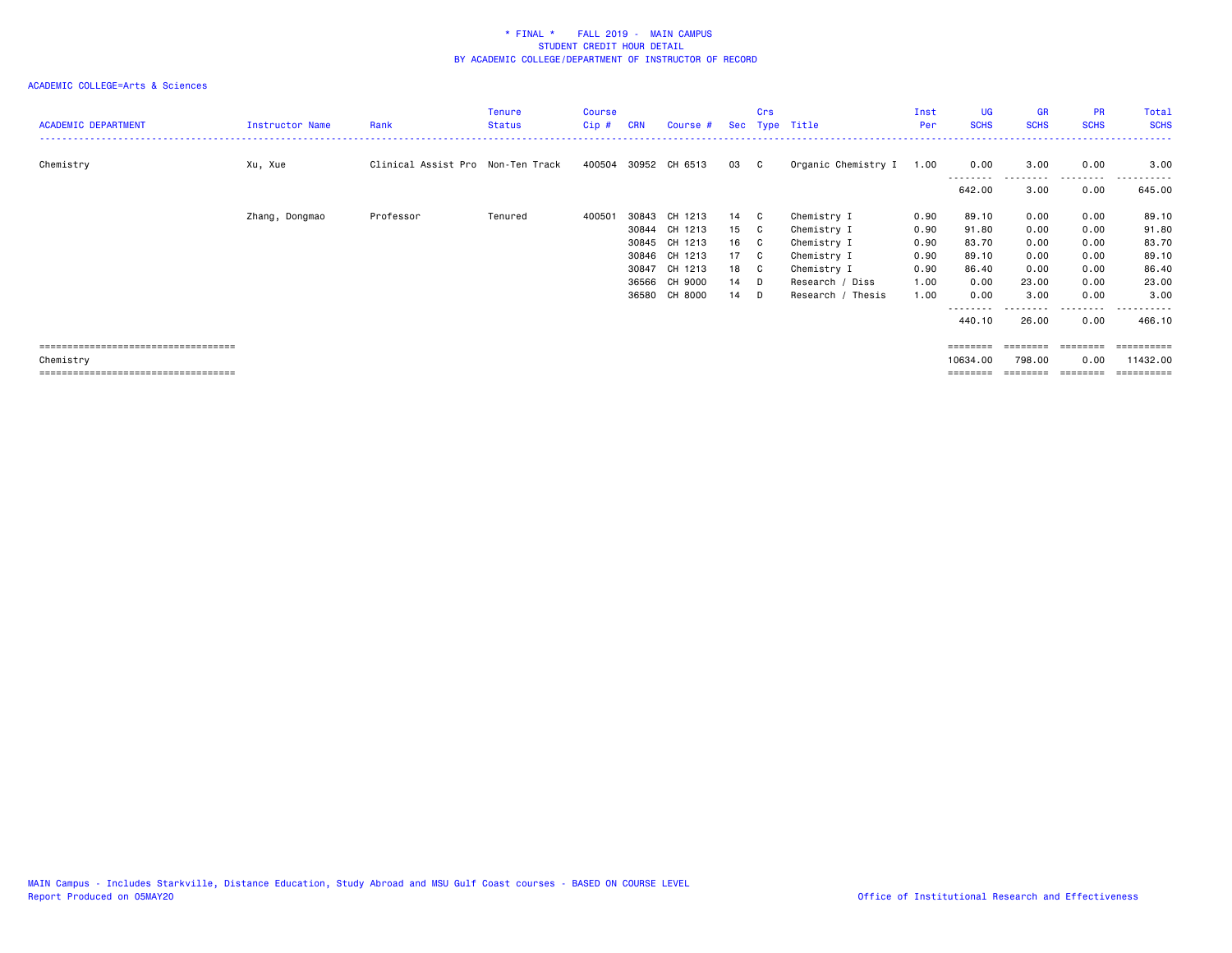# ACADEMIC COLLEGE=Arts & Sciences

| <b>ACADEMIC DEPARTMENT</b> | Instructor Name | Rank                              | Tenure<br><b>Status</b> | Course<br>Cip# | <b>CRN</b> | Course #             |      | Crs | Sec Type Title      | Inst<br>Per | UG<br><b>SCHS</b> | <b>GR</b><br><b>SCHS</b> | <b>PR</b><br><b>SCHS</b> | Total<br><b>SCHS</b> |
|----------------------------|-----------------|-----------------------------------|-------------------------|----------------|------------|----------------------|------|-----|---------------------|-------------|-------------------|--------------------------|--------------------------|----------------------|
| Chemistry                  | Xu, Xue         | Clinical Assist Pro Non-Ten Track |                         |                |            | 400504 30952 CH 6513 | 03 C |     | Organic Chemistry I | 1.00        | 0.00              | 3.00                     | 0.00                     | 3.00                 |
|                            |                 |                                   |                         |                |            |                      |      |     |                     |             | 642.00            | 3.00                     | 0.00                     | 645.00               |
|                            | Zhang, Dongmao  | Professor                         | Tenured                 | 400501         |            | 30843 CH 1213        | 14 C |     | Chemistry I         | 0.90        | 89.10             | 0.00                     | 0.00                     | 89.10                |
|                            |                 |                                   |                         |                |            | 30844 CH 1213        | 15 C |     | Chemistry I         | 0.90        | 91.80             | 0.00                     | 0.00                     | 91.80                |
|                            |                 |                                   |                         |                |            | 30845 CH 1213        | 16 C |     | Chemistry I         | 0.90        | 83.70             | 0.00                     | 0.00                     | 83.70                |
|                            |                 |                                   |                         |                |            | 30846 CH 1213        | 17 C |     | Chemistry I         | 0.90        | 89.10             | 0.00                     | 0.00                     | 89.10                |
|                            |                 |                                   |                         |                |            | 30847 CH 1213        | 18 C |     | Chemistry I         | 0.90        | 86.40             | 0.00                     | 0.00                     | 86.40                |
|                            |                 |                                   |                         |                |            | 36566 CH 9000        | 14 D |     | Research / Diss     | 1.00        | 0.00              | 23.00                    | 0.00                     | 23.00                |
|                            |                 |                                   |                         |                |            | 36580 CH 8000        | 14 D |     | Research / Thesis   | 1.00        | 0.00              | 3.00                     | 0.00                     | 3.00                 |
|                            |                 |                                   |                         |                |            |                      |      |     |                     |             |                   | .                        | .                        | .                    |
|                            |                 |                                   |                         |                |            |                      |      |     |                     |             | 440.10            | 26.00                    | 0.00                     | 466.10               |
|                            |                 |                                   |                         |                |            |                      |      |     |                     |             |                   |                          |                          |                      |

 =================================== ======== ======== ======== ========== Chemistry 10634.00 798.00 0.00 11432.00 =================================== ======== ======== ======== ==========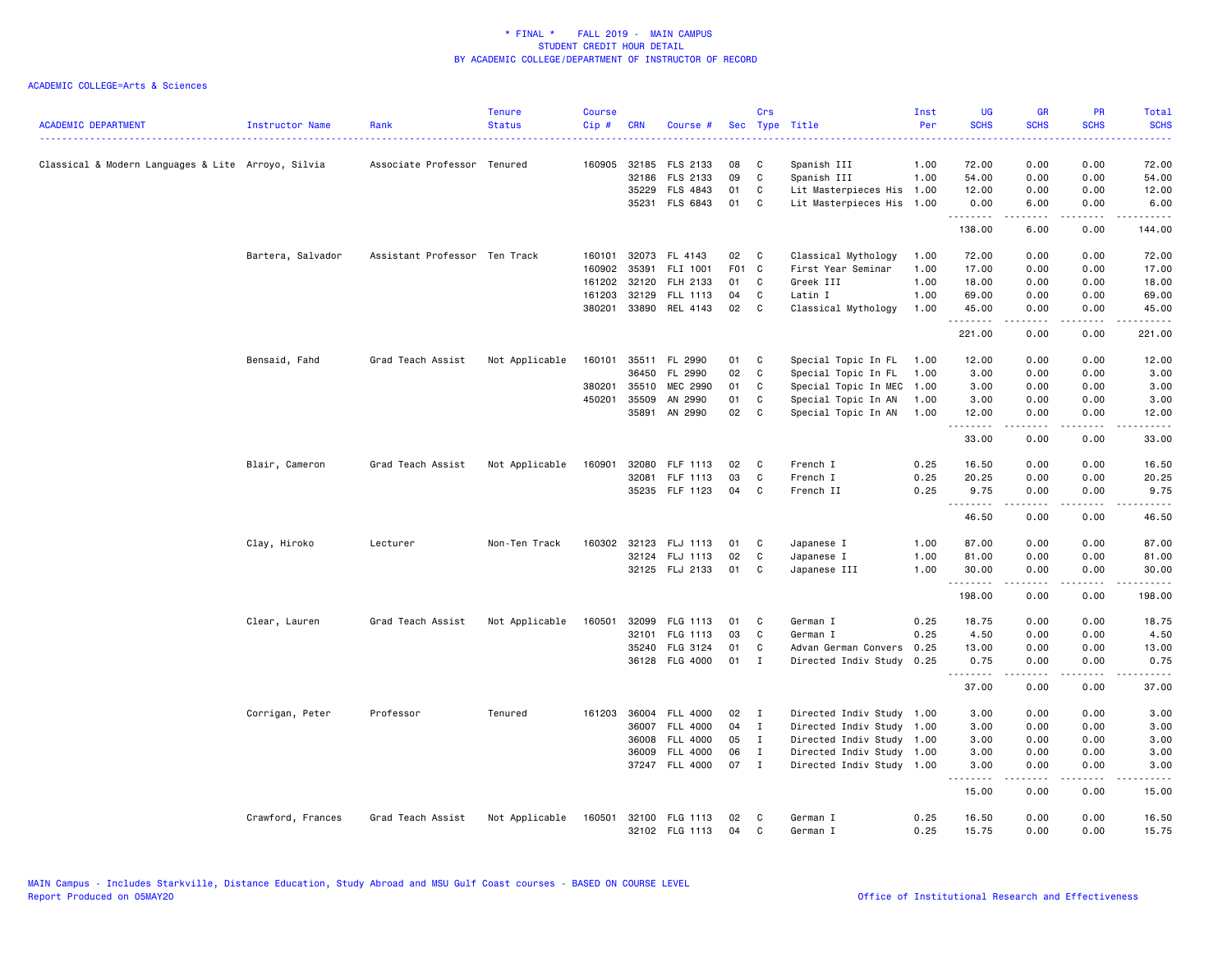| <b>ACADEMIC DEPARTMENT</b>                         | Instructor Name   | Rank                          | <b>Tenure</b><br><b>Status</b> | Course<br>Cip# | <b>CRN</b> | Course #              | Sec   | Crs          | Type Title                | Inst<br>Per | <b>UG</b><br><b>SCHS</b> | <b>GR</b><br><b>SCHS</b> | PR<br><b>SCHS</b>            | Total<br><b>SCHS</b><br>$\frac{1}{2}$ |
|----------------------------------------------------|-------------------|-------------------------------|--------------------------------|----------------|------------|-----------------------|-------|--------------|---------------------------|-------------|--------------------------|--------------------------|------------------------------|---------------------------------------|
| Classical & Modern Languages & Lite Arroyo, Silvia |                   | Associate Professor Tenured   |                                | 160905         |            | 32185 FLS 2133        | 08    | C            | Spanish III               | 1.00        | 72.00                    | 0.00                     | 0.00                         | 72.00                                 |
|                                                    |                   |                               |                                |                | 32186      | FLS 2133              | 09    | $\mathtt{C}$ | Spanish III               | 1.00        | 54.00                    | 0.00                     | 0.00                         | 54.00                                 |
|                                                    |                   |                               |                                |                | 35229      | FLS 4843              | 01    | C            | Lit Masterpieces His      | 1.00        | 12.00                    | 0.00                     | 0.00                         | 12.00                                 |
|                                                    |                   |                               |                                |                |            | 35231 FLS 6843        | 01    | C            | Lit Masterpieces His 1.00 |             | 0.00                     | 6.00                     | 0.00                         | 6.00                                  |
|                                                    |                   |                               |                                |                |            |                       |       |              |                           |             | <u>.</u><br>138.00       | .<br>6.00                | .<br>0.00                    | .<br>144.00                           |
|                                                    | Bartera, Salvador | Assistant Professor Ten Track |                                |                |            | 160101 32073 FL 4143  | 02    | $\mathbf{C}$ | Classical Mythology       | 1.00        | 72.00                    | 0.00                     | 0.00                         | 72.00                                 |
|                                                    |                   |                               |                                | 160902         | 35391      | FLI 1001              | F01 C |              | First Year Seminar        | 1.00        | 17.00                    | 0.00                     | 0.00                         | 17.00                                 |
|                                                    |                   |                               |                                | 161202         | 32120      | FLH 2133              | 01    | C            | Greek III                 | 1.00        | 18.00                    | 0.00                     | 0.00                         | 18.00                                 |
|                                                    |                   |                               |                                | 161203         |            | 32129 FLL 1113        | 04    | C            | Latin I                   | 1.00        | 69.00                    | 0.00                     | 0.00                         | 69.00                                 |
|                                                    |                   |                               |                                |                |            | 380201 33890 REL 4143 | 02    | C            | Classical Mythology       | 1.00        | 45.00<br>.               | 0.00                     | 0.00<br>$\sim$ $\sim$ $\sim$ | 45.00<br>د د د د د                    |
|                                                    |                   |                               |                                |                |            |                       |       |              |                           |             | 221.00                   | .<br>0.00                | 0.00                         | 221.00                                |
|                                                    | Bensaid, Fahd     | Grad Teach Assist             | Not Applicable                 | 160101         |            | 35511 FL 2990         | 01    | C            | Special Topic In FL       | 1.00        | 12.00                    | 0.00                     | 0.00                         | 12.00                                 |
|                                                    |                   |                               |                                |                | 36450      | FL 2990               | 02    | C            | Special Topic In FL       | 1.00        | 3.00                     | 0.00                     | 0.00                         | 3.00                                  |
|                                                    |                   |                               |                                | 380201         | 35510      | MEC 2990              | 01    | C            | Special Topic In MEC      | 1.00        | 3.00                     | 0.00                     | 0.00                         | 3.00                                  |
|                                                    |                   |                               |                                | 450201         | 35509      | AN 2990               | 01    | C            | Special Topic In AN       | 1.00        | 3.00                     | 0.00                     | 0.00                         | 3.00                                  |
|                                                    |                   |                               |                                |                | 35891      | AN 2990               | 02    | C            | Special Topic In AN       | 1.00        | 12.00                    | 0.00                     | 0.00                         | 12.00                                 |
|                                                    |                   |                               |                                |                |            |                       |       |              |                           |             | .<br>33.00               | .<br>0.00                | .<br>0.00                    | .<br>33.00                            |
|                                                    | Blair, Cameron    | Grad Teach Assist             | Not Applicable                 | 160901         | 32080      | FLF 1113              | 02    | C            | French I                  | 0.25        | 16.50                    | 0.00                     | 0.00                         | 16.50                                 |
|                                                    |                   |                               |                                |                | 32081      | FLF 1113              | 03    | C            | French I                  | 0.25        | 20.25                    | 0.00                     | 0.00                         | 20.25                                 |
|                                                    |                   |                               |                                |                |            | 35235 FLF 1123        | 04    | C            | French II                 | 0.25        | 9.75                     | 0.00                     | 0.00                         | 9.75                                  |
|                                                    |                   |                               |                                |                |            |                       |       |              |                           |             | .<br>46.50               | -----<br>0.00            | .<br>0.00                    | .<br>46.50                            |
|                                                    | Clay, Hiroko      | Lecturer                      | Non-Ten Track                  | 160302         | 32123      | FLJ 1113              | 01    | C            | Japanese I                | 1.00        | 87.00                    | 0.00                     | 0.00                         | 87.00                                 |
|                                                    |                   |                               |                                |                |            | 32124 FLJ 1113        | 02    | C            | Japanese I                | 1.00        | 81.00                    | 0.00                     | 0.00                         | 81.00                                 |
|                                                    |                   |                               |                                |                |            | 32125 FLJ 2133        | 01    | C            | Japanese III              | 1.00        | 30.00                    | 0.00                     | 0.00                         | 30.00                                 |
|                                                    |                   |                               |                                |                |            |                       |       |              |                           |             | <u>.</u><br>198.00       | .<br>0.00                | .<br>0.00                    | .<br>198.00                           |
|                                                    | Clear, Lauren     | Grad Teach Assist             | Not Applicable                 | 160501         | 32099      | FLG 1113              | 01    | C            | German I                  | 0.25        | 18.75                    | 0.00                     | 0.00                         | 18.75                                 |
|                                                    |                   |                               |                                |                | 32101      | FLG 1113              | 03    | C            | German I                  | 0.25        | 4.50                     | 0.00                     | 0.00                         | 4.50                                  |
|                                                    |                   |                               |                                |                |            | 35240 FLG 3124        | 01    | C            | Advan German Convers      | 0.25        | 13.00                    | 0.00                     | 0.00                         | 13.00                                 |
|                                                    |                   |                               |                                |                |            | 36128 FLG 4000        | 01    | $\mathbf{I}$ | Directed Indiv Study      | 0.25        | 0.75                     | 0.00                     | 0.00                         | 0.75                                  |
|                                                    |                   |                               |                                |                |            |                       |       |              |                           |             | .<br>37.00               | .<br>0.00                | $\sim$ $\sim$ $\sim$<br>0.00 | د د د د د<br>37.00                    |
|                                                    | Corrigan, Peter   | Professor                     | Tenured                        | 161203         | 36004      | <b>FLL 4000</b>       | 02    | I            | Directed Indiv Study 1.00 |             | 3.00                     | 0.00                     | 0.00                         | 3.00                                  |
|                                                    |                   |                               |                                |                |            | 36007 FLL 4000        | 04    | $\mathbf{I}$ | Directed Indiv Study 1.00 |             | 3.00                     | 0.00                     | 0.00                         | 3.00                                  |
|                                                    |                   |                               |                                |                | 36008      | FLL 4000              | 05    | $\mathbf{I}$ | Directed Indiv Study 1.00 |             | 3.00                     | 0.00                     | 0.00                         | 3.00                                  |
|                                                    |                   |                               |                                |                | 36009      | <b>FLL 4000</b>       | 06    | $\mathbf{I}$ | Directed Indiv Study 1.00 |             | 3.00                     | 0.00                     | 0.00                         | 3.00                                  |
|                                                    |                   |                               |                                |                |            | 37247 FLL 4000        | 07    | $\mathbf{I}$ | Directed Indiv Study 1.00 |             | 3.00                     | 0.00                     | 0.00                         | 3.00                                  |
|                                                    |                   |                               |                                |                |            |                       |       |              |                           |             | .<br>15.00               | .<br>0.00                | .<br>0.00                    | .<br>15.00                            |
|                                                    | Crawford, Frances | Grad Teach Assist             | Not Applicable                 | 160501         |            | 32100 FLG 1113        | 02    | C            | German I                  | 0.25        | 16.50                    | 0.00                     | 0.00                         | 16.50                                 |
|                                                    |                   |                               |                                |                |            | 32102 FLG 1113        | 04    | C            | German I                  | 0.25        | 15.75                    | 0.00                     | 0.00                         | 15.75                                 |
|                                                    |                   |                               |                                |                |            |                       |       |              |                           |             |                          |                          |                              |                                       |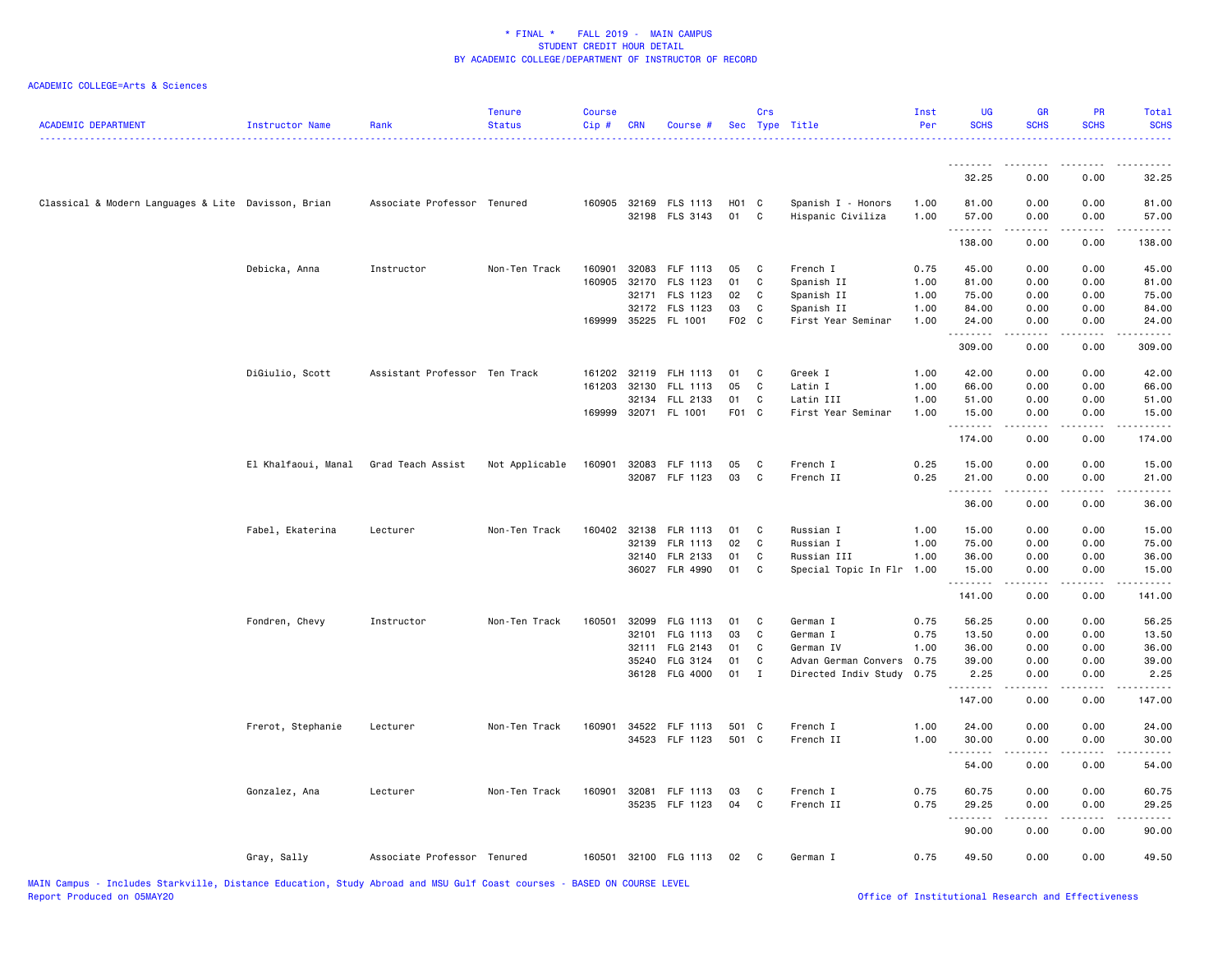| <b>ACADEMIC DEPARTMENT</b>                          | Instructor Name     | Rank                          | <b>Tenure</b><br><b>Status</b> | <b>Course</b><br>Cip# | <b>CRN</b> | Course #                                |                         | Crs          | Sec Type Title                          | Inst<br>Per  | <b>UG</b><br><b>SCHS</b> | <b>GR</b><br><b>SCHS</b> | <b>PR</b><br><b>SCHS</b>     | Total<br><b>SCHS</b> |
|-----------------------------------------------------|---------------------|-------------------------------|--------------------------------|-----------------------|------------|-----------------------------------------|-------------------------|--------------|-----------------------------------------|--------------|--------------------------|--------------------------|------------------------------|----------------------|
|                                                     |                     |                               |                                |                       |            |                                         |                         |              |                                         |              | --------                 | <u>.</u>                 | .                            | .                    |
|                                                     |                     |                               |                                |                       |            |                                         |                         |              |                                         |              | 32.25                    | 0.00                     | 0.00                         | 32.25                |
| Classical & Modern Languages & Lite Davisson, Brian |                     | Associate Professor Tenured   |                                |                       |            | 160905 32169 FLS 1113<br>32198 FLS 3143 | H <sub>01</sub> C<br>01 | C            | Spanish I - Honors<br>Hispanic Civiliza | 1.00<br>1.00 | 81.00<br>57.00           | 0.00<br>0.00             | 0.00<br>0.00                 | 81.00<br>57.00       |
|                                                     |                     |                               |                                |                       |            |                                         |                         |              |                                         |              | .<br>138.00              | 0.00                     | .<br>0.00                    | .<br>138.00          |
|                                                     | Debicka, Anna       | Instructor                    | Non-Ten Track                  | 160901                |            | 32083 FLF 1113                          | 05                      | C            | French I                                | 0.75         | 45.00                    | 0.00                     | 0.00                         | 45.00                |
|                                                     |                     |                               |                                |                       |            | 160905 32170 FLS 1123                   | 01                      | C            | Spanish II                              | 1.00         | 81.00                    | 0.00                     | 0.00                         | 81.00                |
|                                                     |                     |                               |                                |                       |            | 32171 FLS 1123                          | 02                      | C            | Spanish II                              | 1.00         | 75.00                    | 0.00                     | 0.00                         | 75.00                |
|                                                     |                     |                               |                                |                       |            | 32172 FLS 1123                          | 03                      | C            | Spanish II                              | 1.00         | 84.00                    | 0.00                     | 0.00                         | 84.00                |
|                                                     |                     |                               |                                |                       |            | 169999 35225 FL 1001                    | F02 C                   |              | First Year Seminar                      | 1.00         | 24.00<br>.               | 0.00<br>.                | 0.00<br>$\sim$ $\sim$ $\sim$ | 24.00<br>.           |
|                                                     |                     |                               |                                |                       |            |                                         |                         |              |                                         |              | 309.00                   | 0.00                     | 0.00                         | 309.00               |
|                                                     | DiGiulio, Scott     | Assistant Professor Ten Track |                                |                       |            | 161202 32119 FLH 1113                   | 01                      | C            | Greek I                                 | 1.00         | 42.00                    | 0.00                     | 0.00                         | 42.00                |
|                                                     |                     |                               |                                | 161203                | 32130      | FLL 1113                                | 05                      | C            | Latin I                                 | 1.00         | 66.00                    | 0.00                     | 0.00                         | 66.00                |
|                                                     |                     |                               |                                |                       |            | 32134 FLL 2133                          | 01                      | C            | Latin III                               | 1.00         | 51.00                    | 0.00                     | 0.00                         | 51.00                |
|                                                     |                     |                               |                                |                       |            | 169999 32071 FL 1001                    | F01 C                   |              | First Year Seminar                      | 1.00         | 15.00<br><u>.</u>        | 0.00<br>.                | 0.00<br>.                    | 15.00<br>22222)      |
|                                                     |                     |                               |                                |                       |            |                                         |                         |              |                                         |              | 174.00                   | 0.00                     | 0.00                         | 174.00               |
|                                                     | El Khalfaoui, Manal | Grad Teach Assist             | Not Applicable                 | 160901                |            | 32083 FLF 1113                          | 05                      | C            | French I                                | 0.25         | 15.00                    | 0.00                     | 0.00                         | 15.00                |
|                                                     |                     |                               |                                |                       |            | 32087 FLF 1123                          | 03                      | C            | French II                               | 0.25         | 21.00                    | 0.00                     | 0.00                         | 21.00                |
|                                                     |                     |                               |                                |                       |            |                                         |                         |              |                                         |              | .<br>36.00               | .<br>0.00                | .<br>0.00                    | .<br>36.00           |
|                                                     | Fabel, Ekaterina    | Lecturer                      | Non-Ten Track                  |                       |            | 160402 32138 FLR 1113                   | 01                      | C            | Russian I                               | 1.00         | 15.00                    | 0.00                     | 0.00                         | 15.00                |
|                                                     |                     |                               |                                |                       | 32139      | FLR 1113                                | 02                      | C            | Russian I                               | 1.00         | 75.00                    | 0.00                     | 0.00                         | 75.00                |
|                                                     |                     |                               |                                |                       |            | 32140 FLR 2133                          | 01                      | C            | Russian III                             | 1.00         | 36.00                    | 0.00                     | 0.00                         | 36.00                |
|                                                     |                     |                               |                                |                       |            | 36027 FLR 4990                          | 01                      | C            | Special Topic In Flr                    | 1.00         | 15.00<br>.               | 0.00<br>$- - - - -$      | 0.00<br>.                    | 15.00<br>.           |
|                                                     |                     |                               |                                |                       |            |                                         |                         |              |                                         |              | 141.00                   | 0.00                     | 0.00                         | 141.00               |
|                                                     | Fondren, Chevy      | Instructor                    | Non-Ten Track                  | 160501                | 32099      | FLG 1113                                | 01                      | C            | German I                                | 0.75         | 56.25                    | 0.00                     | 0.00                         | 56.25                |
|                                                     |                     |                               |                                |                       | 32101      | FLG 1113                                | 03                      | C            | German I                                | 0.75         | 13.50                    | 0.00                     | 0.00                         | 13.50                |
|                                                     |                     |                               |                                |                       |            | 32111 FLG 2143                          | 01                      | C            | German IV                               | 1.00         | 36.00                    | 0.00                     | 0.00                         | 36.00                |
|                                                     |                     |                               |                                |                       |            | 35240 FLG 3124                          | 01                      | $\mathtt{C}$ | Advan German Convers                    | 0.75         | 39.00                    | 0.00                     | 0.00                         | 39.00                |
|                                                     |                     |                               |                                |                       |            | 36128 FLG 4000                          | 01                      | $\mathbf{I}$ | Directed Indiv Study                    | 0.75         | 2.25<br>.                | 0.00<br>.                | 0.00<br>.                    | 2.25<br>.            |
|                                                     |                     |                               |                                |                       |            |                                         |                         |              |                                         |              | 147.00                   | 0.00                     | 0.00                         | 147.00               |
|                                                     | Frerot, Stephanie   | Lecturer                      | Non-Ten Track                  | 160901                |            | 34522 FLF 1113                          | 501                     | C.           | French I                                | 1.00         | 24.00                    | 0.00                     | 0.00                         | 24.00                |
|                                                     |                     |                               |                                |                       |            | 34523 FLF 1123                          | 501 C                   |              | French II                               | 1.00         | 30.00                    | 0.00                     | 0.00                         | 30.00                |
|                                                     |                     |                               |                                |                       |            |                                         |                         |              |                                         |              | 54.00                    | 0.00                     | 0.00                         | 54.00                |
|                                                     | Gonzalez, Ana       | Lecturer                      | Non-Ten Track                  |                       |            | 160901 32081 FLF 1113                   | 03                      | C            | French I                                | 0.75         | 60.75                    | 0.00                     | 0.00                         | 60.75                |
|                                                     |                     |                               |                                |                       |            | 35235 FLF 1123                          | 04                      | C            | French II                               | 0.75         | 29.25                    | 0.00                     | 0.00                         | 29.25                |
|                                                     |                     |                               |                                |                       |            |                                         |                         |              |                                         |              | .<br>90.00               | -----<br>0.00            | .<br>0.00                    | .<br>90.00           |
|                                                     | Gray, Sally         | Associate Professor Tenured   |                                |                       |            | 160501 32100 FLG 1113                   | 02                      | C            | German I                                | 0.75         | 49.50                    | 0.00                     | 0.00                         | 49.50                |
|                                                     |                     |                               |                                |                       |            |                                         |                         |              |                                         |              |                          |                          |                              |                      |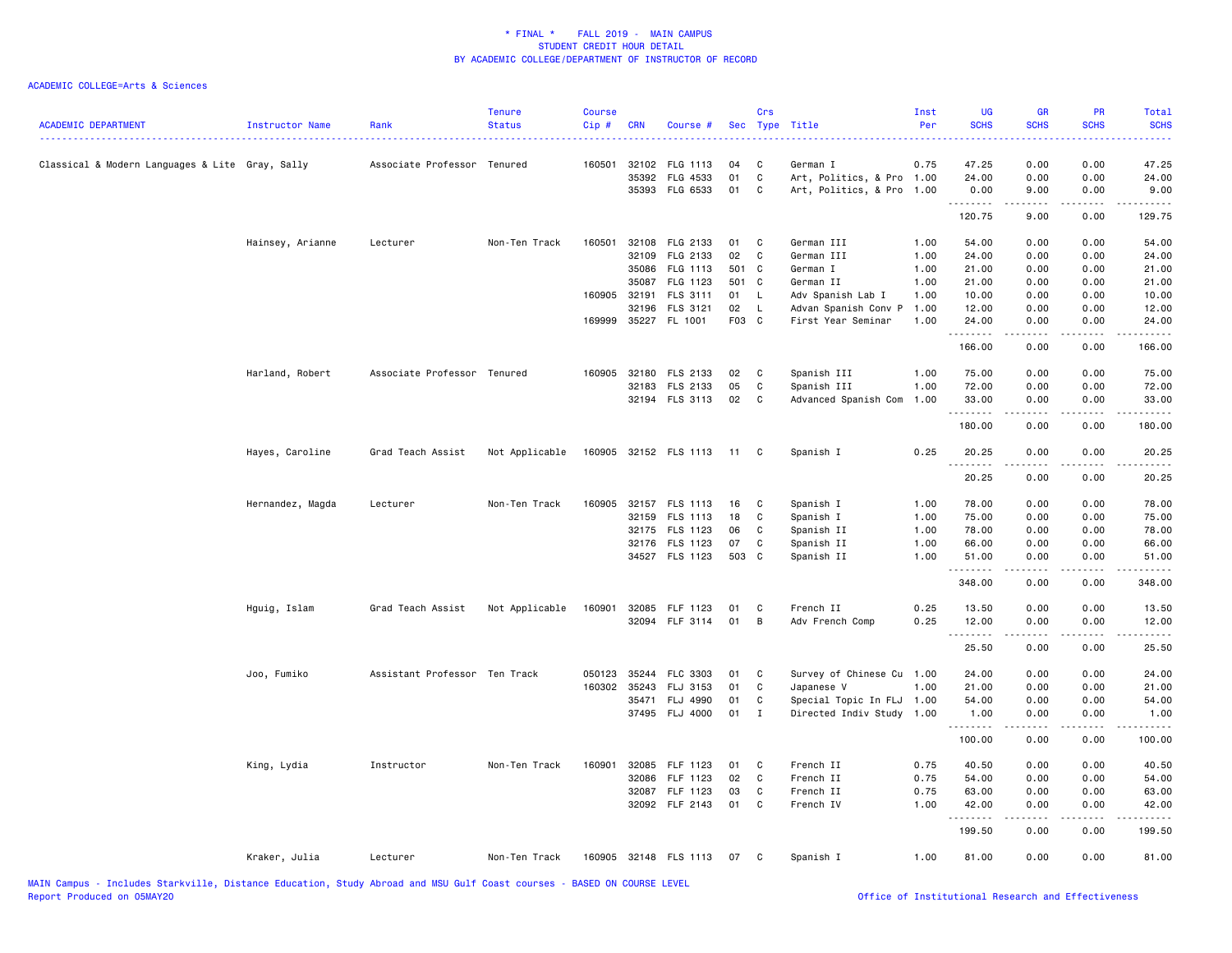| <b>ACADEMIC DEPARTMENT</b>                      | <b>Instructor Name</b> | Rank                          | <b>Tenure</b><br><b>Status</b> | <b>Course</b><br>Cip # | <b>CRN</b>   | Course #              |       | Crs          | Sec Type Title            | Inst<br>Per | UG<br><b>SCHS</b> | <b>GR</b><br><b>SCHS</b> | PR<br><b>SCHS</b>                   | Total<br><b>SCHS</b><br>والأنابات |
|-------------------------------------------------|------------------------|-------------------------------|--------------------------------|------------------------|--------------|-----------------------|-------|--------------|---------------------------|-------------|-------------------|--------------------------|-------------------------------------|-----------------------------------|
| Classical & Modern Languages & Lite Gray, Sally |                        | Associate Professor Tenured   |                                | 160501                 |              | 32102 FLG 1113        | 04    | C            | German I                  | 0.75        | 47.25             | 0.00                     | 0.00                                | 47.25                             |
|                                                 |                        |                               |                                |                        | 35392        | FLG 4533              | 01    | C            | Art, Politics, & Pro 1.00 |             | 24.00             | 0.00                     | 0.00                                | 24.00                             |
|                                                 |                        |                               |                                |                        |              | 35393 FLG 6533        | 01 C  |              | Art, Politics, & Pro 1.00 |             | 0.00<br><u>.</u>  | 9.00<br>.                | 0.00<br>.                           | 9.00<br>.                         |
|                                                 |                        |                               |                                |                        |              |                       |       |              |                           |             | 120.75            | 9.00                     | 0.00                                | 129.75                            |
|                                                 | Hainsey, Arianne       | Lecturer                      | Non-Ten Track                  | 160501                 |              | 32108 FLG 2133        | 01    | C            | German III                | 1.00        | 54.00             | 0.00                     | 0.00                                | 54.00                             |
|                                                 |                        |                               |                                |                        | 32109        | FLG 2133              | 02    | C            | German III                | 1.00        | 24.00             | 0.00                     | 0.00                                | 24.00                             |
|                                                 |                        |                               |                                |                        | 35086        | FLG 1113              | 501 C |              | German I                  | 1.00        | 21.00             | 0.00                     | 0.00                                | 21.00                             |
|                                                 |                        |                               |                                |                        | 35087        | FLG 1123              | 501 C |              | German II                 | 1.00        | 21.00             | 0.00                     | 0.00                                | 21.00                             |
|                                                 |                        |                               |                                | 160905                 | 32191        | FLS 3111              | 01    | - L          | Adv Spanish Lab I         | 1.00        | 10.00             | 0.00                     | 0.00                                | 10.00                             |
|                                                 |                        |                               |                                |                        | 32196        | FLS 3121              | 02    | - L          | Advan Spanish Conv P      | 1.00        | 12.00             | 0.00                     | 0.00                                | 12.00                             |
|                                                 |                        |                               |                                |                        |              | 169999 35227 FL 1001  | F03 C |              | First Year Seminar        | 1.00        | 24.00<br>.        | 0.00<br>.                | 0.00<br>$\sim$ $\sim$ $\sim$ $\sim$ | 24.00<br>.                        |
|                                                 |                        |                               |                                |                        |              |                       |       |              |                           |             | 166.00            | 0.00                     | 0.00                                | 166.00                            |
|                                                 | Harland, Robert        | Associate Professor Tenured   |                                | 160905                 |              | 32180 FLS 2133        | 02    | C            | Spanish III               | 1.00        | 75.00             | 0.00                     | 0.00                                | 75.00                             |
|                                                 |                        |                               |                                |                        | 32183        | FLS 2133              | 05    | C            | Spanish III               | 1.00        | 72.00             | 0.00                     | 0.00                                | 72.00                             |
|                                                 |                        |                               |                                |                        |              | 32194 FLS 3113        | 02    | $\mathbf{C}$ | Advanced Spanish Com      | 1.00        | 33.00<br><u>.</u> | 0.00                     | 0.00<br>$\frac{1}{2}$               | 33.00<br>.                        |
|                                                 |                        |                               |                                |                        |              |                       |       |              |                           |             | 180.00            | 0.00                     | 0.00                                | 180.00                            |
|                                                 | Hayes, Caroline        | Grad Teach Assist             | Not Applicable                 |                        |              | 160905 32152 FLS 1113 | $-11$ | $\mathbf{C}$ | Spanish I                 | 0.25        | 20.25<br>.        | 0.00                     | 0.00                                | 20.25<br>.                        |
|                                                 |                        |                               |                                |                        |              |                       |       |              |                           |             | 20.25             | 0.00                     | 0.00                                | 20.25                             |
|                                                 | Hernandez, Magda       | Lecturer                      | Non-Ten Track                  | 160905                 |              | 32157 FLS 1113        | 16    | C            | Spanish I                 | 1.00        | 78.00             | 0.00                     | 0.00                                | 78.00                             |
|                                                 |                        |                               |                                |                        |              | 32159 FLS 1113        | 18    | C            | Spanish I                 | 1.00        | 75.00             | 0.00                     | 0.00                                | 75.00                             |
|                                                 |                        |                               |                                |                        |              | 32175 FLS 1123        | 06    | C            | Spanish II                | 1.00        | 78.00             | 0.00                     | 0.00                                | 78.00                             |
|                                                 |                        |                               |                                |                        |              | 32176 FLS 1123        | 07    | C            | Spanish II                | 1.00        | 66.00             | 0.00                     | 0.00                                | 66.00                             |
|                                                 |                        |                               |                                |                        |              | 34527 FLS 1123        | 503 C |              | Spanish II                | 1.00        | 51.00<br>.        | 0.00<br>.                | 0.00<br>$- - - -$                   | 51.00<br>.                        |
|                                                 |                        |                               |                                |                        |              |                       |       |              |                           |             | 348.00            | 0.00                     | 0.00                                | 348.00                            |
|                                                 | Hguig, Islam           | Grad Teach Assist             | Not Applicable                 | 160901                 |              | 32085 FLF 1123        | 01    | C            | French II                 | 0.25        | 13.50             | 0.00                     | 0.00                                | 13.50                             |
|                                                 |                        |                               |                                |                        |              | 32094 FLF 3114        | 01    | В            | Adv French Comp           | 0.25        | 12.00<br><u>.</u> | 0.00<br>.                | 0.00<br>.                           | 12.00<br>.                        |
|                                                 |                        |                               |                                |                        |              |                       |       |              |                           |             | 25.50             | 0.00                     | 0.00                                | 25.50                             |
|                                                 | Joo, Fumiko            | Assistant Professor Ten Track |                                | 050123                 | 35244        | FLC 3303              | 01    | C            | Survey of Chinese Cu 1.00 |             | 24.00             | 0.00                     | 0.00                                | 24.00                             |
|                                                 |                        |                               |                                |                        | 160302 35243 | FLJ 3153              | 01    | C            | Japanese V                | 1.00        | 21.00             | 0.00                     | 0.00                                | 21.00                             |
|                                                 |                        |                               |                                |                        | 35471        | FLJ 4990              | 01    | C            | Special Topic In FLJ 1.00 |             | 54.00             | 0.00                     | 0.00                                | 54.00                             |
|                                                 |                        |                               |                                |                        |              | 37495 FLJ 4000        | 01    | $\mathbf I$  | Directed Indiv Study 1.00 |             | 1.00<br>.         | 0.00<br>.                | 0.00<br>الأبالات                    | 1.00<br>.                         |
|                                                 |                        |                               |                                |                        |              |                       |       |              |                           |             | 100.00            | 0.00                     | 0.00                                | 100.00                            |
|                                                 | King, Lydia            | Instructor                    | Non-Ten Track                  | 160901                 | 32085        | FLF 1123              | 01    | C            | French II                 | 0.75        | 40.50             | 0.00                     | 0.00                                | 40.50                             |
|                                                 |                        |                               |                                |                        | 32086        | FLF 1123              | 02    | $\mathbf{C}$ | French II                 | 0.75        | 54.00             | 0.00                     | 0.00                                | 54.00                             |
|                                                 |                        |                               |                                |                        |              | 32087 FLF 1123        | 03    | C            | French II                 | 0.75        | 63.00             | 0.00                     | 0.00                                | 63.00                             |
|                                                 |                        |                               |                                |                        |              | 32092 FLF 2143        | 01    | $\mathbf{C}$ | French IV                 | 1.00        | 42.00<br>.        | 0.00<br>$- - - - -$      | 0.00<br>.                           | 42.00<br>.                        |
|                                                 |                        |                               |                                |                        |              |                       |       |              |                           |             | 199.50            | 0.00                     | 0.00                                | 199.50                            |
|                                                 | Kraker, Julia          | Lecturer                      | Non-Ten Track                  |                        |              | 160905 32148 FLS 1113 | 07    | C            | Spanish I                 | 1.00        | 81.00             | 0.00                     | 0.00                                | 81.00                             |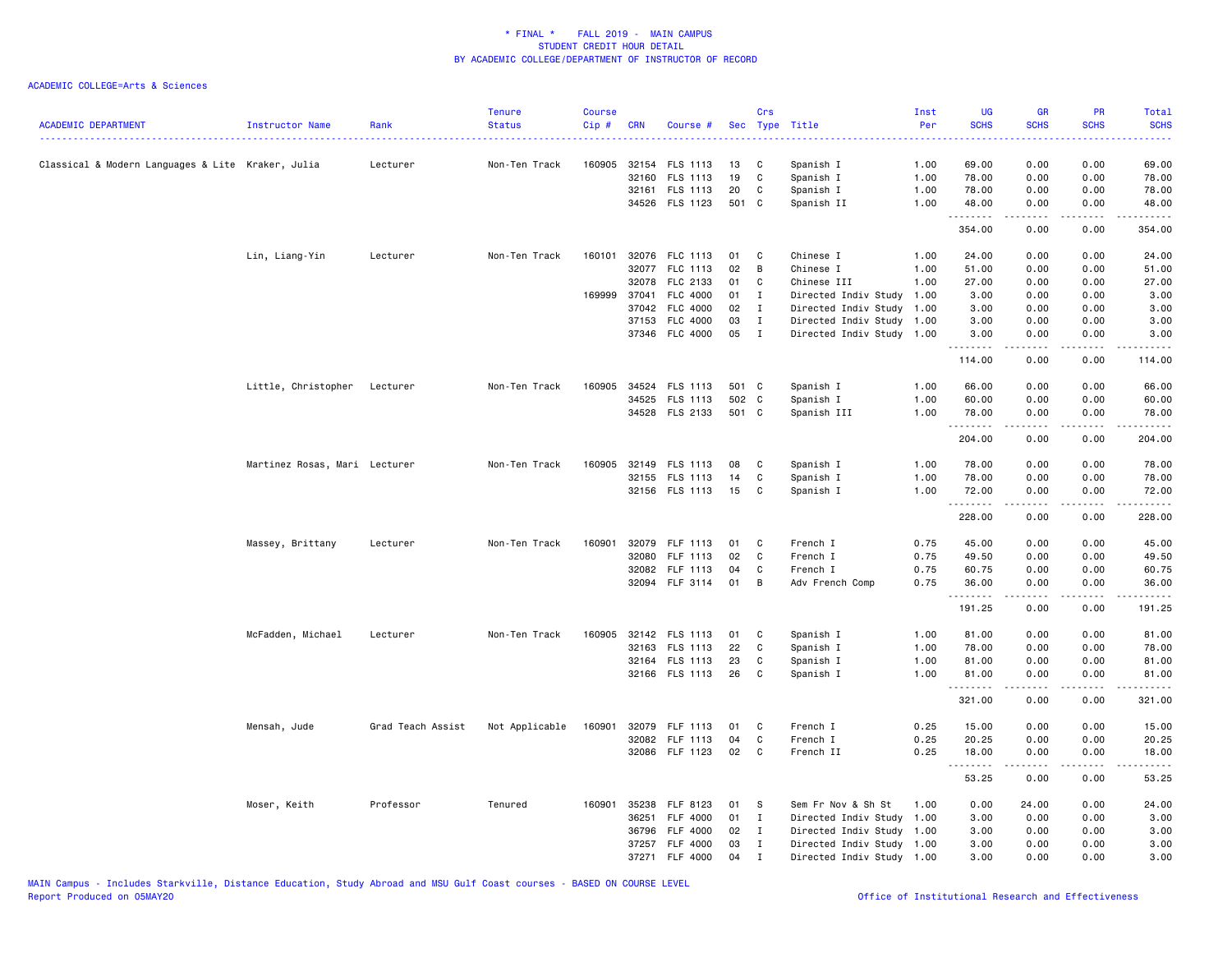| <b>ACADEMIC DEPARTMENT</b>                        | Instructor Name               | Rank<br>-------------------- | <b>Tenure</b><br><b>Status</b> | <b>Course</b><br>Cip# | <b>CRN</b> | Course #              |       | Crs          | Sec Type Title            | Inst<br>Per | <b>UG</b><br><b>SCHS</b> | <b>GR</b><br><b>SCHS</b> | PR<br><b>SCHS</b>                   | Total<br><b>SCHS</b><br>$\omega$ is $\omega$ in . |
|---------------------------------------------------|-------------------------------|------------------------------|--------------------------------|-----------------------|------------|-----------------------|-------|--------------|---------------------------|-------------|--------------------------|--------------------------|-------------------------------------|---------------------------------------------------|
| Classical & Modern Languages & Lite Kraker, Julia |                               | Lecturer                     | Non-Ten Track                  |                       |            | 160905 32154 FLS 1113 | 13    | C            | Spanish I                 | 1.00        | 69.00                    | 0.00                     | 0.00                                | 69.00                                             |
|                                                   |                               |                              |                                |                       |            | 32160 FLS 1113        | 19    | C            | Spanish I                 | 1.00        | 78.00                    | 0.00                     | 0.00                                | 78.00                                             |
|                                                   |                               |                              |                                |                       |            | 32161 FLS 1113        | 20    | C            | Spanish I                 | 1.00        | 78.00                    | 0.00                     | 0.00                                | 78.00                                             |
|                                                   |                               |                              |                                |                       |            | 34526 FLS 1123        | 501 C |              | Spanish II                | 1.00        | 48.00                    | 0.00                     | 0.00                                | 48.00                                             |
|                                                   |                               |                              |                                |                       |            |                       |       |              |                           |             | <u>.</u><br>354.00       | 0.00                     | $\sim$ $\sim$ $\sim$ $\sim$<br>0.00 | $\omega$ is $\omega$ in .<br>354.00               |
|                                                   | Lin, Liang-Yin                | Lecturer                     | Non-Ten Track                  | 160101                |            | 32076 FLC 1113        | 01    | C            | Chinese I                 | 1.00        | 24.00                    | 0.00                     | 0.00                                | 24.00                                             |
|                                                   |                               |                              |                                |                       |            | 32077 FLC 1113        | 02    | B            | Chinese I                 | 1.00        | 51.00                    | 0.00                     | 0.00                                | 51.00                                             |
|                                                   |                               |                              |                                |                       |            | 32078 FLC 2133        | 01    | C            | Chinese III               | 1.00        | 27.00                    | 0.00                     | 0.00                                | 27.00                                             |
|                                                   |                               |                              |                                | 169999 37041          |            | FLC 4000              | 01    | $\mathbf{I}$ | Directed Indiv Study 1.00 |             | 3.00                     | 0.00                     | 0.00                                | 3.00                                              |
|                                                   |                               |                              |                                |                       | 37042      | <b>FLC 4000</b>       | 02    | $\mathbf{I}$ | Directed Indiv Study 1.00 |             | 3.00                     | 0.00                     | 0.00                                | 3.00                                              |
|                                                   |                               |                              |                                |                       |            | 37153 FLC 4000        | 03    | $\mathbf{I}$ | Directed Indiv Study 1.00 |             | 3.00                     | 0.00                     | 0.00                                | 3.00                                              |
|                                                   |                               |                              |                                |                       |            | 37346 FLC 4000        | 05    | $\mathbf{I}$ | Directed Indiv Study 1.00 |             | 3.00                     | 0.00                     | 0.00                                | 3.00                                              |
|                                                   |                               |                              |                                |                       |            |                       |       |              |                           |             | .<br>114.00              | .<br>0.00                | .<br>0.00                           | .<br>114.00                                       |
|                                                   | Little, Christopher Lecturer  |                              | Non-Ten Track                  | 160905                |            | 34524 FLS 1113        | 501 C |              | Spanish I                 | 1.00        | 66.00                    | 0.00                     | 0.00                                | 66.00                                             |
|                                                   |                               |                              |                                |                       |            | 34525 FLS 1113        | 502 C |              | Spanish I                 | 1.00        | 60.00                    | 0.00                     | 0.00                                | 60.00                                             |
|                                                   |                               |                              |                                |                       |            | 34528 FLS 2133        | 501 C |              | Spanish III               | 1.00        | 78.00                    | 0.00                     | 0.00                                | 78.00                                             |
|                                                   |                               |                              |                                |                       |            |                       |       |              |                           |             | .<br>204.00              | .<br>0.00                | .<br>0.00                           | .<br>204.00                                       |
|                                                   | Martinez Rosas, Mari Lecturer |                              | Non-Ten Track                  |                       |            | 160905 32149 FLS 1113 | 08    | C            | Spanish I                 | 1.00        | 78.00                    | 0.00                     | 0.00                                | 78.00                                             |
|                                                   |                               |                              |                                |                       |            | 32155 FLS 1113        | 14    | C            | Spanish I                 | 1.00        | 78.00                    | 0.00                     | 0.00                                | 78.00                                             |
|                                                   |                               |                              |                                |                       |            | 32156 FLS 1113        | 15    | C            | Spanish I                 | 1.00        | 72.00                    | 0.00                     | 0.00                                | 72.00                                             |
|                                                   |                               |                              |                                |                       |            |                       |       |              |                           |             | .<br>228.00              | .<br>0.00                | د د د د<br>0.00                     | .<br>228.00                                       |
|                                                   | Massey, Brittany              | Lecturer                     | Non-Ten Track                  | 160901                |            | 32079 FLF 1113        | 01    | C            | French I                  | 0.75        | 45.00                    | 0.00                     | 0.00                                | 45.00                                             |
|                                                   |                               |                              |                                |                       |            | 32080 FLF 1113        | 02    | C            | French I                  | 0.75        | 49.50                    | 0.00                     | 0.00                                | 49.50                                             |
|                                                   |                               |                              |                                |                       |            | 32082 FLF 1113        | 04    | C            | French I                  | 0.75        | 60.75                    | 0.00                     | 0.00                                | 60.75                                             |
|                                                   |                               |                              |                                |                       |            | 32094 FLF 3114        | 01    | В            | Adv French Comp           | 0.75        | 36.00                    | 0.00                     | 0.00                                | 36.00                                             |
|                                                   |                               |                              |                                |                       |            |                       |       |              |                           |             | .<br>191.25              | .<br>0.00                | .<br>0.00                           | ------<br>191.25                                  |
|                                                   | McFadden, Michael             | Lecturer                     | Non-Ten Track                  | 160905                |            | 32142 FLS 1113        | 01    | C            | Spanish I                 | 1.00        | 81.00                    | 0.00                     | 0.00                                | 81.00                                             |
|                                                   |                               |                              |                                |                       |            | 32163 FLS 1113        | 22    | C            | Spanish I                 | 1.00        | 78.00                    | 0.00                     | 0.00                                | 78.00                                             |
|                                                   |                               |                              |                                |                       |            | 32164 FLS 1113        | 23    | C            | Spanish I                 | 1.00        | 81.00                    | 0.00                     | 0.00                                | 81.00                                             |
|                                                   |                               |                              |                                |                       |            | 32166 FLS 1113        | 26    | C            | Spanish I                 | 1.00        | 81.00                    | 0.00                     | 0.00                                | 81.00                                             |
|                                                   |                               |                              |                                |                       |            |                       |       |              |                           |             | .<br>321.00              | .<br>0.00                | .<br>0.00                           | <u>.</u><br>321.00                                |
|                                                   | Mensah, Jude                  | Grad Teach Assist            | Not Applicable                 | 160901                |            | 32079 FLF 1113        | 01    | C            | French I                  | 0.25        | 15.00                    | 0.00                     | 0.00                                | 15.00                                             |
|                                                   |                               |                              |                                |                       |            | 32082 FLF 1113        | 04    | $\mathbf C$  | French I                  | 0.25        | 20.25                    | 0.00                     | 0.00                                | 20.25                                             |
|                                                   |                               |                              |                                |                       |            | 32086 FLF 1123        | 02    | C            | French II                 | 0.25        | 18.00                    | 0.00                     | 0.00                                | 18.00                                             |
|                                                   |                               |                              |                                |                       |            |                       |       |              |                           |             | 53.25                    | 0.00                     | 0.00                                | 53.25                                             |
|                                                   | Moser, Keith                  | Professor                    | Tenured                        |                       |            | 160901 35238 FLF 8123 | 01    | - S          | Sem Fr Nov & Sh St        | 1.00        | 0.00                     | 24.00                    | 0.00                                | 24.00                                             |
|                                                   |                               |                              |                                |                       |            | 36251 FLF 4000        | 01    | $\mathbf{I}$ | Directed Indiv Study 1.00 |             | 3.00                     | 0.00                     | 0.00                                | 3.00                                              |
|                                                   |                               |                              |                                |                       | 36796      | <b>FLF 4000</b>       | 02    | $\mathbf{I}$ | Directed Indiv Study 1.00 |             | 3.00                     | 0.00                     | 0.00                                | 3.00                                              |
|                                                   |                               |                              |                                |                       | 37257      | <b>FLF 4000</b>       | 03    | $\mathbf{I}$ | Directed Indiv Study 1.00 |             | 3.00                     | 0.00                     | 0.00                                | 3.00                                              |
|                                                   |                               |                              |                                |                       |            | 37271 FLF 4000        | 04    | $\mathbf{I}$ | Directed Indiv Study 1.00 |             | 3.00                     | 0.00                     | 0.00                                | 3.00                                              |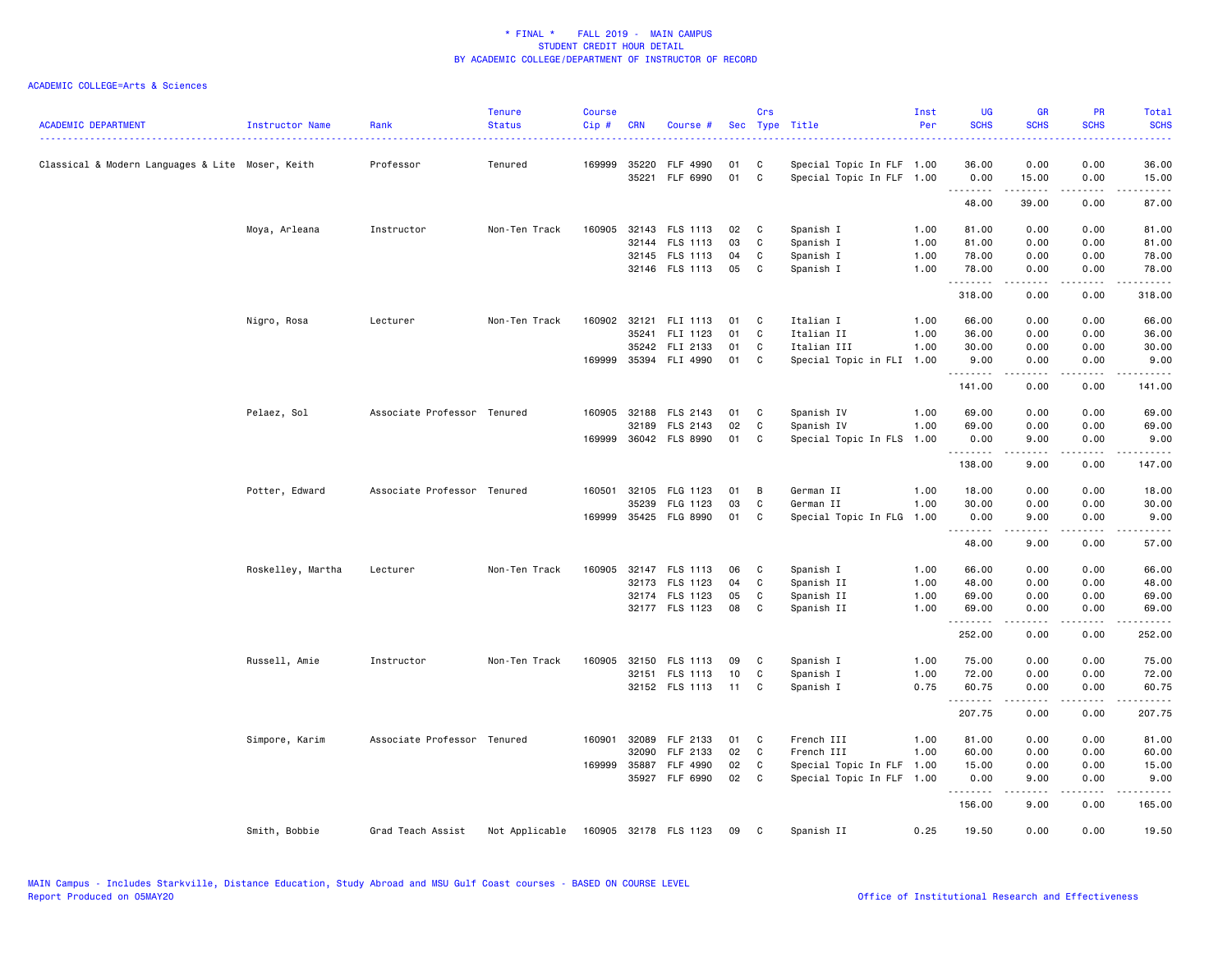| <b>ACADEMIC DEPARTMENT</b>                       | Instructor Name   | Rank                        | <b>Tenure</b><br><b>Status</b> | <b>Course</b><br>Cip# | <b>CRN</b> | Course #              |    | Crs          | Sec Type Title            | Inst<br>Per | <b>UG</b><br><b>SCHS</b> | <b>GR</b><br><b>SCHS</b> | <b>PR</b><br><b>SCHS</b> | Total<br><b>SCHS</b>   |
|--------------------------------------------------|-------------------|-----------------------------|--------------------------------|-----------------------|------------|-----------------------|----|--------------|---------------------------|-------------|--------------------------|--------------------------|--------------------------|------------------------|
| Classical & Modern Languages & Lite Moser, Keith |                   | Professor                   | Tenured                        | 169999                | 35220      | FLF 4990              | 01 | C            | Special Topic In FLF 1.00 |             | 36.00                    | 0.00                     | 0.00                     | 36.00                  |
|                                                  |                   |                             |                                |                       |            | 35221 FLF 6990        | 01 | C            | Special Topic In FLF 1.00 |             | 0.00<br>.                | 15.00<br>.               | 0.00<br>.                | 15.00<br>.             |
|                                                  |                   |                             |                                |                       |            |                       |    |              |                           |             | 48.00                    | 39.00                    | 0.00                     | 87.00                  |
|                                                  | Moya, Arleana     | Instructor                  | Non-Ten Track                  | 160905                |            | 32143 FLS 1113        | 02 | C            | Spanish I                 | 1.00        | 81.00                    | 0.00                     | 0.00                     | 81.00                  |
|                                                  |                   |                             |                                |                       |            | 32144 FLS 1113        | 03 | C            | Spanish I                 | 1.00        | 81.00                    | 0.00                     | 0.00                     | 81.00                  |
|                                                  |                   |                             |                                |                       |            | 32145 FLS 1113        | 04 | C            | Spanish I                 | 1.00        | 78.00                    | 0.00                     | 0.00                     | 78.00                  |
|                                                  |                   |                             |                                |                       |            | 32146 FLS 1113        | 05 | C            | Spanish I                 | 1.00        | 78.00                    | 0.00<br>.                | 0.00<br>.                | 78.00<br>.             |
|                                                  |                   |                             |                                |                       |            |                       |    |              |                           |             | .<br>318.00              | 0.00                     | 0.00                     | 318.00                 |
|                                                  | Nigro, Rosa       | Lecturer                    | Non-Ten Track                  |                       |            | 160902 32121 FLI 1113 | 01 | C            | Italian I                 | 1.00        | 66.00                    | 0.00                     | 0.00                     | 66.00                  |
|                                                  |                   |                             |                                |                       | 35241      | FLI 1123              | 01 | $\mathbf{C}$ | Italian II                | 1.00        | 36.00                    | 0.00                     | 0.00                     | 36.00                  |
|                                                  |                   |                             |                                |                       |            | 35242 FLI 2133        | 01 | C            | Italian III               | 1.00        | 30.00                    | 0.00                     | 0.00                     | 30.00                  |
|                                                  |                   |                             |                                |                       |            | 169999 35394 FLI 4990 | 01 | C            | Special Topic in FLI 1.00 |             | 9.00<br>.                | 0.00<br>.                | 0.00                     | 9.00                   |
|                                                  |                   |                             |                                |                       |            |                       |    |              |                           |             | 141.00                   | 0.00                     | 0.00                     | 141.00                 |
|                                                  | Pelaez, Sol       | Associate Professor Tenured |                                |                       |            | 160905 32188 FLS 2143 | 01 | C            | Spanish IV                | 1.00        | 69.00                    | 0.00                     | 0.00                     | 69.00                  |
|                                                  |                   |                             |                                |                       | 32189      | FLS 2143              | 02 | C            | Spanish IV                | 1.00        | 69.00                    | 0.00                     | 0.00                     | 69.00                  |
|                                                  |                   |                             |                                |                       |            | 169999 36042 FLS 8990 | 01 | C            | Special Topic In FLS      | 1.00        | 0.00                     | 9.00                     | 0.00                     | 9.00                   |
|                                                  |                   |                             |                                |                       |            |                       |    |              |                           |             | <u>.</u><br>138.00       | 9.00                     | 0.00                     | 147.00                 |
|                                                  | Potter, Edward    | Associate Professor Tenured |                                |                       |            | 160501 32105 FLG 1123 | 01 | В            | German II                 | 1.00        | 18.00                    | 0.00                     | 0.00                     | 18.00                  |
|                                                  |                   |                             |                                |                       | 35239      | FLG 1123              | 03 | $\mathbf C$  | German II                 | 1.00        | 30.00                    | 0.00                     | 0.00                     | 30.00                  |
|                                                  |                   |                             |                                |                       |            | 169999 35425 FLG 8990 | 01 | C            | Special Topic In FLG      | 1.00        | 0.00                     | 9.00                     | 0.00                     | 9.00                   |
|                                                  |                   |                             |                                |                       |            |                       |    |              |                           |             | .<br>48.00               | 9.00                     | 0.00                     | 57.00                  |
|                                                  | Roskelley, Martha | Lecturer                    | Non-Ten Track                  |                       |            | 160905 32147 FLS 1113 | 06 | C            | Spanish I                 | 1.00        | 66.00                    | 0.00                     | 0.00                     | 66.00                  |
|                                                  |                   |                             |                                |                       |            | 32173 FLS 1123        | 04 | C            | Spanish II                | 1.00        | 48.00                    | 0.00                     | 0.00                     | 48.00                  |
|                                                  |                   |                             |                                |                       |            | 32174 FLS 1123        | 05 | C            | Spanish II                | 1.00        | 69.00                    | 0.00                     | 0.00                     | 69.00                  |
|                                                  |                   |                             |                                |                       |            | 32177 FLS 1123        | 08 | C            | Spanish II                | 1.00        | 69.00                    | 0.00                     | 0.00<br>$\frac{1}{2}$    | 69.00                  |
|                                                  |                   |                             |                                |                       |            |                       |    |              |                           |             | .<br>252.00              | .<br>0.00                | 0.00                     | . <b>.</b> .<br>252.00 |
|                                                  | Russell, Amie     | Instructor                  | Non-Ten Track                  | 160905                |            | 32150 FLS 1113        | 09 | C            | Spanish I                 | 1.00        | 75.00                    | 0.00                     | 0.00                     | 75.00                  |
|                                                  |                   |                             |                                |                       |            | 32151 FLS 1113        | 10 | C            | Spanish I                 | 1.00        | 72.00                    | 0.00                     | 0.00                     | 72.00                  |
|                                                  |                   |                             |                                |                       |            | 32152 FLS 1113 11     |    | C            | Spanish I                 | 0.75        | 60.75                    | 0.00                     | 0.00                     | 60.75                  |
|                                                  |                   |                             |                                |                       |            |                       |    |              |                           |             | .<br>207.75              | .<br>0.00                | $   -$<br>0.00           | .<br>207.75            |
|                                                  | Simpore, Karim    | Associate Professor Tenured |                                | 160901                |            | 32089 FLF 2133        | 01 | C            | French III                | 1.00        | 81.00                    | 0.00                     | 0.00                     | 81.00                  |
|                                                  |                   |                             |                                |                       | 32090      | FLF 2133              | 02 | C            | French III                | 1.00        | 60.00                    | 0.00                     | 0.00                     | 60.00                  |
|                                                  |                   |                             |                                |                       |            | 169999 35887 FLF 4990 | 02 | C            | Special Topic In FLF      | 1.00        | 15.00                    | 0.00                     | 0.00                     | 15.00                  |
|                                                  |                   |                             |                                |                       |            | 35927 FLF 6990        | 02 | C            | Special Topic In FLF 1.00 |             | 0.00<br>.                | 9.00<br>-----            | 0.00<br>.                | 9.00<br><u>.</u> .     |
|                                                  |                   |                             |                                |                       |            |                       |    |              |                           |             | 156.00                   | 9.00                     | 0.00                     | 165.00                 |
|                                                  | Smith, Bobbie     | Grad Teach Assist           | Not Applicable                 |                       |            | 160905 32178 FLS 1123 | 09 | C            | Spanish II                | 0.25        | 19.50                    | 0.00                     | 0.00                     | 19.50                  |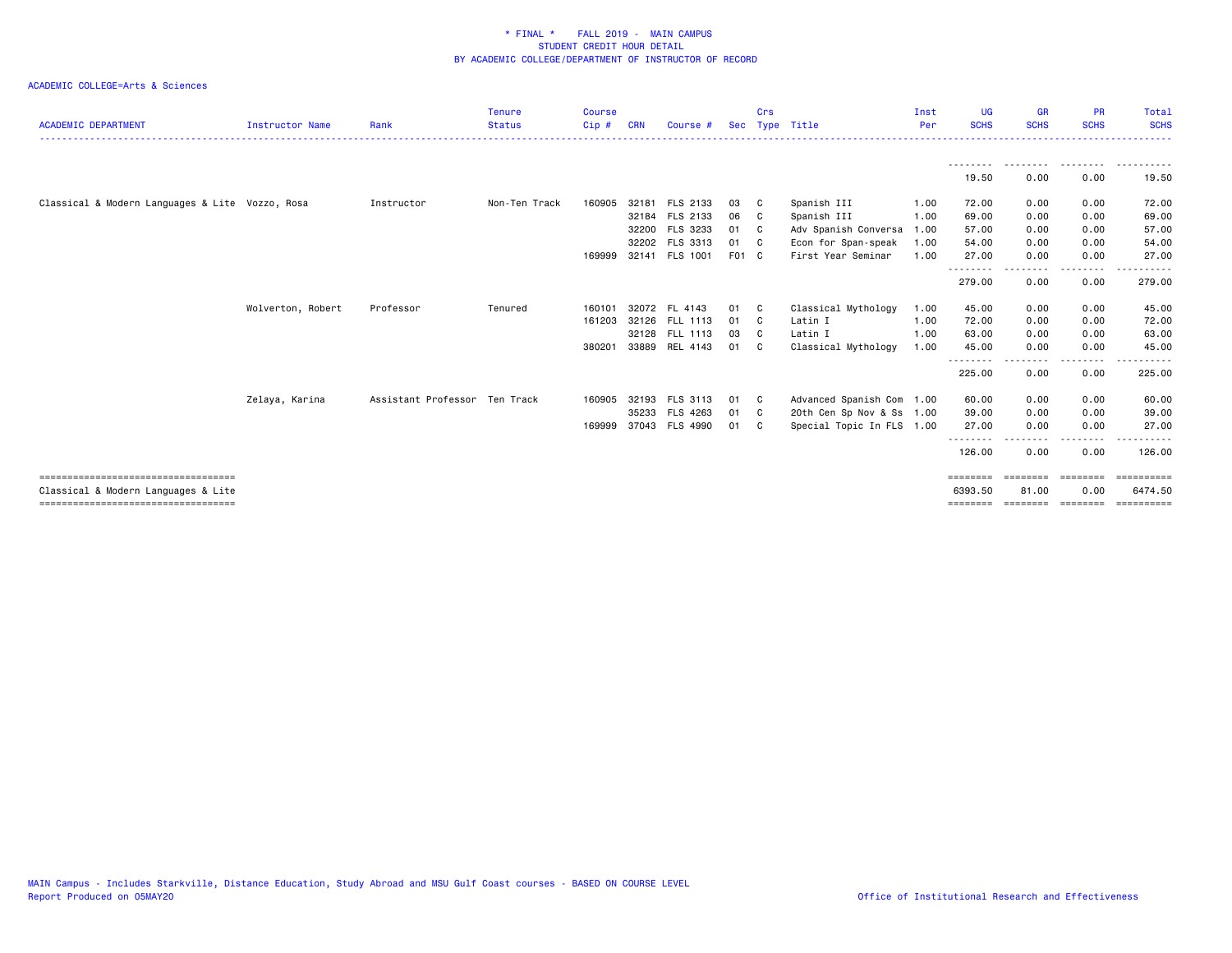| <b>ACADEMIC DEPARTMENT</b>                      | <b>Instructor Name</b> | Rank                          | <b>Tenure</b><br><b>Status</b> | <b>Course</b><br>$Cip$ # | <b>CRN</b> | <b>Course</b>                    | <b>Sec</b>  | Crs | Type Title                                | Inst<br>Per  | <b>UG</b><br><b>SCHS</b>  | <b>GR</b><br><b>SCHS</b> | <b>PR</b><br><b>SCHS</b> | <b>Total</b><br><b>SCHS</b> |
|-------------------------------------------------|------------------------|-------------------------------|--------------------------------|--------------------------|------------|----------------------------------|-------------|-----|-------------------------------------------|--------------|---------------------------|--------------------------|--------------------------|-----------------------------|
|                                                 |                        |                               |                                |                          |            |                                  |             |     |                                           |              | ---------<br>19.50        | ---------<br>0.00        | .<br>0.00                | -------<br>19.50            |
| Classical & Modern Languages & Lite Vozzo, Rosa |                        | Instructor                    | Non-Ten Track                  | 160905                   |            | 32181 FLS 2133                   | 03          | C.  | Spanish III                               | 1.00         | 72.00                     | 0.00                     | 0.00                     | 72.00                       |
|                                                 |                        |                               |                                |                          |            | 32184 FLS 2133                   | 06          | - C | Spanish III                               | 1.00         | 69.00                     | 0.00                     | 0.00                     | 69.00                       |
|                                                 |                        |                               |                                |                          |            | 32200 FLS 3233                   | 01          | - C | Adv Spanish Conversa                      | 1.00         | 57.00                     | 0.00                     | 0.00                     | 57.00                       |
|                                                 |                        |                               |                                | 169999                   |            | 32202 FLS 3313<br>32141 FLS 1001 | 01<br>F01 C | - C | Econ for Span-speak<br>First Year Seminar | 1.00<br>1.00 | 54.00<br>27,00            | 0.00<br>0.00             | 0.00<br>0.00             | 54.00<br>27.00              |
|                                                 |                        |                               |                                |                          |            |                                  |             |     |                                           |              | 279.00                    | 0.00                     | - - - -<br>0.00          | 279.00                      |
|                                                 | Wolverton, Robert      | Professor                     | Tenured                        | 160101                   |            | 32072 FL 4143                    | 01          | - C | Classical Mythology                       | 1.00         | 45.00                     | 0.00                     | 0.00                     | 45.00                       |
|                                                 |                        |                               |                                | 161203                   |            | 32126 FLL 1113                   | 01          | - C | Latin I                                   | 1.00         | 72.00                     | 0.00                     | 0.00                     | 72.00                       |
|                                                 |                        |                               |                                |                          |            | 32128 FLL 1113                   | 03          | C.  | Latin I                                   | 1.00         | 63.00                     | 0.00                     | 0.00                     | 63.00                       |
|                                                 |                        |                               |                                | 380201                   |            | 33889 REL 4143                   | 01          | C.  | Classical Mythology                       | 1.00         | 45.00<br>.                | 0.00                     | 0.00<br>$- - - -$        | 45.00<br>$\cdots$           |
|                                                 |                        |                               |                                |                          |            |                                  |             |     |                                           |              | 225.00                    | 0.00                     | 0.00                     | 225.00                      |
|                                                 | Zelaya, Karina         | Assistant Professor Ten Track |                                | 160905                   | 32193      | FLS 3113                         | 01          | C.  | Advanced Spanish Com 1.00                 |              | 60.00                     | 0.00                     | 0.00                     | 60.00                       |
|                                                 |                        |                               |                                |                          |            | 35233 FLS 4263                   | 01          | C.  | 20th Cen Sp Nov & Ss 1.00                 |              | 39.00                     | 0.00                     | 0.00                     | 39.00                       |
|                                                 |                        |                               |                                | 169999                   |            | 37043 FLS 4990                   | 01          | C.  | Special Topic In FLS 1.00                 |              | 27.00                     | 0.00                     | 0.00                     | 27.00                       |
|                                                 |                        |                               |                                |                          |            |                                  |             |     |                                           |              | - - - - - - - -<br>126.00 | - - - - -<br>0.00        | .<br>0.00                | 126.00                      |
| ====================================            |                        |                               |                                |                          |            |                                  |             |     |                                           |              | $=$ = = = = = = =         | ========                 | $=$ = = = = = = =        | essessesse                  |
| Classical & Modern Languages & Lite             |                        |                               |                                |                          |            |                                  |             |     |                                           |              | 6393.50                   | 81.00                    | 0.00                     | 6474.50                     |
| ======================================          |                        |                               |                                |                          |            |                                  |             |     |                                           |              | ========                  | =================        |                          | ==========                  |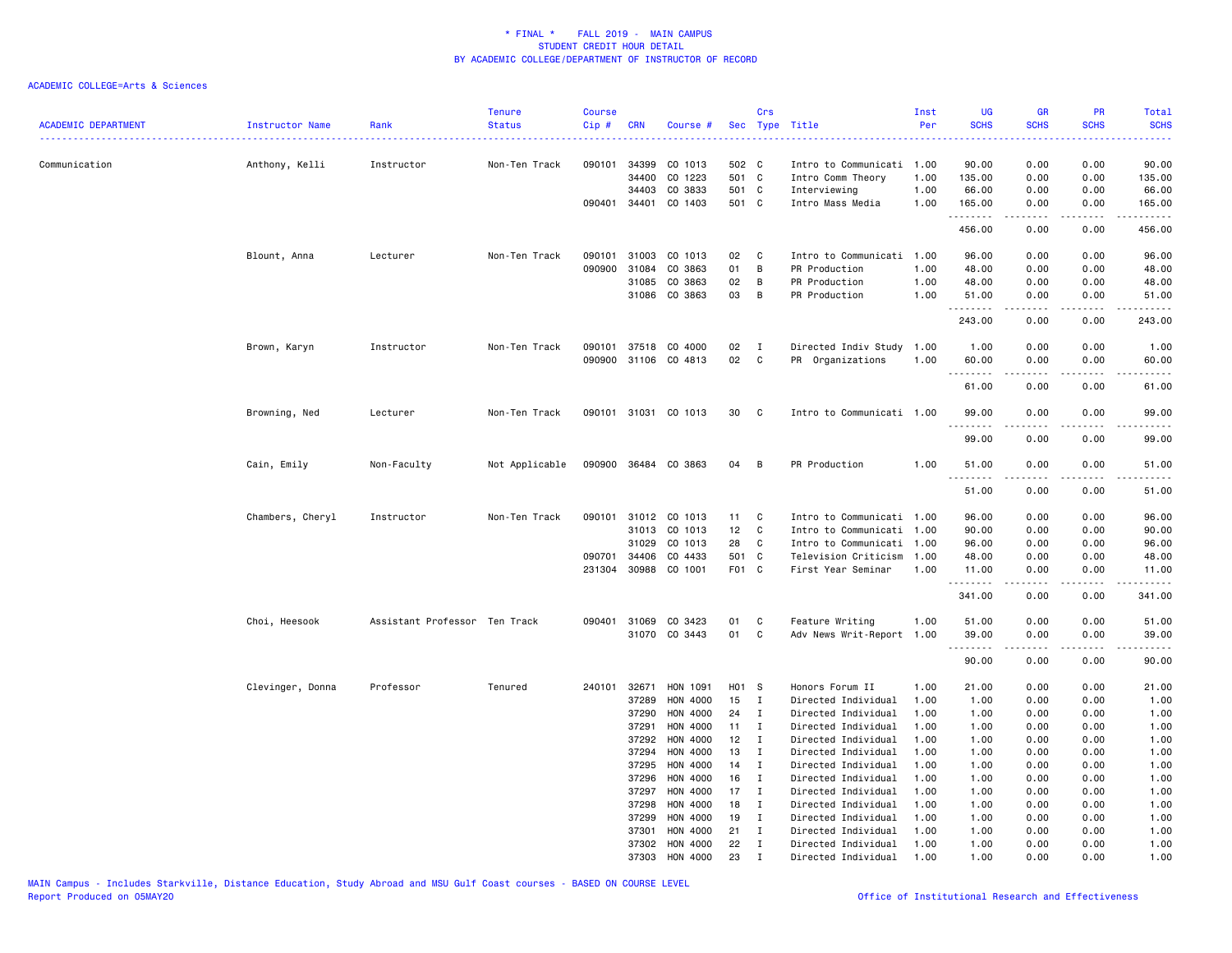| <b>ACADEMIC DEPARTMENT</b> | Instructor Name  | Rank                          | <b>Tenure</b><br><b>Status</b> | <b>Course</b><br>Cip# | <b>CRN</b>     | Course #             |                 | Crs                          | Sec Type Title                            | Inst<br>Per  | <b>UG</b><br><b>SCHS</b> | GR<br><b>SCHS</b>   | PR<br><b>SCHS</b>                                                                                                                 | Total<br><b>SCHS</b> |
|----------------------------|------------------|-------------------------------|--------------------------------|-----------------------|----------------|----------------------|-----------------|------------------------------|-------------------------------------------|--------------|--------------------------|---------------------|-----------------------------------------------------------------------------------------------------------------------------------|----------------------|
| Communication              | Anthony, Kelli   | Instructor                    | Non-Ten Track                  | 090101                | 34399<br>34400 | CO 1013<br>CO 1223   | 502 C<br>501 C  |                              | Intro to Communicati<br>Intro Comm Theory | 1.00<br>1.00 | 90.00<br>135.00          | 0.00<br>0.00        | 0.00<br>0.00                                                                                                                      | 90.00<br>135.00      |
|                            |                  |                               |                                |                       | 34403          | CO 3833              | 501 C           |                              | Interviewing                              | 1.00         | 66.00                    | 0.00                | 0.00                                                                                                                              | 66.00                |
|                            |                  |                               |                                |                       | 090401 34401   | CO 1403              | 501 C           |                              | Intro Mass Media                          | 1.00         | 165.00                   | 0.00                | 0.00                                                                                                                              | 165.00               |
|                            |                  |                               |                                |                       |                |                      |                 |                              |                                           |              | .<br>456.00              | 0.00                | 0.00                                                                                                                              | .<br>456.00          |
|                            | Blount, Anna     | Lecturer                      | Non-Ten Track                  | 090101                | 31003          | CO 1013              | 02              | C                            | Intro to Communicati                      | 1.00         | 96.00                    | 0.00                | 0.00                                                                                                                              | 96.00                |
|                            |                  |                               |                                | 090900                | 31084          | CO 3863              | 01              | B                            | PR Production                             | 1.00         | 48.00                    | 0.00                | 0.00                                                                                                                              | 48.00                |
|                            |                  |                               |                                |                       | 31085          | CO 3863              | 02              | B                            | PR Production                             | 1.00         | 48.00                    | 0.00                | 0.00                                                                                                                              | 48.00                |
|                            |                  |                               |                                |                       | 31086          | CO 3863              | 03              | B                            | PR Production                             | 1.00         | 51.00                    | 0.00                | 0.00                                                                                                                              | 51.00                |
|                            |                  |                               |                                |                       |                |                      |                 |                              |                                           |              | <u>.</u><br>243.00       | 0.00                | 0.00                                                                                                                              | .<br>243.00          |
|                            | Brown, Karyn     | Instructor                    | Non-Ten Track                  | 090101                | 37518          | CO 4000              | 02              | $\mathbf{I}$                 | Directed Indiv Study                      | 1.00         | 1.00                     | 0.00                | 0.00                                                                                                                              | 1.00                 |
|                            |                  |                               |                                |                       |                | 090900 31106 CO 4813 | 02              | C                            | PR Organizations                          | 1.00         | 60.00                    | 0.00                | 0.00                                                                                                                              | 60.00                |
|                            |                  |                               |                                |                       |                |                      |                 |                              |                                           |              | .                        | <u>.</u>            | .                                                                                                                                 | .                    |
|                            |                  |                               |                                |                       |                |                      |                 |                              |                                           |              | 61.00                    | 0.00                | 0.00                                                                                                                              | 61.00                |
|                            | Browning, Ned    | Lecturer                      | Non-Ten Track                  |                       |                | 090101 31031 CO 1013 | 30              | C                            | Intro to Communicati 1.00                 |              | 99.00<br>.               | 0.00<br>$- - - - -$ | 0.00<br>.                                                                                                                         | 99.00<br>.           |
|                            |                  |                               |                                |                       |                |                      |                 |                              |                                           |              | 99.00                    | 0.00                | 0.00                                                                                                                              | 99.00                |
|                            | Cain, Emily      | Non-Faculty                   | Not Applicable                 |                       |                | 090900 36484 CO 3863 | 04              | B                            | PR Production                             | 1.00         | 51.00                    | 0.00                | 0.00                                                                                                                              | 51.00                |
|                            |                  |                               |                                |                       |                |                      |                 |                              |                                           |              | .<br>51.00               | .<br>0.00           | $\frac{1}{2} \left( \frac{1}{2} \right) \left( \frac{1}{2} \right) \left( \frac{1}{2} \right) \left( \frac{1}{2} \right)$<br>0.00 | .<br>51.00           |
|                            | Chambers, Cheryl | Instructor                    | Non-Ten Track                  | 090101                | 31012          | CO 1013              | 11              | C                            | Intro to Communicati                      | 1.00         | 96.00                    | 0.00                | 0.00                                                                                                                              | 96.00                |
|                            |                  |                               |                                |                       | 31013          | CO 1013              | 12 <sub>2</sub> | C                            | Intro to Communicati                      | 1.00         | 90.00                    | 0.00                | 0.00                                                                                                                              | 90.00                |
|                            |                  |                               |                                |                       | 31029          | CO 1013              | 28              | C                            | Intro to Communicati                      | 1.00         | 96.00                    | 0.00                | 0.00                                                                                                                              | 96.00                |
|                            |                  |                               |                                | 090701                | 34406          | CO 4433              | 501 C           |                              | Television Criticism                      | 1.00         | 48.00                    | 0.00                | 0.00                                                                                                                              | 48.00                |
|                            |                  |                               |                                | 231304                | 30988          | CO 1001              | F01 C           |                              | First Year Seminar                        | 1.00         | 11.00                    | 0.00                | 0.00                                                                                                                              | 11.00                |
|                            |                  |                               |                                |                       |                |                      |                 |                              |                                           |              | .<br>341.00              | 0.00                | 0.00                                                                                                                              | .<br>341.00          |
|                            | Choi, Heesook    | Assistant Professor Ten Track |                                |                       | 090401 31069   | CO 3423              | 01              | C                            | Feature Writing                           | 1.00         | 51.00                    | 0.00                | 0.00                                                                                                                              | 51.00                |
|                            |                  |                               |                                |                       |                | 31070 CO 3443        | 01              | C                            | Adv News Writ-Report 1.00                 |              | 39.00                    | 0.00                | 0.00                                                                                                                              | 39.00                |
|                            |                  |                               |                                |                       |                |                      |                 |                              |                                           |              | .<br>90.00               | .<br>0.00           | د د د د<br>0.00                                                                                                                   | .<br>90.00           |
|                            | Clevinger, Donna | Professor                     | Tenured                        |                       | 240101 32671   | HON 1091             | H01 S           |                              | Honors Forum II                           | 1.00         | 21.00                    | 0.00                | 0.00                                                                                                                              | 21.00                |
|                            |                  |                               |                                |                       | 37289          | HON 4000             | 15              | I                            | Directed Individual                       | 1.00         | 1.00                     | 0.00                | 0.00                                                                                                                              | 1.00                 |
|                            |                  |                               |                                |                       | 37290          | HON 4000             | 24              | Ι                            | Directed Individual                       | 1.00         | 1.00                     | 0.00                | 0.00                                                                                                                              | 1.00                 |
|                            |                  |                               |                                |                       | 37291          | HON 4000             | 11              | Ι.                           | Directed Individual                       | 1.00         | 1.00                     | 0.00                | 0.00                                                                                                                              | 1.00                 |
|                            |                  |                               |                                |                       | 37292          | HON 4000             | 12              | $\mathbf I$                  | Directed Individual                       | 1.00         | 1.00                     | 0.00                | 0.00                                                                                                                              | 1.00                 |
|                            |                  |                               |                                |                       | 37294          | HON 4000             | 13              | $\mathbf I$                  | Directed Individual                       | 1.00         | 1.00                     | 0.00                | 0.00                                                                                                                              | 1.00                 |
|                            |                  |                               |                                |                       | 37295          | HON 4000             | 14              | I                            | Directed Individual                       | 1.00         | 1.00                     | 0.00                | 0.00                                                                                                                              | 1.00                 |
|                            |                  |                               |                                |                       | 37296          | HON 4000             | 16              | Ι.                           | Directed Individual                       | 1.00         | 1.00                     | 0.00                | 0.00                                                                                                                              | 1.00                 |
|                            |                  |                               |                                |                       | 37297          | HON 4000             | 17              | Ι.                           | Directed Individual                       | 1.00         | 1.00                     | 0.00                | 0.00                                                                                                                              | 1.00                 |
|                            |                  |                               |                                |                       | 37298          | HON 4000             | 18              | Ι                            | Directed Individual                       | 1.00         | 1.00                     | 0.00                | 0.00                                                                                                                              | 1.00                 |
|                            |                  |                               |                                |                       | 37299          | HON 4000             | 19              | Ι.                           | Directed Individual                       | 1.00         | 1.00                     | 0.00                | 0.00                                                                                                                              | 1.00                 |
|                            |                  |                               |                                |                       | 37301          | HON 4000             | 21              | Ι.                           | Directed Individual                       | 1.00         | 1.00                     | 0.00                | 0.00                                                                                                                              | 1.00                 |
|                            |                  |                               |                                |                       | 37302          | HON 4000             | 22              | $\mathbf{I}$<br>$\mathbf{r}$ | Directed Individual                       | 1.00         | 1.00                     | 0.00                | 0.00                                                                                                                              | 1.00                 |
|                            |                  |                               |                                |                       | 37303          | HON 4000             | 23              |                              | Directed Individual                       | 1.00         | 1.00                     | 0.00                | 0.00                                                                                                                              | 1.00                 |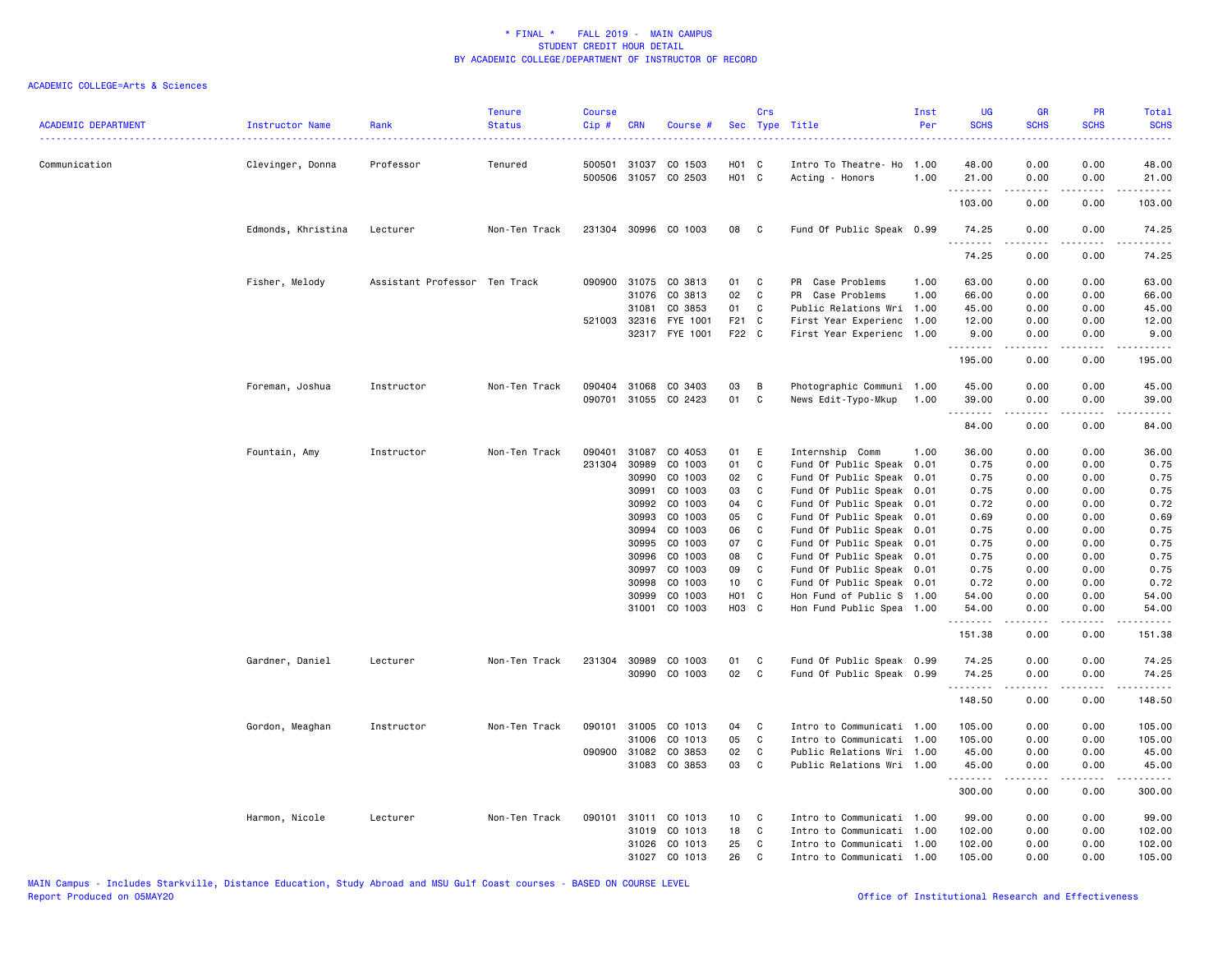| <b>ACADEMIC DEPARTMENT</b> | Instructor Name    | Rank                          | <b>Tenure</b><br><b>Status</b> | <b>Course</b><br>Cip# | <b>CRN</b>   | Course #              |                 | Crs          | Sec Type Title            | Inst<br>Per | <b>UG</b><br><b>SCHS</b> | <b>GR</b><br><b>SCHS</b>                                                                                                                                     | <b>PR</b><br><b>SCHS</b>            | <b>Total</b><br><b>SCHS</b> |
|----------------------------|--------------------|-------------------------------|--------------------------------|-----------------------|--------------|-----------------------|-----------------|--------------|---------------------------|-------------|--------------------------|--------------------------------------------------------------------------------------------------------------------------------------------------------------|-------------------------------------|-----------------------------|
| Communication              | Clevinger, Donna   | Professor                     | Tenured                        | 500501                | 31037        | CO 1503               | H01 C           |              | Intro To Theatre- Ho      | 1.00        | 48.00                    | 0.00                                                                                                                                                         | 0.00                                | 48.00                       |
|                            |                    |                               |                                |                       |              | 500506 31057 CO 2503  | HO1 C           |              | Acting - Honors           | 1.00        | 21.00<br>.               | 0.00                                                                                                                                                         | 0.00                                | 21.00                       |
|                            |                    |                               |                                |                       |              |                       |                 |              |                           |             | 103.00                   | .<br>0.00                                                                                                                                                    | $\sim$ $\sim$ $\sim$ $\sim$<br>0.00 | 103.00                      |
|                            | Edmonds, Khristina | Lecturer                      | Non-Ten Track                  |                       |              | 231304 30996 CO 1003  | 08              | $\mathbf{C}$ | Fund Of Public Speak 0.99 |             | 74.25<br><u>.</u>        | 0.00<br>$- - - - -$                                                                                                                                          | 0.00<br><u>.</u>                    | 74.25<br>.                  |
|                            |                    |                               |                                |                       |              |                       |                 |              |                           |             | 74.25                    | 0.00                                                                                                                                                         | 0.00                                | 74.25                       |
|                            | Fisher, Melody     | Assistant Professor Ten Track |                                |                       |              | 090900 31075 CO 3813  | 01              | C            | PR Case Problems          | 1.00        | 63.00                    | 0.00                                                                                                                                                         | 0.00                                | 63.00                       |
|                            |                    |                               |                                |                       | 31076        | CO 3813               | 02              | C            | PR Case Problems          | 1.00        | 66.00                    | 0.00                                                                                                                                                         | 0.00                                | 66.00                       |
|                            |                    |                               |                                |                       | 31081        | CO 3853               | 01              | C            | Public Relations Wri      | 1.00        | 45.00                    | 0.00                                                                                                                                                         | 0.00                                | 45.00                       |
|                            |                    |                               |                                |                       |              | 521003 32316 FYE 1001 | F21 C           |              | First Year Experienc      | 1.00        | 12.00                    | 0.00                                                                                                                                                         | 0.00                                | 12.00                       |
|                            |                    |                               |                                |                       |              | 32317 FYE 1001        | F22 C           |              | First Year Experienc      | 1.00        | 9.00<br>.                | 0.00<br>.                                                                                                                                                    | 0.00<br>.                           | 9.00<br>.                   |
|                            |                    |                               |                                |                       |              |                       |                 |              |                           |             | 195.00                   | 0.00                                                                                                                                                         | 0.00                                | 195.00                      |
|                            | Foreman, Joshua    | Instructor                    | Non-Ten Track                  |                       | 090404 31068 | CO 3403               | 03              | B            | Photographic Communi 1.00 |             | 45.00                    | 0.00                                                                                                                                                         | 0.00                                | 45.00                       |
|                            |                    |                               |                                | 090701                |              | 31055 CO 2423         | 01              | C            | News Edit-Typo-Mkup       | 1.00        | 39.00<br>.               | 0.00<br>$\frac{1}{2} \left( \frac{1}{2} \right) \left( \frac{1}{2} \right) \left( \frac{1}{2} \right) \left( \frac{1}{2} \right) \left( \frac{1}{2} \right)$ | 0.00<br>.                           | 39.00<br>.                  |
|                            |                    |                               |                                |                       |              |                       |                 |              |                           |             | 84.00                    | 0.00                                                                                                                                                         | 0.00                                | 84.00                       |
|                            | Fountain, Amy      | Instructor                    | Non-Ten Track                  | 090401                | 31087        | CO 4053               | 01              | E            | Internship Comm           | 1.00        | 36.00                    | 0.00                                                                                                                                                         | 0.00                                | 36.00                       |
|                            |                    |                               |                                | 231304                | 30989        | CO 1003               | 01              | C            | Fund Of Public Speak 0.01 |             | 0.75                     | 0.00                                                                                                                                                         | 0.00                                | 0.75                        |
|                            |                    |                               |                                |                       | 30990        | CO 1003               | 02              | C            | Fund Of Public Speak      | 0.01        | 0.75                     | 0.00                                                                                                                                                         | 0.00                                | 0.75                        |
|                            |                    |                               |                                |                       | 30991        | CO 1003               | 03              | C            | Fund Of Public Speak      | 0.01        | 0.75                     | 0.00                                                                                                                                                         | 0.00                                | 0.75                        |
|                            |                    |                               |                                |                       | 30992        | CO 1003               | 04              | C            | Fund Of Public Speak 0.01 |             | 0.72                     | 0.00                                                                                                                                                         | 0.00                                | 0.72                        |
|                            |                    |                               |                                |                       | 30993        | CO 1003               | 05              | C            | Fund Of Public Speak 0.01 |             | 0.69                     | 0.00                                                                                                                                                         | 0.00                                | 0.69                        |
|                            |                    |                               |                                |                       | 30994        | CO 1003               | 06              | C            | Fund Of Public Speak 0.01 |             | 0.75                     | 0.00                                                                                                                                                         | 0.00                                | 0.75                        |
|                            |                    |                               |                                |                       | 30995        | CO 1003               | 07              | C            | Fund Of Public Speak 0.01 |             | 0.75                     | 0.00                                                                                                                                                         | 0.00                                | 0.75                        |
|                            |                    |                               |                                |                       | 30996        | CO 1003               | 08              | C            | Fund Of Public Speak 0.01 |             | 0.75                     | 0.00                                                                                                                                                         | 0.00                                | 0.75                        |
|                            |                    |                               |                                |                       | 30997        | CO 1003               | 09              | C            | Fund Of Public Speak 0.01 |             | 0.75                     | 0.00                                                                                                                                                         | 0.00                                | 0.75                        |
|                            |                    |                               |                                |                       | 30998        | CO 1003               | 10              | C            | Fund Of Public Speak 0.01 |             | 0.72                     | 0.00                                                                                                                                                         | 0.00                                | 0.72                        |
|                            |                    |                               |                                |                       | 30999        | CO 1003               | H01 C           |              | Hon Fund of Public S 1.00 |             | 54.00                    | 0.00                                                                                                                                                         | 0.00                                | 54.00                       |
|                            |                    |                               |                                |                       | 31001        | CO 1003               | H03 C           |              | Hon Fund Public Spea 1.00 |             | 54.00                    | 0.00                                                                                                                                                         | 0.00<br>$- - -$                     | 54.00                       |
|                            |                    |                               |                                |                       |              |                       |                 |              |                           |             | .<br>151.38              | .<br>0.00                                                                                                                                                    | 0.00                                | $\frac{1}{2}$<br>151.38     |
|                            | Gardner, Daniel    | Lecturer                      | Non-Ten Track                  |                       | 231304 30989 | CO 1003               | 01              | C            | Fund Of Public Speak 0.99 |             | 74.25                    | 0.00                                                                                                                                                         | 0.00                                | 74.25                       |
|                            |                    |                               |                                |                       |              | 30990 CO 1003         | 02              | C            | Fund Of Public Speak 0.99 |             | 74.25<br>.               | 0.00<br>.                                                                                                                                                    | 0.00<br>$\frac{1}{2}$               | 74.25<br><u>.</u>           |
|                            |                    |                               |                                |                       |              |                       |                 |              |                           |             | 148.50                   | 0.00                                                                                                                                                         | 0.00                                | 148.50                      |
|                            | Gordon, Meaghan    | Instructor                    | Non-Ten Track                  | 090101                | 31005        | CO 1013               | 04              | C            | Intro to Communicati 1.00 |             | 105.00                   | 0.00                                                                                                                                                         | 0.00                                | 105.00                      |
|                            |                    |                               |                                |                       | 31006        | CO 1013               | 05              | C            | Intro to Communicati 1.00 |             | 105.00                   | 0.00                                                                                                                                                         | 0.00                                | 105.00                      |
|                            |                    |                               |                                |                       | 090900 31082 | CO 3853               | 02              | C            | Public Relations Wri 1.00 |             | 45.00                    | 0.00                                                                                                                                                         | 0.00                                | 45.00                       |
|                            |                    |                               |                                |                       |              | 31083 CO 3853         | 03              | C            | Public Relations Wri 1.00 |             | 45.00<br>.               | 0.00<br>$\frac{1}{2} \left( \frac{1}{2} \right) \left( \frac{1}{2} \right) \left( \frac{1}{2} \right) \left( \frac{1}{2} \right) \left( \frac{1}{2} \right)$ | 0.00<br>.                           | 45.00<br><u>.</u>           |
|                            |                    |                               |                                |                       |              |                       |                 |              |                           |             | 300.00                   | 0.00                                                                                                                                                         | 0.00                                | 300.00                      |
|                            | Harmon, Nicole     | Lecturer                      | Non-Ten Track                  | 090101                | 31011        | CO 1013               | 10 <sub>1</sub> | C            | Intro to Communicati 1.00 |             | 99.00                    | 0.00                                                                                                                                                         | 0.00                                | 99.00                       |
|                            |                    |                               |                                |                       | 31019        | CO 1013               | 18              | C            | Intro to Communicati 1.00 |             | 102.00                   | 0.00                                                                                                                                                         | 0.00                                | 102.00                      |
|                            |                    |                               |                                |                       | 31026        | CO 1013               | 25              | C            | Intro to Communicati 1.00 |             | 102.00                   | 0.00                                                                                                                                                         | 0.00                                | 102.00                      |
|                            |                    |                               |                                |                       | 31027        | CO 1013               | 26              | $\mathbf{C}$ | Intro to Communicati 1.00 |             | 105.00                   | 0.00                                                                                                                                                         | 0.00                                | 105.00                      |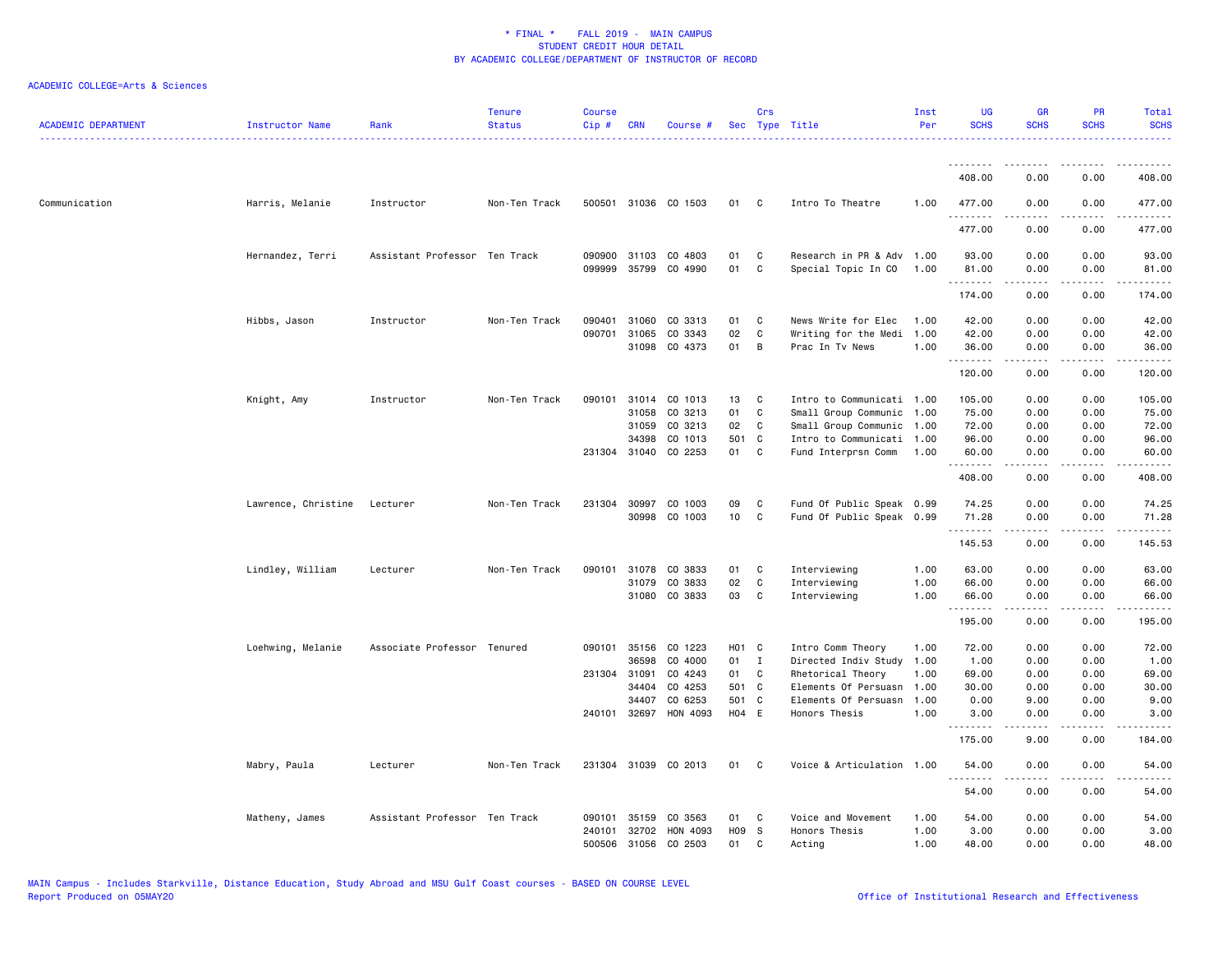| <b>ACADEMIC DEPARTMENT</b> | Instructor Name     | Rank                          | <b>Tenure</b><br><b>Status</b> | <b>Course</b><br>Cip# | <b>CRN</b>   | Course #             |                   | Crs            | Sec Type Title            | Inst<br>Per | <b>UG</b><br><b>SCHS</b> | <b>GR</b><br><b>SCHS</b>                                                                                                                                     | <b>PR</b><br><b>SCHS</b>            | <b>Total</b><br><b>SCHS</b>                                                                                                                                    |
|----------------------------|---------------------|-------------------------------|--------------------------------|-----------------------|--------------|----------------------|-------------------|----------------|---------------------------|-------------|--------------------------|--------------------------------------------------------------------------------------------------------------------------------------------------------------|-------------------------------------|----------------------------------------------------------------------------------------------------------------------------------------------------------------|
|                            |                     |                               |                                |                       |              |                      |                   |                |                           |             | .                        |                                                                                                                                                              |                                     |                                                                                                                                                                |
|                            |                     |                               |                                |                       |              |                      |                   |                |                           |             | 408.00                   | 0.00                                                                                                                                                         | 0.00                                | 408.00                                                                                                                                                         |
| Communication              | Harris, Melanie     | Instructor                    | Non-Ten Track                  |                       |              | 500501 31036 CO 1503 | 01                | C <sub>1</sub> | Intro To Theatre          | 1.00        | 477.00<br>.              | 0.00                                                                                                                                                         | 0.00                                | 477.00<br>$\frac{1}{2} \left( \frac{1}{2} \right) \left( \frac{1}{2} \right) \left( \frac{1}{2} \right) \left( \frac{1}{2} \right) \left( \frac{1}{2} \right)$ |
|                            |                     |                               |                                |                       |              |                      |                   |                |                           |             | 477.00                   | 0.00                                                                                                                                                         | 0.00                                | 477.00                                                                                                                                                         |
|                            | Hernandez, Terri    | Assistant Professor Ten Track |                                |                       | 090900 31103 | CO 4803              | 01                | C              | Research in PR & Adv      | 1.00        | 93.00                    | 0.00                                                                                                                                                         | 0.00                                | 93.00                                                                                                                                                          |
|                            |                     |                               |                                | 099999                | 35799        | CO 4990              | 01                | C              | Special Topic In CO       | 1.00        | 81.00<br>.               | 0.00<br>.                                                                                                                                                    | 0.00<br>.                           | 81.00<br>.                                                                                                                                                     |
|                            |                     |                               |                                |                       |              |                      |                   |                |                           |             | 174.00                   | 0.00                                                                                                                                                         | 0.00                                | 174.00                                                                                                                                                         |
|                            | Hibbs, Jason        | Instructor                    | Non-Ten Track                  | 090401                | 31060        | CO 3313              | 01                | C              | News Write for Elec       | 1.00        | 42.00                    | 0.00                                                                                                                                                         | 0.00                                | 42.00                                                                                                                                                          |
|                            |                     |                               |                                | 090701                | 31065        | CO 3343              | 02                | C              | Writing for the Medi      | 1.00        | 42.00                    | 0.00                                                                                                                                                         | 0.00                                | 42.00                                                                                                                                                          |
|                            |                     |                               |                                |                       | 31098        | CO 4373              | 01                | B              | Prac In Tv News           | 1.00        | 36.00<br>.               | 0.00<br>.                                                                                                                                                    | 0.00<br>.                           | 36.00<br>.                                                                                                                                                     |
|                            |                     |                               |                                |                       |              |                      |                   |                |                           |             | 120.00                   | 0.00                                                                                                                                                         | 0.00                                | 120.00                                                                                                                                                         |
|                            | Knight, Amy         | Instructor                    | Non-Ten Track                  | 090101                | 31014        | CO 1013              | 13                | C              | Intro to Communicati 1.00 |             | 105.00                   | 0.00                                                                                                                                                         | 0.00                                | 105.00                                                                                                                                                         |
|                            |                     |                               |                                |                       | 31058        | CO 3213              | 01                | C              | Small Group Communic      | 1.00        | 75.00                    | 0.00                                                                                                                                                         | 0.00                                | 75.00                                                                                                                                                          |
|                            |                     |                               |                                |                       | 31059        | CO 3213              | 02                | C              | Small Group Communic 1.00 |             | 72.00                    | 0.00                                                                                                                                                         | 0.00                                | 72.00                                                                                                                                                          |
|                            |                     |                               |                                |                       | 34398        | CO 1013              | 501 C             |                | Intro to Communicati      | 1.00        | 96.00                    | 0.00                                                                                                                                                         | 0.00                                | 96.00                                                                                                                                                          |
|                            |                     |                               |                                |                       |              | 231304 31040 CO 2253 | 01                | <b>C</b>       | Fund Interprsn Comm       | 1.00        | 60.00<br>.               | 0.00<br>$-$ - - - - $-$                                                                                                                                      | 0.00<br>.                           | 60.00<br>.                                                                                                                                                     |
|                            |                     |                               |                                |                       |              |                      |                   |                |                           |             | 408.00                   | 0.00                                                                                                                                                         | 0.00                                | 408.00                                                                                                                                                         |
|                            | Lawrence, Christine | Lecturer                      | Non-Ten Track                  |                       | 231304 30997 | CO 1003              | 09                | C              | Fund Of Public Speak 0.99 |             | 74.25                    | 0.00                                                                                                                                                         | 0.00                                | 74.25                                                                                                                                                          |
|                            |                     |                               |                                |                       |              | 30998 CO 1003        | 10                | C              | Fund Of Public Speak 0.99 |             | 71.28<br>.               | 0.00<br>.                                                                                                                                                    | 0.00<br>$\sim$ $\sim$ $\sim$ $\sim$ | 71.28<br>.                                                                                                                                                     |
|                            |                     |                               |                                |                       |              |                      |                   |                |                           |             | 145.53                   | 0.00                                                                                                                                                         | 0.00                                | 145.53                                                                                                                                                         |
|                            | Lindley, William    | Lecturer                      | Non-Ten Track                  | 090101                | 31078        | CO 3833              | 01                | C              | Interviewing              | 1.00        | 63.00                    | 0.00                                                                                                                                                         | 0.00                                | 63.00                                                                                                                                                          |
|                            |                     |                               |                                |                       | 31079        | CO 3833              | 02                | C              | Interviewing              | 1.00        | 66.00                    | 0.00                                                                                                                                                         | 0.00                                | 66.00                                                                                                                                                          |
|                            |                     |                               |                                |                       |              | 31080 CO 3833        | 03                | C              | Interviewing              | 1.00        | 66.00                    | 0.00<br>-----                                                                                                                                                | 0.00<br>.                           | 66.00<br>.                                                                                                                                                     |
|                            |                     |                               |                                |                       |              |                      |                   |                |                           |             | 195.00                   | 0.00                                                                                                                                                         | 0.00                                | 195.00                                                                                                                                                         |
|                            | Loehwing, Melanie   | Associate Professor Tenured   |                                | 090101                | 35156        | CO 1223              | H <sub>01</sub> C |                | Intro Comm Theory         | 1.00        | 72.00                    | 0.00                                                                                                                                                         | 0.00                                | 72.00                                                                                                                                                          |
|                            |                     |                               |                                |                       | 36598        | CO 4000              | 01                | $\mathbf{I}$   | Directed Indiv Study      | 1.00        | 1.00                     | 0.00                                                                                                                                                         | 0.00                                | 1.00                                                                                                                                                           |
|                            |                     |                               |                                |                       | 231304 31091 | CO 4243              | 01                | C              | Rhetorical Theory         | 1.00        | 69.00                    | 0.00                                                                                                                                                         | 0.00                                | 69.00                                                                                                                                                          |
|                            |                     |                               |                                |                       | 34404        | CO 4253              | 501 C             |                | Elements Of Persuasn      | 1.00        | 30.00                    | 0.00                                                                                                                                                         | 0.00                                | 30.00                                                                                                                                                          |
|                            |                     |                               |                                |                       | 34407        | CO 6253              | 501 C             |                | Elements Of Persuasn      | 1.00        | 0.00                     | 9.00                                                                                                                                                         | 0.00                                | 9.00                                                                                                                                                           |
|                            |                     |                               |                                |                       | 240101 32697 | HON 4093             | H04 E             |                | Honors Thesis             | 1.00        | 3.00<br><u>.</u>         | 0.00<br>.                                                                                                                                                    | 0.00<br>$- - - -$                   | 3.00                                                                                                                                                           |
|                            |                     |                               |                                |                       |              |                      |                   |                |                           |             | 175.00                   | 9.00                                                                                                                                                         | 0.00                                | 184.00                                                                                                                                                         |
|                            | Mabry, Paula        | Lecturer                      | Non-Ten Track                  |                       |              | 231304 31039 CO 2013 | 01                | C              | Voice & Articulation 1.00 |             | 54.00<br>.               | 0.00<br>$\frac{1}{2} \left( \frac{1}{2} \right) \left( \frac{1}{2} \right) \left( \frac{1}{2} \right) \left( \frac{1}{2} \right) \left( \frac{1}{2} \right)$ | 0.00<br>.                           | 54.00                                                                                                                                                          |
|                            |                     |                               |                                |                       |              |                      |                   |                |                           |             | 54.00                    | 0.00                                                                                                                                                         | 0.00                                | 54.00                                                                                                                                                          |
|                            | Matheny, James      | Assistant Professor Ten Track |                                | 090101                | 35159        | CO 3563              | 01                | C              | Voice and Movement        | 1.00        | 54.00                    | 0.00                                                                                                                                                         | 0.00                                | 54.00                                                                                                                                                          |
|                            |                     |                               |                                | 240101                | 32702        | HON 4093             | H09 S             |                | Honors Thesis             | 1.00        | 3.00                     | 0.00                                                                                                                                                         | 0.00                                | 3.00                                                                                                                                                           |
|                            |                     |                               |                                | 500506                | 31056        | CO 2503              | 01                | $\mathbf{C}$   | Acting                    | 1.00        | 48.00                    | 0.00                                                                                                                                                         | 0.00                                | 48.00                                                                                                                                                          |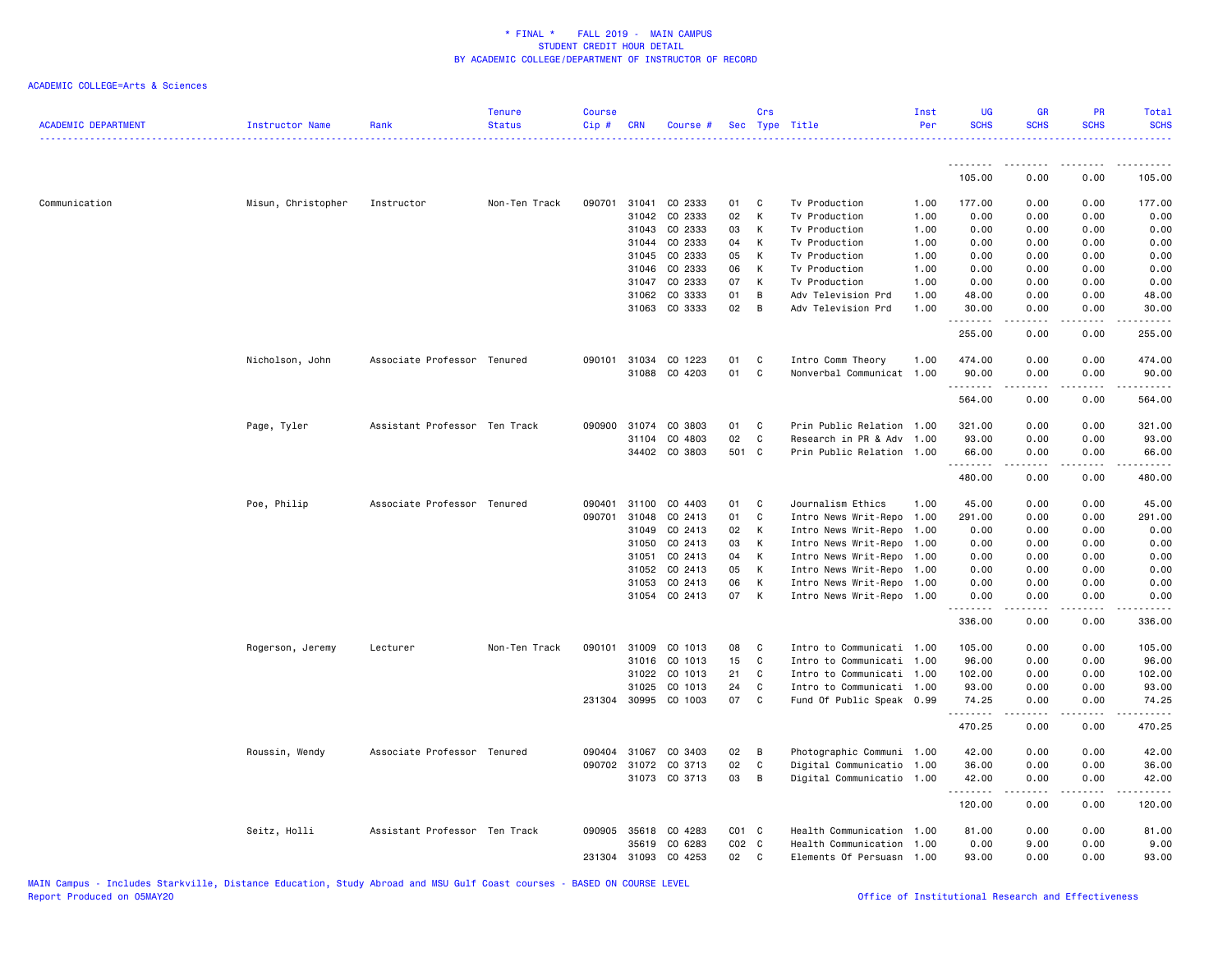| <b>ACADEMIC DEPARTMENT</b> | Instructor Name    | Rank                          | <b>Tenure</b><br><b>Status</b> | <b>Course</b><br>$Cip \#$ | CRN          | Course #             |           | Crs          | Sec Type Title            | Inst<br>Per | <b>UG</b><br><b>SCHS</b> | <b>GR</b><br><b>SCHS</b> | PR<br><b>SCHS</b> | Total<br><b>SCHS</b> |
|----------------------------|--------------------|-------------------------------|--------------------------------|---------------------------|--------------|----------------------|-----------|--------------|---------------------------|-------------|--------------------------|--------------------------|-------------------|----------------------|
|                            |                    |                               |                                |                           |              |                      |           |              |                           |             | .                        |                          |                   |                      |
|                            |                    |                               |                                |                           |              |                      |           |              |                           |             | 105.00                   | 0.00                     | 0.00              | 105.00               |
| Communication              | Misun, Christopher | Instructor                    | Non-Ten Track                  |                           | 090701 31041 | CO 2333              | 01        | C            | Tv Production             | 1.00        | 177.00                   | 0.00                     | 0.00              | 177.00               |
|                            |                    |                               |                                |                           | 31042        | CO 2333              | 02        | К            | Tv Production             | 1.00        | 0.00                     | 0.00                     | 0.00              | 0.00                 |
|                            |                    |                               |                                |                           |              | 31043 CO 2333        | 03        | К            | Tv Production             | 1.00        | 0.00                     | 0.00                     | 0.00              | 0.00                 |
|                            |                    |                               |                                |                           | 31044        | CO 2333              | 04        | К            | Tv Production             | 1.00        | 0.00                     | 0.00                     | 0.00              | 0.00                 |
|                            |                    |                               |                                |                           | 31045        | CO 2333              | 05        | К            | Tv Production             | 1.00        | 0.00                     | 0.00                     | 0.00              | 0.00                 |
|                            |                    |                               |                                |                           | 31046        | CO 2333              | 06        | К            | Tv Production             | 1.00        | 0.00                     | 0.00                     | 0.00              | 0.00                 |
|                            |                    |                               |                                |                           | 31047        | CO 2333              | 07        | К            | Tv Production             | 1.00        | 0.00                     | 0.00                     | 0.00              | 0.00                 |
|                            |                    |                               |                                |                           |              | 31062 CO 3333        | 01        | B            | Adv Television Prd        | 1.00        | 48.00                    | 0.00                     | 0.00              | 48.00                |
|                            |                    |                               |                                |                           |              | 31063 CO 3333        | 02        | B            | Adv Television Prd        | 1.00        | 30.00<br>.               | 0.00<br>.                | 0.00<br>.         | 30.00<br>.           |
|                            |                    |                               |                                |                           |              |                      |           |              |                           |             | 255.00                   | 0.00                     | 0.00              | 255.00               |
|                            | Nicholson, John    | Associate Professor Tenured   |                                |                           |              | 090101 31034 CO 1223 | 01        | C            | Intro Comm Theory         | 1.00        | 474.00                   | 0.00                     | 0.00              | 474.00               |
|                            |                    |                               |                                |                           |              | 31088 CO 4203        | 01        | C            | Nonverbal Communicat      | 1.00        | 90.00                    | 0.00                     | 0.00              | 90.00                |
|                            |                    |                               |                                |                           |              |                      |           |              |                           |             | .<br>564.00              | .<br>0.00                | .<br>0.00         | .<br>564.00          |
|                            | Page, Tyler        | Assistant Professor Ten Track |                                | 090900                    | 31074        | CO 3803              | 01        | C            | Prin Public Relation 1.00 |             | 321.00                   | 0.00                     | 0.00              | 321.00               |
|                            |                    |                               |                                |                           | 31104        | CO 4803              | 02        | $\mathbf{C}$ | Research in PR & Adv 1.00 |             | 93.00                    | 0.00                     | 0.00              | 93.00                |
|                            |                    |                               |                                |                           |              | 34402 CO 3803        |           | 501 C        | Prin Public Relation 1.00 |             | 66.00                    | 0.00                     | 0.00              | 66.00                |
|                            |                    |                               |                                |                           |              |                      |           |              |                           |             | .<br>480.00              | $- - - - -$<br>0.00      | .<br>0.00         | .<br>480.00          |
|                            | Poe, Philip        | Associate Professor Tenured   |                                | 090401                    |              | 31100 CO 4403        | 01        | C            | Journalism Ethics         | 1.00        | 45.00                    | 0.00                     | 0.00              | 45.00                |
|                            |                    |                               |                                | 090701                    | 31048        | CO 2413              | 01        | C            | Intro News Writ-Repo      | 1.00        | 291.00                   | 0.00                     | 0.00              | 291.00               |
|                            |                    |                               |                                |                           | 31049        | CO 2413              | 02        | К            | Intro News Writ-Repo      | 1.00        | 0.00                     | 0.00                     | 0.00              | 0.00                 |
|                            |                    |                               |                                |                           | 31050        | CO 2413              | 03        | К            | Intro News Writ-Repo      | 1.00        | 0.00                     | 0.00                     | 0.00              | 0.00                 |
|                            |                    |                               |                                |                           | 31051        | CO 2413              | 04        | К            | Intro News Writ-Repo      | 1.00        | 0.00                     | 0.00                     | 0.00              | 0.00                 |
|                            |                    |                               |                                |                           | 31052        | CO 2413              | 05        | К            | Intro News Writ-Repo 1.00 |             | 0.00                     | 0.00                     | 0.00              | 0.00                 |
|                            |                    |                               |                                |                           | 31053        | CO 2413              | 06        | К            | Intro News Writ-Repo 1.00 |             | 0.00                     | 0.00                     | 0.00              | 0.00                 |
|                            |                    |                               |                                |                           |              | 31054 CO 2413        | 07        | К            | Intro News Writ-Repo 1.00 |             | 0.00<br>.                | 0.00<br>.                | 0.00<br>.         | 0.00<br>.            |
|                            |                    |                               |                                |                           |              |                      |           |              |                           |             | 336.00                   | 0.00                     | 0.00              | 336.00               |
|                            | Rogerson, Jeremy   | Lecturer                      | Non-Ten Track                  | 090101                    | 31009        | CO 1013              | 08        | C            | Intro to Communicati 1.00 |             | 105.00                   | 0.00                     | 0.00              | 105.00               |
|                            |                    |                               |                                |                           | 31016        | CO 1013              | 15        | C            | Intro to Communicati 1.00 |             | 96.00                    | 0.00                     | 0.00              | 96.00                |
|                            |                    |                               |                                |                           | 31022        | CO 1013              | 21        | C            | Intro to Communicati 1.00 |             | 102.00                   | 0.00                     | 0.00              | 102.00               |
|                            |                    |                               |                                |                           | 31025        | CO 1013              | 24        | C            | Intro to Communicati 1.00 |             | 93.00                    | 0.00                     | 0.00              | 93.00                |
|                            |                    |                               |                                |                           |              | 231304 30995 CO 1003 | 07        | C            | Fund Of Public Speak 0.99 |             | 74.25<br>.               | 0.00                     | 0.00              | 74.25<br>.           |
|                            |                    |                               |                                |                           |              |                      |           |              |                           |             | 470.25                   | 0.00                     | 0.00              | 470.25               |
|                            | Roussin, Wendy     | Associate Professor Tenured   |                                |                           | 090404 31067 | CO 3403              | 02        | B            | Photographic Communi 1.00 |             | 42.00                    | 0.00                     | 0.00              | 42.00                |
|                            |                    |                               |                                |                           |              | 090702 31072 CO 3713 | 02        | C            | Digital Communicatio 1.00 |             | 36.00                    | 0.00                     | 0.00              | 36.00                |
|                            |                    |                               |                                |                           |              | 31073 CO 3713        | 03        | B            | Digital Communicatio 1.00 |             | 42.00<br>.               | 0.00<br>د د د د د        | 0.00<br>.         | 42.00<br>.           |
|                            |                    |                               |                                |                           |              |                      |           |              |                           |             | 120.00                   | 0.00                     | 0.00              | 120.00               |
|                            | Seitz, Holli       | Assistant Professor Ten Track |                                | 090905                    | 35618        | CO 4283              | $CO1$ $C$ |              | Health Communication 1.00 |             | 81.00                    | 0.00                     | 0.00              | 81.00                |
|                            |                    |                               |                                |                           | 35619        | CO 6283              | $CO2$ $C$ |              | Health Communication 1.00 |             | 0.00                     | 9.00                     | 0.00              | 9.00                 |
|                            |                    |                               |                                | 231304                    | 31093        | CO 4253              | 02        | C            | Elements Of Persuasn 1.00 |             | 93.00                    | 0.00                     | 0.00              | 93.00                |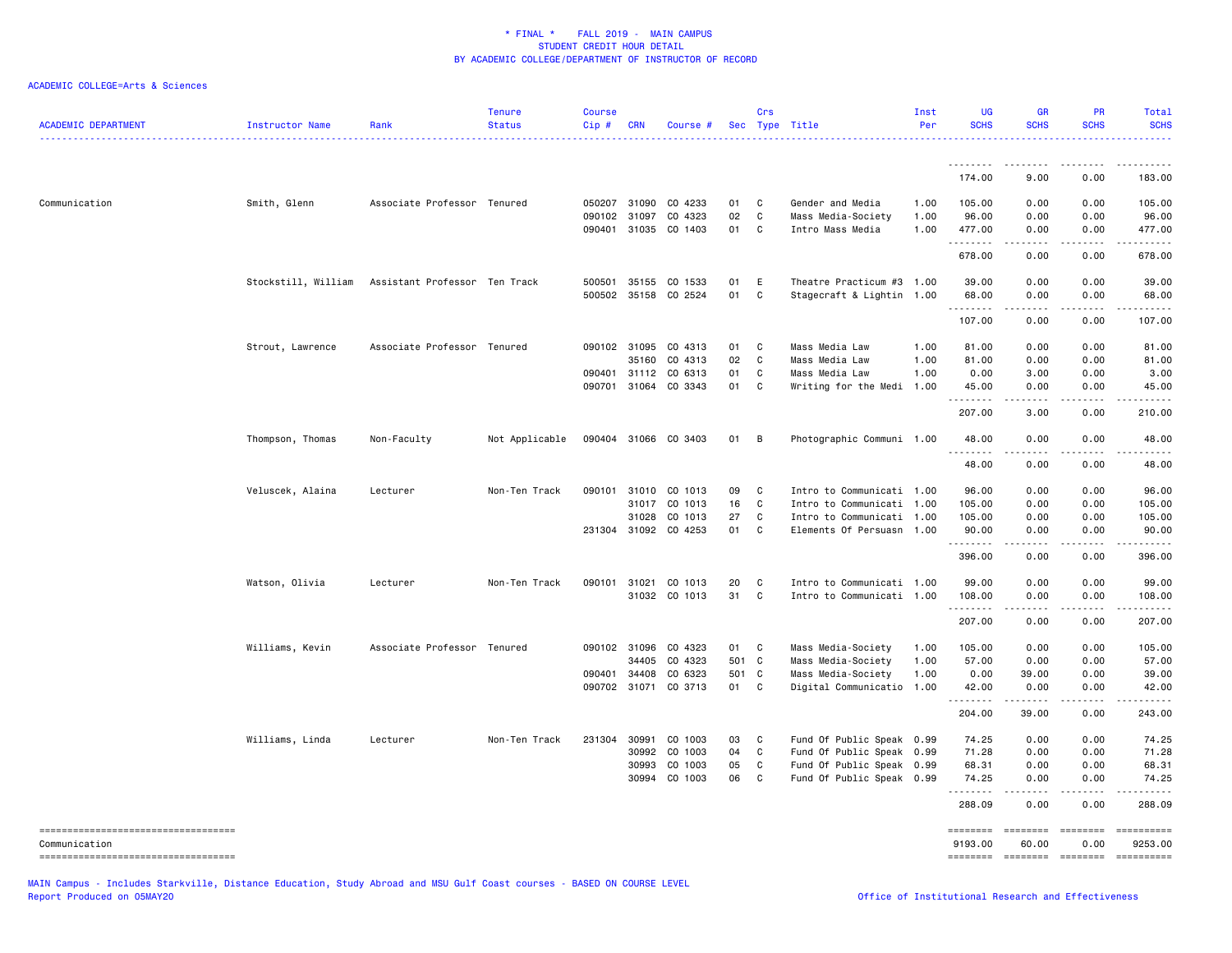## ACADEMIC COLLEGE=Arts & Sciences

| <b>ACADEMIC DEPARTMENT</b>                             | Instructor Name     | Rank                          | <b>Tenure</b><br><b>Status</b> | <b>Course</b><br>Cip#  | <b>CRN</b>   | Course #             |          | Crs         | Sec Type Title                         | Inst<br>Per  | <b>UG</b><br><b>SCHS</b> | <b>GR</b><br><b>SCHS</b> | <b>PR</b><br><b>SCHS</b>                                                                                                                                                                                                                                                                                                                                                                                                                                                               | Total<br><b>SCHS</b>                                                                                                                                                                      |
|--------------------------------------------------------|---------------------|-------------------------------|--------------------------------|------------------------|--------------|----------------------|----------|-------------|----------------------------------------|--------------|--------------------------|--------------------------|----------------------------------------------------------------------------------------------------------------------------------------------------------------------------------------------------------------------------------------------------------------------------------------------------------------------------------------------------------------------------------------------------------------------------------------------------------------------------------------|-------------------------------------------------------------------------------------------------------------------------------------------------------------------------------------------|
|                                                        |                     |                               |                                |                        |              |                      |          |             |                                        |              | <u>.</u><br>174.00       | .<br>9.00                | - - - - -<br>0.00                                                                                                                                                                                                                                                                                                                                                                                                                                                                      | 183.00                                                                                                                                                                                    |
|                                                        |                     |                               |                                |                        |              |                      |          |             |                                        |              |                          |                          |                                                                                                                                                                                                                                                                                                                                                                                                                                                                                        |                                                                                                                                                                                           |
| Communication                                          | Smith, Glenn        | Associate Professor Tenured   |                                |                        | 050207 31090 | CO 4233              | 01       | C           | Gender and Media                       | 1.00         | 105.00                   | 0.00                     | 0.00                                                                                                                                                                                                                                                                                                                                                                                                                                                                                   | 105.00                                                                                                                                                                                    |
|                                                        |                     |                               |                                | 090102 31097<br>090401 | 31035        | CO 4323<br>CO 1403   | 02<br>01 | C<br>C      | Mass Media-Society<br>Intro Mass Media | 1.00<br>1.00 | 96.00<br>477.00          | 0.00<br>0.00             | 0.00<br>0.00                                                                                                                                                                                                                                                                                                                                                                                                                                                                           | 96.00<br>477.00                                                                                                                                                                           |
|                                                        |                     |                               |                                |                        |              |                      |          |             |                                        |              | . <b>.</b>               | .                        | $- - - -$                                                                                                                                                                                                                                                                                                                                                                                                                                                                              | <u>.</u>                                                                                                                                                                                  |
|                                                        |                     |                               |                                |                        |              |                      |          |             |                                        |              | 678.00                   | 0.00                     | 0.00                                                                                                                                                                                                                                                                                                                                                                                                                                                                                   | 678.00                                                                                                                                                                                    |
|                                                        | Stockstill, William | Assistant Professor Ten Track |                                | 500501                 |              | 35155 CO 1533        | 01       | E           | Theatre Practicum #3 1.00              |              | 39.00                    | 0.00                     | 0.00                                                                                                                                                                                                                                                                                                                                                                                                                                                                                   | 39.00                                                                                                                                                                                     |
|                                                        |                     |                               |                                |                        |              | 500502 35158 CO 2524 | 01       | $\mathbf C$ | Stagecraft & Lightin 1.00              |              | 68.00                    | 0.00                     | 0.00                                                                                                                                                                                                                                                                                                                                                                                                                                                                                   | 68.00                                                                                                                                                                                     |
|                                                        |                     |                               |                                |                        |              |                      |          |             |                                        |              | .<br>107.00              | .<br>0.00                | .<br>0.00                                                                                                                                                                                                                                                                                                                                                                                                                                                                              | $\frac{1}{2} \left( \frac{1}{2} \right) \left( \frac{1}{2} \right) \left( \frac{1}{2} \right) \left( \frac{1}{2} \right) \left( \frac{1}{2} \right) \left( \frac{1}{2} \right)$<br>107.00 |
|                                                        | Strout, Lawrence    | Associate Professor Tenured   |                                |                        | 090102 31095 | CO 4313              | 01       | C           | Mass Media Law                         | 1.00         | 81.00                    | 0.00                     | 0.00                                                                                                                                                                                                                                                                                                                                                                                                                                                                                   | 81.00                                                                                                                                                                                     |
|                                                        |                     |                               |                                |                        | 35160        | CO 4313              | 02       | C           | Mass Media Law                         | 1.00         | 81.00                    | 0.00                     | 0.00                                                                                                                                                                                                                                                                                                                                                                                                                                                                                   | 81.00                                                                                                                                                                                     |
|                                                        |                     |                               |                                | 090401                 |              | 31112 CO 6313        | 01       | C           | Mass Media Law                         | 1.00         | 0.00                     | 3.00                     | 0.00                                                                                                                                                                                                                                                                                                                                                                                                                                                                                   | 3.00                                                                                                                                                                                      |
|                                                        |                     |                               |                                | 090701                 |              | 31064 CO 3343        | 01       | C           | Writing for the Medi                   | 1.00         | 45.00<br><b></b>         | 0.00<br>.                | 0.00<br>$\sim$ $\sim$ $\sim$ $\sim$                                                                                                                                                                                                                                                                                                                                                                                                                                                    | 45.00<br>.                                                                                                                                                                                |
|                                                        |                     |                               |                                |                        |              |                      |          |             |                                        |              | 207.00                   | 3.00                     | 0.00                                                                                                                                                                                                                                                                                                                                                                                                                                                                                   | 210.00                                                                                                                                                                                    |
|                                                        | Thompson, Thomas    | Non-Faculty                   | Not Applicable                 |                        |              | 090404 31066 CO 3403 | 01       | B           | Photographic Communi 1.00              |              | 48.00<br><u>.</u>        | 0.00<br>.                | 0.00<br>.                                                                                                                                                                                                                                                                                                                                                                                                                                                                              | 48.00<br>.                                                                                                                                                                                |
|                                                        |                     |                               |                                |                        |              |                      |          |             |                                        |              | 48.00                    | 0.00                     | 0.00                                                                                                                                                                                                                                                                                                                                                                                                                                                                                   | 48.00                                                                                                                                                                                     |
|                                                        | Veluscek, Alaina    | Lecturer                      | Non-Ten Track                  | 090101                 | 31010        | CO 1013              | 09       | C           | Intro to Communicati 1.00              |              | 96.00                    | 0.00                     | 0.00                                                                                                                                                                                                                                                                                                                                                                                                                                                                                   | 96.00                                                                                                                                                                                     |
|                                                        |                     |                               |                                |                        |              | 31017 CO 1013        | 16       | C           | Intro to Communicati 1.00              |              | 105.00                   | 0.00                     | 0.00                                                                                                                                                                                                                                                                                                                                                                                                                                                                                   | 105.00                                                                                                                                                                                    |
|                                                        |                     |                               |                                |                        | 31028        | CO 1013              | 27       | C           | Intro to Communicati 1.00              |              | 105.00                   | 0.00                     | 0.00                                                                                                                                                                                                                                                                                                                                                                                                                                                                                   | 105.00                                                                                                                                                                                    |
|                                                        |                     |                               |                                |                        |              | 231304 31092 CO 4253 | 01       | C           | Elements Of Persuasn 1.00              |              | 90.00<br><u>.</u>        | 0.00<br>.                | 0.00<br>.                                                                                                                                                                                                                                                                                                                                                                                                                                                                              | 90.00<br>$- - - - - -$                                                                                                                                                                    |
|                                                        |                     |                               |                                |                        |              |                      |          |             |                                        |              | 396.00                   | 0.00                     | 0.00                                                                                                                                                                                                                                                                                                                                                                                                                                                                                   | 396.00                                                                                                                                                                                    |
|                                                        | Watson, Olivia      | Lecturer                      | Non-Ten Track                  |                        |              | 090101 31021 CO 1013 | 20       | C           | Intro to Communicati 1.00              |              | 99.00                    | 0.00                     | 0.00                                                                                                                                                                                                                                                                                                                                                                                                                                                                                   | 99.00                                                                                                                                                                                     |
|                                                        |                     |                               |                                |                        |              | 31032 CO 1013        | 31       | C           | Intro to Communicati 1.00              |              | 108,00                   | 0.00                     | 0.00                                                                                                                                                                                                                                                                                                                                                                                                                                                                                   | 108.00                                                                                                                                                                                    |
|                                                        |                     |                               |                                |                        |              |                      |          |             |                                        |              | <b>.</b> .<br>207.00     | .<br>0.00                | .<br>0.00                                                                                                                                                                                                                                                                                                                                                                                                                                                                              | <u>.</u><br>207.00                                                                                                                                                                        |
|                                                        | Williams, Kevin     | Associate Professor Tenured   |                                |                        | 090102 31096 | CO 4323              | 01       | C           | Mass Media-Society                     | 1.00         | 105.00                   | 0.00                     | 0.00                                                                                                                                                                                                                                                                                                                                                                                                                                                                                   | 105.00                                                                                                                                                                                    |
|                                                        |                     |                               |                                |                        | 34405        | CO 4323              | 501 C    |             | Mass Media-Society                     | 1.00         | 57.00                    | 0.00                     | 0.00                                                                                                                                                                                                                                                                                                                                                                                                                                                                                   | 57.00                                                                                                                                                                                     |
|                                                        |                     |                               |                                | 090401                 | 34408        | CO 6323              | 501 C    |             | Mass Media-Society                     | 1.00         | 0.00                     | 39.00                    | 0.00                                                                                                                                                                                                                                                                                                                                                                                                                                                                                   | 39.00                                                                                                                                                                                     |
|                                                        |                     |                               |                                | 090702 31071           |              | CO 3713              | 01       | C           | Digital Communicatio                   | 1.00         | 42.00                    | 0.00                     | 0.00                                                                                                                                                                                                                                                                                                                                                                                                                                                                                   | 42.00                                                                                                                                                                                     |
|                                                        |                     |                               |                                |                        |              |                      |          |             |                                        |              | 1.1.1.1.1.1<br>204.00    | $- - - - -$<br>39.00     | د د د د<br>0.00                                                                                                                                                                                                                                                                                                                                                                                                                                                                        | .<br>243.00                                                                                                                                                                               |
|                                                        | Williams, Linda     | Lecturer                      | Non-Ten Track                  | 231304                 | 30991        | CO 1003              | 03       | C           | Fund Of Public Speak 0.99              |              | 74.25                    | 0.00                     | 0.00                                                                                                                                                                                                                                                                                                                                                                                                                                                                                   | 74.25                                                                                                                                                                                     |
|                                                        |                     |                               |                                |                        | 30992        | CO 1003              | 04       | C           | Fund Of Public Speak 0.99              |              | 71.28                    | 0.00                     | 0.00                                                                                                                                                                                                                                                                                                                                                                                                                                                                                   | 71.28                                                                                                                                                                                     |
|                                                        |                     |                               |                                |                        | 30993        | CO 1003              | 05       | C           | Fund Of Public Speak 0.99              |              | 68.31                    | 0.00                     | 0.00                                                                                                                                                                                                                                                                                                                                                                                                                                                                                   | 68.31                                                                                                                                                                                     |
|                                                        |                     |                               |                                |                        | 30994        | CO 1003              | 06       | C           | Fund Of Public Speak 0.99              |              | 74.25                    | 0.00                     | 0.00                                                                                                                                                                                                                                                                                                                                                                                                                                                                                   | 74.25                                                                                                                                                                                     |
|                                                        |                     |                               |                                |                        |              |                      |          |             |                                        |              | .<br>288.09              | .<br>0.00                | .<br>0.00                                                                                                                                                                                                                                                                                                                                                                                                                                                                              | .<br>288.09                                                                                                                                                                               |
| ------------------------------------                   |                     |                               |                                |                        |              |                      |          |             |                                        |              | ========                 | ========                 | $\begin{array}{cccccccccc} \multicolumn{2}{c}{} & \multicolumn{2}{c}{} & \multicolumn{2}{c}{} & \multicolumn{2}{c}{} & \multicolumn{2}{c}{} & \multicolumn{2}{c}{} & \multicolumn{2}{c}{} & \multicolumn{2}{c}{} & \multicolumn{2}{c}{} & \multicolumn{2}{c}{} & \multicolumn{2}{c}{} & \multicolumn{2}{c}{} & \multicolumn{2}{c}{} & \multicolumn{2}{c}{} & \multicolumn{2}{c}{} & \multicolumn{2}{c}{} & \multicolumn{2}{c}{} & \multicolumn{2}{c}{} & \multicolumn{2}{c}{} & \mult$ | ==========                                                                                                                                                                                |
| Communication<br>===================================== |                     |                               |                                |                        |              |                      |          |             |                                        |              | 9193.00                  | 60.00                    | 0.00<br>---------                                                                                                                                                                                                                                                                                                                                                                                                                                                                      | 9253.00<br>==========                                                                                                                                                                     |

MAIN Campus - Includes Starkville, Distance Education, Study Abroad and MSU Gulf Coast courses - BASED ON COURSE LEVEL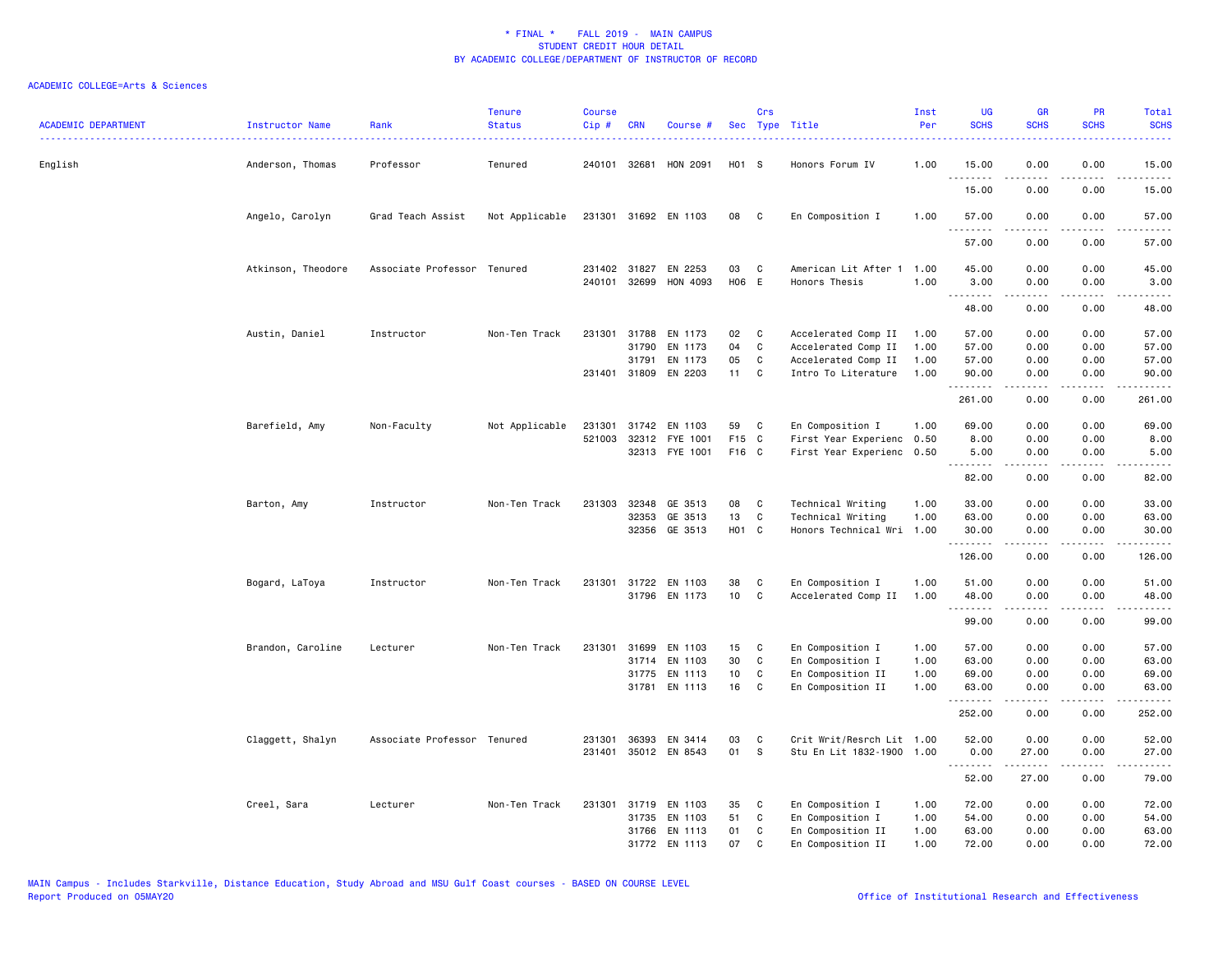| <b>ACADEMIC DEPARTMENT</b> | Instructor Name    | Rank                        | <b>Tenure</b><br><b>Status</b> | Course<br>Cip # | <b>CRN</b>            | Course #              |                   | Crs           | Sec Type Title                             | Inst<br>Per  | UG<br><b>SCHS</b> | <b>GR</b><br><b>SCHS</b>                                                                                                                                      | PR<br><b>SCHS</b>     | Total<br><b>SCHS</b>                                                                                                               |
|----------------------------|--------------------|-----------------------------|--------------------------------|-----------------|-----------------------|-----------------------|-------------------|---------------|--------------------------------------------|--------------|-------------------|---------------------------------------------------------------------------------------------------------------------------------------------------------------|-----------------------|------------------------------------------------------------------------------------------------------------------------------------|
| English                    | Anderson, Thomas   | Professor                   | Tenured                        |                 | 240101 32681          | HON 2091              | H01 S             |               | Honors Forum IV                            | 1.00         | 15.00             | 0.00                                                                                                                                                          | 0.00                  | 15.00                                                                                                                              |
|                            |                    |                             |                                |                 |                       |                       |                   |               |                                            |              | <u>.</u><br>15.00 | .<br>0.00                                                                                                                                                     | $- - - -$<br>0.00     | $\frac{1}{2} \left( \frac{1}{2} \right) \left( \frac{1}{2} \right) \left( \frac{1}{2} \right) \left( \frac{1}{2} \right)$<br>15.00 |
|                            | Angelo, Carolyn    | Grad Teach Assist           | Not Applicable                 |                 |                       | 231301 31692 EN 1103  | 08                | $\mathbf{C}$  | En Composition I                           | 1.00         | 57.00<br>.        | 0.00<br>.                                                                                                                                                     | 0.00<br>$\frac{1}{2}$ | 57.00<br>.                                                                                                                         |
|                            |                    |                             |                                |                 |                       |                       |                   |               |                                            |              | 57.00             | 0.00                                                                                                                                                          | 0.00                  | 57.00                                                                                                                              |
|                            | Atkinson, Theodore | Associate Professor Tenured |                                |                 | 231402 31827          | EN 2253               | 03                | C             | American Lit After 1                       | 1.00         | 45.00             | 0.00                                                                                                                                                          | 0.00                  | 45.00                                                                                                                              |
|                            |                    |                             |                                |                 | 240101 32699          | HON 4093              | H06 E             |               | Honors Thesis                              | 1.00         | 3.00<br><u>.</u>  | 0.00                                                                                                                                                          | 0.00                  | 3.00                                                                                                                               |
|                            |                    |                             |                                |                 |                       |                       |                   |               |                                            |              | 48.00             | 0.00                                                                                                                                                          | 0.00                  | 48.00                                                                                                                              |
|                            | Austin, Daniel     | Instructor                  | Non-Ten Track                  |                 | 231301 31788          | EN 1173               | 02                | C             | Accelerated Comp II                        | 1.00         | 57.00             | 0.00                                                                                                                                                          | 0.00                  | 57.00                                                                                                                              |
|                            |                    |                             |                                |                 | 31790                 | EN 1173               | 04                | C             | Accelerated Comp II                        | 1.00         | 57.00             | 0.00                                                                                                                                                          | 0.00                  | 57.00                                                                                                                              |
|                            |                    |                             |                                |                 | 31791<br>231401 31809 | EN 1173<br>EN 2203    | 05<br>11          | C<br><b>C</b> | Accelerated Comp II<br>Intro To Literature | 1.00<br>1.00 | 57.00<br>90.00    | 0.00<br>0.00                                                                                                                                                  | 0.00<br>0.00          | 57.00<br>90.00                                                                                                                     |
|                            |                    |                             |                                |                 |                       |                       |                   |               |                                            |              | .<br>261.00       | <u>.</u><br>0.00                                                                                                                                              | .<br>0.00             | .<br>261.00                                                                                                                        |
|                            | Barefield, Amy     | Non-Faculty                 | Not Applicable                 | 231301          | 31742                 | EN 1103               | 59                | C             | En Composition I                           | 1.00         | 69.00             | 0.00                                                                                                                                                          | 0.00                  | 69.00                                                                                                                              |
|                            |                    |                             |                                |                 |                       | 521003 32312 FYE 1001 | F15 C             |               | First Year Experienc 0.50                  |              | 8.00              | 0.00                                                                                                                                                          | 0.00                  | 8.00                                                                                                                               |
|                            |                    |                             |                                |                 |                       | 32313 FYE 1001        | F16 C             |               | First Year Experienc 0.50                  |              | 5.00<br>.         | 0.00                                                                                                                                                          | 0.00                  | 5.00                                                                                                                               |
|                            |                    |                             |                                |                 |                       |                       |                   |               |                                            |              | 82.00             | 0.00                                                                                                                                                          | 0.00                  | .<br>82.00                                                                                                                         |
|                            | Barton, Amy        | Instructor                  | Non-Ten Track                  | 231303          | 32348                 | GE 3513               | 08                | C             | Technical Writing                          | 1.00         | 33.00             | 0.00                                                                                                                                                          | 0.00                  | 33.00                                                                                                                              |
|                            |                    |                             |                                |                 | 32353                 | GE 3513               | 13                | C             | Technical Writing                          | 1.00         | 63.00             | 0.00                                                                                                                                                          | 0.00                  | 63.00                                                                                                                              |
|                            |                    |                             |                                |                 |                       | 32356 GE 3513         | H <sub>01</sub> C |               | Honors Technical Wri                       | 1.00         | 30.00<br>.        | 0.00                                                                                                                                                          | 0.00                  | 30.00                                                                                                                              |
|                            |                    |                             |                                |                 |                       |                       |                   |               |                                            |              | 126.00            | 0.00                                                                                                                                                          | 0.00                  | 126.00                                                                                                                             |
|                            | Bogard, LaToya     | Instructor                  | Non-Ten Track                  |                 | 231301 31722          | EN 1103               | 38                | C             | En Composition I                           | 1.00         | 51.00             | 0.00                                                                                                                                                          | 0.00                  | 51.00                                                                                                                              |
|                            |                    |                             |                                |                 |                       | 31796 EN 1173         | 10 <sub>1</sub>   | C             | Accelerated Comp II                        | 1.00         | 48.00<br>.        | 0.00<br><u>.</u>                                                                                                                                              | 0.00<br>د د د د       | 48.00<br>.                                                                                                                         |
|                            |                    |                             |                                |                 |                       |                       |                   |               |                                            |              | 99.00             | 0.00                                                                                                                                                          | 0.00                  | 99.00                                                                                                                              |
|                            | Brandon, Caroline  | Lecturer                    | Non-Ten Track                  | 231301          | 31699                 | EN 1103               | 15                | C             | En Composition I                           | 1.00         | 57.00             | 0.00                                                                                                                                                          | 0.00                  | 57.00                                                                                                                              |
|                            |                    |                             |                                |                 | 31714                 | EN 1103               | 30                | C             | En Composition I                           | 1.00         | 63.00             | 0.00                                                                                                                                                          | 0.00                  | 63.00                                                                                                                              |
|                            |                    |                             |                                |                 | 31775                 | EN 1113               | 10                | C             | En Composition II                          | 1.00         | 69.00             | 0.00                                                                                                                                                          | 0.00                  | 69.00                                                                                                                              |
|                            |                    |                             |                                |                 |                       | 31781 EN 1113         | 16                | C             | En Composition II                          | 1.00         | 63.00<br>.        | 0.00<br>.                                                                                                                                                     | 0.00<br>د د د د       | 63.00<br>.                                                                                                                         |
|                            |                    |                             |                                |                 |                       |                       |                   |               |                                            |              | 252.00            | 0.00                                                                                                                                                          | 0.00                  | 252.00                                                                                                                             |
|                            | Claggett, Shalyn   | Associate Professor Tenured |                                | 231301          | 36393                 | EN 3414               | 03                | C             | Crit Writ/Resrch Lit 1.00                  |              | 52.00             | 0.00                                                                                                                                                          | 0.00                  | 52.00                                                                                                                              |
|                            |                    |                             |                                |                 |                       | 231401 35012 EN 8543  | 01                | s             | Stu En Lit 1832-1900 1.00                  |              | 0.00<br>.         | 27.00<br>$\frac{1}{2} \left( \frac{1}{2} \right) \left( \frac{1}{2} \right) \left( \frac{1}{2} \right) \left( \frac{1}{2} \right) \left( \frac{1}{2} \right)$ | 0.00<br>.             | 27.00<br>.                                                                                                                         |
|                            |                    |                             |                                |                 |                       |                       |                   |               |                                            |              | 52.00             | 27.00                                                                                                                                                         | 0.00                  | 79.00                                                                                                                              |
|                            | Creel, Sara        | Lecturer                    | Non-Ten Track                  |                 | 231301 31719          | EN 1103               | 35                | C             | En Composition I                           | 1.00         | 72.00             | 0.00                                                                                                                                                          | 0.00                  | 72.00                                                                                                                              |
|                            |                    |                             |                                |                 | 31735                 | EN 1103               | 51                | C             | En Composition I                           | 1.00         | 54.00             | 0.00                                                                                                                                                          | 0.00                  | 54.00                                                                                                                              |
|                            |                    |                             |                                |                 |                       | 31766 EN 1113         | 01                | C             | En Composition II                          | 1.00         | 63.00             | 0.00                                                                                                                                                          | 0.00                  | 63.00                                                                                                                              |
|                            |                    |                             |                                |                 |                       | 31772 EN 1113         | 07                | $\mathbf{C}$  | En Composition II                          | 1.00         | 72.00             | 0.00                                                                                                                                                          | 0.00                  | 72.00                                                                                                                              |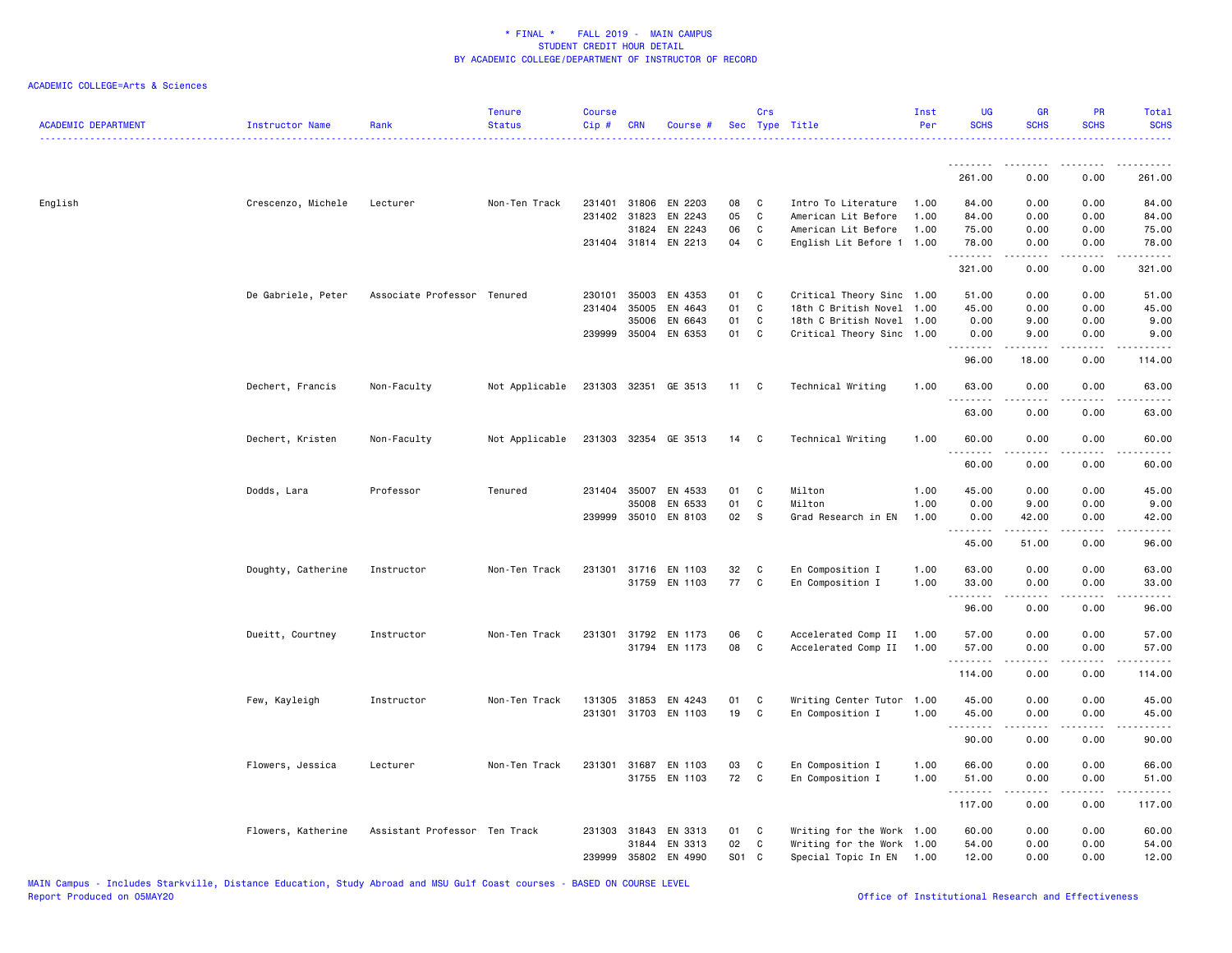| <b>ACADEMIC DEPARTMENT</b> | Instructor Name    | Rank                          | <b>Tenure</b><br><b>Status</b> | Course<br>Cip# | <b>CRN</b>            | Course #                              |          | Crs<br>Sec Type Title |                                            | Inst<br>Per  | <b>UG</b><br><b>SCHS</b> | <b>GR</b><br><b>SCHS</b> | PR<br><b>SCHS</b>                   | Total<br><b>SCHS</b> |
|----------------------------|--------------------|-------------------------------|--------------------------------|----------------|-----------------------|---------------------------------------|----------|-----------------------|--------------------------------------------|--------------|--------------------------|--------------------------|-------------------------------------|----------------------|
|                            |                    |                               |                                |                |                       |                                       |          |                       |                                            |              | <u>.</u><br>261.00       | 0.00                     | 0.00                                | 261.00               |
|                            |                    |                               |                                |                |                       |                                       |          |                       |                                            |              |                          |                          |                                     |                      |
| English                    | Crescenzo, Michele | Lecturer                      | Non-Ten Track                  |                |                       | 231401 31806 EN 2203                  | 08       | $\mathbf{C}$          | Intro To Literature                        | 1.00         | 84.00                    | 0.00                     | 0.00                                | 84.00                |
|                            |                    |                               |                                |                | 231402 31823<br>31824 | EN 2243<br>EN 2243                    | 05<br>06 | C<br>C                | American Lit Before<br>American Lit Before | 1.00<br>1.00 | 84.00<br>75.00           | 0.00<br>0.00             | 0.00<br>0.00                        | 84.00<br>75.00       |
|                            |                    |                               |                                |                | 231404 31814          | EN 2213                               | 04       | C                     | English Lit Before 1 1.00                  |              | 78.00                    | 0.00                     | 0.00                                | 78.00                |
|                            |                    |                               |                                |                |                       |                                       |          |                       |                                            |              | . <u>.</u><br>321.00     | .<br>0.00                | $\frac{1}{2}$<br>0.00               | .<br>321.00          |
|                            | De Gabriele, Peter | Associate Professor Tenured   |                                | 230101         | 35003                 | EN 4353                               | 01       | $\mathbf{C}$          | Critical Theory Sinc 1.00                  |              | 51.00                    | 0.00                     | 0.00                                | 51.00                |
|                            |                    |                               |                                | 231404         | 35005                 | EN 4643                               | 01       | C                     | 18th C British Novel 1.00                  |              | 45.00                    | 0.00                     | 0.00                                | 45.00                |
|                            |                    |                               |                                |                | 35006                 | EN 6643                               | 01       | C                     | 18th C British Novel 1.00                  |              | 0.00                     | 9.00                     | 0.00                                | 9.00                 |
|                            |                    |                               |                                |                | 239999 35004          | EN 6353                               | 01       | C                     | Critical Theory Sinc 1.00                  |              | 0.00                     | 9.00                     | 0.00                                | 9.00                 |
|                            |                    |                               |                                |                |                       |                                       |          |                       |                                            |              | .<br>96.00               | .<br>18.00               | .<br>0.00                           | .<br>114.00          |
|                            | Dechert, Francis   | Non-Faculty                   | Not Applicable                 |                |                       | 231303 32351 GE 3513                  | 11 C     |                       | Technical Writing                          | 1.00         | 63.00                    | 0.00                     | 0.00                                | 63.00                |
|                            |                    |                               |                                |                |                       |                                       |          |                       |                                            |              | 63.00                    | 0.00                     | 0.00                                | 63.00                |
|                            | Dechert, Kristen   | Non-Faculty                   | Not Applicable                 |                |                       | 231303 32354 GE 3513                  | 14       | $\mathbf{C}$          | Technical Writing                          | 1.00         | 60.00                    | 0.00                     | 0.00                                | 60.00                |
|                            |                    |                               |                                |                |                       |                                       |          |                       |                                            |              | <u>.</u><br>60.00        | 0.00                     | $\sim$ $\sim$ $\sim$ $\sim$<br>0.00 | .<br>60.00           |
|                            | Dodds, Lara        | Professor                     | Tenured                        | 231404         | 35007                 | EN 4533                               | 01       | C                     | Milton                                     | 1.00         | 45.00                    | 0.00                     | 0.00                                | 45.00                |
|                            |                    |                               |                                |                | 35008                 | EN 6533                               | 01       | C                     | Milton                                     | 1.00         | 0.00                     | 9.00                     | 0.00                                | 9.00                 |
|                            |                    |                               |                                |                |                       | 239999 35010 EN 8103                  | 02       | <b>S</b>              | Grad Research in EN                        | 1.00         | 0.00                     | 42.00                    | 0.00                                | 42.00                |
|                            |                    |                               |                                |                |                       |                                       |          |                       |                                            |              | .                        | .                        | .                                   | .                    |
|                            |                    |                               |                                |                |                       |                                       |          |                       |                                            |              | 45.00                    | 51.00                    | 0.00                                | 96.00                |
|                            | Doughty, Catherine | Instructor                    | Non-Ten Track                  | 231301         |                       | 31716 EN 1103                         | 32       | C                     | En Composition I                           | 1.00         | 63.00                    | 0.00                     | 0.00                                | 63.00                |
|                            |                    |                               |                                |                |                       | 31759 EN 1103                         | 77       | $\mathbf c$           | En Composition I                           | 1.00         | 33.00<br>.               | 0.00                     | 0.00<br>$\sim$ $\sim$ $\sim$ $\sim$ | 33.00<br>.           |
|                            |                    |                               |                                |                |                       |                                       |          |                       |                                            |              | 96.00                    | 0.00                     | 0.00                                | 96.00                |
|                            | Dueitt, Courtney   | Instructor                    | Non-Ten Track                  | 231301         |                       | 31792 EN 1173                         | 06       | C                     | Accelerated Comp II                        | 1.00         | 57.00                    | 0.00                     | 0.00                                | 57.00                |
|                            |                    |                               |                                |                |                       | 31794 EN 1173                         | 08       | $\mathbf{C}$          | Accelerated Comp II                        | 1.00         | 57.00                    | 0.00                     | 0.00                                | 57.00                |
|                            |                    |                               |                                |                |                       |                                       |          |                       |                                            |              | .<br>114.00              | .<br>0.00                | .<br>0.00                           | .<br>114.00          |
|                            | Few, Kayleigh      | Instructor                    | Non-Ten Track                  | 131305         | 31853                 | EN 4243                               | 01       | C                     | Writing Center Tutor                       | 1.00         | 45.00                    | 0.00                     | 0.00                                | 45.00                |
|                            |                    |                               |                                |                |                       | 231301 31703 EN 1103                  | 19       | C                     | En Composition I                           | 1.00         | 45.00                    | 0.00                     | 0.00                                | 45.00                |
|                            |                    |                               |                                |                |                       |                                       |          |                       |                                            |              | .<br>90.00               | 0.00                     | $\frac{1}{2}$<br>0.00               | .<br>90.00           |
|                            |                    |                               |                                |                |                       |                                       |          |                       |                                            |              |                          |                          |                                     |                      |
|                            | Flowers, Jessica   | Lecturer                      | Non-Ten Track                  |                |                       | 231301 31687 EN 1103<br>31755 EN 1103 | 03<br>72 | $\mathbf{C}$<br>C     | En Composition I                           | 1.00<br>1.00 | 66.00<br>51.00           | 0.00<br>0.00             | 0.00<br>0.00                        | 66.00<br>51.00       |
|                            |                    |                               |                                |                |                       |                                       |          |                       | En Composition I                           |              | <u>.</u>                 | .                        | $\sim$ $\sim$ $\sim$ $\sim$         | .                    |
|                            |                    |                               |                                |                |                       |                                       |          |                       |                                            |              | 117.00                   | 0.00                     | 0.00                                | 117.00               |
|                            | Flowers, Katherine | Assistant Professor Ten Track |                                |                | 231303 31843          | EN 3313                               | 01       | $\mathbf{C}$          | Writing for the Work 1.00                  |              | 60.00                    | 0.00                     | 0.00                                | 60.00                |
|                            |                    |                               |                                |                | 31844                 | EN 3313                               | 02       | C                     | Writing for the Work 1.00                  |              | 54.00                    | 0.00                     | 0.00                                | 54.00                |
|                            |                    |                               |                                | 239999         |                       | 35802 EN 4990                         | S01 C    |                       | Special Topic In EN                        | 1.00         | 12.00                    | 0.00                     | 0.00                                | 12.00                |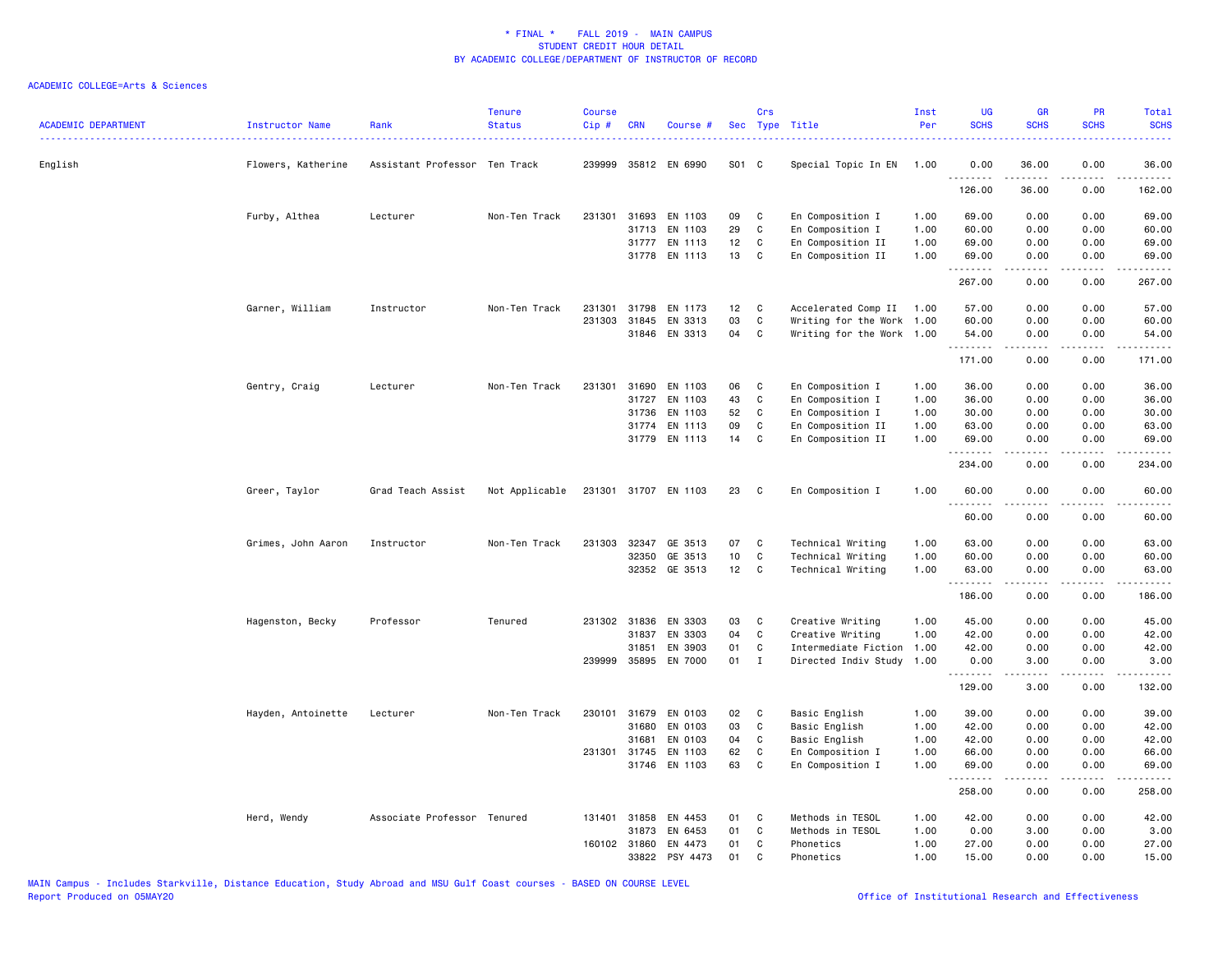| <b>ACADEMIC DEPARTMENT</b><br>------------------------------------- | Instructor Name    | Rank                          | <b>Tenure</b><br><b>Status</b> | <b>Course</b><br>Cip# | <b>CRN</b>   | Course #             |       | Crs          | Sec Type Title            | Inst<br>Per | <b>UG</b><br><b>SCHS</b> | <b>GR</b><br><b>SCHS</b>                                                                                                                                     | <b>PR</b><br><b>SCHS</b> | <b>Total</b><br><b>SCHS</b> |
|---------------------------------------------------------------------|--------------------|-------------------------------|--------------------------------|-----------------------|--------------|----------------------|-------|--------------|---------------------------|-------------|--------------------------|--------------------------------------------------------------------------------------------------------------------------------------------------------------|--------------------------|-----------------------------|
| English                                                             | Flowers, Katherine | Assistant Professor Ten Track |                                |                       |              | 239999 35812 EN 6990 | S01 C |              | Special Topic In EN       | 1.00        | 0.00<br>.                | 36.00                                                                                                                                                        | 0.00                     | 36.00                       |
|                                                                     |                    |                               |                                |                       |              |                      |       |              |                           |             | 126.00                   | 36.00                                                                                                                                                        | 0.00                     | 162.00                      |
|                                                                     | Furby, Althea      | Lecturer                      | Non-Ten Track                  | 231301                | 31693        | EN 1103              | 09    | C            | En Composition I          | 1.00        | 69.00                    | 0.00                                                                                                                                                         | 0.00                     | 69.00                       |
|                                                                     |                    |                               |                                |                       |              | 31713 EN 1103        | 29    | $\mathbf c$  | En Composition I          | 1.00        | 60.00                    | 0.00                                                                                                                                                         | 0.00                     | 60.00                       |
|                                                                     |                    |                               |                                |                       | 31777        | EN 1113              | 12    | C            | En Composition II         | 1.00        | 69.00                    | 0.00                                                                                                                                                         | 0.00                     | 69.00                       |
|                                                                     |                    |                               |                                |                       |              | 31778 EN 1113        | 13    | $\mathbf c$  | En Composition II         | 1.00        | 69.00<br>.               | 0.00<br>$\frac{1}{2} \left( \frac{1}{2} \right) \left( \frac{1}{2} \right) \left( \frac{1}{2} \right) \left( \frac{1}{2} \right) \left( \frac{1}{2} \right)$ | 0.00                     | 69.00<br>.                  |
|                                                                     |                    |                               |                                |                       |              |                      |       |              |                           |             | 267.00                   | 0.00                                                                                                                                                         | 0.00                     | 267.00                      |
|                                                                     | Garner, William    | Instructor                    | Non-Ten Track                  | 231301                | 31798        | EN 1173              | 12    | C            | Accelerated Comp II       | 1.00        | 57.00                    | 0.00                                                                                                                                                         | 0.00                     | 57.00                       |
|                                                                     |                    |                               |                                |                       | 231303 31845 | EN 3313              | 03    | $\mathbf c$  | Writing for the Work 1.00 |             | 60.00                    | 0.00                                                                                                                                                         | 0.00                     | 60.00                       |
|                                                                     |                    |                               |                                |                       |              | 31846 EN 3313        | 04    | C            | Writing for the Work 1.00 |             | 54.00<br>.               | 0.00<br>.                                                                                                                                                    | 0.00<br>.                | 54.00<br>.                  |
|                                                                     |                    |                               |                                |                       |              |                      |       |              |                           |             | 171.00                   | 0.00                                                                                                                                                         | 0.00                     | 171.00                      |
|                                                                     | Gentry, Craig      | Lecturer                      | Non-Ten Track                  | 231301                | 31690        | EN 1103              | 06    | C            | En Composition I          | 1.00        | 36.00                    | 0.00                                                                                                                                                         | 0.00                     | 36.00                       |
|                                                                     |                    |                               |                                |                       | 31727        | EN 1103              | 43    | C            | En Composition I          | 1.00        | 36.00                    | 0.00                                                                                                                                                         | 0.00                     | 36.00                       |
|                                                                     |                    |                               |                                |                       | 31736        | EN 1103              | 52    | C            | En Composition I          | 1.00        | 30.00                    | 0.00                                                                                                                                                         | 0.00                     | 30.00                       |
|                                                                     |                    |                               |                                |                       | 31774        | EN 1113              | 09    | C            | En Composition II         | 1.00        | 63.00                    | 0.00                                                                                                                                                         | 0.00                     | 63.00                       |
|                                                                     |                    |                               |                                |                       |              | 31779 EN 1113        | 14    | C            | En Composition II         | 1.00        | 69.00<br>.               | 0.00<br>$- - - - -$                                                                                                                                          | 0.00                     | 69.00                       |
|                                                                     |                    |                               |                                |                       |              |                      |       |              |                           |             | 234.00                   | 0.00                                                                                                                                                         | 0.00                     | 234.00                      |
|                                                                     | Greer, Taylor      | Grad Teach Assist             | Not Applicable                 |                       |              | 231301 31707 EN 1103 | 23    | C            | En Composition I          | 1.00        | 60.00<br>.               | 0.00<br>- - - - -                                                                                                                                            | 0.00                     | 60.00<br>$\frac{1}{2}$      |
|                                                                     |                    |                               |                                |                       |              |                      |       |              |                           |             | 60.00                    | 0.00                                                                                                                                                         | 0.00                     | 60.00                       |
|                                                                     | Grimes, John Aaron | Instructor                    | Non-Ten Track                  |                       | 231303 32347 | GE 3513              | 07    | C            | Technical Writing         | 1.00        | 63.00                    | 0.00                                                                                                                                                         | 0.00                     | 63.00                       |
|                                                                     |                    |                               |                                |                       | 32350        | GE 3513              | 10    | C            | Technical Writing         | 1.00        | 60.00                    | 0.00                                                                                                                                                         | 0.00                     | 60.00                       |
|                                                                     |                    |                               |                                |                       |              | 32352 GE 3513        | 12    | $\mathbf{C}$ | Technical Writing         | 1.00        | 63.00                    | 0.00                                                                                                                                                         | 0.00                     | 63.00                       |
|                                                                     |                    |                               |                                |                       |              |                      |       |              |                           |             | .<br>186.00              | 0.00                                                                                                                                                         | 0.00                     | 186.00                      |
|                                                                     | Hagenston, Becky   | Professor                     | Tenured                        |                       | 231302 31836 | EN 3303              | 03    | C            | Creative Writing          | 1.00        | 45.00                    | 0.00                                                                                                                                                         | 0.00                     | 45.00                       |
|                                                                     |                    |                               |                                |                       | 31837        | EN 3303              | 04    | C            | Creative Writing          | 1.00        | 42.00                    | 0.00                                                                                                                                                         | 0.00                     | 42.00                       |
|                                                                     |                    |                               |                                |                       | 31851        | EN 3903              | 01    | C            | Intermediate Fiction      | 1.00        | 42.00                    | 0.00                                                                                                                                                         | 0.00                     | 42.00                       |
|                                                                     |                    |                               |                                |                       |              | 239999 35895 EN 7000 | 01    | $\mathbf{I}$ | Directed Indiv Study      | 1.00        | 0.00<br>.                | 3.00<br><u>.</u>                                                                                                                                             | 0.00                     | 3.00                        |
|                                                                     |                    |                               |                                |                       |              |                      |       |              |                           |             | 129.00                   | 3.00                                                                                                                                                         | 0.00                     | 132.00                      |
|                                                                     | Hayden, Antoinette | Lecturer                      | Non-Ten Track                  | 230101                | 31679        | EN 0103              | 02    | C            | Basic English             | 1.00        | 39.00                    | 0.00                                                                                                                                                         | 0.00                     | 39.00                       |
|                                                                     |                    |                               |                                |                       | 31680        | EN 0103              | 03    | $\mathbf C$  | Basic English             | 1.00        | 42.00                    | 0.00                                                                                                                                                         | 0.00                     | 42.00                       |
|                                                                     |                    |                               |                                |                       | 31681        | EN 0103              | 04    | C            | Basic English             | 1.00        | 42.00                    | 0.00                                                                                                                                                         | 0.00                     | 42.00                       |
|                                                                     |                    |                               |                                | 231301                | 31745        | EN 1103              | 62    | C            | En Composition I          | 1.00        | 66.00                    | 0.00                                                                                                                                                         | 0.00                     | 66.00                       |
|                                                                     |                    |                               |                                |                       |              | 31746 EN 1103        | 63    | C            | En Composition I          | 1.00        | 69.00<br>.               | 0.00<br>$\frac{1}{2} \left( \frac{1}{2} \right) \left( \frac{1}{2} \right) \left( \frac{1}{2} \right) \left( \frac{1}{2} \right) \left( \frac{1}{2} \right)$ | 0.00<br>.                | 69.00<br><u>.</u>           |
|                                                                     |                    |                               |                                |                       |              |                      |       |              |                           |             | 258.00                   | 0.00                                                                                                                                                         | 0.00                     | 258.00                      |
|                                                                     | Herd, Wendy        | Associate Professor Tenured   |                                | 131401                | 31858        | EN 4453              | 01    | C            | Methods in TESOL          | 1.00        | 42.00                    | 0.00                                                                                                                                                         | 0.00                     | 42.00                       |
|                                                                     |                    |                               |                                |                       | 31873        | EN 6453              | 01    | $\mathbf C$  | Methods in TESOL          | 1.00        | 0.00                     | 3.00                                                                                                                                                         | 0.00                     | 3.00                        |
|                                                                     |                    |                               |                                |                       | 160102 31860 | EN 4473              | 01    | C            | Phonetics                 | 1.00        | 27.00                    | 0.00                                                                                                                                                         | 0.00                     | 27.00                       |
|                                                                     |                    |                               |                                |                       | 33822        | PSY 4473             | 01    | $\mathbf{C}$ | Phonetics                 | 1.00        | 15.00                    | 0.00                                                                                                                                                         | 0.00                     | 15.00                       |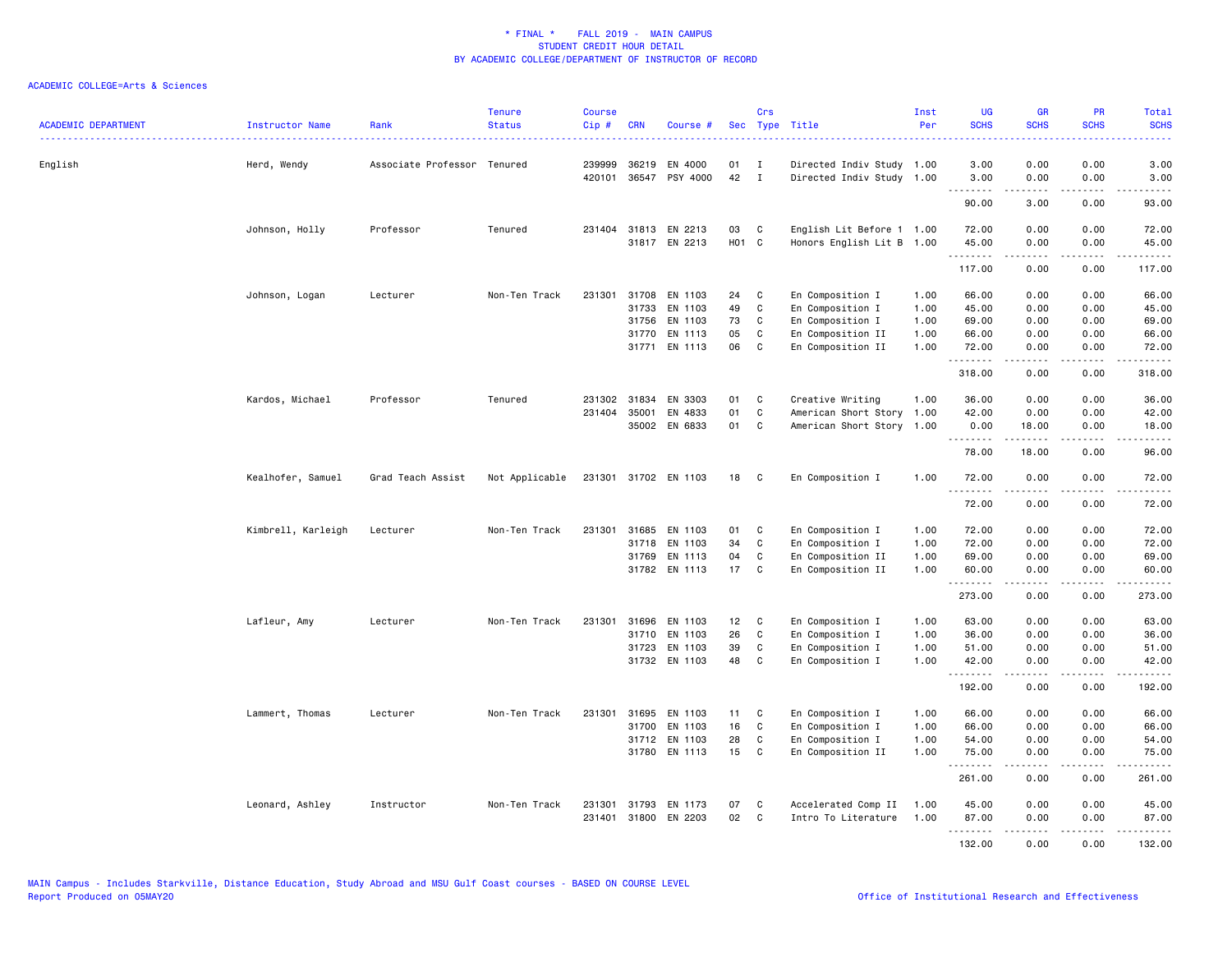| <b>ACADEMIC DEPARTMENT</b> | Instructor Name    | Rank                        | <b>Tenure</b><br><b>Status</b> | <b>Course</b><br>Cip# | <b>CRN</b>     | Course #                              | Sec         | Crs                          | Type Title                                             | Inst<br>Per  | <b>UG</b><br><b>SCHS</b> | <b>GR</b><br><b>SCHS</b> | PR<br><b>SCHS</b>                   | <b>Total</b><br><b>SCHS</b>                                                                                                                                                               |
|----------------------------|--------------------|-----------------------------|--------------------------------|-----------------------|----------------|---------------------------------------|-------------|------------------------------|--------------------------------------------------------|--------------|--------------------------|--------------------------|-------------------------------------|-------------------------------------------------------------------------------------------------------------------------------------------------------------------------------------------|
| English                    | Herd, Wendy        | Associate Professor Tenured |                                | 239999<br>420101      |                | 36219 EN 4000<br>36547 PSY 4000       | 01<br>42    | Ι.<br>$\mathbf{I}$           | Directed Indiv Study 1.00<br>Directed Indiv Study 1.00 |              | 3.00<br>3.00             | 0.00<br>0.00             | 0.00<br>0.00                        | 3.00<br>3.00                                                                                                                                                                              |
|                            |                    |                             |                                |                       |                |                                       |             |                              |                                                        |              | 90.00                    | 3.00                     | $\sim$ $\sim$ $\sim$ $\sim$<br>0.00 | 93.00                                                                                                                                                                                     |
|                            |                    |                             |                                |                       |                |                                       |             |                              |                                                        |              |                          |                          |                                     |                                                                                                                                                                                           |
|                            | Johnson, Holly     | Professor                   | Tenured                        |                       |                | 231404 31813 EN 2213<br>31817 EN 2213 | 03<br>H01 C | C                            | English Lit Before 1 1.00<br>Honors English Lit B 1.00 |              | 72.00<br>45.00           | 0.00<br>0.00             | 0.00<br>0.00                        | 72.00<br>45.00                                                                                                                                                                            |
|                            |                    |                             |                                |                       |                |                                       |             |                              |                                                        |              | <u>.</u>                 |                          | $\frac{1}{2}$                       | .                                                                                                                                                                                         |
|                            |                    |                             |                                |                       |                |                                       |             |                              |                                                        |              | 117.00                   | 0.00                     | 0.00                                | 117.00                                                                                                                                                                                    |
|                            | Johnson, Logan     | Lecturer                    | Non-Ten Track                  | 231301                | 31708          | EN 1103                               | 24          | C                            | En Composition I                                       | 1.00         | 66.00                    | 0.00                     | 0.00                                | 66.00                                                                                                                                                                                     |
|                            |                    |                             |                                |                       |                | 31733 EN 1103                         | 49<br>73    | $\mathbb{C}$<br>$\mathbb{C}$ | En Composition I                                       | 1.00<br>1.00 | 45.00<br>69.00           | 0.00                     | 0.00                                | 45.00<br>69.00                                                                                                                                                                            |
|                            |                    |                             |                                |                       | 31756<br>31770 | EN 1103<br>EN 1113                    | 05          | C                            | En Composition I<br>En Composition II                  | 1.00         | 66.00                    | 0.00<br>0.00             | 0.00<br>0.00                        | 66.00                                                                                                                                                                                     |
|                            |                    |                             |                                |                       |                | 31771 EN 1113                         | 06          | C                            | En Composition II                                      | 1.00         | 72.00                    | 0.00                     | 0.00                                | 72.00                                                                                                                                                                                     |
|                            |                    |                             |                                |                       |                |                                       |             |                              |                                                        |              | .<br>318.00              | .<br>0.00                | .<br>0.00                           | .<br>318.00                                                                                                                                                                               |
|                            | Kardos, Michael    | Professor                   | Tenured                        | 231302                | 31834          | EN 3303                               | 01          | C                            | Creative Writing                                       | 1.00         | 36.00                    | 0.00                     | 0.00                                | 36.00                                                                                                                                                                                     |
|                            |                    |                             |                                | 231404                | 35001          | EN 4833                               | 01          | $\mathbf c$                  | American Short Story 1.00                              |              | 42.00                    | 0.00                     | 0.00                                | 42.00                                                                                                                                                                                     |
|                            |                    |                             |                                |                       |                | 35002 EN 6833                         | 01          | C                            | American Short Story 1.00                              |              | 0.00<br>.                | 18.00<br>.               | 0.00<br>$\sim$ $\sim$ $\sim$        | 18.00<br>$\frac{1}{2} \left( \frac{1}{2} \right) \left( \frac{1}{2} \right) \left( \frac{1}{2} \right) \left( \frac{1}{2} \right) \left( \frac{1}{2} \right)$                             |
|                            |                    |                             |                                |                       |                |                                       |             |                              |                                                        |              | 78.00                    | 18.00                    | 0.00                                | 96.00                                                                                                                                                                                     |
|                            | Kealhofer, Samuel  | Grad Teach Assist           | Not Applicable                 |                       |                | 231301 31702 EN 1103                  | 18          | C                            | En Composition I                                       | 1.00         | 72.00<br><u>.</u>        | 0.00<br><u>.</u>         | 0.00<br>.                           | 72.00<br>.                                                                                                                                                                                |
|                            |                    |                             |                                |                       |                |                                       |             |                              |                                                        |              | 72.00                    | 0.00                     | 0.00                                | 72.00                                                                                                                                                                                     |
|                            | Kimbrell, Karleigh | Lecturer                    | Non-Ten Track                  | 231301                | 31685          | EN 1103                               | 01          | C                            | En Composition I                                       | 1.00         | 72.00                    | 0.00                     | 0.00                                | 72.00                                                                                                                                                                                     |
|                            |                    |                             |                                |                       | 31718          | EN 1103                               | 34          | $\mathbb{C}$                 | En Composition I                                       | 1.00         | 72.00                    | 0.00                     | 0.00                                | 72.00                                                                                                                                                                                     |
|                            |                    |                             |                                |                       |                | 31769 EN 1113                         | 04          | C                            | En Composition II                                      | 1.00         | 69.00                    | 0.00                     | 0.00                                | 69.00                                                                                                                                                                                     |
|                            |                    |                             |                                |                       |                | 31782 EN 1113                         | 17          | C                            | En Composition II                                      | 1.00         | 60.00<br><u>.</u> .      | 0.00<br>.                | 0.00<br>.                           | 60.00<br>.                                                                                                                                                                                |
|                            |                    |                             |                                |                       |                |                                       |             |                              |                                                        |              | 273.00                   | 0.00                     | 0.00                                | 273.00                                                                                                                                                                                    |
|                            | Lafleur, Amy       | Lecturer                    | Non-Ten Track                  | 231301                |                | 31696 EN 1103                         | 12          | C                            | En Composition I                                       | 1.00         | 63.00                    | 0.00                     | 0.00                                | 63.00                                                                                                                                                                                     |
|                            |                    |                             |                                |                       | 31710          | EN 1103                               | 26          | $\mathbb{C}$                 | En Composition I                                       | 1.00         | 36.00                    | 0.00                     | 0.00                                | 36.00                                                                                                                                                                                     |
|                            |                    |                             |                                |                       | 31723          | EN 1103                               | 39          | $\mathbb{C}$                 | En Composition I                                       | 1.00         | 51.00                    | 0.00                     | 0.00                                | 51.00                                                                                                                                                                                     |
|                            |                    |                             |                                |                       |                | 31732 EN 1103                         | 48          | C                            | En Composition I                                       | 1.00         | 42.00<br><u>.</u>        | 0.00                     | 0.00<br>.                           | 42.00<br>.                                                                                                                                                                                |
|                            |                    |                             |                                |                       |                |                                       |             |                              |                                                        |              | 192.00                   | 0.00                     | 0.00                                | 192.00                                                                                                                                                                                    |
|                            | Lammert, Thomas    | Lecturer                    | Non-Ten Track                  | 231301                |                | 31695 EN 1103                         | 11          | C                            | En Composition I                                       | 1.00         | 66.00                    | 0.00                     | 0.00                                | 66.00                                                                                                                                                                                     |
|                            |                    |                             |                                |                       |                | 31700 EN 1103                         | 16          | $\mathtt{C}$                 | En Composition I                                       | 1.00         | 66.00                    | 0.00                     | 0.00                                | 66.00                                                                                                                                                                                     |
|                            |                    |                             |                                |                       |                | 31712 EN 1103                         | 28          | $\mathbb{C}$                 | En Composition I                                       | 1.00         | 54.00                    | 0.00                     | 0.00                                | 54.00                                                                                                                                                                                     |
|                            |                    |                             |                                |                       |                | 31780 EN 1113                         | 15          | C                            | En Composition II                                      | 1.00         | 75.00<br>.               | 0.00<br>.                | 0.00<br>.                           | 75.00<br><u>.</u>                                                                                                                                                                         |
|                            |                    |                             |                                |                       |                |                                       |             |                              |                                                        |              | 261.00                   | 0.00                     | 0.00                                | 261.00                                                                                                                                                                                    |
|                            | Leonard, Ashley    | Instructor                  | Non-Ten Track                  | 231301                |                | 31793 EN 1173                         | 07          | C                            | Accelerated Comp II                                    | 1.00         | 45.00                    | 0.00                     | 0.00                                | 45.00                                                                                                                                                                                     |
|                            |                    |                             |                                | 231401                |                | 31800 EN 2203                         | 02          | C                            | Intro To Literature                                    | 1.00         | 87.00                    | 0.00                     | 0.00                                | 87.00                                                                                                                                                                                     |
|                            |                    |                             |                                |                       |                |                                       |             |                              |                                                        |              | .<br>132.00              | .<br>0.00                | .<br>0.00                           | $\frac{1}{2} \left( \frac{1}{2} \right) \left( \frac{1}{2} \right) \left( \frac{1}{2} \right) \left( \frac{1}{2} \right) \left( \frac{1}{2} \right) \left( \frac{1}{2} \right)$<br>132.00 |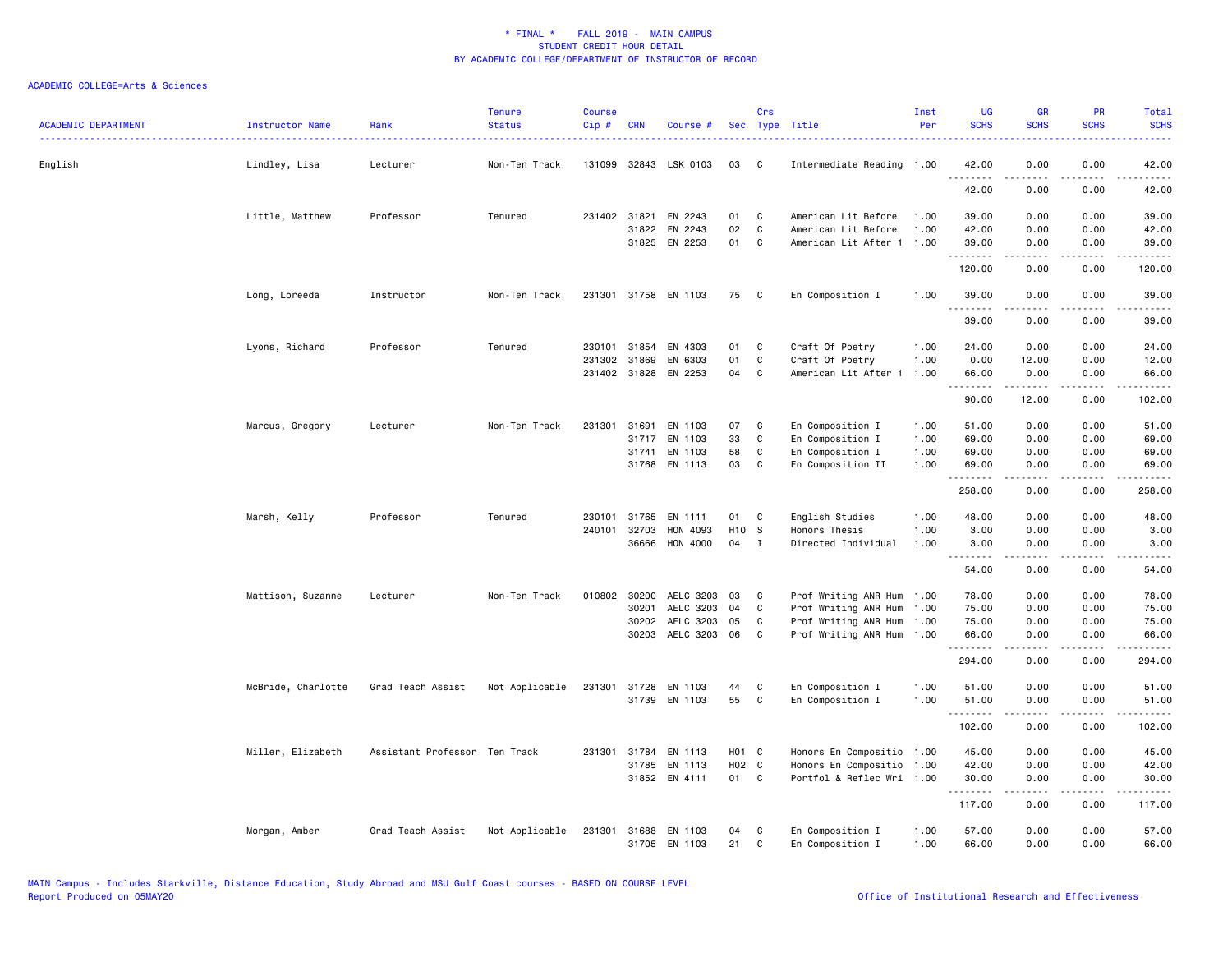| <b>ACADEMIC DEPARTMENT</b> | Instructor Name<br>. | Rank                          | <b>Tenure</b><br><b>Status</b> | <b>Course</b><br>Cip# | <b>CRN</b>   | Course #                        |          | Crs               | Sec Type Title                                   | Inst<br>Per  | <b>UG</b><br><b>SCHS</b> | <b>GR</b><br><b>SCHS</b> | <b>PR</b><br><b>SCHS</b> | Total<br><b>SCHS</b>                                                                                                               |
|----------------------------|----------------------|-------------------------------|--------------------------------|-----------------------|--------------|---------------------------------|----------|-------------------|--------------------------------------------------|--------------|--------------------------|--------------------------|--------------------------|------------------------------------------------------------------------------------------------------------------------------------|
| English                    | Lindley, Lisa        | Lecturer                      | Non-Ten Track                  |                       |              | 131099 32843 LSK 0103           | 03       | C                 | Intermediate Reading 1.00                        |              | 42.00<br>.               | 0.00<br>.                | 0.00                     | 42.00<br>$\frac{1}{2} \left( \frac{1}{2} \right) \left( \frac{1}{2} \right) \left( \frac{1}{2} \right) \left( \frac{1}{2} \right)$ |
|                            |                      |                               |                                |                       |              |                                 |          |                   |                                                  |              | 42.00                    | 0.00                     | 0.00                     | 42.00                                                                                                                              |
|                            | Little, Matthew      | Professor                     | Tenured                        |                       | 231402 31821 | EN 2243                         | 01       | C                 | American Lit Before                              | 1.00         | 39.00                    | 0.00                     | 0.00                     | 39.00                                                                                                                              |
|                            |                      |                               |                                |                       |              | 31822 EN 2243<br>31825 EN 2253  | 02<br>01 | C<br>$\mathbf{C}$ | American Lit Before<br>American Lit After 1 1.00 | 1.00         | 42.00<br>39.00           | 0.00<br>0.00             | 0.00<br>0.00             | 42.00<br>39.00                                                                                                                     |
|                            |                      |                               |                                |                       |              |                                 |          |                   |                                                  |              | .<br>120.00              | 0.00                     | 0.00                     | .<br>120.00                                                                                                                        |
|                            | Long, Loreeda        | Instructor                    | Non-Ten Track                  |                       |              | 231301 31758 EN 1103            | 75       | C                 | En Composition I                                 | 1.00         | 39.00                    | 0.00                     | 0.00                     | 39.00                                                                                                                              |
|                            |                      |                               |                                |                       |              |                                 |          |                   |                                                  |              | .<br>39.00               | .<br>0.00                | $\frac{1}{2}$<br>0.00    | .<br>39.00                                                                                                                         |
|                            | Lyons, Richard       | Professor                     | Tenured                        | 230101                | 31854        | EN 4303                         | 01       | C                 | Craft Of Poetry                                  | 1.00         | 24.00                    | 0.00                     | 0.00                     | 24.00                                                                                                                              |
|                            |                      |                               |                                |                       | 231302 31869 | EN 6303<br>231402 31828 EN 2253 | 01<br>04 | C<br>C            | Craft Of Poetry<br>American Lit After 1          | 1.00<br>1.00 | 0.00<br>66.00            | 12.00<br>0.00            | 0.00<br>0.00             | 12.00<br>66.00                                                                                                                     |
|                            |                      |                               |                                |                       |              |                                 |          |                   |                                                  |              | .<br>90.00               | .<br>12.00               | .<br>0.00                | .<br>102.00                                                                                                                        |
|                            | Marcus, Gregory      | Lecturer                      | Non-Ten Track                  | 231301                | 31691        | EN 1103                         | 07       | C                 | En Composition I                                 | 1.00         | 51.00                    | 0.00                     | 0.00                     | 51.00                                                                                                                              |
|                            |                      |                               |                                |                       |              | 31717 EN 1103                   | 33       | C                 | En Composition I                                 | 1.00         | 69.00                    | 0.00                     | 0.00                     | 69.00                                                                                                                              |
|                            |                      |                               |                                |                       | 31741        | EN 1103                         | 58       | C                 | En Composition I                                 | 1.00         | 69.00                    | 0.00                     | 0.00                     | 69.00                                                                                                                              |
|                            |                      |                               |                                |                       |              | 31768 EN 1113                   | 03       | C                 | En Composition II                                | 1.00         | 69.00<br>.               | 0.00<br>.                | 0.00<br>.                | 69.00<br>.                                                                                                                         |
|                            |                      |                               |                                |                       |              |                                 |          |                   |                                                  |              | 258.00                   | 0.00                     | 0.00                     | 258.00                                                                                                                             |
|                            | Marsh, Kelly         | Professor                     | Tenured                        | 230101                |              | 31765 EN 1111                   | 01       | C                 | English Studies                                  | 1.00         | 48.00                    | 0.00                     | 0.00                     | 48.00                                                                                                                              |
|                            |                      |                               |                                | 240101                | 32703        | HON 4093                        | H10 S    |                   | Honors Thesis                                    | 1.00         | 3.00                     | 0.00                     | 0.00                     | 3.00                                                                                                                               |
|                            |                      |                               |                                |                       | 36666        | HON 4000                        | 04       | $\mathbf{I}$      | Directed Individual                              | 1.00         | 3.00                     | 0.00                     | 0.00                     | 3.00                                                                                                                               |
|                            |                      |                               |                                |                       |              |                                 |          |                   |                                                  |              | 54.00                    | 0.00                     | 0.00                     | 54.00                                                                                                                              |
|                            | Mattison, Suzanne    | Lecturer                      | Non-Ten Track                  |                       | 010802 30200 | AELC 3203                       | 03       | C                 | Prof Writing ANR Hum                             | 1.00         | 78.00                    | 0.00                     | 0.00                     | 78.00                                                                                                                              |
|                            |                      |                               |                                |                       | 30201        | AELC 3203                       | 04       | C                 | Prof Writing ANR Hum                             | 1.00         | 75.00                    | 0.00                     | 0.00                     | 75.00                                                                                                                              |
|                            |                      |                               |                                |                       | 30202        | AELC 3203                       | 05       | C                 | Prof Writing ANR Hum                             | 1.00         | 75.00                    | 0.00                     | 0.00                     | 75.00                                                                                                                              |
|                            |                      |                               |                                |                       |              | 30203 AELC 3203 06              |          | C                 | Prof Writing ANR Hum 1.00                        |              | 66.00<br>.               | 0.00<br>.                | 0.00<br>.                | 66.00<br>$\begin{array}{cccccccccc} \bullet & \bullet & \bullet & \bullet & \bullet & \bullet & \bullet & \bullet \end{array}$     |
|                            |                      |                               |                                |                       |              |                                 |          |                   |                                                  |              | 294.00                   | 0.00                     | 0.00                     | 294.00                                                                                                                             |
|                            | McBride, Charlotte   | Grad Teach Assist             | Not Applicable                 | 231301                |              | 31728 EN 1103                   | 44       | C                 | En Composition I                                 | 1.00         | 51.00                    | 0.00                     | 0.00                     | 51.00                                                                                                                              |
|                            |                      |                               |                                |                       |              | 31739 EN 1103                   | 55       | C                 | En Composition I                                 | 1.00         | 51.00<br><u>.</u>        | 0.00<br>. <b>.</b>       | 0.00<br>.                | 51.00<br>.                                                                                                                         |
|                            |                      |                               |                                |                       |              |                                 |          |                   |                                                  |              | 102.00                   | 0.00                     | 0.00                     | 102.00                                                                                                                             |
|                            | Miller, Elizabeth    | Assistant Professor Ten Track |                                |                       | 231301 31784 | EN 1113                         | H01 C    |                   | Honors En Compositio                             | 1.00         | 45.00                    | 0.00                     | 0.00                     | 45.00                                                                                                                              |
|                            |                      |                               |                                |                       |              | 31785 EN 1113                   | H02 C    |                   | Honors En Compositio                             | 1.00         | 42.00                    | 0.00                     | 0.00                     | 42.00                                                                                                                              |
|                            |                      |                               |                                |                       |              | 31852 EN 4111                   | 01 C     |                   | Portfol & Reflec Wri 1.00                        |              | 30.00<br>.               | 0.00<br>.                | 0.00<br>.                | 30.00<br>.                                                                                                                         |
|                            |                      |                               |                                |                       |              |                                 |          |                   |                                                  |              | 117.00                   | 0.00                     | 0.00                     | 117.00                                                                                                                             |
|                            | Morgan, Amber        | Grad Teach Assist             | Not Applicable                 | 231301                |              | 31688 EN 1103<br>31705 EN 1103  | 04<br>21 | C<br>C            | En Composition I<br>En Composition I             | 1.00<br>1.00 | 57.00<br>66.00           | 0.00<br>0.00             | 0.00<br>0.00             | 57.00<br>66.00                                                                                                                     |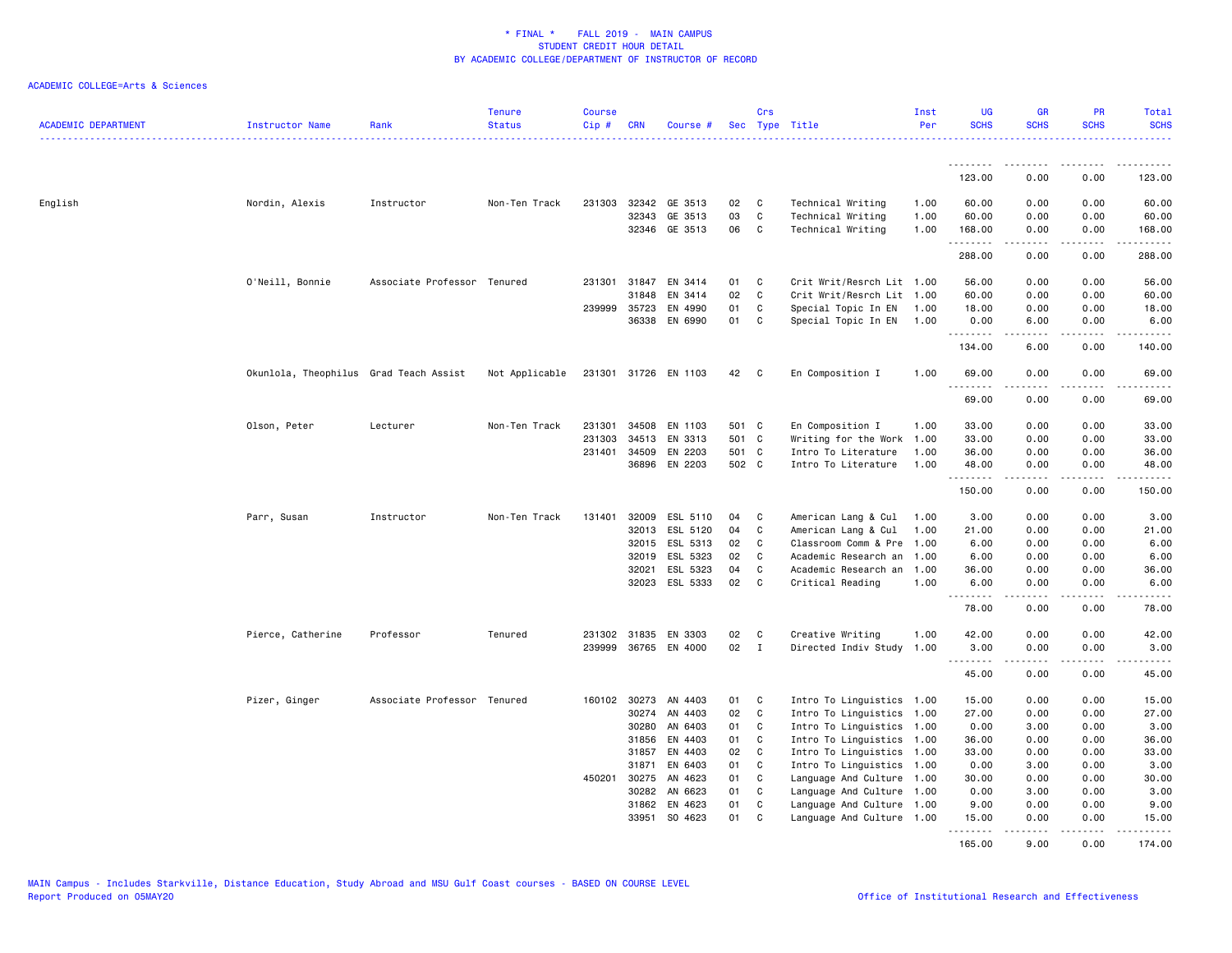| <b>ACADEMIC DEPARTMENT</b> | Instructor Name                        | Rank                        | <b>Tenure</b><br><b>Status</b> | <b>Course</b><br>$Cip$ # | <b>CRN</b>     | Course #             |          | Crs          | Sec Type Title                                         | Inst<br>Per | <b>UG</b><br><b>SCHS</b> | <b>GR</b><br><b>SCHS</b>                                                                                                                             | PR<br><b>SCHS</b>            | Total<br><b>SCHS</b>                                                                                                                                         |
|----------------------------|----------------------------------------|-----------------------------|--------------------------------|--------------------------|----------------|----------------------|----------|--------------|--------------------------------------------------------|-------------|--------------------------|------------------------------------------------------------------------------------------------------------------------------------------------------|------------------------------|--------------------------------------------------------------------------------------------------------------------------------------------------------------|
|                            |                                        |                             |                                |                          |                |                      |          |              |                                                        |             | .                        | $\frac{1}{2} \left( \frac{1}{2} \right) \left( \frac{1}{2} \right) \left( \frac{1}{2} \right) \left( \frac{1}{2} \right) \left( \frac{1}{2} \right)$ | $\frac{1}{2}$                | .                                                                                                                                                            |
|                            |                                        |                             |                                |                          |                |                      |          |              |                                                        |             | 123.00                   | 0.00                                                                                                                                                 | 0.00                         | 123.00                                                                                                                                                       |
| English                    | Nordin, Alexis                         | Instructor                  | Non-Ten Track                  | 231303                   |                | 32342 GE 3513        | 02       | C            | Technical Writing                                      | 1.00        | 60.00                    | 0.00                                                                                                                                                 | 0.00                         | 60.00                                                                                                                                                        |
|                            |                                        |                             |                                |                          | 32343          | GE 3513              | 03       | C            | Technical Writing                                      | 1.00        | 60.00                    | 0.00                                                                                                                                                 | 0.00                         | 60.00                                                                                                                                                        |
|                            |                                        |                             |                                |                          | 32346          | GE 3513              | 06       | C            | Technical Writing                                      | 1.00        | 168.00<br>.              | 0.00                                                                                                                                                 | 0.00<br>$- - - -$            | 168.00<br>.                                                                                                                                                  |
|                            |                                        |                             |                                |                          |                |                      |          |              |                                                        |             | 288.00                   | 0.00                                                                                                                                                 | 0.00                         | 288.00                                                                                                                                                       |
|                            | O'Neill, Bonnie                        | Associate Professor Tenured |                                |                          | 231301 31847   | EN 3414              | 01       | C            | Crit Writ/Resrch Lit 1.00                              |             | 56.00                    | 0.00                                                                                                                                                 | 0.00                         | 56.00                                                                                                                                                        |
|                            |                                        |                             |                                |                          | 31848          | EN 3414              | 02       | C            | Crit Writ/Resrch Lit 1.00                              |             | 60.00                    | 0.00                                                                                                                                                 | 0.00                         | 60.00                                                                                                                                                        |
|                            |                                        |                             |                                | 239999                   | 35723          | EN 4990              | 01       | C            | Special Topic In EN                                    | 1.00        | 18.00                    | 0.00                                                                                                                                                 | 0.00                         | 18.00                                                                                                                                                        |
|                            |                                        |                             |                                |                          |                | 36338 EN 6990        | 01       | C            | Special Topic In EN                                    | 1.00        | 0.00<br>.                | 6.00<br>.                                                                                                                                            | 0.00<br>.                    | 6.00<br>------                                                                                                                                               |
|                            |                                        |                             |                                |                          |                |                      |          |              |                                                        |             | 134.00                   | 6.00                                                                                                                                                 | 0.00                         | 140.00                                                                                                                                                       |
|                            | Okunlola, Theophilus Grad Teach Assist |                             | Not Applicable                 |                          |                | 231301 31726 EN 1103 | 42       | C            | En Composition I                                       | 1.00        | 69.00<br>.               | 0.00<br>.                                                                                                                                            | 0.00<br>.                    | 69.00<br>.                                                                                                                                                   |
|                            |                                        |                             |                                |                          |                |                      |          |              |                                                        |             | 69.00                    | 0.00                                                                                                                                                 | 0.00                         | 69.00                                                                                                                                                        |
|                            | Olson, Peter                           | Lecturer                    | Non-Ten Track                  | 231301                   |                | 34508 EN 1103        | 501 C    |              | En Composition I                                       | 1.00        | 33.00                    | 0.00                                                                                                                                                 | 0.00                         | 33.00                                                                                                                                                        |
|                            |                                        |                             |                                | 231303                   | 34513          | EN 3313              | 501      | $\mathbf{C}$ | Writing for the Work 1.00                              |             | 33.00                    | 0.00                                                                                                                                                 | 0.00                         | 33.00                                                                                                                                                        |
|                            |                                        |                             |                                | 231401                   | 34509          | EN 2203              | 501 C    |              | Intro To Literature                                    | 1.00        | 36.00                    | 0.00                                                                                                                                                 | 0.00                         | 36.00                                                                                                                                                        |
|                            |                                        |                             |                                |                          |                | 36896 EN 2203        | 502 C    |              | Intro To Literature                                    | 1.00        | 48.00                    | 0.00                                                                                                                                                 | 0.00                         | 48.00                                                                                                                                                        |
|                            |                                        |                             |                                |                          |                |                      |          |              |                                                        |             | .<br>150.00              | .<br>0.00                                                                                                                                            | $\sim$ $\sim$ $\sim$<br>0.00 | د د د د د<br>150.00                                                                                                                                          |
|                            | Parr, Susan                            | Instructor                  | Non-Ten Track                  | 131401                   | 32009          | ESL 5110             | 04       | C            | American Lang & Cul                                    | 1.00        | 3.00                     | 0.00                                                                                                                                                 | 0.00                         | 3.00                                                                                                                                                         |
|                            |                                        |                             |                                |                          | 32013          | ESL 5120             | 04       | C            | American Lang & Cul                                    | 1.00        | 21.00                    | 0.00                                                                                                                                                 | 0.00                         | 21.00                                                                                                                                                        |
|                            |                                        |                             |                                |                          |                | 32015 ESL 5313       | 02       | C            | Classroom Comm & Pre 1.00                              |             | 6.00                     | 0.00                                                                                                                                                 | 0.00                         | 6.00                                                                                                                                                         |
|                            |                                        |                             |                                |                          | 32019          | ESL 5323             | 02       | C            | Academic Research an 1.00                              |             | 6.00                     | 0.00                                                                                                                                                 | 0.00                         | 6.00                                                                                                                                                         |
|                            |                                        |                             |                                |                          | 32021          | ESL 5323             | 04       | C            | Academic Research an                                   | 1.00        | 36.00                    | 0.00                                                                                                                                                 | 0.00                         | 36.00                                                                                                                                                        |
|                            |                                        |                             |                                |                          | 32023          | ESL 5333             | 02       | C            | Critical Reading                                       | 1.00        | 6.00<br>.                | 0.00<br>.                                                                                                                                            | 0.00<br>.                    | 6.00<br>$\frac{1}{2} \left( \frac{1}{2} \right) \left( \frac{1}{2} \right) \left( \frac{1}{2} \right) \left( \frac{1}{2} \right) \left( \frac{1}{2} \right)$ |
|                            |                                        |                             |                                |                          |                |                      |          |              |                                                        |             | 78.00                    | 0.00                                                                                                                                                 | 0.00                         | 78.00                                                                                                                                                        |
|                            | Pierce, Catherine                      | Professor                   | Tenured                        |                          |                | 231302 31835 EN 3303 | 02       | C            | Creative Writing                                       | 1.00        | 42.00                    | 0.00                                                                                                                                                 | 0.00                         | 42.00                                                                                                                                                        |
|                            |                                        |                             |                                | 239999                   |                | 36765 EN 4000        | 02       | $\mathbf{I}$ | Directed Indiv Study 1.00                              |             | 3.00                     | 0.00                                                                                                                                                 | 0.00                         | 3.00                                                                                                                                                         |
|                            |                                        |                             |                                |                          |                |                      |          |              |                                                        |             | .<br>45.00               | .<br>0.00                                                                                                                                            | .<br>0.00                    | $\frac{1}{2}$<br>45.00                                                                                                                                       |
|                            | Pizer, Ginger                          | Associate Professor Tenured |                                | 160102                   | 30273          | AN 4403              | 01       | C            | Intro To Linguistics 1.00                              |             | 15.00                    | 0.00                                                                                                                                                 | 0.00                         | 15.00                                                                                                                                                        |
|                            |                                        |                             |                                |                          | 30274          | AN 4403              | 02       | C            | Intro To Linguistics 1.00                              |             | 27.00                    | 0.00                                                                                                                                                 | 0.00                         | 27.00                                                                                                                                                        |
|                            |                                        |                             |                                |                          | 30280          | AN 6403              | 01       | C            | Intro To Linguistics 1.00                              |             | 0.00                     | 3.00                                                                                                                                                 | 0.00                         | 3.00                                                                                                                                                         |
|                            |                                        |                             |                                |                          | 31856          | EN 4403              | 01       | C            | Intro To Linguistics 1.00                              |             | 36.00                    | 0.00                                                                                                                                                 | 0.00                         | 36.00                                                                                                                                                        |
|                            |                                        |                             |                                |                          | 31857          | EN 4403              | 02       | C            | Intro To Linguistics 1.00                              |             | 33.00                    | 0.00                                                                                                                                                 | 0.00                         | 33.00                                                                                                                                                        |
|                            |                                        |                             |                                | 450201                   | 31871<br>30275 | EN 6403<br>AN 4623   | 01<br>01 | C<br>C       | Intro To Linguistics 1.00<br>Language And Culture 1.00 |             | 0.00<br>30.00            | 3.00<br>0.00                                                                                                                                         | 0.00<br>0.00                 | 3.00<br>30.00                                                                                                                                                |
|                            |                                        |                             |                                |                          | 30282          | AN 6623              | 01       | C            | Language And Culture 1.00                              |             | 0.00                     | 3.00                                                                                                                                                 | 0.00                         | 3.00                                                                                                                                                         |
|                            |                                        |                             |                                |                          |                | 31862 EN 4623        | 01       | C            | Language And Culture 1.00                              |             | 9.00                     | 0.00                                                                                                                                                 | 0.00                         | 9.00                                                                                                                                                         |
|                            |                                        |                             |                                |                          | 33951          | SO 4623              | 01       | $\mathsf{C}$ | Language And Culture 1.00                              |             | 15.00                    | 0.00                                                                                                                                                 | 0.00                         | 15.00                                                                                                                                                        |
|                            |                                        |                             |                                |                          |                |                      |          |              |                                                        |             | .                        | .                                                                                                                                                    | .                            | .                                                                                                                                                            |
|                            |                                        |                             |                                |                          |                |                      |          |              |                                                        |             | 165.00                   | 9.00                                                                                                                                                 | 0.00                         | 174.00                                                                                                                                                       |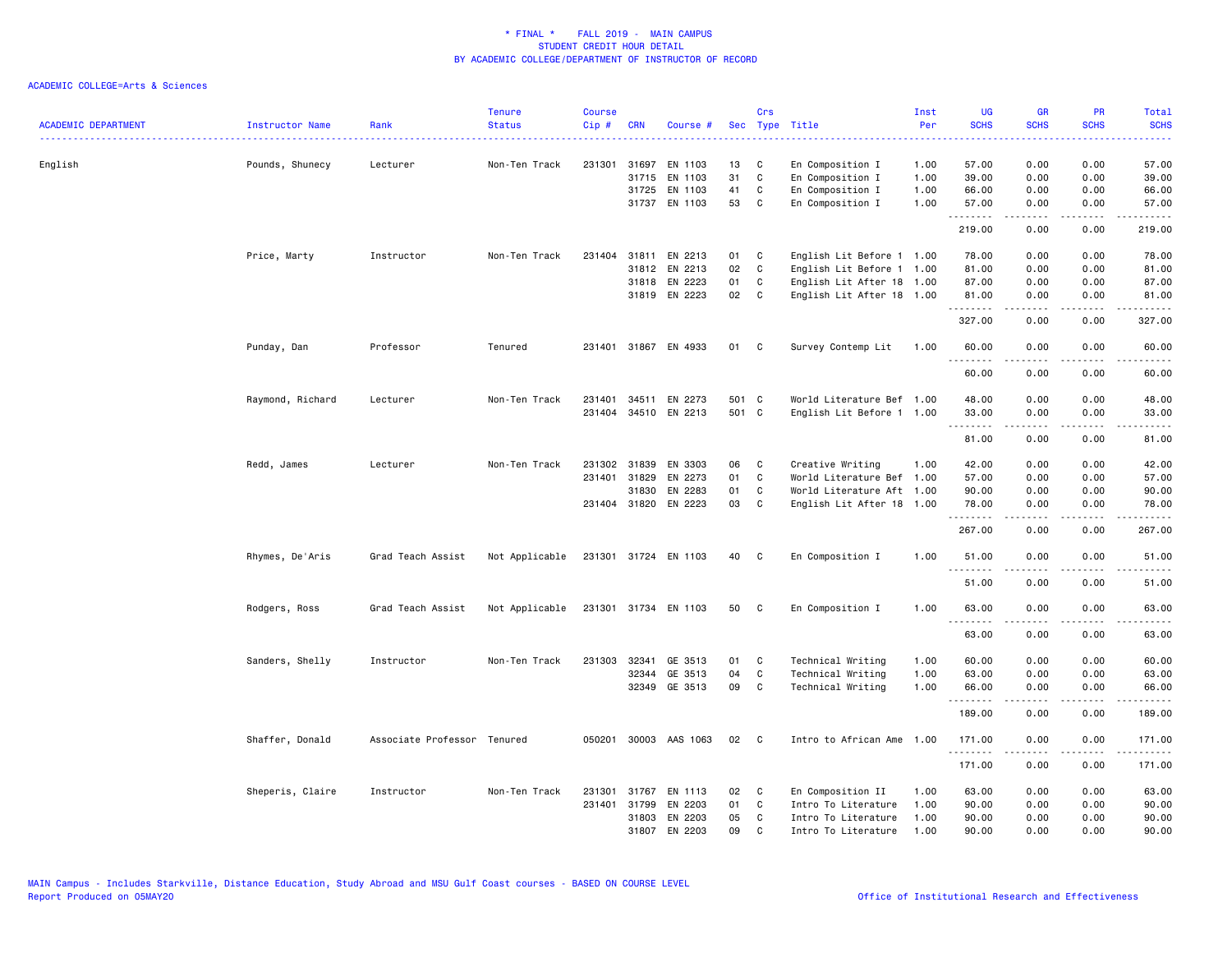| <b>ACADEMIC DEPARTMENT</b> | Instructor Name  | Rank                        | <b>Tenure</b><br><b>Status</b> | <b>Course</b><br>Cip# | <b>CRN</b>   | Course #              |       | Crs          | Sec Type Title            | Inst<br>Per | UG<br><b>SCHS</b> | GR<br><b>SCHS</b> | PR<br><b>SCHS</b>               | Total<br><b>SCHS</b>   |
|----------------------------|------------------|-----------------------------|--------------------------------|-----------------------|--------------|-----------------------|-------|--------------|---------------------------|-------------|-------------------|-------------------|---------------------------------|------------------------|
|                            | .                |                             |                                |                       |              |                       |       |              |                           |             |                   |                   |                                 |                        |
| English                    | Pounds, Shunecy  | Lecturer                    | Non-Ten Track                  |                       | 231301 31697 | EN 1103               | 13    | C            | En Composition I          | 1.00        | 57.00             | 0.00              | 0.00                            | 57.00                  |
|                            |                  |                             |                                |                       | 31715        | EN 1103               | 31    | C            | En Composition I          | 1.00        | 39.00             | 0.00              | 0.00                            | 39.00                  |
|                            |                  |                             |                                |                       | 31725        | EN 1103               | 41    | C            | En Composition I          | 1.00        | 66.00             | 0.00              | 0.00                            | 66.00                  |
|                            |                  |                             |                                |                       |              | 31737 EN 1103         | 53    | C            | En Composition I          | 1.00        | 57.00<br>.        | 0.00<br>.         | 0.00<br>د د د د                 | 57.00<br>.             |
|                            |                  |                             |                                |                       |              |                       |       |              |                           |             | 219.00            | 0.00              | 0.00                            | 219.00                 |
|                            | Price, Marty     | Instructor                  | Non-Ten Track                  |                       |              | 231404 31811 EN 2213  | 01 C  |              | English Lit Before 1 1.00 |             | 78.00             | 0.00              | 0.00                            | 78.00                  |
|                            |                  |                             |                                |                       | 31812        | EN 2213               | 02    | C            | English Lit Before 1 1.00 |             | 81.00             | 0.00              | 0.00                            | 81.00                  |
|                            |                  |                             |                                |                       | 31818        | EN 2223               | 01    | C            | English Lit After 18 1.00 |             | 87.00             | 0.00              | 0.00                            | 87.00                  |
|                            |                  |                             |                                |                       |              | 31819 EN 2223         | 02    | C            | English Lit After 18 1.00 |             | 81.00<br>.        | 0.00<br>.         | 0.00<br>.                       | 81.00<br>.             |
|                            |                  |                             |                                |                       |              |                       |       |              |                           |             | 327.00            | 0.00              | 0.00                            | 327.00                 |
|                            | Punday, Dan      | Professor                   | Tenured                        |                       |              | 231401 31867 EN 4933  | 01 C  |              | Survey Contemp Lit        | 1.00        | 60.00<br>.        | 0.00              | 0.00                            | 60.00                  |
|                            |                  |                             |                                |                       |              |                       |       |              |                           |             | 60.00             | 0.00              | 0.00                            | 60.00                  |
|                            | Raymond, Richard | Lecturer                    | Non-Ten Track                  | 231401                |              | 34511 EN 2273         | 501 C |              | World Literature Bef 1.00 |             | 48.00             | 0.00              | 0.00                            | 48.00                  |
|                            |                  |                             |                                |                       |              | 231404 34510 EN 2213  | 501 C |              | English Lit Before 1 1.00 |             | 33.00             | 0.00              | 0.00                            | 33.00                  |
|                            |                  |                             |                                |                       |              |                       |       |              |                           |             | 81.00             | .<br>0.00         | .<br>0.00                       | .<br>81.00             |
|                            | Redd, James      | Lecturer                    | Non-Ten Track                  |                       | 231302 31839 | EN 3303               | 06    | C            | Creative Writing          | 1.00        | 42.00             | 0.00              | 0.00                            | 42.00                  |
|                            |                  |                             |                                |                       | 231401 31829 | EN 2273               | 01    | C            | World Literature Bef 1.00 |             | 57.00             | 0.00              | 0.00                            | 57.00                  |
|                            |                  |                             |                                |                       | 31830        | EN 2283               | 01    | C            | World Literature Aft 1.00 |             | 90.00             | 0.00              | 0.00                            | 90.00                  |
|                            |                  |                             |                                |                       |              | 231404 31820 EN 2223  | 03    | $\mathbf{C}$ | English Lit After 18 1.00 |             | 78.00             | 0.00              | 0.00                            | 78.00                  |
|                            |                  |                             |                                |                       |              |                       |       |              |                           |             | .<br>267.00       | 0.00              | $\frac{1}{2}$<br>0.00           | .<br>267.00            |
|                            | Rhymes, De'Aris  | Grad Teach Assist           | Not Applicable                 |                       |              | 231301 31724 EN 1103  | 40    | $\mathbf{C}$ | En Composition I          | 1.00        | 51.00<br>.        | 0.00<br>.         | 0.00<br>$  -$                   | 51.00<br>$\frac{1}{2}$ |
|                            |                  |                             |                                |                       |              |                       |       |              |                           |             | 51.00             | 0.00              | 0.00                            | 51.00                  |
|                            | Rodgers, Ross    | Grad Teach Assist           | Not Applicable                 |                       |              | 231301 31734 EN 1103  | 50    | C            | En Composition I          | 1.00        | 63.00<br>.        | 0.00<br>.         | 0.00<br>د د د د                 | 63.00<br>.             |
|                            |                  |                             |                                |                       |              |                       |       |              |                           |             | 63.00             | 0.00              | 0.00                            | 63.00                  |
|                            | Sanders, Shelly  | Instructor                  | Non-Ten Track                  | 231303                | 32341        | GE 3513               | 01    | C            | Technical Writing         | 1.00        | 60.00             | 0.00              | 0.00                            | 60.00                  |
|                            |                  |                             |                                |                       | 32344        | GE 3513               | 04    | C            | Technical Writing         | 1.00        | 63.00             | 0.00              | 0.00                            | 63.00                  |
|                            |                  |                             |                                |                       | 32349        | GE 3513               | 09    | C            | Technical Writing         | 1.00        | 66.00             | 0.00              | 0.00                            | 66.00                  |
|                            |                  |                             |                                |                       |              |                       |       |              |                           |             | .<br>189.00       | .<br>0.00         | $\omega$ is $\omega$ in<br>0.00 | .<br>189.00            |
|                            | Shaffer, Donald  | Associate Professor Tenured |                                |                       |              | 050201 30003 AAS 1063 | 02    | $\mathbf{C}$ | Intro to African Ame      | 1.00        | 171.00            | 0.00              | 0.00                            | 171.00                 |
|                            |                  |                             |                                |                       |              |                       |       |              |                           |             | .<br>171.00       | 0.00              | 0.00                            | . <b>.</b> .<br>171.00 |
|                            | Sheperis, Claire | Instructor                  | Non-Ten Track                  | 231301                | 31767        | EN 1113               | 02    | C            | En Composition II         | 1.00        | 63.00             | 0.00              | 0.00                            | 63.00                  |
|                            |                  |                             |                                |                       | 231401 31799 | EN 2203               | 01    | C            | Intro To Literature       | 1.00        | 90.00             | 0.00              | 0.00                            | 90.00                  |
|                            |                  |                             |                                |                       | 31803        | EN 2203               | 05    | C            | Intro To Literature       | 1.00        | 90.00             | 0.00              | 0.00                            | 90.00                  |
|                            |                  |                             |                                |                       | 31807        | EN 2203               | 09    | C.           | Intro To Literature       | 1.00        | 90.00             | 0.00              | 0.00                            | 90.00                  |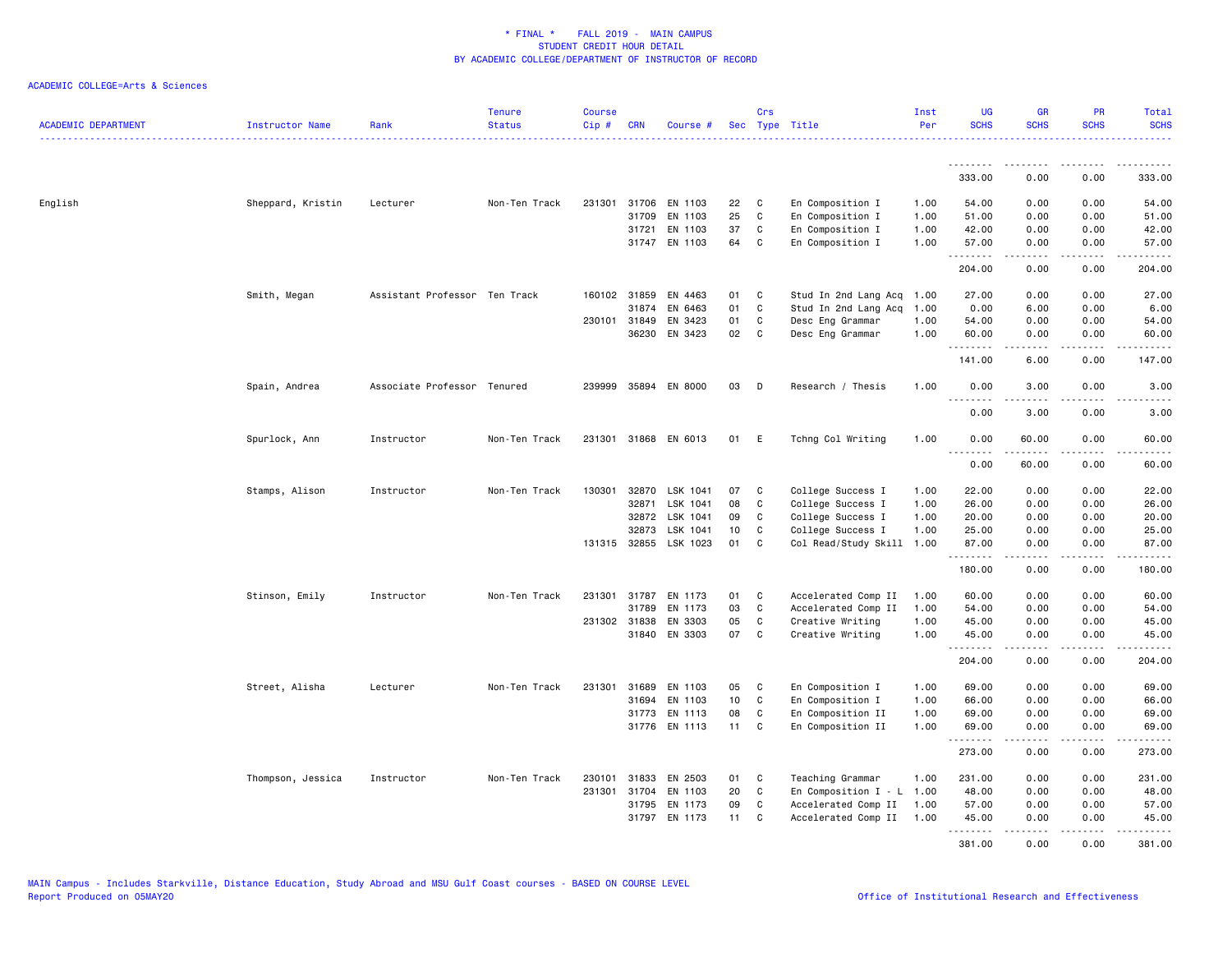| <b>ACADEMIC DEPARTMENT</b> | Instructor Name   | Rank                          | <b>Tenure</b><br><b>Status</b> | <b>Course</b><br>Cip# | <b>CRN</b>   | Course #             |    | Crs          | Sec Type Title            | Inst<br>Per | <b>UG</b><br><b>SCHS</b> | GR<br><b>SCHS</b>    | PR<br><b>SCHS</b>                   | Total<br><b>SCHS</b>  |
|----------------------------|-------------------|-------------------------------|--------------------------------|-----------------------|--------------|----------------------|----|--------------|---------------------------|-------------|--------------------------|----------------------|-------------------------------------|-----------------------|
|                            |                   |                               |                                |                       |              |                      |    |              |                           |             | .                        | -----                |                                     |                       |
|                            |                   |                               |                                |                       |              |                      |    |              |                           |             | 333.00                   | 0.00                 | 0.00                                | 333.00                |
| English                    | Sheppard, Kristin | Lecturer                      | Non-Ten Track                  | 231301                |              | 31706 EN 1103        | 22 | C            | En Composition I          | 1.00        | 54.00                    | 0.00                 | 0.00                                | 54.00                 |
|                            |                   |                               |                                |                       | 31709        | EN 1103              | 25 | $\mathbb C$  | En Composition I          | 1.00        | 51.00                    | 0.00                 | 0.00                                | 51.00                 |
|                            |                   |                               |                                |                       | 31721        | EN 1103              | 37 | C            | En Composition I          | 1.00        | 42.00                    | 0.00                 | 0.00                                | 42.00                 |
|                            |                   |                               |                                |                       |              | 31747 EN 1103        | 64 | C            | En Composition I          | 1.00        | 57.00<br>.               | 0.00                 | 0.00                                | 57.00<br>.            |
|                            |                   |                               |                                |                       |              |                      |    |              |                           |             | 204.00                   | 0.00                 | 0.00                                | 204.00                |
|                            | Smith, Megan      | Assistant Professor Ten Track |                                |                       | 160102 31859 | EN 4463              | 01 | C            | Stud In 2nd Lang Acq 1.00 |             | 27.00                    | 0.00                 | 0.00                                | 27.00                 |
|                            |                   |                               |                                |                       | 31874        | EN 6463              | 01 | $\mathbf c$  | Stud In 2nd Lang Acq      | 1.00        | 0.00                     | 6.00                 | 0.00                                | 6.00                  |
|                            |                   |                               |                                |                       | 230101 31849 | EN 3423              | 01 | $\mathbf{C}$ | Desc Eng Grammar          | 1.00        | 54.00                    | 0.00                 | 0.00                                | 54.00                 |
|                            |                   |                               |                                |                       | 36230        | EN 3423              | 02 | $\mathbf c$  | Desc Eng Grammar          | 1.00        | 60.00<br>.               | 0.00<br>.            | 0.00<br>$\frac{1}{2}$               | 60.00<br>.            |
|                            |                   |                               |                                |                       |              |                      |    |              |                           |             | 141.00                   | 6.00                 | 0.00                                | 147.00                |
|                            | Spain, Andrea     | Associate Professor Tenured   |                                | 239999                |              | 35894 EN 8000        | 03 | D            | Research / Thesis         | 1.00        | 0.00<br>.                | 3.00<br>.            | 0.00<br>.                           | 3.00<br>$\frac{1}{2}$ |
|                            |                   |                               |                                |                       |              |                      |    |              |                           |             | 0.00                     | 3.00                 | 0.00                                | 3.00                  |
|                            | Spurlock, Ann     | Instructor                    | Non-Ten Track                  | 231301                |              | 31868 EN 6013        | 01 | E            | Tchng Col Writing         | 1.00        | 0.00<br><u>.</u>         | 60.00<br>$- - - - -$ | 0.00<br>$\frac{1}{2}$               | 60.00<br>.            |
|                            |                   |                               |                                |                       |              |                      |    |              |                           |             | 0.00                     | 60.00                | 0.00                                | 60.00                 |
|                            | Stamps, Alison    | Instructor                    | Non-Ten Track                  | 130301                | 32870        | LSK 1041             | 07 | C            | College Success I         | 1.00        | 22.00                    | 0.00                 | 0.00                                | 22.00                 |
|                            |                   |                               |                                |                       | 32871        | LSK 1041             | 08 | $\mathtt{C}$ | College Success I         | 1.00        | 26.00                    | 0.00                 | 0.00                                | 26.00                 |
|                            |                   |                               |                                |                       | 32872        | LSK 1041             | 09 | C            | College Success I         | 1.00        | 20.00                    | 0.00                 | 0.00                                | 20.00                 |
|                            |                   |                               |                                |                       | 32873        | LSK 1041             | 10 | C            | College Success I         | 1.00        | 25.00                    | 0.00                 | 0.00                                | 25.00                 |
|                            |                   |                               |                                |                       | 131315 32855 | LSK 1023             | 01 | C            | Col Read/Study Skill 1.00 |             | 87.00                    | 0.00<br>.            | 0.00<br>.                           | 87.00<br>.            |
|                            |                   |                               |                                |                       |              |                      |    |              |                           |             | 180.00                   | 0.00                 | 0.00                                | 180.00                |
|                            | Stinson, Emily    | Instructor                    | Non-Ten Track                  |                       |              | 231301 31787 EN 1173 | 01 | $\mathbf{C}$ | Accelerated Comp II       | 1.00        | 60.00                    | 0.00                 | 0.00                                | 60.00                 |
|                            |                   |                               |                                |                       | 31789        | EN 1173              | 03 | C            | Accelerated Comp II       | 1.00        | 54.00                    | 0.00                 | 0.00                                | 54.00                 |
|                            |                   |                               |                                |                       | 231302 31838 | EN 3303              | 05 | $\mathbf c$  | Creative Writing          | 1.00        | 45.00                    | 0.00                 | 0.00                                | 45.00                 |
|                            |                   |                               |                                |                       |              | 31840 EN 3303        | 07 | $\mathbf{C}$ | Creative Writing          | 1.00        | 45.00<br>.               | 0.00                 | 0.00<br>$\sim$ $\sim$ $\sim$ $\sim$ | 45.00                 |
|                            |                   |                               |                                |                       |              |                      |    |              |                           |             | 204.00                   | 0.00                 | 0.00                                | 204.00                |
|                            | Street, Alisha    | Lecturer                      | Non-Ten Track                  | 231301                | 31689        | EN 1103              | 05 | C            | En Composition I          | 1.00        | 69.00                    | 0.00                 | 0.00                                | 69.00                 |
|                            |                   |                               |                                |                       | 31694        | EN 1103              | 10 | C            | En Composition I          | 1.00        | 66.00                    | 0.00                 | 0.00                                | 66.00                 |
|                            |                   |                               |                                |                       |              | 31773 EN 1113        | 08 | C            | En Composition II         | 1.00        | 69.00                    | 0.00                 | 0.00                                | 69.00                 |
|                            |                   |                               |                                |                       |              | 31776 EN 1113        | 11 | C            | En Composition II         | 1.00        | 69.00<br><u>.</u>        | 0.00<br>$- - - - -$  | 0.00<br>.                           | 69.00<br>.            |
|                            |                   |                               |                                |                       |              |                      |    |              |                           |             | 273.00                   | 0.00                 | 0.00                                | 273.00                |
|                            | Thompson, Jessica | Instructor                    | Non-Ten Track                  | 230101                | 31833        | EN 2503              | 01 | C            | Teaching Grammar          | 1.00        | 231.00                   | 0.00                 | 0.00                                | 231.00                |
|                            |                   |                               |                                | 231301                | 31704        | EN 1103              | 20 | C            | En Composition $I - L$    | 1.00        | 48.00                    | 0.00                 | 0.00                                | 48.00                 |
|                            |                   |                               |                                |                       | 31795        | EN 1173              | 09 | C            | Accelerated Comp II       | 1.00        | 57.00                    | 0.00                 | 0.00                                | 57.00                 |
|                            |                   |                               |                                |                       | 31797        | EN 1173              | 11 | C            | Accelerated Comp II       | 1.00        | 45.00<br><u>.</u>        | 0.00<br>.            | 0.00<br>.                           | 45.00<br>.            |
|                            |                   |                               |                                |                       |              |                      |    |              |                           |             | 381.00                   | 0.00                 | 0.00                                | 381.00                |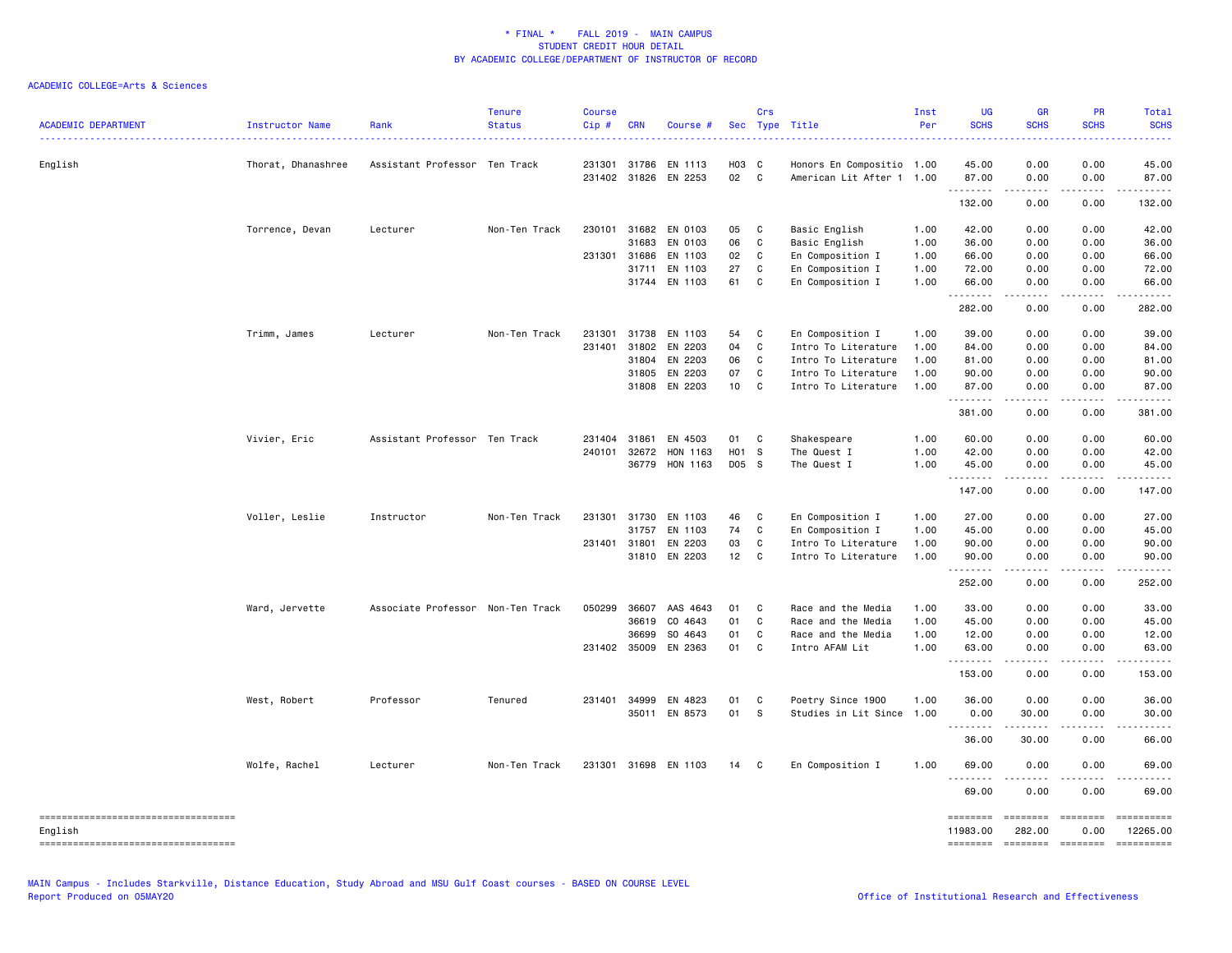| <b>ACADEMIC DEPARTMENT</b>                    | Instructor Name    | Rank                              | Tenure<br><b>Status</b> | <b>Course</b><br>Cip# | <b>CRN</b>   | Course #             |       | Crs          | Sec Type Title            | Inst<br>Per | <b>UG</b><br><b>SCHS</b> | <b>GR</b><br><b>SCHS</b> | <b>PR</b><br><b>SCHS</b> | Total<br><b>SCHS</b>   |
|-----------------------------------------------|--------------------|-----------------------------------|-------------------------|-----------------------|--------------|----------------------|-------|--------------|---------------------------|-------------|--------------------------|--------------------------|--------------------------|------------------------|
| English                                       | Thorat, Dhanashree | Assistant Professor Ten Track     |                         |                       | 231301 31786 | EN 1113              | H03 C |              | Honors En Compositio 1.00 |             | 45.00                    | 0.00                     | 0.00                     | 45.00                  |
|                                               |                    |                                   |                         |                       |              | 231402 31826 EN 2253 | 02 C  |              | American Lit After 1 1.00 |             | 87.00<br>.               | 0.00<br>$- - - - -$      | 0.00<br>.                | 87.00<br>.             |
|                                               |                    |                                   |                         |                       |              |                      |       |              |                           |             | 132.00                   | 0.00                     | 0.00                     | 132.00                 |
|                                               | Torrence, Devan    | Lecturer                          | Non-Ten Track           | 230101                | 31682        | EN 0103              | 05    | $\mathbf{C}$ | Basic English             | 1.00        | 42.00                    | 0.00                     | 0.00                     | 42.00                  |
|                                               |                    |                                   |                         |                       | 31683        | EN 0103              | 06    | C            | Basic English             | 1.00        | 36.00                    | 0.00                     | 0.00                     | 36.00                  |
|                                               |                    |                                   |                         |                       | 231301 31686 | EN 1103              | 02    | C            | En Composition I          | 1.00        | 66.00                    | 0.00                     | 0.00                     | 66.00                  |
|                                               |                    |                                   |                         |                       | 31711        | EN 1103              | 27    | C            | En Composition I          | 1.00        | 72.00                    | 0.00                     | 0.00                     | 72.00                  |
|                                               |                    |                                   |                         |                       | 31744        | EN 1103              | 61    | C.           | En Composition I          | 1.00        | 66.00<br>.               | 0.00                     | 0.00                     | 66.00                  |
|                                               |                    |                                   |                         |                       |              |                      |       |              |                           |             | 282.00                   | 0.00                     | 0.00                     | 282.00                 |
|                                               | Trimm, James       | Lecturer                          | Non-Ten Track           | 231301                | 31738        | EN 1103              | 54    | C            | En Composition I          | 1.00        | 39.00                    | 0.00                     | 0.00                     | 39.00                  |
|                                               |                    |                                   |                         | 231401                | 31802        | EN 2203              | 04    | C            | Intro To Literature       | 1.00        | 84.00                    | 0.00                     | 0.00                     | 84.00                  |
|                                               |                    |                                   |                         |                       | 31804        | EN 2203              | 06    | $\mathbf{C}$ | Intro To Literature       | 1.00        | 81.00                    | 0.00                     | 0.00                     | 81.00                  |
|                                               |                    |                                   |                         |                       | 31805        | EN 2203              | 07    | C            | Intro To Literature       | 1.00        | 90.00                    | 0.00                     | 0.00                     | 90.00                  |
|                                               |                    |                                   |                         |                       | 31808        | EN 2203              | 10    | C            | Intro To Literature       | 1.00        | 87.00<br>.               | 0.00                     | 0.00                     | 87.00                  |
|                                               |                    |                                   |                         |                       |              |                      |       |              |                           |             | 381.00                   | 0.00                     | 0.00                     | 381.00                 |
|                                               | Vivier, Eric       | Assistant Professor Ten Track     |                         |                       | 231404 31861 | EN 4503              | 01 C  |              | Shakespeare               | 1.00        | 60.00                    | 0.00                     | 0.00                     | 60.00                  |
|                                               |                    |                                   |                         | 240101                | 32672        | HON 1163             | H01 S |              | The Quest I               | 1.00        | 42.00                    | 0.00                     | 0.00                     | 42.00                  |
|                                               |                    |                                   |                         |                       | 36779        | HON 1163             | D05 S |              | The Quest I               | 1.00        | 45.00<br>.               | 0.00                     | 0.00                     | 45.00<br>.             |
|                                               |                    |                                   |                         |                       |              |                      |       |              |                           |             | 147.00                   | 0.00                     | 0.00                     | 147.00                 |
|                                               | Voller, Leslie     | Instructor                        | Non-Ten Track           |                       | 231301 31730 | EN 1103              | 46    | C            | En Composition I          | 1.00        | 27.00                    | 0.00                     | 0.00                     | 27.00                  |
|                                               |                    |                                   |                         |                       | 31757        | EN 1103              | 74    | C            | En Composition I          | 1.00        | 45.00                    | 0.00                     | 0.00                     | 45.00                  |
|                                               |                    |                                   |                         | 231401                | 31801        | EN 2203              | 03    | C            | Intro To Literature       | 1.00        | 90.00                    | 0.00                     | 0.00                     | 90.00                  |
|                                               |                    |                                   |                         |                       | 31810        | EN 2203              | 12    | $\mathbf{C}$ | Intro To Literature       | 1.00        | 90.00<br>.               | 0.00<br>.                | 0.00<br>.                | 90.00<br>.             |
|                                               |                    |                                   |                         |                       |              |                      |       |              |                           |             | 252.00                   | 0.00                     | 0.00                     | 252.00                 |
|                                               | Ward, Jervette     | Associate Professor Non-Ten Track |                         | 050299                | 36607        | AAS 4643             | 01    | C            | Race and the Media        | 1.00        | 33.00                    | 0.00                     | 0.00                     | 33.00                  |
|                                               |                    |                                   |                         |                       | 36619        | CO 4643              | 01    | C            | Race and the Media        | 1.00        | 45.00                    | 0.00                     | 0.00                     | 45.00                  |
|                                               |                    |                                   |                         |                       | 36699        | SO 4643              | 01    | C            | Race and the Media        | 1.00        | 12.00                    | 0.00                     | 0.00                     | 12.00                  |
|                                               |                    |                                   |                         |                       | 231402 35009 | EN 2363              | 01    | <b>C</b>     | Intro AFAM Lit            | 1.00        | 63.00<br><u>.</u>        | 0.00                     | 0.00                     | 63.00                  |
|                                               |                    |                                   |                         |                       |              |                      |       |              |                           |             | 153.00                   | 0.00                     | 0.00                     | 153.00                 |
|                                               | West, Robert       | Professor                         | Tenured                 |                       | 231401 34999 | EN 4823              | 01    | $\mathbf{C}$ | Poetry Since 1900         | 1.00        | 36.00                    | 0.00                     | 0.00                     | 36.00                  |
|                                               |                    |                                   |                         |                       |              | 35011 EN 8573        | 01    | <b>S</b>     | Studies in Lit Since      | 1.00        | 0.00<br>. <b>.</b>       | 30.00                    | 0.00<br>د د د د          | 30.00<br>.             |
|                                               |                    |                                   |                         |                       |              |                      |       |              |                           |             | 36.00                    | 30.00                    | 0.00                     | 66.00                  |
|                                               | Wolfe, Rachel      | Lecturer                          | Non-Ten Track           |                       |              | 231301 31698 EN 1103 | 14 C  |              | En Composition I          | 1.00        | 69.00<br><u>.</u>        | 0.00                     | 0.00                     | 69.00                  |
|                                               |                    |                                   |                         |                       |              |                      |       |              |                           |             | 69.00                    | 0.00                     | 0.00                     | 69.00                  |
| ----------------------------------<br>English |                    |                                   |                         |                       |              |                      |       |              |                           |             | ========<br>11983.00     | 282.00                   | 0.00                     | ==========<br>12265.00 |
| -----------------------------------           |                    |                                   |                         |                       |              |                      |       |              |                           |             | ========                 | --------- --------       |                          |                        |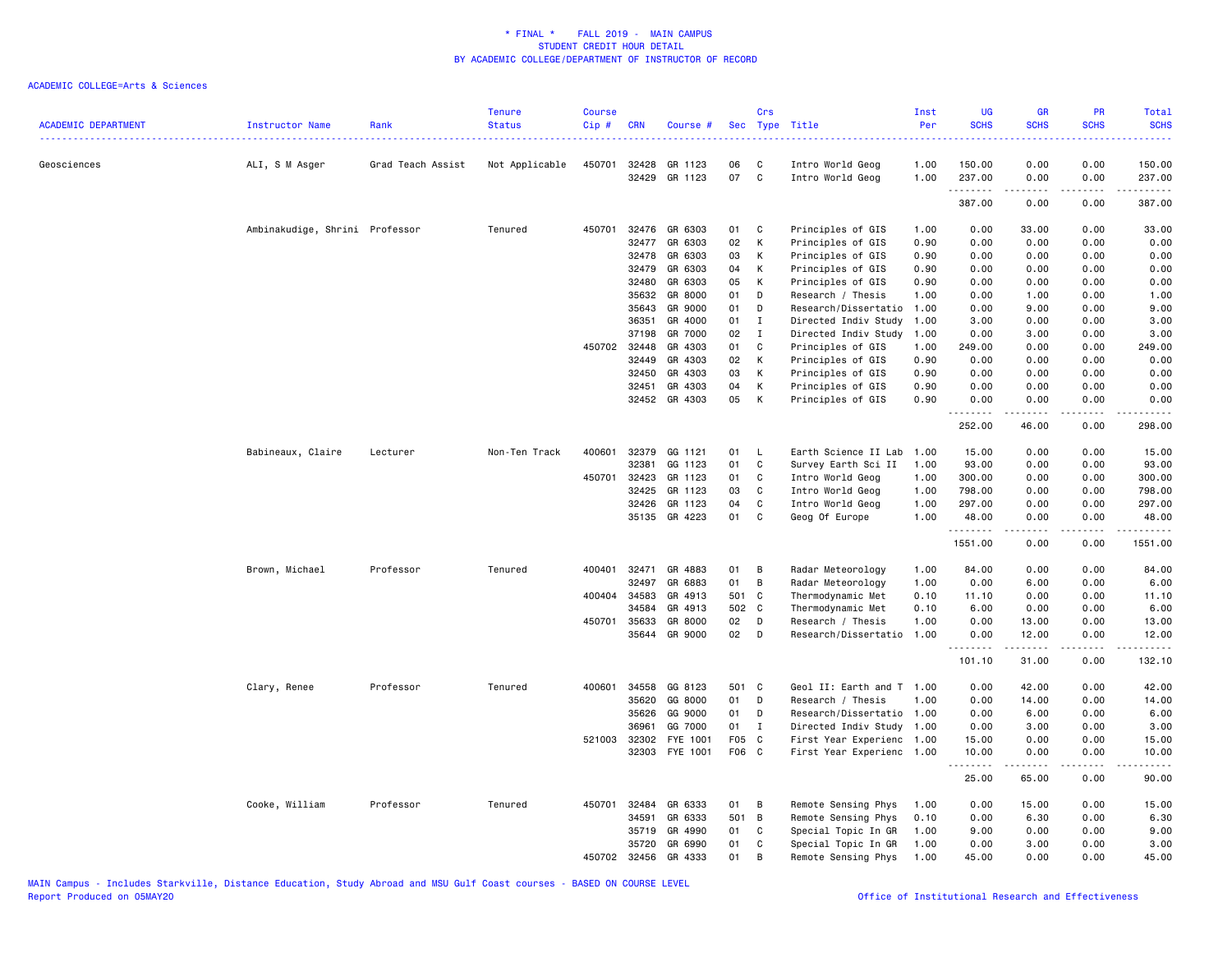| <b>ACADEMIC DEPARTMENT</b> | Instructor Name                | Rank              | <b>Tenure</b><br><b>Status</b> | <b>Course</b><br>Cip # | <b>CRN</b>   | Course #      | <b>Sec</b> | Crs          | Type Title                | Inst<br>Per<br>المتمام المالية | UG<br><b>SCHS</b>                     | <b>GR</b><br><b>SCHS</b>                                                                                                                                      | PR<br><b>SCHS</b> | Total<br><b>SCHS</b><br>$\frac{1}{2} \left( \frac{1}{2} \right) \left( \frac{1}{2} \right) \left( \frac{1}{2} \right) \left( \frac{1}{2} \right)$ |
|----------------------------|--------------------------------|-------------------|--------------------------------|------------------------|--------------|---------------|------------|--------------|---------------------------|--------------------------------|---------------------------------------|---------------------------------------------------------------------------------------------------------------------------------------------------------------|-------------------|---------------------------------------------------------------------------------------------------------------------------------------------------|
| Geosciences                | ALI, S M Asger                 | Grad Teach Assist | Not Applicable                 |                        | 450701 32428 | GR 1123       | 06         | C            | Intro World Geog          | 1.00                           | 150.00                                | 0.00                                                                                                                                                          | 0.00              | 150.00                                                                                                                                            |
|                            |                                |                   |                                |                        | 32429        | GR 1123       | 07         | $\mathbf{C}$ | Intro World Geog          | 1.00                           | 237.00                                | 0.00                                                                                                                                                          | 0.00              | 237.00                                                                                                                                            |
|                            |                                |                   |                                |                        |              |               |            |              |                           |                                | .<br>387.00                           | .<br>0.00                                                                                                                                                     | $- - - -$<br>0.00 | $\begin{array}{cccccccccc} \bullet & \bullet & \bullet & \bullet & \bullet & \bullet & \bullet & \bullet \end{array}$<br>387.00                   |
|                            | Ambinakudige, Shrini Professor |                   | Tenured                        | 450701                 | 32476        | GR 6303       | 01         | $\mathbf{C}$ | Principles of GIS         | 1.00                           | 0.00                                  | 33.00                                                                                                                                                         | 0.00              | 33.00                                                                                                                                             |
|                            |                                |                   |                                |                        | 32477        | GR 6303       | 02         | K            | Principles of GIS         | 0.90                           | 0.00                                  | 0.00                                                                                                                                                          | 0.00              | 0.00                                                                                                                                              |
|                            |                                |                   |                                |                        | 32478        | GR 6303       | 03         | К            | Principles of GIS         | 0.90                           | 0.00                                  | 0.00                                                                                                                                                          | 0.00              | 0.00                                                                                                                                              |
|                            |                                |                   |                                |                        | 32479        | GR 6303       | 04         | К            | Principles of GIS         | 0.90                           | 0.00                                  | 0.00                                                                                                                                                          | 0.00              | 0.00                                                                                                                                              |
|                            |                                |                   |                                |                        | 32480        | GR 6303       | 05         | К            | Principles of GIS         | 0.90                           | 0.00                                  | 0.00                                                                                                                                                          | 0.00              | 0.00                                                                                                                                              |
|                            |                                |                   |                                |                        | 35632        | GR 8000       | 01         | D            | Research / Thesis         | 1.00                           | 0.00                                  | 1.00                                                                                                                                                          | 0.00              | 1.00                                                                                                                                              |
|                            |                                |                   |                                |                        | 35643        | GR 9000       | 01         | D            | Research/Dissertatio      | 1.00                           | 0.00                                  | 9.00                                                                                                                                                          | 0.00              | 9.00                                                                                                                                              |
|                            |                                |                   |                                |                        | 36351        | GR 4000       | 01         | I            | Directed Indiv Study      | 1.00                           | 3.00                                  | 0.00                                                                                                                                                          | 0.00              | 3.00                                                                                                                                              |
|                            |                                |                   |                                |                        | 37198        | GR 7000       | 02         | $\mathbf{I}$ | Directed Indiv Study      | 1.00                           | 0.00                                  | 3.00                                                                                                                                                          | 0.00              | 3.00                                                                                                                                              |
|                            |                                |                   |                                | 450702                 | 32448        | GR 4303       | 01         | C.           | Principles of GIS         | 1.00                           | 249.00                                | 0.00                                                                                                                                                          | 0.00              | 249.00                                                                                                                                            |
|                            |                                |                   |                                |                        | 32449        | GR 4303       | 02         | К            | Principles of GIS         | 0.90                           | 0.00                                  | 0.00                                                                                                                                                          | 0.00              | 0.00                                                                                                                                              |
|                            |                                |                   |                                |                        | 32450        | GR 4303       | 03         | K            | Principles of GIS         | 0.90                           | 0.00                                  | 0.00                                                                                                                                                          | 0.00              | 0.00                                                                                                                                              |
|                            |                                |                   |                                |                        | 32451        | GR 4303       | 04         | K            | Principles of GIS         | 0.90                           | 0.00                                  | 0.00                                                                                                                                                          | 0.00              | 0.00                                                                                                                                              |
|                            |                                |                   |                                |                        |              | 32452 GR 4303 | 05         | K            | Principles of GIS         | 0.90                           | 0.00                                  | 0.00                                                                                                                                                          | 0.00<br>.         | 0.00<br>.                                                                                                                                         |
|                            |                                |                   |                                |                        |              |               |            |              |                           |                                | <u>.</u><br>252.00                    | $- - - - -$<br>46.00                                                                                                                                          | 0.00              | 298.00                                                                                                                                            |
|                            | Babineaux, Claire              | Lecturer          | Non-Ten Track                  | 400601                 | 32379        | GG 1121       | 01         | - L          | Earth Science II Lab      | 1.00                           | 15.00                                 | 0.00                                                                                                                                                          | 0.00              | 15.00                                                                                                                                             |
|                            |                                |                   |                                |                        | 32381        | GG 1123       | 01         | C            | Survey Earth Sci II       | 1.00                           | 93.00                                 | 0.00                                                                                                                                                          | 0.00              | 93.00                                                                                                                                             |
|                            |                                |                   |                                | 450701                 | 32423        | GR 1123       | 01         | C            | Intro World Geog          | 1.00                           | 300.00                                | 0.00                                                                                                                                                          | 0.00              | 300.00                                                                                                                                            |
|                            |                                |                   |                                |                        | 32425        | GR 1123       | 03         | C            | Intro World Geog          | 1.00                           | 798.00                                | 0.00                                                                                                                                                          | 0.00              | 798.00                                                                                                                                            |
|                            |                                |                   |                                |                        | 32426        | GR 1123       | 04         | C            | Intro World Geog          | 1.00                           | 297.00                                | 0.00                                                                                                                                                          | 0.00              | 297.00                                                                                                                                            |
|                            |                                |                   |                                |                        | 35135        | GR 4223       | 01         | C            | Geog Of Europe            | 1.00                           | 48.00                                 | 0.00                                                                                                                                                          | 0.00              | 48.00                                                                                                                                             |
|                            |                                |                   |                                |                        |              |               |            |              |                           |                                | <u>.</u><br>1551.00                   | .<br>0.00                                                                                                                                                     | $- - - -$<br>0.00 | <u>.</u><br>1551.00                                                                                                                               |
|                            | Brown, Michael                 | Professor         | Tenured                        | 400401                 | 32471        | GR 4883       | 01         | B            | Radar Meteorology         | 1.00                           | 84.00                                 | 0.00                                                                                                                                                          | 0.00              | 84.00                                                                                                                                             |
|                            |                                |                   |                                |                        | 32497        | GR 6883       | 01         | B            | Radar Meteorology         | 1.00                           | 0.00                                  | 6.00                                                                                                                                                          | 0.00              | 6.00                                                                                                                                              |
|                            |                                |                   |                                |                        | 400404 34583 | GR 4913       | 501 C      |              | Thermodynamic Met         | 0.10                           | 11.10                                 | 0.00                                                                                                                                                          | 0.00              | 11.10                                                                                                                                             |
|                            |                                |                   |                                |                        | 34584        | GR 4913       | 502 C      |              | Thermodynamic Met         | 0.10                           | 6.00                                  | 0.00                                                                                                                                                          | 0.00              | 6.00                                                                                                                                              |
|                            |                                |                   |                                | 450701                 | 35633        | GR 8000       | 02         | $\mathsf{D}$ | Research / Thesis         | 1.00                           | 0.00                                  | 13.00                                                                                                                                                         | 0.00              | 13.00                                                                                                                                             |
|                            |                                |                   |                                |                        |              | 35644 GR 9000 | 02         | $\mathsf{D}$ | Research/Dissertatio      | 1.00                           | 0.00                                  | 12.00                                                                                                                                                         | 0.00              | 12.00                                                                                                                                             |
|                            |                                |                   |                                |                        |              |               |            |              |                           |                                | $\sim$ $\sim$ $\sim$ $\sim$<br>101.10 | $\frac{1}{2} \left( \frac{1}{2} \right) \left( \frac{1}{2} \right) \left( \frac{1}{2} \right) \left( \frac{1}{2} \right) \left( \frac{1}{2} \right)$<br>31.00 | 0.00              | 132.10                                                                                                                                            |
|                            | Clary, Renee                   | Professor         | Tenured                        |                        | 400601 34558 | GG 8123       | 501 C      |              | Geol II: Earth and T 1.00 |                                | 0.00                                  | 42.00                                                                                                                                                         | 0.00              | 42.00                                                                                                                                             |
|                            |                                |                   |                                |                        | 35620        | GG 8000       | 01         | D            | Research / Thesis         | 1.00                           | 0.00                                  | 14.00                                                                                                                                                         | 0.00              | 14.00                                                                                                                                             |
|                            |                                |                   |                                |                        | 35626        | GG 9000       | 01         | D            | Research/Dissertatio 1.00 |                                | 0.00                                  | 6.00                                                                                                                                                          | 0.00              | 6.00                                                                                                                                              |
|                            |                                |                   |                                |                        | 36961        | GG 7000       | 01         | $\mathbf I$  | Directed Indiv Study 1.00 |                                | 0.00                                  | 3.00                                                                                                                                                          | 0.00              | 3.00                                                                                                                                              |
|                            |                                |                   |                                | 521003                 | 32302        | FYE 1001      | F05 C      |              | First Year Experienc 1.00 |                                | 15.00                                 | 0.00                                                                                                                                                          | 0.00              | 15.00                                                                                                                                             |
|                            |                                |                   |                                |                        | 32303        | FYE 1001      | F06 C      |              | First Year Experienc 1.00 |                                | 10.00                                 | 0.00                                                                                                                                                          | 0.00              | 10.00                                                                                                                                             |
|                            |                                |                   |                                |                        |              |               |            |              |                           |                                | <u>.</u><br>25.00                     | 65.00                                                                                                                                                         | 0.00              | 90.00                                                                                                                                             |
|                            |                                |                   |                                |                        |              |               |            |              |                           |                                |                                       |                                                                                                                                                               |                   |                                                                                                                                                   |
|                            | Cooke, William                 | Professor         | Tenured                        | 450701                 | 32484        | GR 6333       | 01         | В            | Remote Sensing Phys       | 1.00                           | 0.00                                  | 15.00                                                                                                                                                         | 0.00              | 15.00                                                                                                                                             |
|                            |                                |                   |                                |                        | 34591        | GR 6333       | 501 B      |              | Remote Sensing Phys       | 0.10                           | 0.00                                  | 6.30                                                                                                                                                          | 0.00              | 6.30                                                                                                                                              |
|                            |                                |                   |                                |                        | 35719        | GR 4990       | 01         | C            | Special Topic In GR       | 1.00                           | 9.00                                  | 0.00                                                                                                                                                          | 0.00              | 9.00                                                                                                                                              |
|                            |                                |                   |                                |                        | 35720        | GR 6990       | 01<br>01   | C            | Special Topic In GR       | 1.00                           | 0.00                                  | 3.00                                                                                                                                                          | 0.00              | 3.00                                                                                                                                              |
|                            |                                |                   |                                | 450702                 | 32456        | GR 4333       |            | B            | Remote Sensing Phys       | 1.00                           | 45.00                                 | 0.00                                                                                                                                                          | 0.00              | 45.00                                                                                                                                             |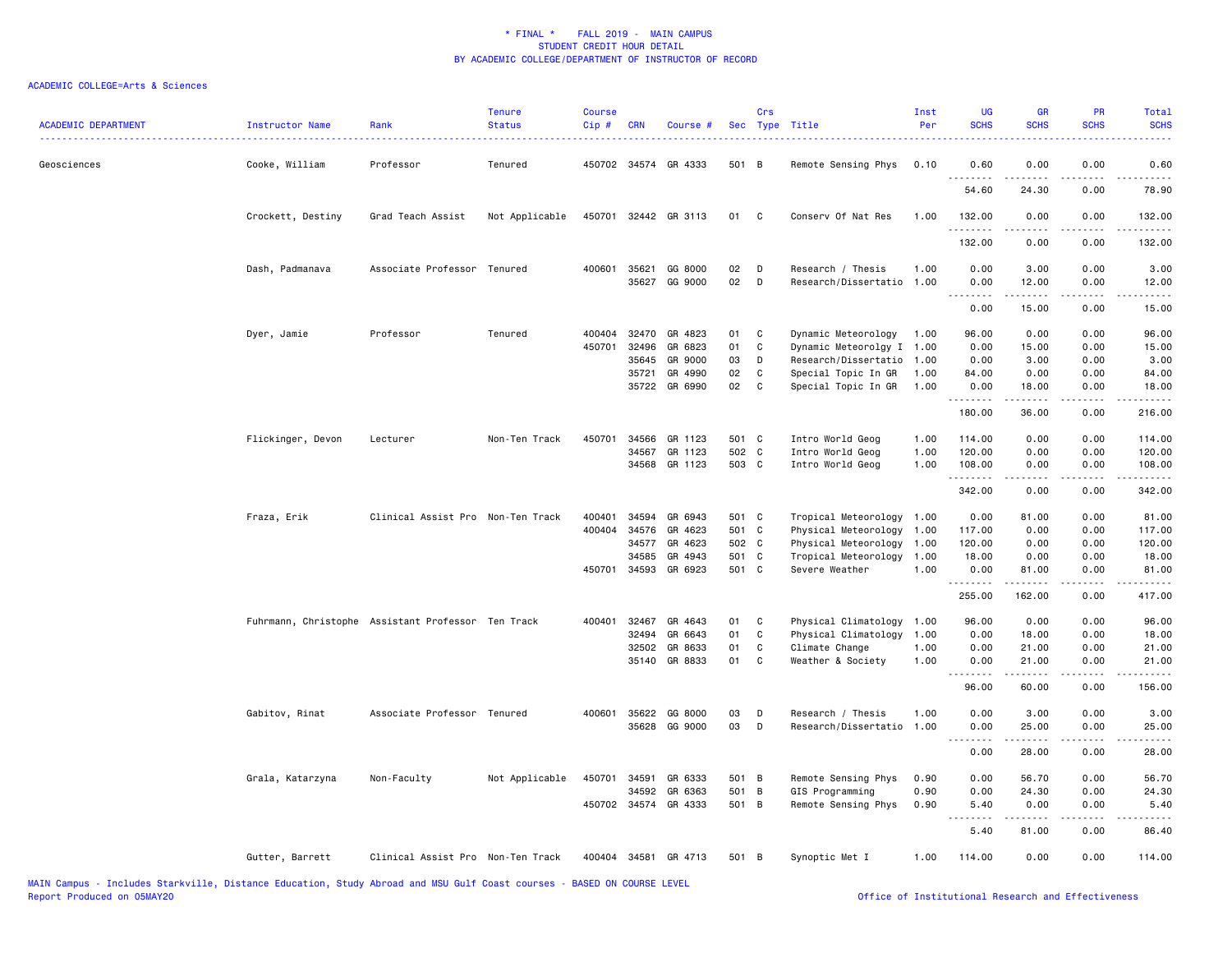| <b>ACADEMIC DEPARTMENT</b> | Instructor Name   | Rank                                               | <b>Tenure</b><br><b>Status</b> | <b>Course</b><br>Cip# | <b>CRN</b> | Course #                 |          | Crs          | Sec Type Title                                 | Inst<br>Per | UG<br><b>SCHS</b> | <b>GR</b><br><b>SCHS</b> | PR<br><b>SCHS</b>                   | Total<br><b>SCHS</b>                                                                                                  |
|----------------------------|-------------------|----------------------------------------------------|--------------------------------|-----------------------|------------|--------------------------|----------|--------------|------------------------------------------------|-------------|-------------------|--------------------------|-------------------------------------|-----------------------------------------------------------------------------------------------------------------------|
| Geosciences                | Cooke, William    | Professor                                          | Tenured                        |                       |            | 450702 34574 GR 4333     | 501 B    |              | Remote Sensing Phys                            | 0.10        | 0.60<br>.         | 0.00                     | 0.00                                | 0.60<br>$\sim$ $\sim$ $\sim$ $\sim$ $\sim$                                                                            |
|                            |                   |                                                    |                                |                       |            |                          |          |              |                                                |             | 54.60             | 24.30                    | 0.00                                | 78.90                                                                                                                 |
|                            | Crockett, Destiny | Grad Teach Assist                                  | Not Applicable                 |                       |            | 450701 32442 GR 3113     | 01       | C            | Conserv Of Nat Res                             | 1.00        | 132.00<br>.       | 0.00                     | 0.00                                | 132.00<br>$\begin{array}{cccccccccc} \bullet & \bullet & \bullet & \bullet & \bullet & \bullet & \bullet \end{array}$ |
|                            |                   |                                                    |                                |                       |            |                          |          |              |                                                |             | 132.00            | 0.00                     | 0.00                                | 132.00                                                                                                                |
|                            | Dash, Padmanava   | Associate Professor Tenured                        |                                | 400601                | 35621      | GG 8000<br>35627 GG 9000 | 02<br>02 | D<br>D       | Research / Thesis<br>Research/Dissertatio 1.00 | 1.00        | 0.00<br>0.00      | 3.00<br>12.00            | 0.00<br>0.00                        | 3.00<br>12.00                                                                                                         |
|                            |                   |                                                    |                                |                       |            |                          |          |              |                                                |             | .<br>0.00         | .<br>15.00               | .<br>0.00                           | .<br>15.00                                                                                                            |
|                            | Dyer, Jamie       | Professor                                          | Tenured                        | 400404                | 32470      | GR 4823                  | 01       | C            | Dynamic Meteorology                            | 1.00        | 96.00             | 0.00                     | 0.00                                | 96.00                                                                                                                 |
|                            |                   |                                                    |                                | 450701                | 32496      | GR 6823                  | 01       | C            | Dynamic Meteorolgy I                           | 1.00        | 0.00              | 15.00                    | 0.00                                | 15.00                                                                                                                 |
|                            |                   |                                                    |                                |                       | 35645      | GR 9000                  | 03       | D            | Research/Dissertatio                           | 1.00        | 0.00              | 3.00                     | 0.00                                | 3.00                                                                                                                  |
|                            |                   |                                                    |                                |                       | 35721      | GR 4990                  | 02       | C            | Special Topic In GR                            | 1.00        | 84.00             | 0.00                     | 0.00                                | 84.00                                                                                                                 |
|                            |                   |                                                    |                                |                       |            | 35722 GR 6990            | 02       | C            | Special Topic In GR                            | 1.00        | 0.00<br><u>.</u>  | 18.00<br>.               | 0.00<br>.                           | 18.00<br>.                                                                                                            |
|                            |                   |                                                    |                                |                       |            |                          |          |              |                                                |             | 180.00            | 36.00                    | 0.00                                | 216.00                                                                                                                |
|                            | Flickinger, Devon | Lecturer                                           | Non-Ten Track                  | 450701                | 34566      | GR 1123                  | 501 C    |              | Intro World Geog                               | 1.00        | 114.00            | 0.00                     | 0.00                                | 114.00                                                                                                                |
|                            |                   |                                                    |                                |                       | 34567      | GR 1123                  | 502 C    |              | Intro World Geog                               | 1.00        | 120.00            | 0.00                     | 0.00                                | 120.00                                                                                                                |
|                            |                   |                                                    |                                |                       |            | 34568 GR 1123            | 503 C    |              | Intro World Geog                               | 1.00        | 108.00            | 0.00                     | 0.00                                | 108.00                                                                                                                |
|                            |                   |                                                    |                                |                       |            |                          |          |              |                                                |             | .<br>342.00       | 0.00                     | $- - - -$<br>0.00                   | .<br>342.00                                                                                                           |
|                            |                   |                                                    |                                |                       |            |                          |          |              |                                                |             |                   |                          |                                     |                                                                                                                       |
|                            | Fraza, Erik       | Clinical Assist Pro Non-Ten Track                  |                                | 400401                | 34594      | GR 6943                  | 501 C    |              | Tropical Meteorology 1.00                      |             | 0.00              | 81.00                    | 0.00                                | 81.00                                                                                                                 |
|                            |                   |                                                    |                                | 400404                | 34576      | GR 4623                  | 501 C    |              | Physical Meteorology                           | 1.00        | 117.00            | 0.00                     | 0.00                                | 117.00                                                                                                                |
|                            |                   |                                                    |                                |                       | 34577      | GR 4623                  | 502 C    |              | Physical Meteorology                           | 1.00        | 120.00            | 0.00                     | 0.00                                | 120.00                                                                                                                |
|                            |                   |                                                    |                                |                       | 34585      | GR 4943                  | 501 C    |              | Tropical Meteorology                           | 1.00        | 18.00             | 0.00                     | 0.00                                | 18.00                                                                                                                 |
|                            |                   |                                                    |                                |                       |            | 450701 34593 GR 6923     | 501 C    |              | Severe Weather                                 | 1.00        | 0.00<br><u>.</u>  | 81.00<br>.               | 0.00<br>.                           | 81.00<br>.                                                                                                            |
|                            |                   |                                                    |                                |                       |            |                          |          |              |                                                |             | 255.00            | 162.00                   | 0.00                                | 417.00                                                                                                                |
|                            |                   | Fuhrmann, Christophe Assistant Professor Ten Track |                                | 400401                | 32467      | GR 4643                  | 01       | $\mathbf{C}$ | Physical Climatology                           | 1.00        | 96.00             | 0.00                     | 0.00                                | 96.00                                                                                                                 |
|                            |                   |                                                    |                                |                       | 32494      | GR 6643                  | 01       | C            | Physical Climatology                           | 1.00        | 0.00              | 18.00                    | 0.00                                | 18.00                                                                                                                 |
|                            |                   |                                                    |                                |                       | 32502      | GR 8633                  | 01       | C            | Climate Change                                 | 1.00        | 0.00              | 21.00                    | 0.00                                | 21.00                                                                                                                 |
|                            |                   |                                                    |                                |                       |            | 35140 GR 8833            | 01       | $\mathbf{C}$ | Weather & Society                              | 1.00        | 0.00<br><u>.</u>  | 21.00<br>.               | 0.00<br>.                           | 21.00<br>.                                                                                                            |
|                            |                   |                                                    |                                |                       |            |                          |          |              |                                                |             | 96.00             | 60.00                    | 0.00                                | 156.00                                                                                                                |
|                            | Gabitov, Rinat    | Associate Professor Tenured                        |                                |                       |            | 400601 35622 GG 8000     | 03       | D            | Research / Thesis                              | 1.00        | 0.00              | 3.00                     | 0.00                                | 3.00                                                                                                                  |
|                            |                   |                                                    |                                |                       | 35628      | GG 9000                  | 03       | D            | Research/Dissertatio                           | 1.00        | 0.00              | 25.00<br>-----           | 0.00<br>$\sim$ $\sim$ $\sim$ $\sim$ | 25.00<br>.                                                                                                            |
|                            |                   |                                                    |                                |                       |            |                          |          |              |                                                |             | 0.00              | 28.00                    | 0.00                                | 28.00                                                                                                                 |
|                            | Grala, Katarzyna  | Non-Faculty                                        | Not Applicable                 | 450701                | 34591      | GR 6333                  | 501 B    |              | Remote Sensing Phys                            | 0.90        | 0.00              | 56.70                    | 0.00                                | 56.70                                                                                                                 |
|                            |                   |                                                    |                                |                       | 34592      | GR 6363                  | 501 B    |              | GIS Programming                                | 0.90        | 0.00              | 24.30                    | 0.00                                | 24.30                                                                                                                 |
|                            |                   |                                                    |                                |                       |            | 450702 34574 GR 4333     | 501 B    |              | Remote Sensing Phys                            | 0.90        | 5.40<br>.         | 0.00<br>-----            | 0.00<br>.                           | 5.40<br>$\cdots$                                                                                                      |
|                            |                   |                                                    |                                |                       |            |                          |          |              |                                                |             | 5.40              | 81.00                    | 0.00                                | 86.40                                                                                                                 |
|                            | Gutter, Barrett   | Clinical Assist Pro Non-Ten Track                  |                                |                       |            | 400404 34581 GR 4713     | 501 B    |              | Synoptic Met I                                 | 1.00        | 114.00            | 0.00                     | 0.00                                | 114.00                                                                                                                |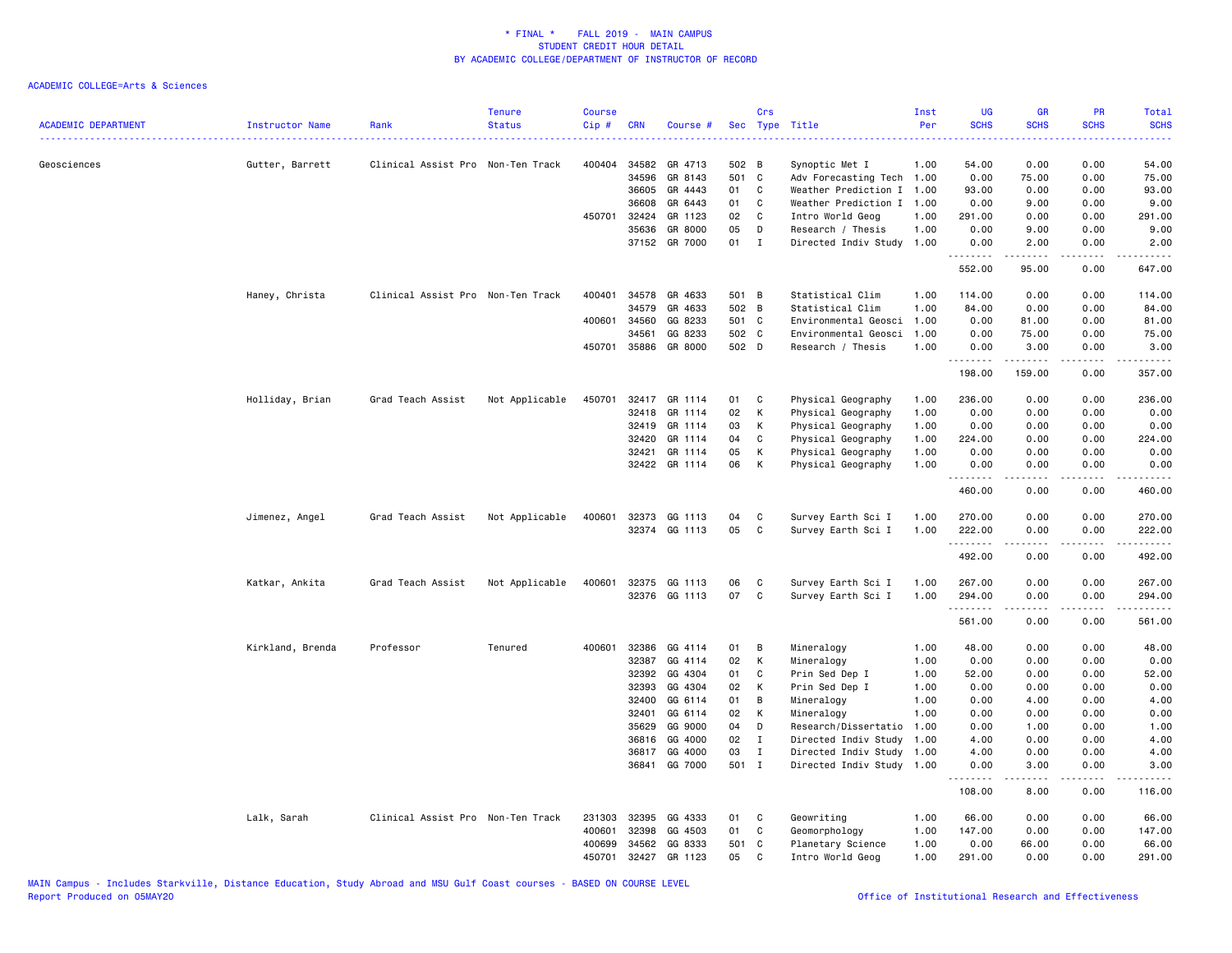| <b>ACADEMIC DEPARTMENT</b><br>------------------------------------ | Instructor Name<br>. | Rank                              | <b>Tenure</b><br><b>Status</b> | Course<br>Cip # | <b>CRN</b>     | Course #           | <b>Sec</b> | Crs               | Type Title                                   | Inst<br>Per  | <b>UG</b><br><b>SCHS</b>        | <b>GR</b><br><b>SCHS</b> | PR<br><b>SCHS</b>                   | Total<br><b>SCHS</b><br>. |
|--------------------------------------------------------------------|----------------------|-----------------------------------|--------------------------------|-----------------|----------------|--------------------|------------|-------------------|----------------------------------------------|--------------|---------------------------------|--------------------------|-------------------------------------|---------------------------|
| Geosciences                                                        | Gutter, Barrett      | Clinical Assist Pro Non-Ten Track |                                | 400404          | 34582          | GR 4713            | 502 B      |                   | Synoptic Met I                               | 1.00         | 54.00                           | 0.00                     | 0.00                                | 54.00                     |
|                                                                    |                      |                                   |                                |                 | 34596          | GR 8143            | 501 C      |                   | Adv Forecasting Tech 1.00                    |              | 0.00                            | 75.00                    | 0.00                                | 75.00                     |
|                                                                    |                      |                                   |                                |                 | 36605          | GR 4443            | 01         | C                 | Weather Prediction I                         | 1.00         | 93.00                           | 0.00                     | 0.00                                | 93.00                     |
|                                                                    |                      |                                   |                                |                 | 36608          | GR 6443            | 01         | C                 | Weather Prediction I                         | 1.00         | 0.00                            | 9.00                     | 0.00                                | 9.00                      |
|                                                                    |                      |                                   |                                | 450701          | 32424          | GR 1123            | 02         | C                 | Intro World Geog                             | 1.00         | 291.00                          | 0.00                     | 0.00                                | 291.00                    |
|                                                                    |                      |                                   |                                |                 | 35636          | GR 8000            | 05         | D                 | Research / Thesis                            | 1.00         | 0.00                            | 9.00                     | 0.00                                | 9.00                      |
|                                                                    |                      |                                   |                                |                 | 37152          | GR 7000            | 01         | $\mathbf{I}$      | Directed Indiv Study                         | 1.00         | 0.00<br><u>.</u>                | 2.00<br><u>.</u>         | 0.00<br>$\sim$ $\sim$ $\sim$ $\sim$ | 2.00<br><u>.</u>          |
|                                                                    |                      |                                   |                                |                 |                |                    |            |                   |                                              |              | 552.00                          | 95.00                    | 0.00                                | 647.00                    |
|                                                                    | Haney, Christa       | Clinical Assist Pro Non-Ten Track |                                | 400401          | 34578          | GR 4633            | 501 B      |                   | Statistical Clim                             | 1.00         | 114.00                          | 0.00                     | 0.00                                | 114.00                    |
|                                                                    |                      |                                   |                                |                 | 34579          | GR 4633            | 502 B      |                   | Statistical Clim                             | 1.00         | 84.00                           | 0.00                     | 0.00                                | 84.00                     |
|                                                                    |                      |                                   |                                |                 | 400601 34560   | GG 8233            | 501 C      |                   | Environmental Geosci                         | 1.00         | 0.00                            | 81.00                    | 0.00                                | 81.00                     |
|                                                                    |                      |                                   |                                |                 | 34561          | GG 8233            | 502 C      |                   | Environmental Geosci                         | 1.00         | 0.00                            | 75.00                    | 0.00                                | 75.00                     |
|                                                                    |                      |                                   |                                | 450701          | 35886          | GR 8000            | 502 D      |                   | Research / Thesis                            | 1.00         | 0.00<br><u> - - - - - - - -</u> | 3.00                     | 0.00<br>.                           | 3.00<br>.                 |
|                                                                    |                      |                                   |                                |                 |                |                    |            |                   |                                              |              | 198.00                          | 159.00                   | 0.00                                | 357.00                    |
|                                                                    | Holliday, Brian      | Grad Teach Assist                 | Not Applicable                 | 450701          |                | 32417 GR 1114      | 01         | C                 | Physical Geography                           | 1.00         | 236.00                          | 0.00                     | 0.00                                | 236.00                    |
|                                                                    |                      |                                   |                                |                 | 32418          | GR 1114            | 02         | К                 | Physical Geography                           | 1.00         | 0.00                            | 0.00                     | 0.00                                | 0.00                      |
|                                                                    |                      |                                   |                                |                 | 32419          | GR 1114            | 03         | K                 | Physical Geography                           | 1.00         | 0.00                            | 0.00                     | 0.00                                | 0.00                      |
|                                                                    |                      |                                   |                                |                 | 32420          | GR 1114            | 04         | C                 | Physical Geography                           | 1.00         | 224.00                          | 0.00                     | 0.00                                | 224.00                    |
|                                                                    |                      |                                   |                                |                 | 32421          | GR 1114            | 05         | К                 | Physical Geography                           | 1.00         | 0.00                            | 0.00                     | 0.00                                | 0.00                      |
|                                                                    |                      |                                   |                                |                 | 32422          | GR 1114            | 06         | К                 | Physical Geography                           | 1.00         | 0.00<br><u>.</u>                | 0.00<br>.                | 0.00<br>.                           | 0.00<br>$- - - - - -$     |
|                                                                    |                      |                                   |                                |                 |                |                    |            |                   |                                              |              | 460.00                          | 0.00                     | 0.00                                | 460.00                    |
|                                                                    | Jimenez, Angel       | Grad Teach Assist                 | Not Applicable                 | 400601          | 32373          | GG 1113            | 04         | C                 | Survey Earth Sci I                           | 1.00         | 270.00                          | 0.00                     | 0.00                                | 270.00                    |
|                                                                    |                      |                                   |                                |                 |                | 32374 GG 1113      | 05         | C                 | Survey Earth Sci I                           | 1.00         | 222.00<br>.                     | 0.00                     | 0.00                                | 222.00<br>$- - - - - -$   |
|                                                                    |                      |                                   |                                |                 |                |                    |            |                   |                                              |              | 492.00                          | 0.00                     | 0.00                                | 492.00                    |
|                                                                    | Katkar, Ankita       | Grad Teach Assist                 | Not Applicable                 | 400601          |                | 32375 GG 1113      | 06         | C                 | Survey Earth Sci I                           | 1.00         | 267.00                          | 0.00                     | 0.00                                | 267.00                    |
|                                                                    |                      |                                   |                                |                 |                | 32376 GG 1113      | 07         | C                 | Survey Earth Sci I                           | 1.00         | 294.00<br><u>.</u>              | 0.00<br><u>.</u>         | 0.00<br>.                           | 294.00<br><u>.</u>        |
|                                                                    |                      |                                   |                                |                 |                |                    |            |                   |                                              |              | 561.00                          | 0.00                     | 0.00                                | 561.00                    |
|                                                                    | Kirkland, Brenda     | Professor                         | Tenured                        | 400601          | 32386          | GG 4114            | 01         | B                 | Mineralogy                                   | 1.00         | 48.00                           | 0.00                     | 0.00                                | 48.00                     |
|                                                                    |                      |                                   |                                |                 | 32387          | GG 4114            | 02         | К                 | Mineralogy                                   | 1.00         | 0.00                            | 0.00                     | 0.00                                | 0.00                      |
|                                                                    |                      |                                   |                                |                 | 32392          | GG 4304            | 01         | C                 | Prin Sed Dep I                               | 1.00         | 52.00                           | 0.00                     | 0.00                                | 52.00                     |
|                                                                    |                      |                                   |                                |                 | 32393          | GG 4304            | 02         | К                 | Prin Sed Dep I                               | 1.00         | 0.00                            | 0.00                     | 0.00                                | 0.00                      |
|                                                                    |                      |                                   |                                |                 | 32400          | GG 6114            | 01         | В                 | Mineralogy                                   | 1.00         | 0.00                            | 4.00                     | 0.00                                | 4.00                      |
|                                                                    |                      |                                   |                                |                 | 32401          | GG 6114            | 02         | К                 | Mineralogy                                   | 1.00         | 0.00                            | 0.00                     | 0.00                                | 0.00                      |
|                                                                    |                      |                                   |                                |                 | 35629<br>36816 | GG 9000<br>GG 4000 | 04<br>02   | D<br>$\mathbf{I}$ | Research/Dissertatio                         | 1.00<br>1.00 | 0.00<br>4.00                    | 1.00<br>0.00             | 0.00<br>0.00                        | 1.00<br>4.00              |
|                                                                    |                      |                                   |                                |                 | 36817          | GG 4000            | 03         | $\mathbf{I}$      | Directed Indiv Study<br>Directed Indiv Study | 1.00         | 4.00                            | 0.00                     | 0.00                                | 4.00                      |
|                                                                    |                      |                                   |                                |                 |                | 36841 GG 7000      | 501 I      |                   | Directed Indiv Study 1.00                    |              | 0.00                            | 3.00                     | 0.00                                | 3.00                      |
|                                                                    |                      |                                   |                                |                 |                |                    |            |                   |                                              |              | <u>.</u><br>108.00              | .<br>8.00                | .<br>0.00                           | .<br>116.00               |
|                                                                    | Lalk, Sarah          | Clinical Assist Pro Non-Ten Track |                                | 231303          | 32395          | GG 4333            | 01         | C                 | Geowriting                                   | 1.00         | 66.00                           | 0.00                     | 0.00                                | 66.00                     |
|                                                                    |                      |                                   |                                | 400601          | 32398          | GG 4503            | 01         | C                 | Geomorphology                                | 1.00         | 147.00                          | 0.00                     | 0.00                                | 147.00                    |
|                                                                    |                      |                                   |                                | 400699          | 34562          | GG 8333            | 501 C      |                   | Planetary Science                            | 1.00         | 0.00                            | 66.00                    | 0.00                                | 66.00                     |
|                                                                    |                      |                                   |                                | 450701          | 32427          | GR 1123            | 05         | $\mathsf{C}$      | Intro World Geog                             | 1.00         | 291.00                          | 0.00                     | 0.00                                | 291.00                    |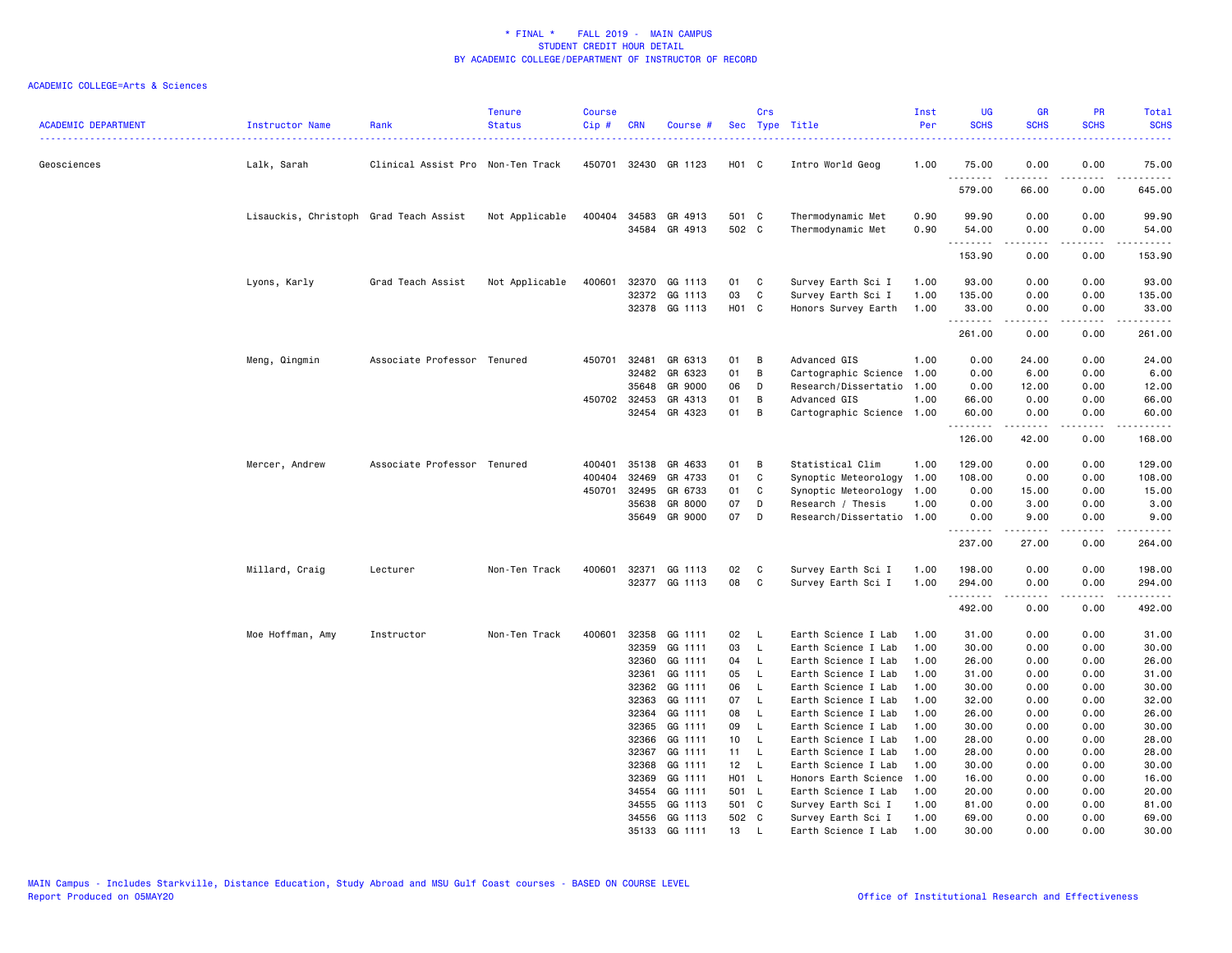| <b>ACADEMIC DEPARTMENT</b> | Instructor Name                        | Rank                              | <b>Tenure</b><br><b>Status</b> | <b>Course</b><br>Cip# | <b>CRN</b>     | Course #                 |                 | Crs          | Sec Type Title                             | Inst<br>Per<br><u>.</u> | <b>UG</b><br><b>SCHS</b> | <b>GR</b><br><b>SCHS</b>                                                                                                                                     | <b>PR</b><br><b>SCHS</b>            | Total<br><b>SCHS</b>      |
|----------------------------|----------------------------------------|-----------------------------------|--------------------------------|-----------------------|----------------|--------------------------|-----------------|--------------|--------------------------------------------|-------------------------|--------------------------|--------------------------------------------------------------------------------------------------------------------------------------------------------------|-------------------------------------|---------------------------|
| Geosciences                | Lalk, Sarah                            | Clinical Assist Pro Non-Ten Track |                                | 450701                |                | 32430 GR 1123            | $H01$ C         |              | Intro World Geog                           | 1.00                    | 75.00                    | 0.00                                                                                                                                                         | 0.00                                | 75.00                     |
|                            |                                        |                                   |                                |                       |                |                          |                 |              |                                            |                         | .<br>579.00              | $\cdots$<br>66.00                                                                                                                                            | .<br>0.00                           | .<br>645.00               |
|                            | Lisauckis, Christoph Grad Teach Assist |                                   | Not Applicable                 |                       | 400404 34583   | GR 4913                  | 501 C           |              | Thermodynamic Met                          | 0.90                    | 99.90                    | 0.00                                                                                                                                                         | 0.00                                | 99.90                     |
|                            |                                        |                                   |                                |                       | 34584          | GR 4913                  | 502 C           |              | Thermodynamic Met                          | 0.90                    | 54.00<br>.               | 0.00<br>$\frac{1}{2} \left( \frac{1}{2} \right) \left( \frac{1}{2} \right) \left( \frac{1}{2} \right) \left( \frac{1}{2} \right) \left( \frac{1}{2} \right)$ | 0.00<br>.                           | 54.00<br>والموالي الموالي |
|                            |                                        |                                   |                                |                       |                |                          |                 |              |                                            |                         | 153.90                   | 0.00                                                                                                                                                         | 0.00                                | 153.90                    |
|                            | Lyons, Karly                           | Grad Teach Assist                 | Not Applicable                 | 400601                | 32370          | GG 1113                  | 01              | C            | Survey Earth Sci I                         | 1.00                    | 93.00                    | 0.00                                                                                                                                                         | 0.00                                | 93.00                     |
|                            |                                        |                                   |                                |                       | 32372          | GG 1113<br>32378 GG 1113 | 03<br>H01 C     | C            | Survey Earth Sci I                         | 1.00<br>1.00            | 135.00<br>33.00          | 0.00<br>0.00                                                                                                                                                 | 0.00<br>0.00                        | 135.00<br>33.00           |
|                            |                                        |                                   |                                |                       |                |                          |                 |              | Honors Survey Earth                        |                         | .                        | .                                                                                                                                                            | .                                   | .                         |
|                            |                                        |                                   |                                |                       |                |                          |                 |              |                                            |                         | 261.00                   | 0.00                                                                                                                                                         | 0.00                                | 261.00                    |
|                            | Meng, Qingmin                          | Associate Professor Tenured       |                                | 450701                | 32481          | GR 6313                  | 01              | В            | Advanced GIS                               | 1.00                    | 0.00                     | 24.00                                                                                                                                                        | 0.00                                | 24.00                     |
|                            |                                        |                                   |                                |                       | 32482          | GR 6323                  | 01              | B            | Cartographic Science                       | 1.00                    | 0.00                     | 6.00                                                                                                                                                         | 0.00                                | 6.00                      |
|                            |                                        |                                   |                                |                       | 35648          | GR 9000                  | 06              | D            | Research/Dissertatio                       | 1.00                    | 0.00                     | 12.00                                                                                                                                                        | 0.00                                | 12.00                     |
|                            |                                        |                                   |                                | 450702 32453          |                | GR 4313                  | 01              | B            | Advanced GIS                               | 1.00                    | 66.00                    | 0.00                                                                                                                                                         | 0.00                                | 66.00                     |
|                            |                                        |                                   |                                |                       | 32454          | GR 4323                  | 01              | B            | Cartographic Science                       | 1.00                    | 60.00<br>.               | 0.00<br>$\frac{1}{2} \left( \frac{1}{2} \right) \left( \frac{1}{2} \right) \left( \frac{1}{2} \right) \left( \frac{1}{2} \right) \left( \frac{1}{2} \right)$ | 0.00<br>المالم عامات                | 60.00<br>.                |
|                            |                                        |                                   |                                |                       |                |                          |                 |              |                                            |                         | 126.00                   | 42.00                                                                                                                                                        | 0.00                                | 168.00                    |
|                            | Mercer, Andrew                         | Associate Professor Tenured       |                                | 400401                | 35138          | GR 4633                  | 01              | В            | Statistical Clim                           | 1.00                    | 129.00                   | 0.00                                                                                                                                                         | 0.00                                | 129.00                    |
|                            |                                        |                                   |                                | 400404                | 32469          | GR 4733                  | 01              | C            | Synoptic Meteorology                       | 1.00                    | 108.00                   | 0.00                                                                                                                                                         | 0.00                                | 108.00                    |
|                            |                                        |                                   |                                | 450701                | 32495          | GR 6733                  | 01              | C            | Synoptic Meteorology                       | 1.00                    | 0.00                     | 15.00                                                                                                                                                        | 0.00                                | 15.00                     |
|                            |                                        |                                   |                                |                       | 35638          | GR 8000                  | 07              | D            | Research / Thesis                          | 1.00                    | 0.00                     | 3.00                                                                                                                                                         | 0.00                                | 3.00                      |
|                            |                                        |                                   |                                |                       | 35649          | GR 9000                  | 07              | D            | Research/Dissertatio 1.00                  |                         | 0.00<br>.                | 9.00                                                                                                                                                         | 0.00<br>$\sim$ $\sim$ $\sim$ $\sim$ | 9.00                      |
|                            |                                        |                                   |                                |                       |                |                          |                 |              |                                            |                         | 237.00                   | 27.00                                                                                                                                                        | 0.00                                | 264.00                    |
|                            | Millard, Craig                         | Lecturer                          | Non-Ten Track                  | 400601                |                | 32371 GG 1113            | 02              | C            | Survey Earth Sci I                         | 1.00                    | 198.00                   | 0.00                                                                                                                                                         | 0.00                                | 198.00                    |
|                            |                                        |                                   |                                |                       |                | 32377 GG 1113            | 08              | C            | Survey Earth Sci I                         | 1.00                    | 294.00                   | 0.00                                                                                                                                                         | 0.00                                | 294.00                    |
|                            |                                        |                                   |                                |                       |                |                          |                 |              |                                            |                         | .<br>492.00              | -----<br>0.00                                                                                                                                                | .<br>0.00                           | <u>.</u><br>492.00        |
|                            | Moe Hoffman, Amy                       | Instructor                        | Non-Ten Track                  | 400601                | 32358          | GG 1111                  | 02              | L            | Earth Science I Lab                        | 1.00                    | 31.00                    | 0.00                                                                                                                                                         | 0.00                                | 31.00                     |
|                            |                                        |                                   |                                |                       | 32359          | GG 1111                  | 03              | L.           | Earth Science I Lab                        | 1.00                    | 30.00                    | 0.00                                                                                                                                                         | 0.00                                | 30.00                     |
|                            |                                        |                                   |                                |                       | 32360          | GG 1111                  | 04              | L.           | Earth Science I Lab                        | 1.00                    | 26.00                    | 0.00                                                                                                                                                         | 0.00                                | 26.00                     |
|                            |                                        |                                   |                                |                       | 32361          | GG 1111                  | 05              | L            | Earth Science I Lab                        | 1.00                    | 31.00                    | 0.00                                                                                                                                                         | 0.00                                | 31.00                     |
|                            |                                        |                                   |                                |                       | 32362          | GG 1111                  | 06              | L            | Earth Science I Lab                        | 1.00                    | 30.00                    | 0.00                                                                                                                                                         | 0.00                                | 30.00                     |
|                            |                                        |                                   |                                |                       | 32363          | GG 1111                  | 07              | <b>L</b>     | Earth Science I Lab                        | 1.00                    | 32.00                    | 0.00                                                                                                                                                         | 0.00                                | 32.00                     |
|                            |                                        |                                   |                                |                       | 32364          | GG 1111                  | 08              | L            | Earth Science I Lab                        | 1.00                    | 26.00                    | 0.00                                                                                                                                                         | 0.00                                | 26.00                     |
|                            |                                        |                                   |                                |                       | 32365          | GG 1111                  | 09              | L            | Earth Science I Lab                        | 1.00                    | 30.00                    | 0.00                                                                                                                                                         | 0.00                                | 30.00                     |
|                            |                                        |                                   |                                |                       | 32366<br>32367 | GG 1111<br>GG 1111       | 10<br>11        | - L<br>L.    | Earth Science I Lab<br>Earth Science I Lab | 1.00<br>1.00            | 28.00<br>28.00           | 0.00<br>0.00                                                                                                                                                 | 0.00<br>0.00                        | 28.00<br>28.00            |
|                            |                                        |                                   |                                |                       | 32368          | GG 1111                  | 12 <sub>2</sub> | $\mathsf{L}$ | Earth Science I Lab                        | 1.00                    | 30.00                    | 0.00                                                                                                                                                         | 0.00                                | 30.00                     |
|                            |                                        |                                   |                                |                       | 32369          | GG 1111                  | H01 L           |              | Honors Earth Science                       | 1.00                    | 16.00                    | 0.00                                                                                                                                                         | 0.00                                | 16.00                     |
|                            |                                        |                                   |                                |                       | 34554          | GG 1111                  | 501 L           |              | Earth Science I Lab                        | 1.00                    | 20.00                    | 0.00                                                                                                                                                         | 0.00                                | 20.00                     |
|                            |                                        |                                   |                                |                       | 34555          | GG 1113                  | 501 C           |              | Survey Earth Sci I                         | 1.00                    | 81.00                    | 0.00                                                                                                                                                         | 0.00                                | 81.00                     |
|                            |                                        |                                   |                                |                       | 34556          | GG 1113                  | 502 C           |              | Survey Earth Sci I                         | 1.00                    | 69.00                    | 0.00                                                                                                                                                         | 0.00                                | 69.00                     |
|                            |                                        |                                   |                                |                       | 35133          | GG 1111                  | 13              | <b>L</b>     | Earth Science I Lab                        | 1.00                    | 30.00                    | 0.00                                                                                                                                                         | 0.00                                | 30.00                     |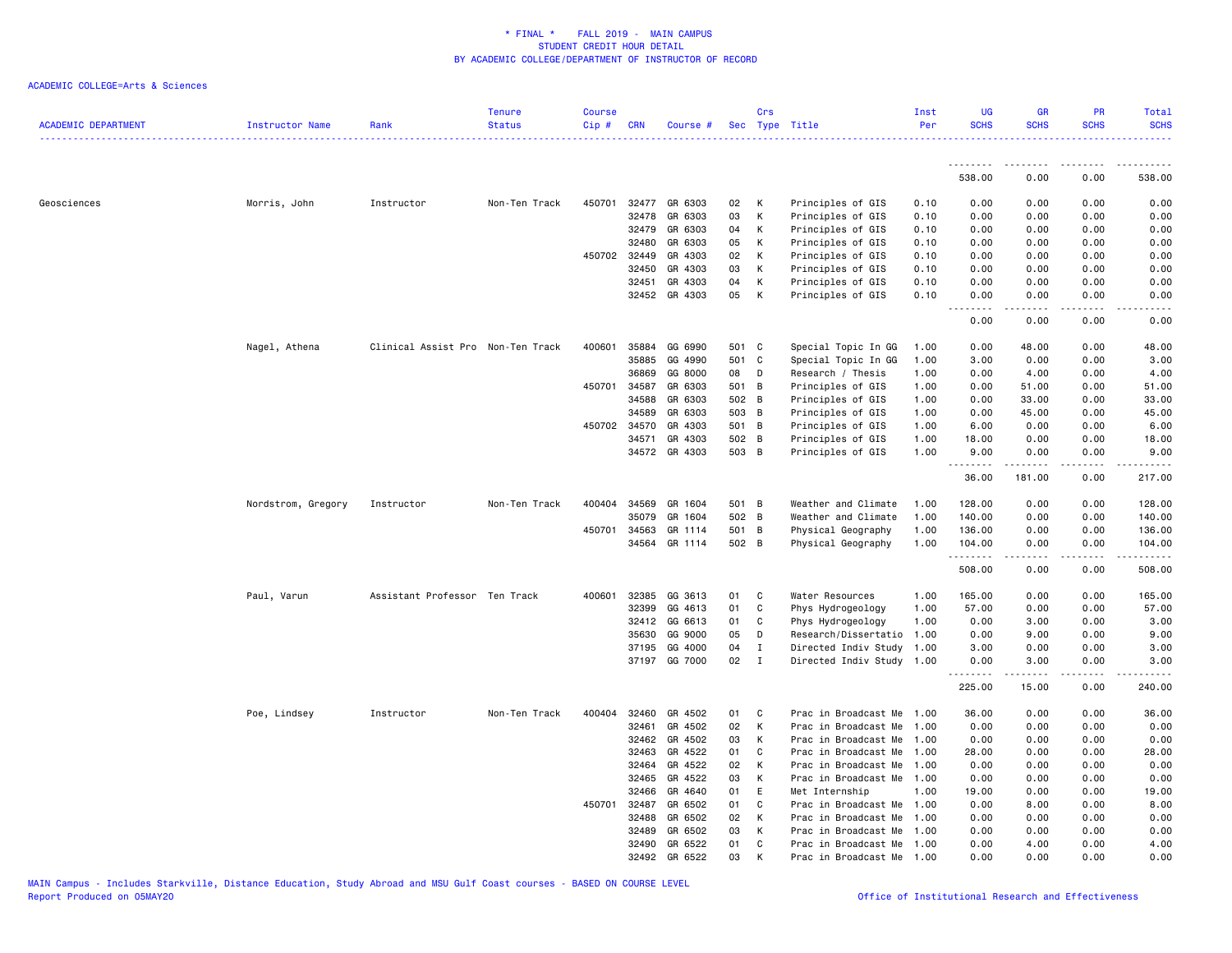| <b>ACADEMIC DEPARTMENT</b> | <b>Instructor Name</b> | Rank                              | <b>Tenure</b><br><b>Status</b> | <b>Course</b><br>Cip # | <b>CRN</b>   | Course #      |       | Crs          | Sec Type Title            | Inst<br>Per | <b>UG</b><br><b>SCHS</b> | <b>GR</b><br><b>SCHS</b>                                                                                                                                                                | PR<br><b>SCHS</b> | Total<br><b>SCHS</b> |
|----------------------------|------------------------|-----------------------------------|--------------------------------|------------------------|--------------|---------------|-------|--------------|---------------------------|-------------|--------------------------|-----------------------------------------------------------------------------------------------------------------------------------------------------------------------------------------|-------------------|----------------------|
|                            |                        |                                   |                                |                        |              |               |       |              |                           |             |                          |                                                                                                                                                                                         |                   |                      |
|                            |                        |                                   |                                |                        |              |               |       |              |                           |             | 538.00                   | 0.00                                                                                                                                                                                    | 0.00              | 538.00               |
| Geosciences                | Morris, John           | Instructor                        | Non-Ten Track                  | 450701                 |              | 32477 GR 6303 | 02    | К            | Principles of GIS         | 0.10        | 0.00                     | 0.00                                                                                                                                                                                    | 0.00              | 0.00                 |
|                            |                        |                                   |                                |                        | 32478        | GR 6303       | 03    | K            | Principles of GIS         | 0.10        | 0.00                     | 0.00                                                                                                                                                                                    | 0.00              | 0.00                 |
|                            |                        |                                   |                                |                        | 32479        | GR 6303       | 04    | К            | Principles of GIS         | 0.10        | 0.00                     | 0.00                                                                                                                                                                                    | 0.00              | 0.00                 |
|                            |                        |                                   |                                |                        | 32480        | GR 6303       | 05    | К            | Principles of GIS         | 0.10        | 0.00                     | 0.00                                                                                                                                                                                    | 0.00              | 0.00                 |
|                            |                        |                                   |                                |                        | 450702 32449 | GR 4303       | 02    | К            | Principles of GIS         | 0.10        | 0.00                     | 0.00                                                                                                                                                                                    | 0.00              | 0.00                 |
|                            |                        |                                   |                                |                        | 32450        | GR 4303       | 03    | К            | Principles of GIS         | 0.10        | 0.00                     | 0.00                                                                                                                                                                                    | 0.00              | 0.00                 |
|                            |                        |                                   |                                |                        | 32451        | GR 4303       | 04    | К            | Principles of GIS         | 0.10        | 0.00                     | 0.00                                                                                                                                                                                    | 0.00              | 0.00                 |
|                            |                        |                                   |                                |                        |              | 32452 GR 4303 | 05    | К            | Principles of GIS         | 0.10        | 0.00                     | 0.00                                                                                                                                                                                    | 0.00              | 0.00                 |
|                            |                        |                                   |                                |                        |              |               |       |              |                           |             | <u>.</u><br>0.00         | .<br>0.00                                                                                                                                                                               | .<br>0.00         | 0.00                 |
|                            | Nagel, Athena          | Clinical Assist Pro Non-Ten Track |                                | 400601                 | 35884        | GG 6990       | 501 C |              | Special Topic In GG       | 1.00        | 0.00                     | 48.00                                                                                                                                                                                   | 0.00              | 48.00                |
|                            |                        |                                   |                                |                        | 35885        | GG 4990       |       | 501 C        | Special Topic In GG       | 1.00        | 3.00                     | 0.00                                                                                                                                                                                    | 0.00              | 3.00                 |
|                            |                        |                                   |                                |                        | 36869        | GG 8000       | 08    | D            | Research / Thesis         | 1.00        | 0.00                     | 4.00                                                                                                                                                                                    | 0.00              | 4.00                 |
|                            |                        |                                   |                                | 450701                 | 34587        | GR 6303       | 501 B |              | Principles of GIS         | 1.00        | 0.00                     | 51.00                                                                                                                                                                                   | 0.00              | 51.00                |
|                            |                        |                                   |                                |                        | 34588        | GR 6303       | 502 B |              | Principles of GIS         | 1.00        | 0.00                     | 33.00                                                                                                                                                                                   | 0.00              | 33.00                |
|                            |                        |                                   |                                |                        | 34589        | GR 6303       | 503 B |              | Principles of GIS         | 1.00        | 0.00                     | 45.00                                                                                                                                                                                   | 0.00              | 45.00                |
|                            |                        |                                   |                                | 450702                 | 34570        | GR 4303       | 501 B |              | Principles of GIS         | 1.00        | 6.00                     | 0.00                                                                                                                                                                                    | 0.00              | 6.00                 |
|                            |                        |                                   |                                |                        | 34571        | GR 4303       | 502 B |              | Principles of GIS         | 1.00        | 18.00                    | 0.00                                                                                                                                                                                    | 0.00              | 18.00                |
|                            |                        |                                   |                                |                        |              | 34572 GR 4303 | 503 B |              | Principles of GIS         | 1.00        | 9.00<br>.                | 0.00<br>.                                                                                                                                                                               | 0.00<br>.         | 9.00<br>. <b>.</b>   |
|                            |                        |                                   |                                |                        |              |               |       |              |                           |             | 36.00                    | 181.00                                                                                                                                                                                  | 0.00              | 217.00               |
|                            | Nordstrom, Gregory     | Instructor                        | Non-Ten Track                  | 400404                 | 34569        | GR 1604       | 501 B |              | Weather and Climate       | 1.00        | 128.00                   | 0.00                                                                                                                                                                                    | 0.00              | 128.00               |
|                            |                        |                                   |                                |                        | 35079        | GR 1604       | 502 B |              | Weather and Climate       | 1.00        | 140.00                   | 0.00                                                                                                                                                                                    | 0.00              | 140.00               |
|                            |                        |                                   |                                | 450701                 | 34563        | GR 1114       | 501 B |              | Physical Geography        | 1.00        | 136.00                   | 0.00                                                                                                                                                                                    | 0.00              | 136.00               |
|                            |                        |                                   |                                |                        | 34564        | GR 1114       | 502 B |              | Physical Geography        | 1.00        | 104.00<br>.              | 0.00<br>$\frac{1}{2} \left( \frac{1}{2} \right) \left( \frac{1}{2} \right) \left( \frac{1}{2} \right) \left( \frac{1}{2} \right) \left( \frac{1}{2} \right) \left( \frac{1}{2} \right)$ | 0.00<br>.         | 104.00<br>.          |
|                            |                        |                                   |                                |                        |              |               |       |              |                           |             | 508.00                   | 0.00                                                                                                                                                                                    | 0.00              | 508.00               |
|                            | Paul, Varun            | Assistant Professor Ten Track     |                                | 400601                 | 32385        | GG 3613       | 01    | C            | Water Resources           | 1.00        | 165.00                   | 0.00                                                                                                                                                                                    | 0.00              | 165.00               |
|                            |                        |                                   |                                |                        | 32399        | GG 4613       | 01    | C            | Phys Hydrogeology         | 1.00        | 57.00                    | 0.00                                                                                                                                                                                    | 0.00              | 57.00                |
|                            |                        |                                   |                                |                        | 32412        | GG 6613       | 01    | C            | Phys Hydrogeology         | 1.00        | 0.00                     | 3.00                                                                                                                                                                                    | 0.00              | 3.00                 |
|                            |                        |                                   |                                |                        | 35630        | GG 9000       | 05    | D            | Research/Dissertatio      | 1.00        | 0.00                     | 9.00                                                                                                                                                                                    | 0.00              | 9.00                 |
|                            |                        |                                   |                                |                        | 37195        | GG 4000       | 04    | $\mathbf I$  | Directed Indiv Study      | 1.00        | 3.00                     | 0.00                                                                                                                                                                                    | 0.00              | 3.00                 |
|                            |                        |                                   |                                |                        |              | 37197 GG 7000 | 02    | $\mathbf I$  | Directed Indiv Study 1.00 |             | 0.00<br>.                | 3.00<br>د د د د د                                                                                                                                                                       | 0.00<br>.         | 3.00<br>. <b>.</b>   |
|                            |                        |                                   |                                |                        |              |               |       |              |                           |             | 225.00                   | 15.00                                                                                                                                                                                   | 0.00              | 240.00               |
|                            | Poe, Lindsey           | Instructor                        | Non-Ten Track                  | 400404                 | 32460        | GR 4502       | 01    | C            | Prac in Broadcast Me      | 1.00        | 36.00                    | 0.00                                                                                                                                                                                    | 0.00              | 36.00                |
|                            |                        |                                   |                                |                        | 32461        | GR 4502       | 02    | К            | Prac in Broadcast Me      | 1.00        | 0.00                     | 0.00                                                                                                                                                                                    | 0.00              | 0.00                 |
|                            |                        |                                   |                                |                        | 32462        | GR 4502       | 03    | К            | Prac in Broadcast Me      | 1.00        | 0.00                     | 0.00                                                                                                                                                                                    | 0.00              | 0.00                 |
|                            |                        |                                   |                                |                        | 32463        | GR 4522       | 01    | C            | Prac in Broadcast Me      | 1.00        | 28.00                    | 0.00                                                                                                                                                                                    | 0.00              | 28.00                |
|                            |                        |                                   |                                |                        | 32464        | GR 4522       | 02    | К            | Prac in Broadcast Me      | 1.00        | 0.00                     | 0.00                                                                                                                                                                                    | 0.00              | 0.00                 |
|                            |                        |                                   |                                |                        | 32465        | GR 4522       | 03    | К            | Prac in Broadcast Me      | 1.00        | 0.00                     | 0.00                                                                                                                                                                                    | 0.00              | 0.00                 |
|                            |                        |                                   |                                |                        | 32466        | GR 4640       | 01    | E            | Met Internship            | 1.00        | 19.00                    | 0.00                                                                                                                                                                                    | 0.00              | 19.00                |
|                            |                        |                                   |                                | 450701                 | 32487        | GR 6502       | 01    | C            | Prac in Broadcast Me      | 1.00        | 0.00                     | 8.00                                                                                                                                                                                    | 0.00              | 8.00                 |
|                            |                        |                                   |                                |                        | 32488        | GR 6502       | 02    | К            | Prac in Broadcast Me      | 1.00        | 0.00                     | 0.00                                                                                                                                                                                    | 0.00              | 0.00                 |
|                            |                        |                                   |                                |                        | 32489        | GR 6502       | 03    | К            | Prac in Broadcast Me      | 1.00        | 0.00                     | 0.00                                                                                                                                                                                    | 0.00              | 0.00                 |
|                            |                        |                                   |                                |                        | 32490        | GR 6522       | 01    | $\mathbf{C}$ | Prac in Broadcast Me      | 1.00        | 0.00                     | 4.00                                                                                                                                                                                    | 0.00              | 4.00                 |
|                            |                        |                                   |                                |                        | 32492        | GR 6522       | 03    | K            | Prac in Broadcast Me      | 1.00        | 0.00                     | 0.00                                                                                                                                                                                    | 0.00              | 0.00                 |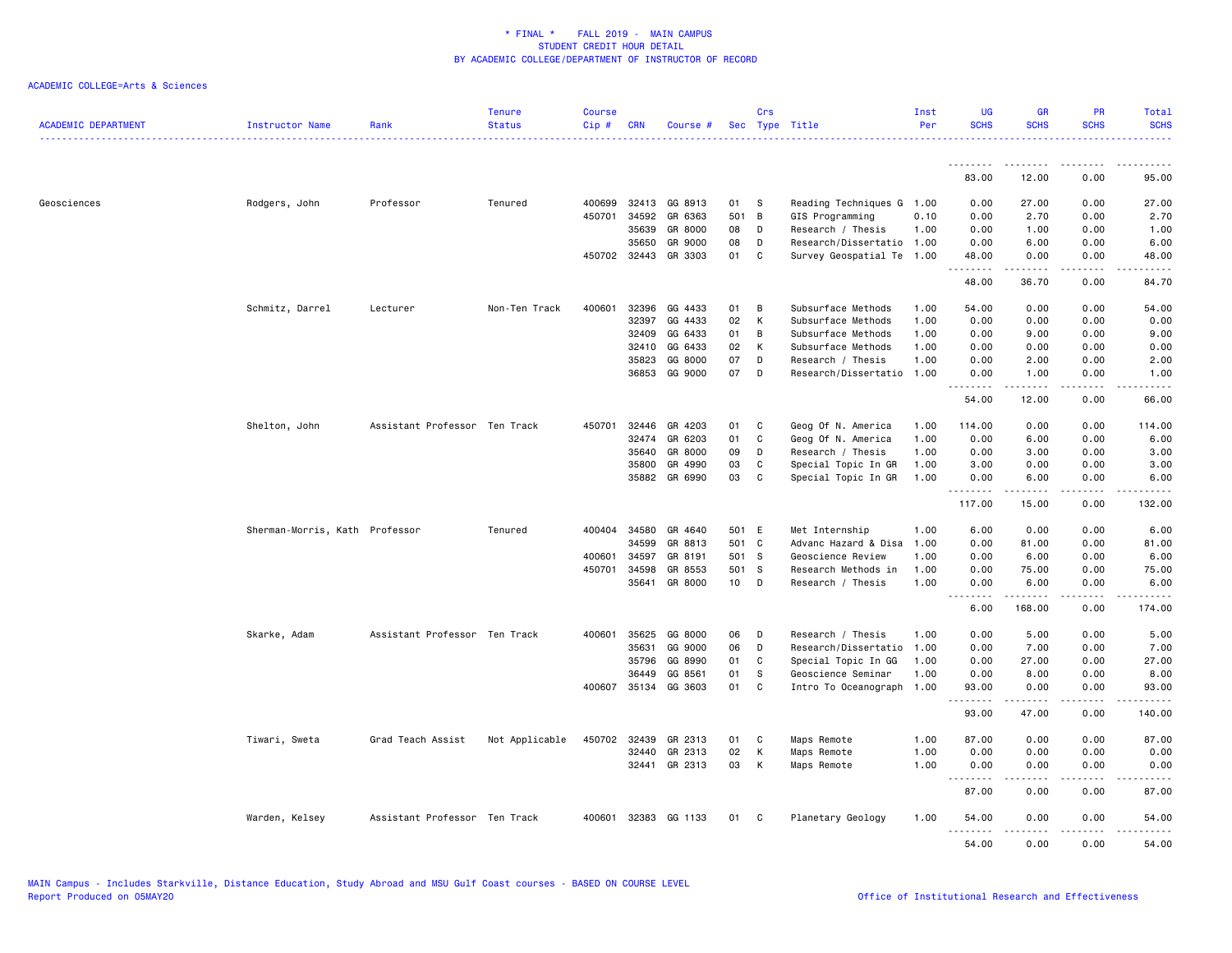| <b>ACADEMIC DEPARTMENT</b> | Instructor Name                | Rank                          | <b>Tenure</b><br><b>Status</b> | <b>Course</b><br>Cip# | <b>CRN</b>   | Course #             |       | Crs            | Sec Type Title            | Inst<br>Per | <b>UG</b><br><b>SCHS</b> | <b>GR</b><br><b>SCHS</b> | <b>PR</b><br><b>SCHS</b> | Total<br><b>SCHS</b>  |
|----------------------------|--------------------------------|-------------------------------|--------------------------------|-----------------------|--------------|----------------------|-------|----------------|---------------------------|-------------|--------------------------|--------------------------|--------------------------|-----------------------|
|                            |                                |                               |                                |                       |              |                      |       |                |                           |             | <u>.</u>                 | --------                 | .                        | .                     |
|                            |                                |                               |                                |                       |              |                      |       |                |                           |             | 83.00                    | 12.00                    | 0.00                     | 95.00                 |
| Geosciences                | Rodgers, John                  | Professor                     | Tenured                        | 400699                | 32413        | GG 8913              | 01    | - S            | Reading Techniques G 1.00 |             | 0.00                     | 27.00                    | 0.00                     | 27.00                 |
|                            |                                |                               |                                | 450701                | 34592        | GR 6363              | 501   | $\overline{B}$ | GIS Programming           | 0.10        | 0.00                     | 2.70                     | 0.00                     | 2.70                  |
|                            |                                |                               |                                |                       | 35639        | GR 8000              | 08    | D              | Research / Thesis         | 1.00        | 0.00                     | 1.00                     | 0.00                     | 1.00                  |
|                            |                                |                               |                                |                       | 35650        | GR 9000              | 08    | D              | Research/Dissertatio 1.00 |             | 0.00                     | 6.00                     | 0.00                     | 6.00                  |
|                            |                                |                               |                                |                       | 450702 32443 | GR 3303              | 01    | C              | Survey Geospatial Te 1.00 |             | 48.00<br><u>.</u>        | 0.00<br>.                | 0.00<br>.                | 48.00<br>.            |
|                            |                                |                               |                                |                       |              |                      |       |                |                           |             | 48.00                    | 36.70                    | 0.00                     | 84.70                 |
|                            | Schmitz, Darrel                | Lecturer                      | Non-Ten Track                  | 400601                | 32396        | GG 4433              | 01    | B              | Subsurface Methods        | 1.00        | 54.00                    | 0.00                     | 0.00                     | 54.00                 |
|                            |                                |                               |                                |                       | 32397        | GG 4433              | 02    | K              | Subsurface Methods        | 1.00        | 0.00                     | 0.00                     | 0.00                     | 0.00                  |
|                            |                                |                               |                                |                       | 32409        | GG 6433              | 01    | B              | Subsurface Methods        | 1.00        | 0.00                     | 9.00                     | 0.00                     | 9.00                  |
|                            |                                |                               |                                |                       | 32410        | GG 6433              | 02    | К              | Subsurface Methods        | 1.00        | 0.00                     | 0.00                     | 0.00                     | 0.00                  |
|                            |                                |                               |                                |                       | 35823        | GG 8000              | 07    | D              | Research / Thesis         | 1.00        | 0.00                     | 2.00                     | 0.00                     | 2.00                  |
|                            |                                |                               |                                |                       | 36853        | GG 9000              | 07    | D              | Research/Dissertatio 1.00 |             | 0.00<br><u>.</u>         | 1.00<br>.                | 0.00<br>.                | 1.00<br>$\frac{1}{2}$ |
|                            |                                |                               |                                |                       |              |                      |       |                |                           |             | 54.00                    | 12.00                    | 0.00                     | 66.00                 |
|                            | Shelton, John                  | Assistant Professor Ten Track |                                | 450701                | 32446        | GR 4203              | 01    | C              | Geog Of N. America        | 1.00        | 114.00                   | 0.00                     | 0.00                     | 114.00                |
|                            |                                |                               |                                |                       | 32474        | GR 6203              | 01    | C              | Geog Of N. America        | 1.00        | 0.00                     | 6.00                     | 0.00                     | 6.00                  |
|                            |                                |                               |                                |                       | 35640        | GR 8000              | 09    | D              | Research / Thesis         | 1.00        | 0.00                     | 3.00                     | 0.00                     | 3.00                  |
|                            |                                |                               |                                |                       | 35800        | GR 4990              | 03    | C              | Special Topic In GR       | 1.00        | 3.00                     | 0.00                     | 0.00                     | 3.00                  |
|                            |                                |                               |                                |                       |              | 35882 GR 6990        | 03    | C              | Special Topic In GR       | 1.00        | 0.00<br><u>.</u>         | 6.00<br>$- - - - -$      | 0.00<br>.                | 6.00<br>.             |
|                            |                                |                               |                                |                       |              |                      |       |                |                           |             | 117.00                   | 15.00                    | 0.00                     | 132.00                |
|                            | Sherman-Morris, Kath Professor |                               | Tenured                        | 400404                | 34580        | GR 4640              | 501 E |                | Met Internship            | 1.00        | 6.00                     | 0.00                     | 0.00                     | 6.00                  |
|                            |                                |                               |                                |                       | 34599        | GR 8813              | 501 C |                | Advanc Hazard & Disa      | 1.00        | 0.00                     | 81.00                    | 0.00                     | 81.00                 |
|                            |                                |                               |                                | 400601                | 34597        | GR 8191              | 501 S |                | Geoscience Review         | 1.00        | 0.00                     | 6.00                     | 0.00                     | 6.00                  |
|                            |                                |                               |                                | 450701                | 34598        | GR 8553              | 501 S |                | Research Methods in       | 1.00        | 0.00                     | 75.00                    | 0.00                     | 75.00                 |
|                            |                                |                               |                                |                       | 35641        | GR 8000              | 10    | D              | Research / Thesis         | 1.00        | 0.00<br>.                | 6.00                     | 0.00<br>.                | 6.00<br>.             |
|                            |                                |                               |                                |                       |              |                      |       |                |                           |             | 6.00                     | 168.00                   | 0.00                     | 174.00                |
|                            | Skarke, Adam                   | Assistant Professor Ten Track |                                | 400601                | 35625        | GG 8000              | 06    | D              | Research / Thesis         | 1.00        | 0.00                     | 5.00                     | 0.00                     | 5.00                  |
|                            |                                |                               |                                |                       | 35631        | GG 9000              | 06    | D              | Research/Dissertatio      | 1.00        | 0.00                     | 7.00                     | 0.00                     | 7.00                  |
|                            |                                |                               |                                |                       | 35796        | GG 8990              | 01    | C              | Special Topic In GG       | 1.00        | 0.00                     | 27.00                    | 0.00                     | 27.00                 |
|                            |                                |                               |                                |                       | 36449        | GG 8561              | 01    | s              | Geoscience Seminar        | 1.00        | 0.00                     | 8.00                     | 0.00                     | 8.00                  |
|                            |                                |                               |                                |                       |              | 400607 35134 GG 3603 | 01    | C              | Intro To Oceanograph 1.00 |             | 93.00<br>.               | 0.00<br>.                | 0.00<br>.                | 93.00<br>.            |
|                            |                                |                               |                                |                       |              |                      |       |                |                           |             | 93.00                    | 47.00                    | 0.00                     | 140.00                |
|                            | Tiwari, Sweta                  | Grad Teach Assist             | Not Applicable                 | 450702                | 32439        | GR 2313              | 01    | C              | Maps Remote               | 1.00        | 87.00                    | 0.00                     | 0.00                     | 87.00                 |
|                            |                                |                               |                                |                       | 32440        | GR 2313              | 02    | К              | Maps Remote               | 1.00        | 0.00                     | 0.00                     | 0.00                     | 0.00                  |
|                            |                                |                               |                                |                       |              | 32441 GR 2313        | 03    | К              | Maps Remote               | 1.00        | 0.00<br><u>.</u>         | 0.00<br>$- - - - -$      | 0.00<br>.                | 0.00<br>.             |
|                            |                                |                               |                                |                       |              |                      |       |                |                           |             | 87.00                    | 0.00                     | 0.00                     | 87.00                 |
|                            | Warden, Kelsey                 | Assistant Professor Ten Track |                                | 400601                | 32383        | GG 1133              | 01    | C              | Planetary Geology         | 1.00        | 54.00<br>.               | 0.00<br>.                | 0.00<br>.                | 54.00<br>.            |
|                            |                                |                               |                                |                       |              |                      |       |                |                           |             | 54.00                    | 0.00                     | 0.00                     | 54.00                 |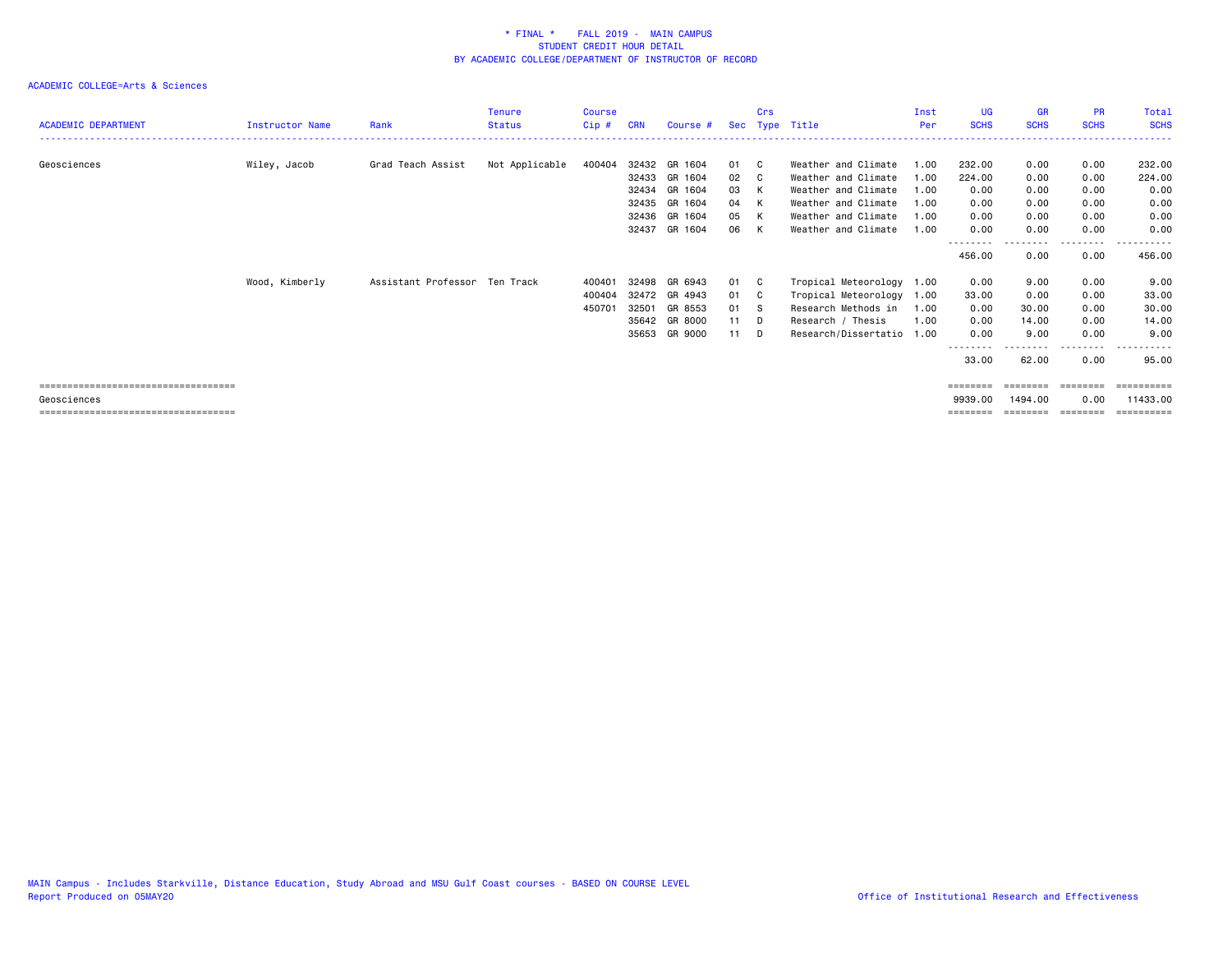| <b>ACADEMIC DEPARTMENT</b>           | <b>Instructor Name</b> | Rank                          | Tenure<br><b>Status</b> | <b>Course</b><br>Cip# | <b>CRN</b> | Course #      |    | Crs | Sec Type Title       | Inst<br>Per | <b>UG</b><br><b>SCHS</b> | <b>GR</b><br><b>SCHS</b> | <b>PR</b><br><b>SCHS</b> | Total<br><b>SCHS</b>           |
|--------------------------------------|------------------------|-------------------------------|-------------------------|-----------------------|------------|---------------|----|-----|----------------------|-------------|--------------------------|--------------------------|--------------------------|--------------------------------|
|                                      |                        |                               |                         |                       |            |               |    |     |                      |             |                          |                          |                          |                                |
| Geosciences                          | Wiley, Jacob           | Grad Teach Assist             | Not Applicable          | 400404                |            | 32432 GR 1604 | 01 | - C | Weather and Climate  | 1.00        | 232.00                   | 0.00                     | 0.00                     | 232.00                         |
|                                      |                        |                               |                         |                       |            | 32433 GR 1604 | 02 | - C | Weather and Climate  | 1.00        | 224.00                   | 0.00                     | 0.00                     | 224.00                         |
|                                      |                        |                               |                         |                       | 32434      | GR 1604       | 03 | к   | Weather and Climate  | 1.00        | 0.00                     | 0.00                     | 0.00                     | 0.00                           |
|                                      |                        |                               |                         |                       | 32435      | GR 1604       | 04 | K   | Weather and Climate  | 1.00        | 0.00                     | 0.00                     | 0.00                     | 0.00                           |
|                                      |                        |                               |                         |                       |            | 32436 GR 1604 | 05 | K   | Weather and Climate  | 1.00        | 0.00                     | 0.00                     | 0.00                     | 0.00                           |
|                                      |                        |                               |                         |                       | 32437      | GR 1604       | 06 | K   | Weather and Climate  | 1.00        | 0.00                     | 0.00                     | 0.00                     | 0.00                           |
|                                      |                        |                               |                         |                       |            |               |    |     |                      |             | --------<br>456.00       | 0.00                     | . <b>.</b><br>0.00       | - - - - - - <b>-</b><br>456.00 |
|                                      | Wood, Kimberly         | Assistant Professor Ten Track |                         | 40040                 | 32498      | GR 6943       | 01 | - C | Tropical Meteorology | 1.00        | 0.00                     | 9.00                     | 0.00                     | 9.00                           |
|                                      |                        |                               |                         | 400404                | 32472      | GR 4943       | 01 | - C | Tropical Meteorology | 1.00        | 33.00                    | 0.00                     | 0.00                     | 33.00                          |
|                                      |                        |                               |                         | 450701                | 32501      | GR 8553       | 01 | - S | Research Methods in  | 1.00        | 0.00                     | 30.00                    | 0.00                     | 30.00                          |
|                                      |                        |                               |                         |                       |            | 35642 GR 8000 | 11 | - D | Research / Thesis    | 1.00        | 0.00                     | 14.00                    | 0.00                     | 14.00                          |
|                                      |                        |                               |                         |                       | 35653      | GR 9000       | 11 | - D | Research/Dissertatio | 1.00        | 0.00                     | 9.00                     | 0.00                     | 9.00                           |
|                                      |                        |                               |                         |                       |            |               |    |     |                      |             | --------<br>33.00        | 62.00                    | .<br>0.00                | . <b>.</b> .<br>95.00          |
| ==================================== |                        |                               |                         |                       |            |               |    |     |                      |             | ========                 | ========                 | ---------                | ==========                     |
| Geosciences                          |                        |                               |                         |                       |            |               |    |     |                      |             | 9939.00                  | 1494.00                  | 0.00                     | 11433.00                       |
| ==================================== |                        |                               |                         |                       |            |               |    |     |                      |             | ========                 | ========                 | ========                 |                                |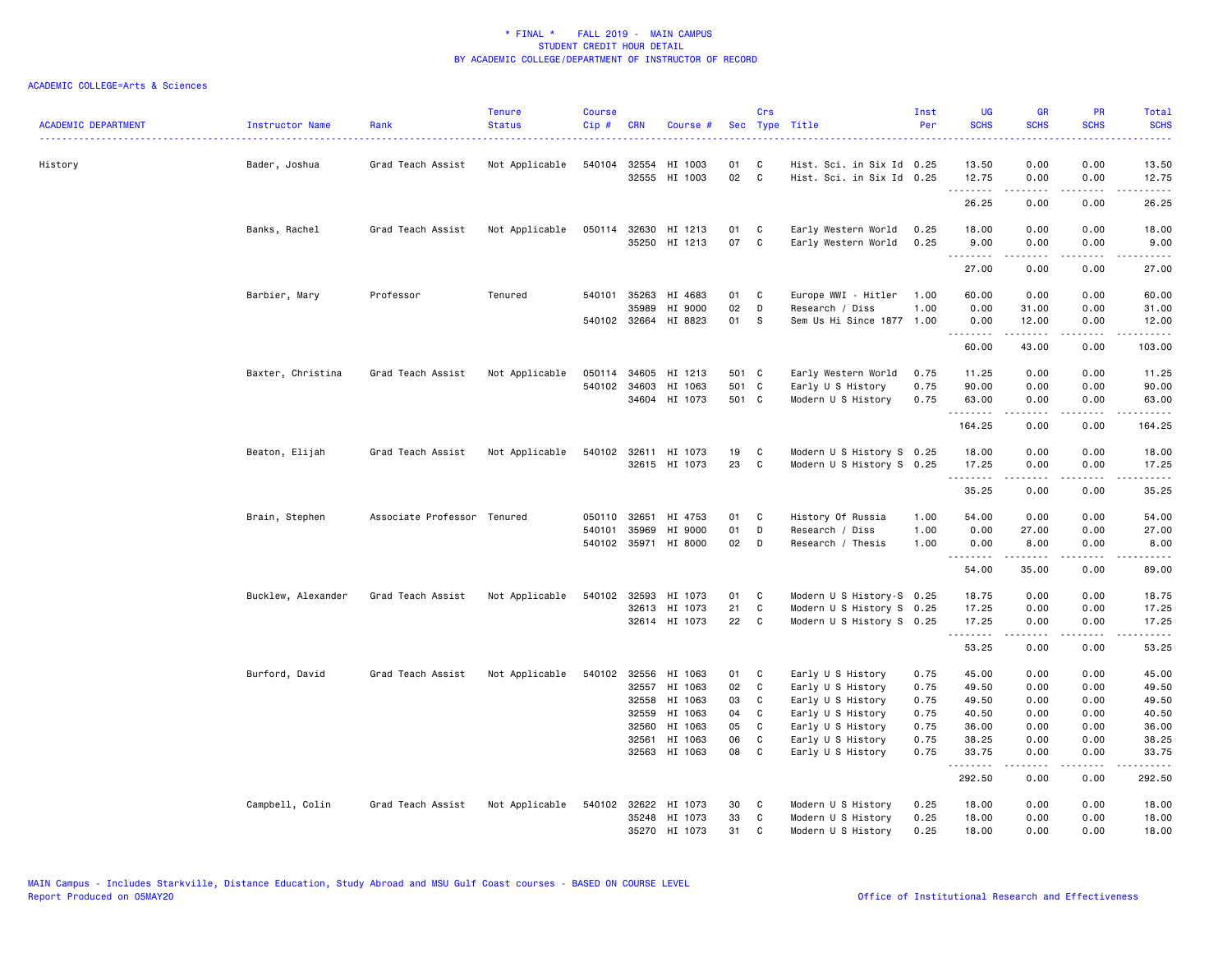| <b>ACADEMIC DEPARTMENT</b> | Instructor Name    | Rank                        | <b>Tenure</b><br><b>Status</b> | <b>Course</b><br>Cip# | <b>CRN</b>   | Course #             |       | Crs<br>Sec Type Title |                           | Inst<br>Per | <b>UG</b><br><b>SCHS</b> | <b>GR</b><br><b>SCHS</b> | PR<br><b>SCHS</b>                           | Total<br><b>SCHS</b>                                                                                                                                         |
|----------------------------|--------------------|-----------------------------|--------------------------------|-----------------------|--------------|----------------------|-------|-----------------------|---------------------------|-------------|--------------------------|--------------------------|---------------------------------------------|--------------------------------------------------------------------------------------------------------------------------------------------------------------|
| History                    | Bader, Joshua      | Grad Teach Assist           | Not Applicable                 | 540104                | 32554        | HI 1003              | 01    | C                     | Hist. Sci. in Six Id 0.25 |             | 13.50                    | 0.00                     | 0.00                                        | 13.50                                                                                                                                                        |
|                            |                    |                             |                                |                       | 32555        | HI 1003              | 02    | $\mathbf c$           | Hist. Sci. in Six Id 0.25 |             | 12.75<br><u>.</u>        | 0.00<br>22222            | 0.00<br>.                                   | 12.75<br>.                                                                                                                                                   |
|                            |                    |                             |                                |                       |              |                      |       |                       |                           |             | 26.25                    | 0.00                     | 0.00                                        | 26.25                                                                                                                                                        |
|                            | Banks, Rachel      | Grad Teach Assist           | Not Applicable                 | 050114                | 32630        | HI 1213              | 01 C  |                       | Early Western World       | 0.25        | 18.00                    | 0.00                     | 0.00                                        | 18.00                                                                                                                                                        |
|                            |                    |                             |                                |                       |              | 35250 HI 1213        | 07    | $\mathbf{C}$          | Early Western World       | 0.25        | 9.00<br><b></b>          | 0.00<br>.                | 0.00<br>$\sim$ $\sim$ $\sim$                | 9.00<br>$\frac{1}{2} \left( \frac{1}{2} \right) \left( \frac{1}{2} \right) \left( \frac{1}{2} \right) \left( \frac{1}{2} \right) \left( \frac{1}{2} \right)$ |
|                            |                    |                             |                                |                       |              |                      |       |                       |                           |             | 27.00                    | 0.00                     | 0.00                                        | 27.00                                                                                                                                                        |
|                            | Barbier, Mary      | Professor                   | Tenured                        |                       | 540101 35263 | HI 4683              | 01    | C                     | Europe WWI - Hitler       | 1.00        | 60.00                    | 0.00                     | 0.00                                        | 60.00                                                                                                                                                        |
|                            |                    |                             |                                |                       | 35989        | HI 9000              | 02    | D                     | Research / Diss           | 1.00        | 0.00                     | 31.00                    | 0.00                                        | 31.00                                                                                                                                                        |
|                            |                    |                             |                                |                       |              | 540102 32664 HI 8823 | 01    | <b>S</b>              | Sem Us Hi Since 1877 1.00 |             | 0.00<br>.                | 12.00<br>2.2.2.2.2       | 0.00<br>$\omega$ $\omega$ $\omega$ $\omega$ | 12.00<br>د د د د د                                                                                                                                           |
|                            |                    |                             |                                |                       |              |                      |       |                       |                           |             | 60.00                    | 43.00                    | 0.00                                        | 103.00                                                                                                                                                       |
|                            | Baxter, Christina  | Grad Teach Assist           | Not Applicable                 |                       | 050114 34605 | HI 1213              | 501 C |                       | Early Western World       | 0.75        | 11.25                    | 0.00                     | 0.00                                        | 11.25                                                                                                                                                        |
|                            |                    |                             |                                |                       | 540102 34603 | HI 1063              | 501 C |                       | Early U S History         | 0.75        | 90.00                    | 0.00                     | 0.00                                        | 90.00                                                                                                                                                        |
|                            |                    |                             |                                |                       |              | 34604 HI 1073        | 501 C |                       | Modern U S History        | 0.75        | 63.00<br>.               | 0.00<br>.                | 0.00<br>$\sim$ $\sim$ $\sim$                | 63.00<br>د د د د د                                                                                                                                           |
|                            |                    |                             |                                |                       |              |                      |       |                       |                           |             | 164.25                   | 0.00                     | 0.00                                        | 164.25                                                                                                                                                       |
|                            | Beaton, Elijah     | Grad Teach Assist           | Not Applicable                 |                       |              | 540102 32611 HI 1073 | 19    | C                     | Modern U S History S 0.25 |             | 18.00                    | 0.00                     | 0.00                                        | 18.00                                                                                                                                                        |
|                            |                    |                             |                                |                       |              | 32615 HI 1073        | 23    | $\mathbf{C}$          | Modern U S History S 0.25 |             | 17.25                    | 0.00                     | 0.00                                        | 17.25                                                                                                                                                        |
|                            |                    |                             |                                |                       |              |                      |       |                       |                           |             | .<br>35.25               | $- - - - -$<br>0.00      | .<br>0.00                                   | .<br>35.25                                                                                                                                                   |
|                            | Brain, Stephen     | Associate Professor Tenured |                                | 050110                | 32651        | HI 4753              | 01    | $\mathbf{C}$          | History Of Russia         | 1.00        | 54.00                    | 0.00                     | 0.00                                        | 54.00                                                                                                                                                        |
|                            |                    |                             |                                | 540101                | 35969        | HI 9000              | 01    | D                     | Research / Diss           | 1.00        | 0.00                     | 27.00                    | 0.00                                        | 27.00                                                                                                                                                        |
|                            |                    |                             |                                |                       |              | 540102 35971 HI 8000 | 02    | $\mathsf{D}$          | Research / Thesis         | 1.00        | 0.00<br>.                | 8.00<br><u>.</u>         | 0.00<br>.                                   | 8.00<br>.                                                                                                                                                    |
|                            |                    |                             |                                |                       |              |                      |       |                       |                           |             | 54.00                    | 35.00                    | 0.00                                        | 89.00                                                                                                                                                        |
|                            | Bucklew, Alexander | Grad Teach Assist           | Not Applicable                 | 540102                | 32593        | HI 1073              | 01    | C                     | Modern U S History-S 0.25 |             | 18.75                    | 0.00                     | 0.00                                        | 18.75                                                                                                                                                        |
|                            |                    |                             |                                |                       |              | 32613 HI 1073        | 21    | C                     | Modern U S History S 0.25 |             | 17.25                    | 0.00                     | 0.00                                        | 17.25                                                                                                                                                        |
|                            |                    |                             |                                |                       |              | 32614 HI 1073        | 22    | $\mathbf{C}$          | Modern U S History S 0.25 |             | 17.25<br>.               | 0.00<br><u>.</u>         | 0.00<br>.                                   | 17.25<br>.                                                                                                                                                   |
|                            |                    |                             |                                |                       |              |                      |       |                       |                           |             | 53.25                    | 0.00                     | 0.00                                        | 53.25                                                                                                                                                        |
|                            | Burford, David     | Grad Teach Assist           | Not Applicable                 | 540102                |              | 32556 HI 1063        | 01    | $\mathbf{C}$          | Early U S History         | 0.75        | 45.00                    | 0.00                     | 0.00                                        | 45.00                                                                                                                                                        |
|                            |                    |                             |                                |                       | 32557        | HI 1063              | 02    | $\mathbf{C}$          | Early U S History         | 0.75        | 49.50                    | 0.00                     | 0.00                                        | 49.50                                                                                                                                                        |
|                            |                    |                             |                                |                       | 32558        | HI 1063              | 03    | C                     | Early U S History         | 0.75        | 49.50                    | 0.00                     | 0.00                                        | 49.50                                                                                                                                                        |
|                            |                    |                             |                                |                       | 32559        | HI 1063              | 04    | C                     | Early U S History         | 0.75        | 40.50                    | 0.00                     | 0.00                                        | 40.50                                                                                                                                                        |
|                            |                    |                             |                                |                       | 32560        | HI 1063              | 05    | $\mathbf{C}$          | Early U S History         | 0.75        | 36.00                    | 0.00                     | 0.00                                        | 36.00                                                                                                                                                        |
|                            |                    |                             |                                |                       | 32561        | HI 1063              | 06    | $\mathbf{C}$          | Early U S History         | 0.75        | 38.25                    | 0.00                     | 0.00                                        | 38.25                                                                                                                                                        |
|                            |                    |                             |                                |                       |              | 32563 HI 1063        | 08    | $\mathbf{C}$          | Early U S History         | 0.75        | 33.75<br><b></b>         | 0.00<br>.                | 0.00<br>$\omega$ $\omega$ $\omega$ $\omega$ | 33.75<br>.                                                                                                                                                   |
|                            |                    |                             |                                |                       |              |                      |       |                       |                           |             | 292.50                   | 0.00                     | 0.00                                        | 292.50                                                                                                                                                       |
|                            | Campbell, Colin    | Grad Teach Assist           | Not Applicable                 | 540102                |              | 32622 HI 1073        | 30    | C                     | Modern U S History        | 0.25        | 18.00                    | 0.00                     | 0.00                                        | 18.00                                                                                                                                                        |
|                            |                    |                             |                                |                       |              | 35248 HI 1073        | 33    | C                     | Modern U S History        | 0.25        | 18.00                    | 0.00                     | 0.00                                        | 18.00                                                                                                                                                        |
|                            |                    |                             |                                |                       |              | 35270 HI 1073        | 31    | C                     | Modern U S History        | 0.25        | 18.00                    | 0.00                     | 0.00                                        | 18.00                                                                                                                                                        |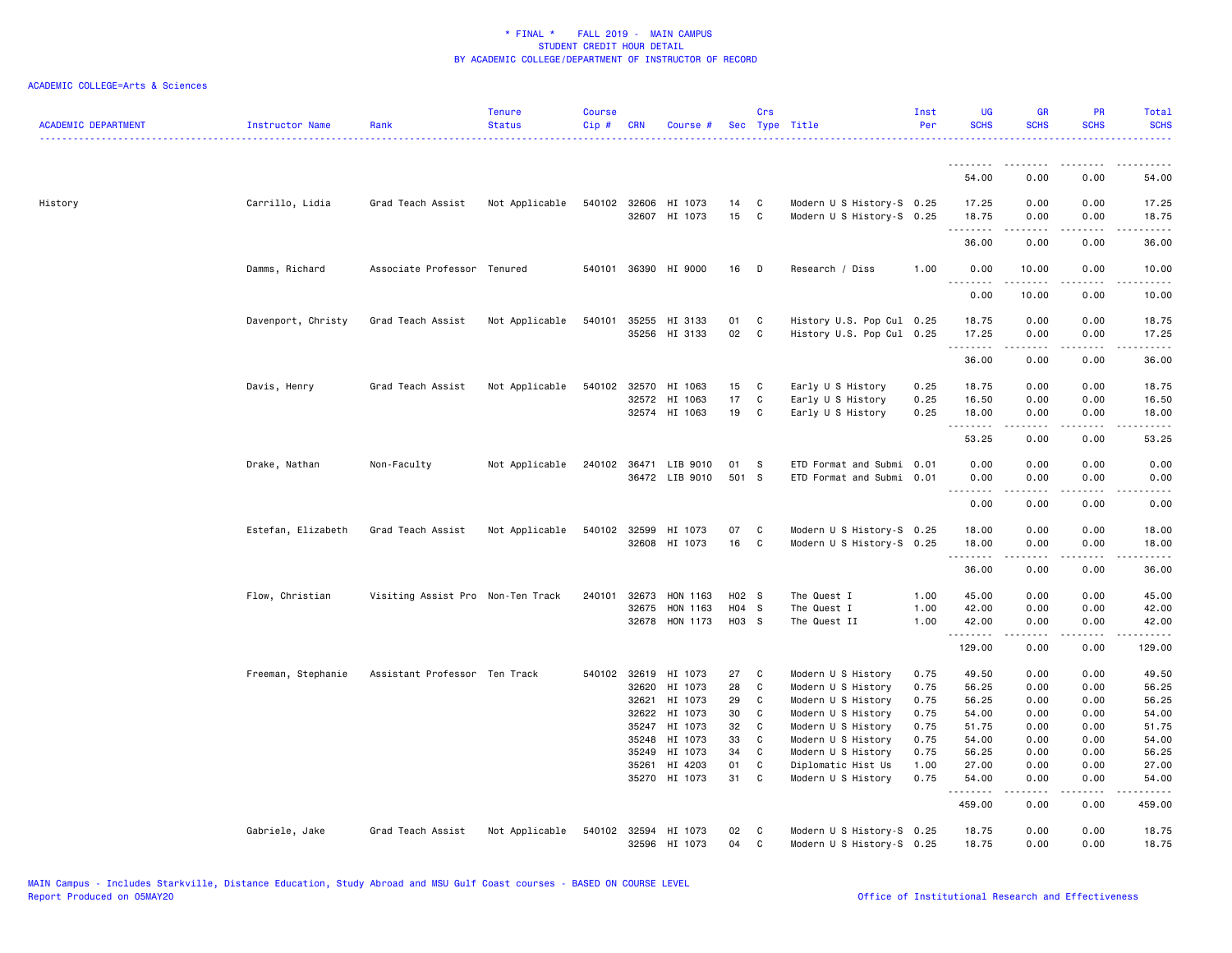| <b>ACADEMIC DEPARTMENT</b> | Instructor Name    | Rank                              | <b>Tenure</b><br><b>Status</b> | <b>Course</b><br>Cip # | <b>CRN</b>     | Course #                              |          | Crs               | Sec Type Title                                         | Inst<br>Per  | <b>UG</b><br><b>SCHS</b> | <b>GR</b><br><b>SCHS</b>                                                                                                                                      | PR<br><b>SCHS</b> | Total<br><b>SCHS</b> |
|----------------------------|--------------------|-----------------------------------|--------------------------------|------------------------|----------------|---------------------------------------|----------|-------------------|--------------------------------------------------------|--------------|--------------------------|---------------------------------------------------------------------------------------------------------------------------------------------------------------|-------------------|----------------------|
|                            |                    |                                   |                                |                        |                |                                       |          |                   |                                                        |              | .<br>54.00               | .<br>0.00                                                                                                                                                     | 0.00              | 54.00                |
| History                    | Carrillo, Lidia    | Grad Teach Assist                 | Not Applicable                 |                        |                | 540102 32606 HI 1073<br>32607 HI 1073 | 14<br>15 | C<br>C            | Modern U S History-S 0.25<br>Modern U S History-S 0.25 |              | 17.25<br>18.75           | 0.00<br>0.00                                                                                                                                                  | 0.00<br>0.00      | 17.25<br>18.75       |
|                            |                    |                                   |                                |                        |                |                                       |          |                   |                                                        |              | $- - - - - - -$<br>36.00 | -----<br>0.00                                                                                                                                                 | .<br>0.00         | .<br>36.00           |
|                            | Damms, Richard     | Associate Professor Tenured       |                                |                        |                | 540101 36390 HI 9000                  | 16       | D                 | Research / Diss                                        | 1.00         | 0.00                     | 10.00                                                                                                                                                         | 0.00              | 10.00                |
|                            |                    |                                   |                                |                        |                |                                       |          |                   |                                                        |              | .<br>0.00                | $\frac{1}{2} \left( \frac{1}{2} \right) \left( \frac{1}{2} \right) \left( \frac{1}{2} \right) \left( \frac{1}{2} \right) \left( \frac{1}{2} \right)$<br>10.00 | .<br>0.00         | .<br>10.00           |
|                            | Davenport, Christy | Grad Teach Assist                 | Not Applicable                 | 540101                 |                | 35255 HI 3133                         | 01       | C                 | History U.S. Pop Cul 0.25                              |              | 18.75                    | 0.00                                                                                                                                                          | 0.00              | 18.75                |
|                            |                    |                                   |                                |                        |                | 35256 HI 3133                         | 02       | $\mathbf{C}$      | History U.S. Pop Cul 0.25                              |              | 17.25                    | 0.00                                                                                                                                                          | 0.00              | 17.25                |
|                            |                    |                                   |                                |                        |                |                                       |          |                   |                                                        |              | .<br>36.00               | $- - - - -$<br>0.00                                                                                                                                           | .<br>0.00         | .<br>36.00           |
|                            | Davis, Henry       | Grad Teach Assist                 | Not Applicable                 |                        | 540102 32570   | HI 1063                               | 15       | C                 | Early U S History                                      | 0.25         | 18.75                    | 0.00                                                                                                                                                          | 0.00              | 18.75                |
|                            |                    |                                   |                                |                        |                | 32572 HI 1063                         | 17       | C                 | Early U S History                                      | 0.25         | 16.50                    | 0.00                                                                                                                                                          | 0.00              | 16.50                |
|                            |                    |                                   |                                |                        |                | 32574 HI 1063                         | 19       | C                 | Early U S History                                      | 0.25         | 18.00                    | 0.00                                                                                                                                                          | 0.00              | 18.00                |
|                            |                    |                                   |                                |                        |                |                                       |          |                   |                                                        |              | .<br>53.25               | 0.00                                                                                                                                                          | 0.00              | .<br>53.25           |
|                            | Drake, Nathan      | Non-Faculty                       | Not Applicable                 |                        |                | 240102 36471 LIB 9010                 | 01       | S                 | ETD Format and Submi                                   | 0.01         | 0.00                     | 0.00                                                                                                                                                          | 0.00              | 0.00                 |
|                            |                    |                                   |                                |                        |                | 36472 LIB 9010                        | 501 S    |                   | ETD Format and Submi 0.01                              |              | 0.00                     | 0.00                                                                                                                                                          | 0.00              | 0.00                 |
|                            |                    |                                   |                                |                        |                |                                       |          |                   |                                                        |              | .<br>0.00                | .<br>0.00                                                                                                                                                     | .<br>0.00         | $- - - -$<br>0.00    |
|                            |                    |                                   |                                |                        |                |                                       |          |                   |                                                        |              |                          |                                                                                                                                                               |                   |                      |
|                            | Estefan, Elizabeth | Grad Teach Assist                 | Not Applicable                 |                        | 540102 32599   | HI 1073<br>32608 HI 1073              | 07<br>16 | C<br>C            | Modern U S History-S 0.25<br>Modern U S History-S 0.25 |              | 18.00<br>18.00           | 0.00<br>0.00                                                                                                                                                  | 0.00<br>0.00      | 18.00<br>18.00       |
|                            |                    |                                   |                                |                        |                |                                       |          |                   |                                                        |              | .                        | .                                                                                                                                                             |                   | .                    |
|                            |                    |                                   |                                |                        |                |                                       |          |                   |                                                        |              | 36.00                    | 0.00                                                                                                                                                          | 0.00              | 36.00                |
|                            | Flow, Christian    | Visiting Assist Pro Non-Ten Track |                                |                        | 240101 32673   | HON 1163                              | H02 S    |                   | The Quest I                                            | 1.00         | 45.00                    | 0.00                                                                                                                                                          | 0.00              | 45.00                |
|                            |                    |                                   |                                |                        | 32675          | HON 1163                              | H04 S    |                   | The Quest I                                            | 1.00         | 42.00                    | 0.00                                                                                                                                                          | 0.00              | 42.00                |
|                            |                    |                                   |                                |                        |                | 32678 HON 1173                        | H03 S    |                   | The Quest II                                           | 1.00         | 42.00<br>.               | 0.00                                                                                                                                                          | 0.00<br>.         | 42.00<br>.           |
|                            |                    |                                   |                                |                        |                |                                       |          |                   |                                                        |              | 129.00                   | 0.00                                                                                                                                                          | 0.00              | 129.00               |
|                            | Freeman, Stephanie | Assistant Professor Ten Track     |                                |                        |                | 540102 32619 HI 1073                  | 27       | C                 | Modern U S History                                     | 0.75         | 49.50                    | 0.00                                                                                                                                                          | 0.00              | 49.50                |
|                            |                    |                                   |                                |                        | 32620          | HI 1073                               | 28       | C                 | Modern U S History                                     | 0.75         | 56.25                    | 0.00                                                                                                                                                          | 0.00              | 56.25                |
|                            |                    |                                   |                                |                        | 32621          | HI 1073                               | 29       | C                 | Modern U S History                                     | 0.75         | 56.25                    | 0.00                                                                                                                                                          | 0.00              | 56.25                |
|                            |                    |                                   |                                |                        | 32622          | HI 1073                               | 30       | C                 | Modern U S History                                     | 0.75         | 54.00                    | 0.00                                                                                                                                                          | 0.00              | 54.00                |
|                            |                    |                                   |                                |                        | 35247          | HI 1073                               | 32       | C                 | Modern U S History                                     | 0.75         | 51.75                    | 0.00                                                                                                                                                          | 0.00              | 51.75                |
|                            |                    |                                   |                                |                        | 35248          | HI 1073                               | 33       | C                 | Modern U S History                                     | 0.75         | 54.00                    | 0.00                                                                                                                                                          | 0.00              | 54.00                |
|                            |                    |                                   |                                |                        | 35249<br>35261 | HI 1073<br>HI 4203                    | 34<br>01 | C<br>$\mathtt{C}$ | Modern U S History                                     | 0.75         | 56.25<br>27.00           | 0.00<br>0.00                                                                                                                                                  | 0.00<br>0.00      | 56.25<br>27.00       |
|                            |                    |                                   |                                |                        |                | 35270 HI 1073                         | 31       | C                 | Diplomatic Hist Us<br>Modern U S History               | 1.00<br>0.75 | 54.00                    | 0.00                                                                                                                                                          | 0.00              | 54.00                |
|                            |                    |                                   |                                |                        |                |                                       |          |                   |                                                        |              | .<br>459.00              | 22222<br>0.00                                                                                                                                                 | .<br>0.00         | .<br>459.00          |
|                            | Gabriele, Jake     | Grad Teach Assist                 | Not Applicable                 | 540102                 |                | 32594 HI 1073                         | 02       | C                 | Modern U S History-S 0.25                              |              | 18.75                    | 0.00                                                                                                                                                          | 0.00              | 18.75                |
|                            |                    |                                   |                                |                        |                | 32596 HI 1073                         | 04       | $\mathbf{C}$      | Modern U S History-S 0.25                              |              | 18.75                    | 0.00                                                                                                                                                          | 0.00              | 18.75                |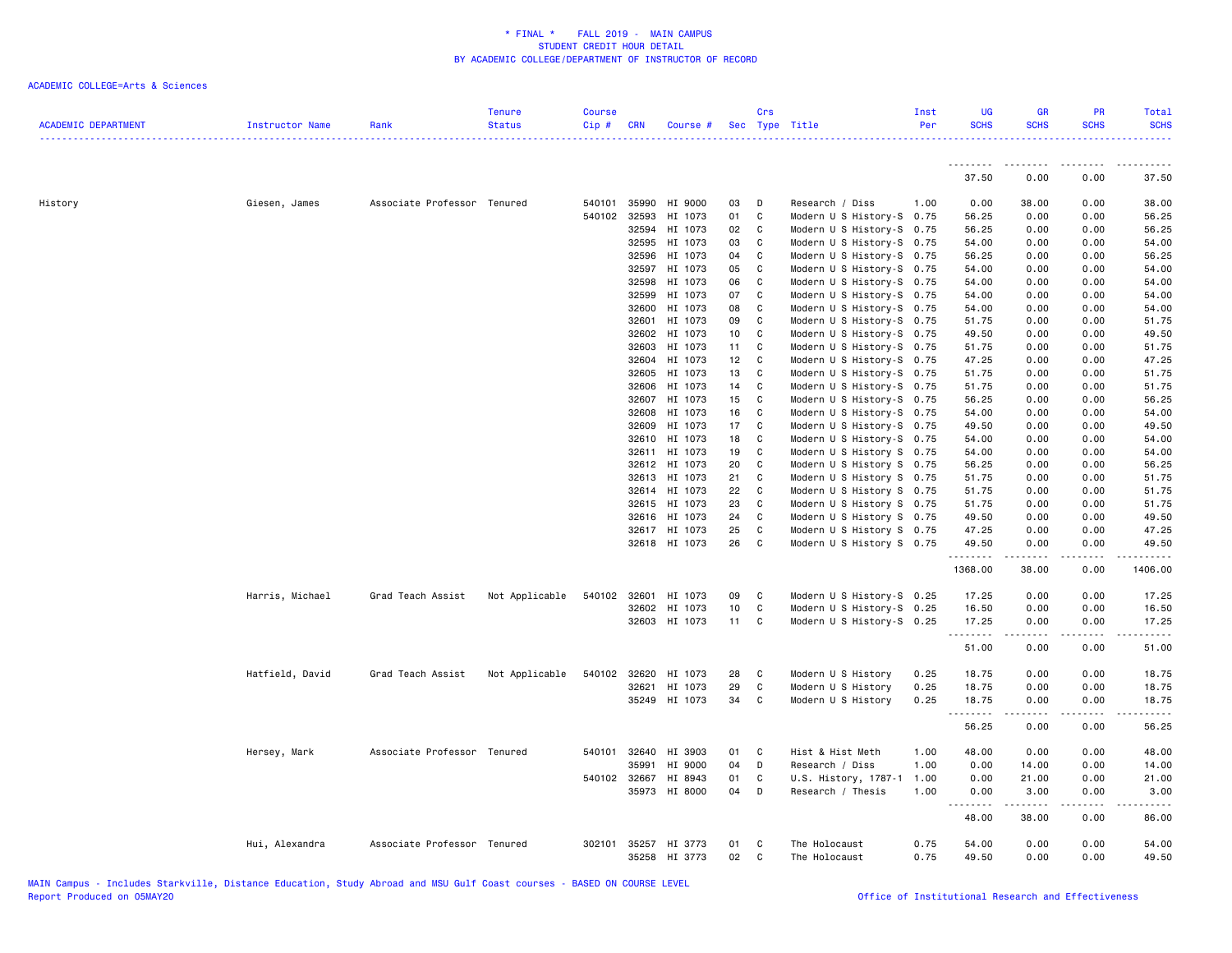| <b>ACADEMIC DEPARTMENT</b> | Instructor Name | Rank                        | <b>Tenure</b><br><b>Status</b> | <b>Course</b><br>Cip# | <b>CRN</b>     | Course #             |          | Crs               | Sec Type Title                                         | Inst<br>Per | <b>UG</b><br><b>SCHS</b> | <b>GR</b><br><b>SCHS</b> | <b>PR</b><br><b>SCHS</b> | Total<br><b>SCHS</b><br>. |
|----------------------------|-----------------|-----------------------------|--------------------------------|-----------------------|----------------|----------------------|----------|-------------------|--------------------------------------------------------|-------------|--------------------------|--------------------------|--------------------------|---------------------------|
|                            |                 |                             |                                |                       |                |                      |          |                   |                                                        |             | ---------                | --------                 | <b></b>                  | <u>.</u>                  |
|                            |                 |                             |                                |                       |                |                      |          |                   |                                                        |             | 37.50                    | 0.00                     | 0.00                     | 37.50                     |
| History                    | Giesen, James   | Associate Professor Tenured |                                | 540101                | 35990          | HI 9000              | 03       | D                 | Research / Diss                                        | 1.00        | 0.00                     | 38.00                    | 0.00                     | 38.00                     |
|                            |                 |                             |                                | 540102                | 32593          | HI 1073              | 01       | C                 | Modern U S History-S 0.75                              |             | 56.25                    | 0.00                     | 0.00                     | 56.25                     |
|                            |                 |                             |                                |                       | 32594          | HI 1073              | 02       | C                 | Modern U S History-S 0.75                              |             | 56.25                    | 0.00                     | 0.00                     | 56.25                     |
|                            |                 |                             |                                |                       | 32595          | HI 1073              | 03       | C                 | Modern U S History-S 0.75                              |             | 54.00                    | 0.00                     | 0.00                     | 54.00                     |
|                            |                 |                             |                                |                       | 32596          | HI 1073              | 04       | C                 | Modern U S History-S 0.75                              |             | 56.25                    | 0.00                     | 0.00                     | 56.25                     |
|                            |                 |                             |                                |                       | 32597          | HI 1073              | 05       | C                 | Modern U S History-S 0.75                              |             | 54.00                    | 0.00                     | 0.00                     | 54.00                     |
|                            |                 |                             |                                |                       | 32598          | HI 1073              | 06       | C                 | Modern U S History-S 0.75                              |             | 54.00                    | 0.00                     | 0.00                     | 54.00                     |
|                            |                 |                             |                                |                       | 32599          | HI 1073              | 07       | C                 | Modern U S History-S 0.75                              |             | 54.00                    | 0.00                     | 0.00                     | 54.00                     |
|                            |                 |                             |                                |                       | 32600          | HI 1073              | 08       | $\mathbf{C}$      | Modern U S History-S 0.75                              |             | 54.00                    | 0.00                     | 0.00                     | 54.00                     |
|                            |                 |                             |                                |                       | 32601          | HI 1073              | 09       | C                 | Modern U S History-S 0.75                              |             | 51.75                    | 0.00                     | 0.00                     | 51.75                     |
|                            |                 |                             |                                |                       | 32602          | HI 1073              | 10       | C                 | Modern U S History-S 0.75                              |             | 49.50                    | 0.00                     | 0.00                     | 49.50                     |
|                            |                 |                             |                                |                       | 32603          | HI 1073              | 11       | $\mathbf{C}$      | Modern U S History-S 0.75                              |             | 51.75                    | 0.00                     | 0.00                     | 51.75                     |
|                            |                 |                             |                                |                       | 32604          | HI 1073              | 12       | C                 | Modern U S History-S 0.75                              |             | 47.25                    | 0.00                     | 0.00                     | 47.25                     |
|                            |                 |                             |                                |                       | 32605          | HI 1073              | 13       | C                 | Modern U S History-S 0.75                              |             | 51.75                    | 0.00                     | 0.00                     | 51.75                     |
|                            |                 |                             |                                |                       | 32606          | HI 1073              | 14       | C                 | Modern U S History-S 0.75                              |             | 51.75                    | 0.00                     | 0.00                     | 51.75                     |
|                            |                 |                             |                                |                       | 32607          | HI 1073              | 15       | C                 | Modern U S History-S 0.75                              |             | 56.25                    | 0.00                     | 0.00                     | 56.25                     |
|                            |                 |                             |                                |                       | 32608          | HI 1073              | 16       | C                 | Modern U S History-S 0.75                              |             | 54.00                    | 0.00                     | 0.00                     | 54.00                     |
|                            |                 |                             |                                |                       | 32609<br>32610 | HI 1073<br>HI 1073   | 17<br>18 | $\mathbf{C}$<br>C | Modern U S History-S 0.75<br>Modern U S History-S 0.75 |             | 49.50<br>54.00           | 0.00<br>0.00             | 0.00<br>0.00             | 49.50<br>54.00            |
|                            |                 |                             |                                |                       | 32611          | HI 1073              | 19       | C                 | Modern U S History S 0.75                              |             | 54.00                    | 0.00                     | 0.00                     | 54.00                     |
|                            |                 |                             |                                |                       | 32612          | HI 1073              | 20       | C                 |                                                        |             | 56.25                    | 0.00                     | 0.00                     | 56.25                     |
|                            |                 |                             |                                |                       | 32613          | HI 1073              | 21       | C                 | Modern U S History S 0.75<br>Modern U S History S 0.75 |             | 51.75                    | 0.00                     | 0.00                     | 51.75                     |
|                            |                 |                             |                                |                       |                | 32614 HI 1073        | 22       | C                 | Modern U S History S 0.75                              |             | 51.75                    | 0.00                     | 0.00                     | 51.75                     |
|                            |                 |                             |                                |                       |                | 32615 HI 1073        | 23       | C                 | Modern U S History S 0.75                              |             | 51.75                    | 0.00                     | 0.00                     | 51.75                     |
|                            |                 |                             |                                |                       | 32616          | HI 1073              | 24       | C                 | Modern U S History S 0.75                              |             | 49.50                    | 0.00                     | 0.00                     | 49.50                     |
|                            |                 |                             |                                |                       |                | 32617 HI 1073        | 25       | C                 | Modern U S History S 0.75                              |             | 47.25                    | 0.00                     | 0.00                     | 47.25                     |
|                            |                 |                             |                                |                       |                | 32618 HI 1073        | 26       | C                 | Modern U S History S 0.75                              |             | 49.50                    | 0.00                     | 0.00                     | 49.50                     |
|                            |                 |                             |                                |                       |                |                      |          |                   |                                                        |             | .                        | $- - - - -$              | .                        | .                         |
|                            |                 |                             |                                |                       |                |                      |          |                   |                                                        |             | 1368.00                  | 38.00                    | 0.00                     | 1406.00                   |
|                            | Harris, Michael | Grad Teach Assist           | Not Applicable                 |                       | 540102 32601   | HI 1073              | 09       | C                 | Modern U S History-S 0.25                              |             | 17.25                    | 0.00                     | 0.00                     | 17.25                     |
|                            |                 |                             |                                |                       |                | 32602 HI 1073        | 10       | C                 | Modern U S History-S 0.25                              |             | 16.50                    | 0.00                     | 0.00                     | 16.50                     |
|                            |                 |                             |                                |                       |                | 32603 HI 1073        | 11 C     |                   | Modern U S History-S 0.25                              |             | 17.25                    | 0.00                     | 0.00<br>.                | 17.25                     |
|                            |                 |                             |                                |                       |                |                      |          |                   |                                                        |             | .<br>51.00               | ------<br>0.00           | 0.00                     | .<br>51.00                |
|                            | Hatfield, David | Grad Teach Assist           | Not Applicable                 |                       | 540102 32620   | HI 1073              | 28       | C                 | Modern U S History                                     | 0.25        | 18.75                    | 0.00                     | 0.00                     | 18.75                     |
|                            |                 |                             |                                |                       | 32621          | HI 1073              | 29       | $\mathtt{C}$      | Modern U S History                                     | 0.25        | 18.75                    | 0.00                     | 0.00                     | 18.75                     |
|                            |                 |                             |                                |                       |                | 35249 HI 1073        | 34       | C                 | Modern U S History                                     | 0.25        | 18.75                    | 0.00                     | 0.00                     | 18.75                     |
|                            |                 |                             |                                |                       |                |                      |          |                   |                                                        |             | .<br>56.25               | $- - - - -$<br>0.00      | .<br>0.00                | .<br>56.25                |
|                            |                 |                             |                                |                       |                |                      |          |                   |                                                        |             |                          |                          |                          |                           |
|                            | Hersey, Mark    | Associate Professor Tenured |                                |                       | 540101 32640   | HI 3903              | 01       | C                 | Hist & Hist Meth                                       | 1.00        | 48.00                    | 0.00                     | 0.00                     | 48.00                     |
|                            |                 |                             |                                |                       | 35991          | HI 9000              | 04       | D                 | Research / Diss                                        | 1.00        | 0.00                     | 14.00                    | 0.00                     | 14.00                     |
|                            |                 |                             |                                |                       | 540102 32667   | HI 8943              | 01       | C                 | U.S. History, 1787-1                                   | 1.00        | 0.00                     | 21.00                    | 0.00                     | 21.00                     |
|                            |                 |                             |                                |                       | 35973          | HI 8000              | 04       | D                 | Research / Thesis                                      | 1.00        | 0.00<br><u>--------</u>  | 3.00<br>.                | 0.00<br>د د د د          | 3.00<br>المتمام           |
|                            |                 |                             |                                |                       |                |                      |          |                   |                                                        |             | 48.00                    | 38.00                    | 0.00                     | 86.00                     |
|                            | Hui, Alexandra  | Associate Professor Tenured |                                |                       |                | 302101 35257 HI 3773 | 01       | C                 | The Holocaust                                          | 0.75        | 54.00                    | 0.00                     | 0.00                     | 54.00                     |
|                            |                 |                             |                                |                       |                | 35258 HI 3773        | 02       | C                 | The Holocaust                                          | 0.75        | 49.50                    | 0.00                     | 0.00                     | 49.50                     |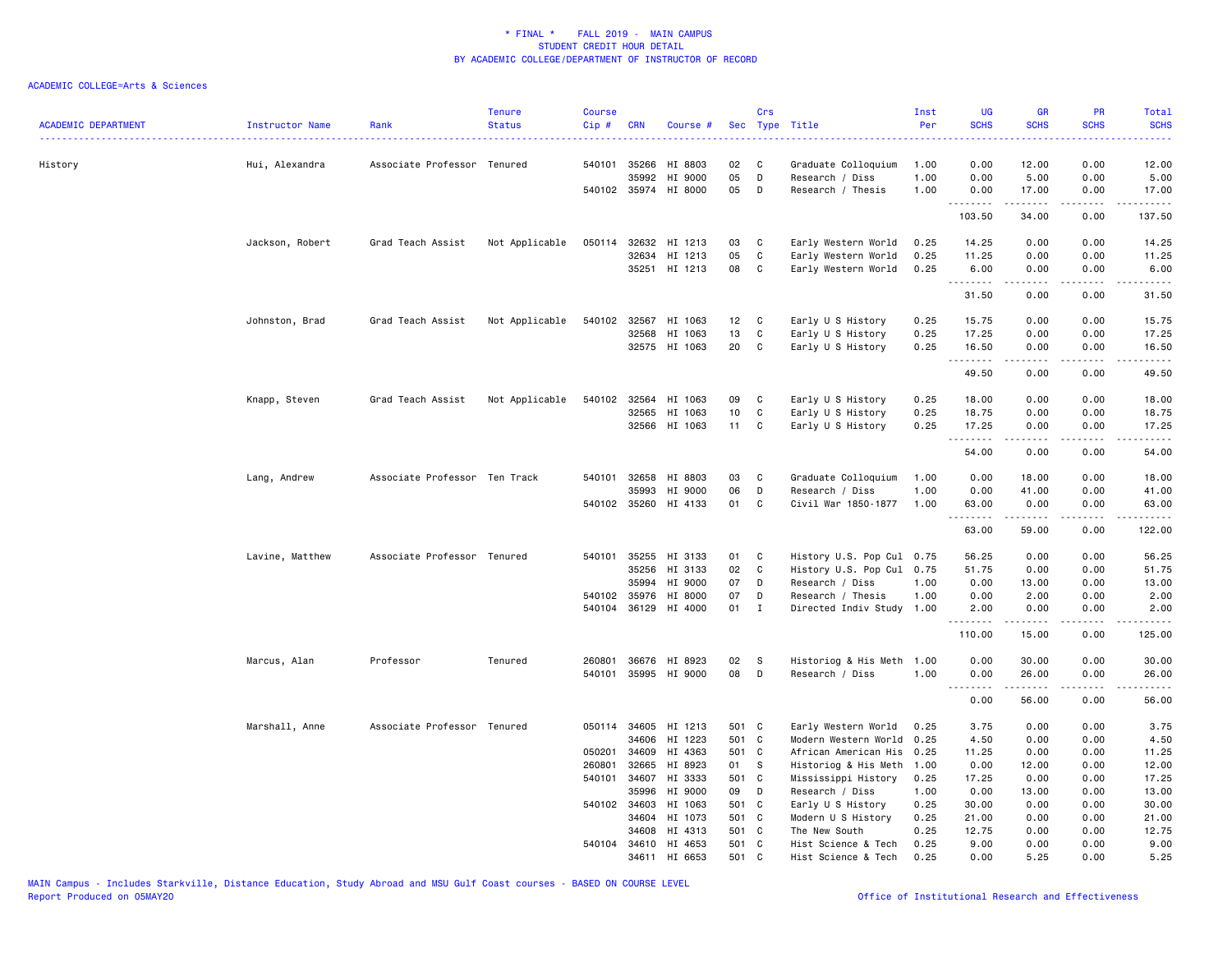| <b>ACADEMIC DEPARTMENT</b> | Instructor Name<br><u>.</u> . | Rank                          | <b>Tenure</b><br><b>Status</b> | <b>Course</b><br>Cip# | <b>CRN</b>            | Course #             | <b>Sec</b>      | Crs          | Type Title                           | Inst<br>Per  | <b>UG</b><br><b>SCHS</b> | <b>GR</b><br><b>SCHS</b> | <b>PR</b><br><b>SCHS</b> | Total<br><b>SCHS</b><br><b>.</b> . |
|----------------------------|-------------------------------|-------------------------------|--------------------------------|-----------------------|-----------------------|----------------------|-----------------|--------------|--------------------------------------|--------------|--------------------------|--------------------------|--------------------------|------------------------------------|
| History                    | Hui, Alexandra                | Associate Professor Tenured   |                                |                       | 540101 35266          | HI 8803              | 02              | C            | Graduate Colloquium                  | 1.00         | 0.00                     | 12.00                    | 0.00                     | 12.00                              |
|                            |                               |                               |                                |                       | 35992                 | HI 9000              | 05              | D            | Research / Diss                      | 1.00         | 0.00                     | 5.00                     | 0.00                     | 5.00                               |
|                            |                               |                               |                                |                       |                       | 540102 35974 HI 8000 | 05              | D            | Research / Thesis                    | 1.00         | 0.00<br><b></b>          | 17.00<br>.               | 0.00<br>.                | 17.00<br>22222)                    |
|                            |                               |                               |                                |                       |                       |                      |                 |              |                                      |              | 103.50                   | 34.00                    | 0.00                     | 137.50                             |
|                            | Jackson, Robert               | Grad Teach Assist             | Not Applicable                 | 050114                | 32632                 | HI 1213              | 03              | C            | Early Western World                  | 0.25         | 14.25                    | 0.00                     | 0.00                     | 14.25                              |
|                            |                               |                               |                                |                       | 32634                 | HI 1213              | 05              | $\mathtt{C}$ | Early Western World                  | 0.25         | 11.25                    | 0.00                     | 0.00                     | 11.25                              |
|                            |                               |                               |                                |                       |                       | 35251 HI 1213        | 08              | C            | Early Western World                  | 0.25         | 6.00<br>.                | 0.00                     | 0.00                     | 6.00                               |
|                            |                               |                               |                                |                       |                       |                      |                 |              |                                      |              | 31.50                    | 0.00                     | 0.00                     | 31.50                              |
|                            | Johnston, Brad                | Grad Teach Assist             | Not Applicable                 |                       |                       | 540102 32567 HI 1063 | 12 <sub>2</sub> | $\mathbf{C}$ | Early U S History                    | 0.25         | 15.75                    | 0.00                     | 0.00                     | 15.75                              |
|                            |                               |                               |                                |                       | 32568                 | HI 1063              | 13              | $\mathtt{C}$ | Early U S History                    | 0.25         | 17.25                    | 0.00                     | 0.00                     | 17.25                              |
|                            |                               |                               |                                |                       |                       | 32575 HI 1063        | 20              | C            | Early U S History                    | 0.25         | 16.50<br>.               | 0.00<br>- - - - -        | 0.00                     | 16.50<br>.                         |
|                            |                               |                               |                                |                       |                       |                      |                 |              |                                      |              | 49.50                    | 0.00                     | 0.00                     | 49.50                              |
|                            | Knapp, Steven                 | Grad Teach Assist             | Not Applicable                 |                       |                       | 540102 32564 HI 1063 | 09              | C            | Early U S History                    | 0.25         | 18.00                    | 0.00                     | 0.00                     | 18.00                              |
|                            |                               |                               |                                |                       | 32565                 | HI 1063              | 10              | C            | Early U S History                    | 0.25         | 18.75                    | 0.00                     | 0.00                     | 18.75                              |
|                            |                               |                               |                                |                       | 32566                 | HI 1063              | 11              | C            | Early U S History                    | 0.25         | 17.25                    | 0.00                     | 0.00                     | 17.25                              |
|                            |                               |                               |                                |                       |                       |                      |                 |              |                                      |              | .<br>54.00               | .<br>0.00                | ----<br>0.00             | .<br>54.00                         |
|                            | Lang, Andrew                  | Associate Professor Ten Track |                                |                       | 540101 32658          | HI 8803              | 03              | C            | Graduate Colloquium                  | 1.00         | 0.00                     | 18.00                    | 0.00                     | 18.00                              |
|                            |                               |                               |                                |                       | 35993                 | HI 9000              | 06              | D            | Research / Diss                      | 1.00         | 0.00                     | 41.00                    | 0.00                     | 41.00                              |
|                            |                               |                               |                                |                       |                       | 540102 35260 HI 4133 | 01              | $\mathtt{C}$ | Civil War 1850-1877                  | 1.00         | 63.00<br>.               | 0.00<br>.                | 0.00<br>.                | 63.00<br>.                         |
|                            |                               |                               |                                |                       |                       |                      |                 |              |                                      |              | 63.00                    | 59.00                    | 0.00                     | 122.00                             |
|                            | Lavine, Matthew               | Associate Professor Tenured   |                                | 540101                | 35255                 | HI 3133              | 01              | C            | History U.S. Pop Cul 0.75            |              | 56.25                    | 0.00                     | 0.00                     | 56.25                              |
|                            |                               |                               |                                |                       | 35256                 | HI 3133              | 02              | C            | History U.S. Pop Cul 0.75            |              | 51.75                    | 0.00                     | 0.00                     | 51.75                              |
|                            |                               |                               |                                |                       | 35994                 | HI 9000              | 07              | D            | Research / Diss                      | 1.00         | 0.00                     | 13.00                    | 0.00                     | 13.00                              |
|                            |                               |                               |                                |                       | 540102 35976          | HI 8000              | 07              | D            | Research / Thesis                    | 1.00         | 0.00                     | 2.00                     | 0.00                     | 2.00                               |
|                            |                               |                               |                                | 540104                | 36129                 | HI 4000              | 01              | $\mathbf{I}$ | Directed Indiv Study                 | 1.00         | 2.00<br>.                | 0.00<br>.                | 0.00<br>.                | 2.00<br>.                          |
|                            |                               |                               |                                |                       |                       |                      |                 |              |                                      |              | 110.00                   | 15.00                    | 0.00                     | 125.00                             |
|                            | Marcus, Alan                  | Professor                     | Tenured                        | 260801                |                       | 36676 HI 8923        | 02              | <b>S</b>     | Historiog & His Meth                 | 1.00         | 0.00                     | 30.00                    | 0.00                     | 30.00                              |
|                            |                               |                               |                                | 540101                |                       | 35995 HI 9000        | 08              | D            | Research / Diss                      | 1.00         | 0.00<br><u>.</u>         | 26.00<br>.               | 0.00                     | 26.00                              |
|                            |                               |                               |                                |                       |                       |                      |                 |              |                                      |              | 0.00                     | 56.00                    | .<br>0.00                | . <u>.</u> .<br>56.00              |
|                            | Marshall, Anne                | Associate Professor Tenured   |                                |                       |                       | 050114 34605 HI 1213 | 501 C           |              | Early Western World                  | 0.25         | 3.75                     | 0.00                     | 0.00                     | 3.75                               |
|                            |                               |                               |                                |                       | 34606                 | HI 1223              | 501 C           |              | Modern Western World                 | 0.25         | 4.50                     | 0.00                     | 0.00                     | 4.50                               |
|                            |                               |                               |                                | 050201                | 34609                 | HI 4363              | 501 C           |              | African American His                 | 0.25         | 11.25                    | 0.00                     | 0.00                     | 11.25                              |
|                            |                               |                               |                                | 260801                | 32665                 | HI 8923              | 01              | S            | Historiog & His Meth                 | 1.00         | 0.00                     | 12.00                    | 0.00                     | 12.00                              |
|                            |                               |                               |                                | 540101                | 34607                 | HI 3333              | 501 C           |              | Mississippi History                  | 0.25         | 17.25                    | 0.00                     | 0.00                     | 17.25                              |
|                            |                               |                               |                                |                       | 35996                 | HI 9000              | 09              | D            | Research / Diss                      | 1.00         | 0.00                     | 13.00                    | 0.00                     | 13.00                              |
|                            |                               |                               |                                |                       | 540102 34603          | HI 1063              | 501 C           |              | Early U S History                    | 0.25         | 30.00                    | 0.00                     | 0.00                     | 30.00                              |
|                            |                               |                               |                                |                       | 34604                 | HI 1073              | 501 C           |              | Modern U S History                   | 0.25         | 21.00                    | 0.00                     | 0.00                     | 21.00                              |
|                            |                               |                               |                                |                       | 34608<br>540104 34610 | HI 4313<br>HI 4653   | 501 C<br>501 C  |              | The New South<br>Hist Science & Tech | 0.25<br>0.25 | 12.75<br>9.00            | 0.00<br>0.00             | 0.00<br>0.00             | 12.75<br>9.00                      |
|                            |                               |                               |                                |                       |                       | 34611 HI 6653        | 501             | C            | Hist Science & Tech                  | 0.25         | 0.00                     | 5.25                     | 0.00                     | 5.25                               |
|                            |                               |                               |                                |                       |                       |                      |                 |              |                                      |              |                          |                          |                          |                                    |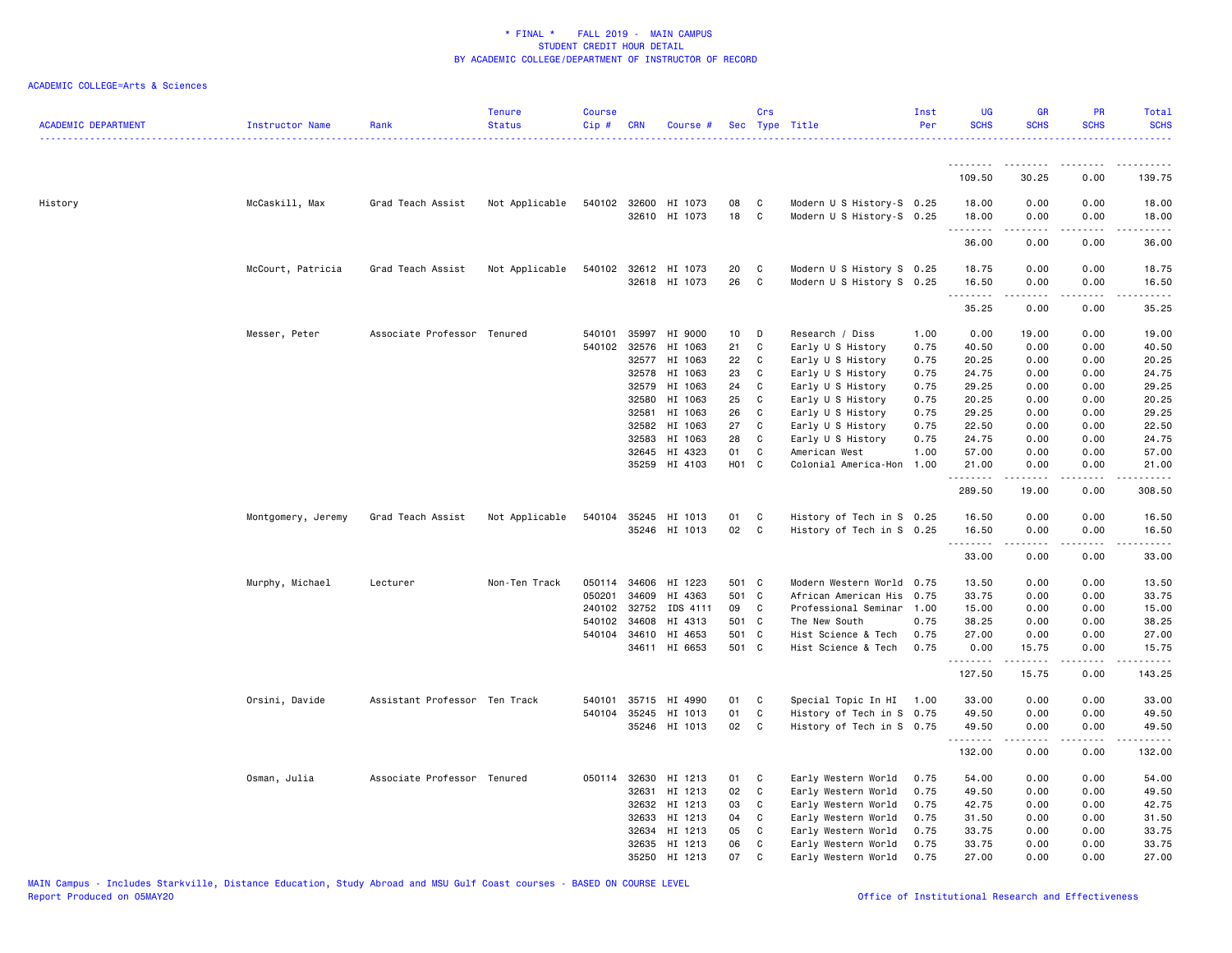| <b>ACADEMIC DEPARTMENT</b> | Instructor Name    | Rank                          | <b>Tenure</b><br><b>Status</b> | <b>Course</b><br>Cip # | <b>CRN</b>     | Course #                              |                 | Crs          | Sec Type Title                                         | Inst<br>Per  | <b>UG</b><br><b>SCHS</b>                                                                                                                                      | <b>GR</b><br><b>SCHS</b> | PR<br><b>SCHS</b>                   | Total<br><b>SCHS</b>          |
|----------------------------|--------------------|-------------------------------|--------------------------------|------------------------|----------------|---------------------------------------|-----------------|--------------|--------------------------------------------------------|--------------|---------------------------------------------------------------------------------------------------------------------------------------------------------------|--------------------------|-------------------------------------|-------------------------------|
|                            |                    |                               |                                |                        |                |                                       |                 |              |                                                        |              | .                                                                                                                                                             |                          |                                     |                               |
|                            |                    |                               |                                |                        |                |                                       |                 |              |                                                        |              | 109.50                                                                                                                                                        | 30.25                    | 0.00                                | 139.75                        |
| History                    | McCaskill, Max     | Grad Teach Assist             | Not Applicable                 |                        |                | 540102 32600 HI 1073<br>32610 HI 1073 | 08<br>18        | C<br>C       | Modern U S History-S 0.25<br>Modern U S History-S 0.25 |              | 18.00<br>18.00                                                                                                                                                | 0.00<br>0.00             | 0.00<br>0.00<br>$- - - -$           | 18.00<br>18.00<br>$- - - - -$ |
|                            |                    |                               |                                |                        |                |                                       |                 |              |                                                        |              | $\frac{1}{2} \left( \frac{1}{2} \right) \left( \frac{1}{2} \right) \left( \frac{1}{2} \right) \left( \frac{1}{2} \right) \left( \frac{1}{2} \right)$<br>36.00 | 0.00                     | 0.00                                | 36.00                         |
|                            | McCourt, Patricia  | Grad Teach Assist             | Not Applicable                 |                        |                | 540102 32612 HI 1073<br>32618 HI 1073 | 20<br>26        | C<br>C       | Modern U S History S 0.25<br>Modern U S History S 0.25 |              | 18.75<br>16.50                                                                                                                                                | 0.00<br>0.00             | 0.00<br>0.00                        | 18.75<br>16.50                |
|                            |                    |                               |                                |                        |                |                                       |                 |              |                                                        |              | <u>.</u><br>35.25                                                                                                                                             | .<br>0.00                | $\frac{1}{2}$<br>0.00               | .<br>35.25                    |
|                            | Messer, Peter      | Associate Professor Tenured   |                                | 540101                 | 35997          | HI 9000                               | 10 <sup>1</sup> | D            | Research / Diss                                        | 1.00         | 0.00                                                                                                                                                          | 19.00                    | 0.00                                | 19.00                         |
|                            |                    |                               |                                | 540102                 | 32576          | HI 1063                               | 21              | C            | Early U S History                                      | 0.75         | 40.50                                                                                                                                                         | 0.00                     | 0.00                                | 40.50                         |
|                            |                    |                               |                                |                        | 32577          | HI 1063                               | 22              | C            | Early U S History                                      | 0.75         | 20.25                                                                                                                                                         | 0.00                     | 0.00                                | 20.25                         |
|                            |                    |                               |                                |                        | 32578          | HI 1063                               | 23              | C            | Early U S History                                      | 0.75         | 24.75                                                                                                                                                         | 0.00                     | 0.00                                | 24.75                         |
|                            |                    |                               |                                |                        | 32579<br>32580 | HI 1063<br>HI 1063                    | 24<br>25        | C<br>C       | Early U S History<br>Early U S History                 | 0.75<br>0.75 | 29.25<br>20.25                                                                                                                                                | 0.00<br>0.00             | 0.00<br>0.00                        | 29.25<br>20.25                |
|                            |                    |                               |                                |                        | 32581          | HI 1063                               | 26              | C            | Early U S History                                      | 0.75         | 29.25                                                                                                                                                         | 0.00                     | 0.00                                | 29.25                         |
|                            |                    |                               |                                |                        | 32582          | HI 1063                               | 27              | C            | Early U S History                                      | 0.75         | 22.50                                                                                                                                                         | 0.00                     | 0.00                                | 22.50                         |
|                            |                    |                               |                                |                        | 32583          | HI 1063                               | 28              | C            | Early U S History                                      | 0.75         | 24.75                                                                                                                                                         | 0.00                     | 0.00                                | 24.75                         |
|                            |                    |                               |                                |                        | 32645          | HI 4323                               | 01              | C            | American West                                          | 1.00         | 57.00                                                                                                                                                         | 0.00                     | 0.00                                | 57.00                         |
|                            |                    |                               |                                |                        | 35259          | HI 4103                               | H01 C           |              | Colonial America-Hon                                   | 1.00         | 21.00                                                                                                                                                         | 0.00                     | 0.00                                | 21.00                         |
|                            |                    |                               |                                |                        |                |                                       |                 |              |                                                        |              | <u>.</u><br>289.50                                                                                                                                            | .<br>19.00               | $\sim$ $\sim$ $\sim$<br>0.00        | .<br>308.50                   |
|                            | Montgomery, Jeremy | Grad Teach Assist             | Not Applicable                 | 540104                 |                | 35245 HI 1013                         | 01              | C            | History of Tech in S 0.25                              |              | 16.50                                                                                                                                                         | 0.00                     | 0.00                                | 16.50                         |
|                            |                    |                               |                                |                        |                | 35246 HI 1013                         | 02              | C            | History of Tech in S 0.25                              |              | 16.50                                                                                                                                                         | 0.00                     | 0.00                                | 16.50                         |
|                            |                    |                               |                                |                        |                |                                       |                 |              |                                                        |              | .<br>33.00                                                                                                                                                    | .<br>0.00                | $\sim$ $\sim$ $\sim$ $\sim$<br>0.00 | .<br>33.00                    |
|                            | Murphy, Michael    | Lecturer                      | Non-Ten Track                  | 050114                 | 34606          | HI 1223                               | 501 C           |              | Modern Western World 0.75                              |              | 13.50                                                                                                                                                         | 0.00                     | 0.00                                | 13.50                         |
|                            |                    |                               |                                | 050201                 | 34609          | HI 4363                               | 501 C           |              | African American His                                   | 0.75         | 33.75                                                                                                                                                         | 0.00                     | 0.00                                | 33.75                         |
|                            |                    |                               |                                | 240102                 | 32752          | IDS 4111                              | 09              | C            | Professional Seminar                                   | 1.00         | 15.00                                                                                                                                                         | 0.00                     | 0.00                                | 15.00                         |
|                            |                    |                               |                                | 540102                 | 34608          | HI 4313                               | 501 C           |              | The New South                                          | 0.75         | 38.25                                                                                                                                                         | 0.00                     | 0.00                                | 38.25                         |
|                            |                    |                               |                                |                        | 540104 34610   | HI 4653                               | 501 C           |              | Hist Science & Tech                                    | 0.75         | 27.00                                                                                                                                                         | 0.00                     | 0.00                                | 27.00                         |
|                            |                    |                               |                                |                        |                | 34611 HI 6653                         | 501 C           |              | Hist Science & Tech                                    | 0.75         | 0.00<br><u>.</u>                                                                                                                                              | 15.75<br>.               | 0.00<br>.                           | 15.75<br>.                    |
|                            |                    |                               |                                |                        |                |                                       |                 |              |                                                        |              | 127.50                                                                                                                                                        | 15.75                    | 0.00                                | 143.25                        |
|                            | Orsini, Davide     | Assistant Professor Ten Track |                                | 540101                 | 35715          | HI 4990                               | 01              | C            | Special Topic In HI                                    | 1.00         | 33.00                                                                                                                                                         | 0.00                     | 0.00                                | 33.00                         |
|                            |                    |                               |                                | 540104                 | 35245          | HI 1013                               | 01              | C            | History of Tech in S 0.75                              |              | 49.50                                                                                                                                                         | 0.00                     | 0.00                                | 49.50                         |
|                            |                    |                               |                                |                        |                | 35246 HI 1013                         | 02              | $\mathbf{C}$ | History of Tech in S 0.75                              |              | 49.50<br>.                                                                                                                                                    | 0.00<br>.                | 0.00<br>.                           | 49.50<br>.                    |
|                            |                    |                               |                                |                        |                |                                       |                 |              |                                                        |              | 132.00                                                                                                                                                        | 0.00                     | 0.00                                | 132.00                        |
|                            | Osman, Julia       | Associate Professor Tenured   |                                |                        |                | 050114 32630 HI 1213                  | 01              | $\mathbf{C}$ | Early Western World                                    | 0.75         | 54.00                                                                                                                                                         | 0.00                     | 0.00                                | 54.00                         |
|                            |                    |                               |                                |                        | 32631          | HI 1213                               | 02              | C            | Early Western World                                    | 0.75         | 49.50                                                                                                                                                         | 0.00                     | 0.00                                | 49.50                         |
|                            |                    |                               |                                |                        | 32632          | HI 1213                               | 03              | C            | Early Western World                                    | 0.75         | 42.75                                                                                                                                                         | 0.00                     | 0.00                                | 42.75                         |
|                            |                    |                               |                                |                        | 32633          | HI 1213                               | 04              | C            | Early Western World                                    | 0.75         | 31.50                                                                                                                                                         | 0.00                     | 0.00                                | 31.50                         |
|                            |                    |                               |                                |                        | 32634          | HI 1213                               | 05              | C.           | Early Western World                                    | 0.75         | 33.75                                                                                                                                                         | 0.00                     | 0.00                                | 33.75                         |
|                            |                    |                               |                                |                        |                | 32635 HI 1213                         | 06              | C            | Early Western World                                    | 0.75         | 33.75                                                                                                                                                         | 0.00                     | 0.00                                | 33.75                         |
|                            |                    |                               |                                |                        | 35250          | HI 1213                               | 07              | $\mathsf{C}$ | Early Western World                                    | 0.75         | 27.00                                                                                                                                                         | 0.00                     | 0.00                                | 27.00                         |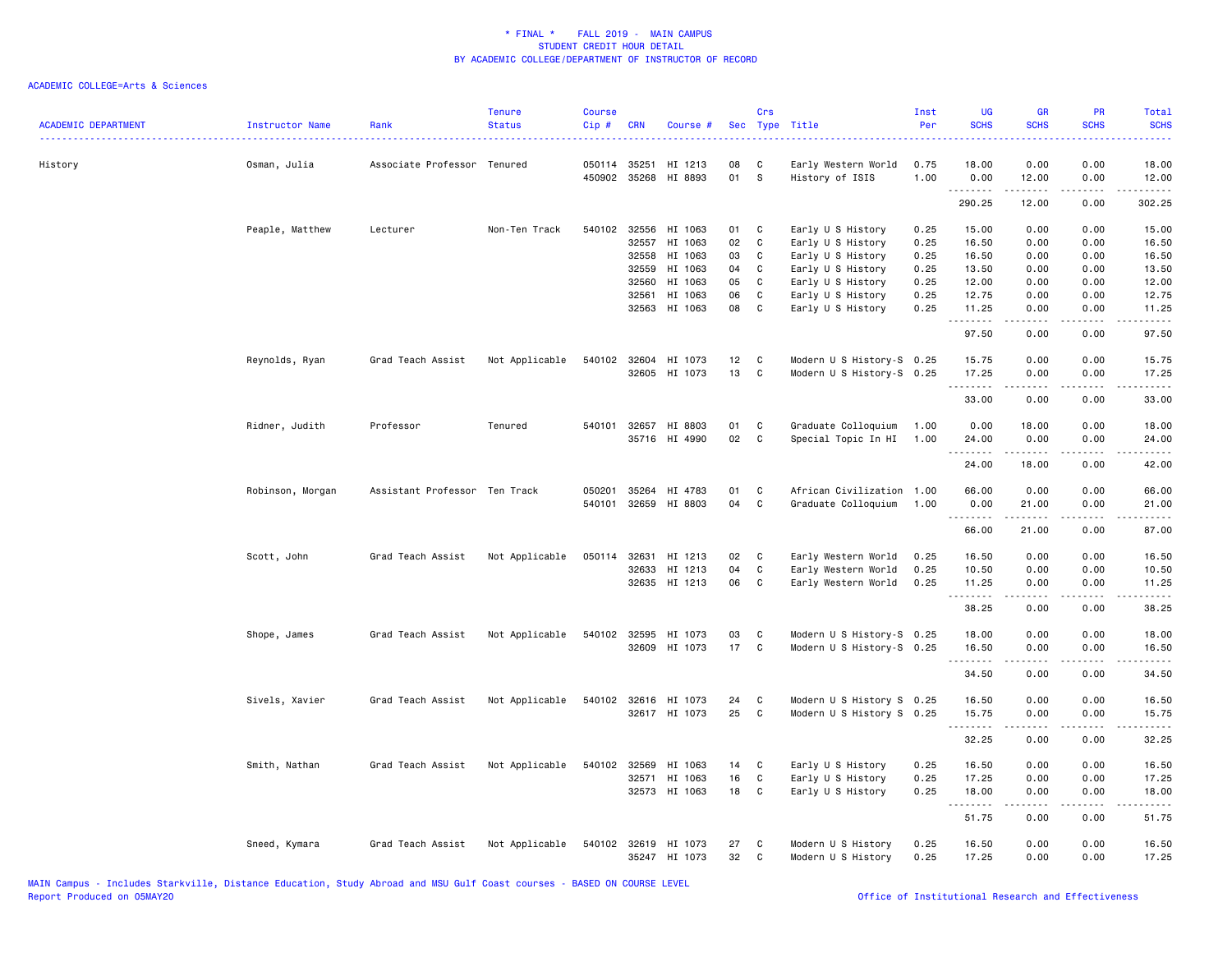| <b>ACADEMIC DEPARTMENT</b> | Instructor Name  | Rank                          | <b>Tenure</b><br><b>Status</b> | <b>Course</b><br>Cip# | <b>CRN</b>   | Course #                        | Sec      | Crs          | Type Title                             | Inst<br>Per  | <b>UG</b><br><b>SCHS</b>        | <b>GR</b><br><b>SCHS</b>                                                                                                                                     | PR<br><b>SCHS</b> | Total<br><b>SCHS</b>    |
|----------------------------|------------------|-------------------------------|--------------------------------|-----------------------|--------------|---------------------------------|----------|--------------|----------------------------------------|--------------|---------------------------------|--------------------------------------------------------------------------------------------------------------------------------------------------------------|-------------------|-------------------------|
| History                    | Osman, Julia     | Associate Professor Tenured   |                                |                       | 050114 35251 | HI 1213<br>450902 35268 HI 8893 | 08<br>01 | C<br>S       | Early Western World<br>History of ISIS | 0.75<br>1.00 | 18.00<br>0.00                   | 0.00<br>12.00                                                                                                                                                | 0.00<br>0.00      | 18.00<br>12.00          |
|                            |                  |                               |                                |                       |              |                                 |          |              |                                        |              | .<br>290.25                     | .<br>12.00                                                                                                                                                   | .<br>0.00         | $- - - - - -$<br>302.25 |
|                            | Peaple, Matthew  | Lecturer                      | Non-Ten Track                  |                       | 540102 32556 | HI 1063                         | 01       | C            | Early U S History                      | 0.25         | 15.00                           | 0.00                                                                                                                                                         | 0.00              | 15.00                   |
|                            |                  |                               |                                |                       | 32557        | HI 1063                         | 02       | C            | Early U S History                      | 0.25         | 16.50                           | 0.00                                                                                                                                                         | 0.00              | 16.50                   |
|                            |                  |                               |                                |                       | 32558        | HI 1063                         | 03       | C            | Early U S History                      | 0.25         | 16.50                           | 0.00                                                                                                                                                         | 0.00              | 16.50                   |
|                            |                  |                               |                                |                       | 32559        | HI 1063                         | 04       | C            | Early U S History                      | 0.25         | 13.50                           | 0.00                                                                                                                                                         | 0.00              | 13.50                   |
|                            |                  |                               |                                |                       | 32560        | HI 1063                         | 05       | $\mathtt{C}$ | Early U S History                      | 0.25         | 12.00                           | 0.00                                                                                                                                                         | 0.00              | 12.00                   |
|                            |                  |                               |                                |                       | 32561        | HI 1063                         | 06       | C            | Early U S History                      | 0.25         | 12.75                           | 0.00                                                                                                                                                         | 0.00              | 12.75                   |
|                            |                  |                               |                                |                       |              | 32563 HI 1063                   | 08       | C            | Early U S History                      | 0.25         | 11.25<br>.                      | 0.00<br>$\frac{1}{2} \left( \frac{1}{2} \right) \left( \frac{1}{2} \right) \left( \frac{1}{2} \right) \left( \frac{1}{2} \right) \left( \frac{1}{2} \right)$ | 0.00<br>.         | 11.25<br>.              |
|                            |                  |                               |                                |                       |              |                                 |          |              |                                        |              | 97.50                           | 0.00                                                                                                                                                         | 0.00              | 97.50                   |
|                            | Reynolds, Ryan   | Grad Teach Assist             | Not Applicable                 |                       |              | 540102 32604 HI 1073            | 12       | C            | Modern U S History-S 0.25              |              | 15.75                           | 0.00                                                                                                                                                         | 0.00              | 15.75                   |
|                            |                  |                               |                                |                       |              | 32605 HI 1073                   | 13       | C            | Modern U S History-S 0.25              |              | 17.25<br><u>.</u>               | 0.00<br>$- - - - -$                                                                                                                                          | 0.00<br>.         | 17.25<br>.              |
|                            |                  |                               |                                |                       |              |                                 |          |              |                                        |              | 33.00                           | 0.00                                                                                                                                                         | 0.00              | 33.00                   |
|                            | Ridner, Judith   | Professor                     | Tenured                        |                       |              | 540101 32657 HI 8803            | 01       | C            | Graduate Colloquium                    | 1.00         | 0.00                            | 18.00                                                                                                                                                        | 0.00              | 18.00                   |
|                            |                  |                               |                                |                       |              | 35716 HI 4990                   | 02       | $\mathbf{C}$ | Special Topic In HI                    | 1.00         | 24.00<br>1.1.1.1.1              | 0.00                                                                                                                                                         | 0.00              | 24.00                   |
|                            |                  |                               |                                |                       |              |                                 |          |              |                                        |              | 24.00                           | 18.00                                                                                                                                                        | 0.00              | 42.00                   |
|                            | Robinson, Morgan | Assistant Professor Ten Track |                                | 050201                | 35264        | HI 4783                         | 01       | C            | African Civilization 1.00              |              | 66.00                           | 0.00                                                                                                                                                         | 0.00              | 66.00                   |
|                            |                  |                               |                                | 540101                |              | 32659 HI 8803                   | 04       | $\mathbf{C}$ | Graduate Colloquium                    | 1.00         | 0.00<br>.                       | 21.00<br>.                                                                                                                                                   | 0.00<br>.         | 21.00                   |
|                            |                  |                               |                                |                       |              |                                 |          |              |                                        |              | 66.00                           | 21.00                                                                                                                                                        | 0.00              | 87.00                   |
|                            | Scott, John      | Grad Teach Assist             | Not Applicable                 |                       | 050114 32631 | HI 1213                         | 02       | C            | Early Western World                    | 0.25         | 16.50                           | 0.00                                                                                                                                                         | 0.00              | 16.50                   |
|                            |                  |                               |                                |                       | 32633        | HI 1213                         | 04       | C            | Early Western World                    | 0.25         | 10.50                           | 0.00                                                                                                                                                         | 0.00              | 10.50                   |
|                            |                  |                               |                                |                       |              | 32635 HI 1213                   | 06       | $\mathbf c$  | Early Western World                    | 0.25         | 11.25<br>.                      | 0.00<br>$\begin{array}{cccccccccc} \bullet & \bullet & \bullet & \bullet & \bullet & \bullet \end{array}$                                                    | 0.00<br>.         | 11.25<br>.              |
|                            |                  |                               |                                |                       |              |                                 |          |              |                                        |              | 38.25                           | 0.00                                                                                                                                                         | 0.00              | 38.25                   |
|                            | Shope, James     | Grad Teach Assist             | Not Applicable                 |                       |              | 540102 32595 HI 1073            | 03       | C            | Modern U S History-S 0.25              |              | 18.00                           | 0.00                                                                                                                                                         | 0.00              | 18.00                   |
|                            |                  |                               |                                |                       |              | 32609 HI 1073                   | 17 C     |              | Modern U S History-S 0.25              |              | 16.50<br>. <b>.</b>             | 0.00<br>.                                                                                                                                                    | 0.00<br>.         | 16.50<br>.              |
|                            |                  |                               |                                |                       |              |                                 |          |              |                                        |              | 34.50                           | 0.00                                                                                                                                                         | 0.00              | 34.50                   |
|                            | Sivels, Xavier   | Grad Teach Assist             | Not Applicable                 |                       |              | 540102 32616 HI 1073            | 24       | C            | Modern U S History S 0.25              |              | 16.50                           | 0.00                                                                                                                                                         | 0.00              | 16.50                   |
|                            |                  |                               |                                |                       |              | 32617 HI 1073                   | 25       | C            | Modern U S History S 0.25              |              | 15.75<br>.                      | 0.00                                                                                                                                                         | 0.00              | 15.75                   |
|                            |                  |                               |                                |                       |              |                                 |          |              |                                        |              | 32.25                           | 0.00                                                                                                                                                         | 0.00              | 32.25                   |
|                            | Smith, Nathan    | Grad Teach Assist             | Not Applicable                 |                       |              | 540102 32569 HI 1063            | 14       | C            | Early U S History                      | 0.25         | 16.50                           | 0.00                                                                                                                                                         | 0.00              | 16.50                   |
|                            |                  |                               |                                |                       | 32571        | HI 1063                         | 16       | $\mathtt{C}$ | Early U S History                      | 0.25         | 17.25                           | 0.00                                                                                                                                                         | 0.00              | 17.25                   |
|                            |                  |                               |                                |                       |              | 32573 HI 1063                   | 18       | C            | Early U S History                      | 0.25         | 18.00<br>$\omega$ is a second . | 0.00<br>.                                                                                                                                                    | 0.00<br>.         | 18.00<br>.              |
|                            |                  |                               |                                |                       |              |                                 |          |              |                                        |              | 51.75                           | 0.00                                                                                                                                                         | 0.00              | 51.75                   |
|                            | Sneed, Kymara    | Grad Teach Assist             | Not Applicable                 |                       |              | 540102 32619 HI 1073            | 27       | C            | Modern U S History                     | 0.25         | 16.50                           | 0.00                                                                                                                                                         | 0.00              | 16.50                   |
|                            |                  |                               |                                |                       |              | 35247 HI 1073                   | 32       | C            | Modern U S History                     | 0.25         | 17.25                           | 0.00                                                                                                                                                         | 0.00              | 17.25                   |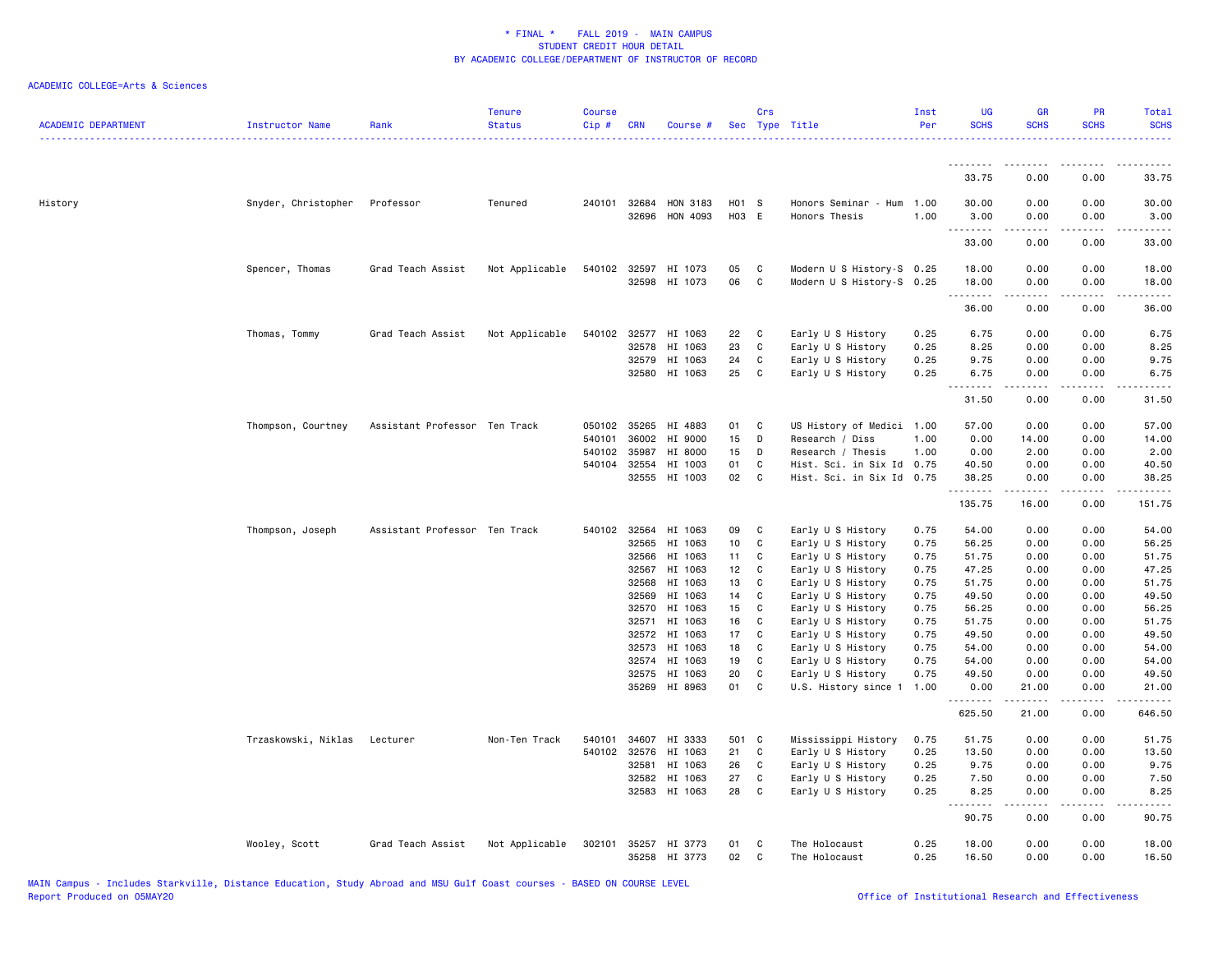| <b>ACADEMIC DEPARTMENT</b> | Instructor Name     | Rank                          | <b>Tenure</b><br><b>Status</b> | <b>Course</b><br>Cip# | <b>CRN</b>            | Course #             |                | Crs                     | Sec Type Title                             | Inst<br>Per  | <b>UG</b><br><b>SCHS</b> | <b>GR</b><br><b>SCHS</b> | PR<br><b>SCHS</b> | Total<br><b>SCHS</b> |
|----------------------------|---------------------|-------------------------------|--------------------------------|-----------------------|-----------------------|----------------------|----------------|-------------------------|--------------------------------------------|--------------|--------------------------|--------------------------|-------------------|----------------------|
|                            |                     |                               |                                |                       |                       |                      |                |                         |                                            |              | <u>.</u>                 | <u>.</u>                 |                   |                      |
|                            |                     |                               |                                |                       |                       |                      |                |                         |                                            |              | 33.75                    | 0.00                     | 0.00              | 33.75                |
| History                    | Snyder, Christopher | Professor                     | Tenured                        |                       | 240101 32684<br>32696 | HON 3183<br>HON 4093 | H01 S<br>H03 E |                         | Honors Seminar - Hum 1.00<br>Honors Thesis | 1.00         | 30.00<br>3.00            | 0.00<br>0.00             | 0.00<br>0.00      | 30.00<br>3.00        |
|                            |                     |                               |                                |                       |                       |                      |                |                         |                                            |              | .<br>33.00               | .<br>0.00                | .<br>0.00         | .<br>33.00           |
|                            | Spencer, Thomas     | Grad Teach Assist             | Not Applicable                 |                       | 540102 32597          | HI 1073              | 05             | C                       | Modern U S History-S 0.25                  |              | 18.00                    | 0.00                     | 0.00              | 18.00                |
|                            |                     |                               |                                |                       | 32598                 | HI 1073              | 06             | $\mathbf c$             | Modern U S History-S 0.25                  |              | 18.00<br>.               | 0.00<br>2.2.2.2.2        | 0.00<br>.         | 18.00<br>.           |
|                            |                     |                               |                                |                       |                       |                      |                |                         |                                            |              | 36.00                    | 0.00                     | 0.00              | 36.00                |
|                            | Thomas, Tommy       | Grad Teach Assist             | Not Applicable                 | 540102                | 32577                 | HI 1063              | 22             | C                       | Early U S History                          | 0.25         | 6.75                     | 0.00                     | 0.00              | 6.75                 |
|                            |                     |                               |                                |                       | 32578                 | HI 1063              | 23             | C                       | Early U S History                          | 0.25         | 8.25                     | 0.00                     | 0.00              | 8.25                 |
|                            |                     |                               |                                |                       | 32579                 | HI 1063              | 24             | C                       | Early U S History                          | 0.25         | 9.75                     | 0.00                     | 0.00              | 9.75                 |
|                            |                     |                               |                                |                       | 32580                 | HI 1063              | 25             | $\mathbf{C}$            | Early U S History                          | 0.25         | 6.75<br><u>.</u>         | 0.00<br>2.2.2.2.2        | 0.00<br>.         | 6.75<br>.            |
|                            |                     |                               |                                |                       |                       |                      |                |                         |                                            |              | 31.50                    | 0.00                     | 0.00              | 31.50                |
|                            | Thompson, Courtney  | Assistant Professor Ten Track |                                | 050102                | 35265                 | HI 4883              | 01             | $\mathbf{C}$            | US History of Medici 1.00                  |              | 57.00                    | 0.00                     | 0.00              | 57.00                |
|                            |                     |                               |                                | 540101                | 36002                 | HI 9000              | 15             | D                       | Research / Diss                            | 1.00         | 0.00                     | 14.00                    | 0.00              | 14.00                |
|                            |                     |                               |                                | 540102                | 35987                 | HI 8000              | 15             | D                       | Research / Thesis                          | 1.00         | 0.00                     | 2.00                     | 0.00              | 2.00                 |
|                            |                     |                               |                                | 540104                | 32554                 | HI 1003              | 01             | C                       | Hist. Sci. in Six Id 0.75                  |              | 40.50                    | 0.00                     | 0.00              | 40.50                |
|                            |                     |                               |                                |                       |                       | 32555 HI 1003        | 02             | $\mathbf{C}$            | Hist. Sci. in Six Id 0.75                  |              | 38.25<br>.               | 0.00                     | 0.00              | 38.25                |
|                            |                     |                               |                                |                       |                       |                      |                |                         |                                            |              | 135.75                   | 16.00                    | 0.00              | 151.75               |
|                            | Thompson, Joseph    | Assistant Professor Ten Track |                                |                       | 540102 32564          | HI 1063              | 09             | C                       | Early U S History                          | 0.75         | 54.00                    | 0.00                     | 0.00              | 54.00                |
|                            |                     |                               |                                |                       | 32565                 | HI 1063              | 10             | $\mathbf c$             | Early U S History                          | 0.75         | 56.25                    | 0.00                     | 0.00              | 56.25                |
|                            |                     |                               |                                |                       | 32566                 | HI 1063              | 11             | C                       | Early U S History                          | 0.75         | 51.75                    | 0.00                     | 0.00              | 51.75                |
|                            |                     |                               |                                |                       | 32567                 | HI 1063              | 12             | C.                      | Early U S History                          | 0.75         | 47.25                    | 0.00                     | 0.00              | 47.25                |
|                            |                     |                               |                                |                       | 32568                 | HI 1063              | 13             | C.                      | Early U S History                          | 0.75         | 51.75                    | 0.00                     | 0.00              | 51.75                |
|                            |                     |                               |                                |                       | 32569                 | HI 1063              | 14 C           |                         | Early U S History                          | 0.75         | 49.50                    | 0.00                     | 0.00              | 49.50                |
|                            |                     |                               |                                |                       | 32570                 | HI 1063              | 15             | $\mathbf{C}$            | Early U S History                          | 0.75         | 56.25                    | 0.00                     | 0.00              | 56.25                |
|                            |                     |                               |                                |                       | 32571                 | HI 1063              | 16             | $\mathbf{C}$            | Early U S History                          | 0.75         | 51.75                    | 0.00                     | 0.00              | 51.75                |
|                            |                     |                               |                                |                       | 32572<br>32573        | HI 1063<br>HI 1063   | 17<br>18       | $\mathbf c$<br><b>C</b> | Early U S History<br>Early U S History     | 0.75<br>0.75 | 49.50<br>54.00           | 0.00<br>0.00             | 0.00<br>0.00      | 49.50<br>54.00       |
|                            |                     |                               |                                |                       | 32574                 | HI 1063              | 19             | C                       | Early U S History                          | 0.75         | 54.00                    | 0.00                     | 0.00              | 54.00                |
|                            |                     |                               |                                |                       | 32575                 | HI 1063              | 20             | C                       | Early U S History                          | 0.75         | 49.50                    | 0.00                     | 0.00              | 49.50                |
|                            |                     |                               |                                |                       |                       | 35269 HI 8963        | 01             | C                       | U.S. History since 1                       | 1.00         | 0.00                     | 21.00                    | 0.00              | 21.00                |
|                            |                     |                               |                                |                       |                       |                      |                |                         |                                            |              | .<br>625.50              | .<br>21.00               | .<br>0.00         | .<br>646.50          |
|                            | Trzaskowski, Niklas | Lecturer                      | Non-Ten Track                  | 540101                | 34607                 | HI 3333              | 501 C          |                         | Mississippi History                        | 0.75         | 51.75                    | 0.00                     | 0.00              | 51.75                |
|                            |                     |                               |                                | 540102                | 32576                 | HI 1063              | 21             | C                       | Early U S History                          | 0.25         | 13.50                    | 0.00                     | 0.00              | 13.50                |
|                            |                     |                               |                                |                       | 32581                 | HI 1063              | 26             | C                       | Early U S History                          | 0.25         | 9.75                     | 0.00                     | 0.00              | 9.75                 |
|                            |                     |                               |                                |                       | 32582                 | HI 1063              | 27             | C                       | Early U S History                          | 0.25         | 7.50                     | 0.00                     | 0.00              | 7.50                 |
|                            |                     |                               |                                |                       | 32583                 | HI 1063              | 28             | <b>C</b>                | Early U S History                          | 0.25         | 8.25<br><u>.</u>         | 0.00<br>.                | 0.00<br>.         | 8.25<br>.            |
|                            |                     |                               |                                |                       |                       |                      |                |                         |                                            |              | 90.75                    | 0.00                     | 0.00              | 90.75                |
|                            | Wooley, Scott       | Grad Teach Assist             | Not Applicable                 | 302101                |                       | 35257 HI 3773        | 01             | C                       | The Holocaust                              | 0.25         | 18.00                    | 0.00                     | 0.00              | 18.00                |
|                            |                     |                               |                                |                       |                       | 35258 HI 3773        | 02             | C                       | The Holocaust                              | 0.25         | 16.50                    | 0.00                     | 0.00              | 16.50                |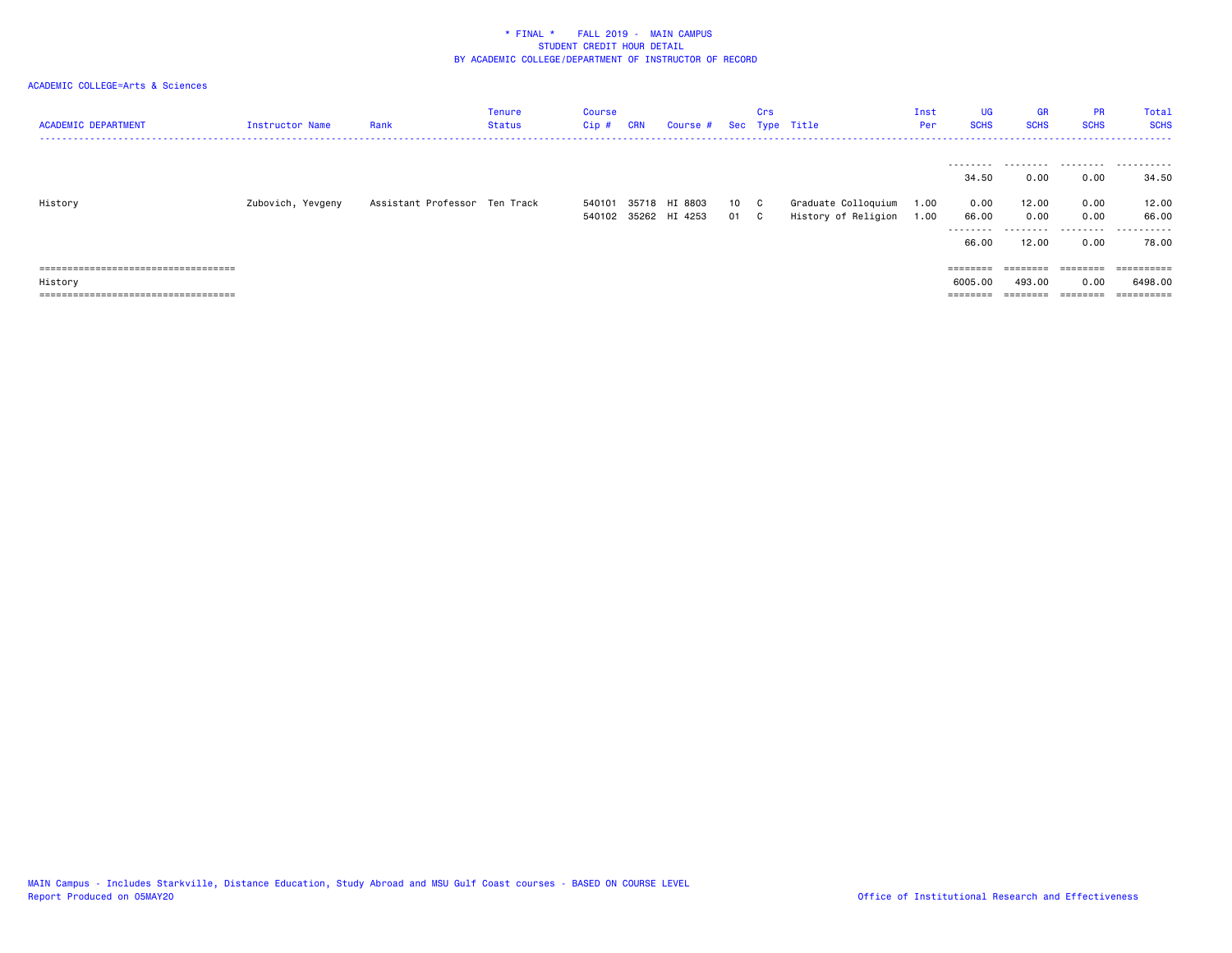| <b>ACADEMIC DEPARTMENT</b>                                                               | Instructor Name   | Rank                          | <b>Tenure</b><br><b>Status</b> | Course<br>$Cip$ # | <b>CRN</b> | Course #                              |            | Crs | Sec Type Title                             | Inst<br>Per  | UG<br><b>SCHS</b>                        | <b>GR</b><br><b>SCHS</b>    | <b>PR</b><br><b>SCHS</b>      | Total<br><b>SCHS</b>        |
|------------------------------------------------------------------------------------------|-------------------|-------------------------------|--------------------------------|-------------------|------------|---------------------------------------|------------|-----|--------------------------------------------|--------------|------------------------------------------|-----------------------------|-------------------------------|-----------------------------|
|                                                                                          |                   |                               |                                |                   |            |                                       |            |     |                                            |              | --------<br>34.50                        | .<br>0.00                   | 0.00                          | .<br>34.50                  |
| History                                                                                  | Zubovich, Yevgeny | Assistant Professor Ten Track |                                | 540101            |            | 35718 HI 8803<br>540102 35262 HI 4253 | 10<br>01 C | C.  | Graduate Colloquium<br>History of Religion | 1.00<br>1.00 | 0.00<br>66.00<br>---------<br>66.00      | 12.00<br>0.00<br>.<br>12.00 | 0.00<br>0.00<br>0.00          | 12.00<br>66.00<br><br>78.00 |
| ====================================<br>History<br>===================================== |                   |                               |                                |                   |            |                                       |            |     |                                            |              | $=$ = = = = = = =<br>6005.00<br>======== | 493,00<br>$=$ = = = = = = = | ========<br>0.00<br>--------- | 6498.00                     |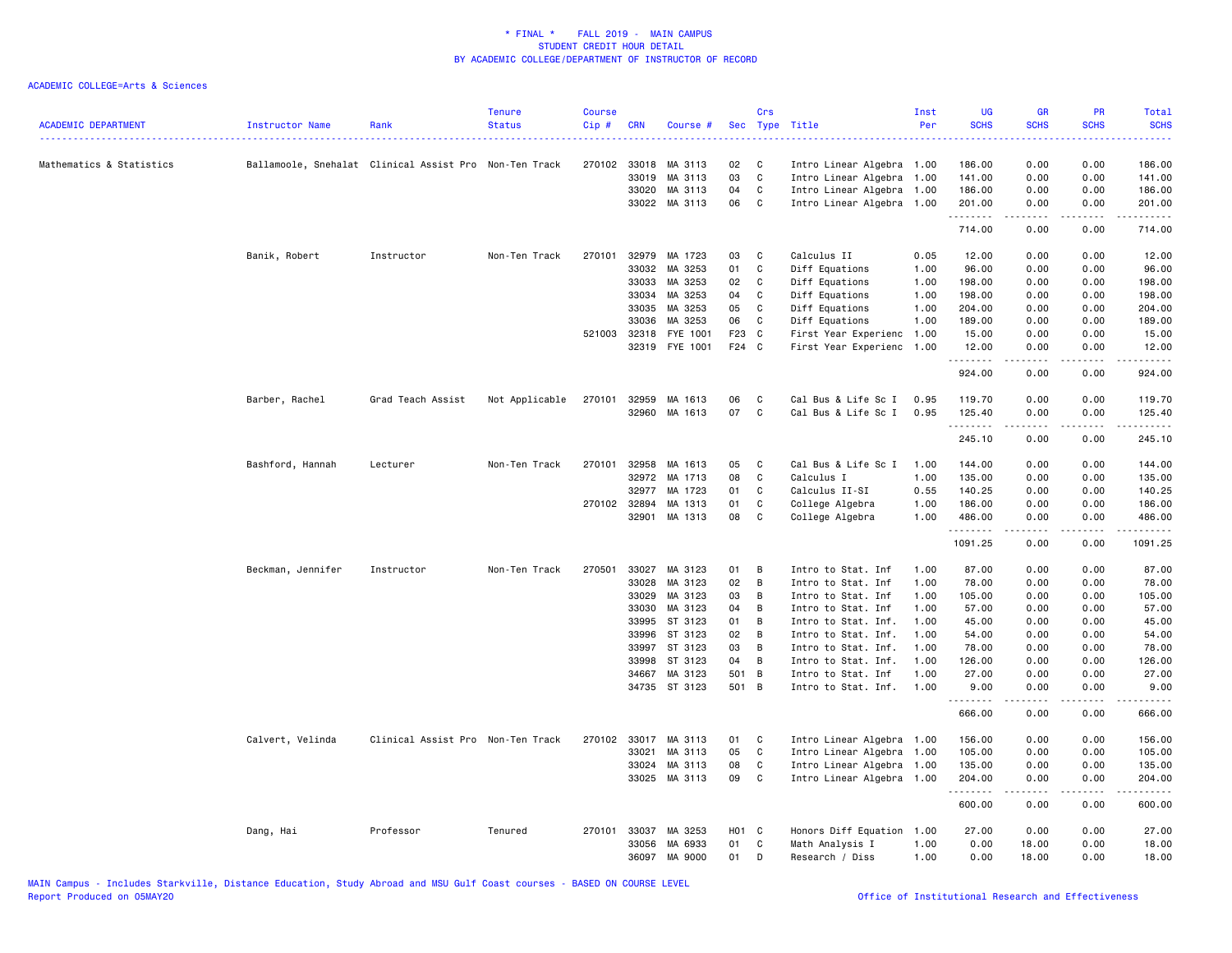| <b>ACADEMIC DEPARTMENT</b> | Instructor Name   | Rank                                                   | <b>Tenure</b><br><b>Status</b> | <b>Course</b><br>Cip # | <b>CRN</b>     | Course #                   | <b>Sec</b>        | Crs            | Type Title                                        | Inst<br>Per  | <b>UG</b><br><b>SCHS</b> | GR<br><b>SCHS</b>                                                                                                                                            | PR<br><b>SCHS</b> | Total<br><b>SCHS</b><br>بالأساس |
|----------------------------|-------------------|--------------------------------------------------------|--------------------------------|------------------------|----------------|----------------------------|-------------------|----------------|---------------------------------------------------|--------------|--------------------------|--------------------------------------------------------------------------------------------------------------------------------------------------------------|-------------------|---------------------------------|
| Mathematics & Statistics   |                   | Ballamoole, Snehalat Clinical Assist Pro Non-Ten Track |                                |                        |                | 270102 33018 MA 3113       | 02                | C              | Intro Linear Algebra 1.00                         |              | 186.00                   | 0.00                                                                                                                                                         | 0.00              | 186.00                          |
|                            |                   |                                                        |                                |                        | 33019          | MA 3113                    | 03                | $\mathtt{C}$   | Intro Linear Algebra 1.00                         |              | 141.00                   | 0.00                                                                                                                                                         | 0.00              | 141.00                          |
|                            |                   |                                                        |                                |                        | 33020          | MA 3113                    | 04                | C              | Intro Linear Algebra                              | 1.00         | 186.00                   | 0.00                                                                                                                                                         | 0.00              | 186.00                          |
|                            |                   |                                                        |                                |                        |                | 33022 MA 3113              | 06                | $\mathbf{C}$   | Intro Linear Algebra 1.00                         |              | 201.00<br>.              | 0.00                                                                                                                                                         | 0.00<br>.         | 201.00<br>.                     |
|                            |                   |                                                        |                                |                        |                |                            |                   |                |                                                   |              | 714.00                   | 0.00                                                                                                                                                         | 0.00              | 714.00                          |
|                            | Banik, Robert     | Instructor                                             | Non-Ten Track                  | 270101                 |                | 32979 MA 1723              | 03                | $\mathbf{C}$   | Calculus II                                       | 0.05         | 12.00                    | 0.00                                                                                                                                                         | 0.00              | 12.00                           |
|                            |                   |                                                        |                                |                        | 33032          | MA 3253                    | 01                | C              | Diff Equations                                    | 1.00         | 96.00                    | 0.00                                                                                                                                                         | 0.00              | 96.00                           |
|                            |                   |                                                        |                                |                        | 33033          | MA 3253                    | 02                | C              | Diff Equations                                    | 1.00         | 198.00                   | 0.00                                                                                                                                                         | 0.00              | 198.00                          |
|                            |                   |                                                        |                                |                        | 33034          | MA 3253                    | 04                | C              | Diff Equations                                    | 1.00         | 198.00                   | 0.00                                                                                                                                                         | 0.00              | 198.00                          |
|                            |                   |                                                        |                                |                        | 33035<br>33036 | MA 3253                    | 05<br>06          | C<br>C         | Diff Equations                                    | 1.00         | 204.00                   | 0.00                                                                                                                                                         | 0.00<br>0.00      | 204.00                          |
|                            |                   |                                                        |                                | 521003                 |                | MA 3253                    | F23 C             |                | Diff Equations                                    | 1.00         | 189.00                   | 0.00                                                                                                                                                         |                   | 189.00                          |
|                            |                   |                                                        |                                |                        | 32318          | FYE 1001<br>32319 FYE 1001 | F24 C             |                | First Year Experienc 1.00<br>First Year Experienc | 1.00         | 15.00<br>12.00           | 0.00<br>0.00                                                                                                                                                 | 0.00<br>0.00      | 15.00<br>12.00                  |
|                            |                   |                                                        |                                |                        |                |                            |                   |                |                                                   |              | .<br>924.00              | 0.00                                                                                                                                                         | 0.00              | .<br>924.00                     |
|                            | Barber, Rachel    | Grad Teach Assist                                      | Not Applicable                 | 270101                 | 32959          | MA 1613                    | 06                | C              | Cal Bus & Life Sc I                               | 0.95         | 119.70                   | 0.00                                                                                                                                                         | 0.00              | 119.70                          |
|                            |                   |                                                        |                                |                        |                | 32960 MA 1613              | 07                | C.             | Cal Bus & Life Sc I                               | 0.95         | 125.40                   | 0.00                                                                                                                                                         | 0.00              | 125.40                          |
|                            |                   |                                                        |                                |                        |                |                            |                   |                |                                                   |              | .<br>245.10              | .<br>0.00                                                                                                                                                    | .<br>0.00         | $- - - - - -$<br>245.10         |
|                            | Bashford, Hannah  | Lecturer                                               | Non-Ten Track                  | 270101                 | 32958          | MA 1613                    | 05                | C              | Cal Bus & Life Sc I                               | 1.00         | 144.00                   | 0.00                                                                                                                                                         | 0.00              | 144.00                          |
|                            |                   |                                                        |                                |                        | 32972          | MA 1713                    | 08                | C              | Calculus I                                        | 1.00         | 135.00                   | 0.00                                                                                                                                                         | 0.00              | 135.00                          |
|                            |                   |                                                        |                                |                        | 32977          | MA 1723                    | 01                | C              | Calculus II-SI                                    | 0.55         | 140.25                   | 0.00                                                                                                                                                         | 0.00              | 140.25                          |
|                            |                   |                                                        |                                |                        | 270102 32894   | MA 1313                    | 01                | C              | College Algebra                                   | 1.00         | 186.00                   | 0.00                                                                                                                                                         | 0.00              | 186.00                          |
|                            |                   |                                                        |                                |                        | 32901          | MA 1313                    | 08                | C              | College Algebra                                   | 1.00         | 486.00<br>.              | 0.00<br>$- - - - -$                                                                                                                                          | 0.00<br>.         | 486.00<br>.                     |
|                            |                   |                                                        |                                |                        |                |                            |                   |                |                                                   |              | 1091.25                  | 0.00                                                                                                                                                         | 0.00              | 1091.25                         |
|                            | Beckman, Jennifer | Instructor                                             | Non-Ten Track                  | 270501                 | 33027          | MA 3123                    | 01                | В              | Intro to Stat. Inf                                | 1.00         | 87.00                    | 0.00                                                                                                                                                         | 0.00              | 87.00                           |
|                            |                   |                                                        |                                |                        | 33028          | MA 3123                    | 02                | В              | Intro to Stat. Inf                                | 1.00         | 78.00                    | 0.00                                                                                                                                                         | 0.00              | 78.00                           |
|                            |                   |                                                        |                                |                        | 33029          | MA 3123                    | 03                | B              | Intro to Stat. Inf                                | 1.00         | 105.00                   | 0.00                                                                                                                                                         | 0.00              | 105.00                          |
|                            |                   |                                                        |                                |                        | 33030          | MA 3123                    | 04                | B              | Intro to Stat. Inf                                | 1.00         | 57.00                    | 0.00                                                                                                                                                         | 0.00              | 57.00                           |
|                            |                   |                                                        |                                |                        | 33995          | ST 3123                    | 01                | $\overline{B}$ | Intro to Stat. Inf.                               | 1.00         | 45.00                    | 0.00                                                                                                                                                         | 0.00              | 45.00                           |
|                            |                   |                                                        |                                |                        | 33996          | ST 3123                    | 02                | B              | Intro to Stat. Inf.                               | 1.00         | 54.00                    | 0.00                                                                                                                                                         | 0.00              | 54.00                           |
|                            |                   |                                                        |                                |                        | 33997<br>33998 | ST 3123<br>ST 3123         | 03<br>04          | B<br>В         | Intro to Stat. Inf.<br>Intro to Stat. Inf.        | 1.00<br>1.00 | 78.00<br>126.00          | 0.00<br>0.00                                                                                                                                                 | 0.00<br>0.00      | 78.00<br>126.00                 |
|                            |                   |                                                        |                                |                        | 34667          | MA 3123                    | 501 B             |                | Intro to Stat. Inf                                | 1.00         | 27.00                    | 0.00                                                                                                                                                         | 0.00              | 27.00                           |
|                            |                   |                                                        |                                |                        |                | 34735 ST 3123              | 501 B             |                | Intro to Stat. Inf.                               | 1.00         | 9.00                     | 0.00                                                                                                                                                         | 0.00              | 9.00                            |
|                            |                   |                                                        |                                |                        |                |                            |                   |                |                                                   |              | .<br>666.00              | .<br>0.00                                                                                                                                                    | .<br>0.00         | .<br>666.00                     |
|                            | Calvert, Velinda  | Clinical Assist Pro Non-Ten Track                      |                                |                        |                | 270102 33017 MA 3113       | 01                | C              | Intro Linear Algebra 1.00                         |              | 156.00                   | 0.00                                                                                                                                                         | 0.00              | 156.00                          |
|                            |                   |                                                        |                                |                        | 33021          | MA 3113                    | 05                | C              | Intro Linear Algebra 1.00                         |              | 105.00                   | 0.00                                                                                                                                                         | 0.00              | 105.00                          |
|                            |                   |                                                        |                                |                        | 33024          | MA 3113                    | 08                | C              | Intro Linear Algebra 1.00                         |              | 135.00                   | 0.00                                                                                                                                                         | 0.00              | 135.00                          |
|                            |                   |                                                        |                                |                        |                | 33025 MA 3113              | 09                | $\mathbf{C}$   | Intro Linear Algebra 1.00                         |              | 204.00<br>.              | 0.00<br>$\frac{1}{2} \left( \frac{1}{2} \right) \left( \frac{1}{2} \right) \left( \frac{1}{2} \right) \left( \frac{1}{2} \right) \left( \frac{1}{2} \right)$ | 0.00<br>.         | 204.00                          |
|                            |                   |                                                        |                                |                        |                |                            |                   |                |                                                   |              | 600.00                   | 0.00                                                                                                                                                         | 0.00              | 600.00                          |
|                            | Dang, Hai         | Professor                                              | Tenured                        |                        | 270101 33037   | MA 3253                    | H <sub>01</sub> C |                | Honors Diff Equation                              | 1.00         | 27.00                    | 0.00                                                                                                                                                         | 0.00              | 27.00                           |
|                            |                   |                                                        |                                |                        | 33056          | MA 6933                    | 01                | C              | Math Analysis I                                   | 1.00         | 0.00                     | 18.00                                                                                                                                                        | 0.00              | 18.00                           |
|                            |                   |                                                        |                                |                        |                | 36097 MA 9000              | 01                | D              | Research / Diss                                   | 1.00         | 0.00                     | 18,00                                                                                                                                                        | 0.00              | 18.00                           |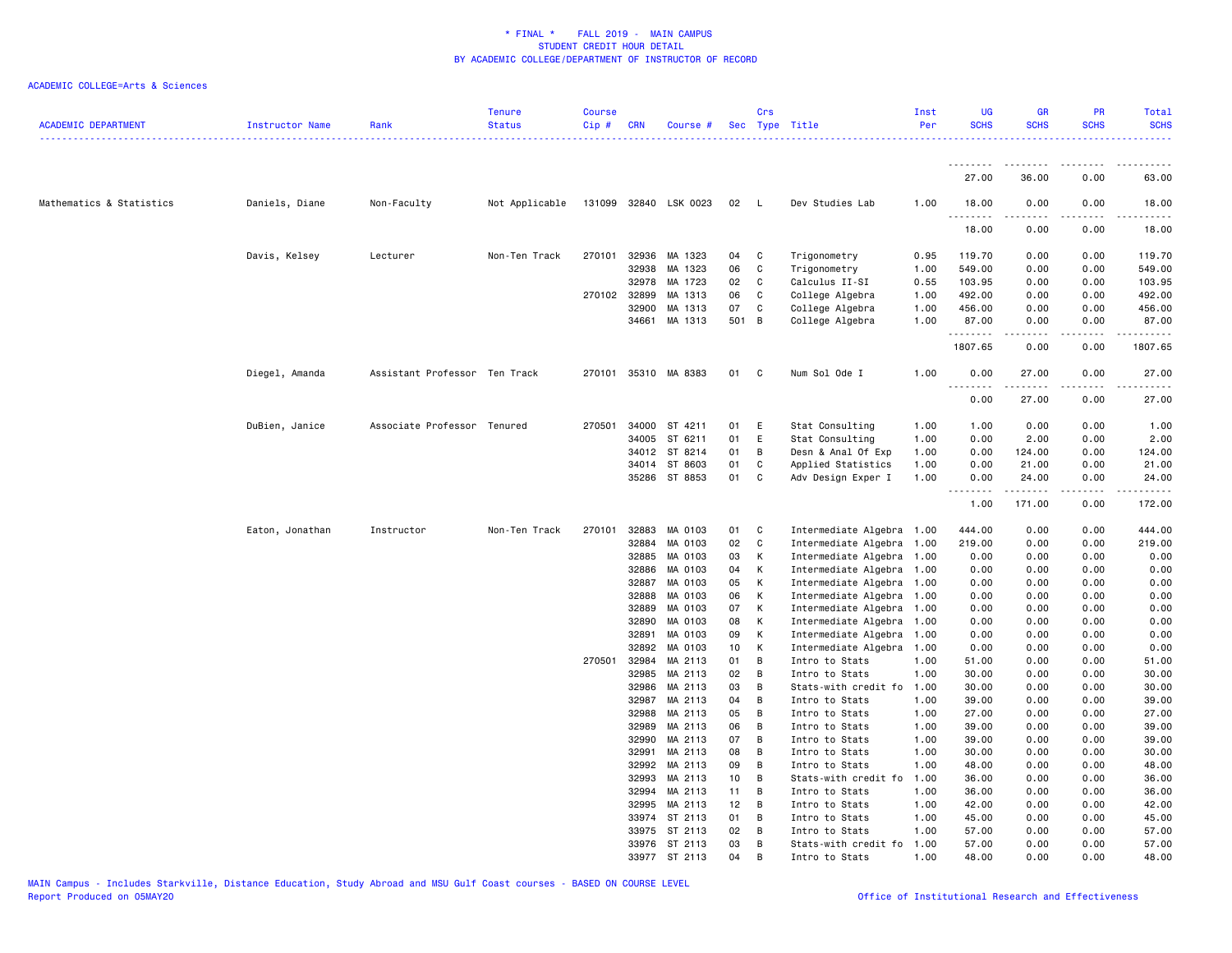| <b>ACADEMIC DEPARTMENT</b> | Instructor Name | Rank                          | <b>Tenure</b><br><b>Status</b> | <b>Course</b><br>Cip# | <b>CRN</b>     | Course #              |                 | Crs            | Sec Type Title                   | Inst<br>Per  | <b>UG</b><br><b>SCHS</b> | <b>GR</b><br><b>SCHS</b> | PR<br><b>SCHS</b> | Total<br><b>SCHS</b> |
|----------------------------|-----------------|-------------------------------|--------------------------------|-----------------------|----------------|-----------------------|-----------------|----------------|----------------------------------|--------------|--------------------------|--------------------------|-------------------|----------------------|
|                            |                 |                               |                                |                       |                |                       |                 |                |                                  |              | .                        |                          |                   |                      |
|                            |                 |                               |                                |                       |                |                       |                 |                |                                  |              | 27.00                    | 36.00                    | 0.00              | 63.00                |
| Mathematics & Statistics   | Daniels, Diane  | Non-Faculty                   | Not Applicable                 |                       |                | 131099 32840 LSK 0023 | 02              | <b>L</b>       | Dev Studies Lab                  | 1.00         | 18.00                    | 0.00                     | 0.00              | 18.00                |
|                            |                 |                               |                                |                       |                |                       |                 |                |                                  |              | 18.00                    | 0.00                     | 0.00              | 18.00                |
|                            | Davis, Kelsey   | Lecturer                      | Non-Ten Track                  |                       | 270101 32936   | MA 1323               | 04              | <b>C</b>       | Trigonometry                     | 0.95         | 119.70                   | 0.00                     | 0.00              | 119.70               |
|                            |                 |                               |                                |                       | 32938          | MA 1323               | 06              | $\mathbf{C}$   | Trigonometry                     | 1.00         | 549.00                   | 0.00                     | 0.00              | 549.00               |
|                            |                 |                               |                                |                       | 32978          | MA 1723               | 02              | C              | Calculus II-SI                   | 0.55         | 103.95                   | 0.00                     | 0.00              | 103.95               |
|                            |                 |                               |                                |                       | 270102 32899   | MA 1313               | 06              | C              | College Algebra                  | 1.00         | 492.00                   | 0.00                     | 0.00              | 492.00               |
|                            |                 |                               |                                |                       | 32900          | MA 1313               | 07              | C              | College Algebra                  | 1.00         | 456.00                   | 0.00                     | 0.00              | 456.00               |
|                            |                 |                               |                                |                       | 34661          | MA 1313               | 501 B           |                | College Algebra                  | 1.00         | 87.00<br>.               | 0.00<br>د د د د د        | 0.00<br>.         | 87.00<br>.           |
|                            |                 |                               |                                |                       |                |                       |                 |                |                                  |              | 1807.65                  | 0.00                     | 0.00              | 1807.65              |
|                            | Diegel, Amanda  | Assistant Professor Ten Track |                                | 270101                |                | 35310 MA 8383         | 01              | $\mathbf{C}$   | Num Sol Ode I                    | 1.00         | 0.00<br>.                | 27.00<br>$- - - - -$     | 0.00<br>.         | 27.00<br>.           |
|                            |                 |                               |                                |                       |                |                       |                 |                |                                  |              | 0.00                     | 27.00                    | 0.00              | 27.00                |
|                            | DuBien, Janice  | Associate Professor Tenured   |                                | 270501                | 34000          | ST 4211               | 01              | E              | Stat Consulting                  | 1.00         | 1.00                     | 0.00                     | 0.00              | 1.00                 |
|                            |                 |                               |                                |                       | 34005          | ST 6211               | 01              | E              | Stat Consulting                  | 1.00         | 0.00                     | 2.00                     | 0.00              | 2.00                 |
|                            |                 |                               |                                |                       | 34012          | ST 8214               | 01              | B              | Desn & Anal Of Exp               | 1.00         | 0.00                     | 124.00                   | 0.00              | 124.00               |
|                            |                 |                               |                                |                       | 34014          | ST 8603               | 01              | C              | Applied Statistics               | 1.00         | 0.00                     | 21.00                    | 0.00              | 21.00                |
|                            |                 |                               |                                |                       |                | 35286 ST 8853         | 01              | C              | Adv Design Exper I               | 1.00         | 0.00                     | 24.00                    | 0.00              | 24.00                |
|                            |                 |                               |                                |                       |                |                       |                 |                |                                  |              | 1.00                     | 171.00                   | 0.00              | 172.00               |
|                            | Eaton, Jonathan | Instructor                    | Non-Ten Track                  | 270101                | 32883          | MA 0103               | 01              | C              | Intermediate Algebra 1.00        |              | 444.00                   | 0.00                     | 0.00              | 444.00               |
|                            |                 |                               |                                |                       | 32884          | MA 0103               | 02              | C              | Intermediate Algebra 1.00        |              | 219.00                   | 0.00                     | 0.00              | 219.00               |
|                            |                 |                               |                                |                       | 32885          | MA 0103               | 03              | К              | Intermediate Algebra 1.00        |              | 0.00                     | 0.00                     | 0.00              | 0.00                 |
|                            |                 |                               |                                |                       | 32886          | MA 0103               | 04              | К              | Intermediate Algebra 1.00        |              | 0.00                     | 0.00                     | 0.00              | 0.00                 |
|                            |                 |                               |                                |                       | 32887          | MA 0103               | 05              | К              | Intermediate Algebra 1.00        |              | 0.00                     | 0.00                     | 0.00              | 0.00                 |
|                            |                 |                               |                                |                       | 32888          | MA 0103               | 06              | к              | Intermediate Algebra 1.00        |              | 0.00                     | 0.00                     | 0.00              | 0.00                 |
|                            |                 |                               |                                |                       | 32889          | MA 0103               | 07              | к              | Intermediate Algebra             | 1.00         | 0.00                     | 0.00                     | 0.00              | 0.00                 |
|                            |                 |                               |                                |                       | 32890          | MA 0103               | 08              | К              | Intermediate Algebra 1.00        |              | 0.00                     | 0.00                     | 0.00              | 0.00                 |
|                            |                 |                               |                                |                       | 32891          | MA 0103               | 09              | к              | Intermediate Algebra             | 1.00         | 0.00                     | 0.00                     | 0.00              | 0.00                 |
|                            |                 |                               |                                |                       | 32892          | MA 0103               | 10              | K              | Intermediate Algebra             | 1.00         | 0.00                     | 0.00                     | 0.00              | 0.00                 |
|                            |                 |                               |                                | 270501                | 32984          | MA 2113               | 01              | B              | Intro to Stats                   | 1.00         | 51.00                    | 0.00                     | 0.00              | 51.00                |
|                            |                 |                               |                                |                       | 32985          | MA 2113               | 02              | B              | Intro to Stats                   | 1.00         | 30.00                    | 0.00                     | 0.00              | 30.00                |
|                            |                 |                               |                                |                       | 32986          | MA 2113<br>MA 2113    | 03<br>04        | B              | Stats-with credit fo             | 1.00         | 30.00                    | 0.00                     | 0.00              | 30.00                |
|                            |                 |                               |                                |                       | 32987<br>32988 | MA 2113               | 05              | B<br>B         | Intro to Stats<br>Intro to Stats | 1.00<br>1.00 | 39.00<br>27.00           | 0.00<br>0.00             | 0.00<br>0.00      | 39.00<br>27.00       |
|                            |                 |                               |                                |                       | 32989          | MA 2113               | 06              | B              | Intro to Stats                   | 1.00         | 39.00                    | 0.00                     | 0.00              | 39.00                |
|                            |                 |                               |                                |                       | 32990          | MA 2113               | 07              | $\overline{B}$ | Intro to Stats                   | 1.00         | 39.00                    | 0.00                     | 0.00              | 39.00                |
|                            |                 |                               |                                |                       | 32991          | MA 2113               | 08              | B              | Intro to Stats                   | 1.00         | 30.00                    | 0.00                     | 0.00              | 30.00                |
|                            |                 |                               |                                |                       | 32992          | MA 2113               | 09              | B              | Intro to Stats                   | 1.00         | 48.00                    | 0.00                     | 0.00              | 48.00                |
|                            |                 |                               |                                |                       | 32993          | MA 2113               | 10 <sub>1</sub> | B              | Stats-with credit fo             | 1.00         | 36.00                    | 0.00                     | 0.00              | 36.00                |
|                            |                 |                               |                                |                       | 32994          | MA 2113               | 11              | B              | Intro to Stats                   | 1.00         | 36.00                    | 0.00                     | 0.00              | 36.00                |
|                            |                 |                               |                                |                       | 32995          | MA 2113               | 12              | B              | Intro to Stats                   | 1.00         | 42.00                    | 0.00                     | 0.00              | 42.00                |
|                            |                 |                               |                                |                       | 33974          | ST 2113               | 01              | B              | Intro to Stats                   | 1.00         | 45.00                    | 0.00                     | 0.00              | 45.00                |
|                            |                 |                               |                                |                       | 33975          | ST 2113               | 02              | $\overline{B}$ | Intro to Stats                   | 1.00         | 57.00                    | 0.00                     | 0.00              | 57.00                |
|                            |                 |                               |                                |                       | 33976          | ST 2113               | 03              | B              | Stats-with credit fo             | 1.00         | 57.00                    | 0.00                     | 0.00              | 57.00                |
|                            |                 |                               |                                |                       |                | 33977 ST 2113         | 04              | B              | Intro to Stats                   | 1.00         | 48.00                    | 0.00                     | 0.00              | 48.00                |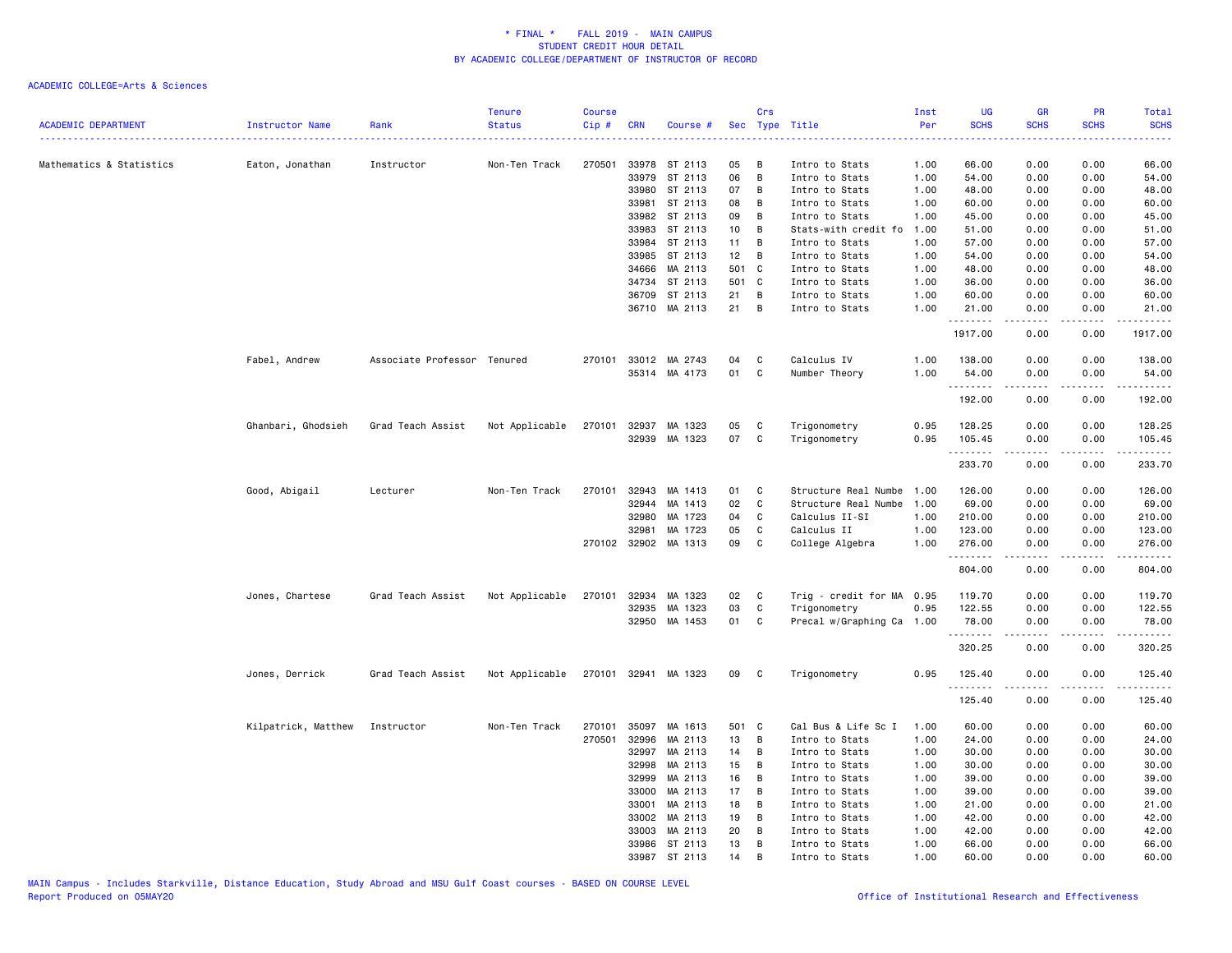| <b>ACADEMIC DEPARTMENT</b> | Instructor Name     | Rank                        | <b>Tenure</b><br><b>Status</b> | <b>Course</b><br>$Cip$ # | <b>CRN</b> | Course #             |       | Crs<br>Sec Type Title |                           | Inst<br>Per                                                                                    | UG<br><b>SCHS</b>  | GR<br><b>SCHS</b> | PR<br><b>SCHS</b> | Total<br><b>SCHS</b>                                                                                                                                                                      |
|----------------------------|---------------------|-----------------------------|--------------------------------|--------------------------|------------|----------------------|-------|-----------------------|---------------------------|------------------------------------------------------------------------------------------------|--------------------|-------------------|-------------------|-------------------------------------------------------------------------------------------------------------------------------------------------------------------------------------------|
|                            |                     |                             |                                |                          |            |                      |       |                       |                           | $\frac{1}{2} \left( \frac{1}{2} \right) \left( \frac{1}{2} \right) \left( \frac{1}{2} \right)$ |                    |                   |                   |                                                                                                                                                                                           |
| Mathematics & Statistics   | Eaton, Jonathan     | Instructor                  | Non-Ten Track                  | 270501                   | 33978      | ST 2113              | 05    | В                     | Intro to Stats            | 1.00                                                                                           | 66.00              | 0.00              | 0.00              | 66.00                                                                                                                                                                                     |
|                            |                     |                             |                                |                          | 33979      | ST 2113              | 06    | B                     | Intro to Stats            | 1.00                                                                                           | 54.00              | 0.00              | 0.00              | 54.00                                                                                                                                                                                     |
|                            |                     |                             |                                |                          | 33980      | ST 2113              | 07    | B                     | Intro to Stats            | 1.00                                                                                           | 48.00              | 0.00              | 0.00              | 48.00                                                                                                                                                                                     |
|                            |                     |                             |                                |                          | 33981      | ST 2113              | 08    | B                     | Intro to Stats            | 1.00                                                                                           | 60.00              | 0.00              | 0.00              | 60.00                                                                                                                                                                                     |
|                            |                     |                             |                                |                          | 33982      | ST 2113              | 09    | В                     | Intro to Stats            | 1.00                                                                                           | 45.00              | 0.00              | 0.00              | 45.00                                                                                                                                                                                     |
|                            |                     |                             |                                |                          | 33983      | ST 2113              | 10    | В                     | Stats-with credit fo      | 1.00                                                                                           | 51.00              | 0.00              | 0.00              | 51.00                                                                                                                                                                                     |
|                            |                     |                             |                                |                          | 33984      | ST 2113              | 11    | В                     | Intro to Stats            | 1.00                                                                                           | 57.00              | 0.00              | 0.00              | 57.00                                                                                                                                                                                     |
|                            |                     |                             |                                |                          | 33985      | ST 2113              | 12    | В                     | Intro to Stats            | 1.00                                                                                           | 54.00              | 0.00              | 0.00              | 54.00                                                                                                                                                                                     |
|                            |                     |                             |                                |                          | 34666      | MA 2113              | 501 C |                       | Intro to Stats            | 1.00                                                                                           | 48.00              | 0.00              | 0.00              | 48.00                                                                                                                                                                                     |
|                            |                     |                             |                                |                          | 34734      | ST 2113              | 501 C |                       | Intro to Stats            | 1.00                                                                                           | 36.00              | 0.00              | 0.00              | 36.00                                                                                                                                                                                     |
|                            |                     |                             |                                |                          |            | 36709 ST 2113        | 21    | $\overline{B}$        | Intro to Stats            | 1.00                                                                                           | 60.00              | 0.00              | 0.00              | 60.00                                                                                                                                                                                     |
|                            |                     |                             |                                |                          |            | 36710 MA 2113        | 21    | $\overline{B}$        | Intro to Stats            | 1.00                                                                                           | 21.00              | 0.00              | 0.00              | 21.00                                                                                                                                                                                     |
|                            |                     |                             |                                |                          |            |                      |       |                       |                           |                                                                                                |                    | .                 | $- - - -$         | .                                                                                                                                                                                         |
|                            |                     |                             |                                |                          |            |                      |       |                       |                           |                                                                                                | 1917.00            | 0.00              | 0.00              | 1917.00                                                                                                                                                                                   |
|                            | Fabel, Andrew       | Associate Professor Tenured |                                |                          |            | 270101 33012 MA 2743 | 04    | C                     | Calculus IV               | 1.00                                                                                           | 138.00             | 0.00              | 0.00              | 138.00                                                                                                                                                                                    |
|                            |                     |                             |                                |                          |            | 35314 MA 4173        | 01    | $\mathbf{C}$          | Number Theory             | 1.00                                                                                           | 54.00              | 0.00              | 0.00              | 54.00                                                                                                                                                                                     |
|                            |                     |                             |                                |                          |            |                      |       |                       |                           |                                                                                                | .                  | .                 | .                 | $- - - - - -$                                                                                                                                                                             |
|                            |                     |                             |                                |                          |            |                      |       |                       |                           |                                                                                                | 192.00             | 0.00              | 0.00              | 192.00                                                                                                                                                                                    |
|                            | Ghanbari, Ghodsieh  | Grad Teach Assist           | Not Applicable                 | 270101                   | 32937      | MA 1323              | 05    | C                     | Trigonometry              | 0.95                                                                                           | 128.25             | 0.00              | 0.00              | 128.25                                                                                                                                                                                    |
|                            |                     |                             |                                |                          |            | 32939 MA 1323        | 07    | C                     | Trigonometry              | 0.95                                                                                           | 105.45             | 0.00              | 0.00              | 105.45                                                                                                                                                                                    |
|                            |                     |                             |                                |                          |            |                      |       |                       |                           |                                                                                                | .<br>233.70        | .<br>0.00         | .<br>0.00         | .<br>233.70                                                                                                                                                                               |
|                            | Good, Abigail       | Lecturer                    | Non-Ten Track                  | 270101                   | 32943      | MA 1413              | 01    | C                     | Structure Real Numbe      | 1.00                                                                                           | 126.00             | 0.00              | 0.00              | 126.00                                                                                                                                                                                    |
|                            |                     |                             |                                |                          | 32944      | MA 1413              | 02    | $\mathtt{C}$          | Structure Real Numbe      | 1.00                                                                                           | 69.00              | 0.00              | 0.00              | 69.00                                                                                                                                                                                     |
|                            |                     |                             |                                |                          | 32980      | MA 1723              | 04    | C                     | Calculus II-SI            | 1.00                                                                                           | 210.00             | 0.00              | 0.00              | 210.00                                                                                                                                                                                    |
|                            |                     |                             |                                |                          | 32981      | MA 1723              | 05    | C                     | Calculus II               | 1.00                                                                                           | 123.00             | 0.00              | 0.00              | 123.00                                                                                                                                                                                    |
|                            |                     |                             |                                |                          |            | 270102 32902 MA 1313 | 09    | C                     | College Algebra           | 1.00                                                                                           | 276.00             | 0.00              | 0.00              | 276.00                                                                                                                                                                                    |
|                            |                     |                             |                                |                          |            |                      |       |                       |                           |                                                                                                | .                  | .                 | .                 | $\begin{array}{cccccccccc} \bullet & \bullet & \bullet & \bullet & \bullet & \bullet & \bullet \end{array}$                                                                               |
|                            |                     |                             |                                |                          |            |                      |       |                       |                           |                                                                                                | 804.00             | 0.00              | 0.00              | 804.00                                                                                                                                                                                    |
|                            | Jones, Chartese     | Grad Teach Assist           | Not Applicable                 | 270101                   | 32934      | MA 1323              | 02    | $\mathbf{C}$          | Trig - credit for MA 0.95 |                                                                                                | 119.70             | 0.00              | 0.00              | 119.70                                                                                                                                                                                    |
|                            |                     |                             |                                |                          | 32935      | MA 1323              | 03    | C                     | Trigonometry              | 0.95                                                                                           | 122.55             | 0.00              | 0.00              | 122.55                                                                                                                                                                                    |
|                            |                     |                             |                                |                          |            | 32950 MA 1453        | 01    | C                     | Precal w/Graphing Ca 1.00 |                                                                                                | 78.00              | 0.00              | 0.00              | 78.00                                                                                                                                                                                     |
|                            |                     |                             |                                |                          |            |                      |       |                       |                           |                                                                                                | <u>.</u><br>320.25 | .<br>0.00         | .<br>0.00         | $\frac{1}{2} \left( \frac{1}{2} \right) \left( \frac{1}{2} \right) \left( \frac{1}{2} \right) \left( \frac{1}{2} \right) \left( \frac{1}{2} \right) \left( \frac{1}{2} \right)$<br>320.25 |
|                            | Jones, Derrick      | Grad Teach Assist           | Not Applicable                 |                          |            | 270101 32941 MA 1323 | 09    | $\mathbf{C}$          | Trigonometry              | 0.95                                                                                           | 125.40             | 0.00              | 0.00              | 125.40                                                                                                                                                                                    |
|                            |                     |                             |                                |                          |            |                      |       |                       |                           |                                                                                                | <u>.</u>           |                   | $- - - -$         | .                                                                                                                                                                                         |
|                            |                     |                             |                                |                          |            |                      |       |                       |                           |                                                                                                | 125.40             | 0.00              | 0.00              | 125.40                                                                                                                                                                                    |
|                            | Kilpatrick, Matthew | Instructor                  | Non-Ten Track                  | 270101                   | 35097      | MA 1613              | 501 C |                       | Cal Bus & Life Sc I       | 1.00                                                                                           | 60.00              | 0.00              | 0.00              | 60.00                                                                                                                                                                                     |
|                            |                     |                             |                                | 270501                   | 32996      | MA 2113              | 13    | B                     | Intro to Stats            | 1.00                                                                                           | 24.00              | 0.00              | 0.00              | 24.00                                                                                                                                                                                     |
|                            |                     |                             |                                |                          | 32997      | MA 2113              | 14    | B                     | Intro to Stats            | 1.00                                                                                           | 30.00              | 0.00              | 0.00              | 30.00                                                                                                                                                                                     |
|                            |                     |                             |                                |                          | 32998      | MA 2113              | 15    | В                     | Intro to Stats            | 1.00                                                                                           | 30.00              | 0.00              | 0.00              | 30.00                                                                                                                                                                                     |
|                            |                     |                             |                                |                          | 32999      | MA 2113              | 16    | В                     | Intro to Stats            | 1.00                                                                                           | 39.00              | 0.00              | 0.00              | 39.00                                                                                                                                                                                     |
|                            |                     |                             |                                |                          | 33000      | MA 2113              | 17    | В                     | Intro to Stats            | 1.00                                                                                           | 39.00              | 0.00              | 0.00              | 39.00                                                                                                                                                                                     |
|                            |                     |                             |                                |                          | 33001      | MA 2113              | 18    | В                     | Intro to Stats            | 1.00                                                                                           | 21.00              | 0.00              | 0.00              | 21.00                                                                                                                                                                                     |
|                            |                     |                             |                                |                          | 33002      | MA 2113              | 19    | В                     | Intro to Stats            | 1.00                                                                                           | 42.00              | 0.00              | 0.00              | 42.00                                                                                                                                                                                     |
|                            |                     |                             |                                |                          | 33003      | MA 2113              | 20    | B                     | Intro to Stats            | 1.00                                                                                           | 42.00              | 0.00              | 0.00              | 42.00                                                                                                                                                                                     |
|                            |                     |                             |                                |                          | 33986      | ST 2113              | 13    | B                     | Intro to Stats            | 1.00                                                                                           | 66.00              | 0.00              | 0.00              | 66.00                                                                                                                                                                                     |
|                            |                     |                             |                                |                          | 33987      | ST 2113              | 14    | B                     | Intro to Stats            | 1.00                                                                                           | 60.00              | 0.00              | 0.00              | 60.00                                                                                                                                                                                     |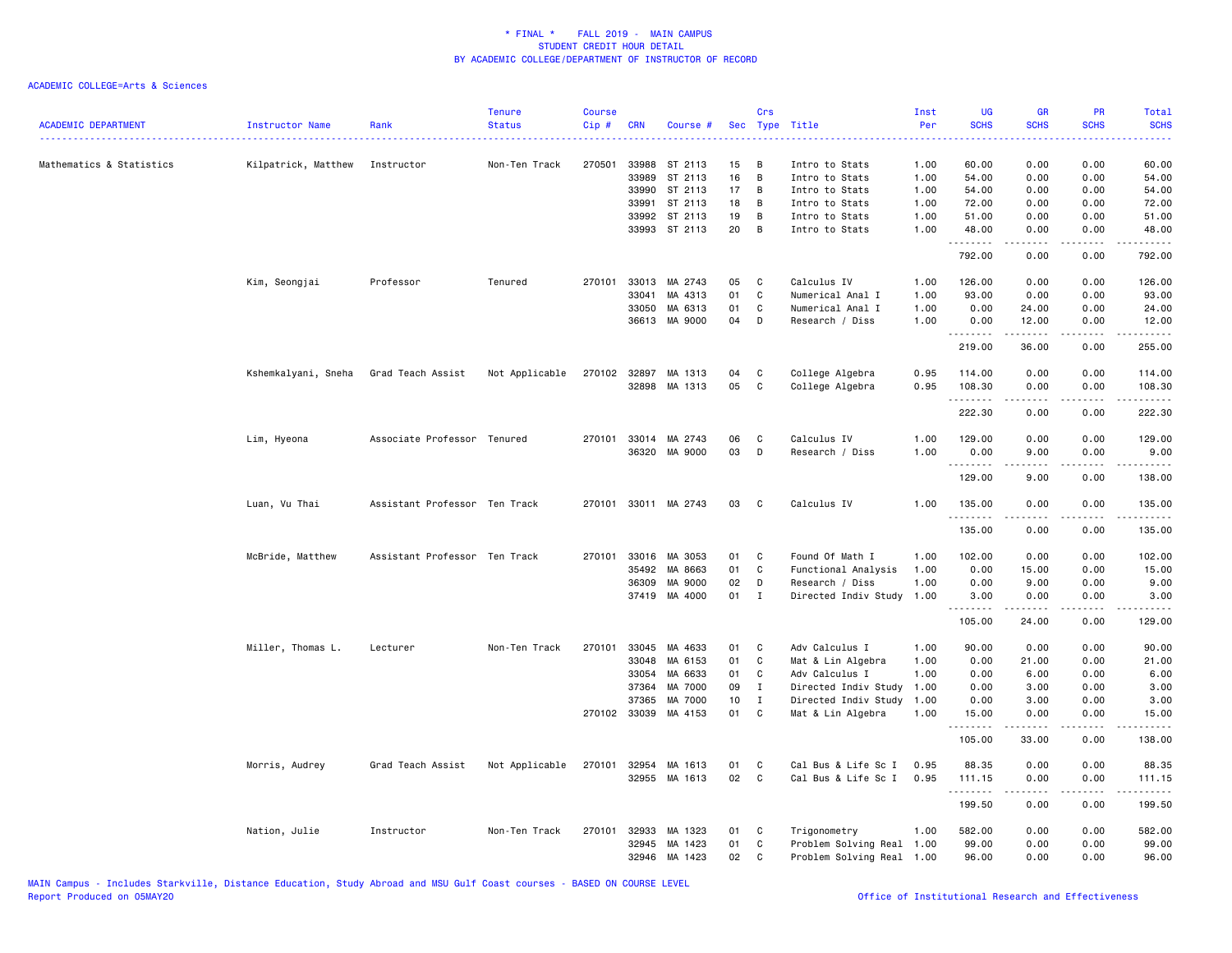| <b>ACADEMIC DEPARTMENT</b> | Instructor Name     | Rank                          | <b>Tenure</b><br><b>Status</b> | <b>Course</b><br>$Cip$ # | <b>CRN</b>   | Course #             | Sec  | Crs          | Type Title                | Inst<br>Per | UG<br><b>SCHS</b>  | <b>GR</b><br><b>SCHS</b> | PR<br><b>SCHS</b>                   | Total<br><b>SCHS</b> |
|----------------------------|---------------------|-------------------------------|--------------------------------|--------------------------|--------------|----------------------|------|--------------|---------------------------|-------------|--------------------|--------------------------|-------------------------------------|----------------------|
| Mathematics & Statistics   | Kilpatrick, Matthew | Instructor                    | Non-Ten Track                  | 270501                   |              | 33988 ST 2113        | 15   | в            | Intro to Stats            | .<br>1.00   | 60.00              | 0.00                     | 0.00                                | 2222.<br>60.00       |
|                            |                     |                               |                                |                          | 33989        | ST 2113              | 16   | В            | Intro to Stats            | 1.00        | 54.00              | 0.00                     | 0.00                                | 54.00                |
|                            |                     |                               |                                |                          |              | 33990 ST 2113        | 17   | В            | Intro to Stats            | 1.00        | 54.00              | 0.00                     | 0.00                                | 54.00                |
|                            |                     |                               |                                |                          | 33991        | ST 2113              | 18   | В            | Intro to Stats            | 1.00        | 72.00              | 0.00                     | 0.00                                | 72.00                |
|                            |                     |                               |                                |                          | 33992        | ST 2113              | 19   | В            | Intro to Stats            | 1.00        | 51.00              | 0.00                     | 0.00                                | 51.00                |
|                            |                     |                               |                                |                          |              | 33993 ST 2113        | 20   | B            | Intro to Stats            | 1.00        | 48.00<br><b></b>   | 0.00<br>$\frac{1}{2}$    | 0.00<br>.                           | 48.00<br>.           |
|                            |                     |                               |                                |                          |              |                      |      |              |                           |             | 792.00             | 0.00                     | 0.00                                | 792.00               |
|                            | Kim, Seongjai       | Professor                     | Tenured                        | 270101                   |              | 33013 MA 2743        | 05   | C            | Calculus IV               | 1.00        | 126.00             | 0.00                     | 0.00                                | 126.00               |
|                            |                     |                               |                                |                          | 33041        | MA 4313              | 01   | C            | Numerical Anal I          | 1.00        | 93.00              | 0.00                     | 0.00                                | 93.00                |
|                            |                     |                               |                                |                          | 33050        | MA 6313              | 01   | C            | Numerical Anal I          | 1.00        | 0.00               | 24.00                    | 0.00                                | 24.00                |
|                            |                     |                               |                                |                          |              | 36613 MA 9000        | 04   | D            | Research / Diss           | 1.00        | 0.00<br><u>.</u>   | 12.00<br>.               | 0.00<br>.                           | 12.00<br><u>.</u>    |
|                            |                     |                               |                                |                          |              |                      |      |              |                           |             | 219.00             | 36.00                    | 0.00                                | 255.00               |
|                            | Kshemkalyani, Sneha | Grad Teach Assist             | Not Applicable                 | 270102                   | 32897        | MA 1313              | 04   | C            | College Algebra           | 0.95        | 114.00             | 0.00                     | 0.00                                | 114.00               |
|                            |                     |                               |                                |                          |              | 32898 MA 1313        | 05   | C            | College Algebra           | 0.95        | 108.30             | 0.00                     | 0.00                                | 108.30               |
|                            |                     |                               |                                |                          |              |                      |      |              |                           |             | .<br>222.30        | .<br>0.00                | .<br>0.00                           | .<br>222.30          |
|                            | Lim, Hyeona         | Associate Professor Tenured   |                                |                          |              | 270101 33014 MA 2743 | 06   | C            | Calculus IV               | 1.00        | 129.00             | 0.00                     | 0.00                                | 129.00               |
|                            |                     |                               |                                |                          |              | 36320 MA 9000        | 03   | D            | Research / Diss           | 1.00        | 0.00               | 9.00                     | 0.00                                | 9.00                 |
|                            |                     |                               |                                |                          |              |                      |      |              |                           |             | <u>.</u><br>129.00 | .<br>9.00                | $\sim$ $\sim$ $\sim$ $\sim$<br>0.00 | .<br>138.00          |
|                            | Luan, Vu Thai       | Assistant Professor Ten Track |                                |                          |              | 270101 33011 MA 2743 | 03   | C            | Calculus IV               | 1.00        | 135.00             | 0.00                     | 0.00                                | 135.00               |
|                            |                     |                               |                                |                          |              |                      |      |              |                           |             | .<br>135.00        | .<br>0.00                | .<br>0.00                           | .<br>135.00          |
|                            | McBride, Matthew    | Assistant Professor Ten Track |                                | 270101                   |              | 33016 MA 3053        | 01   | C.           | Found Of Math I           | 1.00        | 102.00             | 0.00                     | 0.00                                | 102.00               |
|                            |                     |                               |                                |                          | 35492        | MA 8663              | 01   | C            | Functional Analysis       | 1.00        | 0.00               | 15.00                    | 0.00                                | 15.00                |
|                            |                     |                               |                                |                          | 36309        | MA 9000              | 02   | D            | Research / Diss           | 1.00        | 0.00               | 9.00                     | 0.00                                | 9.00                 |
|                            |                     |                               |                                |                          |              | 37419 MA 4000        | 01 I |              | Directed Indiv Study      | 1.00        | 3.00               | 0.00                     | 0.00                                | 3,00                 |
|                            |                     |                               |                                |                          |              |                      |      |              |                           |             | .<br>105.00        | -----<br>24.00           | .<br>0.00                           | المتمام<br>129.00    |
|                            | Miller, Thomas L.   | Lecturer                      | Non-Ten Track                  |                          |              | 270101 33045 MA 4633 | 01   | C            | Adv Calculus I            | 1.00        | 90.00              | 0.00                     | 0.00                                | 90.00                |
|                            |                     |                               |                                |                          | 33048        | MA 6153              | 01   | $\mathbb{C}$ | Mat & Lin Algebra         | 1.00        | 0.00               | 21.00                    | 0.00                                | 21.00                |
|                            |                     |                               |                                |                          | 33054        | MA 6633              | 01   | C            | Adv Calculus I            | 1.00        | 0.00               | 6.00                     | 0.00                                | 6.00                 |
|                            |                     |                               |                                |                          | 37364        | MA 7000              | 09   | I            | Directed Indiv Study      | 1.00        | 0.00               | 3.00                     | 0.00                                | 3.00                 |
|                            |                     |                               |                                |                          | 37365        | MA 7000              | 10   | $\mathbf{I}$ | Directed Indiv Study      | 1.00        | 0.00               | 3.00                     | 0.00                                | 3.00                 |
|                            |                     |                               |                                |                          | 270102 33039 | MA 4153              | 01   | C.           | Mat & Lin Algebra         | 1.00        | 15.00<br>.         | 0.00                     | 0.00<br>.                           | 15.00<br>.           |
|                            |                     |                               |                                |                          |              |                      |      |              |                           |             | 105.00             | 33.00                    | 0.00                                | 138.00               |
|                            | Morris, Audrey      | Grad Teach Assist             | Not Applicable                 | 270101 32954             |              | MA 1613              | 01   | C            | Cal Bus & Life Sc I       | 0.95        | 88.35              | 0.00                     | 0.00                                | 88.35                |
|                            |                     |                               |                                |                          |              | 32955 MA 1613        | 02   | $\mathsf{C}$ | Cal Bus & Life Sc I       | 0.95        | 111.15<br>.        | 0.00                     | 0.00<br>د د د د                     | 111.15<br>.          |
|                            |                     |                               |                                |                          |              |                      |      |              |                           |             | 199.50             | 0.00                     | 0.00                                | 199.50               |
|                            | Nation, Julie       | Instructor                    | Non-Ten Track                  |                          |              | 270101 32933 MA 1323 | 01   | C.           | Trigonometry              | 1.00        | 582.00             | 0.00                     | 0.00                                | 582.00               |
|                            |                     |                               |                                |                          | 32945        | MA 1423              | 01   | C            | Problem Solving Real 1.00 |             | 99.00              | 0.00                     | 0.00                                | 99.00                |
|                            |                     |                               |                                |                          |              | 32946 MA 1423        | 02   | C            | Problem Solving Real 1.00 |             | 96.00              | 0.00                     | 0.00                                | 96.00                |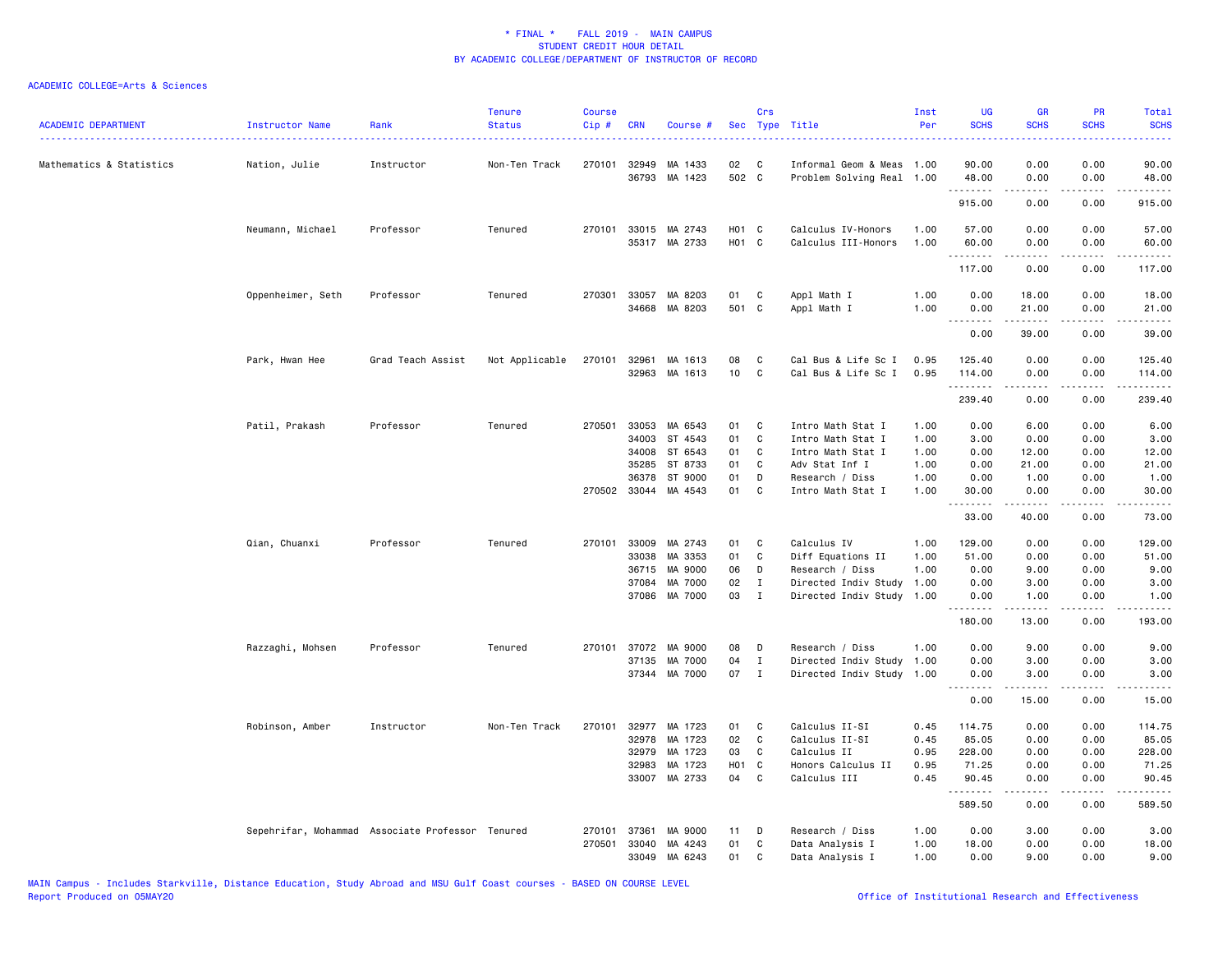| ACADEMIC DEPARTMENT      | Instructor Name   | Rank                                             | <b>Tenure</b><br><b>Status</b> | <b>Course</b><br>Cip# | <b>CRN</b>   | Course #                 |                        | Crs               | Sec Type Title                                         | Inst<br>Per  | <b>UG</b><br><b>SCHS</b> | <b>GR</b><br><b>SCHS</b>      | PR<br><b>SCHS</b>            | Total<br><b>SCHS</b> |
|--------------------------|-------------------|--------------------------------------------------|--------------------------------|-----------------------|--------------|--------------------------|------------------------|-------------------|--------------------------------------------------------|--------------|--------------------------|-------------------------------|------------------------------|----------------------|
| Mathematics & Statistics | Nation, Julie     | Instructor                                       | Non-Ten Track                  |                       | 270101 32949 | MA 1433<br>36793 MA 1423 | 02<br>502 C            | C.                | Informal Geom & Meas 1.00<br>Problem Solving Real 1.00 |              | 90.00<br>48.00           | 0.00<br>0.00                  | 0.00<br>0.00                 | 90.00<br>48.00       |
|                          |                   |                                                  |                                |                       |              |                          |                        |                   |                                                        |              | .<br>915.00              | 0.00                          | .<br>0.00                    | .<br>915.00          |
|                          |                   |                                                  |                                |                       |              |                          |                        |                   |                                                        |              |                          |                               |                              |                      |
|                          | Neumann, Michael  | Professor                                        | Tenured                        |                       |              | 270101 33015 MA 2743     | H01 C                  |                   | Calculus IV-Honors                                     | 1.00         | 57.00                    | 0.00                          | 0.00                         | 57.00                |
|                          |                   |                                                  |                                |                       | 35317        | MA 2733                  | H <sub>01</sub> C      |                   | Calculus III-Honors                                    | 1.00         | 60.00<br>.               | 0.00<br>.                     | 0.00<br>$\sim$ $\sim$ $\sim$ | 60.00<br>.           |
|                          |                   |                                                  |                                |                       |              |                          |                        |                   |                                                        |              | 117.00                   | 0.00                          | 0.00                         | 117.00               |
|                          | Oppenheimer, Seth | Professor                                        | Tenured                        | 270301                | 33057        | MA 8203                  | 01                     | C                 | Appl Math I                                            | 1.00         | 0.00                     | 18.00                         | 0.00                         | 18.00                |
|                          |                   |                                                  |                                |                       |              | 34668 MA 8203            | 501 C                  |                   | Appl Math I                                            | 1.00         | 0.00<br>.                | 21.00<br>.                    | 0.00<br>.                    | 21.00<br>.           |
|                          |                   |                                                  |                                |                       |              |                          |                        |                   |                                                        |              | 0.00                     | 39.00                         | 0.00                         | 39.00                |
|                          | Park, Hwan Hee    | Grad Teach Assist                                | Not Applicable                 | 270101                | 32961        | MA 1613                  | 08                     | C                 | Cal Bus & Life Sc I                                    | 0.95         | 125.40                   | 0.00                          | 0.00                         | 125.40               |
|                          |                   |                                                  |                                |                       |              | 32963 MA 1613            | 10                     | C                 | Cal Bus & Life Sc I                                    | 0.95         | 114.00<br>.              | 0.00<br>$- - - - -$           | 0.00<br>.                    | 114.00<br>.          |
|                          |                   |                                                  |                                |                       |              |                          |                        |                   |                                                        |              | 239.40                   | 0.00                          | 0.00                         | 239.40               |
|                          | Patil, Prakash    | Professor                                        | Tenured                        | 270501                | 33053        | MA 6543                  | 01                     | C                 | Intro Math Stat I                                      | 1.00         | 0.00                     | 6.00                          | 0.00                         | 6.00                 |
|                          |                   |                                                  |                                |                       | 34003        | ST 4543                  | 01                     | C                 | Intro Math Stat I                                      | 1.00         | 3.00                     | 0.00                          | 0.00                         | 3.00                 |
|                          |                   |                                                  |                                |                       | 34008        | ST 6543                  | 01                     | C                 | Intro Math Stat I                                      | 1.00         | 0.00                     | 12.00                         | 0.00                         | 12.00                |
|                          |                   |                                                  |                                |                       | 35285        | ST 8733                  | 01                     | C                 | Adv Stat Inf I                                         | 1.00         | 0.00                     | 21.00                         | 0.00                         | 21.00                |
|                          |                   |                                                  |                                |                       | 36378        | ST 9000                  | 01                     | D                 | Research / Diss                                        | 1.00         | 0.00                     | 1.00                          | 0.00                         | 1.00                 |
|                          |                   |                                                  |                                |                       |              | 270502 33044 MA 4543     | 01                     | C                 | Intro Math Stat I                                      | 1.00         | 30.00<br>.               | 0.00<br>.                     | 0.00<br>.                    | 30.00<br>.           |
|                          |                   |                                                  |                                |                       |              |                          |                        |                   |                                                        |              | 33.00                    | 40.00                         | 0.00                         | 73.00                |
|                          | Qian, Chuanxi     | Professor                                        | Tenured                        |                       | 270101 33009 | MA 2743                  | 01                     | C                 | Calculus IV                                            | 1.00         | 129.00                   | 0.00                          | 0.00                         | 129.00               |
|                          |                   |                                                  |                                |                       | 33038        | MA 3353                  | 01                     | C                 | Diff Equations II                                      | 1.00         | 51.00                    | 0.00                          | 0.00                         | 51.00                |
|                          |                   |                                                  |                                |                       | 36715        | MA 9000                  | 06                     | D                 | Research / Diss                                        | 1.00         | 0.00                     | 9.00                          | 0.00                         | 9.00                 |
|                          |                   |                                                  |                                |                       | 37084        | MA 7000                  | 02                     | Ι.                | Directed Indiv Study                                   | 1.00         | 0.00                     | 3.00                          | 0.00                         | 3.00                 |
|                          |                   |                                                  |                                |                       |              | 37086 MA 7000            | 03                     | $\mathbf I$       | Directed Indiv Study 1.00                              |              | 0.00<br><u>.</u>         | 1.00<br>.                     | 0.00<br>.                    | 1.00<br>.            |
|                          |                   |                                                  |                                |                       |              |                          |                        |                   |                                                        |              | 180.00                   | 13.00                         | 0.00                         | 193.00               |
|                          | Razzaghi, Mohsen  | Professor                                        | Tenured                        |                       | 270101 37072 | MA 9000                  | 08                     | D                 | Research / Diss                                        | 1.00         | 0.00                     | 9.00                          | 0.00                         | 9.00                 |
|                          |                   |                                                  |                                |                       | 37135        | MA 7000                  | 04                     | $\mathbf{I}$      | Directed Indiv Study                                   | 1.00         | 0.00                     | 3.00                          | 0.00                         | 3.00                 |
|                          |                   |                                                  |                                |                       |              | 37344 MA 7000            | 07                     | $\mathbf{I}$      | Directed Indiv Study                                   | 1.00         | 0.00<br>.                | 3.00<br>------                | 0.00<br>.                    | 3.00<br>. <u>.</u> . |
|                          |                   |                                                  |                                |                       |              |                          |                        |                   |                                                        |              | 0.00                     | 15.00                         | 0.00                         | 15.00                |
|                          | Robinson, Amber   | Instructor                                       | Non-Ten Track                  | 270101                |              | 32977 MA 1723            | 01                     | C                 | Calculus II-SI                                         | 0.45         | 114.75                   | 0.00                          | 0.00                         | 114.75               |
|                          |                   |                                                  |                                |                       | 32978        | MA 1723                  | 02                     | C                 | Calculus II-SI                                         | 0.45         | 85.05                    | 0.00                          | 0.00                         | 85.05                |
|                          |                   |                                                  |                                |                       | 32979        | MA 1723<br>MA 1723       | 03                     | C                 | Calculus II                                            | 0.95         | 228.00                   | 0.00                          | 0.00                         | 228.00               |
|                          |                   |                                                  |                                |                       | 32983        | 33007 MA 2733            | H <sub>0</sub> 1<br>04 | $\mathbf{C}$<br>C | Honors Calculus II<br>Calculus III                     | 0.95<br>0.45 | 71.25<br>90.45           | 0.00<br>0.00                  | 0.00<br>0.00                 | 71.25<br>90.45       |
|                          |                   |                                                  |                                |                       |              |                          |                        |                   |                                                        |              | .<br>589.50              | $\sim$ 200 $\sim$ 200<br>0.00 | .<br>0.00                    | .<br>589.50          |
|                          |                   | Sepehrifar, Mohammad Associate Professor Tenured |                                | 270101                | 37361        | MA 9000                  | 11                     | D                 | Research / Diss                                        | 1.00         | 0.00                     | 3.00                          | 0.00                         | 3.00                 |
|                          |                   |                                                  |                                | 270501                | 33040        | MA 4243                  | 01                     | C                 | Data Analysis I                                        | 1.00         | 18.00                    | 0.00                          | 0.00                         | 18.00                |
|                          |                   |                                                  |                                |                       | 33049        | MA 6243                  | 01                     | $\mathsf{C}$      | Data Analysis I                                        | 1.00         | 0.00                     | 9.00                          | 0.00                         | 9.00                 |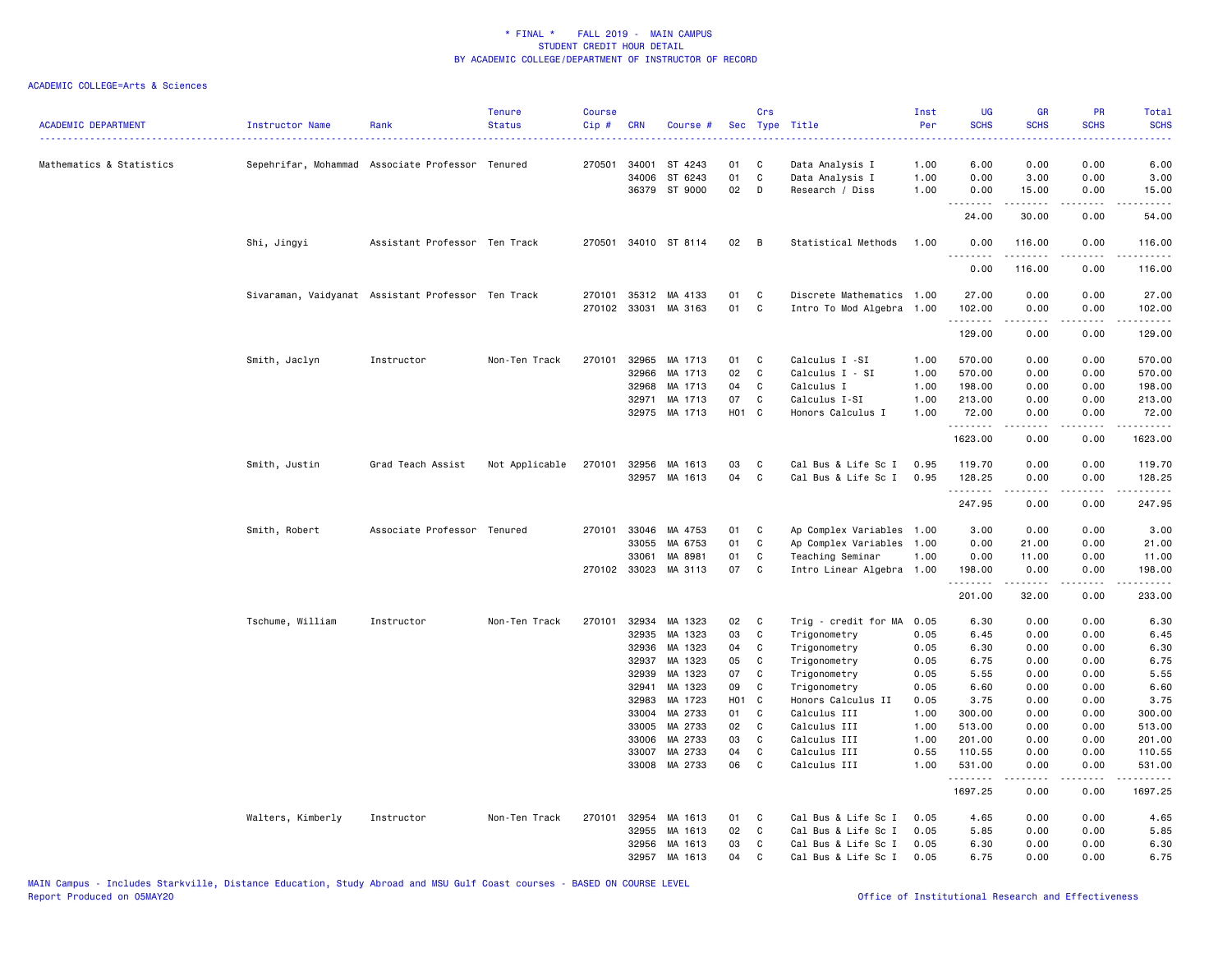| <b>ACADEMIC DEPARTMENT</b> | Instructor Name                                    | Rank                          | <b>Tenure</b><br><b>Status</b> | <b>Course</b><br>Cip# | <b>CRN</b>                                                                             | Course #                                                                                                                    | Sec                                                               | Crs                                            | Type Title                                                                                                                                                                         | Inst<br>Per                                                                          | UG<br><b>SCHS</b>                                                                                              | <b>GR</b><br><b>SCHS</b>                                                                                                                                     | PR<br><b>SCHS</b>                                                                                 | Total<br><b>SCHS</b>                                                                                                                                                                                                                                                                                                                           |
|----------------------------|----------------------------------------------------|-------------------------------|--------------------------------|-----------------------|----------------------------------------------------------------------------------------|-----------------------------------------------------------------------------------------------------------------------------|-------------------------------------------------------------------|------------------------------------------------|------------------------------------------------------------------------------------------------------------------------------------------------------------------------------------|--------------------------------------------------------------------------------------|----------------------------------------------------------------------------------------------------------------|--------------------------------------------------------------------------------------------------------------------------------------------------------------|---------------------------------------------------------------------------------------------------|------------------------------------------------------------------------------------------------------------------------------------------------------------------------------------------------------------------------------------------------------------------------------------------------------------------------------------------------|
| Mathematics & Statistics   | Sepehrifar, Mohammad Associate Professor Tenured   |                               |                                | 270501                | 34001<br>34006                                                                         | ST 4243<br>ST 6243<br>36379 ST 9000                                                                                         | 01<br>01<br>02                                                    | C<br>$\mathtt{C}$<br>D                         | Data Analysis I<br>Data Analysis I<br>Research / Diss                                                                                                                              | 1.00<br>1.00<br>1.00                                                                 | 6.00<br>0.00<br>0.00                                                                                           | 0.00<br>3.00<br>15.00                                                                                                                                        | 0.00<br>0.00<br>0.00                                                                              | 6.00<br>3.00<br>15.00                                                                                                                                                                                                                                                                                                                          |
|                            |                                                    |                               |                                |                       |                                                                                        |                                                                                                                             |                                                                   |                                                |                                                                                                                                                                                    |                                                                                      | <u>--------</u><br>24.00                                                                                       | .<br>30.00                                                                                                                                                   | .<br>0.00                                                                                         | .<br>54.00                                                                                                                                                                                                                                                                                                                                     |
|                            | Shi, Jingyi                                        | Assistant Professor Ten Track |                                |                       |                                                                                        | 270501 34010 ST 8114                                                                                                        | 02                                                                | B                                              | Statistical Methods                                                                                                                                                                | 1.00                                                                                 | 0.00<br>.                                                                                                      | 116.00<br>.                                                                                                                                                  | 0.00<br>.                                                                                         | 116.00<br>$- - - - -$                                                                                                                                                                                                                                                                                                                          |
|                            |                                                    |                               |                                |                       |                                                                                        |                                                                                                                             |                                                                   |                                                |                                                                                                                                                                                    |                                                                                      | 0.00                                                                                                           | 116.00                                                                                                                                                       | 0.00                                                                                              | 116.00                                                                                                                                                                                                                                                                                                                                         |
|                            | Sivaraman, Vaidyanat Assistant Professor Ten Track |                               |                                | 270101<br>270102      | 35312<br>33031                                                                         | MA 4133<br>MA 3163                                                                                                          | 01<br>01                                                          | C<br>C                                         | Discrete Mathematics 1.00<br>Intro To Mod Algebra 1.00                                                                                                                             |                                                                                      | 27.00<br>102.00                                                                                                | 0.00<br>0.00                                                                                                                                                 | 0.00<br>0.00                                                                                      | 27.00<br>102.00                                                                                                                                                                                                                                                                                                                                |
|                            |                                                    |                               |                                |                       |                                                                                        |                                                                                                                             |                                                                   |                                                |                                                                                                                                                                                    |                                                                                      | .<br>129.00                                                                                                    | $\frac{1}{2} \left( \frac{1}{2} \right) \left( \frac{1}{2} \right) \left( \frac{1}{2} \right) \left( \frac{1}{2} \right) \left( \frac{1}{2} \right)$<br>0.00 | .<br>0.00                                                                                         | المتمام مناسب<br>129.00                                                                                                                                                                                                                                                                                                                        |
|                            | Smith, Jaclyn                                      | Instructor                    | Non-Ten Track                  | 270101                | 32965<br>32966<br>32968<br>32971                                                       | MA 1713<br>MA 1713<br>MA 1713<br>MA 1713<br>32975 MA 1713                                                                   | 01<br>02<br>04<br>07<br>H01 C                                     | C<br>$\mathtt{C}$<br>C<br>C                    | Calculus I -SI<br>Calculus I - SI<br>Calculus I<br>Calculus I-SI<br>Honors Calculus I                                                                                              | 1.00<br>1.00<br>1.00<br>1.00<br>1.00                                                 | 570.00<br>570.00<br>198.00<br>213.00<br>72.00                                                                  | 0.00<br>0.00<br>0.00<br>0.00<br>0.00                                                                                                                         | 0.00<br>0.00<br>0.00<br>0.00<br>0.00                                                              | 570.00<br>570.00<br>198.00<br>213.00<br>72.00                                                                                                                                                                                                                                                                                                  |
|                            |                                                    |                               |                                |                       |                                                                                        |                                                                                                                             |                                                                   |                                                |                                                                                                                                                                                    |                                                                                      | .<br>1623.00                                                                                                   | .<br>0.00                                                                                                                                                    | 0.00                                                                                              | $\frac{1}{2} \left( \frac{1}{2} \right) \left( \frac{1}{2} \right) \left( \frac{1}{2} \right) \left( \frac{1}{2} \right) \left( \frac{1}{2} \right)$<br>1623.00                                                                                                                                                                                |
|                            | Smith, Justin                                      | Grad Teach Assist             | Not Applicable                 | 270101                | 32956<br>32957                                                                         | MA 1613<br>MA 1613                                                                                                          | 03<br>04                                                          | C<br>C                                         | Cal Bus & Life Sc I<br>Cal Bus & Life Sc I                                                                                                                                         | 0.95<br>0.95                                                                         | 119.70<br>128.25                                                                                               | 0.00<br>0.00                                                                                                                                                 | 0.00<br>0.00                                                                                      | 119.70<br>128.25                                                                                                                                                                                                                                                                                                                               |
|                            |                                                    |                               |                                |                       |                                                                                        |                                                                                                                             |                                                                   |                                                |                                                                                                                                                                                    |                                                                                      | .<br>247.95                                                                                                    | 0.00                                                                                                                                                         | 0.00                                                                                              | $\frac{1}{2} \left( \begin{array}{ccc} 1 & 0 & 0 & 0 \\ 0 & 0 & 0 & 0 \\ 0 & 0 & 0 & 0 \\ 0 & 0 & 0 & 0 \\ 0 & 0 & 0 & 0 \\ 0 & 0 & 0 & 0 \\ 0 & 0 & 0 & 0 \\ 0 & 0 & 0 & 0 \\ 0 & 0 & 0 & 0 \\ 0 & 0 & 0 & 0 \\ 0 & 0 & 0 & 0 & 0 \\ 0 & 0 & 0 & 0 & 0 \\ 0 & 0 & 0 & 0 & 0 \\ 0 & 0 & 0 & 0 & 0 \\ 0 & 0 & 0 & 0 & 0 \\ 0 & 0 & 0$<br>247.95 |
|                            | Smith, Robert                                      | Associate Professor Tenured   |                                |                       | 270101 33046<br>33055<br>33061<br>270102 33023                                         | MA 4753<br>MA 6753<br>MA 8981<br>MA 3113                                                                                    | 01<br>01<br>01<br>07                                              | C<br>$\mathtt{C}$<br>C<br>C                    | Ap Complex Variables 1.00<br>Ap Complex Variables 1.00<br>Teaching Seminar<br>Intro Linear Algebra                                                                                 | 1.00<br>1.00                                                                         | 3.00<br>0.00<br>0.00<br>198.00<br>.                                                                            | 0.00<br>21.00<br>11.00<br>0.00                                                                                                                               | 0.00<br>0.00<br>0.00<br>0.00                                                                      | 3.00<br>21.00<br>11.00<br>198.00                                                                                                                                                                                                                                                                                                               |
|                            | Tschume, William                                   | Instructor                    | Non-Ten Track                  | 270101                | 32934                                                                                  | MA 1323                                                                                                                     | 02                                                                | $\mathbf{C}$                                   | Trig - credit for MA                                                                                                                                                               | 0.05                                                                                 | 201.00<br>6.30                                                                                                 | 32.00<br>0.00                                                                                                                                                | 0.00<br>0.00                                                                                      | 233.00<br>6.30                                                                                                                                                                                                                                                                                                                                 |
|                            |                                                    |                               |                                |                       | 32935<br>32936<br>32937<br>32939<br>32941<br>32983<br>33004<br>33005<br>33006<br>33007 | MA 1323<br>MA 1323<br>MA 1323<br>MA 1323<br>MA 1323<br>MA 1723<br>MA 2733<br>MA 2733<br>MA 2733<br>MA 2733<br>33008 MA 2733 | 03<br>04<br>05<br>07<br>09<br>H01 C<br>01<br>02<br>03<br>04<br>06 | C<br>C<br>C<br>C<br>C<br>C<br>C<br>C<br>C<br>C | Trigonometry<br>Trigonometry<br>Trigonometry<br>Trigonometry<br>Trigonometry<br>Honors Calculus II<br>Calculus III<br>Calculus III<br>Calculus III<br>Calculus III<br>Calculus III | 0.05<br>0.05<br>0.05<br>0.05<br>0.05<br>0.05<br>1.00<br>1.00<br>1.00<br>0.55<br>1.00 | 6.45<br>6.30<br>6.75<br>5.55<br>6.60<br>3.75<br>300.00<br>513.00<br>201.00<br>110.55<br>531.00<br>.<br>1697.25 | 0.00<br>0.00<br>0.00<br>0.00<br>0.00<br>0.00<br>0.00<br>0.00<br>0.00<br>0.00<br>0.00<br>.<br>0.00                                                            | 0.00<br>0.00<br>0.00<br>0.00<br>0.00<br>0.00<br>0.00<br>0.00<br>0.00<br>0.00<br>0.00<br>.<br>0.00 | 6.45<br>6.30<br>6.75<br>5.55<br>6.60<br>3.75<br>300.00<br>513.00<br>201.00<br>110.55<br>531.00<br>.<br>1697.25                                                                                                                                                                                                                                 |
|                            | Walters, Kimberly                                  | Instructor                    | Non-Ten Track                  | 270101                | 32954<br>32955<br>32956<br>32957                                                       | MA 1613<br>MA 1613<br>MA 1613<br>MA 1613                                                                                    | 01<br>02<br>03<br>04                                              | C<br>C<br>C<br>C                               | Cal Bus & Life Sc I<br>Cal Bus & Life Sc I<br>Cal Bus & Life Sc I<br>Cal Bus & Life Sc I                                                                                           | 0.05<br>0.05<br>0.05<br>0.05                                                         | 4.65<br>5.85<br>6.30<br>6.75                                                                                   | 0.00<br>0.00<br>0.00<br>0.00                                                                                                                                 | 0.00<br>0.00<br>0.00<br>0.00                                                                      | 4.65<br>5.85<br>6.30<br>6.75                                                                                                                                                                                                                                                                                                                   |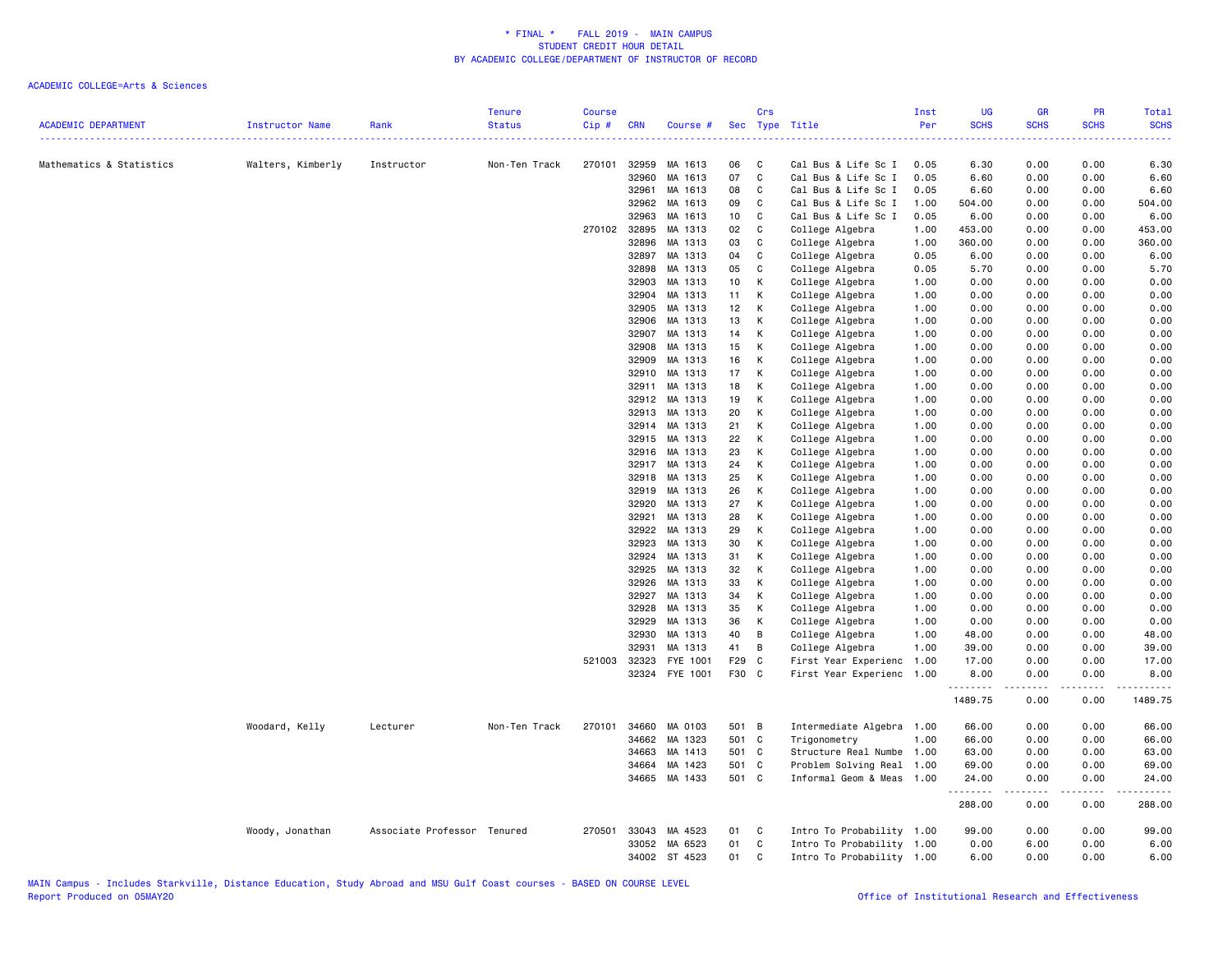| <b>ACADEMIC DEPARTMENT</b> | Instructor Name   | Rank                        | <b>Tenure</b><br><b>Status</b> | <b>Course</b><br>Cip# | <b>CRN</b>     | Course #           |          | Crs          | Sec Type Title                     | Inst<br>Per  | <b>UG</b><br><b>SCHS</b> | <b>GR</b><br><b>SCHS</b> | <b>PR</b><br><b>SCHS</b> | <b>Total</b><br><b>SCHS</b> |
|----------------------------|-------------------|-----------------------------|--------------------------------|-----------------------|----------------|--------------------|----------|--------------|------------------------------------|--------------|--------------------------|--------------------------|--------------------------|-----------------------------|
| Mathematics & Statistics   |                   |                             | Non-Ten Track                  | 270101                | 32959          | MA 1613            | 06       | C            | Cal Bus & Life Sc I                | 0.05         | ----<br>6.30             | 0.00                     | 0.00                     | 6.30                        |
|                            | Walters, Kimberly | Instructor                  |                                |                       | 32960          | MA 1613            | 07       | $\mathbf{C}$ | Cal Bus & Life Sc I                | 0.05         | 6.60                     | 0.00                     | 0.00                     | 6.60                        |
|                            |                   |                             |                                |                       | 32961          | MA 1613            | 08       | C            | Cal Bus & Life Sc I                | 0.05         | 6.60                     | 0.00                     | 0.00                     | 6.60                        |
|                            |                   |                             |                                |                       | 32962          | MA 1613            | 09       | C            | Cal Bus & Life Sc I                | 1.00         | 504.00                   | 0.00                     | 0.00                     | 504.00                      |
|                            |                   |                             |                                |                       | 32963          | MA 1613            | 10       | C            | Cal Bus & Life Sc I                | 0.05         | 6.00                     | 0.00                     | 0.00                     | 6.00                        |
|                            |                   |                             |                                |                       | 270102 32895   | MA 1313            | 02       | C            | College Algebra                    | 1.00         | 453.00                   | 0.00                     | 0.00                     | 453.00                      |
|                            |                   |                             |                                |                       | 32896          | MA 1313            | 03       | $\mathbf c$  | College Algebra                    | 1.00         | 360.00                   | 0.00                     | 0.00                     | 360.00                      |
|                            |                   |                             |                                |                       | 32897          | MA 1313            | 04       | C            | College Algebra                    | 0.05         | 6.00                     | 0.00                     | 0.00                     | 6.00                        |
|                            |                   |                             |                                |                       | 32898          | MA 1313            | 05       | $\mathbf C$  | College Algebra                    | 0.05         | 5.70                     | 0.00                     | 0.00                     | 5.70                        |
|                            |                   |                             |                                |                       | 32903          | MA 1313            | 10       | К            | College Algebra                    | 1.00         | 0.00                     | 0.00                     | 0.00                     | 0.00                        |
|                            |                   |                             |                                |                       | 32904          | MA 1313            | 11       | К            | College Algebra                    | 1.00         | 0.00                     | 0.00                     | 0.00                     | 0.00                        |
|                            |                   |                             |                                |                       | 32905          | MA 1313            | 12       | K            | College Algebra                    | 1.00         | 0.00                     | 0.00                     | 0.00                     | 0.00                        |
|                            |                   |                             |                                |                       | 32906          | MA 1313            | 13       | К            | College Algebra                    | 1.00         | 0.00                     | 0.00                     | 0.00                     | 0.00                        |
|                            |                   |                             |                                |                       | 32907          | MA 1313            | 14       | К            | College Algebra                    | 1.00         | 0.00                     | 0.00                     | 0.00                     | 0.00                        |
|                            |                   |                             |                                |                       | 32908          | MA 1313            | 15       | К            | College Algebra                    | 1.00         | 0.00                     | 0.00                     | 0.00                     | 0.00                        |
|                            |                   |                             |                                |                       | 32909          | MA 1313            | 16       | К            | College Algebra                    | 1.00         | 0.00                     | 0.00                     | 0.00                     | 0.00                        |
|                            |                   |                             |                                |                       | 32910          | MA 1313            | 17       | K            | College Algebra                    | 1.00         | 0.00                     | 0.00                     | 0.00                     | 0.00                        |
|                            |                   |                             |                                |                       | 32911          | MA 1313            | 18       | К            | College Algebra                    | 1.00         | 0.00                     | 0.00                     | 0.00                     | 0.00                        |
|                            |                   |                             |                                |                       | 32912          | MA 1313            | 19       | К            | College Algebra                    | 1.00         | 0.00                     | 0.00                     | 0.00                     | 0.00                        |
|                            |                   |                             |                                |                       | 32913          | MA 1313            | 20       | К            | College Algebra                    | 1.00         | 0.00                     | 0.00                     | 0.00                     | 0.00                        |
|                            |                   |                             |                                |                       | 32914          | MA 1313            | 21       | К            | College Algebra                    | 1.00         | 0.00                     | 0.00                     | 0.00                     | 0.00                        |
|                            |                   |                             |                                |                       | 32915          | MA 1313            | 22       | K            | College Algebra                    | 1.00         | 0.00                     | 0.00                     | 0.00                     | 0.00                        |
|                            |                   |                             |                                |                       | 32916          | MA 1313            | 23       | К            | College Algebra                    | 1.00         | 0.00                     | 0.00                     | 0.00                     | 0.00                        |
|                            |                   |                             |                                |                       | 32917          | MA 1313            | 24       | К            | College Algebra                    | 1.00         | 0.00                     | 0.00                     | 0.00                     | 0.00                        |
|                            |                   |                             |                                |                       | 32918          | MA 1313            | 25       | К            | College Algebra                    | 1.00         | 0.00                     | 0.00                     | 0.00                     | 0.00                        |
|                            |                   |                             |                                |                       | 32919          | MA 1313            | 26       | К            | College Algebra                    | 1.00         | 0.00                     | 0.00                     | 0.00                     | 0.00                        |
|                            |                   |                             |                                |                       | 32920          | MA 1313            | 27       | К            | College Algebra                    | 1.00         | 0.00                     | 0.00                     | 0.00                     | 0.00                        |
|                            |                   |                             |                                |                       | 32921          | MA 1313            | 28       | К            | College Algebra                    | 1.00         | 0.00                     | 0.00                     | 0.00                     | 0.00                        |
|                            |                   |                             |                                |                       | 32922          | MA 1313            | 29       | К            | College Algebra                    | 1.00         | 0.00                     | 0.00                     | 0.00                     | 0.00                        |
|                            |                   |                             |                                |                       | 32923          | MA 1313            | 30       | К            | College Algebra                    | 1.00         | 0.00                     | 0.00                     | 0.00                     | 0.00                        |
|                            |                   |                             |                                |                       | 32924<br>32925 | MA 1313<br>MA 1313 | 31<br>32 | к<br>К       | College Algebra                    | 1.00         | 0.00                     | 0.00                     | 0.00                     | 0.00                        |
|                            |                   |                             |                                |                       | 32926          | MA 1313            | 33       | К            | College Algebra<br>College Algebra | 1.00<br>1.00 | 0.00<br>0.00             | 0.00<br>0.00             | 0.00<br>0.00             | 0.00<br>0.00                |
|                            |                   |                             |                                |                       | 32927          | MA 1313            | 34       | К            | College Algebra                    | 1.00         | 0.00                     | 0.00                     | 0.00                     | 0.00                        |
|                            |                   |                             |                                |                       | 32928          | MA 1313            | 35       | К            | College Algebra                    | 1.00         | 0.00                     | 0.00                     | 0.00                     | 0.00                        |
|                            |                   |                             |                                |                       | 32929          | MA 1313            | 36       | к            | College Algebra                    | 1.00         | 0.00                     | 0.00                     | 0.00                     | 0.00                        |
|                            |                   |                             |                                |                       | 32930          | MA 1313            | 40       | B            | College Algebra                    | 1.00         | 48.00                    | 0.00                     | 0.00                     | 48.00                       |
|                            |                   |                             |                                |                       | 32931          | MA 1313            | 41       | B            | College Algebra                    | 1.00         | 39.00                    | 0.00                     | 0.00                     | 39.00                       |
|                            |                   |                             |                                |                       | 521003 32323   | FYE 1001           | F29 C    |              | First Year Experienc               | 1.00         | 17.00                    | 0.00                     | 0.00                     | 17.00                       |
|                            |                   |                             |                                |                       |                | 32324 FYE 1001     | F30 C    |              | First Year Experienc               | 1.00         | 8.00<br><u>.</u>         | 0.00<br><u>.</u>         | 0.00<br>$- - - -$        | 8.00<br>. <b>.</b> .        |
|                            |                   |                             |                                |                       |                |                    |          |              |                                    |              | 1489.75                  | 0.00                     | 0.00                     | 1489.75                     |
|                            | Woodard, Kelly    | Lecturer                    | Non-Ten Track                  | 270101                | 34660          | MA 0103            | 501 B    |              | Intermediate Algebra               | 1.00         | 66.00                    | 0.00                     | 0.00                     | 66.00                       |
|                            |                   |                             |                                |                       | 34662          | MA 1323            | 501 C    |              | Trigonometry                       | 1.00         | 66.00                    | 0.00                     | 0.00                     | 66.00                       |
|                            |                   |                             |                                |                       | 34663          | MA 1413            | 501 C    |              | Structure Real Numbe               | 1.00         | 63.00                    | 0.00                     | 0.00                     | 63.00                       |
|                            |                   |                             |                                |                       | 34664          | MA 1423            | 501 C    |              | Problem Solving Real               | 1.00         | 69.00                    | 0.00                     | 0.00                     | 69.00                       |
|                            |                   |                             |                                |                       |                | 34665 MA 1433      | 501 C    |              | Informal Geom & Meas               | 1.00         | 24.00<br>.               | 0.00<br>$-$ - - - - -    | 0.00<br>.                | 24.00<br>.                  |
|                            |                   |                             |                                |                       |                |                    |          |              |                                    |              | 288.00                   | 0.00                     | 0.00                     | 288.00                      |
|                            | Woody, Jonathan   | Associate Professor Tenured |                                | 270501                | 33043          | MA 4523            | 01       | C            | Intro To Probability 1.00          |              | 99.00                    | 0.00                     | 0.00                     | 99.00                       |
|                            |                   |                             |                                |                       |                | 33052 MA 6523      | 01       | C            | Intro To Probability 1.00          |              | 0.00                     | 6.00                     | 0.00                     | 6.00                        |
|                            |                   |                             |                                |                       |                | 34002 ST 4523      | 01       | $\mathbf{C}$ | Intro To Probability 1.00          |              | 6.00                     | 0.00                     | 0.00                     | 6.00                        |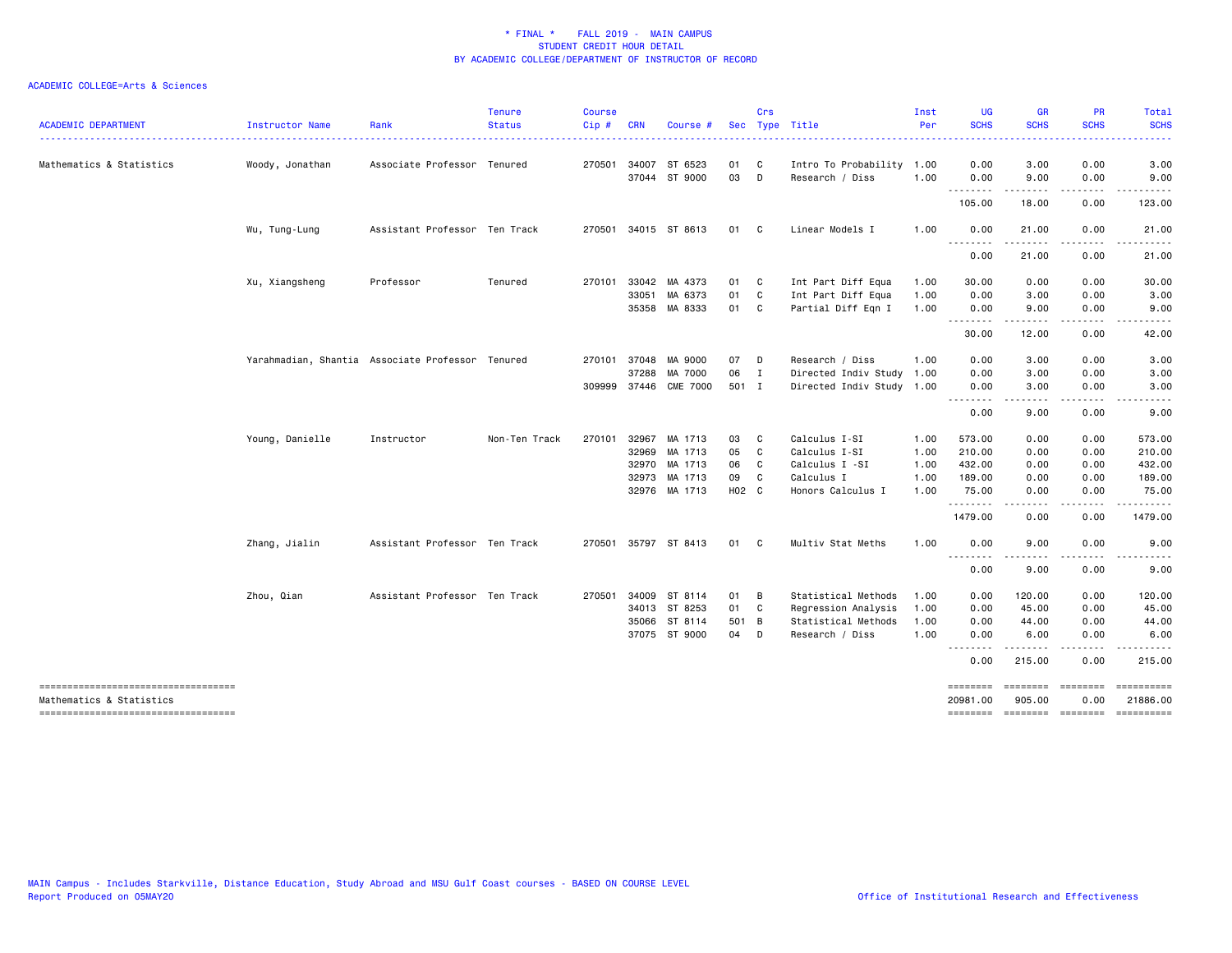| <b>ACADEMIC DEPARTMENT</b>                                      | Instructor Name | Rank                                             | <b>Tenure</b><br><b>Status</b> | <b>Course</b><br>Cip# | <b>CRN</b>   | Course               | Sec   | Crs          | Type Title                | Inst<br>Per | <b>UG</b><br><b>SCHS</b> | <b>GR</b><br><b>SCHS</b> | PR<br><b>SCHS</b>                                                                                                                 | Total<br><b>SCHS</b>                     |
|-----------------------------------------------------------------|-----------------|--------------------------------------------------|--------------------------------|-----------------------|--------------|----------------------|-------|--------------|---------------------------|-------------|--------------------------|--------------------------|-----------------------------------------------------------------------------------------------------------------------------------|------------------------------------------|
|                                                                 |                 |                                                  |                                |                       |              |                      |       |              |                           |             |                          |                          |                                                                                                                                   |                                          |
| Mathematics & Statistics                                        | Woody, Jonathan | Associate Professor Tenured                      |                                |                       |              | 270501 34007 ST 6523 | 01 C  |              | Intro To Probability 1.00 |             | 0.00                     | 3.00                     | 0.00                                                                                                                              | 3.00                                     |
|                                                                 |                 |                                                  |                                |                       |              | 37044 ST 9000        | 03    | D            | Research / Diss           | 1.00        | 0.00<br>--------         | 9.00<br>. <b>.</b> .     | 0.00<br>.                                                                                                                         | 9.00<br>.                                |
|                                                                 |                 |                                                  |                                |                       |              |                      |       |              |                           |             | 105.00                   | 18.00                    | 0.00                                                                                                                              | 123.00                                   |
|                                                                 | Wu, Tung-Lung   | Assistant Professor Ten Track                    |                                |                       |              | 270501 34015 ST 8613 | 01 C  |              | Linear Models I           | 1.00        | 0.00<br>.                | 21.00<br>.               | 0.00<br>$\frac{1}{2} \left( \frac{1}{2} \right) \left( \frac{1}{2} \right) \left( \frac{1}{2} \right) \left( \frac{1}{2} \right)$ | 21.00<br>.                               |
|                                                                 |                 |                                                  |                                |                       |              |                      |       |              |                           |             | 0.00                     | 21.00                    | 0.00                                                                                                                              | 21.00                                    |
|                                                                 | Xu, Xiangsheng  | Professor                                        | Tenured                        |                       |              | 270101 33042 MA 4373 | 01 C  |              | Int Part Diff Equa        | 1.00        | 30.00                    | 0.00                     | 0.00                                                                                                                              | 30.00                                    |
|                                                                 |                 |                                                  |                                |                       | 33051        | MA 6373              | 01    | C            | Int Part Diff Equa        | 1.00        | 0.00                     | 3.00                     | 0.00                                                                                                                              | 3.00                                     |
|                                                                 |                 |                                                  |                                |                       |              | 35358 MA 8333        | 01    | $\mathbf{C}$ | Partial Diff Eqn I        | 1.00        | 0.00<br><u>.</u>         | 9.00<br>.                | 0.00<br>.                                                                                                                         | 9.00<br>.                                |
|                                                                 |                 |                                                  |                                |                       |              |                      |       |              |                           |             | 30.00                    | 12.00                    | 0.00                                                                                                                              | 42.00                                    |
|                                                                 |                 | Yarahmadian, Shantia Associate Professor Tenured |                                |                       | 270101 37048 | MA 9000              | 07    | D            | Research / Diss           | 1.00        | 0.00                     | 3.00                     | 0.00                                                                                                                              | 3.00                                     |
|                                                                 |                 |                                                  |                                |                       | 37288        | MA 7000              | 06    | $\mathbf{I}$ | Directed Indiv Study      | 1.00        | 0.00                     | 3.00                     | 0.00                                                                                                                              | 3.00                                     |
|                                                                 |                 |                                                  |                                | 309999                |              | 37446 CME 7000       | 501 I |              | Directed Indiv Study 1.00 |             | 0.00                     | 3.00                     | 0.00                                                                                                                              | 3.00                                     |
|                                                                 |                 |                                                  |                                |                       |              |                      |       |              |                           |             | .<br>0.00                | .<br>9.00                | $\frac{1}{2}$<br>0.00                                                                                                             | 9.00                                     |
|                                                                 | Young, Danielle | Instructor                                       | Non-Ten Track                  | 270101                | 32967        | MA 1713              | 03    | C            | Calculus I-SI             | 1.00        | 573.00                   | 0.00                     | 0.00                                                                                                                              | 573.00                                   |
|                                                                 |                 |                                                  |                                |                       | 32969        | MA 1713              | 05    | $\mathbf{C}$ | Calculus I-SI             | 1.00        | 210.00                   | 0.00                     | 0.00                                                                                                                              | 210.00                                   |
|                                                                 |                 |                                                  |                                |                       |              | 32970 MA 1713        | 06    | C.           | Calculus I -SI            | 1.00        | 432.00                   | 0.00                     | 0.00                                                                                                                              | 432.00                                   |
|                                                                 |                 |                                                  |                                |                       |              | 32973 MA 1713        | 09    | C            | Calculus I                | 1.00        | 189.00                   | 0.00                     | 0.00                                                                                                                              | 189.00                                   |
|                                                                 |                 |                                                  |                                |                       |              | 32976 MA 1713        | H02 C |              | Honors Calculus I         | 1.00        | 75.00<br><u>.</u>        | 0.00<br>$\cdots$         | 0.00<br>.                                                                                                                         | 75.00<br>.                               |
|                                                                 |                 |                                                  |                                |                       |              |                      |       |              |                           |             | 1479.00                  | 0.00                     | 0.00                                                                                                                              | 1479.00                                  |
|                                                                 | Zhang, Jialin   | Assistant Professor Ten Track                    |                                |                       |              | 270501 35797 ST 8413 | 01 C  |              | Multiv Stat Meths         | 1.00        | 0.00<br>. <i>.</i>       | 9.00<br><u>.</u>         | 0.00<br>.                                                                                                                         | 9.00<br>$\frac{1}{2}$                    |
|                                                                 |                 |                                                  |                                |                       |              |                      |       |              |                           |             | 0.00                     | 9.00                     | 0.00                                                                                                                              | 9.00                                     |
|                                                                 | Zhou, Qian      | Assistant Professor Ten Track                    |                                |                       |              | 270501 34009 ST 8114 | 01    | B            | Statistical Methods       | 1.00        | 0.00                     | 120.00                   | 0.00                                                                                                                              | 120.00                                   |
|                                                                 |                 |                                                  |                                |                       |              | 34013 ST 8253        | 01    | $\mathbf{C}$ | Regression Analysis       | 1.00        | 0.00                     | 45.00                    | 0.00                                                                                                                              | 45.00                                    |
|                                                                 |                 |                                                  |                                |                       | 35066        | ST 8114              | 501 B |              | Statistical Methods       | 1.00        | 0.00                     | 44.00                    | 0.00                                                                                                                              | 44.00                                    |
|                                                                 |                 |                                                  |                                |                       |              | 37075 ST 9000        | 04    | D            | Research / Diss           | 1.00        | 0.00<br>. <b>.</b>       | 6.00                     | 0.00<br>.                                                                                                                         | 6.00<br>$\frac{1}{2}$                    |
|                                                                 |                 |                                                  |                                |                       |              |                      |       |              |                           |             | 0.00                     | 215.00                   | 0.00                                                                                                                              | 215.00                                   |
| -----------------------------------                             |                 |                                                  |                                |                       |              |                      |       |              |                           |             | ========                 | ========                 | $= 222222222$                                                                                                                     |                                          |
| Mathematics & Statistics<br>----------------------------------- |                 |                                                  |                                |                       |              |                      |       |              |                           |             | 20981.00<br>========     | 905.00                   | 0.00                                                                                                                              | 21886.00<br>--------- -------- --------- |
|                                                                 |                 |                                                  |                                |                       |              |                      |       |              |                           |             |                          |                          |                                                                                                                                   |                                          |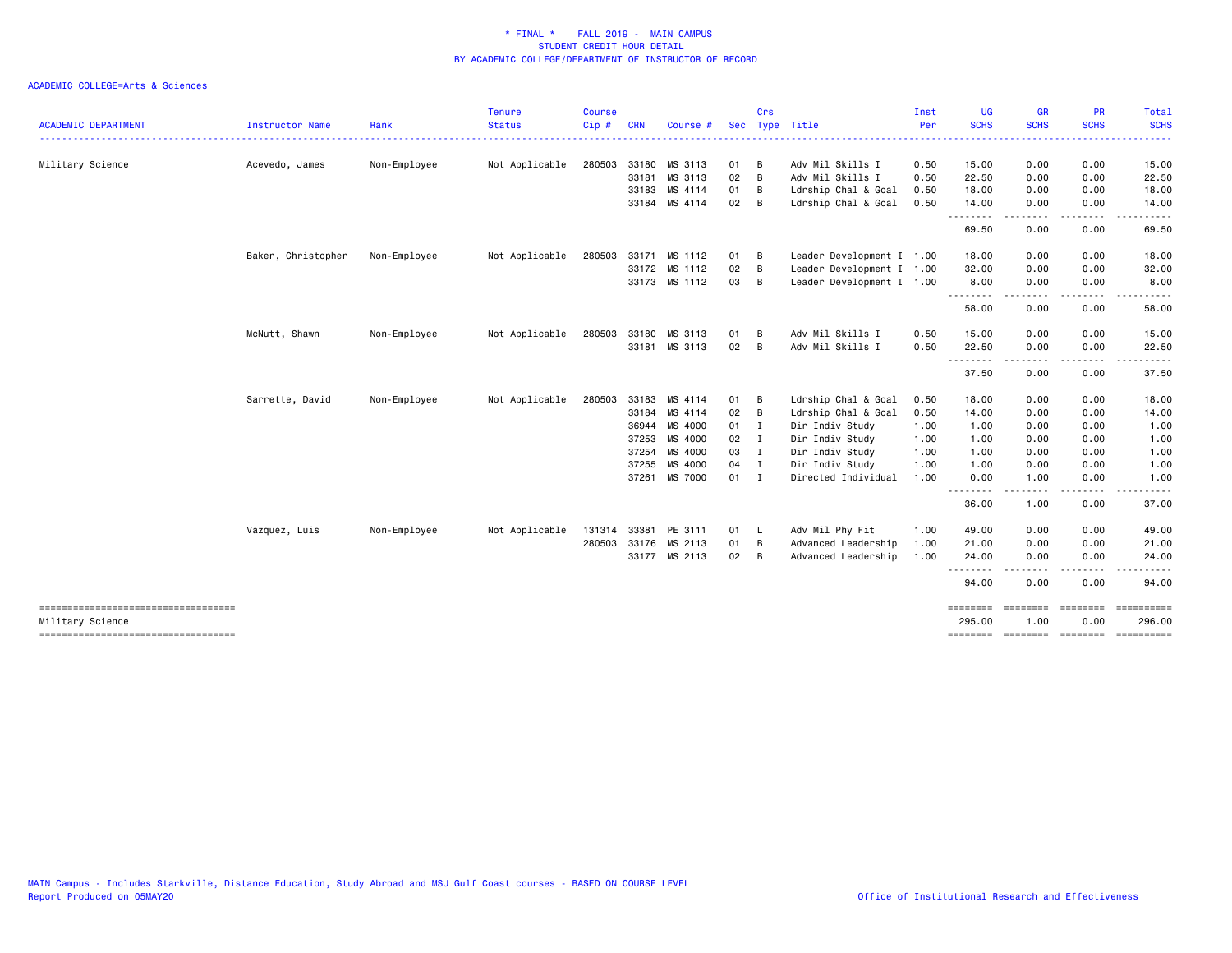|                                                         |                        |              | <b>Tenure</b>  | <b>Course</b> |            |               |               | Crs |                           | Inst | <b>UG</b>          | GR                | <b>PR</b>         | Total                               |
|---------------------------------------------------------|------------------------|--------------|----------------|---------------|------------|---------------|---------------|-----|---------------------------|------|--------------------|-------------------|-------------------|-------------------------------------|
| <b>ACADEMIC DEPARTMENT</b>                              | <b>Instructor Name</b> | Rank         | <b>Status</b>  | Cip#          | <b>CRN</b> | Course        |               |     | Sec Type Title            | Per  | <b>SCHS</b>        | <b>SCHS</b>       | <b>SCHS</b>       | <b>SCHS</b>                         |
| Military Science                                        | Acevedo, James         | Non-Employee | Not Applicable | 280503        |            | 33180 MS 3113 | 01            | - B | Adv Mil Skills I          | 0.50 | 15.00              | 0.00              | 0.00              | 15.00                               |
|                                                         |                        |              |                |               |            | 33181 MS 3113 | 02            | B   | Adv Mil Skills I          | 0.50 | 22.50              | 0.00              | 0.00              | 22.50                               |
|                                                         |                        |              |                |               | 33183      | MS 4114       | 01            | B   | Ldrship Chal & Goal       | 0.50 | 18.00              | 0.00              | 0.00              | 18.00                               |
|                                                         |                        |              |                |               |            | 33184 MS 4114 | 02            | B   | Ldrship Chal & Goal       | 0.50 | 14.00<br>.         | 0.00              | 0.00              | 14.00                               |
|                                                         |                        |              |                |               |            |               |               |     |                           |      | 69.50              | 0.00              | 0.00              | 69.50                               |
|                                                         | Baker, Christopher     | Non-Employee | Not Applicable | 280503        |            | 33171 MS 1112 | 01            | B   | Leader Development I 1.00 |      | 18.00              | 0.00              | 0.00              | 18.00                               |
|                                                         |                        |              |                |               |            | 33172 MS 1112 | 02            | B   | Leader Development I 1.00 |      | 32.00              | 0.00              | 0.00              | 32.00                               |
|                                                         |                        |              |                |               |            | 33173 MS 1112 | 03 B          |     | Leader Development I 1.00 |      | 8.00<br>.          | 0.00<br>-----     | 0.00<br>.         | 8.00                                |
|                                                         |                        |              |                |               |            |               |               |     |                           |      | 58.00              | 0.00              | 0.00              | 58.00                               |
|                                                         | McNutt, Shawn          | Non-Employee | Not Applicable | 280503        |            | 33180 MS 3113 | 01            | B   | Adv Mil Skills I          | 0.50 | 15.00              | 0.00              | 0.00              | 15.00                               |
|                                                         |                        |              |                |               |            | 33181 MS 3113 | 02            | B   | Adv Mil Skills I          | 0.50 | 22.50<br>.         | 0.00              | 0.00<br>$- - - -$ | 22.50                               |
|                                                         |                        |              |                |               |            |               |               |     |                           |      | 37.50              | 0.00              | 0.00              | 37.50                               |
|                                                         | Sarrette, David        | Non-Employee | Not Applicable | 280503        |            | 33183 MS 4114 | 01            | B   | Ldrship Chal & Goal       | 0.50 | 18.00              | 0.00              | 0.00              | 18.00                               |
|                                                         |                        |              |                |               |            | 33184 MS 4114 | 02            | B   | Ldrship Chal & Goal       | 0.50 | 14.00              | 0.00              | 0.00              | 14.00                               |
|                                                         |                        |              |                |               | 36944      | MS 4000       | 01 I          |     | Dir Indiv Study           | 1.00 | 1.00               | 0.00              | 0.00              | 1.00                                |
|                                                         |                        |              |                |               | 37253      | MS 4000       | $02 \qquad I$ |     | Dir Indiv Study           | 1.00 | 1.00               | 0.00              | 0.00              | 1.00                                |
|                                                         |                        |              |                |               |            | 37254 MS 4000 | 03 I          |     | Dir Indiv Study           | 1.00 | 1.00               | 0.00              | 0.00              | 1.00                                |
|                                                         |                        |              |                |               | 37255      | MS 4000       | 04 I          |     | Dir Indiv Study           | 1.00 | 1.00               | 0.00              | 0.00              | 1.00                                |
|                                                         |                        |              |                |               |            | 37261 MS 7000 | 01 I          |     | Directed Individual       | 1.00 | 0.00<br>.          | 1.00              | 0.00              | 1.00                                |
|                                                         |                        |              |                |               |            |               |               |     |                           |      | 36.00              | 1.00              | 0.00              | 37.00                               |
|                                                         | Vazquez, Luis          | Non-Employee | Not Applicable | 131314        | 33381      | PE 3111       | 01 L          |     | Adv Mil Phy Fit           | 1.00 | 49.00              | 0.00              | 0.00              | 49.00                               |
|                                                         |                        |              |                | 280503        |            | 33176 MS 2113 | 01            | B   | Advanced Leadership       | 1.00 | 21.00              | 0.00              | 0.00              | 21.00                               |
|                                                         |                        |              |                |               |            | 33177 MS 2113 | $02 \quad B$  |     | Advanced Leadership       | 1.00 | 24.00              | 0.00              | 0.00              | 24.00                               |
|                                                         |                        |              |                |               |            |               |               |     |                           |      | 94.00              | - - - - -<br>0.00 | .<br>0.00         | 94.00                               |
| -----------------------------------<br>Military Science |                        |              |                |               |            |               |               |     |                           |      | ========<br>295.00 | ========<br>1.00  | ========<br>0.00  | ==========<br>296.00                |
| =====================================                   |                        |              |                |               |            |               |               |     |                           |      |                    |                   |                   | -------- ------- -------- --------- |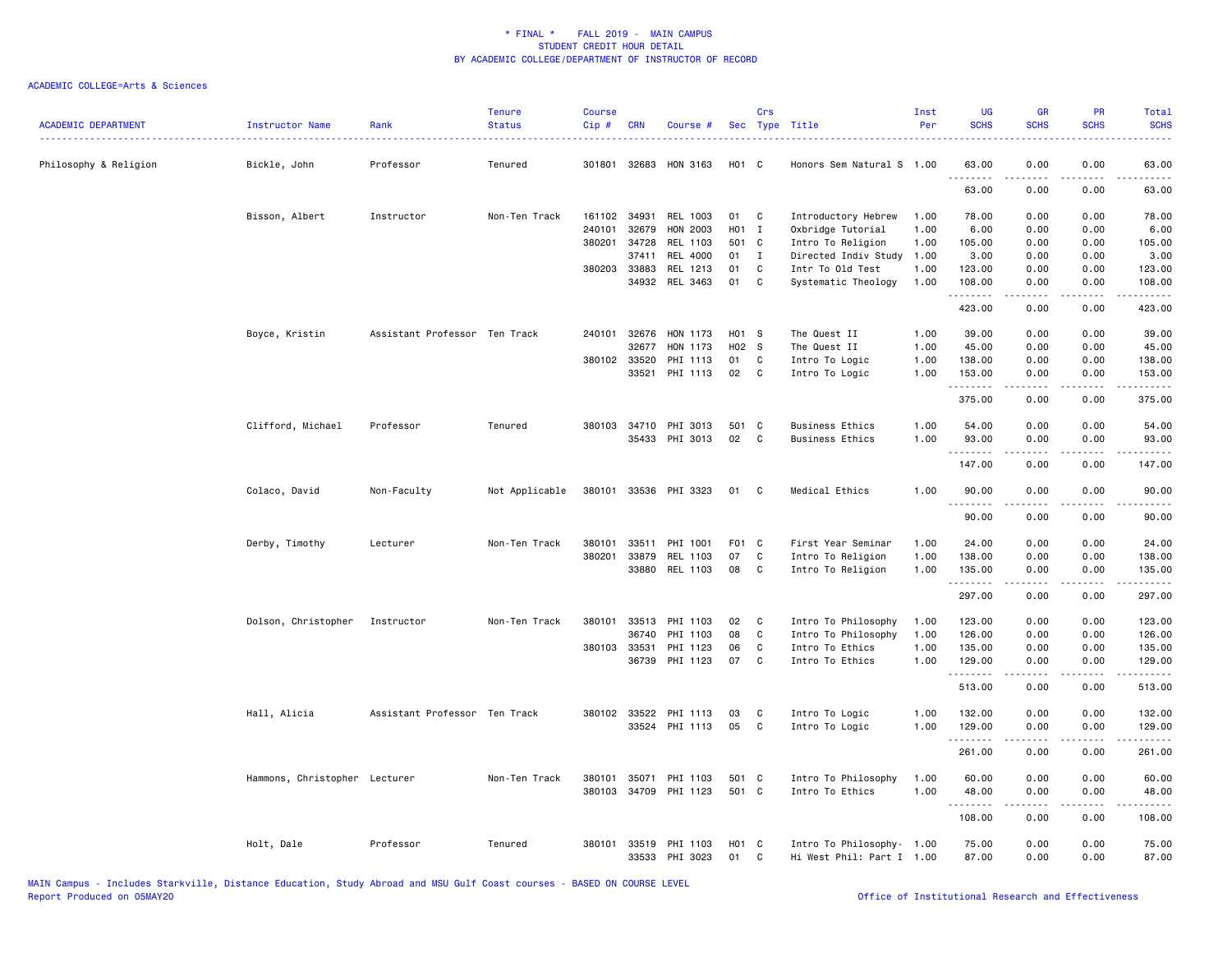| <b>ACADEMIC DEPARTMENT</b> | Instructor Name               | Rank                          | <b>Tenure</b><br><b>Status</b> | <b>Course</b><br>Cip# | <b>CRN</b>   | Course #              | Sec               | Crs          | Type Title                | Inst<br>Per | <b>UG</b><br><b>SCHS</b> | <b>GR</b><br><b>SCHS</b>       | PR<br><b>SCHS</b> | Total<br><b>SCHS</b> |
|----------------------------|-------------------------------|-------------------------------|--------------------------------|-----------------------|--------------|-----------------------|-------------------|--------------|---------------------------|-------------|--------------------------|--------------------------------|-------------------|----------------------|
| Philosophy & Religion      | Bickle, John                  | Professor                     | Tenured                        |                       |              | 301801 32683 HON 3163 | H <sub>01</sub> C |              | Honors Sem Natural S 1.00 |             | 63.00                    | 0.00                           | 0.00              | 63.00                |
|                            |                               |                               |                                |                       |              |                       |                   |              |                           |             | 63.00                    | 0.00                           | 0.00              | 63.00                |
|                            | Bisson, Albert                | Instructor                    | Non-Ten Track                  |                       | 161102 34931 | REL 1003              | 01                | C            | Introductory Hebrew       | 1.00        | 78.00                    | 0.00                           | 0.00              | 78.00                |
|                            |                               |                               |                                | 240101                | 32679        | HON 2003              | H01 I             |              | Oxbridge Tutorial         | 1.00        | 6.00                     | 0.00                           | 0.00              | 6.00                 |
|                            |                               |                               |                                | 380201                | 34728        | REL 1103              | 501 C             |              | Intro To Religion         | 1.00        | 105.00                   | 0.00                           | 0.00              | 105.00               |
|                            |                               |                               |                                |                       | 37411        | REL 4000              | 01                | $\mathbf I$  | Directed Indiv Study      | 1.00        | 3.00                     | 0.00                           | 0.00              | 3.00                 |
|                            |                               |                               |                                |                       | 380203 33883 | REL 1213              | 01                | C            | Intr To Old Test          | 1.00        | 123.00                   | 0.00                           | 0.00              | 123.00               |
|                            |                               |                               |                                |                       |              | 34932 REL 3463        | 01                | C            | Systematic Theology       | 1.00        | 108.00<br>.              | 0.00<br>.                      | 0.00<br>.         | 108.00               |
|                            |                               |                               |                                |                       |              |                       |                   |              |                           |             | 423.00                   | 0.00                           | 0.00              | 423.00               |
|                            | Boyce, Kristin                | Assistant Professor Ten Track |                                | 240101                | 32676        | HON 1173              | H01 S             |              | The Quest II              | 1.00        | 39.00                    | 0.00                           | 0.00              | 39.00                |
|                            |                               |                               |                                |                       | 32677        | HON 1173              | H02 S             |              | The Quest II              | 1.00        | 45.00                    | 0.00                           | 0.00              | 45.00                |
|                            |                               |                               |                                |                       | 380102 33520 | PHI 1113              | 01                | C            | Intro To Logic            | 1.00        | 138.00                   | 0.00                           | 0.00              | 138.00               |
|                            |                               |                               |                                |                       | 33521        | PHI 1113              | 02                | $\mathbf{C}$ | Intro To Logic            | 1.00        | 153.00<br>.              | 0.00<br>.                      | 0.00<br>.         | 153.00<br>.          |
|                            |                               |                               |                                |                       |              |                       |                   |              |                           |             | 375.00                   | 0.00                           | 0.00              | 375.00               |
|                            |                               |                               |                                |                       |              | 380103 34710 PHI 3013 | 501 C             |              |                           | 1.00        |                          |                                |                   |                      |
|                            | Clifford, Michael             | Professor                     | Tenured                        |                       |              | 35433 PHI 3013        | 02                | C            | <b>Business Ethics</b>    | 1.00        | 54.00<br>93.00           | 0.00<br>0.00                   | 0.00<br>0.00      | 54.00<br>93.00       |
|                            |                               |                               |                                |                       |              |                       |                   |              | <b>Business Ethics</b>    |             | .                        |                                |                   |                      |
|                            |                               |                               |                                |                       |              |                       |                   |              |                           |             | 147.00                   | 0.00                           | 0.00              | 147.00               |
|                            | Colaco, David                 | Non-Faculty                   | Not Applicable                 |                       |              | 380101 33536 PHI 3323 | 01                | C            | Medical Ethics            | 1.00        | 90.00                    | 0.00                           | 0.00              | 90.00                |
|                            |                               |                               |                                |                       |              |                       |                   |              |                           |             | 90.00                    | 0.00                           | 0.00              | 90.00                |
|                            | Derby, Timothy                | Lecturer                      | Non-Ten Track                  | 380101                | 33511        | PHI 1001              | F01 C             |              | First Year Seminar        | 1.00        | 24.00                    | 0.00                           | 0.00              | 24.00                |
|                            |                               |                               |                                | 380201                | 33879        | REL 1103              | 07                | C            | Intro To Religion         | 1.00        | 138.00                   | 0.00                           | 0.00              | 138.00               |
|                            |                               |                               |                                |                       | 33880        | REL 1103              | 08                | C            | Intro To Religion         | 1.00        | 135.00<br>.              | 0.00<br>. <b>.</b>             | 0.00<br>.         | 135.00<br>.          |
|                            |                               |                               |                                |                       |              |                       |                   |              |                           |             | 297.00                   | 0.00                           | 0.00              | 297.00               |
|                            | Dolson, Christopher           | Instructor                    | Non-Ten Track                  | 380101                | 33513        | PHI 1103              | 02                | C            | Intro To Philosophy       | 1.00        | 123.00                   | 0.00                           | 0.00              | 123.00               |
|                            |                               |                               |                                |                       | 36740        | PHI 1103              | 08                | C            | Intro To Philosophy       | 1.00        | 126.00                   | 0.00                           | 0.00              | 126.00               |
|                            |                               |                               |                                |                       | 380103 33531 | PHI 1123              | 06                | C            | Intro To Ethics           | 1.00        | 135.00                   | 0.00                           | 0.00              | 135.00               |
|                            |                               |                               |                                |                       | 36739        | PHI 1123              | 07                | C            | Intro To Ethics           | 1.00        | 129.00<br>.              | 0.00                           | 0.00<br>.         | 129.00<br>.          |
|                            |                               |                               |                                |                       |              |                       |                   |              |                           |             | 513.00                   | $\cdots \cdots \cdots$<br>0.00 | 0.00              | 513.00               |
|                            | Hall, Alicia                  | Assistant Professor Ten Track |                                |                       | 380102 33522 | PHI 1113              | 03                | C            | Intro To Logic            | 1.00        | 132.00                   | 0.00                           | 0.00              | 132.00               |
|                            |                               |                               |                                |                       |              | 33524 PHI 1113        | 05                | C            | Intro To Logic            | 1.00        | 129.00                   | 0.00                           | 0.00              | 129.00               |
|                            |                               |                               |                                |                       |              |                       |                   |              |                           |             | .                        | .                              | د د د د           | .                    |
|                            |                               |                               |                                |                       |              |                       |                   |              |                           |             | 261.00                   | 0.00                           | 0.00              | 261.00               |
|                            | Hammons, Christopher Lecturer |                               | Non-Ten Track                  | 380101                | 35071        | PHI 1103              | 501               | - C          | Intro To Philosophy       | 1.00        | 60.00                    | 0.00                           | 0.00              | 60.00                |
|                            |                               |                               |                                | 380103                | 34709        | PHI 1123              | 501 C             |              | Intro To Ethics           | 1.00        | 48.00<br>.               | 0.00<br>.                      | 0.00<br>د د د د   | 48.00<br>.           |
|                            |                               |                               |                                |                       |              |                       |                   |              |                           |             | 108.00                   | 0.00                           | 0.00              | 108.00               |
|                            | Holt, Dale                    | Professor                     | Tenured                        | 380101                |              | 33519 PHI 1103        | H <sub>01</sub> C |              | Intro To Philosophy- 1.00 |             | 75.00                    | 0.00                           | 0.00              | 75.00                |
|                            |                               |                               |                                |                       |              | 33533 PHI 3023        | 01                | C            | Hi West Phil: Part I 1.00 |             | 87.00                    | 0.00                           | 0.00              | 87.00                |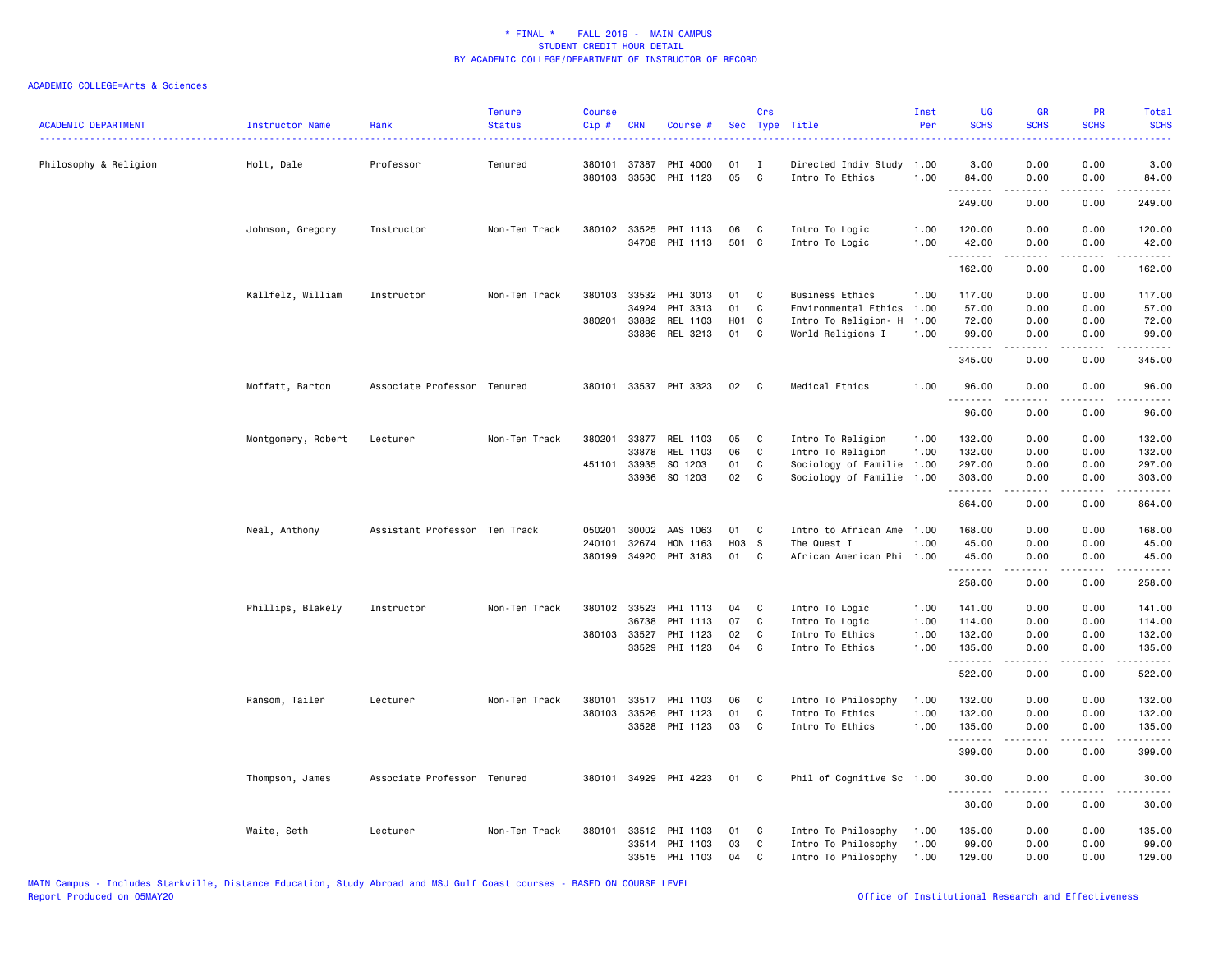| <b>ACADEMIC DEPARTMENT</b> | Instructor Name    | Rank                          | <b>Tenure</b><br><b>Status</b> | <b>Course</b><br>Cip # | <b>CRN</b>   | Course #              |       | Crs          | Sec Type Title            | Inst<br>Per | <b>UG</b><br><b>SCHS</b> | <b>GR</b><br><b>SCHS</b> | PR<br><b>SCHS</b>                                                                                                                 | Total<br><b>SCHS</b><br>$\frac{1}{2} \left( \frac{1}{2} \right) \left( \frac{1}{2} \right) \left( \frac{1}{2} \right) \left( \frac{1}{2} \right)$                                        |
|----------------------------|--------------------|-------------------------------|--------------------------------|------------------------|--------------|-----------------------|-------|--------------|---------------------------|-------------|--------------------------|--------------------------|-----------------------------------------------------------------------------------------------------------------------------------|------------------------------------------------------------------------------------------------------------------------------------------------------------------------------------------|
| Philosophy & Religion      | Holt, Dale         | Professor                     | Tenured                        |                        | 380101 37387 | PHI 4000              | 01    | . т          | Directed Indiv Study 1.00 |             | 3.00                     | 0.00                     | 0.00                                                                                                                              | 3.00                                                                                                                                                                                     |
|                            |                    |                               |                                | 380103                 | 33530        | PHI 1123              | 05    | $\mathbf{C}$ | Intro To Ethics           | 1.00        | 84.00<br><u>.</u>        | 0.00<br>.                | 0.00<br>$\frac{1}{2}$                                                                                                             | 84.00<br>.                                                                                                                                                                               |
|                            |                    |                               |                                |                        |              |                       |       |              |                           |             | 249.00                   | 0.00                     | 0.00                                                                                                                              | 249.00                                                                                                                                                                                   |
|                            | Johnson, Gregory   | Instructor                    | Non-Ten Track                  |                        | 380102 33525 | PHI 1113              | 06    | C            | Intro To Logic            | 1.00        | 120.00                   | 0.00                     | 0.00                                                                                                                              | 120.00                                                                                                                                                                                   |
|                            |                    |                               |                                |                        | 34708        | PHI 1113              | 501 C |              | Intro To Logic            | 1.00        | 42.00<br>.               | 0.00<br>.                | 0.00<br>.                                                                                                                         | 42.00<br>$\frac{1}{2} \left( \frac{1}{2} \right) \left( \frac{1}{2} \right) \left( \frac{1}{2} \right) \left( \frac{1}{2} \right) \left( \frac{1}{2} \right) \left( \frac{1}{2} \right)$ |
|                            |                    |                               |                                |                        |              |                       |       |              |                           |             | 162.00                   | 0.00                     | 0.00                                                                                                                              | 162.00                                                                                                                                                                                   |
|                            | Kallfelz, William  | Instructor                    | Non-Ten Track                  | 380103                 | 33532        | PHI 3013              | 01    | C            | <b>Business Ethics</b>    | 1.00        | 117.00                   | 0.00                     | 0.00                                                                                                                              | 117.00                                                                                                                                                                                   |
|                            |                    |                               |                                |                        | 34924        | PHI 3313              | 01    | C            | Environmental Ethics      | 1.00        | 57.00                    | 0.00                     | 0.00                                                                                                                              | 57.00                                                                                                                                                                                    |
|                            |                    |                               |                                |                        | 380201 33882 | REL 1103              | H01 C |              | Intro To Religion- H      | 1.00        | 72.00                    | 0.00                     | 0.00                                                                                                                              | 72.00                                                                                                                                                                                    |
|                            |                    |                               |                                |                        | 33886        | REL 3213              | 01    | C            | World Religions I         | 1.00        | 99.00<br>.               | 0.00<br>.                | 0.00<br>.                                                                                                                         | 99.00<br>.                                                                                                                                                                               |
|                            |                    |                               |                                |                        |              |                       |       |              |                           |             | 345.00                   | 0.00                     | 0.00                                                                                                                              | 345.00                                                                                                                                                                                   |
|                            | Moffatt, Barton    | Associate Professor Tenured   |                                |                        |              | 380101 33537 PHI 3323 | 02    | $\mathbf{C}$ | Medical Ethics            | 1.00        | 96.00                    | 0.00                     | 0.00                                                                                                                              | 96.00                                                                                                                                                                                    |
|                            |                    |                               |                                |                        |              |                       |       |              |                           |             | .<br>96.00               | 0.00                     | $\sim$ $\sim$ $\sim$<br>0.00                                                                                                      | .<br>96.00                                                                                                                                                                               |
|                            | Montgomery, Robert | Lecturer                      | Non-Ten Track                  | 380201                 | 33877        | REL 1103              | 05    | C            | Intro To Religion         | 1.00        | 132.00                   | 0.00                     | 0.00                                                                                                                              | 132.00                                                                                                                                                                                   |
|                            |                    |                               |                                |                        | 33878        | REL 1103              | 06    | C            | Intro To Religion         | 1.00        | 132.00                   | 0.00                     | 0.00                                                                                                                              | 132.00                                                                                                                                                                                   |
|                            |                    |                               |                                | 451101                 | 33935        | SO 1203               | 01    | C            | Sociology of Familie 1.00 |             | 297.00                   | 0.00                     | 0.00                                                                                                                              | 297.00                                                                                                                                                                                   |
|                            |                    |                               |                                |                        |              | 33936 SO 1203         | 02    | C            | Sociology of Familie 1.00 |             | 303.00                   | 0.00                     | 0.00                                                                                                                              | 303.00                                                                                                                                                                                   |
|                            |                    |                               |                                |                        |              |                       |       |              |                           |             | .<br>864.00              | 0.00                     | $\frac{1}{2} \left( \frac{1}{2} \right) \left( \frac{1}{2} \right) \left( \frac{1}{2} \right) \left( \frac{1}{2} \right)$<br>0.00 | .<br>864.00                                                                                                                                                                              |
|                            | Neal, Anthony      | Assistant Professor Ten Track |                                | 050201                 | 30002        | AAS 1063              | 01    | C            | Intro to African Ame      | 1.00        | 168.00                   | 0.00                     | 0.00                                                                                                                              | 168.00                                                                                                                                                                                   |
|                            |                    |                               |                                | 240101                 | 32674        | HON 1163              | H03   | -S           | The Quest I               | 1.00        | 45.00                    | 0.00                     | 0.00                                                                                                                              | 45.00                                                                                                                                                                                    |
|                            |                    |                               |                                | 380199                 |              | 34920 PHI 3183        | 01    | C            | African American Phi 1.00 |             | 45.00<br>.               | 0.00<br>.                | 0.00<br>.                                                                                                                         | 45.00<br>.                                                                                                                                                                               |
|                            |                    |                               |                                |                        |              |                       |       |              |                           |             | 258.00                   | 0.00                     | 0.00                                                                                                                              | 258.00                                                                                                                                                                                   |
|                            | Phillips, Blakely  | Instructor                    | Non-Ten Track                  |                        | 380102 33523 | PHI 1113              | 04    | C            | Intro To Logic            | 1.00        | 141.00                   | 0.00                     | 0.00                                                                                                                              | 141.00                                                                                                                                                                                   |
|                            |                    |                               |                                |                        | 36738        | PHI 1113              | 07    | C            | Intro To Logic            | 1.00        | 114.00                   | 0.00                     | 0.00                                                                                                                              | 114.00                                                                                                                                                                                   |
|                            |                    |                               |                                | 380103                 | 33527        | PHI 1123              | 02    | C            | Intro To Ethics           | 1.00        | 132.00                   | 0.00                     | 0.00                                                                                                                              | 132.00                                                                                                                                                                                   |
|                            |                    |                               |                                |                        | 33529        | PHI 1123              | 04    | C            | Intro To Ethics           | 1.00        | 135.00<br><b></b>        | 0.00<br>.                | 0.00<br>.                                                                                                                         | 135.00<br>.                                                                                                                                                                              |
|                            |                    |                               |                                |                        |              |                       |       |              |                           |             | 522.00                   | 0.00                     | 0.00                                                                                                                              | 522.00                                                                                                                                                                                   |
|                            | Ransom, Tailer     | Lecturer                      | Non-Ten Track                  | 380101                 | 33517        | PHI 1103              | 06    | C            | Intro To Philosophy       | 1.00        | 132.00                   | 0.00                     | 0.00                                                                                                                              | 132.00                                                                                                                                                                                   |
|                            |                    |                               |                                | 380103                 | 33526        | PHI 1123              | 01    | C            | Intro To Ethics           | 1.00        | 132.00                   | 0.00                     | 0.00                                                                                                                              | 132.00                                                                                                                                                                                   |
|                            |                    |                               |                                |                        |              | 33528 PHI 1123        | 03    | C.           | Intro To Ethics           | 1.00        | 135.00<br>.              | 0.00                     | 0.00                                                                                                                              | 135.00<br>.                                                                                                                                                                              |
|                            |                    |                               |                                |                        |              |                       |       |              |                           |             | 399.00                   | 0.00                     | 0.00                                                                                                                              | 399.00                                                                                                                                                                                   |
|                            | Thompson, James    | Associate Professor Tenured   |                                |                        |              | 380101 34929 PHI 4223 | 01 C  |              | Phil of Cognitive Sc 1.00 |             | 30.00                    | 0.00                     | 0.00                                                                                                                              | 30.00                                                                                                                                                                                    |
|                            |                    |                               |                                |                        |              |                       |       |              |                           |             | <u>.</u><br>30.00        | .<br>0.00                | .<br>0.00                                                                                                                         | .<br>30.00                                                                                                                                                                               |
|                            | Waite, Seth        | Lecturer                      | Non-Ten Track                  | 380101                 |              | 33512 PHI 1103        | 01    | C.           | Intro To Philosophy       | 1.00        | 135.00                   | 0.00                     | 0.00                                                                                                                              | 135.00                                                                                                                                                                                   |
|                            |                    |                               |                                |                        |              | 33514 PHI 1103        | 03    | C            | Intro To Philosophy       | 1.00        | 99.00                    | 0.00                     | 0.00                                                                                                                              | 99.00                                                                                                                                                                                    |
|                            |                    |                               |                                |                        |              | 33515 PHI 1103        | 04    | C            | Intro To Philosophy       | 1.00        | 129.00                   | 0.00                     | 0.00                                                                                                                              | 129.00                                                                                                                                                                                   |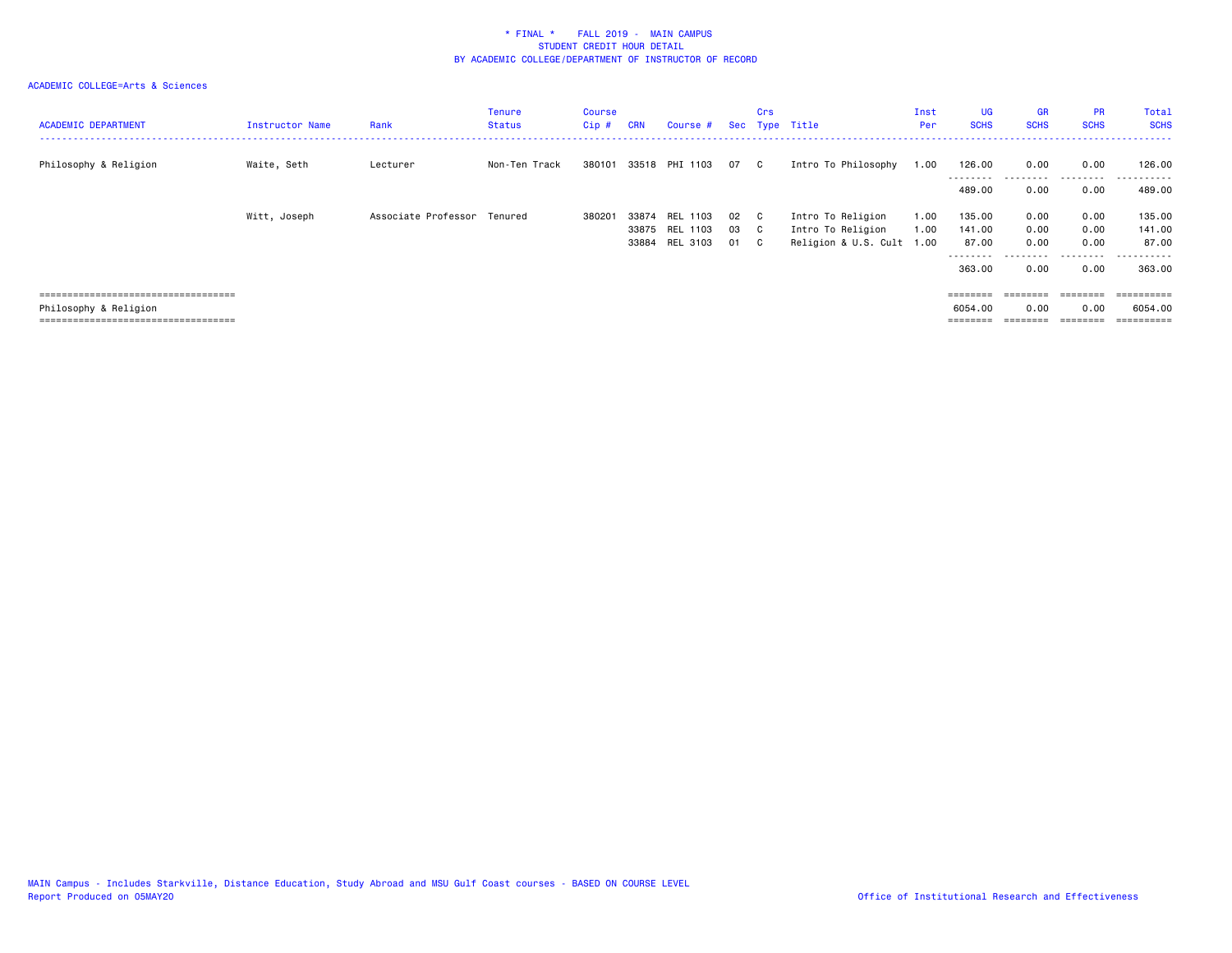| <b>ACADEMIC DEPARTMENT</b>             | Instructor Name | Rank                | <b>Tenure</b><br><b>Status</b> | Course<br>$Cip$ # | <b>CRN</b> | Course #                   |      | <b>Crs</b>   | Sec Type Title            | Inst<br>Per | <b>UG</b><br><b>SCHS</b> | <b>GR</b><br><b>SCHS</b> | <b>PR</b><br><b>SCHS</b> | Total<br><b>SCHS</b> |
|----------------------------------------|-----------------|---------------------|--------------------------------|-------------------|------------|----------------------------|------|--------------|---------------------------|-------------|--------------------------|--------------------------|--------------------------|----------------------|
| Philosophy & Religion                  | Waite, Seth     | Lecturer            | Non-Ten Track                  |                   |            | 380101 33518 PHI 1103 07 C |      |              | Intro To Philosophy       | 1.00        | 126.00                   | 0.00                     | 0.00<br>.                | 126.00<br>------     |
|                                        |                 |                     |                                |                   |            |                            |      |              |                           |             | 489.00                   | 0.00                     | 0.00                     | 489.00               |
|                                        | Witt, Joseph    | Associate Professor | Tenured                        | 380201            | 33874      | REL 1103                   | 02   | - C          | Intro To Religion         | 1.00        | 135.00                   | 0.00                     | 0.00                     | 135.00               |
|                                        |                 |                     |                                |                   | 33875      | REL 1103                   | 03   | $\mathbf{C}$ | Intro To Religion         | 1.00        | 141.00                   | 0.00                     | 0.00                     | 141.00               |
|                                        |                 |                     |                                |                   | 33884      | <b>REL 3103</b>            | 01 C |              | Religion & U.S. Cult 1.00 |             | 87.00                    | 0.00                     | 0.00                     | 87.00                |
|                                        |                 |                     |                                |                   |            |                            |      |              |                           |             | --------                 |                          | $  -$<br>.               | . <u>.</u> .         |
|                                        |                 |                     |                                |                   |            |                            |      |              |                           |             | 363.00                   | 0.00                     | 0.00                     | 363.00               |
|                                        |                 |                     |                                |                   |            |                            |      |              |                           |             |                          |                          |                          |                      |
| ====================================   |                 |                     |                                |                   |            |                            |      |              |                           |             | $=$ = = = = = = =        | ========                 | $=$ = = = = = = =        |                      |
| Philosophy & Religion                  |                 |                     |                                |                   |            |                            |      |              |                           |             | 6054.00                  | 0.00                     | 0.00                     | 6054.00              |
| ====================================== |                 |                     |                                |                   |            |                            |      |              |                           |             | $=$ = = = = = = =        | ========                 | ========                 | ==========           |
|                                        |                 |                     |                                |                   |            |                            |      |              |                           |             |                          |                          |                          |                      |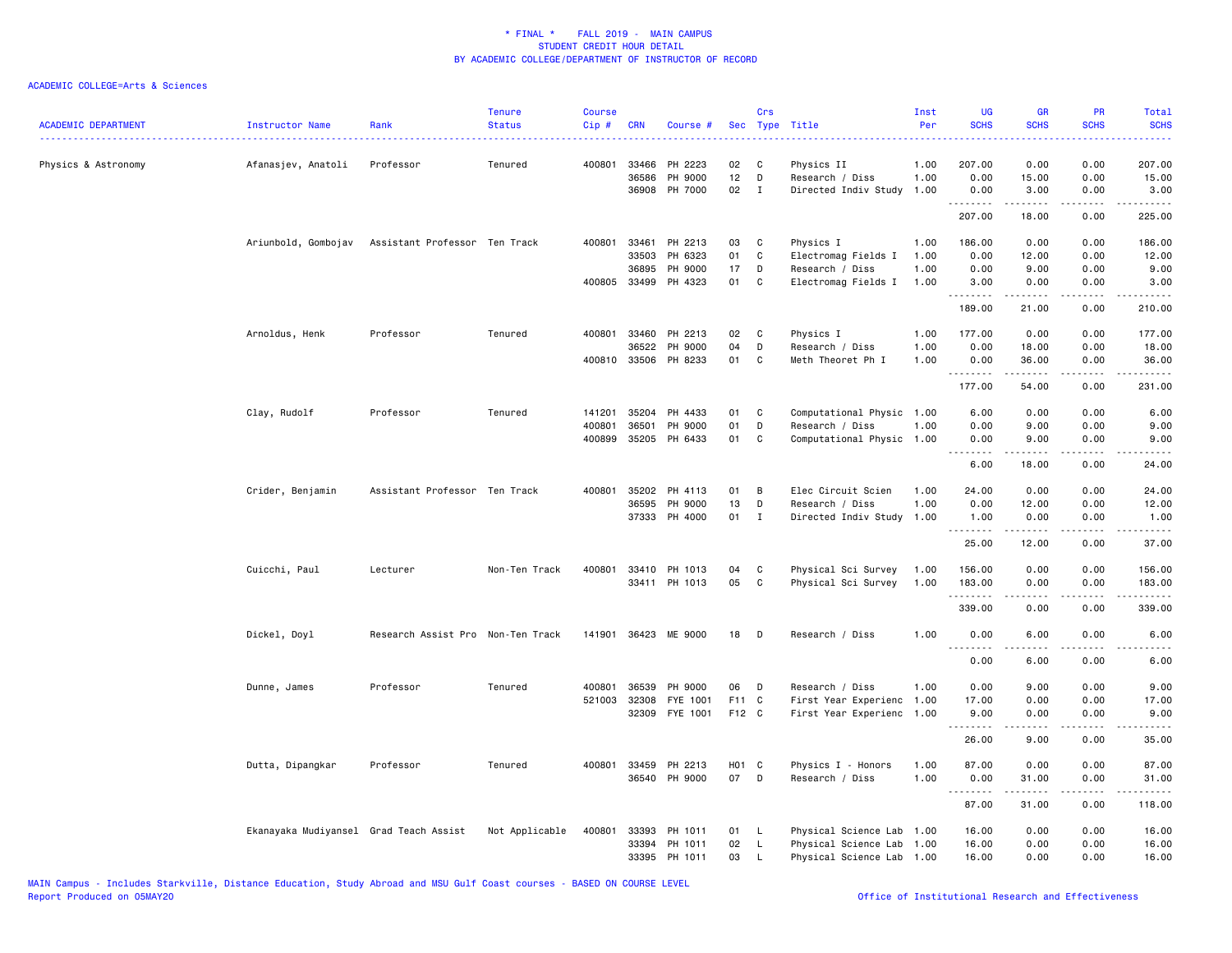| <b>ACADEMIC DEPARTMENT</b> | Instructor Name                        | Rank                              | <b>Tenure</b><br><b>Status</b> | <b>Course</b><br>Cip # | <b>CRN</b>            | Course #                        | <b>Sec</b>  | Crs              | Type Title                                   | Inst<br>Per  | <b>UG</b><br><b>SCHS</b>        | <b>GR</b><br><b>SCHS</b>                                                                                                                                      | PR<br><b>SCHS</b>     | Total<br><b>SCHS</b><br>$\frac{1}{2} \left( \frac{1}{2} \right) \left( \frac{1}{2} \right) \left( \frac{1}{2} \right) \left( \frac{1}{2} \right)$ |
|----------------------------|----------------------------------------|-----------------------------------|--------------------------------|------------------------|-----------------------|---------------------------------|-------------|------------------|----------------------------------------------|--------------|---------------------------------|---------------------------------------------------------------------------------------------------------------------------------------------------------------|-----------------------|---------------------------------------------------------------------------------------------------------------------------------------------------|
| Physics & Astronomy        | Afanasjev, Anatoli                     | Professor                         | Tenured                        |                        | 400801 33466<br>36586 | PH 2223<br>PH 9000              | 02<br>12    | C<br>D           | Physics II<br>Research / Diss                | 1.00<br>1.00 | 207.00<br>0.00                  | 0.00<br>15.00                                                                                                                                                 | 0.00<br>0.00          | 207.00<br>15.00                                                                                                                                   |
|                            |                                        |                                   |                                |                        |                       | 36908 PH 7000                   | 02          | $\mathbf{I}$     | Directed Indiv Study                         | 1.00         | 0.00<br>.                       | 3.00<br>$\sim$ 200 $\sim$ 200                                                                                                                                 | 0.00<br>.             | 3.00<br>.                                                                                                                                         |
|                            |                                        |                                   |                                |                        |                       |                                 |             |                  |                                              |              | 207.00                          | 18.00                                                                                                                                                         | 0.00                  | 225.00                                                                                                                                            |
|                            | Ariunbold, Gombojav                    | Assistant Professor Ten Track     |                                | 400801                 | 33461                 | PH 2213                         | 03          | C                | Physics I                                    | 1.00         | 186.00                          | 0.00                                                                                                                                                          | 0.00                  | 186.00                                                                                                                                            |
|                            |                                        |                                   |                                |                        | 33503                 | PH 6323                         | 01          | C                | Electromag Fields I                          | 1.00         | 0.00                            | 12.00                                                                                                                                                         | 0.00                  | 12.00                                                                                                                                             |
|                            |                                        |                                   |                                |                        | 36895                 | PH 9000<br>400805 33499 PH 4323 | 17<br>01    | D<br>$\mathbf c$ | Research / Diss<br>Electromag Fields I       | 1.00<br>1.00 | 0.00<br>3.00                    | 9.00<br>0.00                                                                                                                                                  | 0.00<br>0.00          | 9.00<br>3.00                                                                                                                                      |
|                            |                                        |                                   |                                |                        |                       |                                 |             |                  |                                              |              | .<br>189.00                     | $\frac{1}{2} \left( \frac{1}{2} \right) \left( \frac{1}{2} \right) \left( \frac{1}{2} \right) \left( \frac{1}{2} \right) \left( \frac{1}{2} \right)$<br>21.00 | .<br>0.00             | .<br>210.00                                                                                                                                       |
|                            |                                        | Professor                         | Tenured                        | 400801                 | 33460                 | PH 2213                         |             |                  |                                              |              | 177.00                          | 0.00                                                                                                                                                          | 0.00                  |                                                                                                                                                   |
|                            | Arnoldus, Henk                         |                                   |                                |                        | 36522                 | PH 9000                         | 02<br>04    | C<br>D           | Physics I<br>Research / Diss                 | 1.00<br>1.00 | 0.00                            | 18.00                                                                                                                                                         | 0.00                  | 177.00<br>18.00                                                                                                                                   |
|                            |                                        |                                   |                                |                        |                       | 400810 33506 PH 8233            | 01          | C                | Meth Theoret Ph I                            | 1.00         | 0.00                            | 36.00                                                                                                                                                         | 0.00                  | 36.00                                                                                                                                             |
|                            |                                        |                                   |                                |                        |                       |                                 |             |                  |                                              |              | <u>.</u>                        | .                                                                                                                                                             | $\frac{1}{2}$         | .                                                                                                                                                 |
|                            |                                        |                                   |                                |                        |                       |                                 |             |                  |                                              |              | 177.00                          | 54.00                                                                                                                                                         | 0.00                  | 231.00                                                                                                                                            |
|                            | Clay, Rudolf                           | Professor                         | Tenured                        | 141201                 | 35204                 | PH 4433                         | 01          | C                | Computational Physic 1.00                    |              | 6.00                            | 0.00                                                                                                                                                          | 0.00                  | 6.00                                                                                                                                              |
|                            |                                        |                                   |                                | 400801                 | 36501                 | PH 9000                         | 01          | D                | Research / Diss                              | 1.00         | 0.00                            | 9.00                                                                                                                                                          | 0.00                  | 9.00                                                                                                                                              |
|                            |                                        |                                   |                                |                        |                       | 400899 35205 PH 6433            | 01          | $\mathbf{C}$     | Computational Physic 1.00                    |              | 0.00<br><u> - - - - - - - -</u> | 9.00<br>.                                                                                                                                                     | 0.00<br>.             | 9.00<br>.                                                                                                                                         |
|                            |                                        |                                   |                                |                        |                       |                                 |             |                  |                                              |              | 6.00                            | 18.00                                                                                                                                                         | 0.00                  | 24.00                                                                                                                                             |
|                            | Crider, Benjamin                       | Assistant Professor Ten Track     |                                | 400801                 | 35202                 | PH 4113                         | 01          | B                | Elec Circuit Scien                           | 1.00         | 24.00                           | 0.00                                                                                                                                                          | 0.00                  | 24.00                                                                                                                                             |
|                            |                                        |                                   |                                |                        | 36595                 | PH 9000                         | 13          | D                | Research / Diss                              | 1.00         | 0.00                            | 12.00                                                                                                                                                         | 0.00                  | 12.00                                                                                                                                             |
|                            |                                        |                                   |                                |                        |                       | 37333 PH 4000                   | 01          | $\mathbf{I}$     | Directed Indiv Study                         | 1.00         | 1.00<br>.                       | 0.00<br>.                                                                                                                                                     | 0.00<br>.             | 1.00<br>.                                                                                                                                         |
|                            |                                        |                                   |                                |                        |                       |                                 |             |                  |                                              |              | 25.00                           | 12.00                                                                                                                                                         | 0.00                  | 37.00                                                                                                                                             |
|                            | Cuicchi, Paul                          | Lecturer                          | Non-Ten Track                  | 400801                 | 33410                 | PH 1013                         | 04          | C                | Physical Sci Survey                          | 1.00         | 156.00                          | 0.00                                                                                                                                                          | 0.00                  | 156.00                                                                                                                                            |
|                            |                                        |                                   |                                |                        |                       | 33411 PH 1013                   | 05          | C                | Physical Sci Survey                          | 1.00         | 183.00                          | 0.00                                                                                                                                                          | 0.00                  | 183.00                                                                                                                                            |
|                            |                                        |                                   |                                |                        |                       |                                 |             |                  |                                              |              | .<br>339.00                     | .<br>0.00                                                                                                                                                     | .<br>0.00             | ------<br>339.00                                                                                                                                  |
|                            | Dickel, Doyl                           | Research Assist Pro Non-Ten Track |                                |                        |                       | 141901 36423 ME 9000            | 18          | D                | Research / Diss                              | 1.00         | 0.00                            | 6.00                                                                                                                                                          | 0.00                  | 6.00                                                                                                                                              |
|                            |                                        |                                   |                                |                        |                       |                                 |             |                  |                                              |              | <u>.</u><br>0.00                | .<br>6.00                                                                                                                                                     | $\frac{1}{2}$<br>0.00 | .<br>6.00                                                                                                                                         |
|                            |                                        |                                   |                                |                        |                       |                                 |             |                  |                                              |              |                                 |                                                                                                                                                               |                       |                                                                                                                                                   |
|                            | Dunne, James                           | Professor                         | Tenured                        | 400801                 | 36539                 | PH 9000                         | 06<br>F11 C | D                | Research / Diss                              | 1.00         | 0.00                            | 9.00                                                                                                                                                          | 0.00                  | 9.00                                                                                                                                              |
|                            |                                        |                                   |                                | 521003                 | 32308<br>32309        | FYE 1001<br>FYE 1001            | F12 C       |                  | First Year Experienc<br>First Year Experienc | 1.00<br>1.00 | 17.00<br>9.00                   | 0.00<br>0.00                                                                                                                                                  | 0.00<br>0.00          | 17.00<br>9.00                                                                                                                                     |
|                            |                                        |                                   |                                |                        |                       |                                 |             |                  |                                              |              | <u>.</u>                        |                                                                                                                                                               |                       | $\frac{1}{2} \left( \frac{1}{2} \right) \left( \frac{1}{2} \right) \left( \frac{1}{2} \right) \left( \frac{1}{2} \right)$                         |
|                            |                                        |                                   |                                |                        |                       |                                 |             |                  |                                              |              | 26.00                           | 9.00                                                                                                                                                          | 0.00                  | 35.00                                                                                                                                             |
|                            | Dutta, Dipangkar                       | Professor                         | Tenured                        |                        | 400801 33459          | PH 2213                         | H01 C       |                  | Physics I - Honors                           | 1.00         | 87.00                           | 0.00                                                                                                                                                          | 0.00                  | 87.00                                                                                                                                             |
|                            |                                        |                                   |                                |                        |                       | 36540 PH 9000                   | 07          | D                | Research / Diss                              | 1.00         | 0.00                            | 31.00<br>$\frac{1}{2} \left( \frac{1}{2} \right) \left( \frac{1}{2} \right) \left( \frac{1}{2} \right) \left( \frac{1}{2} \right) \left( \frac{1}{2} \right)$ | 0.00<br>.             | 31.00                                                                                                                                             |
|                            |                                        |                                   |                                |                        |                       |                                 |             |                  |                                              |              | 87.00                           | 31.00                                                                                                                                                         | 0.00                  | 118.00                                                                                                                                            |
|                            | Ekanayaka Mudiyansel Grad Teach Assist |                                   | Not Applicable                 |                        |                       | 400801 33393 PH 1011            | 01 L        |                  | Physical Science Lab 1.00                    |              | 16.00                           | 0.00                                                                                                                                                          | 0.00                  | 16.00                                                                                                                                             |
|                            |                                        |                                   |                                |                        | 33394                 | PH 1011                         | 02          | <b>L</b>         | Physical Science Lab 1.00                    |              | 16.00                           | 0.00                                                                                                                                                          | 0.00                  | 16.00                                                                                                                                             |
|                            |                                        |                                   |                                |                        |                       | 33395 PH 1011                   | 03          | L.               | Physical Science Lab 1.00                    |              | 16.00                           | 0.00                                                                                                                                                          | 0.00                  | 16.00                                                                                                                                             |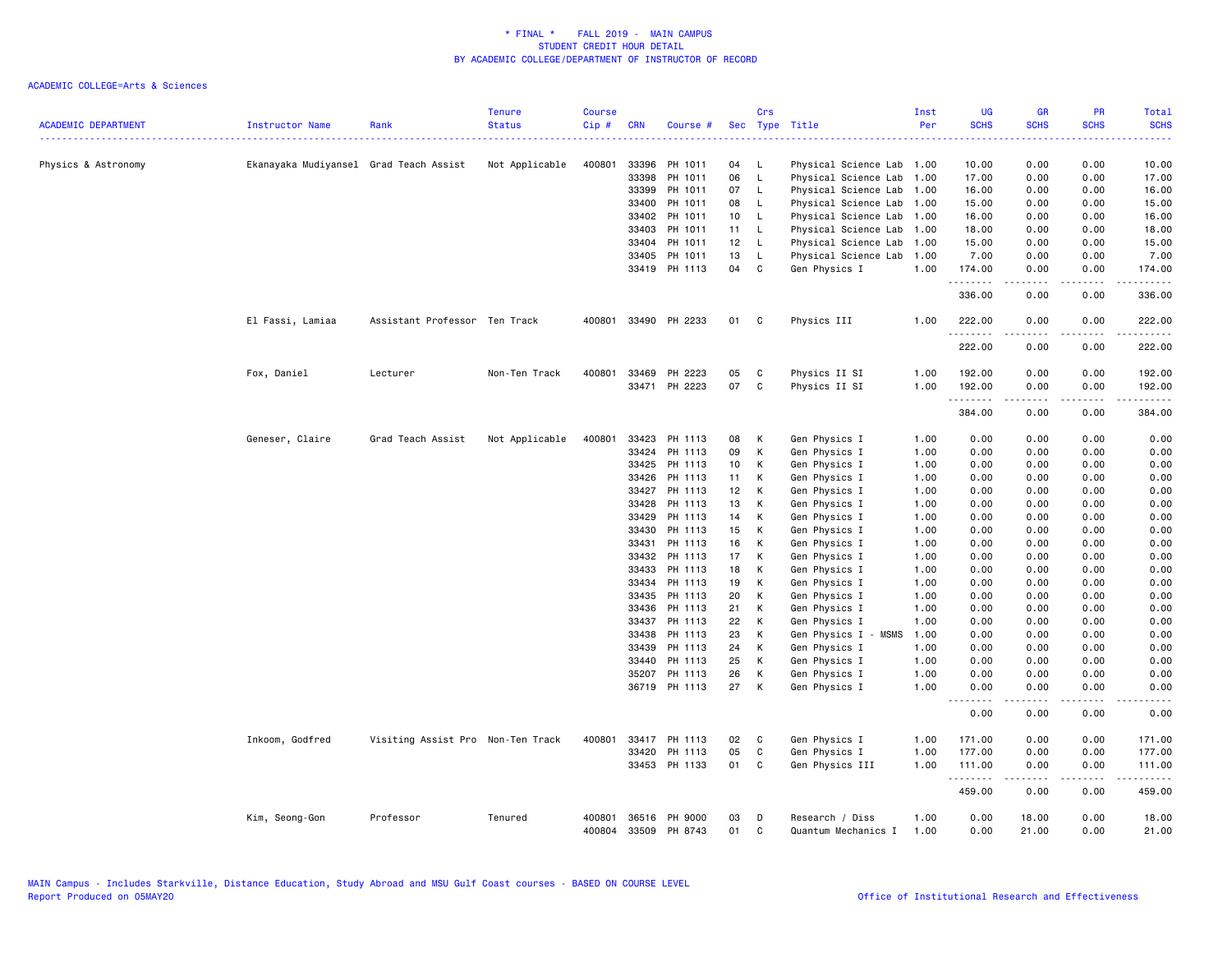| <b>ACADEMIC DEPARTMENT</b> | Instructor Name                        | Rank                              | <b>Tenure</b><br><b>Status</b> | <b>Course</b><br>$Cip$ # | <b>CRN</b> | Course #             |                 | Crs          | Sec Type Title            | Inst<br>Per | <b>UG</b><br><b>SCHS</b><br>. | <b>GR</b><br><b>SCHS</b>                                                                                                                                     | <b>PR</b><br><b>SCHS</b> | Total<br><b>SCHS</b><br>$\frac{1}{2} \left( \frac{1}{2} \right) \left( \frac{1}{2} \right) \left( \frac{1}{2} \right) \left( \frac{1}{2} \right)$ |
|----------------------------|----------------------------------------|-----------------------------------|--------------------------------|--------------------------|------------|----------------------|-----------------|--------------|---------------------------|-------------|-------------------------------|--------------------------------------------------------------------------------------------------------------------------------------------------------------|--------------------------|---------------------------------------------------------------------------------------------------------------------------------------------------|
| Physics & Astronomy        | Ekanayaka Mudiyansel Grad Teach Assist |                                   | Not Applicable                 | 400801                   | 33396      | PH 1011              | 04              | - L          | Physical Science Lab 1.00 |             | 10.00                         | 0.00                                                                                                                                                         | 0.00                     | 10.00                                                                                                                                             |
|                            |                                        |                                   |                                |                          | 33398      | PH 1011              | 06              | $\mathsf{L}$ | Physical Science Lab      | 1.00        | 17.00                         | 0.00                                                                                                                                                         | 0.00                     | 17.00                                                                                                                                             |
|                            |                                        |                                   |                                |                          | 33399      | PH 1011              | 07              | - L          | Physical Science Lab      | 1.00        | 16.00                         | 0.00                                                                                                                                                         | 0.00                     | 16.00                                                                                                                                             |
|                            |                                        |                                   |                                |                          | 33400      | PH 1011              | 08              | $\mathsf{L}$ | Physical Science Lab      | 1.00        | 15.00                         | 0.00                                                                                                                                                         | 0.00                     | 15.00                                                                                                                                             |
|                            |                                        |                                   |                                |                          | 33402      | PH 1011              | 10 <sub>1</sub> | $\mathsf{L}$ | Physical Science Lab      | 1.00        | 16.00                         | 0.00                                                                                                                                                         | 0.00                     | 16.00                                                                                                                                             |
|                            |                                        |                                   |                                |                          | 33403      | PH 1011              | 11              | $\mathsf{L}$ | Physical Science Lab      | 1.00        | 18.00                         | 0.00                                                                                                                                                         | 0.00                     | 18.00                                                                                                                                             |
|                            |                                        |                                   |                                |                          | 33404      | PH 1011              | 12              | $\mathsf{L}$ | Physical Science Lab      | 1.00        | 15.00                         | 0.00                                                                                                                                                         | 0.00                     | 15.00                                                                                                                                             |
|                            |                                        |                                   |                                |                          | 33405      | PH 1011              | 13              | L            | Physical Science Lab      | 1.00        | 7.00                          | 0.00                                                                                                                                                         | 0.00                     | 7.00                                                                                                                                              |
|                            |                                        |                                   |                                |                          |            | 33419 PH 1113        | 04              | C            | Gen Physics I             | 1.00        | 174.00<br>.                   | 0.00<br>.                                                                                                                                                    | 0.00<br>.                | 174.00<br>22222                                                                                                                                   |
|                            |                                        |                                   |                                |                          |            |                      |                 |              |                           |             | 336.00                        | 0.00                                                                                                                                                         | 0.00                     | 336.00                                                                                                                                            |
|                            | El Fassi, Lamiaa                       | Assistant Professor Ten Track     |                                |                          |            | 400801 33490 PH 2233 | 01              | C            | Physics III               | 1.00        | 222.00<br>.                   | 0.00<br>.                                                                                                                                                    | 0.00<br>$\frac{1}{2}$    | 222.00<br>$- - - - - -$                                                                                                                           |
|                            |                                        |                                   |                                |                          |            |                      |                 |              |                           |             | 222.00                        | 0.00                                                                                                                                                         | 0.00                     | 222.00                                                                                                                                            |
|                            | Fox, Daniel                            | Lecturer                          | Non-Ten Track                  | 400801                   |            | 33469 PH 2223        | 05              | C            | Physics II SI             | 1.00        | 192.00                        | 0.00                                                                                                                                                         | 0.00                     | 192.00                                                                                                                                            |
|                            |                                        |                                   |                                |                          |            | 33471 PH 2223        | 07              | C            | Physics II SI             | 1.00        | 192.00                        | 0.00                                                                                                                                                         | 0.00                     | 192.00                                                                                                                                            |
|                            |                                        |                                   |                                |                          |            |                      |                 |              |                           |             | .<br>384.00                   | $\frac{1}{2} \left( \frac{1}{2} \right) \left( \frac{1}{2} \right) \left( \frac{1}{2} \right) \left( \frac{1}{2} \right) \left( \frac{1}{2} \right)$<br>0.00 | .<br>0.00                | $- - - - -$<br>384.00                                                                                                                             |
|                            |                                        |                                   |                                |                          |            |                      |                 |              |                           |             |                               |                                                                                                                                                              |                          |                                                                                                                                                   |
|                            | Geneser, Claire                        | Grad Teach Assist                 | Not Applicable                 | 400801                   | 33423      | PH 1113              | 08              | К            | Gen Physics I             | 1.00        | 0.00                          | 0.00                                                                                                                                                         | 0.00                     | 0.00                                                                                                                                              |
|                            |                                        |                                   |                                |                          |            | 33424 PH 1113        | 09              | К            | Gen Physics I             | 1.00        | 0.00                          | 0.00                                                                                                                                                         | 0.00                     | 0.00                                                                                                                                              |
|                            |                                        |                                   |                                |                          | 33425      | PH 1113              | 10              | К            | Gen Physics I             | 1.00        | 0.00                          | 0.00                                                                                                                                                         | 0.00                     | 0.00                                                                                                                                              |
|                            |                                        |                                   |                                |                          | 33426      | PH 1113              | 11              | К            | Gen Physics I             | 1.00        | 0.00                          | 0.00                                                                                                                                                         | 0.00                     | 0.00                                                                                                                                              |
|                            |                                        |                                   |                                |                          | 33427      | PH 1113              | 12              | К            | Gen Physics I             | 1.00        | 0.00                          | 0.00                                                                                                                                                         | 0.00                     | 0.00                                                                                                                                              |
|                            |                                        |                                   |                                |                          | 33428      | PH 1113              | 13              | К            | Gen Physics I             | 1.00        | 0.00                          | 0.00                                                                                                                                                         | 0.00                     | 0.00                                                                                                                                              |
|                            |                                        |                                   |                                |                          | 33429      | PH 1113              | 14              | К            | Gen Physics I             | 1.00        | 0.00                          | 0.00                                                                                                                                                         | 0.00                     | 0.00                                                                                                                                              |
|                            |                                        |                                   |                                |                          | 33430      | PH 1113              | 15              | К            | Gen Physics I             | 1.00        | 0.00                          | 0.00                                                                                                                                                         | 0.00                     | 0.00                                                                                                                                              |
|                            |                                        |                                   |                                |                          | 33431      | PH 1113              | 16              | К            | Gen Physics I             | 1.00        | 0.00                          | 0.00                                                                                                                                                         | 0.00                     | 0.00                                                                                                                                              |
|                            |                                        |                                   |                                |                          | 33432      | PH 1113              | 17              | К            | Gen Physics I             | 1.00        | 0.00                          | 0.00                                                                                                                                                         | 0.00                     | 0.00                                                                                                                                              |
|                            |                                        |                                   |                                |                          | 33433      | PH 1113              | 18              | К            | Gen Physics I             | 1.00        | 0.00                          | 0.00                                                                                                                                                         | 0.00                     | 0.00                                                                                                                                              |
|                            |                                        |                                   |                                |                          | 33434      | PH 1113              | 19              | К            | Gen Physics I             | 1.00        | 0.00                          | 0.00                                                                                                                                                         | 0.00                     | 0.00                                                                                                                                              |
|                            |                                        |                                   |                                |                          | 33435      | PH 1113              | 20              | K            | Gen Physics I             | 1.00        | 0.00                          | 0.00                                                                                                                                                         | 0.00                     | 0.00                                                                                                                                              |
|                            |                                        |                                   |                                |                          | 33436      | PH 1113              | 21              | К            | Gen Physics I             | 1.00        | 0.00                          | 0.00                                                                                                                                                         | 0.00                     | 0.00                                                                                                                                              |
|                            |                                        |                                   |                                |                          | 33437      | PH 1113              | 22              | К            | Gen Physics I             | 1.00        | 0.00                          | 0.00                                                                                                                                                         | 0.00                     | 0.00                                                                                                                                              |
|                            |                                        |                                   |                                |                          | 33438      | PH 1113              | 23              | К            | Gen Physics I - MSMS      | 1.00        | 0.00                          | 0.00                                                                                                                                                         | 0.00                     | 0.00                                                                                                                                              |
|                            |                                        |                                   |                                |                          | 33439      | PH 1113              | 24              | К            | Gen Physics I             | 1.00        | 0.00                          | 0.00                                                                                                                                                         | 0.00                     | 0.00                                                                                                                                              |
|                            |                                        |                                   |                                |                          | 33440      | PH 1113              | 25              | К            | Gen Physics I             | 1.00        | 0.00                          | 0.00                                                                                                                                                         | 0.00                     | 0.00                                                                                                                                              |
|                            |                                        |                                   |                                |                          |            | 35207 PH 1113        | 26              | К            | Gen Physics I             | 1.00        | 0.00                          | 0.00                                                                                                                                                         | 0.00                     | 0.00                                                                                                                                              |
|                            |                                        |                                   |                                |                          |            | 36719 PH 1113        | 27              | К            | Gen Physics I             | 1.00        | 0.00<br>.                     | 0.00<br>-----                                                                                                                                                | 0.00<br>.                | 0.00<br>$\frac{1}{2} \left( \frac{1}{2} \right) \left( \frac{1}{2} \right) \left( \frac{1}{2} \right) \left( \frac{1}{2} \right)$                 |
|                            |                                        |                                   |                                |                          |            |                      |                 |              |                           |             | 0.00                          | 0.00                                                                                                                                                         | 0.00                     | 0.00                                                                                                                                              |
|                            | Inkoom, Godfred                        | Visiting Assist Pro Non-Ten Track |                                | 400801                   |            | 33417 PH 1113        | 02              | C            | Gen Physics I             | 1.00        | 171.00                        | 0.00                                                                                                                                                         | 0.00                     | 171.00                                                                                                                                            |
|                            |                                        |                                   |                                |                          | 33420      | PH 1113              | 05              | C            | Gen Physics I             | 1.00        | 177.00                        | 0.00                                                                                                                                                         | 0.00                     | 177.00                                                                                                                                            |
|                            |                                        |                                   |                                |                          |            | 33453 PH 1133        | 01              | C            | Gen Physics III           | 1.00        | 111.00<br>.                   | 0.00<br>د د د د د                                                                                                                                            | 0.00<br>.                | 111.00<br>.                                                                                                                                       |
|                            |                                        |                                   |                                |                          |            |                      |                 |              |                           |             | 459.00                        | 0.00                                                                                                                                                         | 0.00                     | 459.00                                                                                                                                            |
|                            | Kim, Seong-Gon                         | Professor                         | Tenured                        | 400801                   |            | 36516 PH 9000        | 03              | D            | Research / Diss           | 1.00        | 0.00                          | 18.00                                                                                                                                                        | 0.00                     | 18.00                                                                                                                                             |
|                            |                                        |                                   |                                | 400804                   |            | 33509 PH 8743        | 01              | C            | Quantum Mechanics I       | 1.00        | 0.00                          | 21.00                                                                                                                                                        | 0.00                     | 21.00                                                                                                                                             |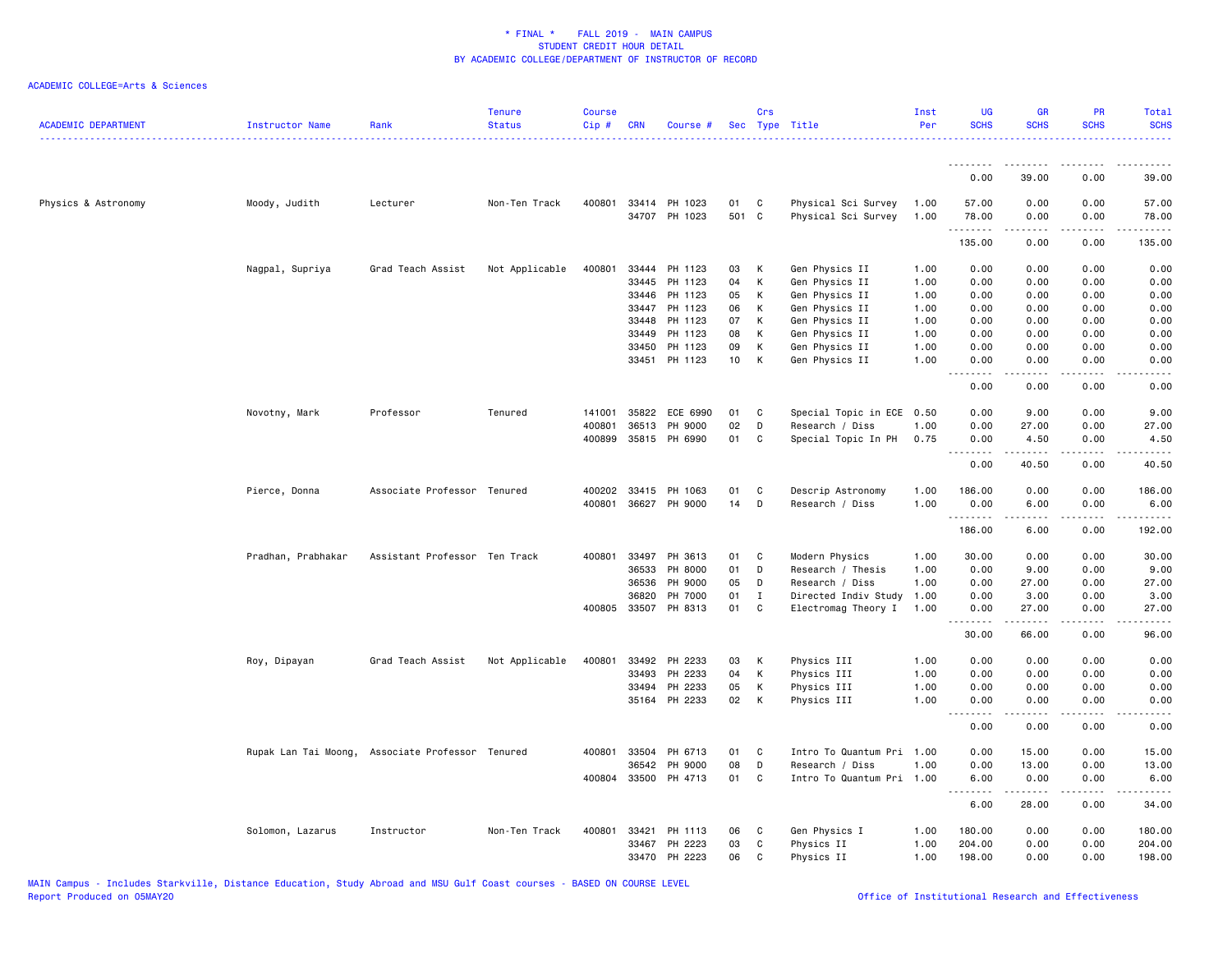| <b>ACADEMIC DEPARTMENT</b> | Instructor Name    | Rank                                             | <b>Tenure</b><br><b>Status</b> | <b>Course</b><br>Cip# | <b>CRN</b>   | Course #             |                 | Crs         | Sec Type Title            | Inst<br>Per | <b>UG</b><br><b>SCHS</b> | <b>GR</b><br><b>SCHS</b>                                                                                                                                      | <b>PR</b><br><b>SCHS</b> | <b>Total</b><br><b>SCHS</b>                                                                                                                                  |
|----------------------------|--------------------|--------------------------------------------------|--------------------------------|-----------------------|--------------|----------------------|-----------------|-------------|---------------------------|-------------|--------------------------|---------------------------------------------------------------------------------------------------------------------------------------------------------------|--------------------------|--------------------------------------------------------------------------------------------------------------------------------------------------------------|
|                            |                    |                                                  |                                |                       |              |                      |                 |             |                           |             | .<br>0.00                | .<br>39.00                                                                                                                                                    |                          | .                                                                                                                                                            |
|                            |                    |                                                  |                                |                       |              |                      |                 |             |                           |             |                          |                                                                                                                                                               | 0.00                     | 39.00                                                                                                                                                        |
| Physics & Astronomy        | Moody, Judith      | Lecturer                                         | Non-Ten Track                  | 400801                |              | 33414 PH 1023        | 01              | C           | Physical Sci Survey       | 1.00        | 57.00                    | 0.00                                                                                                                                                          | 0.00                     | 57.00                                                                                                                                                        |
|                            |                    |                                                  |                                |                       |              | 34707 PH 1023        | 501 C           |             | Physical Sci Survey       | 1.00        | 78.00                    | 0.00                                                                                                                                                          | 0.00                     | 78.00                                                                                                                                                        |
|                            |                    |                                                  |                                |                       |              |                      |                 |             |                           |             | .<br>135.00              | -----<br>0.00                                                                                                                                                 | المتماما<br>0.00         | <u>.</u> .<br>135.00                                                                                                                                         |
|                            |                    |                                                  |                                |                       |              |                      |                 |             |                           |             |                          |                                                                                                                                                               |                          |                                                                                                                                                              |
|                            | Nagpal, Supriya    | Grad Teach Assist                                | Not Applicable                 | 400801                | 33444        | PH 1123              | 03              | К           | Gen Physics II            | 1.00        | 0.00                     | 0.00                                                                                                                                                          | 0.00                     | 0.00                                                                                                                                                         |
|                            |                    |                                                  |                                |                       | 33445        | PH 1123              | 04              | K           | Gen Physics II            | 1.00        | 0.00                     | 0.00                                                                                                                                                          | 0.00                     | 0.00                                                                                                                                                         |
|                            |                    |                                                  |                                |                       | 33446        | PH 1123              | 05              | К           | Gen Physics II            | 1.00        | 0.00                     | 0.00                                                                                                                                                          | 0.00                     | 0.00                                                                                                                                                         |
|                            |                    |                                                  |                                |                       | 33447        | PH 1123              | 06              | К           | Gen Physics II            | 1.00        | 0.00                     | 0.00                                                                                                                                                          | 0.00                     | 0.00                                                                                                                                                         |
|                            |                    |                                                  |                                |                       | 33448        | PH 1123              | 07              | К           | Gen Physics II            | 1.00        | 0.00                     | 0.00                                                                                                                                                          | 0.00                     | 0.00                                                                                                                                                         |
|                            |                    |                                                  |                                |                       | 33449        | PH 1123              | 08              | К           | Gen Physics II            | 1.00        | 0.00                     | 0.00                                                                                                                                                          | 0.00                     | 0.00                                                                                                                                                         |
|                            |                    |                                                  |                                |                       | 33450        | PH 1123              | 09              | К           | Gen Physics II            | 1.00        | 0.00                     | 0.00                                                                                                                                                          | 0.00                     | 0.00                                                                                                                                                         |
|                            |                    |                                                  |                                |                       | 33451        | PH 1123              | 10 <sub>1</sub> | K           | Gen Physics II            | 1.00        | 0.00<br>.                | 0.00                                                                                                                                                          | 0.00<br>$- - - -$        | 0.00                                                                                                                                                         |
|                            |                    |                                                  |                                |                       |              |                      |                 |             |                           |             | 0.00                     | 0.00                                                                                                                                                          | 0.00                     | 0.00                                                                                                                                                         |
|                            | Novotny, Mark      | Professor                                        | Tenured                        | 141001                | 35822        | ECE 6990             | 01              | C           | Special Topic in ECE 0.50 |             | 0.00                     | 9.00                                                                                                                                                          | 0.00                     | 9.00                                                                                                                                                         |
|                            |                    |                                                  |                                | 400801                | 36513        | PH 9000              | 02              | D           | Research / Diss           | 1.00        | 0.00                     | 27.00                                                                                                                                                         | 0.00                     | 27.00                                                                                                                                                        |
|                            |                    |                                                  |                                | 400899                |              | 35815 PH 6990        | 01              | C           | Special Topic In PH       | 0.75        | 0.00                     | 4.50                                                                                                                                                          | 0.00                     | 4.50                                                                                                                                                         |
|                            |                    |                                                  |                                |                       |              |                      |                 |             |                           |             | <u>.</u>                 | $- - - -$                                                                                                                                                     |                          | . <u>.</u> .                                                                                                                                                 |
|                            |                    |                                                  |                                |                       |              |                      |                 |             |                           |             | 0.00                     | 40.50                                                                                                                                                         | 0.00                     | 40.50                                                                                                                                                        |
|                            | Pierce, Donna      | Associate Professor Tenured                      |                                | 400202                | 33415        | PH 1063              | 01              | C           | Descrip Astronomy         | 1.00        | 186.00                   | 0.00                                                                                                                                                          | 0.00                     | 186.00                                                                                                                                                       |
|                            |                    |                                                  |                                | 400801                |              | 36627 PH 9000        | 14              | D           | Research / Diss           | 1.00        | 0.00                     | 6.00                                                                                                                                                          | 0.00                     | 6.00                                                                                                                                                         |
|                            |                    |                                                  |                                |                       |              |                      |                 |             |                           |             | .<br>186.00              | <u>.</u><br>6.00                                                                                                                                              | .<br>0.00                | .<br>192.00                                                                                                                                                  |
|                            |                    |                                                  |                                |                       |              |                      |                 |             |                           |             |                          |                                                                                                                                                               |                          |                                                                                                                                                              |
|                            | Pradhan, Prabhakar | Assistant Professor Ten Track                    |                                | 400801                | 33497        | PH 3613              | 01              | C           | Modern Physics            | 1.00        | 30.00                    | 0.00                                                                                                                                                          | 0.00                     | 30.00                                                                                                                                                        |
|                            |                    |                                                  |                                |                       | 36533        | PH 8000              | 01              | D           | Research / Thesis         | 1.00        | 0.00                     | 9.00                                                                                                                                                          | 0.00                     | 9.00                                                                                                                                                         |
|                            |                    |                                                  |                                |                       | 36536        | PH 9000              | 05              | D           | Research / Diss           | 1.00        | 0.00                     | 27.00                                                                                                                                                         | 0.00                     | 27.00                                                                                                                                                        |
|                            |                    |                                                  |                                |                       | 36820        | PH 7000              | 01              | $\mathbf I$ | Directed Indiv Study      | 1.00        | 0.00                     | 3.00                                                                                                                                                          | 0.00                     | 3.00                                                                                                                                                         |
|                            |                    |                                                  |                                |                       | 400805 33507 | PH 8313              | 01              | C           | Electromag Theory I       | 1.00        | 0.00<br>.                | 27.00<br>$\frac{1}{2} \left( \frac{1}{2} \right) \left( \frac{1}{2} \right) \left( \frac{1}{2} \right) \left( \frac{1}{2} \right) \left( \frac{1}{2} \right)$ | 0.00<br>المالم عامات     | 27.00<br>$\sim$ $\sim$ $\sim$ $\sim$ $\sim$                                                                                                                  |
|                            |                    |                                                  |                                |                       |              |                      |                 |             |                           |             | 30.00                    | 66.00                                                                                                                                                         | 0.00                     | 96.00                                                                                                                                                        |
|                            | Roy, Dipayan       | Grad Teach Assist                                | Not Applicable                 | 400801                | 33492        | PH 2233              | 03              | К           | Physics III               | 1.00        | 0.00                     | 0.00                                                                                                                                                          | 0.00                     | 0.00                                                                                                                                                         |
|                            |                    |                                                  |                                |                       | 33493        | PH 2233              | 04              | К           | Physics III               | 1.00        | 0.00                     | 0.00                                                                                                                                                          | 0.00                     | 0.00                                                                                                                                                         |
|                            |                    |                                                  |                                |                       | 33494        | PH 2233              | 05              | к           | Physics III               | 1.00        | 0.00                     | 0.00                                                                                                                                                          | 0.00                     | 0.00                                                                                                                                                         |
|                            |                    |                                                  |                                |                       |              | 35164 PH 2233        | 02              | К           | Physics III               | 1.00        | 0.00                     | 0.00                                                                                                                                                          | 0.00                     | 0.00                                                                                                                                                         |
|                            |                    |                                                  |                                |                       |              |                      |                 |             |                           |             | .<br>0.00                | $\frac{1}{2} \left( \frac{1}{2} \right) \left( \frac{1}{2} \right) \left( \frac{1}{2} \right) \left( \frac{1}{2} \right) \left( \frac{1}{2} \right)$<br>0.00  | المتماما<br>0.00         | $\frac{1}{2} \left( \frac{1}{2} \right) \left( \frac{1}{2} \right) \left( \frac{1}{2} \right) \left( \frac{1}{2} \right) \left( \frac{1}{2} \right)$<br>0.00 |
|                            |                    |                                                  |                                |                       |              |                      |                 |             |                           |             |                          |                                                                                                                                                               |                          |                                                                                                                                                              |
|                            |                    | Rupak Lan Tai Moong, Associate Professor Tenured |                                | 400801                | 33504        | PH 6713              | 01              | C           | Intro To Quantum Pri      | 1.00        | 0.00                     | 15.00                                                                                                                                                         | 0.00                     | 15.00                                                                                                                                                        |
|                            |                    |                                                  |                                |                       | 36542        | PH 9000              | 08              | D           | Research / Diss           | 1.00        | 0.00                     | 13.00                                                                                                                                                         | 0.00                     | 13.00                                                                                                                                                        |
|                            |                    |                                                  |                                |                       |              | 400804 33500 PH 4713 | 01              | C           | Intro To Quantum Pri 1.00 |             | 6.00<br>.                | 0.00<br>.                                                                                                                                                     | 0.00<br>.                | 6.00<br>.                                                                                                                                                    |
|                            |                    |                                                  |                                |                       |              |                      |                 |             |                           |             | 6.00                     | 28.00                                                                                                                                                         | 0.00                     | 34.00                                                                                                                                                        |
|                            | Solomon, Lazarus   | Instructor                                       | Non-Ten Track                  | 400801                | 33421        | PH 1113              | 06              | C           | Gen Physics I             | 1.00        | 180.00                   | 0.00                                                                                                                                                          | 0.00                     | 180.00                                                                                                                                                       |
|                            |                    |                                                  |                                |                       | 33467        | PH 2223              | 03              | C           | Physics II                | 1.00        | 204.00                   | 0.00                                                                                                                                                          | 0.00                     | 204.00                                                                                                                                                       |
|                            |                    |                                                  |                                |                       |              | 33470 PH 2223        | 06              | C           | Physics II                | 1.00        | 198.00                   | 0.00                                                                                                                                                          | 0.00                     | 198.00                                                                                                                                                       |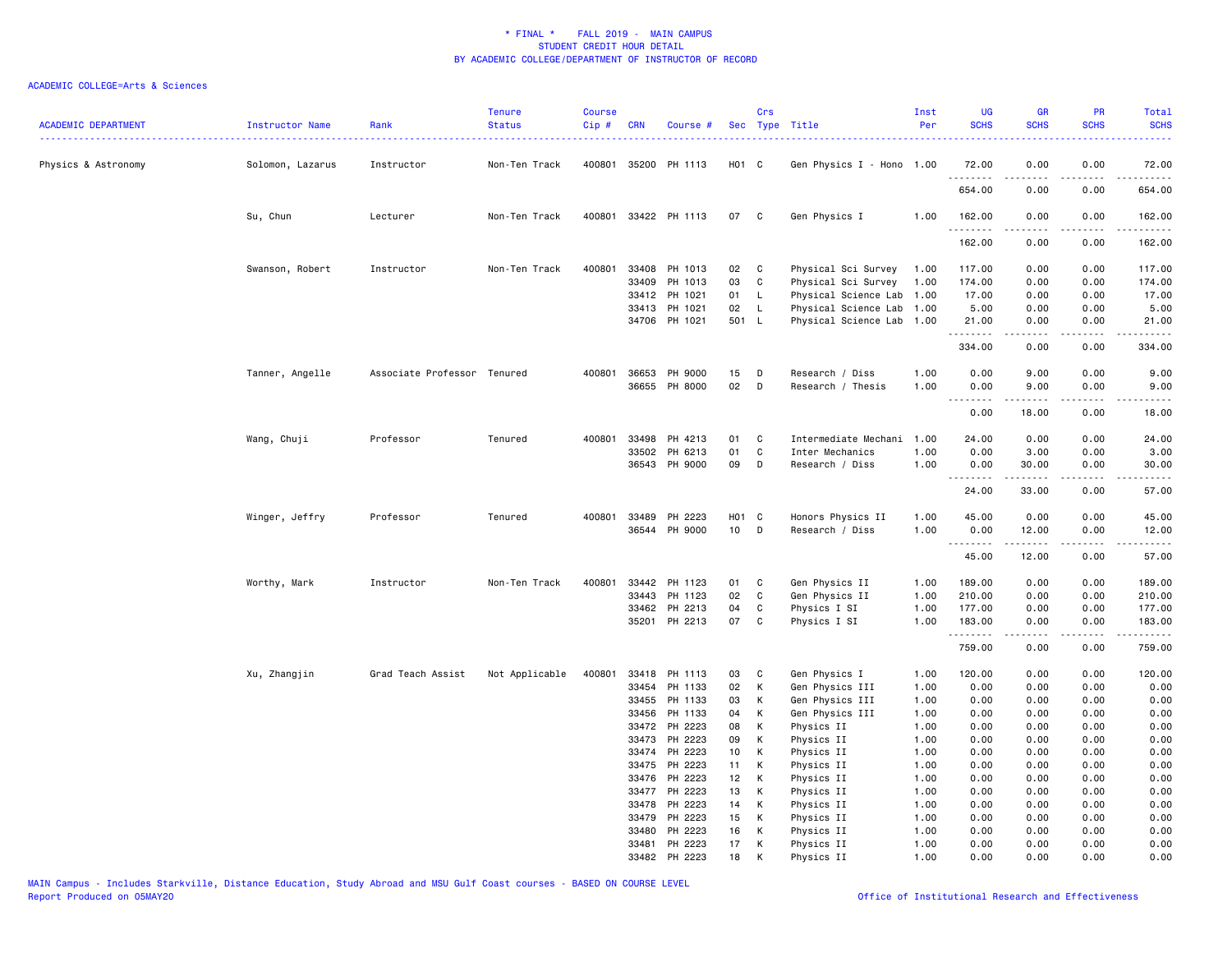| <b>ACADEMIC DEPARTMENT</b> | Instructor Name  | Rank                        | <b>Tenure</b><br><b>Status</b> | <b>Course</b><br>Cip# | <b>CRN</b> | Course #             |                   | Crs         | Sec Type Title            | Inst<br>Per | <b>UG</b><br><b>SCHS</b> | GR<br><b>SCHS</b>        | PR<br><b>SCHS</b>                             | Total<br><b>SCHS</b>    |
|----------------------------|------------------|-----------------------------|--------------------------------|-----------------------|------------|----------------------|-------------------|-------------|---------------------------|-------------|--------------------------|--------------------------|-----------------------------------------------|-------------------------|
| Physics & Astronomy        | Solomon, Lazarus | Instructor                  | Non-Ten Track                  |                       |            | 400801 35200 PH 1113 | H01 C             |             | Gen Physics I - Hono 1.00 |             | 72.00                    | 0.00                     | 0.00                                          | 72.00                   |
|                            |                  |                             |                                |                       |            |                      |                   |             |                           |             | .<br>654.00              | -----<br>0.00            | 0.00                                          | -----<br>654.00         |
|                            | Su, Chun         | Lecturer                    | Non-Ten Track                  | 400801                |            | 33422 PH 1113        | 07                | C           | Gen Physics I             | 1.00        | 162.00<br>.              | 0.00<br><u>.</u>         | 0.00<br>$\frac{1}{2}$                         | 162.00<br>$- - - - - -$ |
|                            |                  |                             |                                |                       |            |                      |                   |             |                           |             | 162.00                   | 0.00                     | 0.00                                          | 162.00                  |
|                            | Swanson, Robert  | Instructor                  | Non-Ten Track                  | 400801                |            | 33408 PH 1013        | 02                | C           | Physical Sci Survey       | 1.00        | 117.00                   | 0.00                     | 0.00                                          | 117.00                  |
|                            |                  |                             |                                |                       | 33409      | PH 1013              | 03                | C           | Physical Sci Survey       | 1.00        | 174.00                   | 0.00                     | 0.00                                          | 174.00                  |
|                            |                  |                             |                                |                       |            | 33412 PH 1021        | 01                | L.          | Physical Science Lab      | 1.00        | 17.00                    | 0.00                     | 0.00                                          | 17.00                   |
|                            |                  |                             |                                |                       |            | 33413 PH 1021        | 02                | L           | Physical Science Lab 1.00 |             | 5.00                     | 0.00                     | 0.00                                          | 5.00                    |
|                            |                  |                             |                                |                       |            | 34706 PH 1021        | 501 L             |             | Physical Science Lab 1.00 |             | 21.00<br>.               | 0.00<br>-----            | 0.00<br>.                                     | 21.00<br>.              |
|                            |                  |                             |                                |                       |            |                      |                   |             |                           |             | 334.00                   | 0.00                     | 0.00                                          | 334.00                  |
|                            | Tanner, Angelle  | Associate Professor Tenured |                                | 400801                | 36653      | PH 9000              | 15                | D           | Research / Diss           | 1.00        | 0.00                     | 9.00                     | 0.00                                          | 9.00                    |
|                            |                  |                             |                                |                       |            | 36655 PH 8000        | 02                | D           | Research / Thesis         | 1.00        | 0.00                     | 9.00                     | 0.00                                          | 9.00                    |
|                            |                  |                             |                                |                       |            |                      |                   |             |                           |             | .                        |                          |                                               |                         |
|                            |                  |                             |                                |                       |            |                      |                   |             |                           |             | 0.00                     | 18.00                    | 0.00                                          | 18.00                   |
|                            | Wang, Chuji      | Professor                   | Tenured                        | 400801                | 33498      | PH 4213              | 01                | C           | Intermediate Mechani      | 1.00        | 24.00                    | 0.00                     | 0.00                                          | 24.00                   |
|                            |                  |                             |                                |                       | 33502      | PH 6213              | 01                | C           | Inter Mechanics           | 1.00        | 0.00                     | 3.00                     | 0.00                                          | 3.00                    |
|                            |                  |                             |                                |                       | 36543      | PH 9000              | 09                | D           | Research / Diss           | 1.00        | 0.00                     | 30.00                    | 0.00                                          | 30.00                   |
|                            |                  |                             |                                |                       |            |                      |                   |             |                           |             | .<br>24.00               | المتمام المنابذ<br>33.00 | $\omega_{\rm c}$ and $\omega_{\rm c}$<br>0.00 | .<br>57.00              |
|                            | Winger, Jeffry   | Professor                   | Tenured                        | 400801                | 33489      | PH 2223              | H <sub>01</sub> C |             | Honors Physics II         | 1.00        | 45.00                    | 0.00                     | 0.00                                          | 45.00                   |
|                            |                  |                             |                                |                       |            | 36544 PH 9000        | 10 <sub>1</sub>   | D           | Research / Diss           | 1.00        | 0.00                     | 12.00                    | 0.00                                          | 12.00                   |
|                            |                  |                             |                                |                       |            |                      |                   |             |                           |             | .                        |                          |                                               | .                       |
|                            |                  |                             |                                |                       |            |                      |                   |             |                           |             | 45.00                    | 12.00                    | 0.00                                          | 57.00                   |
|                            | Worthy, Mark     | Instructor                  | Non-Ten Track                  | 400801                |            | 33442 PH 1123        | 01                | C           | Gen Physics II            | 1.00        | 189.00                   | 0.00                     | 0.00                                          | 189.00                  |
|                            |                  |                             |                                |                       | 33443      | PH 1123              | 02                | $\mathbf c$ | Gen Physics II            | 1.00        | 210.00                   | 0.00                     | 0.00                                          | 210.00                  |
|                            |                  |                             |                                |                       | 33462      | PH 2213              | 04                | C           | Physics I SI              | 1.00        | 177.00                   | 0.00                     | 0.00                                          | 177.00                  |
|                            |                  |                             |                                |                       |            | 35201 PH 2213        | 07                | C           | Physics I SI              | 1.00        | 183.00<br>.              | 0.00<br>2.2.2.2.2        | 0.00<br>المتماما                              | 183.00<br>.             |
|                            |                  |                             |                                |                       |            |                      |                   |             |                           |             | 759.00                   | 0.00                     | 0.00                                          | 759.00                  |
|                            | Xu, Zhangjin     | Grad Teach Assist           | Not Applicable                 | 400801                |            | 33418 PH 1113        | 03                | $\mathbf C$ | Gen Physics I             | 1.00        | 120.00                   | 0.00                     | 0.00                                          | 120.00                  |
|                            |                  |                             |                                |                       |            | 33454 PH 1133        | 02                | K           | Gen Physics III           | 1.00        | 0.00                     | 0.00                     | 0.00                                          | 0.00                    |
|                            |                  |                             |                                |                       | 33455      | PH 1133              | 03                | К           | Gen Physics III           | 1.00        | 0.00                     | 0.00                     | 0.00                                          | 0.00                    |
|                            |                  |                             |                                |                       | 33456      | PH 1133              | 04                | К           | Gen Physics III           | 1.00        | 0.00                     | 0.00                     | 0.00                                          | 0.00                    |
|                            |                  |                             |                                |                       |            | 33472 PH 2223        | 08                | К           | Physics II                | 1.00        | 0.00                     | 0.00                     | 0.00                                          | 0.00                    |
|                            |                  |                             |                                |                       | 33473      | PH 2223              | 09                | К           | Physics II                | 1.00        | 0.00                     | 0.00                     | 0.00                                          | 0.00                    |
|                            |                  |                             |                                |                       | 33474      | PH 2223              | 10 <sub>1</sub>   | К           | Physics II                | 1.00        | 0.00                     | 0.00                     | 0.00                                          | 0.00                    |
|                            |                  |                             |                                |                       | 33475      | PH 2223              | 11                | К           | Physics II                | 1.00        | 0.00                     | 0.00                     | 0.00                                          | 0.00                    |
|                            |                  |                             |                                |                       | 33476      | PH 2223              | 12 <sup>2</sup>   | К           | Physics II                | 1.00        | 0.00                     | 0.00                     | 0.00                                          | 0.00                    |
|                            |                  |                             |                                |                       | 33477      | PH 2223              | 13                | К           | Physics II                | 1.00        | 0.00                     | 0.00                     | 0.00                                          | 0.00                    |
|                            |                  |                             |                                |                       | 33478      | PH 2223              | 14                | К           | Physics II                | 1.00        | 0.00                     | 0.00                     | 0.00                                          | 0.00                    |
|                            |                  |                             |                                |                       | 33479      | PH 2223              | 15                | К           | Physics II                | 1.00        | 0.00                     | 0.00                     | 0.00                                          | 0.00                    |
|                            |                  |                             |                                |                       | 33480      | PH 2223              | 16                | К           | Physics II                | 1.00        | 0.00                     | 0.00                     | 0.00                                          | 0.00                    |
|                            |                  |                             |                                |                       | 33481      | PH 2223              | 17                | К           | Physics II                | 1.00        | 0.00                     | 0.00                     | 0.00                                          | 0.00                    |
|                            |                  |                             |                                |                       |            | 33482 PH 2223        | 18                | K           | Physics II                | 1.00        | 0.00                     | 0.00                     | 0.00                                          | 0.00                    |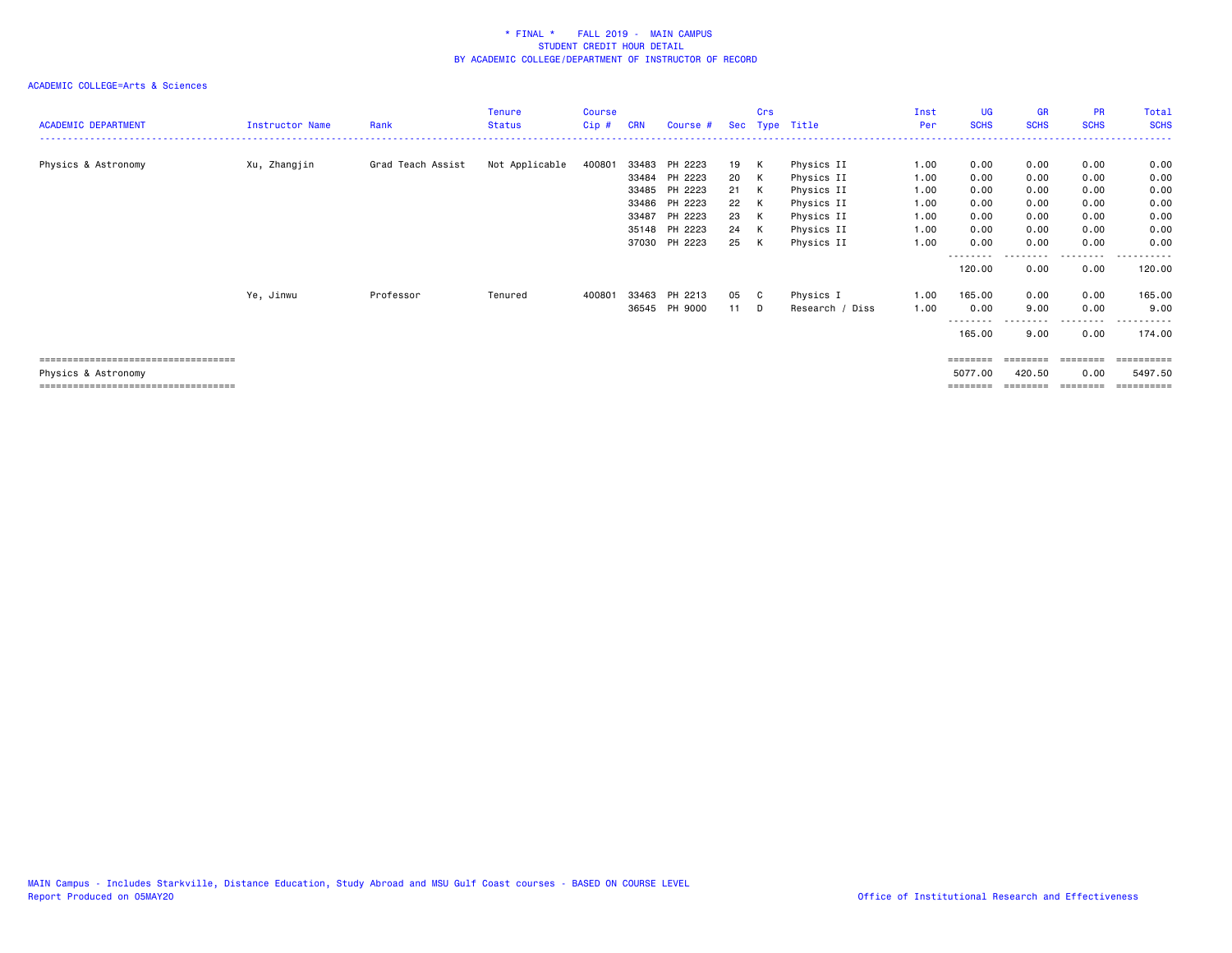| <b>ACADEMIC DEPARTMENT</b>                                                                        | Instructor Name | Rank              | <b>Tenure</b><br><b>Status</b> | Course<br>Cip# | <b>CRN</b>     | Course #                                                                                                | Sec                                    | Crs                             | Type Title                                                                                     | Inst<br>Per                                          | UG<br><b>SCHS</b>                                    | GR<br><b>SCHS</b>                                    | <b>PR</b><br><b>SCHS</b>                             | Total<br><b>SCHS</b>                                 |
|---------------------------------------------------------------------------------------------------|-----------------|-------------------|--------------------------------|----------------|----------------|---------------------------------------------------------------------------------------------------------|----------------------------------------|---------------------------------|------------------------------------------------------------------------------------------------|------------------------------------------------------|------------------------------------------------------|------------------------------------------------------|------------------------------------------------------|------------------------------------------------------|
| Physics & Astronomy                                                                               | Xu, Zhangjin    | Grad Teach Assist | Not Applicable                 | 400801         | 33483<br>33487 | PH 2223<br>33484 PH 2223<br>33485 PH 2223<br>33486 PH 2223<br>PH 2223<br>35148 PH 2223<br>37030 PH 2223 | 19<br>20<br>21<br>22<br>23<br>24<br>25 | K<br>K<br>K<br>K<br>K<br>K<br>K | Physics II<br>Physics II<br>Physics II<br>Physics II<br>Physics II<br>Physics II<br>Physics II | 1.00<br>1.00<br>1.00<br>1.00<br>1.00<br>1.00<br>1.00 | 0.00<br>0.00<br>0.00<br>0.00<br>0.00<br>0.00<br>0.00 | 0.00<br>0.00<br>0.00<br>0.00<br>0.00<br>0.00<br>0.00 | 0.00<br>0.00<br>0.00<br>0.00<br>0.00<br>0.00<br>0.00 | 0.00<br>0.00<br>0.00<br>0.00<br>0.00<br>0.00<br>0.00 |
|                                                                                                   | Ye, Jinwu       | Professor         | Tenured                        | 400801         | 33463          | PH 2213<br>36545 PH 9000                                                                                | 05<br>11                               | C.<br>D                         | Physics I<br>Research / Diss                                                                   | 1.00<br>1.00                                         | --------<br>120.00<br>165.00<br>0.00                 | ---------<br>0.00<br>0.00<br>9.00                    | .<br>0.00<br>0.00<br>0.00                            | .<br>120.00<br>165.00<br>9.00                        |
| ----------------------------------<br>Physics & Astronomy<br>==================================== |                 |                   |                                |                |                |                                                                                                         |                                        |                                 |                                                                                                |                                                      | --------<br>165.00<br>========<br>5077.00            | 9.00<br>========<br>420.50                           | . <b>.</b><br>0.00<br>========<br>0.00               | .<br>174.00<br>==========<br>5497.50                 |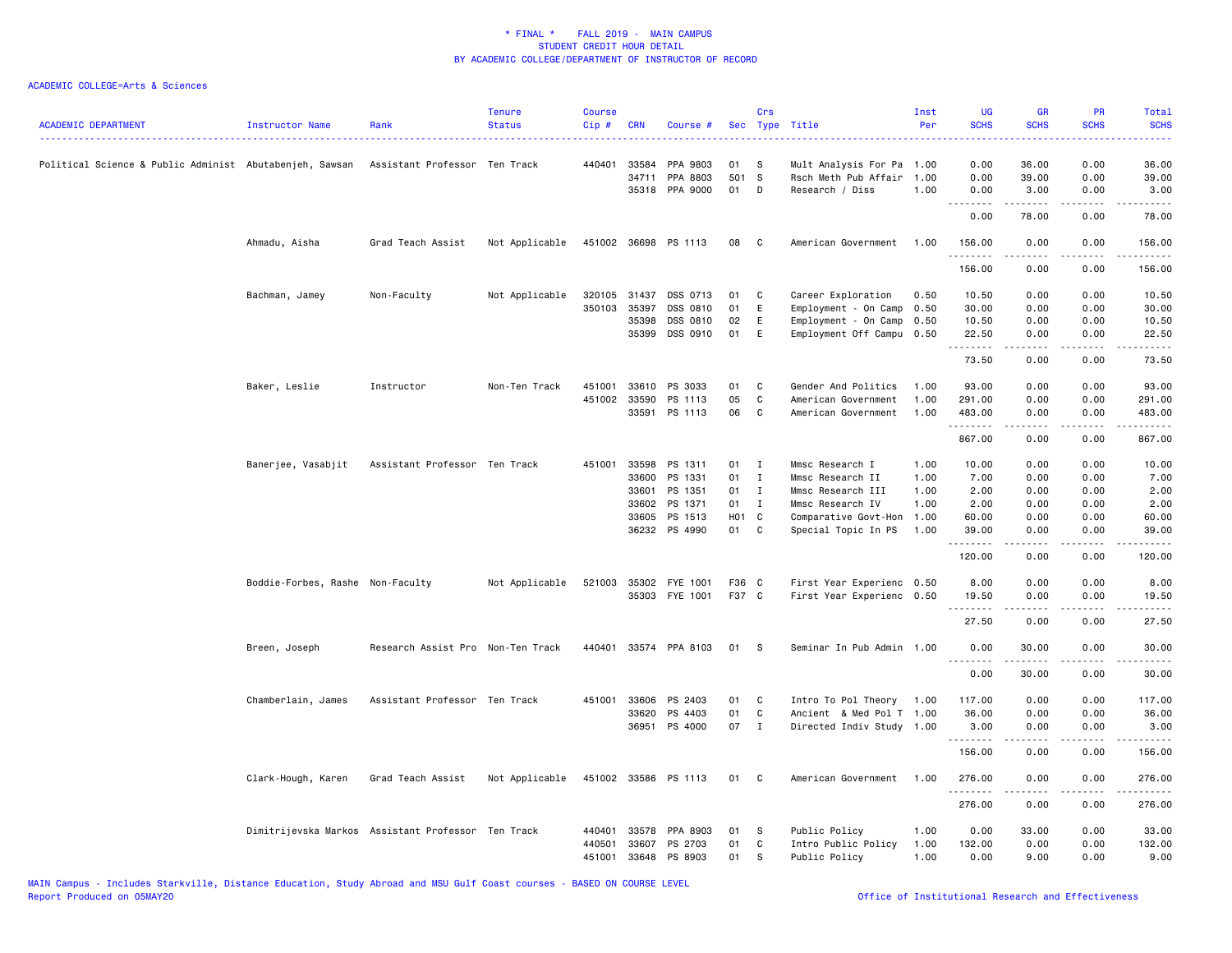| <b>ACADEMIC DEPARTMENT</b>                                                            | Instructor Name                  | Rank                                               | <b>Tenure</b><br><b>Status</b> | <b>Course</b><br>Cip # | <b>CRN</b>   | Course #                   |                   | Crs          | Sec Type Title                          | Inst<br>Per  | <b>UG</b><br><b>SCHS</b> | <b>GR</b><br><b>SCHS</b>                                                                                                                                     | PR<br><b>SCHS</b>                   | Total<br><b>SCHS</b><br>$\frac{1}{2} \left( \frac{1}{2} \right) \left( \frac{1}{2} \right) \left( \frac{1}{2} \right) \left( \frac{1}{2} \right)$ |
|---------------------------------------------------------------------------------------|----------------------------------|----------------------------------------------------|--------------------------------|------------------------|--------------|----------------------------|-------------------|--------------|-----------------------------------------|--------------|--------------------------|--------------------------------------------------------------------------------------------------------------------------------------------------------------|-------------------------------------|---------------------------------------------------------------------------------------------------------------------------------------------------|
| Political Science & Public Administ Abutabenjeh, Sawsan Assistant Professor Ten Track |                                  |                                                    |                                |                        | 440401 33584 | PPA 9803                   | <b>01</b>         | - S          | Mult Analysis For Pa 1.00               |              | 0.00                     | 36.00                                                                                                                                                        | 0.00                                | 36.00                                                                                                                                             |
|                                                                                       |                                  |                                                    |                                |                        | 34711        | PPA 8803<br>35318 PPA 9000 | 501 S<br>01       | D            | Rsch Meth Pub Affair<br>Research / Diss | 1.00<br>1.00 | 0.00<br>0.00             | 39.00<br>3.00                                                                                                                                                | 0.00<br>0.00                        | 39.00<br>3.00                                                                                                                                     |
|                                                                                       |                                  |                                                    |                                |                        |              |                            |                   |              |                                         |              | .<br>0.00                | $\sim$ 200 $\sim$ 200<br>78.00                                                                                                                               | .<br>0.00                           | $\sim$ $\sim$ $\sim$ $\sim$ $\sim$<br>78.00                                                                                                       |
|                                                                                       | Ahmadu, Aisha                    | Grad Teach Assist                                  | Not Applicable                 |                        |              | 451002 36698 PS 1113       | 08                | $\mathbf{C}$ | American Government                     | 1.00         | 156.00<br>.              | 0.00<br>.                                                                                                                                                    | 0.00<br>$\frac{1}{2}$               | 156.00<br><u>.</u>                                                                                                                                |
|                                                                                       |                                  |                                                    |                                |                        |              |                            |                   |              |                                         |              | 156.00                   | 0.00                                                                                                                                                         | 0.00                                | 156.00                                                                                                                                            |
|                                                                                       | Bachman, Jamey                   | Non-Faculty                                        | Not Applicable                 | 320105                 | 31437        | DSS 0713                   | 01                | C            | Career Exploration                      | 0.50         | 10.50                    | 0.00                                                                                                                                                         | 0.00                                | 10.50                                                                                                                                             |
|                                                                                       |                                  |                                                    |                                | 350103                 | 35397        | DSS 0810                   | 01                | E            | Employment - On Camp                    | 0.50         | 30.00                    | 0.00                                                                                                                                                         | 0.00                                | 30.00                                                                                                                                             |
|                                                                                       |                                  |                                                    |                                |                        | 35398        | DSS 0810                   | 02                | E            | Employment - On Camp                    | 0.50         | 10.50                    | 0.00                                                                                                                                                         | 0.00                                | 10.50                                                                                                                                             |
|                                                                                       |                                  |                                                    |                                |                        | 35399        | DSS 0910                   | 01                | E            | Employment Off Campu 0.50               |              | 22.50<br>.               | 0.00<br>-----                                                                                                                                                | 0.00<br>.                           | 22.50<br>.                                                                                                                                        |
|                                                                                       |                                  |                                                    |                                |                        |              |                            |                   |              |                                         |              | 73.50                    | 0.00                                                                                                                                                         | 0.00                                | 73.50                                                                                                                                             |
|                                                                                       | Baker, Leslie                    | Instructor                                         | Non-Ten Track                  | 451001                 | 33610        | PS 3033                    | 01                | C            | Gender And Politics                     | 1.00         | 93.00                    | 0.00                                                                                                                                                         | 0.00                                | 93.00                                                                                                                                             |
|                                                                                       |                                  |                                                    |                                |                        | 451002 33590 | PS 1113                    | 05                | C            | American Government                     | 1.00         | 291.00                   | 0.00                                                                                                                                                         | 0.00                                | 291.00                                                                                                                                            |
|                                                                                       |                                  |                                                    |                                |                        |              | 33591 PS 1113              | 06                | C.           | American Government                     | 1.00         | 483.00<br>.              | 0.00<br><u>.</u>                                                                                                                                             | 0.00<br>.                           | 483.00<br><u>.</u>                                                                                                                                |
|                                                                                       |                                  |                                                    |                                |                        |              |                            |                   |              |                                         |              | 867.00                   | 0.00                                                                                                                                                         | 0.00                                | 867.00                                                                                                                                            |
|                                                                                       | Banerjee, Vasabjit               | Assistant Professor Ten Track                      |                                |                        | 451001 33598 | PS 1311                    | 01 I              |              | Mmsc Research I                         | 1.00         | 10.00                    | 0.00                                                                                                                                                         | 0.00                                | 10.00                                                                                                                                             |
|                                                                                       |                                  |                                                    |                                |                        | 33600        | PS 1331                    | 01                | I            | Mmsc Research II                        | 1.00         | 7.00                     | 0.00                                                                                                                                                         | 0.00                                | 7.00                                                                                                                                              |
|                                                                                       |                                  |                                                    |                                |                        | 33601        | PS 1351                    | 01                | $\mathbf I$  | Mmsc Research III                       | 1.00         | 2.00                     | 0.00                                                                                                                                                         | 0.00                                | 2.00                                                                                                                                              |
|                                                                                       |                                  |                                                    |                                |                        |              | 33602 PS 1371              | 01 I              |              | Mmsc Research IV                        | 1.00         | 2.00                     | 0.00                                                                                                                                                         | 0.00                                | 2.00                                                                                                                                              |
|                                                                                       |                                  |                                                    |                                |                        | 33605        | PS 1513                    | H <sub>01</sub> C |              | Comparative Govt-Hon                    | 1.00         | 60.00                    | 0.00                                                                                                                                                         | 0.00                                | 60.00                                                                                                                                             |
|                                                                                       |                                  |                                                    |                                |                        |              | 36232 PS 4990              | 01                | $\mathbf{C}$ | Special Topic In PS                     | 1.00         | 39.00<br>.               | 0.00                                                                                                                                                         | 0.00<br>$\sim$ $\sim$ $\sim$ $\sim$ | 39.00<br>.                                                                                                                                        |
|                                                                                       |                                  |                                                    |                                |                        |              |                            |                   |              |                                         |              | 120.00                   | 0.00                                                                                                                                                         | 0.00                                | 120.00                                                                                                                                            |
|                                                                                       | Boddie-Forbes, Rashe Non-Faculty |                                                    | Not Applicable                 | 521003                 |              | 35302 FYE 1001             | F36 C             |              | First Year Experienc 0.50               |              | 8.00                     | 0.00                                                                                                                                                         | 0.00                                | 8.00                                                                                                                                              |
|                                                                                       |                                  |                                                    |                                |                        |              | 35303 FYE 1001             | F37 C             |              | First Year Experienc 0.50               |              | 19.50<br>.               | 0.00<br>$\frac{1}{2} \left( \frac{1}{2} \right) \left( \frac{1}{2} \right) \left( \frac{1}{2} \right) \left( \frac{1}{2} \right) \left( \frac{1}{2} \right)$ | 0.00<br>.                           | 19.50<br>.                                                                                                                                        |
|                                                                                       |                                  |                                                    |                                |                        |              |                            |                   |              |                                         |              | 27.50                    | 0.00                                                                                                                                                         | 0.00                                | 27.50                                                                                                                                             |
|                                                                                       | Breen, Joseph                    | Research Assist Pro Non-Ten Track                  |                                | 440401                 |              | 33574 PPA 8103             | 01                | <b>S</b>     | Seminar In Pub Admin 1.00               |              | 0.00<br><u>.</u>         | 30.00<br>.                                                                                                                                                   | 0.00<br>.                           | 30.00<br>.                                                                                                                                        |
|                                                                                       |                                  |                                                    |                                |                        |              |                            |                   |              |                                         |              | 0.00                     | 30.00                                                                                                                                                        | 0.00                                | 30.00                                                                                                                                             |
|                                                                                       | Chamberlain, James               | Assistant Professor Ten Track                      |                                | 451001                 | 33606        | PS 2403                    | 01                | C            | Intro To Pol Theory                     | 1.00         | 117.00                   | 0.00                                                                                                                                                         | 0.00                                | 117.00                                                                                                                                            |
|                                                                                       |                                  |                                                    |                                |                        | 33620        | PS 4403                    | 01                | $\mathbf{C}$ | Ancient & Med Pol T 1.00                |              | 36.00                    | 0.00                                                                                                                                                         | 0.00                                | 36.00                                                                                                                                             |
|                                                                                       |                                  |                                                    |                                |                        |              | 36951 PS 4000              | 07 I              |              | Directed Indiv Study 1.00               |              | 3.00<br>.                | 0.00                                                                                                                                                         | 0.00                                | 3.00                                                                                                                                              |
|                                                                                       |                                  |                                                    |                                |                        |              |                            |                   |              |                                         |              | 156.00                   | 0.00                                                                                                                                                         | 0.00                                | 156.00                                                                                                                                            |
|                                                                                       | Clark-Hough, Karen               | Grad Teach Assist                                  | Not Applicable                 |                        |              | 451002 33586 PS 1113       | 01 C              |              | American Government 1.00                |              | 276.00<br>.              | 0.00<br>.                                                                                                                                                    | 0.00<br>.                           | 276.00<br>$- - - - - -$                                                                                                                           |
|                                                                                       |                                  |                                                    |                                |                        |              |                            |                   |              |                                         |              | 276.00                   | 0.00                                                                                                                                                         | 0.00                                | 276.00                                                                                                                                            |
|                                                                                       |                                  | Dimitrijevska Markos Assistant Professor Ten Track |                                | 440401                 |              | 33578 PPA 8903             | 01                | s            | Public Policy                           | 1.00         | 0.00                     | 33.00                                                                                                                                                        | 0.00                                | 33.00                                                                                                                                             |
|                                                                                       |                                  |                                                    |                                | 440501                 | 33607        | PS 2703                    | 01                | C            | Intro Public Policy                     | 1.00         | 132.00                   | 0.00                                                                                                                                                         | 0.00                                | 132.00                                                                                                                                            |
|                                                                                       |                                  |                                                    |                                | 451001                 |              | 33648 PS 8903              | 01                | s            | Public Policy                           | 1.00         | 0.00                     | 9.00                                                                                                                                                         | 0.00                                | 9.00                                                                                                                                              |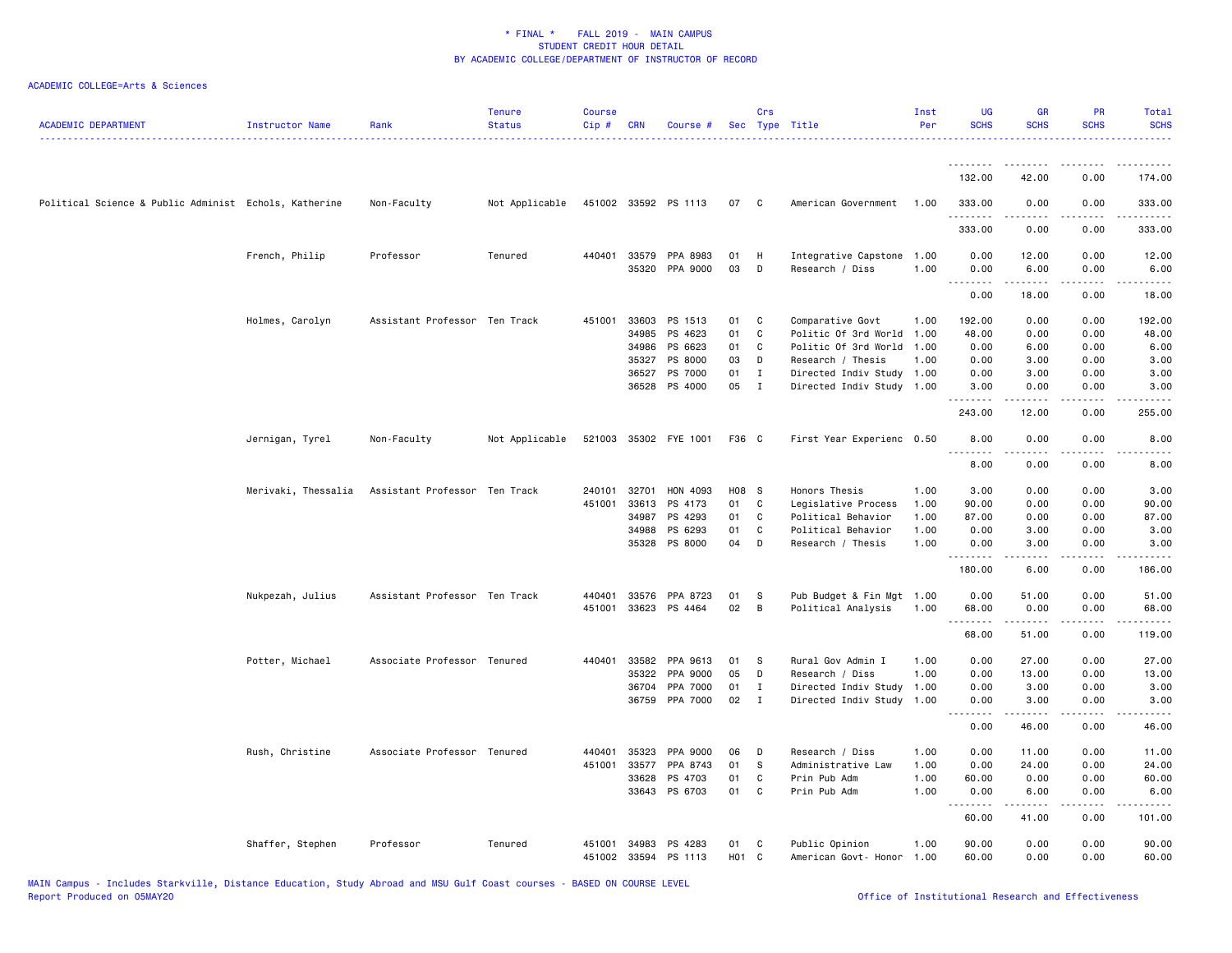| <b>ACADEMIC DEPARTMENT</b>                            | Instructor Name     | Rank                          | <b>Tenure</b><br><b>Status</b> | <b>Course</b><br>Cip# | <b>CRN</b> | Course #              |       | Crs          | Sec Type Title            | Inst<br>Per | <b>UG</b><br><b>SCHS</b> | <b>GR</b><br><b>SCHS</b>                                                                                                                                      | <b>PR</b><br><b>SCHS</b> | Total<br><b>SCHS</b>            |
|-------------------------------------------------------|---------------------|-------------------------------|--------------------------------|-----------------------|------------|-----------------------|-------|--------------|---------------------------|-------------|--------------------------|---------------------------------------------------------------------------------------------------------------------------------------------------------------|--------------------------|---------------------------------|
|                                                       |                     |                               |                                |                       |            |                       |       |              |                           |             | <u>.</u><br>132.00       | $\frac{1}{2} \left( \frac{1}{2} \right) \left( \frac{1}{2} \right) \left( \frac{1}{2} \right) \left( \frac{1}{2} \right) \left( \frac{1}{2} \right)$<br>42.00 | 0.00                     | 174.00                          |
| Political Science & Public Administ Echols, Katherine |                     | Non-Faculty                   | Not Applicable                 |                       |            | 451002 33592 PS 1113  | 07    | $\mathbf{C}$ | American Government       | 1.00        | 333.00                   | 0.00                                                                                                                                                          | 0.00                     | 333.00                          |
|                                                       |                     |                               |                                |                       |            |                       |       |              |                           |             | 333.00                   | 0.00                                                                                                                                                          | 0.00                     | 333.00                          |
|                                                       | French, Philip      | Professor                     | Tenured                        |                       |            | 440401 33579 PPA 8983 | 01    | H            | Integrative Capstone      | 1.00        | 0.00                     | 12.00                                                                                                                                                         | 0.00                     | 12.00                           |
|                                                       |                     |                               |                                |                       |            | 35320 PPA 9000        | 03    | D            | Research / Diss           | 1.00        | 0.00                     | 6.00                                                                                                                                                          | 0.00                     | 6.00                            |
|                                                       |                     |                               |                                |                       |            |                       |       |              |                           |             | .<br>0.00                | .<br>18.00                                                                                                                                                    | $  -$<br>0.00            | .<br>18.00                      |
|                                                       | Holmes, Carolyn     | Assistant Professor Ten Track |                                | 451001                |            | 33603 PS 1513         | 01    | C            | Comparative Govt          | 1.00        | 192.00                   | 0.00                                                                                                                                                          | 0.00                     | 192.00                          |
|                                                       |                     |                               |                                |                       | 34985      | PS 4623               | 01    | $\mathtt{C}$ | Politic Of 3rd World      | 1.00        | 48.00                    | 0.00                                                                                                                                                          | 0.00                     | 48.00                           |
|                                                       |                     |                               |                                |                       | 34986      | PS 6623               | 01    | C            | Politic Of 3rd World      | 1.00        | 0.00                     | 6.00                                                                                                                                                          | 0.00                     | 6.00                            |
|                                                       |                     |                               |                                |                       | 35327      | PS 8000               | 03    | D            | Research / Thesis         | 1.00        | 0.00                     | 3.00                                                                                                                                                          | 0.00                     | 3.00                            |
|                                                       |                     |                               |                                |                       | 36527      | PS 7000               | 01    | $\mathbf I$  | Directed Indiv Study 1.00 |             | 0.00                     | 3.00                                                                                                                                                          | 0.00                     | 3.00                            |
|                                                       |                     |                               |                                |                       | 36528      | PS 4000               | 05    | $\mathbf{I}$ | Directed Indiv Study      | 1.00        | 3.00<br>.                | 0.00                                                                                                                                                          | 0.00                     | 3.00                            |
|                                                       |                     |                               |                                |                       |            |                       |       |              |                           |             | 243.00                   | 12.00                                                                                                                                                         | 0.00                     | 255.00                          |
|                                                       | Jernigan, Tyrel     | Non-Faculty                   | Not Applicable                 |                       |            | 521003 35302 FYE 1001 | F36 C |              | First Year Experienc 0.50 |             | 8.00<br><u>.</u>         | 0.00                                                                                                                                                          | 0.00                     | 8.00                            |
|                                                       |                     |                               |                                |                       |            |                       |       |              |                           |             | 8.00                     | 0.00                                                                                                                                                          | 0.00                     | 8.00                            |
|                                                       | Merivaki, Thessalia | Assistant Professor Ten Track |                                | 240101                | 32701      | HON 4093              | H08 S |              | Honors Thesis             | 1.00        | 3.00                     | 0.00                                                                                                                                                          | 0.00                     | 3.00                            |
|                                                       |                     |                               |                                | 451001                | 33613      | PS 4173               | 01    | C            | Legislative Process       | 1.00        | 90.00                    | 0.00                                                                                                                                                          | 0.00                     | 90.00                           |
|                                                       |                     |                               |                                |                       | 34987      | PS 4293               | 01    | C            | Political Behavior        | 1.00        | 87.00                    | 0.00                                                                                                                                                          | 0.00                     | 87.00                           |
|                                                       |                     |                               |                                |                       | 34988      | PS 6293               | 01    | C            | Political Behavior        | 1.00        | 0.00                     | 3.00                                                                                                                                                          | 0.00                     | 3.00                            |
|                                                       |                     |                               |                                |                       |            | 35328 PS 8000         | 04    | D            | Research / Thesis         | 1.00        | 0.00<br>.                | 3.00<br>-----                                                                                                                                                 | 0.00<br>.                | 3.00<br>-----                   |
|                                                       |                     |                               |                                |                       |            |                       |       |              |                           |             | 180.00                   | 6.00                                                                                                                                                          | 0.00                     | 186.00                          |
|                                                       | Nukpezah, Julius    | Assistant Professor Ten Track |                                | 440401                | 33576      | PPA 8723              | 01    | S            | Pub Budget & Fin Mgt      | 1.00        | 0.00                     | 51.00                                                                                                                                                         | 0.00                     | 51.00                           |
|                                                       |                     |                               |                                | 451001                | 33623      | PS 4464               | 02    | B            | Political Analysis        | 1.00        | 68.00                    | 0.00                                                                                                                                                          | 0.00                     | 68.00                           |
|                                                       |                     |                               |                                |                       |            |                       |       |              |                           |             | 1.1.1.1.1<br>68.00       | $\begin{array}{cccccccccc} \bullet & \bullet & \bullet & \bullet & \bullet & \bullet \end{array}$<br>51.00                                                    | د د د د<br>0.00          | .<br>119.00                     |
|                                                       |                     |                               |                                | 440401                | 33582      | PPA 9613              | 01    | S            | Rural Gov Admin I         | 1.00        | 0.00                     | 27.00                                                                                                                                                         | 0.00                     |                                 |
|                                                       | Potter, Michael     | Associate Professor Tenured   |                                |                       | 35322      | PPA 9000              | 05    | D            | Research / Diss           | 1.00        | 0.00                     | 13.00                                                                                                                                                         | 0.00                     | 27.00<br>13.00                  |
|                                                       |                     |                               |                                |                       | 36704      | PPA 7000              | 01    | Ι.           | Directed Indiv Study      | 1.00        | 0.00                     | 3.00                                                                                                                                                          | 0.00                     | 3.00                            |
|                                                       |                     |                               |                                |                       |            | 36759 PPA 7000        | 02    | $\mathbf{I}$ | Directed Indiv Study      | 1.00        | 0.00                     | 3.00                                                                                                                                                          | 0.00                     | 3.00                            |
|                                                       |                     |                               |                                |                       |            |                       |       |              |                           |             | .<br>0.00                | $\begin{array}{cccccccccc} \bullet & \bullet & \bullet & \bullet & \bullet & \bullet \end{array}$<br>46.00                                                    | د د د د<br>0.00          | $\omega$ is a $\omega$<br>46.00 |
|                                                       | Rush, Christine     | Associate Professor Tenured   |                                | 440401                | 35323      | PPA 9000              | 06    | D            | Research / Diss           | 1.00        | 0.00                     | 11.00                                                                                                                                                         | 0.00                     | 11.00                           |
|                                                       |                     |                               |                                | 451001                | 33577      | PPA 8743              | 01    | S            | Administrative Law        | 1.00        | 0.00                     | 24.00                                                                                                                                                         | 0.00                     | 24.00                           |
|                                                       |                     |                               |                                |                       | 33628      | PS 4703               | 01    | $\mathtt{C}$ | Prin Pub Adm              | 1.00        | 60.00                    | 0.00                                                                                                                                                          | 0.00                     | 60.00                           |
|                                                       |                     |                               |                                |                       | 33643      | PS 6703               | 01    | C            | Prin Pub Adm              | 1.00        | 0.00                     | 6.00                                                                                                                                                          | 0.00                     | 6.00                            |
|                                                       |                     |                               |                                |                       |            |                       |       |              |                           |             | .<br>60.00               | .<br>41.00                                                                                                                                                    | .<br>0.00                | .<br>101.00                     |
|                                                       | Shaffer, Stephen    | Professor                     | Tenured                        | 451001                | 34983      | PS 4283               | 01    | C            | Public Opinion            | 1.00        | 90.00                    | 0.00                                                                                                                                                          | 0.00                     | 90.00                           |
|                                                       |                     |                               |                                | 451002                |            | 33594 PS 1113         | H01 C |              | American Govt- Honor      | 1.00        | 60.00                    | 0.00                                                                                                                                                          | 0.00                     | 60.00                           |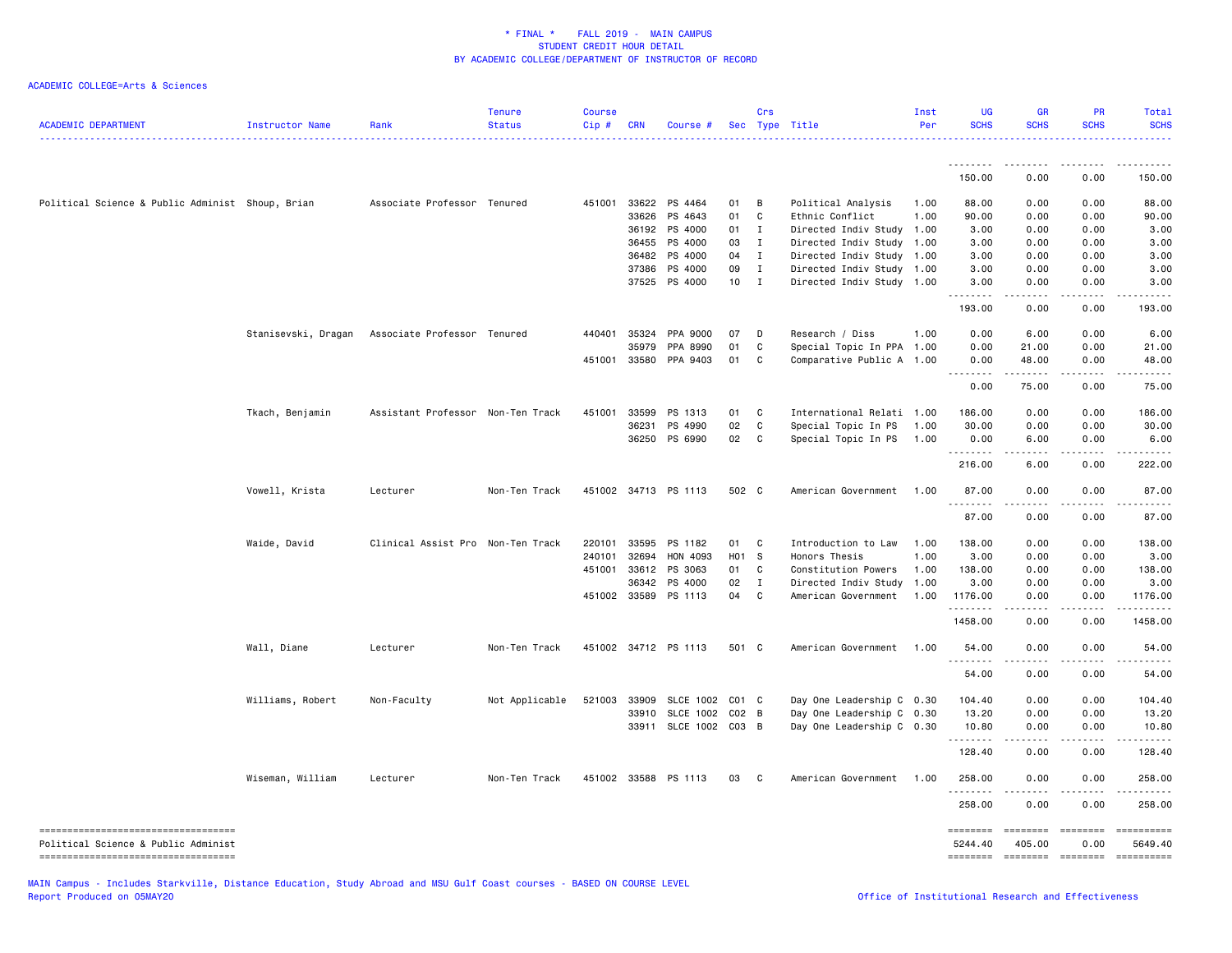| <b>ACADEMIC DEPARTMENT</b>                                                  | Instructor Name     | Rank                              | <b>Tenure</b><br><b>Status</b> | <b>Course</b><br>Cip # | <b>CRN</b>     | Course #              |                 | Crs               | Sec Type Title                                         | Inst<br>Per | <b>UG</b><br><b>SCHS</b> | <b>GR</b><br><b>SCHS</b>                                                                                                                                      | PR<br><b>SCHS</b>       | Total<br><b>SCHS</b>                                                                                                                                                                                                                                                                                                                                                                                                                                                                |
|-----------------------------------------------------------------------------|---------------------|-----------------------------------|--------------------------------|------------------------|----------------|-----------------------|-----------------|-------------------|--------------------------------------------------------|-------------|--------------------------|---------------------------------------------------------------------------------------------------------------------------------------------------------------|-------------------------|-------------------------------------------------------------------------------------------------------------------------------------------------------------------------------------------------------------------------------------------------------------------------------------------------------------------------------------------------------------------------------------------------------------------------------------------------------------------------------------|
|                                                                             |                     |                                   |                                |                        |                |                       |                 |                   |                                                        |             | <u>.</u><br>150.00       | 0.00                                                                                                                                                          | - - - -<br>0.00         | 150.00                                                                                                                                                                                                                                                                                                                                                                                                                                                                              |
|                                                                             |                     |                                   |                                |                        |                |                       |                 |                   |                                                        |             |                          |                                                                                                                                                               |                         |                                                                                                                                                                                                                                                                                                                                                                                                                                                                                     |
| Political Science & Public Administ Shoup, Brian                            |                     | Associate Professor Tenured       |                                | 451001                 |                | 33622 PS 4464         | 01              | B                 | Political Analysis                                     | 1.00        | 88.00                    | 0.00                                                                                                                                                          | 0.00                    | 88.00                                                                                                                                                                                                                                                                                                                                                                                                                                                                               |
|                                                                             |                     |                                   |                                |                        | 33626          | PS 4643               | 01              | C                 | Ethnic Conflict                                        | 1.00        | 90.00                    | 0.00                                                                                                                                                          | 0.00                    | 90.00                                                                                                                                                                                                                                                                                                                                                                                                                                                                               |
|                                                                             |                     |                                   |                                |                        |                | 36192 PS 4000         | 01 I            |                   | Directed Indiv Study                                   | 1.00        | 3.00                     | 0.00                                                                                                                                                          | 0.00                    | 3.00                                                                                                                                                                                                                                                                                                                                                                                                                                                                                |
|                                                                             |                     |                                   |                                |                        | 36455          | PS 4000               | 03              | $\mathbf{I}$      | Directed Indiv Study 1.00                              |             | 3.00                     | 0.00                                                                                                                                                          | 0.00                    | 3.00                                                                                                                                                                                                                                                                                                                                                                                                                                                                                |
|                                                                             |                     |                                   |                                |                        | 36482<br>37386 | PS 4000<br>PS 4000    | 04<br>09        | $\mathbf{I}$<br>I | Directed Indiv Study 1.00<br>Directed Indiv Study 1.00 |             | 3.00<br>3.00             | 0.00<br>0.00                                                                                                                                                  | 0.00<br>0.00            | 3.00<br>3.00                                                                                                                                                                                                                                                                                                                                                                                                                                                                        |
|                                                                             |                     |                                   |                                |                        |                | 37525 PS 4000         | 10 <sub>1</sub> | $\mathbf{I}$      | Directed Indiv Study 1.00                              |             | 3.00                     | 0.00                                                                                                                                                          | 0.00                    | 3.00                                                                                                                                                                                                                                                                                                                                                                                                                                                                                |
|                                                                             |                     |                                   |                                |                        |                |                       |                 |                   |                                                        |             | .<br>193.00              | .<br>0.00                                                                                                                                                     | .<br>0.00               | .<br>193.00                                                                                                                                                                                                                                                                                                                                                                                                                                                                         |
|                                                                             | Stanisevski, Dragan | Associate Professor Tenured       |                                | 440401                 | 35324          | PPA 9000              | 07              | D                 | Research / Diss                                        | 1.00        | 0.00                     | 6.00                                                                                                                                                          | 0.00                    | 6.00                                                                                                                                                                                                                                                                                                                                                                                                                                                                                |
|                                                                             |                     |                                   |                                |                        | 35979          | PPA 8990              | 01              | C                 | Special Topic In PPA 1.00                              |             | 0.00                     | 21.00                                                                                                                                                         | 0.00                    | 21.00                                                                                                                                                                                                                                                                                                                                                                                                                                                                               |
|                                                                             |                     |                                   |                                | 451001                 |                | 33580 PPA 9403        | 01              | C                 | Comparative Public A 1.00                              |             | 0.00<br><u>.</u>         | 48.00<br>$\frac{1}{2} \left( \frac{1}{2} \right) \left( \frac{1}{2} \right) \left( \frac{1}{2} \right) \left( \frac{1}{2} \right) \left( \frac{1}{2} \right)$ | 0.00<br>.               | 48.00<br>.                                                                                                                                                                                                                                                                                                                                                                                                                                                                          |
|                                                                             |                     |                                   |                                |                        |                |                       |                 |                   |                                                        |             | 0.00                     | 75.00                                                                                                                                                         | 0.00                    | 75.00                                                                                                                                                                                                                                                                                                                                                                                                                                                                               |
|                                                                             | Tkach, Benjamin     | Assistant Professor Non-Ten Track |                                | 451001                 | 33599          | PS 1313               | 01              | C                 | International Relati                                   | 1.00        | 186.00                   | 0.00                                                                                                                                                          | 0.00                    | 186.00                                                                                                                                                                                                                                                                                                                                                                                                                                                                              |
|                                                                             |                     |                                   |                                |                        | 36231          | PS 4990               | 02              | C                 | Special Topic In PS                                    | 1.00        | 30.00                    | 0.00                                                                                                                                                          | 0.00                    | 30.00                                                                                                                                                                                                                                                                                                                                                                                                                                                                               |
|                                                                             |                     |                                   |                                |                        |                | 36250 PS 6990         | 02              | $\mathbf{C}$      | Special Topic In PS                                    | 1.00        | 0.00<br>.                | 6.00                                                                                                                                                          | 0.00<br>.               | 6.00<br>.                                                                                                                                                                                                                                                                                                                                                                                                                                                                           |
|                                                                             |                     |                                   |                                |                        |                |                       |                 |                   |                                                        |             | 216.00                   | 6.00                                                                                                                                                          | 0.00                    | 222.00                                                                                                                                                                                                                                                                                                                                                                                                                                                                              |
|                                                                             | Vowell, Krista      | Lecturer                          | Non-Ten Track                  |                        |                | 451002 34713 PS 1113  | 502 C           |                   | American Government                                    | 1.00        | 87.00<br>.               | 0.00                                                                                                                                                          | 0.00                    | 87.00                                                                                                                                                                                                                                                                                                                                                                                                                                                                               |
|                                                                             |                     |                                   |                                |                        |                |                       |                 |                   |                                                        |             | 87.00                    | 0.00                                                                                                                                                          | 0.00                    | 87.00                                                                                                                                                                                                                                                                                                                                                                                                                                                                               |
|                                                                             | Waide, David        | Clinical Assist Pro Non-Ten Track |                                | 220101                 | 33595          | PS 1182               | 01              | C                 | Introduction to Law                                    | 1.00        | 138.00                   | 0.00                                                                                                                                                          | 0.00                    | 138.00                                                                                                                                                                                                                                                                                                                                                                                                                                                                              |
|                                                                             |                     |                                   |                                | 240101                 | 32694          | HON 4093              | H01 S           |                   | Honors Thesis                                          | 1.00        | 3.00                     | 0.00                                                                                                                                                          | 0.00                    | 3.00                                                                                                                                                                                                                                                                                                                                                                                                                                                                                |
|                                                                             |                     |                                   |                                | 451001                 | 33612          | PS 3063               | 01              | C                 | Constitution Powers                                    | 1.00        | 138.00                   | 0.00                                                                                                                                                          | 0.00                    | 138.00                                                                                                                                                                                                                                                                                                                                                                                                                                                                              |
|                                                                             |                     |                                   |                                |                        | 36342          | PS 4000               | 02              | $\mathbf{I}$      | Directed Indiv Study                                   | 1.00        | 3.00                     | 0.00                                                                                                                                                          | 0.00                    | 3.00                                                                                                                                                                                                                                                                                                                                                                                                                                                                                |
|                                                                             |                     |                                   |                                |                        |                | 451002 33589 PS 1113  | 04              | C                 | American Government                                    | 1.00        | 1176.00<br>.             | 0.00                                                                                                                                                          | 0.00<br>$   -$          | 1176.00<br>.                                                                                                                                                                                                                                                                                                                                                                                                                                                                        |
|                                                                             |                     |                                   |                                |                        |                |                       |                 |                   |                                                        |             | 1458.00                  | 0.00                                                                                                                                                          | 0.00                    | 1458.00                                                                                                                                                                                                                                                                                                                                                                                                                                                                             |
|                                                                             | Wall, Diane         | Lecturer                          | Non-Ten Track                  |                        |                | 451002 34712 PS 1113  | 501 C           |                   | American Government                                    | 1.00        | 54.00<br>--------        | 0.00<br>.                                                                                                                                                     | 0.00<br>.               | 54,00<br>.                                                                                                                                                                                                                                                                                                                                                                                                                                                                          |
|                                                                             |                     |                                   |                                |                        |                |                       |                 |                   |                                                        |             | 54.00                    | 0.00                                                                                                                                                          | 0.00                    | 54.00                                                                                                                                                                                                                                                                                                                                                                                                                                                                               |
|                                                                             | Williams, Robert    | Non-Faculty                       | Not Applicable                 | 521003                 | 33909          | SLCE 1002 C01 C       |                 |                   | Day One Leadership C 0.30                              |             | 104.40                   | 0.00                                                                                                                                                          | 0.00                    | 104.40                                                                                                                                                                                                                                                                                                                                                                                                                                                                              |
|                                                                             |                     |                                   |                                |                        | 33910          | SLCE 1002             | $CO2$ B         |                   | Day One Leadership C 0.30                              |             | 13.20                    | 0.00                                                                                                                                                          | 0.00                    | 13.20                                                                                                                                                                                                                                                                                                                                                                                                                                                                               |
|                                                                             |                     |                                   |                                |                        |                | 33911 SLCE 1002 C03 B |                 |                   | Day One Leadership C 0.30                              |             | 10.80<br>.               | 0.00<br>-----                                                                                                                                                 | 0.00<br>.               | 10.80<br>$\frac{1}{2} \left( \frac{1}{2} \right) \left( \frac{1}{2} \right) \left( \frac{1}{2} \right) \left( \frac{1}{2} \right) \left( \frac{1}{2} \right) \left( \frac{1}{2} \right) \left( \frac{1}{2} \right) \left( \frac{1}{2} \right) \left( \frac{1}{2} \right) \left( \frac{1}{2} \right) \left( \frac{1}{2} \right) \left( \frac{1}{2} \right) \left( \frac{1}{2} \right) \left( \frac{1}{2} \right) \left( \frac{1}{2} \right) \left( \frac{1}{2} \right) \left( \frac$ |
|                                                                             |                     |                                   |                                |                        |                |                       |                 |                   |                                                        |             | 128.40                   | 0.00                                                                                                                                                          | 0.00                    | 128.40                                                                                                                                                                                                                                                                                                                                                                                                                                                                              |
|                                                                             | Wiseman, William    | Lecturer                          | Non-Ten Track                  |                        |                | 451002 33588 PS 1113  | 03              | C                 | American Government                                    | 1.00        | 258.00<br>.              | 0.00<br>.                                                                                                                                                     | 0.00<br>.               | 258.00<br>.                                                                                                                                                                                                                                                                                                                                                                                                                                                                         |
|                                                                             |                     |                                   |                                |                        |                |                       |                 |                   |                                                        |             | 258.00                   | 0.00                                                                                                                                                          | 0.00                    | 258.00                                                                                                                                                                                                                                                                                                                                                                                                                                                                              |
| ====================================<br>Political Science & Public Administ |                     |                                   |                                |                        |                |                       |                 |                   |                                                        |             | $=$ =======<br>5244.40   | ========<br>405.00                                                                                                                                            | <b>ERRESTED</b><br>0.00 | ==========<br>5649.40                                                                                                                                                                                                                                                                                                                                                                                                                                                               |
| ----------------------------------                                          |                     |                                   |                                |                        |                |                       |                 |                   |                                                        |             | ========                 | <b>CODODDO</b>                                                                                                                                                | $=$                     |                                                                                                                                                                                                                                                                                                                                                                                                                                                                                     |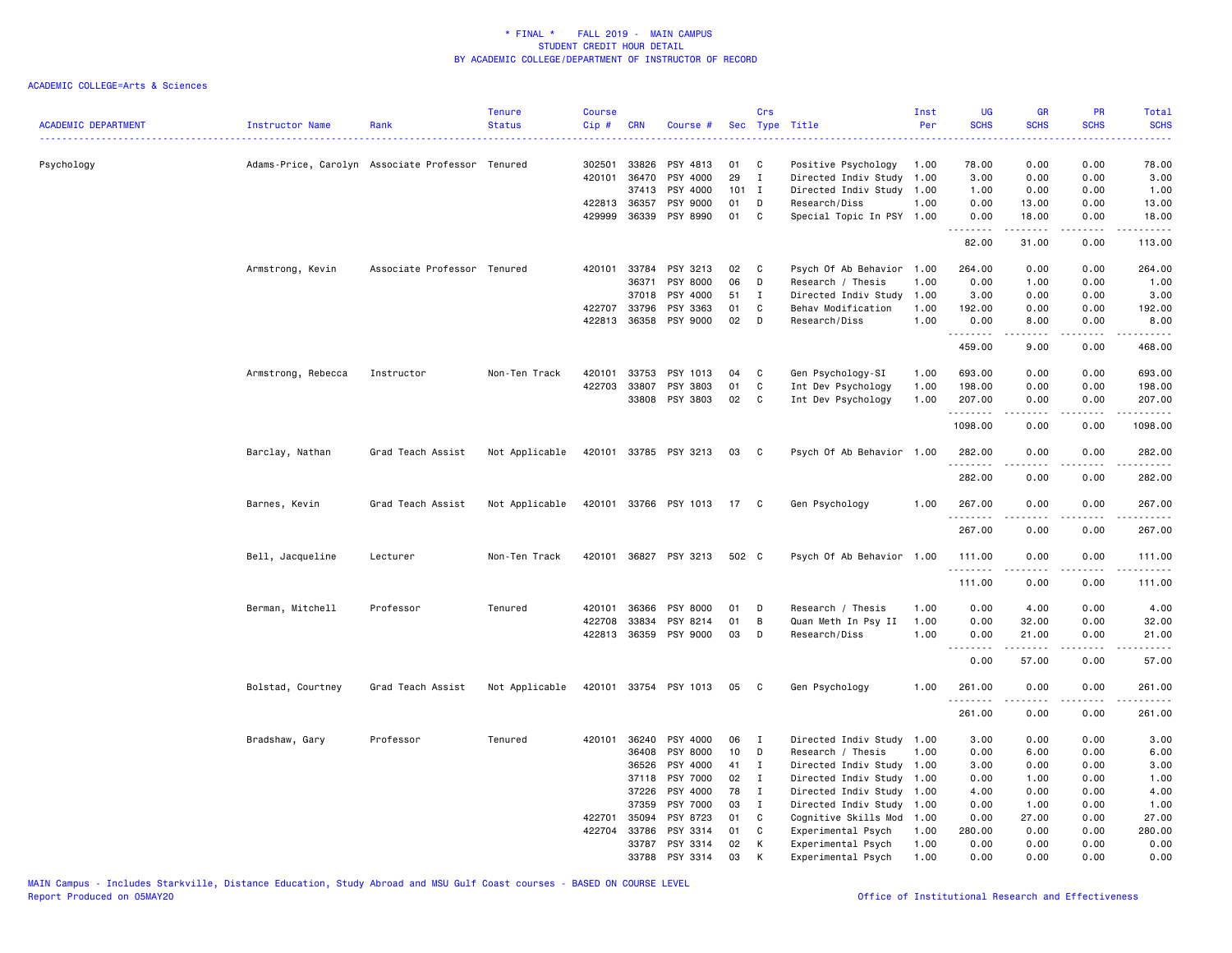| ACADEMIC DEPARTMENT | Instructor Name<br>.                             | Rank                        | <b>Tenure</b><br><b>Status</b> | <b>Course</b><br>Cip# | <b>CRN</b> | Course #              |         | Crs<br>Sec Type Title |                           | Inst<br>Per | <b>UG</b><br><b>SCHS</b>     | <b>GR</b><br><b>SCHS</b> | PR<br><b>SCHS</b>                   | Total<br><b>SCHS</b>                                                                                                                                                                     |
|---------------------|--------------------------------------------------|-----------------------------|--------------------------------|-----------------------|------------|-----------------------|---------|-----------------------|---------------------------|-------------|------------------------------|--------------------------|-------------------------------------|------------------------------------------------------------------------------------------------------------------------------------------------------------------------------------------|
| Psychology          | Adams-Price, Carolyn Associate Professor Tenured |                             |                                | 302501                | 33826      | PSY 4813              | 01      | C                     | Positive Psychology       | 1.00        | 78.00                        | 0.00                     | 0.00                                | 78.00                                                                                                                                                                                    |
|                     |                                                  |                             |                                | 420101                | 36470      | PSY 4000              | 29      | Ι.                    | Directed Indiv Study      | 1.00        | 3.00                         | 0.00                     | 0.00                                | 3.00                                                                                                                                                                                     |
|                     |                                                  |                             |                                |                       | 37413      | PSY 4000              | $101$ I |                       | Directed Indiv Study      | 1.00        | 1.00                         | 0.00                     | 0.00                                | 1.00                                                                                                                                                                                     |
|                     |                                                  |                             |                                | 422813                | 36357      | PSY 9000              | 01      | D                     | Research/Diss             | 1.00        | 0.00                         | 13.00                    | 0.00                                | 13.00                                                                                                                                                                                    |
|                     |                                                  |                             |                                | 429999                |            | 36339 PSY 8990        | 01      | C                     | Special Topic In PSY 1.00 |             | 0.00<br>.                    | 18.00<br>.               | 0.00<br>.                           | 18.00<br>$\frac{1}{2} \left( \frac{1}{2} \right) \left( \frac{1}{2} \right) \left( \frac{1}{2} \right) \left( \frac{1}{2} \right) \left( \frac{1}{2} \right) \left( \frac{1}{2} \right)$ |
|                     |                                                  |                             |                                |                       |            |                       |         |                       |                           |             | 82.00                        | 31.00                    | 0.00                                | 113.00                                                                                                                                                                                   |
|                     | Armstrong, Kevin                                 | Associate Professor Tenured |                                | 420101                | 33784      | PSY 3213              | 02      | C                     | Psych Of Ab Behavior      | 1.00        | 264.00                       | 0.00                     | 0.00                                | 264.00                                                                                                                                                                                   |
|                     |                                                  |                             |                                |                       | 36371      | PSY 8000              | 06      | D                     | Research / Thesis         | 1.00        | 0.00                         | 1.00                     | 0.00                                | 1.00                                                                                                                                                                                     |
|                     |                                                  |                             |                                |                       | 37018      | PSY 4000              | 51      | Ι.                    | Directed Indiv Study      | 1.00        | 3.00                         | 0.00                     | 0.00                                | 3.00                                                                                                                                                                                     |
|                     |                                                  |                             |                                | 422707                | 33796      | PSY 3363              | 01      | C                     | Behav Modification        | 1.00        | 192.00                       | 0.00                     | 0.00                                | 192.00                                                                                                                                                                                   |
|                     |                                                  |                             |                                | 422813                |            | 36358 PSY 9000        | 02      | D                     | Research/Diss             | 1.00        | 0.00                         | 8.00                     | 0.00                                | 8.00                                                                                                                                                                                     |
|                     |                                                  |                             |                                |                       |            |                       |         |                       |                           |             | .<br>459.00                  | .<br>9.00                | .<br>0.00                           | .<br>468.00                                                                                                                                                                              |
|                     | Armstrong, Rebecca                               | Instructor                  | Non-Ten Track                  | 420101                | 33753      | PSY 1013              | 04      | C                     | Gen Psychology-SI         | 1.00        | 693.00                       | 0.00                     | 0.00                                | 693.00                                                                                                                                                                                   |
|                     |                                                  |                             |                                | 422703                | 33807      | PSY 3803              | 01      | C                     | Int Dev Psychology        | 1.00        | 198.00                       | 0.00                     | 0.00                                | 198.00                                                                                                                                                                                   |
|                     |                                                  |                             |                                |                       | 33808      | PSY 3803              | 02      | C                     | Int Dev Psychology        | 1.00        | 207.00                       | 0.00                     | 0.00                                | 207.00                                                                                                                                                                                   |
|                     |                                                  |                             |                                |                       |            |                       |         |                       |                           |             | <u>.</u><br>1098.00          | .<br>0.00                | .<br>0.00                           | .<br>1098.00                                                                                                                                                                             |
|                     | Barclay, Nathan                                  | Grad Teach Assist           | Not Applicable                 |                       |            | 420101 33785 PSY 3213 | 03      | $\mathbf{C}$          | Psych Of Ab Behavior 1.00 |             | 282.00                       | 0.00                     | 0.00                                | 282.00<br>.                                                                                                                                                                              |
|                     |                                                  |                             |                                |                       |            |                       |         |                       |                           |             | 282.00                       | 0.00                     | 0.00                                | 282.00                                                                                                                                                                                   |
|                     | Barnes, Kevin                                    | Grad Teach Assist           | Not Applicable                 |                       |            | 420101 33766 PSY 1013 | 17 C    |                       | Gen Psychology            | 1.00        | 267.00<br>.                  | 0.00<br>.                | 0.00<br>$\frac{1}{2}$               | 267.00<br>$- - - - - -$                                                                                                                                                                  |
|                     |                                                  |                             |                                |                       |            |                       |         |                       |                           |             | 267.00                       | 0.00                     | 0.00                                | 267.00                                                                                                                                                                                   |
|                     | Bell, Jacqueline                                 | Lecturer                    | Non-Ten Track                  |                       |            | 420101 36827 PSY 3213 | 502 C   |                       | Psych Of Ab Behavior 1.00 |             | 111.00<br>. <b>.</b>         | 0.00<br>.                | 0.00<br>$\frac{1}{2}$               | 111.00<br>$- - - - - - -$                                                                                                                                                                |
|                     |                                                  |                             |                                |                       |            |                       |         |                       |                           |             | 111.00                       | 0.00                     | 0.00                                | 111.00                                                                                                                                                                                   |
|                     | Berman, Mitchell                                 | Professor                   | Tenured                        | 420101                | 36366      | PSY 8000              | 01      | D                     | Research / Thesis         | 1.00        | 0.00                         | 4.00                     | 0.00                                | 4.00                                                                                                                                                                                     |
|                     |                                                  |                             |                                | 422708                | 33834      | PSY 8214              | 01      | B                     | Quan Meth In Psy II       | 1.00        | 0.00                         | 32.00                    | 0.00                                | 32.00                                                                                                                                                                                    |
|                     |                                                  |                             |                                |                       |            | 422813 36359 PSY 9000 | 03      | D                     | Research/Diss             | 1.00        | 0.00<br>$\sim$ $\sim$ $\sim$ | 21.00                    | 0.00<br>$\sim$ $\sim$ $\sim$ $\sim$ | 21.00                                                                                                                                                                                    |
|                     |                                                  |                             |                                |                       |            |                       |         |                       |                           |             | 0.00                         | 57.00                    | 0.00                                | 57.00                                                                                                                                                                                    |
|                     | Bolstad, Courtney                                | Grad Teach Assist           | Not Applicable                 |                       |            | 420101 33754 PSY 1013 | 05      | $\mathbf{C}$          | Gen Psychology            | 1.00        | 261.00<br>.                  | 0.00<br>.                | 0.00<br>$\sim$ $\sim$ $\sim$        | 261.00<br>$\frac{1}{2} \left( \frac{1}{2} \right) \left( \frac{1}{2} \right) \left( \frac{1}{2} \right) \left( \frac{1}{2} \right) \left( \frac{1}{2} \right)$                           |
|                     |                                                  |                             |                                |                       |            |                       |         |                       |                           |             | 261.00                       | 0.00                     | 0.00                                | 261.00                                                                                                                                                                                   |
|                     | Bradshaw, Gary                                   | Professor                   | Tenured                        | 420101                | 36240      | PSY 4000              | 06      | $\mathbf I$           | Directed Indiv Study      | 1.00        | 3.00                         | 0.00                     | 0.00                                | 3.00                                                                                                                                                                                     |
|                     |                                                  |                             |                                |                       | 36408      | PSY 8000              | 10      | D                     | Research / Thesis         | 1.00        | 0.00                         | 6.00                     | 0.00                                | 6.00                                                                                                                                                                                     |
|                     |                                                  |                             |                                |                       | 36526      | PSY 4000              | 41      | Ι.                    | Directed Indiv Study 1.00 |             | 3.00                         | 0.00                     | 0.00                                | 3.00                                                                                                                                                                                     |
|                     |                                                  |                             |                                |                       | 37118      | PSY 7000              | 02      | $\mathbf I$           | Directed Indiv Study      | 1.00        | 0.00                         | 1.00                     | 0.00                                | 1.00                                                                                                                                                                                     |
|                     |                                                  |                             |                                |                       | 37226      | PSY 4000              | 78      | $\mathbf{I}$          | Directed Indiv Study      | 1.00        | 4.00                         | 0.00                     | 0.00                                | 4.00                                                                                                                                                                                     |
|                     |                                                  |                             |                                |                       | 37359      | PSY 7000              | 03      | I                     | Directed Indiv Study 1.00 |             | 0.00                         | 1.00                     | 0.00                                | 1.00                                                                                                                                                                                     |
|                     |                                                  |                             |                                | 422701                | 35094      | PSY 8723              | 01      | C                     | Cognitive Skills Mod      | 1.00        | 0.00                         | 27.00                    | 0.00                                | 27.00                                                                                                                                                                                    |
|                     |                                                  |                             |                                | 422704                | 33786      | PSY 3314              | 01      | C                     | Experimental Psych        | 1.00        | 280.00                       | 0.00                     | 0.00                                | 280.00                                                                                                                                                                                   |
|                     |                                                  |                             |                                |                       | 33787      | PSY 3314              | 02      | К                     | Experimental Psych        | 1.00        | 0.00                         | 0.00                     | 0.00                                | 0.00                                                                                                                                                                                     |
|                     |                                                  |                             |                                |                       | 33788      | PSY 3314              | 03      | K                     | Experimental Psych        | 1.00        | 0.00                         | 0.00                     | 0.00                                | 0.00                                                                                                                                                                                     |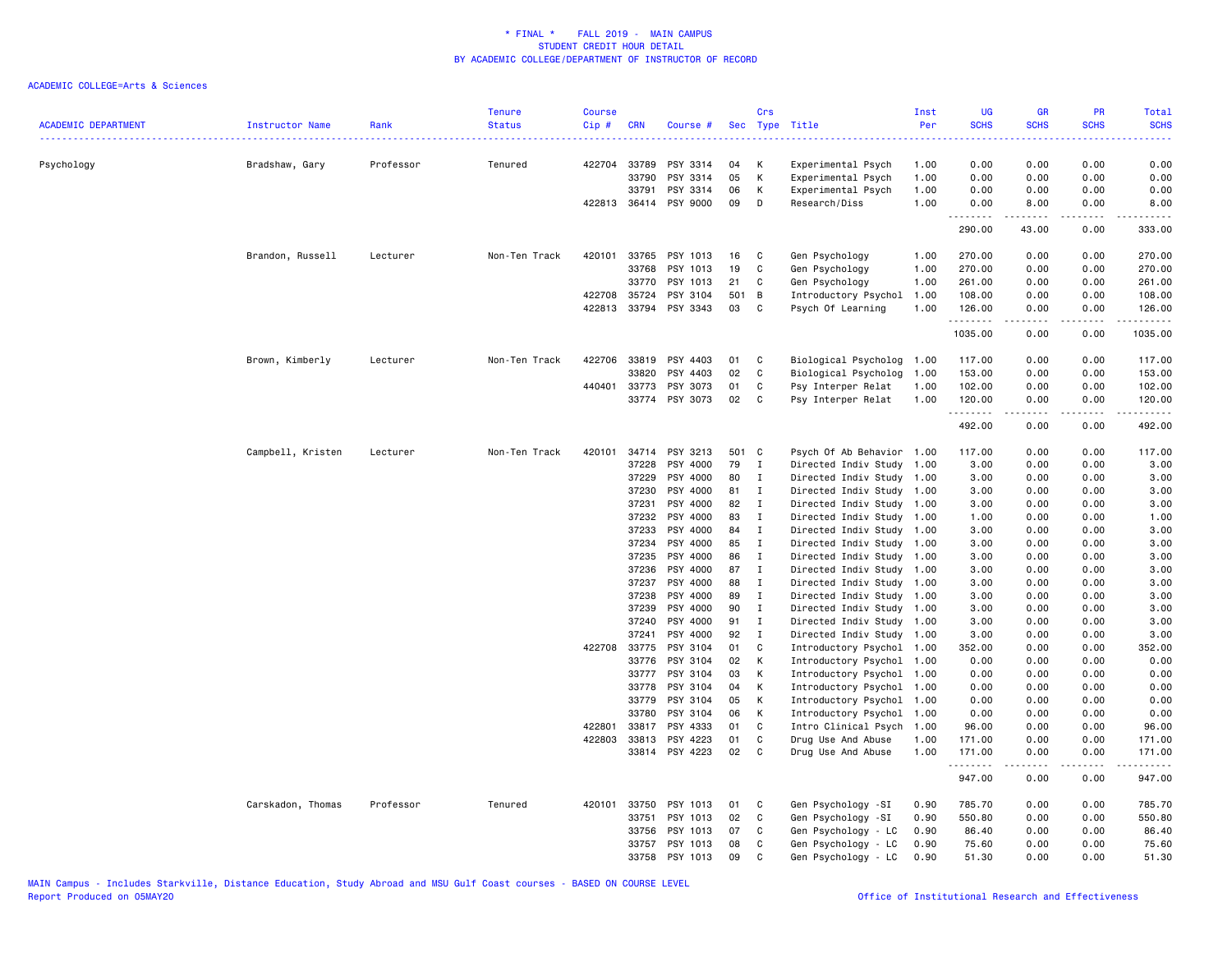| <b>ACADEMIC DEPARTMENT</b> | Instructor Name   | Rank      | <b>Tenure</b><br><b>Status</b> | <b>Course</b><br>Cip# | <b>CRN</b>     | Course #             |          | Crs               | Sec Type Title                                         | Inst<br>Per | UG<br><b>SCHS</b>      | <b>GR</b><br><b>SCHS</b> | PR<br><b>SCHS</b> | Total<br><b>SCHS</b> |
|----------------------------|-------------------|-----------|--------------------------------|-----------------------|----------------|----------------------|----------|-------------------|--------------------------------------------------------|-------------|------------------------|--------------------------|-------------------|----------------------|
|                            |                   |           |                                |                       |                |                      |          |                   |                                                        |             |                        |                          |                   |                      |
| Psychology                 | Bradshaw, Gary    | Professor | Tenured                        |                       | 422704 33789   | PSY 3314             | 04       | к                 | Experimental Psych                                     | 1.00        | 0.00                   | 0.00                     | 0.00              | 0.00                 |
|                            |                   |           |                                |                       | 33790          | PSY 3314             | 05       | К                 | Experimental Psych                                     | 1.00        | 0.00                   | 0.00                     | 0.00              | 0.00                 |
|                            |                   |           |                                |                       | 33791          | PSY 3314             | 06       | K                 | Experimental Psych                                     | 1.00        | 0.00                   | 0.00                     | 0.00              | 0.00                 |
|                            |                   |           |                                |                       | 422813 36414   | PSY 9000             | 09       | D                 | Research/Diss                                          | 1.00        | 0.00<br>.              | 8.00                     | 0.00              | 8.00                 |
|                            |                   |           |                                |                       |                |                      |          |                   |                                                        |             | 290.00                 | 43.00                    | 0.00              | 333.00               |
|                            | Brandon, Russell  | Lecturer  | Non-Ten Track                  |                       | 420101 33765   | PSY 1013             | 16       | - C               | Gen Psychology                                         | 1.00        | 270.00                 | 0.00                     | 0.00              | 270.00               |
|                            |                   |           |                                |                       | 33768          | PSY 1013             | 19       | C                 | Gen Psychology                                         | 1.00        | 270.00                 | 0.00                     | 0.00              | 270.00               |
|                            |                   |           |                                |                       | 33770          | PSY 1013             | 21       | C                 | Gen Psychology                                         | 1.00        | 261.00                 | 0.00                     | 0.00              | 261.00               |
|                            |                   |           |                                | 422708 35724          |                | PSY 3104             | 501 B    |                   | Introductory Psychol                                   | 1.00        | 108.00                 | 0.00                     | 0.00              | 108.00               |
|                            |                   |           |                                |                       | 422813 33794   | PSY 3343             | 03       | C <sub>c</sub>    | Psych Of Learning                                      | 1.00        | 126.00<br>.            | 0.00<br>$- - - - -$      | 0.00<br>.         | 126.00<br>.          |
|                            |                   |           |                                |                       |                |                      |          |                   |                                                        |             | 1035.00                | 0.00                     | 0.00              | 1035.00              |
|                            | Brown, Kimberly   | Lecturer  | Non-Ten Track                  | 422706                | 33819          | PSY 4403             | 01       | C                 | Biological Psycholog 1.00                              |             | 117.00                 | 0.00                     | 0.00              | 117.00               |
|                            |                   |           |                                |                       | 33820          | PSY 4403             | 02       | C                 | Biological Psycholog                                   | 1.00        | 153.00                 | 0.00                     | 0.00              | 153.00               |
|                            |                   |           |                                | 440401                | 33773          | PSY 3073             | 01       | C                 | Psy Interper Relat                                     | 1.00        | 102.00                 | 0.00                     | 0.00              | 102.00               |
|                            |                   |           |                                |                       | 33774          | PSY 3073             | 02       | <b>C</b>          | Psy Interper Relat                                     | 1.00        | 120.00<br>.            | 0.00<br>$- - - - -$      | 0.00<br>.         | 120.00<br>.          |
|                            |                   |           |                                |                       |                |                      |          |                   |                                                        |             | 492.00                 | 0.00                     | 0.00              | 492.00               |
|                            | Campbell, Kristen | Lecturer  | Non-Ten Track                  | 420101                | 34714          | PSY 3213             | 501 C    |                   | Psych Of Ab Behavior 1.00                              |             | 117.00                 | 0.00                     | 0.00              | 117.00               |
|                            |                   |           |                                |                       | 37228          | PSY 4000             | 79       | $\mathbf{I}$      | Directed Indiv Study 1.00                              |             | 3.00                   | 0.00                     | 0.00              | 3.00                 |
|                            |                   |           |                                |                       | 37229          | PSY 4000             | 80       | $\mathbf{I}$      | Directed Indiv Study 1.00                              |             | 3.00                   | 0.00                     | 0.00              | 3.00                 |
|                            |                   |           |                                |                       | 37230          | PSY 4000             | 81       | $\mathbf{I}$      | Directed Indiv Study 1.00                              |             | 3.00                   | 0.00                     | 0.00              | 3.00                 |
|                            |                   |           |                                |                       | 37231          | PSY 4000             | 82       | $\mathbf{I}$      | Directed Indiv Study 1.00                              |             | 3.00                   | 0.00                     | 0.00              | 3.00                 |
|                            |                   |           |                                |                       | 37232          | PSY 4000             | 83       | $\mathbf{I}$      | Directed Indiv Study 1.00                              |             | 1.00                   | 0.00                     | 0.00              | 1.00                 |
|                            |                   |           |                                |                       | 37233          | PSY 4000             | 84       | I                 | Directed Indiv Study 1.00                              |             | 3.00                   | 0.00                     | 0.00              | 3.00                 |
|                            |                   |           |                                |                       | 37234          | PSY 4000             | 85       | $\mathbf{I}$      | Directed Indiv Study 1.00                              |             | 3.00                   | 0.00                     | 0.00              | 3.00                 |
|                            |                   |           |                                |                       | 37235          | PSY 4000             | 86       | $\mathbf{I}$      | Directed Indiv Study 1.00                              |             | 3.00                   | 0.00                     | 0.00              | 3.00                 |
|                            |                   |           |                                |                       | 37236          | PSY 4000             | 87       | I                 | Directed Indiv Study 1.00                              |             | 3.00                   | 0.00                     | 0.00              | 3.00                 |
|                            |                   |           |                                |                       | 37237          | PSY 4000             | 88       | $\mathbf{I}$      | Directed Indiv Study 1.00                              |             | 3.00                   | 0.00                     | 0.00              | 3.00                 |
|                            |                   |           |                                |                       | 37238          | PSY 4000             | 89       | $\mathbf{I}$      | Directed Indiv Study 1.00                              |             | 3.00                   | 0.00                     | 0.00              | 3.00                 |
|                            |                   |           |                                |                       | 37239<br>37240 | PSY 4000<br>PSY 4000 | 90<br>91 | $\mathbf{I}$<br>I | Directed Indiv Study 1.00<br>Directed Indiv Study 1.00 |             | 3.00<br>3.00           | 0.00<br>0.00             | 0.00<br>0.00      | 3.00<br>3.00         |
|                            |                   |           |                                |                       | 37241          | PSY 4000             | 92       | $\mathbf I$       | Directed Indiv Study 1.00                              |             | 3.00                   | 0.00                     | 0.00              | 3.00                 |
|                            |                   |           |                                | 422708                | 33775          | PSY 3104             | 01       | C                 | Introductory Psychol 1.00                              |             | 352.00                 | 0.00                     | 0.00              | 352.00               |
|                            |                   |           |                                |                       | 33776          | PSY 3104             | 02       | К                 | Introductory Psychol 1.00                              |             | 0.00                   | 0.00                     | 0.00              | 0.00                 |
|                            |                   |           |                                |                       | 33777          | PSY 3104             | 03       | К                 | Introductory Psychol                                   | 1.00        | 0.00                   | 0.00                     | 0.00              | 0.00                 |
|                            |                   |           |                                |                       | 33778          | PSY 3104             | 04       | K                 | Introductory Psychol 1.00                              |             | 0.00                   | 0.00                     | 0.00              | 0.00                 |
|                            |                   |           |                                |                       | 33779          | PSY 3104             | 05       | К                 | Introductory Psychol                                   | 1.00        | 0.00                   | 0.00                     | 0.00              | 0.00                 |
|                            |                   |           |                                |                       | 33780          | PSY 3104             | 06       | К                 | Introductory Psychol                                   | 1.00        | 0.00                   | 0.00                     | 0.00              | 0.00                 |
|                            |                   |           |                                | 422801                | 33817          | PSY 4333             | 01       | C                 | Intro Clinical Psych                                   | 1.00        | 96.00                  | 0.00                     | 0.00              | 96.00                |
|                            |                   |           |                                | 422803                | 33813          | PSY 4223             | 01       | C                 | Drug Use And Abuse                                     | 1.00        | 171.00                 | 0.00                     | 0.00              | 171.00               |
|                            |                   |           |                                |                       | 33814          | PSY 4223             | 02       | $\mathbf{C}$      | Drug Use And Abuse                                     | 1.00        | 171.00                 | 0.00                     | 0.00              | 171.00               |
|                            |                   |           |                                |                       |                |                      |          |                   |                                                        |             | . <u>.</u> .<br>947.00 | 0.00                     | 0.00              | 947.00               |
|                            | Carskadon, Thomas | Professor | Tenured                        |                       | 420101 33750   | PSY 1013             | 01       | C                 | Gen Psychology -SI                                     | 0.90        | 785.70                 | 0.00                     | 0.00              | 785.70               |
|                            |                   |           |                                |                       | 33751          | PSY 1013             | 02       | C                 | Gen Psychology -SI                                     | 0.90        | 550.80                 | 0.00                     | 0.00              | 550.80               |
|                            |                   |           |                                |                       | 33756          | PSY 1013             | 07       | C                 | Gen Psychology - LC                                    | 0.90        | 86.40                  | 0.00                     | 0.00              | 86.40                |
|                            |                   |           |                                |                       | 33757          | PSY 1013             | 08       | C                 | Gen Psychology - LC                                    | 0.90        | 75.60                  | 0.00                     | 0.00              | 75.60                |
|                            |                   |           |                                |                       | 33758          | PSY 1013             | 09       | C                 | Gen Psychology - LC                                    | 0.90        | 51.30                  | 0.00                     | 0.00              | 51.30                |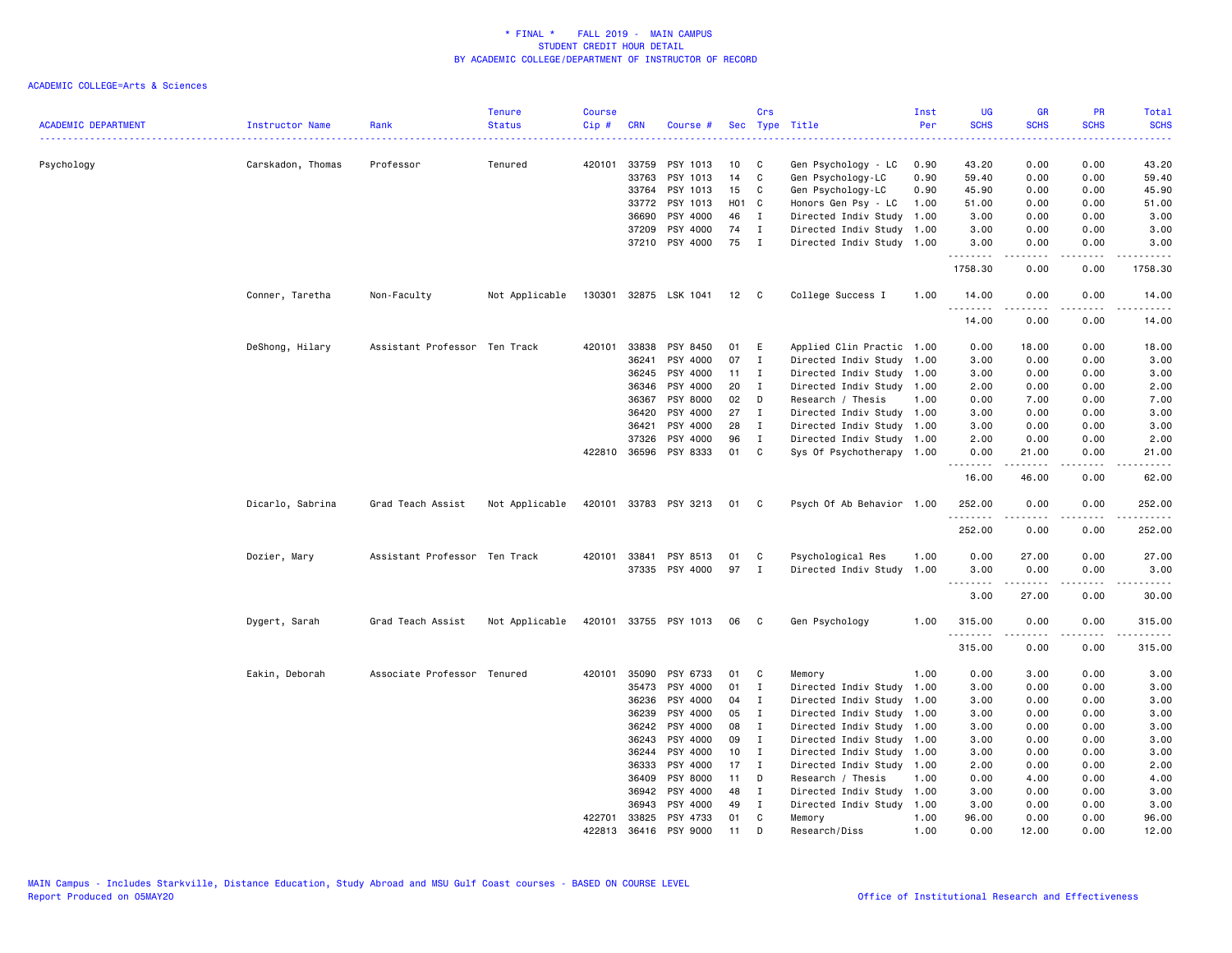| <b>ACADEMIC DEPARTMENT</b> | Instructor Name   | Rank                          | <b>Tenure</b><br><b>Status</b> | <b>Course</b><br>Cip# | <b>CRN</b>   | Course #                   |          | Crs<br>Sec Type Title        |                                                   | Inst<br>Per  | <b>UG</b><br><b>SCHS</b> | <b>GR</b><br><b>SCHS</b> | PR<br><b>SCHS</b>                   | Total<br><b>SCHS</b>                        |
|----------------------------|-------------------|-------------------------------|--------------------------------|-----------------------|--------------|----------------------------|----------|------------------------------|---------------------------------------------------|--------------|--------------------------|--------------------------|-------------------------------------|---------------------------------------------|
| Psychology                 |                   |                               | Tenured                        | 420101                | 33759        | PSY 1013                   | 10       | C                            |                                                   |              | 43.20                    | 0.00                     | 0.00                                | 43.20                                       |
|                            | Carskadon, Thomas | Professor                     |                                |                       | 33763        | PSY 1013                   | 14       | C                            | Gen Psychology - LC<br>Gen Psychology-LC          | 0.90<br>0.90 | 59.40                    | 0.00                     | 0.00                                | 59.40                                       |
|                            |                   |                               |                                |                       | 33764        | PSY 1013                   | 15       | C                            | Gen Psychology-LC                                 | 0.90         | 45.90                    | 0.00                     | 0.00                                | 45.90                                       |
|                            |                   |                               |                                |                       |              |                            |          |                              |                                                   |              |                          |                          |                                     |                                             |
|                            |                   |                               |                                |                       | 33772        | PSY 1013                   | H01 C    |                              | Honors Gen Psy - LC                               | 1.00         | 51.00                    | 0.00                     | 0.00                                | 51.00                                       |
|                            |                   |                               |                                |                       | 36690        | PSY 4000                   | 46       | $\mathbf{I}$                 | Directed Indiv Study                              | 1.00         | 3.00                     | 0.00                     | 0.00                                | 3.00                                        |
|                            |                   |                               |                                |                       | 37209        | PSY 4000<br>37210 PSY 4000 | 74<br>75 | $\mathbf{I}$<br>$\mathbf{I}$ | Directed Indiv Study<br>Directed Indiv Study 1.00 | 1.00         | 3.00<br>3.00             | 0.00<br>0.00             | 0.00<br>0.00                        | 3.00<br>3.00                                |
|                            |                   |                               |                                |                       |              |                            |          |                              |                                                   |              | .<br>1758.30             | .<br>0.00                | .<br>0.00                           | .<br>1758.30                                |
|                            | Conner, Taretha   | Non-Faculty                   | Not Applicable                 | 130301                |              | 32875 LSK 1041             | 12       | $\mathbf{C}$                 | College Success I                                 | 1.00         | 14.00                    | 0.00                     | 0.00                                | 14.00                                       |
|                            |                   |                               |                                |                       |              |                            |          |                              |                                                   |              | <u>.</u><br>14.00        | .<br>0.00                | $\sim$ $\sim$ $\sim$ $\sim$<br>0.00 | .<br>14.00                                  |
|                            | DeShong, Hilary   | Assistant Professor Ten Track |                                | 420101                | 33838        | PSY 8450                   | 01       | E                            | Applied Clin Practic 1.00                         |              | 0.00                     | 18.00                    | 0.00                                | 18.00                                       |
|                            |                   |                               |                                |                       | 36241        | PSY 4000                   | 07       | $\mathbf I$                  | Directed Indiv Study 1.00                         |              | 3.00                     | 0.00                     | 0.00                                | 3.00                                        |
|                            |                   |                               |                                |                       | 36245        | PSY 4000                   | 11       | I                            | Directed Indiv Study                              | 1.00         | 3.00                     | 0.00                     | 0.00                                | 3.00                                        |
|                            |                   |                               |                                |                       | 36346        | PSY 4000                   | 20       | $\mathbf I$                  | Directed Indiv Study                              | 1.00         | 2.00                     | 0.00                     | 0.00                                | 2.00                                        |
|                            |                   |                               |                                |                       | 36367        | PSY 8000                   | 02       |                              |                                                   |              | 0.00                     |                          | 0.00                                |                                             |
|                            |                   |                               |                                |                       |              |                            |          | D                            | Research / Thesis                                 | 1.00         |                          | 7.00                     |                                     | 7.00                                        |
|                            |                   |                               |                                |                       | 36420        | PSY 4000                   | 27       | I                            | Directed Indiv Study 1.00                         |              | 3.00                     | 0.00                     | 0.00                                | 3.00                                        |
|                            |                   |                               |                                |                       | 36421        | PSY 4000                   | 28       | I                            | Directed Indiv Study                              | 1.00         | 3.00                     | 0.00                     | 0.00                                | 3.00                                        |
|                            |                   |                               |                                |                       | 37326        | PSY 4000                   | 96       | I                            | Directed Indiv Study 1.00                         |              | 2.00                     | 0.00                     | 0.00                                | 2.00                                        |
|                            |                   |                               |                                |                       | 422810 36596 | PSY 8333                   | 01       | C                            | Sys Of Psychotherapy 1.00                         |              | 0.00<br>.                | 21.00<br>$- - - - -$     | 0.00<br>$\sim$ $\sim$ $\sim$ $\sim$ | 21.00<br>$\sim$ $\sim$ $\sim$ $\sim$ $\sim$ |
|                            |                   |                               |                                |                       |              |                            |          |                              |                                                   |              | 16.00                    | 46.00                    | 0.00                                | 62.00                                       |
|                            | Dicarlo, Sabrina  | Grad Teach Assist             | Not Applicable                 |                       |              | 420101 33783 PSY 3213      | 01 C     |                              | Psych Of Ab Behavior 1.00                         |              | 252.00<br>.              | 0.00                     | 0.00                                | 252.00<br>-----                             |
|                            |                   |                               |                                |                       |              |                            |          |                              |                                                   |              | 252.00                   | 0.00                     | 0.00                                | 252.00                                      |
|                            | Dozier, Mary      | Assistant Professor Ten Track |                                | 420101                | 33841        | PSY 8513                   | 01       | C                            | Psychological Res                                 | 1.00         | 0.00                     | 27.00                    | 0.00                                | 27.00                                       |
|                            |                   |                               |                                |                       |              | 37335 PSY 4000             | 97       | $\;$ I                       | Directed Indiv Study                              | 1.00         | 3.00                     | 0.00                     | 0.00                                | 3.00                                        |
|                            |                   |                               |                                |                       |              |                            |          |                              |                                                   |              | <u>.</u><br>3.00         | .<br>27.00               | .<br>0.00                           | .<br>30.00                                  |
|                            | Dygert, Sarah     | Grad Teach Assist             | Not Applicable                 |                       |              | 420101 33755 PSY 1013      | 06       | C C                          | Gen Psychology                                    | 1.00         | 315.00<br><u>.</u>       | 0.00                     | 0.00                                | 315.00                                      |
|                            |                   |                               |                                |                       |              |                            |          |                              |                                                   |              | 315.00                   | 0.00                     | 0.00                                | 315.00                                      |
|                            | Eakin, Deborah    | Associate Professor Tenured   |                                | 420101                | 35090        | PSY 6733                   | 01       | C                            | Memory                                            | 1.00         | 0.00                     | 3.00                     | 0.00                                | 3.00                                        |
|                            |                   |                               |                                |                       | 35473        | PSY 4000                   | 01       | I                            | Directed Indiv Study                              | 1.00         | 3.00                     | 0.00                     | 0.00                                | 3.00                                        |
|                            |                   |                               |                                |                       | 36236        | PSY 4000                   | 04       | $\mathbf{I}$                 | Directed Indiv Study 1.00                         |              | 3.00                     | 0.00                     | 0.00                                | 3.00                                        |
|                            |                   |                               |                                |                       | 36239        | PSY 4000                   | 05       | I                            | Directed Indiv Study 1.00                         |              | 3.00                     | 0.00                     | 0.00                                | 3.00                                        |
|                            |                   |                               |                                |                       | 36242        | PSY 4000                   | 08       | $\mathbf I$                  | Directed Indiv Study 1.00                         |              | 3.00                     | 0.00                     | 0.00                                | 3.00                                        |
|                            |                   |                               |                                |                       | 36243        | PSY 4000                   | 09       | I                            | Directed Indiv Study                              | 1.00         | 3.00                     | 0.00                     | 0.00                                | 3.00                                        |
|                            |                   |                               |                                |                       | 36244        | PSY 4000                   | 10       | $\mathbf{I}$                 | Directed Indiv Study 1.00                         |              | 3.00                     | 0.00                     | 0.00                                | 3.00                                        |
|                            |                   |                               |                                |                       | 36333        | PSY 4000                   | 17       | $\mathbf{I}$                 | Directed Indiv Study                              | 1.00         | 2.00                     | 0.00                     | 0.00                                | 2.00                                        |
|                            |                   |                               |                                |                       | 36409        | PSY 8000                   | 11       | D                            | Research / Thesis                                 | 1.00         | 0.00                     | 4.00                     | 0.00                                | 4.00                                        |
|                            |                   |                               |                                |                       | 36942        | PSY 4000                   | 48       | I                            | Directed Indiv Study                              | 1.00         | 3.00                     | 0.00                     | 0.00                                | 3.00                                        |
|                            |                   |                               |                                |                       | 36943        | PSY 4000                   | 49       | Ι.                           | Directed Indiv Study                              | 1.00         | 3.00                     | 0.00                     | 0.00                                | 3.00                                        |
|                            |                   |                               |                                | 422701                | 33825        | PSY 4733                   | 01       | C                            | Memory                                            | 1.00         | 96.00                    | 0.00                     | 0.00                                | 96.00                                       |
|                            |                   |                               |                                | 422813                |              | 36416 PSY 9000             | 11       | D                            | Research/Diss                                     | 1.00         | 0.00                     | 12.00                    | 0.00                                | 12.00                                       |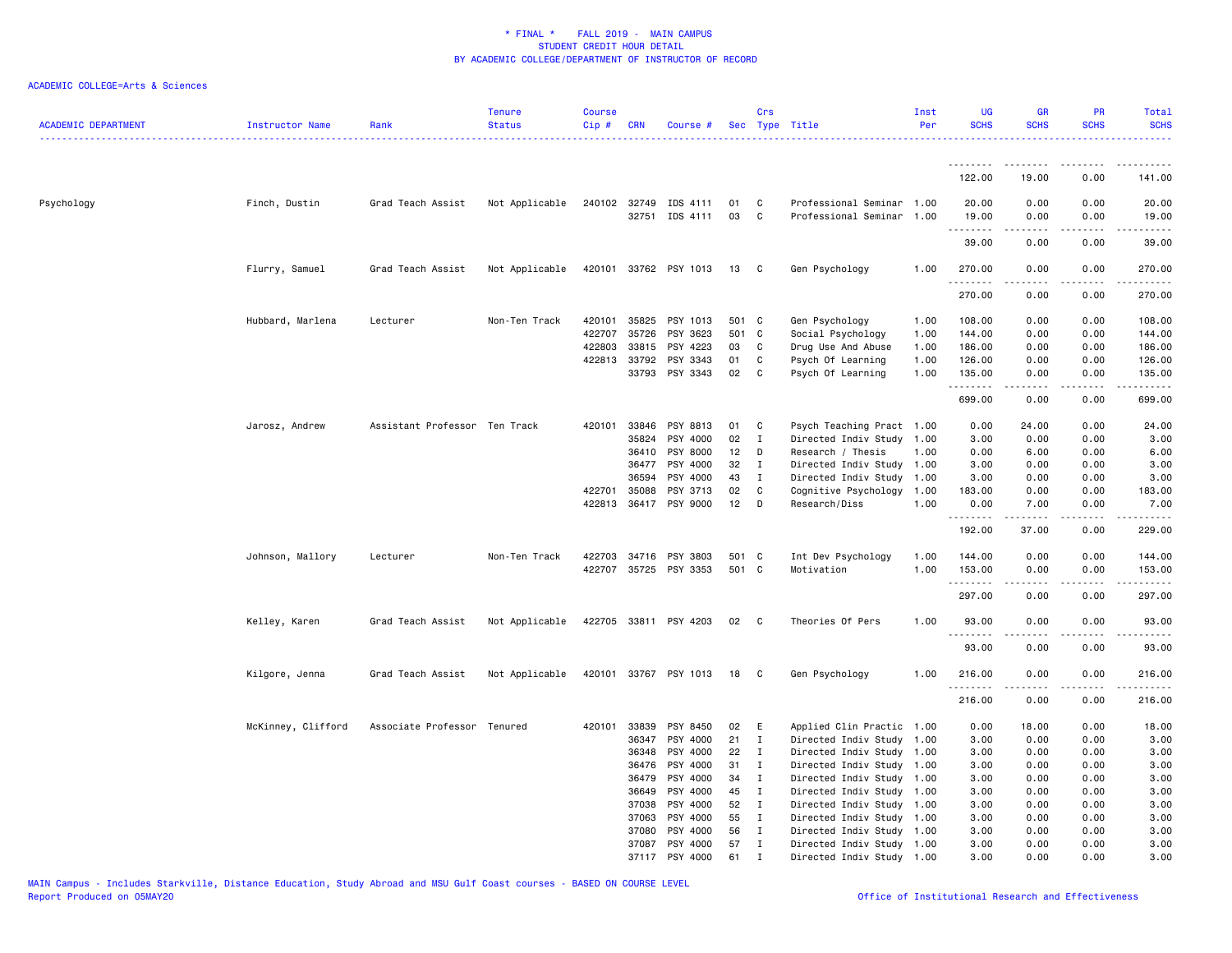| <b>ACADEMIC DEPARTMENT</b> | Instructor Name    | Rank                          | <b>Tenure</b><br><b>Status</b> | <b>Course</b><br>Cip# | <b>CRN</b>            | Course #              |          | Crs               | Sec Type Title                                         | Inst<br>Per | <b>UG</b><br><b>SCHS</b> | <b>GR</b><br><b>SCHS</b> | PR<br><b>SCHS</b> | Total<br><b>SCHS</b>    |
|----------------------------|--------------------|-------------------------------|--------------------------------|-----------------------|-----------------------|-----------------------|----------|-------------------|--------------------------------------------------------|-------------|--------------------------|--------------------------|-------------------|-------------------------|
|                            |                    |                               |                                |                       |                       |                       |          |                   |                                                        |             |                          |                          |                   |                         |
|                            |                    |                               |                                |                       |                       |                       |          |                   |                                                        |             | 122.00                   | 19.00                    | 0.00              | 141.00                  |
| Psychology                 | Finch, Dustin      | Grad Teach Assist             | Not Applicable                 |                       | 240102 32749<br>32751 | IDS 4111<br>IDS 4111  | 01<br>03 | C<br>$\mathtt{C}$ | Professional Seminar 1.00<br>Professional Seminar 1.00 |             | 20.00<br>19.00           | 0.00<br>0.00             | 0.00<br>0.00      | 20.00<br>19.00          |
|                            |                    |                               |                                |                       |                       |                       |          |                   |                                                        |             | .                        |                          | .                 |                         |
|                            |                    |                               |                                |                       |                       |                       |          |                   |                                                        |             | 39.00                    | 0.00                     | 0.00              | 39.00                   |
|                            | Flurry, Samuel     | Grad Teach Assist             | Not Applicable                 |                       |                       | 420101 33762 PSY 1013 | 13       | $\mathbf{C}$      | Gen Psychology                                         | 1.00        | 270.00<br>.              | 0.00<br>-----            | 0.00<br>.         | 270.00<br>$- - - - - -$ |
|                            |                    |                               |                                |                       |                       |                       |          |                   |                                                        |             | 270.00                   | 0.00                     | 0.00              | 270.00                  |
|                            | Hubbard, Marlena   | Lecturer                      | Non-Ten Track                  | 420101                | 35825                 | PSY 1013              | 501 C    |                   | Gen Psychology                                         | 1.00        | 108.00                   | 0.00                     | 0.00              | 108.00                  |
|                            |                    |                               |                                | 422707                | 35726                 | PSY 3623              | 501 C    |                   | Social Psychology                                      | 1.00        | 144.00                   | 0.00                     | 0.00              | 144.00                  |
|                            |                    |                               |                                | 422803                | 33815                 | PSY 4223              | 03       | C                 | Drug Use And Abuse                                     | 1.00        | 186.00                   | 0.00                     | 0.00              | 186.00                  |
|                            |                    |                               |                                |                       | 422813 33792          | PSY 3343              | 01       | C                 | Psych Of Learning                                      | 1.00        | 126.00                   | 0.00                     | 0.00              | 126.00                  |
|                            |                    |                               |                                |                       | 33793                 | PSY 3343              | 02       | C                 | Psych Of Learning                                      | 1.00        | 135.00<br>. <b>.</b>     | 0.00<br>.                | 0.00<br>.         | 135.00<br>$- - - - - -$ |
|                            |                    |                               |                                |                       |                       |                       |          |                   |                                                        |             | 699.00                   | 0.00                     | 0.00              | 699.00                  |
|                            | Jarosz, Andrew     | Assistant Professor Ten Track |                                | 420101                | 33846                 | PSY 8813              | 01       | C                 | Psych Teaching Pract 1.00                              |             | 0.00                     | 24.00                    | 0.00              | 24.00                   |
|                            |                    |                               |                                |                       | 35824                 | PSY 4000              | 02       | $\mathbf I$       | Directed Indiv Study                                   | 1.00        | 3.00                     | 0.00                     | 0.00              | 3.00                    |
|                            |                    |                               |                                |                       | 36410                 | PSY 8000              | 12       | D                 | Research / Thesis                                      | 1.00        | 0.00                     | 6.00                     | 0.00              | 6.00                    |
|                            |                    |                               |                                |                       | 36477                 | PSY 4000              | 32       | $\mathbf{I}$      | Directed Indiv Study                                   | 1.00        | 3.00                     | 0.00                     | 0.00              | 3.00                    |
|                            |                    |                               |                                |                       | 36594                 | PSY 4000              | 43       | $\mathbf{I}$      | Directed Indiv Study                                   | 1.00        | 3.00                     | 0.00                     | 0.00              | 3.00                    |
|                            |                    |                               |                                | 422701                | 35088                 | PSY 3713              | 02       | C                 | Cognitive Psychology                                   | 1.00        | 183.00                   | 0.00                     | 0.00              | 183.00                  |
|                            |                    |                               |                                |                       |                       | 422813 36417 PSY 9000 | 12       | D                 | Research/Diss                                          | 1.00        | 0.00<br>.                | 7.00<br>المتمالين        | 0.00<br>.         | 7.00<br>.               |
|                            |                    |                               |                                |                       |                       |                       |          |                   |                                                        |             | 192.00                   | 37.00                    | 0.00              | 229.00                  |
|                            | Johnson, Mallory   | Lecturer                      | Non-Ten Track                  | 422703                |                       | 34716 PSY 3803        | 501 C    |                   | Int Dev Psychology                                     | 1.00        | 144.00                   | 0.00                     | 0.00              | 144.00                  |
|                            |                    |                               |                                | 422707                |                       | 35725 PSY 3353        | 501 C    |                   | Motivation                                             | 1.00        | 153.00<br>.              | 0.00                     | 0.00              | 153.00                  |
|                            |                    |                               |                                |                       |                       |                       |          |                   |                                                        |             | 297.00                   | 0.00                     | 0.00              | 297.00                  |
|                            | Kelley, Karen      | Grad Teach Assist             | Not Applicable                 |                       |                       | 422705 33811 PSY 4203 | 02       | C                 | Theories Of Pers                                       | 1.00        | 93.00                    | 0.00                     | 0.00              | 93.00                   |
|                            |                    |                               |                                |                       |                       |                       |          |                   |                                                        |             | <u>.</u><br>93.00        | 0.00                     | 0.00              | .<br>93.00              |
|                            | Kilgore, Jenna     | Grad Teach Assist             | Not Applicable                 |                       |                       | 420101 33767 PSY 1013 | 18       | C                 | Gen Psychology                                         | 1.00        | 216.00                   | 0.00                     | 0.00              | 216.00                  |
|                            |                    |                               |                                |                       |                       |                       |          |                   |                                                        |             | .<br>216.00              | 0.00                     | - - - -<br>0.00   | .<br>216.00             |
|                            | McKinney, Clifford | Associate Professor Tenured   |                                |                       | 420101 33839          | PSY 8450              | 02       | E                 | Applied Clin Practic 1.00                              |             | 0.00                     | 18.00                    | 0.00              | 18.00                   |
|                            |                    |                               |                                |                       | 36347                 | PSY 4000              | 21       | $\mathbf{I}$      | Directed Indiv Study                                   | 1.00        | 3.00                     | 0.00                     | 0.00              | 3.00                    |
|                            |                    |                               |                                |                       | 36348                 | PSY 4000              | 22       | $\mathbf{I}$      | Directed Indiv Study 1.00                              |             | 3.00                     | 0.00                     | 0.00              | 3.00                    |
|                            |                    |                               |                                |                       | 36476                 | PSY 4000              | 31       | Ι.                | Directed Indiv Study 1.00                              |             | 3.00                     | 0.00                     | 0.00              | 3.00                    |
|                            |                    |                               |                                |                       | 36479                 | PSY 4000              | 34       | $\mathbf I$       | Directed Indiv Study 1.00                              |             | 3.00                     | 0.00                     | 0.00              | 3.00                    |
|                            |                    |                               |                                |                       | 36649                 | PSY 4000              | 45       | I                 | Directed Indiv Study                                   | 1.00        | 3.00                     | 0.00                     | 0.00              | 3.00                    |
|                            |                    |                               |                                |                       | 37038                 | PSY 4000              | 52       | $\mathbf{I}$      | Directed Indiv Study 1.00                              |             | 3.00                     | 0.00                     | 0.00              | 3.00                    |
|                            |                    |                               |                                |                       | 37063                 | PSY 4000              | 55       | $\mathbf I$       | Directed Indiv Study 1.00                              |             | 3.00                     | 0.00                     | 0.00              | 3.00                    |
|                            |                    |                               |                                |                       | 37080                 | PSY 4000              | 56       | $\mathbf{I}$      | Directed Indiv Study                                   | 1.00        | 3.00                     | 0.00                     | 0.00              | 3.00                    |
|                            |                    |                               |                                |                       | 37087                 | PSY 4000              | 57       | $\mathbf{I}$      | Directed Indiv Study 1.00                              |             | 3.00                     | 0.00                     | 0.00              | 3.00                    |
|                            |                    |                               |                                |                       |                       | 37117 PSY 4000        | 61       | $\mathbf{r}$      | Directed Indiv Study 1.00                              |             | 3.00                     | 0.00                     | 0.00              | 3.00                    |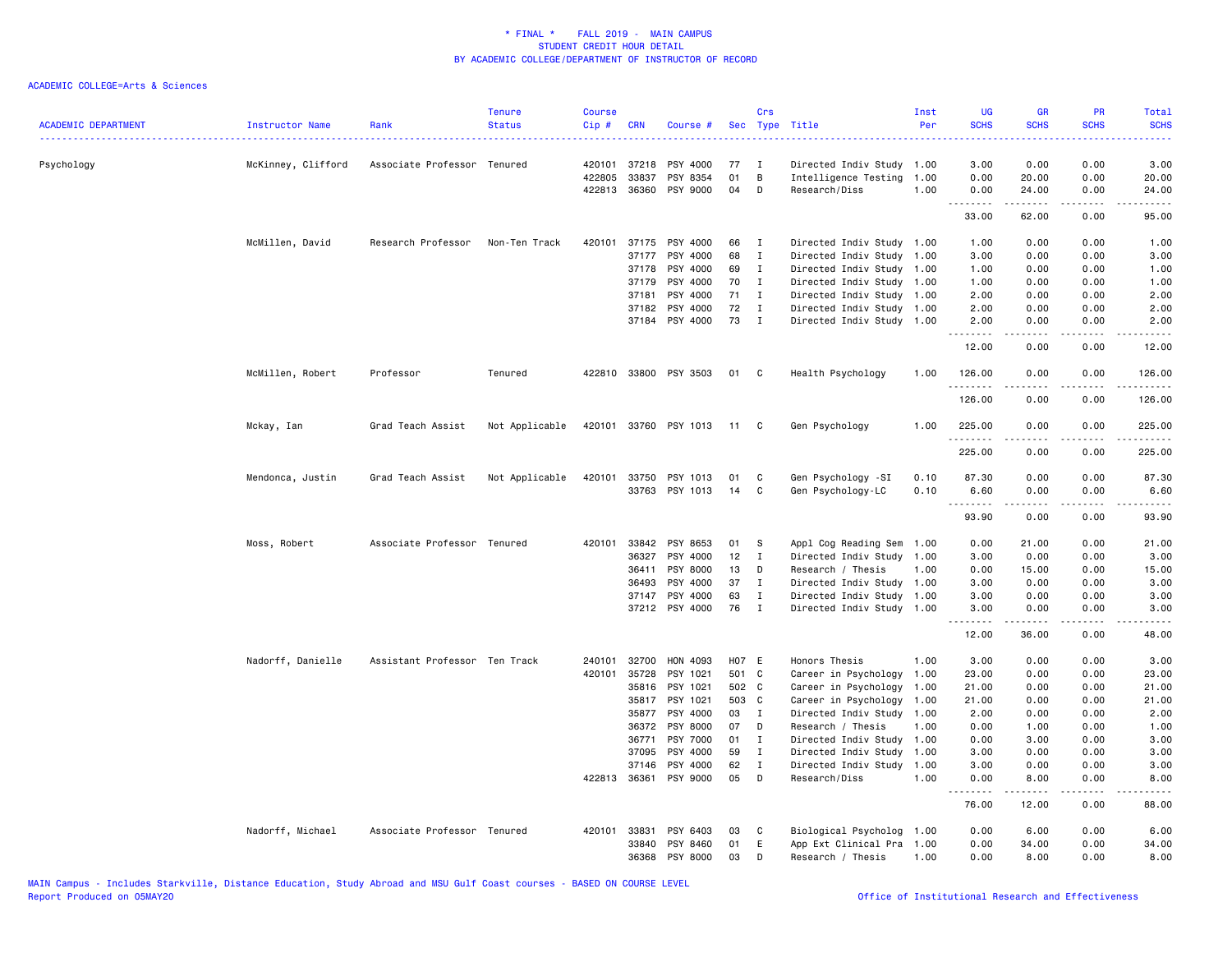| <b>ACADEMIC DEPARTMENT</b> | Instructor Name    | Rank                          | <b>Tenure</b><br><b>Status</b> | <b>Course</b><br>Cip# | <b>CRN</b>     | Course #              |             | Crs                          | Sec Type Title                                    | Inst<br>Per  | <b>UG</b><br><b>SCHS</b> | <b>GR</b><br><b>SCHS</b> | <b>PR</b><br><b>SCHS</b> | Total<br><b>SCHS</b><br>. |
|----------------------------|--------------------|-------------------------------|--------------------------------|-----------------------|----------------|-----------------------|-------------|------------------------------|---------------------------------------------------|--------------|--------------------------|--------------------------|--------------------------|---------------------------|
| Psychology                 | McKinney, Clifford | Associate Professor Tenured   |                                | 420101                | 37218          | PSY 4000              | 77          | $\mathbf{I}$                 | Directed Indiv Study 1.00                         |              | 3.00                     | 0.00                     | 0.00                     | 3.00                      |
|                            |                    |                               |                                | 422805                | 33837          | PSY 8354              | 01          | B                            | Intelligence Testing 1.00                         |              | 0.00                     | 20.00                    | 0.00                     | 20.00                     |
|                            |                    |                               |                                |                       | 422813 36360   | PSY 9000              | 04          | D                            | Research/Diss                                     | 1.00         | 0.00                     | 24.00                    | 0.00<br>.                | 24.00                     |
|                            |                    |                               |                                |                       |                |                       |             |                              |                                                   |              | .<br>33.00               | .<br>62.00               | 0.00                     | .<br>95.00                |
|                            | McMillen, David    | Research Professor            | Non-Ten Track                  | 420101                | 37175          | PSY 4000              | 66          | $\mathbf{I}$                 | Directed Indiv Study 1.00                         |              | 1.00                     | 0.00                     | 0.00                     | 1.00                      |
|                            |                    |                               |                                |                       | 37177          | PSY 4000              | 68          | $\mathbf I$                  | Directed Indiv Study                              | 1.00         | 3.00                     | 0.00                     | 0.00                     | 3.00                      |
|                            |                    |                               |                                |                       | 37178          | PSY 4000              | 69          | I                            | Directed Indiv Study 1.00                         |              | 1.00                     | 0.00                     | 0.00                     | 1.00                      |
|                            |                    |                               |                                |                       | 37179          | PSY 4000              | 70          | $\mathbf{I}$                 | Directed Indiv Study 1.00                         |              | 1.00                     | 0.00                     | 0.00                     | 1.00                      |
|                            |                    |                               |                                |                       | 37181<br>37182 | PSY 4000<br>PSY 4000  | 71<br>72    | $\mathbf{I}$<br>$\mathbf{I}$ | Directed Indiv Study<br>Directed Indiv Study 1.00 | 1.00         | 2.00<br>2.00             | 0.00<br>0.00             | 0.00<br>0.00             | 2.00<br>2.00              |
|                            |                    |                               |                                |                       |                | 37184 PSY 4000        | 73          | $\mathbf{I}$                 | Directed Indiv Study 1.00                         |              | 2.00                     | 0.00                     | 0.00                     | 2.00                      |
|                            |                    |                               |                                |                       |                |                       |             |                              |                                                   |              | .<br>12.00               | <u>.</u><br>0.00         | .<br>0.00                | . <u>.</u> .<br>12.00     |
|                            | McMillen, Robert   | Professor                     | Tenured                        |                       |                | 422810 33800 PSY 3503 | 01          | C                            | Health Psychology                                 | 1.00         | 126.00                   | 0.00                     | 0.00                     | 126.00                    |
|                            |                    |                               |                                |                       |                |                       |             |                              |                                                   |              | <u>.</u><br>126.00       | -----<br>0.00            | .<br>0.00                | <u>.</u><br>126.00        |
|                            | Mckay, Ian         | Grad Teach Assist             | Not Applicable                 |                       |                | 420101 33760 PSY 1013 | $-11$       | C                            | Gen Psychology                                    | 1.00         | 225.00                   | 0.00                     | 0.00                     | 225.00                    |
|                            |                    |                               |                                |                       |                |                       |             |                              |                                                   |              | <u>.</u><br>225.00       | - - - - -<br>0.00        | $   -$<br>0.00           | $- - - - - -$<br>225.00   |
|                            | Mendonca, Justin   | Grad Teach Assist             | Not Applicable                 | 420101                | 33750          | PSY 1013              | 01          | C                            | Gen Psychology -SI                                | 0.10         | 87.30                    | 0.00                     | 0.00                     | 87.30                     |
|                            |                    |                               |                                |                       |                | 33763 PSY 1013        | 14          | C                            | Gen Psychology-LC                                 | 0.10         | 6.60<br>.                | 0.00<br>.                | 0.00                     | 6.60<br>.                 |
|                            |                    |                               |                                |                       |                |                       |             |                              |                                                   |              | 93.90                    | 0.00                     | 0.00                     | 93.90                     |
|                            | Moss, Robert       | Associate Professor Tenured   |                                | 420101                | 33842          | PSY 8653              | 01          | -S                           | Appl Cog Reading Sem                              | 1.00         | 0.00                     | 21.00                    | 0.00                     | 21.00                     |
|                            |                    |                               |                                |                       | 36327          | PSY 4000              | 12          | $\mathbf{I}$                 | Directed Indiv Study                              | 1.00         | 3.00                     | 0.00                     | 0.00                     | 3.00                      |
|                            |                    |                               |                                |                       | 36411          | <b>PSY 8000</b>       | 13          | D                            | Research / Thesis                                 | 1.00         | 0.00                     | 15.00                    | 0.00                     | 15.00                     |
|                            |                    |                               |                                |                       | 36493          | PSY 4000              | 37          | I                            | Directed Indiv Study                              | 1.00         | 3.00                     | 0.00                     | 0.00                     | 3.00                      |
|                            |                    |                               |                                |                       | 37147          | PSY 4000              | 63          | Ι                            | Directed Indiv Study 1.00                         |              | 3.00                     | 0.00                     | 0.00                     | 3.00                      |
|                            |                    |                               |                                |                       |                | 37212 PSY 4000        | 76          | $\mathbf{I}$                 | Directed Indiv Study 1.00                         |              | 3.00<br>.                | 0.00<br>$- - - - -$      | 0.00<br>$\frac{1}{2}$    | 3.00<br>$\frac{1}{2}$     |
|                            |                    |                               |                                |                       |                |                       |             |                              |                                                   |              | 12.00                    | 36.00                    | 0.00                     | 48.00                     |
|                            | Nadorff, Danielle  | Assistant Professor Ten Track |                                | 240101                | 32700          | HON 4093              | H07 E       |                              | Honors Thesis                                     | 1.00         | 3.00                     | 0.00                     | 0.00                     | 3.00                      |
|                            |                    |                               |                                | 420101                | 35728          | PSY 1021              | 501 C       |                              | Career in Psychology                              | 1.00         | 23.00                    | 0.00                     | 0.00                     | 23.00                     |
|                            |                    |                               |                                |                       | 35816          | PSY 1021              | 502 C       |                              | Career in Psychology                              | 1.00         | 21.00                    | 0.00                     | 0.00                     | 21.00                     |
|                            |                    |                               |                                |                       | 35817<br>35877 | PSY 1021<br>PSY 4000  | 503 C<br>03 | $\mathbf{I}$                 | Career in Psychology<br>Directed Indiv Study      | 1.00<br>1.00 | 21.00<br>2.00            | 0.00<br>0.00             | 0.00<br>0.00             | 21.00<br>2.00             |
|                            |                    |                               |                                |                       | 36372          | PSY 8000              | 07          | D                            | Research / Thesis                                 | 1.00         | 0.00                     | 1.00                     | 0.00                     | 1.00                      |
|                            |                    |                               |                                |                       | 36771          | PSY 7000              | 01          | I                            | Directed Indiv Study                              | 1.00         | 0.00                     | 3.00                     | 0.00                     | 3.00                      |
|                            |                    |                               |                                |                       | 37095          | PSY 4000              | 59          | $\mathbf{I}$                 | Directed Indiv Study                              | 1.00         | 3.00                     | 0.00                     | 0.00                     | 3.00                      |
|                            |                    |                               |                                |                       | 37146          | PSY 4000              | 62          | $\mathbf{I}$                 | Directed Indiv Study                              | 1.00         | 3.00                     | 0.00                     | 0.00                     | 3.00                      |
|                            |                    |                               |                                |                       | 422813 36361   | PSY 9000              | 05          | D                            | Research/Diss                                     | 1.00         | 0.00                     | 8.00                     | 0.00                     | 8.00                      |
|                            |                    |                               |                                |                       |                |                       |             |                              |                                                   |              | .<br>76.00               | .<br>12.00               | .<br>0.00                | $\frac{1}{2}$<br>88.00    |
|                            | Nadorff, Michael   | Associate Professor Tenured   |                                | 420101                | 33831          | PSY 6403              | 03          | C                            | Biological Psycholog                              | 1.00         | 0.00                     | 6.00                     | 0.00                     | 6.00                      |
|                            |                    |                               |                                |                       | 33840          | PSY 8460              | 01          | Ε                            | App Ext Clinical Pra                              | 1.00         | 0.00                     | 34.00                    | 0.00                     | 34.00                     |
|                            |                    |                               |                                |                       | 36368          | PSY 8000              | 03          | D                            | Research / Thesis                                 | 1.00         | 0.00                     | 8.00                     | 0.00                     | 8.00                      |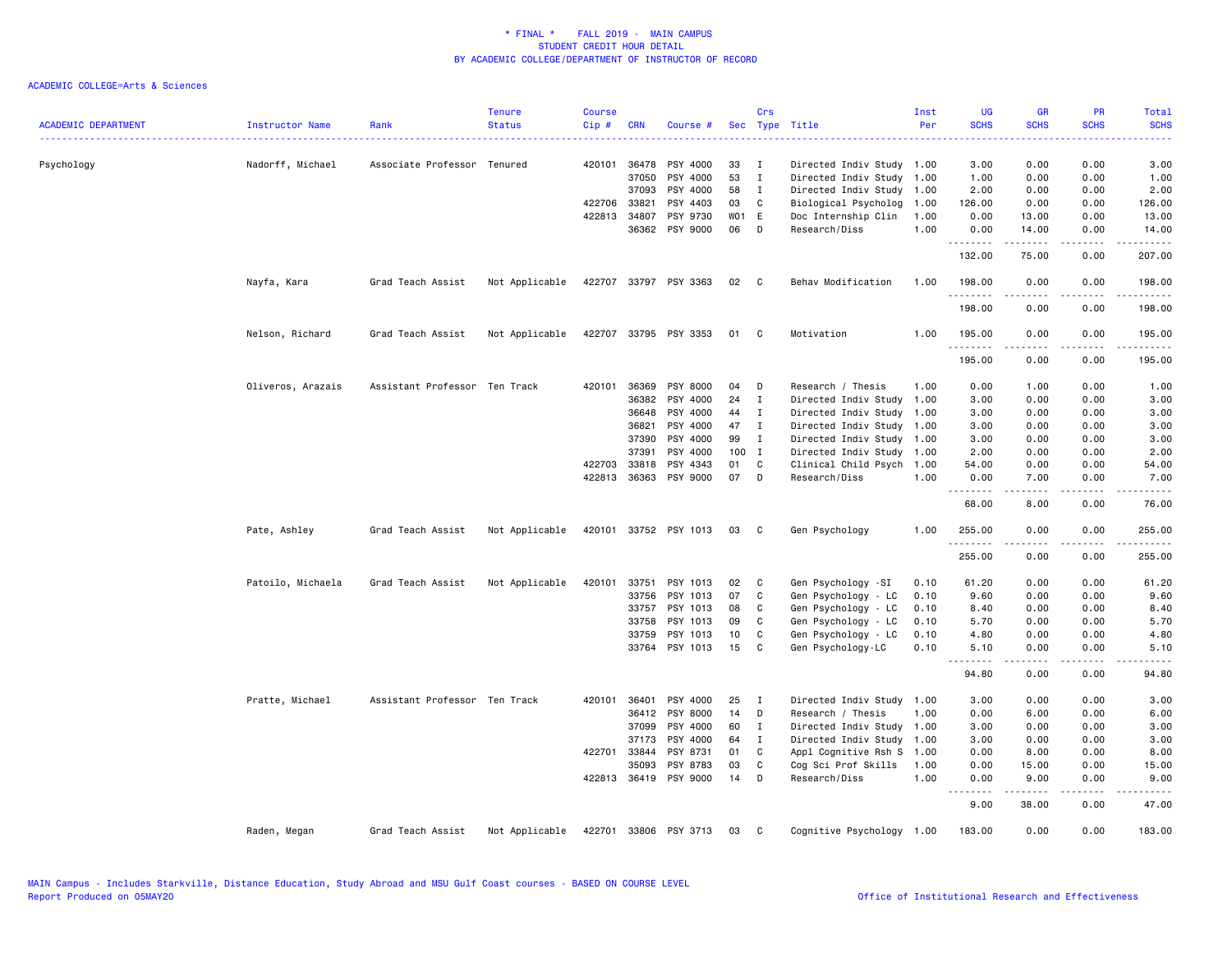| <b>ACADEMIC DEPARTMENT</b> | Instructor Name   | Rank                          | <b>Tenure</b><br><b>Status</b> | <b>Course</b><br>Cip # | <b>CRN</b>   | Course #              | <b>Sec</b> | Crs          | Type Title                | Inst<br>Per | UG<br><b>SCHS</b> | <b>GR</b><br><b>SCHS</b> | PR<br><b>SCHS</b>            | Total<br><b>SCHS</b>                                                                                                                                           |
|----------------------------|-------------------|-------------------------------|--------------------------------|------------------------|--------------|-----------------------|------------|--------------|---------------------------|-------------|-------------------|--------------------------|------------------------------|----------------------------------------------------------------------------------------------------------------------------------------------------------------|
|                            |                   |                               |                                |                        |              |                       |            |              |                           |             |                   |                          |                              |                                                                                                                                                                |
| Psychology                 | Nadorff, Michael  | Associate Professor Tenured   |                                |                        | 420101 36478 | PSY 4000              | 33         | Ι.           | Directed Indiv Study 1.00 |             | 3.00              | 0.00                     | 0.00                         | 3.00                                                                                                                                                           |
|                            |                   |                               |                                |                        | 37050        | PSY 4000              | 53         | $\mathbf I$  | Directed Indiv Study      | 1.00        | 1.00              | 0.00                     | 0.00                         | 1.00                                                                                                                                                           |
|                            |                   |                               |                                |                        | 37093        | PSY 4000              | 58         | $\mathbf{I}$ | Directed Indiv Study      | 1.00        | 2.00              | 0.00                     | 0.00                         | 2.00                                                                                                                                                           |
|                            |                   |                               |                                | 422706                 | 33821        | PSY 4403              | 03         | C            | Biological Psycholog      | 1.00        | 126.00            | 0.00                     | 0.00                         | 126.00                                                                                                                                                         |
|                            |                   |                               |                                | 422813                 | 34807        | PSY 9730              | WO1 E      |              | Doc Internship Clin       | 1.00        | 0.00              | 13.00                    | 0.00                         | 13.00                                                                                                                                                          |
|                            |                   |                               |                                |                        | 36362        | PSY 9000              | 06         | D            | Research/Diss             | 1.00        | 0.00<br>.         | 14.00<br>.               | 0.00<br>.                    | 14.00<br>.                                                                                                                                                     |
|                            |                   |                               |                                |                        |              |                       |            |              |                           |             | 132.00            | 75.00                    | 0.00                         | 207.00                                                                                                                                                         |
|                            | Nayfa, Kara       | Grad Teach Assist             | Not Applicable                 |                        |              | 422707 33797 PSY 3363 | 02         | $\mathbf{C}$ | Behav Modification        | 1.00        | 198.00<br>.       | 0.00                     | 0.00                         | 198.00<br>$\frac{1}{2} \left( \frac{1}{2} \right) \left( \frac{1}{2} \right) \left( \frac{1}{2} \right) \left( \frac{1}{2} \right) \left( \frac{1}{2} \right)$ |
|                            |                   |                               |                                |                        |              |                       |            |              |                           |             | 198.00            | 0.00                     | 0.00                         | 198.00                                                                                                                                                         |
|                            | Nelson, Richard   | Grad Teach Assist             | Not Applicable                 |                        |              | 422707 33795 PSY 3353 | 01 C       |              | Motivation                | 1.00        | 195.00<br>.       | 0.00<br>.                | 0.00<br>$\frac{1}{2}$        | 195.00<br>. <b>.</b>                                                                                                                                           |
|                            |                   |                               |                                |                        |              |                       |            |              |                           |             | 195.00            | 0.00                     | 0.00                         | 195.00                                                                                                                                                         |
|                            | Oliveros, Arazais | Assistant Professor Ten Track |                                | 420101                 | 36369        | PSY 8000              | 04         | D            | Research / Thesis         | 1.00        | 0.00              | 1.00                     | 0.00                         | 1.00                                                                                                                                                           |
|                            |                   |                               |                                |                        | 36382        | PSY 4000              | 24         | Ι.           | Directed Indiv Study      | 1.00        | 3.00              | 0.00                     | 0.00                         | 3.00                                                                                                                                                           |
|                            |                   |                               |                                |                        | 36648        | PSY 4000              | 44         | Ι.           | Directed Indiv Study      | 1.00        | 3.00              | 0.00                     | 0.00                         | 3.00                                                                                                                                                           |
|                            |                   |                               |                                |                        | 36821        | PSY 4000              | 47         | $\mathbf{I}$ | Directed Indiv Study      | 1.00        | 3.00              | 0.00                     | 0.00                         | 3.00                                                                                                                                                           |
|                            |                   |                               |                                |                        | 37390        | PSY 4000              | 99         | $\mathbf I$  | Directed Indiv Study      | 1.00        | 3.00              | 0.00                     | 0.00                         | 3.00                                                                                                                                                           |
|                            |                   |                               |                                |                        | 37391        | PSY 4000              | 100        | $\mathbf{I}$ | Directed Indiv Study      | 1.00        | 2.00              | 0.00                     | 0.00                         | 2.00                                                                                                                                                           |
|                            |                   |                               |                                | 422703                 | 33818        | PSY 4343              | 01         | C            | Clinical Child Psych      | 1.00        | 54.00             | 0.00                     | 0.00                         | 54.00                                                                                                                                                          |
|                            |                   |                               |                                | 422813                 | 36363        | PSY 9000              | 07         | D            | Research/Diss             | 1.00        | 0.00              | 7.00                     | 0.00                         | 7.00                                                                                                                                                           |
|                            |                   |                               |                                |                        |              |                       |            |              |                           |             | 68.00             | 8.00                     | 0.00                         | 76.00                                                                                                                                                          |
|                            | Pate, Ashley      | Grad Teach Assist             | Not Applicable                 |                        |              | 420101 33752 PSY 1013 | 03         | C            | Gen Psychology            | 1.00        | 255.00            | 0.00                     | 0.00<br>$\sim$ $\sim$ $\sim$ | 255.00                                                                                                                                                         |
|                            |                   |                               |                                |                        |              |                       |            |              |                           |             | 255.00            | 0.00                     | 0.00                         | 255.00                                                                                                                                                         |
|                            | Patoilo, Michaela | Grad Teach Assist             | Not Applicable                 | 420101                 | 33751        | PSY 1013              | 02         | C            | Gen Psychology -SI        | 0.10        | 61.20             | 0.00                     | 0.00                         | 61.20                                                                                                                                                          |
|                            |                   |                               |                                |                        | 33756        | PSY 1013              | 07         | C            | Gen Psychology - LC       | 0.10        | 9.60              | 0.00                     | 0.00                         | 9.60                                                                                                                                                           |
|                            |                   |                               |                                |                        | 33757        | PSY 1013              | 08         | C            | Gen Psychology - LC       | 0.10        | 8.40              | 0.00                     | 0.00                         | 8.40                                                                                                                                                           |
|                            |                   |                               |                                |                        | 33758        | PSY 1013              | 09         | C            | Gen Psychology - LC       | 0.10        | 5.70              | 0.00                     | 0.00                         | 5.70                                                                                                                                                           |
|                            |                   |                               |                                |                        | 33759        | PSY 1013              | 10         | C            | Gen Psychology - LC       | 0.10        | 4.80              | 0.00                     | 0.00                         | 4.80                                                                                                                                                           |
|                            |                   |                               |                                |                        | 33764        | PSY 1013              | 15         | C            | Gen Psychology-LC         | 0.10        | 5.10              | 0.00                     | 0.00<br>.                    | 5.10                                                                                                                                                           |
|                            |                   |                               |                                |                        |              |                       |            |              |                           |             | 94.80             | 0.00                     | 0.00                         | 94.80                                                                                                                                                          |
|                            | Pratte, Michael   | Assistant Professor Ten Track |                                | 420101                 | 36401        | PSY 4000              | 25         | $\mathbf{I}$ | Directed Indiv Study      | 1.00        | 3.00              | 0.00                     | 0.00                         | 3.00                                                                                                                                                           |
|                            |                   |                               |                                |                        | 36412        | PSY 8000              | 14         | D            | Research / Thesis         | 1.00        | 0.00              | 6.00                     | 0.00                         | 6.00                                                                                                                                                           |
|                            |                   |                               |                                |                        | 37099        | PSY 4000              | 60         | $\mathbf I$  | Directed Indiv Study 1.00 |             | 3.00              | 0.00                     | 0.00                         | 3.00                                                                                                                                                           |
|                            |                   |                               |                                |                        | 37173        | PSY 4000              | 64         | $\mathbf I$  | Directed Indiv Study      | 1.00        | 3.00              | 0.00                     | 0.00                         | 3.00                                                                                                                                                           |
|                            |                   |                               |                                | 422701                 | 33844        | PSY 8731              | 01         | C            | Appl Cognitive Rsh S      | 1.00        | 0.00              | 8.00                     | 0.00                         | 8.00                                                                                                                                                           |
|                            |                   |                               |                                |                        | 35093        | PSY 8783              | 03         | C            | Cog Sci Prof Skills       | 1.00        | 0.00              | 15.00                    | 0.00                         | 15.00                                                                                                                                                          |
|                            |                   |                               |                                |                        |              | 422813 36419 PSY 9000 | 14         | D            | Research/Diss             | 1.00        | 0.00<br><u>.</u>  | 9.00<br>$- - - - -$      | 0.00<br>.                    | 9.00<br>.                                                                                                                                                      |
|                            |                   |                               |                                |                        |              |                       |            |              |                           |             | 9.00              | 38.00                    | 0.00                         | 47.00                                                                                                                                                          |
|                            | Raden, Megan      | Grad Teach Assist             | Not Applicable                 | 422701                 |              | 33806 PSY 3713        | 03         | C            | Cognitive Psychology 1.00 |             | 183.00            | 0.00                     | 0.00                         | 183.00                                                                                                                                                         |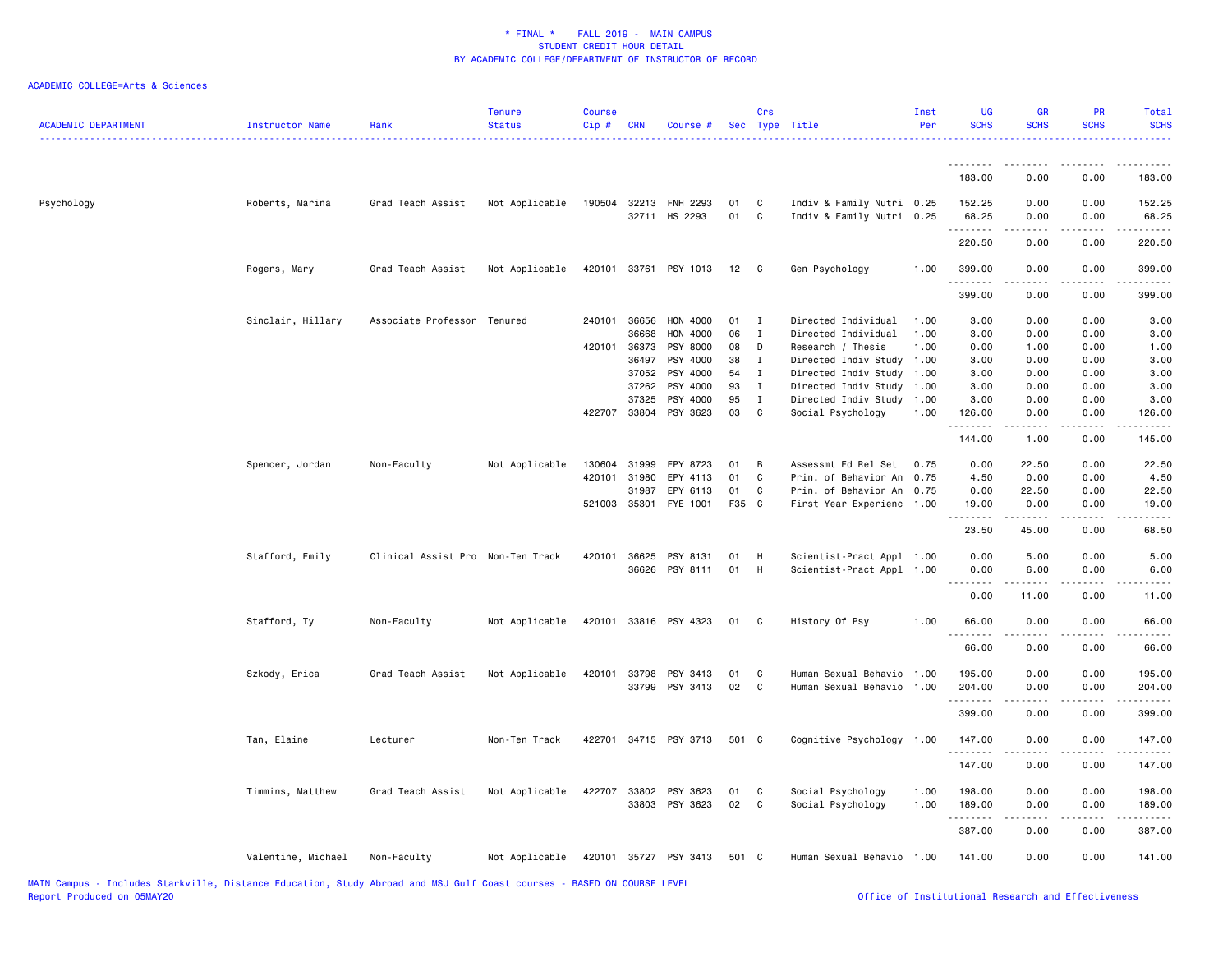| <b>ACADEMIC DEPARTMENT</b> | Instructor Name    | Rank                              | <b>Tenure</b><br><b>Status</b> | <b>Course</b><br>Cip# | <b>CRN</b> | Course #                               |          | Crs          | Sec Type Title                                         | Inst<br>Per | <b>UG</b><br><b>SCHS</b> | <b>GR</b><br><b>SCHS</b> | <b>PR</b><br><b>SCHS</b>            | Total<br><b>SCHS</b> |
|----------------------------|--------------------|-----------------------------------|--------------------------------|-----------------------|------------|----------------------------------------|----------|--------------|--------------------------------------------------------|-------------|--------------------------|--------------------------|-------------------------------------|----------------------|
|                            |                    |                                   |                                |                       |            |                                        |          |              |                                                        |             | <u>.</u>                 |                          | - - - -                             | .                    |
|                            |                    |                                   |                                |                       |            |                                        |          |              |                                                        |             | 183.00                   | 0.00                     | 0.00                                | 183.00               |
| Psychology                 | Roberts, Marina    | Grad Teach Assist                 | Not Applicable                 |                       |            | 190504 32213 FNH 2293<br>32711 HS 2293 | 01<br>01 | C<br>C       | Indiv & Family Nutri 0.25<br>Indiv & Family Nutri 0.25 |             | 152.25<br>68.25<br>.     | 0.00<br>0.00<br>-----    | 0.00<br>0.00<br>بالمحام             | 152.25<br>68.25<br>. |
|                            |                    |                                   |                                |                       |            |                                        |          |              |                                                        |             | 220.50                   | 0.00                     | 0.00                                | 220.50               |
|                            | Rogers, Mary       | Grad Teach Assist                 | Not Applicable                 |                       |            | 420101 33761 PSY 1013                  | 12       | $\mathbf{C}$ | Gen Psychology                                         | 1.00        | 399.00<br>.              | 0.00<br><u>.</u>         | 0.00<br>$- - - -$                   | 399.00<br>.          |
|                            |                    |                                   |                                |                       |            |                                        |          |              |                                                        |             | 399.00                   | 0.00                     | 0.00                                | 399.00               |
|                            | Sinclair, Hillary  | Associate Professor Tenured       |                                | 240101 36656          |            | HON 4000                               | 01       | $\mathbf{I}$ | Directed Individual                                    | 1.00        | 3.00                     | 0.00                     | 0.00                                | 3.00                 |
|                            |                    |                                   |                                |                       | 36668      | HON 4000                               | 06       | $\mathbf{I}$ | Directed Individual                                    | 1.00        | 3.00                     | 0.00                     | 0.00                                | 3.00                 |
|                            |                    |                                   |                                | 420101                | 36373      | PSY 8000                               | 08       | D            | Research / Thesis                                      | 1.00        | 0.00                     | 1.00                     | 0.00                                | 1.00                 |
|                            |                    |                                   |                                |                       | 36497      | PSY 4000                               | 38       | Ι.           | Directed Indiv Study                                   | 1.00        | 3.00                     | 0.00                     | 0.00                                | 3.00                 |
|                            |                    |                                   |                                |                       | 37052      | PSY 4000                               | 54       | Ι            | Directed Indiv Study                                   | 1.00        | 3.00                     | 0.00                     | 0.00                                | 3.00                 |
|                            |                    |                                   |                                |                       | 37262      | PSY 4000                               | 93       | $\mathbf{I}$ | Directed Indiv Study                                   | 1.00        | 3.00                     | 0.00                     | 0.00                                | 3.00                 |
|                            |                    |                                   |                                |                       | 37325      | PSY 4000                               | 95       | I            | Directed Indiv Study                                   | 1.00        | 3.00                     | 0.00                     | 0.00                                | 3.00                 |
|                            |                    |                                   |                                | 422707 33804          |            | PSY 3623                               | 03       | C            | Social Psychology                                      | 1.00        | 126.00<br>.              | 0.00<br>.                | 0.00<br>$\sim$ $\sim$ $\sim$ $\sim$ | 126.00<br>22222      |
|                            |                    |                                   |                                |                       |            |                                        |          |              |                                                        |             | 144.00                   | 1.00                     | 0.00                                | 145.00               |
|                            | Spencer, Jordan    | Non-Faculty                       | Not Applicable                 | 130604 31999          |            | EPY 8723                               | 01       | B            | Assessmt Ed Rel Set                                    | 0.75        | 0.00                     | 22.50                    | 0.00                                | 22.50                |
|                            |                    |                                   |                                | 420101                | 31980      | EPY 4113                               | 01       | C            | Prin. of Behavior An                                   | 0.75        | 4.50                     | 0.00                     | 0.00                                | 4.50                 |
|                            |                    |                                   |                                |                       |            | EPY 6113                               |          |              | Prin. of Behavior An                                   |             |                          |                          |                                     |                      |
|                            |                    |                                   |                                |                       | 31987      |                                        | 01       | C            |                                                        | 0.75        | 0.00                     | 22.50                    | 0.00                                | 22.50                |
|                            |                    |                                   |                                | 521003 35301          |            | FYE 1001                               | F35 C    |              | First Year Experienc 1.00                              |             | 19.00<br>.               | 0.00                     | 0.00                                | 19.00<br>.           |
|                            |                    |                                   |                                |                       |            |                                        |          |              |                                                        |             | 23.50                    | 45.00                    | 0.00                                | 68.50                |
|                            | Stafford, Emily    | Clinical Assist Pro Non-Ten Track |                                | 420101 36625          |            | PSY 8131                               | 01       | H            | Scientist-Pract Appl 1.00                              |             | 0.00                     | 5.00                     | 0.00                                | 5.00                 |
|                            |                    |                                   |                                |                       | 36626      | PSY 8111                               | 01       | H            | Scientist-Pract Appl 1.00                              |             | 0.00                     | 6.00                     | 0.00                                | 6.00                 |
|                            |                    |                                   |                                |                       |            |                                        |          |              |                                                        |             | .<br>0.00                | 11.00                    | $\sim$ $\sim$ $\sim$ $\sim$<br>0.00 | 11.00                |
|                            | Stafford, Ty       | Non-Faculty                       | Not Applicable                 |                       |            | 420101 33816 PSY 4323                  | 01 C     |              | History Of Psy                                         | 1.00        | 66.00                    | 0.00                     | 0.00                                | 66.00                |
|                            |                    |                                   |                                |                       |            |                                        |          |              |                                                        |             | .<br>66.00               | -----<br>0.00            | .<br>0.00                           | .<br>66.00           |
|                            |                    |                                   |                                |                       |            |                                        |          |              |                                                        |             |                          |                          |                                     |                      |
|                            | Szkody, Erica      | Grad Teach Assist                 | Not Applicable                 | 420101 33798          |            | PSY 3413                               | 01       | C            | Human Sexual Behavio                                   | 1.00        | 195.00                   | 0.00                     | 0.00                                | 195.00               |
|                            |                    |                                   |                                |                       | 33799      | PSY 3413                               | 02       | C            | Human Sexual Behavio                                   | 1.00        | 204.00<br>1.1.1.1.1.1    | 0.00                     | 0.00<br>$\omega$ is $\omega$ in     | 204.00<br>.          |
|                            |                    |                                   |                                |                       |            |                                        |          |              |                                                        |             | 399.00                   | 0.00                     | 0.00                                | 399.00               |
|                            | Tan, Elaine        | Lecturer                          | Non-Ten Track                  |                       |            | 422701 34715 PSY 3713                  | 501 C    |              | Cognitive Psychology                                   | 1.00        | 147.00<br>.              | 0.00                     | 0.00                                | 147.00               |
|                            |                    |                                   |                                |                       |            |                                        |          |              |                                                        |             | 147.00                   | 0.00                     | 0.00                                | 147.00               |
|                            | Timmins, Matthew   | Grad Teach Assist                 | Not Applicable                 |                       |            | 422707 33802 PSY 3623                  | 01       | C            | Social Psychology                                      | 1.00        | 198.00                   | 0.00                     | 0.00                                | 198.00               |
|                            |                    |                                   |                                |                       |            |                                        |          |              |                                                        |             |                          |                          |                                     |                      |
|                            |                    |                                   |                                |                       |            | 33803 PSY 3623                         | 02       | <b>C</b>     | Social Psychology                                      | 1.00        | 189.00                   | 0.00                     | 0.00                                | 189.00               |
|                            |                    |                                   |                                |                       |            |                                        |          |              |                                                        |             | .<br>387.00              | .<br>0.00                | $\frac{1}{2}$<br>0.00               | .<br>387.00          |
|                            | Valentine, Michael | Non-Faculty                       | Not Applicable                 |                       |            | 420101 35727 PSY 3413                  | 501 C    |              | Human Sexual Behavio 1.00                              |             | 141.00                   | 0.00                     | 0.00                                | 141.00               |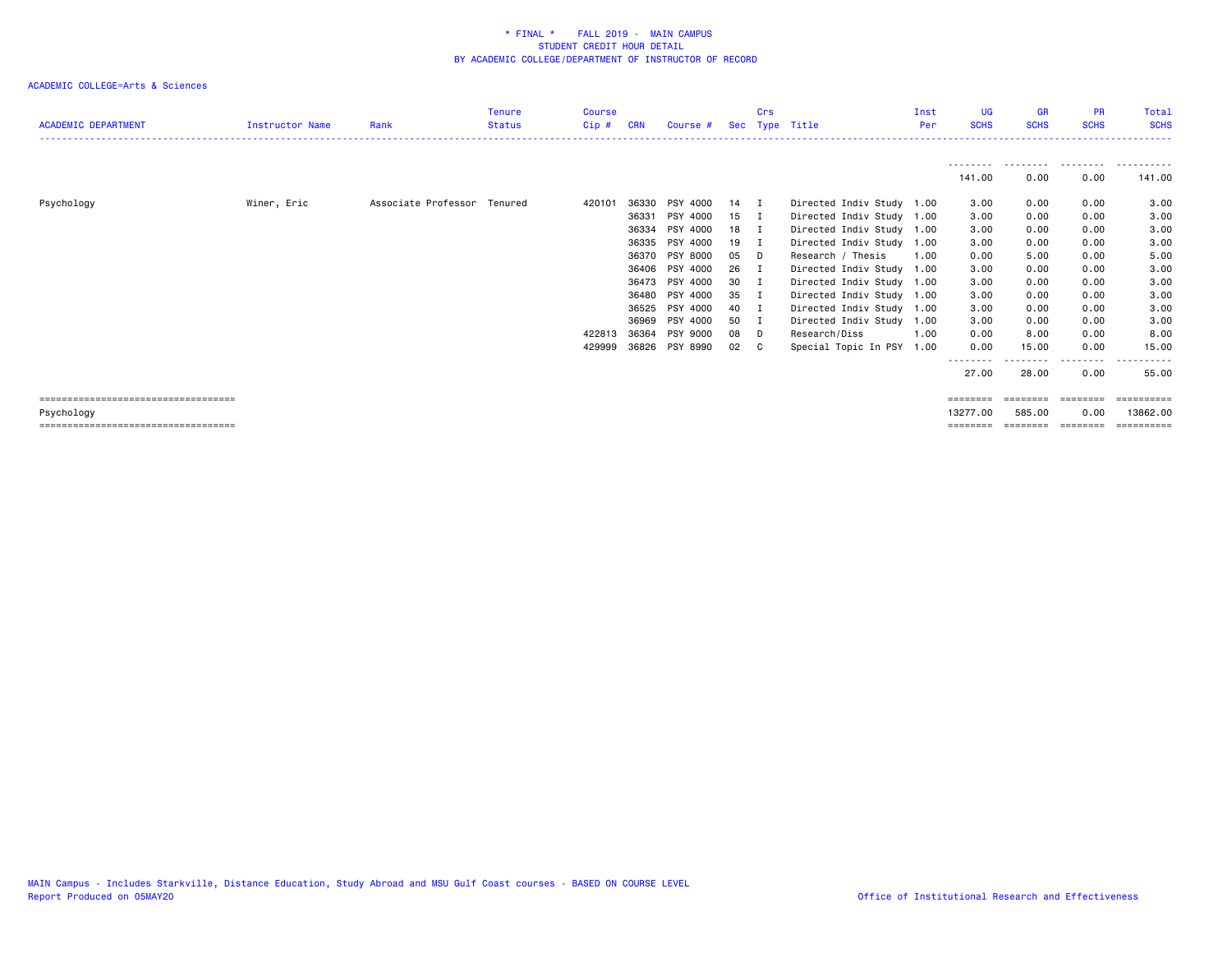| <b>ACADEMIC DEPARTMENT</b>            | <b>Instructor Name</b> | Rank                        | Tenure<br><b>Status</b> | Course<br>Cip# | <b>CRN</b> | Course #       |    | Crs | Sec Type Title            | Inst<br>Per | <b>UG</b><br><b>SCHS</b> | <b>GR</b><br><b>SCHS</b> | <b>PR</b><br><b>SCHS</b> | Total<br><b>SCHS</b>     |
|---------------------------------------|------------------------|-----------------------------|-------------------------|----------------|------------|----------------|----|-----|---------------------------|-------------|--------------------------|--------------------------|--------------------------|--------------------------|
|                                       |                        |                             |                         |                |            |                |    |     |                           |             | --------<br>141.00       | .<br>0.00                | .<br>0.00                | ----<br>------<br>141.00 |
| Psychology                            | Winer, Eric            | Associate Professor Tenured |                         | 420101         | 36330      | PSY 4000       | 14 | п   | Directed Indiv Study 1.00 |             | 3.00                     | 0.00                     | 0.00                     | 3.00                     |
|                                       |                        |                             |                         |                | 36331      | PSY 4000       | 15 | I   | Directed Indiv Study 1.00 |             | 3.00                     | 0.00                     | 0.00                     | 3.00                     |
|                                       |                        |                             |                         |                | 36334      | PSY 4000       | 18 | I   | Directed Indiv Study 1.00 |             | 3.00                     | 0.00                     | 0.00                     | 3.00                     |
|                                       |                        |                             |                         |                | 36335      | PSY 4000       | 19 | - 1 | Directed Indiv Study      | 1.00        | 3.00                     | 0.00                     | 0.00                     | 3.00                     |
|                                       |                        |                             |                         |                | 36370      | PSY 8000       | 05 | D   | Research / Thesis         | 1.00        | 0.00                     | 5.00                     | 0.00                     | 5.00                     |
|                                       |                        |                             |                         |                |            | 36406 PSY 4000 | 26 | I   | Directed Indiv Study 1.00 |             | 3.00                     | 0.00                     | 0.00                     | 3.00                     |
|                                       |                        |                             |                         |                | 36473      | PSY 4000       | 30 | I   | Directed Indiv Study 1.00 |             | 3.00                     | 0.00                     | 0.00                     | 3.00                     |
|                                       |                        |                             |                         |                | 36480      | PSY 4000       | 35 | I   | Directed Indiv Study 1.00 |             | 3.00                     | 0.00                     | 0.00                     | 3.00                     |
|                                       |                        |                             |                         |                | 36525      | PSY 4000       | 40 |     | Directed Indiv Study 1.00 |             | 3.00                     | 0.00                     | 0.00                     | 3.00                     |
|                                       |                        |                             |                         |                | 36969      | PSY 4000       | 50 | - 1 | Directed Indiv Study 1.00 |             | 3.00                     | 0.00                     | 0.00                     | 3.00                     |
|                                       |                        |                             |                         | 422813         | 36364      | PSY 9000       | 08 | D   | Research/Diss             | 1.00        | 0.00                     | 8.00                     | 0.00                     | 8.00                     |
|                                       |                        |                             |                         | 429999         |            | 36826 PSY 8990 | 02 | - C | Special Topic In PSY      | 1.00        | 0.00                     | 15.00                    | 0.00                     | 15.00                    |
|                                       |                        |                             |                         |                |            |                |    |     |                           |             | --------                 |                          | $\cdots$                 | .                        |
|                                       |                        |                             |                         |                |            |                |    |     |                           |             | 27.00                    | 28.00                    | 0.00                     | 55.00                    |
| ===================================== |                        |                             |                         |                |            |                |    |     |                           |             |                          |                          |                          | --------                 |
| Psychology                            |                        |                             |                         |                |            |                |    |     |                           |             | 13277.00                 | 585.00                   | 0.00                     | 13862,00                 |
| ===================================== |                        |                             |                         |                |            |                |    |     |                           |             | ========                 | ========                 | ========                 | ==========               |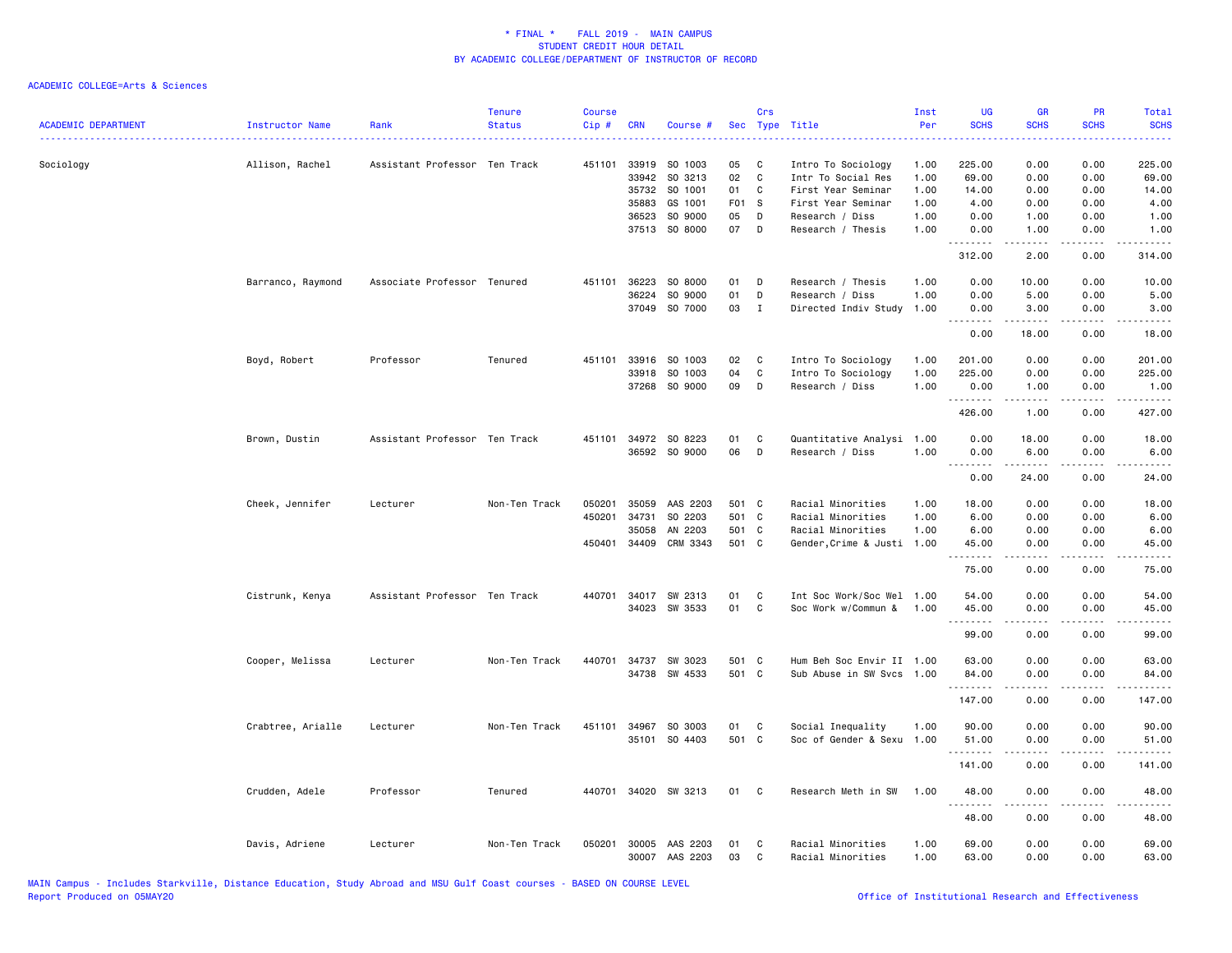| <b>ACADEMIC DEPARTMENT</b> | Instructor Name<br>. | Rank                          | <b>Tenure</b><br><b>Status</b> | <b>Course</b><br>$Cip$ # | <b>CRN</b>   | Course #                   | Sec      | Crs          | Type Title                             | Inst<br>Per  | UG<br><b>SCHS</b>       | <b>GR</b><br><b>SCHS</b>                                                                                                                                     | PR<br><b>SCHS</b>           | Total<br><b>SCHS</b>  |
|----------------------------|----------------------|-------------------------------|--------------------------------|--------------------------|--------------|----------------------------|----------|--------------|----------------------------------------|--------------|-------------------------|--------------------------------------------------------------------------------------------------------------------------------------------------------------|-----------------------------|-----------------------|
| Sociology                  | Allison, Rachel      | Assistant Professor Ten Track |                                | 451101                   | 33919        | SO 1003                    | 05       | C            | Intro To Sociology                     | 1.00         | 225.00                  | 0.00                                                                                                                                                         | 0.00                        | 225.00                |
|                            |                      |                               |                                |                          | 33942        | SO 3213                    | 02       | C            | Intr To Social Res                     | 1.00         | 69.00                   | 0.00                                                                                                                                                         | 0.00                        | 69.00                 |
|                            |                      |                               |                                |                          | 35732        | SO 1001                    | 01       | C            | First Year Seminar                     | 1.00         | 14.00                   | 0.00                                                                                                                                                         | 0.00                        | 14.00                 |
|                            |                      |                               |                                |                          | 35883        | GS 1001                    | F01 S    |              | First Year Seminar                     | 1.00         | 4.00                    | 0.00                                                                                                                                                         | 0.00                        | 4.00                  |
|                            |                      |                               |                                |                          | 36523        | SO 9000                    | 05       | D            | Research / Diss                        | 1.00         | 0.00                    | 1.00                                                                                                                                                         | 0.00                        | 1.00                  |
|                            |                      |                               |                                |                          |              | 37513 SO 8000              | 07       | $\mathsf{D}$ | Research / Thesis                      | 1.00         | 0.00<br><u>.</u>        | 1.00<br>$- - - - -$                                                                                                                                          | 0.00<br>.                   | 1.00<br>.             |
|                            |                      |                               |                                |                          |              |                            |          |              |                                        |              | 312.00                  | 2.00                                                                                                                                                         | 0.00                        | 314.00                |
|                            | Barranco, Raymond    | Associate Professor Tenured   |                                | 451101                   | 36223        | SO 8000                    | 01       | D            | Research / Thesis                      | 1.00         | 0.00                    | 10.00                                                                                                                                                        | 0.00                        | 10.00                 |
|                            |                      |                               |                                |                          | 36224        | SO 9000                    | 01       | D            | Research / Diss                        | 1.00         | 0.00                    | 5.00                                                                                                                                                         | 0.00                        | 5.00                  |
|                            |                      |                               |                                |                          |              | 37049 SO 7000              | 03       | $\mathbf{I}$ | Directed Indiv Study                   | 1.00         | 0.00<br>.               | 3.00<br>$\frac{1}{2} \left( \frac{1}{2} \right) \left( \frac{1}{2} \right) \left( \frac{1}{2} \right) \left( \frac{1}{2} \right) \left( \frac{1}{2} \right)$ | 0.00<br>.                   | 3.00<br>وكالمحامي     |
|                            |                      |                               |                                |                          |              |                            |          |              |                                        |              | 0.00                    | 18.00                                                                                                                                                        | 0.00                        | 18.00                 |
|                            | Boyd, Robert         | Professor                     | Tenured                        | 451101                   |              | 33916 SO 1003              | 02       | C            | Intro To Sociology                     | 1.00         | 201.00                  | 0.00                                                                                                                                                         | 0.00                        | 201.00                |
|                            |                      |                               |                                |                          | 33918        | SO 1003                    | 04       | $\mathtt{C}$ | Intro To Sociology                     | 1.00         | 225.00                  | 0.00                                                                                                                                                         | 0.00                        | 225.00                |
|                            |                      |                               |                                |                          |              | 37268 SO 9000              | 09       | D            | Research / Diss                        | 1.00         | 0.00<br><u>.</u>        | 1.00<br>.                                                                                                                                                    | 0.00<br>.                   | 1.00<br>$- - - - - -$ |
|                            |                      |                               |                                |                          |              |                            |          |              |                                        |              | 426.00                  | 1.00                                                                                                                                                         | 0.00                        | 427.00                |
|                            | Brown, Dustin        | Assistant Professor Ten Track |                                |                          |              | 451101 34972 SO 8223       | 01       | C            | Quantitative Analysi 1.00              |              | 0.00                    | 18.00                                                                                                                                                        | 0.00                        | 18.00                 |
|                            |                      |                               |                                |                          |              | 36592 SO 9000              | 06       | D            | Research / Diss                        | 1.00         | 0.00                    | 6.00                                                                                                                                                         | 0.00                        | 6.00                  |
|                            |                      |                               |                                |                          |              |                            |          |              |                                        |              | .<br>0.00               | $- - - - -$<br>24.00                                                                                                                                         | $- - - -$<br>0.00           | .<br>24.00            |
|                            | Cheek, Jennifer      | Lecturer                      | Non-Ten Track                  | 050201                   | 35059        | AAS 2203                   | 501 C    |              | Racial Minorities                      | 1.00         | 18.00                   | 0.00                                                                                                                                                         | 0.00                        | 18.00                 |
|                            |                      |                               |                                | 450201                   | 34731        | SO 2203                    | 501 C    |              | Racial Minorities                      | 1.00         | 6.00                    | 0.00                                                                                                                                                         | 0.00                        | 6.00                  |
|                            |                      |                               |                                |                          | 35058        | AN 2203                    | 501 C    |              | Racial Minorities                      | 1.00         | 6.00                    | 0.00                                                                                                                                                         | 0.00                        | 6.00                  |
|                            |                      |                               |                                |                          | 450401 34409 | CRM 3343                   | 501 C    |              | Gender, Crime & Justi 1.00             |              | 45.00<br>.              | 0.00<br>.                                                                                                                                                    | 0.00<br>.                   | 45.00<br>.            |
|                            |                      |                               |                                |                          |              |                            |          |              |                                        |              | 75.00                   | 0.00                                                                                                                                                         | 0.00                        | 75.00                 |
|                            | Cistrunk, Kenya      | Assistant Professor Ten Track |                                | 440701                   | 34017        | SW 2313                    | 01       | C            | Int Soc Work/Soc Wel                   | 1.00         | 54.00                   | 0.00                                                                                                                                                         | 0.00                        | 54.00                 |
|                            |                      |                               |                                |                          |              | 34023 SW 3533              | 01       | C            | Soc Work w/Commun &                    | 1.00         | 45.00                   | 0.00                                                                                                                                                         | 0.00                        | 45.00                 |
|                            |                      |                               |                                |                          |              |                            |          |              |                                        |              | .                       | .                                                                                                                                                            | $\sim$ $\sim$ $\sim$ $\sim$ | د د د د د             |
|                            |                      |                               |                                |                          |              |                            |          |              |                                        |              | 99.00                   | 0.00                                                                                                                                                         | 0.00                        | 99.00                 |
|                            | Cooper, Melissa      | Lecturer                      | Non-Ten Track                  | 440701                   | 34737        | SW 3023                    | 501 C    |              | Hum Beh Soc Envir II 1.00              |              | 63.00                   | 0.00                                                                                                                                                         | 0.00                        | 63.00                 |
|                            |                      |                               |                                |                          |              | 34738 SW 4533              | 501 C    |              | Sub Abuse in SW Svcs                   | 1.00         | 84.00                   | 0.00                                                                                                                                                         | 0.00                        | 84.00<br>.            |
|                            |                      |                               |                                |                          |              |                            |          |              |                                        |              | 147.00                  | 0.00                                                                                                                                                         | 0.00                        | 147.00                |
|                            | Crabtree, Arialle    | Lecturer                      | Non-Ten Track                  |                          |              | 451101 34967 SO 3003       | 01       | C            | Social Inequality                      | 1.00         | 90.00                   | 0.00                                                                                                                                                         | 0.00                        | 90.00                 |
|                            |                      |                               |                                |                          |              | 35101 SO 4403              | 501 C    |              | Soc of Gender & Sexu 1.00              |              | 51.00                   | 0.00                                                                                                                                                         | 0.00                        | 51.00                 |
|                            |                      |                               |                                |                          |              |                            |          |              |                                        |              | <u> - - - - - - - -</u> | .                                                                                                                                                            | .                           | .                     |
|                            |                      |                               |                                |                          |              |                            |          |              |                                        |              | 141.00                  | 0.00                                                                                                                                                         | 0.00                        | 141.00                |
|                            | Crudden, Adele       | Professor                     | Tenured                        | 440701                   |              | 34020 SW 3213              | 01       | $\mathbf{C}$ | Research Meth in SW                    | 1.00         | 48.00<br>.              | 0.00                                                                                                                                                         | 0.00<br>$\frac{1}{2}$       | 48.00<br>.            |
|                            |                      |                               |                                |                          |              |                            |          |              |                                        |              | 48.00                   | 0.00                                                                                                                                                         | 0.00                        | 48.00                 |
|                            | Davis, Adriene       | Lecturer                      | Non-Ten Track                  | 050201                   | 30005        | AAS 2203<br>30007 AAS 2203 | 01<br>03 | C<br>C       | Racial Minorities<br>Racial Minorities | 1.00<br>1.00 | 69.00<br>63.00          | 0.00<br>0.00                                                                                                                                                 | 0.00<br>0.00                | 69.00<br>63.00        |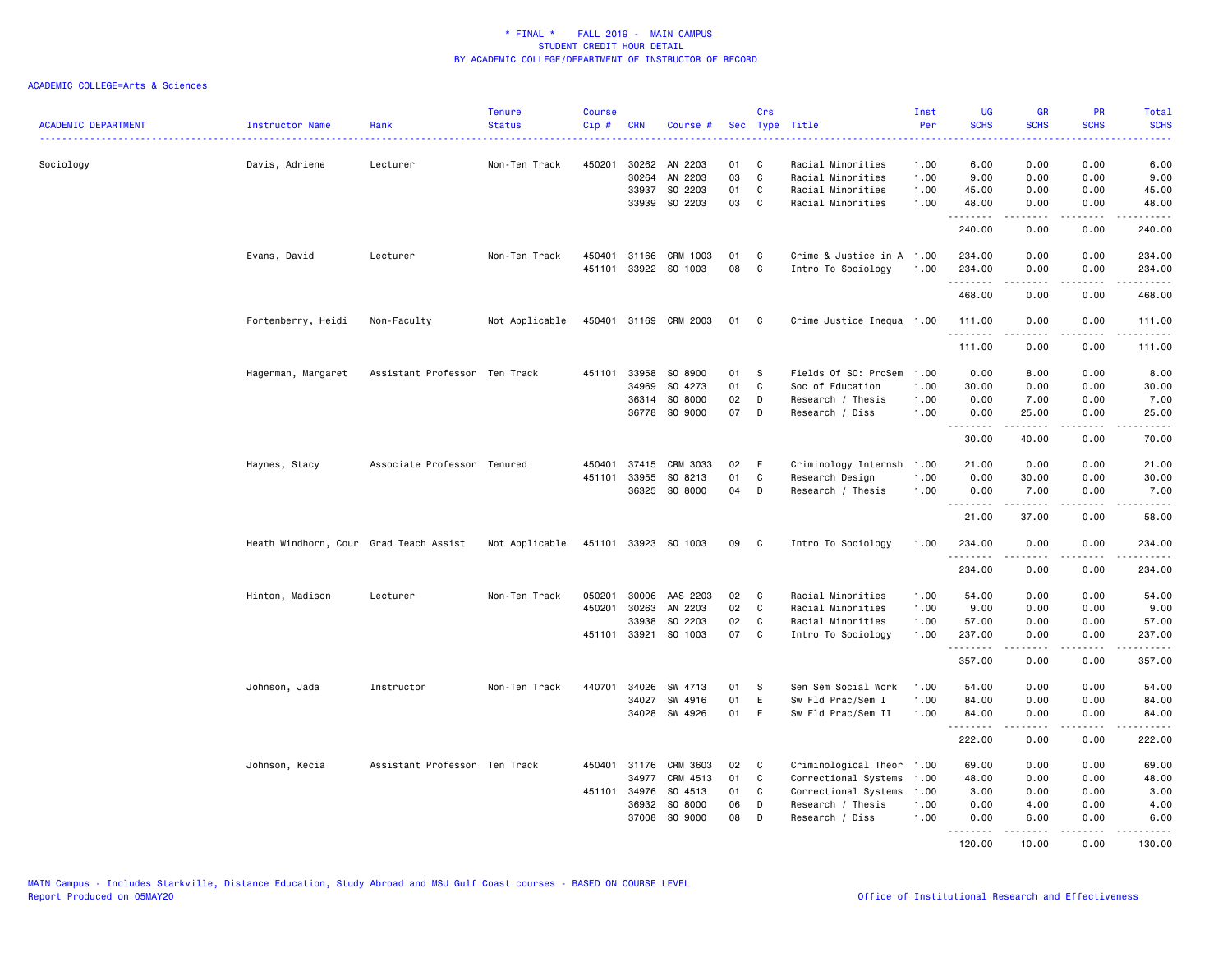| <b>ACADEMIC DEPARTMENT</b> | Instructor Name                        | Rank                          | <b>Tenure</b><br><b>Status</b> | <b>Course</b><br>Cip# | <b>CRN</b>   | Course #                 | Sec      | Crs          | Type Title                              | Inst<br>Per  | <b>UG</b><br><b>SCHS</b> | <b>GR</b><br><b>SCHS</b>                                                                                                                                      | PR<br><b>SCHS</b>                                                                                                                 | Total<br><b>SCHS</b>                                                                                                                                                                      |
|----------------------------|----------------------------------------|-------------------------------|--------------------------------|-----------------------|--------------|--------------------------|----------|--------------|-----------------------------------------|--------------|--------------------------|---------------------------------------------------------------------------------------------------------------------------------------------------------------|-----------------------------------------------------------------------------------------------------------------------------------|-------------------------------------------------------------------------------------------------------------------------------------------------------------------------------------------|
| Sociology                  | Davis, Adriene                         | Lecturer                      | Non-Ten Track                  | 450201                |              | 30262 AN 2203            | 01       | C.           | Racial Minorities                       | 1.00         | 6.00                     | 0.00                                                                                                                                                          | 0.00                                                                                                                              | 6.00                                                                                                                                                                                      |
|                            |                                        |                               |                                |                       | 30264        | AN 2203                  | 03       | C            | Racial Minorities                       | 1.00         | 9.00                     | 0.00                                                                                                                                                          | 0.00                                                                                                                              | 9.00                                                                                                                                                                                      |
|                            |                                        |                               |                                |                       | 33937        | SO 2203                  | 01       | $\mathbf{C}$ | Racial Minorities                       | 1.00         | 45.00                    | 0.00                                                                                                                                                          | 0.00                                                                                                                              | 45.00                                                                                                                                                                                     |
|                            |                                        |                               |                                |                       |              | 33939 SO 2203            | 03       | $\mathbf{C}$ | Racial Minorities                       | 1.00         | 48.00                    | 0.00                                                                                                                                                          | 0.00                                                                                                                              | 48.00                                                                                                                                                                                     |
|                            |                                        |                               |                                |                       |              |                          |          |              |                                         |              | .<br>240.00              | 0.00                                                                                                                                                          | .<br>0.00                                                                                                                         | .<br>240.00                                                                                                                                                                               |
|                            | Evans, David                           | Lecturer                      | Non-Ten Track                  | 450401                | 31166        | CRM 1003                 | 01       | C            | Crime & Justice in A 1.00               |              | 234.00                   | 0.00                                                                                                                                                          | 0.00                                                                                                                              | 234.00                                                                                                                                                                                    |
|                            |                                        |                               |                                | 451101                |              | 33922 SO 1003            | 08       | C            | Intro To Sociology                      | 1.00         | 234.00                   | 0.00                                                                                                                                                          | 0.00                                                                                                                              | 234.00                                                                                                                                                                                    |
|                            |                                        |                               |                                |                       |              |                          |          |              |                                         |              | .<br>468.00              | .<br>0.00                                                                                                                                                     | .<br>0.00                                                                                                                         | $\frac{1}{2} \left( \frac{1}{2} \right) \left( \frac{1}{2} \right) \left( \frac{1}{2} \right) \left( \frac{1}{2} \right) \left( \frac{1}{2} \right) \left( \frac{1}{2} \right)$<br>468.00 |
|                            | Fortenberry, Heidi                     | Non-Faculty                   | Not Applicable                 |                       |              | 450401 31169 CRM 2003    | 01       | $\mathbf{C}$ | Crime Justice Inequa 1.00               |              | 111.00                   | 0.00                                                                                                                                                          | 0.00                                                                                                                              | 111.00                                                                                                                                                                                    |
|                            |                                        |                               |                                |                       |              |                          |          |              |                                         |              | .<br>111.00              | 0.00                                                                                                                                                          | .<br>0.00                                                                                                                         | .<br>111.00                                                                                                                                                                               |
|                            | Hagerman, Margaret                     | Assistant Professor Ten Track |                                | 451101                | 33958        | SO 8900                  | 01       | <b>S</b>     | Fields Of SO: ProSem                    | 1.00         | 0.00                     | 8.00                                                                                                                                                          | 0.00                                                                                                                              | 8.00                                                                                                                                                                                      |
|                            |                                        |                               |                                |                       | 34969        | SO 4273                  | 01       | C            | Soc of Education                        | 1.00         | 30.00                    | 0.00                                                                                                                                                          | 0.00                                                                                                                              | 30.00                                                                                                                                                                                     |
|                            |                                        |                               |                                |                       | 36314        | SO 8000                  | 02       | D            | Research / Thesis                       | 1.00         | 0.00                     | 7.00                                                                                                                                                          | 0.00                                                                                                                              | 7.00                                                                                                                                                                                      |
|                            |                                        |                               |                                |                       |              | 36778 SO 9000            | 07       | D            | Research / Diss                         | 1.00         | 0.00                     | 25.00                                                                                                                                                         | 0.00                                                                                                                              | 25.00                                                                                                                                                                                     |
|                            |                                        |                               |                                |                       |              |                          |          |              |                                         |              | .<br>30.00               | $- - - - -$<br>40.00                                                                                                                                          | .<br>0.00                                                                                                                         | .<br>70.00                                                                                                                                                                                |
|                            | Haynes, Stacy                          | Associate Professor Tenured   |                                | 450401                | 37415        | CRM 3033                 | 02       | E            | Criminology Internsh                    | 1.00         | 21.00                    | 0.00                                                                                                                                                          | 0.00                                                                                                                              | 21.00                                                                                                                                                                                     |
|                            |                                        |                               |                                | 451101                | 33955        | SO 8213                  | 01       | $\mathtt{C}$ | Research Design                         | 1.00         | 0.00                     | 30.00                                                                                                                                                         | 0.00                                                                                                                              | 30.00                                                                                                                                                                                     |
|                            |                                        |                               |                                |                       |              | 36325 SO 8000            | 04       | D            | Research / Thesis                       | 1.00         | 0.00                     | 7.00                                                                                                                                                          | 0.00                                                                                                                              | 7.00                                                                                                                                                                                      |
|                            |                                        |                               |                                |                       |              |                          |          |              |                                         |              | .<br>21.00               | د د د د د<br>37.00                                                                                                                                            | .<br>0.00                                                                                                                         | د د د د د<br>58.00                                                                                                                                                                        |
|                            | Heath Windhorn, Cour Grad Teach Assist |                               | Not Applicable                 |                       |              | 451101 33923 SO 1003     | 09       | $\mathbf{C}$ | Intro To Sociology                      | 1.00         | 234.00                   | 0.00                                                                                                                                                          | 0.00                                                                                                                              | 234.00                                                                                                                                                                                    |
|                            |                                        |                               |                                |                       |              |                          |          |              |                                         |              | .<br>234.00              | 0.00                                                                                                                                                          | 0.00                                                                                                                              | $\begin{array}{cccccccccc} \bullet & \bullet & \bullet & \bullet & \bullet & \bullet & \bullet & \bullet \end{array}$<br>234.00                                                           |
|                            | Hinton, Madison                        | Lecturer                      | Non-Ten Track                  | 050201                | 30006        | AAS 2203                 | 02       | C            | Racial Minorities                       | 1.00         | 54.00                    | 0.00                                                                                                                                                          | 0.00                                                                                                                              | 54.00                                                                                                                                                                                     |
|                            |                                        |                               |                                | 450201                | 30263        | AN 2203                  | 02       | $\mathbf{C}$ | Racial Minorities                       | 1.00         | 9.00                     | 0.00                                                                                                                                                          | 0.00                                                                                                                              | 9.00                                                                                                                                                                                      |
|                            |                                        |                               |                                |                       | 33938        | SO 2203                  | 02       | $\mathbf{C}$ | Racial Minorities                       | 1.00         | 57.00                    | 0.00                                                                                                                                                          | 0.00                                                                                                                              | 57.00                                                                                                                                                                                     |
|                            |                                        |                               |                                |                       | 451101 33921 | SO 1003                  | 07       | $\mathbf{C}$ | Intro To Sociology                      | 1.00         | 237.00                   | 0.00                                                                                                                                                          | 0.00                                                                                                                              | 237.00                                                                                                                                                                                    |
|                            |                                        |                               |                                |                       |              |                          |          |              |                                         |              | .<br>357.00              | .<br>0.00                                                                                                                                                     | $\frac{1}{2} \left( \frac{1}{2} \right) \left( \frac{1}{2} \right) \left( \frac{1}{2} \right) \left( \frac{1}{2} \right)$<br>0.00 | .<br>357.00                                                                                                                                                                               |
|                            |                                        |                               |                                |                       |              |                          |          |              |                                         |              |                          |                                                                                                                                                               |                                                                                                                                   |                                                                                                                                                                                           |
|                            | Johnson, Jada                          | Instructor                    | Non-Ten Track                  | 440701                | 34026        | SW 4713                  | 01 S     |              | Sen Sem Social Work                     | 1.00         | 54.00                    | 0.00                                                                                                                                                          | 0.00                                                                                                                              | 54.00                                                                                                                                                                                     |
|                            |                                        |                               |                                |                       | 34027        | SW 4916<br>34028 SW 4926 | 01<br>01 | E<br>E       | Sw Fld Prac/Sem I<br>Sw Fld Prac/Sem II | 1.00<br>1.00 | 84.00<br>84.00           | 0.00<br>0.00                                                                                                                                                  | 0.00<br>0.00                                                                                                                      | 84.00<br>84.00                                                                                                                                                                            |
|                            |                                        |                               |                                |                       |              |                          |          |              |                                         |              | .                        | .                                                                                                                                                             | .                                                                                                                                 | .                                                                                                                                                                                         |
|                            |                                        |                               |                                |                       |              |                          |          |              |                                         |              | 222.00                   | 0.00                                                                                                                                                          | 0.00                                                                                                                              | 222.00                                                                                                                                                                                    |
|                            | Johnson, Kecia                         | Assistant Professor Ten Track |                                |                       | 450401 31176 | <b>CRM 3603</b>          | 02       | C            | Criminological Theor 1.00               |              | 69.00                    | 0.00                                                                                                                                                          | 0.00                                                                                                                              | 69.00                                                                                                                                                                                     |
|                            |                                        |                               |                                |                       | 34977        | CRM 4513                 | 01       | C            | Correctional Systems                    | 1.00         | 48.00                    | 0.00                                                                                                                                                          | 0.00                                                                                                                              | 48.00                                                                                                                                                                                     |
|                            |                                        |                               |                                | 451101                | 34976        | SO 4513                  | 01       | C            | Correctional Systems                    | 1.00         | 3.00                     | 0.00                                                                                                                                                          | 0.00                                                                                                                              | 3.00                                                                                                                                                                                      |
|                            |                                        |                               |                                |                       | 36932        | SO 8000                  | 06       | D            | Research / Thesis                       | 1.00         | 0.00                     | 4.00                                                                                                                                                          | 0.00                                                                                                                              | 4.00                                                                                                                                                                                      |
|                            |                                        |                               |                                |                       | 37008        | SO 9000                  | 08       | D            | Research / Diss                         | 1.00         | 0.00                     | 6.00                                                                                                                                                          | 0.00                                                                                                                              | 6.00                                                                                                                                                                                      |
|                            |                                        |                               |                                |                       |              |                          |          |              |                                         |              | <u>.</u><br>120.00       | $\frac{1}{2} \left( \frac{1}{2} \right) \left( \frac{1}{2} \right) \left( \frac{1}{2} \right) \left( \frac{1}{2} \right) \left( \frac{1}{2} \right)$<br>10.00 | .<br>0.00                                                                                                                         | .<br>130.00                                                                                                                                                                               |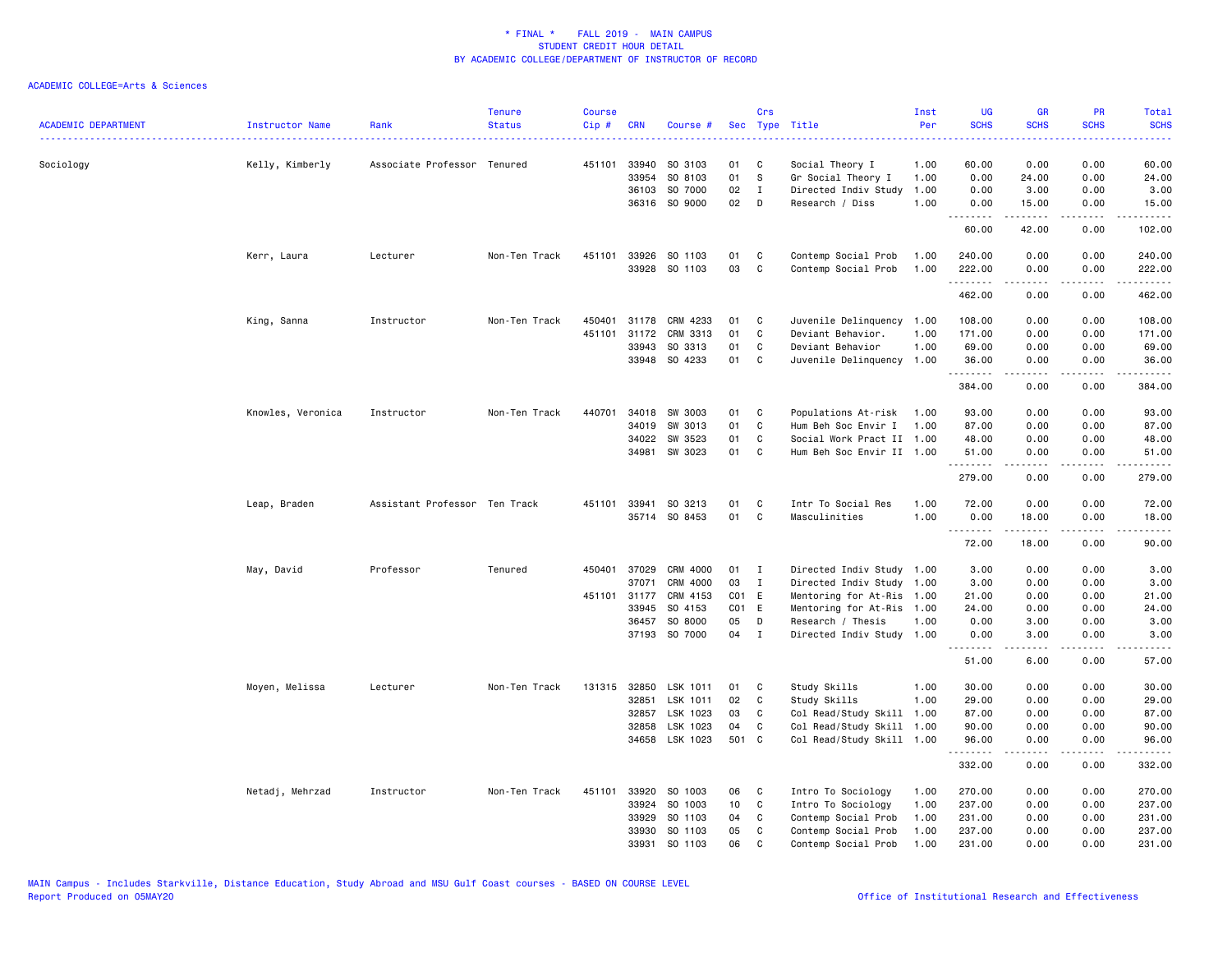| <b>ACADEMIC DEPARTMENT</b> | Instructor Name   | Rank                          | <b>Tenure</b><br><b>Status</b> | <b>Course</b><br>Cip# | <b>CRN</b>   | Course #      |                 | Crs          | Sec Type Title            | Inst<br>Per | <b>UG</b><br><b>SCHS</b> | <b>GR</b><br><b>SCHS</b> | <b>PR</b><br><b>SCHS</b> | <b>Total</b><br><b>SCHS</b> |
|----------------------------|-------------------|-------------------------------|--------------------------------|-----------------------|--------------|---------------|-----------------|--------------|---------------------------|-------------|--------------------------|--------------------------|--------------------------|-----------------------------|
|                            | <u>.</u>          |                               |                                |                       |              |               |                 |              |                           |             |                          |                          |                          | ----                        |
| Sociology                  | Kelly, Kimberly   | Associate Professor Tenured   |                                |                       | 451101 33940 | SO 3103       | 01              | C            | Social Theory I           | 1.00        | 60.00                    | 0.00                     | 0.00                     | 60.00                       |
|                            |                   |                               |                                |                       | 33954        | SO 8103       | 01              | s            | Gr Social Theory I        | 1.00        | 0.00                     | 24.00                    | 0.00                     | 24.00                       |
|                            |                   |                               |                                |                       | 36103        | SO 7000       | 02              | $\mathbf{I}$ | Directed Indiv Study      | 1.00        | 0.00                     | 3.00                     | 0.00                     | 3.00                        |
|                            |                   |                               |                                |                       |              | 36316 SO 9000 | 02              | D            | Research / Diss           | 1.00        | 0.00<br>.                | 15.00<br>-----           | 0.00                     | 15.00<br>.                  |
|                            |                   |                               |                                |                       |              |               |                 |              |                           |             | 60.00                    | 42.00                    | 0.00                     | 102.00                      |
|                            | Kerr, Laura       | Lecturer                      | Non-Ten Track                  |                       | 451101 33926 | SO 1103       | 01              | C            | Contemp Social Prob       | 1.00        | 240.00                   | 0.00                     | 0.00                     | 240.00                      |
|                            |                   |                               |                                |                       | 33928        | SO 1103       | 03              | C            | Contemp Social Prob       | 1.00        | 222.00<br>.              | 0.00<br><u>.</u>         | 0.00<br>.                | 222.00<br>.                 |
|                            |                   |                               |                                |                       |              |               |                 |              |                           |             | 462.00                   | 0.00                     | 0.00                     | 462.00                      |
|                            | King, Sanna       | Instructor                    | Non-Ten Track                  | 450401                | 31178        | CRM 4233      | 01              | C            | Juvenile Delinquency      | 1.00        | 108.00                   | 0.00                     | 0.00                     | 108.00                      |
|                            |                   |                               |                                | 451101                | 31172        | CRM 3313      | 01              | C            | Deviant Behavior.         | 1.00        | 171.00                   | 0.00                     | 0.00                     | 171.00                      |
|                            |                   |                               |                                |                       | 33943        | SO 3313       | 01              | C            | Deviant Behavior          | 1.00        | 69.00                    | 0.00                     | 0.00                     | 69.00                       |
|                            |                   |                               |                                |                       | 33948        | SO 4233       | 01              | C            | Juvenile Delinquency      | 1.00        | 36.00<br>.               | 0.00                     | 0.00                     | 36.00<br>$- - - - -$        |
|                            |                   |                               |                                |                       |              |               |                 |              |                           |             | 384.00                   | 0.00                     | 0.00                     | 384.00                      |
|                            | Knowles, Veronica | Instructor                    | Non-Ten Track                  | 440701                | 34018        | SW 3003       | 01              | C            | Populations At-risk       | 1.00        | 93.00                    | 0.00                     | 0.00                     | 93.00                       |
|                            |                   |                               |                                |                       | 34019        | SW 3013       | 01              | C            | Hum Beh Soc Envir I       | 1.00        | 87.00                    | 0.00                     | 0.00                     | 87.00                       |
|                            |                   |                               |                                |                       | 34022        | SW 3523       | 01              | C            | Social Work Pract II 1.00 |             | 48.00                    | 0.00                     | 0.00                     | 48.00                       |
|                            |                   |                               |                                |                       | 34981        | SW 3023       | 01              | $\mathbf{C}$ | Hum Beh Soc Envir II 1.00 |             | 51.00                    | 0.00                     | 0.00                     | 51.00                       |
|                            |                   |                               |                                |                       |              |               |                 |              |                           |             | .<br>279.00              | -----<br>0.00            | .<br>0.00                | .<br>279.00                 |
|                            | Leap, Braden      | Assistant Professor Ten Track |                                |                       | 451101 33941 | SO 3213       | 01              | C            | Intr To Social Res        | 1.00        | 72.00                    | 0.00                     | 0.00                     | 72.00                       |
|                            |                   |                               |                                |                       |              | 35714 SO 8453 | 01              | C            | Masculinities             | 1.00        | 0.00                     | 18.00                    | 0.00                     | 18.00                       |
|                            |                   |                               |                                |                       |              |               |                 |              |                           |             | .<br>72.00               | $\sim$<br>18.00          | $- - - -$<br>0.00        | .<br>90.00                  |
|                            | May, David        | Professor                     | Tenured                        | 450401                | 37029        | CRM 4000      | 01              | $\mathbf{I}$ | Directed Indiv Study 1.00 |             | 3.00                     | 0.00                     | 0.00                     | 3.00                        |
|                            |                   |                               |                                |                       | 37071        | CRM 4000      | 03              | I            | Directed Indiv Study 1.00 |             | 3.00                     | 0.00                     | 0.00                     | 3.00                        |
|                            |                   |                               |                                |                       | 451101 31177 | CRM 4153      | C01 E           |              | Mentoring for At-Ris      | 1.00        | 21.00                    | 0.00                     | 0.00                     | 21.00                       |
|                            |                   |                               |                                |                       | 33945        | SO 4153       | CO1 E           |              | Mentoring for At-Ris 1.00 |             | 24.00                    | 0.00                     | 0.00                     | 24.00                       |
|                            |                   |                               |                                |                       | 36457        | SO 8000       | 05              | D            | Research / Thesis         | 1.00        | 0.00                     | 3.00                     | 0.00                     | 3.00                        |
|                            |                   |                               |                                |                       |              | 37193 SO 7000 | 04              | $\mathbf{I}$ | Directed Indiv Study 1.00 |             | 0.00<br>المتمالين        | 3.00                     | 0.00<br>----             | 3.00                        |
|                            |                   |                               |                                |                       |              |               |                 |              |                           |             | 51.00                    | 6.00                     | 0.00                     | 57.00                       |
|                            | Moyen, Melissa    | Lecturer                      | Non-Ten Track                  |                       | 131315 32850 | LSK 1011      | 01              | C            | Study Skills              | 1.00        | 30.00                    | 0.00                     | 0.00                     | 30.00                       |
|                            |                   |                               |                                |                       | 32851        | LSK 1011      | 02              | C            | Study Skills              | 1.00        | 29.00                    | 0.00                     | 0.00                     | 29.00                       |
|                            |                   |                               |                                |                       | 32857        | LSK 1023      | 03              | C            | Col Read/Study Skill      | 1.00        | 87.00                    | 0.00                     | 0.00                     | 87.00                       |
|                            |                   |                               |                                |                       | 32858        | LSK 1023      | 04              | C            | Col Read/Study Skill      | 1.00        | 90.00                    | 0.00                     | 0.00                     | 90.00                       |
|                            |                   |                               |                                |                       | 34658        | LSK 1023      | 501 C           |              | Col Read/Study Skill 1.00 |             | 96.00<br>.               | 0.00                     | 0.00                     | 96.00<br>$   -$             |
|                            |                   |                               |                                |                       |              |               |                 |              |                           |             | 332.00                   | 0.00                     | 0.00                     | 332.00                      |
|                            | Netadj, Mehrzad   | Instructor                    | Non-Ten Track                  | 451101                | 33920        | SO 1003       | 06              | C            | Intro To Sociology        | 1.00        | 270.00                   | 0.00                     | 0.00                     | 270.00                      |
|                            |                   |                               |                                |                       | 33924        | SO 1003       | 10 <sub>1</sub> | C            | Intro To Sociology        | 1.00        | 237.00                   | 0.00                     | 0.00                     | 237.00                      |
|                            |                   |                               |                                |                       | 33929        | SO 1103       | 04              | C            | Contemp Social Prob       | 1.00        | 231.00                   | 0.00                     | 0.00                     | 231.00                      |
|                            |                   |                               |                                |                       | 33930        | SO 1103       | 05              | C            | Contemp Social Prob       | 1.00        | 237.00                   | 0.00                     | 0.00                     | 237.00                      |
|                            |                   |                               |                                |                       | 33931        | SO 1103       | 06              | $\mathbf{C}$ | Contemp Social Prob       | 1.00        | 231.00                   | 0.00                     | 0.00                     | 231.00                      |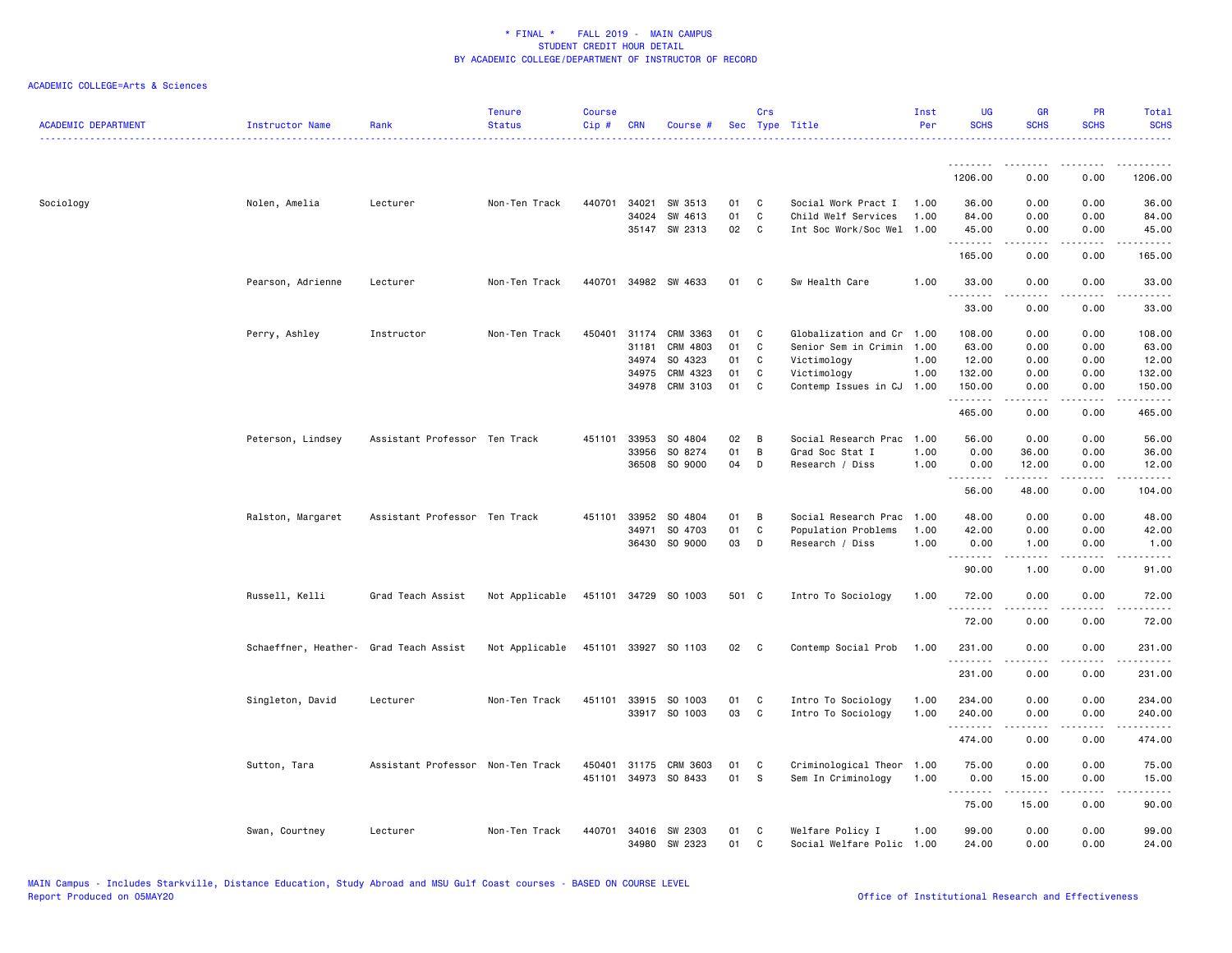| <b>ACADEMIC DEPARTMENT</b> | <b>Instructor Name</b>                 | Rank                              | <b>Tenure</b><br><b>Status</b> | <b>Course</b><br>Cip# | <b>CRN</b> | Course #                   |          | Crs               | Sec Type Title                                         | Inst<br>Per | <b>UG</b><br><b>SCHS</b> | <b>GR</b><br><b>SCHS</b>                                                                                                                                      | PR<br><b>SCHS</b> | Total<br><b>SCHS</b>                                                                                                  |
|----------------------------|----------------------------------------|-----------------------------------|--------------------------------|-----------------------|------------|----------------------------|----------|-------------------|--------------------------------------------------------|-------------|--------------------------|---------------------------------------------------------------------------------------------------------------------------------------------------------------|-------------------|-----------------------------------------------------------------------------------------------------------------------|
|                            |                                        |                                   |                                |                       |            |                            |          |                   |                                                        |             | .<br>1206.00             | 0.00                                                                                                                                                          | 0.00              | 1206.00                                                                                                               |
|                            |                                        |                                   |                                |                       |            |                            |          |                   |                                                        |             |                          |                                                                                                                                                               |                   |                                                                                                                       |
| Sociology                  | Nolen, Amelia                          | Lecturer                          | Non-Ten Track                  | 440701                | 34021      | SW 3513                    | 01       | C                 | Social Work Pract I                                    | 1.00        | 36.00                    | 0.00                                                                                                                                                          | 0.00              | 36.00                                                                                                                 |
|                            |                                        |                                   |                                |                       | 34024      | SW 4613<br>35147 SW 2313   | 01<br>02 | C<br>$\mathbf{C}$ | Child Welf Services<br>Int Soc Work/Soc Wel 1.00       | 1.00        | 84.00<br>45.00           | 0.00<br>0.00                                                                                                                                                  | 0.00<br>0.00      | 84.00<br>45.00                                                                                                        |
|                            |                                        |                                   |                                |                       |            |                            |          |                   |                                                        |             | <u>.</u>                 | .                                                                                                                                                             | $\frac{1}{2}$     | .                                                                                                                     |
|                            |                                        |                                   |                                |                       |            |                            |          |                   |                                                        |             | 165.00                   | 0.00                                                                                                                                                          | 0.00              | 165.00                                                                                                                |
|                            |                                        |                                   | Non-Ten Track                  |                       |            | 440701 34982 SW 4633       | 01 C     |                   | Sw Health Care                                         |             | 33.00                    | 0.00                                                                                                                                                          | 0.00              | 33.00                                                                                                                 |
|                            | Pearson, Adrienne                      | Lecturer                          |                                |                       |            |                            |          |                   |                                                        | 1.00        |                          |                                                                                                                                                               |                   |                                                                                                                       |
|                            |                                        |                                   |                                |                       |            |                            |          |                   |                                                        |             | 33.00                    | 0.00                                                                                                                                                          | 0.00              | 33.00                                                                                                                 |
|                            |                                        |                                   |                                |                       |            |                            |          |                   |                                                        |             |                          |                                                                                                                                                               |                   |                                                                                                                       |
|                            | Perry, Ashley                          | Instructor                        | Non-Ten Track                  | 450401                | 31181      | 31174 CRM 3363<br>CRM 4803 | 01<br>01 | C<br>C            | Globalization and Cr 1.00<br>Senior Sem in Crimin 1.00 |             | 108.00                   | 0.00                                                                                                                                                          | 0.00<br>0.00      | 108.00<br>63.00                                                                                                       |
|                            |                                        |                                   |                                |                       | 34974      | SO 4323                    | 01       | C                 | Victimology                                            | 1.00        | 63.00<br>12.00           | 0.00<br>0.00                                                                                                                                                  | 0.00              | 12.00                                                                                                                 |
|                            |                                        |                                   |                                |                       | 34975      | CRM 4323                   | 01       | C                 | Victimology                                            | 1.00        | 132.00                   | 0.00                                                                                                                                                          | 0.00              | 132.00                                                                                                                |
|                            |                                        |                                   |                                |                       |            | 34978 CRM 3103             | 01       | C                 | Contemp Issues in CJ                                   | 1.00        | 150.00                   | 0.00                                                                                                                                                          | 0.00              | 150.00                                                                                                                |
|                            |                                        |                                   |                                |                       |            |                            |          |                   |                                                        |             | .                        | .                                                                                                                                                             | .                 | .                                                                                                                     |
|                            |                                        |                                   |                                |                       |            |                            |          |                   |                                                        |             | 465.00                   | 0.00                                                                                                                                                          | 0.00              | 465.00                                                                                                                |
|                            |                                        |                                   |                                |                       |            |                            |          |                   |                                                        |             |                          |                                                                                                                                                               |                   |                                                                                                                       |
|                            | Peterson, Lindsey                      | Assistant Professor Ten Track     |                                | 451101                | 33953      | SO 4804                    | 02       | В                 | Social Research Prac                                   | 1.00        | 56.00                    | 0.00                                                                                                                                                          | 0.00              | 56.00                                                                                                                 |
|                            |                                        |                                   |                                |                       | 33956      | SO 8274                    | 01       | В                 | Grad Soc Stat I                                        | 1.00        | 0.00                     | 36.00                                                                                                                                                         | 0.00              | 36.00                                                                                                                 |
|                            |                                        |                                   |                                |                       |            | 36508 SO 9000              | 04       | D                 | Research / Diss                                        | 1.00        | 0.00<br><u>.</u>         | 12.00<br>$\frac{1}{2} \left( \frac{1}{2} \right) \left( \frac{1}{2} \right) \left( \frac{1}{2} \right) \left( \frac{1}{2} \right) \left( \frac{1}{2} \right)$ | 0.00<br>.         | 12.00<br>.                                                                                                            |
|                            |                                        |                                   |                                |                       |            |                            |          |                   |                                                        |             | 56.00                    | 48.00                                                                                                                                                         | 0.00              | 104.00                                                                                                                |
|                            |                                        |                                   |                                |                       |            |                            |          |                   |                                                        |             |                          |                                                                                                                                                               |                   |                                                                                                                       |
|                            | Ralston, Margaret                      | Assistant Professor Ten Track     |                                |                       |            | 451101 33952 SO 4804       | 01       | $\overline{B}$    | Social Research Prac                                   | 1.00        | 48.00                    | 0.00                                                                                                                                                          | 0.00              | 48.00                                                                                                                 |
|                            |                                        |                                   |                                |                       | 34971      | SO 4703                    | 01       | C                 | Population Problems                                    | 1.00        | 42.00                    | 0.00                                                                                                                                                          | 0.00              | 42.00                                                                                                                 |
|                            |                                        |                                   |                                |                       |            | 36430 SO 9000              | 03       | D                 | Research / Diss                                        | 1.00        | 0.00<br>.                | 1.00                                                                                                                                                          | 0.00              | 1.00<br>.                                                                                                             |
|                            |                                        |                                   |                                |                       |            |                            |          |                   |                                                        |             | 90.00                    | 1.00                                                                                                                                                          | 0.00              | 91.00                                                                                                                 |
|                            |                                        |                                   |                                |                       |            |                            |          |                   |                                                        |             |                          |                                                                                                                                                               |                   |                                                                                                                       |
|                            | Russell, Kelli                         | Grad Teach Assist                 | Not Applicable                 |                       |            | 451101 34729 SO 1003       | 501 C    |                   | Intro To Sociology                                     | 1.00        | 72.00                    | 0.00                                                                                                                                                          | 0.00              | 72.00                                                                                                                 |
|                            |                                        |                                   |                                |                       |            |                            |          |                   |                                                        |             | 72.00                    | 0.00                                                                                                                                                          | - - - -<br>0.00   | $\frac{1}{2}$<br>72.00                                                                                                |
|                            |                                        |                                   |                                |                       |            |                            |          |                   |                                                        |             |                          |                                                                                                                                                               |                   |                                                                                                                       |
|                            | Schaeffner, Heather- Grad Teach Assist |                                   | Not Applicable                 |                       |            | 451101 33927 SO 1103       | 02 C     |                   | Contemp Social Prob                                    | 1.00        | 231.00                   | 0.00                                                                                                                                                          | 0.00              | 231.00                                                                                                                |
|                            |                                        |                                   |                                |                       |            |                            |          |                   |                                                        |             | <u>.</u>                 | $- - - - -$                                                                                                                                                   | .                 | <u>.</u>                                                                                                              |
|                            |                                        |                                   |                                |                       |            |                            |          |                   |                                                        |             | 231.00                   | 0.00                                                                                                                                                          | 0.00              | 231.00                                                                                                                |
|                            | Singleton, David                       | Lecturer                          | Non-Ten Track                  | 451101                |            | 33915 SO 1003              | 01       | C                 | Intro To Sociology                                     | 1.00        | 234.00                   | 0.00                                                                                                                                                          | 0.00              | 234.00                                                                                                                |
|                            |                                        |                                   |                                |                       |            | 33917 SO 1003              | 03       | $\mathbf{C}$      | Intro To Sociology                                     | 1.00        | 240.00                   | 0.00                                                                                                                                                          | 0.00              | 240.00                                                                                                                |
|                            |                                        |                                   |                                |                       |            |                            |          |                   |                                                        |             | .                        |                                                                                                                                                               |                   | $\begin{array}{cccccccccc} \bullet & \bullet & \bullet & \bullet & \bullet & \bullet & \bullet & \bullet \end{array}$ |
|                            |                                        |                                   |                                |                       |            |                            |          |                   |                                                        |             | 474.00                   | 0.00                                                                                                                                                          | 0.00              | 474.00                                                                                                                |
|                            |                                        |                                   |                                |                       |            |                            |          |                   |                                                        |             |                          |                                                                                                                                                               |                   |                                                                                                                       |
|                            | Sutton, Tara                           | Assistant Professor Non-Ten Track |                                | 450401                |            | 31175 CRM 3603             | 01       | C                 | Criminological Theor                                   | 1.00        | 75.00                    | 0.00                                                                                                                                                          | 0.00              | 75.00                                                                                                                 |
|                            |                                        |                                   |                                | 451101                |            | 34973 SO 8433              | 01       | <b>S</b>          | Sem In Criminology                                     | 1.00        | 0.00                     | 15.00                                                                                                                                                         | 0.00              | 15.00                                                                                                                 |
|                            |                                        |                                   |                                |                       |            |                            |          |                   |                                                        |             | .<br>75.00               | $\sim$ 200 $\sim$ 200<br>15.00                                                                                                                                | .<br>0.00         | .<br>90.00                                                                                                            |
|                            |                                        |                                   |                                |                       |            |                            |          |                   |                                                        |             |                          |                                                                                                                                                               |                   |                                                                                                                       |
|                            | Swan, Courtney                         | Lecturer                          | Non-Ten Track                  | 440701                |            | 34016 SW 2303              | 01       | C                 | Welfare Policy I                                       | 1.00        | 99.00                    | 0.00                                                                                                                                                          | 0.00              | 99.00                                                                                                                 |
|                            |                                        |                                   |                                |                       |            | 34980 SW 2323              | 01       | C                 | Social Welfare Polic 1.00                              |             | 24.00                    | 0.00                                                                                                                                                          | 0.00              | 24.00                                                                                                                 |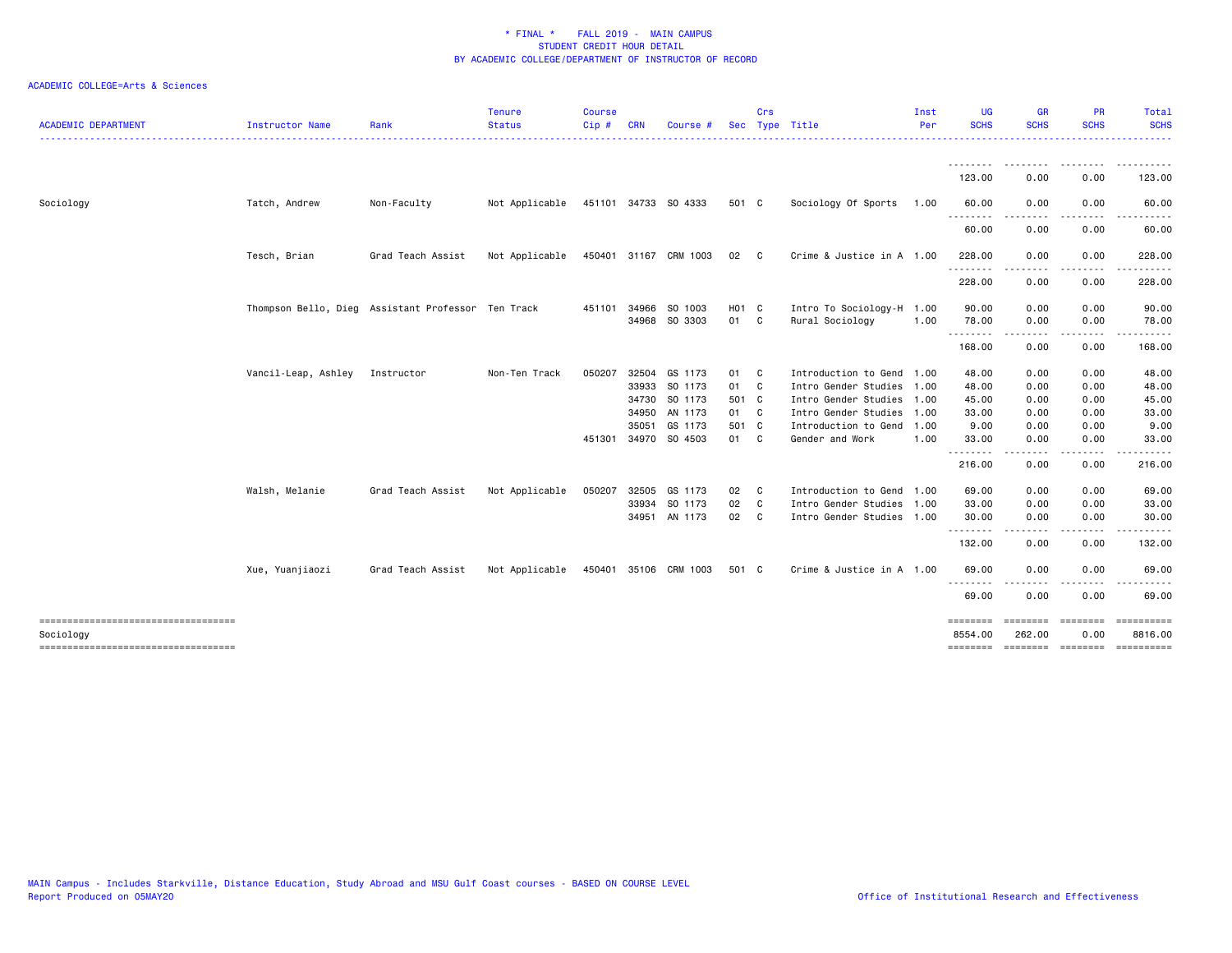| <b>ACADEMIC DEPARTMENT</b>          | Instructor Name     | Rank                                               | <b>Tenure</b><br><b>Status</b>      | <b>Course</b><br>Cip# | <b>CRN</b>   | Course                | <b>Sec</b> | Crs          | Type Title                | Inst<br>Per | <b>UG</b><br><b>SCHS</b> | <b>GR</b><br><b>SCHS</b> | <b>PR</b><br><b>SCHS</b> | Total<br><b>SCHS</b><br>------            |
|-------------------------------------|---------------------|----------------------------------------------------|-------------------------------------|-----------------------|--------------|-----------------------|------------|--------------|---------------------------|-------------|--------------------------|--------------------------|--------------------------|-------------------------------------------|
|                                     |                     |                                                    |                                     |                       |              |                       |            |              |                           |             | 123.00                   | 0.00                     | 0.00                     | 123.00                                    |
| Sociology                           | Tatch, Andrew       | Non-Faculty                                        | Not Applicable 451101 34733 SO 4333 |                       |              |                       | 501 C      |              | Sociology Of Sports       | 1.00        | 60.00                    | 0.00                     | 0.00                     | 60.00                                     |
|                                     |                     |                                                    |                                     |                       |              |                       |            |              |                           |             | .                        |                          |                          |                                           |
|                                     |                     |                                                    |                                     |                       |              |                       |            |              |                           |             | 60.00                    | 0.00                     | 0.00                     | 60.00                                     |
|                                     | Tesch, Brian        | Grad Teach Assist                                  | Not Applicable                      |                       |              | 450401 31167 CRM 1003 | 02         | $\mathbf{C}$ | Crime & Justice in A 1.00 |             | 228.00                   | 0.00                     | 0.00                     | 228.00                                    |
|                                     |                     |                                                    |                                     |                       |              |                       |            |              |                           |             | 228.00                   | 0.00                     | 0.00                     | 228.00                                    |
|                                     |                     | Thompson Bello, Dieg Assistant Professor Ten Track |                                     |                       | 451101 34966 | SO 1003               | H01 C      |              | Intro To Sociology-H 1.00 |             | 90.00                    | 0.00                     | 0.00                     | 90.00                                     |
|                                     |                     |                                                    |                                     |                       |              | 34968 SO 3303         | 01 C       |              | Rural Sociology           | 1.00        | 78.00                    | 0.00                     | 0.00                     | 78.00                                     |
|                                     |                     |                                                    |                                     |                       |              |                       |            |              |                           |             | .<br>168.00              | <u>.</u><br>0.00         | . <b>.</b> .<br>0.00     | 168.00                                    |
|                                     | Vancil-Leap, Ashley | Instructor                                         | Non-Ten Track                       | 050207                | 32504        | GS 1173               | 01 C       |              | Introduction to Gend 1.00 |             | 48.00                    | 0.00                     | 0.00                     | 48.00                                     |
|                                     |                     |                                                    |                                     |                       |              | 33933 SO 1173         | 01 C       |              | Intro Gender Studies 1.00 |             | 48.00                    | 0.00                     | 0.00                     | 48.00                                     |
|                                     |                     |                                                    |                                     |                       | 34730        | SO 1173               | 501 C      |              | Intro Gender Studies 1.00 |             | 45.00                    | 0.00                     | 0.00                     | 45.00                                     |
|                                     |                     |                                                    |                                     |                       | 34950        | AN 1173               | 01 C       |              | Intro Gender Studies 1.00 |             | 33.00                    | 0.00                     | 0.00                     | 33.00                                     |
|                                     |                     |                                                    |                                     |                       | 35051        | GS 1173               | 501 C      |              | Introduction to Gend 1.00 |             | 9.00                     | 0.00                     | 0.00                     | 9.00                                      |
|                                     |                     |                                                    |                                     | 451301                |              | 34970 SO 4503         | 01 C       |              | Gender and Work           | 1.00        | 33.00<br>.               | 0.00                     | 0.00                     | 33.00                                     |
|                                     |                     |                                                    |                                     |                       |              |                       |            |              |                           |             | 216.00                   | 0.00                     | 0.00                     | 216.00                                    |
|                                     | Walsh, Melanie      | Grad Teach Assist                                  | Not Applicable                      | 050207                | 32505        | GS 1173               | 02         | $\mathbf{C}$ | Introduction to Gend 1.00 |             | 69.00                    | 0.00                     | 0.00                     | 69.00                                     |
|                                     |                     |                                                    |                                     |                       | 33934        | SO 1173               | 02 C       |              | Intro Gender Studies 1.00 |             | 33.00                    | 0.00                     | 0.00                     | 33.00                                     |
|                                     |                     |                                                    |                                     |                       |              | 34951 AN 1173         | 02 C       |              | Intro Gender Studies 1.00 |             | 30.00                    | 0.00                     | 0.00                     | 30.00                                     |
|                                     |                     |                                                    |                                     |                       |              |                       |            |              |                           |             | .<br>132.00              | 0.00                     | .<br>0.00                | 132.00                                    |
|                                     | Xue, Yuanjiaozi     | Grad Teach Assist                                  | Not Applicable                      |                       |              | 450401 35106 CRM 1003 | 501 C      |              | Crime & Justice in A 1.00 |             | 69.00                    | 0.00                     | 0.00                     | 69.00                                     |
|                                     |                     |                                                    |                                     |                       |              |                       |            |              |                           |             | $\frac{1}{2}$<br>69.00   | 0.00                     | 0.00                     | 69.00                                     |
| Sociology                           |                     |                                                    |                                     |                       |              |                       |            |              |                           |             | ========<br>8554.00      | 262.00                   | 0.00                     | ========= ========= ==========<br>8816.00 |
| ----------------------------------- |                     |                                                    |                                     |                       |              |                       |            |              |                           |             | ========                 |                          | -------- -------         | ==========                                |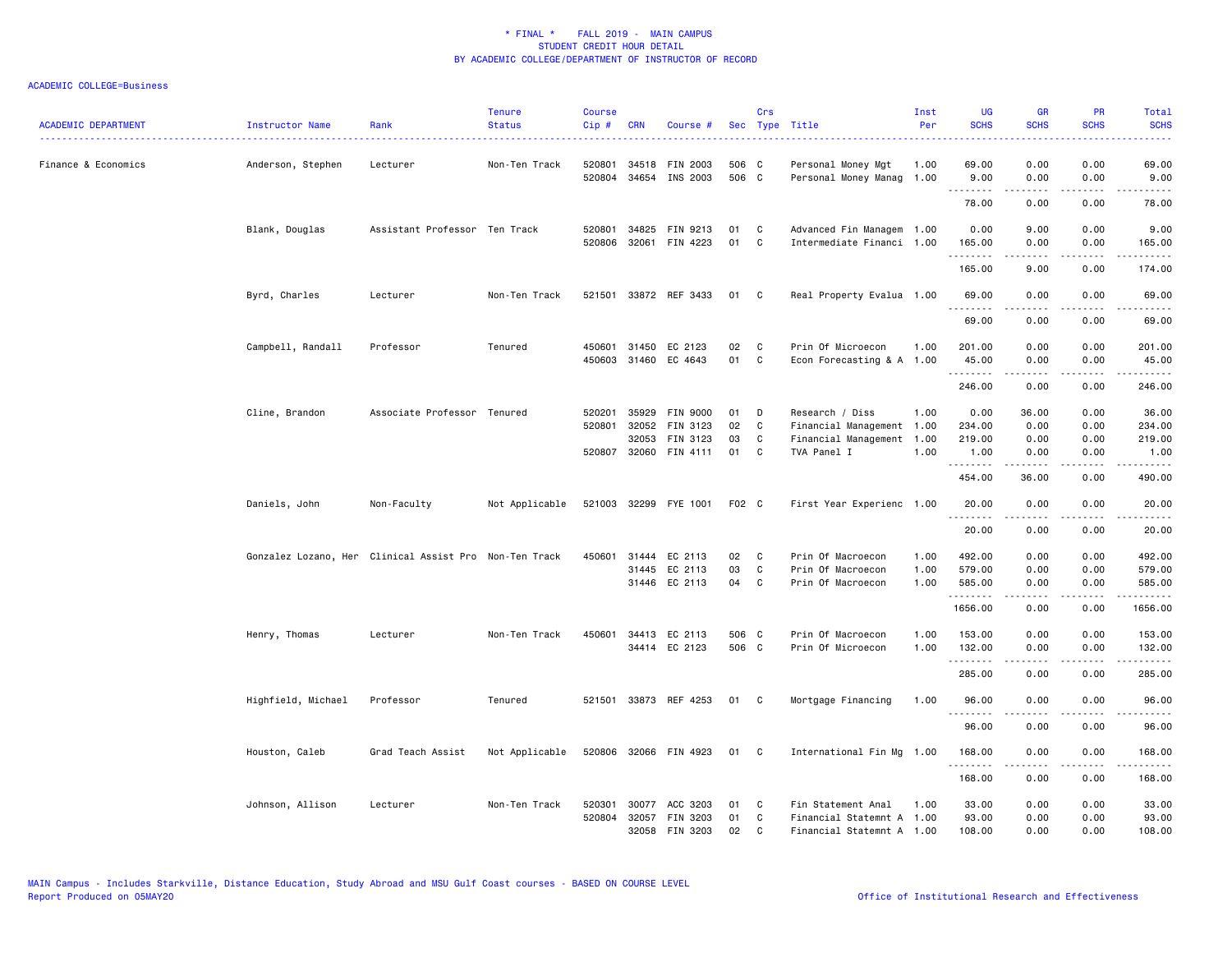| <b>ACADEMIC DEPARTMENT</b> | Instructor Name    | Rank                                                   | <b>Tenure</b><br><b>Status</b> | <b>Course</b><br>Cip# | <b>CRN</b>            | Course #                          |                | Crs          | Sec Type Title                                         | Inst<br>Per  | UG<br><b>SCHS</b>   | <b>GR</b><br><b>SCHS</b> | <b>PR</b><br><b>SCHS</b>                    | Total<br><b>SCHS</b>                                                                                                  |
|----------------------------|--------------------|--------------------------------------------------------|--------------------------------|-----------------------|-----------------------|-----------------------------------|----------------|--------------|--------------------------------------------------------|--------------|---------------------|--------------------------|---------------------------------------------|-----------------------------------------------------------------------------------------------------------------------|
| Finance & Economics        | Anderson, Stephen  | Lecturer                                               | Non-Ten Track                  | 520801                | 34518<br>520804 34654 | FIN 2003<br>INS 2003              | 506 C<br>506 C |              | Personal Money Mgt<br>Personal Money Manag             | 1.00<br>1.00 | 69.00<br>9.00       | 0.00<br>0.00             | 0.00<br>0.00                                | 69.00<br>9.00                                                                                                         |
|                            |                    |                                                        |                                |                       |                       |                                   |                |              |                                                        |              | .<br>78.00          | .<br>0.00                | .<br>0.00                                   | .<br>78.00                                                                                                            |
|                            | Blank, Douglas     | Assistant Professor Ten Track                          |                                |                       | 520801 34825          | FIN 9213<br>520806 32061 FIN 4223 | 01<br>01       | C<br>C       | Advanced Fin Managem 1.00<br>Intermediate Financi 1.00 |              | 0.00<br>165.00<br>. | 9.00<br>0.00             | 0.00<br>0.00<br>$\sim$ $\sim$ $\sim$ $\sim$ | 9.00<br>165.00                                                                                                        |
|                            |                    |                                                        |                                |                       |                       |                                   |                |              |                                                        |              | 165.00              | 9.00                     | 0.00                                        | 174.00                                                                                                                |
|                            | Byrd, Charles      | Lecturer                                               | Non-Ten Track                  |                       |                       | 521501 33872 REF 3433             | 01             | C            | Real Property Evalua 1.00                              |              | 69.00<br>.          | 0.00<br>.                | 0.00<br>المتمامين                           | 69.00<br>.                                                                                                            |
|                            |                    |                                                        |                                |                       |                       |                                   |                |              |                                                        |              | 69.00               | 0.00                     | 0.00                                        | 69.00                                                                                                                 |
|                            | Campbell, Randall  | Professor                                              | Tenured                        |                       | 450601 31450          | EC 2123                           | 02             | $\mathbf{C}$ | Prin Of Microecon                                      | 1.00         | 201.00              | 0.00                     | 0.00                                        | 201.00                                                                                                                |
|                            |                    |                                                        |                                |                       | 450603 31460          | EC 4643                           | 01             | C            | Econ Forecasting & A 1.00                              |              | 45.00<br>.          | 0.00                     | 0.00<br>.                                   | 45.00                                                                                                                 |
|                            |                    |                                                        |                                |                       |                       |                                   |                |              |                                                        |              | 246.00              | 0.00                     | 0.00                                        | 246.00                                                                                                                |
|                            | Cline, Brandon     | Associate Professor Tenured                            |                                | 520201                | 35929                 | <b>FIN 9000</b>                   | 01             | D            | Research / Diss                                        | 1.00         | 0.00                | 36.00                    | 0.00                                        | 36.00                                                                                                                 |
|                            |                    |                                                        |                                | 520801                | 32052                 | FIN 3123                          | 02             | C            | Financial Management 1.00                              |              | 234.00              | 0.00                     | 0.00                                        | 234.00                                                                                                                |
|                            |                    |                                                        |                                |                       | 32053                 | FIN 3123                          | 03             | C            | Financial Management 1.00                              |              | 219.00              | 0.00                     | 0.00                                        | 219.00                                                                                                                |
|                            |                    |                                                        |                                | 520807 32060          |                       | FIN 4111                          | 01             | C            | TVA Panel I                                            | 1.00         | 1.00<br>.           | 0.00<br>.                | 0.00<br>.                                   | 1.00<br>.                                                                                                             |
|                            |                    |                                                        |                                |                       |                       |                                   |                |              |                                                        |              | 454.00              | 36.00                    | 0.00                                        | 490.00                                                                                                                |
|                            | Daniels, John      | Non-Faculty                                            | Not Applicable                 |                       |                       | 521003 32299 FYE 1001             | F02 C          |              | First Year Experienc 1.00                              |              | 20.00<br>.          | 0.00                     | 0.00                                        | 20.00<br>.                                                                                                            |
|                            |                    |                                                        |                                |                       |                       |                                   |                |              |                                                        |              | 20.00               | 0.00                     | 0.00                                        | 20.00                                                                                                                 |
|                            |                    | Gonzalez Lozano, Her Clinical Assist Pro Non-Ten Track |                                |                       | 450601 31444          | EC 2113                           | 02             | C            | Prin Of Macroecon                                      | 1.00         | 492.00              | 0.00                     | 0.00                                        | 492.00                                                                                                                |
|                            |                    |                                                        |                                |                       |                       | 31445 EC 2113                     | 03             | C            | Prin Of Macroecon                                      | 1.00         | 579.00              | 0.00                     | 0.00                                        | 579.00                                                                                                                |
|                            |                    |                                                        |                                |                       |                       | 31446 EC 2113                     | 04             | $\mathbf{C}$ | Prin Of Macroecon                                      | 1.00         | 585.00<br>.         | 0.00                     | 0.00<br>.                                   | 585.00<br>$\begin{array}{cccccccccc} \bullet & \bullet & \bullet & \bullet & \bullet & \bullet & \bullet \end{array}$ |
|                            |                    |                                                        |                                |                       |                       |                                   |                |              |                                                        |              | 1656.00             | 0.00                     | 0.00                                        | 1656.00                                                                                                               |
|                            | Henry, Thomas      | Lecturer                                               | Non-Ten Track                  |                       |                       | 450601 34413 EC 2113              | 506 C          |              | Prin Of Macroecon                                      | 1.00         | 153.00              | 0.00                     | 0.00                                        | 153.00                                                                                                                |
|                            |                    |                                                        |                                |                       |                       | 34414 EC 2123                     | 506 C          |              | Prin Of Microecon                                      | 1.00         | 132.00              | 0.00                     | 0.00                                        | 132.00                                                                                                                |
|                            |                    |                                                        |                                |                       |                       |                                   |                |              |                                                        |              | .<br>285.00         | .<br>0.00                | .<br>0.00                                   | .<br>285.00                                                                                                           |
|                            | Highfield, Michael | Professor                                              | Tenured                        |                       |                       | 521501 33873 REF 4253             | 01 C           |              | Mortgage Financing                                     | 1.00         | 96.00               | 0.00                     | 0.00                                        | 96.00                                                                                                                 |
|                            |                    |                                                        |                                |                       |                       |                                   |                |              |                                                        |              | .<br>96.00          | 0.00                     | 0.00                                        | .<br>96.00                                                                                                            |
|                            | Houston, Caleb     | Grad Teach Assist                                      | Not Applicable                 |                       |                       | 520806 32066 FIN 4923             | 01 C           |              | International Fin Mg 1.00                              |              | 168.00              | 0.00                     | 0.00                                        | 168.00                                                                                                                |
|                            |                    |                                                        |                                |                       |                       |                                   |                |              |                                                        |              | .<br>168.00         | 0.00                     | $- - -$<br>0.00                             | 168.00                                                                                                                |
|                            | Johnson, Allison   | Lecturer                                               | Non-Ten Track                  | 520301                | 30077                 | ACC 3203                          | 01             | C            | Fin Statement Anal                                     | 1.00         | 33.00               | 0.00                     | 0.00                                        | 33.00                                                                                                                 |
|                            |                    |                                                        |                                |                       | 520804 32057          | FIN 3203                          | 01             | C            | Financial Statemnt A 1.00                              |              | 93.00               | 0.00                     | 0.00                                        | 93.00                                                                                                                 |
|                            |                    |                                                        |                                |                       | 32058                 | FIN 3203                          | 02             | C.           | Financial Statemnt A 1.00                              |              | 108.00              | 0.00                     | 0.00                                        | 108.00                                                                                                                |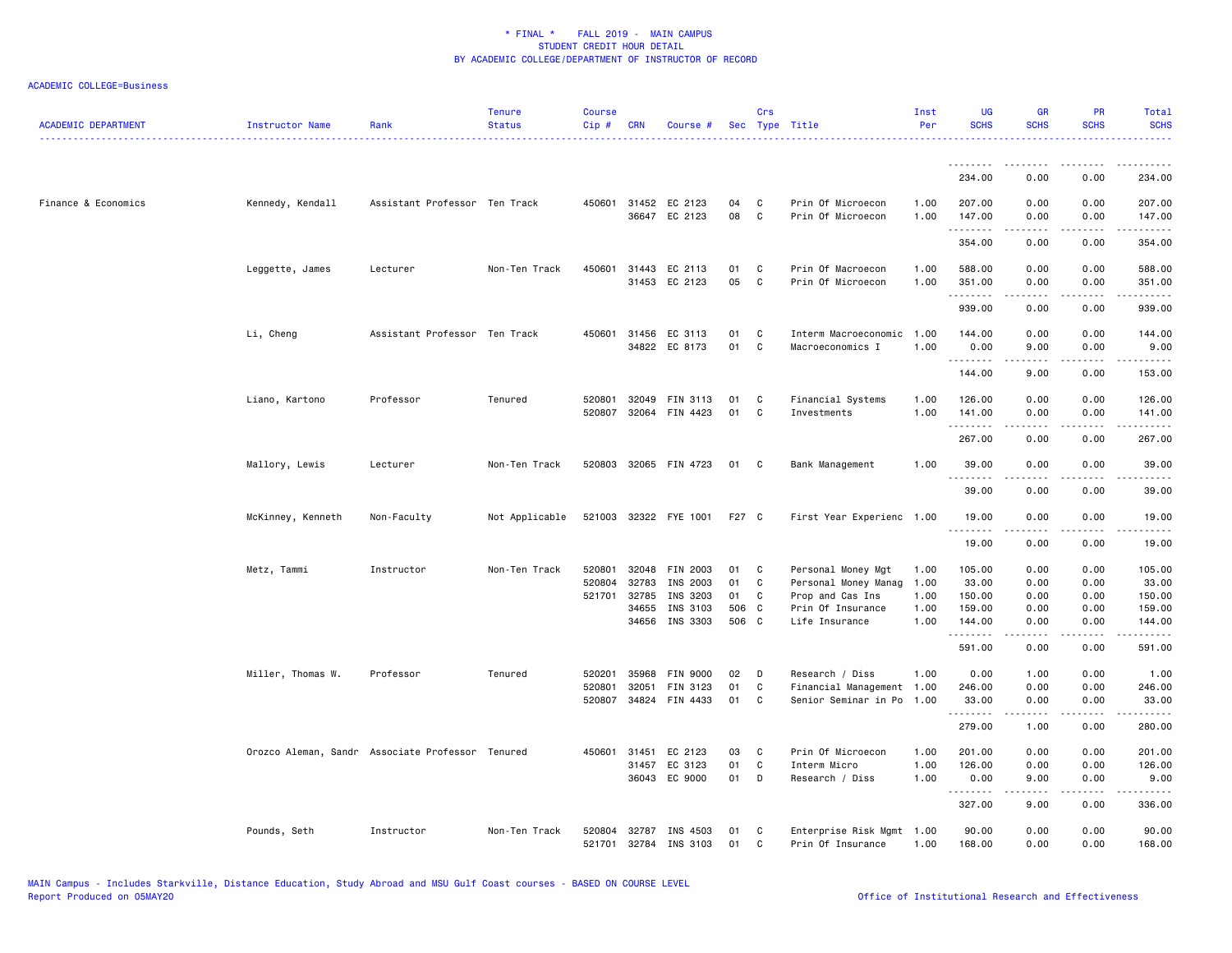| <b>ACADEMIC DEPARTMENT</b> | Instructor Name   | Rank                                             | <b>Tenure</b><br><b>Status</b> | <b>Course</b><br>Cip # | <b>CRN</b>     | Course #                              |          | Crs               | Sec Type Title                                 | Inst<br>Per  | <b>UG</b><br><b>SCHS</b> | <b>GR</b><br><b>SCHS</b>                                                                                                                                     | PR<br><b>SCHS</b> | Total<br><b>SCHS</b>  |
|----------------------------|-------------------|--------------------------------------------------|--------------------------------|------------------------|----------------|---------------------------------------|----------|-------------------|------------------------------------------------|--------------|--------------------------|--------------------------------------------------------------------------------------------------------------------------------------------------------------|-------------------|-----------------------|
|                            |                   |                                                  |                                |                        |                |                                       |          |                   |                                                |              | --------<br>234.00       | .<br>0.00                                                                                                                                                    | 0.00              | 234.00                |
|                            |                   |                                                  |                                |                        |                |                                       |          |                   |                                                |              |                          |                                                                                                                                                              |                   |                       |
| Finance & Economics        | Kennedy, Kendall  | Assistant Professor Ten Track                    |                                |                        |                | 450601 31452 EC 2123<br>36647 EC 2123 | 04<br>08 | C<br>C            | Prin Of Microecon<br>Prin Of Microecon         | 1.00<br>1.00 | 207.00<br>147.00<br>.    | 0.00<br>0.00<br>$- - - - -$                                                                                                                                  | 0.00<br>0.00<br>. | 207.00<br>147.00<br>. |
|                            |                   |                                                  |                                |                        |                |                                       |          |                   |                                                |              | 354.00                   | 0.00                                                                                                                                                         | 0.00              | 354.00                |
|                            | Leggette, James   | Lecturer                                         | Non-Ten Track                  | 450601                 |                | 31443 EC 2113<br>31453 EC 2123        | 01<br>05 | C<br>C            | Prin Of Macroecon<br>Prin Of Microecon         | 1.00<br>1.00 | 588.00<br>351.00         | 0.00<br>0.00                                                                                                                                                 | 0.00<br>0.00      | 588.00<br>351.00      |
|                            |                   |                                                  |                                |                        |                |                                       |          |                   |                                                |              | .<br>939.00              | 0.00                                                                                                                                                         | 0.00              | .<br>939.00           |
|                            | Li, Cheng         | Assistant Professor Ten Track                    |                                |                        |                | 450601 31456 EC 3113<br>34822 EC 8173 | 01<br>01 | C<br>$\mathtt{C}$ | Interm Macroeconomic                           | 1.00<br>1.00 | 144.00                   | 0.00                                                                                                                                                         | 0.00              | 144.00                |
|                            |                   |                                                  |                                |                        |                |                                       |          |                   | Macroeconomics I                               |              | 0.00<br><u>.</u>         | 9.00<br>-----                                                                                                                                                | 0.00<br>.         | 9.00<br>.             |
|                            |                   |                                                  |                                |                        |                |                                       |          |                   |                                                |              | 144.00                   | 9.00                                                                                                                                                         | 0.00              | 153.00                |
|                            | Liano, Kartono    | Professor                                        | Tenured                        | 520801<br>520807       | 32049          | FIN 3113<br>32064 FIN 4423            | 01<br>01 | C<br>C            | Financial Systems<br>Investments               | 1.00<br>1.00 | 126.00<br>141.00         | 0.00<br>0.00                                                                                                                                                 | 0.00<br>0.00      | 126.00<br>141.00      |
|                            |                   |                                                  |                                |                        |                |                                       |          |                   |                                                |              | .<br>267.00              | $\frac{1}{2} \left( \frac{1}{2} \right) \left( \frac{1}{2} \right) \left( \frac{1}{2} \right) \left( \frac{1}{2} \right) \left( \frac{1}{2} \right)$<br>0.00 | .<br>0.00         | .<br>267.00           |
|                            | Mallory, Lewis    | Lecturer                                         | Non-Ten Track                  |                        |                | 520803 32065 FIN 4723                 | 01       | C                 | Bank Management                                | 1.00         | 39.00<br><u>.</u>        | 0.00                                                                                                                                                         | 0.00              | 39.00                 |
|                            |                   |                                                  |                                |                        |                |                                       |          |                   |                                                |              | 39.00                    | 0.00                                                                                                                                                         | 0.00              | 39.00                 |
|                            | McKinney, Kenneth | Non-Faculty                                      | Not Applicable                 |                        |                | 521003 32322 FYE 1001                 | F27 C    |                   | First Year Experienc 1.00                      |              | 19.00<br>.               | 0.00<br>.                                                                                                                                                    | 0.00<br>.         | 19.00<br>.            |
|                            |                   |                                                  |                                |                        |                |                                       |          |                   |                                                |              | 19.00                    | 0.00                                                                                                                                                         | 0.00              | 19.00                 |
|                            | Metz, Tammi       | Instructor                                       | Non-Ten Track                  | 520801                 | 32048          | FIN 2003                              | 01       | C                 | Personal Money Mgt                             | 1.00         | 105.00                   | 0.00                                                                                                                                                         | 0.00              | 105.00                |
|                            |                   |                                                  |                                | 520804<br>521701       | 32783<br>32785 | INS 2003<br>INS 3203                  | 01<br>01 | C<br>C            | Personal Money Manag<br>Prop and Cas Ins       | 1.00<br>1.00 | 33.00<br>150.00          | 0.00<br>0.00                                                                                                                                                 | 0.00<br>0.00      | 33.00<br>150.00       |
|                            |                   |                                                  |                                |                        | 34655          | INS 3103                              | 506 C    |                   | Prin Of Insurance                              | 1.00         | 159.00                   | 0.00                                                                                                                                                         | 0.00              | 159.00                |
|                            |                   |                                                  |                                |                        | 34656          | INS 3303                              | 506 C    |                   | Life Insurance                                 | 1.00         | 144.00<br>.              | 0.00                                                                                                                                                         | 0.00              | 144.00<br>-----       |
|                            |                   |                                                  |                                |                        |                |                                       |          |                   |                                                |              | 591.00                   | 0.00                                                                                                                                                         | 0.00              | 591.00                |
|                            | Miller, Thomas W. | Professor                                        | Tenured                        | 520201                 | 35968          | FIN 9000                              | 02       | D                 | Research / Diss                                | 1.00         | 0.00                     | 1.00                                                                                                                                                         | 0.00              | 1.00                  |
|                            |                   |                                                  |                                | 520801                 | 32051          | FIN 3123                              | 01       | C                 | Financial Management 1.00                      |              | 246.00                   | 0.00                                                                                                                                                         | 0.00              | 246.00                |
|                            |                   |                                                  |                                | 520807                 | 34824          | FIN 4433                              | 01       | C                 | Senior Seminar in Po                           | 1.00         | 33.00<br>.               | 0.00<br>.                                                                                                                                                    | 0.00              | 33.00<br>.            |
|                            |                   |                                                  |                                |                        |                |                                       |          |                   |                                                |              | 279.00                   | 1.00                                                                                                                                                         | 0.00              | 280.00                |
|                            |                   | Orozco Aleman, Sandr Associate Professor Tenured |                                |                        | 450601 31451   | EC 2123                               | 03       | C                 | Prin Of Microecon                              | 1.00         | 201.00                   | 0.00                                                                                                                                                         | 0.00              | 201.00                |
|                            |                   |                                                  |                                |                        | 31457          | EC 3123<br>36043 EC 9000              | 01<br>01 | $\mathtt{C}$<br>D | Interm Micro<br>Research / Diss                | 1.00<br>1.00 | 126.00<br>0.00           | 0.00<br>9.00                                                                                                                                                 | 0.00<br>0.00      | 126.00<br>9.00        |
|                            |                   |                                                  |                                |                        |                |                                       |          |                   |                                                |              | <u>.</u><br>327.00       | . <b>.</b><br>9.00                                                                                                                                           | .<br>0.00         | .<br>336.00           |
|                            | Pounds, Seth      | Instructor                                       | Non-Ten Track                  | 520804<br>521701       | 32787          | INS 4503<br>32784 INS 3103            | 01<br>01 | C<br>C            | Enterprise Risk Mgmt 1.00<br>Prin Of Insurance | 1.00         | 90.00<br>168.00          | 0.00<br>0.00                                                                                                                                                 | 0.00<br>0.00      | 90.00<br>168,00       |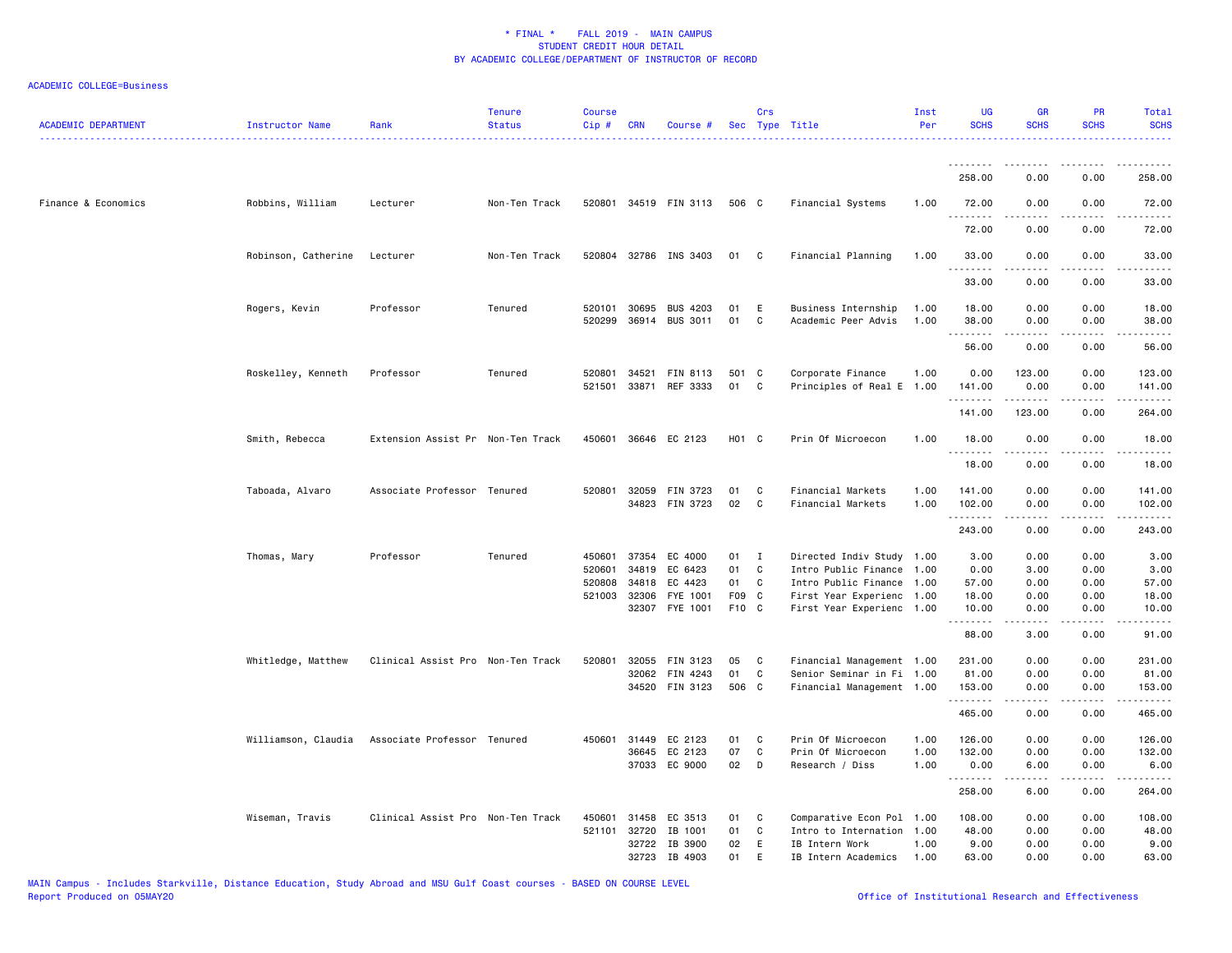| <b>ACADEMIC DEPARTMENT</b> | Instructor Name     | Rank                              | <b>Tenure</b><br><b>Status</b> | <b>Course</b><br>Cip # | <b>CRN</b>   | Course #              |       | Crs          | Sec Type Title            | Inst<br>Per | <b>UG</b><br><b>SCHS</b> | <b>GR</b><br><b>SCHS</b>      | <b>PR</b><br><b>SCHS</b> | <b>Total</b><br><b>SCHS</b> |
|----------------------------|---------------------|-----------------------------------|--------------------------------|------------------------|--------------|-----------------------|-------|--------------|---------------------------|-------------|--------------------------|-------------------------------|--------------------------|-----------------------------|
|                            |                     |                                   |                                |                        |              |                       |       |              |                           |             | .                        | $- - - - -$                   |                          | .                           |
|                            |                     |                                   |                                |                        |              |                       |       |              |                           |             | 258.00                   | 0.00                          | 0.00                     | 258.00                      |
| Finance & Economics        | Robbins, William    | Lecturer                          | Non-Ten Track                  |                        |              | 520801 34519 FIN 3113 | 506 C |              | Financial Systems         | 1.00        | 72.00<br>.               | 0.00                          | 0.00                     | 72.00                       |
|                            |                     |                                   |                                |                        |              |                       |       |              |                           |             | 72.00                    | 0.00                          | 0.00                     | 72.00                       |
|                            | Robinson, Catherine | Lecturer                          | Non-Ten Track                  |                        |              | 520804 32786 INS 3403 | 01    | C            | Financial Planning        | 1.00        | 33.00<br>.               | 0.00<br>-----                 | 0.00                     | 33.00<br>.                  |
|                            |                     |                                   |                                |                        |              |                       |       |              |                           |             | 33.00                    | 0.00                          | 0.00                     | 33.00                       |
|                            | Rogers, Kevin       | Professor                         | Tenured                        | 520101                 | 30695        | <b>BUS 4203</b>       | 01    | Ε            | Business Internship       | 1.00        | 18.00                    | 0.00                          | 0.00                     | 18.00                       |
|                            |                     |                                   |                                | 520299                 |              | 36914 BUS 3011        | 01    | C            | Academic Peer Advis       | 1.00        | 38.00<br>.               | 0.00<br>$\sim$ 200 $\sim$ 200 | 0.00<br>.                | 38.00<br>.                  |
|                            |                     |                                   |                                |                        |              |                       |       |              |                           |             | 56.00                    | 0.00                          | 0.00                     | 56.00                       |
|                            | Roskelley, Kenneth  | Professor                         | Tenured                        | 520801                 | 34521        | FIN 8113              | 501 C |              | Corporate Finance         | 1.00        | 0.00                     | 123.00                        | 0.00                     | 123.00                      |
|                            |                     |                                   |                                | 521501                 | 33871        | REF 3333              | 01    | C            | Principles of Real E      | 1.00        | 141.00                   | 0.00                          | 0.00                     | 141.00                      |
|                            |                     |                                   |                                |                        |              |                       |       |              |                           |             | .                        |                               |                          |                             |
|                            |                     |                                   |                                |                        |              |                       |       |              |                           |             | 141.00                   | 123.00                        | 0.00                     | 264.00                      |
|                            | Smith, Rebecca      | Extension Assist Pr Non-Ten Track |                                | 450601                 |              | 36646 EC 2123         | H01 C |              | Prin Of Microecon         | 1.00        | 18.00                    | 0.00                          | 0.00                     | 18.00                       |
|                            |                     |                                   |                                |                        |              |                       |       |              |                           |             | .<br>18.00               | 0.00                          | 0.00                     | 18.00                       |
|                            | Taboada, Alvaro     | Associate Professor Tenured       |                                | 520801                 | 32059        | FIN 3723              | 01    | C            | Financial Markets         | 1.00        | 141.00                   | 0.00                          | 0.00                     | 141.00                      |
|                            |                     |                                   |                                |                        |              | 34823 FIN 3723        | 02    | C            | Financial Markets         | 1.00        | 102.00<br>.              | 0.00<br>$- - - - -$           | 0.00<br>.                | 102.00<br>.                 |
|                            |                     |                                   |                                |                        |              |                       |       |              |                           |             | 243.00                   | 0.00                          | 0.00                     | 243.00                      |
|                            | Thomas, Mary        | Professor                         | Tenured                        | 450601                 | 37354        | EC 4000               | 01    | $\mathbf{I}$ | Directed Indiv Study      | 1.00        | 3.00                     | 0.00                          | 0.00                     | 3.00                        |
|                            |                     |                                   |                                | 520601                 | 34819        | EC 6423               | 01    | C            | Intro Public Finance      | 1.00        | 0.00                     | 3.00                          | 0.00                     | 3.00                        |
|                            |                     |                                   |                                | 520808                 | 34818        | EC 4423               | 01    | C            | Intro Public Finance      | 1.00        | 57.00                    | 0.00                          | 0.00                     | 57.00                       |
|                            |                     |                                   |                                |                        | 521003 32306 | FYE 1001              | F09 C |              | First Year Experienc      | 1.00        | 18.00                    | 0.00                          | 0.00                     | 18.00                       |
|                            |                     |                                   |                                |                        | 32307        | FYE 1001              | F10 C |              | First Year Experienc 1.00 |             | 10.00<br>.               | 0.00<br>.                     | 0.00<br>$- - - -$        | 10.00<br>.                  |
|                            |                     |                                   |                                |                        |              |                       |       |              |                           |             | 88.00                    | 3.00                          | 0.00                     | 91.00                       |
|                            | Whitledge, Matthew  | Clinical Assist Pro Non-Ten Track |                                | 520801                 | 32055        | FIN 3123              | 05    | C            | Financial Management 1.00 |             | 231.00                   | 0.00                          | 0.00                     | 231.00                      |
|                            |                     |                                   |                                |                        | 32062        | FIN 4243              | 01    | C            | Senior Seminar in Fi 1.00 |             | 81.00                    | 0.00                          | 0.00                     | 81.00                       |
|                            |                     |                                   |                                |                        |              | 34520 FIN 3123        | 506 C |              | Financial Management 1.00 |             | 153.00<br>.              | 0.00<br>$- - - - -$           | 0.00<br>.                | 153.00<br>$- - - - - -$     |
|                            |                     |                                   |                                |                        |              |                       |       |              |                           |             | 465.00                   | 0.00                          | 0.00                     | 465.00                      |
|                            | Williamson, Claudia | Associate Professor Tenured       |                                | 450601                 | 31449        | EC 2123               | 01    | C            | Prin Of Microecon         | 1.00        | 126.00                   | 0.00                          | 0.00                     | 126.00                      |
|                            |                     |                                   |                                |                        | 36645        | EC 2123               | 07    | C            | Prin Of Microecon         | 1.00        | 132.00                   | 0.00                          | 0.00                     | 132.00                      |
|                            |                     |                                   |                                |                        |              | 37033 EC 9000         | 02    | D            | Research / Diss           | 1.00        | 0.00                     | 6.00                          | 0.00                     | 6.00                        |
|                            |                     |                                   |                                |                        |              |                       |       |              |                           |             | .<br>258.00              | -----<br>6.00                 | .<br>0.00                | .<br>264.00                 |
|                            | Wiseman, Travis     | Clinical Assist Pro Non-Ten Track |                                | 450601                 | 31458        | EC 3513               | 01    | C            | Comparative Econ Pol      | 1.00        | 108.00                   | 0.00                          | 0.00                     | 108.00                      |
|                            |                     |                                   |                                | 521101                 | 32720        | IB 1001               | 01    | C            | Intro to Internation      | 1.00        | 48.00                    | 0.00                          | 0.00                     | 48.00                       |
|                            |                     |                                   |                                |                        | 32722        | IB 3900               | 02    | E            | IB Intern Work            | 1.00        | 9.00                     | 0.00                          | 0.00                     | 9.00                        |
|                            |                     |                                   |                                |                        | 32723        | IB 4903               | 01    | E            | IB Intern Academics       | 1.00        | 63.00                    | 0.00                          | 0.00                     | 63.00                       |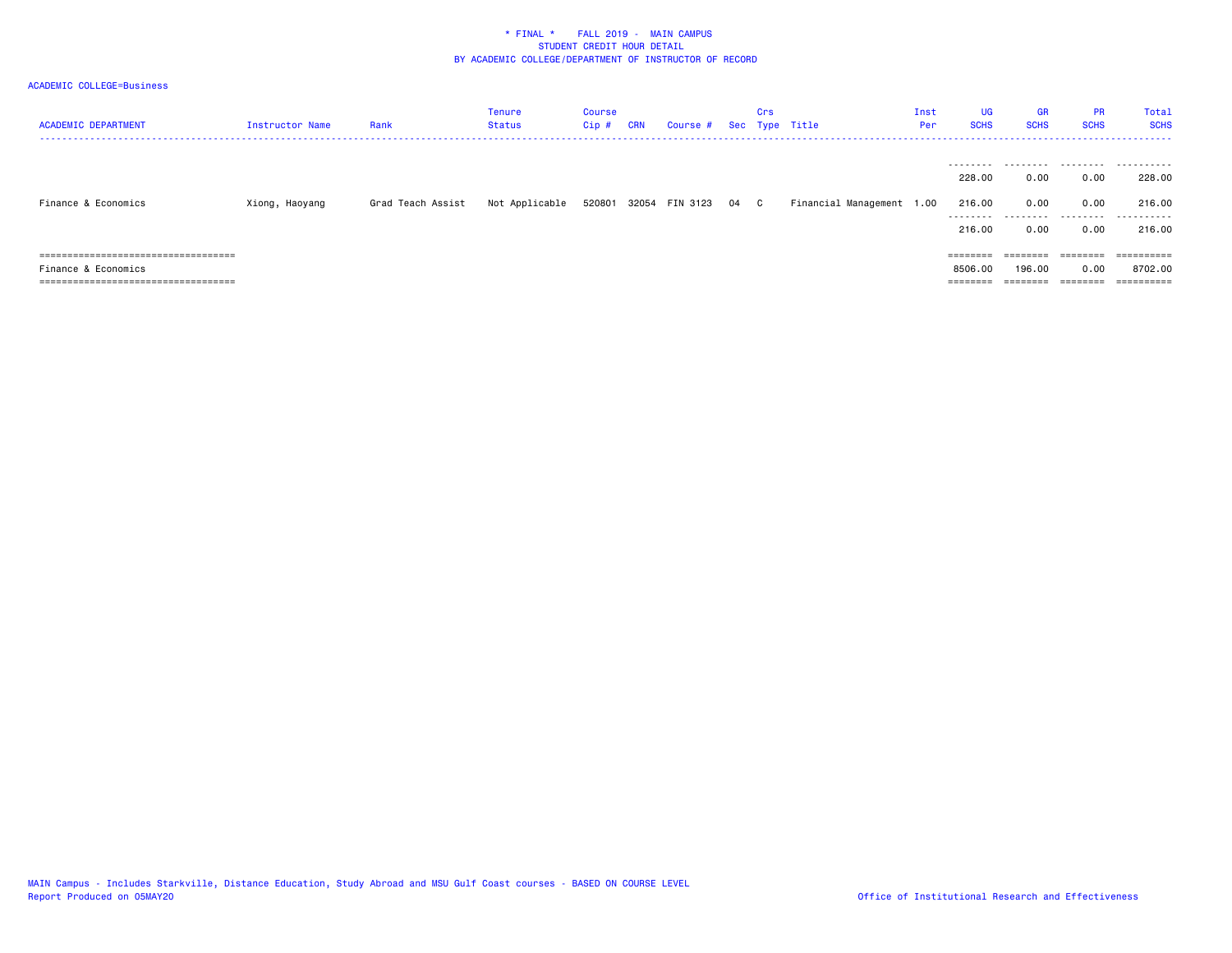# ACADEMIC COLLEGE=Business

| <b>ACADEMIC DEPARTMENT</b>             | Instructor Name | Rank              | <b>Tenure</b><br><b>Status</b> | Course<br>$Cip$ # | <b>CRN</b> | Course # Sec Type Title    | Crs |                           | Inst<br>Per | <b>UG</b><br><b>SCHS</b> | <b>GR</b><br><b>SCHS</b> | <b>PR</b><br><b>SCHS</b> | Total<br><b>SCHS</b> |
|----------------------------------------|-----------------|-------------------|--------------------------------|-------------------|------------|----------------------------|-----|---------------------------|-------------|--------------------------|--------------------------|--------------------------|----------------------|
|                                        |                 |                   |                                |                   |            |                            |     |                           |             |                          |                          |                          |                      |
|                                        |                 |                   |                                |                   |            |                            |     |                           |             | 228,00                   | 0.00                     | 0.00                     | 228,00               |
| Finance & Economics                    | Xiong, Haoyang  | Grad Teach Assist | Not Applicable                 |                   |            | 520801 32054 FIN 3123 04 C |     | Financial Management 1.00 |             | 216,00<br>--------       | 0.00<br>.                | 0.00<br>.                | 216.00<br>.          |
|                                        |                 |                   |                                |                   |            |                            |     |                           |             | 216,00                   | 0.00                     | 0.00                     | 216.00               |
| =====================================  |                 |                   |                                |                   |            |                            |     |                           |             | $=$ = = = = = = =        | ========                 | $=$ = = = = = = =        | ==========           |
| Finance & Economics                    |                 |                   |                                |                   |            |                            |     |                           |             | 8506.00                  | 196.00                   | 0.00                     | 8702.00              |
| ====================================== |                 |                   |                                |                   |            |                            |     |                           |             | $=$ = = = = = = =        | ========                 | $=$ = = = = = = =        | ==========           |

MAIN Campus - Includes Starkville, Distance Education, Study Abroad and MSU Gulf Coast courses - BASED ON COURSE LEVEL<br>Report Produced on 05MAY20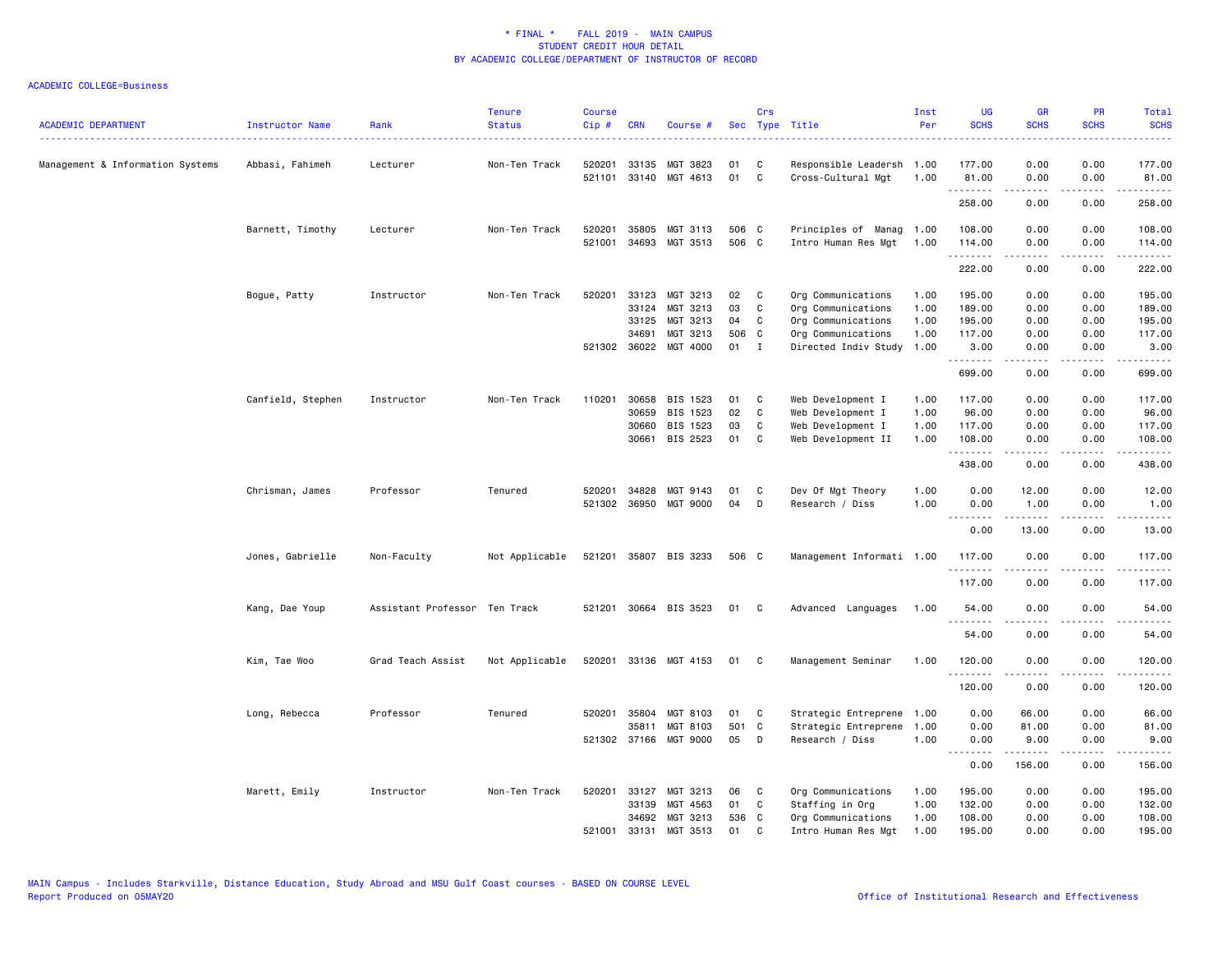| <b>ACADEMIC DEPARTMENT</b>       | Instructor Name   | Rank                          | <b>Tenure</b><br><b>Status</b> | <b>Course</b><br>Cip# | <b>CRN</b>     | Course #              |                | Crs               | Sec Type Title                                  | Inst<br>Per  | <b>UG</b><br><b>SCHS</b> | <b>GR</b><br><b>SCHS</b> | <b>PR</b><br><b>SCHS</b>     | Total<br><b>SCHS</b> |
|----------------------------------|-------------------|-------------------------------|--------------------------------|-----------------------|----------------|-----------------------|----------------|-------------------|-------------------------------------------------|--------------|--------------------------|--------------------------|------------------------------|----------------------|
| Management & Information Systems | Abbasi, Fahimeh   | Lecturer                      | Non-Ten Track                  | 520201<br>521101      | 33135<br>33140 | MGT 3823<br>MGT 4613  | 01<br>01       | C<br>$\mathtt{C}$ | Responsible Leadersh 1.00<br>Cross-Cultural Mgt | 1.00         | 177.00<br>81.00          | 0.00<br>0.00             | 0.00<br>0.00                 | 177.00<br>81.00      |
|                                  |                   |                               |                                |                       |                |                       |                |                   |                                                 |              | .<br>258.00              | 22222<br>0.00            | .<br>0.00                    | .<br>258.00          |
|                                  |                   |                               |                                |                       |                |                       |                |                   |                                                 |              |                          |                          |                              |                      |
|                                  | Barnett, Timothy  | Lecturer                      | Non-Ten Track                  | 520201<br>521001      | 35805<br>34693 | MGT 3113<br>MGT 3513  | 506 C<br>506 C |                   | Principles of Manag<br>Intro Human Res Mgt      | 1.00<br>1.00 | 108.00<br>114.00<br>.    | 0.00<br>0.00<br>.        | 0.00<br>0.00<br>$- - - -$    | 108.00<br>114.00     |
|                                  |                   |                               |                                |                       |                |                       |                |                   |                                                 |              | 222.00                   | 0.00                     | 0.00                         | .<br>222.00          |
|                                  | Bogue, Patty      | Instructor                    | Non-Ten Track                  | 520201                | 33123          | MGT 3213              | 02             | C                 | Org Communications                              | 1.00         | 195.00                   | 0.00                     | 0.00                         | 195.00               |
|                                  |                   |                               |                                |                       | 33124          | MGT 3213              | 03             | C                 | Org Communications                              | 1.00         | 189.00                   | 0.00                     | 0.00                         | 189.00               |
|                                  |                   |                               |                                |                       | 33125          | MGT 3213              | 04             | C                 | Org Communications                              | 1.00         | 195.00                   | 0.00                     | 0.00                         | 195.00               |
|                                  |                   |                               |                                |                       | 34691          | MGT 3213              | 506 C          |                   | Org Communications                              | 1.00         | 117.00                   | 0.00                     | 0.00                         | 117.00               |
|                                  |                   |                               |                                |                       |                | 521302 36022 MGT 4000 | 01             | $\mathbf{I}$      | Directed Indiv Study                            | 1.00         | 3.00<br>.                | 0.00<br>.                | 0.00                         | 3.00<br>. <b>.</b>   |
|                                  |                   |                               |                                |                       |                |                       |                |                   |                                                 |              | 699.00                   | 0.00                     | 0.00                         | 699.00               |
|                                  | Canfield, Stephen | Instructor                    | Non-Ten Track                  | 110201                | 30658          | BIS 1523              | 01             | C                 | Web Development I                               | 1.00         | 117.00                   | 0.00                     | 0.00                         | 117.00               |
|                                  |                   |                               |                                |                       | 30659          | BIS 1523              | 02             | C                 | Web Development I                               | 1.00         | 96.00                    | 0.00                     | 0.00                         | 96.00                |
|                                  |                   |                               |                                |                       | 30660          | BIS 1523              | 03             | C                 | Web Development I                               | 1.00         | 117.00                   | 0.00                     | 0.00                         | 117.00               |
|                                  |                   |                               |                                |                       | 30661          | BIS 2523              | 01             | C                 | Web Development II                              | 1.00         | 108.00<br>.              | 0.00<br>.                | 0.00<br>$\sim$ $\sim$ $\sim$ | 108.00<br>.          |
|                                  |                   |                               |                                |                       |                |                       |                |                   |                                                 |              | 438.00                   | 0.00                     | 0.00                         | 438.00               |
|                                  | Chrisman, James   | Professor                     | Tenured                        | 520201                | 34828          | MGT 9143              | 01             | C                 | Dev Of Mgt Theory                               | 1.00         | 0.00                     | 12.00                    | 0.00                         | 12.00                |
|                                  |                   |                               |                                |                       |                | 521302 36950 MGT 9000 | 04             | D                 | Research / Diss                                 | 1.00         | 0.00<br>.                | 1.00<br>$- - - - -$      | 0.00<br>.                    | 1.00<br>.            |
|                                  |                   |                               |                                |                       |                |                       |                |                   |                                                 |              | 0.00                     | 13.00                    | 0.00                         | 13.00                |
|                                  | Jones, Gabrielle  | Non-Faculty                   | Not Applicable                 |                       |                | 521201 35807 BIS 3233 | 506 C          |                   | Management Informati 1.00                       |              | 117.00<br>.              | 0.00                     | 0.00                         | 117.00<br>.          |
|                                  |                   |                               |                                |                       |                |                       |                |                   |                                                 |              | 117.00                   | 0.00                     | 0.00                         | 117.00               |
|                                  | Kang, Dae Youp    | Assistant Professor Ten Track |                                |                       |                | 521201 30664 BIS 3523 | 01             | - C               | Advanced Languages                              | 1.00         | 54.00<br>.               | 0.00<br>.                | 0.00                         | 54.00                |
|                                  |                   |                               |                                |                       |                |                       |                |                   |                                                 |              | 54.00                    | 0.00                     | 0.00                         | 54.00                |
|                                  | Kim, Tae Woo      | Grad Teach Assist             | Not Applicable                 |                       |                | 520201 33136 MGT 4153 | 01             | C.                | Management Seminar                              | 1.00         | 120.00<br>.              | 0.00                     | 0.00                         | 120.00               |
|                                  |                   |                               |                                |                       |                |                       |                |                   |                                                 |              | 120.00                   | 0.00                     | 0.00                         | 120.00               |
|                                  | Long, Rebecca     | Professor                     | Tenured                        | 520201                | 35804          | MGT 8103              | 01             | C                 | Strategic Entreprene                            | 1.00         | 0.00                     | 66.00                    | 0.00                         | 66.00                |
|                                  |                   |                               |                                |                       | 35811          | MGT 8103              | 501 C          |                   | Strategic Entreprene                            | 1.00         | 0.00                     | 81.00                    | 0.00                         | 81.00                |
|                                  |                   |                               |                                |                       |                | 521302 37166 MGT 9000 | 05             | D                 | Research / Diss                                 | 1.00         | 0.00<br>.                | 9.00<br>.                | 0.00<br>.                    | 9.00<br>.            |
|                                  |                   |                               |                                |                       |                |                       |                |                   |                                                 |              | 0.00                     | 156.00                   | 0.00                         | 156.00               |
|                                  | Marett, Emily     | Instructor                    | Non-Ten Track                  | 520201                | 33127          | MGT 3213              | 06             | C                 | Org Communications                              | 1.00         | 195.00                   | 0.00                     | 0.00                         | 195.00               |
|                                  |                   |                               |                                |                       | 33139          | MGT 4563              | 01             | C                 | Staffing in Org                                 | 1.00         | 132.00                   | 0.00                     | 0.00                         | 132.00               |
|                                  |                   |                               |                                |                       | 34692          | MGT 3213              | 536 C          |                   | Org Communications                              | 1.00         | 108.00                   | 0.00                     | 0.00                         | 108.00               |
|                                  |                   |                               |                                | 521001                | 33131          | MGT 3513              | 01             | C.                | Intro Human Res Mgt                             | 1.00         | 195.00                   | 0.00                     | 0.00                         | 195.00               |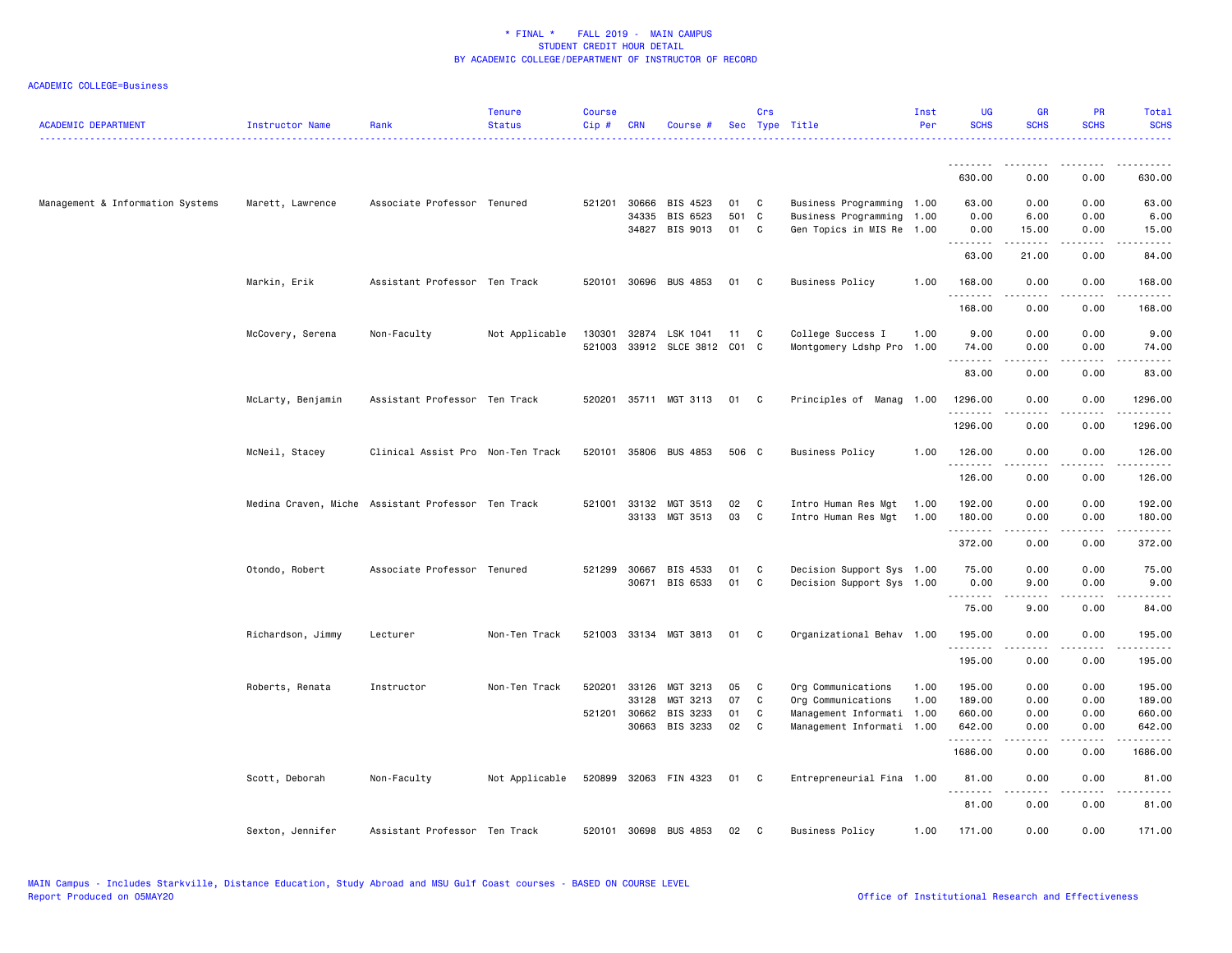| <b>ACADEMIC DEPARTMENT</b>       | Instructor Name   | Rank                                               | <b>Tenure</b><br><b>Status</b> | <b>Course</b><br>Cip# | <b>CRN</b>     | Course #                     |          | Crs    | Sec Type Title                                  | Inst<br>Per | <b>UG</b><br><b>SCHS</b> | <b>GR</b><br><b>SCHS</b> | <b>PR</b><br><b>SCHS</b> | <b>Total</b><br><b>SCHS</b>                                                                                                                                                               |
|----------------------------------|-------------------|----------------------------------------------------|--------------------------------|-----------------------|----------------|------------------------------|----------|--------|-------------------------------------------------|-------------|--------------------------|--------------------------|--------------------------|-------------------------------------------------------------------------------------------------------------------------------------------------------------------------------------------|
|                                  |                   |                                                    |                                |                       |                |                              |          |        |                                                 |             | <u>.</u>                 |                          |                          |                                                                                                                                                                                           |
|                                  |                   |                                                    |                                |                       |                |                              |          |        |                                                 |             | 630.00                   | 0.00                     | 0.00                     | 630.00                                                                                                                                                                                    |
| Management & Information Systems | Marett, Lawrence  | Associate Professor Tenured                        |                                | 521201                | 30666          | BIS 4523                     | 01       | C      | Business Programming 1.00                       |             | 63.00                    | 0.00                     | 0.00                     | 63.00                                                                                                                                                                                     |
|                                  |                   |                                                    |                                |                       | 34335          | BIS 6523                     | 501 C    |        | Business Programming 1.00                       |             | 0.00                     | 6.00                     | 0.00                     | 6.00                                                                                                                                                                                      |
|                                  |                   |                                                    |                                |                       | 34827          | BIS 9013                     | 01       | C      | Gen Topics in MIS Re 1.00                       |             | 0.00<br>.                | 15.00<br>$- - - - -$     | 0.00<br>$\frac{1}{2}$    | 15.00                                                                                                                                                                                     |
|                                  |                   |                                                    |                                |                       |                |                              |          |        |                                                 |             | 63.00                    | 21.00                    | 0.00                     | 84.00                                                                                                                                                                                     |
|                                  | Markin, Erik      | Assistant Professor Ten Track                      |                                |                       |                | 520101 30696 BUS 4853        | 01       | C.     | <b>Business Policy</b>                          | 1.00        | 168.00<br>.              | 0.00<br>.                | 0.00                     | 168.00<br>.                                                                                                                                                                               |
|                                  |                   |                                                    |                                |                       |                |                              |          |        |                                                 |             | 168.00                   | 0.00                     | 0.00                     | 168.00                                                                                                                                                                                    |
|                                  | McCovery, Serena  | Non-Faculty                                        | Not Applicable                 | 130301                |                | 32874 LSK 1041               | $-11$    | C      | College Success I                               | 1.00        | 9.00                     | 0.00                     | 0.00                     | 9.00                                                                                                                                                                                      |
|                                  |                   |                                                    |                                |                       |                | 521003 33912 SLCE 3812 C01 C |          |        | Montgomery Ldshp Pro                            | 1.00        | 74.00                    | 0.00                     | 0.00                     | 74.00                                                                                                                                                                                     |
|                                  |                   |                                                    |                                |                       |                |                              |          |        |                                                 |             | .                        |                          |                          |                                                                                                                                                                                           |
|                                  |                   |                                                    |                                |                       |                |                              |          |        |                                                 |             | 83.00                    | 0.00                     | 0.00                     | 83.00                                                                                                                                                                                     |
|                                  | McLarty, Benjamin | Assistant Professor Ten Track                      |                                |                       |                | 520201 35711 MGT 3113        | 01       | C.     | Principles of Manag 1.00                        |             | 1296.00<br>.             | 0.00                     | 0.00                     | 1296.00                                                                                                                                                                                   |
|                                  |                   |                                                    |                                |                       |                |                              |          |        |                                                 |             | 1296.00                  | .<br>0.00                | 0.00                     | .<br>1296.00                                                                                                                                                                              |
|                                  | McNeil, Stacey    | Clinical Assist Pro Non-Ten Track                  |                                |                       |                | 520101 35806 BUS 4853        | 506 C    |        | <b>Business Policy</b>                          | 1.00        | 126.00                   | 0.00                     | 0.00                     | 126.00                                                                                                                                                                                    |
|                                  |                   |                                                    |                                |                       |                |                              |          |        |                                                 |             | <u>.</u><br>126.00       | 0.00                     | .<br>0.00                | $\frac{1}{2} \left( \frac{1}{2} \right) \left( \frac{1}{2} \right) \left( \frac{1}{2} \right) \left( \frac{1}{2} \right) \left( \frac{1}{2} \right) \left( \frac{1}{2} \right)$<br>126.00 |
|                                  |                   | Medina Craven, Miche Assistant Professor Ten Track |                                | 521001                | 33132          | MGT 3513                     | 02       | C      | Intro Human Res Mgt                             | 1.00        | 192.00                   | 0.00                     | 0.00                     | 192.00                                                                                                                                                                                    |
|                                  |                   |                                                    |                                |                       |                | 33133 MGT 3513               | 03       | C      | Intro Human Res Mgt                             | 1.00        | 180.00                   | 0.00                     | 0.00                     | 180.00                                                                                                                                                                                    |
|                                  |                   |                                                    |                                |                       |                |                              |          |        |                                                 |             | .                        | .                        | $\frac{1}{2}$            | .                                                                                                                                                                                         |
|                                  |                   |                                                    |                                |                       |                |                              |          |        |                                                 |             | 372.00                   | 0.00                     | 0.00                     | 372.00                                                                                                                                                                                    |
|                                  | Otondo, Robert    | Associate Professor Tenured                        |                                |                       | 521299 30667   | BIS 4533                     | 01       | C      | Decision Support Sys 1.00                       |             | 75.00                    | 0.00                     | 0.00                     | 75.00                                                                                                                                                                                     |
|                                  |                   |                                                    |                                |                       | 30671          | BIS 6533                     | 01       | C      | Decision Support Sys 1.00                       |             | 0.00                     | 9.00                     | 0.00                     | 9.00                                                                                                                                                                                      |
|                                  |                   |                                                    |                                |                       |                |                              |          |        |                                                 |             | .<br>75.00               | 9.00                     | 0.00                     | 84.00                                                                                                                                                                                     |
|                                  | Richardson, Jimmy | Lecturer                                           | Non-Ten Track                  |                       |                | 521003 33134 MGT 3813        | 01       | C      | Organizational Behav 1.00                       |             | 195.00                   | 0.00                     | 0.00                     | 195.00                                                                                                                                                                                    |
|                                  |                   |                                                    |                                |                       |                |                              |          |        |                                                 |             | .<br>195.00              | 0.00                     | 0.00                     | <u>.</u><br>195.00                                                                                                                                                                        |
|                                  |                   |                                                    |                                |                       |                |                              |          |        |                                                 |             |                          |                          |                          |                                                                                                                                                                                           |
|                                  | Roberts, Renata   | Instructor                                         | Non-Ten Track                  | 520201                | 33126          | MGT 3213                     | 05       | C      | Org Communications                              | 1.00        | 195.00                   | 0.00                     | 0.00                     | 195.00                                                                                                                                                                                    |
|                                  |                   |                                                    |                                | 521201                | 33128<br>30662 | MGT 3213<br>BIS 3233         | 07<br>01 | C<br>C | Org Communications<br>Management Informati 1.00 | 1.00        | 189.00<br>660.00         | 0.00<br>0.00             | 0.00<br>0.00             | 189.00<br>660.00                                                                                                                                                                          |
|                                  |                   |                                                    |                                |                       | 30663          | BIS 3233                     | 02       | C      | Management Informati 1.00                       |             | 642.00                   | 0.00                     | 0.00                     | 642.00                                                                                                                                                                                    |
|                                  |                   |                                                    |                                |                       |                |                              |          |        |                                                 |             | .                        | <u>.</u>                 | .                        | .                                                                                                                                                                                         |
|                                  |                   |                                                    |                                |                       |                |                              |          |        |                                                 |             | 1686.00                  | 0.00                     | 0.00                     | 1686.00                                                                                                                                                                                   |
|                                  | Scott, Deborah    | Non-Faculty                                        | Not Applicable                 |                       |                | 520899 32063 FIN 4323        | 01       | C      | Entrepreneurial Fina 1.00                       |             | 81.00<br>.               | 0.00                     | 0.00                     | 81.00                                                                                                                                                                                     |
|                                  |                   |                                                    |                                |                       |                |                              |          |        |                                                 |             | 81.00                    | 0.00                     | 0.00                     | 81.00                                                                                                                                                                                     |
|                                  | Sexton, Jennifer  | Assistant Professor Ten Track                      |                                |                       |                | 520101 30698 BUS 4853        | 02       | C.     | <b>Business Policy</b>                          | 1.00        | 171.00                   | 0.00                     | 0.00                     | 171.00                                                                                                                                                                                    |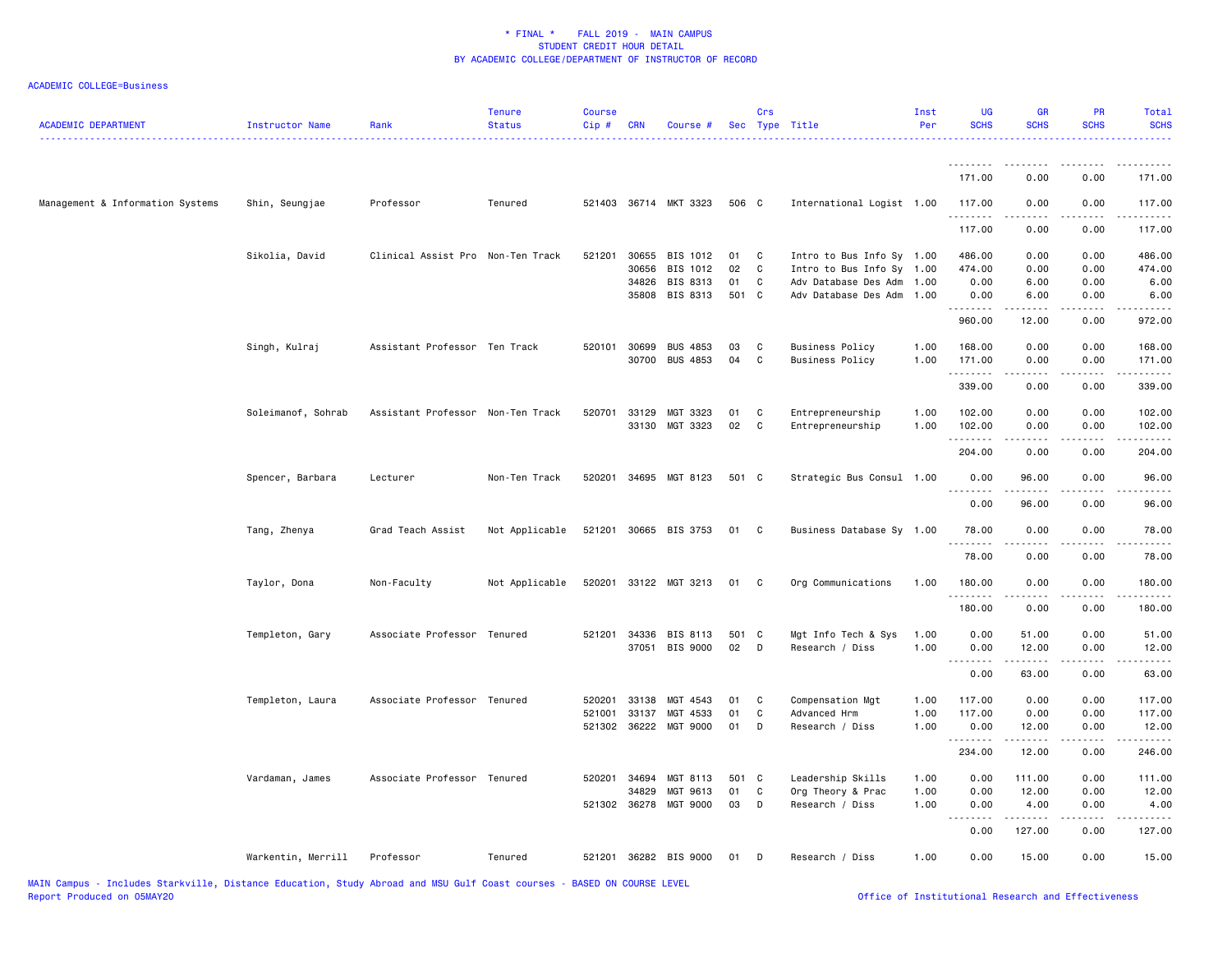| <b>ACADEMIC DEPARTMENT</b>       | Instructor Name    | Rank                              | <b>Tenure</b><br><b>Status</b> | <b>Course</b><br>Cip# | CRN          | Course #                                |             | Crs          | Sec Type Title            | Inst<br>Per | <b>UG</b><br><b>SCHS</b> | <b>GR</b><br><b>SCHS</b> | PR<br><b>SCHS</b> | Total<br><b>SCHS</b> |
|----------------------------------|--------------------|-----------------------------------|--------------------------------|-----------------------|--------------|-----------------------------------------|-------------|--------------|---------------------------|-------------|--------------------------|--------------------------|-------------------|----------------------|
|                                  |                    |                                   |                                |                       |              |                                         |             |              |                           |             | <u>.</u><br>171.00       | 0.00                     | 0.00              | 171.00               |
| Management & Information Systems | Shin, Seungjae     | Professor                         | Tenured                        |                       |              | 521403 36714 MKT 3323                   | 506 C       |              | International Logist 1.00 |             | 117.00                   | 0.00                     | 0.00              | 117.00               |
|                                  |                    |                                   |                                |                       |              |                                         |             |              |                           |             | 117.00                   | 0.00                     | 0.00              | 117.00               |
|                                  | Sikolia, David     | Clinical Assist Pro Non-Ten Track |                                | 521201                | 30655        | BIS 1012                                | 01          | C            | Intro to Bus Info Sy 1.00 |             | 486.00                   | 0.00                     | 0.00              | 486.00               |
|                                  |                    |                                   |                                |                       | 30656        | BIS 1012                                | 02          | C            | Intro to Bus Info Sy 1.00 |             | 474.00                   | 0.00                     | 0.00              | 474.00               |
|                                  |                    |                                   |                                |                       | 34826        | BIS 8313                                | 01          | C            | Adv Database Des Adm      | 1.00        | 0.00                     | 6.00                     | 0.00              | 6.00                 |
|                                  |                    |                                   |                                |                       | 35808        | BIS 8313                                | 501 C       |              | Adv Database Des Adm      | 1.00        | 0.00<br>.                | 6.00                     | 0.00              | 6.00<br>.            |
|                                  |                    |                                   |                                |                       |              |                                         |             |              |                           |             | 960.00                   | 12.00                    | 0.00              | 972.00               |
|                                  | Singh, Kulraj      | Assistant Professor Ten Track     |                                |                       | 520101 30699 | <b>BUS 4853</b>                         | 03          | C            | <b>Business Policy</b>    | 1.00        | 168.00                   | 0.00                     | 0.00              | 168.00               |
|                                  |                    |                                   |                                |                       | 30700        | <b>BUS 4853</b>                         | 04          | C            | <b>Business Policy</b>    | 1.00        | 171.00                   | 0.00                     | 0.00              | 171.00               |
|                                  |                    |                                   |                                |                       |              |                                         |             |              |                           |             | .                        | .                        | .                 | .                    |
|                                  |                    |                                   |                                |                       |              |                                         |             |              |                           |             | 339.00                   | 0.00                     | 0.00              | 339.00               |
|                                  | Soleimanof, Sohrab | Assistant Professor Non-Ten Track |                                | 520701                | 33129        | MGT 3323                                | 01          | C            | Entrepreneurship          | 1.00        | 102.00                   | 0.00                     | 0.00              | 102.00               |
|                                  |                    |                                   |                                |                       |              | 33130 MGT 3323                          | 02          | $\mathtt{C}$ | Entrepreneurship          | 1.00        | 102.00                   | 0.00                     | 0.00              | 102.00               |
|                                  |                    |                                   |                                |                       |              |                                         |             |              |                           |             | .                        | .                        | .                 | .                    |
|                                  |                    |                                   |                                |                       |              |                                         |             |              |                           |             | 204.00                   | 0.00                     | 0.00              | 204.00               |
|                                  | Spencer, Barbara   | Lecturer                          | Non-Ten Track                  | 520201                |              | 34695 MGT 8123                          | 501 C       |              | Strategic Bus Consul 1.00 |             | 0.00<br>.                | 96.00<br>.               | 0.00<br>د د د د   | 96.00<br>.           |
|                                  |                    |                                   |                                |                       |              |                                         |             |              |                           |             | 0.00                     | 96.00                    | 0.00              | 96.00                |
|                                  | Tang, Zhenya       | Grad Teach Assist                 | Not Applicable                 |                       |              | 521201 30665 BIS 3753                   | 01          | C            | Business Database Sy 1.00 |             | 78.00                    | 0.00                     | 0.00              | 78.00                |
|                                  |                    |                                   |                                |                       |              |                                         |             |              |                           |             | .                        | .                        | $\frac{1}{2}$     | .                    |
|                                  |                    |                                   |                                |                       |              |                                         |             |              |                           |             | 78.00                    | 0.00                     | 0.00              | 78.00                |
|                                  | Taylor, Dona       | Non-Faculty                       | Not Applicable                 |                       |              | 520201 33122 MGT 3213                   | 01          | C            | Org Communications        | 1.00        | 180.00                   | 0.00                     | 0.00              | 180.00               |
|                                  |                    |                                   |                                |                       |              |                                         |             |              |                           |             | .<br>180.00              | 0.00                     | 0.00              | 180.00               |
|                                  |                    |                                   |                                |                       |              |                                         |             |              |                           |             |                          |                          |                   |                      |
|                                  | Templeton, Gary    | Associate Professor Tenured       |                                |                       |              | 521201 34336 BIS 8113<br>37051 BIS 9000 | 501 C<br>02 | D            | Mgt Info Tech & Sys       | 1.00        | 0.00                     | 51.00                    | 0.00              | 51.00                |
|                                  |                    |                                   |                                |                       |              |                                         |             |              | Research / Diss           | 1.00        | 0.00<br>.                | 12.00<br>. <b>.</b>      | 0.00<br>.         | 12.00<br>.           |
|                                  |                    |                                   |                                |                       |              |                                         |             |              |                           |             | 0.00                     | 63.00                    | 0.00              | 63.00                |
|                                  | Templeton, Laura   | Associate Professor Tenured       |                                | 520201                | 33138        | MGT 4543                                | 01          | C            | Compensation Mgt          | 1.00        | 117.00                   | 0.00                     | 0.00              | 117.00               |
|                                  |                    |                                   |                                | 521001                | 33137        | MGT 4533                                | 01          | C            | Advanced Hrm              | 1.00        | 117.00                   | 0.00                     | 0.00              | 117.00               |
|                                  |                    |                                   |                                |                       |              | 521302 36222 MGT 9000                   | 01          | D            | Research / Diss           | 1.00        | 0.00                     | 12.00                    | 0.00              | 12.00                |
|                                  |                    |                                   |                                |                       |              |                                         |             |              |                           |             | .                        |                          |                   | .                    |
|                                  |                    |                                   |                                |                       |              |                                         |             |              |                           |             | 234.00                   | 12.00                    | 0.00              | 246.00               |
|                                  | Vardaman, James    | Associate Professor Tenured       |                                | 520201                | 34694        | MGT 8113                                | 501 C       |              | Leadership Skills         | 1.00        | 0.00                     | 111.00                   | 0.00              | 111.00               |
|                                  |                    |                                   |                                |                       | 34829        | MGT 9613                                | 01          | C            | Org Theory & Prac         | 1.00        | 0.00                     | 12.00                    | 0.00              | 12.00                |
|                                  |                    |                                   |                                |                       |              | 521302 36278 MGT 9000                   | 03          | D            | Research / Diss           | 1.00        | 0.00                     | 4.00                     | 0.00              | 4.00                 |
|                                  |                    |                                   |                                |                       |              |                                         |             |              |                           |             | <u>.</u>                 | .                        | .                 | -----                |
|                                  |                    |                                   |                                |                       |              |                                         |             |              |                           |             | 0.00                     | 127.00                   | 0.00              | 127.00               |
|                                  | Warkentin, Merrill | Professor                         | Tenured                        |                       |              | 521201 36282 BIS 9000                   | 01          | D            | Research / Diss           | 1.00        | 0.00                     | 15.00                    | 0.00              | 15.00                |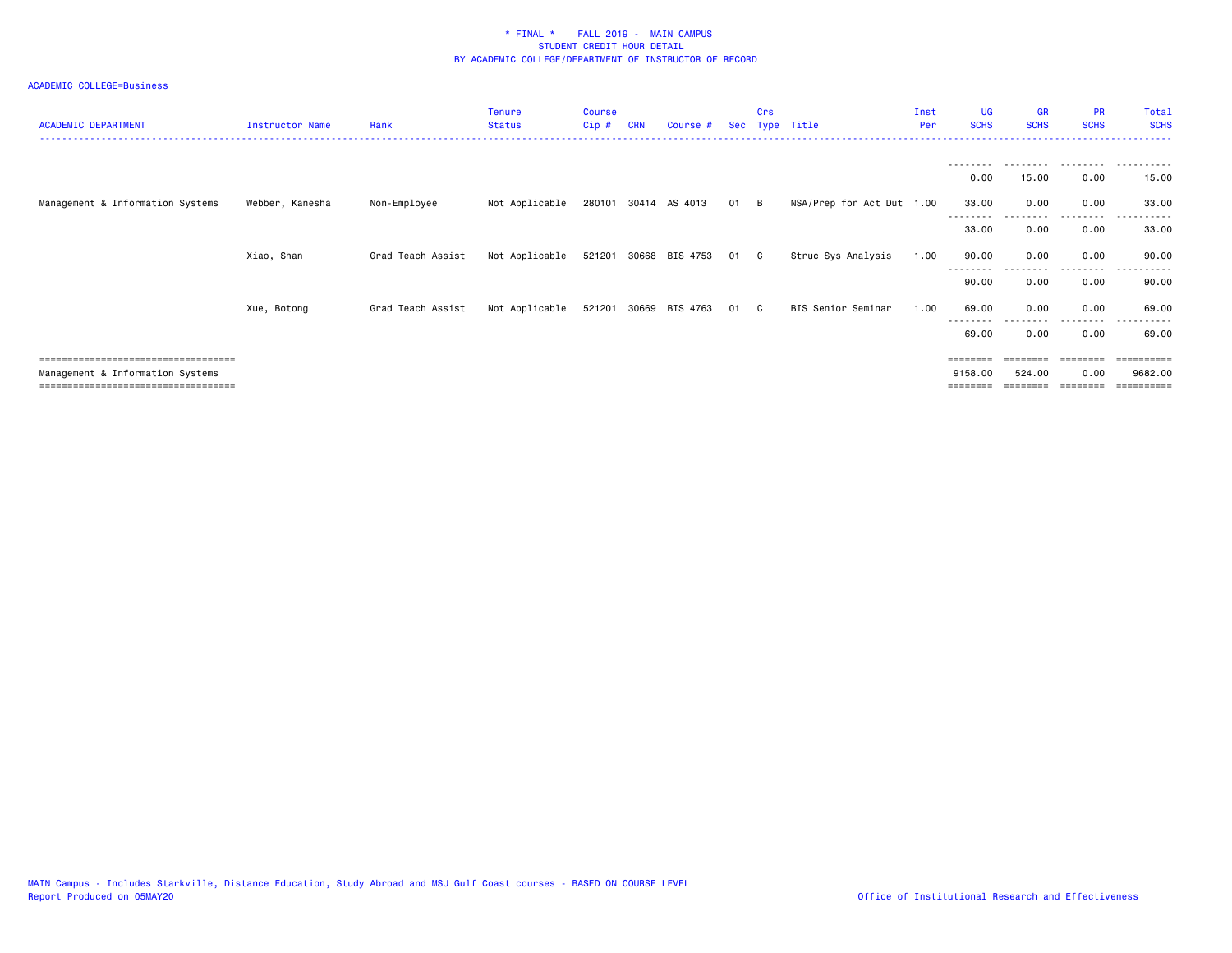| <b>ACADEMIC DEPARTMENT</b>                                               | Instructor Name | Rank              | <b>Tenure</b><br><b>Status</b> | <b>Course</b><br>Cip# | <b>CRN</b> | Course #              |      | Crs | Sec Type Title            | Inst<br>Per | <b>UG</b><br><b>SCHS</b> | <b>GR</b><br><b>SCHS</b> | <b>PR</b><br><b>SCHS</b> | Total<br><b>SCHS</b>  |
|--------------------------------------------------------------------------|-----------------|-------------------|--------------------------------|-----------------------|------------|-----------------------|------|-----|---------------------------|-------------|--------------------------|--------------------------|--------------------------|-----------------------|
|                                                                          |                 |                   |                                |                       |            |                       |      |     |                           |             |                          |                          |                          |                       |
|                                                                          |                 |                   |                                |                       |            |                       |      |     |                           |             | 0.00                     | 15.00                    | 0.00                     | 15.00                 |
| Management & Information Systems                                         | Webber, Kanesha | Non-Employee      | Not Applicable                 |                       |            | 280101 30414 AS 4013  | 01 B |     | NSA/Prep for Act Dut 1.00 |             | 33.00                    | 0.00                     | 0.00                     | 33.00                 |
|                                                                          |                 |                   |                                |                       |            |                       |      |     |                           |             | 33.00                    | 0.00                     | .<br>0.00                | 33.00                 |
|                                                                          | Xiao, Shan      | Grad Teach Assist | Not Applicable                 | 521201                |            | 30668 BIS 4753        | 01 C |     | Struc Sys Analysis        | 1.00        | 90.00                    | 0.00                     | 0.00                     | 90.00                 |
|                                                                          |                 |                   |                                |                       |            |                       |      |     |                           |             | --------<br>90.00        | 0.00                     | --------<br>0.00         | - - - - - -<br>90.00  |
|                                                                          | Xue, Botong     | Grad Teach Assist | Not Applicable                 |                       |            | 521201 30669 BIS 4763 | 01 C |     | BIS Senior Seminar        | 1.00        | 69.00                    | 0.00                     | 0.00                     | 69.00                 |
|                                                                          |                 |                   |                                |                       |            |                       |      |     |                           |             | 69.00                    | 0.00                     | 0.00                     | 69.00                 |
| =====================================                                    |                 |                   |                                |                       |            |                       |      |     |                           |             | ========                 |                          |                          | ==========            |
| Management & Information Systems<br>==================================== |                 |                   |                                |                       |            |                       |      |     |                           |             | 9158.00<br>======        | 524.00                   | 0.00                     | 9682.00<br>========== |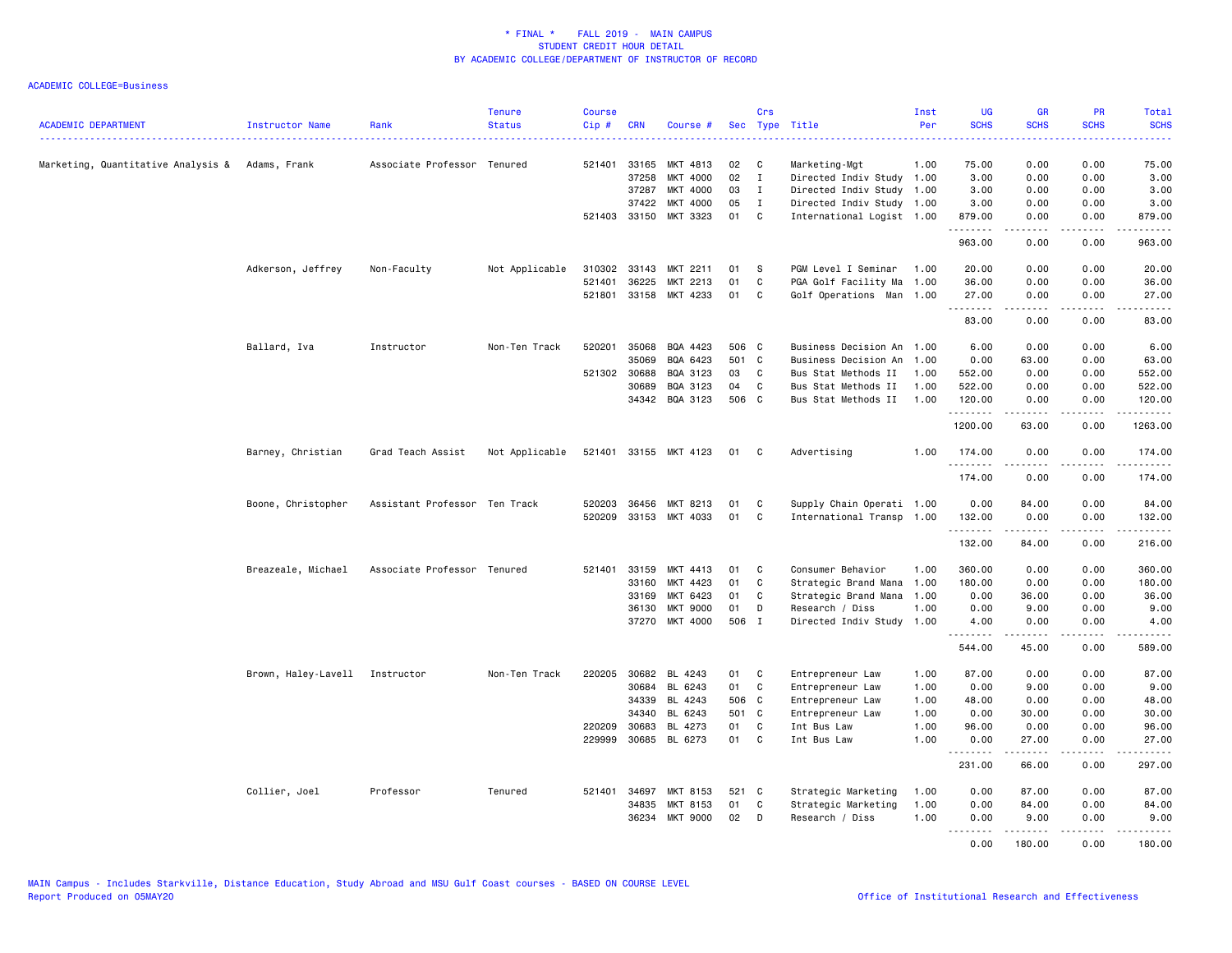| <b>ACADEMIC DEPARTMENT</b>                        | Instructor Name                | Rank                          | <b>Tenure</b><br><b>Status</b> | <b>Course</b><br>Cip# | <b>CRN</b>   | Course #              |       | Crs          | Sec Type Title            | Inst<br>Per | UG<br><b>SCHS</b>    | <b>GR</b><br><b>SCHS</b> | <b>PR</b><br><b>SCHS</b>                                                                                                          | Total<br><b>SCHS</b><br>$- - - - -$ |
|---------------------------------------------------|--------------------------------|-------------------------------|--------------------------------|-----------------------|--------------|-----------------------|-------|--------------|---------------------------|-------------|----------------------|--------------------------|-----------------------------------------------------------------------------------------------------------------------------------|-------------------------------------|
| Marketing, Quantitative Analysis &   Adams, Frank |                                | Associate Professor Tenured   |                                |                       | 521401 33165 | MKT 4813              | 02    | C            | Marketing-Mgt             | 1.00        | 75.00                | 0.00                     | 0.00                                                                                                                              | 75.00                               |
|                                                   |                                |                               |                                |                       | 37258        | MKT 4000              | 02    | $\mathbf{I}$ | Directed Indiv Study 1.00 |             | 3.00                 | 0.00                     | 0.00                                                                                                                              | 3.00                                |
|                                                   |                                |                               |                                |                       | 37287        | MKT 4000              | 03    | $\mathbf{I}$ | Directed Indiv Study 1.00 |             | 3.00                 | 0.00                     | 0.00                                                                                                                              | 3.00                                |
|                                                   |                                |                               |                                |                       | 37422        | MKT 4000              | 05    | $\mathbf{I}$ | Directed Indiv Study 1.00 |             | 3.00                 | 0.00                     | 0.00                                                                                                                              | 3.00                                |
|                                                   |                                |                               |                                |                       |              | 521403 33150 MKT 3323 | 01    | C.           | International Logist 1.00 |             | 879.00<br>------     | 0.00                     | 0.00<br>$\frac{1}{2} \left( \frac{1}{2} \right) \left( \frac{1}{2} \right) \left( \frac{1}{2} \right) \left( \frac{1}{2} \right)$ | 879.00                              |
|                                                   |                                |                               |                                |                       |              |                       |       |              |                           |             | 963.00               | 0.00                     | 0.00                                                                                                                              | 963.00                              |
|                                                   | Adkerson, Jeffrey              | Non-Faculty                   | Not Applicable                 | 310302                | 33143        | MKT 2211              | 01    | S            | PGM Level I Seminar       | 1.00        | 20.00                | 0.00                     | 0.00                                                                                                                              | 20.00                               |
|                                                   |                                |                               |                                | 521401                | 36225        | MKT 2213              | 01    | C            | PGA Golf Facility Ma      | 1.00        | 36.00                | 0.00                     | 0.00                                                                                                                              | 36.00                               |
|                                                   |                                |                               |                                |                       | 521801 33158 | MKT 4233              | 01    | C            | Golf Operations Man 1.00  |             | 27.00                | 0.00                     | 0.00                                                                                                                              | 27.00                               |
|                                                   |                                |                               |                                |                       |              |                       |       |              |                           |             | .                    | $- - - - -$              | .                                                                                                                                 | .                                   |
|                                                   |                                |                               |                                |                       |              |                       |       |              |                           |             | 83.00                | 0.00                     | 0.00                                                                                                                              | 83.00                               |
|                                                   | Ballard, Iva                   | Instructor                    | Non-Ten Track                  | 520201                | 35068        | BQA 4423              | 506 C |              | Business Decision An      | 1.00        | 6.00                 | 0.00                     | 0.00                                                                                                                              | 6.00                                |
|                                                   |                                |                               |                                |                       | 35069        | BQA 6423              | 501 C |              | Business Decision An      | 1.00        | 0.00                 | 63.00                    | 0.00                                                                                                                              | 63.00                               |
|                                                   |                                |                               |                                | 521302 30688          |              | BQA 3123              | 03    | C.           | Bus Stat Methods II       | 1.00        | 552.00               | 0.00                     | 0.00                                                                                                                              | 552.00                              |
|                                                   |                                |                               |                                |                       | 30689        | BQA 3123              | 04    | C            | Bus Stat Methods II       | 1.00        | 522.00               | 0.00                     | 0.00                                                                                                                              | 522.00                              |
|                                                   |                                |                               |                                |                       | 34342        | BQA 3123              | 506 C |              | Bus Stat Methods II       | 1.00        | 120.00<br>.          | 0.00<br>$- - - - -$      | 0.00<br>.                                                                                                                         | 120.00<br>.                         |
|                                                   |                                |                               |                                |                       |              |                       |       |              |                           |             | 1200.00              | 63.00                    | 0.00                                                                                                                              | 1263.00                             |
|                                                   | Barney, Christian              | Grad Teach Assist             | Not Applicable                 |                       |              | 521401 33155 MKT 4123 | 01    | $\mathbf{C}$ | Advertising               | 1.00        | 174.00<br>.          | 0.00                     | 0.00<br>.                                                                                                                         | 174.00<br>$- - - - - -$             |
|                                                   |                                |                               |                                |                       |              |                       |       |              |                           |             | 174.00               | 0.00                     | 0.00                                                                                                                              | 174.00                              |
|                                                   | Boone, Christopher             | Assistant Professor Ten Track |                                | 520203                | 36456        | MKT 8213              | 01    | C            | Supply Chain Operati 1.00 |             | 0.00                 | 84.00                    | 0.00                                                                                                                              | 84.00                               |
|                                                   |                                |                               |                                |                       |              | 520209 33153 MKT 4033 | 01    | C            | International Transp 1.00 |             | 132.00               | 0.00<br>.                | 0.00<br>.                                                                                                                         | 132.00<br>.                         |
|                                                   |                                |                               |                                |                       |              |                       |       |              |                           |             | .<br>132.00          | 84.00                    | 0.00                                                                                                                              | 216.00                              |
|                                                   | Breazeale, Michael             | Associate Professor Tenured   |                                | 521401                | 33159        | MKT 4413              | 01    | C            | Consumer Behavior         | 1.00        | 360.00               | 0.00                     | 0.00                                                                                                                              | 360.00                              |
|                                                   |                                |                               |                                |                       | 33160        | MKT 4423              | 01    | C            | Strategic Brand Mana      | 1.00        | 180.00               | 0.00                     | 0.00                                                                                                                              | 180.00                              |
|                                                   |                                |                               |                                |                       | 33169        | MKT 6423              | 01    | C            | Strategic Brand Mana      | 1.00        | 0.00                 | 36.00                    | 0.00                                                                                                                              | 36.00                               |
|                                                   |                                |                               |                                |                       | 36130        | <b>MKT 9000</b>       | 01    | D            | Research / Diss           | 1.00        | 0.00                 | 9.00                     | 0.00                                                                                                                              | 9.00                                |
|                                                   |                                |                               |                                |                       |              | 37270 MKT 4000        | 506 I |              | Directed Indiv Study      | 1.00        | 4.00                 | 0.00<br>$- - - - -$      | 0.00<br>.                                                                                                                         | 4.00<br>.                           |
|                                                   |                                |                               |                                |                       |              |                       |       |              |                           |             | .<br>544.00          | 45.00                    | 0.00                                                                                                                              | 589.00                              |
|                                                   | Brown, Haley-Lavell Instructor |                               | Non-Ten Track                  |                       | 220205 30682 | BL 4243               | 01    | C            | Entrepreneur Law          | 1.00        | 87.00                | 0.00                     | 0.00                                                                                                                              | 87.00                               |
|                                                   |                                |                               |                                |                       | 30684        | BL 6243               | 01    | C            | Entrepreneur Law          | 1.00        | 0.00                 | 9.00                     | 0.00                                                                                                                              | 9.00                                |
|                                                   |                                |                               |                                |                       | 34339        | BL 4243               | 506 C |              | Entrepreneur Law          | 1.00        | 48.00                | 0.00                     | 0.00                                                                                                                              | 48.00                               |
|                                                   |                                |                               |                                |                       | 34340        | BL 6243               | 501 C |              | Entrepreneur Law          | 1.00        | 0.00                 | 30.00                    | 0.00                                                                                                                              | 30.00                               |
|                                                   |                                |                               |                                |                       | 220209 30683 | BL 4273               | 01    | C            | Int Bus Law               | 1.00        | 96.00                | 0.00                     | 0.00                                                                                                                              | 96.00                               |
|                                                   |                                |                               |                                | 229999                | 30685        | BL 6273               | 01    | $\mathbf{C}$ | Int Bus Law               | 1.00        | 0.00                 | 27.00                    | 0.00                                                                                                                              | 27.00                               |
|                                                   |                                |                               |                                |                       |              |                       |       |              |                           |             | . <u>.</u><br>231.00 | 66.00                    | 0.00                                                                                                                              | $\frac{1}{2}$<br>297.00             |
|                                                   | Collier, Joel                  | Professor                     | Tenured                        |                       | 521401 34697 | MKT 8153              | 521 C |              | Strategic Marketing       | 1.00        | 0.00                 | 87.00                    | 0.00                                                                                                                              | 87.00                               |
|                                                   |                                |                               |                                |                       | 34835        | MKT 8153              | 01    | C            | Strategic Marketing       | 1.00        | 0.00                 | 84.00                    | 0.00                                                                                                                              | 84.00                               |
|                                                   |                                |                               |                                |                       | 36234        | <b>MKT 9000</b>       | 02    | D            | Research / Diss           | 1.00        | 0.00                 | 9.00                     | 0.00                                                                                                                              | 9.00                                |
|                                                   |                                |                               |                                |                       |              |                       |       |              |                           |             | .<br>0.00            | .<br>180.00              | .<br>0.00                                                                                                                         | .<br>180.00                         |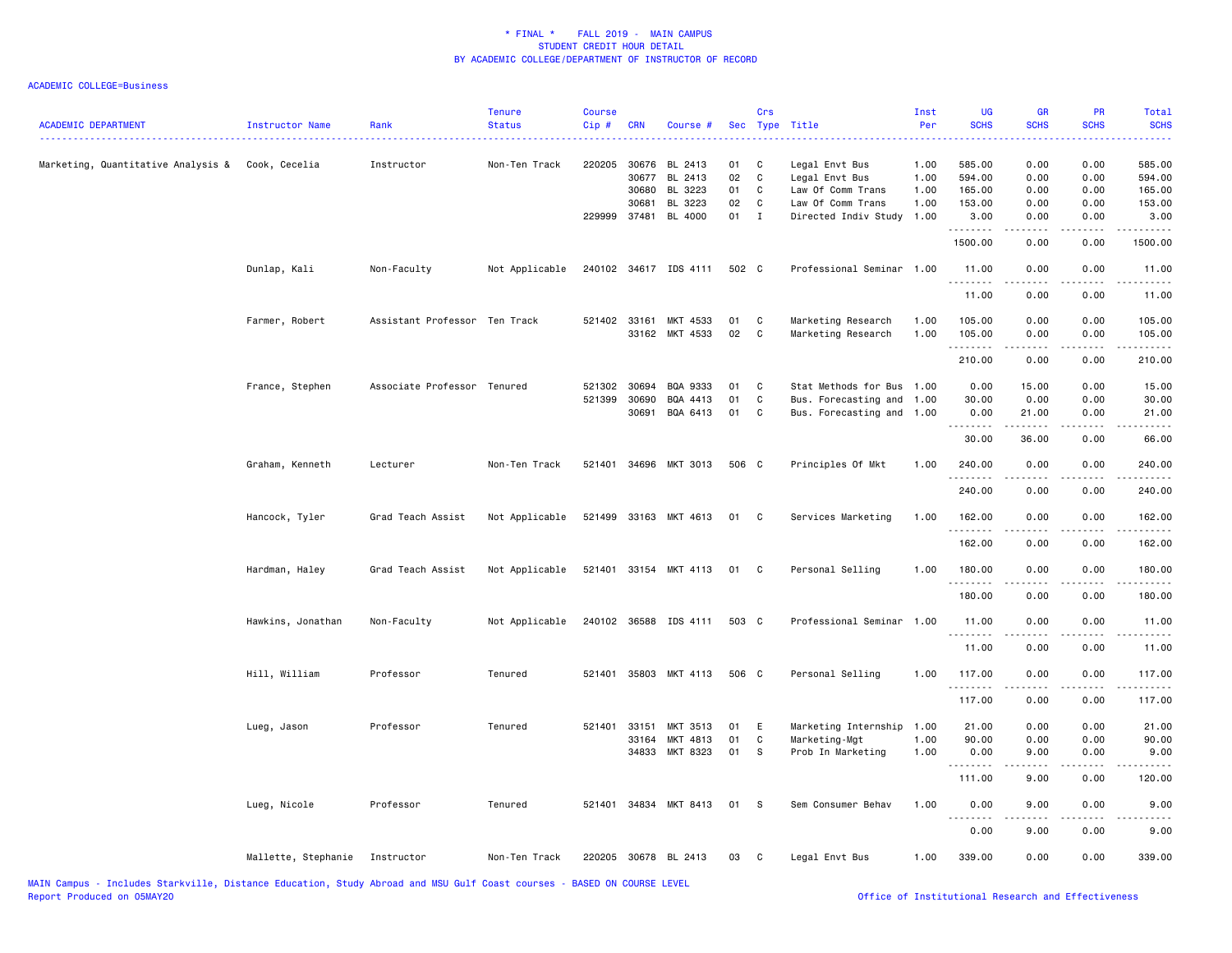| <b>ACADEMIC DEPARTMENT</b>                       | Instructor Name     | Rank                          | <b>Tenure</b><br><b>Status</b> | <b>Course</b><br>Cip#  | <b>CRN</b>                              | Course #                                 | Sec                  | Crs                        | Type Title                                                                 | Inst<br>Per                  | <b>UG</b><br><b>SCHS</b>             | <b>GR</b><br><b>SCHS</b>                                                                                                                                      | <b>PR</b><br><b>SCHS</b>     | <b>Total</b><br><b>SCHS</b><br>.                                                                                                                             |
|--------------------------------------------------|---------------------|-------------------------------|--------------------------------|------------------------|-----------------------------------------|------------------------------------------|----------------------|----------------------------|----------------------------------------------------------------------------|------------------------------|--------------------------------------|---------------------------------------------------------------------------------------------------------------------------------------------------------------|------------------------------|--------------------------------------------------------------------------------------------------------------------------------------------------------------|
| Marketing, Quantitative Analysis & Cook, Cecelia |                     | Instructor                    | Non-Ten Track                  |                        | 220205 30676<br>30677<br>30680<br>30681 | BL 2413<br>BL 2413<br>BL 3223<br>BL 3223 | 01<br>02<br>01<br>02 | C<br>$\mathbf c$<br>C<br>C | Legal Envt Bus<br>Legal Envt Bus<br>Law Of Comm Trans<br>Law Of Comm Trans | 1.00<br>1.00<br>1.00<br>1.00 | 585.00<br>594.00<br>165.00<br>153.00 | 0.00<br>0.00<br>0.00<br>0.00                                                                                                                                  | 0.00<br>0.00<br>0.00<br>0.00 | 585.00<br>594.00<br>165.00<br>153.00                                                                                                                         |
|                                                  |                     |                               |                                | 229999 37481           |                                         | BL 4000                                  | 01                   | $\mathbf{I}$               | Directed Indiv Study                                                       | 1.00                         | 3.00<br>.                            | 0.00                                                                                                                                                          | 0.00                         | 3.00<br>$\frac{1}{2} \left( \frac{1}{2} \right) \left( \frac{1}{2} \right) \left( \frac{1}{2} \right) \left( \frac{1}{2} \right) \left( \frac{1}{2} \right)$ |
|                                                  |                     |                               |                                |                        |                                         |                                          |                      |                            |                                                                            |                              | 1500.00                              | 0.00                                                                                                                                                          | 0.00                         | 1500.00                                                                                                                                                      |
|                                                  | Dunlap, Kali        | Non-Faculty                   | Not Applicable                 |                        |                                         | 240102 34617 IDS 4111                    | 502 C                |                            | Professional Seminar 1.00                                                  |                              | 11.00<br>.                           | 0.00                                                                                                                                                          | 0.00                         | 11.00<br>.                                                                                                                                                   |
|                                                  |                     |                               |                                |                        |                                         |                                          |                      |                            |                                                                            |                              | 11.00                                | 0.00                                                                                                                                                          | 0.00                         | 11.00                                                                                                                                                        |
|                                                  | Farmer, Robert      | Assistant Professor Ten Track |                                | 521402 33161           |                                         | MKT 4533<br>33162 MKT 4533               | 01<br>02             | C<br>$\mathbf c$           | Marketing Research<br>Marketing Research                                   | 1.00<br>1.00                 | 105.00<br>105.00                     | 0.00<br>0.00                                                                                                                                                  | 0.00<br>0.00                 | 105.00<br>105.00                                                                                                                                             |
|                                                  |                     |                               |                                |                        |                                         |                                          |                      |                            |                                                                            |                              | .<br>210.00                          | $-$ - - - - $-$<br>0.00                                                                                                                                       | .<br>0.00                    | .<br>210.00                                                                                                                                                  |
|                                                  | France, Stephen     | Associate Professor Tenured   |                                | 521302 30694<br>521399 | 30690<br>30691                          | BQA 9333<br>BQA 4413<br>BQA 6413         | 01<br>01<br>01       | C<br>C<br>C                | Stat Methods for Bus<br>Bus. Forecasting and<br>Bus. Forecasting and 1.00  | 1.00<br>1.00                 | 0.00<br>30.00<br>0.00                | 15.00<br>0.00<br>21.00                                                                                                                                        | 0.00<br>0.00<br>0.00         | 15.00<br>30.00<br>21.00                                                                                                                                      |
|                                                  |                     |                               |                                |                        |                                         |                                          |                      |                            |                                                                            |                              | .<br>30.00                           | $\frac{1}{2} \left( \frac{1}{2} \right) \left( \frac{1}{2} \right) \left( \frac{1}{2} \right) \left( \frac{1}{2} \right) \left( \frac{1}{2} \right)$<br>36.00 | 0.00                         | . <b>.</b> .<br>66.00                                                                                                                                        |
|                                                  | Graham, Kenneth     | Lecturer                      | Non-Ten Track                  |                        |                                         | 521401 34696 MKT 3013                    | 506 C                |                            | Principles Of Mkt                                                          | 1.00                         | 240.00                               | 0.00                                                                                                                                                          | 0.00                         | 240.00                                                                                                                                                       |
|                                                  |                     |                               |                                |                        |                                         |                                          |                      |                            |                                                                            |                              | 240.00                               | 0.00                                                                                                                                                          | 0.00                         | 240.00                                                                                                                                                       |
|                                                  | Hancock, Tyler      | Grad Teach Assist             | Not Applicable                 |                        |                                         | 521499 33163 MKT 4613                    | 01                   | $\mathbf{C}$               | Services Marketing                                                         | 1.00                         | 162.00<br>.                          | 0.00                                                                                                                                                          | 0.00<br>.                    | 162.00<br>.                                                                                                                                                  |
|                                                  |                     |                               |                                |                        |                                         |                                          |                      |                            |                                                                            |                              | 162.00                               | 0.00                                                                                                                                                          | 0.00                         | 162.00                                                                                                                                                       |
|                                                  | Hardman, Haley      | Grad Teach Assist             | Not Applicable                 |                        |                                         | 521401 33154 MKT 4113                    | 01                   | C                          | Personal Selling                                                           | 1.00                         | 180.00<br>. <b>.</b>                 | 0.00                                                                                                                                                          | 0.00<br>$\frac{1}{2}$        | 180.00<br>.                                                                                                                                                  |
|                                                  |                     |                               |                                |                        |                                         |                                          |                      |                            |                                                                            |                              | 180.00                               | 0.00                                                                                                                                                          | 0.00                         | 180.00                                                                                                                                                       |
|                                                  | Hawkins, Jonathan   | Non-Faculty                   | Not Applicable                 |                        |                                         | 240102 36588 IDS 4111                    | 503 C                |                            | Professional Seminar                                                       | 1.00                         | 11.00<br>.                           | 0.00                                                                                                                                                          | 0.00                         | 11.00<br>.                                                                                                                                                   |
|                                                  |                     |                               |                                |                        |                                         |                                          |                      |                            |                                                                            |                              | 11.00                                | 0.00                                                                                                                                                          | 0.00                         | 11.00                                                                                                                                                        |
|                                                  | Hill, William       | Professor                     | Tenured                        | 521401                 |                                         | 35803 MKT 4113                           | 506 C                |                            | Personal Selling                                                           | 1.00                         | 117.00<br>.                          | 0.00<br>.                                                                                                                                                     | 0.00<br>$- - - -$            | 117.00<br>.                                                                                                                                                  |
|                                                  |                     |                               |                                |                        |                                         |                                          |                      |                            |                                                                            |                              | 117.00                               | 0.00                                                                                                                                                          | 0.00                         | 117.00                                                                                                                                                       |
|                                                  | Lueg, Jason         | Professor                     | Tenured                        | 521401                 | 33151<br>33164                          | MKT 3513<br>MKT 4813                     | 01<br>01             | Ε<br>C                     | Marketing Internship<br>Marketing-Mgt                                      | 1.00<br>1.00                 | 21.00<br>90.00                       | 0.00<br>0.00                                                                                                                                                  | 0.00<br>0.00                 | 21.00<br>90.00                                                                                                                                               |
|                                                  |                     |                               |                                |                        | 34833                                   | MKT 8323                                 | 01                   | S                          | Prob In Marketing                                                          | 1.00                         | 0.00                                 | 9.00                                                                                                                                                          | 0.00                         | 9.00                                                                                                                                                         |
|                                                  |                     |                               |                                |                        |                                         |                                          |                      |                            |                                                                            |                              | .<br>111.00                          | 9.00                                                                                                                                                          | $\sim$ $\sim$ $\sim$<br>0.00 | 120.00                                                                                                                                                       |
|                                                  | Lueg, Nicole        | Professor                     | Tenured                        |                        |                                         | 521401 34834 MKT 8413 01                 |                      | <b>S</b>                   | Sem Consumer Behav                                                         | 1.00                         | 0.00<br><u>.</u>                     | 9.00<br><u>.</u>                                                                                                                                              | 0.00<br>.                    | 9.00                                                                                                                                                         |
|                                                  |                     |                               |                                |                        |                                         |                                          |                      |                            |                                                                            |                              | 0.00                                 | 9.00                                                                                                                                                          | 0.00                         | 9.00                                                                                                                                                         |
|                                                  | Mallette, Stephanie | Instructor                    | Non-Ten Track                  |                        |                                         | 220205 30678 BL 2413                     | 03                   | C                          | Legal Envt Bus                                                             | 1.00                         | 339.00                               | 0.00                                                                                                                                                          | 0.00                         | 339.00                                                                                                                                                       |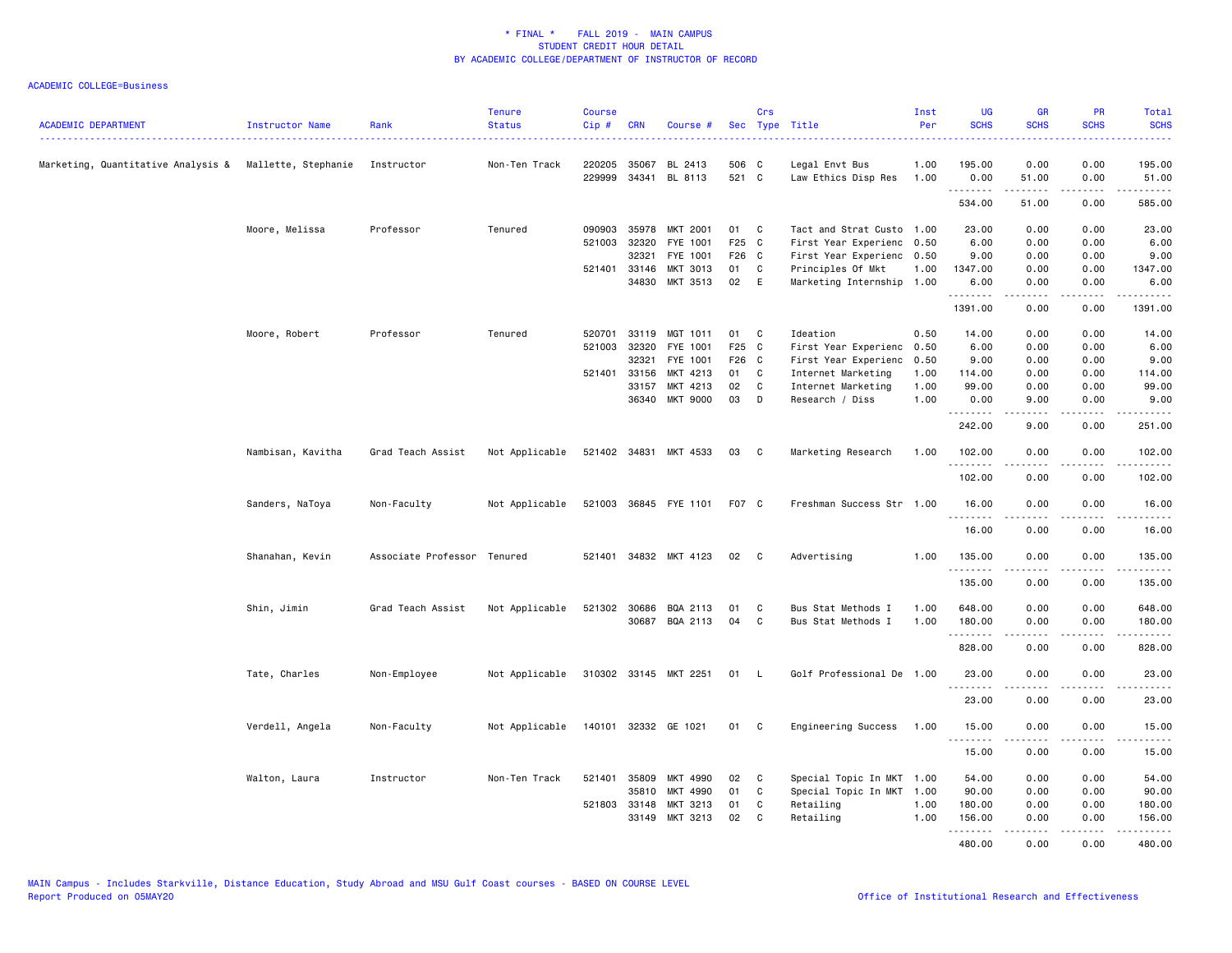| <b>ACADEMIC DEPARTMENT</b>                             | Instructor Name   | Rank                        | <b>Tenure</b><br><b>Status</b> | <b>Course</b><br>Cip# | <b>CRN</b>     | Course #                 |                | Crs          | Sec Type Title                        | Inst<br>Per  | <b>UG</b><br><b>SCHS</b> | <b>GR</b><br><b>SCHS</b> | <b>PR</b><br><b>SCHS</b> | <b>Total</b><br><b>SCHS</b> |
|--------------------------------------------------------|-------------------|-----------------------------|--------------------------------|-----------------------|----------------|--------------------------|----------------|--------------|---------------------------------------|--------------|--------------------------|--------------------------|--------------------------|-----------------------------|
| Marketing, Quantitative Analysis & Mallette, Stephanie |                   | Instructor                  | Non-Ten Track                  | 220205<br>229999      | 35067<br>34341 | BL 2413<br>BL 8113       | 506 C<br>521 C |              | Legal Envt Bus<br>Law Ethics Disp Res | 1.00<br>1.00 | 195.00<br>0.00           | 0.00<br>51.00            | 0.00<br>0.00             | 195.00<br>51.00             |
|                                                        |                   |                             |                                |                       |                |                          |                |              |                                       |              | .<br>534.00              | .<br>51.00               | .<br>0.00                | .<br>585.00                 |
|                                                        | Moore, Melissa    | Professor                   | Tenured                        | 090903                | 35978          | <b>MKT 2001</b>          | 01             | C            | Tact and Strat Custo                  | 1.00         | 23.00                    | 0.00                     | 0.00                     | 23.00                       |
|                                                        |                   |                             |                                | 521003                | 32320          | FYE 1001                 | F25 C          |              | First Year Experienc 0.50             |              | 6.00                     | 0.00                     | 0.00                     | 6.00                        |
|                                                        |                   |                             |                                |                       | 32321          | FYE 1001                 | F26 C          |              | First Year Experienc                  | 0.50         | 9.00                     | 0.00                     | 0.00                     | 9.00                        |
|                                                        |                   |                             |                                |                       | 521401 33146   | MKT 3013                 | 01             | C            | Principles Of Mkt                     | 1.00         | 1347.00                  | 0.00                     | 0.00                     | 1347.00                     |
|                                                        |                   |                             |                                |                       | 34830          | MKT 3513                 | 02             | E            | Marketing Internship                  | 1.00         | 6.00<br>.                | 0.00                     | 0.00                     | 6.00<br>. <u>.</u>          |
|                                                        |                   |                             |                                |                       |                |                          |                |              |                                       |              | 1391.00                  | 0.00                     | 0.00                     | 1391.00                     |
|                                                        | Moore, Robert     | Professor                   | Tenured                        | 520701                | 33119          | MGT 1011                 | 01             | C            | Ideation                              | 0.50         | 14.00                    | 0.00                     | 0.00                     | 14.00                       |
|                                                        |                   |                             |                                |                       | 521003 32320   | FYE 1001                 | F25 C          |              | First Year Experienc                  | 0.50         | 6.00                     | 0.00                     | 0.00                     | 6.00                        |
|                                                        |                   |                             |                                |                       | 32321          | FYE 1001                 | F26 C          |              | First Year Experienc                  | 0.50         | 9.00                     | 0.00                     | 0.00                     | 9.00                        |
|                                                        |                   |                             |                                |                       | 521401 33156   | MKT 4213                 | 01             | C            | Internet Marketing                    | 1.00         | 114.00                   | 0.00                     | 0.00                     | 114.00                      |
|                                                        |                   |                             |                                |                       | 33157          | MKT 4213                 | 02             | C            | Internet Marketing                    | 1.00         | 99.00                    | 0.00                     | 0.00                     | 99.00                       |
|                                                        |                   |                             |                                |                       | 36340          | <b>MKT 9000</b>          | 03             | D            | Research / Diss                       | 1.00         | 0.00<br>.                | 9.00<br>$- - - -$        | 0.00                     | 9.00<br>$   -$              |
|                                                        |                   |                             |                                |                       |                |                          |                |              |                                       |              | 242.00                   | 9.00                     | 0.00                     | 251.00                      |
|                                                        | Nambisan, Kavitha | Grad Teach Assist           | Not Applicable                 |                       |                | 521402 34831 MKT 4533    | 03             | $\mathbf{C}$ | Marketing Research                    | 1.00         | 102.00                   | 0.00                     | 0.00                     | 102.00                      |
|                                                        |                   |                             |                                |                       |                |                          |                |              |                                       |              | .<br>102.00              | 0.00                     | 0.00                     | 2.2.2.2.2<br>102.00         |
|                                                        | Sanders, NaToya   | Non-Faculty                 | Not Applicable                 |                       |                | 521003 36845 FYE 1101    | F07 C          |              | Freshman Success Str 1.00             |              | 16.00                    | 0.00                     | 0.00                     | 16.00                       |
|                                                        |                   |                             |                                |                       |                |                          |                |              |                                       |              | <u>.</u><br>16.00        | 0.00                     | 0.00                     | $\frac{1}{2}$<br>16.00      |
|                                                        | Shanahan, Kevin   | Associate Professor Tenured |                                |                       |                | 521401 34832 MKT 4123 02 |                | $\mathbf{C}$ | Advertising                           | 1.00         | 135.00                   | 0.00                     | 0.00                     | 135.00                      |
|                                                        |                   |                             |                                |                       |                |                          |                |              |                                       |              | .<br>135.00              | .<br>0.00                | .<br>0.00                | $- - - - -$<br>135.00       |
|                                                        | Shin, Jimin       | Grad Teach Assist           | Not Applicable                 |                       | 521302 30686   | BQA 2113                 | 01             | C            | Bus Stat Methods I                    | 1.00         | 648.00                   | 0.00                     | 0.00                     | 648.00                      |
|                                                        |                   |                             |                                |                       |                | 30687 BQA 2113           | 04             | C            | Bus Stat Methods I                    | 1.00         | 180.00<br>.              | 0.00                     | 0.00                     | 180.00                      |
|                                                        |                   |                             |                                |                       |                |                          |                |              |                                       |              | 828.00                   | 0.00                     | 0.00                     | 828.00                      |
|                                                        | Tate, Charles     | Non-Employee                | Not Applicable                 |                       |                | 310302 33145 MKT 2251    | 01             | - L          | Golf Professional De 1.00             |              | 23.00<br>.               | 0.00<br>.                | 0.00                     | 23.00<br>$\frac{1}{2}$      |
|                                                        |                   |                             |                                |                       |                |                          |                |              |                                       |              | 23.00                    | 0.00                     | 0.00                     | 23.00                       |
|                                                        | Verdell, Angela   | Non-Faculty                 | Not Applicable                 |                       |                | 140101 32332 GE 1021     | 01 C           |              | Engineering Success                   | 1.00         | 15.00<br>.               | 0.00<br>$- - - - -$      | 0.00<br>.                | 15.00<br>.                  |
|                                                        |                   |                             |                                |                       |                |                          |                |              |                                       |              | 15.00                    | 0.00                     | 0.00                     | 15.00                       |
|                                                        | Walton, Laura     | Instructor                  | Non-Ten Track                  | 521401                | 35809          | MKT 4990                 | 02             | C            | Special Topic In MKT 1.00             |              | 54.00                    | 0.00                     | 0.00                     | 54.00                       |
|                                                        |                   |                             |                                |                       | 35810          | MKT 4990                 | 01             | C            | Special Topic In MKT                  | 1.00         | 90.00                    | 0.00                     | 0.00                     | 90.00                       |
|                                                        |                   |                             |                                |                       | 521803 33148   | MKT 3213                 | 01             | C            | Retailing                             | 1.00         | 180.00                   | 0.00                     | 0.00                     | 180.00                      |
|                                                        |                   |                             |                                |                       | 33149          | MKT 3213                 | 02             | C            | Retailing                             | 1.00         | 156.00<br>.              | 0.00<br>.                | 0.00<br>المالم عامات     | 156.00<br>.                 |
|                                                        |                   |                             |                                |                       |                |                          |                |              |                                       |              | 480.00                   | 0.00                     | 0.00                     | 480.00                      |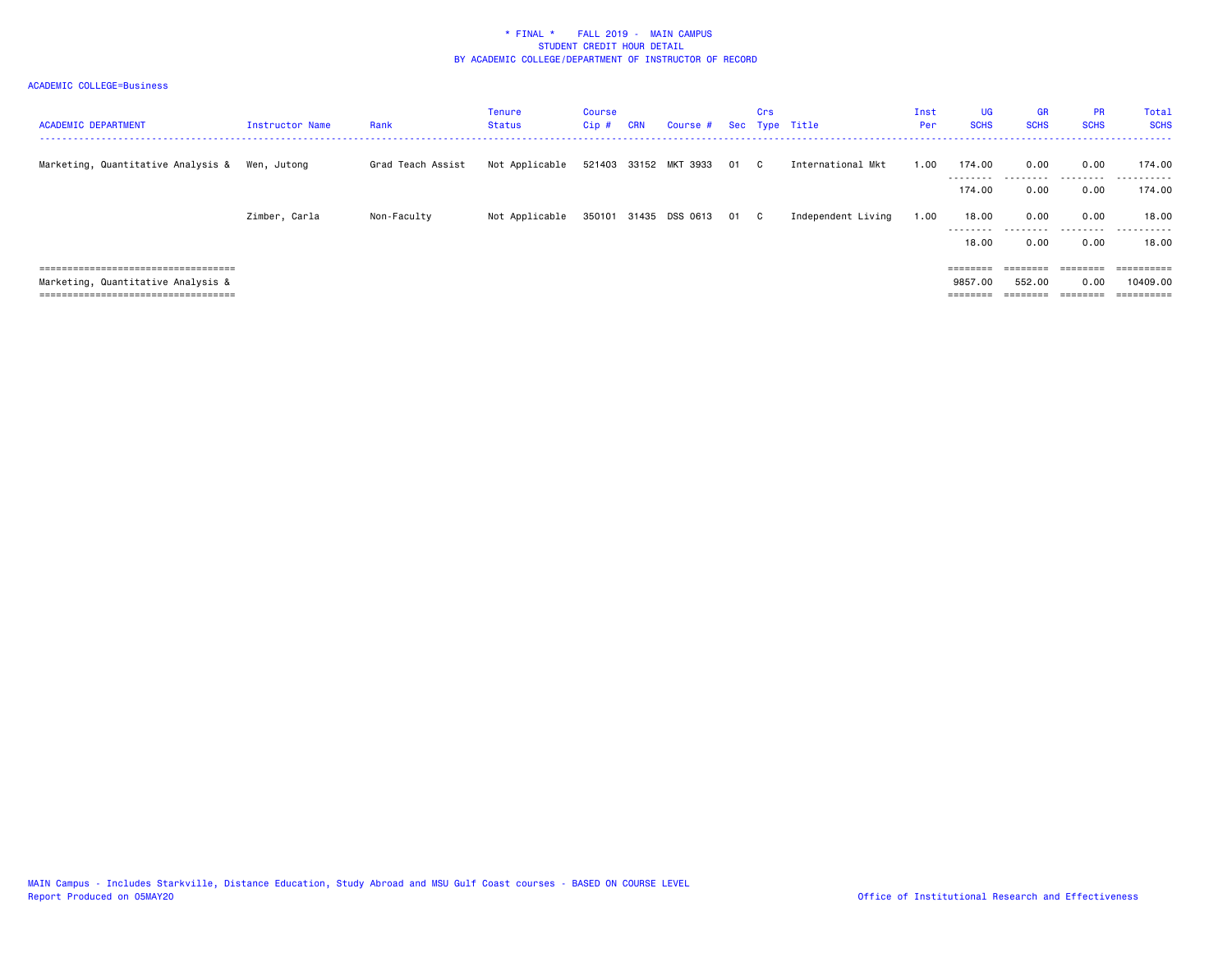| <b>ACADEMIC DEPARTMENT</b>            | Instructor Name | Rank              | Tenure<br>Status | Course<br>Cip# | <b>CRN</b> | Course #                   | Crs | Sec Type Title     | Inst<br>Per | <b>UG</b><br><b>SCHS</b> | <b>GR</b><br><b>SCHS</b> | <b>PR</b><br><b>SCHS</b> | Total<br><b>SCHS</b>  |
|---------------------------------------|-----------------|-------------------|------------------|----------------|------------|----------------------------|-----|--------------------|-------------|--------------------------|--------------------------|--------------------------|-----------------------|
| Marketing, Quantitative Analysis &    | Wen, Jutong     | Grad Teach Assist | Not Applicable   |                |            | 521403 33152 MKT 3933 01 C |     | International Mkt  | 1.00        | 174.00<br>---------      | 0.00<br>---------        | 0.00<br>.                | 174.00<br>.           |
|                                       |                 |                   |                  |                |            |                            |     |                    |             | 174.00                   | 0.00                     | 0.00                     | 174.00                |
|                                       | Zimber, Carla   | Non-Faculty       | Not Applicable   |                |            | 350101 31435 DSS 0613 01 C |     | Independent Living | 1.00        | 18.00<br>---------       | 0.00<br>.                | 0.00<br>.                | 18.00<br>.<br>$- - -$ |
|                                       |                 |                   |                  |                |            |                            |     |                    |             | 18.00                    | 0.00                     | 0.00                     | 18.00                 |
| ===================================== |                 |                   |                  |                |            |                            |     |                    |             | ========                 | ========                 |                          | ==========            |
| Marketing, Quantitative Analysis &    |                 |                   |                  |                |            |                            |     |                    |             | 9857.00                  | 552.00                   | 0.00                     | 10409.00              |
| ====================================  |                 |                   |                  |                |            |                            |     |                    |             | ________                 | ________<br>--------     | ________<br>--------     |                       |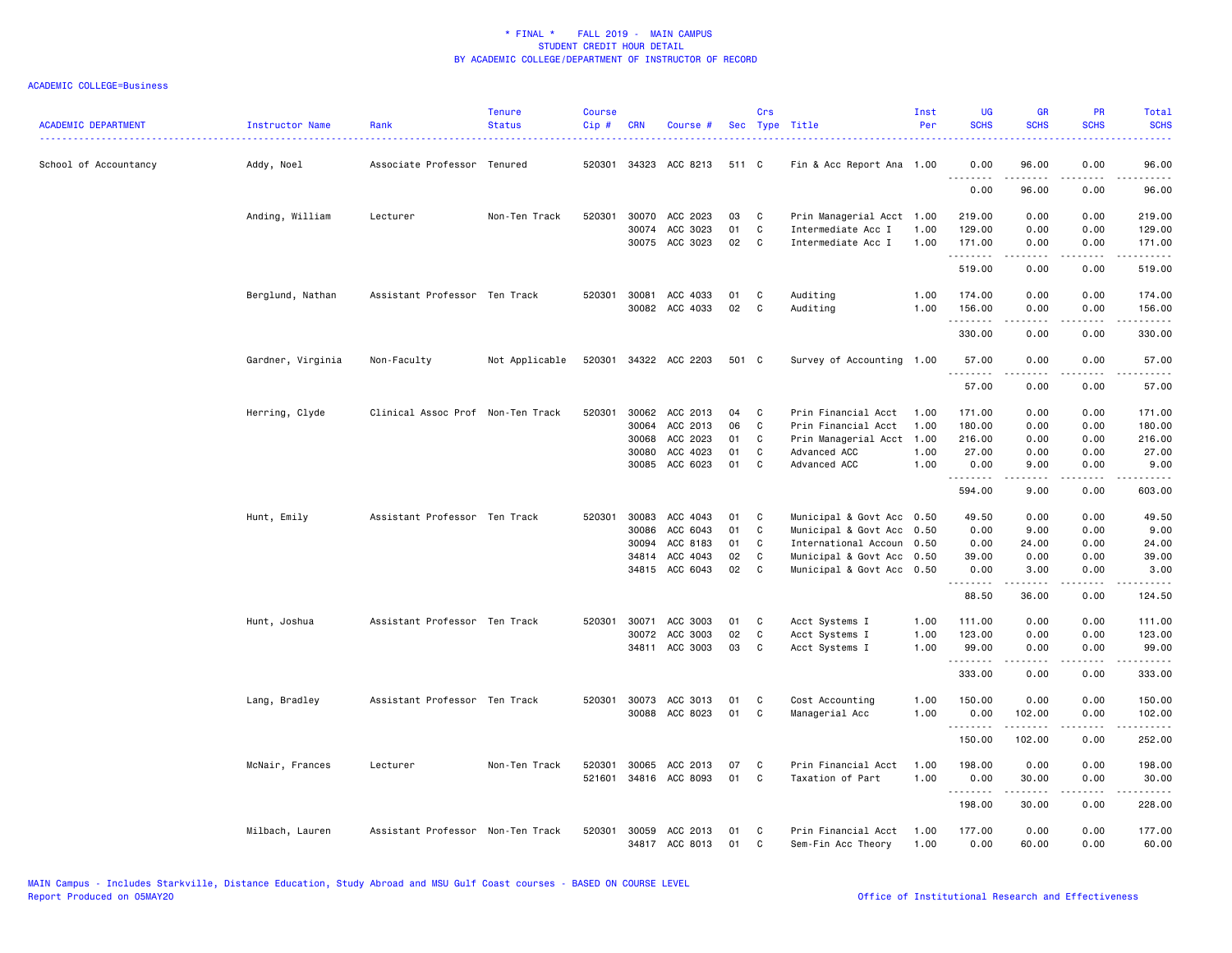| <b>ACADEMIC DEPARTMENT</b> | Instructor Name   | Rank                              | <b>Tenure</b><br><b>Status</b> | <b>Course</b><br>Cip# | <b>CRN</b> | Course #                   |          | Crs    | Sec Type Title                            | Inst<br>Per  | <b>UG</b><br><b>SCHS</b> | <b>GR</b><br><b>SCHS</b> | <b>PR</b><br><b>SCHS</b> | Total<br><b>SCHS</b>                                                                                                  |
|----------------------------|-------------------|-----------------------------------|--------------------------------|-----------------------|------------|----------------------------|----------|--------|-------------------------------------------|--------------|--------------------------|--------------------------|--------------------------|-----------------------------------------------------------------------------------------------------------------------|
| School of Accountancy      | Addy, Noel        | Associate Professor Tenured       |                                | 520301                |            | 34323 ACC 8213             | 511 C    |        | Fin & Acc Report Ana 1.00                 |              | 0.00<br>--------         | 96.00<br>-----           | 0.00<br>$  -$            | 96.00<br>$- - - - -$                                                                                                  |
|                            |                   |                                   |                                |                       |            |                            |          |        |                                           |              | 0.00                     | 96.00                    | 0.00                     | 96.00                                                                                                                 |
|                            | Anding, William   | Lecturer                          | Non-Ten Track                  | 520301                |            | 30070 ACC 2023             | 03       | C      | Prin Managerial Acct 1.00                 |              | 219.00                   | 0.00                     | 0.00                     | 219.00                                                                                                                |
|                            |                   |                                   |                                |                       |            | 30074 ACC 3023             | 01       | C      | Intermediate Acc I                        | 1.00         | 129.00                   | 0.00                     | 0.00                     | 129.00                                                                                                                |
|                            |                   |                                   |                                |                       |            | 30075 ACC 3023             | 02       | C      | Intermediate Acc I                        | 1.00         | 171.00<br>.              | 0.00<br>.                | 0.00<br>.                | 171.00<br>.                                                                                                           |
|                            |                   |                                   |                                |                       |            |                            |          |        |                                           |              | 519.00                   | 0.00                     | 0.00                     | 519.00                                                                                                                |
|                            | Berglund, Nathan  | Assistant Professor Ten Track     |                                | 520301                | 30081      | ACC 4033                   | 01       | C      | Auditing                                  | 1.00         | 174.00                   | 0.00                     | 0.00                     | 174.00                                                                                                                |
|                            |                   |                                   |                                |                       |            | 30082 ACC 4033             | 02       | C      | Auditing                                  | 1.00         | 156.00<br>.              | 0.00<br>.                | 0.00<br>.                | 156.00<br>$\begin{array}{cccccccccc} \bullet & \bullet & \bullet & \bullet & \bullet & \bullet & \bullet \end{array}$ |
|                            |                   |                                   |                                |                       |            |                            |          |        |                                           |              | 330.00                   | 0.00                     | 0.00                     | 330.00                                                                                                                |
|                            | Gardner, Virginia | Non-Faculty                       | Not Applicable                 | 520301                |            | 34322 ACC 2203             | 501 C    |        | Survey of Accounting 1.00                 |              | 57.00                    | 0.00<br>.                | 0.00<br>.                | 57.00<br>.                                                                                                            |
|                            |                   |                                   |                                |                       |            |                            |          |        |                                           |              | 57.00                    | 0.00                     | 0.00                     | 57.00                                                                                                                 |
|                            | Herring, Clyde    | Clinical Assoc Prof Non-Ten Track |                                | 520301                | 30062      | ACC 2013                   | 04       | C      | Prin Financial Acct                       | 1.00         | 171.00                   | 0.00                     | 0.00                     | 171.00                                                                                                                |
|                            |                   |                                   |                                |                       | 30064      | ACC 2013                   | 06       | C      | Prin Financial Acct                       | 1.00         | 180.00                   | 0.00                     | 0.00                     | 180.00                                                                                                                |
|                            |                   |                                   |                                |                       | 30068      | ACC 2023                   | 01       | C      | Prin Managerial Acct 1.00                 |              | 216.00                   | 0.00                     | 0.00                     | 216.00                                                                                                                |
|                            |                   |                                   |                                |                       | 30080      | ACC 4023                   | 01       | C      | Advanced ACC                              | 1.00         | 27.00                    | 0.00                     | 0.00                     | 27.00                                                                                                                 |
|                            |                   |                                   |                                |                       |            | 30085 ACC 6023             | 01       | C      | Advanced ACC                              | 1.00         | 0.00<br>. <b>.</b>       | 9.00<br>المتمالين        | 0.00<br>.                | 9.00<br>.                                                                                                             |
|                            |                   |                                   |                                |                       |            |                            |          |        |                                           |              | 594.00                   | 9.00                     | 0.00                     | 603.00                                                                                                                |
|                            | Hunt, Emily       | Assistant Professor Ten Track     |                                | 520301                | 30083      | ACC 4043                   | 01       | C      | Municipal & Govt Acc 0.50                 |              | 49.50                    | 0.00                     | 0.00                     | 49.50                                                                                                                 |
|                            |                   |                                   |                                |                       | 30086      | ACC 6043                   | 01       | C      | Municipal & Govt Acc 0.50                 |              | 0.00                     | 9.00                     | 0.00                     | 9.00                                                                                                                  |
|                            |                   |                                   |                                |                       | 30094      | ACC 8183                   | 01       | C      | International Accoun 0.50                 |              | 0.00                     | 24.00                    | 0.00                     | 24.00                                                                                                                 |
|                            |                   |                                   |                                |                       | 34814      | ACC 4043                   | 02       | C      | Municipal & Govt Acc 0.50                 |              | 39.00                    | 0.00                     | 0.00                     | 39.00                                                                                                                 |
|                            |                   |                                   |                                |                       |            | 34815 ACC 6043             | 02       | C      | Municipal & Govt Acc 0.50                 |              | 0.00<br>.                | 3.00<br>$- - - - -$      | 0.00<br>.                | 3.00<br>.                                                                                                             |
|                            |                   |                                   |                                |                       |            |                            |          |        |                                           |              | 88.50                    | 36.00                    | 0.00                     | 124.50                                                                                                                |
|                            | Hunt, Joshua      | Assistant Professor Ten Track     |                                | 520301                | 30071      | ACC 3003                   | 01       | C      | Acct Systems I                            | 1.00         | 111.00                   | 0.00                     | 0.00                     | 111.00                                                                                                                |
|                            |                   |                                   |                                |                       | 30072      | ACC 3003                   | 02       | C      | Acct Systems I                            | 1.00         | 123.00                   | 0.00                     | 0.00                     | 123.00                                                                                                                |
|                            |                   |                                   |                                |                       |            | 34811 ACC 3003             | 03       | C      | Acct Systems I                            | 1.00         | 99.00<br>.               | 0.00<br>$- - - - -$      | 0.00<br>.                | 99.00<br>.                                                                                                            |
|                            |                   |                                   |                                |                       |            |                            |          |        |                                           |              | 333.00                   | 0.00                     | 0.00                     | 333.00                                                                                                                |
|                            | Lang, Bradley     | Assistant Professor Ten Track     |                                | 520301                | 30073      | ACC 3013                   | 01       | C      | Cost Accounting                           | 1.00         | 150.00                   | 0.00                     | 0.00                     | 150.00                                                                                                                |
|                            |                   |                                   |                                |                       |            | 30088 ACC 8023             | 01       | C      | Managerial Acc                            | 1.00         | 0.00                     | 102.00                   | 0.00                     | 102.00                                                                                                                |
|                            |                   |                                   |                                |                       |            |                            |          |        |                                           |              | .<br>150.00              | .<br>102.00              | .<br>0.00                | .<br>252.00                                                                                                           |
|                            | McNair, Frances   | Lecturer                          | Non-Ten Track                  | 520301                | 30065      | ACC 2013                   | 07       | C      | Prin Financial Acct                       | 1.00         | 198.00                   | 0.00                     | 0.00                     | 198.00                                                                                                                |
|                            |                   |                                   |                                | 521601                |            | 34816 ACC 8093             | 01       | C      | Taxation of Part                          | 1.00         | 0.00<br>. <b>.</b>       | 30.00<br>$- - - - - -$   | 0.00<br>.                | 30.00<br>.                                                                                                            |
|                            |                   |                                   |                                |                       |            |                            |          |        |                                           |              | 198.00                   | 30.00                    | 0.00                     | 228.00                                                                                                                |
|                            | Milbach, Lauren   | Assistant Professor Non-Ten Track |                                | 520301                | 30059      | ACC 2013<br>34817 ACC 8013 | 01<br>01 | C<br>C | Prin Financial Acct<br>Sem-Fin Acc Theory | 1.00<br>1.00 | 177.00<br>0.00           | 0.00<br>60.00            | 0.00<br>0.00             | 177.00<br>60.00                                                                                                       |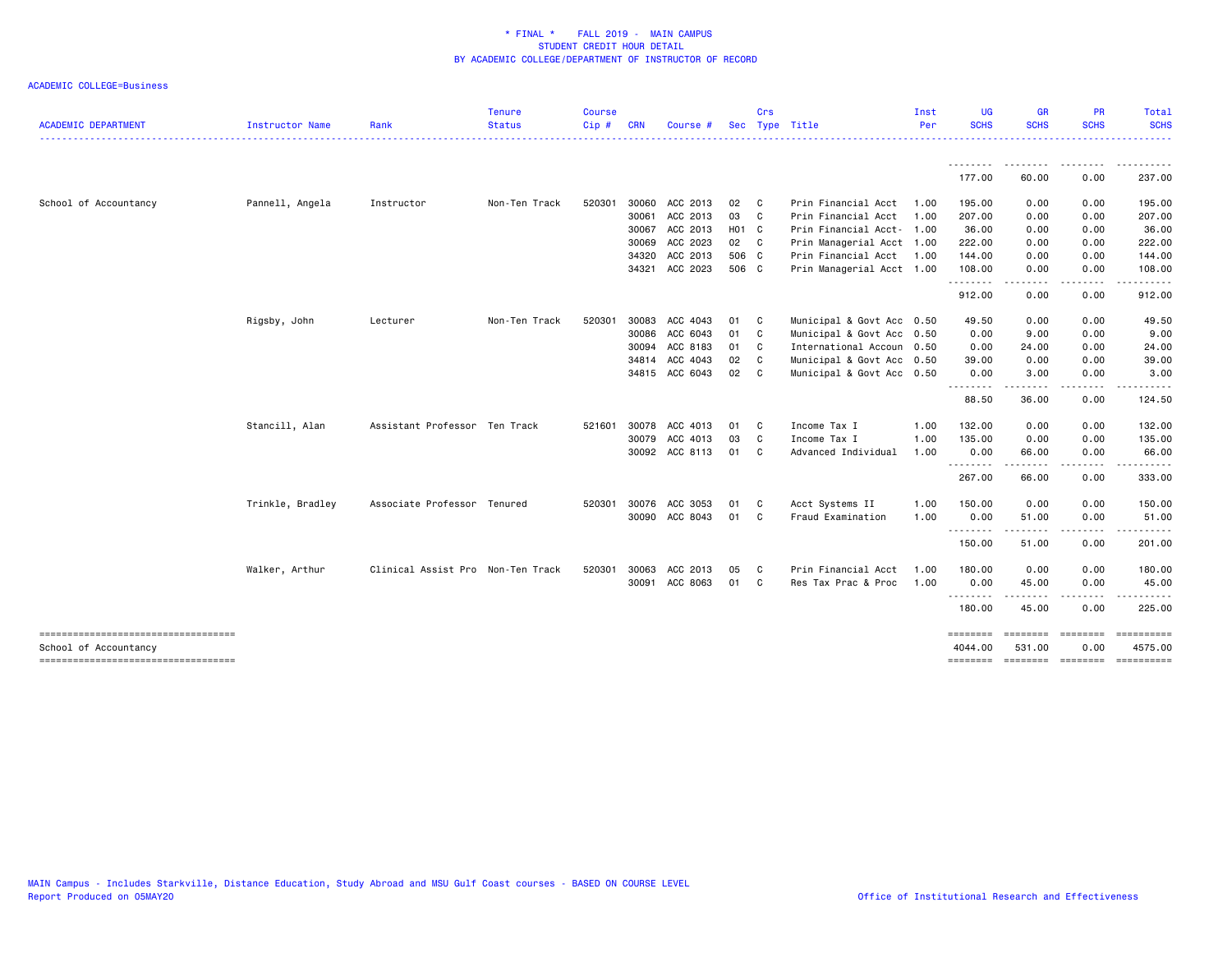| <b>ACADEMIC DEPARTMENT</b>                                   | Instructor Name  | Rank                              | <b>Tenure</b><br><b>Status</b> | <b>Course</b><br>Cip# | <b>CRN</b> | Course         |       | Crs            | Sec Type Title            | Inst<br>Per | <b>UG</b><br><b>SCHS</b> | GR<br><b>SCHS</b>                                                                                                                                                               | <b>PR</b><br><b>SCHS</b> | Total<br><b>SCHS</b><br>. |
|--------------------------------------------------------------|------------------|-----------------------------------|--------------------------------|-----------------------|------------|----------------|-------|----------------|---------------------------|-------------|--------------------------|---------------------------------------------------------------------------------------------------------------------------------------------------------------------------------|--------------------------|---------------------------|
|                                                              |                  |                                   |                                |                       |            |                |       |                |                           |             | .                        | $\frac{1}{2} \left( \frac{1}{2} \right) \left( \frac{1}{2} \right) \left( \frac{1}{2} \right) \left( \frac{1}{2} \right) \left( \frac{1}{2} \right) \left( \frac{1}{2} \right)$ |                          | .                         |
|                                                              |                  |                                   |                                |                       |            |                |       |                |                           |             | 177.00                   | 60.00                                                                                                                                                                           | 0.00                     | 237.00                    |
| School of Accountancy                                        | Pannell, Angela  | Instructor                        | Non-Ten Track                  | 520301                | 30060      | ACC 2013       | 02    | $\mathbf{C}$   | Prin Financial Acct       | 1.00        | 195.00                   | 0.00                                                                                                                                                                            | 0.00                     | 195.00                    |
|                                                              |                  |                                   |                                |                       | 30061      | ACC 2013       | 03    | $\mathbf{C}$   | Prin Financial Acct       | 1.00        | 207.00                   | 0.00                                                                                                                                                                            | 0.00                     | 207.00                    |
|                                                              |                  |                                   |                                |                       |            | 30067 ACC 2013 | H01 C |                | Prin Financial Acct- 1.00 |             | 36.00                    | 0.00                                                                                                                                                                            | 0.00                     | 36.00                     |
|                                                              |                  |                                   |                                |                       | 30069      | ACC 2023       | 02 C  |                | Prin Managerial Acct 1.00 |             | 222.00                   | 0.00                                                                                                                                                                            | 0.00                     | 222.00                    |
|                                                              |                  |                                   |                                |                       | 34320      | ACC 2013       | 506 C |                | Prin Financial Acct       | 1.00        | 144.00                   | 0.00                                                                                                                                                                            | 0.00                     | 144.00                    |
|                                                              |                  |                                   |                                |                       | 34321      | ACC 2023       | 506 C |                | Prin Managerial Acct 1.00 |             | 108.00<br>.              | 0.00                                                                                                                                                                            | 0.00                     | 108.00                    |
|                                                              |                  |                                   |                                |                       |            |                |       |                |                           |             | 912.00                   | 0.00                                                                                                                                                                            | 0.00                     | 912.00                    |
|                                                              | Rigsby, John     | Lecturer                          | Non-Ten Track                  | 520301                | 30083      | ACC 4043       | 01    | $\mathbf{C}$   | Municipal & Govt Acc 0.50 |             | 49.50                    | 0.00                                                                                                                                                                            | 0.00                     | 49.50                     |
|                                                              |                  |                                   |                                |                       | 30086      | ACC 6043       | 01    | C <sub>1</sub> | Municipal & Govt Acc 0.50 |             | 0.00                     | 9.00                                                                                                                                                                            | 0.00                     | 9.00                      |
|                                                              |                  |                                   |                                |                       | 30094      | ACC 8183       | 01    | $\mathbf{C}$   | International Accoun 0.50 |             | 0.00                     | 24.00                                                                                                                                                                           | 0.00                     | 24.00                     |
|                                                              |                  |                                   |                                |                       |            | 34814 ACC 4043 | 02 C  |                | Municipal & Govt Acc 0.50 |             | 39.00                    | 0.00                                                                                                                                                                            | 0.00                     | 39.00                     |
|                                                              |                  |                                   |                                |                       |            | 34815 ACC 6043 | 02    | $\mathbf{C}$   | Municipal & Govt Acc 0.50 |             | 0.00<br>.                | 3.00<br>.                                                                                                                                                                       | 0.00<br>.                | 3.00                      |
|                                                              |                  |                                   |                                |                       |            |                |       |                |                           |             | 88.50                    | 36.00                                                                                                                                                                           | 0.00                     | 124.50                    |
|                                                              | Stancill, Alan   | Assistant Professor Ten Track     |                                | 521601                | 30078      | ACC 4013       | 01    | C              | Income Tax I              | 1.00        | 132.00                   | 0.00                                                                                                                                                                            | 0.00                     | 132.00                    |
|                                                              |                  |                                   |                                |                       | 30079      | ACC 4013       | 03    | C              | Income Tax I              | 1.00        | 135.00                   | 0.00                                                                                                                                                                            | 0.00                     | 135.00                    |
|                                                              |                  |                                   |                                |                       |            | 30092 ACC 8113 | 01    | C.             | Advanced Individual       | 1.00        | 0.00                     | 66.00                                                                                                                                                                           | 0.00                     | 66.00                     |
|                                                              |                  |                                   |                                |                       |            |                |       |                |                           |             | .<br>267.00              | 66.00                                                                                                                                                                           | 0.00                     | 333.00                    |
|                                                              | Trinkle, Bradley | Associate Professor Tenured       |                                | 520301                | 30076      | ACC 3053       | 01    | C              | Acct Systems II           | 1.00        | 150.00                   | 0.00                                                                                                                                                                            | 0.00                     | 150.00                    |
|                                                              |                  |                                   |                                |                       | 30090      | ACC 8043       | 01    | C.             | Fraud Examination         | 1.00        | 0.00<br>.                | 51.00                                                                                                                                                                           | 0.00<br>.                | 51.00                     |
|                                                              |                  |                                   |                                |                       |            |                |       |                |                           |             | 150.00                   | -----<br>51.00                                                                                                                                                                  | 0.00                     | 201.00                    |
|                                                              | Walker, Arthur   | Clinical Assist Pro Non-Ten Track |                                | 520301                | 30063      | ACC 2013       | 05    | C.             | Prin Financial Acct       | 1.00        | 180.00                   | 0.00                                                                                                                                                                            | 0.00                     | 180.00                    |
|                                                              |                  |                                   |                                |                       |            | 30091 ACC 8063 | 01    | C.             | Res Tax Prac & Proc       | 1.00        | 0.00<br>.                | 45.00<br><u>.</u>                                                                                                                                                               | 0.00<br>. <u>.</u>       | 45.00<br>.                |
|                                                              |                  |                                   |                                |                       |            |                |       |                |                           |             | 180.00                   | 45.00                                                                                                                                                                           | 0.00                     | 225.00                    |
| -----------------------------------<br>School of Accountancy |                  |                                   |                                |                       |            |                |       |                |                           |             | ========<br>4044.00      | =================<br>531.00                                                                                                                                                     | 0.00                     | ==========<br>4575.00     |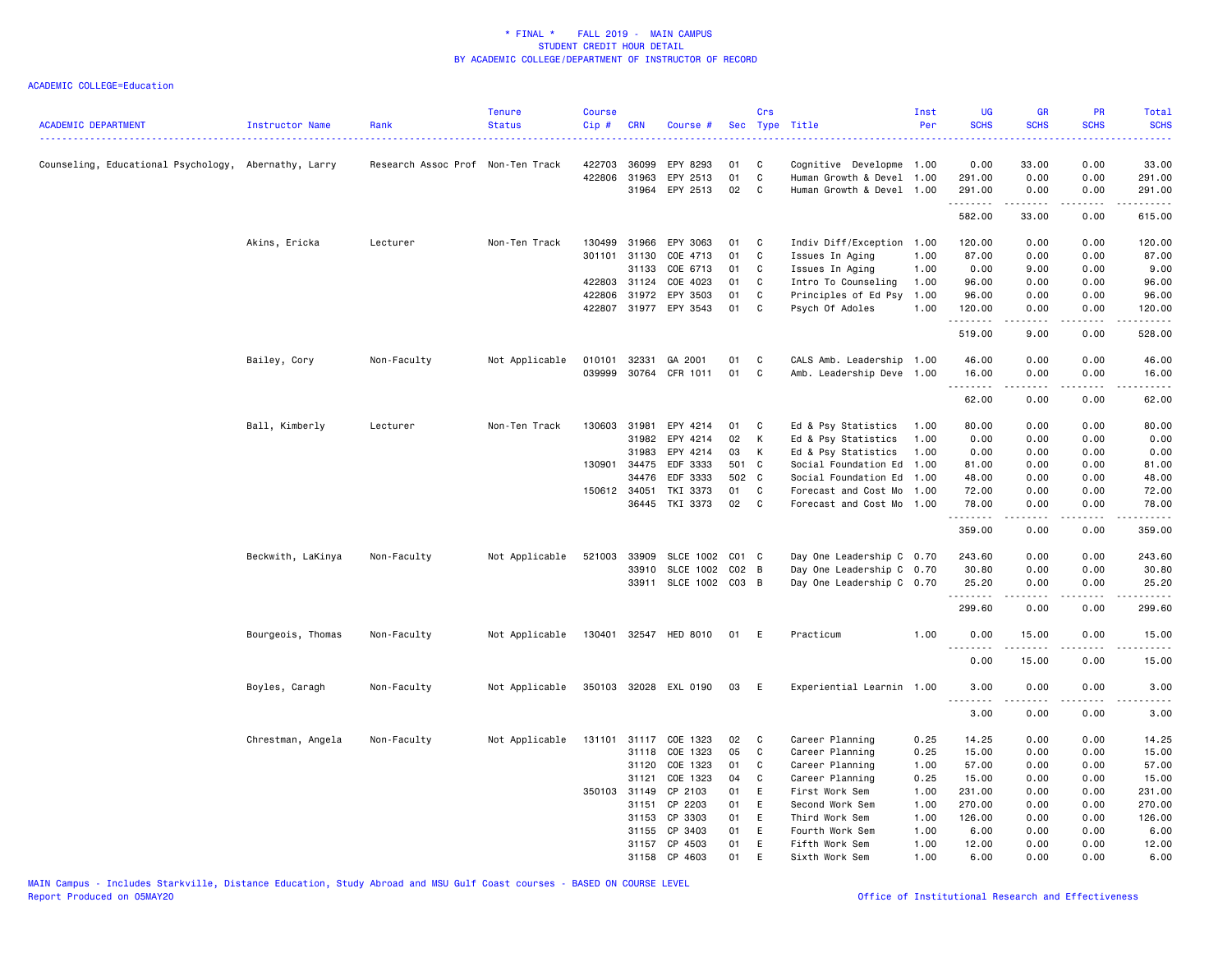| <b>ACADEMIC DEPARTMENT</b>                           | Instructor Name   | Rank                              | <b>Tenure</b><br><b>Status</b> | <b>Course</b><br>$Cip$ # | <b>CRN</b>   | Course #                   |          | Crs         | Sec Type Title                                         | Inst<br>Per | UG<br><b>SCHS</b> | GR<br><b>SCHS</b> | PR<br><b>SCHS</b>     | Total<br><b>SCHS</b>      |
|------------------------------------------------------|-------------------|-----------------------------------|--------------------------------|--------------------------|--------------|----------------------------|----------|-------------|--------------------------------------------------------|-------------|-------------------|-------------------|-----------------------|---------------------------|
| Counseling, Educational Psychology, Abernathy, Larry |                   | Research Assoc Prof Non-Ten Track |                                | 422703                   | 36099        | EPY 8293                   | 01       | C           | Cognitive Developme 1.00                               |             | 0.00              | 33.00             | 0.00                  | 33.00                     |
|                                                      |                   |                                   |                                | 422806                   | 31963        | EPY 2513<br>31964 EPY 2513 | 01<br>02 | C<br>C      | Human Growth & Devel 1.00<br>Human Growth & Devel 1.00 |             | 291.00<br>291.00  | 0.00<br>0.00      | 0.00<br>0.00          | 291.00<br>291.00          |
|                                                      |                   |                                   |                                |                          |              |                            |          |             |                                                        |             | .<br>582.00       | .<br>33.00        | .<br>0.00             | $- - - - - -$<br>615.00   |
|                                                      | Akins, Ericka     | Lecturer                          | Non-Ten Track                  | 130499                   | 31966        | EPY 3063                   | 01       | C           | Indiv Diff/Exception                                   | 1.00        | 120.00            | 0.00              | 0.00                  | 120.00                    |
|                                                      |                   |                                   |                                | 301101                   | 31130        | COE 4713                   | 01       | C           | Issues In Aging                                        | 1.00        | 87.00             | 0.00              | 0.00                  | 87.00                     |
|                                                      |                   |                                   |                                |                          | 31133        | COE 6713                   | 01       | C           | Issues In Aging                                        | 1.00        | 0.00              | 9.00              | 0.00                  | 9.00                      |
|                                                      |                   |                                   |                                |                          | 422803 31124 | COE 4023                   | 01       | C           | Intro To Counseling                                    | 1.00        | 96.00             | 0.00              | 0.00                  | 96.00                     |
|                                                      |                   |                                   |                                |                          | 422806 31972 | EPY 3503                   | 01       | C           | Principles of Ed Psy                                   | 1.00        | 96.00             | 0.00              | 0.00                  | 96.00                     |
|                                                      |                   |                                   |                                |                          |              | 422807 31977 EPY 3543      | 01       | C           | Psych Of Adoles                                        | 1.00        | 120.00<br><b></b> | 0.00<br>.         | 0.00<br>$\frac{1}{2}$ | 120.00<br>.               |
|                                                      |                   |                                   |                                |                          |              |                            |          |             |                                                        |             | 519.00            | 9.00              | 0.00                  | 528.00                    |
|                                                      | Bailey, Cory      | Non-Faculty                       | Not Applicable                 | 010101                   | 32331        | GA 2001                    | 01       | C           | CALS Amb. Leadership                                   | 1.00        | 46.00             | 0.00              | 0.00                  | 46.00                     |
|                                                      |                   |                                   |                                | 039999                   |              | 30764 CFR 1011             | 01       | C           | Amb. Leadership Deve 1.00                              |             | 16.00             | 0.00              | 0.00<br>.             | 16.00<br>.                |
|                                                      |                   |                                   |                                |                          |              |                            |          |             |                                                        |             | .<br>62.00        | .<br>0.00         | 0.00                  | 62.00                     |
|                                                      | Ball, Kimberly    | Lecturer                          | Non-Ten Track                  | 130603                   | 31981        | EPY 4214                   | 01       | C           | Ed & Psy Statistics                                    | 1.00        | 80.00             | 0.00              | 0.00                  | 80.00                     |
|                                                      |                   |                                   |                                |                          | 31982        | EPY 4214                   | 02       | К           | Ed & Psy Statistics                                    | 1.00        | 0.00              | 0.00              | 0.00                  | 0.00                      |
|                                                      |                   |                                   |                                |                          | 31983        | EPY 4214                   | 03       | К           | Ed & Psy Statistics                                    | 1.00        | 0.00              | 0.00              | 0.00                  | 0.00                      |
|                                                      |                   |                                   |                                | 130901                   | 34475        | EDF 3333                   | 501 C    |             | Social Foundation Ed                                   | 1.00        | 81.00             | 0.00              | 0.00                  | 81.00                     |
|                                                      |                   |                                   |                                |                          | 34476        | EDF 3333                   | 502 C    |             | Social Foundation Ed                                   | 1.00        | 48.00             | 0.00              | 0.00                  | 48.00                     |
|                                                      |                   |                                   |                                |                          | 150612 34051 | TKI 3373                   | 01       | C           | Forecast and Cost Mo                                   | 1.00        | 72.00             | 0.00              | 0.00                  | 72.00                     |
|                                                      |                   |                                   |                                |                          | 36445        | TKI 3373                   | 02       | $\mathbf C$ | Forecast and Cost Mo 1.00                              |             | 78.00             | 0.00              | 0.00                  | 78.00                     |
|                                                      |                   |                                   |                                |                          |              |                            |          |             |                                                        |             | .<br>359.00       | .<br>0.00         | .<br>0.00             | .<br>359.00               |
|                                                      | Beckwith, LaKinya | Non-Faculty                       | Not Applicable                 | 521003                   | 33909        | SLCE 1002                  | C01 C    |             | Day One Leadership C 0.70                              |             | 243.60            | 0.00              | 0.00                  | 243.60                    |
|                                                      |                   |                                   |                                |                          | 33910        | SLCE 1002                  | $CO2$ B  |             | Day One Leadership C 0.70                              |             | 30.80             | 0.00              | 0.00                  | 30.80                     |
|                                                      |                   |                                   |                                |                          |              | 33911 SLCE 1002 C03 B      |          |             | Day One Leadership C 0.70                              |             | 25.20             | 0.00              | 0.00                  | 25.20                     |
|                                                      |                   |                                   |                                |                          |              |                            |          |             |                                                        |             | .<br>299.60       | 0.00              | $- - - -$<br>0.00     | .<br>299.60               |
|                                                      | Bourgeois, Thomas | Non-Faculty                       | Not Applicable                 |                          |              | 130401 32547 HED 8010      | 01 E     |             | Practicum                                              | 1.00        | 0.00              | 15.00             | 0.00                  | 15.00                     |
|                                                      |                   |                                   |                                |                          |              |                            |          |             |                                                        |             | 0.00              | -----<br>15.00    | .<br>0.00             | 15.00                     |
|                                                      | Boyles, Caragh    | Non-Faculty                       | Not Applicable                 |                          |              | 350103 32028 EXL 0190      | 03       | E           | Experiential Learnin 1.00                              |             | 3.00              | 0.00              | 0.00                  | 3.00                      |
|                                                      |                   |                                   |                                |                          |              |                            |          |             |                                                        |             | .<br>3.00         | .<br>0.00         | د د د د<br>0.00       | $\omega$ is a set<br>3.00 |
|                                                      | Chrestman, Angela | Non-Faculty                       | Not Applicable                 | 131101                   |              | 31117 COE 1323             | 02       | C           | Career Planning                                        | 0.25        | 14.25             | 0.00              | 0.00                  | 14.25                     |
|                                                      |                   |                                   |                                |                          | 31118        | COE 1323                   | 05       | C           | Career Planning                                        | 0.25        | 15.00             | 0.00              | 0.00                  | 15.00                     |
|                                                      |                   |                                   |                                |                          | 31120        | COE 1323                   | 01       | C           | Career Planning                                        | 1.00        | 57.00             | 0.00              | 0.00                  | 57.00                     |
|                                                      |                   |                                   |                                |                          | 31121        | COE 1323                   | 04       | C           | Career Planning                                        | 0.25        | 15.00             | 0.00              | 0.00                  | 15.00                     |
|                                                      |                   |                                   |                                | 350103                   | 31149        | CP 2103                    | 01       | E           | First Work Sem                                         | 1.00        | 231.00            | 0.00              | 0.00                  | 231.00                    |
|                                                      |                   |                                   |                                |                          | 31151        | CP 2203                    | 01       | Ε           | Second Work Sem                                        | 1.00        | 270.00            | 0.00              | 0.00                  | 270.00                    |
|                                                      |                   |                                   |                                |                          | 31153        | CP 3303                    | 01       | E           | Third Work Sem                                         | 1.00        | 126.00            | 0.00              | 0.00                  | 126.00                    |
|                                                      |                   |                                   |                                |                          | 31155        | CP 3403                    | 01       | E           | Fourth Work Sem                                        | 1.00        | 6.00              | 0.00              | 0.00                  | 6.00                      |
|                                                      |                   |                                   |                                |                          | 31157        | CP 4503                    | 01       | E           | Fifth Work Sem                                         | 1.00        | 12.00             | 0.00              | 0.00                  | 12.00                     |
|                                                      |                   |                                   |                                |                          | 31158        | CP 4603                    | 01       | E           | Sixth Work Sem                                         | 1.00        | 6.00              | 0.00              | 0.00                  | 6.00                      |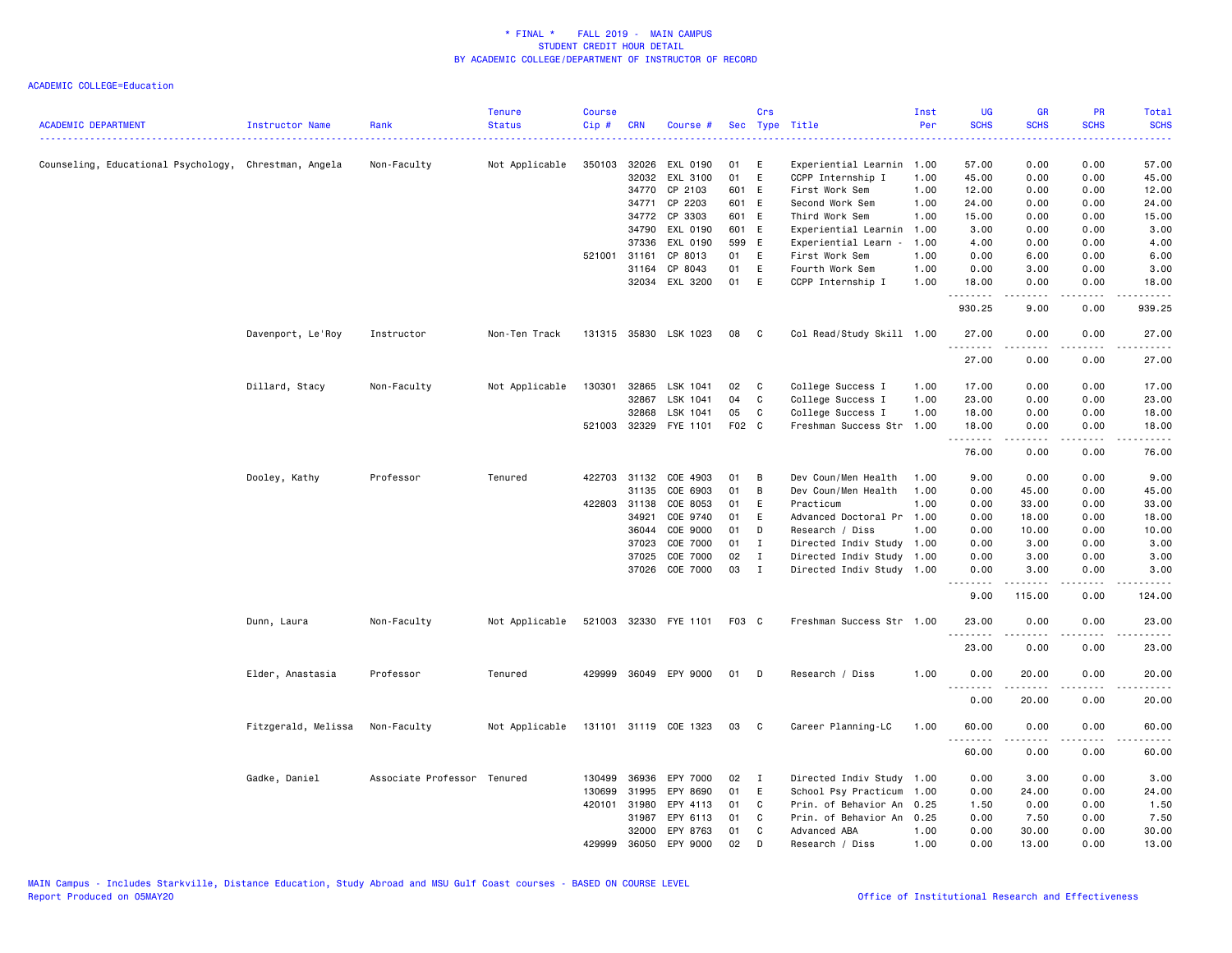| <b>ACADEMIC DEPARTMENT</b>                            | Instructor Name     | Rank                        | <b>Tenure</b><br><b>Status</b> | <b>Course</b><br>Cip# | <b>CRN</b>     | Course #              |             | Crs          | Sec Type Title                      | Inst<br>Per  | UG<br><b>SCHS</b> | <b>GR</b><br><b>SCHS</b> | <b>PR</b><br><b>SCHS</b> | <b>Total</b><br><b>SCHS</b>           |
|-------------------------------------------------------|---------------------|-----------------------------|--------------------------------|-----------------------|----------------|-----------------------|-------------|--------------|-------------------------------------|--------------|-------------------|--------------------------|--------------------------|---------------------------------------|
|                                                       |                     |                             |                                |                       |                |                       |             |              |                                     |              |                   |                          |                          | $\omega_{\rm c}$ and $\omega_{\rm c}$ |
| Counseling, Educational Psychology, Chrestman, Angela |                     | Non-Faculty                 | Not Applicable                 | 350103 32026          |                | EXL 0190              | 01          | E            | Experiential Learnin                | 1.00         | 57.00             | 0.00                     | 0.00                     | 57.00                                 |
|                                                       |                     |                             |                                |                       | 32032<br>34770 | EXL 3100<br>CP 2103   | 01<br>601 E | E            | CCPP Internship I<br>First Work Sem | 1.00<br>1.00 | 45.00<br>12.00    | 0.00<br>0.00             | 0.00<br>0.00             | 45.00<br>12.00                        |
|                                                       |                     |                             |                                |                       |                |                       |             |              |                                     |              |                   |                          |                          |                                       |
|                                                       |                     |                             |                                |                       | 34771          | CP 2203<br>CP 3303    | 601 E       |              | Second Work Sem                     | 1.00         | 24.00             | 0.00                     | 0.00                     | 24.00                                 |
|                                                       |                     |                             |                                |                       | 34772          |                       | 601 E       |              | Third Work Sem                      | 1.00         | 15.00             | 0.00                     | 0.00                     | 15.00                                 |
|                                                       |                     |                             |                                |                       | 34790          | EXL 0190              | 601 E       |              | Experiential Learnin                | 1.00         | 3.00              | 0.00                     | 0.00                     | 3.00                                  |
|                                                       |                     |                             |                                |                       | 37336          | EXL 0190              | 599         | E            | Experiential Learn -                | 1.00         | 4.00              | 0.00                     | 0.00                     | 4.00                                  |
|                                                       |                     |                             |                                | 521001 31161          |                | CP 8013               | 01          | E            | First Work Sem                      | 1.00         | 0.00              | 6.00                     | 0.00                     | 6.00                                  |
|                                                       |                     |                             |                                |                       | 31164          | CP 8043               | 01          | E            | Fourth Work Sem                     | 1.00         | 0.00              | 3.00                     | 0.00                     | 3.00                                  |
|                                                       |                     |                             |                                |                       | 32034          | EXL 3200              | 01          | E            | CCPP Internship I                   | 1.00         | 18.00             | 0.00                     | 0.00                     | 18.00                                 |
|                                                       |                     |                             |                                |                       |                |                       |             |              |                                     |              | 930.25            | 9.00                     | 0.00                     | 939.25                                |
|                                                       | Davenport, Le'Roy   | Instructor                  | Non-Ten Track                  |                       |                | 131315 35830 LSK 1023 | 08          | C.           | Col Read/Study Skill 1.00           |              | 27.00<br>.        | 0.00                     | 0.00                     | 27.00                                 |
|                                                       |                     |                             |                                |                       |                |                       |             |              |                                     |              | 27.00             | 0.00                     | 0.00                     | 27.00                                 |
|                                                       | Dillard, Stacy      | Non-Faculty                 | Not Applicable                 | 130301 32865          |                | LSK 1041              | 02          | $\mathbf{C}$ | College Success I                   | 1.00         | 17.00             | 0.00                     | 0.00                     | 17.00                                 |
|                                                       |                     |                             |                                |                       | 32867          | LSK 1041              | 04          | C            | College Success I                   | 1.00         | 23.00             | 0.00                     | 0.00                     | 23.00                                 |
|                                                       |                     |                             |                                |                       | 32868          | LSK 1041              | 05          | C            | College Success I                   | 1.00         | 18.00             | 0.00                     | 0.00                     | 18.00                                 |
|                                                       |                     |                             |                                |                       | 521003 32329   | FYE 1101              | F02 C       |              | Freshman Success Str                | 1.00         | 18.00             | 0.00                     | 0.00<br>.                | 18.00                                 |
|                                                       |                     |                             |                                |                       |                |                       |             |              |                                     |              | .<br>76.00        | -----<br>0.00            | 0.00                     | .<br>76.00                            |
|                                                       | Dooley, Kathy       | Professor                   | Tenured                        |                       | 422703 31132   | COE 4903              | 01          | B            | Dev Coun/Men Health                 | 1.00         | 9.00              | 0.00                     | 0.00                     | 9.00                                  |
|                                                       |                     |                             |                                |                       | 31135          | COE 6903              | 01          | B            | Dev Coun/Men Health                 | 1.00         | 0.00              | 45.00                    | 0.00                     | 45.00                                 |
|                                                       |                     |                             |                                | 422803 31138          |                | COE 8053              | 01          | E            | Practicum                           | 1.00         | 0.00              | 33.00                    | 0.00                     | 33.00                                 |
|                                                       |                     |                             |                                |                       | 34921          | COE 9740              | 01          | E            | Advanced Doctoral Pr                | 1.00         | 0.00              | 18.00                    | 0.00                     | 18.00                                 |
|                                                       |                     |                             |                                |                       | 36044          | COE 9000              | 01          | D            | Research / Diss                     | 1.00         | 0.00              | 10.00                    | 0.00                     | 10.00                                 |
|                                                       |                     |                             |                                |                       | 37023          | COE 7000              | 01          | $\mathbf I$  | Directed Indiv Study                | 1.00         | 0.00              | 3.00                     | 0.00                     | 3.00                                  |
|                                                       |                     |                             |                                |                       | 37025          | COE 7000              | 02          | I            | Directed Indiv Study 1.00           |              | 0.00              | 3.00                     | 0.00                     | 3.00                                  |
|                                                       |                     |                             |                                |                       | 37026          | COE 7000              | 03          | $\mathbf{I}$ | Directed Indiv Study 1.00           |              | 0.00<br>.         | 3.00                     | 0.00<br>$\frac{1}{2}$    | 3.00<br>.                             |
|                                                       |                     |                             |                                |                       |                |                       |             |              |                                     |              | 9.00              | 115.00                   | 0.00                     | 124.00                                |
|                                                       | Dunn, Laura         | Non-Faculty                 | Not Applicable                 |                       |                | 521003 32330 FYE 1101 | F03 C       |              | Freshman Success Str 1.00           |              | 23.00             | 0.00                     | 0.00                     | 23.00                                 |
|                                                       |                     |                             |                                |                       |                |                       |             |              |                                     |              | <u>.</u><br>23.00 | 0.00                     | 0.00                     | 23.00                                 |
|                                                       | Elder, Anastasia    | Professor                   | Tenured                        |                       |                | 429999 36049 EPY 9000 | 01          | D            | Research / Diss                     | 1.00         | 0.00              | 20.00                    | 0.00                     | 20.00                                 |
|                                                       |                     |                             |                                |                       |                |                       |             |              |                                     |              | <u>.</u><br>0.00  | -----<br>20.00           | $   -$<br>0.00           | $\frac{1}{2}$<br>20.00                |
|                                                       | Fitzgerald, Melissa | Non-Faculty                 | Not Applicable                 |                       |                | 131101 31119 COE 1323 | 03          | $\mathbf{C}$ | Career Planning-LC                  | 1.00         | 60.00             | 0.00                     | 0.00                     | 60.00                                 |
|                                                       |                     |                             |                                |                       |                |                       |             |              |                                     |              | <u>.</u><br>60.00 | -----<br>0.00            | .<br>0.00                | .<br>60.00                            |
|                                                       | Gadke, Daniel       | Associate Professor Tenured |                                |                       | 130499 36936   | EPY 7000              | 02          | $\mathbf{I}$ | Directed Indiv Study 1.00           |              | 0.00              | 3.00                     | 0.00                     | 3.00                                  |
|                                                       |                     |                             |                                | 130699                | 31995          | EPY 8690              | 01          | $\mathsf E$  | School Psy Practicum                | 1.00         | 0.00              | 24.00                    | 0.00                     | 24.00                                 |
|                                                       |                     |                             |                                | 420101 31980          |                | EPY 4113              | 01          | C            | Prin. of Behavior An                | 0.25         | 1.50              | 0.00                     | 0.00                     | 1.50                                  |
|                                                       |                     |                             |                                |                       | 31987          | EPY 6113              | 01          | C            | Prin. of Behavior An                | 0.25         | 0.00              | 7.50                     | 0.00                     | 7.50                                  |
|                                                       |                     |                             |                                |                       | 32000          | EPY 8763              | 01          | C            | Advanced ABA                        | 1.00         | 0.00              | 30.00                    | 0.00                     | 30.00                                 |
|                                                       |                     |                             |                                | 429999                | 36050          | EPY 9000              | 02          | D            | Research / Diss                     | 1.00         | 0.00              | 13.00                    | 0.00                     | 13.00                                 |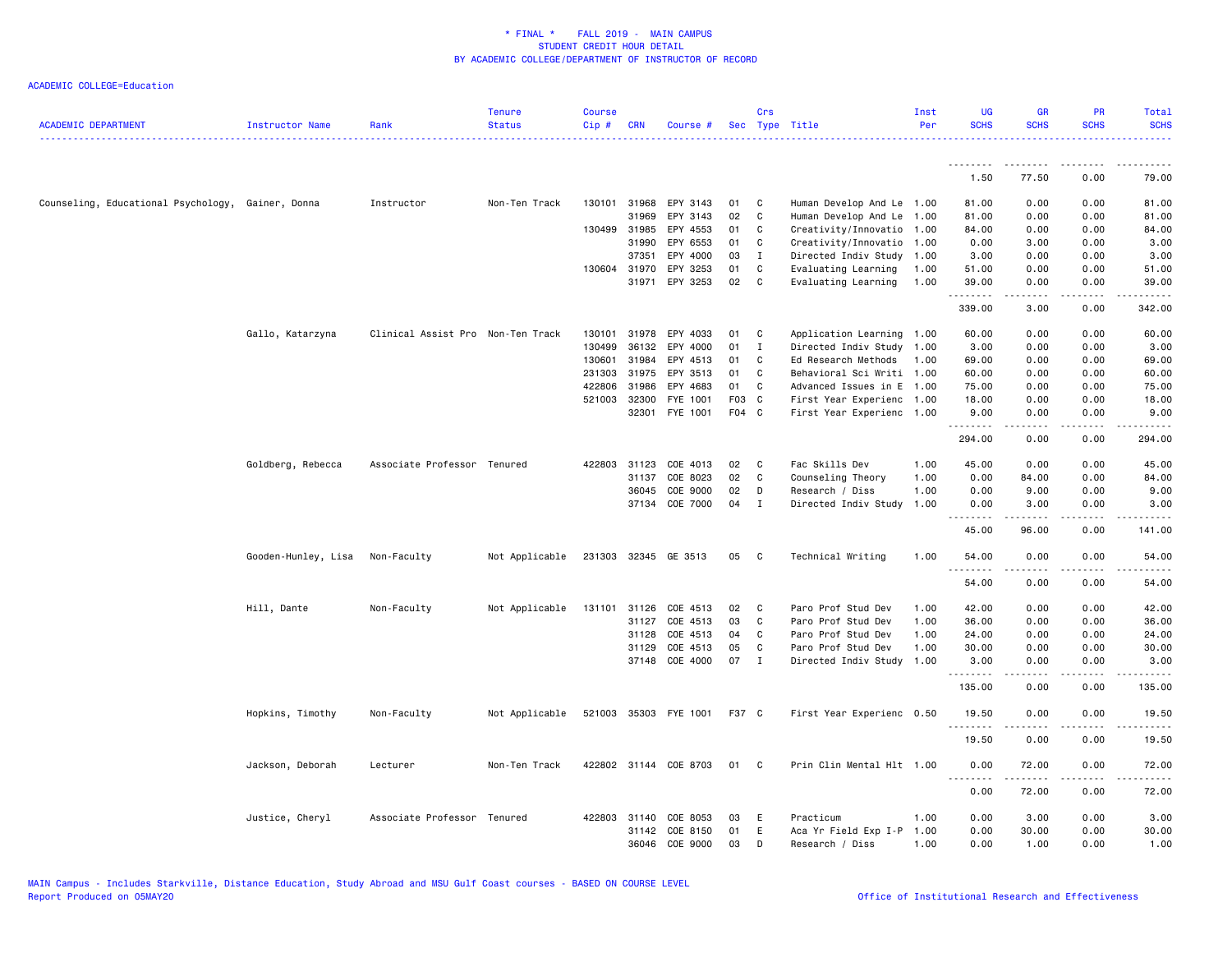| <b>ACADEMIC DEPARTMENT</b>                        | Instructor Name     | Rank                              | <b>Tenure</b><br><b>Status</b> | <b>Course</b><br>Cip# | <b>CRN</b>   | Course #              | Sec   | Crs          | Type Title                | Inst<br>Per | <b>UG</b><br><b>SCHS</b> | <b>GR</b><br><b>SCHS</b> | <b>PR</b><br><b>SCHS</b>                                                                                                          | Total<br><b>SCHS</b>   |
|---------------------------------------------------|---------------------|-----------------------------------|--------------------------------|-----------------------|--------------|-----------------------|-------|--------------|---------------------------|-------------|--------------------------|--------------------------|-----------------------------------------------------------------------------------------------------------------------------------|------------------------|
|                                                   |                     |                                   |                                |                       |              |                       |       |              |                           |             |                          |                          |                                                                                                                                   |                        |
|                                                   |                     |                                   |                                |                       |              |                       |       |              |                           |             | 1.50                     | .<br>77.50               | .<br>0.00                                                                                                                         | .<br>79.00             |
|                                                   |                     |                                   |                                |                       |              |                       |       |              |                           |             |                          |                          |                                                                                                                                   |                        |
| Counseling, Educational Psychology, Gainer, Donna |                     | Instructor                        | Non-Ten Track                  | 130101                | 31968        | EPY 3143              | 01    | C            | Human Develop And Le      | 1.00        | 81.00                    | 0.00                     | 0.00                                                                                                                              | 81.00                  |
|                                                   |                     |                                   |                                |                       | 31969        | EPY 3143              | 02    | C            | Human Develop And Le      | 1.00        | 81.00                    | 0.00                     | 0.00                                                                                                                              | 81.00                  |
|                                                   |                     |                                   |                                |                       | 130499 31985 | EPY 4553              | 01    | $\mathbf C$  | Creativity/Innovatio      | 1.00        | 84.00                    | 0.00                     | 0.00                                                                                                                              | 84.00                  |
|                                                   |                     |                                   |                                |                       | 31990        | EPY 6553              | 01    | C            | Creativity/Innovatio      | 1.00        | 0.00                     | 3.00                     | 0.00                                                                                                                              | 3.00                   |
|                                                   |                     |                                   |                                |                       | 37351        | EPY 4000              | 03    | $\mathbf I$  | Directed Indiv Study      | 1.00        | 3.00                     | 0.00                     | 0.00                                                                                                                              | 3.00                   |
|                                                   |                     |                                   |                                |                       | 130604 31970 | EPY 3253              | 01    | C            | Evaluating Learning       | 1.00        | 51.00                    | 0.00                     | 0.00                                                                                                                              | 51.00                  |
|                                                   |                     |                                   |                                |                       | 31971        | EPY 3253              | 02    | C            | Evaluating Learning       | 1.00        | 39.00<br><u>.</u>        | 0.00                     | 0.00                                                                                                                              | 39.00                  |
|                                                   |                     |                                   |                                |                       |              |                       |       |              |                           |             | 339.00                   | 3.00                     | 0.00                                                                                                                              | 342.00                 |
|                                                   | Gallo, Katarzyna    | Clinical Assist Pro Non-Ten Track |                                | 130101                | 31978        | EPY 4033              | 01    | C            | Application Learning 1.00 |             | 60.00                    | 0.00                     | 0.00                                                                                                                              | 60.00                  |
|                                                   |                     |                                   |                                | 130499                | 36132        | EPY 4000              | 01    | I            | Directed Indiv Study      | 1.00        | 3.00                     | 0.00                     | 0.00                                                                                                                              | 3.00                   |
|                                                   |                     |                                   |                                | 130601                | 31984        | EPY 4513              | 01    | C            | Ed Research Methods       | 1.00        | 69.00                    | 0.00                     | 0.00                                                                                                                              | 69.00                  |
|                                                   |                     |                                   |                                |                       | 231303 31975 | EPY 3513              | 01    | C            | Behavioral Sci Writi 1.00 |             | 60.00                    | 0.00                     | 0.00                                                                                                                              | 60.00                  |
|                                                   |                     |                                   |                                | 422806                | 31986        | EPY 4683              | 01    | C            | Advanced Issues in E 1.00 |             | 75.00                    | 0.00                     | 0.00                                                                                                                              | 75.00                  |
|                                                   |                     |                                   |                                | 521003                | 32300        | FYE 1001              | F03   | $\mathbf{C}$ | First Year Experienc 1.00 |             | 18.00                    | 0.00                     | 0.00                                                                                                                              | 18.00                  |
|                                                   |                     |                                   |                                |                       | 32301        | FYE 1001              | F04 C |              | First Year Experienc 1.00 |             | 9.00<br>.                | 0.00<br><u>.</u>         | 0.00<br>.                                                                                                                         | 9.00<br>.              |
|                                                   |                     |                                   |                                |                       |              |                       |       |              |                           |             | 294.00                   | 0.00                     | 0.00                                                                                                                              | 294.00                 |
|                                                   | Goldberg, Rebecca   | Associate Professor Tenured       |                                |                       | 422803 31123 | COE 4013              | 02    | C            | Fac Skills Dev            | 1.00        | 45.00                    | 0.00                     | 0.00                                                                                                                              | 45.00                  |
|                                                   |                     |                                   |                                |                       | 31137        | COE 8023              | 02    | C            | Counseling Theory         | 1.00        | 0.00                     | 84.00                    | 0.00                                                                                                                              | 84.00                  |
|                                                   |                     |                                   |                                |                       | 36045        | COE 9000              | 02    | D            | Research / Diss           | 1.00        | 0.00                     | 9.00                     | 0.00                                                                                                                              | 9.00                   |
|                                                   |                     |                                   |                                |                       | 37134        | COE 7000              | 04    | I            | Directed Indiv Study      | 1.00        | 0.00<br><u>.</u>         | 3.00                     | 0.00                                                                                                                              | 3.00<br>.              |
|                                                   |                     |                                   |                                |                       |              |                       |       |              |                           |             | 45.00                    | 96.00                    | 0.00                                                                                                                              | 141.00                 |
|                                                   | Gooden-Hunley, Lisa | Non-Faculty                       | Not Applicable                 |                       |              | 231303 32345 GE 3513  | 05    | C            | Technical Writing         | 1.00        | 54.00<br>.               | 0.00<br>-----            | 0.00<br>$\frac{1}{2} \left( \frac{1}{2} \right) \left( \frac{1}{2} \right) \left( \frac{1}{2} \right) \left( \frac{1}{2} \right)$ | 54.00                  |
|                                                   |                     |                                   |                                |                       |              |                       |       |              |                           |             | 54.00                    | 0.00                     | 0.00                                                                                                                              | 54.00                  |
|                                                   | Hill, Dante         | Non-Faculty                       | Not Applicable                 | 131101                | 31126        | COE 4513              | 02    | C            | Paro Prof Stud Dev        | 1.00        | 42.00                    | 0.00                     | 0.00                                                                                                                              | 42.00                  |
|                                                   |                     |                                   |                                |                       | 31127        | COE 4513              | 03    | C            | Paro Prof Stud Dev        | 1.00        | 36.00                    | 0.00                     | 0.00                                                                                                                              | 36.00                  |
|                                                   |                     |                                   |                                |                       | 31128        | COE 4513              | 04    | C            | Paro Prof Stud Dev        | 1.00        | 24.00                    | 0.00                     | 0.00                                                                                                                              | 24.00                  |
|                                                   |                     |                                   |                                |                       | 31129        | COE 4513              | 05    | C            | Paro Prof Stud Dev        | 1.00        | 30.00                    | 0.00                     | 0.00                                                                                                                              | 30.00                  |
|                                                   |                     |                                   |                                |                       | 37148        | COE 4000              | 07    | $\mathbf{I}$ | Directed Indiv Study      | 1.00        | 3.00<br><u>.</u>         | 0.00                     | 0.00                                                                                                                              | 3.00                   |
|                                                   |                     |                                   |                                |                       |              |                       |       |              |                           |             | 135.00                   | 0.00                     | 0.00                                                                                                                              | 135.00                 |
|                                                   | Hopkins, Timothy    | Non-Faculty                       | Not Applicable                 |                       |              | 521003 35303 FYE 1001 | F37 C |              | First Year Experienc 0.50 |             | 19.50<br>.               | 0.00                     | 0.00                                                                                                                              | 19.50<br>$\frac{1}{2}$ |
|                                                   |                     |                                   |                                |                       |              |                       |       |              |                           |             | 19.50                    | 0.00                     | 0.00                                                                                                                              | 19.50                  |
|                                                   | Jackson, Deborah    | Lecturer                          | Non-Ten Track                  |                       |              | 422802 31144 COE 8703 | 01    | C            | Prin Clin Mental Hlt 1.00 |             | 0.00<br>.                | 72.00<br>.               | 0.00<br>.                                                                                                                         | 72.00                  |
|                                                   |                     |                                   |                                |                       |              |                       |       |              |                           |             | 0.00                     | 72.00                    | 0.00                                                                                                                              | 72.00                  |
|                                                   | Justice, Cheryl     | Associate Professor Tenured       |                                |                       | 422803 31140 | COE 8053              | 03    | Ε            | Practicum                 | 1.00        | 0.00                     | 3.00                     | 0.00                                                                                                                              | 3.00                   |
|                                                   |                     |                                   |                                |                       | 31142        | COE 8150              | 01    | E            | Aca Yr Field Exp I-P      | 1.00        | 0.00                     | 30.00                    | 0.00                                                                                                                              | 30.00                  |
|                                                   |                     |                                   |                                |                       | 36046        | COE 9000              | 03    | D            | Research / Diss           | 1.00        | 0.00                     | 1.00                     | 0.00                                                                                                                              | 1.00                   |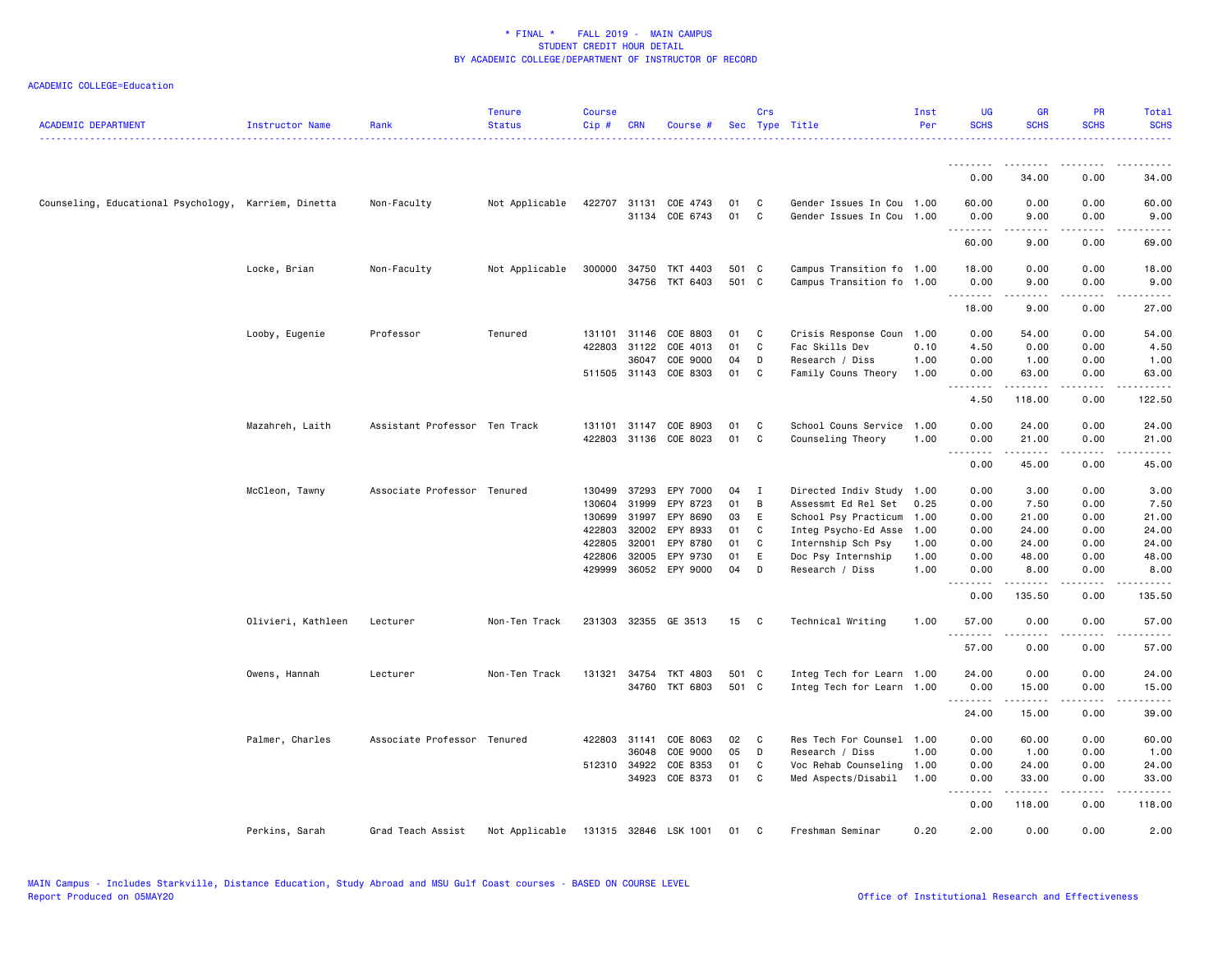| <b>ACADEMIC DEPARTMENT</b>                           | Instructor Name    | Rank                          | <b>Tenure</b><br><b>Status</b> | <b>Course</b><br>Cip# | <b>CRN</b>   | Course #              |       | Crs | Sec Type Title            | Inst<br>Per | <b>UG</b><br><b>SCHS</b> | <b>GR</b><br><b>SCHS</b>                                                                                                                                      | <b>PR</b><br><b>SCHS</b> | Total<br><b>SCHS</b>                                                                                                               |
|------------------------------------------------------|--------------------|-------------------------------|--------------------------------|-----------------------|--------------|-----------------------|-------|-----|---------------------------|-------------|--------------------------|---------------------------------------------------------------------------------------------------------------------------------------------------------------|--------------------------|------------------------------------------------------------------------------------------------------------------------------------|
|                                                      |                    |                               |                                |                       |              |                       |       |     |                           |             | .                        |                                                                                                                                                               |                          |                                                                                                                                    |
|                                                      |                    |                               |                                |                       |              |                       |       |     |                           |             | 0.00                     | 34.00                                                                                                                                                         | 0.00                     | 34.00                                                                                                                              |
| Counseling, Educational Psychology, Karriem, Dinetta |                    | Non-Faculty                   | Not Applicable                 |                       | 422707 31131 | COE 4743              | 01    | C   | Gender Issues In Cou 1.00 |             | 60.00                    | 0.00                                                                                                                                                          | 0.00                     | 60.00                                                                                                                              |
|                                                      |                    |                               |                                |                       |              | 31134 COE 6743        | 01    | C   | Gender Issues In Cou 1.00 |             | 0.00<br>.                | 9.00<br>.                                                                                                                                                     | 0.00<br>.                | 9.00<br>$\frac{1}{2}$                                                                                                              |
|                                                      |                    |                               |                                |                       |              |                       |       |     |                           |             | 60.00                    | 9.00                                                                                                                                                          | 0.00                     | 69.00                                                                                                                              |
|                                                      | Locke, Brian       | Non-Faculty                   | Not Applicable                 | 300000                | 34750        | TKT 4403              | 501 C |     | Campus Transition fo 1.00 |             | 18.00                    | 0.00                                                                                                                                                          | 0.00                     | 18.00                                                                                                                              |
|                                                      |                    |                               |                                |                       |              | 34756 TKT 6403        | 501 C |     | Campus Transition fo 1.00 |             | 0.00                     | 9.00                                                                                                                                                          | 0.00                     | 9.00                                                                                                                               |
|                                                      |                    |                               |                                |                       |              |                       |       |     |                           |             | .<br>18.00               | .<br>9.00                                                                                                                                                     | 0.00                     | $\frac{1}{2} \left( \frac{1}{2} \right) \left( \frac{1}{2} \right) \left( \frac{1}{2} \right) \left( \frac{1}{2} \right)$<br>27.00 |
|                                                      | Looby, Eugenie     | Professor                     | Tenured                        |                       | 131101 31146 | COE 8803              | 01    | C   | Crisis Response Coun      | 1.00        | 0.00                     | 54.00                                                                                                                                                         | 0.00                     | 54.00                                                                                                                              |
|                                                      |                    |                               |                                | 422803                | 31122        | COE 4013              | 01    | C   | Fac Skills Dev            | 0.10        | 4.50                     | 0.00                                                                                                                                                          | 0.00                     | 4.50                                                                                                                               |
|                                                      |                    |                               |                                |                       | 36047        | COE 9000              | 04    | D   | Research / Diss           | 1.00        | 0.00                     | 1.00                                                                                                                                                          | 0.00                     | 1.00                                                                                                                               |
|                                                      |                    |                               |                                |                       |              | 511505 31143 COE 8303 | 01    | C   | Family Couns Theory       | 1.00        | 0.00<br>.                | 63.00<br><u>.</u>                                                                                                                                             | 0.00<br>.                | 63.00<br>.                                                                                                                         |
|                                                      |                    |                               |                                |                       |              |                       |       |     |                           |             | 4.50                     | 118.00                                                                                                                                                        | 0.00                     | 122.50                                                                                                                             |
|                                                      | Mazahreh, Laith    | Assistant Professor Ten Track |                                | 131101                | 31147        | COE 8903              | 01    | C   | School Couns Service      | 1.00        | 0.00                     | 24.00                                                                                                                                                         | 0.00                     | 24.00                                                                                                                              |
|                                                      |                    |                               |                                | 422803                | 31136        | COE 8023              | 01    | C   | Counseling Theory         | 1.00        | 0.00                     | 21.00                                                                                                                                                         | 0.00                     | 21.00                                                                                                                              |
|                                                      |                    |                               |                                |                       |              |                       |       |     |                           |             | .<br>0.00                | $\frac{1}{2} \left( \frac{1}{2} \right) \left( \frac{1}{2} \right) \left( \frac{1}{2} \right) \left( \frac{1}{2} \right) \left( \frac{1}{2} \right)$<br>45.00 | 0.00                     | 45.00                                                                                                                              |
|                                                      | McCleon, Tawny     | Associate Professor Tenured   |                                | 130499                | 37293        | EPY 7000              | 04    | I   | Directed Indiv Study      | 1.00        | 0.00                     | 3.00                                                                                                                                                          | 0.00                     | 3.00                                                                                                                               |
|                                                      |                    |                               |                                | 130604                | 31999        | EPY 8723              | 01    | B   | Assessmt Ed Rel Set       | 0.25        | 0.00                     | 7.50                                                                                                                                                          | 0.00                     | 7.50                                                                                                                               |
|                                                      |                    |                               |                                | 130699                | 31997        | EPY 8690              | 03    | E   | School Psy Practicum      | 1.00        | 0.00                     | 21.00                                                                                                                                                         | 0.00                     | 21.00                                                                                                                              |
|                                                      |                    |                               |                                | 422803                | 32002        | EPY 8933              | 01    | C   | Integ Psycho-Ed Asse      | 1.00        | 0.00                     | 24.00                                                                                                                                                         | 0.00                     | 24.00                                                                                                                              |
|                                                      |                    |                               |                                | 422805                | 32001        | EPY 8780              | 01    | C   | Internship Sch Psy        | 1.00        | 0.00                     | 24.00                                                                                                                                                         | 0.00                     | 24.00                                                                                                                              |
|                                                      |                    |                               |                                | 422806                | 32005        | EPY 9730              | 01    | Ε   | Doc Psy Internship        | 1.00        | 0.00                     | 48.00                                                                                                                                                         | 0.00                     | 48.00                                                                                                                              |
|                                                      |                    |                               |                                |                       |              | 429999 36052 EPY 9000 | 04    | D   | Research / Diss           | 1.00        | 0.00                     | 8.00                                                                                                                                                          | 0.00                     | 8.00                                                                                                                               |
|                                                      |                    |                               |                                |                       |              |                       |       |     |                           |             | $\frac{1}{2}$<br>0.00    | $- - - - -$<br>135.50                                                                                                                                         | .<br>0.00                | .<br>135.50                                                                                                                        |
|                                                      | Olivieri, Kathleen | Lecturer                      | Non-Ten Track                  |                       |              | 231303 32355 GE 3513  | 15    | C   | Technical Writing         | 1.00        | 57.00                    | 0.00                                                                                                                                                          | 0.00                     | 57.00                                                                                                                              |
|                                                      |                    |                               |                                |                       |              |                       |       |     |                           |             | .<br>57.00               | .<br>0.00                                                                                                                                                     | $\frac{1}{2}$<br>0.00    | $\frac{1}{2} \left( \frac{1}{2} \right) \left( \frac{1}{2} \right) \left( \frac{1}{2} \right) \left( \frac{1}{2} \right)$<br>57.00 |
|                                                      | Owens, Hannah      | Lecturer                      | Non-Ten Track                  | 131321                | 34754        | TKT 4803              | 501 C |     | Integ Tech for Learn 1.00 |             | 24.00                    | 0.00                                                                                                                                                          | 0.00                     | 24.00                                                                                                                              |
|                                                      |                    |                               |                                |                       |              | 34760 TKT 6803        | 501 C |     | Integ Tech for Learn 1.00 |             | 0.00                     | 15.00                                                                                                                                                         | 0.00                     | 15.00                                                                                                                              |
|                                                      |                    |                               |                                |                       |              |                       |       |     |                           |             | .                        | $\frac{1}{2} \left( \frac{1}{2} \right) \left( \frac{1}{2} \right) \left( \frac{1}{2} \right) \left( \frac{1}{2} \right) \left( \frac{1}{2} \right)$          | د د د د                  |                                                                                                                                    |
|                                                      |                    |                               |                                |                       |              |                       |       |     |                           |             | 24.00                    | 15.00                                                                                                                                                         | 0.00                     | 39.00                                                                                                                              |
|                                                      | Palmer, Charles    | Associate Professor Tenured   |                                | 422803 31141          |              | COE 8063              | 02    | C   | Res Tech For Counsel      | 1.00        | 0.00                     | 60.00                                                                                                                                                         | 0.00                     | 60.00                                                                                                                              |
|                                                      |                    |                               |                                |                       | 36048        | COE 9000              | 05    | D   | Research / Diss           | 1.00        | 0.00                     | 1.00                                                                                                                                                          | 0.00                     | 1.00                                                                                                                               |
|                                                      |                    |                               |                                |                       | 512310 34922 | COE 8353              | 01    | C   | Voc Rehab Counseling      | 1.00        | 0.00                     | 24.00                                                                                                                                                         | 0.00                     | 24.00                                                                                                                              |
|                                                      |                    |                               |                                |                       | 34923        | COE 8373              | 01    | C   | Med Aspects/Disabil       | 1.00        | 0.00                     | 33.00                                                                                                                                                         | 0.00                     | 33.00                                                                                                                              |
|                                                      |                    |                               |                                |                       |              |                       |       |     |                           |             | .<br>0.00                | .<br>118.00                                                                                                                                                   | .<br>0.00                | .<br>118.00                                                                                                                        |
|                                                      | Perkins, Sarah     | Grad Teach Assist             | Not Applicable                 |                       |              | 131315 32846 LSK 1001 | 01    | C   | Freshman Seminar          | 0.20        | 2.00                     | 0.00                                                                                                                                                          | 0.00                     | 2.00                                                                                                                               |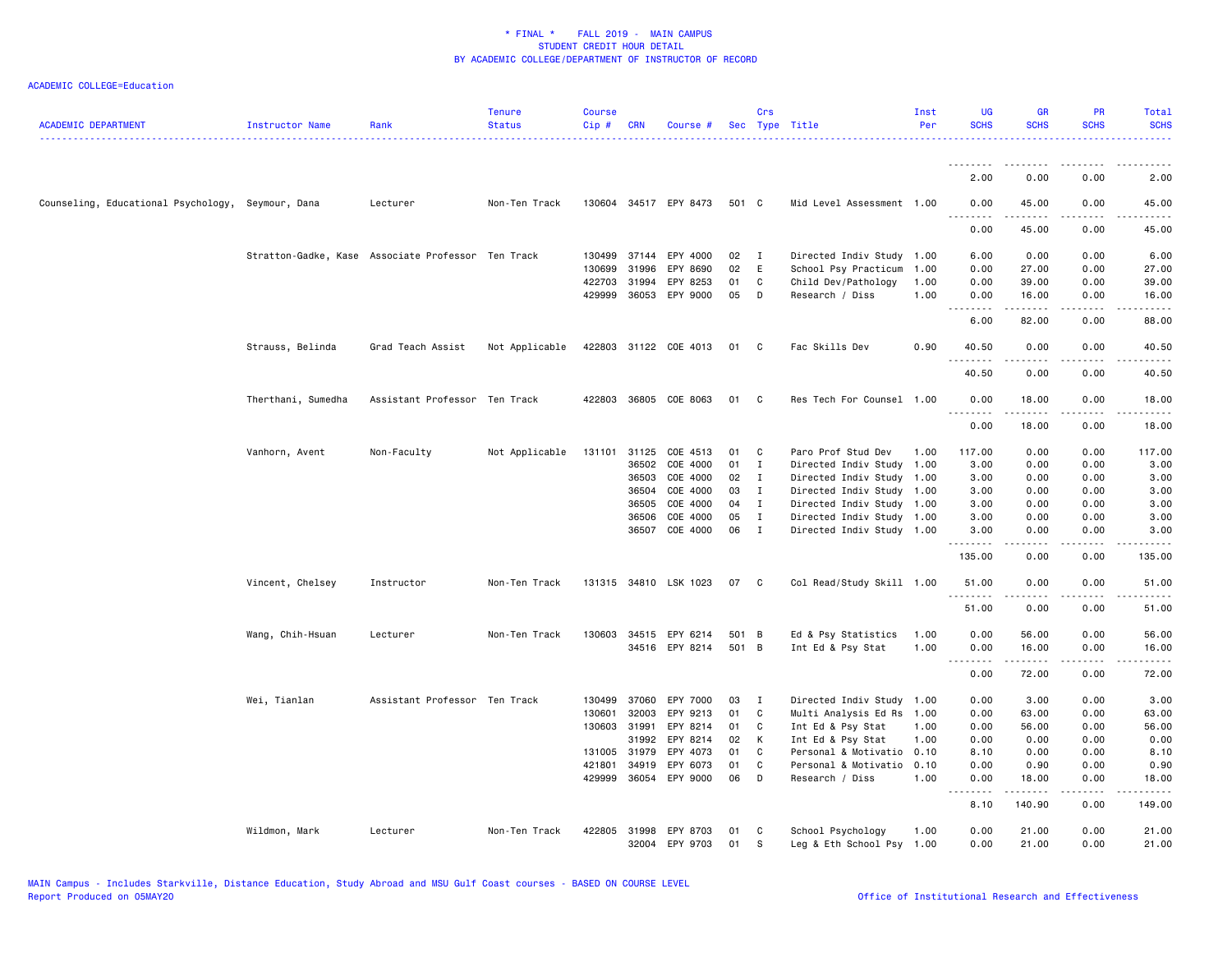| <b>ACADEMIC DEPARTMENT</b>                        | Instructor Name    | Rank                                               | <b>Tenure</b><br><b>Status</b> | <b>Course</b><br>Cip# | <b>CRN</b>     | Course #                          |          | Crs               | Sec Type Title                          | Inst<br>Per  | <b>UG</b><br><b>SCHS</b> | <b>GR</b><br><b>SCHS</b>                                                                                                                             | PR<br><b>SCHS</b>           | Total<br><b>SCHS</b>                                                                                                               |
|---------------------------------------------------|--------------------|----------------------------------------------------|--------------------------------|-----------------------|----------------|-----------------------------------|----------|-------------------|-----------------------------------------|--------------|--------------------------|------------------------------------------------------------------------------------------------------------------------------------------------------|-----------------------------|------------------------------------------------------------------------------------------------------------------------------------|
|                                                   |                    |                                                    |                                |                       |                |                                   |          |                   |                                         |              | <u>.</u><br>2.00         | 0.00                                                                                                                                                 | 0.00                        | 2.00                                                                                                                               |
|                                                   |                    |                                                    | Non-Ten Track                  |                       |                |                                   | 501 C    |                   | Mid Level Assessment 1.00               |              |                          |                                                                                                                                                      |                             |                                                                                                                                    |
| Counseling, Educational Psychology, Seymour, Dana |                    | Lecturer                                           |                                |                       |                | 130604 34517 EPY 8473             |          |                   |                                         |              | 0.00<br>.                | 45.00<br>.                                                                                                                                           | 0.00<br>.                   | 45.00<br>$\frac{1}{2} \left( \frac{1}{2} \right) \left( \frac{1}{2} \right) \left( \frac{1}{2} \right) \left( \frac{1}{2} \right)$ |
|                                                   |                    |                                                    |                                |                       |                |                                   |          |                   |                                         |              | 0.00                     | 45.00                                                                                                                                                | 0.00                        | 45.00                                                                                                                              |
|                                                   |                    | Stratton-Gadke, Kase Associate Professor Ten Track |                                |                       |                | 130499 37144 EPY 4000             | 02       | $\mathbf{I}$      | Directed Indiv Study                    | 1.00         | 6.00                     | 0.00                                                                                                                                                 | 0.00                        | 6.00                                                                                                                               |
|                                                   |                    |                                                    |                                | 130699                | 31996          | EPY 8690                          | 02       | E                 | School Psy Practicum                    | 1.00         | 0.00                     | 27.00                                                                                                                                                | 0.00                        | 27.00                                                                                                                              |
|                                                   |                    |                                                    |                                |                       | 422703 31994   | EPY 8253<br>429999 36053 EPY 9000 | 01<br>05 | $\mathtt{C}$<br>D | Child Dev/Pathology<br>Research / Diss  | 1.00<br>1.00 | 0.00                     | 39.00<br>16.00                                                                                                                                       | 0.00<br>0.00                | 39.00<br>16.00                                                                                                                     |
|                                                   |                    |                                                    |                                |                       |                |                                   |          |                   |                                         |              | 0.00<br>.                | $\frac{1}{2} \left( \frac{1}{2} \right) \left( \frac{1}{2} \right) \left( \frac{1}{2} \right) \left( \frac{1}{2} \right) \left( \frac{1}{2} \right)$ | $\sim$ $\sim$ $\sim$ $\sim$ |                                                                                                                                    |
|                                                   |                    |                                                    |                                |                       |                |                                   |          |                   |                                         |              | 6.00                     | 82.00                                                                                                                                                | 0.00                        | 88.00                                                                                                                              |
|                                                   | Strauss, Belinda   | Grad Teach Assist                                  | Not Applicable                 |                       |                | 422803 31122 COE 4013             | 01       | C.                | Fac Skills Dev                          | 0.90         | 40.50<br>.               | 0.00<br>.                                                                                                                                            | 0.00<br>د د د د             | 40.50<br>.                                                                                                                         |
|                                                   |                    |                                                    |                                |                       |                |                                   |          |                   |                                         |              | 40.50                    | 0.00                                                                                                                                                 | 0.00                        | 40.50                                                                                                                              |
|                                                   | Therthani, Sumedha | Assistant Professor Ten Track                      |                                |                       |                | 422803 36805 COE 8063             | 01       | C                 | Res Tech For Counsel 1.00               |              | 0.00                     | 18.00                                                                                                                                                | 0.00                        | 18.00                                                                                                                              |
|                                                   |                    |                                                    |                                |                       |                |                                   |          |                   |                                         |              | .<br>0.00                | 18.00                                                                                                                                                | 0.00                        | 18.00                                                                                                                              |
|                                                   | Vanhorn, Avent     | Non-Faculty                                        | Not Applicable                 |                       |                | 131101 31125 COE 4513             | 01       | C                 | Paro Prof Stud Dev                      | 1.00         | 117.00                   | 0.00                                                                                                                                                 | 0.00                        | 117.00                                                                                                                             |
|                                                   |                    |                                                    |                                |                       | 36502          | COE 4000                          | 01       | $\mathbf I$       | Directed Indiv Study                    | 1.00         | 3.00                     | 0.00                                                                                                                                                 | 0.00                        | 3.00                                                                                                                               |
|                                                   |                    |                                                    |                                |                       | 36503          | COE 4000                          | 02       | $\mathbf{I}$      | Directed Indiv Study                    | 1.00         | 3.00                     | 0.00                                                                                                                                                 | 0.00                        | 3.00                                                                                                                               |
|                                                   |                    |                                                    |                                |                       | 36504          | COE 4000                          | 03       | $\mathbf I$       | Directed Indiv Study                    | 1.00         | 3.00                     | 0.00                                                                                                                                                 | 0.00                        | 3.00                                                                                                                               |
|                                                   |                    |                                                    |                                |                       | 36505          | COE 4000                          | 04       | $\mathbf I$       | Directed Indiv Study 1.00               |              | 3.00                     | 0.00                                                                                                                                                 | 0.00                        | 3.00                                                                                                                               |
|                                                   |                    |                                                    |                                |                       | 36506          | COE 4000                          | 05       | $\mathbf I$       | Directed Indiv Study 1.00               |              | 3.00                     | 0.00                                                                                                                                                 | 0.00                        | 3.00                                                                                                                               |
|                                                   |                    |                                                    |                                |                       | 36507          | COE 4000                          | 06       | $\mathbf{I}$      | Directed Indiv Study 1.00               |              | 3.00<br>.                | 0.00                                                                                                                                                 | 0.00<br>.                   | 3.00<br>.                                                                                                                          |
|                                                   |                    |                                                    |                                |                       |                |                                   |          |                   |                                         |              | 135.00                   | 0.00                                                                                                                                                 | 0.00                        | 135.00                                                                                                                             |
|                                                   | Vincent, Chelsey   | Instructor                                         | Non-Ten Track                  |                       |                | 131315 34810 LSK 1023             | 07       | C                 | Col Read/Study Skill 1.00               |              | 51.00<br>.               | 0.00<br>$- - - - -$                                                                                                                                  | 0.00<br>.                   | 51.00<br>.                                                                                                                         |
|                                                   |                    |                                                    |                                |                       |                |                                   |          |                   |                                         |              | 51.00                    | 0.00                                                                                                                                                 | 0.00                        | 51.00                                                                                                                              |
|                                                   | Wang, Chih-Hsuan   | Lecturer                                           | Non-Ten Track                  |                       |                | 130603 34515 EPY 6214             | 501 B    |                   | Ed & Psy Statistics                     | 1.00         | 0.00                     | 56.00                                                                                                                                                | 0.00                        | 56.00                                                                                                                              |
|                                                   |                    |                                                    |                                |                       |                | 34516 EPY 8214                    | 501 B    |                   | Int Ed & Psy Stat                       | 1.00         | 0.00<br><u>.</u>         | 16.00<br><u>.</u>                                                                                                                                    | 0.00<br>.                   | 16.00<br>.                                                                                                                         |
|                                                   |                    |                                                    |                                |                       |                |                                   |          |                   |                                         |              | 0.00                     | 72.00                                                                                                                                                | 0.00                        | 72.00                                                                                                                              |
|                                                   | Wei, Tianlan       | Assistant Professor Ten Track                      |                                | 130499                | 37060          | EPY 7000                          | 03       | I                 | Directed Indiv Study                    | 1.00         | 0.00                     | 3.00                                                                                                                                                 | 0.00                        | 3.00                                                                                                                               |
|                                                   |                    |                                                    |                                | 130601                | 32003          | EPY 9213                          | 01       | C                 | Multi Analysis Ed Rs                    | 1.00         | 0.00                     | 63.00                                                                                                                                                | 0.00                        | 63.00                                                                                                                              |
|                                                   |                    |                                                    |                                |                       | 130603 31991   | EPY 8214                          | 01       | C                 | Int Ed & Psy Stat                       | 1.00         | 0.00                     | 56.00                                                                                                                                                | 0.00                        | 56.00                                                                                                                              |
|                                                   |                    |                                                    |                                |                       | 31992          | EPY 8214                          | 02       | К                 | Int Ed & Psy Stat                       | 1.00         | 0.00                     | 0.00                                                                                                                                                 | 0.00                        | 0.00                                                                                                                               |
|                                                   |                    |                                                    |                                |                       | 131005 31979   | EPY 4073                          | 01<br>01 | C<br>C.           | Personal & Motivatio                    | 0.10<br>0.10 | 8.10                     | 0.00                                                                                                                                                 | 0.00                        | 8.10                                                                                                                               |
|                                                   |                    |                                                    |                                | 421801<br>429999      | 34919<br>36054 | EPY 6073<br>EPY 9000              | 06       | D                 | Personal & Motivatio<br>Research / Diss | 1.00         | 0.00<br>0.00             | 0.90<br>18.00                                                                                                                                        | 0.00<br>0.00                | 0.90<br>18.00                                                                                                                      |
|                                                   |                    |                                                    |                                |                       |                |                                   |          |                   |                                         |              | .<br>8.10                | $- - - - -$<br>140.90                                                                                                                                | د د د د<br>0.00             | .<br>149.00                                                                                                                        |
|                                                   | Wildmon, Mark      | Lecturer                                           | Non-Ten Track                  |                       |                | 422805 31998 EPY 8703             | 01       | C                 | School Psychology                       | 1.00         | 0.00                     | 21.00                                                                                                                                                | 0.00                        | 21.00                                                                                                                              |
|                                                   |                    |                                                    |                                |                       |                | 32004 EPY 9703                    | 01       | s                 | Leg & Eth School Psy                    | 1.00         | 0.00                     | 21.00                                                                                                                                                | 0.00                        | 21.00                                                                                                                              |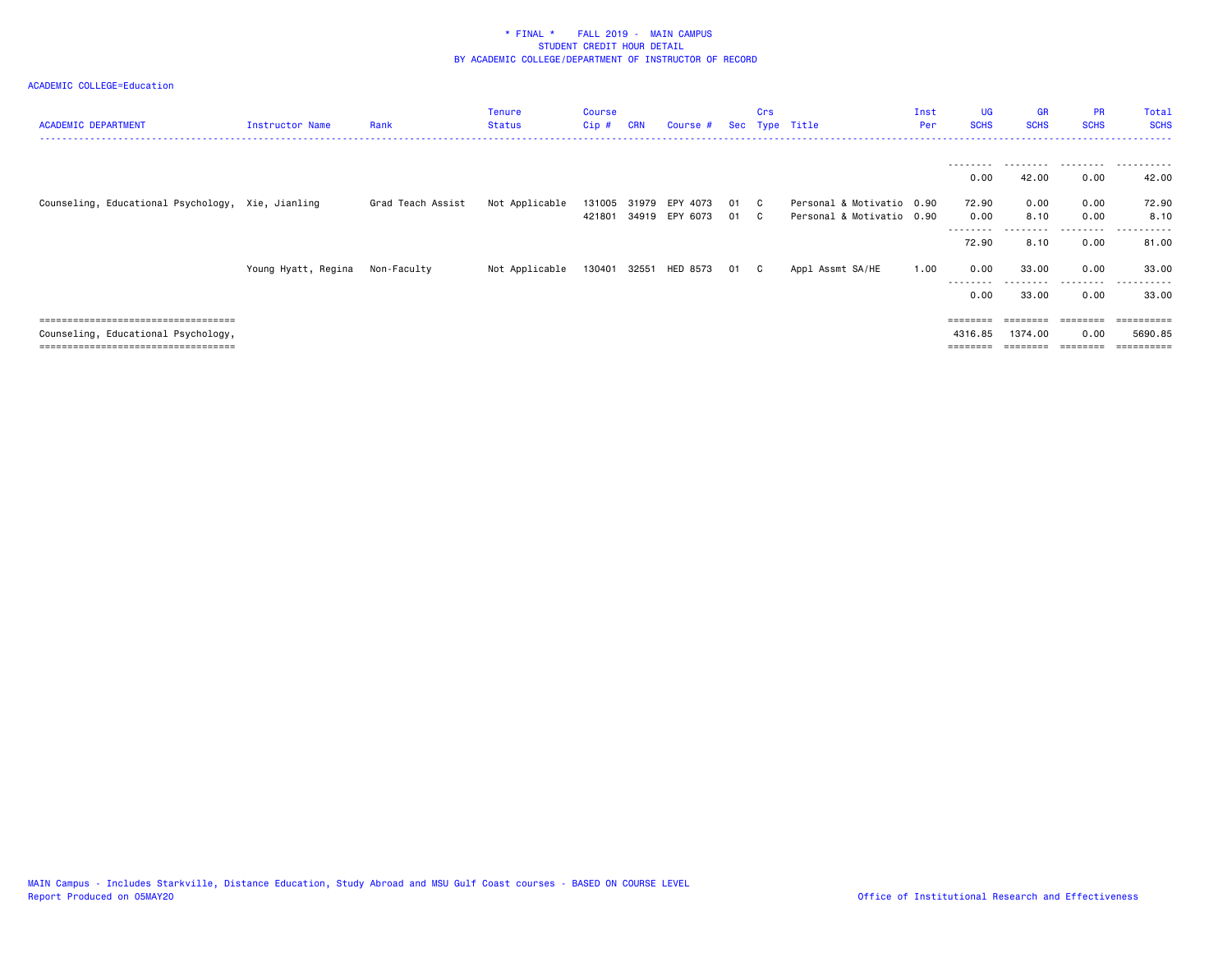| <b>ACADEMIC DEPARTMENT</b>                        | Instructor Name     | Rank              | <b>Tenure</b><br><b>Status</b> | Course<br>Cip#   | <b>CRN</b> | Course #                   |          | Crs                 | Sec Type Title                                         | Inst<br>Per | <b>UG</b><br><b>SCHS</b> | <b>GR</b><br><b>SCHS</b> | <b>PR</b><br><b>SCHS</b> | Total<br><b>SCHS</b>                                                                                                                                                                                                                                                                                                                                                                                                                                                                       |
|---------------------------------------------------|---------------------|-------------------|--------------------------------|------------------|------------|----------------------------|----------|---------------------|--------------------------------------------------------|-------------|--------------------------|--------------------------|--------------------------|--------------------------------------------------------------------------------------------------------------------------------------------------------------------------------------------------------------------------------------------------------------------------------------------------------------------------------------------------------------------------------------------------------------------------------------------------------------------------------------------|
|                                                   |                     |                   |                                |                  |            |                            |          |                     |                                                        |             | --------                 | ---------                | .                        | .                                                                                                                                                                                                                                                                                                                                                                                                                                                                                          |
|                                                   |                     |                   |                                |                  |            |                            |          |                     |                                                        |             | 0.00                     | 42.00                    | 0.00                     | 42.00                                                                                                                                                                                                                                                                                                                                                                                                                                                                                      |
| Counseling, Educational Psychology, Xie, Jianling |                     | Grad Teach Assist | Not Applicable                 | 131005<br>421801 | 31979      | EPY 4073<br>34919 EPY 6073 | 01<br>01 | $\mathbf{C}$<br>- C | Personal & Motivatio 0.90<br>Personal & Motivatio 0.90 |             | 72.90<br>0.00            | 0.00<br>8.10             | 0.00<br>0.00             | 72.90<br>8.10                                                                                                                                                                                                                                                                                                                                                                                                                                                                              |
|                                                   |                     |                   |                                |                  |            |                            |          |                     |                                                        |             | --------<br>72.90        | 8.10                     | 0.00                     | 81.00                                                                                                                                                                                                                                                                                                                                                                                                                                                                                      |
|                                                   | Young Hyatt, Regina | Non-Faculty       | Not Applicable                 | 130401           | 32551      | HED 8573                   | -01      | C.                  | Appl Assmt SA/HE                                       | 1.00        | 0.00                     | 33.00                    | 0.00                     | 33.00                                                                                                                                                                                                                                                                                                                                                                                                                                                                                      |
|                                                   |                     |                   |                                |                  |            |                            |          |                     |                                                        |             | ---------<br>0.00        | ---------<br>33.00       | .<br>0.00                | .<br>33.00                                                                                                                                                                                                                                                                                                                                                                                                                                                                                 |
| ====================================              |                     |                   |                                |                  |            |                            |          |                     |                                                        |             | ========                 |                          | $=$ = = = = = = =        | $\begin{minipage}{0.9\linewidth} \begin{tabular}{l} \multicolumn{2}{l}{} & \multicolumn{2}{l}{} & \multicolumn{2}{l}{} \\ \multicolumn{2}{l}{} & \multicolumn{2}{l}{} & \multicolumn{2}{l}{} \\ \multicolumn{2}{l}{} & \multicolumn{2}{l}{} & \multicolumn{2}{l}{} \\ \multicolumn{2}{l}{} & \multicolumn{2}{l}{} & \multicolumn{2}{l}{} \\ \multicolumn{2}{l}{} & \multicolumn{2}{l}{} & \multicolumn{2}{l}{} \\ \multicolumn{2}{l}{} & \multicolumn{2}{l}{} & \multicolumn{2}{l}{} \\ \$ |
| Counseling, Educational Psychology,               |                     |                   |                                |                  |            |                            |          |                     |                                                        |             | 4316.85                  | 1374.00                  | 0.00                     | 5690.85                                                                                                                                                                                                                                                                                                                                                                                                                                                                                    |
| =====================================             |                     |                   |                                |                  |            |                            |          |                     |                                                        |             |                          |                          |                          | $=$ = = = = = = = = :                                                                                                                                                                                                                                                                                                                                                                                                                                                                      |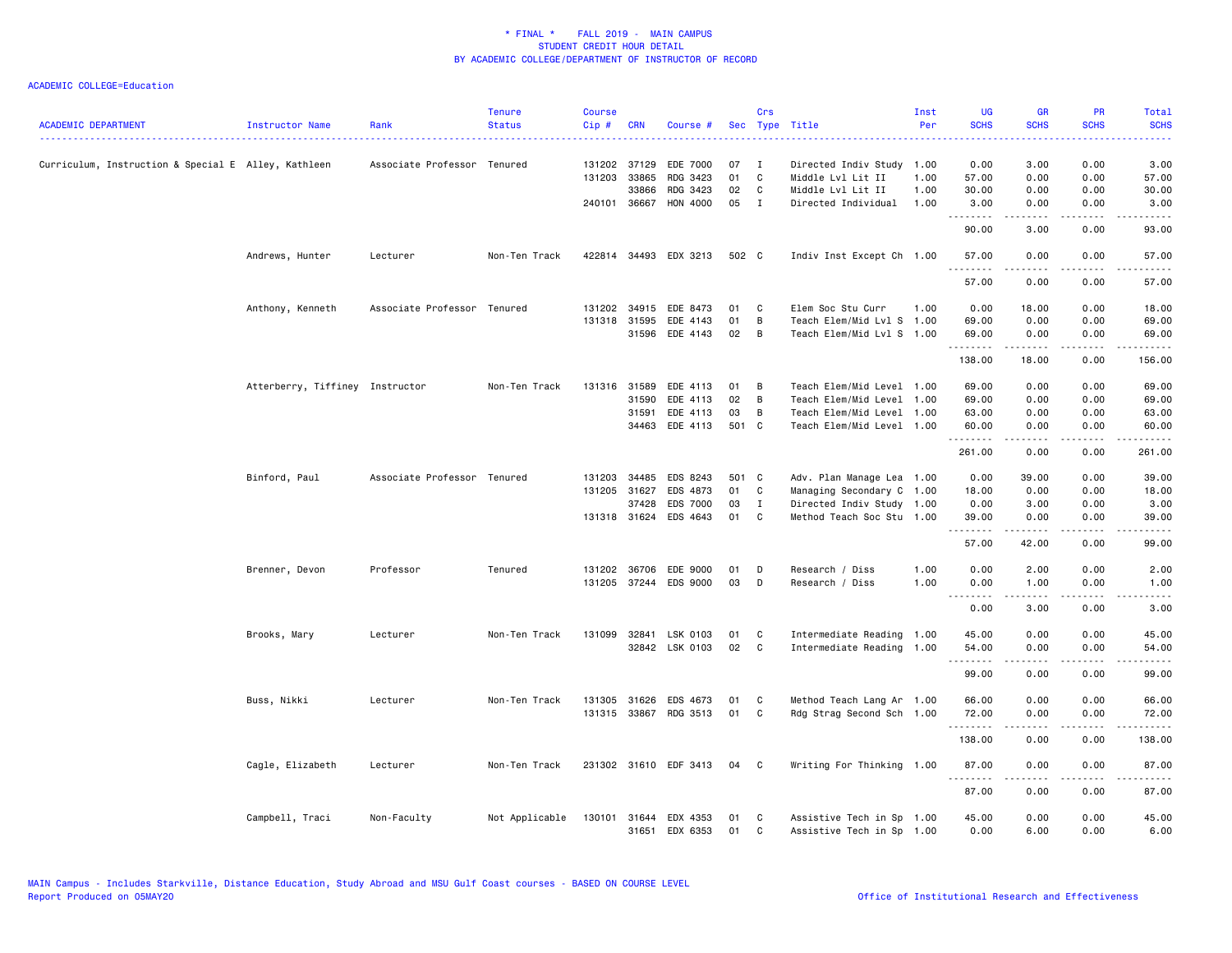| <b>ACADEMIC DEPARTMENT</b>                          | Instructor Name                 | Rank                        | <b>Tenure</b><br><b>Status</b> | <b>Course</b><br>Cip# | <b>CRN</b>   | Course #              | Sec   | Crs          | Type Title                | Inst<br>Per | <b>UG</b><br><b>SCHS</b> | GR<br><b>SCHS</b>                                                                                                                                             | <b>PR</b><br><b>SCHS</b>                                                                                                          | Total<br><b>SCHS</b> |
|-----------------------------------------------------|---------------------------------|-----------------------------|--------------------------------|-----------------------|--------------|-----------------------|-------|--------------|---------------------------|-------------|--------------------------|---------------------------------------------------------------------------------------------------------------------------------------------------------------|-----------------------------------------------------------------------------------------------------------------------------------|----------------------|
|                                                     |                                 |                             |                                |                       |              |                       |       |              |                           |             |                          |                                                                                                                                                               |                                                                                                                                   | .                    |
| Curriculum, Instruction & Special E Alley, Kathleen |                                 | Associate Professor Tenured |                                | 131202 37129          |              | EDE 7000              | 07    | I            | Directed Indiv Study      | 1.00        | 0.00                     | 3.00                                                                                                                                                          | 0.00                                                                                                                              | 3.00                 |
|                                                     |                                 |                             |                                | 131203 33865          |              | RDG 3423              | 01    | C            | Middle Lvl Lit II         | 1.00        | 57.00                    | 0.00                                                                                                                                                          | 0.00                                                                                                                              | 57.00                |
|                                                     |                                 |                             |                                |                       | 33866        | RDG 3423              | 02    | C            | Middle Lvl Lit II         | 1.00        | 30.00                    | 0.00                                                                                                                                                          | 0.00                                                                                                                              | 30.00                |
|                                                     |                                 |                             |                                | 240101 36667          |              | HON 4000              | 05    | $\mathbf{I}$ | Directed Individual       | 1.00        | 3.00<br>.                | 0.00<br>.                                                                                                                                                     | 0.00                                                                                                                              | 3.00<br>.            |
|                                                     |                                 |                             |                                |                       |              |                       |       |              |                           |             | 90.00                    | 3.00                                                                                                                                                          | 0.00                                                                                                                              | 93.00                |
|                                                     | Andrews, Hunter                 | Lecturer                    | Non-Ten Track                  |                       |              | 422814 34493 EDX 3213 | 502 C |              | Indiv Inst Except Ch 1.00 |             | 57.00<br>.               | 0.00<br>.                                                                                                                                                     | 0.00<br>.                                                                                                                         | 57.00                |
|                                                     |                                 |                             |                                |                       |              |                       |       |              |                           |             | 57.00                    | 0.00                                                                                                                                                          | 0.00                                                                                                                              | 57.00                |
|                                                     | Anthony, Kenneth                | Associate Professor Tenured |                                | 131202                | 34915        | EDE 8473              | 01    | C            | Elem Soc Stu Curr         | 1.00        | 0.00                     | 18.00                                                                                                                                                         | 0.00                                                                                                                              | 18.00                |
|                                                     |                                 |                             |                                | 131318 31595          |              | EDE 4143              | 01    | В            | Teach Elem/Mid Lvl S 1.00 |             | 69.00                    | 0.00                                                                                                                                                          | 0.00                                                                                                                              | 69.00                |
|                                                     |                                 |                             |                                |                       |              | 31596 EDE 4143        | 02    | B            | Teach Elem/Mid Lvl S 1.00 |             | 69.00                    | 0.00                                                                                                                                                          | 0.00                                                                                                                              | 69.00                |
|                                                     |                                 |                             |                                |                       |              |                       |       |              |                           |             | .<br>138.00              | .<br>18.00                                                                                                                                                    | .<br>0.00                                                                                                                         | .<br>156.00          |
|                                                     | Atterberry, Tiffiney Instructor |                             | Non-Ten Track                  | 131316 31589          |              | EDE 4113              | 01    | В            | Teach Elem/Mid Level 1.00 |             | 69.00                    | 0.00                                                                                                                                                          | 0.00                                                                                                                              | 69.00                |
|                                                     |                                 |                             |                                |                       | 31590        | EDE 4113              | 02    | В            | Teach Elem/Mid Level      | 1.00        | 69.00                    | 0.00                                                                                                                                                          | 0.00                                                                                                                              | 69.00                |
|                                                     |                                 |                             |                                |                       | 31591        | EDE 4113              | 03    | B            | Teach Elem/Mid Level 1.00 |             | 63.00                    | 0.00                                                                                                                                                          | 0.00                                                                                                                              | 63.00                |
|                                                     |                                 |                             |                                |                       | 34463        | EDE 4113              | 501 C |              | Teach Elem/Mid Level 1.00 |             | 60.00                    | 0.00                                                                                                                                                          | 0.00                                                                                                                              | 60.00                |
|                                                     |                                 |                             |                                |                       |              |                       |       |              |                           |             | .<br>261.00              | 0.00                                                                                                                                                          | .<br>0.00                                                                                                                         | 261.00               |
|                                                     | Binford, Paul                   | Associate Professor Tenured |                                |                       | 131203 34485 | EDS 8243              | 501 C |              | Adv. Plan Manage Lea 1.00 |             | 0.00                     | 39.00                                                                                                                                                         | 0.00                                                                                                                              | 39.00                |
|                                                     |                                 |                             |                                | 131205 31627          |              | EDS 4873              | 01    | C            | Managing Secondary C 1.00 |             | 18.00                    | 0.00                                                                                                                                                          | 0.00                                                                                                                              | 18.00                |
|                                                     |                                 |                             |                                |                       | 37428        | EDS 7000              | 03    | $\mathbf{I}$ | Directed Indiv Study 1.00 |             | 0.00                     | 3.00                                                                                                                                                          | 0.00                                                                                                                              | 3.00                 |
|                                                     |                                 |                             |                                | 131318 31624          |              | EDS 4643              | 01    | C            | Method Teach Soc Stu 1.00 |             | 39.00                    | 0.00                                                                                                                                                          | 0.00                                                                                                                              | 39.00                |
|                                                     |                                 |                             |                                |                       |              |                       |       |              |                           |             | <u>.</u><br>57.00        | $\frac{1}{2} \left( \frac{1}{2} \right) \left( \frac{1}{2} \right) \left( \frac{1}{2} \right) \left( \frac{1}{2} \right) \left( \frac{1}{2} \right)$<br>42.00 | $\frac{1}{2} \left( \frac{1}{2} \right) \left( \frac{1}{2} \right) \left( \frac{1}{2} \right) \left( \frac{1}{2} \right)$<br>0.00 | .<br>99.00           |
|                                                     | Brenner, Devon                  | Professor                   | Tenured                        | 131202 36706          |              | EDE 9000              | 01    | D            | Research / Diss           | 1.00        | 0.00                     | 2.00                                                                                                                                                          | 0.00                                                                                                                              | 2.00                 |
|                                                     |                                 |                             |                                |                       |              | 131205 37244 EDS 9000 | 03    | D            | Research / Diss           | 1.00        | 0.00                     | 1.00                                                                                                                                                          | 0.00                                                                                                                              | 1.00                 |
|                                                     |                                 |                             |                                |                       |              |                       |       |              |                           |             | .<br>0.00                | 3.00                                                                                                                                                          | 0.00                                                                                                                              | 3.00                 |
|                                                     | Brooks, Mary                    | Lecturer                    | Non-Ten Track                  | 131099                |              | 32841 LSK 0103        | 01    | C            | Intermediate Reading 1.00 |             | 45.00                    | 0.00                                                                                                                                                          | 0.00                                                                                                                              | 45.00                |
|                                                     |                                 |                             |                                |                       |              | 32842 LSK 0103        | 02    | <b>C</b>     | Intermediate Reading 1.00 |             | 54.00                    | 0.00                                                                                                                                                          | 0.00                                                                                                                              | 54.00                |
|                                                     |                                 |                             |                                |                       |              |                       |       |              |                           |             | .<br>99.00               | .<br>0.00                                                                                                                                                     | .<br>0.00                                                                                                                         | .<br>99.00           |
|                                                     | Buss, Nikki                     | Lecturer                    | Non-Ten Track                  | 131305                | 31626        | EDS 4673              | 01    | C            | Method Teach Lang Ar 1.00 |             | 66.00                    | 0.00                                                                                                                                                          | 0.00                                                                                                                              | 66.00                |
|                                                     |                                 |                             |                                |                       |              | 131315 33867 RDG 3513 | 01    | C            | Rdg Strag Second Sch 1.00 |             | 72.00                    | 0.00                                                                                                                                                          | 0.00                                                                                                                              | 72.00                |
|                                                     |                                 |                             |                                |                       |              |                       |       |              |                           |             | .                        | .                                                                                                                                                             | ----                                                                                                                              | .                    |
|                                                     |                                 |                             |                                |                       |              |                       |       |              |                           |             | 138.00                   | 0.00                                                                                                                                                          | 0.00                                                                                                                              | 138.00               |
|                                                     | Cagle, Elizabeth                | Lecturer                    | Non-Ten Track                  |                       |              | 231302 31610 EDF 3413 | 04    | C            | Writing For Thinking 1.00 |             | 87.00<br>.               | 0.00<br>.                                                                                                                                                     | 0.00<br>.                                                                                                                         | 87.00<br>.           |
|                                                     |                                 |                             |                                |                       |              |                       |       |              |                           |             | 87.00                    | 0.00                                                                                                                                                          | 0.00                                                                                                                              | 87.00                |
|                                                     | Campbell, Traci                 | Non-Faculty                 | Not Applicable                 | 130101                |              | 31644 EDX 4353        | 01    | C            | Assistive Tech in Sp 1.00 |             | 45.00                    | 0.00                                                                                                                                                          | 0.00                                                                                                                              | 45.00                |
|                                                     |                                 |                             |                                |                       |              | 31651 EDX 6353        | 01    | C            | Assistive Tech in Sp 1.00 |             | 0.00                     | 6.00                                                                                                                                                          | 0.00                                                                                                                              | 6.00                 |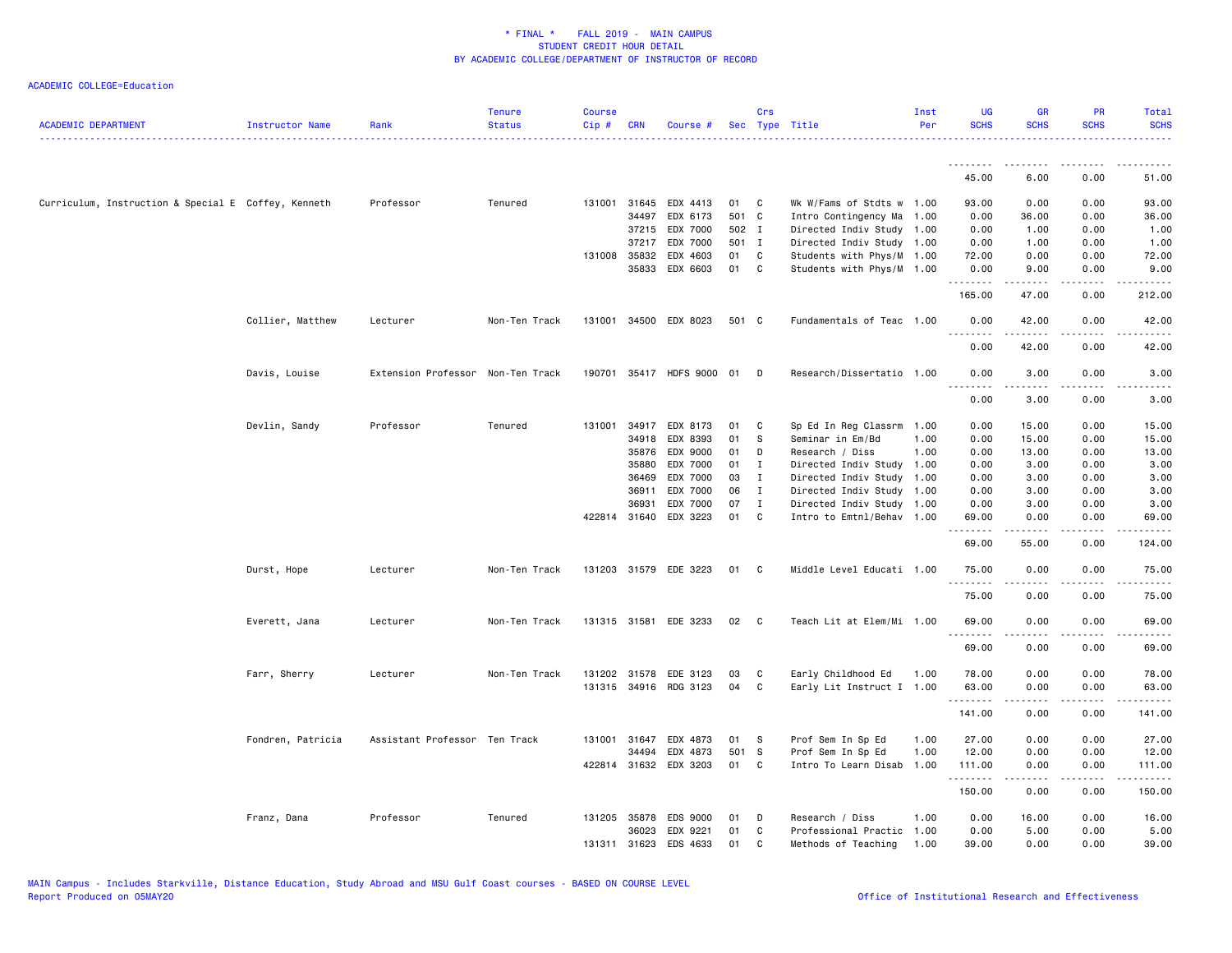| <b>ACADEMIC DEPARTMENT</b>                          | Instructor Name   | Rank                              | <b>Tenure</b><br><b>Status</b> | <b>Course</b><br>Cip# | <b>CRN</b>   | Course #                  |       | Crs          | Sec Type Title            | Inst<br>Per | <b>UG</b><br><b>SCHS</b> | <b>GR</b><br><b>SCHS</b>                                                                                                                                     | <b>PR</b><br><b>SCHS</b> | Total<br><b>SCHS</b>                       |
|-----------------------------------------------------|-------------------|-----------------------------------|--------------------------------|-----------------------|--------------|---------------------------|-------|--------------|---------------------------|-------------|--------------------------|--------------------------------------------------------------------------------------------------------------------------------------------------------------|--------------------------|--------------------------------------------|
|                                                     |                   |                                   |                                |                       |              |                           |       |              |                           |             | .                        |                                                                                                                                                              |                          |                                            |
|                                                     |                   |                                   |                                |                       |              |                           |       |              |                           |             | 45.00                    | 6.00                                                                                                                                                         | 0.00                     | 51.00                                      |
| Curriculum, Instruction & Special E Coffey, Kenneth |                   | Professor                         | Tenured                        |                       | 131001 31645 | EDX 4413                  | 01    | C            | Wk W/Fams of Stdts w 1.00 |             | 93.00                    | 0.00                                                                                                                                                         | 0.00                     | 93.00                                      |
|                                                     |                   |                                   |                                |                       | 34497        | EDX 6173                  | 501 C |              | Intro Contingency Ma      | 1.00        | 0.00                     | 36.00                                                                                                                                                        | 0.00                     | 36.00                                      |
|                                                     |                   |                                   |                                |                       | 37215        | EDX 7000                  | 502 I |              | Directed Indiv Study 1.00 |             | 0.00                     | 1.00                                                                                                                                                         | 0.00                     | 1.00                                       |
|                                                     |                   |                                   |                                |                       | 37217        | EDX 7000                  | 501 I |              | Directed Indiv Study 1.00 |             | 0.00                     | 1.00                                                                                                                                                         | 0.00                     | 1.00                                       |
|                                                     |                   |                                   |                                |                       | 131008 35832 | EDX 4603                  | 01    | C            | Students with Phys/M 1.00 |             | 72.00                    | 0.00                                                                                                                                                         | 0.00                     | 72.00                                      |
|                                                     |                   |                                   |                                |                       | 35833        | EDX 6603                  | 01    | C            | Students with Phys/M 1.00 |             | 0.00<br>.                | 9.00<br>$\frac{1}{2} \left( \frac{1}{2} \right) \left( \frac{1}{2} \right) \left( \frac{1}{2} \right) \left( \frac{1}{2} \right) \left( \frac{1}{2} \right)$ | 0.00<br>.                | 9.00<br><u>.</u>                           |
|                                                     |                   |                                   |                                |                       |              |                           |       |              |                           |             | 165.00                   | 47.00                                                                                                                                                        | 0.00                     | 212.00                                     |
|                                                     | Collier, Matthew  | Lecturer                          | Non-Ten Track                  |                       |              | 131001 34500 EDX 8023     | 501 C |              | Fundamentals of Teac 1.00 |             | 0.00<br>.                | 42.00                                                                                                                                                        | 0.00                     | 42.00                                      |
|                                                     |                   |                                   |                                |                       |              |                           |       |              |                           |             | 0.00                     | 42.00                                                                                                                                                        | 0.00                     | 42.00                                      |
|                                                     | Davis, Louise     | Extension Professor Non-Ten Track |                                |                       |              | 190701 35417 HDFS 9000 01 |       | D            | Research/Dissertatio 1.00 |             | 0.00<br>.                | 3.00<br>$\frac{1}{2} \left( \frac{1}{2} \right) \left( \frac{1}{2} \right) \left( \frac{1}{2} \right) \left( \frac{1}{2} \right) \left( \frac{1}{2} \right)$ | 0.00                     | 3.00<br>$\sim$ $\sim$ $\sim$ $\sim$ $\sim$ |
|                                                     |                   |                                   |                                |                       |              |                           |       |              |                           |             | 0.00                     | 3.00                                                                                                                                                         | 0.00                     | 3.00                                       |
|                                                     | Devlin, Sandy     | Professor                         | Tenured                        | 131001                | 34917        | EDX 8173                  | 01    | C            | Sp Ed In Reg Classrm      | 1.00        | 0.00                     | 15.00                                                                                                                                                        | 0.00                     | 15.00                                      |
|                                                     |                   |                                   |                                |                       | 34918        | EDX 8393                  | 01    | S            | Seminar in Em/Bd          | 1.00        | 0.00                     | 15.00                                                                                                                                                        | 0.00                     | 15.00                                      |
|                                                     |                   |                                   |                                |                       | 35876        | EDX 9000                  | 01    | D            | Research / Diss           | 1.00        | 0.00                     | 13.00                                                                                                                                                        | 0.00                     | 13.00                                      |
|                                                     |                   |                                   |                                |                       | 35880        | EDX 7000                  | 01    | I            | Directed Indiv Study      | 1.00        | 0.00                     | 3.00                                                                                                                                                         | 0.00                     | 3.00                                       |
|                                                     |                   |                                   |                                |                       | 36469        | EDX 7000                  | 03    | $\mathbf{I}$ | Directed Indiv Study      | 1.00        | 0.00                     | 3.00                                                                                                                                                         | 0.00                     | 3.00                                       |
|                                                     |                   |                                   |                                |                       | 36911        | EDX 7000                  | 06    | $\mathbf{I}$ | Directed Indiv Study      | 1.00        | 0.00                     | 3.00                                                                                                                                                         | 0.00                     | 3.00                                       |
|                                                     |                   |                                   |                                |                       | 36931        | EDX 7000                  | 07    | $\mathbf I$  | Directed Indiv Study 1.00 |             | 0.00                     | 3.00                                                                                                                                                         | 0.00                     | 3.00                                       |
|                                                     |                   |                                   |                                |                       | 422814 31640 | EDX 3223                  | 01    | C            | Intro to Emtnl/Behav 1.00 |             | 69.00<br>.               | 0.00<br>د د د د د                                                                                                                                            | 0.00<br>.                | 69.00<br>.                                 |
|                                                     |                   |                                   |                                |                       |              |                           |       |              |                           |             | 69.00                    | 55.00                                                                                                                                                        | 0.00                     | 124.00                                     |
|                                                     | Durst, Hope       | Lecturer                          | Non-Ten Track                  |                       |              | 131203 31579 EDE 3223     | 01    | C            | Middle Level Educati 1.00 |             | 75.00<br>.               | 0.00<br>- - - - -                                                                                                                                            | 0.00<br>$- - - -$        | 75.00<br>.                                 |
|                                                     |                   |                                   |                                |                       |              |                           |       |              |                           |             | 75.00                    | 0.00                                                                                                                                                         | 0.00                     | 75.00                                      |
|                                                     | Everett, Jana     | Lecturer                          | Non-Ten Track                  |                       |              | 131315 31581 EDE 3233     | 02    | $\mathbf{C}$ | Teach Lit at Elem/Mi 1.00 |             | 69.00<br>.               | 0.00                                                                                                                                                         | 0.00                     | 69.00                                      |
|                                                     |                   |                                   |                                |                       |              |                           |       |              |                           |             | 69.00                    | 0.00                                                                                                                                                         | 0.00                     | 69.00                                      |
|                                                     | Farr, Sherry      | Lecturer                          | Non-Ten Track                  |                       | 131202 31578 | EDE 3123                  | 03    | C            | Early Childhood Ed        | 1.00        | 78.00                    | 0.00                                                                                                                                                         | 0.00                     | 78.00                                      |
|                                                     |                   |                                   |                                |                       |              | 131315 34916 RDG 3123     | 04    | C            | Early Lit Instruct I 1.00 |             | 63.00                    | 0.00                                                                                                                                                         | 0.00                     | 63.00                                      |
|                                                     |                   |                                   |                                |                       |              |                           |       |              |                           |             | .<br>141.00              | $\frac{1}{2} \left( \frac{1}{2} \right) \left( \frac{1}{2} \right) \left( \frac{1}{2} \right) \left( \frac{1}{2} \right) \left( \frac{1}{2} \right)$<br>0.00 | .<br>0.00                | .<br>141.00                                |
|                                                     | Fondren, Patricia | Assistant Professor Ten Track     |                                | 131001                | 31647        | EDX 4873                  | 01    | -S           | Prof Sem In Sp Ed         | 1.00        | 27.00                    | 0.00                                                                                                                                                         | 0.00                     | 27.00                                      |
|                                                     |                   |                                   |                                |                       | 34494        | EDX 4873                  | 501 S |              | Prof Sem In Sp Ed         | 1.00        | 12.00                    | 0.00                                                                                                                                                         | 0.00                     | 12.00                                      |
|                                                     |                   |                                   |                                |                       |              | 422814 31632 EDX 3203     | 01    | C            | Intro To Learn Disab      | 1.00        | 111.00                   | 0.00                                                                                                                                                         | 0.00                     | 111.00                                     |
|                                                     |                   |                                   |                                |                       |              |                           |       |              |                           |             | .<br>150.00              | .<br>0.00                                                                                                                                                    | .<br>0.00                | . <u>.</u> .<br>150.00                     |
|                                                     | Franz, Dana       | Professor                         | Tenured                        | 131205                | 35878        | <b>EDS 9000</b>           | 01    | Ð            | Research / Diss           | 1.00        | 0.00                     | 16.00                                                                                                                                                        | 0.00                     | 16.00                                      |
|                                                     |                   |                                   |                                |                       | 36023        | EDX 9221                  | 01    | C            | Professional Practic      | 1.00        | 0.00                     | 5.00                                                                                                                                                         | 0.00                     | 5.00                                       |
|                                                     |                   |                                   |                                | 131311                | 31623        | EDS 4633                  | 01    | $\mathbf{C}$ | Methods of Teaching       | 1.00        | 39.00                    | 0.00                                                                                                                                                         | 0.00                     | 39.00                                      |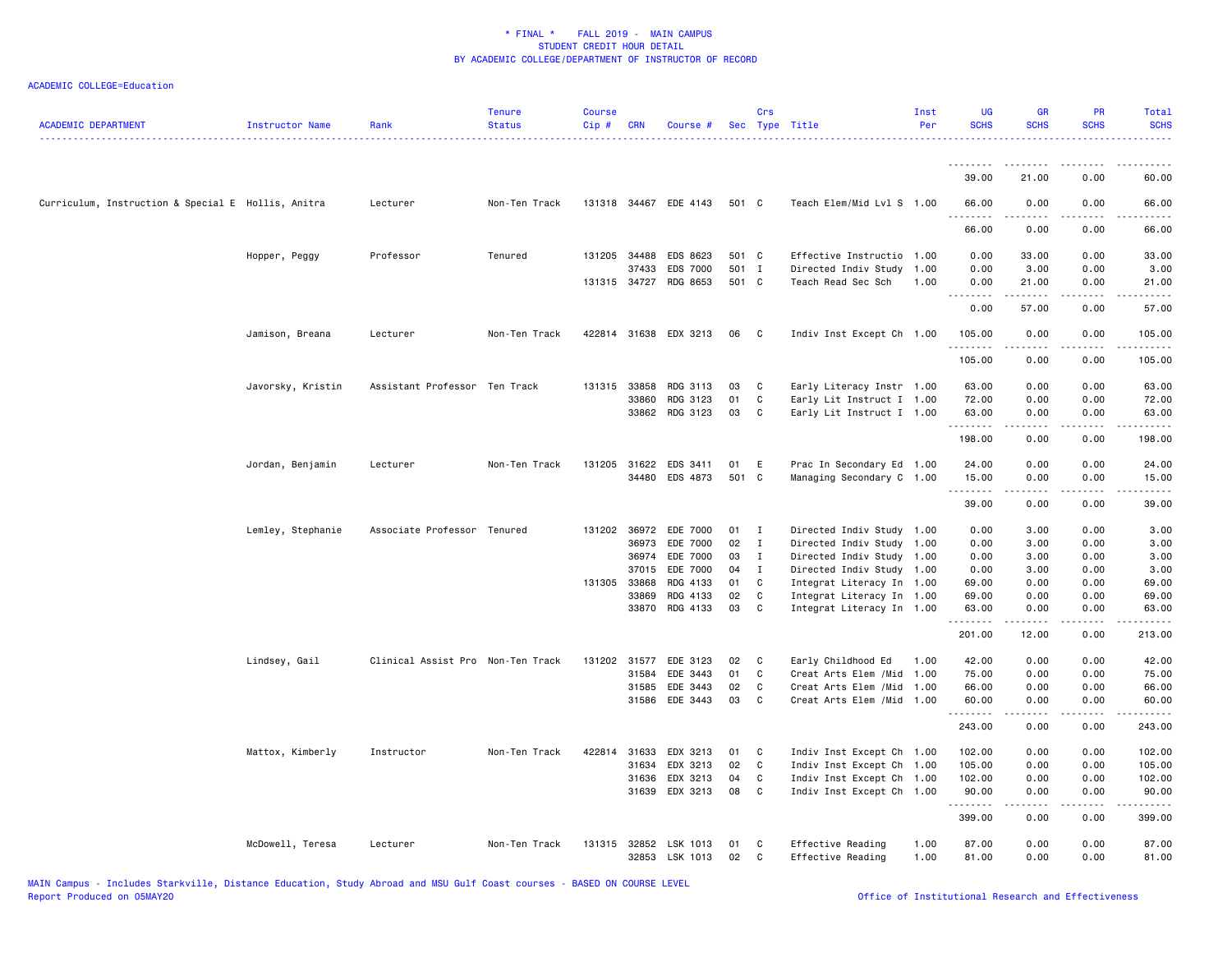| <b>ACADEMIC DEPARTMENT</b>                         | Instructor Name   | Rank                              | <b>Tenure</b><br><b>Status</b> | <b>Course</b><br>Cip# | <b>CRN</b>   | Course #              |       | Crs          | Sec Type Title             | Inst<br>Per | <b>UG</b><br><b>SCHS</b> | <b>GR</b><br><b>SCHS</b>                                                                                                                                     | <b>PR</b><br><b>SCHS</b>     | Total<br><b>SCHS</b> |
|----------------------------------------------------|-------------------|-----------------------------------|--------------------------------|-----------------------|--------------|-----------------------|-------|--------------|----------------------------|-------------|--------------------------|--------------------------------------------------------------------------------------------------------------------------------------------------------------|------------------------------|----------------------|
|                                                    |                   |                                   |                                |                       |              |                       |       |              |                            |             | <u>.</u><br>39.00        | -----<br>21.00                                                                                                                                               | 0.00                         | 60.00                |
|                                                    |                   |                                   |                                |                       |              |                       |       |              |                            |             |                          |                                                                                                                                                              |                              |                      |
| Curriculum, Instruction & Special E Hollis, Anitra |                   | Lecturer                          | Non-Ten Track                  |                       |              | 131318 34467 EDE 4143 | 501 C |              | Teach Elem/Mid Lvl S 1.00  |             | 66.00                    | 0.00                                                                                                                                                         | 0.00                         | 66.00                |
|                                                    |                   |                                   |                                |                       |              |                       |       |              |                            |             | 66.00                    | 0.00                                                                                                                                                         | 0.00                         | 66.00                |
|                                                    | Hopper, Peggy     | Professor                         | Tenured                        |                       | 131205 34488 | EDS 8623              | 501 C |              | Effective Instructio 1.00  |             | 0.00                     | 33.00                                                                                                                                                        | 0.00                         | 33.00                |
|                                                    |                   |                                   |                                |                       | 37433        | <b>EDS 7000</b>       | 501 I |              | Directed Indiv Study       | 1.00        | 0.00                     | 3.00                                                                                                                                                         | 0.00                         | 3.00                 |
|                                                    |                   |                                   |                                |                       | 131315 34727 | RDG 8653              | 501 C |              | Teach Read Sec Sch         | 1.00        | 0.00<br>.                | 21.00<br>.                                                                                                                                                   | 0.00<br>.                    | 21.00<br>.           |
|                                                    |                   |                                   |                                |                       |              |                       |       |              |                            |             | 0.00                     | 57.00                                                                                                                                                        | 0.00                         | 57.00                |
|                                                    | Jamison, Breana   | Lecturer                          | Non-Ten Track                  |                       | 422814 31638 | EDX 3213              | 06    | C            | Indiv Inst Except Ch 1.00  |             | 105.00<br>.              | 0.00<br>.                                                                                                                                                    | 0.00<br>.                    | 105.00<br><u>.</u>   |
|                                                    |                   |                                   |                                |                       |              |                       |       |              |                            |             | 105.00                   | 0.00                                                                                                                                                         | 0.00                         | 105.00               |
|                                                    | Javorsky, Kristin | Assistant Professor Ten Track     |                                |                       | 131315 33858 | RDG 3113              | 03    | C            | Early Literacy Instr 1.00  |             | 63.00                    | 0.00                                                                                                                                                         | 0.00                         | 63.00                |
|                                                    |                   |                                   |                                |                       | 33860        | RDG 3123              | 01    | C            | Early Lit Instruct I 1.00  |             | 72.00                    | 0.00                                                                                                                                                         | 0.00                         | 72.00                |
|                                                    |                   |                                   |                                |                       |              | 33862 RDG 3123        | 03    | C            | Early Lit Instruct I 1.00  |             | 63.00<br>.               | 0.00<br><u>.</u>                                                                                                                                             | 0.00<br>.                    | 63.00<br>.           |
|                                                    |                   |                                   |                                |                       |              |                       |       |              |                            |             | 198.00                   | 0.00                                                                                                                                                         | 0.00                         | 198.00               |
|                                                    | Jordan, Benjamin  | Lecturer                          | Non-Ten Track                  |                       | 131205 31622 | EDS 3411              | 01    | E            | Prac In Secondary Ed 1.00  |             | 24.00                    | 0.00                                                                                                                                                         | 0.00                         | 24.00                |
|                                                    |                   |                                   |                                |                       | 34480        | EDS 4873              | 501 C |              | Managing Secondary C 1.00  |             | 15.00                    | 0.00                                                                                                                                                         | 0.00                         | 15.00                |
|                                                    |                   |                                   |                                |                       |              |                       |       |              |                            |             | .<br>39.00               | 0.00                                                                                                                                                         | $\sim$ $\sim$ $\sim$<br>0.00 | 39.00                |
|                                                    | Lemley, Stephanie | Associate Professor Tenured       |                                |                       | 131202 36972 | EDE 7000              | 01    | $\mathbf{I}$ | Directed Indiv Study 1.00  |             | 0.00                     | 3.00                                                                                                                                                         | 0.00                         | 3.00                 |
|                                                    |                   |                                   |                                |                       | 36973        | EDE 7000              | 02    | $\mathbf{I}$ | Directed Indiv Study 1.00  |             | 0.00                     | 3.00                                                                                                                                                         | 0.00                         | 3.00                 |
|                                                    |                   |                                   |                                |                       | 36974        | EDE 7000              | 03    | I            | Directed Indiv Study 1.00  |             | 0.00                     | 3.00                                                                                                                                                         | 0.00                         | 3.00                 |
|                                                    |                   |                                   |                                |                       | 37015        | EDE 7000              | 04    | $\mathbf{I}$ | Directed Indiv Study 1.00  |             | 0.00                     | 3.00                                                                                                                                                         | 0.00                         | 3.00                 |
|                                                    |                   |                                   |                                |                       | 131305 33868 | RDG 4133              | 01    | C            | Integrat Literacy In 1.00  |             | 69.00                    | 0.00                                                                                                                                                         | 0.00                         | 69.00                |
|                                                    |                   |                                   |                                |                       | 33869        | RDG 4133              | 02    | C            | Integrat Literacy In 1.00  |             | 69.00                    | 0.00                                                                                                                                                         | 0.00                         | 69.00                |
|                                                    |                   |                                   |                                |                       | 33870        | RDG 4133              | 03    | C            | Integrat Literacy In 1.00  |             | 63.00<br>.               | 0.00<br>.                                                                                                                                                    | 0.00<br>الداعات              | 63.00<br>.           |
|                                                    |                   |                                   |                                |                       |              |                       |       |              |                            |             | 201.00                   | 12.00                                                                                                                                                        | 0.00                         | 213.00               |
|                                                    | Lindsey, Gail     | Clinical Assist Pro Non-Ten Track |                                |                       | 131202 31577 | EDE 3123              | 02    | C            | Early Childhood Ed         | 1.00        | 42.00                    | 0.00                                                                                                                                                         | 0.00                         | 42.00                |
|                                                    |                   |                                   |                                |                       | 31584        | EDE 3443              | 01    | C            | Creat Arts Elem / Mid      | 1.00        | 75.00                    | 0.00                                                                                                                                                         | 0.00                         | 75.00                |
|                                                    |                   |                                   |                                |                       | 31585        | EDE 3443              | 02    | C            | Creat Arts Elem / Mid      | 1.00        | 66.00                    | 0.00                                                                                                                                                         | 0.00                         | 66.00                |
|                                                    |                   |                                   |                                |                       | 31586        | EDE 3443              | 03    | C            | Creat Arts Elem / Mid 1.00 |             | 60.00<br>.               | 0.00<br>$\frac{1}{2} \left( \frac{1}{2} \right) \left( \frac{1}{2} \right) \left( \frac{1}{2} \right) \left( \frac{1}{2} \right) \left( \frac{1}{2} \right)$ | 0.00<br>.                    | 60.00<br>.           |
|                                                    |                   |                                   |                                |                       |              |                       |       |              |                            |             | 243.00                   | 0.00                                                                                                                                                         | 0.00                         | 243.00               |
|                                                    | Mattox, Kimberly  | Instructor                        | Non-Ten Track                  | 422814                | 31633        | EDX 3213              | 01    | C            | Indiv Inst Except Ch 1.00  |             | 102.00                   | 0.00                                                                                                                                                         | 0.00                         | 102.00               |
|                                                    |                   |                                   |                                |                       | 31634        | EDX 3213              | 02    | C            | Indiv Inst Except Ch 1.00  |             | 105.00                   | 0.00                                                                                                                                                         | 0.00                         | 105.00               |
|                                                    |                   |                                   |                                |                       | 31636        | EDX 3213              | 04    | C            | Indiv Inst Except Ch 1.00  |             | 102.00                   | 0.00                                                                                                                                                         | 0.00                         | 102.00               |
|                                                    |                   |                                   |                                |                       | 31639        | EDX 3213              | 08    | C            | Indiv Inst Except Ch 1.00  |             | 90.00<br>.               | 0.00<br>.                                                                                                                                                    | 0.00<br>.                    | 90.00<br><u>.</u>    |
|                                                    |                   |                                   |                                |                       |              |                       |       |              |                            |             | 399.00                   | 0.00                                                                                                                                                         | 0.00                         | 399.00               |
|                                                    | McDowell, Teresa  | Lecturer                          | Non-Ten Track                  | 131315                | 32852        | LSK 1013              | 01    | C            | Effective Reading          | 1.00        | 87.00                    | 0.00                                                                                                                                                         | 0.00                         | 87.00                |
|                                                    |                   |                                   |                                |                       |              | 32853 LSK 1013        | 02    | C            | Effective Reading          | 1.00        | 81.00                    | 0.00                                                                                                                                                         | 0.00                         | 81.00                |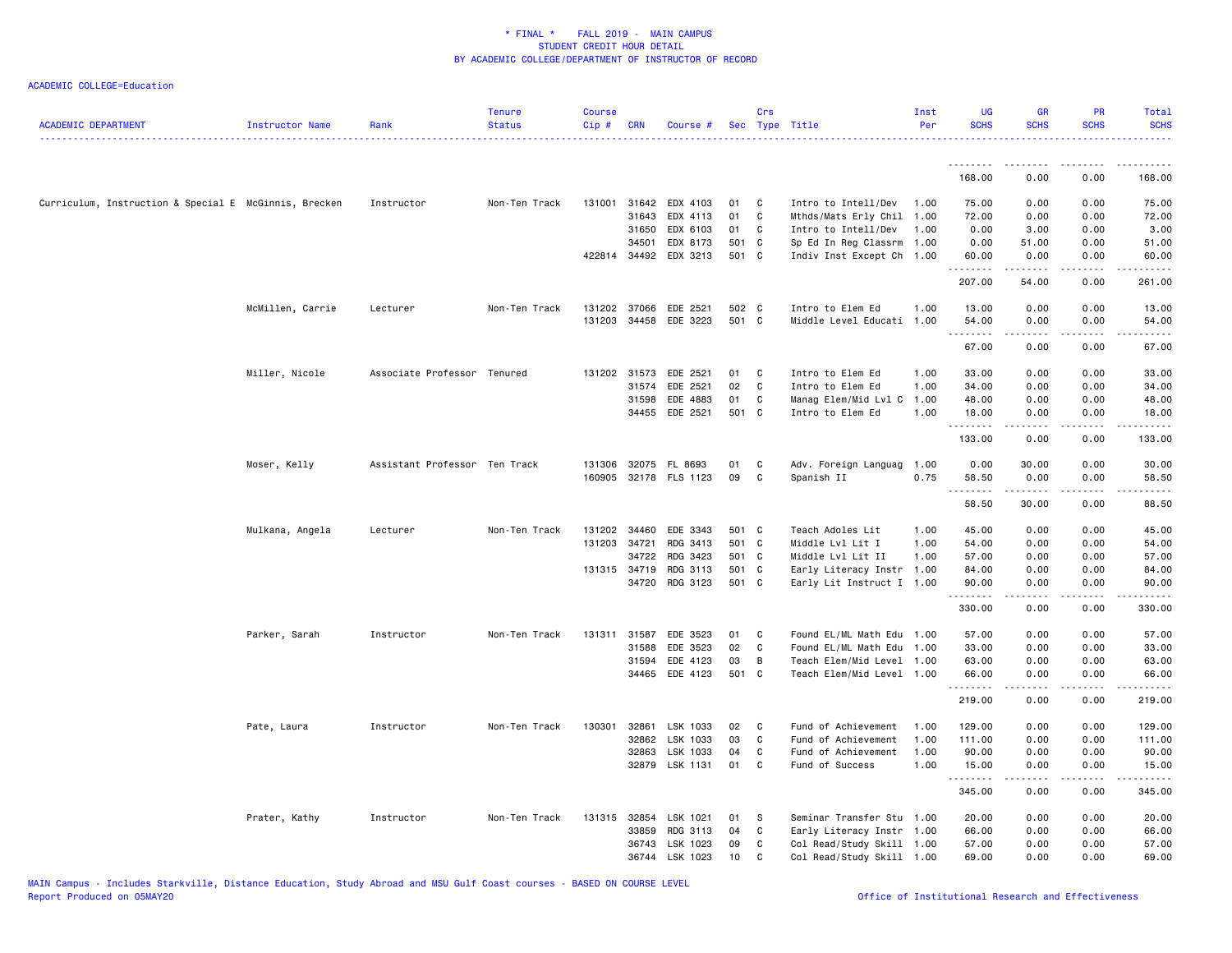| <b>ACADEMIC DEPARTMENT</b>                            | Instructor Name  | Rank                          | <b>Tenure</b><br><b>Status</b> | <b>Course</b><br>Cip# | <b>CRN</b>   | Course #              |       | Crs          | Sec Type Title            | Inst<br>Per | <b>UG</b><br><b>SCHS</b> | <b>GR</b><br><b>SCHS</b> | <b>PR</b><br><b>SCHS</b> | Total<br><b>SCHS</b><br>. |
|-------------------------------------------------------|------------------|-------------------------------|--------------------------------|-----------------------|--------------|-----------------------|-------|--------------|---------------------------|-------------|--------------------------|--------------------------|--------------------------|---------------------------|
|                                                       |                  |                               |                                |                       |              |                       |       |              |                           |             | .                        | .                        | <u>.</u>                 | . <b>.</b> .              |
|                                                       |                  |                               |                                |                       |              |                       |       |              |                           |             | 168.00                   | 0.00                     | 0.00                     | 168.00                    |
| Curriculum, Instruction & Special E McGinnis, Brecken |                  | Instructor                    | Non-Ten Track                  |                       | 131001 31642 | EDX 4103              | 01    | C            | Intro to Intell/Dev       | 1.00        | 75.00                    | 0.00                     | 0.00                     | 75.00                     |
|                                                       |                  |                               |                                |                       | 31643        | EDX 4113              | 01    | C            | Mthds/Mats Erly Chil      | 1.00        | 72.00                    | 0.00                     | 0.00                     | 72.00                     |
|                                                       |                  |                               |                                |                       | 31650        | EDX 6103              | 01    | C.           | Intro to Intell/Dev       | 1.00        | 0.00                     | 3.00                     | 0.00                     | 3.00                      |
|                                                       |                  |                               |                                |                       | 34501        | EDX 8173              | 501 C |              | Sp Ed In Reg Classrm      | 1.00        | 0.00                     | 51.00                    | 0.00                     | 51.00                     |
|                                                       |                  |                               |                                |                       | 422814 34492 | EDX 3213              | 501 C |              | Indiv Inst Except Ch 1.00 |             | 60.00<br>.               | 0.00                     | 0.00<br>د د د د          | 60.00<br>.                |
|                                                       |                  |                               |                                |                       |              |                       |       |              |                           |             | 207.00                   | 54.00                    | 0.00                     | 261.00                    |
|                                                       | McMillen, Carrie | Lecturer                      | Non-Ten Track                  |                       | 131202 37066 | EDE 2521              | 502 C |              | Intro to Elem Ed          | 1.00        | 13.00                    | 0.00                     | 0.00                     | 13.00                     |
|                                                       |                  |                               |                                |                       |              | 131203 34458 EDE 3223 | 501 C |              | Middle Level Educati 1.00 |             | 54.00                    | 0.00                     | 0.00                     | 54.00                     |
|                                                       |                  |                               |                                |                       |              |                       |       |              |                           |             | .                        | -----                    | .                        | .                         |
|                                                       |                  |                               |                                |                       |              |                       |       |              |                           |             | 67.00                    | 0.00                     | 0.00                     | 67.00                     |
|                                                       | Miller, Nicole   | Associate Professor Tenured   |                                |                       | 131202 31573 | EDE 2521              | 01    | C            | Intro to Elem Ed          | 1.00        | 33.00                    | 0.00                     | 0.00                     | 33.00                     |
|                                                       |                  |                               |                                |                       | 31574        | EDE 2521              | 02    | C            | Intro to Elem Ed          | 1.00        | 34.00                    | 0.00                     | 0.00                     | 34.00                     |
|                                                       |                  |                               |                                |                       | 31598        | EDE 4883              | 01    | C            | Manag Elem/Mid Lvl C      | 1.00        | 48.00                    | 0.00                     | 0.00                     | 48.00                     |
|                                                       |                  |                               |                                |                       | 34455        | EDE 2521              | 501 C |              | Intro to Elem Ed          | 1.00        | 18.00<br>.               | 0.00<br>$- - - - -$      | 0.00<br>.                | 18.00<br>.                |
|                                                       |                  |                               |                                |                       |              |                       |       |              |                           |             | 133.00                   | 0.00                     | 0.00                     | 133.00                    |
|                                                       | Moser, Kelly     | Assistant Professor Ten Track |                                |                       |              | 131306 32075 FL 8693  | 01    | C            | Adv. Foreign Languag      | 1.00        | 0.00                     | 30.00                    | 0.00                     | 30.00                     |
|                                                       |                  |                               |                                |                       |              | 160905 32178 FLS 1123 | 09    | C            | Spanish II                | 0.75        | 58.50                    | 0.00                     | 0.00                     | 58.50                     |
|                                                       |                  |                               |                                |                       |              |                       |       |              |                           |             | .                        |                          |                          |                           |
|                                                       |                  |                               |                                |                       |              |                       |       |              |                           |             | 58.50                    | 30.00                    | 0.00                     | 88.50                     |
|                                                       | Mulkana, Angela  | Lecturer                      | Non-Ten Track                  |                       | 131202 34460 | EDE 3343              | 501 C |              | Teach Adoles Lit          | 1.00        | 45.00                    | 0.00                     | 0.00                     | 45.00                     |
|                                                       |                  |                               |                                | 131203 34721          |              | RDG 3413              | 501 C |              | Middle Lvl Lit I          | 1.00        | 54.00                    | 0.00                     | 0.00                     | 54.00                     |
|                                                       |                  |                               |                                |                       | 34722        | RDG 3423              | 501 C |              | Middle Lvl Lit II         | 1.00        | 57.00                    | 0.00                     | 0.00                     | 57.00                     |
|                                                       |                  |                               |                                |                       | 131315 34719 | RDG 3113              | 501 C |              | Early Literacy Instr 1.00 |             | 84.00                    | 0.00                     | 0.00                     | 84.00                     |
|                                                       |                  |                               |                                |                       | 34720        | RDG 3123              | 501 C |              | Early Lit Instruct I 1.00 |             | 90.00<br>.               | 0.00<br>.                | 0.00<br>.                | 90.00<br><u>.</u>         |
|                                                       |                  |                               |                                |                       |              |                       |       |              |                           |             | 330.00                   | 0.00                     | 0.00                     | 330.00                    |
|                                                       | Parker, Sarah    | Instructor                    | Non-Ten Track                  |                       | 131311 31587 | EDE 3523              | 01    | C            | Found EL/ML Math Edu      | 1.00        | 57.00                    | 0.00                     | 0.00                     | 57.00                     |
|                                                       |                  |                               |                                |                       | 31588        | EDE 3523              | 02    | C            | Found EL/ML Math Edu      | 1.00        | 33.00                    | 0.00                     | 0.00                     | 33.00                     |
|                                                       |                  |                               |                                |                       | 31594        | EDE 4123              | 03    | B            | Teach Elem/Mid Level 1.00 |             | 63.00                    | 0.00                     | 0.00                     | 63.00                     |
|                                                       |                  |                               |                                |                       | 34465        | EDE 4123              | 501 C |              | Teach Elem/Mid Level 1.00 |             | 66.00<br>.               | 0.00<br>2.2.2.2.2        | 0.00<br>المتمامين        | 66.00<br>.                |
|                                                       |                  |                               |                                |                       |              |                       |       |              |                           |             | 219.00                   | 0.00                     | 0.00                     | 219.00                    |
|                                                       | Pate, Laura      | Instructor                    | Non-Ten Track                  | 130301                | 32861        | LSK 1033              | 02    | C            | Fund of Achievement       | 1.00        | 129.00                   | 0.00                     | 0.00                     | 129.00                    |
|                                                       |                  |                               |                                |                       | 32862        | LSK 1033              | 03    | C            | Fund of Achievement       | 1.00        | 111.00                   | 0.00                     | 0.00                     | 111.00                    |
|                                                       |                  |                               |                                |                       | 32863        | LSK 1033              | 04    | C            | Fund of Achievement       | 1.00        | 90.00                    | 0.00                     | 0.00                     | 90.00                     |
|                                                       |                  |                               |                                |                       |              | 32879 LSK 1131        | 01    | C            | Fund of Success           | 1.00        | 15.00<br>.               | 0.00<br>$- - - - -$      | 0.00<br>.                | 15.00<br>. <u>.</u> .     |
|                                                       |                  |                               |                                |                       |              |                       |       |              |                           |             | 345.00                   | 0.00                     | 0.00                     | 345.00                    |
|                                                       | Prater, Kathy    | Instructor                    | Non-Ten Track                  |                       | 131315 32854 | LSK 1021              | 01    | S            | Seminar Transfer Stu      | 1.00        | 20.00                    | 0.00                     | 0.00                     | 20.00                     |
|                                                       |                  |                               |                                |                       | 33859        | RDG 3113              | 04    | C            | Early Literacy Instr 1.00 |             | 66.00                    | 0.00                     | 0.00                     | 66.00                     |
|                                                       |                  |                               |                                |                       | 36743        | LSK 1023              | 09    | C            | Col Read/Study Skill 1.00 |             | 57.00                    | 0.00                     | 0.00                     | 57.00                     |
|                                                       |                  |                               |                                |                       | 36744        | LSK 1023              | 10    | $\mathbf{C}$ | Col Read/Study Skill 1.00 |             | 69.00                    | 0.00                     | 0.00                     | 69.00                     |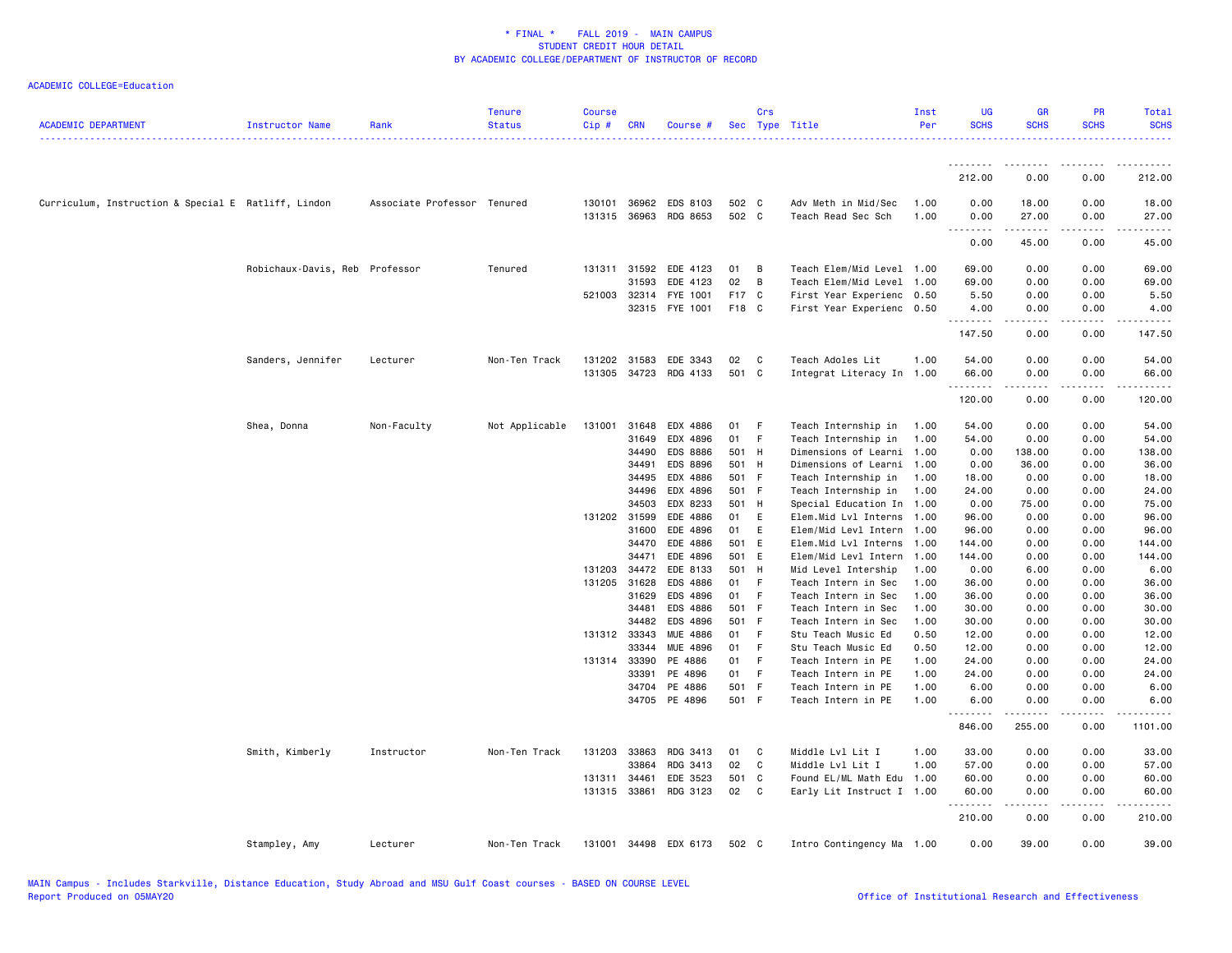| <b>ACADEMIC DEPARTMENT</b>                          | Instructor Name                | Rank                        | <b>Tenure</b><br><b>Status</b> | <b>Course</b><br>$Cip$ # | <b>CRN</b>     | Course #              |          | Crs          | Sec Type Title                           | Inst<br>Per  | <b>UG</b><br><b>SCHS</b> | <b>GR</b><br><b>SCHS</b>                                                                                                                                       | PR<br><b>SCHS</b> | Total<br><b>SCHS</b> |
|-----------------------------------------------------|--------------------------------|-----------------------------|--------------------------------|--------------------------|----------------|-----------------------|----------|--------------|------------------------------------------|--------------|--------------------------|----------------------------------------------------------------------------------------------------------------------------------------------------------------|-------------------|----------------------|
|                                                     |                                |                             |                                |                          |                |                       |          |              |                                          |              |                          |                                                                                                                                                                |                   |                      |
|                                                     |                                |                             |                                |                          |                |                       |          |              |                                          |              | 212.00                   | 0.00                                                                                                                                                           | 0.00              | 212.00               |
| Curriculum, Instruction & Special E Ratliff, Lindon |                                | Associate Professor Tenured |                                |                          | 130101 36962   | EDS 8103              | 502 C    |              | Adv Meth in Mid/Sec                      | 1.00         | 0.00                     | 18.00                                                                                                                                                          | 0.00              | 18.00                |
|                                                     |                                |                             |                                |                          | 131315 36963   | RDG 8653              | 502 C    |              | Teach Read Sec Sch                       | 1.00         | 0.00<br>----             | 27.00<br>.                                                                                                                                                     | 0.00<br>.         | 27.00                |
|                                                     |                                |                             |                                |                          |                |                       |          |              |                                          |              | 0.00                     | 45.00                                                                                                                                                          | 0.00              | 45.00                |
|                                                     | Robichaux-Davis, Reb Professor |                             | Tenured                        | 131311                   | 31592          | EDE 4123              | 01       | B            | Teach Elem/Mid Level 1.00                |              | 69.00                    | 0.00                                                                                                                                                           | 0.00              | 69.00                |
|                                                     |                                |                             |                                |                          | 31593          | EDE 4123              | 02       | B            | Teach Elem/Mid Level 1.00                |              | 69.00                    | 0.00                                                                                                                                                           | 0.00              | 69.00                |
|                                                     |                                |                             |                                | 521003                   | 32314          | FYE 1001              | F17 C    |              | First Year Experienc 0.50                |              | 5.50                     | 0.00                                                                                                                                                           | 0.00              | 5.50                 |
|                                                     |                                |                             |                                |                          | 32315          | FYE 1001              | F18 C    |              | First Year Experienc 0.50                |              | 4.00<br>.                | 0.00<br>.                                                                                                                                                      | 0.00<br>.         | 4.00<br>.            |
|                                                     |                                |                             |                                |                          |                |                       |          |              |                                          |              | 147.50                   | 0.00                                                                                                                                                           | 0.00              | 147.50               |
|                                                     | Sanders, Jennifer              | Lecturer                    | Non-Ten Track                  | 131202                   | 31583          | EDE 3343              | 02       | $\mathbf{C}$ | Teach Adoles Lit                         | 1.00         | 54.00                    | 0.00                                                                                                                                                           | 0.00              | 54.00                |
|                                                     |                                |                             |                                |                          | 131305 34723   | RDG 4133              | 501 C    |              | Integrat Literacy In 1.00                |              | 66.00<br>.               | 0.00<br>$\frac{1}{2} \left( \frac{1}{2} \right) \left( \frac{1}{2} \right) \left( \frac{1}{2} \right) \left( \frac{1}{2} \right) \left( \frac{1}{2} \right)$   | 0.00<br>.         | 66.00                |
|                                                     |                                |                             |                                |                          |                |                       |          |              |                                          |              | 120.00                   | 0.00                                                                                                                                                           | 0.00              | 120.00               |
|                                                     | Shea, Donna                    | Non-Faculty                 | Not Applicable                 | 131001                   | 31648          | EDX 4886              | 01       | - F          | Teach Internship in                      | 1.00         | 54.00                    | 0.00                                                                                                                                                           | 0.00              | 54.00                |
|                                                     |                                |                             |                                |                          | 31649          | EDX 4896              | 01       | - F          | Teach Internship in                      | 1.00         | 54.00                    | 0.00                                                                                                                                                           | 0.00              | 54.00                |
|                                                     |                                |                             |                                |                          | 34490          | <b>EDS 8886</b>       | 501 H    |              | Dimensions of Learni                     | 1.00         | 0.00                     | 138.00                                                                                                                                                         | 0.00              | 138.00               |
|                                                     |                                |                             |                                |                          | 34491          | EDS 8896              | 501 H    |              | Dimensions of Learni                     | 1.00         | 0.00                     | 36.00                                                                                                                                                          | 0.00              | 36.00                |
|                                                     |                                |                             |                                |                          | 34495          | EDX 4886              | 501 F    |              | Teach Internship in                      | 1.00         | 18.00                    | 0.00                                                                                                                                                           | 0.00              | 18.00                |
|                                                     |                                |                             |                                |                          | 34496          | EDX 4896              | 501 F    |              | Teach Internship in                      | 1.00         | 24.00                    | 0.00                                                                                                                                                           | 0.00              | 24.00                |
|                                                     |                                |                             |                                |                          | 34503          | EDX 8233              | 501 H    |              | Special Education In 1.00                |              | 0.00                     | 75.00                                                                                                                                                          | 0.00              | 75.00                |
|                                                     |                                |                             |                                |                          | 131202 31599   | EDE 4886              | 01       | E            | Elem.Mid Lvl Interns 1.00                |              | 96.00                    | 0.00                                                                                                                                                           | 0.00              | 96.00                |
|                                                     |                                |                             |                                |                          | 31600          | EDE 4896              | 01       | E            | Elem/Mid Levl Intern 1.00                |              | 96.00                    | 0.00                                                                                                                                                           | 0.00              | 96.00                |
|                                                     |                                |                             |                                |                          | 34470          | EDE 4886              | 501 E    |              | Elem.Mid Lvl Interns                     | 1.00         | 144.00                   | 0.00                                                                                                                                                           | 0.00              | 144.00               |
|                                                     |                                |                             |                                |                          | 34471          | EDE 4896              | 501 E    |              | Elem/Mid Levl Intern                     | 1.00         | 144.00                   | 0.00                                                                                                                                                           | 0.00              | 144.00               |
|                                                     |                                |                             |                                | 131203                   | 34472          | EDE 8133              | 501 H    |              | Mid Level Intership                      | 1.00         | 0.00                     | 6.00                                                                                                                                                           | 0.00              | 6.00                 |
|                                                     |                                |                             |                                |                          | 131205 31628   | EDS 4886              | 01 F     |              | Teach Intern in Sec                      | 1.00         | 36.00                    | 0.00                                                                                                                                                           | 0.00              | 36.00                |
|                                                     |                                |                             |                                |                          | 31629          | EDS 4896              | 01       | $-F$         | Teach Intern in Sec                      | 1.00         | 36.00                    | 0.00                                                                                                                                                           | 0.00              | 36.00                |
|                                                     |                                |                             |                                |                          | 34481          | EDS 4886              | 501 F    |              | Teach Intern in Sec                      | 1.00         | 30.00                    | 0.00                                                                                                                                                           | 0.00              | 30.00                |
|                                                     |                                |                             |                                |                          | 34482          | EDS 4896              | 501 F    |              | Teach Intern in Sec                      | 1.00         | 30.00                    | 0.00                                                                                                                                                           | 0.00              | 30.00                |
|                                                     |                                |                             |                                |                          | 131312 33343   | <b>MUE 4886</b>       | 01       | - F<br>$-F$  | Stu Teach Music Ed                       | 0.50         | 12.00                    | 0.00                                                                                                                                                           | 0.00              | 12.00                |
|                                                     |                                |                             |                                |                          | 33344<br>33390 | MUE 4896              | 01<br>01 | - F          | Stu Teach Music Ed                       | 0.50         | 12.00                    | 0.00                                                                                                                                                           | 0.00<br>0.00      | 12.00                |
|                                                     |                                |                             |                                | 131314                   | 33391          | PE 4886<br>PE 4896    | 01       | F            | Teach Intern in PE<br>Teach Intern in PE | 1.00<br>1.00 | 24.00<br>24.00           | 0.00<br>0.00                                                                                                                                                   | 0.00              | 24.00<br>24.00       |
|                                                     |                                |                             |                                |                          | 34704          | PE 4886               | 501 F    |              | Teach Intern in PE                       | 1.00         | 6.00                     | 0.00                                                                                                                                                           | 0.00              | 6.00                 |
|                                                     |                                |                             |                                |                          | 34705          | PE 4896               | 501 F    |              | Teach Intern in PE                       | 1.00         | 6.00                     | 0.00                                                                                                                                                           | 0.00              | 6.00                 |
|                                                     |                                |                             |                                |                          |                |                       |          |              |                                          |              | .<br>846.00              | $\frac{1}{2} \left( \frac{1}{2} \right) \left( \frac{1}{2} \right) \left( \frac{1}{2} \right) \left( \frac{1}{2} \right) \left( \frac{1}{2} \right)$<br>255.00 | .<br>0.00         | .<br>1101.00         |
|                                                     |                                |                             |                                |                          |                |                       |          |              |                                          |              |                          |                                                                                                                                                                |                   |                      |
|                                                     | Smith, Kimberly                | Instructor                  | Non-Ten Track                  | 131203                   | 33863          | RDG 3413              | 01       | C            | Middle Lvl Lit I                         | 1.00         | 33.00                    | 0.00                                                                                                                                                           | 0.00              | 33.00                |
|                                                     |                                |                             |                                |                          | 33864          | RDG 3413              | 02       | C            | Middle Lvl Lit I                         | 1.00         | 57.00                    | 0.00                                                                                                                                                           | 0.00              | 57.00                |
|                                                     |                                |                             |                                | 131311 34461             |                | EDE 3523              | 501 C    |              | Found EL/ML Math Edu 1.00                |              | 60.00                    | 0.00                                                                                                                                                           | 0.00              | 60.00                |
|                                                     |                                |                             |                                |                          | 131315 33861   | RDG 3123              | 02       | $\mathbf{C}$ | Early Lit Instruct I 1.00                |              | 60.00<br>.               | 0.00                                                                                                                                                           | 0.00              | 60.00                |
|                                                     |                                |                             |                                |                          |                |                       |          |              |                                          |              | 210.00                   | 0.00                                                                                                                                                           | 0.00              | 210.00               |
|                                                     | Stampley, Amy                  | Lecturer                    | Non-Ten Track                  |                          |                | 131001 34498 EDX 6173 | 502 C    |              | Intro Contingency Ma 1.00                |              | 0.00                     | 39.00                                                                                                                                                          | 0.00              | 39.00                |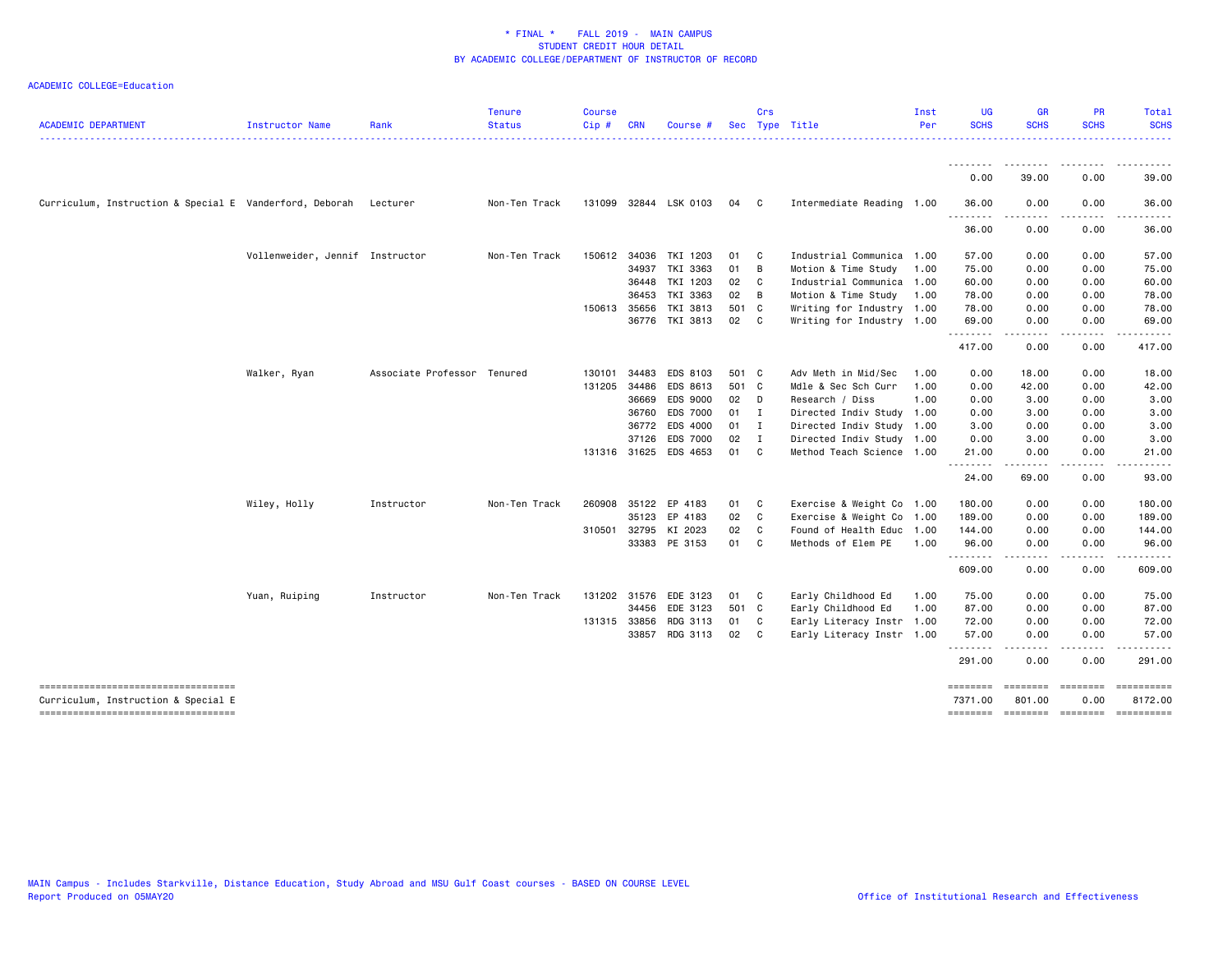| <b>ACADEMIC DEPARTMENT</b>                              | Instructor Name                 | Rank                        | <b>Tenure</b><br><b>Status</b> | <b>Course</b><br>Cip# | <b>CRN</b> | Course                |       | Crs            | Sec Type Title            | Inst<br>Per | <b>UG</b><br><b>SCHS</b> | <b>GR</b><br><b>SCHS</b> | <b>PR</b><br><b>SCHS</b> | Total<br><b>SCHS</b>                |
|---------------------------------------------------------|---------------------------------|-----------------------------|--------------------------------|-----------------------|------------|-----------------------|-------|----------------|---------------------------|-------------|--------------------------|--------------------------|--------------------------|-------------------------------------|
|                                                         |                                 |                             |                                |                       |            |                       |       |                |                           |             | ---------                | . <b>.</b>               |                          | .                                   |
|                                                         |                                 |                             |                                |                       |            |                       |       |                |                           |             | 0.00                     | 39.00                    | 0.00                     | 39.00                               |
| Curriculum, Instruction & Special E Vanderford, Deborah |                                 | Lecturer                    | Non-Ten Track                  |                       |            | 131099 32844 LSK 0103 | 04    | C.             | Intermediate Reading 1.00 |             | 36.00<br><u>.</u>        | 0.00<br>.                | 0.00<br>.                | 36.00<br>.                          |
|                                                         |                                 |                             |                                |                       |            |                       |       |                |                           |             | 36.00                    | 0.00                     | 0.00                     | 36.00                               |
|                                                         | Vollenweider, Jennif Instructor |                             | Non-Ten Track                  | 150612 34036          |            | TKI 1203              | 01    | C              | Industrial Communica 1.00 |             | 57.00                    | 0.00                     | 0.00                     | 57.00                               |
|                                                         |                                 |                             |                                |                       | 34937      | TKI 3363              | 01    | B              | Motion & Time Study       | 1.00        | 75.00                    | 0.00                     | 0.00                     | 75.00                               |
|                                                         |                                 |                             |                                |                       | 36448      | TKI 1203              | 02    | C              | Industrial Communica      | 1.00        | 60.00                    | 0.00                     | 0.00                     | 60.00                               |
|                                                         |                                 |                             |                                |                       | 36453      | TKI 3363              | 02    | B              | Motion & Time Study       | 1.00        | 78.00                    | 0.00                     | 0.00                     | 78.00                               |
|                                                         |                                 |                             |                                | 150613 35656          |            | TKI 3813              | 501 C |                | Writing for Industry 1.00 |             | 78.00                    | 0.00                     | 0.00                     | 78.00                               |
|                                                         |                                 |                             |                                |                       |            | 36776 TKI 3813        | 02    | C              | Writing for Industry 1.00 |             | 69.00<br>--------        | 0.00<br>.                | 0.00<br>بالمحام          | 69.00<br>.                          |
|                                                         |                                 |                             |                                |                       |            |                       |       |                |                           |             | 417.00                   | 0.00                     | 0.00                     | 417.00                              |
|                                                         | Walker, Ryan                    | Associate Professor Tenured |                                | 130101                | 34483      | EDS 8103              | 501 C |                | Adv Meth in Mid/Sec       | 1.00        | 0.00                     | 18.00                    | 0.00                     | 18.00                               |
|                                                         |                                 |                             |                                | 131205                | 34486      | EDS 8613              | 501 C |                | Mdle & Sec Sch Curr       | 1.00        | 0.00                     | 42.00                    | 0.00                     | 42.00                               |
|                                                         |                                 |                             |                                |                       |            |                       |       |                |                           |             |                          |                          |                          |                                     |
|                                                         |                                 |                             |                                |                       | 36669      | EDS 9000              | 02    | D              | Research / Diss           | 1.00        | 0.00                     | 3.00                     | 0.00                     | 3.00                                |
|                                                         |                                 |                             |                                |                       | 36760      | EDS 7000              | 01    | $\blacksquare$ | Directed Indiv Study      | 1.00        | 0.00                     | 3.00                     | 0.00                     | 3.00                                |
|                                                         |                                 |                             |                                |                       | 36772      | EDS 4000              | 01    | $\mathbf{I}$   | Directed Indiv Study 1.00 |             | 3.00                     | 0.00                     | 0.00                     | 3.00                                |
|                                                         |                                 |                             |                                |                       | 37126      | <b>EDS 7000</b>       | 02    | I              | Directed Indiv Study 1.00 |             | 0.00                     | 3.00                     | 0.00                     | 3.00                                |
|                                                         |                                 |                             |                                | 131316 31625          |            | EDS 4653              | 01    | C              | Method Teach Science 1.00 |             | 21.00<br>. <i>.</i>      | 0.00                     | 0.00                     | 21.00                               |
|                                                         |                                 |                             |                                |                       |            |                       |       |                |                           |             | 24.00                    | 69.00                    | 0.00                     | 93.00                               |
|                                                         | Wiley, Holly                    | Instructor                  | Non-Ten Track                  | 260908                |            | 35122 EP 4183         | 01    | C              | Exercise & Weight Co 1.00 |             | 180.00                   | 0.00                     | 0.00                     | 180.00                              |
|                                                         |                                 |                             |                                |                       | 35123      | EP 4183               | 02    | C              | Exercise & Weight Co 1.00 |             | 189.00                   | 0.00                     | 0.00                     | 189.00                              |
|                                                         |                                 |                             |                                |                       |            | 310501 32795 KI 2023  | 02    | C              | Found of Health Educ      | 1.00        | 144.00                   | 0.00                     | 0.00                     | 144.00                              |
|                                                         |                                 |                             |                                |                       |            | 33383 PE 3153         | 01    | <b>C</b>       | Methods of Elem PE        | 1.00        | 96.00                    | 0.00                     | 0.00                     | 96.00                               |
|                                                         |                                 |                             |                                |                       |            |                       |       |                |                           |             | .                        | -----                    | .                        | .                                   |
|                                                         |                                 |                             |                                |                       |            |                       |       |                |                           |             | 609.00                   | 0.00                     | 0.00                     | 609.00                              |
|                                                         | Yuan, Ruiping                   | Instructor                  | Non-Ten Track                  |                       |            | 131202 31576 EDE 3123 | 01    | C.             | Early Childhood Ed        | 1.00        | 75.00                    | 0.00                     | 0.00                     | 75.00                               |
|                                                         |                                 |                             |                                |                       | 34456      | EDE 3123              | 501 C |                | Early Childhood Ed        | 1.00        | 87.00                    | 0.00                     | 0.00                     | 87.00                               |
|                                                         |                                 |                             |                                | 131315 33856          |            | RDG 3113              | 01    | C              | Early Literacy Instr      | 1.00        | 72.00                    | 0.00                     | 0.00                     | 72.00                               |
|                                                         |                                 |                             |                                |                       | 33857      | RDG 3113              | 02    | C.             | Early Literacy Instr 1.00 |             | 57.00                    | 0.00                     | 0.00                     | 57.00                               |
|                                                         |                                 |                             |                                |                       |            |                       |       |                |                           |             | .<br>291.00              | $- - - - -$<br>0.00      | .<br>0.00                | .<br>291.00                         |
| =====================================                   |                                 |                             |                                |                       |            |                       |       |                |                           |             |                          | ========                 | eessesse                 | ==========                          |
|                                                         |                                 |                             |                                |                       |            |                       |       |                |                           |             | <b>EDEDEDED</b>          |                          |                          |                                     |
| Curriculum, Instruction & Special E                     |                                 |                             |                                |                       |            |                       |       |                |                           |             | 7371.00                  | 801.00                   | 0.00                     | 8172.00                             |
| -----------------------------------                     |                                 |                             |                                |                       |            |                       |       |                |                           |             |                          |                          |                          | -------- ------- -------- --------- |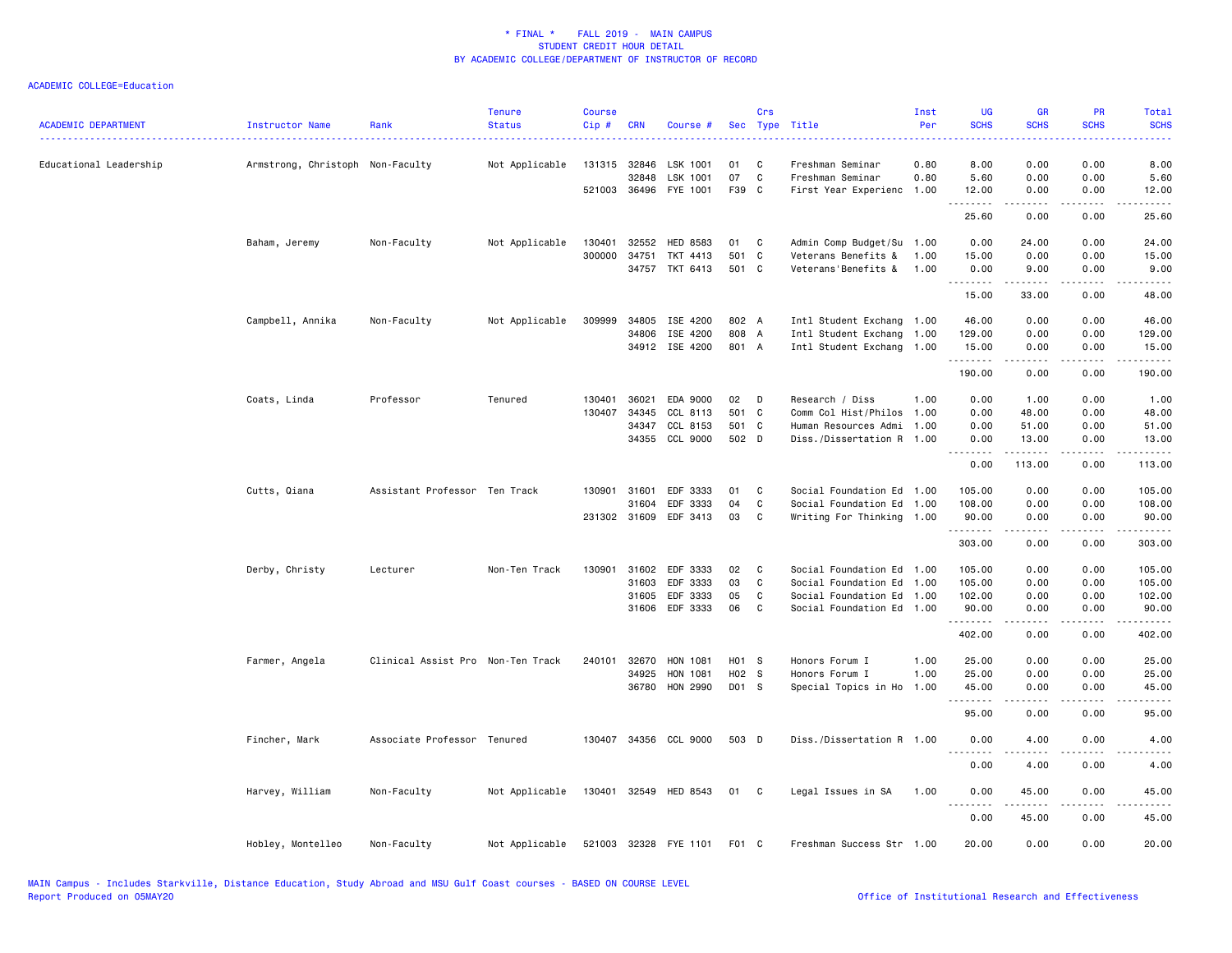| <b>ACADEMIC DEPARTMENT</b> | Instructor Name                  | Rank                              | <b>Tenure</b><br><b>Status</b> | <b>Course</b><br>Cip# | <b>CRN</b>   | Course #              |       | Crs          | Sec Type Title            | Inst<br>Per | <b>UG</b><br><b>SCHS</b>                                                                                                          | <b>GR</b><br><b>SCHS</b>                                                                                                                                     | <b>PR</b><br><b>SCHS</b> | Total<br><b>SCHS</b> |
|----------------------------|----------------------------------|-----------------------------------|--------------------------------|-----------------------|--------------|-----------------------|-------|--------------|---------------------------|-------------|-----------------------------------------------------------------------------------------------------------------------------------|--------------------------------------------------------------------------------------------------------------------------------------------------------------|--------------------------|----------------------|
| Educational Leadership     | Armstrong, Christoph Non-Faculty |                                   | Not Applicable                 | 131315 32846          |              | LSK 1001              | 01    | C            | Freshman Seminar          | 0.80        | $\frac{1}{2} \left( \frac{1}{2} \right) \left( \frac{1}{2} \right) \left( \frac{1}{2} \right) \left( \frac{1}{2} \right)$<br>8.00 | 0.00                                                                                                                                                         | 0.00                     | 8.00                 |
|                            |                                  |                                   |                                |                       | 32848        | LSK 1001              | 07    | C            | Freshman Seminar          | 0.80        | 5.60                                                                                                                              | 0.00                                                                                                                                                         | 0.00                     | 5.60                 |
|                            |                                  |                                   |                                |                       | 521003 36496 | FYE 1001              | F39 C |              | First Year Experienc 1.00 |             | 12.00                                                                                                                             | 0.00                                                                                                                                                         | 0.00                     | 12.00                |
|                            |                                  |                                   |                                |                       |              |                       |       |              |                           |             | .<br>25.60                                                                                                                        | $- - - - -$<br>0.00                                                                                                                                          | .<br>0.00                | .<br>25.60           |
|                            | Baham, Jeremy                    | Non-Faculty                       | Not Applicable                 | 130401                | 32552        | <b>HED 8583</b>       | 01    | C            | Admin Comp Budget/Su 1.00 |             | 0.00                                                                                                                              | 24.00                                                                                                                                                        | 0.00                     | 24.00                |
|                            |                                  |                                   |                                | 300000                | 34751        | TKT 4413              | 501 C |              | Veterans Benefits &       | 1.00        | 15.00                                                                                                                             | 0.00                                                                                                                                                         | 0.00                     | 15.00                |
|                            |                                  |                                   |                                |                       |              | 34757 TKT 6413        | 501 C |              | Veterans'Benefits &       | 1.00        | 0.00<br>.                                                                                                                         | 9.00<br>.                                                                                                                                                    | 0.00<br>.                | 9.00<br>.            |
|                            |                                  |                                   |                                |                       |              |                       |       |              |                           |             | 15.00                                                                                                                             | 33.00                                                                                                                                                        | 0.00                     | 48.00                |
|                            | Campbell, Annika                 | Non-Faculty                       | Not Applicable                 | 309999                | 34805        | ISE 4200              | 802 A |              | Intl Student Exchang 1.00 |             | 46.00                                                                                                                             | 0.00                                                                                                                                                         | 0.00                     | 46.00                |
|                            |                                  |                                   |                                |                       | 34806        | ISE 4200              | 808 A |              | Intl Student Exchang 1.00 |             | 129.00                                                                                                                            | 0.00                                                                                                                                                         | 0.00                     | 129.00               |
|                            |                                  |                                   |                                |                       |              | 34912 ISE 4200        | 801 A |              | Intl Student Exchang 1.00 |             | 15.00<br>.                                                                                                                        | 0.00                                                                                                                                                         | 0.00<br>د د د د          | 15.00                |
|                            |                                  |                                   |                                |                       |              |                       |       |              |                           |             | 190.00                                                                                                                            | 0.00                                                                                                                                                         | 0.00                     | 190.00               |
|                            | Coats, Linda                     | Professor                         | Tenured                        | 130401                | 36021        | EDA 9000              | 02    | D D          | Research / Diss           | 1.00        | 0.00                                                                                                                              | 1.00                                                                                                                                                         | 0.00                     | 1.00                 |
|                            |                                  |                                   |                                | 130407                | 34345        | CCL 8113              | 501 C |              | Comm Col Hist/Philos      | 1.00        | 0.00                                                                                                                              | 48.00                                                                                                                                                        | 0.00                     | 48.00                |
|                            |                                  |                                   |                                |                       | 34347        | CCL 8153              | 501 C |              | Human Resources Admi 1.00 |             | 0.00                                                                                                                              | 51.00                                                                                                                                                        | 0.00                     | 51.00                |
|                            |                                  |                                   |                                |                       | 34355        | CCL 9000              | 502 D |              | Diss./Dissertation R 1.00 |             | 0.00<br>.                                                                                                                         | 13.00<br>.                                                                                                                                                   | 0.00<br>.                | 13.00                |
|                            |                                  |                                   |                                |                       |              |                       |       |              |                           |             | 0.00                                                                                                                              | 113.00                                                                                                                                                       | 0.00                     | .<br>113.00          |
|                            | Cutts, Qiana                     | Assistant Professor Ten Track     |                                | 130901                | 31601        | EDF 3333              | 01    | $\mathbf{C}$ | Social Foundation Ed 1.00 |             | 105.00                                                                                                                            | 0.00                                                                                                                                                         | 0.00                     | 105.00               |
|                            |                                  |                                   |                                |                       | 31604        | EDF 3333              | 04    | C            | Social Foundation Ed 1.00 |             | 108.00                                                                                                                            | 0.00                                                                                                                                                         | 0.00                     | 108.00               |
|                            |                                  |                                   |                                |                       | 231302 31609 | EDF 3413              | 03    | C            | Writing For Thinking 1.00 |             | 90.00<br>.                                                                                                                        | 0.00<br>.                                                                                                                                                    | 0.00<br>.                | 90.00<br>------      |
|                            |                                  |                                   |                                |                       |              |                       |       |              |                           |             | 303.00                                                                                                                            | 0.00                                                                                                                                                         | 0.00                     | 303.00               |
|                            | Derby, Christy                   | Lecturer                          | Non-Ten Track                  | 130901                | 31602        | EDF 3333              | 02    | $\mathbf{C}$ | Social Foundation Ed 1.00 |             | 105.00                                                                                                                            | 0.00                                                                                                                                                         | 0.00                     | 105.00               |
|                            |                                  |                                   |                                |                       | 31603        | EDF 3333              | 03    | C            | Social Foundation Ed 1.00 |             | 105.00                                                                                                                            | 0.00                                                                                                                                                         | 0.00                     | 105.00               |
|                            |                                  |                                   |                                |                       | 31605        | EDF 3333              | 05    | C            | Social Foundation Ed 1.00 |             | 102.00                                                                                                                            | 0.00                                                                                                                                                         | 0.00                     | 102.00               |
|                            |                                  |                                   |                                |                       | 31606        | EDF 3333              | 06    | C            | Social Foundation Ed 1.00 |             | 90.00<br>.                                                                                                                        | 0.00<br>د د د د د                                                                                                                                            | 0.00<br>.                | 90.00                |
|                            |                                  |                                   |                                |                       |              |                       |       |              |                           |             | 402.00                                                                                                                            | 0.00                                                                                                                                                         | 0.00                     | 402.00               |
|                            | Farmer, Angela                   | Clinical Assist Pro Non-Ten Track |                                | 240101                | 32670        | HON 1081              | H01 S |              | Honors Forum I            | 1.00        | 25.00                                                                                                                             | 0.00                                                                                                                                                         | 0.00                     | 25.00                |
|                            |                                  |                                   |                                |                       | 34925        | HON 1081              | H02 S |              | Honors Forum I            | 1.00        | 25.00                                                                                                                             | 0.00                                                                                                                                                         | 0.00                     | 25.00                |
|                            |                                  |                                   |                                |                       |              | 36780 HON 2990        | D01 S |              | Special Topics in Ho      | 1.00        | 45.00                                                                                                                             | 0.00                                                                                                                                                         | 0.00                     | 45.00                |
|                            |                                  |                                   |                                |                       |              |                       |       |              |                           |             | .<br>95.00                                                                                                                        | 0.00                                                                                                                                                         | .<br>0.00                | 95.00                |
|                            | Fincher, Mark                    | Associate Professor Tenured       |                                |                       |              | 130407 34356 CCL 9000 | 503 D |              | Diss./Dissertation R 1.00 |             | 0.00                                                                                                                              | 4.00                                                                                                                                                         | 0.00                     | 4.00                 |
|                            |                                  |                                   |                                |                       |              |                       |       |              |                           |             | $\sim$ $\sim$ $\sim$<br>.<br>0.00                                                                                                 | $\frac{1}{2} \left( \frac{1}{2} \right) \left( \frac{1}{2} \right) \left( \frac{1}{2} \right) \left( \frac{1}{2} \right) \left( \frac{1}{2} \right)$<br>4.00 | .<br>0.00                | .<br>4.00            |
|                            | Harvey, William                  | Non-Faculty                       | Not Applicable                 |                       |              | 130401 32549 HED 8543 | 01 C  |              | Legal Issues in SA        | 1.00        | 0.00                                                                                                                              | 45.00                                                                                                                                                        | 0.00                     | 45.00                |
|                            |                                  |                                   |                                |                       |              |                       |       |              |                           |             | .<br>$\frac{1}{2} \left( \frac{1}{2} \right) = \frac{1}{2}$<br>0.00                                                               | 45.00                                                                                                                                                        | 0.00                     | 45.00                |
|                            | Hobley, Montelleo                | Non-Faculty                       | Not Applicable                 |                       |              | 521003 32328 FYE 1101 | F01 C |              | Freshman Success Str 1.00 |             | 20.00                                                                                                                             | 0.00                                                                                                                                                         | 0.00                     | 20.00                |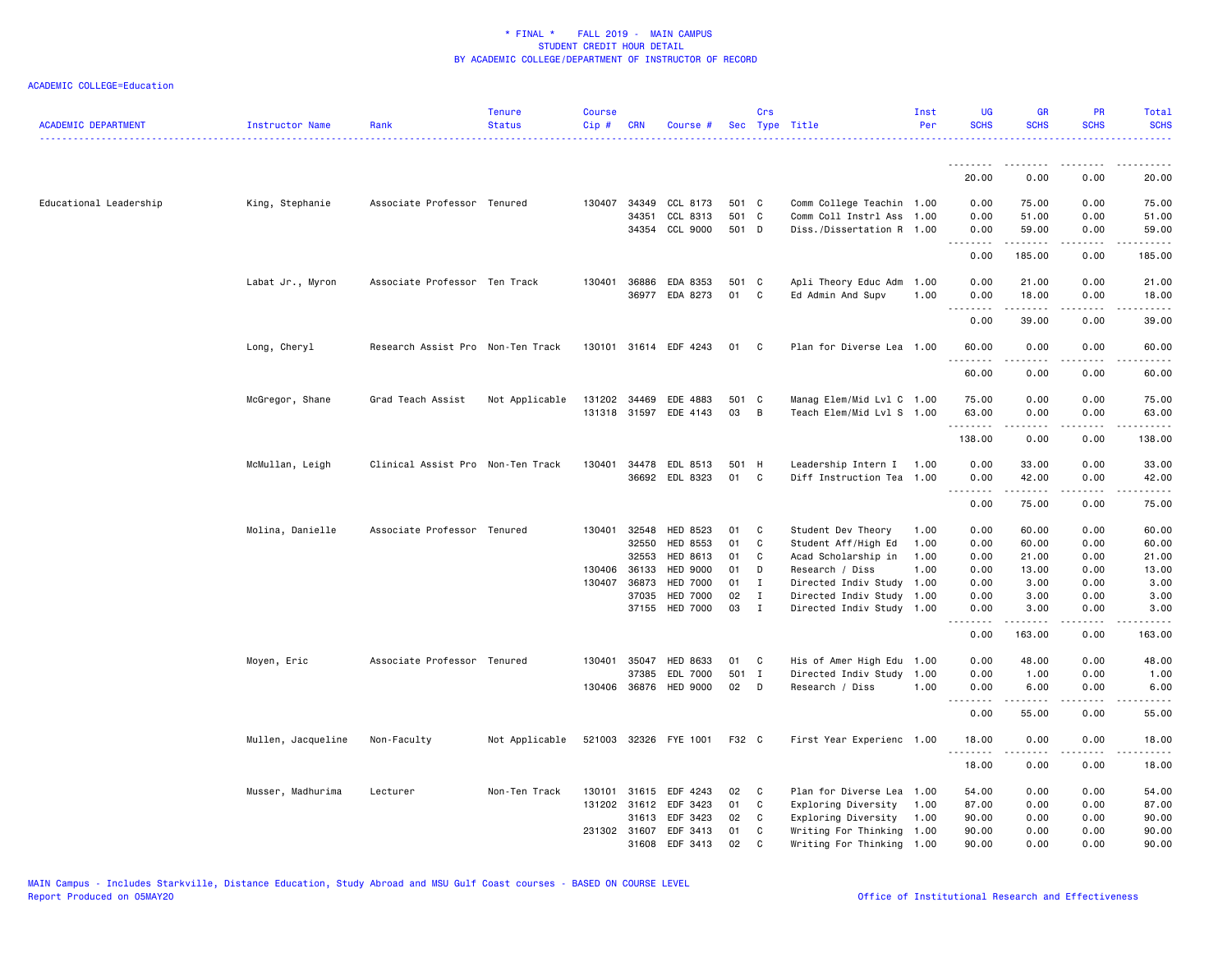| <b>ACADEMIC DEPARTMENT</b> | Instructor Name    | Rank                              | <b>Tenure</b><br><b>Status</b> | <b>Course</b><br>Cip# | <b>CRN</b>     | Course #                           |             | Crs               | Sec Type Title                                         | Inst<br>Per | <b>UG</b><br><b>SCHS</b> | <b>GR</b><br><b>SCHS</b> | <b>PR</b><br><b>SCHS</b> | <b>Total</b><br><b>SCHS</b> |
|----------------------------|--------------------|-----------------------------------|--------------------------------|-----------------------|----------------|------------------------------------|-------------|-------------------|--------------------------------------------------------|-------------|--------------------------|--------------------------|--------------------------|-----------------------------|
|                            |                    |                                   |                                |                       |                |                                    |             |                   |                                                        |             | .                        |                          |                          |                             |
|                            |                    |                                   |                                |                       |                |                                    |             |                   |                                                        |             | 20.00                    | 0.00                     | 0.00                     | 20.00                       |
| Educational Leadership     | King, Stephanie    | Associate Professor Tenured       |                                |                       | 130407 34349   | CCL 8173                           | 501 C       |                   | Comm College Teachin 1.00                              |             | 0.00                     | 75.00                    | 0.00                     | 75.00                       |
|                            |                    |                                   |                                |                       | 34351          | CCL 8313                           | 501 C       |                   | Comm Coll Instrl Ass 1.00                              |             | 0.00                     | 51.00                    | 0.00                     | 51.00                       |
|                            |                    |                                   |                                |                       |                | 34354 CCL 9000                     | 501 D       |                   | Diss./Dissertation R 1.00                              |             | 0.00<br>.                | 59.00<br>.               | 0.00<br>.                | 59.00<br>.                  |
|                            |                    |                                   |                                |                       |                |                                    |             |                   |                                                        |             | 0.00                     | 185.00                   | 0.00                     | 185.00                      |
|                            | Labat Jr., Myron   | Associate Professor Ten Track     |                                |                       | 130401 36886   | EDA 8353                           | 501 C       |                   | Apli Theory Educ Adm                                   | 1.00        | 0.00                     | 21.00                    | 0.00                     | 21.00                       |
|                            |                    |                                   |                                |                       |                | 36977 EDA 8273                     | 01          | C                 | Ed Admin And Supv                                      | 1.00        | 0.00<br>$- - - -$        | 18.00<br>د د د د د       | 0.00<br>.                | 18.00                       |
|                            |                    |                                   |                                |                       |                |                                    |             |                   |                                                        |             | 0.00                     | 39.00                    | 0.00                     | 39.00                       |
|                            | Long, Cheryl       | Research Assist Pro Non-Ten Track |                                |                       |                | 130101 31614 EDF 4243              | 01          | C <sub>1</sub>    | Plan for Diverse Lea 1.00                              |             | 60.00<br>.               | 0.00<br>$   -$           | 0.00<br>.                | 60.00<br>.                  |
|                            |                    |                                   |                                |                       |                |                                    |             |                   |                                                        |             | 60.00                    | 0.00                     | 0.00                     | 60.00                       |
|                            | McGregor, Shane    | Grad Teach Assist                 | Not Applicable                 | 131202                | 34469          | EDE 4883                           | 501 C       |                   | Manag Elem/Mid Lvl C 1.00                              |             | 75.00                    | 0.00                     | 0.00                     | 75.00                       |
|                            |                    |                                   |                                |                       |                | 131318 31597 EDE 4143              | 03          | B                 | Teach Elem/Mid Lvl S 1.00                              |             | 63.00                    | 0.00                     | 0.00                     | 63.00                       |
|                            |                    |                                   |                                |                       |                |                                    |             |                   |                                                        |             | .<br>138.00              | .<br>0.00                | 0.00                     | ------<br>138.00            |
|                            | McMullan, Leigh    | Clinical Assist Pro Non-Ten Track |                                | 130401                | 34478          | EDL 8513                           | 501 H       |                   | Leadership Intern I 1.00                               |             | 0.00                     | 33.00                    | 0.00                     | 33.00                       |
|                            |                    |                                   |                                |                       |                | 36692 EDL 8323                     | 01          | C                 | Diff Instruction Tea 1.00                              |             | 0.00                     | 42.00                    | 0.00                     | 42.00                       |
|                            |                    |                                   |                                |                       |                |                                    |             |                   |                                                        |             | .<br>0.00                | .<br>75.00               | .<br>0.00                | .<br>75.00                  |
|                            | Molina, Danielle   | Associate Professor Tenured       |                                | 130401                | 32548          | <b>HED 8523</b>                    | 01          | C                 | Student Dev Theory                                     | 1.00        | 0.00                     | 60.00                    | 0.00                     | 60.00                       |
|                            |                    |                                   |                                |                       | 32550          | <b>HED 8553</b>                    | 01          | C                 | Student Aff/High Ed                                    | 1.00        | 0.00                     | 60.00                    | 0.00                     | 60.00                       |
|                            |                    |                                   |                                |                       | 32553          | HED 8613                           | 01          | C                 | Acad Scholarship in                                    | 1.00        | 0.00                     | 21.00                    | 0.00                     | 21.00                       |
|                            |                    |                                   |                                |                       | 130406 36133   | <b>HED 9000</b>                    | 01          | D                 | Research / Diss                                        | 1.00        | 0.00                     | 13.00                    | 0.00                     | 13.00                       |
|                            |                    |                                   |                                |                       | 130407 36873   | <b>HED 7000</b>                    | 01          | $\mathbf I$       | Directed Indiv Study                                   | 1.00        | 0.00                     | 3.00                     | 0.00                     | 3.00                        |
|                            |                    |                                   |                                |                       | 37035<br>37155 | <b>HED 7000</b><br><b>HED 7000</b> | 02<br>03    | I<br>$\mathbf{I}$ | Directed Indiv Study 1.00<br>Directed Indiv Study 1.00 |             | 0.00<br>0.00             | 3.00<br>3.00             | 0.00<br>0.00             | 3.00<br>3.00                |
|                            |                    |                                   |                                |                       |                |                                    |             |                   |                                                        |             | .<br>0.00                | .<br>163.00              | .<br>0.00                | <u>.</u><br>163.00          |
|                            |                    |                                   |                                |                       |                |                                    |             |                   |                                                        |             |                          |                          |                          |                             |
|                            | Moyen, Eric        | Associate Professor Tenured       |                                |                       | 130401 35047   | <b>HED 8633</b>                    | 01          | C                 | His of Amer High Edu 1.00                              |             | 0.00                     | 48.00                    | 0.00                     | 48.00                       |
|                            |                    |                                   |                                |                       | 37385          | EDL 7000<br>130406 36876 HED 9000  | 501 I<br>02 | D                 | Directed Indiv Study 1.00<br>Research / Diss           | 1.00        | 0.00<br>0.00             | 1.00<br>6.00             | 0.00<br>0.00             | 1.00<br>6.00                |
|                            |                    |                                   |                                |                       |                |                                    |             |                   |                                                        |             | .<br>0.00                | .<br>55.00               | د د د د<br>0.00          | المتمام<br>55.00            |
|                            |                    |                                   |                                |                       |                |                                    |             |                   |                                                        |             |                          |                          |                          |                             |
|                            | Mullen, Jacqueline | Non-Faculty                       | Not Applicable                 |                       |                | 521003 32326 FYE 1001              | F32 C       |                   | First Year Experienc 1.00                              |             | 18.00<br>.               | 0.00                     | 0.00                     | 18.00                       |
|                            |                    |                                   |                                |                       |                |                                    |             |                   |                                                        |             | 18.00                    | 0.00                     | 0.00                     | 18.00                       |
|                            | Musser, Madhurima  | Lecturer                          | Non-Ten Track                  |                       |                | 130101 31615 EDF 4243              | 02          | C                 | Plan for Diverse Lea                                   | 1.00        | 54.00                    | 0.00                     | 0.00                     | 54.00                       |
|                            |                    |                                   |                                |                       | 131202 31612   | EDF 3423                           | 01          | C                 | Exploring Diversity                                    | 1.00        | 87.00                    | 0.00                     | 0.00                     | 87.00                       |
|                            |                    |                                   |                                |                       | 31613          | EDF 3423                           | 02          | C                 | Exploring Diversity                                    | 1.00        | 90.00                    | 0.00                     | 0.00                     | 90.00                       |
|                            |                    |                                   |                                |                       | 231302 31607   | EDF 3413                           | 01          | C                 | Writing For Thinking 1.00                              |             | 90.00                    | 0.00                     | 0.00                     | 90.00                       |
|                            |                    |                                   |                                |                       | 31608          | EDF 3413                           | 02          | $\mathbf{C}$      | Writing For Thinking 1.00                              |             | 90.00                    | 0.00                     | 0.00                     | 90.00                       |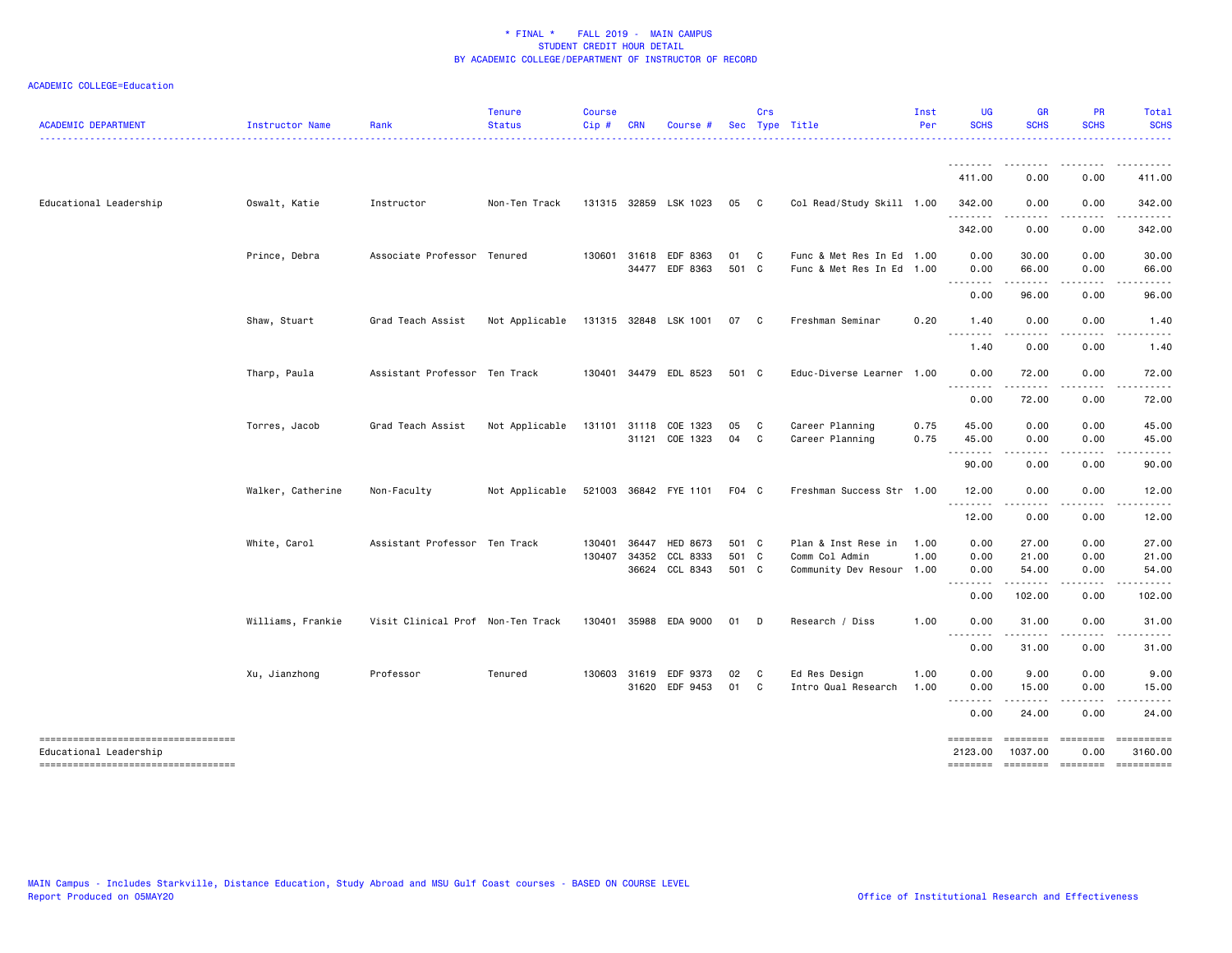| <b>ACADEMIC DEPARTMENT</b>                                                                         | Instructor Name   | Rank                              | <b>Tenure</b><br><b>Status</b> | <b>Course</b><br>Cip# | <b>CRN</b>   | Course #                   |                | Crs                            | Sec Type Title                                         | Inst<br>Per  | <b>UG</b><br><b>SCHS</b>         | <b>GR</b><br><b>SCHS</b> | <b>PR</b><br><b>SCHS</b> | Total<br><b>SCHS</b><br>.                                                                                                                                                                                                                                                                                                                                                                                                                                |
|----------------------------------------------------------------------------------------------------|-------------------|-----------------------------------|--------------------------------|-----------------------|--------------|----------------------------|----------------|--------------------------------|--------------------------------------------------------|--------------|----------------------------------|--------------------------|--------------------------|----------------------------------------------------------------------------------------------------------------------------------------------------------------------------------------------------------------------------------------------------------------------------------------------------------------------------------------------------------------------------------------------------------------------------------------------------------|
|                                                                                                    |                   |                                   |                                |                       |              |                            |                |                                |                                                        |              | 411.00                           | 0.00                     | 0.00                     | 411.00                                                                                                                                                                                                                                                                                                                                                                                                                                                   |
| Educational Leadership                                                                             | Oswalt, Katie     | Instructor                        | Non-Ten Track                  |                       |              | 131315 32859 LSK 1023      | 05             | $\mathbf{C}$                   | Col Read/Study Skill 1.00                              |              | 342.00                           | 0.00                     | 0.00                     | 342.00                                                                                                                                                                                                                                                                                                                                                                                                                                                   |
|                                                                                                    |                   |                                   |                                |                       |              |                            |                |                                |                                                        |              | .<br>342.00                      | 0.00                     | .<br>0.00                | <u>.</u><br>342.00                                                                                                                                                                                                                                                                                                                                                                                                                                       |
|                                                                                                    | Prince, Debra     | Associate Professor Tenured       |                                |                       | 130601 31618 | EDF 8363<br>34477 EDF 8363 | 01<br>501 C    | C C                            | Func & Met Res In Ed 1.00<br>Func & Met Res In Ed 1.00 |              | 0.00<br>0.00                     | 30.00<br>66.00           | 0.00<br>0.00             | 30.00<br>66.00                                                                                                                                                                                                                                                                                                                                                                                                                                           |
|                                                                                                    |                   |                                   |                                |                       |              |                            |                |                                |                                                        |              | .<br>0.00                        | ------<br>96.00          | .<br>0.00                | .<br>96.00                                                                                                                                                                                                                                                                                                                                                                                                                                               |
|                                                                                                    | Shaw, Stuart      | Grad Teach Assist                 | Not Applicable                 |                       |              | 131315 32848 LSK 1001      | 07 C           |                                | Freshman Seminar                                       | 0.20         | 1.40<br>.                        | 0.00<br>.                | 0.00<br>.                | 1.40<br>.                                                                                                                                                                                                                                                                                                                                                                                                                                                |
|                                                                                                    |                   |                                   |                                |                       |              |                            |                |                                |                                                        |              | 1.40                             | 0.00                     | 0.00                     | 1.40                                                                                                                                                                                                                                                                                                                                                                                                                                                     |
|                                                                                                    | Tharp, Paula      | Assistant Professor Ten Track     |                                |                       |              | 130401 34479 EDL 8523      | 501 C          |                                | Educ-Diverse Learner 1.00                              |              | 0.00                             | 72.00                    | 0.00                     | 72.00                                                                                                                                                                                                                                                                                                                                                                                                                                                    |
|                                                                                                    |                   |                                   |                                |                       |              |                            |                |                                |                                                        |              | <u>.</u><br>0.00                 | .<br>72.00               | .<br>0.00                | .<br>72.00                                                                                                                                                                                                                                                                                                                                                                                                                                               |
|                                                                                                    | Torres, Jacob     | Grad Teach Assist                 | Not Applicable                 |                       | 131101 31118 | COE 1323                   | 05             | C .                            | Career Planning                                        | 0.75         | 45.00                            | 0.00                     | 0.00                     | 45.00                                                                                                                                                                                                                                                                                                                                                                                                                                                    |
|                                                                                                    |                   |                                   |                                |                       |              | 31121 COE 1323             | 04             | $\mathbf{C}$                   | Career Planning                                        | 0.75         | 45.00<br>.                       | 0.00                     | 0.00                     | 45.00                                                                                                                                                                                                                                                                                                                                                                                                                                                    |
|                                                                                                    |                   |                                   |                                |                       |              |                            |                |                                |                                                        |              | 90.00                            | 0.00                     | 0.00                     | 90.00                                                                                                                                                                                                                                                                                                                                                                                                                                                    |
|                                                                                                    | Walker, Catherine | Non-Faculty                       | Not Applicable                 |                       |              | 521003 36842 FYE 1101      | F04 C          |                                | Freshman Success Str 1.00                              |              | 12.00<br>.                       | 0.00<br>.                | 0.00<br>.                | 12.00<br>$\frac{1}{2}$                                                                                                                                                                                                                                                                                                                                                                                                                                   |
|                                                                                                    |                   |                                   |                                |                       |              |                            |                |                                |                                                        |              | 12.00                            | 0.00                     | 0.00                     | 12.00                                                                                                                                                                                                                                                                                                                                                                                                                                                    |
|                                                                                                    | White, Carol      | Assistant Professor Ten Track     |                                | 130401                | 36447        | <b>HED 8673</b>            | 501 C          |                                | Plan & Inst Rese in                                    | 1.00         | 0.00                             | 27.00                    | 0.00                     | 27.00                                                                                                                                                                                                                                                                                                                                                                                                                                                    |
|                                                                                                    |                   |                                   |                                | 130407                | 34352        | CCL 8333<br>36624 CCL 8343 | 501 C<br>501 C |                                | Comm Col Admin<br>Community Dev Resour 1.00            | 1.00         | 0.00<br>0.00                     | 21.00<br>54.00           | 0.00<br>0.00             | 21.00<br>54.00                                                                                                                                                                                                                                                                                                                                                                                                                                           |
|                                                                                                    |                   |                                   |                                |                       |              |                            |                |                                |                                                        |              | $- - -$<br>$\frac{1}{2}$<br>0.00 | 102.00                   | .<br>0.00                | 102.00                                                                                                                                                                                                                                                                                                                                                                                                                                                   |
|                                                                                                    | Williams, Frankie | Visit Clinical Prof Non-Ten Track |                                |                       |              | 130401 35988 EDA 9000      | 01             | D                              | Research / Diss                                        | 1.00         | 0.00                             | 31.00                    | 0.00                     | 31.00                                                                                                                                                                                                                                                                                                                                                                                                                                                    |
|                                                                                                    |                   |                                   |                                |                       |              |                            |                |                                |                                                        |              | $ -$<br>0.00                     | 31.00                    | 0.00                     | 31.00                                                                                                                                                                                                                                                                                                                                                                                                                                                    |
|                                                                                                    | Xu, Jianzhong     | Professor                         | Tenured                        |                       | 130603 31619 | EDF 9373<br>31620 EDF 9453 | 02<br>01       | $\mathbf{C}$<br>C <sub>c</sub> | Ed Res Design<br>Intro Qual Research                   | 1.00<br>1.00 | 0.00<br>0.00                     | 9.00<br>15.00            | 0.00<br>0.00             | 9.00<br>15.00                                                                                                                                                                                                                                                                                                                                                                                                                                            |
|                                                                                                    |                   |                                   |                                |                       |              |                            |                |                                |                                                        |              | .<br>0.00                        | .<br>24.00               | .<br>0.00                | .<br>24.00                                                                                                                                                                                                                                                                                                                                                                                                                                               |
| ----------------------------------<br>Educational Leadership<br>---------------------------------- |                   |                                   |                                |                       |              |                            |                |                                |                                                        |              | ========<br>2123.00<br>========  | ========<br>1037.00      | $=$ ========<br>0.00     | $\begin{minipage}{0.03\linewidth} \hspace*{-0.2cm} \textbf{m} = \textbf{m} = \textbf{m} = \textbf{m} = \textbf{m} = \textbf{m} = \textbf{m} = \textbf{m} = \textbf{m} = \textbf{m} = \textbf{m} = \textbf{m} = \textbf{m} = \textbf{m} = \textbf{m} = \textbf{m} = \textbf{m} = \textbf{m} = \textbf{m} = \textbf{m} = \textbf{m} = \textbf{m} = \textbf{m} = \textbf{m} = \textbf{m} = \textbf{m} = \textbf{m} = \textbf{m} =$<br>3160.00<br>========== |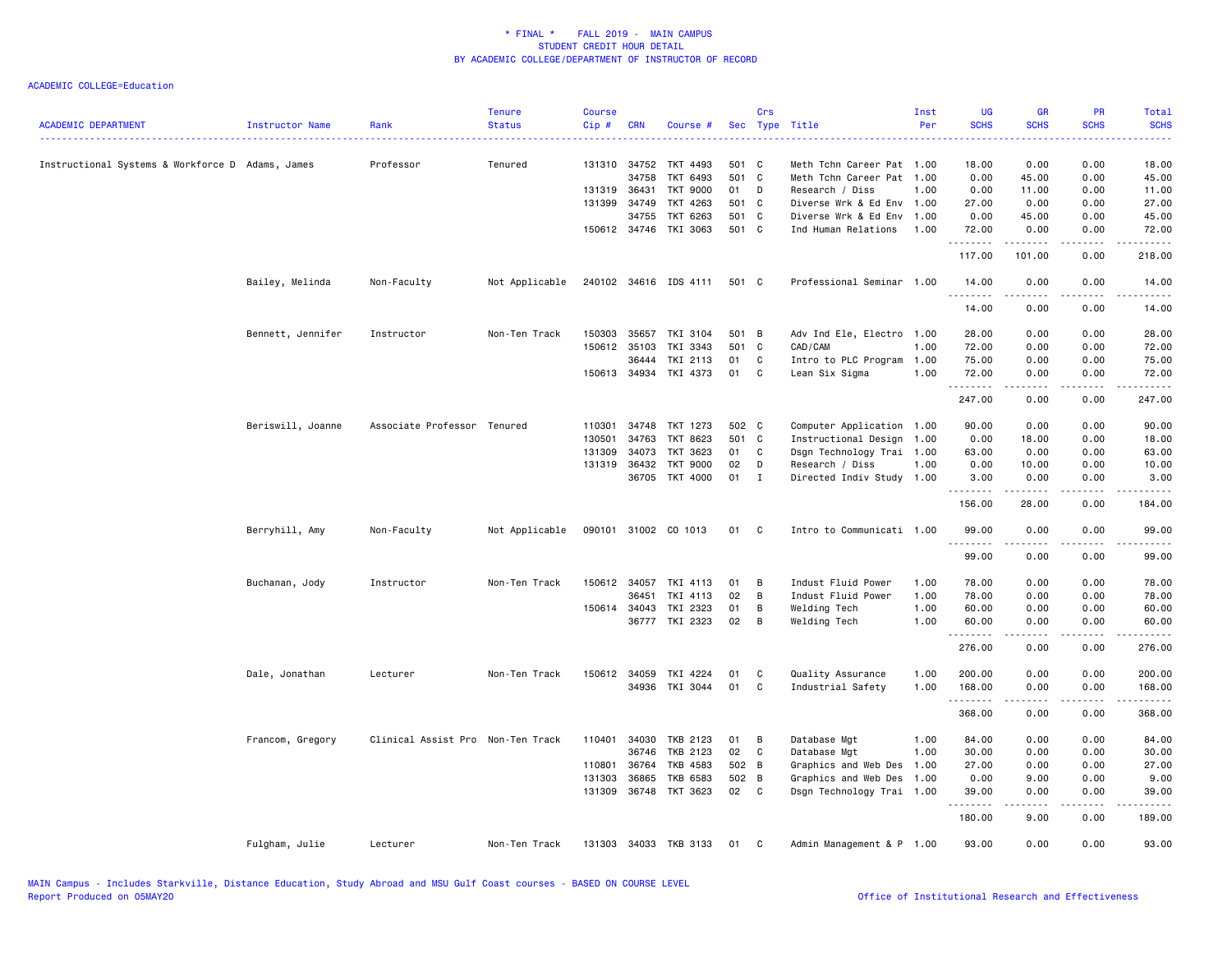| <b>ACADEMIC DEPARTMENT</b>                       | Instructor Name   | Rank                              | <b>Tenure</b><br><b>Status</b> | <b>Course</b><br>Cip# | <b>CRN</b>   | Course #              |       | Crs         | Sec Type Title            | Inst<br>Per | <b>UG</b><br><b>SCHS</b> | <b>GR</b><br><b>SCHS</b> | <b>PR</b><br><b>SCHS</b>     | Total<br><b>SCHS</b>                                                                                                      |
|--------------------------------------------------|-------------------|-----------------------------------|--------------------------------|-----------------------|--------------|-----------------------|-------|-------------|---------------------------|-------------|--------------------------|--------------------------|------------------------------|---------------------------------------------------------------------------------------------------------------------------|
|                                                  |                   |                                   |                                |                       |              |                       |       |             |                           |             |                          |                          |                              | $\frac{1}{2} \left( \frac{1}{2} \right) \left( \frac{1}{2} \right) \left( \frac{1}{2} \right) \left( \frac{1}{2} \right)$ |
| Instructional Systems & Workforce D Adams, James |                   | Professor                         | Tenured                        |                       | 131310 34752 | TKT 4493              | 501 C |             | Meth Tchn Career Pat 1.00 |             | 18.00                    | 0.00                     | 0.00                         | 18.00                                                                                                                     |
|                                                  |                   |                                   |                                |                       | 34758        | TKT 6493              | 501 C |             | Meth Tchn Career Pat      | 1.00        | 0.00                     | 45.00                    | 0.00                         | 45.00                                                                                                                     |
|                                                  |                   |                                   |                                |                       | 131319 36431 | <b>TKT 9000</b>       | 01    | D           | Research / Diss           | 1.00        | 0.00                     | 11.00                    | 0.00                         | 11.00                                                                                                                     |
|                                                  |                   |                                   |                                |                       | 131399 34749 | TKT 4263              | 501 C |             | Diverse Wrk & Ed Env      | 1.00        | 27.00                    | 0.00                     | 0.00                         | 27.00                                                                                                                     |
|                                                  |                   |                                   |                                |                       | 34755        | TKT 6263              | 501 C |             | Diverse Wrk & Ed Env      | 1.00        | 0.00                     | 45.00                    | 0.00                         | 45.00                                                                                                                     |
|                                                  |                   |                                   |                                |                       | 150612 34746 | TKI 3063              | 501 C |             | Ind Human Relations       | 1.00        | 72.00<br>.               | 0.00<br>.                | 0.00<br>المتمالين            | 72.00<br>.                                                                                                                |
|                                                  |                   |                                   |                                |                       |              |                       |       |             |                           |             | 117.00                   | 101.00                   | 0.00                         | 218.00                                                                                                                    |
|                                                  | Bailey, Melinda   | Non-Faculty                       | Not Applicable                 |                       |              | 240102 34616 IDS 4111 | 501 C |             | Professional Seminar 1.00 |             | 14.00<br>.               | 0.00                     | 0.00                         | 14.00                                                                                                                     |
|                                                  |                   |                                   |                                |                       |              |                       |       |             |                           |             | 14.00                    | 0.00                     | 0.00                         | 14.00                                                                                                                     |
|                                                  | Bennett, Jennifer | Instructor                        | Non-Ten Track                  | 150303                | 35657        | TKI 3104              | 501 B |             | Adv Ind Ele, Electro 1.00 |             | 28.00                    | 0.00                     | 0.00                         | 28.00                                                                                                                     |
|                                                  |                   |                                   |                                |                       | 150612 35103 | TKI 3343              | 501 C |             | CAD/CAM                   | 1.00        | 72.00                    | 0.00                     | 0.00                         | 72.00                                                                                                                     |
|                                                  |                   |                                   |                                |                       | 36444        | TKI 2113              | 01    | C           | Intro to PLC Program      | 1.00        | 75.00                    | 0.00                     | 0.00                         | 75.00                                                                                                                     |
|                                                  |                   |                                   |                                |                       | 150613 34934 | TKI 4373              | 01    | C           | Lean Six Sigma            | 1.00        | 72.00<br>.               | 0.00                     | 0.00                         | 72.00                                                                                                                     |
|                                                  |                   |                                   |                                |                       |              |                       |       |             |                           |             | 247.00                   | 0.00                     | 0.00                         | 247.00                                                                                                                    |
|                                                  | Beriswill, Joanne | Associate Professor Tenured       |                                | 110301                | 34748        | TKT 1273              | 502 C |             | Computer Application 1.00 |             | 90.00                    | 0.00                     | 0.00                         | 90.00                                                                                                                     |
|                                                  |                   |                                   |                                | 130501                | 34763        | TKT 8623              | 501 C |             | Instructional Design 1.00 |             | 0.00                     | 18.00                    | 0.00                         | 18.00                                                                                                                     |
|                                                  |                   |                                   |                                | 131309                | 34073        | TKT 3623              | 01    | C           | Dsgn Technology Trai 1.00 |             | 63.00                    | 0.00                     | 0.00                         | 63.00                                                                                                                     |
|                                                  |                   |                                   |                                | 131319                | 36432        | <b>TKT 9000</b>       | 02    | D           | Research / Diss           | 1.00        | 0.00                     | 10.00                    | 0.00                         | 10.00                                                                                                                     |
|                                                  |                   |                                   |                                |                       | 36705        | TKT 4000              | 01    | $\mathbf I$ | Directed Indiv Study 1.00 |             | 3.00                     | 0.00                     | 0.00                         | 3.00                                                                                                                      |
|                                                  |                   |                                   |                                |                       |              |                       |       |             |                           |             | .<br>156.00              | -----<br>28.00           | .<br>0.00                    | -----<br>184.00                                                                                                           |
|                                                  | Berryhill, Amy    | Non-Faculty                       | Not Applicable                 |                       |              | 090101 31002 CO 1013  | 01    | C           | Intro to Communicati 1.00 |             | 99.00                    | 0.00                     | 0.00                         | 99.00                                                                                                                     |
|                                                  |                   |                                   |                                |                       |              |                       |       |             |                           |             | .<br>99.00               | .<br>0.00                | .<br>0.00                    | .<br>99.00                                                                                                                |
|                                                  | Buchanan, Jody    | Instructor                        | Non-Ten Track                  |                       | 150612 34057 | TKI 4113              | 01    | B           | Indust Fluid Power        | 1.00        | 78.00                    | 0.00                     | 0.00                         | 78.00                                                                                                                     |
|                                                  |                   |                                   |                                |                       | 36451        | TKI 4113              | 02    | B           | Indust Fluid Power        | 1.00        | 78.00                    | 0.00                     | 0.00                         | 78.00                                                                                                                     |
|                                                  |                   |                                   |                                |                       | 150614 34043 | TKI 2323              | 01    | B           | Welding Tech              | 1.00        | 60.00                    | 0.00                     | 0.00                         | 60.00                                                                                                                     |
|                                                  |                   |                                   |                                |                       | 36777        | TKI 2323              | 02    | В           | Welding Tech              | 1.00        | 60.00                    | 0.00                     | 0.00                         | 60.00                                                                                                                     |
|                                                  |                   |                                   |                                |                       |              |                       |       |             |                           |             | 276.00                   | 0.00                     | 0.00                         | 276.00                                                                                                                    |
|                                                  | Dale, Jonathan    | Lecturer                          | Non-Ten Track                  |                       | 150612 34059 | TKI 4224              | 01    | C           | Quality Assurance         | 1.00        | 200.00                   | 0.00                     | 0.00                         | 200.00                                                                                                                    |
|                                                  |                   |                                   |                                |                       |              | 34936 TKI 3044        | 01    | C           | Industrial Safety         | 1.00        | 168.00<br>.              | 0.00                     | 0.00<br>.                    | 168.00<br>-----                                                                                                           |
|                                                  |                   |                                   |                                |                       |              |                       |       |             |                           |             | 368.00                   | -----<br>0.00            | 0.00                         | 368.00                                                                                                                    |
|                                                  | Francom, Gregory  | Clinical Assist Pro Non-Ten Track |                                | 110401                | 34030        | TKB 2123              | 01    | В           | Database Mgt              | 1.00        | 84.00                    | 0.00                     | 0.00                         | 84.00                                                                                                                     |
|                                                  |                   |                                   |                                |                       | 36746        | TKB 2123              | 02    | C           | Database Mgt              | 1.00        | 30.00                    | 0.00                     | 0.00                         | 30.00                                                                                                                     |
|                                                  |                   |                                   |                                | 110801                | 36764        | <b>TKB 4583</b>       | 502 B |             | Graphics and Web Des      | 1.00        | 27.00                    | 0.00                     | 0.00                         | 27.00                                                                                                                     |
|                                                  |                   |                                   |                                | 131303                | 36865        | <b>TKB 6583</b>       | 502 B |             | Graphics and Web Des      | 1.00        | 0.00                     | 9.00                     | 0.00                         | 9.00                                                                                                                      |
|                                                  |                   |                                   |                                |                       | 131309 36748 | TKT 3623              | 02    | C           | Dsgn Technology Trai 1.00 |             | 39.00<br>.               | 0.00                     | 0.00<br>$\sim$ $\sim$ $\sim$ | 39.00                                                                                                                     |
|                                                  |                   |                                   |                                |                       |              |                       |       |             |                           |             | 180.00                   | 9.00                     | 0.00                         | 189.00                                                                                                                    |
|                                                  | Fulgham, Julie    | Lecturer                          | Non-Ten Track                  |                       |              | 131303 34033 TKB 3133 | 01    | C           | Admin Management & P 1.00 |             | 93.00                    | 0.00                     | 0.00                         | 93.00                                                                                                                     |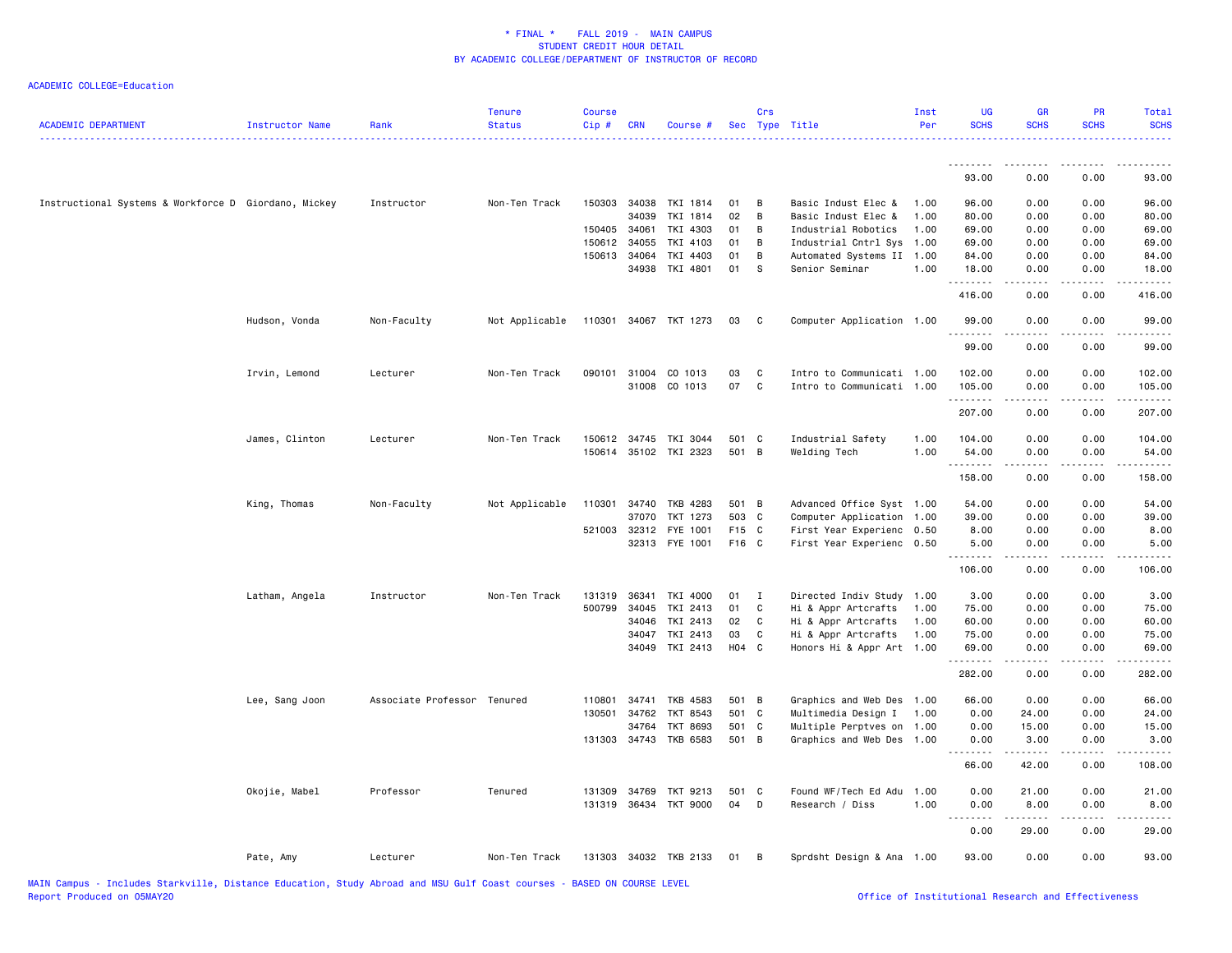| <b>ACADEMIC DEPARTMENT</b>                           | Instructor Name | Rank                        | <b>Tenure</b><br><b>Status</b> | <b>Course</b><br>Cip# | <b>CRN</b>   | Course #              |       | Crs          | Sec Type Title            | Inst<br>Per | <b>UG</b><br><b>SCHS</b> | <b>GR</b><br><b>SCHS</b> | PR<br><b>SCHS</b>     | Total<br><b>SCHS</b> |
|------------------------------------------------------|-----------------|-----------------------------|--------------------------------|-----------------------|--------------|-----------------------|-------|--------------|---------------------------|-------------|--------------------------|--------------------------|-----------------------|----------------------|
|                                                      |                 |                             |                                |                       |              |                       |       |              |                           |             | <u>.</u>                 | .                        | .                     | .                    |
|                                                      |                 |                             |                                |                       |              |                       |       |              |                           |             | 93.00                    | 0.00                     | 0.00                  | 93.00                |
| Instructional Systems & Workforce D Giordano, Mickey |                 | Instructor                  | Non-Ten Track                  |                       | 150303 34038 | TKI 1814              | 01    | B            | Basic Indust Elec &       | 1.00        | 96.00                    | 0.00                     | 0.00                  | 96.00                |
|                                                      |                 |                             |                                |                       | 34039        | TKI 1814              | 02    | B            | Basic Indust Elec &       | 1.00        | 80.00                    | 0.00                     | 0.00                  | 80.00                |
|                                                      |                 |                             |                                | 150405 34061          |              | TKI 4303              | 01    | B            | Industrial Robotics       | 1.00        | 69.00                    | 0.00                     | 0.00                  | 69.00                |
|                                                      |                 |                             |                                |                       | 150612 34055 | TKI 4103              | 01    | B            | Industrial Cntrl Sys 1.00 |             | 69.00                    | 0.00                     | 0.00                  | 69.00                |
|                                                      |                 |                             |                                |                       | 150613 34064 | TKI 4403              | 01    | B            | Automated Systems II 1.00 |             | 84.00                    | 0.00                     | 0.00                  | 84.00                |
|                                                      |                 |                             |                                |                       | 34938        | TKI 4801              | 01    | S            | Senior Seminar            | 1.00        | 18.00<br>.               | 0.00<br>.                | 0.00                  | 18.00<br>.           |
|                                                      |                 |                             |                                |                       |              |                       |       |              |                           |             | 416.00                   | 0.00                     | 0.00                  | 416.00               |
|                                                      | Hudson, Vonda   | Non-Faculty                 | Not Applicable                 |                       |              | 110301 34067 TKT 1273 | 03    | C            | Computer Application 1.00 |             | 99.00<br>.               | 0.00<br>.                | 0.00<br>$- - - -$     | 99.00<br>.           |
|                                                      |                 |                             |                                |                       |              |                       |       |              |                           |             | 99.00                    | 0.00                     | 0.00                  | 99.00                |
|                                                      | Irvin, Lemond   | Lecturer                    | Non-Ten Track                  | 090101                | 31004        | CO 1013               | 03    | C            | Intro to Communicati 1.00 |             | 102.00                   | 0.00                     | 0.00                  | 102.00               |
|                                                      |                 |                             |                                |                       |              | 31008 CO 1013         | 07    | $\mathtt{C}$ | Intro to Communicati 1.00 |             | 105.00                   | 0.00                     | 0.00                  | 105.00               |
|                                                      |                 |                             |                                |                       |              |                       |       |              |                           |             | .                        | .                        | .                     | $\omega$ is a set .  |
|                                                      |                 |                             |                                |                       |              |                       |       |              |                           |             | 207.00                   | 0.00                     | 0.00                  | 207.00               |
|                                                      | James, Clinton  | Lecturer                    | Non-Ten Track                  |                       |              | 150612 34745 TKI 3044 | 501 C |              | Industrial Safety         | 1.00        | 104.00                   | 0.00                     | 0.00                  | 104.00               |
|                                                      |                 |                             |                                | 150614                |              | 35102 TKI 2323        | 501 B |              | Welding Tech              | 1.00        | 54.00                    | 0.00                     | 0.00                  | 54.00                |
|                                                      |                 |                             |                                |                       |              |                       |       |              |                           |             | .<br>158.00              | 0.00                     | $\frac{1}{2}$<br>0.00 | 158.00               |
|                                                      | King, Thomas    | Non-Faculty                 | Not Applicable                 | 110301                |              | 34740 TKB 4283        | 501 B |              | Advanced Office Syst 1.00 |             | 54.00                    | 0.00                     | 0.00                  | 54.00                |
|                                                      |                 |                             |                                |                       | 37070        | TKT 1273              | 503 C |              | Computer Application 1.00 |             | 39.00                    | 0.00                     | 0.00                  | 39.00                |
|                                                      |                 |                             |                                |                       | 521003 32312 | FYE 1001              | F15 C |              | First Year Experienc 0.50 |             | 8.00                     | 0.00                     | 0.00                  | 8.00                 |
|                                                      |                 |                             |                                |                       |              | 32313 FYE 1001        | F16 C |              | First Year Experienc 0.50 |             | 5.00<br>.                | 0.00<br>.                | 0.00<br>$\frac{1}{2}$ | 5.00<br>.            |
|                                                      |                 |                             |                                |                       |              |                       |       |              |                           |             | 106.00                   | 0.00                     | 0.00                  | 106.00               |
|                                                      | Latham, Angela  | Instructor                  | Non-Ten Track                  | 131319                | 36341        | TKI 4000              | 01    | $\mathbf{I}$ | Directed Indiv Study      | 1.00        | 3.00                     | 0.00                     | 0.00                  | 3.00                 |
|                                                      |                 |                             |                                | 500799                | 34045        | TKI 2413              | 01    | C            | Hi & Appr Artcrafts       | 1.00        | 75.00                    | 0.00                     | 0.00                  | 75.00                |
|                                                      |                 |                             |                                |                       | 34046        | TKI 2413              | 02    | C            | Hi & Appr Artcrafts       | 1.00        | 60.00                    | 0.00                     | 0.00                  | 60.00                |
|                                                      |                 |                             |                                |                       | 34047        | TKI 2413              | 03    | C            | Hi & Appr Artcrafts       | 1.00        | 75.00                    | 0.00                     | 0.00                  | 75.00                |
|                                                      |                 |                             |                                |                       |              | 34049 TKI 2413        | H04 C |              | Honors Hi & Appr Art 1.00 |             | 69.00<br>.               | 0.00<br>.                | 0.00<br>.             | 69.00<br>.           |
|                                                      |                 |                             |                                |                       |              |                       |       |              |                           |             | 282.00                   | 0.00                     | 0.00                  | 282.00               |
|                                                      | Lee, Sang Joon  | Associate Professor Tenured |                                | 110801                | 34741        | TKB 4583              | 501 B |              | Graphics and Web Des 1.00 |             | 66.00                    | 0.00                     | 0.00                  | 66.00                |
|                                                      |                 |                             |                                | 130501                | 34762        | TKT 8543              | 501 C |              | Multimedia Design I       | 1.00        | 0.00                     | 24.00                    | 0.00                  | 24.00                |
|                                                      |                 |                             |                                |                       | 34764        | <b>TKT 8693</b>       | 501 C |              | Multiple Perptves on 1.00 |             | 0.00                     | 15.00                    | 0.00                  | 15.00                |
|                                                      |                 |                             |                                |                       | 131303 34743 | TKB 6583              | 501 B |              | Graphics and Web Des      | 1.00        | 0.00<br>.                | 3.00<br>.                | 0.00<br>.             | 3.00<br>$- - - -$    |
|                                                      |                 |                             |                                |                       |              |                       |       |              |                           |             | 66.00                    | 42.00                    | 0.00                  | 108.00               |
|                                                      | Okojie, Mabel   | Professor                   | Tenured                        |                       | 131309 34769 | TKT 9213              | 501 C |              | Found WF/Tech Ed Adu      | 1.00        | 0.00                     | 21.00                    | 0.00                  | 21.00                |
|                                                      |                 |                             |                                |                       |              | 131319 36434 TKT 9000 | 04    | D            | Research / Diss           | 1.00        | 0.00                     | 8.00                     | 0.00                  | 8.00                 |
|                                                      |                 |                             |                                |                       |              |                       |       |              |                           |             | <u>.</u><br>0.00         | .<br>29.00               | .<br>0.00             | .<br>29.00           |
|                                                      | Pate, Amy       | Lecturer                    | Non-Ten Track                  |                       |              | 131303 34032 TKB 2133 | 01    | B            | Sprdsht Design & Ana 1.00 |             | 93.00                    | 0.00                     | 0.00                  | 93.00                |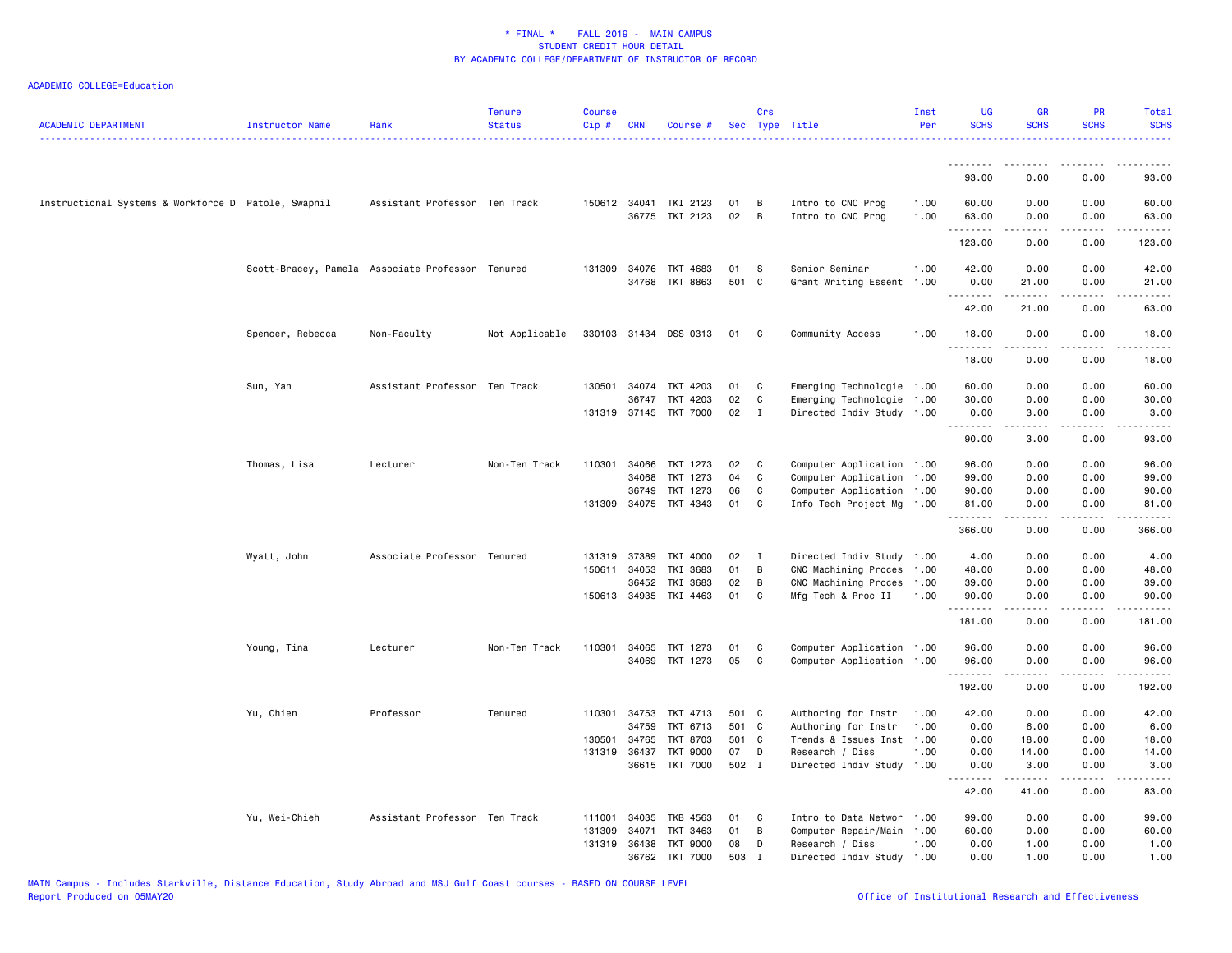| <b>ACADEMIC DEPARTMENT</b>                          | Instructor Name  | Rank                                             | <b>Tenure</b><br><b>Status</b> | <b>Course</b><br>Cip# | <b>CRN</b>            | Course #                                |             | Crs            | Sec Type Title                         | Inst<br>Per  | <b>UG</b><br><b>SCHS</b> | <b>GR</b><br><b>SCHS</b>                                                                                                                                             | <b>PR</b><br><b>SCHS</b>     | <b>Total</b><br><b>SCHS</b> |
|-----------------------------------------------------|------------------|--------------------------------------------------|--------------------------------|-----------------------|-----------------------|-----------------------------------------|-------------|----------------|----------------------------------------|--------------|--------------------------|----------------------------------------------------------------------------------------------------------------------------------------------------------------------|------------------------------|-----------------------------|
|                                                     |                  |                                                  |                                |                       |                       |                                         |             |                |                                        |              | <u>.</u>                 | - - - - -                                                                                                                                                            |                              |                             |
|                                                     |                  |                                                  |                                |                       |                       |                                         |             |                |                                        |              | 93.00                    | 0.00                                                                                                                                                                 | 0.00                         | 93.00                       |
| Instructional Systems & Workforce D Patole, Swapnil |                  | Assistant Professor Ten Track                    |                                |                       |                       | 150612 34041 TKI 2123<br>36775 TKI 2123 | 01<br>02    | B<br>B         | Intro to CNC Prog<br>Intro to CNC Prog | 1.00<br>1.00 | 60.00<br>63.00<br>.      | 0.00<br>0.00<br>$\frac{1}{2} \left( \frac{1}{2} \right) \left( \frac{1}{2} \right) \left( \frac{1}{2} \right) \left( \frac{1}{2} \right) \left( \frac{1}{2} \right)$ | 0.00<br>0.00<br>المالم عامات | 60.00<br>63.00<br>.         |
|                                                     |                  |                                                  |                                |                       |                       |                                         |             |                |                                        |              | 123.00                   | 0.00                                                                                                                                                                 | 0.00                         | 123.00                      |
|                                                     |                  | Scott-Bracey, Pamela Associate Professor Tenured |                                |                       | 131309 34076<br>34768 | TKT 4683<br>TKT 8863                    | 01<br>501 C | <b>S</b>       | Senior Seminar<br>Grant Writing Essent | 1.00<br>1.00 | 42.00<br>0.00<br>.       | 0.00<br>21.00<br>المستمين                                                                                                                                            | 0.00<br>0.00<br>.            | 42.00<br>21.00<br>.         |
|                                                     |                  |                                                  |                                |                       |                       |                                         |             |                |                                        |              | 42.00                    | 21.00                                                                                                                                                                | 0.00                         | 63.00                       |
|                                                     | Spencer, Rebecca | Non-Faculty                                      | Not Applicable                 |                       |                       | 330103 31434 DSS 0313                   | 01          | C              | Community Access                       | 1.00         | 18.00<br>.               | 0.00                                                                                                                                                                 | 0.00<br>$\frac{1}{2}$        | 18.00<br>.                  |
|                                                     |                  |                                                  |                                |                       |                       |                                         |             |                |                                        |              | 18.00                    | 0.00                                                                                                                                                                 | 0.00                         | 18.00                       |
|                                                     | Sun, Yan         | Assistant Professor Ten Track                    |                                | 130501                | 34074                 | TKT 4203                                | 01          | C              | Emerging Technologie 1.00              |              | 60.00                    | 0.00                                                                                                                                                                 | 0.00                         | 60.00                       |
|                                                     |                  |                                                  |                                |                       | 36747                 | TKT 4203                                | 02          | $\mathbf c$    | Emerging Technologie 1.00              |              | 30.00                    | 0.00                                                                                                                                                                 | 0.00                         | 30.00                       |
|                                                     |                  |                                                  |                                |                       |                       | 131319 37145 TKT 7000                   | 02          | $\mathbf{I}$   | Directed Indiv Study 1.00              |              | 0.00<br>.                | 3.00<br>.                                                                                                                                                            | 0.00<br>.                    | 3.00<br>.                   |
|                                                     |                  |                                                  |                                |                       |                       |                                         |             |                |                                        |              | 90.00                    | 3.00                                                                                                                                                                 | 0.00                         | 93.00                       |
|                                                     | Thomas, Lisa     | Lecturer                                         | Non-Ten Track                  | 110301                | 34066                 | TKT 1273                                | 02          | C              | Computer Application 1.00              |              | 96.00                    | 0.00                                                                                                                                                                 | 0.00                         | 96.00                       |
|                                                     |                  |                                                  |                                |                       | 34068                 | TKT 1273                                | 04          | C              | Computer Application 1.00              |              | 99.00                    | 0.00                                                                                                                                                                 | 0.00                         | 99.00                       |
|                                                     |                  |                                                  |                                |                       | 36749                 | TKT 1273                                | 06          | C              | Computer Application 1.00              |              | 90.00                    | 0.00                                                                                                                                                                 | 0.00                         | 90.00                       |
|                                                     |                  |                                                  |                                |                       | 131309 34075          | TKT 4343                                | 01          | $\mathbf C$    | Info Tech Project Mg 1.00              |              | 81.00<br>.               | 0.00<br>.                                                                                                                                                            | 0.00<br>.                    | 81.00<br>.                  |
|                                                     |                  |                                                  |                                |                       |                       |                                         |             |                |                                        |              | 366.00                   | 0.00                                                                                                                                                                 | 0.00                         | 366.00                      |
|                                                     | Wyatt, John      | Associate Professor Tenured                      |                                | 131319                | 37389                 | TKI 4000                                | 02          | $\mathbf{I}$   | Directed Indiv Study 1.00              |              | 4.00                     | 0.00                                                                                                                                                                 | 0.00                         | 4.00                        |
|                                                     |                  |                                                  |                                |                       | 150611 34053          | TKI 3683                                | 01          | B              | CNC Machining Proces                   | 1.00         | 48.00                    | 0.00                                                                                                                                                                 | 0.00                         | 48.00                       |
|                                                     |                  |                                                  |                                |                       | 36452                 | TKI 3683                                | 02          | B              | CNC Machining Proces                   | 1.00         | 39.00                    | 0.00                                                                                                                                                                 | 0.00                         | 39.00                       |
|                                                     |                  |                                                  |                                |                       | 150613 34935          | TKI 4463                                | 01          | C              | Mfg Tech & Proc II                     | 1.00         | 90.00<br>.               | 0.00<br>$   -$                                                                                                                                                       | 0.00<br>.                    | 90.00<br>.                  |
|                                                     |                  |                                                  |                                |                       |                       |                                         |             |                |                                        |              | 181.00                   | 0.00                                                                                                                                                                 | 0.00                         | 181.00                      |
|                                                     | Young, Tina      | Lecturer                                         | Non-Ten Track                  | 110301                | 34065                 | TKT 1273                                | 01          | C              | Computer Application 1.00              |              | 96.00                    | 0.00                                                                                                                                                                 | 0.00                         | 96.00                       |
|                                                     |                  |                                                  |                                |                       |                       | 34069 TKT 1273                          | 05          | C <sub>1</sub> | Computer Application 1.00              |              | 96.00                    | 0.00                                                                                                                                                                 | 0.00                         | 96.00                       |
|                                                     |                  |                                                  |                                |                       |                       |                                         |             |                |                                        |              | <u>.</u><br>192.00       | 0.00                                                                                                                                                                 | 0.00                         | .<br>192.00                 |
|                                                     | Yu, Chien        | Professor                                        | Tenured                        | 110301                | 34753                 | TKT 4713                                | 501 C       |                | Authoring for Instr                    | 1.00         | 42.00                    | 0.00                                                                                                                                                                 | 0.00                         | 42.00                       |
|                                                     |                  |                                                  |                                |                       | 34759                 | TKT 6713                                | 501 C       |                | Authoring for Instr                    | 1.00         | 0.00                     | 6.00                                                                                                                                                                 | 0.00                         | 6.00                        |
|                                                     |                  |                                                  |                                | 130501                | 34765                 | <b>TKT 8703</b>                         | 501 C       |                | Trends & Issues Inst                   | 1.00         | 0.00                     | 18.00                                                                                                                                                                | 0.00                         | 18.00                       |
|                                                     |                  |                                                  |                                |                       | 131319 36437          | <b>TKT 9000</b>                         | 07          | D              | Research / Diss                        | 1.00         | 0.00                     | 14.00                                                                                                                                                                | 0.00                         | 14.00                       |
|                                                     |                  |                                                  |                                |                       |                       | 36615 TKT 7000                          | 502 I       |                | Directed Indiv Study 1.00              |              | 0.00<br>.                | 3.00<br>.                                                                                                                                                            | 0.00<br>.                    | 3.00<br>.                   |
|                                                     |                  |                                                  |                                |                       |                       |                                         |             |                |                                        |              | 42.00                    | 41.00                                                                                                                                                                | 0.00                         | 83.00                       |
|                                                     | Yu, Wei-Chieh    | Assistant Professor Ten Track                    |                                | 111001                | 34035                 | TKB 4563                                | 01          | C              | Intro to Data Networ                   | 1.00         | 99.00                    | 0.00                                                                                                                                                                 | 0.00                         | 99.00                       |
|                                                     |                  |                                                  |                                | 131309                | 34071                 | TKT 3463                                | 01          | B              | Computer Repair/Main                   | 1.00         | 60.00                    | 0.00                                                                                                                                                                 | 0.00                         | 60.00                       |
|                                                     |                  |                                                  |                                |                       | 131319 36438          | TKT 9000                                | 08          | D              | Research / Diss                        | 1.00         | 0.00                     | 1.00                                                                                                                                                                 | 0.00                         | 1.00                        |
|                                                     |                  |                                                  |                                |                       | 36762                 | <b>TKT 7000</b>                         | 503         | $\mathbf I$    | Directed Indiv Study 1.00              |              | 0.00                     | 1.00                                                                                                                                                                 | 0.00                         | 1.00                        |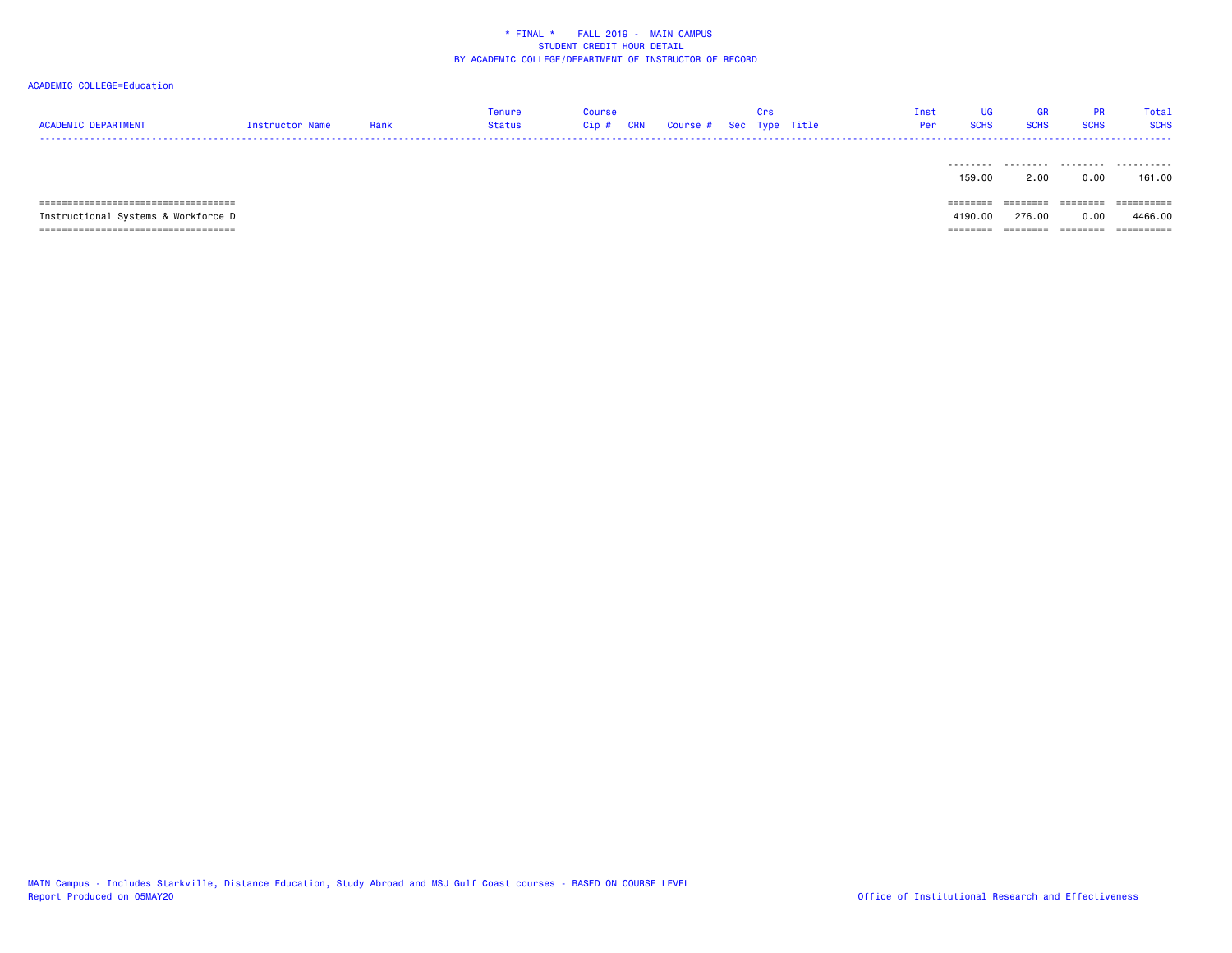# ACADEMIC COLLEGE=Education

| <b>ACADEMIC DEPARTMENT</b>            | Instructor Name | Rank | Tenure<br><b>Status</b> | Course<br><b>CRN</b><br>Cip# |  | Crs | Course # Sec Type Title | Inst<br>Per | <b>UG</b><br><b>SCHS</b> | GR<br><b>SCHS</b> | <b>PR</b><br><b>SCHS</b> | Total<br><b>SCHS</b> |
|---------------------------------------|-----------------|------|-------------------------|------------------------------|--|-----|-------------------------|-------------|--------------------------|-------------------|--------------------------|----------------------|
|                                       |                 |      |                         |                              |  |     |                         |             | --------<br>159.00       | --------<br>2.00  | .<br>0.00                | .<br>161.00          |
|                                       |                 |      |                         |                              |  |     |                         |             | ========                 | ========          | ========                 |                      |
| Instructional Systems & Workforce D   |                 |      |                         |                              |  |     |                         |             | 4190.00                  | 276.00            | 0.00                     | 4466.00              |
| _____________________________________ |                 |      |                         |                              |  |     |                         |             | =======                  | ========          | ========                 | ==========           |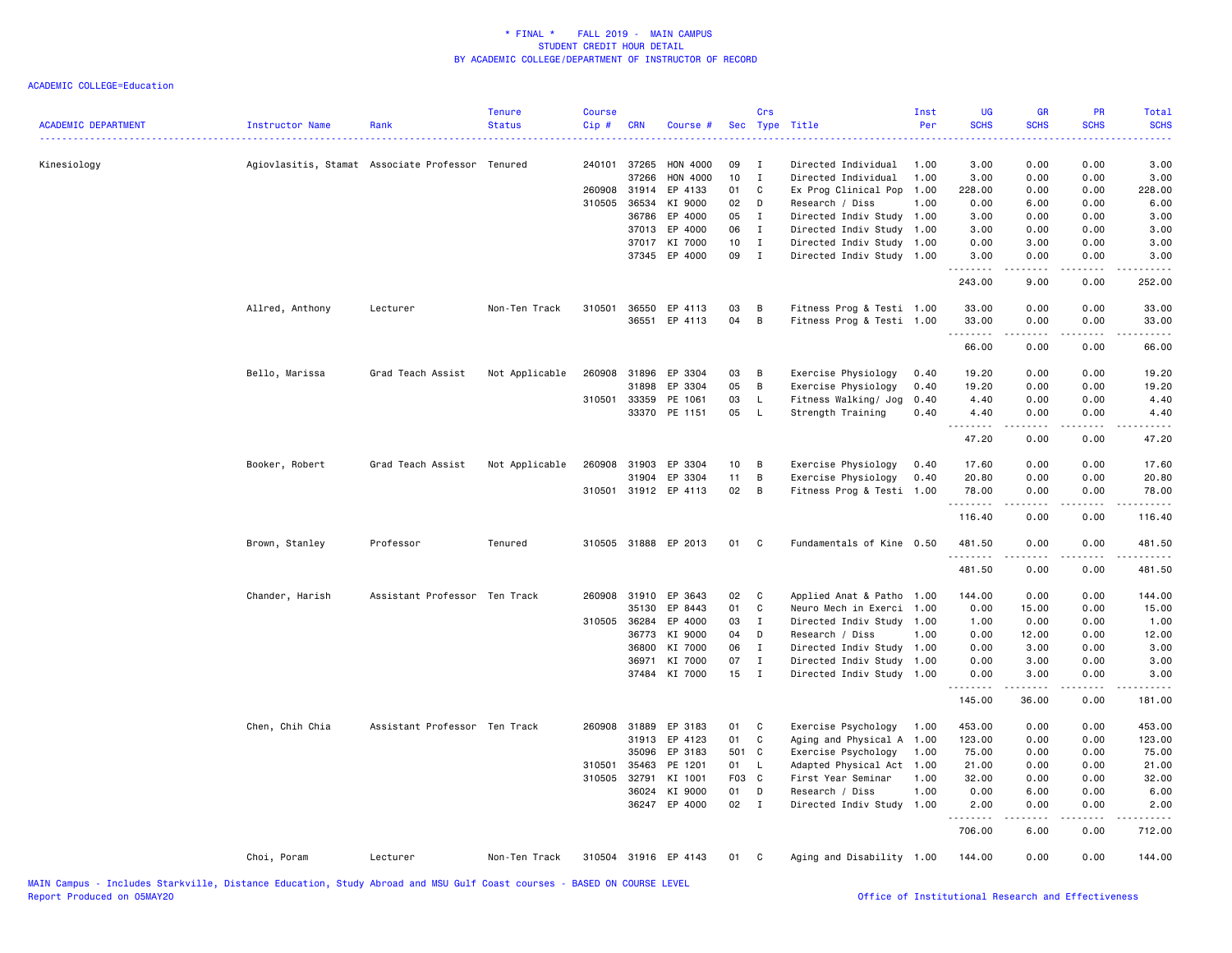| <b>ACADEMIC DEPARTMENT</b> | Instructor Name | Rank                                             | <b>Tenure</b><br><b>Status</b> | <b>Course</b><br>Cip# | <b>CRN</b>   | Course #             | Sec   | Crs          | Type Title                | Inst<br>Per | UG<br><b>SCHS</b>  | GR<br><b>SCHS</b> | <b>PR</b><br><b>SCHS</b> | Total<br><b>SCHS</b>                                                                                                              |
|----------------------------|-----------------|--------------------------------------------------|--------------------------------|-----------------------|--------------|----------------------|-------|--------------|---------------------------|-------------|--------------------|-------------------|--------------------------|-----------------------------------------------------------------------------------------------------------------------------------|
| Kinesiology                |                 | Agiovlasitis, Stamat Associate Professor Tenured |                                | 240101                | 37265        | <b>HON 4000</b>      | 09    | I            | Directed Individual       | 1.00        | 3.00               | 0.00              | 0.00                     | 3.00                                                                                                                              |
|                            |                 |                                                  |                                |                       | 37266        | <b>HON 4000</b>      | 10    | $\mathbf I$  | Directed Individual       | 1.00        | 3.00               | 0.00              | 0.00                     | 3.00                                                                                                                              |
|                            |                 |                                                  |                                |                       | 260908 31914 | EP 4133              | 01    | C            | Ex Prog Clinical Pop      | 1.00        | 228.00             | 0.00              | 0.00                     | 228.00                                                                                                                            |
|                            |                 |                                                  |                                | 310505                | 36534        | KI 9000              | 02    | D            | Research / Diss           | 1.00        | 0.00               | 6.00              | 0.00                     | 6.00                                                                                                                              |
|                            |                 |                                                  |                                |                       | 36786        | EP 4000              | 05    | $\mathbf I$  | Directed Indiv Study      | 1.00        | 3.00               | 0.00              | 0.00                     | 3.00                                                                                                                              |
|                            |                 |                                                  |                                |                       | 37013        | EP 4000              | 06    | $\mathbf{I}$ | Directed Indiv Study      | 1.00        | 3.00               | 0.00              | 0.00                     | 3.00                                                                                                                              |
|                            |                 |                                                  |                                |                       | 37017        | KI 7000              | 10    | $\mathbf{I}$ | Directed Indiv Study 1.00 |             | 0.00               | 3.00              | 0.00                     | 3.00                                                                                                                              |
|                            |                 |                                                  |                                |                       | 37345        | EP 4000              | 09    | $\mathbf{I}$ | Directed Indiv Study      | 1.00        | 3.00<br><u>.</u>   | 0.00              | 0.00                     | 3.00                                                                                                                              |
|                            |                 |                                                  |                                |                       |              |                      |       |              |                           |             | 243.00             | 9.00              | 0.00                     | 252.00                                                                                                                            |
|                            | Allred, Anthony | Lecturer                                         | Non-Ten Track                  | 310501                | 36550        | EP 4113              | 03    | B            | Fitness Prog & Testi 1.00 |             | 33.00              | 0.00              | 0.00                     | 33.00                                                                                                                             |
|                            |                 |                                                  |                                |                       | 36551        | EP 4113              | 04    | B            | Fitness Prog & Testi 1.00 |             | 33.00<br>.         | 0.00<br>.         | 0.00<br>.                | 33.00<br>.                                                                                                                        |
|                            |                 |                                                  |                                |                       |              |                      |       |              |                           |             | 66.00              | 0.00              | 0.00                     | 66.00                                                                                                                             |
|                            | Bello, Marissa  | Grad Teach Assist                                | Not Applicable                 | 260908                | 31896        | EP 3304              | 03    | B            | Exercise Physiology       | 0.40        | 19.20              | 0.00              | 0.00                     | 19.20                                                                                                                             |
|                            |                 |                                                  |                                |                       | 31898        | EP 3304              | 05    | B            | Exercise Physiology       | 0.40        | 19.20              | 0.00              | 0.00                     | 19.20                                                                                                                             |
|                            |                 |                                                  |                                | 310501                | 33359        | PE 1061              | 03    | L            | Fitness Walking/ Jog      | 0.40        | 4.40               | 0.00              | 0.00                     | 4.40                                                                                                                              |
|                            |                 |                                                  |                                |                       | 33370        | PE 1151              | 05    | L.           | Strength Training         | 0.40        | 4.40<br>.          | 0.00              | 0.00                     | 4.40<br>$\frac{1}{2} \left( \frac{1}{2} \right) \left( \frac{1}{2} \right) \left( \frac{1}{2} \right) \left( \frac{1}{2} \right)$ |
|                            |                 |                                                  |                                |                       |              |                      |       |              |                           |             | 47.20              | 0.00              | 0.00                     | 47.20                                                                                                                             |
|                            | Booker, Robert  | Grad Teach Assist                                | Not Applicable                 |                       | 260908 31903 | EP 3304              | 10    | в            | Exercise Physiology       | 0.40        | 17.60              | 0.00              | 0.00                     | 17.60                                                                                                                             |
|                            |                 |                                                  |                                |                       | 31904        | EP 3304              | 11    | B            | Exercise Physiology       | 0.40        | 20.80              | 0.00              | 0.00                     | 20.80                                                                                                                             |
|                            |                 |                                                  |                                |                       |              | 310501 31912 EP 4113 | 02    | B            | Fitness Prog & Testi 1.00 |             | 78.00              | 0.00              | 0.00                     | 78.00                                                                                                                             |
|                            |                 |                                                  |                                |                       |              |                      |       |              |                           |             | .<br>116.40        | .<br>0.00         | .<br>0.00                | 2.2.2.2.2.<br>116.40                                                                                                              |
|                            | Brown, Stanley  | Professor                                        | Tenured                        |                       |              | 310505 31888 EP 2013 | 01    | C            | Fundamentals of Kine 0.50 |             | 481.50<br><u>.</u> | 0.00<br>.         | 0.00<br>$\frac{1}{2}$    | 481.50<br>$- - - - - -$                                                                                                           |
|                            |                 |                                                  |                                |                       |              |                      |       |              |                           |             | 481.50             | 0.00              | 0.00                     | 481.50                                                                                                                            |
|                            | Chander, Harish | Assistant Professor Ten Track                    |                                | 260908                | 31910        | EP 3643              | 02    | C            | Applied Anat & Patho      | 1.00        | 144.00             | 0.00              | 0.00                     | 144.00                                                                                                                            |
|                            |                 |                                                  |                                |                       | 35130        | EP 8443              | 01    | C            | Neuro Mech in Exerci      | 1.00        | 0.00               | 15.00             | 0.00                     | 15.00                                                                                                                             |
|                            |                 |                                                  |                                |                       | 310505 36284 | EP 4000              | 03    | I            | Directed Indiv Study      | 1.00        | 1.00               | 0.00              | 0.00                     | 1.00                                                                                                                              |
|                            |                 |                                                  |                                |                       | 36773        | KI 9000              | 04    | D            | Research / Diss           | 1.00        | 0.00               | 12.00             | 0.00                     | 12.00                                                                                                                             |
|                            |                 |                                                  |                                |                       | 36800        | KI 7000              | 06    | I            | Directed Indiv Study      | 1.00        | 0.00               | 3.00              | 0.00                     | 3.00                                                                                                                              |
|                            |                 |                                                  |                                |                       | 36971        | KI 7000              | 07    | $\mathbf I$  | Directed Indiv Study 1.00 |             | 0.00               | 3.00              | 0.00                     | 3.00                                                                                                                              |
|                            |                 |                                                  |                                |                       |              | 37484 KI 7000        | 15    | $\mathbf{I}$ | Directed Indiv Study 1.00 |             | 0.00<br>.          | 3.00<br>-----     | 0.00<br>.                | 3.00<br>$- - - - -$                                                                                                               |
|                            |                 |                                                  |                                |                       |              |                      |       |              |                           |             | 145.00             | 36.00             | 0.00                     | 181.00                                                                                                                            |
|                            | Chen, Chih Chia | Assistant Professor Ten Track                    |                                |                       | 260908 31889 | EP 3183              | 01    | C            | Exercise Psychology       | 1.00        | 453.00             | 0.00              | 0.00                     | 453.00                                                                                                                            |
|                            |                 |                                                  |                                |                       | 31913        | EP 4123              | 01    | C            | Aging and Physical A      | 1.00        | 123.00             | 0.00              | 0.00                     | 123.00                                                                                                                            |
|                            |                 |                                                  |                                |                       | 35096        | EP 3183              | 501 C |              | Exercise Psychology       | 1.00        | 75.00              | 0.00              | 0.00                     | 75.00                                                                                                                             |
|                            |                 |                                                  |                                | 310501                | 35463        | PE 1201              | 01    | L            | Adapted Physical Act      | 1.00        | 21.00              | 0.00              | 0.00                     | 21.00                                                                                                                             |
|                            |                 |                                                  |                                | 310505 32791          |              | KI 1001              | F03 C |              | First Year Seminar        | 1.00        | 32.00              | 0.00              | 0.00                     | 32.00                                                                                                                             |
|                            |                 |                                                  |                                |                       | 36024        | KI 9000              | 01    | D            | Research / Diss           | 1.00        | 0.00               | 6.00              | 0.00                     | 6.00                                                                                                                              |
|                            |                 |                                                  |                                |                       |              | 36247 EP 4000        | 02    | $\mathbf{I}$ | Directed Indiv Study      | 1.00        | 2.00<br>.          | 0.00              | 0.00                     | 2.00<br>-----                                                                                                                     |
|                            |                 |                                                  |                                |                       |              |                      |       |              |                           |             | 706.00             | 6.00              | 0.00                     | 712.00                                                                                                                            |
|                            | Choi, Poram     | Lecturer                                         | Non-Ten Track                  |                       |              | 310504 31916 EP 4143 | 01    | C            | Aging and Disability 1.00 |             | 144.00             | 0.00              | 0.00                     | 144.00                                                                                                                            |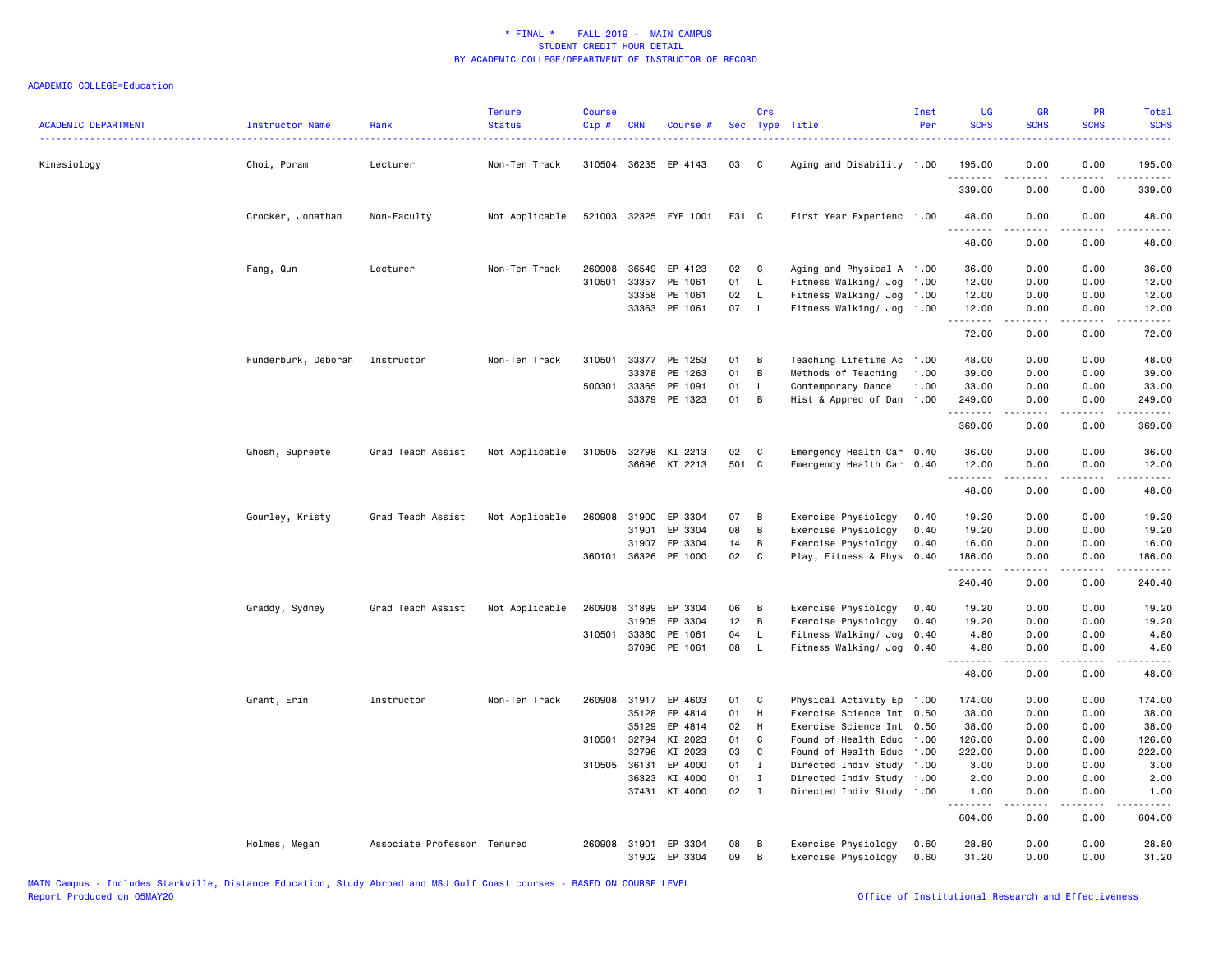| <b>ACADEMIC DEPARTMENT</b> | Instructor Name                | Rank                        | <b>Tenure</b><br><b>Status</b> | <b>Course</b><br>Cip # | <b>CRN</b>            | Course #              |          | Crs          | Sec Type Title                               | Inst<br>Per  | <b>UG</b><br><b>SCHS</b> | <b>GR</b><br><b>SCHS</b> | PR<br><b>SCHS</b> | Total<br><b>SCHS</b>            |
|----------------------------|--------------------------------|-----------------------------|--------------------------------|------------------------|-----------------------|-----------------------|----------|--------------|----------------------------------------------|--------------|--------------------------|--------------------------|-------------------|---------------------------------|
| Kinesiology                | Choi, Poram                    | Lecturer                    | Non-Ten Track                  |                        |                       | 310504 36235 EP 4143  | 03       | - C          | Aging and Disability 1.00                    |              | 195.00<br>.              | 0.00<br>-----            | 0.00<br>.         | 195.00<br>المتمامين             |
|                            |                                |                             |                                |                        |                       |                       |          |              |                                              |              | 339.00                   | 0.00                     | 0.00              | 339.00                          |
|                            | Crocker, Jonathan              | Non-Faculty                 | Not Applicable                 |                        |                       | 521003 32325 FYE 1001 | F31 C    |              | First Year Experienc 1.00                    |              | 48.00<br>.               | 0.00<br>.                | 0.00<br>.         | 48.00<br>.                      |
|                            |                                |                             |                                |                        |                       |                       |          |              |                                              |              | 48.00                    | 0.00                     | 0.00              | 48.00                           |
|                            | Fang, Qun                      | Lecturer                    | Non-Ten Track                  | 260908                 | 36549                 | EP 4123               | 02       | C            | Aging and Physical A 1.00                    |              | 36.00                    | 0.00                     | 0.00              | 36.00                           |
|                            |                                |                             |                                | 310501                 | 33357                 | PE 1061               | 01       | $\mathsf{L}$ | Fitness Walking/ Jog                         | 1.00         | 12.00                    | 0.00                     | 0.00              | 12.00                           |
|                            |                                |                             |                                |                        | 33358                 | PE 1061               | 02       | $\mathsf{L}$ | Fitness Walking/ Jog                         | 1.00         | 12.00                    | 0.00                     | 0.00              | 12.00                           |
|                            |                                |                             |                                |                        |                       | 33363 PE 1061         | 07 L     |              | Fitness Walking/ Jog 1.00                    |              | 12.00                    | 0.00<br>2.2.2.2.2        | 0.00<br>.         | 12.00<br>.                      |
|                            |                                |                             |                                |                        |                       |                       |          |              |                                              |              | 72.00                    | 0.00                     | 0.00              | 72.00                           |
|                            | Funderburk, Deborah Instructor |                             | Non-Ten Track                  | 310501                 |                       | 33377 PE 1253         | 01       | B            | Teaching Lifetime Ac                         | 1.00         | 48.00                    | 0.00                     | 0.00              | 48.00                           |
|                            |                                |                             |                                |                        | 33378                 | PE 1263               | 01       | B            | Methods of Teaching                          | 1.00         | 39.00                    | 0.00                     | 0.00              | 39.00                           |
|                            |                                |                             |                                | 500301                 | 33365                 | PE 1091               | 01       | $\mathsf{L}$ | Contemporary Dance                           | 1.00         | 33.00                    | 0.00                     | 0.00              | 33.00                           |
|                            |                                |                             |                                |                        |                       | 33379 PE 1323         | 01       | B            | Hist & Apprec of Dan 1.00                    |              | 249.00<br>.              | 0.00<br>.                | 0.00<br>.         | 249.00<br>.                     |
|                            |                                |                             |                                |                        |                       |                       |          |              |                                              |              | 369.00                   | 0.00                     | 0.00              | 369.00                          |
|                            | Ghosh, Supreete                | Grad Teach Assist           | Not Applicable                 | 310505                 | 32798                 | KI 2213               | 02       | C            | Emergency Health Car 0.40                    |              | 36.00                    | 0.00                     | 0.00              | 36.00                           |
|                            |                                |                             |                                |                        |                       | 36696 KI 2213         | 501 C    |              | Emergency Health Car 0.40                    |              | 12.00                    | 0.00                     | 0.00              | 12.00                           |
|                            |                                |                             |                                |                        |                       |                       |          |              |                                              |              | <u>.</u><br>48.00        | 22222<br>0.00            | .<br>0.00         | .<br>48.00                      |
|                            | Gourley, Kristy                | Grad Teach Assist           | Not Applicable                 | 260908                 | 31900                 | EP 3304               | 07       | В            | Exercise Physiology                          | 0.40         | 19.20                    | 0.00                     | 0.00              | 19.20                           |
|                            |                                |                             |                                |                        | 31901                 | EP 3304               | 08       | B            | Exercise Physiology                          | 0.40         | 19.20                    | 0.00                     | 0.00              | 19.20                           |
|                            |                                |                             |                                |                        | 31907                 | EP 3304               | 14       | В            | Exercise Physiology                          | 0.40         | 16.00                    | 0.00                     | 0.00              | 16.00                           |
|                            |                                |                             |                                |                        |                       | 360101 36326 PE 1000  | 02       | C            | Play, Fitness & Phys 0.40                    |              | 186.00<br>.              | 0.00<br>2.2.2.2.2        | 0.00<br>.         | 186.00<br>.                     |
|                            |                                |                             |                                |                        |                       |                       |          |              |                                              |              | 240.40                   | 0.00                     | 0.00              | 240.40                          |
|                            | Graddy, Sydney                 | Grad Teach Assist           | Not Applicable                 |                        | 260908 31899          | EP 3304               | 06       | B            | Exercise Physiology                          | 0.40         | 19.20                    | 0.00                     | 0.00              | 19.20                           |
|                            |                                |                             |                                |                        | 31905                 | EP 3304               | 12       | B            | Exercise Physiology                          | 0.40         | 19.20                    | 0.00                     | 0.00              | 19.20                           |
|                            |                                |                             |                                | 310501                 | 33360                 | PE 1061               | 04       | L            | Fitness Walking/ Jog                         | 0.40         | 4.80                     | 0.00                     | 0.00              | 4.80                            |
|                            |                                |                             |                                |                        | 37096                 | PE 1061               | 08       | <b>L</b>     | Fitness Walking/ Jog                         | 0.40         | 4.80<br>.                | 0.00<br>.                | 0.00<br>د د د د   | 4.80<br>$\omega$ is $\omega$ in |
|                            |                                |                             |                                |                        |                       |                       |          |              |                                              |              | 48.00                    | 0.00                     | 0.00              | 48.00                           |
|                            | Grant, Erin                    | Instructor                  | Non-Ten Track                  |                        | 260908 31917          | EP 4603               | 01       | C            | Physical Activity Ep 1.00                    |              | 174.00                   | 0.00                     | 0.00              | 174.00                          |
|                            |                                |                             |                                |                        | 35128                 | EP 4814               | 01       | H            | Exercise Science Int 0.50                    |              | 38.00                    | 0.00                     | 0.00              | 38.00                           |
|                            |                                |                             |                                |                        | 35129                 | EP 4814               | 02       | H            | Exercise Science Int 0.50                    |              | 38.00                    | 0.00                     | 0.00              | 38.00                           |
|                            |                                |                             |                                |                        | 310501 32794<br>32796 | KI 2023<br>KI 2023    | 01<br>03 | C<br>C       | Found of Health Educ<br>Found of Health Educ | 1.00<br>1.00 | 126.00<br>222.00         | 0.00<br>0.00             | 0.00<br>0.00      | 126.00<br>222.00                |
|                            |                                |                             |                                |                        | 310505 36131          | EP 4000               | 01       | $\mathbf{I}$ | Directed Indiv Study 1.00                    |              | 3.00                     | 0.00                     | 0.00              | 3.00                            |
|                            |                                |                             |                                |                        | 36323                 | KI 4000               | 01       | $\mathbf{I}$ | Directed Indiv Study 1.00                    |              | 2.00                     | 0.00                     | 0.00              | 2.00                            |
|                            |                                |                             |                                |                        | 37431                 | KI 4000               | 02       | $\mathbf{I}$ | Directed Indiv Study 1.00                    |              | 1.00                     | 0.00                     | 0.00              | 1.00                            |
|                            |                                |                             |                                |                        |                       |                       |          |              |                                              |              | .<br>604.00              | .<br>0.00                | .<br>0.00         | $- - - - - -$<br>604.00         |
|                            | Holmes, Megan                  | Associate Professor Tenured |                                | 260908                 | 31901                 | EP 3304               | 08       | в            | Exercise Physiology                          | 0.60         | 28.80                    | 0.00                     | 0.00              | 28.80                           |
|                            |                                |                             |                                |                        |                       | 31902 EP 3304         | 09       | B            | Exercise Physiology                          | 0.60         | 31.20                    | 0.00                     | 0.00              | 31.20                           |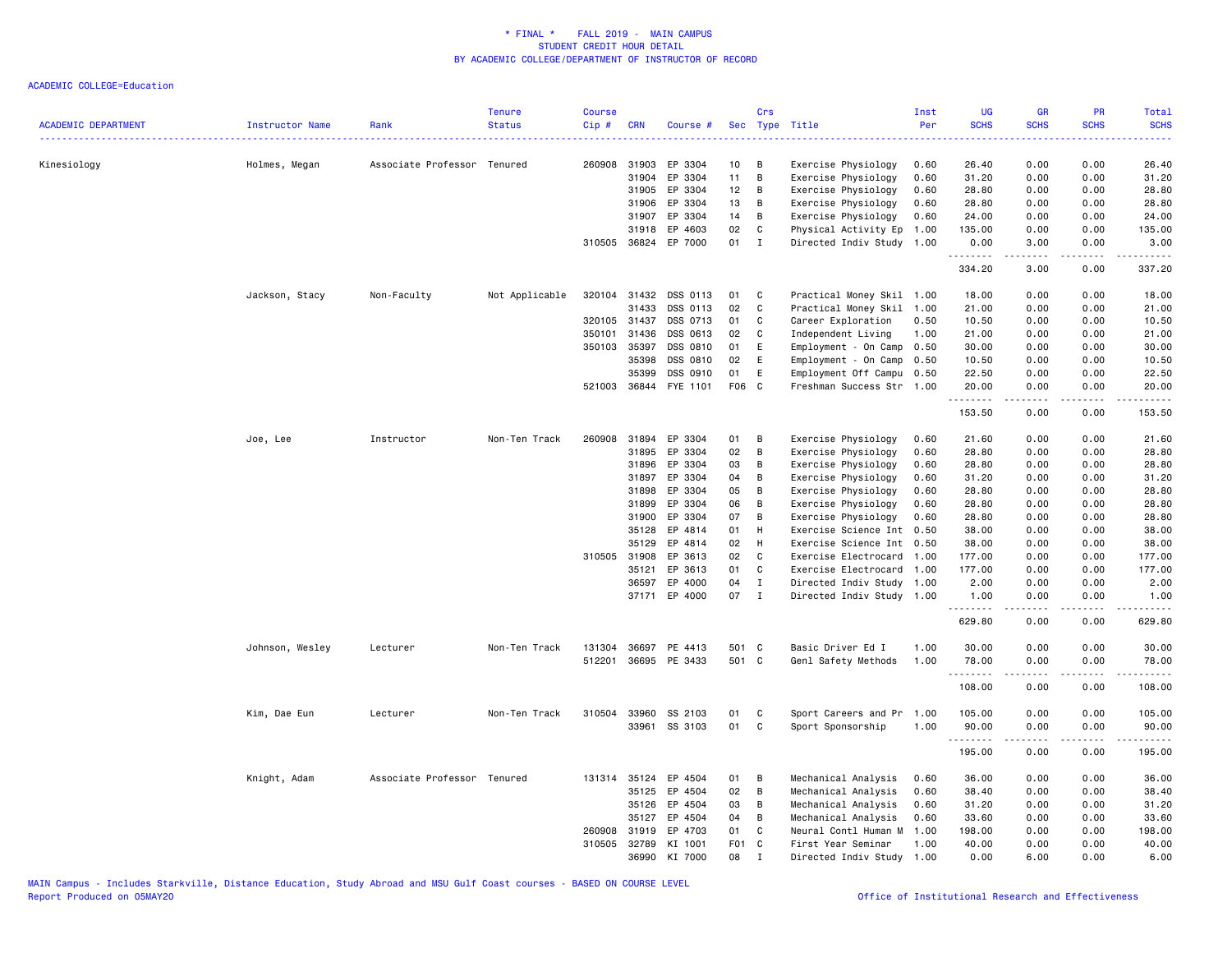| <b>ACADEMIC DEPARTMENT</b> | Instructor Name | Rank                        | <b>Tenure</b><br><b>Status</b> | <b>Course</b><br>Cip # | <b>CRN</b>   | Course #             | <b>Sec</b>      | Crs          | Type Title                | Inst<br>Per | <b>UG</b><br><b>SCHS</b> | <b>GR</b><br><b>SCHS</b> | PR<br><b>SCHS</b>            | Total<br><b>SCHS</b><br>$\frac{1}{2} \left( \frac{1}{2} \right) \left( \frac{1}{2} \right) \left( \frac{1}{2} \right) \left( \frac{1}{2} \right)$ |
|----------------------------|-----------------|-----------------------------|--------------------------------|------------------------|--------------|----------------------|-----------------|--------------|---------------------------|-------------|--------------------------|--------------------------|------------------------------|---------------------------------------------------------------------------------------------------------------------------------------------------|
| Kinesiology                | Holmes, Megan   | Associate Professor Tenured |                                | 260908                 | 31903        | EP 3304              | 10              | В            | Exercise Physiology       | 0.60        | 26.40                    | 0.00                     | 0.00                         | 26.40                                                                                                                                             |
|                            |                 |                             |                                |                        | 31904        | EP 3304              | 11              | В            | Exercise Physiology       | 0.60        | 31.20                    | 0.00                     | 0.00                         | 31.20                                                                                                                                             |
|                            |                 |                             |                                |                        | 31905        | EP 3304              | 12              | В            | Exercise Physiology       | 0.60        | 28.80                    | 0.00                     | 0.00                         | 28.80                                                                                                                                             |
|                            |                 |                             |                                |                        | 31906        | EP 3304              | 13              | В            | Exercise Physiology       | 0.60        | 28.80                    | 0.00                     | 0.00                         | 28.80                                                                                                                                             |
|                            |                 |                             |                                |                        | 31907        | EP 3304              | 14              | В            | Exercise Physiology       | 0.60        | 24.00                    | 0.00                     | 0.00                         | 24.00                                                                                                                                             |
|                            |                 |                             |                                |                        | 31918        | EP 4603              | 02              | C            | Physical Activity Ep      | 1.00        | 135.00                   | 0.00                     | 0.00                         | 135.00                                                                                                                                            |
|                            |                 |                             |                                | 310505                 | 36824        | EP 7000              | 01              | $\mathbf{I}$ | Directed Indiv Study      | 1.00        | 0.00<br>.                | 3.00<br>.                | 0.00<br>$\frac{1}{2}$        | 3.00<br>.                                                                                                                                         |
|                            |                 |                             |                                |                        |              |                      |                 |              |                           |             | 334.20                   | 3.00                     | 0.00                         | 337.20                                                                                                                                            |
|                            | Jackson, Stacy  | Non-Faculty                 | Not Applicable                 | 320104                 | 31432        | DSS 0113             | 01              | C            | Practical Money Skil 1.00 |             | 18.00                    | 0.00                     | 0.00                         | 18.00                                                                                                                                             |
|                            |                 |                             |                                |                        | 31433        | DSS 0113             | 02              | C            | Practical Money Skil      | 1.00        | 21.00                    | 0.00                     | 0.00                         | 21.00                                                                                                                                             |
|                            |                 |                             |                                |                        | 320105 31437 | DSS 0713             | 01              | C            | Career Exploration        | 0.50        | 10.50                    | 0.00                     | 0.00                         | 10.50                                                                                                                                             |
|                            |                 |                             |                                | 350101                 | 31436        | DSS 0613             | 02              | C            | Independent Living        | 1.00        | 21.00                    | 0.00                     | 0.00                         | 21.00                                                                                                                                             |
|                            |                 |                             |                                | 350103                 | 35397        | DSS 0810             | 01              | Ε            | Employment - On Camp      | 0.50        | 30.00                    | 0.00                     | 0.00                         | 30.00                                                                                                                                             |
|                            |                 |                             |                                |                        | 35398        | DSS 0810             | 02              | Ε            | Employment - On Camp      | 0.50        | 10.50                    | 0.00                     | 0.00                         | 10.50                                                                                                                                             |
|                            |                 |                             |                                |                        | 35399        | DSS 0910             | 01              | E            | Employment Off Campu 0.50 |             | 22.50                    | 0.00                     | 0.00                         | 22.50                                                                                                                                             |
|                            |                 |                             |                                | 521003                 | 36844        | FYE 1101             | F <sub>06</sub> | $\mathbf{C}$ | Freshman Success Str 1.00 |             | 20.00<br><u>.</u>        | 0.00                     | 0.00                         | 20.00<br>.                                                                                                                                        |
|                            |                 |                             |                                |                        |              |                      |                 |              |                           |             | 153.50                   | 0.00                     | 0.00                         | 153.50                                                                                                                                            |
|                            | Joe, Lee        | Instructor                  | Non-Ten Track                  | 260908                 | 31894        | EP 3304              | 01              | B            | Exercise Physiology       | 0.60        | 21.60                    | 0.00                     | 0.00                         | 21.60                                                                                                                                             |
|                            |                 |                             |                                |                        | 31895        | EP 3304              | 02              | В            | Exercise Physiology       | 0.60        | 28.80                    | 0.00                     | 0.00                         | 28.80                                                                                                                                             |
|                            |                 |                             |                                |                        | 31896        | EP 3304              | 03              | B            | Exercise Physiology       | 0.60        | 28.80                    | 0.00                     | 0.00                         | 28.80                                                                                                                                             |
|                            |                 |                             |                                |                        | 31897        | EP 3304              | 04              | В            | Exercise Physiology       | 0.60        | 31.20                    | 0.00                     | 0.00                         | 31.20                                                                                                                                             |
|                            |                 |                             |                                |                        | 31898        | EP 3304              | 05              | В            | Exercise Physiology       | 0.60        | 28.80                    | 0.00                     | 0.00                         | 28.80                                                                                                                                             |
|                            |                 |                             |                                |                        | 31899        | EP 3304              | 06              | B            | Exercise Physiology       | 0.60        | 28.80                    | 0.00                     | 0.00                         | 28.80                                                                                                                                             |
|                            |                 |                             |                                |                        | 31900        | EP 3304              | 07              | В            | Exercise Physiology       | 0.60        | 28.80                    | 0.00                     | 0.00                         | 28.80                                                                                                                                             |
|                            |                 |                             |                                |                        | 35128        | EP 4814              | 01              | H            | Exercise Science Int      | 0.50        | 38.00                    | 0.00                     | 0.00                         | 38.00                                                                                                                                             |
|                            |                 |                             |                                |                        | 35129        | EP 4814              | 02              | H            | Exercise Science Int      | 0.50        | 38.00                    | 0.00                     | 0.00                         | 38.00                                                                                                                                             |
|                            |                 |                             |                                | 310505                 | 31908        | EP 3613              | 02              | C            | Exercise Electrocard      | 1.00        | 177.00                   | 0.00                     | 0.00                         | 177.00                                                                                                                                            |
|                            |                 |                             |                                |                        | 35121        | EP 3613              | 01              | C            | Exercise Electrocard      | 1.00        | 177.00                   | 0.00                     | 0.00                         | 177.00                                                                                                                                            |
|                            |                 |                             |                                |                        | 36597        | EP 4000              | 04              | $\mathbf I$  | Directed Indiv Study      | 1.00        | 2.00                     | 0.00                     | 0.00                         | 2.00                                                                                                                                              |
|                            |                 |                             |                                |                        |              | 37171 EP 4000        | 07              | $\mathbf I$  | Directed Indiv Study 1.00 |             | 1.00<br>.                | 0.00<br>.                | 0.00<br>.                    | 1.00<br>.                                                                                                                                         |
|                            |                 |                             |                                |                        |              |                      |                 |              |                           |             | 629.80                   | 0.00                     | 0.00                         | 629.80                                                                                                                                            |
|                            | Johnson, Wesley | Lecturer                    | Non-Ten Track                  | 131304                 | 36697        | PE 4413              | 501 C           |              | Basic Driver Ed I         | 1.00        | 30.00                    | 0.00                     | 0.00                         | 30.00                                                                                                                                             |
|                            |                 |                             |                                |                        |              | 512201 36695 PE 3433 | 501 C           |              | Genl Safety Methods       | 1.00        | 78.00<br>.               | 0.00<br>.                | 0.00<br>.                    | 78.00<br>.                                                                                                                                        |
|                            |                 |                             |                                |                        |              |                      |                 |              |                           |             | 108.00                   | 0.00                     | 0.00                         | 108.00                                                                                                                                            |
|                            | Kim, Dae Eun    | Lecturer                    | Non-Ten Track                  | 310504                 | 33960        | SS 2103              | 01              | C            | Sport Careers and Pr      | 1.00        | 105.00                   | 0.00                     | 0.00                         | 105.00                                                                                                                                            |
|                            |                 |                             |                                |                        |              | 33961 SS 3103        | 01              | C            | Sport Sponsorship         | 1.00        | 90.00<br>.               | 0.00<br>.                | 0.00<br>$\sim$ $\sim$ $\sim$ | 90.00<br>.                                                                                                                                        |
|                            |                 |                             |                                |                        |              |                      |                 |              |                           |             | 195.00                   | 0.00                     | 0.00                         | 195.00                                                                                                                                            |
|                            | Knight, Adam    | Associate Professor Tenured |                                |                        | 131314 35124 | EP 4504              | 01              | B            | Mechanical Analysis       | 0.60        | 36.00                    | 0.00                     | 0.00                         | 36.00                                                                                                                                             |
|                            |                 |                             |                                |                        | 35125        | EP 4504              | 02              | В            | Mechanical Analysis       | 0.60        | 38.40                    | 0.00                     | 0.00                         | 38.40                                                                                                                                             |
|                            |                 |                             |                                |                        | 35126        | EP 4504              | 03              | В            | Mechanical Analysis       | 0.60        | 31.20                    | 0.00                     | 0.00                         | 31.20                                                                                                                                             |
|                            |                 |                             |                                |                        | 35127        | EP 4504              | 04              | В            | Mechanical Analysis       | 0.60        | 33.60                    | 0.00                     | 0.00                         | 33.60                                                                                                                                             |
|                            |                 |                             |                                | 260908                 | 31919        | EP 4703              | 01              | C            | Neural Contl Human M      | 1.00        | 198.00                   | 0.00                     | 0.00                         | 198.00                                                                                                                                            |
|                            |                 |                             |                                | 310505                 | 32789        | KI 1001              | F01 C           |              | First Year Seminar        | 1.00        | 40.00                    | 0.00                     | 0.00                         | 40.00                                                                                                                                             |
|                            |                 |                             |                                |                        | 36990        | KI 7000              | 08              | $\mathbf{I}$ | Directed Indiv Study 1.00 |             | 0.00                     | 6.00                     | 0.00                         | 6.00                                                                                                                                              |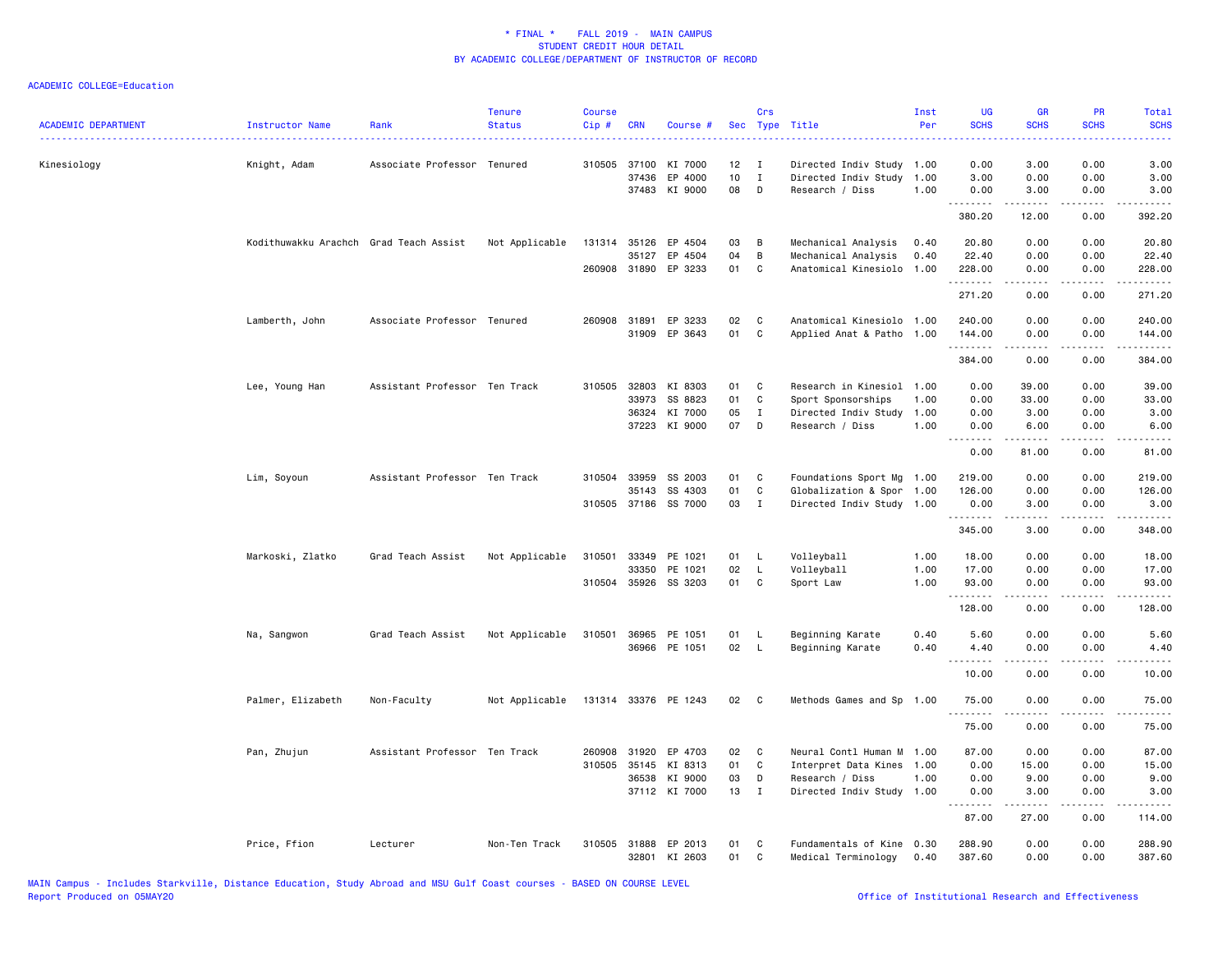| <b>ACADEMIC DEPARTMENT</b> | Instructor Name                        | Rank                          | <b>Tenure</b><br><b>Status</b> | <b>Course</b><br>Cip# | <b>CRN</b>   | Course #                              | Sec      | Crs               | Type Title                                       | Inst<br>Per  | <b>UG</b><br><b>SCHS</b> | <b>GR</b><br><b>SCHS</b>                                                                                                                                     | PR<br><b>SCHS</b> | Total<br><b>SCHS</b>                |
|----------------------------|----------------------------------------|-------------------------------|--------------------------------|-----------------------|--------------|---------------------------------------|----------|-------------------|--------------------------------------------------|--------------|--------------------------|--------------------------------------------------------------------------------------------------------------------------------------------------------------|-------------------|-------------------------------------|
| Kinesiology                | Knight, Adam                           | Associate Professor Tenured   |                                |                       | 310505 37100 | KI 7000                               | 12       | - 1               | Directed Indiv Study 1.00                        |              | 0.00                     | 3.00                                                                                                                                                         | 0.00              | 3.00                                |
|                            |                                        |                               |                                |                       | 37436        | EP 4000<br>37483 KI 9000              | 10<br>08 | $\mathbf{I}$<br>D | Directed Indiv Study<br>Research / Diss          | 1.00<br>1.00 | 3.00<br>0.00             | 0.00<br>3.00                                                                                                                                                 | 0.00<br>0.00      | 3.00<br>3.00                        |
|                            |                                        |                               |                                |                       |              |                                       |          |                   |                                                  |              | .<br>380.20              | .<br>12.00                                                                                                                                                   | .<br>0.00         | .<br>392.20                         |
|                            | Kodithuwakku Arachch Grad Teach Assist |                               | Not Applicable                 |                       | 35127        | 131314 35126 EP 4504<br>EP 4504       | 03<br>04 | B<br>B            | Mechanical Analysis<br>Mechanical Analysis       | 0.40<br>0.40 | 20.80<br>22.40           | 0.00<br>0.00                                                                                                                                                 | 0.00<br>0.00      | 20.80<br>22.40                      |
|                            |                                        |                               |                                |                       |              | 260908 31890 EP 3233                  | 01       | C                 | Anatomical Kinesiolo                             | 1.00         | 228.00<br>.              | 0.00<br>.                                                                                                                                                    | 0.00<br>د د د د   | 228.00<br>وعاعات عاملا              |
|                            |                                        |                               |                                |                       |              |                                       |          |                   |                                                  |              | 271.20                   | 0.00                                                                                                                                                         | 0.00              | 271.20                              |
|                            | Lamberth, John                         | Associate Professor Tenured   |                                |                       |              | 260908 31891 EP 3233<br>31909 EP 3643 | 02<br>01 | C<br>C            | Anatomical Kinesiolo<br>Applied Anat & Patho     | 1.00<br>1.00 | 240.00<br>144.00         | 0.00<br>0.00                                                                                                                                                 | 0.00<br>0.00      | 240.00<br>144.00                    |
|                            |                                        |                               |                                |                       |              |                                       |          |                   |                                                  |              | .<br>384.00              | المتمام والمنا<br>0.00                                                                                                                                       | .<br>0.00         | .<br>384.00                         |
|                            | Lee, Young Han                         | Assistant Professor Ten Track |                                | 310505                | 32803        | KI 8303                               | 01       | C                 | Research in Kinesiol 1.00                        |              | 0.00                     | 39.00                                                                                                                                                        | 0.00              | 39.00                               |
|                            |                                        |                               |                                |                       | 33973        | SS 8823                               | 01       | $\mathbf{C}$      | Sport Sponsorships                               | 1.00         | 0.00                     | 33.00                                                                                                                                                        | 0.00              | 33.00                               |
|                            |                                        |                               |                                |                       | 36324        | KI 7000                               | 05       | $\mathbf I$       | Directed Indiv Study                             | 1.00         | 0.00                     | 3.00                                                                                                                                                         | 0.00              | 3.00                                |
|                            |                                        |                               |                                |                       | 37223        | KI 9000                               | 07       | D                 | Research / Diss                                  | 1.00         | 0.00                     | 6.00                                                                                                                                                         | 0.00              | 6.00                                |
|                            |                                        |                               |                                |                       |              |                                       |          |                   |                                                  |              | <b></b><br>0.00          | .<br>81.00                                                                                                                                                   | .<br>0.00         | .<br>81.00                          |
|                            | Lim, Soyoun                            | Assistant Professor Ten Track |                                | 310504                | 33959        | SS 2003                               | 01       | C                 | Foundations Sport Mg                             | 1.00         | 219.00                   | 0.00                                                                                                                                                         | 0.00              | 219.00                              |
|                            |                                        |                               |                                |                       | 35143        | SS 4303                               | 01       | C                 | Globalization & Spor 1.00                        |              | 126.00                   | 0.00                                                                                                                                                         | 0.00              | 126.00                              |
|                            |                                        |                               |                                |                       |              | 310505 37186 SS 7000                  | 03       | $\mathbf{I}$      | Directed Indiv Study 1.00                        |              | 0.00<br><u>.</u>         | 3.00<br><u>.</u>                                                                                                                                             | 0.00<br>.         | 3.00<br>.                           |
|                            |                                        |                               |                                |                       |              |                                       |          |                   |                                                  |              | 345.00                   | 3.00                                                                                                                                                         | 0.00              | 348.00                              |
|                            | Markoski, Zlatko                       | Grad Teach Assist             | Not Applicable                 | 310501                | 33349        | PE 1021                               | 01 L     |                   | Volleyball                                       | 1.00         | 18.00                    | 0.00                                                                                                                                                         | 0.00              | 18.00                               |
|                            |                                        |                               |                                |                       | 33350        | PE 1021                               | 02       | L.                | Volleyball                                       | 1.00         | 17.00                    | 0.00                                                                                                                                                         | 0.00              | 17.00                               |
|                            |                                        |                               |                                |                       |              | 310504 35926 SS 3203                  | 01       | C                 | Sport Law                                        | 1.00         | 93.00                    | 0.00                                                                                                                                                         | 0.00              | 93.00                               |
|                            |                                        |                               |                                |                       |              |                                       |          |                   |                                                  |              | .<br>128.00              | $\frac{1}{2} \left( \frac{1}{2} \right) \left( \frac{1}{2} \right) \left( \frac{1}{2} \right) \left( \frac{1}{2} \right) \left( \frac{1}{2} \right)$<br>0.00 | .<br>0.00         | ------<br>128.00                    |
|                            | Na, Sangwon                            | Grad Teach Assist             | Not Applicable                 | 310501                | 36965        | PE 1051                               | 01       | - L               | Beginning Karate                                 | 0.40         | 5.60                     | 0.00                                                                                                                                                         | 0.00              | 5.60                                |
|                            |                                        |                               |                                |                       |              | 36966 PE 1051                         | 02       | $\mathsf{L}$      | Beginning Karate                                 | 0.40         | 4.40<br>.                | 0.00<br>.                                                                                                                                                    | 0.00<br>.         | 4.40<br>$\sim$ $\sim$ $\sim$ $\sim$ |
|                            |                                        |                               |                                |                       |              |                                       |          |                   |                                                  |              | 10.00                    | 0.00                                                                                                                                                         | 0.00              | 10.00                               |
|                            | Palmer, Elizabeth                      | Non-Faculty                   | Not Applicable                 |                       |              | 131314 33376 PE 1243                  | 02 C     |                   | Methods Games and Sp 1.00                        |              | 75.00<br>.               | 0.00<br>$- - - - -$                                                                                                                                          | 0.00<br>.         | 75.00<br>.                          |
|                            |                                        |                               |                                |                       |              |                                       |          |                   |                                                  |              | 75.00                    | 0.00                                                                                                                                                         | 0.00              | 75.00                               |
|                            | Pan, Zhujun                            | Assistant Professor Ten Track |                                | 260908                | 31920        | EP 4703                               | 02       | C                 | Neural Contl Human M                             | 1.00         | 87.00                    | 0.00                                                                                                                                                         | 0.00              | 87.00                               |
|                            |                                        |                               |                                |                       | 310505 35145 | KI 8313                               | 01       | C                 | Interpret Data Kines                             | 1.00         | 0.00                     | 15.00                                                                                                                                                        | 0.00              | 15.00                               |
|                            |                                        |                               |                                |                       |              | 36538 KI 9000                         | 03       | D                 | Research / Diss                                  | 1.00         | 0.00                     | 9.00                                                                                                                                                         | 0.00              | 9.00                                |
|                            |                                        |                               |                                |                       |              | 37112 KI 7000                         | 13       | $\mathbf{I}$      | Directed Indiv Study                             | 1.00         | 0.00<br><u>.</u>         | 3.00<br>$- - - - - -$                                                                                                                                        | 0.00<br>.         | 3.00<br>$- - - - - -$               |
|                            |                                        |                               |                                |                       |              |                                       |          |                   |                                                  |              | 87.00                    | 27.00                                                                                                                                                        | 0.00              | 114.00                              |
|                            | Price, Ffion                           | Lecturer                      | Non-Ten Track                  | 310505                |              | 31888 EP 2013<br>32801 KI 2603        | 01<br>01 | C<br>C            | Fundamentals of Kine 0.30<br>Medical Terminology | 0.40         | 288.90<br>387.60         | 0.00<br>0.00                                                                                                                                                 | 0.00<br>0.00      | 288.90<br>387.60                    |
|                            |                                        |                               |                                |                       |              |                                       |          |                   |                                                  |              |                          |                                                                                                                                                              |                   |                                     |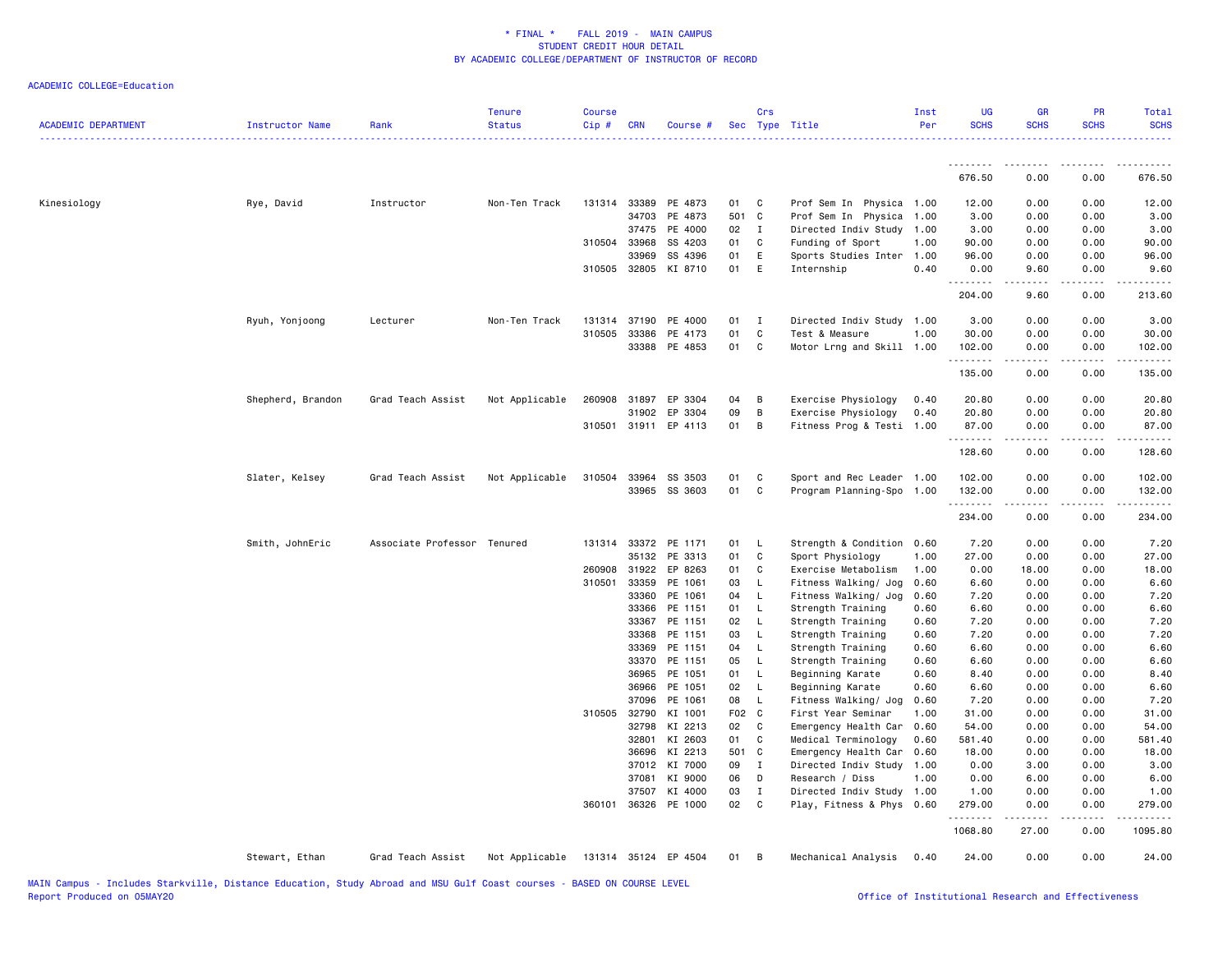| <b>ACADEMIC DEPARTMENT</b> | <b>Instructor Name</b> | Rank                        | <b>Tenure</b><br><b>Status</b> | <b>Course</b><br>Cip# | <b>CRN</b>     | Course #             |          | Crs                | Sec Type Title                        | Inst<br>Per  | UG<br><b>SCHS</b>  | <b>GR</b><br><b>SCHS</b> | PR<br><b>SCHS</b>     | Total<br><b>SCHS</b> |
|----------------------------|------------------------|-----------------------------|--------------------------------|-----------------------|----------------|----------------------|----------|--------------------|---------------------------------------|--------------|--------------------|--------------------------|-----------------------|----------------------|
|                            |                        |                             |                                |                       |                |                      |          |                    |                                       |              | .                  | .                        |                       |                      |
|                            |                        |                             |                                |                       |                |                      |          |                    |                                       |              | 676.50             | 0.00                     | 0.00                  | 676.50               |
| Kinesiology                | Rye, David             | Instructor                  | Non-Ten Track                  | 131314                | 33389          | PE 4873              | 01       | $\mathbf C$        | Prof Sem In Physica 1.00              |              | 12.00              | 0.00                     | 0.00                  | 12.00                |
|                            |                        |                             |                                |                       | 34703          | PE 4873              |          | 501 C              | Prof Sem In Physica                   | 1.00         | 3.00               | 0.00                     | 0.00                  | 3.00                 |
|                            |                        |                             |                                |                       | 37475          | PE 4000              | 02       | I                  | Directed Indiv Study 1.00             |              | 3.00               | 0.00                     | 0.00                  | 3.00                 |
|                            |                        |                             |                                |                       | 310504 33968   | SS 4203              | 01       | C                  | Funding of Sport                      | 1.00         | 90.00              | 0.00                     | 0.00                  | 90.00                |
|                            |                        |                             |                                |                       | 33969          | SS 4396              | 01       | E                  | Sports Studies Inter                  | 1.00         | 96.00              | 0.00                     | 0.00                  | 96.00                |
|                            |                        |                             |                                |                       | 310505 32805   | KI 8710              | 01       | E                  | Internship                            | 0.40         | 0.00               | 9.60                     | 0.00                  | 9.60                 |
|                            |                        |                             |                                |                       |                |                      |          |                    |                                       |              | 204.00             | 9.60                     | 0.00                  | 213.60               |
|                            | Ryuh, Yonjoong         | Lecturer                    | Non-Ten Track                  | 131314                | 37190          | PE 4000              | 01       | $\blacksquare$     | Directed Indiv Study 1.00             |              | 3.00               | 0.00                     | 0.00                  | 3.00                 |
|                            |                        |                             |                                | 310505                | 33386          | PE 4173              | 01       | $\mathbf c$        | Test & Measure                        | 1.00         | 30.00              | 0.00                     | 0.00                  | 30.00                |
|                            |                        |                             |                                |                       | 33388          | PE 4853              | 01       | C                  | Motor Lrng and Skill 1.00             |              | 102.00             | 0.00<br>.                | 0.00<br>$\frac{1}{2}$ | 102.00<br>.          |
|                            |                        |                             |                                |                       |                |                      |          |                    |                                       |              | 135.00             | 0.00                     | 0.00                  | 135.00               |
|                            | Shepherd, Brandon      | Grad Teach Assist           | Not Applicable                 | 260908                | 31897          | EP 3304              | 04       | B                  | Exercise Physiology                   | 0.40         | 20.80              | 0.00                     | 0.00                  | 20.80                |
|                            |                        |                             |                                |                       | 31902          | EP 3304              | 09       | B                  | Exercise Physiology                   | 0.40         | 20.80              | 0.00                     | 0.00                  | 20.80                |
|                            |                        |                             |                                |                       |                | 310501 31911 EP 4113 | 01       | B                  | Fitness Prog & Testi 1.00             |              | 87.00              | 0.00                     | 0.00                  | 87.00                |
|                            |                        |                             |                                |                       |                |                      |          |                    |                                       |              | .<br>128.60        | <u>.</u><br>0.00         | المتماما<br>0.00      | 128.60               |
|                            | Slater, Kelsey         | Grad Teach Assist           | Not Applicable                 | 310504                | 33964          | SS 3503              | 01       | C                  | Sport and Rec Leader 1.00             |              | 102.00             | 0.00                     | 0.00                  | 102.00               |
|                            |                        |                             |                                |                       | 33965          | SS 3603              | 01       | C                  | Program Planning-Spo 1.00             |              | 132.00             | 0.00                     | 0.00                  | 132.00               |
|                            |                        |                             |                                |                       |                |                      |          |                    |                                       |              | <u>.</u><br>234.00 | 0.00                     | 0.00                  | 234.00               |
|                            | Smith, JohnEric        | Associate Professor Tenured |                                | 131314                | 33372          | PE 1171              | 01       | L.                 | Strength & Condition                  | 0.60         | 7.20               | 0.00                     | 0.00                  | 7.20                 |
|                            |                        |                             |                                |                       | 35132          | PE 3313              | 01       | C                  | Sport Physiology                      | 1.00         | 27.00              | 0.00                     | 0.00                  | 27.00                |
|                            |                        |                             |                                | 260908                | 31922          | EP 8263              | 01       | C                  | Exercise Metabolism                   | 1.00         | 0.00               | 18.00                    | 0.00                  | 18.00                |
|                            |                        |                             |                                | 310501                | 33359          | PE 1061              | 03       | $\mathsf{L}$       | Fitness Walking/ Jog                  | 0.60         | 6.60               | 0.00                     | 0.00                  | 6.60                 |
|                            |                        |                             |                                |                       | 33360          | PE 1061              | 04       | L                  | Fitness Walking/ Jog                  | 0.60         | 7.20               | 0.00                     | 0.00                  | 7.20                 |
|                            |                        |                             |                                |                       | 33366          | PE 1151              | 01       | L                  | Strength Training                     | 0.60         | 6.60               | 0.00                     | 0.00                  | 6.60                 |
|                            |                        |                             |                                |                       | 33367          | PE 1151              | 02       | L                  | Strength Training                     | 0.60         | 7.20               | 0.00                     | 0.00                  | 7.20                 |
|                            |                        |                             |                                |                       | 33368          | PE 1151              | 03       | L                  | Strength Training                     | 0.60         | 7.20               | 0.00                     | 0.00                  | 7.20                 |
|                            |                        |                             |                                |                       | 33369          | PE 1151              | 04       | L                  | Strength Training                     | 0.60         | 6.60               | 0.00                     | 0.00                  | 6.60                 |
|                            |                        |                             |                                |                       | 33370<br>36965 | PE 1151<br>PE 1051   | 05<br>01 | $\mathsf{L}$<br>L. | Strength Training<br>Beginning Karate | 0.60<br>0.60 | 6.60<br>8.40       | 0.00<br>0.00             | 0.00<br>0.00          | 6.60<br>8.40         |
|                            |                        |                             |                                |                       | 36966          | PE 1051              | 02       | - L                | Beginning Karate                      | 0.60         | 6.60               | 0.00                     | 0.00                  | 6.60                 |
|                            |                        |                             |                                |                       | 37096          | PE 1061              | 08       | L                  | Fitness Walking/ Jog                  | 0.60         | 7.20               | 0.00                     | 0.00                  | 7.20                 |
|                            |                        |                             |                                |                       | 310505 32790   | KI 1001              | F02 C    |                    | First Year Seminar                    | 1.00         | 31.00              | 0.00                     | 0.00                  | 31.00                |
|                            |                        |                             |                                |                       | 32798          | KI 2213              | 02       | C                  | Emergency Health Car                  | 0.60         | 54.00              | 0.00                     | 0.00                  | 54.00                |
|                            |                        |                             |                                |                       | 32801          | KI 2603              | 01       | C                  | Medical Terminology                   | 0.60         | 581.40             | 0.00                     | 0.00                  | 581.40               |
|                            |                        |                             |                                |                       | 36696          | KI 2213              |          | 501 C              | Emergency Health Car                  | 0.60         | 18.00              | 0.00                     | 0.00                  | 18.00                |
|                            |                        |                             |                                |                       | 37012          | KI 7000              | 09       | $\mathbf{I}$       | Directed Indiv Study 1.00             |              | 0.00               | 3.00                     | 0.00                  | 3.00                 |
|                            |                        |                             |                                |                       | 37081          | KI 9000              | 06       | D                  | Research / Diss                       | 1.00         | 0.00               | 6.00                     | 0.00                  | 6.00                 |
|                            |                        |                             |                                |                       | 37507          | KI 4000              | 03       | I                  | Directed Indiv Study                  | 1.00         | 1.00               | 0.00                     | 0.00                  | 1.00                 |
|                            |                        |                             |                                |                       | 360101 36326   | PE 1000              | 02       | C.                 | Play, Fitness & Phys 0.60             |              | 279.00<br>.        | 0.00                     | 0.00<br>.             | 279.00               |
|                            |                        |                             |                                |                       |                |                      |          |                    |                                       |              | 1068.80            | 27.00                    | 0.00                  | 1095.80              |
|                            | Stewart, Ethan         | Grad Teach Assist           | Not Applicable                 |                       |                | 131314 35124 EP 4504 | 01       | B                  | Mechanical Analysis                   | 0.40         | 24.00              | 0.00                     | 0.00                  | 24.00                |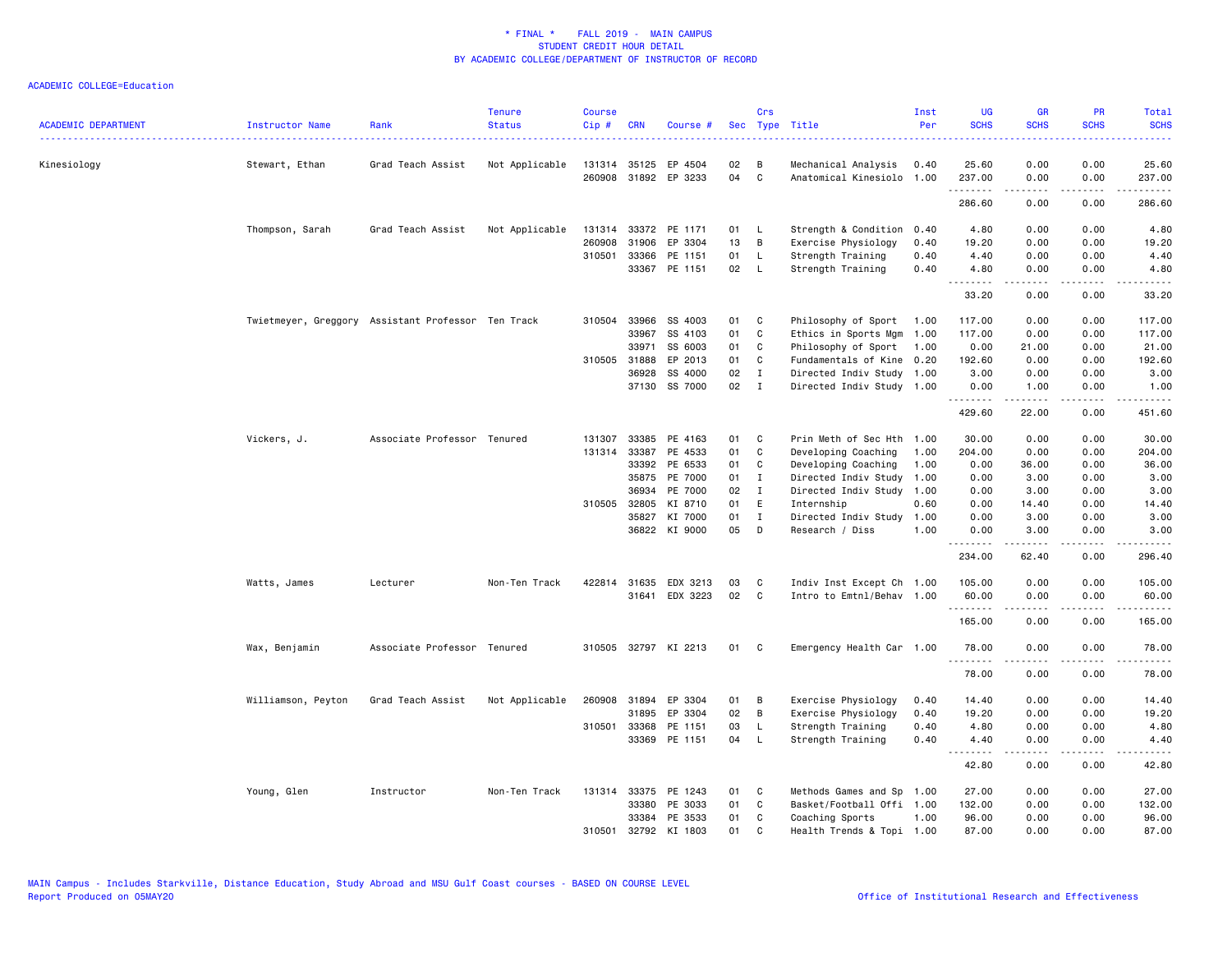| <b>ACADEMIC DEPARTMENT</b> | Instructor Name                                    | Rank                        | <b>Tenure</b><br><b>Status</b> | <b>Course</b><br>Cip# | <b>CRN</b>   | Course #                 |          | Crs          | Sec Type Title                              | Inst<br>Per  | <b>UG</b><br><b>SCHS</b> | <b>GR</b><br><b>SCHS</b>                                                                                                                                     | PR<br><b>SCHS</b>                   | Total<br><b>SCHS</b><br>.                                                                                                                                                                 |
|----------------------------|----------------------------------------------------|-----------------------------|--------------------------------|-----------------------|--------------|--------------------------|----------|--------------|---------------------------------------------|--------------|--------------------------|--------------------------------------------------------------------------------------------------------------------------------------------------------------|-------------------------------------|-------------------------------------------------------------------------------------------------------------------------------------------------------------------------------------------|
| Kinesiology                | Stewart, Ethan                                     | Grad Teach Assist           | Not Applicable                 | 131314<br>260908      | 35125        | EP 4504<br>31892 EP 3233 | 02<br>04 | B<br>C       | Mechanical Analysis<br>Anatomical Kinesiolo | 0.40<br>1.00 | 25.60<br>237.00          | 0.00<br>0.00                                                                                                                                                 | 0.00<br>0.00                        | 25.60<br>237.00                                                                                                                                                                           |
|                            |                                                    |                             |                                |                       |              |                          |          |              |                                             |              | .                        | .                                                                                                                                                            | .                                   | $- - - - - -$                                                                                                                                                                             |
|                            |                                                    |                             |                                |                       |              |                          |          |              |                                             |              | 286.60                   | 0.00                                                                                                                                                         | 0.00                                | 286.60                                                                                                                                                                                    |
|                            | Thompson, Sarah                                    | Grad Teach Assist           | Not Applicable                 | 131314                |              | 33372 PE 1171            | 01       | - L          | Strength & Condition                        | 0.40         | 4.80                     | 0.00                                                                                                                                                         | 0.00                                | 4.80                                                                                                                                                                                      |
|                            |                                                    |                             |                                | 260908                | 31906        | EP 3304                  | 13       | B            | Exercise Physiology                         | 0.40         | 19.20                    | 0.00                                                                                                                                                         | 0.00                                | 19.20                                                                                                                                                                                     |
|                            |                                                    |                             |                                | 310501                | 33366        | PE 1151                  | 01       | $\mathsf{L}$ | Strength Training                           | 0.40         | 4.40                     | 0.00                                                                                                                                                         | 0.00                                | 4.40                                                                                                                                                                                      |
|                            |                                                    |                             |                                |                       |              | 33367 PE 1151            | 02       | $\mathsf{L}$ | Strength Training                           | 0.40         | 4.80<br>.                | 0.00<br>$\frac{1}{2} \left( \frac{1}{2} \right) \left( \frac{1}{2} \right) \left( \frac{1}{2} \right) \left( \frac{1}{2} \right) \left( \frac{1}{2} \right)$ | 0.00<br>.                           | 4.80<br>.                                                                                                                                                                                 |
|                            |                                                    |                             |                                |                       |              |                          |          |              |                                             |              | 33.20                    | 0.00                                                                                                                                                         | 0.00                                | 33.20                                                                                                                                                                                     |
|                            | Twietmeyer, Greggory Assistant Professor Ten Track |                             |                                | 310504                | 33966        | SS 4003                  | 01       | C            | Philosophy of Sport                         | 1.00         | 117.00                   | 0.00                                                                                                                                                         | 0.00                                | 117.00                                                                                                                                                                                    |
|                            |                                                    |                             |                                |                       | 33967        | SS 4103                  | 01       | C            | Ethics in Sports Mgm                        | 1.00         | 117.00                   | 0.00                                                                                                                                                         | 0.00                                | 117.00                                                                                                                                                                                    |
|                            |                                                    |                             |                                |                       | 33971        | SS 6003                  | 01       | C            | Philosophy of Sport                         | 1.00         | 0.00                     | 21.00                                                                                                                                                        | 0.00                                | 21.00                                                                                                                                                                                     |
|                            |                                                    |                             |                                |                       | 310505 31888 | EP 2013                  | 01       | C            | Fundamentals of Kine                        | 0.20         | 192.60                   | 0.00                                                                                                                                                         | 0.00                                | 192.60                                                                                                                                                                                    |
|                            |                                                    |                             |                                |                       | 36928        | SS 4000                  | 02       | $\mathbf{I}$ | Directed Indiv Study                        | 1.00         | 3.00                     | 0.00                                                                                                                                                         | 0.00                                | 3.00                                                                                                                                                                                      |
|                            |                                                    |                             |                                |                       |              | 37130 SS 7000            | 02       | $\mathbf{I}$ | Directed Indiv Study 1.00                   |              | 0.00                     | 1.00                                                                                                                                                         | 0.00                                | 1.00                                                                                                                                                                                      |
|                            |                                                    |                             |                                |                       |              |                          |          |              |                                             |              | .<br>429.60              | .<br>22.00                                                                                                                                                   | .<br>0.00                           | .<br>451.60                                                                                                                                                                               |
|                            | Vickers, J.                                        | Associate Professor Tenured |                                | 131307                | 33385        | PE 4163                  | 01       | C            | Prin Meth of Sec Hth                        | 1.00         | 30.00                    | 0.00                                                                                                                                                         | 0.00                                | 30.00                                                                                                                                                                                     |
|                            |                                                    |                             |                                |                       | 131314 33387 | PE 4533                  | 01       | C            | Developing Coaching                         | 1.00         | 204.00                   | 0.00                                                                                                                                                         | 0.00                                | 204.00                                                                                                                                                                                    |
|                            |                                                    |                             |                                |                       |              | 33392 PE 6533            | 01       | C            | Developing Coaching                         | 1.00         | 0.00                     | 36.00                                                                                                                                                        | 0.00                                | 36.00                                                                                                                                                                                     |
|                            |                                                    |                             |                                |                       | 35875        | PE 7000                  | 01       | I            | Directed Indiv Study                        | 1.00         | 0.00                     | 3.00                                                                                                                                                         | 0.00                                | 3.00                                                                                                                                                                                      |
|                            |                                                    |                             |                                |                       | 36934        | PE 7000                  | 02       | $\mathbf{I}$ | Directed Indiv Study                        | 1.00         | 0.00                     | 3.00                                                                                                                                                         | 0.00                                | 3.00                                                                                                                                                                                      |
|                            |                                                    |                             |                                |                       | 310505 32805 | KI 8710                  | 01       | E            | Internship                                  | 0.60         | 0.00                     | 14.40                                                                                                                                                        | 0.00                                | 14.40                                                                                                                                                                                     |
|                            |                                                    |                             |                                |                       | 35827        | KI 7000                  | 01       | $\mathbf{I}$ | Directed Indiv Study                        | 1.00         | 0.00                     | 3.00                                                                                                                                                         | 0.00                                | 3.00                                                                                                                                                                                      |
|                            |                                                    |                             |                                |                       |              | 36822 KI 9000            | 05       | D            | Research / Diss                             | 1.00         | 0.00                     | 3.00                                                                                                                                                         | 0.00                                | 3.00                                                                                                                                                                                      |
|                            |                                                    |                             |                                |                       |              |                          |          |              |                                             |              | <u>.</u><br>234.00       | $- - - - - -$<br>62.40                                                                                                                                       | .<br>0.00                           | $\frac{1}{2} \left( \frac{1}{2} \right) \left( \frac{1}{2} \right) \left( \frac{1}{2} \right) \left( \frac{1}{2} \right) \left( \frac{1}{2} \right) \left( \frac{1}{2} \right)$<br>296.40 |
|                            | Watts, James                                       | Lecturer                    | Non-Ten Track                  |                       | 422814 31635 | EDX 3213                 | 03       | C            | Indiv Inst Except Ch 1.00                   |              | 105.00                   | 0.00                                                                                                                                                         | 0.00                                | 105.00                                                                                                                                                                                    |
|                            |                                                    |                             |                                |                       | 31641        | EDX 3223                 | 02       | C            | Intro to Emtnl/Behav 1.00                   |              | 60.00                    | 0.00                                                                                                                                                         | 0.00                                | 60.00                                                                                                                                                                                     |
|                            |                                                    |                             |                                |                       |              |                          |          |              |                                             |              | .<br>165.00              | 0.00                                                                                                                                                         | $\sim$ $\sim$ $\sim$ $\sim$<br>0.00 | .<br>165.00                                                                                                                                                                               |
|                            | Wax, Benjamin                                      | Associate Professor Tenured |                                |                       |              | 310505 32797 KI 2213     | 01       | C            | Emergency Health Car 1.00                   |              | 78.00                    | 0.00                                                                                                                                                         | 0.00                                | 78.00                                                                                                                                                                                     |
|                            |                                                    |                             |                                |                       |              |                          |          |              |                                             |              | <u>.</u><br>78.00        | .<br>0.00                                                                                                                                                    | .<br>0.00                           | .<br>78.00                                                                                                                                                                                |
|                            | Williamson, Peyton                                 | Grad Teach Assist           | Not Applicable                 |                       | 260908 31894 | EP 3304                  | 01       | В            | Exercise Physiology                         | 0.40         | 14.40                    | 0.00                                                                                                                                                         | 0.00                                | 14.40                                                                                                                                                                                     |
|                            |                                                    |                             |                                |                       | 31895        | EP 3304                  | 02       | B            | Exercise Physiology                         | 0.40         | 19.20                    | 0.00                                                                                                                                                         | 0.00                                | 19.20                                                                                                                                                                                     |
|                            |                                                    |                             |                                | 310501                | 33368        | PE 1151                  | 03       | <b>L</b>     | Strength Training                           | 0.40         | 4.80                     | 0.00                                                                                                                                                         | 0.00                                | 4.80                                                                                                                                                                                      |
|                            |                                                    |                             |                                |                       |              | 33369 PE 1151            | 04       | - L          | Strength Training                           | 0.40         | 4.40                     | 0.00                                                                                                                                                         | 0.00                                | 4.40                                                                                                                                                                                      |
|                            |                                                    |                             |                                |                       |              |                          |          |              |                                             |              | .<br>42.80               | .<br>0.00                                                                                                                                                    | .<br>0.00                           | .<br>42.80                                                                                                                                                                                |
|                            | Young, Glen                                        | Instructor                  | Non-Ten Track                  |                       |              | 131314 33375 PE 1243     | 01       | C            | Methods Games and Sp                        | 1.00         | 27.00                    | 0.00                                                                                                                                                         | 0.00                                | 27.00                                                                                                                                                                                     |
|                            |                                                    |                             |                                |                       | 33380        | PE 3033                  | 01       | C            | Basket/Football Offi 1.00                   |              | 132.00                   | 0.00                                                                                                                                                         | 0.00                                | 132.00                                                                                                                                                                                    |
|                            |                                                    |                             |                                |                       | 33384        | PE 3533                  | 01       | C            | Coaching Sports                             | 1.00         | 96.00                    | 0.00                                                                                                                                                         | 0.00                                | 96.00                                                                                                                                                                                     |
|                            |                                                    |                             |                                | 310501                | 32792        | KI 1803                  | 01       | C            | Health Trends & Topi 1.00                   |              | 87.00                    | 0.00                                                                                                                                                         | 0.00                                | 87.00                                                                                                                                                                                     |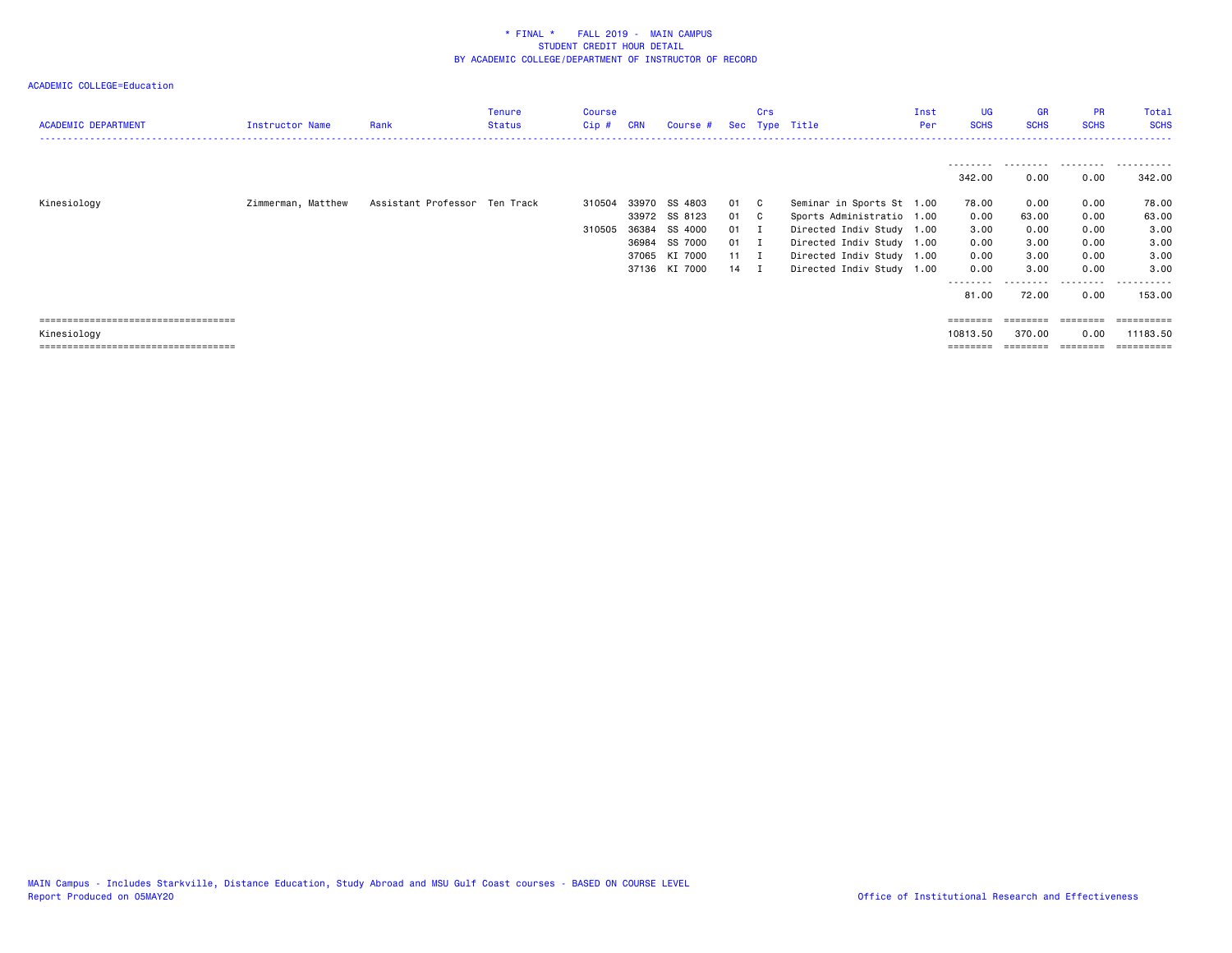| <b>ACADEMIC DEPARTMENT</b>            | Instructor Name    | Rank                          | Tenure<br><b>Status</b> | Course<br>Cip# | <b>CRN</b> | Course #      |              | Crs | Sec Type Title            | Inst<br>Per | <b>UG</b><br><b>SCHS</b> | <b>GR</b><br><b>SCHS</b> | <b>PR</b><br><b>SCHS</b> | Total<br><b>SCHS</b> |
|---------------------------------------|--------------------|-------------------------------|-------------------------|----------------|------------|---------------|--------------|-----|---------------------------|-------------|--------------------------|--------------------------|--------------------------|----------------------|
|                                       |                    |                               |                         |                |            |               |              |     |                           |             |                          |                          | .                        |                      |
|                                       |                    |                               |                         |                |            |               |              |     |                           |             | 342.00                   | 0.00                     | 0.00                     | 342.00               |
| Kinesiology                           | Zimmerman, Matthew | Assistant Professor Ten Track |                         | 310504         |            | 33970 SS 4803 | 01           | C.  | Seminar in Sports St 1.00 |             | 78.00                    | 0.00                     | 0.00                     | 78.00                |
|                                       |                    |                               |                         |                |            | 33972 SS 8123 | 01           | C.  | Sports Administratio 1.00 |             | 0.00                     | 63.00                    | 0.00                     | 63.00                |
|                                       |                    |                               |                         | 310505         | 36384      | SS 4000       | 01           |     | Directed Indiv Study 1.00 |             | 3.00                     | 0.00                     | 0.00                     | 3.00                 |
|                                       |                    |                               |                         |                | 36984      | SS 7000       | 01           | п   | Directed Indiv Study 1.00 |             | 0.00                     | 3.00                     | 0.00                     | 3.00                 |
|                                       |                    |                               |                         |                | 37065      | KI 7000       | $11 \quad I$ |     | Directed Indiv Study 1.00 |             | 0.00                     | 3.00                     | 0.00                     | 3.00                 |
|                                       |                    |                               |                         |                |            | 37136 KI 7000 | 14           |     | Directed Indiv Study 1.00 |             | 0.00                     | 3.00                     | 0.00                     | 3.00                 |
|                                       |                    |                               |                         |                |            |               |              |     |                           |             | --------                 | --------                 | .                        | .                    |
|                                       |                    |                               |                         |                |            |               |              |     |                           |             | 81.00                    | 72.00                    | 0.00                     | 153.00               |
| ====================================  |                    |                               |                         |                |            |               |              |     |                           |             |                          |                          |                          |                      |
| Kinesiology                           |                    |                               |                         |                |            |               |              |     |                           |             | 10813.50                 | 370.00                   | 0.00                     | 11183.50             |
| ===================================== |                    |                               |                         |                |            |               |              |     |                           |             |                          | ========                 | --------                 | ==========           |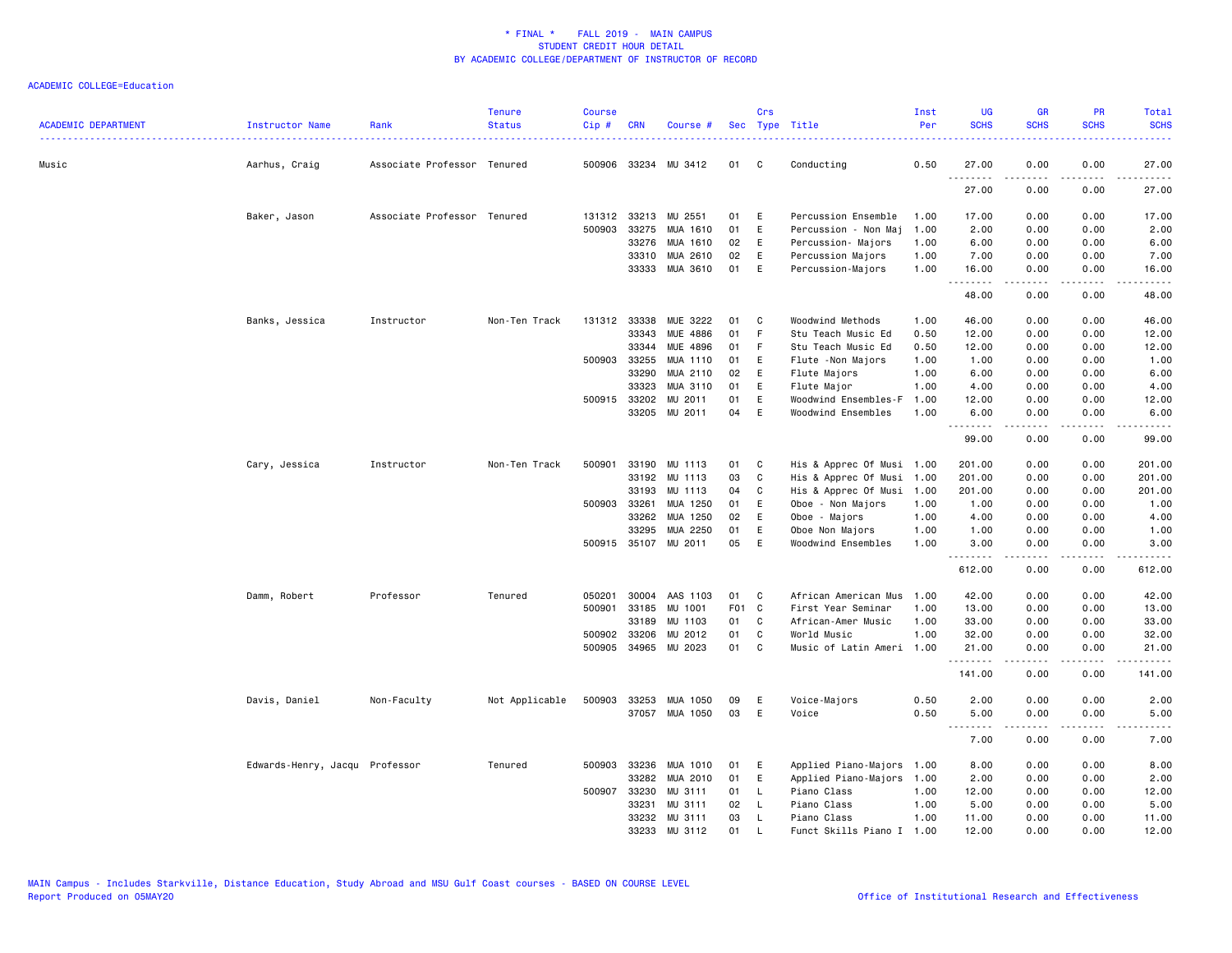| <b>ACADEMIC DEPARTMENT</b> | Instructor Name                | Rank                        | <b>Tenure</b><br><b>Status</b> | <b>Course</b><br>Cip# | <b>CRN</b>   | Course #              |       | Crs          | Sec Type Title            | Inst<br>Per | <b>UG</b><br><b>SCHS</b> | <b>GR</b><br><b>SCHS</b> | PR<br><b>SCHS</b>                   | Total<br><b>SCHS</b> |
|----------------------------|--------------------------------|-----------------------------|--------------------------------|-----------------------|--------------|-----------------------|-------|--------------|---------------------------|-------------|--------------------------|--------------------------|-------------------------------------|----------------------|
| Music                      | Aarhus, Craig                  | Associate Professor Tenured |                                | 500906                |              | 33234 MU 3412         | 01    | $\mathbf{C}$ | Conducting                | 0.50        | 27.00<br>.               | 0.00                     | 0.00<br>$\sim$ $\sim$ $\sim$ $\sim$ | 27.00<br>المتماما    |
|                            |                                |                             |                                |                       |              |                       |       |              |                           |             | 27.00                    | 0.00                     | 0.00                                | 27.00                |
|                            | Baker, Jason                   | Associate Professor Tenured |                                | 131312                |              | 33213 MU 2551         | 01    | E            | Percussion Ensemble       | 1.00        | 17.00                    | 0.00                     | 0.00                                | 17.00                |
|                            |                                |                             |                                | 500903                | 33275        | MUA 1610              | 01    | E            | Percussion - Non Maj      | 1.00        | 2.00                     | 0.00                     | 0.00                                | 2.00                 |
|                            |                                |                             |                                |                       | 33276        | MUA 1610              | 02    | E            | Percussion- Majors        | 1.00        | 6.00                     | 0.00                     | 0.00                                | 6.00                 |
|                            |                                |                             |                                |                       | 33310        | MUA 2610              | 02    | E            | Percussion Majors         | 1.00        | 7.00                     | 0.00                     | 0.00                                | 7.00                 |
|                            |                                |                             |                                |                       |              | 33333 MUA 3610        | 01    | E            | Percussion-Majors         | 1.00        | 16.00<br>.               | 0.00<br>.                | 0.00<br>.                           | 16.00<br>د د د د د   |
|                            |                                |                             |                                |                       |              |                       |       |              |                           |             | 48.00                    | 0.00                     | 0.00                                | 48.00                |
|                            | Banks, Jessica                 | Instructor                  | Non-Ten Track                  |                       | 131312 33338 | MUE 3222              | 01    | C            | Woodwind Methods          | 1.00        | 46.00                    | 0.00                     | 0.00                                | 46.00                |
|                            |                                |                             |                                |                       | 33343        | <b>MUE 4886</b>       | 01    | F            | Stu Teach Music Ed        | 0.50        | 12.00                    | 0.00                     | 0.00                                | 12.00                |
|                            |                                |                             |                                |                       | 33344        | MUE 4896              | 01    | -F           | Stu Teach Music Ed        | 0.50        | 12.00                    | 0.00                     | 0.00                                | 12.00                |
|                            |                                |                             |                                | 500903                | 33255        | MUA 1110              | 01    | Ε            | Flute -Non Majors         | 1.00        | 1.00                     | 0.00                     | 0.00                                | 1.00                 |
|                            |                                |                             |                                |                       | 33290        | MUA 2110              | 02    | E            | Flute Majors              | 1.00        | 6.00                     | 0.00                     | 0.00                                | 6.00                 |
|                            |                                |                             |                                |                       | 33323        | MUA 3110              | 01    | E            | Flute Major               | 1.00        | 4.00                     | 0.00                     | 0.00                                | 4.00                 |
|                            |                                |                             |                                | 500915                | 33202        | MU 2011               | 01    | E            | Woodwind Ensembles-F      | 1.00        | 12.00                    | 0.00                     | 0.00                                | 12.00                |
|                            |                                |                             |                                |                       | 33205        | MU 2011               | 04    | E            | Woodwind Ensembles        | 1.00        | 6.00<br>.                | 0.00<br>-----            | 0.00<br>.                           | 6.00<br>.            |
|                            |                                |                             |                                |                       |              |                       |       |              |                           |             | 99.00                    | 0.00                     | 0.00                                | 99.00                |
|                            | Cary, Jessica                  | Instructor                  | Non-Ten Track                  |                       |              | 500901 33190 MU 1113  | 01    | $\mathbf{C}$ | His & Apprec Of Musi 1.00 |             | 201.00                   | 0.00                     | 0.00                                | 201.00               |
|                            |                                |                             |                                |                       | 33192        | MU 1113               | 03    | $\mathtt{C}$ | His & Apprec Of Musi      | 1.00        | 201.00                   | 0.00                     | 0.00                                | 201.00               |
|                            |                                |                             |                                |                       | 33193        | MU 1113               | 04    | C            | His & Apprec Of Musi      | 1.00        | 201.00                   | 0.00                     | 0.00                                | 201.00               |
|                            |                                |                             |                                |                       | 500903 33261 | MUA 1250              | 01    | E            | Oboe - Non Majors         | 1.00        | 1.00                     | 0.00                     | 0.00                                | 1.00                 |
|                            |                                |                             |                                |                       | 33262        | MUA 1250              | 02    | Ε            | Oboe - Majors             | 1.00        | 4.00                     | 0.00                     | 0.00                                | 4.00                 |
|                            |                                |                             |                                |                       | 33295        | MUA 2250              | 01    | E            | Oboe Non Majors           | 1.00        | 1.00                     | 0.00                     | 0.00                                | 1.00                 |
|                            |                                |                             |                                |                       |              | 500915 35107 MU 2011  | 05    | E            | Woodwind Ensembles        | 1.00        | 3.00<br><u>.</u>         | 0.00<br>- - - - -        | 0.00<br>.                           | 3.00<br>.            |
|                            |                                |                             |                                |                       |              |                       |       |              |                           |             | 612.00                   | 0.00                     | 0.00                                | 612.00               |
|                            | Damm, Robert                   | Professor                   | Tenured                        | 050201                | 30004        | AAS 1103              | 01    | C            | African American Mus      | 1.00        | 42.00                    | 0.00                     | 0.00                                | 42.00                |
|                            |                                |                             |                                | 500901                | 33185        | MU 1001               | F01 C |              | First Year Seminar        | 1.00        | 13.00                    | 0.00                     | 0.00                                | 13.00                |
|                            |                                |                             |                                |                       | 33189        | MU 1103               | 01    | C.           | African-Amer Music        | 1.00        | 33.00                    | 0.00                     | 0.00                                | 33.00                |
|                            |                                |                             |                                | 500902                | 33206        | MU 2012               | 01    | $\mathtt{C}$ | World Music               | 1.00        | 32.00                    | 0.00                     | 0.00                                | 32.00                |
|                            |                                |                             |                                |                       | 500905 34965 | MU 2023               | 01    | C            | Music of Latin Ameri      | 1.00        | 21.00<br><b></b>         | 0.00<br>.                | 0.00<br>.                           | 21.00<br>.           |
|                            |                                |                             |                                |                       |              |                       |       |              |                           |             | 141.00                   | 0.00                     | 0.00                                | 141.00               |
|                            | Davis, Daniel                  | Non-Faculty                 | Not Applicable                 |                       |              | 500903 33253 MUA 1050 | 09    | E            | Voice-Majors              | 0.50        | 2.00                     | 0.00                     | 0.00                                | 2.00                 |
|                            |                                |                             |                                |                       |              | 37057 MUA 1050        | 03    | E            | Voice                     | 0.50        | 5.00                     | 0.00                     | 0.00                                | 5.00                 |
|                            |                                |                             |                                |                       |              |                       |       |              |                           |             | $\sim$ $\sim$ $\sim$     |                          |                                     |                      |
|                            |                                |                             |                                |                       |              |                       |       |              |                           |             | 7.00                     | 0.00                     | 0.00                                | 7.00                 |
|                            | Edwards-Henry, Jacqu Professor |                             | Tenured                        |                       | 500903 33236 | MUA 1010              | 01    | E            | Applied Piano-Majors      | 1.00        | 8.00                     | 0.00                     | 0.00                                | 8.00                 |
|                            |                                |                             |                                |                       | 33282        | MUA 2010              | 01    | E            | Applied Piano-Majors      | 1.00        | 2.00                     | 0.00                     | 0.00                                | 2.00                 |
|                            |                                |                             |                                | 500907                | 33230        | MU 3111               | 01    | L.           | Piano Class               | 1.00        | 12.00                    | 0.00                     | 0.00                                | 12.00                |
|                            |                                |                             |                                |                       | 33231        | MU 3111               | 02    | L.           | Piano Class               | 1.00        | 5.00                     | 0.00                     | 0.00                                | 5.00                 |
|                            |                                |                             |                                |                       | 33232        | MU 3111               | 03    | L.           | Piano Class               | 1.00        | 11.00                    | 0.00                     | 0.00                                | 11.00                |
|                            |                                |                             |                                |                       | 33233        | MU 3112               | 01    | $\mathsf{L}$ | Funct Skills Piano I 1.00 |             | 12.00                    | 0.00                     | 0.00                                | 12.00                |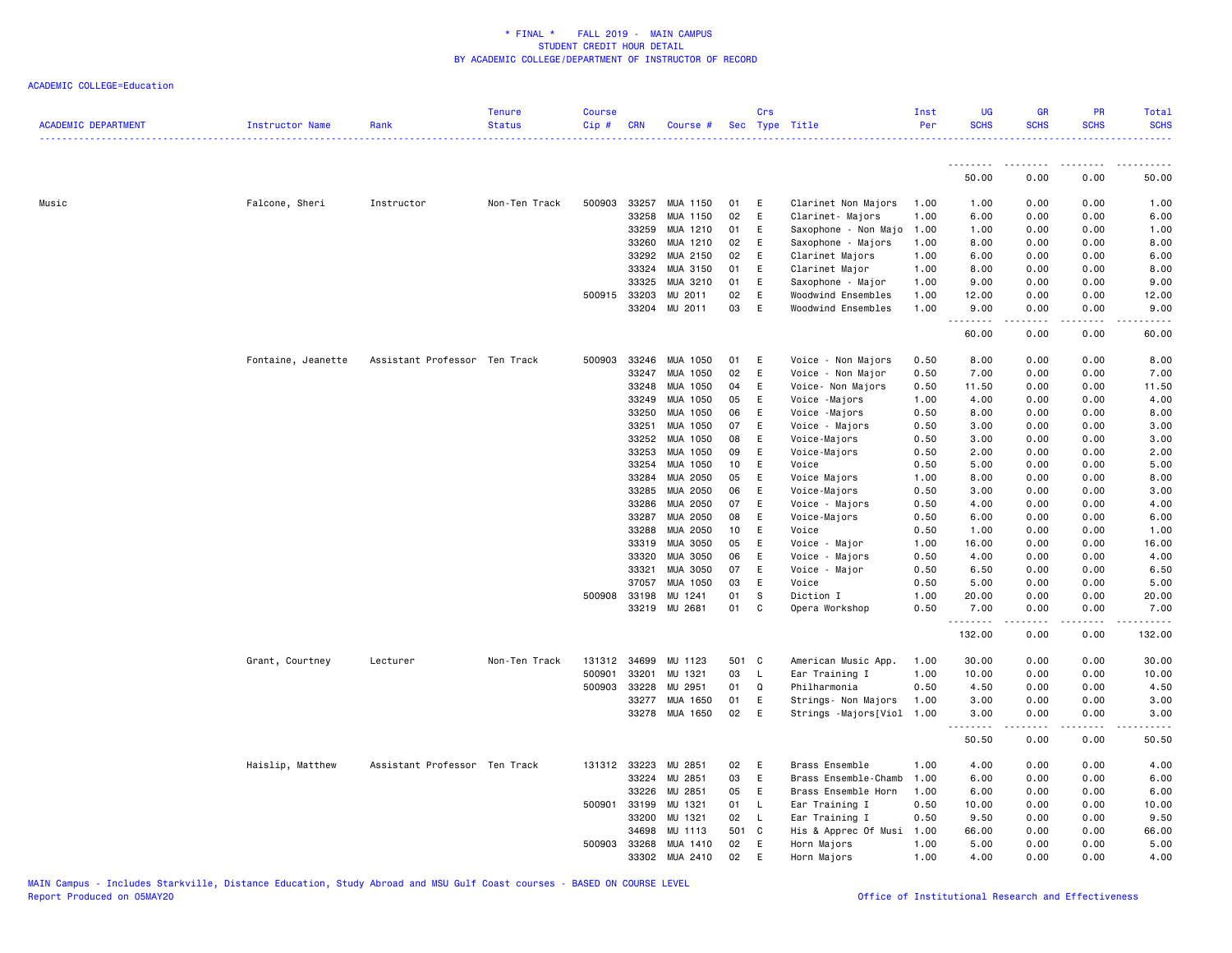| ACADEMIC DEPARTMENT | Instructor Name    | Rank                          | <b>Tenure</b><br><b>Status</b> | <b>Course</b><br>Cip# | <b>CRN</b>   | Course #      |       | Crs         | Sec Type Title       | Inst<br>Per | <b>UG</b><br><b>SCHS</b> | <b>GR</b><br><b>SCHS</b> | <b>PR</b><br><b>SCHS</b> | Total<br><b>SCHS</b> |
|---------------------|--------------------|-------------------------------|--------------------------------|-----------------------|--------------|---------------|-------|-------------|----------------------|-------------|--------------------------|--------------------------|--------------------------|----------------------|
|                     |                    |                               |                                |                       |              |               |       |             |                      |             | <u>.</u>                 | <u>.</u>                 |                          |                      |
|                     |                    |                               |                                |                       |              |               |       |             |                      |             | 50.00                    | 0.00                     | 0.00                     | 50.00                |
| Music               | Falcone, Sheri     | Instructor                    | Non-Ten Track                  | 500903                | 33257        | MUA 1150      | 01    | Ε           | Clarinet Non Majors  | 1.00        | 1.00                     | 0.00                     | 0.00                     | 1.00                 |
|                     |                    |                               |                                |                       | 33258        | MUA 1150      | 02    | E           | Clarinet- Majors     | 1.00        | 6.00                     | 0.00                     | 0.00                     | 6.00                 |
|                     |                    |                               |                                |                       | 33259        | MUA 1210      | 01    | Ε           | Saxophone - Non Majo | 1.00        | 1.00                     | 0.00                     | 0.00                     | 1.00                 |
|                     |                    |                               |                                |                       | 33260        | MUA 1210      | 02    | E           | Saxophone - Majors   | 1.00        | 8.00                     | 0.00                     | 0.00                     | 8.00                 |
|                     |                    |                               |                                |                       | 33292        | MUA 2150      | 02    | E           | Clarinet Majors      | 1.00        | 6.00                     | 0.00                     | 0.00                     | 6.00                 |
|                     |                    |                               |                                |                       | 33324        | MUA 3150      | 01    | E           | Clarinet Major       | 1.00        | 8.00                     | 0.00                     | 0.00                     | 8.00                 |
|                     |                    |                               |                                |                       | 33325        | MUA 3210      | 01    | E           | Saxophone - Major    | 1.00        | 9.00                     | 0.00                     | 0.00                     | 9.00                 |
|                     |                    |                               |                                |                       | 500915 33203 | MU 2011       | 02    | Ε           | Woodwind Ensembles   | 1.00        | 12.00                    | 0.00                     | 0.00                     | 12.00                |
|                     |                    |                               |                                |                       |              | 33204 MU 2011 | 03    | E           | Woodwind Ensembles   | 1.00        | 9.00<br>.                | 0.00                     | 0.00                     | 9.00                 |
|                     |                    |                               |                                |                       |              |               |       |             |                      |             | 60.00                    | 0.00                     | 0.00                     | 60.00                |
|                     | Fontaine, Jeanette | Assistant Professor Ten Track |                                |                       | 500903 33246 | MUA 1050      | 01    | E           | Voice - Non Majors   | 0.50        | 8.00                     | 0.00                     | 0.00                     | 8.00                 |
|                     |                    |                               |                                |                       | 33247        | MUA 1050      | 02    | E           | Voice - Non Major    | 0.50        | 7.00                     | 0.00                     | 0.00                     | 7.00                 |
|                     |                    |                               |                                |                       | 33248        | MUA 1050      | 04    | Ε           | Voice- Non Majors    | 0.50        | 11.50                    | 0.00                     | 0.00                     | 11.50                |
|                     |                    |                               |                                |                       | 33249        | MUA 1050      | 05    | E           | Voice -Majors        | 1.00        | 4.00                     | 0.00                     | 0.00                     | 4.00                 |
|                     |                    |                               |                                |                       | 33250        | MUA 1050      | 06    | E           | Voice -Majors        | 0.50        | 8.00                     | 0.00                     | 0.00                     | 8.00                 |
|                     |                    |                               |                                |                       | 33251        | MUA 1050      | 07    | E           | Voice - Majors       | 0.50        | 3.00                     | 0.00                     | 0.00                     | 3.00                 |
|                     |                    |                               |                                |                       | 33252        | MUA 1050      | 08    | $\mathsf E$ | Voice-Majors         | 0.50        | 3.00                     | 0.00                     | 0.00                     | 3.00                 |
|                     |                    |                               |                                |                       | 33253        | MUA 1050      | 09    | E           | Voice-Majors         | 0.50        | 2.00                     | 0.00                     | 0.00                     | 2.00                 |
|                     |                    |                               |                                |                       | 33254        | MUA 1050      | 10    | E           | Voice                | 0.50        | 5.00                     | 0.00                     | 0.00                     | 5.00                 |
|                     |                    |                               |                                |                       | 33284        | MUA 2050      | 05    | E           | Voice Majors         | 1.00        | 8.00                     | 0.00                     | 0.00                     | 8.00                 |
|                     |                    |                               |                                |                       | 33285        | MUA 2050      | 06    | Ε           | Voice-Majors         | 0.50        | 3.00                     | 0.00                     | 0.00                     | 3.00                 |
|                     |                    |                               |                                |                       | 33286        | MUA 2050      | 07    | Ε           | Voice - Majors       | 0.50        | 4.00                     | 0.00                     | 0.00                     | 4.00                 |
|                     |                    |                               |                                |                       | 33287        | MUA 2050      | 08    | Ε           | Voice-Majors         | 0.50        | 6.00                     | 0.00                     | 0.00                     | 6.00                 |
|                     |                    |                               |                                |                       | 33288        | MUA 2050      | 10    | $\mathsf E$ | Voice                | 0.50        | 1.00                     | 0.00                     | 0.00                     | 1.00                 |
|                     |                    |                               |                                |                       | 33319        | MUA 3050      | 05    | E           | Voice - Major        | 1.00        | 16.00                    | 0.00                     | 0.00                     | 16.00                |
|                     |                    |                               |                                |                       | 33320        | MUA 3050      | 06    | E           | Voice - Majors       | 0.50        | 4.00                     | 0.00                     | 0.00                     | 4.00                 |
|                     |                    |                               |                                |                       | 33321        | MUA 3050      | 07    | E           | Voice - Major        | 0.50        | 6.50                     | 0.00                     | 0.00                     | 6.50                 |
|                     |                    |                               |                                |                       | 37057        | MUA 1050      | 03    | E           | Voice                | 0.50        | 5.00                     | 0.00                     | 0.00                     | 5.00                 |
|                     |                    |                               |                                | 500908 33198          |              | MU 1241       | 01    | S           | Diction I            | 1.00        | 20.00                    | 0.00                     | 0.00                     | 20.00                |
|                     |                    |                               |                                |                       | 33219        | MU 2681       | 01    | C           | Opera Workshop       | 0.50        | 7.00                     | 0.00                     | 0.00                     | 7.00                 |
|                     |                    |                               |                                |                       |              |               |       |             |                      |             | 132.00                   | 0.00                     | 0.00                     | 132.00               |
|                     | Grant, Courtney    | Lecturer                      | Non-Ten Track                  |                       | 131312 34699 | MU 1123       | 501 C |             | American Music App.  | 1.00        | 30.00                    | 0.00                     | 0.00                     | 30.00                |
|                     |                    |                               |                                | 500901                | 33201        | MU 1321       | 03    | L           | Ear Training I       | 1.00        | 10.00                    | 0.00                     | 0.00                     | 10.00                |
|                     |                    |                               |                                | 500903                | 33228        | MU 2951       | 01    | Q           | Philharmonia         | 0.50        | 4.50                     | 0.00                     | 0.00                     | 4.50                 |
|                     |                    |                               |                                |                       | 33277        | MUA 1650      | 01    | E           | Strings- Non Majors  | 1.00        | 3.00                     | 0.00                     | 0.00                     | 3.00                 |
|                     |                    |                               |                                |                       | 33278        | MUA 1650      | 02    | $\mathsf E$ | Strings -Majors[Viol | 1.00        | 3.00<br><u>.</u>         | 0.00<br>.                | 0.00                     | 3.00                 |
|                     |                    |                               |                                |                       |              |               |       |             |                      |             | 50.50                    | 0.00                     | 0.00                     | 50.50                |
|                     | Haislip, Matthew   | Assistant Professor Ten Track |                                |                       | 131312 33223 | MU 2851       | 02    | E           | Brass Ensemble       | 1.00        | 4.00                     | 0.00                     | 0.00                     | 4.00                 |
|                     |                    |                               |                                |                       | 33224        | MU 2851       | 03    | E           | Brass Ensemble-Chamb | 1.00        | 6.00                     | 0.00                     | 0.00                     | 6.00                 |
|                     |                    |                               |                                |                       | 33226        | MU 2851       | 05    | E           | Brass Ensemble Horn  | 1.00        | 6.00                     | 0.00                     | 0.00                     | 6.00                 |
|                     |                    |                               |                                | 500901                | 33199        | MU 1321       | 01    | L           | Ear Training I       | 0.50        | 10.00                    | 0.00                     | 0.00                     | 10.00                |
|                     |                    |                               |                                |                       | 33200        | MU 1321       | 02    | L           | Ear Training I       | 0.50        | 9.50                     | 0.00                     | 0.00                     | 9.50                 |
|                     |                    |                               |                                |                       | 34698        | MU 1113       | 501 C |             | His & Apprec Of Musi | 1.00        | 66.00                    | 0.00                     | 0.00                     | 66.00                |
|                     |                    |                               |                                |                       | 500903 33268 | MUA 1410      | 02    | E           | Horn Majors          | 1.00        | 5.00                     | 0.00                     | 0.00                     | 5.00                 |
|                     |                    |                               |                                |                       | 33302        | MUA 2410      | 02    | E           | Horn Majors          | 1.00        | 4.00                     | 0.00                     | 0.00                     | 4.00                 |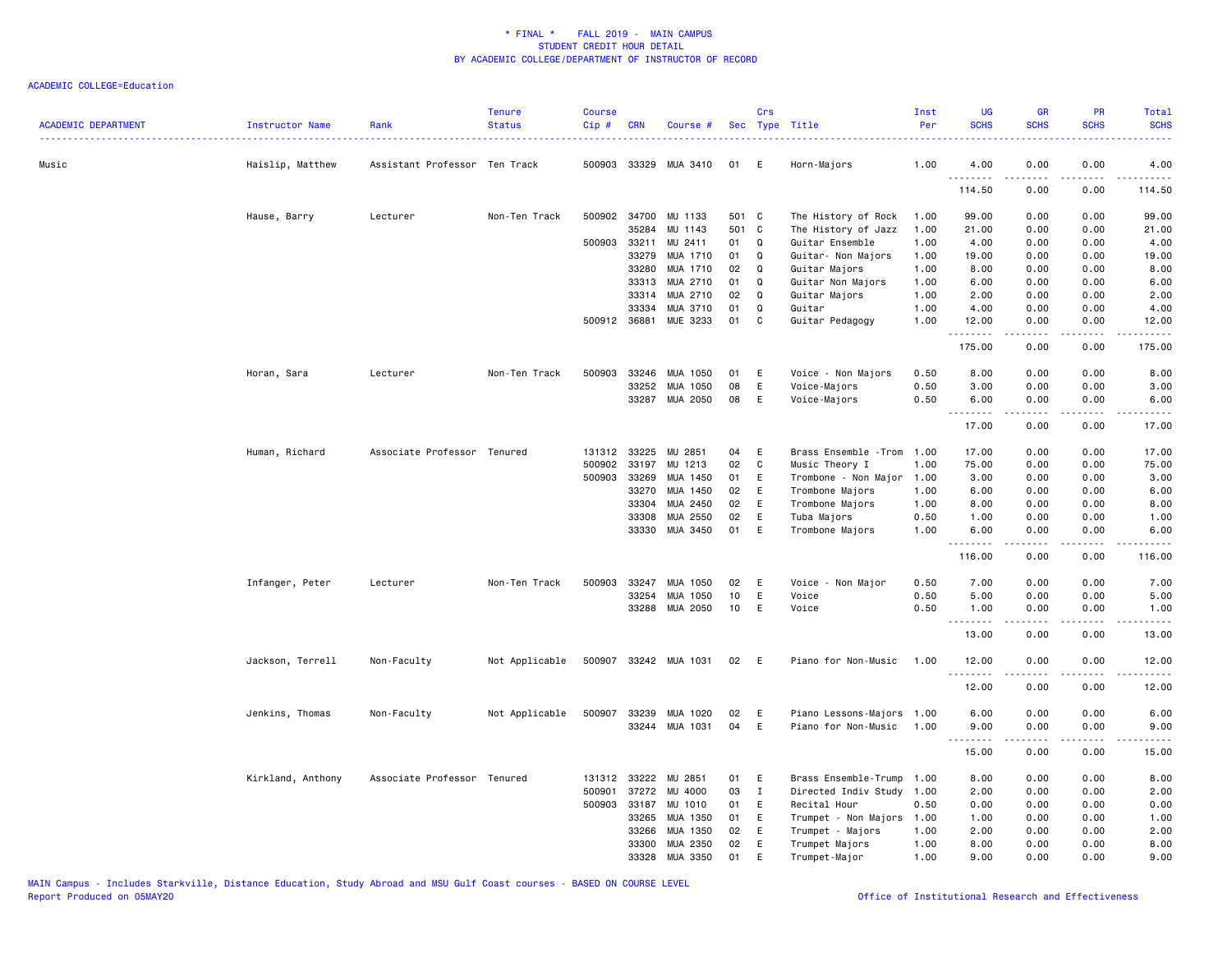| ACADEMIC DEPARTMENT | Instructor Name<br>. <u>.</u> | Rank                          | <b>Tenure</b><br><b>Status</b> | <b>Course</b><br>Cip# | <b>CRN</b>   | Course #              |       | Crs          | Sec Type Title        | Inst<br>Per | <b>UG</b><br><b>SCHS</b> | <b>GR</b><br><b>SCHS</b>                                                                                                                                     | <b>PR</b><br><b>SCHS</b> | <b>Total</b><br><b>SCHS</b> |
|---------------------|-------------------------------|-------------------------------|--------------------------------|-----------------------|--------------|-----------------------|-------|--------------|-----------------------|-------------|--------------------------|--------------------------------------------------------------------------------------------------------------------------------------------------------------|--------------------------|-----------------------------|
| Music               | Haislip, Matthew              | Assistant Professor Ten Track |                                |                       | 500903 33329 | MUA 3410              | 01    | E            | Horn-Majors           | 1.00        | 4.00                     | 0.00                                                                                                                                                         | 0.00                     | 4.00                        |
|                     |                               |                               |                                |                       |              |                       |       |              |                       |             | .<br>114.50              | 0.00                                                                                                                                                         | 0.00                     | 114.50                      |
|                     | Hause, Barry                  | Lecturer                      | Non-Ten Track                  |                       | 500902 34700 | MU 1133               | 501 C |              | The History of Rock   | 1.00        | 99.00                    | 0.00                                                                                                                                                         | 0.00                     | 99.00                       |
|                     |                               |                               |                                |                       | 35284        | MU 1143               | 501 C |              | The History of Jazz   | 1.00        | 21.00                    | 0.00                                                                                                                                                         | 0.00                     | 21.00                       |
|                     |                               |                               |                                | 500903                | 33211        | MU 2411               | 01    | Q            | Guitar Ensemble       | 1.00        | 4.00                     | 0.00                                                                                                                                                         | 0.00                     | 4.00                        |
|                     |                               |                               |                                |                       | 33279        | MUA 1710              | 01    | Q            | Guitar- Non Majors    | 1.00        | 19.00                    | 0.00                                                                                                                                                         | 0.00                     | 19.00                       |
|                     |                               |                               |                                |                       | 33280        | MUA 1710              | 02    | Q            | Guitar Majors         | 1.00        | 8.00                     | 0.00                                                                                                                                                         | 0.00                     | 8.00                        |
|                     |                               |                               |                                |                       | 33313        | MUA 2710              | 01    | Q            | Guitar Non Majors     | 1.00        | 6.00                     | 0.00                                                                                                                                                         | 0.00                     | 6.00                        |
|                     |                               |                               |                                |                       | 33314        | MUA 2710              | 02    | Q            | Guitar Majors         | 1.00        | 2.00                     | 0.00                                                                                                                                                         | 0.00                     | 2.00                        |
|                     |                               |                               |                                |                       | 33334        | MUA 3710              | 01    | Q            | Guitar                | 1.00        | 4.00                     | 0.00                                                                                                                                                         | 0.00                     | 4.00                        |
|                     |                               |                               |                                |                       | 500912 36881 | MUE 3233              | 01    | C            | Guitar Pedagogy       | 1.00        | 12.00<br>.               | 0.00<br>.                                                                                                                                                    | 0.00<br>.                | 12.00<br><u>.</u>           |
|                     |                               |                               |                                |                       |              |                       |       |              |                       |             | 175.00                   | 0.00                                                                                                                                                         | 0.00                     | 175.00                      |
|                     | Horan, Sara                   | Lecturer                      | Non-Ten Track                  | 500903                | 33246        | MUA 1050              | 01    | Ε            | Voice - Non Majors    | 0.50        | 8.00                     | 0.00                                                                                                                                                         | 0.00                     | 8.00                        |
|                     |                               |                               |                                |                       | 33252        | MUA 1050              | 08    | E            | Voice-Majors          | 0.50        | 3.00                     | 0.00                                                                                                                                                         | 0.00                     | 3.00                        |
|                     |                               |                               |                                |                       |              | 33287 MUA 2050        | 08    | E            | Voice-Majors          | 0.50        | 6.00                     | 0.00                                                                                                                                                         | 0.00                     | 6.00                        |
|                     |                               |                               |                                |                       |              |                       |       |              |                       |             | .<br>17.00               | $\frac{1}{2} \left( \frac{1}{2} \right) \left( \frac{1}{2} \right) \left( \frac{1}{2} \right) \left( \frac{1}{2} \right) \left( \frac{1}{2} \right)$<br>0.00 | .<br>0.00                | .<br>17.00                  |
|                     |                               |                               |                                |                       |              |                       |       |              |                       |             |                          |                                                                                                                                                              |                          |                             |
|                     | Human, Richard                | Associate Professor Tenured   |                                | 131312                | 33225        | MU 2851               | 04    | E            | Brass Ensemble - Trom | 1.00        | 17.00                    | 0.00                                                                                                                                                         | 0.00                     | 17.00                       |
|                     |                               |                               |                                | 500902                | 33197        | MU 1213               | 02    | $\mathbf c$  | Music Theory I        | 1.00        | 75.00                    | 0.00                                                                                                                                                         | 0.00                     | 75.00                       |
|                     |                               |                               |                                | 500903                | 33269        | MUA 1450              | 01    | E            | Trombone - Non Major  | 1.00        | 3.00                     | 0.00                                                                                                                                                         | 0.00                     | 3.00                        |
|                     |                               |                               |                                |                       | 33270        | MUA 1450              | 02    | E            | Trombone Majors       | 1.00        | 6.00                     | 0.00                                                                                                                                                         | 0.00                     | 6.00                        |
|                     |                               |                               |                                |                       | 33304        | MUA 2450              | 02    | E            | Trombone Majors       | 1.00        | 8.00                     | 0.00                                                                                                                                                         | 0.00                     | 8.00                        |
|                     |                               |                               |                                |                       | 33308        | MUA 2550              | 02    | E            | Tuba Majors           | 0.50        | 1.00                     | 0.00                                                                                                                                                         | 0.00                     | 1.00                        |
|                     |                               |                               |                                |                       | 33330        | MUA 3450              | 01    | E            | Trombone Majors       | 1.00        | 6.00<br>.                | 0.00                                                                                                                                                         | 0.00                     | 6.00                        |
|                     |                               |                               |                                |                       |              |                       |       |              |                       |             | 116.00                   | 0.00                                                                                                                                                         | 0.00                     | 116.00                      |
|                     | Infanger, Peter               | Lecturer                      | Non-Ten Track                  | 500903                | 33247        | MUA 1050              | 02    | E            | Voice - Non Major     | 0.50        | 7.00                     | 0.00                                                                                                                                                         | 0.00                     | 7.00                        |
|                     |                               |                               |                                |                       | 33254        | MUA 1050              | 10    | Ε            | Voice                 | 0.50        | 5.00                     | 0.00                                                                                                                                                         | 0.00                     | 5.00                        |
|                     |                               |                               |                                |                       | 33288        | MUA 2050              | 10    | E            | Voice                 | 0.50        | 1.00<br>.                | 0.00<br>.                                                                                                                                                    | 0.00<br>$\frac{1}{2}$    | 1.00<br>$\frac{1}{2}$       |
|                     |                               |                               |                                |                       |              |                       |       |              |                       |             | 13.00                    | 0.00                                                                                                                                                         | 0.00                     | 13.00                       |
|                     | Jackson, Terrell              | Non-Faculty                   | Not Applicable                 |                       |              | 500907 33242 MUA 1031 | 02    | E            | Piano for Non-Music   | 1.00        | 12.00                    | 0.00                                                                                                                                                         | 0.00                     | 12.00                       |
|                     |                               |                               |                                |                       |              |                       |       |              |                       |             | 12.00                    | 0.00                                                                                                                                                         | 0.00                     | 12.00                       |
|                     | Jenkins, Thomas               | Non-Faculty                   | Not Applicable                 | 500907                | 33239        | MUA 1020              | 02    | E            | Piano Lessons-Majors  | 1.00        | 6.00                     | 0.00                                                                                                                                                         | 0.00                     | 6.00                        |
|                     |                               |                               |                                |                       |              | 33244 MUA 1031        | 04    | E            | Piano for Non-Music   | 1.00        | 9.00                     | 0.00                                                                                                                                                         | 0.00                     | 9.00                        |
|                     |                               |                               |                                |                       |              |                       |       |              |                       |             | د د د د<br>15.00         | 0.00                                                                                                                                                         | .<br>0.00                | 15.00                       |
|                     | Kirkland, Anthony             | Associate Professor Tenured   |                                |                       | 131312 33222 | MU 2851               | 01    | E            | Brass Ensemble-Trump  | 1.00        | 8.00                     | 0.00                                                                                                                                                         | 0.00                     | 8.00                        |
|                     |                               |                               |                                | 500901                | 37272        | MU 4000               | 03    | $\mathbf{I}$ | Directed Indiv Study  | 1.00        | 2.00                     | 0.00                                                                                                                                                         | 0.00                     | 2.00                        |
|                     |                               |                               |                                |                       | 500903 33187 | MU 1010               | 01    | E            | Recital Hour          | 0.50        | 0.00                     | 0.00                                                                                                                                                         | 0.00                     | 0.00                        |
|                     |                               |                               |                                |                       | 33265        | MUA 1350              | 01    | E            | Trumpet - Non Majors  | 1.00        | 1.00                     | 0.00                                                                                                                                                         | 0.00                     | 1.00                        |
|                     |                               |                               |                                |                       | 33266        | MUA 1350              | 02    | E            | Trumpet - Majors      | 1.00        | 2.00                     | 0.00                                                                                                                                                         | 0.00                     | 2.00                        |
|                     |                               |                               |                                |                       | 33300        | MUA 2350              | 02    | Ε            | Trumpet Majors        | 1.00        | 8.00                     | 0.00                                                                                                                                                         | 0.00                     | 8.00                        |
|                     |                               |                               |                                |                       | 33328        | MUA 3350              | 01    | E            | Trumpet-Major         | 1.00        | 9.00                     | 0.00                                                                                                                                                         | 0.00                     | 9.00                        |
|                     |                               |                               |                                |                       |              |                       |       |              |                       |             |                          |                                                                                                                                                              |                          |                             |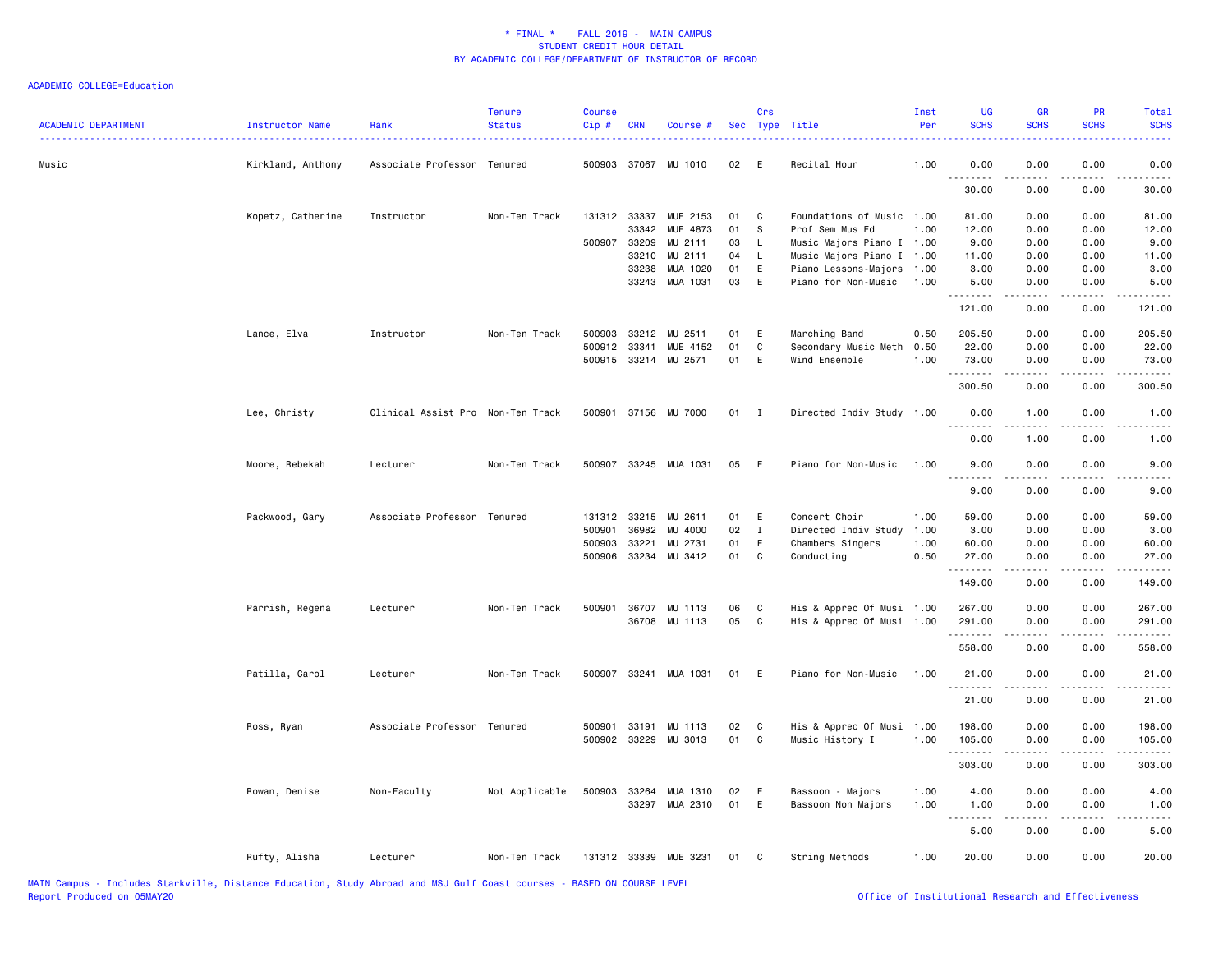| <b>ACADEMIC DEPARTMENT</b> | Instructor Name   | Rank                              | <b>Tenure</b><br><b>Status</b> | <b>Course</b><br>Cip# | <b>CRN</b>   | Course #              |    | Crs          | Sec Type Title            | Inst<br>Per | UG<br><b>SCHS</b> | <b>GR</b><br><b>SCHS</b>                                                                                                                                     | PR<br><b>SCHS</b> | <b>Total</b><br><b>SCHS</b>                                                                                                       |
|----------------------------|-------------------|-----------------------------------|--------------------------------|-----------------------|--------------|-----------------------|----|--------------|---------------------------|-------------|-------------------|--------------------------------------------------------------------------------------------------------------------------------------------------------------|-------------------|-----------------------------------------------------------------------------------------------------------------------------------|
| Music                      | Kirkland, Anthony | Associate Professor Tenured       |                                |                       |              | 500903 37067 MU 1010  | 02 | E            | Recital Hour              | 1.00        | 0.00<br>.         | 0.00                                                                                                                                                         | 0.00              | 0.00                                                                                                                              |
|                            |                   |                                   |                                |                       |              |                       |    |              |                           |             | 30.00             | 0.00                                                                                                                                                         | 0.00              | 30.00                                                                                                                             |
|                            | Kopetz, Catherine | Instructor                        | Non-Ten Track                  | 131312 33337          |              | MUE 2153              | 01 | C            | Foundations of Music 1.00 |             | 81.00             | 0.00                                                                                                                                                         | 0.00              | 81.00                                                                                                                             |
|                            |                   |                                   |                                |                       | 33342        | MUE 4873              | 01 | s            | Prof Sem Mus Ed           | 1.00        | 12.00             | 0.00                                                                                                                                                         | 0.00              | 12.00                                                                                                                             |
|                            |                   |                                   |                                |                       | 500907 33209 | MU 2111               | 03 | L            | Music Majors Piano I 1.00 |             | 9.00              | 0.00                                                                                                                                                         | 0.00              | 9.00                                                                                                                              |
|                            |                   |                                   |                                |                       | 33210        | MU 2111               | 04 | L            | Music Majors Piano I 1.00 |             | 11.00             | 0.00                                                                                                                                                         | 0.00              | 11.00                                                                                                                             |
|                            |                   |                                   |                                |                       | 33238        | MUA 1020              | 01 | E            | Piano Lessons-Majors 1.00 |             | 3.00              | 0.00                                                                                                                                                         | 0.00              | 3.00                                                                                                                              |
|                            |                   |                                   |                                |                       |              | 33243 MUA 1031        | 03 | E            | Piano for Non-Music       | 1.00        | 5.00<br>.         | 0.00                                                                                                                                                         | 0.00<br>.         | 5.00                                                                                                                              |
|                            |                   |                                   |                                |                       |              |                       |    |              |                           |             | 121.00            | 0.00                                                                                                                                                         | 0.00              | 121.00                                                                                                                            |
|                            | Lance, Elva       | Instructor                        | Non-Ten Track                  | 500903                |              | 33212 MU 2511         | 01 | E            | Marching Band             | 0.50        | 205.50            | 0.00                                                                                                                                                         | 0.00              | 205.50                                                                                                                            |
|                            |                   |                                   |                                | 500912                | 33341        | MUE 4152              | 01 | C            | Secondary Music Meth      | 0.50        | 22.00             | 0.00                                                                                                                                                         | 0.00              | 22.00                                                                                                                             |
|                            |                   |                                   |                                |                       |              | 500915 33214 MU 2571  | 01 | E            | Wind Ensemble             | 1.00        | 73.00<br>.        | 0.00                                                                                                                                                         | 0.00<br>.         | 73.00<br>.                                                                                                                        |
|                            |                   |                                   |                                |                       |              |                       |    |              |                           |             | 300.50            | 0.00                                                                                                                                                         | 0.00              | 300.50                                                                                                                            |
|                            | Lee, Christy      | Clinical Assist Pro Non-Ten Track |                                |                       |              | 500901 37156 MU 7000  | 01 | $\mathbf{I}$ | Directed Indiv Study 1.00 |             | 0.00              | 1.00                                                                                                                                                         | 0.00              | 1.00                                                                                                                              |
|                            |                   |                                   |                                |                       |              |                       |    |              |                           |             | .<br>0.00         | $\frac{1}{2} \left( \frac{1}{2} \right) \left( \frac{1}{2} \right) \left( \frac{1}{2} \right) \left( \frac{1}{2} \right) \left( \frac{1}{2} \right)$<br>1.00 | 0.00              | .<br>1.00                                                                                                                         |
|                            | Moore, Rebekah    | Lecturer                          | Non-Ten Track                  |                       |              | 500907 33245 MUA 1031 | 05 | E            | Piano for Non-Music       | 1.00        | 9.00              | 0.00                                                                                                                                                         | 0.00              | 9.00                                                                                                                              |
|                            |                   |                                   |                                |                       |              |                       |    |              |                           |             | .<br>9.00         | <u>.</u><br>0.00                                                                                                                                             | $- - - -$<br>0.00 | $\frac{1}{2} \left( \frac{1}{2} \right) \left( \frac{1}{2} \right) \left( \frac{1}{2} \right) \left( \frac{1}{2} \right)$<br>9.00 |
|                            | Packwood, Gary    | Associate Professor Tenured       |                                |                       | 131312 33215 | MU 2611               | 01 | E            | Concert Choir             | 1.00        | 59.00             | 0.00                                                                                                                                                         | 0.00              | 59.00                                                                                                                             |
|                            |                   |                                   |                                | 500901                | 36982        | MU 4000               | 02 | $\mathbf{I}$ | Directed Indiv Study      | 1.00        | 3.00              | 0.00                                                                                                                                                         | 0.00              | 3.00                                                                                                                              |
|                            |                   |                                   |                                | 500903                | 33221        | MU 2731               | 01 | E            | Chambers Singers          | 1.00        | 60.00             | 0.00                                                                                                                                                         | 0.00              | 60.00                                                                                                                             |
|                            |                   |                                   |                                |                       |              | 500906 33234 MU 3412  | 01 | C            | Conducting                | 0.50        | 27.00             | 0.00                                                                                                                                                         | 0.00              | 27.00                                                                                                                             |
|                            |                   |                                   |                                |                       |              |                       |    |              |                           |             | .                 |                                                                                                                                                              |                   |                                                                                                                                   |
|                            |                   |                                   |                                |                       |              |                       |    |              |                           |             | 149.00            | 0.00                                                                                                                                                         | 0.00              | 149.00                                                                                                                            |
|                            | Parrish, Regena   | Lecturer                          | Non-Ten Track                  |                       |              | 500901 36707 MU 1113  | 06 | C            | His & Apprec Of Musi 1.00 |             | 267.00            | 0.00                                                                                                                                                         | 0.00              | 267.00                                                                                                                            |
|                            |                   |                                   |                                |                       |              | 36708 MU 1113         | 05 | C.           | His & Apprec Of Musi 1.00 |             | 291.00<br>.       | 0.00<br><u>.</u>                                                                                                                                             | 0.00<br>.         | 291.00<br>.                                                                                                                       |
|                            |                   |                                   |                                |                       |              |                       |    |              |                           |             | 558.00            | 0.00                                                                                                                                                         | 0.00              | 558.00                                                                                                                            |
|                            | Patilla, Carol    | Lecturer                          | Non-Ten Track                  |                       |              | 500907 33241 MUA 1031 | 01 | E            | Piano for Non-Music       | 1.00        | 21.00             | 0.00                                                                                                                                                         | 0.00              | 21.00                                                                                                                             |
|                            |                   |                                   |                                |                       |              |                       |    |              |                           |             | .<br>21.00        | .<br>0.00                                                                                                                                                    | .<br>0.00         | .<br>21.00                                                                                                                        |
|                            | Ross, Ryan        | Associate Professor Tenured       |                                |                       |              | 500901 33191 MU 1113  | 02 | C            | His & Apprec Of Musi 1.00 |             | 198.00            | 0.00                                                                                                                                                         | 0.00              | 198.00                                                                                                                            |
|                            |                   |                                   |                                |                       |              | 500902 33229 MU 3013  | 01 | C            | Music History I           | 1.00        | 105.00            | 0.00                                                                                                                                                         | 0.00              | 105.00                                                                                                                            |
|                            |                   |                                   |                                |                       |              |                       |    |              |                           |             | .                 |                                                                                                                                                              |                   |                                                                                                                                   |
|                            |                   |                                   |                                |                       |              |                       |    |              |                           |             | 303.00            | 0.00                                                                                                                                                         | 0.00              | 303.00                                                                                                                            |
|                            | Rowan, Denise     | Non-Faculty                       | Not Applicable                 |                       |              | 500903 33264 MUA 1310 | 02 | E            | Bassoon - Majors          | 1.00        | 4.00              | 0.00                                                                                                                                                         | 0.00              | 4.00                                                                                                                              |
|                            |                   |                                   |                                |                       |              | 33297 MUA 2310        | 01 | E            | Bassoon Non Majors        | 1.00        | 1.00<br><b></b>   | 0.00                                                                                                                                                         | 0.00              | 1.00                                                                                                                              |
|                            |                   |                                   |                                |                       |              |                       |    |              |                           |             | 5.00              | 0.00                                                                                                                                                         | 0.00              | 5.00                                                                                                                              |
|                            | Rufty, Alisha     | Lecturer                          | Non-Ten Track                  |                       |              | 131312 33339 MUE 3231 | 01 | $\mathbf{C}$ | String Methods            | 1.00        | 20.00             | 0.00                                                                                                                                                         | 0.00              | 20.00                                                                                                                             |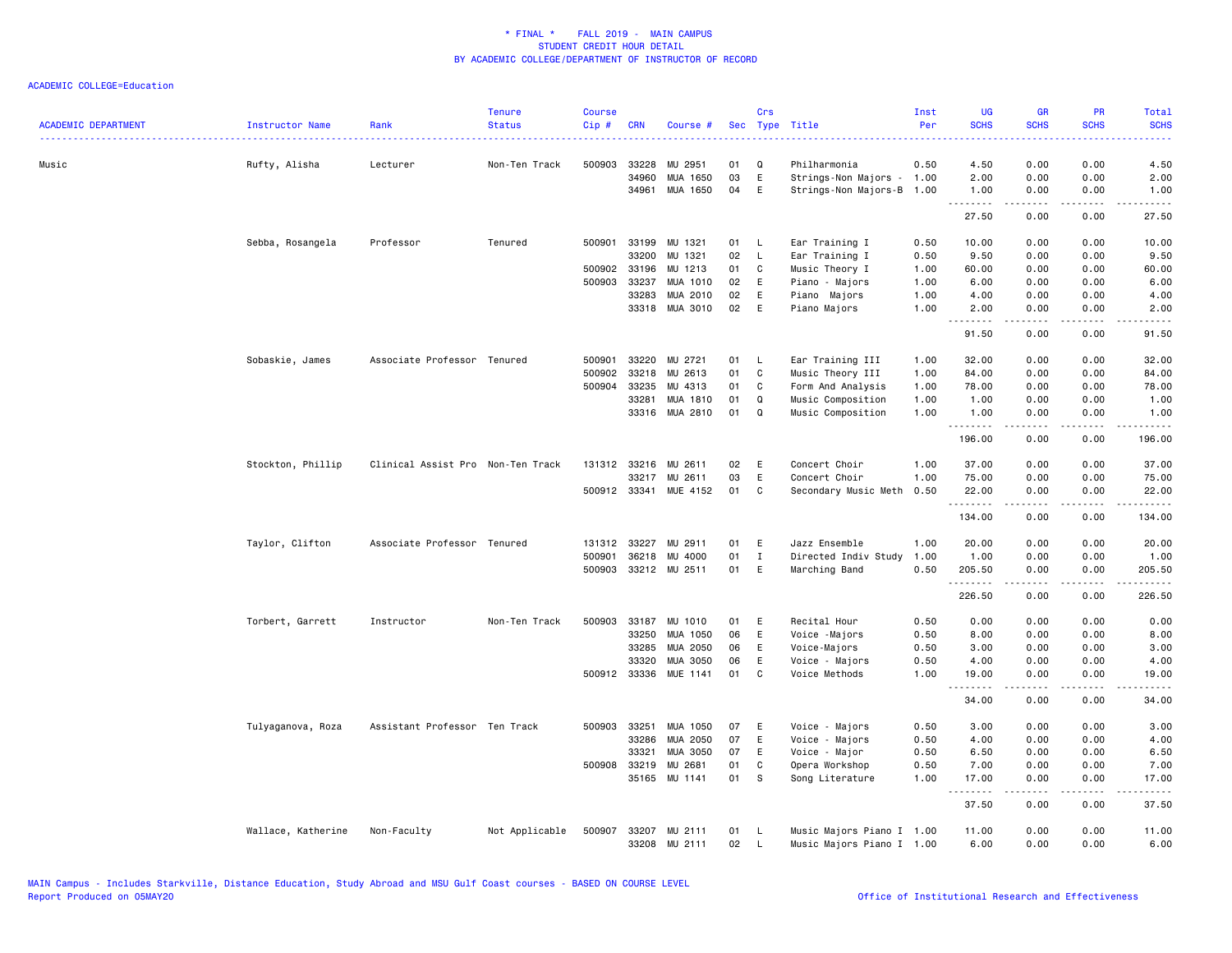ACADEMIC COLLEGE=Education

| <b>ACADEMIC DEPARTMENT</b> | Instructor Name    | Rank                              | <b>Tenure</b><br><b>Status</b> | <b>Course</b><br>Cip# | <b>CRN</b>   | Course #              |    | Crs          | Sec Type Title            | Inst<br>Per | UG<br><b>SCHS</b>  | <b>GR</b><br><b>SCHS</b> | PR<br><b>SCHS</b><br>.       | Total<br><b>SCHS</b><br>.                                                                                                                                    |
|----------------------------|--------------------|-----------------------------------|--------------------------------|-----------------------|--------------|-----------------------|----|--------------|---------------------------|-------------|--------------------|--------------------------|------------------------------|--------------------------------------------------------------------------------------------------------------------------------------------------------------|
| Music                      | Rufty, Alisha      | Lecturer                          | Non-Ten Track                  | 500903                | 33228        | MU 2951               | 01 | Q            | Philharmonia              | 0.50        | 4.50               | 0.00                     | 0.00                         | 4.50                                                                                                                                                         |
|                            |                    |                                   |                                |                       | 34960        | MUA 1650              | 03 | E            | Strings-Non Majors - 1.00 |             | 2.00               | 0.00                     | 0.00                         | 2.00                                                                                                                                                         |
|                            |                    |                                   |                                |                       | 34961        | MUA 1650              | 04 | E            | Strings-Non Majors-B      | 1.00        | 1.00<br><u>.</u>   | 0.00<br>.                | 0.00<br>.                    | 1.00<br>.                                                                                                                                                    |
|                            |                    |                                   |                                |                       |              |                       |    |              |                           |             | 27.50              | 0.00                     | 0.00                         | 27.50                                                                                                                                                        |
|                            | Sebba, Rosangela   | Professor                         | Tenured                        | 500901                | 33199        | MU 1321               | 01 | - L          | Ear Training I            | 0.50        | 10.00              | 0.00                     | 0.00                         | 10.00                                                                                                                                                        |
|                            |                    |                                   |                                |                       | 33200        | MU 1321               | 02 | L.           | Ear Training I            | 0.50        | 9.50               | 0.00                     | 0.00                         | 9.50                                                                                                                                                         |
|                            |                    |                                   |                                |                       | 500902 33196 | MU 1213               | 01 | $\mathbf c$  | Music Theory I            | 1.00        | 60.00              | 0.00                     | 0.00                         | 60.00                                                                                                                                                        |
|                            |                    |                                   |                                | 500903                | 33237        | MUA 1010              | 02 | E            | Piano - Majors            | 1.00        | 6.00               | 0.00                     | 0.00                         | 6.00                                                                                                                                                         |
|                            |                    |                                   |                                |                       | 33283        | MUA 2010              | 02 | E            | Piano Majors              | 1.00        | 4.00               | 0.00                     | 0.00                         | 4.00                                                                                                                                                         |
|                            |                    |                                   |                                |                       |              | 33318 MUA 3010        | 02 | E            | Piano Majors              | 1.00        | 2.00<br>.          | 0.00<br>.                | 0.00<br>.                    | 2.00<br>$\frac{1}{2} \left( \frac{1}{2} \right) \left( \frac{1}{2} \right) \left( \frac{1}{2} \right) \left( \frac{1}{2} \right) \left( \frac{1}{2} \right)$ |
|                            |                    |                                   |                                |                       |              |                       |    |              |                           |             | 91.50              | 0.00                     | 0.00                         | 91.50                                                                                                                                                        |
|                            | Sobaskie, James    | Associate Professor Tenured       |                                | 500901                | 33220        | MU 2721               | 01 | L.           | Ear Training III          | 1.00        | 32.00              | 0.00                     | 0.00                         | 32.00                                                                                                                                                        |
|                            |                    |                                   |                                | 500902                | 33218        | MU 2613               | 01 | C.           | Music Theory III          | 1.00        | 84.00              | 0.00                     | 0.00                         | 84.00                                                                                                                                                        |
|                            |                    |                                   |                                | 500904                | 33235        | MU 4313               | 01 | C            | Form And Analysis         | 1.00        | 78.00              | 0.00                     | 0.00                         | 78.00                                                                                                                                                        |
|                            |                    |                                   |                                |                       | 33281        | MUA 1810              | 01 | Q            | Music Composition         | 1.00        | 1.00               | 0.00                     | 0.00                         | 1.00                                                                                                                                                         |
|                            |                    |                                   |                                |                       |              | 33316 MUA 2810        | 01 | Q            | Music Composition         | 1.00        | 1.00               | 0.00                     | 0.00                         | 1.00                                                                                                                                                         |
|                            |                    |                                   |                                |                       |              |                       |    |              |                           |             | .<br>196.00        | .<br>0.00                | $\sim$ $\sim$ $\sim$<br>0.00 | .<br>196.00                                                                                                                                                  |
|                            | Stockton, Phillip  | Clinical Assist Pro Non-Ten Track |                                |                       | 131312 33216 | MU 2611               | 02 | E            | Concert Choir             | 1.00        | 37.00              | 0.00                     | 0.00                         | 37.00                                                                                                                                                        |
|                            |                    |                                   |                                |                       |              | 33217 MU 2611         | 03 | E            | Concert Choir             | 1.00        | 75.00              | 0.00                     | 0.00                         | 75.00                                                                                                                                                        |
|                            |                    |                                   |                                |                       |              | 500912 33341 MUE 4152 | 01 | C            | Secondary Music Meth      | 0.50        | 22.00              | 0.00                     | 0.00                         | 22.00                                                                                                                                                        |
|                            |                    |                                   |                                |                       |              |                       |    |              |                           |             | <u>.</u><br>134.00 | .<br>0.00                | .<br>0.00                    | .<br>134.00                                                                                                                                                  |
|                            | Taylor, Clifton    | Associate Professor Tenured       |                                | 131312                | 33227        | MU 2911               | 01 | E            | Jazz Ensemble             | 1.00        | 20.00              | 0.00                     | 0.00                         | 20.00                                                                                                                                                        |
|                            |                    |                                   |                                | 500901                | 36218        | MU 4000               | 01 | $\mathbf{I}$ | Directed Indiv Study      | 1.00        | 1.00               | 0.00                     | 0.00                         | 1.00                                                                                                                                                         |
|                            |                    |                                   |                                |                       |              | 500903 33212 MU 2511  | 01 | E            | Marching Band             | 0.50        | 205.50             | 0.00                     | 0.00                         | 205.50                                                                                                                                                       |
|                            |                    |                                   |                                |                       |              |                       |    |              |                           |             | <u>.</u><br>226.50 | .<br>0.00                | .<br>0.00                    | <u>.</u><br>226.50                                                                                                                                           |
|                            | Torbert, Garrett   | Instructor                        | Non-Ten Track                  | 500903                | 33187        | MU 1010               | 01 | E            | Recital Hour              | 0.50        | 0.00               | 0.00                     | 0.00                         | 0.00                                                                                                                                                         |
|                            |                    |                                   |                                |                       | 33250        | MUA 1050              | 06 | E            | Voice -Majors             | 0.50        | 8.00               | 0.00                     | 0.00                         | 8.00                                                                                                                                                         |
|                            |                    |                                   |                                |                       | 33285        | MUA 2050              | 06 | Ε            | Voice-Majors              | 0.50        | 3.00               | 0.00                     | 0.00                         | 3.00                                                                                                                                                         |
|                            |                    |                                   |                                |                       | 33320        | <b>MUA 3050</b>       | 06 | E            | Voice - Majors            | 0.50        | 4.00               | 0.00                     | 0.00                         | 4.00                                                                                                                                                         |
|                            |                    |                                   |                                |                       |              | 500912 33336 MUE 1141 | 01 | C.           | Voice Methods             | 1.00        | 19.00              | 0.00                     | 0.00                         | 19.00                                                                                                                                                        |
|                            |                    |                                   |                                |                       |              |                       |    |              |                           |             | <u>.</u><br>34.00  | 0.00                     | $\frac{1}{2}$<br>0.00        | .<br>34.00                                                                                                                                                   |
|                            | Tulyaganova, Roza  | Assistant Professor Ten Track     |                                | 500903                | 33251        | MUA 1050              | 07 | E            | Voice - Majors            | 0.50        | 3.00               | 0.00                     | 0.00                         | 3.00                                                                                                                                                         |
|                            |                    |                                   |                                |                       | 33286        | MUA 2050              | 07 | E            | Voice - Majors            | 0.50        | 4.00               | 0.00                     | 0.00                         | 4.00                                                                                                                                                         |
|                            |                    |                                   |                                |                       | 33321        | MUA 3050              | 07 | E            | Voice - Major             | 0.50        | 6.50               | 0.00                     | 0.00                         | 6.50                                                                                                                                                         |
|                            |                    |                                   |                                | 500908                | 33219        | MU 2681               | 01 | C            | Opera Workshop            | 0.50        | 7.00               | 0.00                     | 0.00                         | 7.00                                                                                                                                                         |
|                            |                    |                                   |                                |                       |              | 35165 MU 1141         | 01 | <b>S</b>     | Song Literature           | 1.00        | 17.00              | 0.00                     | 0.00                         | 17.00                                                                                                                                                        |
|                            |                    |                                   |                                |                       |              |                       |    |              |                           |             | .<br>37.50         | .<br>0.00                | .<br>0.00                    | .<br>37.50                                                                                                                                                   |
|                            | Wallace, Katherine | Non-Faculty                       | Not Applicable                 | 500907                |              | 33207 MU 2111         | 01 | - L          | Music Majors Piano I 1.00 |             | 11.00              | 0.00                     | 0.00                         | 11.00                                                                                                                                                        |
|                            |                    |                                   |                                |                       |              | 33208 MU 2111         | 02 | L.           | Music Majors Piano I 1.00 |             | 6.00               | 0.00                     | 0.00                         | 6.00                                                                                                                                                         |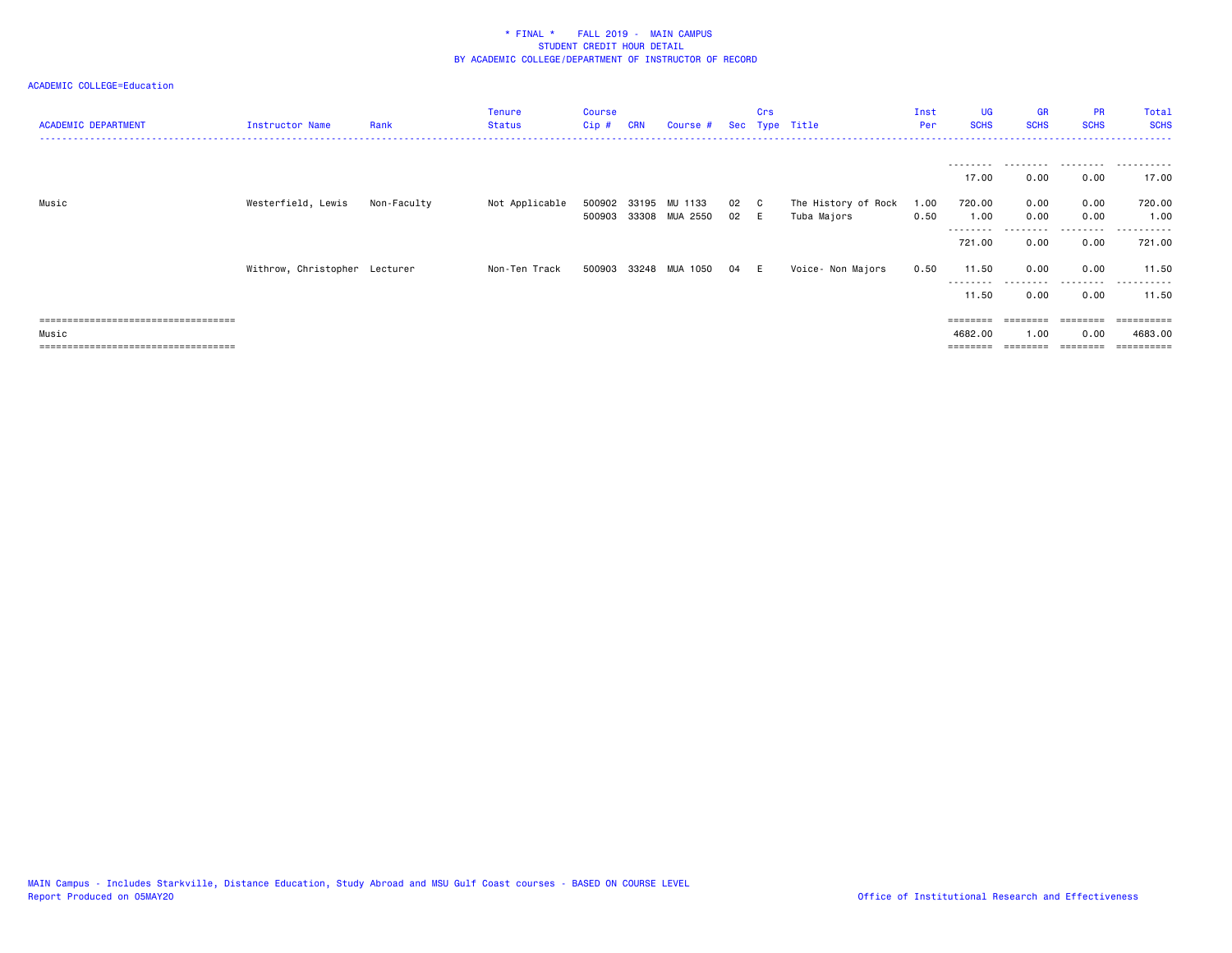### ACADEMIC COLLEGE=Education

| <b>ACADEMIC DEPARTMENT</b>             | Instructor Name               | Rank        | <b>Tenure</b><br><b>Status</b> | Course<br>Cip# | <b>CRN</b> | Course #              |      | Crs | Sec Type Title      | Inst<br>Per | <b>UG</b><br><b>SCHS</b> | <b>GR</b><br><b>SCHS</b> | <b>PR</b><br><b>SCHS</b> | Total<br><b>SCHS</b><br>. <b>.</b> . |
|----------------------------------------|-------------------------------|-------------|--------------------------------|----------------|------------|-----------------------|------|-----|---------------------|-------------|--------------------------|--------------------------|--------------------------|--------------------------------------|
|                                        |                               |             |                                |                |            |                       |      |     |                     |             | ---------                | .                        | .                        | .                                    |
|                                        |                               |             |                                |                |            |                       |      |     |                     |             | 17.00                    | 0.00                     | 0.00                     | 17.00                                |
| Music                                  | Westerfield, Lewis            | Non-Faculty | Not Applicable                 | 500902         | 33195      | MU 1133               | 02 C |     | The History of Rock | 1.00        | 720.00                   | 0.00                     | 0.00                     | 720.00                               |
|                                        |                               |             |                                |                |            | 500903 33308 MUA 2550 | 02   | - E | Tuba Majors         | 0.50        | 1.00<br>---------        | 0.00                     | 0.00<br>.                | 1.00<br>.                            |
|                                        |                               |             |                                |                |            |                       |      |     |                     |             | 721.00                   | 0.00                     | 0.00                     | 721.00                               |
|                                        | Withrow, Christopher Lecturer |             | Non-Ten Track                  | 500903         |            | 33248 MUA 1050        | 04   | - E | Voice- Non Majors   | 0.50        | 11.50                    | 0.00                     | 0.00                     | 11.50                                |
|                                        |                               |             |                                |                |            |                       |      |     |                     |             | .<br>11.50               | ---------<br>0.00        | .<br>0.00                | .<br>11.50                           |
| ====================================   |                               |             |                                |                |            |                       |      |     |                     |             |                          |                          |                          |                                      |
| Music                                  |                               |             |                                |                |            |                       |      |     |                     |             | 4682.00                  | 1.00                     | 0.00                     | 4683,00                              |
| ====================================== |                               |             |                                |                |            |                       |      |     |                     |             |                          |                          | ========                 | ==========                           |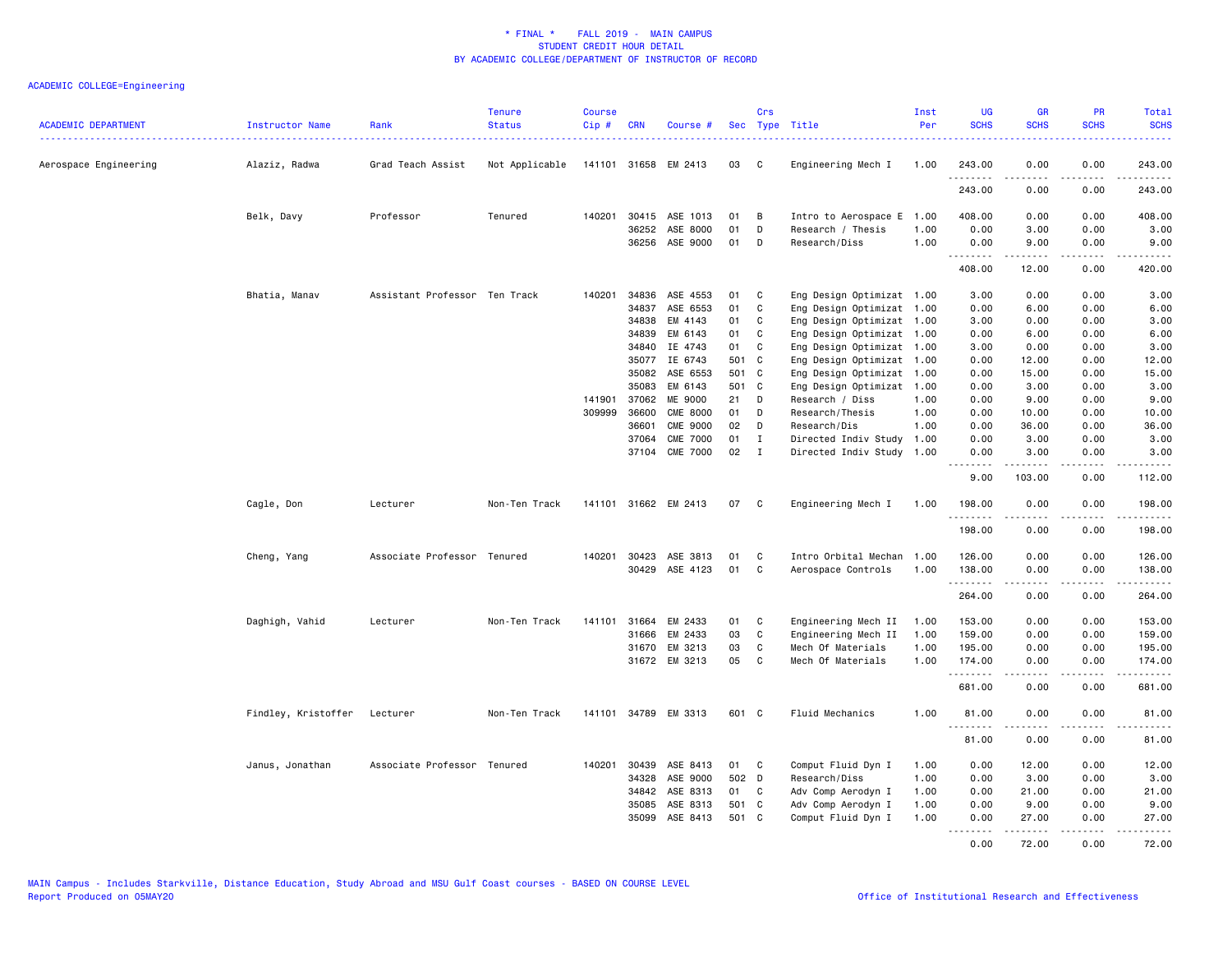| <b>ACADEMIC DEPARTMENT</b> | Instructor Name              | Rank                          | <b>Tenure</b><br><b>Status</b> | <b>Course</b><br>Cip# | <b>CRN</b>     | Course #              |                | Crs<br>Sec Type Title |                                              | Inst<br>Per  | <b>UG</b><br><b>SCHS</b> | GR<br><b>SCHS</b>    | PR<br><b>SCHS</b>           | Total<br><b>SCHS</b>   |
|----------------------------|------------------------------|-------------------------------|--------------------------------|-----------------------|----------------|-----------------------|----------------|-----------------------|----------------------------------------------|--------------|--------------------------|----------------------|-----------------------------|------------------------|
| Aerospace Engineering      | Alaziz, Radwa                | Grad Teach Assist             | Not Applicable                 |                       |                | 141101 31658 EM 2413  | 03             | C                     | Engineering Mech I                           | 1.00         | 243.00<br>.              | 0.00<br>.            | 0.00<br>.                   | 243.00<br>. <u>.</u> . |
|                            |                              |                               |                                |                       |                |                       |                |                       |                                              |              | 243.00                   | 0.00                 | 0.00                        | 243.00                 |
|                            | Belk, Davy                   | Professor                     | Tenured                        |                       |                | 140201 30415 ASE 1013 | 01             | B                     | Intro to Aerospace E                         | 1.00         | 408.00                   | 0.00                 | 0.00                        | 408.00                 |
|                            |                              |                               |                                |                       | 36252          | ASE 8000              | 01             | D                     | Research / Thesis                            | 1.00         | 0.00                     | 3.00                 | 0.00                        | 3.00                   |
|                            |                              |                               |                                |                       |                | 36256 ASE 9000        | 01             | D                     | Research/Diss                                | 1.00         | 0.00<br>1.1.1.1.1.1.1    | 9.00<br>.            | 0.00                        | 9.00<br>.              |
|                            |                              |                               |                                |                       |                |                       |                |                       |                                              |              | 408.00                   | 12.00                | 0.00                        | 420.00                 |
|                            | Bhatia, Manav                | Assistant Professor Ten Track |                                | 140201                | 34836          | ASE 4553              | 01             | C                     | Eng Design Optimizat 1.00                    |              | 3.00                     | 0.00                 | 0.00                        | 3.00                   |
|                            |                              |                               |                                |                       | 34837          | ASE 6553              | 01             | C                     | Eng Design Optimizat 1.00                    |              | 0.00                     | 6.00                 | 0.00                        | 6.00                   |
|                            |                              |                               |                                |                       | 34838          | EM 4143               | 01             | C                     | Eng Design Optimizat 1.00                    |              | 3.00                     | 0.00                 | 0.00                        | 3.00                   |
|                            |                              |                               |                                |                       | 34839          | EM 6143               | 01             | C                     | Eng Design Optimizat 1.00                    |              | 0.00                     | 6.00                 | 0.00                        | 6.00                   |
|                            |                              |                               |                                |                       | 34840          | IE 4743               | 01             | $\mathbb{C}$          | Eng Design Optimizat                         | 1.00         | 3.00                     | 0.00                 | 0.00                        | 3.00                   |
|                            |                              |                               |                                |                       | 35077          | IE 6743               | 501            | $\mathbf{C}$          | Eng Design Optimizat                         | 1.00         | 0.00                     | 12.00                | 0.00                        | 12.00                  |
|                            |                              |                               |                                |                       | 35082<br>35083 | ASE 6553<br>EM 6143   | 501 C<br>501 C |                       | Eng Design Optimizat<br>Eng Design Optimizat | 1.00<br>1.00 | 0.00<br>0.00             | 15.00<br>3.00        | 0.00<br>0.00                | 15.00<br>3.00          |
|                            |                              |                               |                                | 141901                | 37062          | ME 9000               | 21             | D                     | Research / Diss                              | 1.00         | 0.00                     | 9.00                 | 0.00                        | 9.00                   |
|                            |                              |                               |                                | 309999                | 36600          | <b>CME 8000</b>       | 01             | D                     | Research/Thesis                              | 1.00         | 0.00                     | 10.00                | 0.00                        | 10.00                  |
|                            |                              |                               |                                |                       | 36601          | <b>CME 9000</b>       | 02             | D                     | Research/Dis                                 | 1.00         | 0.00                     | 36.00                | 0.00                        | 36.00                  |
|                            |                              |                               |                                |                       | 37064          | <b>CME 7000</b>       | 01             | $\mathbf{I}$          | Directed Indiv Study                         | 1.00         | 0.00                     | 3.00                 | 0.00                        | 3.00                   |
|                            |                              |                               |                                |                       | 37104          | <b>CME 7000</b>       | 02             | $\mathbf{I}$          | Directed Indiv Study 1.00                    |              | 0.00                     | 3.00                 | 0.00                        | 3.00                   |
|                            |                              |                               |                                |                       |                |                       |                |                       |                                              |              | .<br>9.00                | .<br>103.00          | .<br>0.00                   | .<br>112.00            |
|                            | Cagle, Don                   | Lecturer                      | Non-Ten Track                  |                       |                | 141101 31662 EM 2413  | 07             | C                     | Engineering Mech I                           | 1.00         | 198.00                   | 0.00                 | 0.00                        | 198.00                 |
|                            |                              |                               |                                |                       |                |                       |                |                       |                                              |              | .                        | .                    | $\sim$ $\sim$ $\sim$ $\sim$ | <u>.</u>               |
|                            |                              |                               |                                |                       |                |                       |                |                       |                                              |              | 198.00                   | 0.00                 | 0.00                        | 198.00                 |
|                            | Cheng, Yang                  | Associate Professor Tenured   |                                |                       |                | 140201 30423 ASE 3813 | 01             | C                     | Intro Orbital Mechan                         | 1.00         | 126.00                   | 0.00                 | 0.00                        | 126.00                 |
|                            |                              |                               |                                |                       |                | 30429 ASE 4123        | 01             | C                     | Aerospace Controls                           | 1.00         | 138.00                   | 0.00                 | 0.00                        | 138.00                 |
|                            |                              |                               |                                |                       |                |                       |                |                       |                                              |              | .<br>264.00              | .<br>0.00            | .<br>0.00                   | 264.00                 |
|                            | Daghigh, Vahid               | Lecturer                      | Non-Ten Track                  | 141101                | 31664          | EM 2433               | 01             | C                     | Engineering Mech II                          | 1.00         | 153.00                   | 0.00                 | 0.00                        | 153.00                 |
|                            |                              |                               |                                |                       |                | 31666 EM 2433         | 03             | $\mathbb{C}$          | Engineering Mech II                          | 1.00         | 159.00                   | 0.00                 | 0.00                        | 159.00                 |
|                            |                              |                               |                                |                       |                | 31670 EM 3213         | 03             | C                     | Mech Of Materials                            | 1.00         | 195.00                   | 0.00                 | 0.00                        | 195.00                 |
|                            |                              |                               |                                |                       |                | 31672 EM 3213         | 05             | C.                    | Mech Of Materials                            | 1.00         | 174.00                   | 0.00                 | 0.00                        | 174.00                 |
|                            |                              |                               |                                |                       |                |                       |                |                       |                                              |              | .<br>681.00              | 0.00                 | $   -$<br>0.00              | .<br>681.00            |
|                            | Findley, Kristoffer Lecturer |                               | Non-Ten Track                  |                       |                | 141101 34789 EM 3313  | 601 C          |                       | Fluid Mechanics                              | 1.00         | 81.00                    | 0.00                 | 0.00                        | 81.00                  |
|                            |                              |                               |                                |                       |                |                       |                |                       |                                              |              | 81.00                    | 0.00                 | 0.00                        | 81.00                  |
|                            | Janus, Jonathan              | Associate Professor Tenured   |                                | 140201                |                | 30439 ASE 8413        | 01             | C                     | Comput Fluid Dyn I                           | 1.00         | 0.00                     | 12.00                | 0.00                        | 12.00                  |
|                            |                              |                               |                                |                       | 34328          | ASE 9000              | 502            | D                     | Research/Diss                                | 1.00         | 0.00                     | 3.00                 | 0.00                        | 3.00                   |
|                            |                              |                               |                                |                       | 34842          | ASE 8313              | 01             | C                     | Adv Comp Aerodyn I                           | 1.00         | 0.00                     | 21.00                | 0.00                        | 21.00                  |
|                            |                              |                               |                                |                       | 35085          | ASE 8313              | 501            | C                     | Adv Comp Aerodyn I                           | 1.00         | 0.00                     | 9.00                 | 0.00                        | 9.00                   |
|                            |                              |                               |                                |                       | 35099          | ASE 8413              | 501 C          |                       | Comput Fluid Dyn I                           | 1.00         | 0.00                     | 27.00                | 0.00                        | 27.00                  |
|                            |                              |                               |                                |                       |                |                       |                |                       |                                              |              | .<br>0.00                | $- - - - -$<br>72.00 | .<br>0.00                   | .<br>72.00             |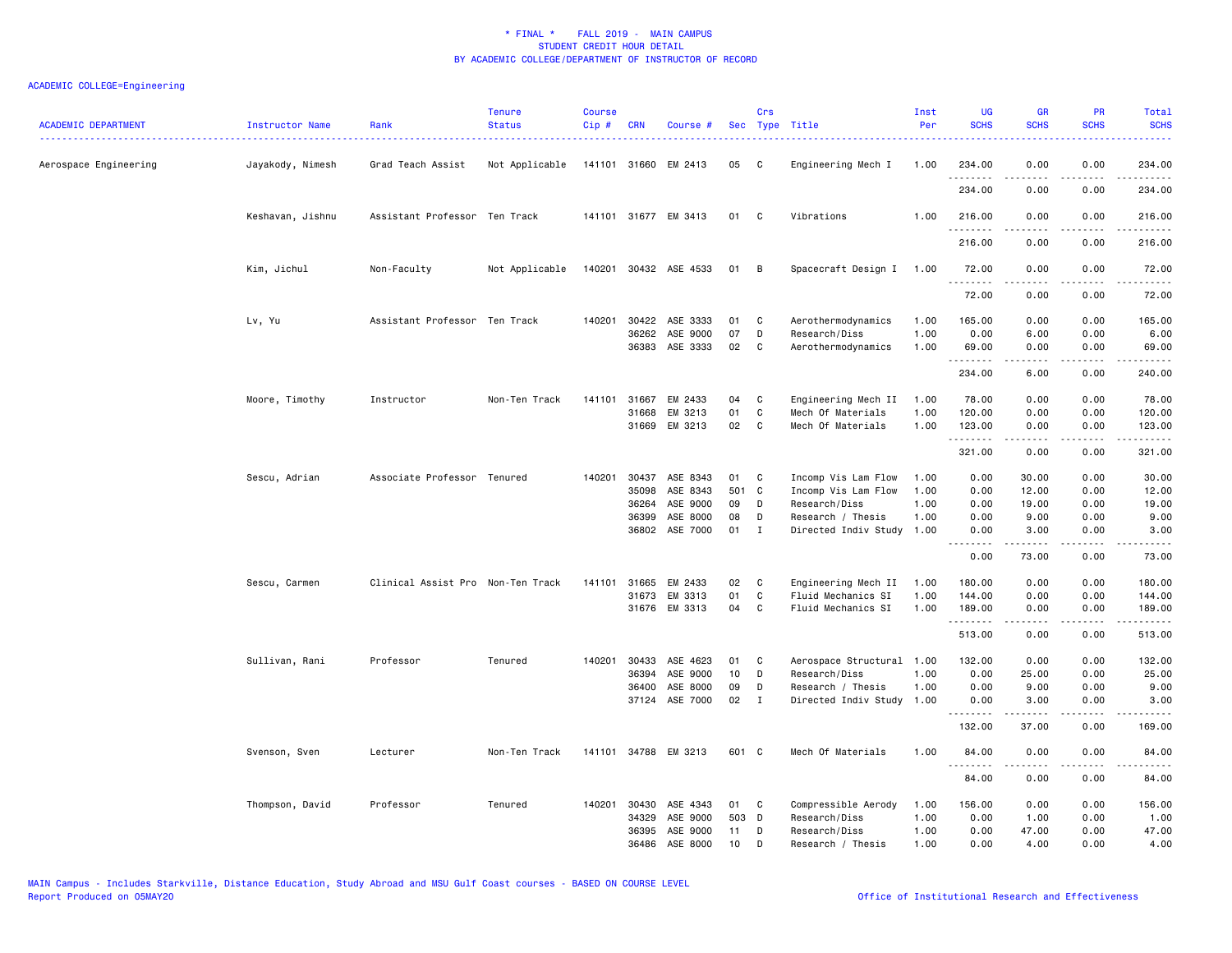| <b>ACADEMIC DEPARTMENT</b><br>------------------------------------- | Instructor Name<br>. <u>.</u> | Rank                              | <b>Tenure</b><br><b>Status</b> | <b>Course</b><br>Cip# | <b>CRN</b> | Course #             |       | Crs          | Sec Type Title            | Inst<br>Per | <b>UG</b><br><b>SCHS</b> | <b>GR</b><br><b>SCHS</b>                                                                                                                                                                | <b>PR</b><br><b>SCHS</b>                                                                                                          | Total<br><b>SCHS</b>                                                                                                                                           |
|---------------------------------------------------------------------|-------------------------------|-----------------------------------|--------------------------------|-----------------------|------------|----------------------|-------|--------------|---------------------------|-------------|--------------------------|-----------------------------------------------------------------------------------------------------------------------------------------------------------------------------------------|-----------------------------------------------------------------------------------------------------------------------------------|----------------------------------------------------------------------------------------------------------------------------------------------------------------|
| Aerospace Engineering                                               | Jayakody, Nimesh              | Grad Teach Assist                 | Not Applicable                 |                       |            | 141101 31660 EM 2413 | 05    | C            | Engineering Mech I        | 1.00        | 234.00<br>.              | 0.00                                                                                                                                                                                    | 0.00                                                                                                                              | 234.00                                                                                                                                                         |
|                                                                     |                               |                                   |                                |                       |            |                      |       |              |                           |             | 234.00                   | .<br>0.00                                                                                                                                                                               | 0.00                                                                                                                              | $- - - - -$<br>234.00                                                                                                                                          |
|                                                                     | Keshavan, Jishnu              | Assistant Professor Ten Track     |                                |                       |            | 141101 31677 EM 3413 | 01    | C.           | Vibrations                | 1.00        | 216.00<br>.              | 0.00                                                                                                                                                                                    | 0.00<br>$\frac{1}{2} \left( \frac{1}{2} \right) \left( \frac{1}{2} \right) \left( \frac{1}{2} \right) \left( \frac{1}{2} \right)$ | 216.00                                                                                                                                                         |
|                                                                     |                               |                                   |                                |                       |            |                      |       |              |                           |             | 216.00                   | 0.00                                                                                                                                                                                    | 0.00                                                                                                                              | 216.00                                                                                                                                                         |
|                                                                     | Kim, Jichul                   | Non-Faculty                       | Not Applicable                 | 140201                |            | 30432 ASE 4533       | 01    | B            | Spacecraft Design I       | 1.00        | 72.00<br>.               | 0.00<br>.                                                                                                                                                                               | 0.00<br>.                                                                                                                         | 72.00<br>.                                                                                                                                                     |
|                                                                     |                               |                                   |                                |                       |            |                      |       |              |                           |             | 72.00                    | 0.00                                                                                                                                                                                    | 0.00                                                                                                                              | 72.00                                                                                                                                                          |
|                                                                     | Lv, Yu                        | Assistant Professor Ten Track     |                                | 140201                | 30422      | ASE 3333             | 01    | C            | Aerothermodynamics        | 1.00        | 165.00                   | 0.00                                                                                                                                                                                    | 0.00                                                                                                                              | 165.00                                                                                                                                                         |
|                                                                     |                               |                                   |                                |                       | 36262      | ASE 9000             | 07    | D            | Research/Diss             | 1.00        | 0.00                     | 6.00                                                                                                                                                                                    | 0.00                                                                                                                              | 6.00                                                                                                                                                           |
|                                                                     |                               |                                   |                                |                       |            | 36383 ASE 3333       | 02    | C            | Aerothermodynamics        | 1.00        | 69.00<br>.               | 0.00<br><u>.</u>                                                                                                                                                                        | 0.00<br>.                                                                                                                         | 69.00<br>.                                                                                                                                                     |
|                                                                     |                               |                                   |                                |                       |            |                      |       |              |                           |             | 234.00                   | 6.00                                                                                                                                                                                    | 0.00                                                                                                                              | 240.00                                                                                                                                                         |
|                                                                     | Moore, Timothy                | Instructor                        | Non-Ten Track                  | 141101                | 31667      | EM 2433              | 04    | C            | Engineering Mech II       | 1.00        | 78.00                    | 0.00                                                                                                                                                                                    | 0.00                                                                                                                              | 78.00                                                                                                                                                          |
|                                                                     |                               |                                   |                                |                       | 31668      | EM 3213              | 01    | C            | Mech Of Materials         | 1.00        | 120.00                   | 0.00                                                                                                                                                                                    | 0.00                                                                                                                              | 120.00                                                                                                                                                         |
|                                                                     |                               |                                   |                                |                       |            | 31669 EM 3213        | 02    | C            | Mech Of Materials         | 1.00        | 123.00<br>.              | 0.00<br>$\frac{1}{2} \left( \frac{1}{2} \right) \left( \frac{1}{2} \right) \left( \frac{1}{2} \right) \left( \frac{1}{2} \right) \left( \frac{1}{2} \right)$                            | 0.00<br>د د د د                                                                                                                   | 123.00<br>$\frac{1}{2} \left( \frac{1}{2} \right) \left( \frac{1}{2} \right) \left( \frac{1}{2} \right) \left( \frac{1}{2} \right) \left( \frac{1}{2} \right)$ |
|                                                                     |                               |                                   |                                |                       |            |                      |       |              |                           |             | 321.00                   | 0.00                                                                                                                                                                                    | 0.00                                                                                                                              | 321.00                                                                                                                                                         |
|                                                                     | Sescu, Adrian                 | Associate Professor Tenured       |                                | 140201                |            | 30437 ASE 8343       | 01    | C            | Incomp Vis Lam Flow       | 1.00        | 0.00                     | 30.00                                                                                                                                                                                   | 0.00                                                                                                                              | 30.00                                                                                                                                                          |
|                                                                     |                               |                                   |                                |                       | 35098      | ASE 8343             | 501 C |              | Incomp Vis Lam Flow       | 1.00        | 0.00                     | 12.00                                                                                                                                                                                   | 0.00                                                                                                                              | 12.00                                                                                                                                                          |
|                                                                     |                               |                                   |                                |                       | 36264      | ASE 9000             | 09    | D            | Research/Diss             | 1.00        | 0.00                     | 19.00                                                                                                                                                                                   | 0.00                                                                                                                              | 19.00                                                                                                                                                          |
|                                                                     |                               |                                   |                                |                       | 36399      | ASE 8000             | 08    | D            | Research / Thesis         | 1.00        | 0.00                     | 9.00                                                                                                                                                                                    | 0.00                                                                                                                              | 9.00                                                                                                                                                           |
|                                                                     |                               |                                   |                                |                       | 36802      | ASE 7000             | 01    | I            | Directed Indiv Study      | 1.00        | 0.00<br>.                | 3.00<br>$\frac{1}{2} \left( \frac{1}{2} \right) \left( \frac{1}{2} \right) \left( \frac{1}{2} \right) \left( \frac{1}{2} \right) \left( \frac{1}{2} \right) \left( \frac{1}{2} \right)$ | 0.00<br>$\frac{1}{2} \left( \frac{1}{2} \right) \left( \frac{1}{2} \right) \left( \frac{1}{2} \right) \left( \frac{1}{2} \right)$ | 3.00                                                                                                                                                           |
|                                                                     |                               |                                   |                                |                       |            |                      |       |              |                           |             | 0.00                     | 73.00                                                                                                                                                                                   | 0.00                                                                                                                              | 73.00                                                                                                                                                          |
|                                                                     | Sescu, Carmen                 | Clinical Assist Pro Non-Ten Track |                                | 141101                | 31665      | EM 2433              | 02    | C            | Engineering Mech II       | 1.00        | 180.00                   | 0.00                                                                                                                                                                                    | 0.00                                                                                                                              | 180.00                                                                                                                                                         |
|                                                                     |                               |                                   |                                |                       | 31673      | EM 3313              | 01    | C            | Fluid Mechanics SI        | 1.00        | 144.00                   | 0.00                                                                                                                                                                                    | 0.00                                                                                                                              | 144.00                                                                                                                                                         |
|                                                                     |                               |                                   |                                |                       |            | 31676 EM 3313        | 04    | C            | Fluid Mechanics SI        | 1.00        | 189.00<br>.              | 0.00<br>$\frac{1}{2} \left( \frac{1}{2} \right) \left( \frac{1}{2} \right) \left( \frac{1}{2} \right) \left( \frac{1}{2} \right) \left( \frac{1}{2} \right)$                            | 0.00<br>.                                                                                                                         | 189.00<br>.                                                                                                                                                    |
|                                                                     |                               |                                   |                                |                       |            |                      |       |              |                           |             | 513.00                   | 0.00                                                                                                                                                                                    | 0.00                                                                                                                              | 513.00                                                                                                                                                         |
|                                                                     | Sullivan, Rani                | Professor                         | Tenured                        | 140201                | 30433      | ASE 4623             | 01    | C            | Aerospace Structural 1.00 |             | 132.00                   | 0.00                                                                                                                                                                                    | 0.00                                                                                                                              | 132.00                                                                                                                                                         |
|                                                                     |                               |                                   |                                |                       | 36394      | ASE 9000             | 10    | D            | Research/Diss             | 1.00        | 0.00                     | 25.00                                                                                                                                                                                   | 0.00                                                                                                                              | 25.00                                                                                                                                                          |
|                                                                     |                               |                                   |                                |                       | 36400      | ASE 8000             | 09    | D            | Research / Thesis         | 1.00        | 0.00                     | 9.00                                                                                                                                                                                    | 0.00                                                                                                                              | 9.00                                                                                                                                                           |
|                                                                     |                               |                                   |                                |                       | 37124      | ASE 7000             | 02    | $\mathbf{I}$ | Directed Indiv Study      | 1.00        | 0.00                     | 3.00                                                                                                                                                                                    | 0.00                                                                                                                              | 3.00                                                                                                                                                           |
|                                                                     |                               |                                   |                                |                       |            |                      |       |              |                           |             | 132.00                   | 37.00                                                                                                                                                                                   | 0.00                                                                                                                              | 169.00                                                                                                                                                         |
|                                                                     | Svenson, Sven                 | Lecturer                          | Non-Ten Track                  |                       |            | 141101 34788 EM 3213 | 601 C |              | Mech Of Materials         | 1.00        | 84.00                    | 0.00                                                                                                                                                                                    | 0.00                                                                                                                              | 84.00                                                                                                                                                          |
|                                                                     |                               |                                   |                                |                       |            |                      |       |              |                           |             | <u>.</u><br>84.00        | 0.00                                                                                                                                                                                    | 0.00                                                                                                                              | 84.00                                                                                                                                                          |
|                                                                     | Thompson, David               | Professor                         | Tenured                        | 140201                | 30430      | ASE 4343             | 01    | C            | Compressible Aerody       | 1.00        | 156.00                   | 0.00                                                                                                                                                                                    | 0.00                                                                                                                              | 156.00                                                                                                                                                         |
|                                                                     |                               |                                   |                                |                       | 34329      | ASE 9000             | 503   | D            | Research/Diss             | 1.00        | 0.00                     | 1.00                                                                                                                                                                                    | 0.00                                                                                                                              | 1.00                                                                                                                                                           |
|                                                                     |                               |                                   |                                |                       | 36395      | ASE 9000             | 11    | D            | Research/Diss             | 1.00        | 0.00                     | 47.00                                                                                                                                                                                   | 0.00                                                                                                                              | 47.00                                                                                                                                                          |
|                                                                     |                               |                                   |                                |                       | 36486      | ASE 8000             | 10    | D            | Research / Thesis         | 1.00        | 0.00                     | 4.00                                                                                                                                                                                    | 0.00                                                                                                                              | 4.00                                                                                                                                                           |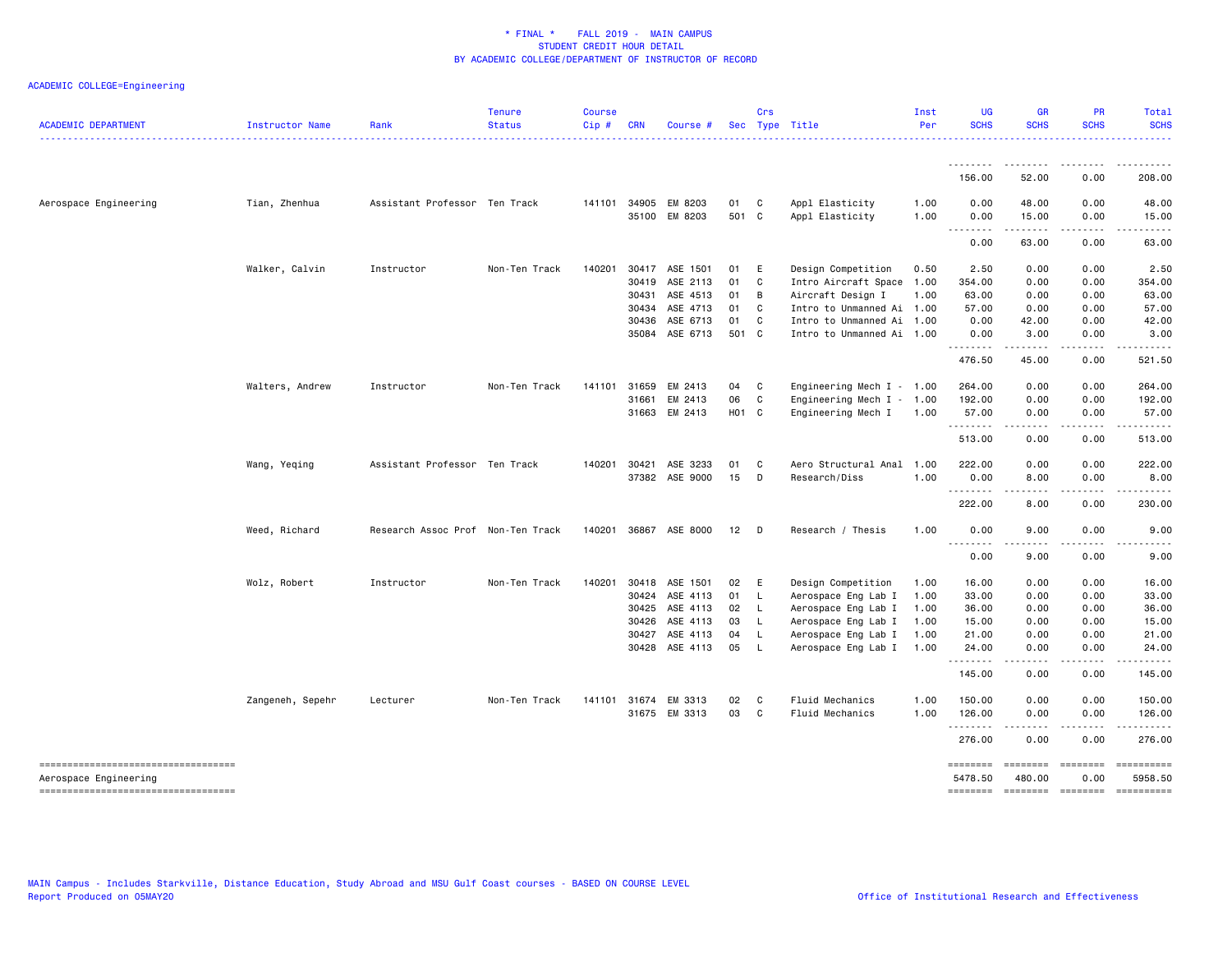| <b>ACADEMIC DEPARTMENT</b>                                   | Instructor Name  | Rank                              | <b>Tenure</b><br><b>Status</b> | <b>Course</b><br>Cip# | <b>CRN</b>   | Course #                 |             | Crs          | Sec Type Title                     | Inst<br>Per  | <b>UG</b><br><b>SCHS</b> | GR<br><b>SCHS</b>                                                                                                                                                                       | PR<br><b>SCHS</b>         | Total<br><b>SCHS</b>         |
|--------------------------------------------------------------|------------------|-----------------------------------|--------------------------------|-----------------------|--------------|--------------------------|-------------|--------------|------------------------------------|--------------|--------------------------|-----------------------------------------------------------------------------------------------------------------------------------------------------------------------------------------|---------------------------|------------------------------|
|                                                              |                  |                                   |                                |                       |              |                          |             |              |                                    |              |                          |                                                                                                                                                                                         |                           |                              |
|                                                              |                  |                                   |                                |                       |              |                          |             |              |                                    |              | 156.00                   | 52.00                                                                                                                                                                                   | 0.00                      | 208.00                       |
| Aerospace Engineering                                        | Tian, Zhenhua    | Assistant Professor Ten Track     |                                | 141101                | 34905        | EM 8203<br>35100 EM 8203 | 01<br>501 C | C            | Appl Elasticity<br>Appl Elasticity | 1.00<br>1.00 | 0.00<br>0.00             | 48.00<br>15.00                                                                                                                                                                          | 0.00<br>0.00              | 48.00<br>15.00               |
|                                                              |                  |                                   |                                |                       |              |                          |             |              |                                    |              | $ -$<br>$- - -$<br>0.00  | $- - - - -$<br>63.00                                                                                                                                                                    | .<br>0.00                 | 63.00                        |
|                                                              | Walker, Calvin   | Instructor                        | Non-Ten Track                  | 140201                | 30417        | ASE 1501                 | 01          | E            | Design Competition                 | 0.50         | 2.50                     | 0.00                                                                                                                                                                                    | 0.00                      | 2.50                         |
|                                                              |                  |                                   |                                |                       | 30419        | ASE 2113                 | 01          | C            | Intro Aircraft Space               | 1.00         | 354.00                   | 0.00                                                                                                                                                                                    | 0.00                      | 354.00                       |
|                                                              |                  |                                   |                                |                       | 30431        | ASE 4513                 | 01          | B            | Aircraft Design I                  | 1.00         | 63.00                    | 0.00                                                                                                                                                                                    | 0.00                      | 63.00                        |
|                                                              |                  |                                   |                                |                       | 30434        | ASE 4713                 | 01          | C            | Intro to Unmanned Ai 1.00          |              | 57.00                    | 0.00                                                                                                                                                                                    | 0.00                      | 57.00                        |
|                                                              |                  |                                   |                                |                       | 30436        | ASE 6713                 | 01          | C            | Intro to Unmanned Ai 1.00          |              | 0.00                     | 42.00                                                                                                                                                                                   | 0.00                      | 42.00                        |
|                                                              |                  |                                   |                                |                       | 35084        | ASE 6713                 | 501 C       |              | Intro to Unmanned Ai 1.00          |              | 0.00                     | 3.00                                                                                                                                                                                    | 0.00                      | 3.00                         |
|                                                              |                  |                                   |                                |                       |              |                          |             |              |                                    |              | .<br>476.50              | د د د د د<br>45.00                                                                                                                                                                      | .<br>0.00                 | والمستحدث والمنافذ<br>521.50 |
|                                                              |                  |                                   |                                |                       |              |                          |             |              |                                    |              |                          |                                                                                                                                                                                         |                           |                              |
|                                                              | Walters, Andrew  | Instructor                        | Non-Ten Track                  | 141101                | 31659        | EM 2413                  | 04          | $\mathbf{C}$ | Engineering Mech $I - 1.00$        |              | 264.00                   | 0.00                                                                                                                                                                                    | 0.00                      | 264.00                       |
|                                                              |                  |                                   |                                |                       | 31661        | EM 2413                  | 06          | C            | Engineering Mech I - 1.00          |              | 192.00                   | 0.00                                                                                                                                                                                    | 0.00                      | 192.00                       |
|                                                              |                  |                                   |                                |                       | 31663        | EM 2413                  | H01 C       |              | Engineering Mech I                 | 1.00         | 57.00<br>.               | 0.00<br>$\frac{1}{2} \left( \frac{1}{2} \right) \left( \frac{1}{2} \right) \left( \frac{1}{2} \right) \left( \frac{1}{2} \right) \left( \frac{1}{2} \right) \left( \frac{1}{2} \right)$ | 0.00<br>.                 | 57.00                        |
|                                                              |                  |                                   |                                |                       |              |                          |             |              |                                    |              | 513.00                   | 0.00                                                                                                                                                                                    | 0.00                      | 513.00                       |
|                                                              | Wang, Yeqing     | Assistant Professor Ten Track     |                                |                       | 140201 30421 | ASE 3233                 | 01          | C.           | Aero Structural Anal 1.00          |              | 222.00                   | 0.00                                                                                                                                                                                    | 0.00                      | 222.00                       |
|                                                              |                  |                                   |                                |                       |              | 37382 ASE 9000           | 15          | D            | Research/Diss                      | 1.00         | 0.00<br>.                | 8.00<br>$\frac{1}{2} \left( \frac{1}{2} \right) \left( \frac{1}{2} \right) \left( \frac{1}{2} \right) \left( \frac{1}{2} \right) \left( \frac{1}{2} \right)$                            | 0.00<br>.                 | 8.00                         |
|                                                              |                  |                                   |                                |                       |              |                          |             |              |                                    |              | 222.00                   | 8.00                                                                                                                                                                                    | 0.00                      | 230.00                       |
|                                                              | Weed, Richard    | Research Assoc Prof Non-Ten Track |                                |                       |              | 140201 36867 ASE 8000    | 12          | $\Box$       | Research / Thesis                  | 1.00         | 0.00                     | 9.00                                                                                                                                                                                    | 0.00                      | 9.00                         |
|                                                              |                  |                                   |                                |                       |              |                          |             |              |                                    |              | .<br>0.00                | -----<br>9.00                                                                                                                                                                           | .<br>0.00                 | 9.00                         |
|                                                              | Wolz, Robert     | Instructor                        | Non-Ten Track                  | 140201                | 30418        | ASE 1501                 | 02          | E            | Design Competition                 | 1.00         | 16.00                    | 0.00                                                                                                                                                                                    | 0.00                      | 16.00                        |
|                                                              |                  |                                   |                                |                       | 30424        | ASE 4113                 | 01          | L.           | Aerospace Eng Lab I                | 1.00         | 33.00                    | 0.00                                                                                                                                                                                    | 0.00                      | 33.00                        |
|                                                              |                  |                                   |                                |                       | 30425        | ASE 4113                 | 02          | L.           | Aerospace Eng Lab I                | 1.00         | 36.00                    | 0.00                                                                                                                                                                                    | 0.00                      | 36.00                        |
|                                                              |                  |                                   |                                |                       | 30426        | ASE 4113                 | 03          | L.           | Aerospace Eng Lab I                | 1.00         | 15.00                    | 0.00                                                                                                                                                                                    | 0.00                      | 15.00                        |
|                                                              |                  |                                   |                                |                       | 30427        | ASE 4113                 | 04          | L,           | Aerospace Eng Lab I                | 1.00         | 21.00                    | 0.00                                                                                                                                                                                    | 0.00                      | 21.00                        |
|                                                              |                  |                                   |                                |                       | 30428        | ASE 4113                 | 05          | L.           | Aerospace Eng Lab I                | 1.00         | 24.00                    | 0.00                                                                                                                                                                                    | 0.00                      | 24.00                        |
|                                                              |                  |                                   |                                |                       |              |                          |             |              |                                    |              | .<br>145.00              | 0.00                                                                                                                                                                                    | 0.00                      | 145.00                       |
|                                                              | Zangeneh, Sepehr | Lecturer                          | Non-Ten Track                  |                       | 141101 31674 | EM 3313                  | 02          | - C          | Fluid Mechanics                    | 1.00         | 150.00                   | 0.00                                                                                                                                                                                    | 0.00                      | 150.00                       |
|                                                              |                  |                                   |                                |                       | 31675        | EM 3313                  | 03          | C            | Fluid Mechanics                    | 1.00         | 126.00                   | 0.00                                                                                                                                                                                    | 0.00                      | 126.00                       |
|                                                              |                  |                                   |                                |                       |              |                          |             |              |                                    |              | .<br>276.00              | 0.00                                                                                                                                                                                    | 0.00                      | 276.00                       |
| =====================================                        |                  |                                   |                                |                       |              |                          |             |              |                                    |              | ========                 |                                                                                                                                                                                         |                           | ==========                   |
| Aerospace Engineering<br>----------------------------------- |                  |                                   |                                |                       |              |                          |             |              |                                    |              | 5478.50<br>========      | 480.00                                                                                                                                                                                  | 0.00<br>--------- ------- | 5958.50<br>==========        |
|                                                              |                  |                                   |                                |                       |              |                          |             |              |                                    |              |                          |                                                                                                                                                                                         |                           |                              |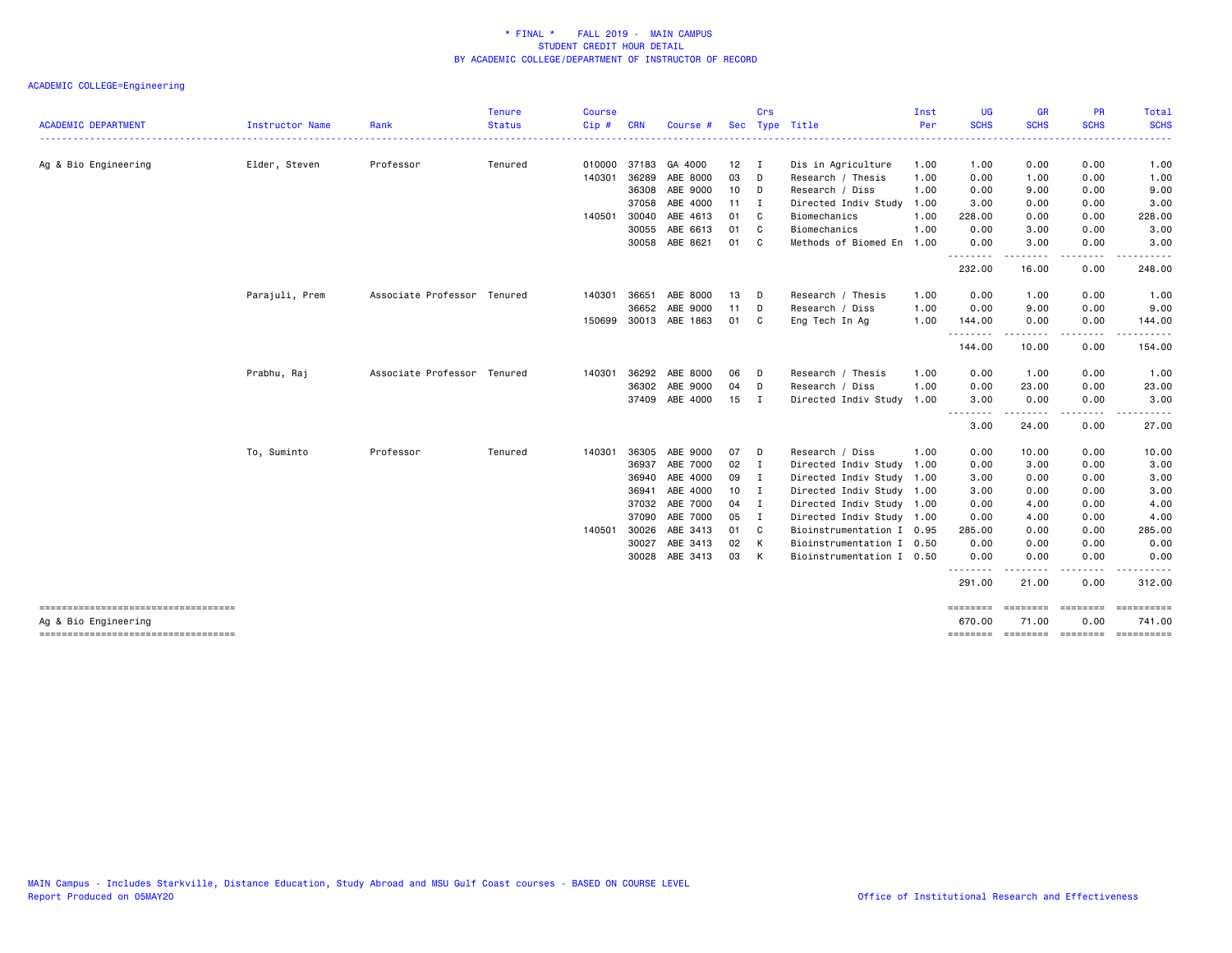|                                                             |                 |                             | <b>Tenure</b> | <b>Course</b> |              |                       |    | Crs            |                           | Inst | <b>UG</b>          | <b>GR</b>         | PR                                                                                                                                | Total                                |
|-------------------------------------------------------------|-----------------|-----------------------------|---------------|---------------|--------------|-----------------------|----|----------------|---------------------------|------|--------------------|-------------------|-----------------------------------------------------------------------------------------------------------------------------------|--------------------------------------|
| <b>ACADEMIC DEPARTMENT</b>                                  | Instructor Name | Rank                        | <b>Status</b> | Cip#          | <b>CRN</b>   | Course                |    |                | Sec Type Title            | Per  | <b>SCHS</b>        | <b>SCHS</b>       | <b>SCHS</b>                                                                                                                       | <b>SCHS</b>                          |
| Ag & Bio Engineering                                        | Elder, Steven   | Professor                   | Tenured       |               |              | 010000 37183 GA 4000  | 12 | I.             | Dis in Agriculture        | 1.00 | 1.00               | 0.00              | 0.00                                                                                                                              | 1.00                                 |
|                                                             |                 |                             |               | 140301        | 36289        | ABE 8000              | 03 | - D            | Research / Thesis         | 1.00 | 0.00               | 1.00              | 0.00                                                                                                                              | 1.00                                 |
|                                                             |                 |                             |               |               | 36308        | ABE 9000              | 10 | D              | Research / Diss           | 1.00 | 0.00               | 9.00              | 0.00                                                                                                                              | 9.00                                 |
|                                                             |                 |                             |               |               | 37058        | ABE 4000              | 11 | $\mathbf{I}$   | Directed Indiv Study      | 1.00 | 3.00               | 0.00              | 0.00                                                                                                                              | 3.00                                 |
|                                                             |                 |                             |               | 140501        | 30040        | ABE 4613              | 01 | C              | Biomechanics              | 1.00 | 228.00             | 0.00              | 0.00                                                                                                                              | 228.00                               |
|                                                             |                 |                             |               |               | 30055        | ABE 6613              | 01 | - C            | Biomechanics              | 1.00 | 0.00               | 3.00              | 0.00                                                                                                                              | 3.00                                 |
|                                                             |                 |                             |               |               |              | 30058 ABE 8621        | 01 | - C            | Methods of Biomed En      | 1.00 | 0.00<br>.          | 3.00              | 0.00<br>$\frac{1}{2}$                                                                                                             | 3.00<br>.                            |
|                                                             |                 |                             |               |               |              |                       |    |                |                           |      | 232.00             | 16.00             | 0.00                                                                                                                              | 248.00                               |
|                                                             | Parajuli, Prem  | Associate Professor Tenured |               | 140301        | 36651        | ABE 8000              | 13 | D              | Research / Thesis         | 1.00 | 0.00               | 1.00              | 0.00                                                                                                                              | 1.00                                 |
|                                                             |                 |                             |               |               | 36652        | ABE 9000              | 11 | D              | Research / Diss           | 1.00 | 0.00               | 9.00              | 0.00                                                                                                                              | 9.00                                 |
|                                                             |                 |                             |               |               |              | 150699 30013 ABE 1863 | 01 | C              | Eng Tech In Ag            | 1.00 | 144.00<br>.        | 0.00<br>$\cdots$  | 0.00<br>.                                                                                                                         | 144.00<br>.                          |
|                                                             |                 |                             |               |               |              |                       |    |                |                           |      | 144.00             | 10.00             | 0.00                                                                                                                              | 154.00                               |
|                                                             | Prabhu, Raj     | Associate Professor Tenured |               | 140301        | 36292        | ABE 8000              | 06 | - D            | Research / Thesis         | 1.00 | 0.00               | 1.00              | 0.00                                                                                                                              | 1.00                                 |
|                                                             |                 |                             |               |               | 36302        | ABE 9000              | 04 | D              | Research / Diss           | 1.00 | 0.00               | 23.00             | 0.00                                                                                                                              | 23.00                                |
|                                                             |                 |                             |               |               |              | 37409 ABE 4000        | 15 | I              | Directed Indiv Study      | 1.00 | 3.00<br>.          | 0.00<br>.         | 0.00<br>.                                                                                                                         | 3.00<br>.                            |
|                                                             |                 |                             |               |               |              |                       |    |                |                           |      | 3.00               | 24.00             | 0.00                                                                                                                              | 27.00                                |
|                                                             | To, Suminto     | Professor                   | Tenured       | 140301        | 36305        | ABE 9000              | 07 | D              | Research / Diss           | 1.00 | 0.00               | 10.00             | 0.00                                                                                                                              | 10.00                                |
|                                                             |                 |                             |               |               | 36937        | ABE 7000              | 02 | $\mathbf{I}$   | Directed Indiv Study      | 1.00 | 0.00               | 3.00              | 0.00                                                                                                                              | 3.00                                 |
|                                                             |                 |                             |               |               | 36940        | ABE 4000              | 09 | I              | Directed Indiv Study 1.00 |      | 3.00               | 0.00              | 0.00                                                                                                                              | 3.00                                 |
|                                                             |                 |                             |               |               | 36941        | ABE 4000              | 10 | I              | Directed Indiv Study 1.00 |      | 3.00               | 0.00              | 0.00                                                                                                                              | 3.00                                 |
|                                                             |                 |                             |               |               | 37032        | ABE 7000              | 04 | I              | Directed Indiv Study 1.00 |      | 0.00               | 4.00              | 0.00                                                                                                                              | 4.00                                 |
|                                                             |                 |                             |               |               | 37090        | ABE 7000              | 05 | I              | Directed Indiv Study 1.00 |      | 0.00               | 4.00              | 0.00                                                                                                                              | 4.00                                 |
|                                                             |                 |                             |               |               | 140501 30026 | ABE 3413              | 01 | C <sub>c</sub> | Bioinstrumentation I 0.95 |      | 285.00             | 0.00              | 0.00                                                                                                                              | 285.00                               |
|                                                             |                 |                             |               |               | 30027        | ABE 3413              | 02 | K              | Bioinstrumentation I 0.50 |      | 0.00               | 0.00              | 0.00                                                                                                                              | 0.00                                 |
|                                                             |                 |                             |               |               | 30028        | ABE 3413              | 03 | K              | Bioinstrumentation I 0.50 |      | 0.00<br>.          | 0.00              | 0.00<br>$\frac{1}{2} \left( \frac{1}{2} \right) \left( \frac{1}{2} \right) \left( \frac{1}{2} \right) \left( \frac{1}{2} \right)$ | 0.00                                 |
|                                                             |                 |                             |               |               |              |                       |    |                |                           |      | 291.00             | 21.00             | 0.00                                                                                                                              | 312.00                               |
| -----------------------------------<br>Ag & Bio Engineering |                 |                             |               |               |              |                       |    |                |                           |      | ========<br>670.00 | ========<br>71.00 | $= 222222222$<br>0.00                                                                                                             | ==========<br>741.00                 |
|                                                             |                 |                             |               |               |              |                       |    |                |                           |      |                    |                   |                                                                                                                                   | ======== ======== ======== ========= |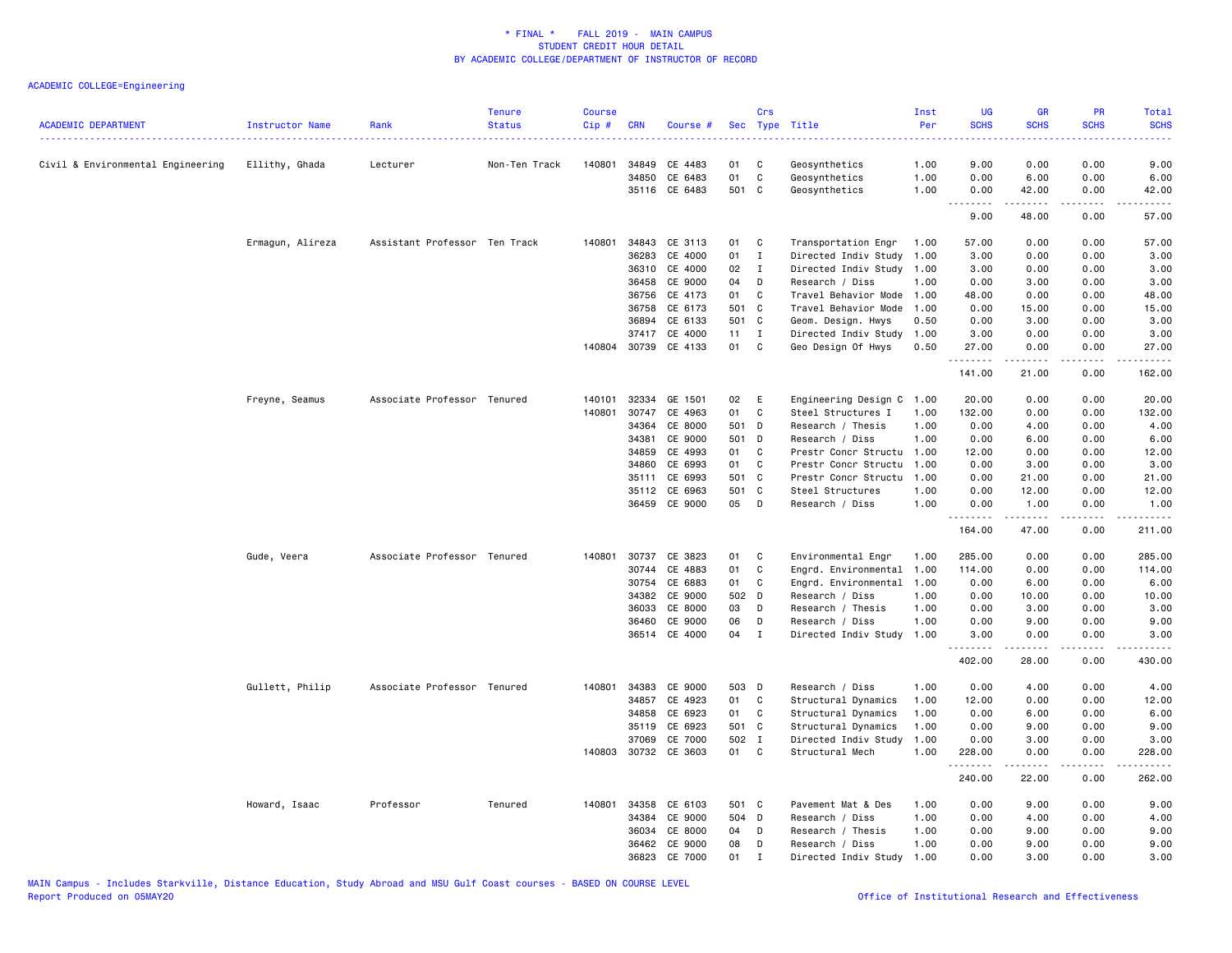|                                   |                  |                               | <b>Tenure</b> | <b>Course</b> |            |                                       |          | Crs                          |                                            | Inst         | UG                 | <b>GR</b>      | PR           | Total         |
|-----------------------------------|------------------|-------------------------------|---------------|---------------|------------|---------------------------------------|----------|------------------------------|--------------------------------------------|--------------|--------------------|----------------|--------------|---------------|
| <b>ACADEMIC DEPARTMENT</b>        | Instructor Name  | Rank                          | <b>Status</b> | Cip#          | <b>CRN</b> | Course #                              | Sec      |                              | Type Title                                 | Per          | <b>SCHS</b>        | <b>SCHS</b>    | <b>SCHS</b>  | <b>SCHS</b>   |
| Civil & Environmental Engineering | Ellithy, Ghada   | Lecturer                      | Non-Ten Track | 140801        | 34849      | CE 4483                               | 01       | C                            | Geosynthetics                              | 1.00         | 9.00               | 0.00           | 0.00         | 9.00          |
|                                   |                  |                               |               |               | 34850      | CE 6483                               | 01       | $\mathbf C$                  | Geosynthetics                              | 1.00         | 0.00               | 6.00           | 0.00         | 6.00          |
|                                   |                  |                               |               |               |            | 35116 CE 6483                         | 501 C    |                              | Geosynthetics                              | 1.00         | 0.00               | 42.00          | 0.00         | 42.00         |
|                                   |                  |                               |               |               |            |                                       |          |                              |                                            |              | .<br>9.00          | .<br>48.00     | .<br>0.00    | .<br>57.00    |
|                                   | Ermagun, Alireza | Assistant Professor Ten Track |               | 140801        | 34843      | CE 3113                               | 01       | C                            | Transportation Engr                        | 1.00         | 57.00              | 0.00           | 0.00         | 57.00         |
|                                   |                  |                               |               |               | 36283      | CE 4000                               | 01       | $\mathbf{I}$                 | Directed Indiv Study                       | 1.00         | 3.00               | 0.00           | 0.00         | 3.00          |
|                                   |                  |                               |               |               | 36310      | CE 4000                               | 02       | $\mathbf{I}$                 | Directed Indiv Study 1.00                  |              | 3.00               | 0.00           | 0.00         | 3.00          |
|                                   |                  |                               |               |               | 36458      | CE 9000                               | 04       | D                            | Research / Diss                            | 1.00         | 0.00               | 3.00           | 0.00         | 3.00          |
|                                   |                  |                               |               |               | 36756      | CE 4173                               | 01       | C                            | Travel Behavior Mode                       | 1.00         | 48.00              | 0.00           | 0.00         | 48.00         |
|                                   |                  |                               |               |               | 36758      | CE 6173                               | 501 C    |                              | Travel Behavior Mode                       | 1.00         | 0.00               | 15.00          | 0.00         | 15.00         |
|                                   |                  |                               |               |               | 36894      | CE 6133                               | 501 C    |                              | Geom. Design. Hwys                         | 0.50         | 0.00               | 3.00           | 0.00         | 3.00          |
|                                   |                  |                               |               |               |            | 37417 CE 4000<br>140804 30739 CE 4133 | 11<br>01 | $\mathbf{I}$<br>$\mathbf{C}$ | Directed Indiv Study<br>Geo Design Of Hwys | 1.00<br>0.50 | 3.00<br>27.00      | 0.00<br>0.00   | 0.00<br>0.00 | 3.00<br>27.00 |
|                                   |                  |                               |               |               |            |                                       |          |                              |                                            |              | .<br>141.00        | 21.00          | 0.00         | .<br>162.00   |
|                                   | Freyne, Seamus   | Associate Professor Tenured   |               | 140101        | 32334      | GE 1501                               | 02       | Ε                            | Engineering Design C                       | 1.00         | 20.00              | 0.00           | 0.00         | 20.00         |
|                                   |                  |                               |               | 140801        | 30747      | CE 4963                               | 01       | C                            | Steel Structures I                         | 1.00         | 132.00             | 0.00           | 0.00         | 132.00        |
|                                   |                  |                               |               |               | 34364      | CE 8000                               | 501 D    |                              | Research / Thesis                          | 1.00         | 0.00               | 4.00           | 0.00         | 4.00          |
|                                   |                  |                               |               |               | 34381      | CE 9000                               | 501 D    |                              | Research / Diss                            | 1.00         | 0.00               | 6.00           | 0.00         | 6.00          |
|                                   |                  |                               |               |               | 34859      | CE 4993                               | 01       | C                            | Prestr Concr Structu 1.00                  |              | 12.00              | 0.00           | 0.00         | 12.00         |
|                                   |                  |                               |               |               | 34860      | CE 6993                               | 01       | C                            | Prestr Concr Structu                       | 1.00         | 0.00               | 3.00           | 0.00         | 3.00          |
|                                   |                  |                               |               |               | 35111      | CE 6993                               | 501 C    |                              | Prestr Concr Structu                       | 1.00         | 0.00               | 21.00          | 0.00         | 21.00         |
|                                   |                  |                               |               |               | 35112      | CE 6963                               | 501 C    |                              | Steel Structures                           | 1.00         | 0.00               | 12.00          | 0.00         | 12.00         |
|                                   |                  |                               |               |               |            | 36459 CE 9000                         | 05 D     |                              | Research / Diss                            | 1.00         | 0.00               | 1.00<br>.      | 0.00<br>.    | 1.00<br>.     |
|                                   |                  |                               |               |               |            |                                       |          |                              |                                            |              | <u>.</u><br>164.00 | 47.00          | 0.00         | 211.00        |
|                                   | Gude, Veera      | Associate Professor Tenured   |               | 140801        | 30737      | CE 3823                               | 01       | C                            | Environmental Engr                         | 1.00         | 285.00             | 0.00           | 0.00         | 285.00        |
|                                   |                  |                               |               |               | 30744      | CE 4883                               | 01       | C                            | Engrd. Environmental                       | 1.00         | 114.00             | 0.00           | 0.00         | 114.00        |
|                                   |                  |                               |               |               | 30754      | CE 6883                               | 01       | C                            | Engrd. Environmental                       | 1.00         | 0.00               | 6.00           | 0.00         | 6.00          |
|                                   |                  |                               |               |               | 34382      | CE 9000                               | 502 D    |                              | Research / Diss                            | 1.00         | 0.00               | 10.00          | 0.00         | 10.00         |
|                                   |                  |                               |               |               | 36033      | CE 8000                               | 03       | D                            | Research / Thesis                          | 1.00         | 0.00               | 3.00           | 0.00         | 3.00          |
|                                   |                  |                               |               |               | 36460      | CE 9000<br>36514 CE 4000              | 06<br>04 | D<br>$\mathbf{I}$            | Research / Diss<br>Directed Indiv Study    | 1.00<br>1.00 | 0.00<br>3.00       | 9.00<br>0.00   | 0.00<br>0.00 | 9.00<br>3.00  |
|                                   |                  |                               |               |               |            |                                       |          |                              |                                            |              | .<br>402.00        | -----<br>28.00 | .<br>0.00    | .<br>430.00   |
|                                   | Gullett, Philip  | Associate Professor Tenured   |               | 140801        |            | 34383 CE 9000                         | 503 D    |                              | Research / Diss                            | 1.00         | 0.00               | 4.00           | 0.00         | 4.00          |
|                                   |                  |                               |               |               | 34857      | CE 4923                               | 01       | C                            | Structural Dynamics                        | 1.00         | 12.00              | 0.00           | 0.00         | 12.00         |
|                                   |                  |                               |               |               | 34858      | CE 6923                               | 01       | C.                           | Structural Dynamics                        | 1.00         | 0.00               | 6.00           | 0.00         | 6.00          |
|                                   |                  |                               |               |               | 35119      | CE 6923                               | 501 C    |                              | Structural Dynamics                        | 1.00         | 0.00               | 9.00           | 0.00         | 9.00          |
|                                   |                  |                               |               |               | 37069      | CE 7000                               | 502 I    |                              | Directed Indiv Study                       | 1.00         | 0.00               | 3.00           | 0.00         | 3.00          |
|                                   |                  |                               |               | 140803        |            | 30732 CE 3603                         | 01       | $\mathbf{C}$                 | Structural Mech                            | 1.00         | 228.00             | 0.00           | 0.00         | 228.00        |
|                                   |                  |                               |               |               |            |                                       |          |                              |                                            |              | .<br>240.00        | 22.00          | .<br>0.00    | .<br>262.00   |
|                                   | Howard, Isaac    | Professor                     | Tenured       | 140801        | 34358      | CE 6103                               | 501 C    |                              | Pavement Mat & Des                         | 1.00         | 0.00               | 9.00           | 0.00         | 9.00          |
|                                   |                  |                               |               |               | 34384      | CE 9000                               | 504 D    |                              | Research / Diss                            | 1.00         | 0.00               | 4.00           | 0.00         | 4.00          |
|                                   |                  |                               |               |               | 36034      | CE 8000                               | 04       | D                            | Research / Thesis                          | 1.00         | 0.00               | 9.00           | 0.00         | 9.00          |
|                                   |                  |                               |               |               | 36462      | CE 9000                               | 08       | D                            | Research / Diss                            | 1.00         | 0.00               | 9.00           | 0.00         | 9.00          |
|                                   |                  |                               |               |               | 36823      | CE 7000                               | 01       | $\mathbf{I}$                 | Directed Indiv Study                       | 1.00         | 0.00               | 3.00           | 0.00         | 3.00          |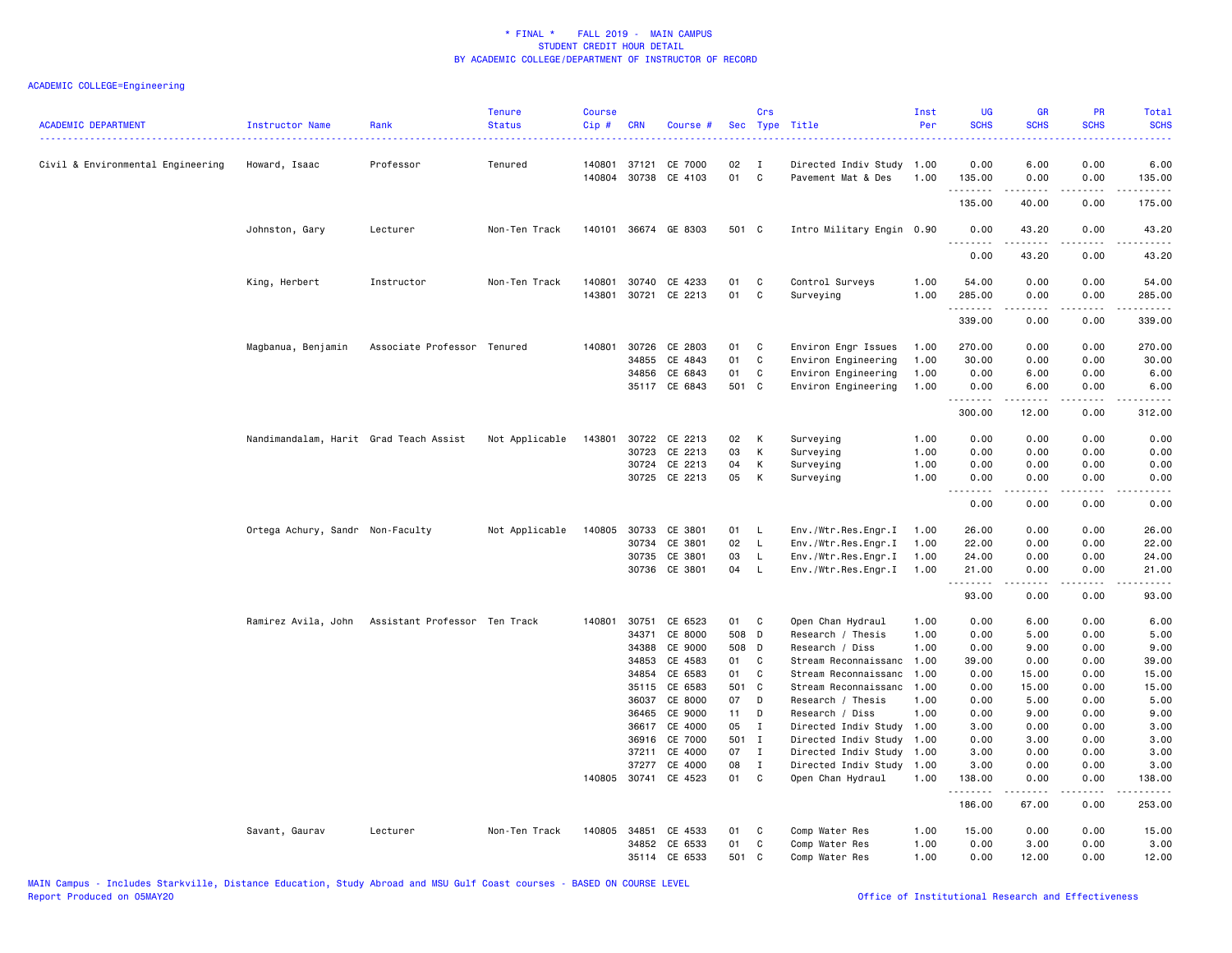| <b>ACADEMIC DEPARTMENT</b>        | Instructor Name                        | Rank                          | <b>Tenure</b><br><b>Status</b> | <b>Course</b><br>Cip# | <b>CRN</b>            | Course #                        |             | Crs                 | Sec Type Title                                  | Inst<br>Per  | <b>UG</b><br><b>SCHS</b> | <b>GR</b><br><b>SCHS</b> | <b>PR</b><br><b>SCHS</b> | Total<br><b>SCHS</b><br>2222 |
|-----------------------------------|----------------------------------------|-------------------------------|--------------------------------|-----------------------|-----------------------|---------------------------------|-------------|---------------------|-------------------------------------------------|--------------|--------------------------|--------------------------|--------------------------|------------------------------|
| Civil & Environmental Engineering | Howard, Isaac                          | Professor                     | Tenured                        | 140801                | 37121<br>140804 30738 | CE 7000<br>CE 4103              | 02<br>01    | $\blacksquare$<br>C | Directed Indiv Study 1.00<br>Pavement Mat & Des | 1.00         | 0.00<br>135.00           | 6.00<br>0.00             | 0.00<br>0.00             | 6.00<br>135.00               |
|                                   |                                        |                               |                                |                       |                       |                                 |             |                     |                                                 |              | .<br>135.00              | .<br>40.00               | $\frac{1}{2}$<br>0.00    | $- - - - -$<br>175.00        |
|                                   | Johnston, Gary                         | Lecturer                      | Non-Ten Track                  |                       |                       | 140101 36674 GE 8303            | 501 C       |                     | Intro Military Engin 0.90                       |              | 0.00                     | 43.20                    | 0.00                     | 43.20                        |
|                                   |                                        |                               |                                |                       |                       |                                 |             |                     |                                                 |              | .<br>0.00                | $- - - - -$<br>43.20     | .<br>0.00                | 43.20                        |
|                                   | King, Herbert                          | Instructor                    | Non-Ten Track                  | 140801<br>143801      | 30721                 | 30740 CE 4233<br>CE 2213        | 01<br>01    | C<br>C              | Control Surveys<br>Surveying                    | 1.00<br>1.00 | 54.00<br>285.00          | 0.00<br>0.00             | 0.00<br>0.00             | 54.00<br>285.00              |
|                                   |                                        |                               |                                |                       |                       |                                 |             |                     |                                                 |              | .<br>339.00              | 0.00                     | 0.00                     | 339.00                       |
|                                   | Magbanua, Benjamin                     | Associate Professor Tenured   |                                | 140801                | 30726<br>34855        | CE 2803<br>CE 4843              | 01<br>01    | C<br>C              | Environ Engr Issues<br>Environ Engineering      | 1.00<br>1.00 | 270.00<br>30.00          | 0.00<br>0.00             | 0.00<br>0.00             | 270.00<br>30.00              |
|                                   |                                        |                               |                                |                       | 34856<br>35117        | CE 6843<br>CE 6843              | 01<br>501 C | C                   | Environ Engineering<br>Environ Engineering      | 1.00<br>1.00 | 0.00<br>0.00<br>.        | 6.00<br>6.00             | 0.00<br>0.00             | 6.00<br>6.00                 |
|                                   |                                        |                               |                                |                       |                       |                                 |             |                     |                                                 |              | 300.00                   | 12.00                    | 0.00                     | 312.00                       |
|                                   | Nandimandalam, Harit Grad Teach Assist |                               | Not Applicable                 | 143801                | 30723                 | 30722 CE 2213<br>CE 2213        | 02<br>03    | K<br>К              | Surveying<br>Surveying                          | 1.00<br>1.00 | 0.00<br>0.00             | 0.00<br>0.00             | 0.00<br>0.00             | 0.00<br>0.00                 |
|                                   |                                        |                               |                                |                       | 30724                 | CE 2213<br>30725 CE 2213        | 04<br>05    | К<br>К              | Surveying<br>Surveying                          | 1.00<br>1.00 | 0.00<br>0.00<br>.        | 0.00<br>0.00             | 0.00<br>0.00             | 0.00<br>0.00                 |
|                                   |                                        |                               |                                |                       |                       |                                 |             |                     |                                                 |              | 0.00                     | 0.00                     | 0.00                     | 0.00                         |
|                                   | Ortega Achury, Sandr Non-Faculty       |                               | Not Applicable                 | 140805                | 30733<br>30734        | CE 3801<br>CE 3801              | 01<br>02    | - L<br>L            | Env./Wtr.Res.Engr.I<br>Env./Wtr.Res.Engr.I      | 1.00<br>1.00 | 26.00<br>22.00           | 0.00<br>0.00             | 0.00<br>0.00             | 26.00<br>22.00               |
|                                   |                                        |                               |                                |                       | 30735<br>30736        | CE 3801<br>CE 3801              | 03<br>04    | L<br>L.             | Env./Wtr.Res.Engr.I<br>Env./Wtr.Res.Engr.I      | 1.00<br>1.00 | 24.00<br>21.00           | 0.00<br>0.00             | 0.00<br>0.00             | 24.00<br>21.00               |
|                                   |                                        |                               |                                |                       |                       |                                 |             |                     |                                                 |              | .<br>93.00               | .<br>0.00                | $- - -$<br>0.00          | 93.00                        |
|                                   | Ramirez Avila, John                    | Assistant Professor Ten Track |                                | 140801                | 30751                 | CE 6523                         | 01          | C                   | Open Chan Hydraul                               | 1.00         | 0.00                     | 6.00                     | 0.00                     | 6.00                         |
|                                   |                                        |                               |                                |                       | 34371                 | CE 8000                         | 508 D       |                     | Research / Thesis                               | 1.00         | 0.00                     | 5.00                     | 0.00                     | 5.00                         |
|                                   |                                        |                               |                                |                       | 34388                 | CE 9000                         | 508 D       |                     | Research / Diss                                 | 1.00         | 0.00                     | 9.00                     | 0.00                     | 9.00                         |
|                                   |                                        |                               |                                |                       | 34853                 | CE 4583                         | 01          | C                   | Stream Reconnaissanc                            | 1.00         | 39.00                    | 0.00                     | 0.00                     | 39.00                        |
|                                   |                                        |                               |                                |                       | 34854                 | CE 6583                         | 01          | C                   | Stream Reconnaissanc                            | 1.00         | 0.00                     | 15.00                    | 0.00                     | 15.00                        |
|                                   |                                        |                               |                                |                       | 35115                 | CE 6583                         | 501 C       |                     | Stream Reconnaissanc                            | 1.00         | 0.00                     | 15.00                    | 0.00                     | 15.00                        |
|                                   |                                        |                               |                                |                       | 36037                 | CE 8000                         | 07          | D                   | Research / Thesis                               | 1.00         | 0.00                     | 5.00                     | 0.00                     | 5.00                         |
|                                   |                                        |                               |                                |                       | 36465                 | CE 9000                         | 11          | D                   | Research / Diss                                 | 1.00         | 0.00                     | 9.00                     | 0.00                     | 9.00                         |
|                                   |                                        |                               |                                |                       | 36617                 | CE 4000                         | 05          | I                   | Directed Indiv Study                            | 1.00         | 3.00                     | 0.00                     | 0.00                     | 3.00                         |
|                                   |                                        |                               |                                |                       | 36916                 | CE 7000                         | 501 I       |                     | Directed Indiv Study                            | 1.00         | 0.00                     | 3.00                     | 0.00                     | 3.00                         |
|                                   |                                        |                               |                                |                       | 37211                 | CE 4000                         | 07          | $\mathbf{I}$        | Directed Indiv Study                            | 1.00         | 3.00                     | 0.00                     | 0.00                     | 3.00                         |
|                                   |                                        |                               |                                |                       | 37277                 | CE 4000<br>140805 30741 CE 4523 | 08<br>01    | $\mathbf{I}$<br>C   | Directed Indiv Study<br>Open Chan Hydraul       | 1.00<br>1.00 | 3.00<br>138.00           | 0.00<br>0.00             | 0.00<br>0.00             | 3.00<br>138.00               |
|                                   |                                        |                               |                                |                       |                       |                                 |             |                     |                                                 |              | .<br>186.00              | -----<br>67.00           | .<br>0.00                | -----<br>253.00              |
|                                   | Savant, Gaurav                         | Lecturer                      | Non-Ten Track                  |                       |                       | 140805 34851 CE 4533            | 01          | C                   | Comp Water Res                                  | 1.00         | 15.00                    | 0.00                     | 0.00                     | 15.00                        |
|                                   |                                        |                               |                                |                       | 34852                 | CE 6533                         | 01          | C                   | Comp Water Res                                  | 1.00         | 0.00                     | 3.00                     | 0.00                     | 3.00                         |
|                                   |                                        |                               |                                |                       |                       | 35114 CE 6533                   | 501 C       |                     | Comp Water Res                                  | 1.00         | 0.00                     | 12.00                    | 0.00                     | 12.00                        |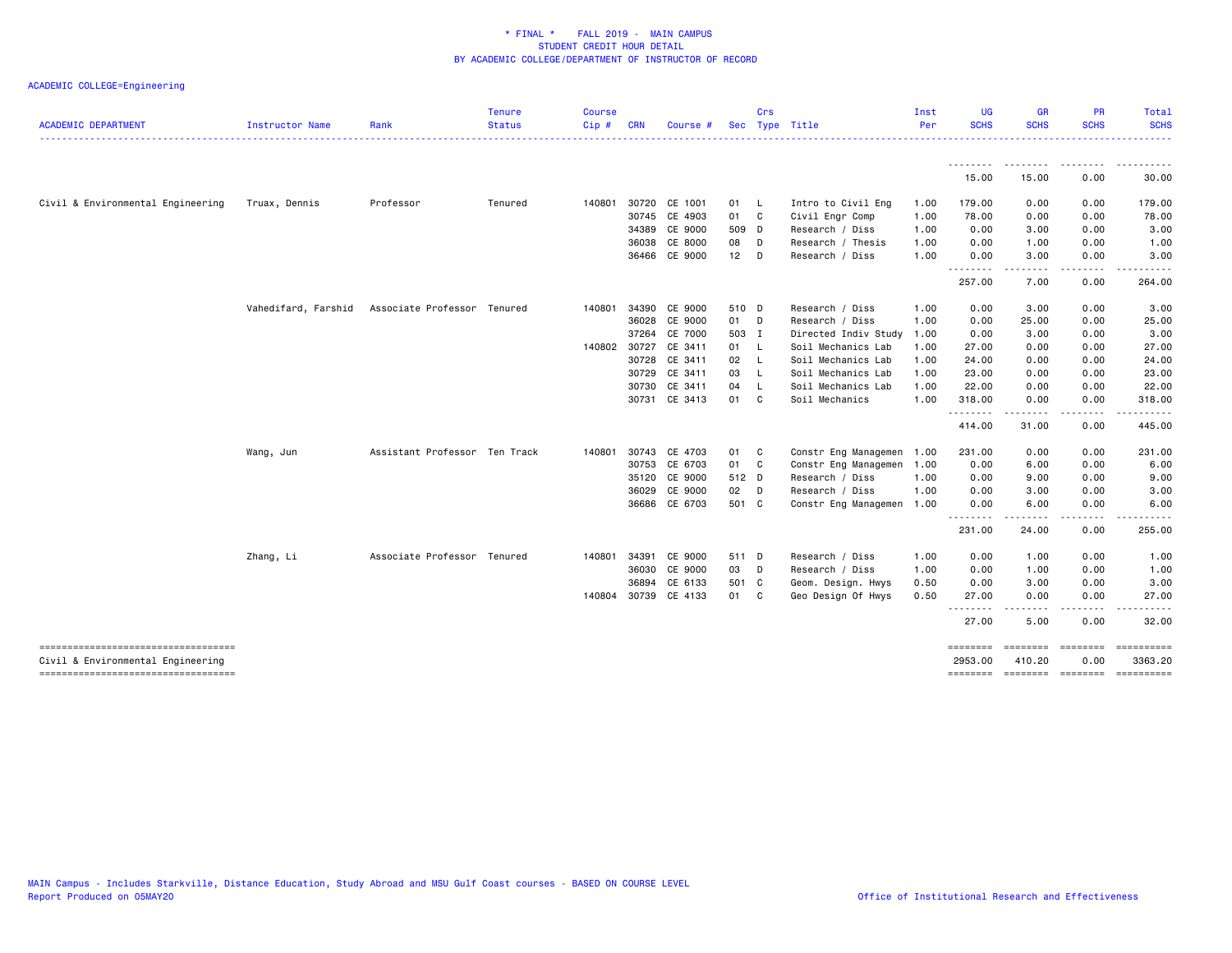|                                                                          |                     |                               | <b>Tenure</b> | <b>Course</b> |            |                      |       | Crs          |                      | Inst | <b>UG</b>                      | <b>GR</b>                    | <b>PR</b>                                                                                                                         | <b>Total</b>           |
|--------------------------------------------------------------------------|---------------------|-------------------------------|---------------|---------------|------------|----------------------|-------|--------------|----------------------|------|--------------------------------|------------------------------|-----------------------------------------------------------------------------------------------------------------------------------|------------------------|
| <b>ACADEMIC DEPARTMENT</b>                                               | Instructor Name     | Rank                          | <b>Status</b> | Cip#          | <b>CRN</b> | Course #             |       |              | Sec Type Title       | Per  | <b>SCHS</b>                    | <b>SCHS</b>                  | <b>SCHS</b>                                                                                                                       | <b>SCHS</b>            |
|                                                                          |                     |                               |               |               |            |                      |       |              |                      |      |                                |                              |                                                                                                                                   |                        |
|                                                                          |                     |                               |               |               |            |                      |       |              |                      |      | 15.00                          | 15.00                        | 0.00                                                                                                                              | 30.00                  |
| Civil & Environmental Engineering                                        | Truax, Dennis       | Professor                     | Tenured       | 140801        | 30720      | CE 1001              | 01    | - L          | Intro to Civil Eng   | 1.00 | 179.00                         | 0.00                         | 0.00                                                                                                                              | 179.00                 |
|                                                                          |                     |                               |               |               | 30745      | CE 4903              | 01    | <b>C</b>     | Civil Engr Comp      | 1.00 | 78.00                          | 0.00                         | 0.00                                                                                                                              | 78.00                  |
|                                                                          |                     |                               |               |               | 34389      | CE 9000              | 509 D |              | Research / Diss      | 1.00 | 0.00                           | 3.00                         | 0.00                                                                                                                              | 3.00                   |
|                                                                          |                     |                               |               |               | 36038      | CE 8000              | 08    | D            | Research / Thesis    | 1.00 | 0.00                           | 1.00                         | 0.00                                                                                                                              | 1.00                   |
|                                                                          |                     |                               |               |               |            | 36466 CE 9000        | 12    | D            | Research / Diss      | 1.00 | 0.00                           | 3.00                         | 0.00                                                                                                                              | 3.00                   |
|                                                                          |                     |                               |               |               |            |                      |       |              |                      |      | $\sim$ $\sim$ $\sim$<br>257.00 | 7.00                         | 0.00                                                                                                                              | 264.00                 |
|                                                                          | Vahedifard, Farshid | Associate Professor Tenured   |               | 140801        | 34390      | CE 9000              | 510 D |              | Research / Diss      | 1.00 | 0.00                           | 3.00                         | 0.00                                                                                                                              | 3.00                   |
|                                                                          |                     |                               |               |               | 36028      | CE 9000              | 01    | D            | Research / Diss      | 1.00 | 0.00                           | 25.00                        | 0.00                                                                                                                              | 25.00                  |
|                                                                          |                     |                               |               |               | 37264      | CE 7000              | 503 I |              | Directed Indiv Study | 1.00 | 0.00                           | 3.00                         | 0.00                                                                                                                              | 3.00                   |
|                                                                          |                     |                               |               | 140802 30727  |            | CE 3411              | 01    | - L          | Soil Mechanics Lab   | 1.00 | 27.00                          | 0.00                         | 0.00                                                                                                                              | 27.00                  |
|                                                                          |                     |                               |               |               | 30728      | CE 3411              | 02    | $\mathsf{L}$ | Soil Mechanics Lab   | 1.00 | 24.00                          | 0.00                         | 0.00                                                                                                                              | 24.00                  |
|                                                                          |                     |                               |               |               | 30729      | CE 3411              | 03    | - L          | Soil Mechanics Lab   | 1.00 | 23.00                          | 0.00                         | 0.00                                                                                                                              | 23.00                  |
|                                                                          |                     |                               |               |               | 30730      | CE 3411              | 04    | - L          | Soil Mechanics Lab   | 1.00 | 22.00                          | 0.00                         | 0.00                                                                                                                              | 22.00                  |
|                                                                          |                     |                               |               |               | 30731      | CE 3413              | 01    | C            | Soil Mechanics       | 1.00 | 318.00<br>.                    | 0.00                         | 0.00                                                                                                                              | 318.00<br>.            |
|                                                                          |                     |                               |               |               |            |                      |       |              |                      |      | 414.00                         | 31.00                        | 0.00                                                                                                                              | 445.00                 |
|                                                                          | Wang, Jun           | Assistant Professor Ten Track |               | 140801        | 30743      | CE 4703              | 01    | C            | Constr Eng Managemen | 1.00 | 231.00                         | 0.00                         | 0.00                                                                                                                              | 231.00                 |
|                                                                          |                     |                               |               |               | 30753      | CE 6703              | 01    | C            | Constr Eng Managemen | 1.00 | 0.00                           | 6.00                         | 0.00                                                                                                                              | 6.00                   |
|                                                                          |                     |                               |               |               | 35120      | CE 9000              | 512 D |              | Research / Diss      | 1.00 | 0.00                           | 9.00                         | 0.00                                                                                                                              | 9.00                   |
|                                                                          |                     |                               |               |               | 36029      | CE 9000              | 02    | $\Box$       | Research / Diss      | 1.00 | 0.00                           | 3.00                         | 0.00                                                                                                                              | 3.00                   |
|                                                                          |                     |                               |               |               |            | 36686 CE 6703        | 501 C |              | Constr Eng Managemen | 1.00 | 0.00                           | 6.00                         | 0.00                                                                                                                              | 6.00                   |
|                                                                          |                     |                               |               |               |            |                      |       |              |                      |      | .<br>231.00                    | 24.00                        | $\frac{1}{2} \left( \frac{1}{2} \right) \left( \frac{1}{2} \right) \left( \frac{1}{2} \right) \left( \frac{1}{2} \right)$<br>0.00 | .<br>255.00            |
|                                                                          | Zhang, Li           | Associate Professor Tenured   |               | 140801        | 34391      | CE 9000              | 511 D |              | Research / Diss      | 1.00 | 0.00                           | 1.00                         | 0.00                                                                                                                              | 1.00                   |
|                                                                          |                     |                               |               |               | 36030      | CE 9000              | 03    | D            | Research / Diss      | 1.00 | 0.00                           | 1.00                         | 0.00                                                                                                                              | 1.00                   |
|                                                                          |                     |                               |               |               | 36894      | CE 6133              | 501 C |              | Geom. Design. Hwys   | 0.50 | 0.00                           | 3.00                         | 0.00                                                                                                                              | 3.00                   |
|                                                                          |                     |                               |               |               |            | 140804 30739 CE 4133 | 01    | C            | Geo Design Of Hwys   | 0.50 | 27.00<br><u>.</u>              | 0.00                         | 0.00<br>----                                                                                                                      | 27.00<br>$\frac{1}{2}$ |
|                                                                          |                     |                               |               |               |            |                      |       |              |                      |      | 27.00                          | .<br>5.00                    | 0.00                                                                                                                              | 32.00                  |
| -----------------------------------<br>Civil & Environmental Engineering |                     |                               |               |               |            |                      |       |              |                      |      | ========<br>2953.00            | ========<br>410.20           | ========<br>0.00                                                                                                                  | 3363.20                |
| -----------------------------------                                      |                     |                               |               |               |            |                      |       |              |                      |      | <b>EEEEEEEE</b>                | ======== ======== ========== |                                                                                                                                   |                        |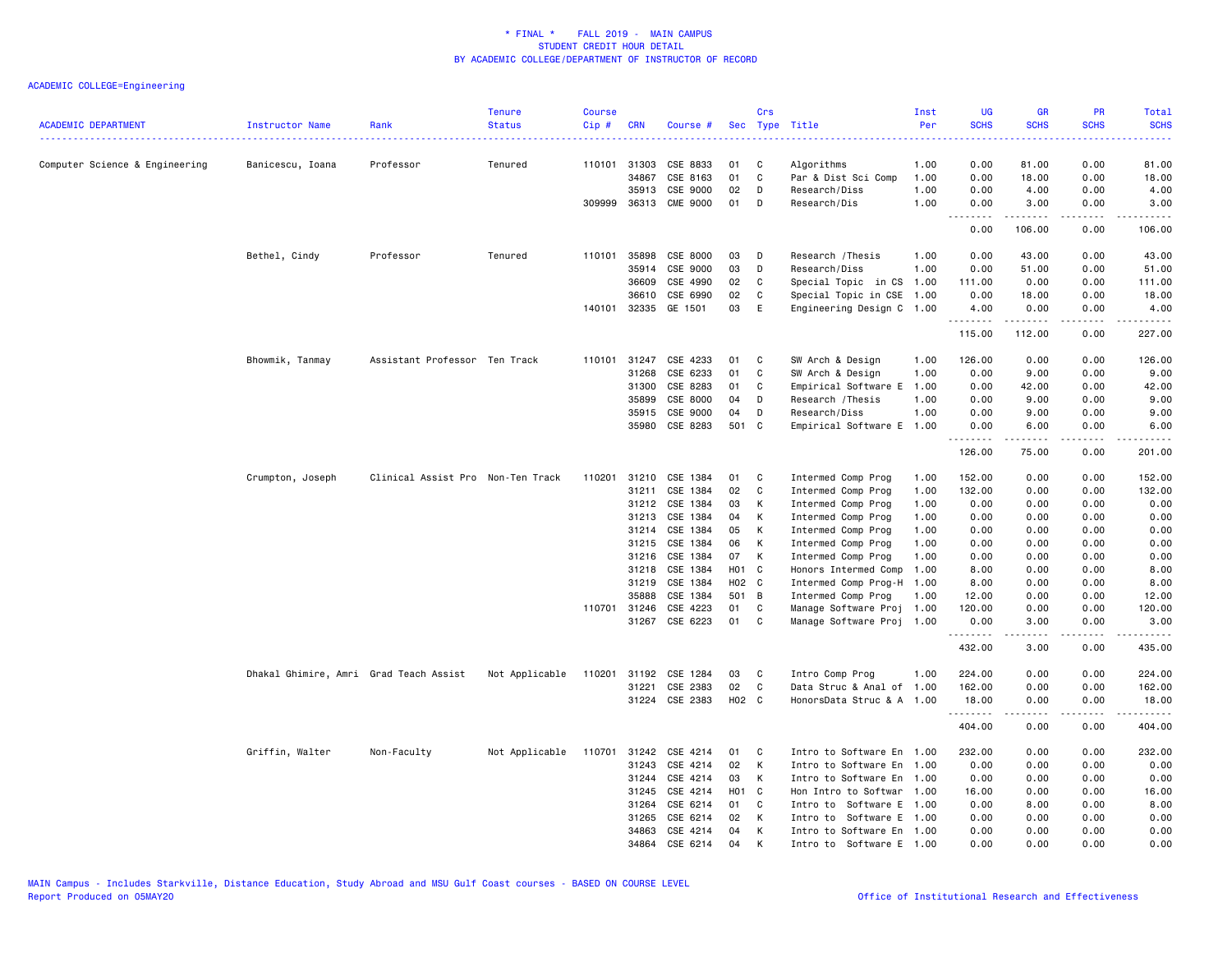| <b>ACADEMIC DEPARTMENT</b>     | Instructor Name                        | Rank                              | <b>Tenure</b><br><b>Status</b> | <b>Course</b><br>Cip# | <b>CRN</b>            | Course #             | Sec      | Crs               | Type Title                                   | Inst<br>Per  | <b>UG</b><br><b>SCHS</b> | <b>GR</b><br><b>SCHS</b> | PR<br><b>SCHS</b>            | Total<br><b>SCHS</b>                                                                                                                                 |
|--------------------------------|----------------------------------------|-----------------------------------|--------------------------------|-----------------------|-----------------------|----------------------|----------|-------------------|----------------------------------------------|--------------|--------------------------|--------------------------|------------------------------|------------------------------------------------------------------------------------------------------------------------------------------------------|
| Computer Science & Engineering | Banicescu, Ioana                       | Professor                         | Tenured                        |                       | 110101 31303          | CSE 8833             | 01       | C                 | Algorithms                                   | 1.00         | 0.00                     | 81.00                    | 0.00                         | 81.00                                                                                                                                                |
|                                |                                        |                                   |                                |                       | 34867                 | CSE 8163             | 01       | C                 | Par & Dist Sci Comp                          | 1.00         | 0.00                     | 18.00                    | 0.00                         | 18.00                                                                                                                                                |
|                                |                                        |                                   |                                |                       | 35913                 | CSE 9000             | 02       | D                 | Research/Diss                                | 1.00         | 0.00                     | 4.00                     | 0.00                         | 4.00                                                                                                                                                 |
|                                |                                        |                                   |                                | 309999                |                       | 36313 CME 9000       | 01       | D                 | Research/Dis                                 | 1.00         | 0.00<br>.                | 3.00                     | 0.00                         | 3.00<br>د د د د د                                                                                                                                    |
|                                |                                        |                                   |                                |                       |                       |                      |          |                   |                                              |              | 0.00                     | 106.00                   | 0.00                         | 106.00                                                                                                                                               |
|                                | Bethel, Cindy                          | Professor                         | Tenured                        | 110101                | 35898                 | CSE 8000             | 03       | D                 | Research / Thesis                            | 1.00         | 0.00                     | 43.00                    | 0.00                         | 43.00                                                                                                                                                |
|                                |                                        |                                   |                                |                       | 35914                 | CSE 9000             | 03       | D                 | Research/Diss                                | 1.00         | 0.00                     | 51.00                    | 0.00                         | 51.00                                                                                                                                                |
|                                |                                        |                                   |                                |                       | 36609                 | CSE 4990             | 02       | C                 | Special Topic in CS                          | 1.00         | 111.00                   | 0.00                     | 0.00                         | 111.00                                                                                                                                               |
|                                |                                        |                                   |                                |                       | 36610                 | CSE 6990             | 02       | C                 | Special Topic in CSE                         | 1.00         | 0.00                     | 18.00                    | 0.00                         | 18.00                                                                                                                                                |
|                                |                                        |                                   |                                | 140101                | 32335                 | GE 1501              | 03       | E                 | Engineering Design C 1.00                    |              | 4.00<br>.                | 0.00<br>.                | 0.00<br>.                    | 4.00<br>.                                                                                                                                            |
|                                |                                        |                                   |                                |                       |                       |                      |          |                   |                                              |              | 115.00                   | 112.00                   | 0.00                         | 227.00                                                                                                                                               |
|                                | Bhowmik, Tanmay                        | Assistant Professor Ten Track     |                                | 110101                | 31247                 | CSE 4233             | 01       | C                 | SW Arch & Design                             | 1.00         | 126.00                   | 0.00                     | 0.00                         | 126.00                                                                                                                                               |
|                                |                                        |                                   |                                |                       | 31268                 | CSE 6233             | 01       | C                 | SW Arch & Design                             | 1.00         | 0.00                     | 9.00                     | 0.00                         | 9.00                                                                                                                                                 |
|                                |                                        |                                   |                                |                       | 31300                 | CSE 8283             | 01       | C                 | Empirical Software E                         | 1.00         | 0.00                     | 42.00                    | 0.00                         | 42.00                                                                                                                                                |
|                                |                                        |                                   |                                |                       | 35899                 | CSE 8000             | 04       | D                 | Research / Thesis                            | 1.00         | 0.00                     | 9.00                     | 0.00                         | 9.00                                                                                                                                                 |
|                                |                                        |                                   |                                |                       | 35915                 | CSE 9000             | 04       | D                 | Research/Diss                                | 1.00         | 0.00                     | 9.00                     | 0.00                         | 9.00                                                                                                                                                 |
|                                |                                        |                                   |                                |                       | 35980                 | CSE 8283             | 501 C    |                   | Empirical Software E 1.00                    |              | 0.00<br>.                | 6.00                     | 0.00<br>$\sim$ $\sim$ $\sim$ | 6.00                                                                                                                                                 |
|                                |                                        |                                   |                                |                       |                       |                      |          |                   |                                              |              | 126.00                   | 75.00                    | 0.00                         | 201.00                                                                                                                                               |
|                                | Crumpton, Joseph                       | Clinical Assist Pro Non-Ten Track |                                | 110201                | 31210                 | CSE 1384             | 01       | C                 | Intermed Comp Prog                           | 1.00         | 152.00                   | 0.00                     | 0.00                         | 152.00                                                                                                                                               |
|                                |                                        |                                   |                                |                       | 31211                 | CSE 1384             | 02       | C                 | Intermed Comp Prog                           | 1.00         | 132.00                   | 0.00                     | 0.00                         | 132.00                                                                                                                                               |
|                                |                                        |                                   |                                |                       | 31212                 | CSE 1384             | 03       | К                 | Intermed Comp Prog                           | 1.00         | 0.00                     | 0.00                     | 0.00                         | 0.00                                                                                                                                                 |
|                                |                                        |                                   |                                |                       | 31213                 | CSE 1384             | 04       | К                 | Intermed Comp Prog                           | 1.00         | 0.00                     | 0.00                     | 0.00                         | 0.00                                                                                                                                                 |
|                                |                                        |                                   |                                |                       | 31214                 | CSE 1384             | 05       | К                 | Intermed Comp Prog                           | 1.00         | 0.00                     | 0.00                     | 0.00                         | 0.00                                                                                                                                                 |
|                                |                                        |                                   |                                |                       | 31215                 | CSE 1384             | 06       | K                 | Intermed Comp Prog                           | 1.00         | 0.00                     | 0.00                     | 0.00                         | 0.00                                                                                                                                                 |
|                                |                                        |                                   |                                |                       | 31216                 | CSE 1384             | 07       | K                 | Intermed Comp Prog                           | 1.00         | 0.00                     | 0.00                     | 0.00                         | 0.00                                                                                                                                                 |
|                                |                                        |                                   |                                |                       | 31218                 | CSE 1384             | H01 C    |                   | Honors Intermed Comp                         | 1.00         | 8.00                     | 0.00                     | 0.00                         | 8.00                                                                                                                                                 |
|                                |                                        |                                   |                                |                       | 31219                 | CSE 1384             | H02 C    |                   | Intermed Comp Prog-H                         | 1.00         | 8.00                     | 0.00                     | 0.00                         | 8.00                                                                                                                                                 |
|                                |                                        |                                   |                                |                       | 35888                 | CSE 1384             | 501 B    |                   | Intermed Comp Prog                           | 1.00         | 12.00                    | 0.00                     | 0.00                         | 12.00                                                                                                                                                |
|                                |                                        |                                   |                                |                       | 110701 31246<br>31267 | CSE 4223<br>CSE 6223 | 01<br>01 | C<br>$\mathbf{C}$ | Manage Software Proj<br>Manage Software Proj | 1.00<br>1.00 | 120.00<br>0.00           | 0.00<br>3.00             | 0.00<br>0.00                 | 120.00<br>3.00                                                                                                                                       |
|                                |                                        |                                   |                                |                       |                       |                      |          |                   |                                              |              | .                        |                          | .                            | $\frac{1}{2} \left( \frac{1}{2} \right) \left( \frac{1}{2} \right) \left( \frac{1}{2} \right) \left( \frac{1}{2} \right) \left( \frac{1}{2} \right)$ |
|                                |                                        |                                   |                                |                       |                       |                      |          |                   |                                              |              | 432.00                   | 3.00                     | 0.00                         | 435.00                                                                                                                                               |
|                                | Dhakal Ghimire, Amri Grad Teach Assist |                                   | Not Applicable                 | 110201                |                       | 31192 CSE 1284       | 03       | C                 | Intro Comp Prog                              | 1.00         | 224.00                   | 0.00                     | 0.00                         | 224.00                                                                                                                                               |
|                                |                                        |                                   |                                |                       | 31221                 | CSE 2383             | 02       | $\mathbf c$       | Data Struc & Anal of 1.00                    |              | 162.00                   | 0.00                     | 0.00                         | 162.00                                                                                                                                               |
|                                |                                        |                                   |                                |                       |                       | 31224 CSE 2383       | H02 C    |                   | HonorsData Struc & A 1.00                    |              | 18.00                    | 0.00                     | 0.00                         | 18.00                                                                                                                                                |
|                                |                                        |                                   |                                |                       |                       |                      |          |                   |                                              |              | 404.00                   | 0.00                     | 0.00                         | 404.00                                                                                                                                               |
|                                | Griffin, Walter                        | Non-Faculty                       | Not Applicable                 | 110701                | 31242                 | CSE 4214             | 01       | C                 | Intro to Software En 1.00                    |              | 232.00                   | 0.00                     | 0.00                         | 232.00                                                                                                                                               |
|                                |                                        |                                   |                                |                       | 31243                 | CSE 4214             | 02       | К                 | Intro to Software En 1.00                    |              | 0.00                     | 0.00                     | 0.00                         | 0.00                                                                                                                                                 |
|                                |                                        |                                   |                                |                       | 31244                 | CSE 4214             | 03       | K                 | Intro to Software En 1.00                    |              | 0.00                     | 0.00                     | 0.00                         | 0.00                                                                                                                                                 |
|                                |                                        |                                   |                                |                       | 31245                 | CSE 4214             | H01 C    |                   | Hon Intro to Softwar 1.00                    |              | 16.00                    | 0.00                     | 0.00                         | 16.00                                                                                                                                                |
|                                |                                        |                                   |                                |                       | 31264                 | CSE 6214             | 01       | C                 | Intro to Software E 1.00                     |              | 0.00                     | 8.00                     | 0.00                         | 8.00                                                                                                                                                 |
|                                |                                        |                                   |                                |                       | 31265                 | CSE 6214             | 02       | K                 | Software E 1.00<br>Intro to                  |              | 0.00                     | 0.00                     | 0.00                         | 0.00                                                                                                                                                 |
|                                |                                        |                                   |                                |                       | 34863                 | CSE 4214             | 04       | К                 | Intro to Software En 1.00                    |              | 0.00                     | 0.00                     | 0.00                         | 0.00                                                                                                                                                 |
|                                |                                        |                                   |                                |                       | 34864                 | CSE 6214             | 04       | K                 | Intro to Software E 1.00                     |              | 0.00                     | 0.00                     | 0.00                         | 0.00                                                                                                                                                 |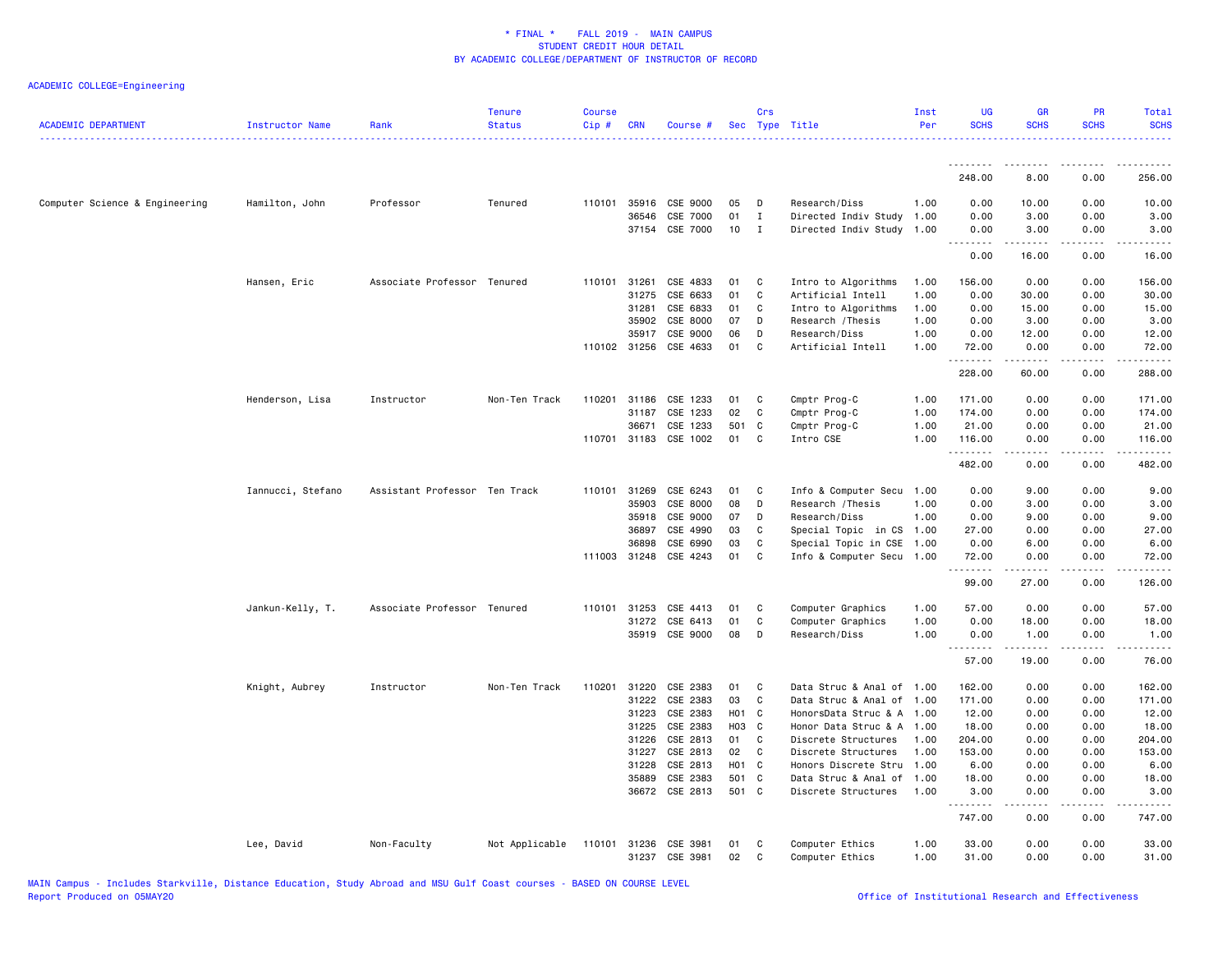| <b>ACADEMIC DEPARTMENT</b>     | Instructor Name   | Rank                          | <b>Tenure</b><br><b>Status</b> | <b>Course</b><br>$Cip \#$ | <b>CRN</b>     | Course #              |                | Crs          | Sec Type Title                                   | Inst<br>Per | UG<br><b>SCHS</b> | <b>GR</b><br><b>SCHS</b>                                                                                                                                      | <b>PR</b><br><b>SCHS</b> | Total<br><b>SCHS</b> |
|--------------------------------|-------------------|-------------------------------|--------------------------------|---------------------------|----------------|-----------------------|----------------|--------------|--------------------------------------------------|-------------|-------------------|---------------------------------------------------------------------------------------------------------------------------------------------------------------|--------------------------|----------------------|
|                                |                   |                               |                                |                           |                |                       |                |              |                                                  |             | .                 | <u>.</u>                                                                                                                                                      | .                        |                      |
|                                |                   |                               |                                |                           |                |                       |                |              |                                                  |             | 248.00            | 8.00                                                                                                                                                          | 0.00                     | 256.00               |
| Computer Science & Engineering | Hamilton, John    | Professor                     | Tenured                        | 110101 35916              |                | CSE 9000              | 05             | D            | Research/Diss                                    | 1.00        | 0.00              | 10.00                                                                                                                                                         | 0.00                     | 10.00                |
|                                |                   |                               |                                |                           | 36546          | CSE 7000              | 01             | $\mathbf I$  | Directed Indiv Study                             | 1.00        | 0.00              | 3.00                                                                                                                                                          | 0.00                     | 3.00                 |
|                                |                   |                               |                                |                           |                | 37154 CSE 7000        | 10             | $\mathbf{I}$ | Directed Indiv Study 1.00                        |             | 0.00<br>.         | 3.00<br>.                                                                                                                                                     | 0.00<br>.                | 3.00<br>.            |
|                                |                   |                               |                                |                           |                |                       |                |              |                                                  |             | 0.00              | 16.00                                                                                                                                                         | 0.00                     | 16.00                |
|                                | Hansen, Eric      | Associate Professor Tenured   |                                | 110101 31261              |                | CSE 4833              | 01             | C            | Intro to Algorithms                              | 1.00        | 156.00            | 0.00                                                                                                                                                          | 0.00                     | 156.00               |
|                                |                   |                               |                                |                           | 31275          | CSE 6633              | 01             | C            | Artificial Intell                                | 1.00        | 0.00              | 30.00                                                                                                                                                         | 0.00                     | 30.00                |
|                                |                   |                               |                                |                           | 31281          | CSE 6833              | 01             | C            | Intro to Algorithms                              | 1.00        | 0.00              | 15.00                                                                                                                                                         | 0.00                     | 15.00                |
|                                |                   |                               |                                |                           | 35902          | CSE 8000              | 07             | D            | Research / Thesis                                | 1.00        | 0.00              | 3.00                                                                                                                                                          | 0.00                     | 3.00                 |
|                                |                   |                               |                                |                           | 35917          | CSE 9000              | 06<br>01       | D<br>C       | Research/Diss                                    | 1.00        | 0.00              | 12.00                                                                                                                                                         | 0.00                     | 12.00                |
|                                |                   |                               |                                | 110102 31256              |                | CSE 4633              |                |              | Artificial Intell                                | 1.00        | 72.00<br>.        | 0.00                                                                                                                                                          | 0.00                     | 72.00<br>.           |
|                                |                   |                               |                                |                           |                |                       |                |              |                                                  |             | 228.00            | 60.00                                                                                                                                                         | 0.00                     | 288.00               |
|                                | Henderson, Lisa   | Instructor                    | Non-Ten Track                  | 110201 31186              |                | CSE 1233              | 01             | C            | Cmptr Prog-C                                     | 1.00        | 171.00            | 0.00                                                                                                                                                          | 0.00                     | 171.00               |
|                                |                   |                               |                                |                           | 31187          | CSE 1233              | 02             | C            | Cmptr Prog-C                                     | 1.00        | 174.00            | 0.00                                                                                                                                                          | 0.00                     | 174.00               |
|                                |                   |                               |                                |                           | 36671          | CSE 1233              | 501 C          |              | Cmptr Prog-C                                     | 1.00        | 21.00             | 0.00                                                                                                                                                          | 0.00                     | 21.00                |
|                                |                   |                               |                                |                           |                | 110701 31183 CSE 1002 | 01             | C.           | Intro CSE                                        | 1.00        | 116.00            | 0.00                                                                                                                                                          | 0.00                     | 116.00               |
|                                |                   |                               |                                |                           |                |                       |                |              |                                                  |             | .<br>482.00       | د د د د د<br>0.00                                                                                                                                             | .<br>0.00                | .<br>482.00          |
|                                | Iannucci, Stefano | Assistant Professor Ten Track |                                | 110101 31269              |                | CSE 6243              | 01             | C            | Info & Computer Secu                             | 1.00        | 0.00              | 9.00                                                                                                                                                          | 0.00                     | 9.00                 |
|                                |                   |                               |                                |                           | 35903          | CSE 8000              | 08             | D            | Research / Thesis                                | 1.00        | 0.00              | 3.00                                                                                                                                                          | 0.00                     | 3.00                 |
|                                |                   |                               |                                |                           | 35918          | CSE 9000              | 07             | D            | Research/Diss                                    | 1.00        | 0.00              | 9.00                                                                                                                                                          | 0.00                     | 9.00                 |
|                                |                   |                               |                                |                           | 36897          | CSE 4990              | 03             | C            | Special Topic in CS                              | 1.00        | 27.00             | 0.00                                                                                                                                                          | 0.00                     | 27.00                |
|                                |                   |                               |                                |                           | 36898          | CSE 6990              | 03             | C            | Special Topic in CSE                             | 1.00        | 0.00              | 6.00                                                                                                                                                          | 0.00                     | 6.00                 |
|                                |                   |                               |                                | 111003 31248              |                | CSE 4243              | 01             | C            | Info & Computer Secu 1.00                        |             | 72.00<br>.        | 0.00<br>$\sim$ 200 $\sim$ 200                                                                                                                                 | 0.00<br>د د د د          | 72.00<br>.           |
|                                |                   |                               |                                |                           |                |                       |                |              |                                                  |             | 99.00             | 27.00                                                                                                                                                         | 0.00                     | 126.00               |
|                                | Jankun-Kelly, T.  | Associate Professor Tenured   |                                | 110101 31253              |                | CSE 4413              | 01             | C            | Computer Graphics                                | 1.00        | 57.00             | 0.00                                                                                                                                                          | 0.00                     | 57.00                |
|                                |                   |                               |                                |                           | 31272          | CSE 6413              | 01             | C            | Computer Graphics                                | 1.00        | 0.00              | 18.00                                                                                                                                                         | 0.00                     | 18.00                |
|                                |                   |                               |                                |                           |                | 35919 CSE 9000        | 08             | D            | Research/Diss                                    | 1.00        | 0.00              | 1.00                                                                                                                                                          | 0.00<br>.                | 1.00                 |
|                                |                   |                               |                                |                           |                |                       |                |              |                                                  |             | .<br>57.00        | $\frac{1}{2} \left( \frac{1}{2} \right) \left( \frac{1}{2} \right) \left( \frac{1}{2} \right) \left( \frac{1}{2} \right) \left( \frac{1}{2} \right)$<br>19.00 | 0.00                     | .<br>76.00           |
|                                | Knight, Aubrey    | Instructor                    | Non-Ten Track                  | 110201 31220              |                | CSE 2383              | 01             | C            | Data Struc & Anal of 1.00                        |             | 162.00            | 0.00                                                                                                                                                          | 0.00                     | 162.00               |
|                                |                   |                               |                                |                           | 31222          | CSE 2383              | 03             | C            | Data Struc & Anal of 1.00                        |             | 171.00            | 0.00                                                                                                                                                          | 0.00                     | 171.00               |
|                                |                   |                               |                                |                           | 31223          | CSE 2383              | H01 C          |              | HonorsData Struc & A 1.00                        |             | 12.00             | 0.00                                                                                                                                                          | 0.00                     | 12.00                |
|                                |                   |                               |                                |                           | 31225          | CSE 2383              | H03 C          |              | Honor Data Struc & A 1.00                        |             | 18.00             | 0.00                                                                                                                                                          | 0.00                     | 18.00                |
|                                |                   |                               |                                |                           | 31226          | CSE 2813              | 01             | C.           | Discrete Structures                              | 1.00        | 204.00            | 0.00                                                                                                                                                          | 0.00                     | 204.00               |
|                                |                   |                               |                                |                           | 31227          | CSE 2813              | 02             | C            | Discrete Structures                              | 1.00        | 153.00            | 0.00                                                                                                                                                          | 0.00                     | 153.00               |
|                                |                   |                               |                                |                           | 31228          | CSE 2813              | H01 C          |              | Honors Discrete Stru                             | 1.00        | 6.00              | 0.00                                                                                                                                                          | 0.00                     | 6.00                 |
|                                |                   |                               |                                |                           | 35889<br>36672 | CSE 2383<br>CSE 2813  | 501 C<br>501 C |              | Data Struc & Anal of 1.00<br>Discrete Structures | 1.00        | 18.00<br>3.00     | 0.00<br>0.00                                                                                                                                                  | 0.00<br>0.00             | 18.00<br>3.00        |
|                                |                   |                               |                                |                           |                |                       |                |              |                                                  |             | .                 | .                                                                                                                                                             | .                        | <u>.</u>             |
|                                |                   |                               |                                |                           |                |                       |                |              |                                                  |             | 747.00            | 0.00                                                                                                                                                          | 0.00                     | 747.00               |
|                                | Lee, David        | Non-Faculty                   | Not Applicable                 |                           |                | 110101 31236 CSE 3981 | 01             | C            | Computer Ethics                                  | 1.00        | 33.00             | 0.00                                                                                                                                                          | 0.00                     | 33.00                |
|                                |                   |                               |                                |                           |                | 31237 CSE 3981        | 02             | C            | Computer Ethics                                  | 1.00        | 31.00             | 0.00                                                                                                                                                          | 0.00                     | 31.00                |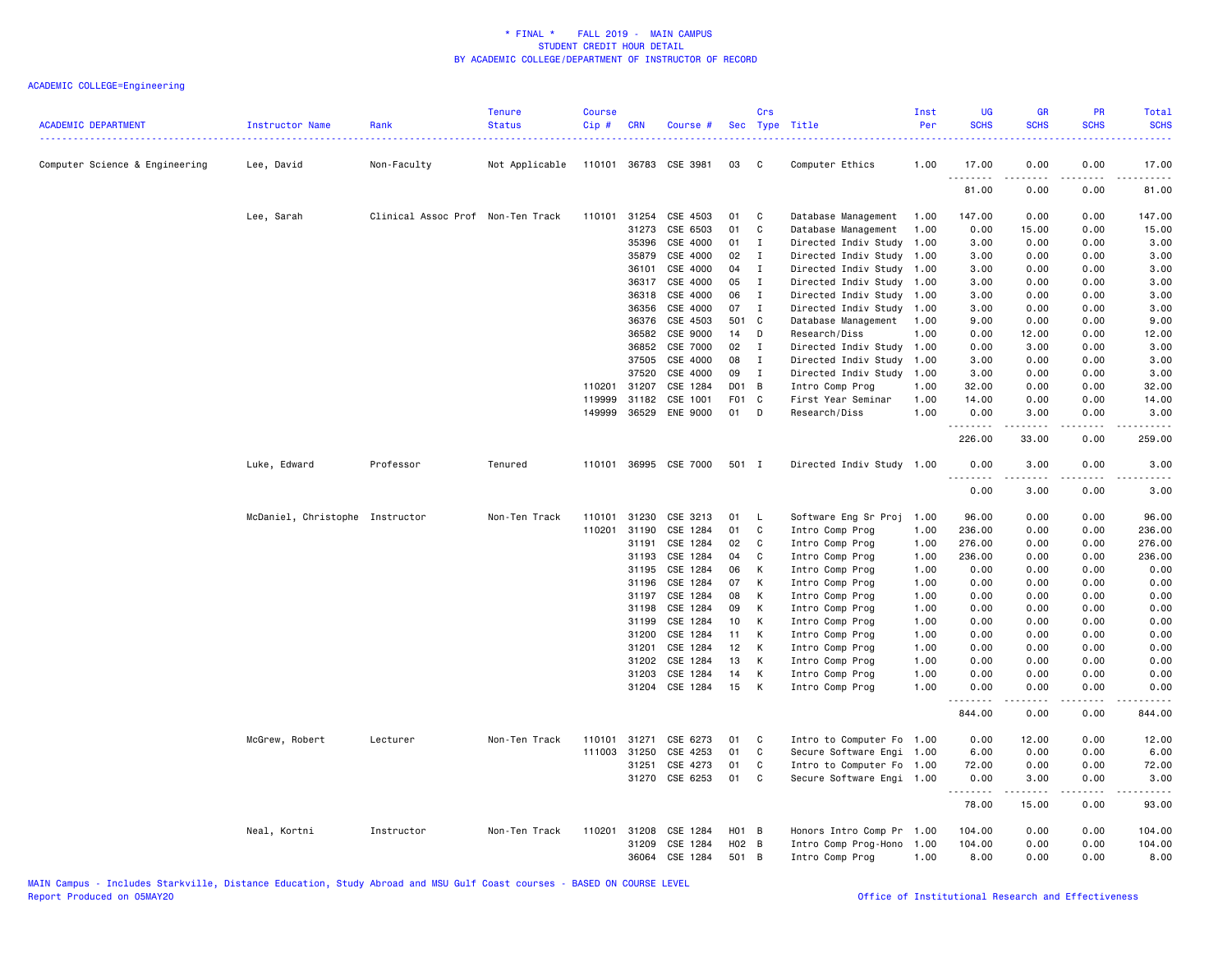| <b>ACADEMIC DEPARTMENT</b>     | Instructor Name<br>.            | Rank                              | <b>Tenure</b><br><b>Status</b> | <b>Course</b><br>Cip# | <b>CRN</b>   | Course #                   |               | Crs          | Sec Type Title                      | Inst<br>Per  | <b>UG</b><br><b>SCHS</b> | <b>GR</b><br><b>SCHS</b> | PR<br><b>SCHS</b>                   | Total<br><b>SCHS</b>  |
|--------------------------------|---------------------------------|-----------------------------------|--------------------------------|-----------------------|--------------|----------------------------|---------------|--------------|-------------------------------------|--------------|--------------------------|--------------------------|-------------------------------------|-----------------------|
| Computer Science & Engineering | Lee, David                      | Non-Faculty                       | Not Applicable                 |                       |              | 110101 36783 CSE 3981      | 03            | - C          | Computer Ethics                     | 1.00         | 17.00                    | 0.00                     | 0.00                                | 17.00                 |
|                                |                                 |                                   |                                |                       |              |                            |               |              |                                     |              | 81.00                    | 0.00                     | 0.00                                | 81.00                 |
|                                | Lee, Sarah                      | Clinical Assoc Prof Non-Ten Track |                                | 110101                | 31254        | CSE 4503                   | 01            | C            | Database Management                 | 1.00         | 147.00                   | 0.00                     | 0.00                                | 147.00                |
|                                |                                 |                                   |                                |                       | 31273        | CSE 6503                   | 01            | C            | Database Management                 | 1.00         | 0.00                     | 15.00                    | 0.00                                | 15.00                 |
|                                |                                 |                                   |                                |                       | 35396        | CSE 4000                   | 01            | I            | Directed Indiv Study                | 1.00         | 3.00                     | 0.00                     | 0.00                                | 3.00                  |
|                                |                                 |                                   |                                |                       | 35879        | CSE 4000                   | 02            | $\mathbf{I}$ | Directed Indiv Study                | 1.00         | 3.00                     | 0.00                     | 0.00                                | 3.00                  |
|                                |                                 |                                   |                                |                       | 36101        | CSE 4000                   | 04            | Ι.           | Directed Indiv Study                | 1.00         | 3.00                     | 0.00                     | 0.00                                | 3.00                  |
|                                |                                 |                                   |                                |                       | 36317        | CSE 4000                   | 05            | Ι.           | Directed Indiv Study                | 1.00         | 3.00                     | 0.00                     | 0.00                                | 3.00                  |
|                                |                                 |                                   |                                |                       | 36318        | CSE 4000                   | 06            | Ι.           | Directed Indiv Study                | 1.00         | 3.00                     | 0.00                     | 0.00                                | 3.00                  |
|                                |                                 |                                   |                                |                       | 36356        | CSE 4000                   | 07            | $\mathbf I$  | Directed Indiv Study                | 1.00         | 3.00                     | 0.00                     | 0.00                                | 3,00                  |
|                                |                                 |                                   |                                |                       | 36376        | CSE 4503                   | 501 C         |              | Database Management                 | 1.00         | 9.00                     | 0.00                     | 0.00                                | 9.00                  |
|                                |                                 |                                   |                                |                       | 36582        | CSE 9000                   | 14            | D            | Research/Diss                       | 1.00         | 0.00                     | 12.00                    | 0.00                                | 12.00                 |
|                                |                                 |                                   |                                |                       | 36852        | CSE 7000                   | 02            | $\mathbf{I}$ | Directed Indiv Study                | 1.00         | 0.00                     | 3.00                     | 0.00                                | 3.00                  |
|                                |                                 |                                   |                                |                       | 37505        | CSE 4000                   | 08            | Ι.           | Directed Indiv Study                | 1.00         | 3.00                     | 0.00                     | 0.00                                | 3.00                  |
|                                |                                 |                                   |                                |                       | 37520        | CSE 4000                   | 09            | I            | Directed Indiv Study                | 1.00         | 3.00                     | 0.00                     | 0.00                                | 3.00                  |
|                                |                                 |                                   |                                | 110201                | 31207        | CSE 1284                   | D01 B         |              | Intro Comp Prog                     | 1.00         | 32.00                    | 0.00                     | 0.00                                | 32.00                 |
|                                |                                 |                                   |                                | 119999<br>149999      | 31182        | CSE 1001<br>36529 ENE 9000 | F01 C<br>01 D |              | First Year Seminar<br>Research/Diss | 1.00<br>1.00 | 14.00<br>0.00            | 0.00<br>3.00             | 0.00<br>0.00                        | 14.00<br>3.00         |
|                                |                                 |                                   |                                |                       |              |                            |               |              |                                     |              |                          |                          | $\sim$ $\sim$ $\sim$                | الدامات ب             |
|                                |                                 |                                   |                                |                       |              |                            |               |              |                                     |              | 226.00                   | 33.00                    | 0.00                                | 259.00                |
|                                | Luke, Edward                    | Professor                         | Tenured                        |                       |              | 110101 36995 CSE 7000      | 501 I         |              | Directed Indiv Study 1.00           |              | 0.00                     | 3.00                     | 0.00                                | 3.00                  |
|                                |                                 |                                   |                                |                       |              |                            |               |              |                                     |              | <u>.</u><br>0.00         | .<br>3.00                | .<br>0.00                           | $\frac{1}{2}$<br>3.00 |
|                                | McDaniel, Christophe Instructor |                                   | Non-Ten Track                  | 110101                | 31230        | CSE 3213                   | 01            | L.           | Software Eng Sr Proj                | 1.00         | 96.00                    | 0.00                     | 0.00                                | 96.00                 |
|                                |                                 |                                   |                                | 110201                | 31190        | CSE 1284                   | 01            | C            | Intro Comp Prog                     | 1.00         | 236.00                   | 0.00                     | 0.00                                | 236.00                |
|                                |                                 |                                   |                                |                       | 31191        | CSE 1284                   | 02            | C            | Intro Comp Prog                     | 1.00         | 276.00                   | 0.00                     | 0.00                                | 276.00                |
|                                |                                 |                                   |                                |                       | 31193        | CSE 1284                   | 04            | C            | Intro Comp Prog                     | 1.00         | 236.00                   | 0.00                     | 0.00                                | 236.00                |
|                                |                                 |                                   |                                |                       | 31195        | CSE 1284                   | 06            | К            | Intro Comp Prog                     | 1.00         | 0.00                     | 0.00                     | 0.00                                | 0.00                  |
|                                |                                 |                                   |                                |                       | 31196        | CSE 1284                   | 07            | К            | Intro Comp Prog                     | 1.00         | 0.00                     | 0.00                     | 0.00                                | 0.00                  |
|                                |                                 |                                   |                                |                       | 31197        | CSE 1284                   | 08            | К            | Intro Comp Prog                     | 1.00         | 0.00                     | 0.00                     | 0.00                                | 0.00                  |
|                                |                                 |                                   |                                |                       | 31198        | CSE 1284                   | 09            | K            | Intro Comp Prog                     | 1.00         | 0.00                     | 0.00                     | 0.00                                | 0.00                  |
|                                |                                 |                                   |                                |                       | 31199        | CSE 1284                   | 10            | К            | Intro Comp Prog                     | 1.00         | 0.00                     | 0.00                     | 0.00                                | 0.00                  |
|                                |                                 |                                   |                                |                       | 31200        | CSE 1284                   | 11            | К            | Intro Comp Prog                     | 1.00         | 0.00                     | 0.00                     | 0.00                                | 0.00                  |
|                                |                                 |                                   |                                |                       | 31201        | CSE 1284                   | 12            | К            | Intro Comp Prog                     | 1.00         | 0.00                     | 0.00                     | 0.00                                | 0.00                  |
|                                |                                 |                                   |                                |                       | 31202        | CSE 1284                   | 13            | К            | Intro Comp Prog                     | 1.00         | 0.00                     | 0.00                     | 0.00                                | 0.00                  |
|                                |                                 |                                   |                                |                       | 31203        | CSE 1284                   | 14            | К            | Intro Comp Prog                     | 1.00         | 0.00                     | 0.00                     | 0.00                                | 0.00                  |
|                                |                                 |                                   |                                |                       |              | 31204 CSE 1284             | 15            | К            | Intro Comp Prog                     | 1.00         | 0.00<br>.                | 0.00<br>.                | 0.00<br>$\sim$ $\sim$ $\sim$ $\sim$ | 0.00<br>.             |
|                                |                                 |                                   |                                |                       |              |                            |               |              |                                     |              | 844.00                   | 0.00                     | 0.00                                | 844.00                |
|                                | McGrew, Robert                  | Lecturer                          | Non-Ten Track                  | 110101                | 31271        | CSE 6273                   | 01            | C            | Intro to Computer Fo 1.00           |              | 0.00                     | 12.00                    | 0.00                                | 12.00                 |
|                                |                                 |                                   |                                | 111003                | 31250        | CSE 4253                   | 01            | C            | Secure Software Engi 1.00           |              | 6.00                     | 0.00                     | 0.00                                | 6.00                  |
|                                |                                 |                                   |                                |                       | 31251        | CSE 4273                   | 01            | C            | Intro to Computer Fo 1.00           |              | 72.00                    | 0.00                     | 0.00                                | 72.00                 |
|                                |                                 |                                   |                                |                       |              | 31270 CSE 6253             | 01            | C            | Secure Software Engi 1.00           |              | 0.00                     | 3.00                     | 0.00                                | 3.00                  |
|                                |                                 |                                   |                                |                       |              |                            |               |              |                                     |              | 78.00                    | 15.00                    | 0.00                                | 93.00                 |
|                                | Neal, Kortni                    | Instructor                        | Non-Ten Track                  |                       | 110201 31208 | CSE 1284                   | H01 B         |              | Honors Intro Comp Pr 1.00           |              | 104.00                   | 0.00                     | 0.00                                | 104.00                |
|                                |                                 |                                   |                                |                       | 31209        | CSE 1284                   | H02 B         |              | Intro Comp Prog-Hono                | 1.00         | 104.00                   | 0.00                     | 0.00                                | 104.00                |
|                                |                                 |                                   |                                |                       | 36064        | CSE 1284                   | 501 B         |              | Intro Comp Prog                     | 1.00         | 8.00                     | 0.00                     | 0.00                                | 8.00                  |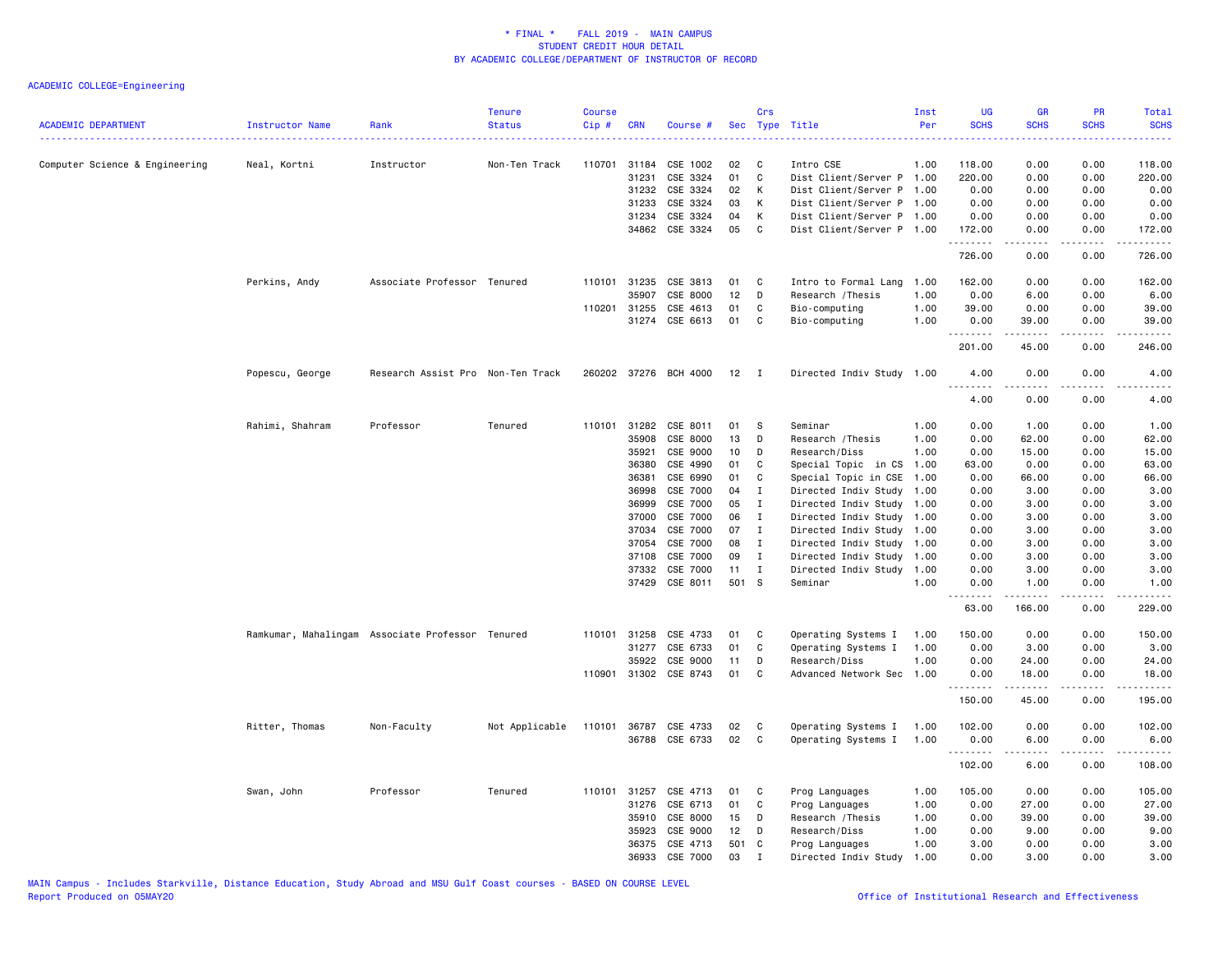| <b>ACADEMIC DEPARTMENT</b>     | Instructor Name | Rank                                             | <b>Tenure</b><br><b>Status</b> | <b>Course</b><br>Cip# | <b>CRN</b>     | Course #              |          | Crs                          | Sec Type Title                               | Inst<br>Per  | <b>UG</b><br><b>SCHS</b> | <b>GR</b><br><b>SCHS</b> | PR<br><b>SCHS</b> | Total<br><b>SCHS</b><br><u>.</u> |
|--------------------------------|-----------------|--------------------------------------------------|--------------------------------|-----------------------|----------------|-----------------------|----------|------------------------------|----------------------------------------------|--------------|--------------------------|--------------------------|-------------------|----------------------------------|
| Computer Science & Engineering | Neal, Kortni    | Instructor                                       | Non-Ten Track                  | 110701                | 31184          | CSE 1002              | 02       | C                            | Intro CSE                                    | 1.00         | 118.00                   | 0.00                     | 0.00              | 118.00                           |
|                                |                 |                                                  |                                |                       | 31231          | CSE 3324              | 01       | C                            | Dist Client/Server P 1.00                    |              | 220.00                   | 0.00                     | 0.00              | 220.00                           |
|                                |                 |                                                  |                                |                       | 31232          | CSE 3324              | 02       | К                            | Dist Client/Server P 1.00                    |              | 0.00                     | 0.00                     | 0.00              | 0.00                             |
|                                |                 |                                                  |                                |                       | 31233          | CSE 3324              | 03       | Κ                            | Dist Client/Server P 1.00                    |              | 0.00                     | 0.00                     | 0.00              | 0.00                             |
|                                |                 |                                                  |                                |                       | 31234          | CSE 3324              | 04       | К                            | Dist Client/Server P 1.00                    |              | 0.00                     | 0.00                     | 0.00              | 0.00                             |
|                                |                 |                                                  |                                |                       |                | 34862 CSE 3324        | 05       | C                            | Dist Client/Server P 1.00                    |              | 172.00<br>.              | 0.00<br>.                | 0.00<br>.         | 172.00<br><u>.</u>               |
|                                |                 |                                                  |                                |                       |                |                       |          |                              |                                              |              | 726.00                   | 0.00                     | 0.00              | 726.00                           |
|                                | Perkins, Andy   | Associate Professor Tenured                      |                                |                       | 110101 31235   | CSE 3813              | 01       | C                            | Intro to Formal Lang                         | 1.00         | 162.00                   | 0.00                     | 0.00              | 162.00                           |
|                                |                 |                                                  |                                |                       | 35907          | CSE 8000              | 12       | D                            | Research / Thesis                            | 1.00         | 0.00                     | 6.00                     | 0.00              | 6.00                             |
|                                |                 |                                                  |                                | 110201                | 31255          | CSE 4613              | 01       | C                            | Bio-computing                                | 1.00         | 39.00                    | 0.00                     | 0.00              | 39.00                            |
|                                |                 |                                                  |                                |                       |                | 31274 CSE 6613        | 01       | C                            | Bio-computing                                | 1.00         | 0.00<br><u>.</u>         | 39.00<br>$- - - - -$     | 0.00<br>.         | 39.00<br>.                       |
|                                |                 |                                                  |                                |                       |                |                       |          |                              |                                              |              | 201.00                   | 45.00                    | 0.00              | 246.00                           |
|                                | Popescu, George | Research Assist Pro Non-Ten Track                |                                |                       |                | 260202 37276 BCH 4000 | $12$ I   |                              | Directed Indiv Study 1.00                    |              | 4.00<br><u>.</u>         | 0.00<br>.                | 0.00<br>.         | 4.00<br>$\frac{1}{2}$            |
|                                |                 |                                                  |                                |                       |                |                       |          |                              |                                              |              | 4.00                     | 0.00                     | 0.00              | 4.00                             |
|                                | Rahimi, Shahram | Professor                                        | Tenured                        |                       | 110101 31282   | CSE 8011              | 01       | - S                          | Seminar                                      | 1.00         | 0.00                     | 1.00                     | 0.00              | 1.00                             |
|                                |                 |                                                  |                                |                       | 35908          | CSE 8000              | 13       | D                            | Research / Thesis                            | 1.00         | 0.00                     | 62.00                    | 0.00              | 62.00                            |
|                                |                 |                                                  |                                |                       | 35921          | CSE 9000              | 10       | D                            | Research/Diss                                | 1.00         | 0.00                     | 15.00                    | 0.00              | 15.00                            |
|                                |                 |                                                  |                                |                       | 36380          | CSE 4990              | 01       | C                            | Special Topic in CS                          | 1.00         | 63.00                    | 0.00                     | 0.00              | 63.00                            |
|                                |                 |                                                  |                                |                       | 36381          | CSE 6990              | 01       | C                            | Special Topic in CSE                         | 1.00         | 0.00                     | 66.00                    | 0.00              | 66.00                            |
|                                |                 |                                                  |                                |                       | 36998          | CSE 7000              | 04       | $\mathbf{I}$                 | Directed Indiv Study                         | 1.00         | 0.00                     | 3.00                     | 0.00              | 3.00                             |
|                                |                 |                                                  |                                |                       | 36999          | CSE 7000              | 05       | Ι                            | Directed Indiv Study 1.00                    |              | 0.00                     | 3.00                     | 0.00              | 3.00                             |
|                                |                 |                                                  |                                |                       | 37000          | CSE 7000              | 06       | $\mathbf{I}$                 | Directed Indiv Study 1.00                    |              | 0.00                     | 3.00                     | 0.00              | 3.00                             |
|                                |                 |                                                  |                                |                       | 37034          | CSE 7000<br>CSE 7000  | 07<br>08 | $\mathbf{I}$<br>$\mathbf{I}$ | Directed Indiv Study                         | 1.00         | 0.00                     | 3.00                     | 0.00              | 3.00                             |
|                                |                 |                                                  |                                |                       | 37054<br>37108 | CSE 7000              | 09       | $\mathbf{I}$                 | Directed Indiv Study<br>Directed Indiv Study | 1.00<br>1.00 | 0.00<br>0.00             | 3.00<br>3.00             | 0.00<br>0.00      | 3.00<br>3.00                     |
|                                |                 |                                                  |                                |                       | 37332          | CSE 7000              | 11       | $\mathbf{I}$                 | Directed Indiv Study                         | 1.00         | 0.00                     | 3.00                     | 0.00              | 3.00                             |
|                                |                 |                                                  |                                |                       | 37429          | CSE 8011              | 501 S    |                              | Seminar                                      | 1.00         | 0.00                     | 1.00                     | 0.00              | 1.00                             |
|                                |                 |                                                  |                                |                       |                |                       |          |                              |                                              |              | .                        | .                        | .                 | .                                |
|                                |                 |                                                  |                                |                       |                |                       |          |                              |                                              |              | 63.00                    | 166.00                   | 0.00              | 229.00                           |
|                                |                 | Ramkumar, Mahalingam Associate Professor Tenured |                                | 110101                | 31258          | CSE 4733              | 01       | C                            | Operating Systems I                          | 1.00         | 150.00                   | 0.00                     | 0.00              | 150.00                           |
|                                |                 |                                                  |                                |                       | 31277          | CSE 6733              | 01       | C                            | Operating Systems I                          | 1.00         | 0.00                     | 3.00                     | 0.00              | 3.00                             |
|                                |                 |                                                  |                                |                       | 35922          | CSE 9000              | 11       | D                            | Research/Diss                                | 1.00         | 0.00                     | 24.00                    | 0.00              | 24.00                            |
|                                |                 |                                                  |                                | 110901                |                | 31302 CSE 8743        | 01       | C                            | Advanced Network Sec                         | 1.00         | 0.00<br><u>.</u>         | 18.00                    | 0.00              | 18.00<br>.                       |
|                                |                 |                                                  |                                |                       |                |                       |          |                              |                                              |              | 150.00                   | 45.00                    | 0.00              | 195.00                           |
|                                | Ritter, Thomas  | Non-Faculty                                      | Not Applicable                 |                       |                | 110101 36787 CSE 4733 | 02       | C                            | Operating Systems I                          | 1.00         | 102.00                   | 0.00                     | 0.00              | 102.00                           |
|                                |                 |                                                  |                                |                       |                | 36788 CSE 6733        | 02       | C                            | Operating Systems I                          | 1.00         | 0.00                     | 6.00                     | 0.00              | 6.00                             |
|                                |                 |                                                  |                                |                       |                |                       |          |                              |                                              |              | <u>.</u><br>102.00       | .<br>6.00                | .<br>0.00         | .<br>108.00                      |
|                                | Swan, John      | Professor                                        | Tenured                        |                       | 110101 31257   | CSE 4713              | 01       | C                            | Prog Languages                               | 1.00         | 105.00                   | 0.00                     | 0.00              | 105.00                           |
|                                |                 |                                                  |                                |                       | 31276          | CSE 6713              | 01       | C                            | Prog Languages                               | 1.00         | 0.00                     | 27.00                    | 0.00              | 27.00                            |
|                                |                 |                                                  |                                |                       | 35910          | CSE 8000              | 15       | D                            | Research / Thesis                            | 1.00         | 0.00                     | 39.00                    | 0.00              | 39.00                            |
|                                |                 |                                                  |                                |                       | 35923          | CSE 9000              | 12       | D                            | Research/Diss                                | 1.00         | 0.00                     | 9.00                     | 0.00              | 9.00                             |
|                                |                 |                                                  |                                |                       | 36375          | CSE 4713              | 501 C    |                              | Prog Languages                               | 1.00         | 3.00                     | 0.00                     | 0.00              | 3.00                             |
|                                |                 |                                                  |                                |                       | 36933          | CSE 7000              | 03       | $\mathbf{I}$                 | Directed Indiv Study                         | 1.00         | 0.00                     | 3.00                     | 0.00              | 3.00                             |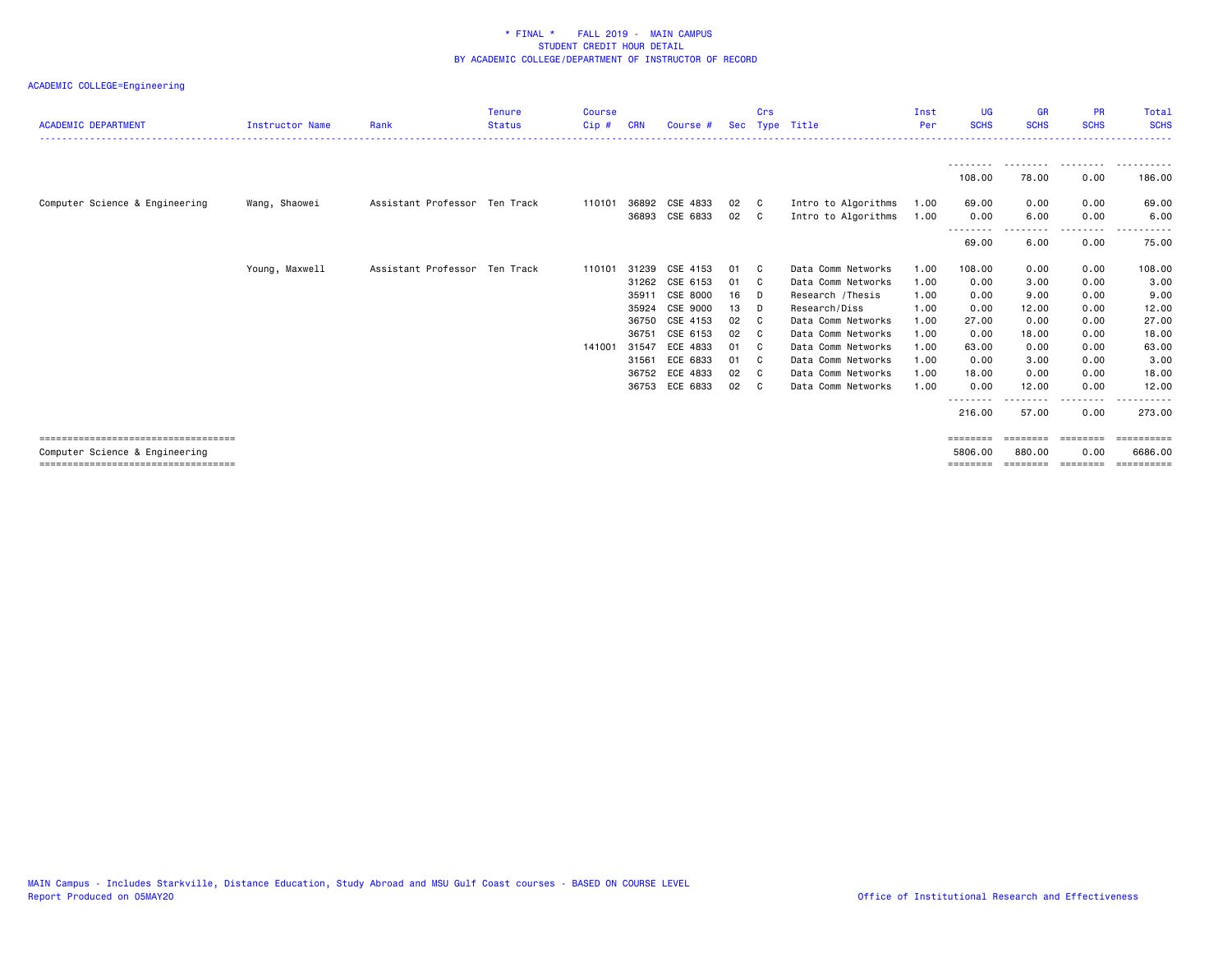| <b>ACADEMIC DEPARTMENT</b>            | Instructor Name | Rank                          | <b>Tenure</b><br><b>Status</b> | <b>Course</b><br>Cip# | <b>CRN</b> | Course #       |    | Crs | Sec Type Title      | Inst<br>Per | <b>UG</b><br><b>SCHS</b> | <b>GR</b><br><b>SCHS</b> | <b>PR</b><br><b>SCHS</b> | Total<br><b>SCHS</b> |
|---------------------------------------|-----------------|-------------------------------|--------------------------------|-----------------------|------------|----------------|----|-----|---------------------|-------------|--------------------------|--------------------------|--------------------------|----------------------|
|                                       |                 |                               |                                |                       |            |                |    |     |                     |             |                          |                          |                          | .                    |
|                                       |                 |                               |                                |                       |            |                |    |     |                     |             | 108.00                   | 78.00                    | .<br>0.00                | .<br>186.00          |
| Computer Science & Engineering        | Wang, Shaowei   | Assistant Professor Ten Track |                                | 110101                |            | 36892 CSE 4833 | 02 | - C | Intro to Algorithms | 1.00        | 69.00                    | 0.00                     | 0.00                     | 69.00                |
|                                       |                 |                               |                                |                       |            | 36893 CSE 6833 | 02 | C.  | Intro to Algorithms | 1.00        | 0.00<br>---------        | 6.00                     | 0.00<br>$- - - -$        | 6.00                 |
|                                       |                 |                               |                                |                       |            |                |    |     |                     |             | 69.00                    | 6.00                     | 0.00                     | 75.00                |
|                                       | Young, Maxwell  | Assistant Professor Ten Track |                                | 110101                | 31239      | CSE 4153       | 01 | - C | Data Comm Networks  | 1.00        | 108.00                   | 0.00                     | 0.00                     | 108.00               |
|                                       |                 |                               |                                |                       | 31262      | CSE 6153       | 01 | - C | Data Comm Networks  | 1.00        | 0.00                     | 3.00                     | 0.00                     | 3.00                 |
|                                       |                 |                               |                                |                       | 35911      | CSE 8000       | 16 | - D | Research /Thesis    | 1.00        | 0.00                     | 9.00                     | 0.00                     | 9.00                 |
|                                       |                 |                               |                                |                       | 35924      | CSE 9000       | 13 | D   | Research/Diss       | 1.00        | 0.00                     | 12.00                    | 0.00                     | 12.00                |
|                                       |                 |                               |                                |                       | 36750      | CSE 4153       | 02 | - C | Data Comm Networks  | 1.00        | 27.00                    | 0.00                     | 0.00                     | 27.00                |
|                                       |                 |                               |                                |                       | 36751      | CSE 6153       | 02 | - C | Data Comm Networks  | 1.00        | 0.00                     | 18.00                    | 0.00                     | 18.00                |
|                                       |                 |                               |                                | 141001                | 31547      | ECE 4833       | 01 | - C | Data Comm Networks  | 1.00        | 63.00                    | 0.00                     | 0.00                     | 63.00                |
|                                       |                 |                               |                                |                       | 31561      | ECE 6833       | 01 | - C | Data Comm Networks  | 1.00        | 0.00                     | 3.00                     | 0.00                     | 3.00                 |
|                                       |                 |                               |                                |                       | 36752      | ECE 4833       | 02 | - C | Data Comm Networks  | 1.00        | 18.00                    | 0.00                     | 0.00                     | 18.00                |
|                                       |                 |                               |                                |                       |            | 36753 ECE 6833 | 02 | - C | Data Comm Networks  | 1.00        | 0.00<br>--------         | 12.00<br>.               | 0.00<br>.                | 12.00                |
|                                       |                 |                               |                                |                       |            |                |    |     |                     |             | 216.00                   | 57.00                    | 0.00                     | 273.00               |
| ====================================  |                 |                               |                                |                       |            |                |    |     |                     |             | ========                 | ========                 | ========                 | ==========           |
| Computer Science & Engineering        |                 |                               |                                |                       |            |                |    |     |                     |             | 5806.00                  | 880,00                   | 0.00                     | 6686,00              |
| ===================================== |                 |                               |                                |                       |            |                |    |     |                     |             | ========                 | --------                 | eeeeeee                  | eessesses            |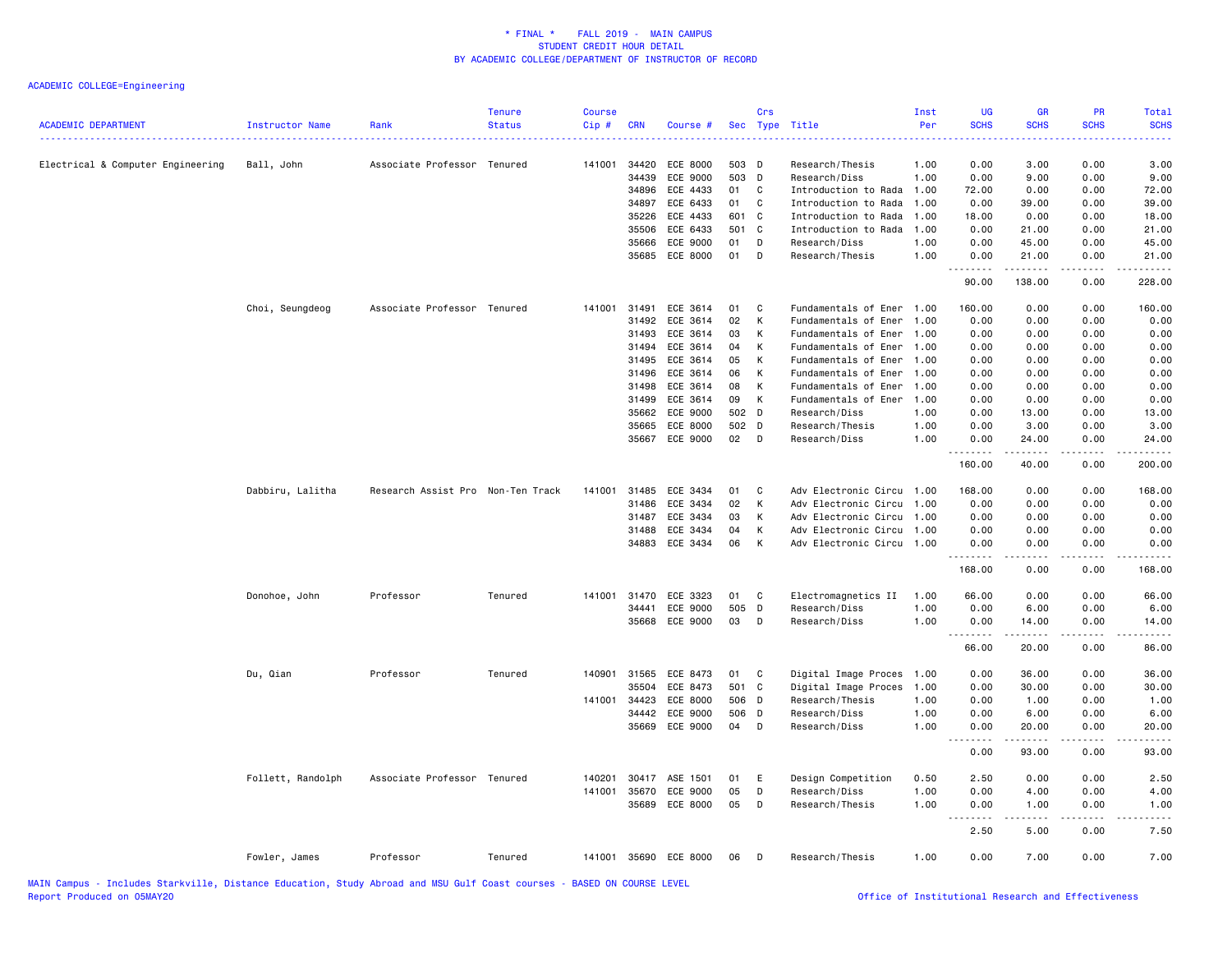| <b>ACADEMIC DEPARTMENT</b><br>------------------------------------ | Instructor Name   | Rank                              | <b>Tenure</b><br><b>Status</b> | <b>Course</b><br>Cip# | <b>CRN</b>     | Course #              |                | Crs<br>Sec Type Title |                                  | Inst<br>Per<br>. | <b>UG</b><br><b>SCHS</b><br>---- | <b>GR</b><br><b>SCHS</b>                                                                                                                                      | PR<br><b>SCHS</b>                   | Total<br><b>SCHS</b><br>.                                                                                                                                     |
|--------------------------------------------------------------------|-------------------|-----------------------------------|--------------------------------|-----------------------|----------------|-----------------------|----------------|-----------------------|----------------------------------|------------------|----------------------------------|---------------------------------------------------------------------------------------------------------------------------------------------------------------|-------------------------------------|---------------------------------------------------------------------------------------------------------------------------------------------------------------|
| Electrical & Computer Engineering                                  | Ball, John        | Associate Professor Tenured       |                                | 141001                | 34420          | ECE 8000              | 503 D          |                       | Research/Thesis                  | 1.00             | 0.00                             | 3.00                                                                                                                                                          | 0.00                                | 3.00                                                                                                                                                          |
|                                                                    |                   |                                   |                                |                       | 34439          | ECE 9000              | 503            | D                     | Research/Diss                    | 1.00             | 0.00                             | 9.00                                                                                                                                                          | 0.00                                | 9.00                                                                                                                                                          |
|                                                                    |                   |                                   |                                |                       | 34896          | ECE 4433              | 01             | C                     | Introduction to Rada             | 1.00             | 72.00                            | 0.00                                                                                                                                                          | 0.00                                | 72.00                                                                                                                                                         |
|                                                                    |                   |                                   |                                |                       | 34897          | ECE 6433              | 01             | C                     | Introduction to Rada             | 1.00             | 0.00                             | 39.00                                                                                                                                                         | 0.00                                | 39.00                                                                                                                                                         |
|                                                                    |                   |                                   |                                |                       | 35226          | ECE 4433              | 601 C          |                       | Introduction to Rada             | 1.00             | 18.00                            | 0.00                                                                                                                                                          | 0.00                                | 18.00                                                                                                                                                         |
|                                                                    |                   |                                   |                                |                       | 35506          | ECE 6433              | 501 C          |                       | Introduction to Rada             | 1.00             | 0.00                             | 21.00                                                                                                                                                         | 0.00                                | 21.00                                                                                                                                                         |
|                                                                    |                   |                                   |                                |                       | 35666          | ECE 9000              | 01             | D                     | Research/Diss                    | 1.00             | 0.00                             | 45.00                                                                                                                                                         | 0.00                                | 45.00                                                                                                                                                         |
|                                                                    |                   |                                   |                                |                       | 35685          | ECE 8000              | 01             | D                     | Research/Thesis                  | 1.00             | 0.00<br><u>.</u>                 | 21.00<br>$- - - -$                                                                                                                                            | 0.00<br>$\sim$ $\sim$ $\sim$ $\sim$ | 21.00<br>.                                                                                                                                                    |
|                                                                    |                   |                                   |                                |                       |                |                       |                |                       |                                  |                  | 90.00                            | 138.00                                                                                                                                                        | 0.00                                | 228.00                                                                                                                                                        |
|                                                                    | Choi, Seungdeog   | Associate Professor Tenured       |                                | 141001                | 31491          | ECE 3614              | 01             | C                     | Fundamentals of Ener             | 1.00             | 160.00                           | 0.00                                                                                                                                                          | 0.00                                | 160.00                                                                                                                                                        |
|                                                                    |                   |                                   |                                |                       | 31492          | ECE 3614              | 02             | K                     | Fundamentals of Ener             | 1.00             | 0.00                             | 0.00                                                                                                                                                          | 0.00                                | 0.00                                                                                                                                                          |
|                                                                    |                   |                                   |                                |                       | 31493          | ECE 3614              | 03             | К                     | Fundamentals of Ener             | 1.00             | 0.00                             | 0.00                                                                                                                                                          | 0.00                                | 0.00                                                                                                                                                          |
|                                                                    |                   |                                   |                                |                       | 31494          | ECE 3614              | 04             | Κ                     | Fundamentals of Ener             | 1.00             | 0.00                             | 0.00                                                                                                                                                          | 0.00                                | 0.00                                                                                                                                                          |
|                                                                    |                   |                                   |                                |                       | 31495          | ECE 3614              | 05             | К                     | Fundamentals of Ener             | 1.00             | 0.00                             | 0.00                                                                                                                                                          | 0.00                                | 0.00                                                                                                                                                          |
|                                                                    |                   |                                   |                                |                       | 31496          | ECE 3614              | 06             | К                     | Fundamentals of Ener             | 1.00             | 0.00                             | 0.00                                                                                                                                                          | 0.00                                | 0.00                                                                                                                                                          |
|                                                                    |                   |                                   |                                |                       | 31498          | ECE 3614              | 08             | К                     | Fundamentals of Ener             | 1.00             | 0.00                             | 0.00                                                                                                                                                          | 0.00                                | 0.00                                                                                                                                                          |
|                                                                    |                   |                                   |                                |                       | 31499          | ECE 3614              | 09             | К                     | Fundamentals of Ener             | 1.00             | 0.00                             | 0.00                                                                                                                                                          | 0.00                                | 0.00                                                                                                                                                          |
|                                                                    |                   |                                   |                                |                       | 35662<br>35665 | ECE 9000<br>ECE 8000  | 502 D<br>502 D |                       | Research/Diss<br>Research/Thesis | 1.00<br>1.00     | 0.00<br>0.00                     | 13.00<br>3.00                                                                                                                                                 | 0.00<br>0.00                        | 13.00<br>3.00                                                                                                                                                 |
|                                                                    |                   |                                   |                                |                       | 35667          | ECE 9000              | 02             | D                     | Research/Diss                    | 1.00             | 0.00                             | 24.00                                                                                                                                                         | 0.00                                | 24.00                                                                                                                                                         |
|                                                                    |                   |                                   |                                |                       |                |                       |                |                       |                                  |                  | .<br>160.00                      | $\frac{1}{2} \left( \frac{1}{2} \right) \left( \frac{1}{2} \right) \left( \frac{1}{2} \right) \left( \frac{1}{2} \right) \left( \frac{1}{2} \right)$<br>40.00 | $\sim$ $\sim$ $\sim$ $\sim$<br>0.00 | .<br>200.00                                                                                                                                                   |
|                                                                    | Dabbiru, Lalitha  | Research Assist Pro Non-Ten Track |                                | 141001                | 31485          | ECE 3434              | 01             | C                     | Adv Electronic Circu             | 1.00             | 168.00                           | 0.00                                                                                                                                                          | 0.00                                | 168.00                                                                                                                                                        |
|                                                                    |                   |                                   |                                |                       | 31486          | ECE 3434              | 02             | K                     | Adv Electronic Circu             | 1.00             | 0.00                             | 0.00                                                                                                                                                          | 0.00                                | 0.00                                                                                                                                                          |
|                                                                    |                   |                                   |                                |                       | 31487          | ECE 3434              | 03             | К                     | Adv Electronic Circu             | 1.00             | 0.00                             | 0.00                                                                                                                                                          | 0.00                                | 0.00                                                                                                                                                          |
|                                                                    |                   |                                   |                                |                       | 31488          | ECE 3434              | 04             | К                     | Adv Electronic Circu             | 1.00             | 0.00                             | 0.00                                                                                                                                                          | 0.00                                | 0.00                                                                                                                                                          |
|                                                                    |                   |                                   |                                |                       | 34883          | ECE 3434              | 06             | K                     | Adv Electronic Circu 1.00        |                  | 0.00                             | 0.00                                                                                                                                                          | 0.00                                | 0.00                                                                                                                                                          |
|                                                                    |                   |                                   |                                |                       |                |                       |                |                       |                                  |                  | .<br>168.00                      | .<br>0.00                                                                                                                                                     | .<br>0.00                           | .<br>168.00                                                                                                                                                   |
|                                                                    | Donohoe, John     | Professor                         | Tenured                        | 141001                | 31470          | ECE 3323              | 01             | C                     | Electromagnetics II              | 1.00             | 66.00                            | 0.00                                                                                                                                                          | 0.00                                | 66.00                                                                                                                                                         |
|                                                                    |                   |                                   |                                |                       | 34441          | ECE 9000              | 505            | D                     | Research/Diss                    | 1.00             | 0.00                             | 6.00                                                                                                                                                          | 0.00                                | 6.00                                                                                                                                                          |
|                                                                    |                   |                                   |                                |                       |                | 35668 ECE 9000        | 03             | D                     | Research/Diss                    | 1.00             | 0.00<br>.                        | 14.00<br>$\sim$ 200 $\sim$ 200                                                                                                                                | 0.00<br>.                           | 14.00<br>$\frac{1}{2} \left( \frac{1}{2} \right) \left( \frac{1}{2} \right) \left( \frac{1}{2} \right) \left( \frac{1}{2} \right) \left( \frac{1}{2} \right)$ |
|                                                                    |                   |                                   |                                |                       |                |                       |                |                       |                                  |                  | 66.00                            | 20.00                                                                                                                                                         | 0.00                                | 86.00                                                                                                                                                         |
|                                                                    | Du, Qian          | Professor                         | Tenured                        | 140901                | 31565          | ECE 8473              | 01             | $\mathbf{C}$          | Digital Image Proces             | 1.00             | 0.00                             | 36.00                                                                                                                                                         | 0.00                                | 36.00                                                                                                                                                         |
|                                                                    |                   |                                   |                                |                       | 35504          | ECE 8473              | 501 C          |                       | Digital Image Proces             | 1.00             | 0.00                             | 30.00                                                                                                                                                         | 0.00                                | 30.00                                                                                                                                                         |
|                                                                    |                   |                                   |                                | 141001                | 34423          | ECE 8000              | 506 D          |                       | Research/Thesis                  | 1.00             | 0.00                             | 1.00                                                                                                                                                          | 0.00                                | 1.00                                                                                                                                                          |
|                                                                    |                   |                                   |                                |                       | 34442          | ECE 9000              | 506 D          |                       | Research/Diss                    | 1.00             | 0.00                             | 6.00                                                                                                                                                          | 0.00                                | 6.00                                                                                                                                                          |
|                                                                    |                   |                                   |                                |                       | 35669          | ECE 9000              | 04             | D                     | Research/Diss                    | 1.00             | 0.00<br>----                     | 20.00<br>-----                                                                                                                                                | 0.00<br>$\frac{1}{2}$               | 20.00<br>$\frac{1}{2}$                                                                                                                                        |
|                                                                    |                   |                                   |                                |                       |                |                       |                |                       |                                  |                  | 0.00                             | 93.00                                                                                                                                                         | 0.00                                | 93.00                                                                                                                                                         |
|                                                                    | Follett, Randolph | Associate Professor Tenured       |                                | 140201                | 30417          | ASE 1501              | 01             | E                     | Design Competition               | 0.50             | 2.50                             | 0.00                                                                                                                                                          | 0.00                                | 2.50                                                                                                                                                          |
|                                                                    |                   |                                   |                                | 141001                | 35670          | ECE 9000              | 05             | D                     | Research/Diss                    | 1.00             | 0.00                             | 4.00                                                                                                                                                          | 0.00                                | 4.00                                                                                                                                                          |
|                                                                    |                   |                                   |                                |                       |                | 35689 ECE 8000        | 05             | D                     | Research/Thesis                  | 1.00             | 0.00<br>.                        | 1.00<br>-----                                                                                                                                                 | 0.00<br>.                           | 1.00<br>-----                                                                                                                                                 |
|                                                                    |                   |                                   |                                |                       |                |                       |                |                       |                                  |                  | 2.50                             | 5.00                                                                                                                                                          | 0.00                                | 7.50                                                                                                                                                          |
|                                                                    | Fowler, James     | Professor                         | Tenured                        |                       |                | 141001 35690 ECE 8000 | 06             | D                     | Research/Thesis                  | 1.00             | 0.00                             | 7.00                                                                                                                                                          | 0.00                                | 7.00                                                                                                                                                          |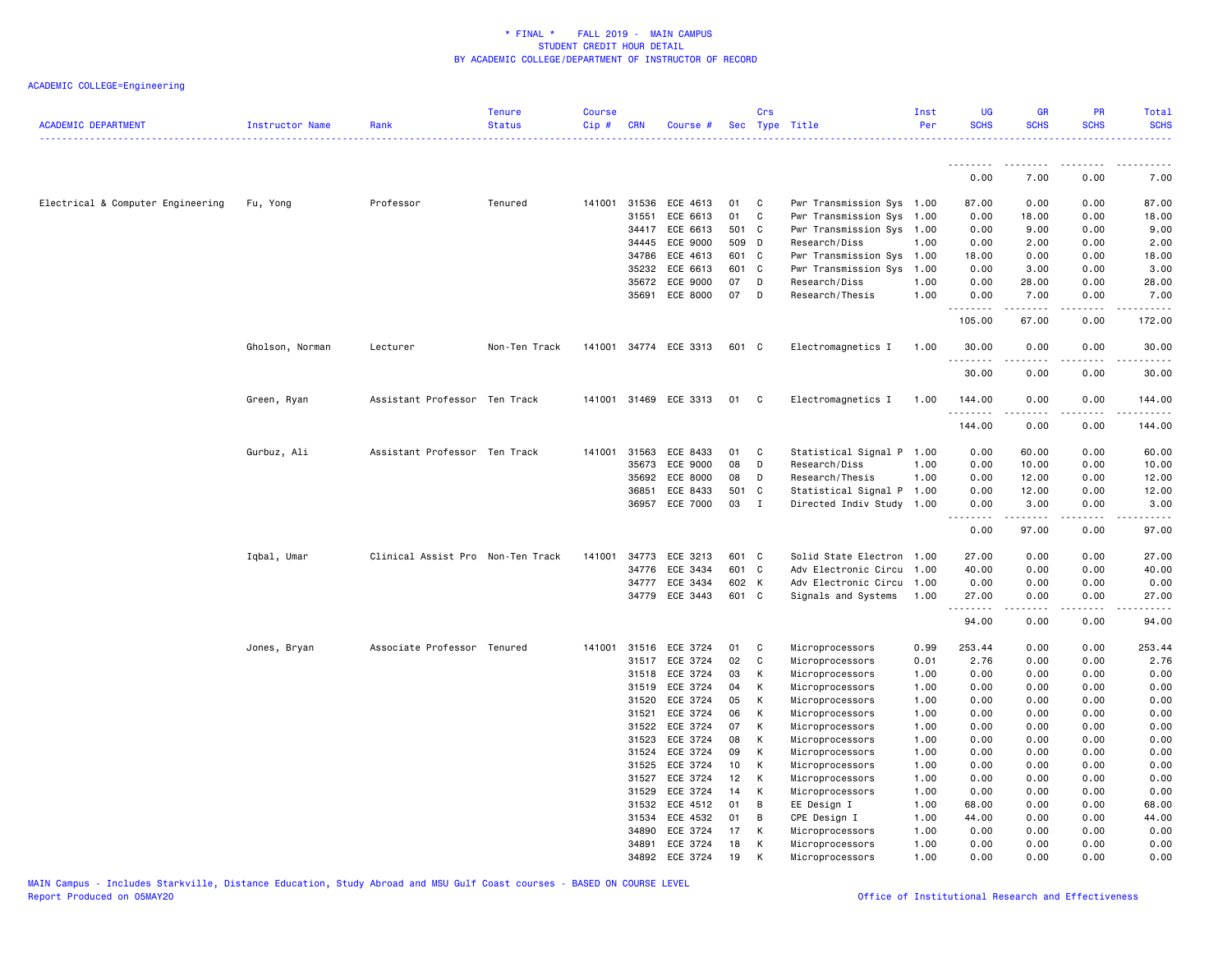| <b>ACADEMIC DEPARTMENT</b>        | Instructor Name | Rank                              | <b>Tenure</b><br><b>Status</b> | <b>Course</b><br>Cip# | <b>CRN</b>     | Course #              |          | Crs          | Sec Type Title<br><u>.</u>         | Inst<br>Per  | <b>UG</b><br><b>SCHS</b> | <b>GR</b><br><b>SCHS</b> | <b>PR</b><br><b>SCHS</b> | Total<br><b>SCHS</b> |
|-----------------------------------|-----------------|-----------------------------------|--------------------------------|-----------------------|----------------|-----------------------|----------|--------------|------------------------------------|--------------|--------------------------|--------------------------|--------------------------|----------------------|
|                                   |                 |                                   |                                |                       |                |                       |          |              |                                    |              | <u>.</u>                 | ------                   | .                        |                      |
|                                   |                 |                                   |                                |                       |                |                       |          |              |                                    |              | 0.00                     | 7.00                     | 0.00                     | 7.00                 |
| Electrical & Computer Engineering | Fu, Yong        | Professor                         | Tenured                        | 141001                | 31536          | ECE 4613              | 01       | C.           | Pwr Transmission Sys 1.00          |              | 87.00                    | 0.00                     | 0.00                     | 87.00                |
|                                   |                 |                                   |                                |                       | 31551          | ECE 6613              | 01       | C            | Pwr Transmission Sys 1.00          |              | 0.00                     | 18.00                    | 0.00                     | 18.00                |
|                                   |                 |                                   |                                |                       | 34417          | ECE 6613              | 501 C    |              | Pwr Transmission Sys 1.00          |              | 0.00                     | 9.00                     | 0.00                     | 9.00                 |
|                                   |                 |                                   |                                |                       | 34445          | ECE 9000              | 509 D    |              | Research/Diss                      | 1.00         | 0.00                     | 2.00                     | 0.00                     | 2.00                 |
|                                   |                 |                                   |                                |                       | 34786          | ECE 4613              | 601 C    |              | Pwr Transmission Sys 1.00          |              | 18.00                    | 0.00                     | 0.00                     | 18.00                |
|                                   |                 |                                   |                                |                       | 35232          | ECE 6613              | 601 C    |              | Pwr Transmission Sys 1.00          |              | 0.00                     | 3.00                     | 0.00                     | 3.00                 |
|                                   |                 |                                   |                                |                       | 35672          | ECE 9000              | 07       | D            | Research/Diss                      | 1.00         | 0.00                     | 28.00                    | 0.00                     | 28.00                |
|                                   |                 |                                   |                                |                       | 35691          | ECE 8000              | 07       | D            | Research/Thesis                    | 1.00         | 0.00<br>.                | 7.00                     | 0.00                     | 7.00                 |
|                                   |                 |                                   |                                |                       |                |                       |          |              |                                    |              | 105.00                   | 67.00                    | 0.00                     | 172.00               |
|                                   | Gholson, Norman | Lecturer                          | Non-Ten Track                  |                       |                | 141001 34774 ECE 3313 | 601 C    |              | Electromagnetics I                 | 1.00         | 30.00<br>.               | 0.00                     | 0.00                     | 30.00                |
|                                   |                 |                                   |                                |                       |                |                       |          |              |                                    |              | 30.00                    | 0.00                     | 0.00                     | 30.00                |
|                                   | Green, Ryan     | Assistant Professor Ten Track     |                                |                       |                | 141001 31469 ECE 3313 | 01       | $\mathbf{C}$ | Electromagnetics I                 | 1.00         | 144.00<br>.              | 0.00<br>$- - - - -$      | 0.00<br>.                | 144.00<br>.          |
|                                   |                 |                                   |                                |                       |                |                       |          |              |                                    |              | 144.00                   | 0.00                     | 0.00                     | 144.00               |
|                                   | Gurbuz, Ali     | Assistant Professor Ten Track     |                                | 141001                | 31563          | ECE 8433              | 01       | C            | Statistical Signal P 1.00          |              | 0.00                     | 60.00                    | 0.00                     | 60.00                |
|                                   |                 |                                   |                                |                       | 35673          | ECE 9000              | 08       | D            | Research/Diss                      | 1.00         | 0.00                     | 10.00                    | 0.00                     | 10.00                |
|                                   |                 |                                   |                                |                       | 35692          | ECE 8000              | 08       | D            | Research/Thesis                    | 1.00         | 0.00                     | 12.00                    | 0.00                     | 12.00                |
|                                   |                 |                                   |                                |                       | 36851          | ECE 8433              | 501 C    |              | Statistical Signal P 1.00          |              | 0.00                     | 12.00                    | 0.00                     | 12.00                |
|                                   |                 |                                   |                                |                       | 36957          | ECE 7000              | 03       | $\mathbf{I}$ | Directed Indiv Study 1.00          |              | 0.00<br>.                | 3.00<br>.                | 0.00<br>.                | 3.00<br>.            |
|                                   |                 |                                   |                                |                       |                |                       |          |              |                                    |              | 0.00                     | 97.00                    | 0.00                     | 97.00                |
|                                   | Iqbal, Umar     | Clinical Assist Pro Non-Ten Track |                                | 141001                | 34773          | ECE 3213              | 601 C    |              | Solid State Electron 1.00          |              | 27.00                    | 0.00                     | 0.00                     | 27.00                |
|                                   |                 |                                   |                                |                       | 34776          | ECE 3434              | 601 C    |              | Adv Electronic Circu 1.00          |              | 40.00                    | 0.00                     | 0.00                     | 40.00                |
|                                   |                 |                                   |                                |                       | 34777          | ECE 3434              | 602 K    |              | Adv Electronic Circu 1.00          |              | 0.00                     | 0.00                     | 0.00                     | 0.00                 |
|                                   |                 |                                   |                                |                       | 34779          | ECE 3443              | 601 C    |              | Signals and Systems                | 1.00         | 27.00<br>.               | 0.00<br>د د د د د        | 0.00<br>.                | 27.00<br>.           |
|                                   |                 |                                   |                                |                       |                |                       |          |              |                                    |              | 94.00                    | 0.00                     | 0.00                     | 94.00                |
|                                   | Jones, Bryan    | Associate Professor Tenured       |                                |                       | 141001 31516   | ECE 3724              | 01       | C            | Microprocessors                    | 0.99         | 253.44                   | 0.00                     | 0.00                     | 253.44               |
|                                   |                 |                                   |                                |                       | 31517          | ECE 3724              | 02       | C            | Microprocessors                    | 0.01         | 2.76                     | 0.00                     | 0.00                     | 2.76                 |
|                                   |                 |                                   |                                |                       | 31518          | ECE 3724              | 03       | К            | Microprocessors                    | 1.00         | 0.00                     | 0.00                     | 0.00                     | 0.00                 |
|                                   |                 |                                   |                                |                       | 31519          | ECE 3724              | 04       | К            | Microprocessors                    | 1.00         | 0.00                     | 0.00                     | 0.00                     | 0.00                 |
|                                   |                 |                                   |                                |                       | 31520          | ECE 3724              | 05       | К            | Microprocessors                    | 1.00         | 0.00                     | 0.00                     | 0.00                     | 0.00                 |
|                                   |                 |                                   |                                |                       | 31521          | ECE 3724              | 06       | К            | Microprocessors                    | 1.00         | 0.00                     | 0.00                     | 0.00                     | 0.00                 |
|                                   |                 |                                   |                                |                       | 31522<br>31523 | ECE 3724<br>ECE 3724  | 07<br>08 | К<br>к       | Microprocessors                    | 1.00         | 0.00<br>0.00             | 0.00                     | 0.00<br>0.00             | 0.00                 |
|                                   |                 |                                   |                                |                       | 31524          | ECE 3724              | 09       | К            | Microprocessors                    | 1.00         | 0.00                     | 0.00                     | 0.00                     | 0.00<br>0.00         |
|                                   |                 |                                   |                                |                       | 31525          | ECE 3724              | 10       | К            | Microprocessors<br>Microprocessors | 1.00<br>1.00 | 0.00                     | 0.00<br>0.00             | 0.00                     | 0.00                 |
|                                   |                 |                                   |                                |                       | 31527          | ECE 3724              | 12       | к            | Microprocessors                    | 1.00         | 0.00                     | 0.00                     | 0.00                     | 0.00                 |
|                                   |                 |                                   |                                |                       | 31529          | ECE 3724              | 14       | к            | Microprocessors                    | 1.00         | 0.00                     | 0.00                     | 0.00                     | 0.00                 |
|                                   |                 |                                   |                                |                       | 31532          | ECE 4512              | 01       | В            | EE Design I                        | 1.00         | 68.00                    | 0.00                     | 0.00                     | 68.00                |
|                                   |                 |                                   |                                |                       | 31534          | ECE 4532              | 01       | В            | CPE Design I                       | 1.00         | 44.00                    | 0.00                     | 0.00                     | 44.00                |
|                                   |                 |                                   |                                |                       | 34890          | ECE 3724              | 17       | К            | Microprocessors                    | 1.00         | 0.00                     | 0.00                     | 0.00                     | 0.00                 |
|                                   |                 |                                   |                                |                       | 34891          | ECE 3724              | 18       | К            | Microprocessors                    | 1.00         | 0.00                     | 0.00                     | 0.00                     | 0.00                 |
|                                   |                 |                                   |                                |                       | 34892          | ECE 3724              | 19       | K            | Microprocessors                    | 1.00         | 0.00                     | 0.00                     | 0.00                     | 0.00                 |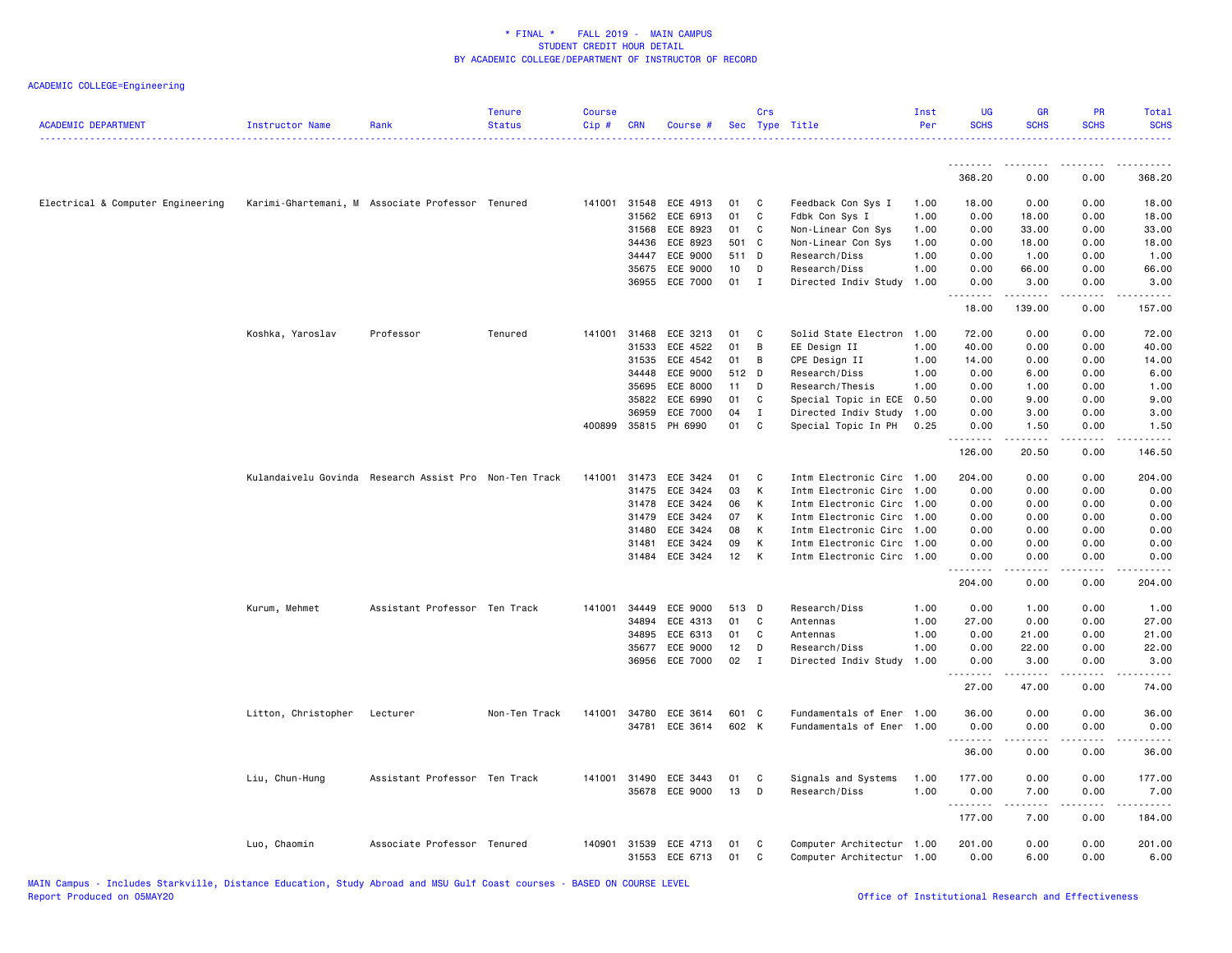| <b>ACADEMIC DEPARTMENT</b>        | Instructor Name     | Rank                                                   | <b>Tenure</b><br><b>Status</b> | <b>Course</b><br>Cip# | <b>CRN</b> | Course #                   |          | Crs<br>Sec Type Title |                                                        | Inst<br>Per | UG<br><b>SCHS</b>  | <b>GR</b><br><b>SCHS</b>                                                                                                                                     | PR<br><b>SCHS</b> | Total<br><b>SCHS</b>    |
|-----------------------------------|---------------------|--------------------------------------------------------|--------------------------------|-----------------------|------------|----------------------------|----------|-----------------------|--------------------------------------------------------|-------------|--------------------|--------------------------------------------------------------------------------------------------------------------------------------------------------------|-------------------|-------------------------|
|                                   |                     |                                                        |                                |                       |            |                            |          |                       |                                                        |             | <u>.</u><br>368.20 | 0.00                                                                                                                                                         | 0.00              | 368.20                  |
|                                   |                     |                                                        |                                |                       |            |                            |          |                       |                                                        |             |                    |                                                                                                                                                              |                   |                         |
| Electrical & Computer Engineering |                     | Karimi-Ghartemani, M Associate Professor Tenured       |                                |                       |            | 141001 31548 ECE 4913      | 01       | C.                    | Feedback Con Sys I                                     | 1.00        | 18.00              | 0.00                                                                                                                                                         | 0.00              | 18.00                   |
|                                   |                     |                                                        |                                |                       | 31562      | ECE 6913                   | 01       | C                     | Fdbk Con Sys I                                         | 1.00        | 0.00               | 18.00                                                                                                                                                        | 0.00              | 18.00                   |
|                                   |                     |                                                        |                                |                       | 31568      | ECE 8923                   | 01       | C                     | Non-Linear Con Sys                                     | 1.00        | 0.00               | 33.00                                                                                                                                                        | 0.00              | 33.00                   |
|                                   |                     |                                                        |                                |                       | 34436      | ECE 8923                   |          | 501 C                 | Non-Linear Con Sys                                     | 1.00        | 0.00               | 18.00                                                                                                                                                        | 0.00              | 18.00                   |
|                                   |                     |                                                        |                                |                       | 34447      | ECE 9000                   | 511 D    |                       | Research/Diss                                          | 1.00        | 0.00               | 1.00                                                                                                                                                         | 0.00              | 1.00                    |
|                                   |                     |                                                        |                                |                       | 35675      | ECE 9000                   | 10       | D                     | Research/Diss                                          | 1.00        | 0.00               | 66.00                                                                                                                                                        | 0.00              | 66.00                   |
|                                   |                     |                                                        |                                |                       | 36955      | ECE 7000                   | 01       | $\mathbf I$           | Directed Indiv Study                                   | 1.00        | 0.00<br>.          | 3.00<br>1.1.1.1.1                                                                                                                                            | 0.00<br>.         | 3.00<br>.               |
|                                   |                     |                                                        |                                |                       |            |                            |          |                       |                                                        |             | 18.00              | 139.00                                                                                                                                                       | 0.00              | 157.00                  |
|                                   | Koshka, Yaroslav    | Professor                                              | Tenured                        | 141001                | 31468      | ECE 3213                   | 01       | C                     | Solid State Electron                                   | 1.00        | 72.00              | 0.00                                                                                                                                                         | 0.00              | 72.00                   |
|                                   |                     |                                                        |                                |                       | 31533      | ECE 4522                   | 01       | B                     | EE Design II                                           | 1.00        | 40.00              | 0.00                                                                                                                                                         | 0.00              | 40.00                   |
|                                   |                     |                                                        |                                |                       | 31535      | ECE 4542                   | 01       | В                     | CPE Design II                                          | 1.00        | 14.00              | 0.00                                                                                                                                                         | 0.00              | 14.00                   |
|                                   |                     |                                                        |                                |                       | 34448      | ECE 9000                   |          | 512 D                 | Research/Diss                                          | 1.00        | 0.00               | 6.00                                                                                                                                                         | 0.00              | 6.00                    |
|                                   |                     |                                                        |                                |                       | 35695      | ECE 8000                   | 11       | D                     | Research/Thesis                                        | 1.00        | 0.00               | 1.00                                                                                                                                                         | 0.00              | 1.00                    |
|                                   |                     |                                                        |                                |                       | 35822      | ECE 6990                   | 01       | C                     | Special Topic in ECE                                   | 0.50        | 0.00               | 9.00                                                                                                                                                         | 0.00              | 9.00                    |
|                                   |                     |                                                        |                                |                       | 36959      | ECE 7000                   | 04       | Ι.                    | Directed Indiv Study                                   | 1.00        | 0.00               | 3.00                                                                                                                                                         | 0.00              | 3.00                    |
|                                   |                     |                                                        |                                | 400899                | 35815      | PH 6990                    | 01       | C                     | Special Topic In PH                                    | 0.25        | 0.00<br><u>.</u>   | 1.50<br>$\frac{1}{2} \left( \frac{1}{2} \right) \left( \frac{1}{2} \right) \left( \frac{1}{2} \right) \left( \frac{1}{2} \right) \left( \frac{1}{2} \right)$ | 0.00<br>.         | 1.50<br>.               |
|                                   |                     |                                                        |                                |                       |            |                            |          |                       |                                                        |             | 126.00             | 20.50                                                                                                                                                        | 0.00              | 146.50                  |
|                                   |                     | Kulandaivelu Govinda Research Assist Pro Non-Ten Track |                                | 141001                | 31473      | ECE 3424                   | 01       | C                     | Intm Electronic Circ                                   | 1.00        | 204.00             | 0.00                                                                                                                                                         | 0.00              | 204.00                  |
|                                   |                     |                                                        |                                |                       | 31475      | ECE 3424                   | 03       | K                     | Intm Electronic Circ                                   | 1.00        | 0.00               | 0.00                                                                                                                                                         | 0.00              | 0.00                    |
|                                   |                     |                                                        |                                |                       | 31478      | ECE 3424                   | 06       | K                     | Intm Electronic Circ 1.00                              |             | 0.00               | 0.00                                                                                                                                                         | 0.00              | 0.00                    |
|                                   |                     |                                                        |                                |                       | 31479      | ECE 3424                   | 07       | к                     | Intm Electronic Circ 1.00                              |             | 0.00               | 0.00                                                                                                                                                         | 0.00              | 0.00                    |
|                                   |                     |                                                        |                                |                       | 31480      | ECE 3424                   | 08       | K                     | Intm Electronic Circ 1.00                              |             | 0.00               | 0.00                                                                                                                                                         | 0.00              | 0.00                    |
|                                   |                     |                                                        |                                |                       | 31481      | ECE 3424                   | 09       | К                     | Intm Electronic Circ 1.00                              |             | 0.00               | 0.00                                                                                                                                                         | 0.00              | 0.00                    |
|                                   |                     |                                                        |                                |                       |            | 31484 ECE 3424             | 12       | К                     | Intm Electronic Circ 1.00                              |             | 0.00<br>.          | 0.00<br>$- - - - -$                                                                                                                                          | 0.00<br>.         | 0.00<br>.               |
|                                   |                     |                                                        |                                |                       |            |                            |          |                       |                                                        |             | 204.00             | 0.00                                                                                                                                                         | 0.00              | 204.00                  |
|                                   | Kurum, Mehmet       | Assistant Professor Ten Track                          |                                | 141001                | 34449      | ECE 9000                   |          | 513 D                 | Research/Diss                                          | 1.00        | 0.00               | 1.00                                                                                                                                                         | 0.00              | 1.00                    |
|                                   |                     |                                                        |                                |                       | 34894      | ECE 4313                   | 01       | C                     | Antennas                                               | 1.00        | 27.00              | 0.00                                                                                                                                                         | 0.00              | 27.00                   |
|                                   |                     |                                                        |                                |                       | 34895      | ECE 6313                   | 01       | C                     | Antennas                                               | 1.00        | 0.00               | 21.00                                                                                                                                                        | 0.00              | 21.00                   |
|                                   |                     |                                                        |                                |                       | 35677      | ECE 9000                   | 12       | D                     | Research/Diss                                          | 1.00        | 0.00               | 22.00                                                                                                                                                        | 0.00              | 22.00                   |
|                                   |                     |                                                        |                                |                       | 36956      | <b>ECE 7000</b>            | 02       | $\mathbf{I}$          | Directed Indiv Study                                   | 1.00        | 0.00<br>.          | 3.00<br>د د د د د                                                                                                                                            | 0.00<br>.         | 3.00<br>د د د د د       |
|                                   |                     |                                                        |                                |                       |            |                            |          |                       |                                                        |             | 27.00              | 47.00                                                                                                                                                        | 0.00              | 74.00                   |
|                                   | Litton, Christopher | Lecturer                                               | Non-Ten Track                  | 141001                | 34780      | ECE 3614                   |          | 601 C                 | Fundamentals of Ener                                   | 1.00        | 36.00              | 0.00                                                                                                                                                         | 0.00              | 36.00                   |
|                                   |                     |                                                        |                                |                       |            | 34781 ECE 3614             | 602 K    |                       | Fundamentals of Ener 1.00                              |             | 0.00<br><b></b>    | 0.00<br>.                                                                                                                                                    | 0.00<br>.         | 0.00<br>.               |
|                                   |                     |                                                        |                                |                       |            |                            |          |                       |                                                        |             | 36.00              | 0.00                                                                                                                                                         | 0.00              | 36.00                   |
|                                   | Liu, Chun-Hung      | Assistant Professor Ten Track                          |                                | 141001                | 31490      | ECE 3443                   | 01       | C                     | Signals and Systems                                    | 1.00        | 177.00             | 0.00                                                                                                                                                         | 0.00              | 177.00                  |
|                                   |                     |                                                        |                                |                       |            | 35678 ECE 9000             | 13       | D                     | Research/Diss                                          | 1.00        | 0.00               | 7.00                                                                                                                                                         | 0.00              | 7.00                    |
|                                   |                     |                                                        |                                |                       |            |                            |          |                       |                                                        |             | .<br>177.00        | .<br>7.00                                                                                                                                                    | .<br>0.00         | $- - - - - -$<br>184.00 |
|                                   | Luo, Chaomin        | Associate Professor Tenured                            |                                | 140901                | 31539      | ECE 4713<br>31553 ECE 6713 | 01<br>01 | C<br>C                | Computer Architectur 1.00<br>Computer Architectur 1.00 |             | 201.00<br>0.00     | 0.00<br>6.00                                                                                                                                                 | 0.00<br>0.00      | 201.00<br>6.00          |
|                                   |                     |                                                        |                                |                       |            |                            |          |                       |                                                        |             |                    |                                                                                                                                                              |                   |                         |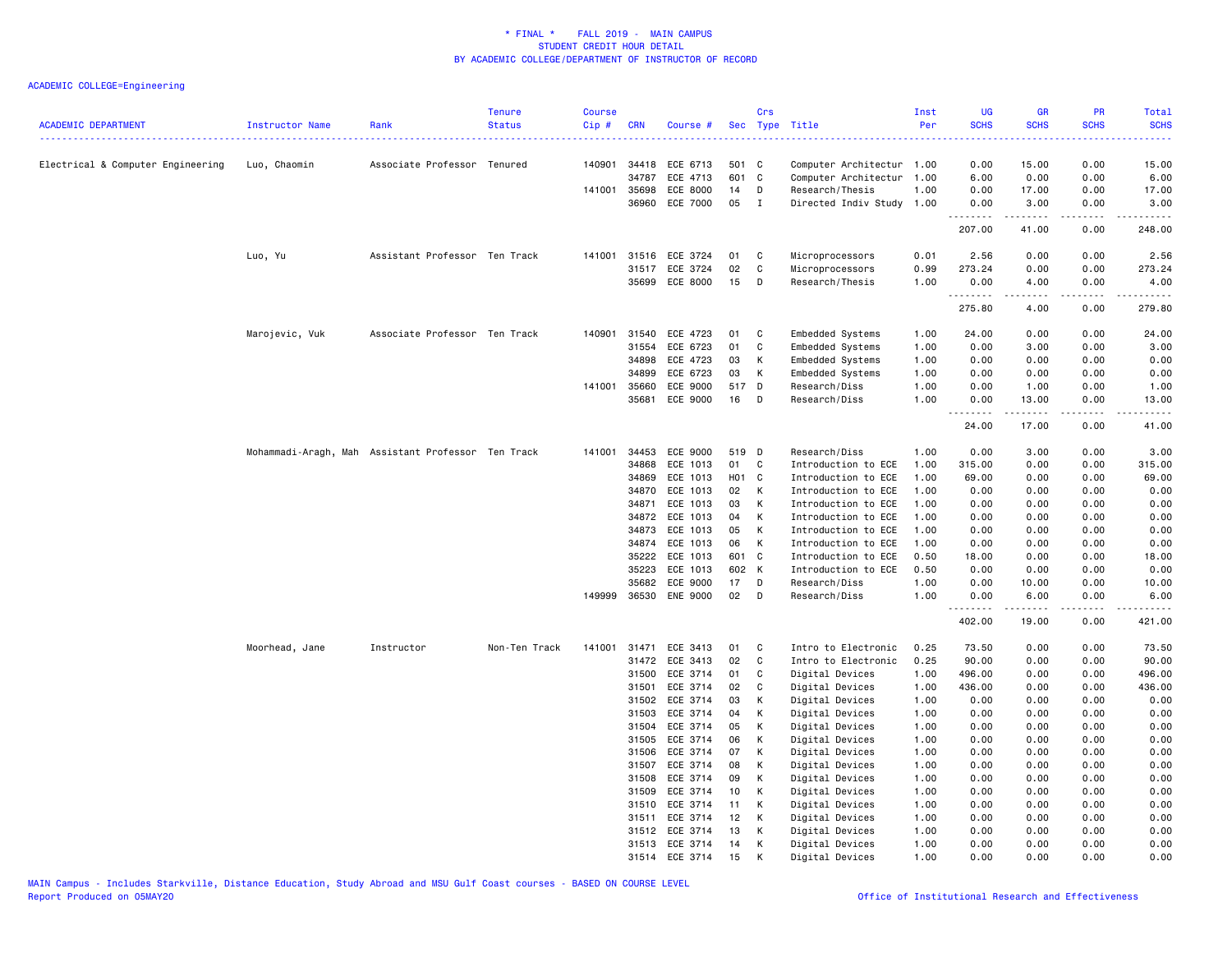| <b>ACADEMIC DEPARTMENT</b><br>------------------------------------ | Instructor Name | Rank                                               | <b>Tenure</b><br><b>Status</b> | <b>Course</b><br>Cip# | <b>CRN</b>   | Course #                   | Sec      | Crs          | Type Title<br><u>.</u>             | Inst<br>Per  | <b>UG</b><br><b>SCHS</b><br>---- | <b>GR</b><br><b>SCHS</b> | <b>PR</b><br><b>SCHS</b>            | <b>Total</b><br><b>SCHS</b> |
|--------------------------------------------------------------------|-----------------|----------------------------------------------------|--------------------------------|-----------------------|--------------|----------------------------|----------|--------------|------------------------------------|--------------|----------------------------------|--------------------------|-------------------------------------|-----------------------------|
| Electrical & Computer Engineering                                  | Luo, Chaomin    | Associate Professor Tenured                        |                                | 140901                | 34418        | ECE 6713                   | 501 C    |              | Computer Architectur 1.00          |              | 0.00                             | 15.00                    | 0.00                                | 15.00                       |
|                                                                    |                 |                                                    |                                |                       | 34787        | ECE 4713                   | 601      | C            | Computer Architectur               | 1.00         | 6.00                             | 0.00                     | 0.00                                | 6.00                        |
|                                                                    |                 |                                                    |                                |                       | 141001 35698 | ECE 8000                   | 14       | D            | Research/Thesis                    | 1.00         | 0.00                             | 17.00                    | 0.00                                | 17.00                       |
|                                                                    |                 |                                                    |                                |                       | 36960        | ECE 7000                   | 05       | $\mathbf{I}$ | Directed Indiv Study               | 1.00         | 0.00<br>.                        | 3.00                     | 0.00                                | 3.00                        |
|                                                                    |                 |                                                    |                                |                       |              |                            |          |              |                                    |              | 207.00                           | 41.00                    | 0.00                                | 248.00                      |
|                                                                    | Luo, Yu         | Assistant Professor Ten Track                      |                                | 141001                | 31516        | ECE 3724                   | 01       | C            | Microprocessors                    | 0.01         | 2.56                             | 0.00                     | 0.00                                | 2.56                        |
|                                                                    |                 |                                                    |                                |                       | 31517        | ECE 3724                   | 02       | $\mathbf C$  | Microprocessors                    | 0.99         | 273.24                           | 0.00                     | 0.00                                | 273.24                      |
|                                                                    |                 |                                                    |                                |                       | 35699        | ECE 8000                   | 15       | D            | Research/Thesis                    | 1.00         | 0.00<br>.                        | 4.00<br>.                | 0.00<br>$\sim$ $\sim$ $\sim$ $\sim$ | 4.00<br>-----               |
|                                                                    |                 |                                                    |                                |                       |              |                            |          |              |                                    |              | 275.80                           | 4.00                     | 0.00                                | 279.80                      |
|                                                                    | Marojevic, Vuk  | Associate Professor Ten Track                      |                                | 140901                | 31540        | ECE 4723                   | 01       | C            | Embedded Systems                   | 1.00         | 24.00                            | 0.00                     | 0.00                                | 24.00                       |
|                                                                    |                 |                                                    |                                |                       | 31554        | ECE 6723                   | 01       | C            | Embedded Systems                   | 1.00         | 0.00                             | 3.00                     | 0.00                                | 3.00                        |
|                                                                    |                 |                                                    |                                |                       | 34898        | ECE 4723                   | 03       | к            | Embedded Systems                   | 1.00         | 0.00                             | 0.00                     | 0.00                                | 0.00                        |
|                                                                    |                 |                                                    |                                |                       | 34899        | ECE 6723                   | 03       | К            | Embedded Systems                   | 1.00         | 0.00                             | 0.00                     | 0.00                                | 0.00                        |
|                                                                    |                 |                                                    |                                | 141001                | 35660        | ECE 9000                   | 517 D    |              | Research/Diss                      | 1.00         | 0.00                             | 1.00                     | 0.00                                | 1.00                        |
|                                                                    |                 |                                                    |                                |                       | 35681        | ECE 9000                   | 16       | D            | Research/Diss                      | 1.00         | 0.00<br>.                        | 13.00<br>.               | 0.00<br>.                           | 13.00<br>.                  |
|                                                                    |                 |                                                    |                                |                       |              |                            |          |              |                                    |              | 24.00                            | 17.00                    | 0.00                                | 41.00                       |
|                                                                    |                 | Mohammadi-Aragh, Mah Assistant Professor Ten Track |                                | 141001                | 34453        | ECE 9000                   | 519 D    |              | Research/Diss                      | 1.00         | 0.00                             | 3.00                     | 0.00                                | 3.00                        |
|                                                                    |                 |                                                    |                                |                       | 34868        | ECE 1013                   | 01       | C            | Introduction to ECE                | 1.00         | 315.00                           | 0.00                     | 0.00                                | 315.00                      |
|                                                                    |                 |                                                    |                                |                       | 34869        | ECE 1013                   | H01 C    |              | Introduction to ECE                | 1.00         | 69.00                            | 0.00                     | 0.00                                | 69.00                       |
|                                                                    |                 |                                                    |                                |                       | 34870        | ECE 1013                   | 02       | К            | Introduction to ECE                | 1.00         | 0.00                             | 0.00                     | 0.00                                | 0.00                        |
|                                                                    |                 |                                                    |                                |                       | 34871        | ECE 1013                   | 03       | К            | Introduction to ECE                | 1.00         | 0.00                             | 0.00                     | 0.00                                | 0.00                        |
|                                                                    |                 |                                                    |                                |                       | 34872        | ECE 1013                   | 04       | К            | Introduction to ECE                | 1.00         | 0.00                             | 0.00                     | 0.00                                | 0.00                        |
|                                                                    |                 |                                                    |                                |                       | 34873        | ECE 1013                   | 05       | К            | Introduction to ECE                | 1.00         | 0.00                             | 0.00                     | 0.00                                | 0.00                        |
|                                                                    |                 |                                                    |                                |                       | 34874        | ECE 1013                   | 06       | К            | Introduction to ECE                | 1.00         | 0.00                             | 0.00                     | 0.00                                | 0.00                        |
|                                                                    |                 |                                                    |                                |                       | 35222        | ECE 1013                   | 601 C    |              | Introduction to ECE                | 0.50         | 18.00                            | 0.00                     | 0.00                                | 18.00                       |
|                                                                    |                 |                                                    |                                |                       | 35223        | ECE 1013                   | 602 K    |              | Introduction to ECE                | 0.50         | 0.00                             | 0.00                     | 0.00                                | 0.00                        |
|                                                                    |                 |                                                    |                                |                       | 35682        | ECE 9000                   | 17       | D            | Research/Diss                      | 1.00         | 0.00                             | 10.00                    | 0.00                                | 10.00                       |
|                                                                    |                 |                                                    |                                |                       | 149999 36530 | <b>ENE 9000</b>            | 02       | D            | Research/Diss                      | 1.00         | 0.00<br>.                        | 6.00<br>$- - - -$        | 0.00<br>.                           | 6.00<br>.                   |
|                                                                    |                 |                                                    |                                |                       |              |                            |          |              |                                    |              | 402.00                           | 19.00                    | 0.00                                | 421.00                      |
|                                                                    | Moorhead, Jane  | Instructor                                         | Non-Ten Track                  | 141001                | 31471        | ECE 3413                   | 01       | C            | Intro to Electronic                | 0.25         | 73.50                            | 0.00                     | 0.00                                | 73.50                       |
|                                                                    |                 |                                                    |                                |                       | 31472        | ECE 3413                   | 02       | C            | Intro to Electronic                | 0.25         | 90.00                            | 0.00                     | 0.00                                | 90.00                       |
|                                                                    |                 |                                                    |                                |                       | 31500        | ECE 3714                   | 01       | C            | Digital Devices                    | 1.00         | 496.00                           | 0.00                     | 0.00                                | 496.00                      |
|                                                                    |                 |                                                    |                                |                       | 31501        | ECE 3714                   | 02       | C            | Digital Devices                    | 1.00         | 436.00                           | 0.00                     | 0.00                                | 436.00                      |
|                                                                    |                 |                                                    |                                |                       | 31502        | ECE 3714                   | 03       | К            | Digital Devices                    | 1.00         | 0.00                             | 0.00                     | 0.00                                | 0.00                        |
|                                                                    |                 |                                                    |                                |                       | 31503        | ECE 3714                   | 04       | К            | Digital Devices                    | 1.00         | 0.00                             | 0.00                     | 0.00                                | 0.00                        |
|                                                                    |                 |                                                    |                                |                       | 31504        | ECE 3714                   | 05       | К            | Digital Devices                    | 1.00         | 0.00                             | 0.00                     | 0.00                                | 0.00                        |
|                                                                    |                 |                                                    |                                |                       | 31505        | ECE 3714                   | 06       | К            | Digital Devices                    | 1.00         | 0.00                             | 0.00                     | 0.00                                | 0.00                        |
|                                                                    |                 |                                                    |                                |                       | 31506        | ECE 3714                   | 07       | К            | Digital Devices                    | 1.00         | 0.00                             | 0.00                     | 0.00                                | 0.00                        |
|                                                                    |                 |                                                    |                                |                       | 31507        | ECE 3714                   | 08       | К            | Digital Devices                    | 1.00         | 0.00                             | 0.00                     | 0.00                                | 0.00                        |
|                                                                    |                 |                                                    |                                |                       | 31508        | ECE 3714                   | 09       | К            | Digital Devices                    | 1.00         | 0.00                             | 0.00                     | 0.00                                | 0.00                        |
|                                                                    |                 |                                                    |                                |                       | 31509        | ECE 3714                   | 10       | К            | Digital Devices                    | 1.00         | 0.00                             | 0.00                     | 0.00                                | 0.00                        |
|                                                                    |                 |                                                    |                                |                       | 31510        | ECE 3714                   | 11       | К            | Digital Devices                    | 1.00         | 0.00                             | 0.00                     | 0.00                                | 0.00                        |
|                                                                    |                 |                                                    |                                |                       | 31511        | ECE 3714                   | 12<br>13 | К            | Digital Devices                    | 1.00         | 0.00                             | 0.00                     | 0.00                                | 0.00                        |
|                                                                    |                 |                                                    |                                |                       | 31512        | ECE 3714<br>31513 ECE 3714 | 14       | к<br>К       | Digital Devices<br>Digital Devices | 1.00<br>1.00 | 0.00<br>0.00                     | 0.00<br>0.00             | 0.00<br>0.00                        | 0.00<br>0.00                |
|                                                                    |                 |                                                    |                                |                       |              | 31514 ECE 3714             | 15       | K            | Digital Devices                    | 1.00         | 0.00                             | 0.00                     | 0.00                                | 0.00                        |
|                                                                    |                 |                                                    |                                |                       |              |                            |          |              |                                    |              |                                  |                          |                                     |                             |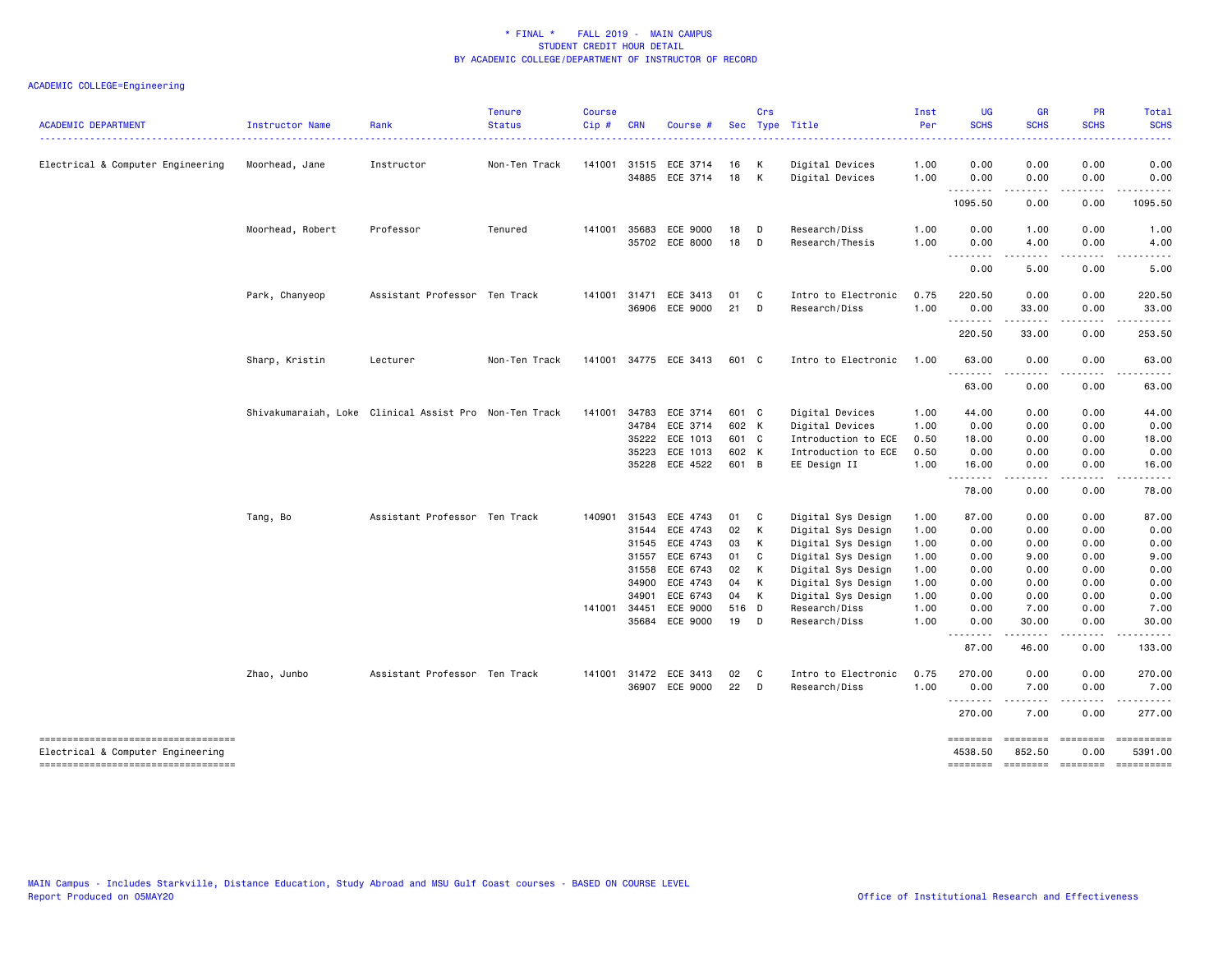| <b>ACADEMIC DEPARTMENT</b>                                                                                      | Instructor Name  | Rank                                                   | <b>Tenure</b><br><b>Status</b> | <b>Course</b><br>Cip# | <b>CRN</b>            | Course #                   |                | Crs               | Sec Type Title                           | Inst<br>Per<br>. | <b>UG</b><br><b>SCHS</b><br>$\frac{1}{2} \left( \frac{1}{2} \right) \left( \frac{1}{2} \right) \left( \frac{1}{2} \right) \left( \frac{1}{2} \right) \left( \frac{1}{2} \right)$ | GR<br><b>SCHS</b>                       | <b>PR</b><br><b>SCHS</b> | Total<br><b>SCHS</b><br>.           |
|-----------------------------------------------------------------------------------------------------------------|------------------|--------------------------------------------------------|--------------------------------|-----------------------|-----------------------|----------------------------|----------------|-------------------|------------------------------------------|------------------|----------------------------------------------------------------------------------------------------------------------------------------------------------------------------------|-----------------------------------------|--------------------------|-------------------------------------|
| Electrical & Computer Engineering                                                                               | Moorhead, Jane   | Instructor                                             | Non-Ten Track                  | 141001                | 31515                 | ECE 3714<br>34885 ECE 3714 | 16<br>18       | K<br>K            | Digital Devices<br>Digital Devices       | 1.00<br>1.00     | 0.00<br>0.00                                                                                                                                                                     | 0.00<br>0.00                            | 0.00<br>0.00             | 0.00<br>0.00                        |
|                                                                                                                 |                  |                                                        |                                |                       |                       |                            |                |                   |                                          |                  | --------<br>1095.50                                                                                                                                                              | $- - - - -$<br>0.00                     | .<br>0.00                | $- - - - - -$<br>1095.50            |
|                                                                                                                 | Moorhead, Robert | Professor                                              | Tenured                        | 141001                | 35683<br>35702        | ECE 9000<br>ECE 8000       | 18<br>18       | D<br>D            | Research/Diss<br>Research/Thesis         | 1.00<br>1.00     | 0.00<br>0.00                                                                                                                                                                     | 1.00<br>4.00                            | 0.00<br>0.00             | 1.00<br>4.00                        |
|                                                                                                                 |                  |                                                        |                                |                       |                       |                            |                |                   |                                          |                  | .<br>0.00                                                                                                                                                                        | 5.00                                    | 0.00                     | 5.00                                |
|                                                                                                                 | Park, Chanyeop   | Assistant Professor Ten Track                          |                                |                       | 141001 31471<br>36906 | ECE 3413<br>ECE 9000       | 01<br>21       | C<br>D            | Intro to Electronic<br>Research/Diss     | 0.75<br>1.00     | 220.50<br>0.00                                                                                                                                                                   | 0.00<br>33.00                           | 0.00<br>0.00             | 220.50<br>33.00                     |
|                                                                                                                 |                  |                                                        |                                |                       |                       |                            |                |                   |                                          |                  | .<br>220.50                                                                                                                                                                      | .<br>33.00                              | .<br>0.00                | .<br>253.50                         |
|                                                                                                                 | Sharp, Kristin   | Lecturer                                               | Non-Ten Track                  | 141001                |                       | 34775 ECE 3413             | 601 C          |                   | Intro to Electronic                      | 1.00             | 63.00                                                                                                                                                                            | 0.00                                    | 0.00                     | 63.00                               |
|                                                                                                                 |                  |                                                        |                                |                       |                       |                            |                |                   |                                          |                  | .<br>63.00                                                                                                                                                                       | 0.00                                    | 0.00                     | 63.00                               |
|                                                                                                                 |                  | Shivakumaraiah, Loke Clinical Assist Pro Non-Ten Track |                                | 141001                | 34783<br>34784        | ECE 3714<br>ECE 3714       | 601 C<br>602 K |                   | Digital Devices<br>Digital Devices       | 1.00<br>1.00     | 44.00<br>0.00                                                                                                                                                                    | 0.00<br>0.00                            | 0.00<br>0.00             | 44.00<br>0.00                       |
|                                                                                                                 |                  |                                                        |                                |                       | 35222                 | ECE 1013                   | 601 C          |                   | Introduction to ECE                      | 0.50             | 18.00                                                                                                                                                                            | 0.00                                    | 0.00                     | 18.00                               |
|                                                                                                                 |                  |                                                        |                                |                       | 35223<br>35228        | ECE 1013<br>ECE 4522       | 602 K<br>601 B |                   | Introduction to ECE<br>EE Design II      | 0.50<br>1.00     | 0.00<br>16.00                                                                                                                                                                    | 0.00<br>0.00                            | 0.00<br>0.00             | 0.00<br>16.00                       |
|                                                                                                                 |                  |                                                        |                                |                       |                       |                            |                |                   |                                          |                  | <u>.</u><br>78.00                                                                                                                                                                | .<br>0.00                               | .<br>0.00                | . <u>.</u><br>78.00                 |
|                                                                                                                 | Tang, Bo         | Assistant Professor Ten Track                          |                                | 140901                | 31543<br>31544        | ECE 4743<br>ECE 4743       | 01<br>02       | $\mathbf{C}$<br>K | Digital Sys Design<br>Digital Sys Design | 1.00<br>1.00     | 87.00<br>0.00                                                                                                                                                                    | 0.00<br>0.00                            | 0.00<br>0.00             | 87.00<br>0.00                       |
|                                                                                                                 |                  |                                                        |                                |                       | 31545                 | ECE 4743                   | 03             | К                 | Digital Sys Design                       | 1.00             | 0.00                                                                                                                                                                             | 0.00                                    | 0.00                     | 0.00                                |
|                                                                                                                 |                  |                                                        |                                |                       | 31557                 | ECE 6743                   | 01             | C                 | Digital Sys Design                       | 1.00             | 0.00                                                                                                                                                                             | 9.00                                    | 0.00                     | 9.00                                |
|                                                                                                                 |                  |                                                        |                                |                       | 31558                 | ECE 6743                   | 02             | K                 | Digital Sys Design                       | 1.00             | 0.00                                                                                                                                                                             | 0.00                                    | 0.00                     | 0.00                                |
|                                                                                                                 |                  |                                                        |                                |                       | 34900                 | ECE 4743                   | 04             | К                 | Digital Sys Design                       | 1.00             | 0.00                                                                                                                                                                             | 0.00                                    | 0.00                     | 0.00                                |
|                                                                                                                 |                  |                                                        |                                |                       | 34901                 | ECE 6743                   | 04             | K                 | Digital Sys Design                       | 1.00             | 0.00                                                                                                                                                                             | 0.00                                    | 0.00                     | 0.00                                |
|                                                                                                                 |                  |                                                        |                                | 141001 34451          | 35684                 | ECE 9000<br>ECE 9000       | 516 D<br>19    | D                 | Research/Diss<br>Research/Diss           | 1.00<br>1.00     | 0.00<br>0.00                                                                                                                                                                     | 7.00<br>30.00                           | 0.00<br>0.00             | 7.00<br>30.00                       |
|                                                                                                                 |                  |                                                        |                                |                       |                       |                            |                |                   |                                          |                  | $  -$<br>87.00                                                                                                                                                                   | 46.00                                   | 0.00                     | 133.00                              |
|                                                                                                                 | Zhao, Junbo      | Assistant Professor Ten Track                          |                                |                       | 141001 31472          | ECE 3413                   | 02             | $\mathbf{C}$      | Intro to Electronic                      | 0.75             | 270.00                                                                                                                                                                           | 0.00                                    | 0.00                     | 270.00                              |
|                                                                                                                 |                  |                                                        |                                |                       |                       | 36907 ECE 9000             | 22             | D                 | Research/Diss                            | 1.00             | 0.00<br>.                                                                                                                                                                        | 7.00<br>د د د د د                       | 0.00<br>.                | 7.00<br>.                           |
|                                                                                                                 |                  |                                                        |                                |                       |                       |                            |                |                   |                                          |                  | 270.00                                                                                                                                                                           | 7.00                                    | 0.00                     | 277.00                              |
| -----------------------------------<br>Electrical & Computer Engineering<br>----------------------------------- |                  |                                                        |                                |                       |                       |                            |                |                   |                                          |                  | ========<br>4538.50<br>========                                                                                                                                                  | ========<br>852.50<br>sessesse sessesse | $=$ ========<br>0.00     | ==========<br>5391.00<br>========== |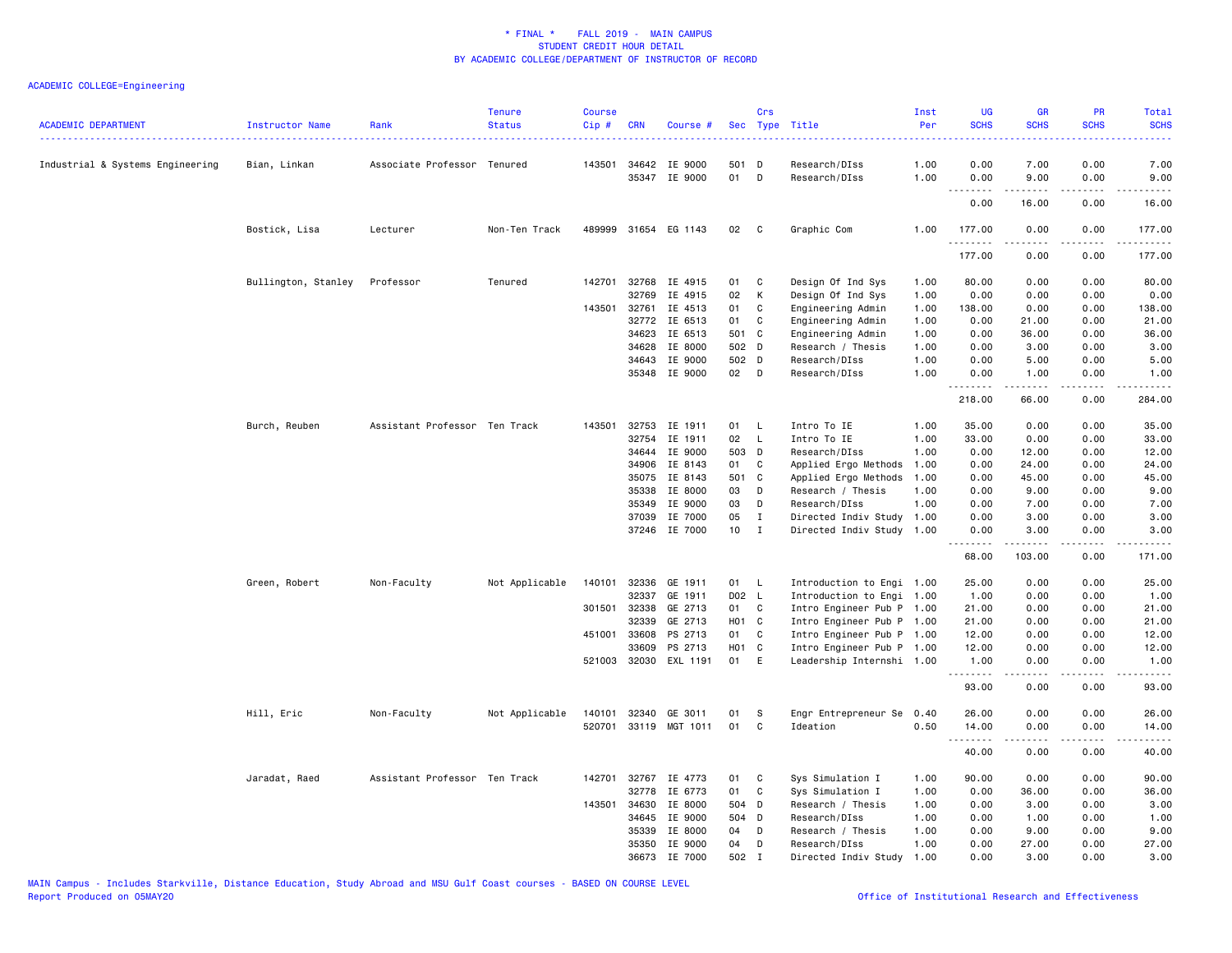| 0.00<br>7.00<br>Industrial & Systems Engineering<br>Bian, Linkan<br>Associate Professor Tenured<br>143501 34642 IE 9000<br>501 D<br>Research/DIss<br>1.00<br>0.00<br>7.00<br>35347 IE 9000<br>01 D<br>Research/DIss<br>1.00<br>0.00<br>9.00<br>0.00<br>9.00<br>$\sim$ $\sim$ $\sim$ $\sim$<br>0.00<br>16.00<br>0.00<br>16.00<br>Bostick, Lisa<br>Lecturer<br>Non-Ten Track<br>489999 31654 EG 1143<br>02<br>Graphic Com<br>1.00<br>177.00<br>0.00<br>0.00<br>177.00<br>$\mathbf{C}$<br>.<br>.<br>.<br><u>.</u><br>177.00<br>177.00<br>0.00<br>0.00<br>Bullington, Stanley<br>Professor<br>Tenured<br>142701<br>32768<br>IE 4915<br>01<br>C<br>Design Of Ind Sys<br>1.00<br>80.00<br>0.00<br>0.00<br>80.00<br>32769<br>IE 4915<br>02<br>К<br>Design Of Ind Sys<br>1.00<br>0.00<br>0.00<br>0.00<br>0.00<br>143501<br>32761<br>IE 4513<br>01<br>C<br>Engineering Admin<br>1.00<br>138.00<br>0.00<br>0.00<br>138.00<br>IE 6513<br>01<br>$\mathbf{C}$<br>0.00<br>21.00<br>0.00<br>21.00<br>32772<br>Engineering Admin<br>1.00<br>34623<br>501 C<br>IE 6513<br>Engineering Admin<br>1.00<br>0.00<br>36.00<br>0.00<br>36.00<br>IE 8000<br>502 D<br>34628<br>Research / Thesis<br>1.00<br>0.00<br>3.00<br>0.00<br>3.00<br>34643<br>IE 9000<br>502 D<br>Research/DIss<br>1.00<br>0.00<br>5.00<br>0.00<br>5.00<br>35348<br>IE 9000<br>02 D<br>Research/DIss<br>1.00<br>0.00<br>1.00<br>0.00<br>1.00<br>.<br>$\frac{1}{2} \left( \frac{1}{2} \right) \left( \frac{1}{2} \right) \left( \frac{1}{2} \right) \left( \frac{1}{2} \right) \left( \frac{1}{2} \right)$<br>.<br>.<br>218.00<br>0.00<br>284.00<br>66.00<br>Intro To IE<br>35.00<br>Burch, Reuben<br>Assistant Professor Ten Track<br>143501<br>32753<br>IE 1911<br>$\mathsf{L}$<br>1.00<br>0.00<br>0.00<br>35.00<br>01<br>32754<br>IE 1911<br>02<br>$\mathsf{L}$<br>Intro To IE<br>1.00<br>33.00<br>0.00<br>0.00<br>33.00<br>34644<br>IE 9000<br>503 D<br>Research/DIss<br>1.00<br>0.00<br>12.00<br>12.00<br>0.00<br>34906<br>IE 8143<br>01<br><b>C</b><br>Applied Ergo Methods<br>1.00<br>0.00<br>24.00<br>0.00<br>24.00<br>IE 8143<br>501 C<br>Applied Ergo Methods<br>45.00<br>35075<br>1.00<br>0.00<br>45.00<br>0.00<br>IE 8000<br>03<br>Research / Thesis<br>9.00<br>35338<br>D<br>1.00<br>0.00<br>9.00<br>0.00<br>IE 9000<br>03<br>Research/DIss<br>1.00<br>0.00<br>7.00<br>0.00<br>7.00<br>35349<br>D<br>IE 7000<br>05<br>0.00<br>37039<br>$\mathbf{I}$<br>Directed Indiv Study<br>1.00<br>3.00<br>0.00<br>3.00<br>10 <sub>1</sub><br>37246 IE 7000<br>$\mathbf{I}$<br>Directed Indiv Study 1.00<br>0.00<br>3.00<br>0.00<br>3.00<br>.<br>-----<br>.<br>.<br>68.00<br>103.00<br>0.00<br>171.00<br>140101<br>Green, Robert<br>Non-Faculty<br>Not Applicable<br>32336<br>GE 1911<br>01 L<br>Introduction to Engi 1.00<br>25.00<br>0.00<br>0.00<br>25.00<br>32337<br>GE 1911<br>D02 L<br>Introduction to Engi 1.00<br>0.00<br>1.00<br>0.00<br>1.00<br>32338<br>GE 2713<br>301501<br>01<br>C<br>Intro Engineer Pub P 1.00<br>21.00<br>0.00<br>0.00<br>21.00<br>H01 C<br>32339<br>GE 2713<br>Intro Engineer Pub P 1.00<br>21.00<br>0.00<br>21.00<br>0.00<br>451001<br>PS 2713<br>01<br>C<br>Intro Engineer Pub P 1.00<br>12.00<br>12.00<br>33608<br>0.00<br>0.00<br>H01 C<br>33609<br>PS 2713<br>Intro Engineer Pub P 1.00<br>12.00<br>0.00<br>0.00<br>12.00<br>521003 32030 EXL 1191<br>01 E<br>Leadership Internshi 1.00<br>1.00<br>0.00<br>0.00<br>1.00<br>.<br>.<br>.<br>93.00<br>0.00<br>0.00<br>93.00<br>Hill, Eric<br>0.00<br>0.00<br>26.00<br>Non-Faculty<br>Not Applicable<br>140101<br>32340<br>GE 3011<br>01<br>-S<br>Engr Entrepreneur Se<br>0.40<br>26.00<br>520701<br>33119 MGT 1011<br>01<br>C<br>Ideation<br>0.50<br>14.00<br>0.00<br>0.00<br>14.00<br>.<br>$\sim$ $\sim$ $\sim$<br>40.00<br>0.00<br>0.00<br>40.00<br>Jaradat, Raed<br>Assistant Professor Ten Track<br>142701 32767 IE 4773<br>01 C<br>Sys Simulation I<br>1.00<br>90.00<br>0.00<br>0.00<br>90.00<br>IE 6773<br>32778<br>01<br>C<br>Sys Simulation I<br>1.00<br>0.00<br>36.00<br>0.00<br>36.00<br>IE 8000<br>504 D<br>143501<br>34630<br>Research / Thesis<br>1.00<br>0.00<br>3.00<br>0.00<br>3.00<br>IE 9000<br>34645<br>504 D<br>Research/DIss<br>1.00<br>0.00<br>1.00<br>0.00<br>1.00<br>35339<br>IE 8000<br>04<br>D<br>Research / Thesis<br>1.00<br>0.00<br>9.00<br>0.00<br>9.00<br>35350<br>IE 9000<br>04<br>D<br>Research/DIss<br>1.00<br>0.00<br>27.00<br>0.00<br>27.00<br>502 I<br>0.00<br>3.00<br>0.00<br>36673<br>IE 7000<br>1.00<br>3.00 | <b>ACADEMIC DEPARTMENT</b> | <b>Instructor Name</b> | Rank | <b>Tenure</b><br><b>Status</b> | <b>Course</b><br>Cip# | <b>CRN</b> | Course # | Crs | Sec Type Title       | Inst<br>Per | UG<br><b>SCHS</b> | <b>GR</b><br><b>SCHS</b> | PR<br><b>SCHS</b> | <b>Total</b><br><b>SCHS</b> |
|-------------------------------------------------------------------------------------------------------------------------------------------------------------------------------------------------------------------------------------------------------------------------------------------------------------------------------------------------------------------------------------------------------------------------------------------------------------------------------------------------------------------------------------------------------------------------------------------------------------------------------------------------------------------------------------------------------------------------------------------------------------------------------------------------------------------------------------------------------------------------------------------------------------------------------------------------------------------------------------------------------------------------------------------------------------------------------------------------------------------------------------------------------------------------------------------------------------------------------------------------------------------------------------------------------------------------------------------------------------------------------------------------------------------------------------------------------------------------------------------------------------------------------------------------------------------------------------------------------------------------------------------------------------------------------------------------------------------------------------------------------------------------------------------------------------------------------------------------------------------------------------------------------------------------------------------------------------------------------------------------------------------------------------------------------------------------------------------------------------------------------------------------------------------------------------------------------------------------------------------------------------------------------------------------------------------------------------------------------------------------------------------------------------------------------------------------------------------------------------------------------------------------------------------------------------------------------------------------------------------------------------------------------------------------------------------------------------------------------------------------------------------------------------------------------------------------------------------------------------------------------------------------------------------------------------------------------------------------------------------------------------------------------------------------------------------------------------------------------------------------------------------------------------------------------------------------------------------------------------------------------------------------------------------------------------------------------------------------------------------------------------------------------------------------------------------------------------------------------------------------------------------------------------------------------------------------------------------------------------------------------------------------------------------------------------------------------------------------------------------------------------------------------------------------------------------------------------------------------------------------------------------------------------------------------------------------------------------------------------------------------------------------------------------------------------------------------------------------------------------------------------------------------------------------------------------------------------------------------------------------------------------------------------------------------------------------------------------------------------------------------------------------------------------------------------------------------------------------------------|----------------------------|------------------------|------|--------------------------------|-----------------------|------------|----------|-----|----------------------|-------------|-------------------|--------------------------|-------------------|-----------------------------|
|                                                                                                                                                                                                                                                                                                                                                                                                                                                                                                                                                                                                                                                                                                                                                                                                                                                                                                                                                                                                                                                                                                                                                                                                                                                                                                                                                                                                                                                                                                                                                                                                                                                                                                                                                                                                                                                                                                                                                                                                                                                                                                                                                                                                                                                                                                                                                                                                                                                                                                                                                                                                                                                                                                                                                                                                                                                                                                                                                                                                                                                                                                                                                                                                                                                                                                                                                                                                                                                                                                                                                                                                                                                                                                                                                                                                                                                                                                                                                                                                                                                                                                                                                                                                                                                                                                                                                                                                                                                                                     |                            |                        |      |                                |                       |            |          |     |                      |             |                   |                          |                   |                             |
|                                                                                                                                                                                                                                                                                                                                                                                                                                                                                                                                                                                                                                                                                                                                                                                                                                                                                                                                                                                                                                                                                                                                                                                                                                                                                                                                                                                                                                                                                                                                                                                                                                                                                                                                                                                                                                                                                                                                                                                                                                                                                                                                                                                                                                                                                                                                                                                                                                                                                                                                                                                                                                                                                                                                                                                                                                                                                                                                                                                                                                                                                                                                                                                                                                                                                                                                                                                                                                                                                                                                                                                                                                                                                                                                                                                                                                                                                                                                                                                                                                                                                                                                                                                                                                                                                                                                                                                                                                                                                     |                            |                        |      |                                |                       |            |          |     |                      |             |                   |                          |                   |                             |
|                                                                                                                                                                                                                                                                                                                                                                                                                                                                                                                                                                                                                                                                                                                                                                                                                                                                                                                                                                                                                                                                                                                                                                                                                                                                                                                                                                                                                                                                                                                                                                                                                                                                                                                                                                                                                                                                                                                                                                                                                                                                                                                                                                                                                                                                                                                                                                                                                                                                                                                                                                                                                                                                                                                                                                                                                                                                                                                                                                                                                                                                                                                                                                                                                                                                                                                                                                                                                                                                                                                                                                                                                                                                                                                                                                                                                                                                                                                                                                                                                                                                                                                                                                                                                                                                                                                                                                                                                                                                                     |                            |                        |      |                                |                       |            |          |     |                      |             |                   |                          |                   |                             |
|                                                                                                                                                                                                                                                                                                                                                                                                                                                                                                                                                                                                                                                                                                                                                                                                                                                                                                                                                                                                                                                                                                                                                                                                                                                                                                                                                                                                                                                                                                                                                                                                                                                                                                                                                                                                                                                                                                                                                                                                                                                                                                                                                                                                                                                                                                                                                                                                                                                                                                                                                                                                                                                                                                                                                                                                                                                                                                                                                                                                                                                                                                                                                                                                                                                                                                                                                                                                                                                                                                                                                                                                                                                                                                                                                                                                                                                                                                                                                                                                                                                                                                                                                                                                                                                                                                                                                                                                                                                                                     |                            |                        |      |                                |                       |            |          |     |                      |             |                   |                          |                   |                             |
|                                                                                                                                                                                                                                                                                                                                                                                                                                                                                                                                                                                                                                                                                                                                                                                                                                                                                                                                                                                                                                                                                                                                                                                                                                                                                                                                                                                                                                                                                                                                                                                                                                                                                                                                                                                                                                                                                                                                                                                                                                                                                                                                                                                                                                                                                                                                                                                                                                                                                                                                                                                                                                                                                                                                                                                                                                                                                                                                                                                                                                                                                                                                                                                                                                                                                                                                                                                                                                                                                                                                                                                                                                                                                                                                                                                                                                                                                                                                                                                                                                                                                                                                                                                                                                                                                                                                                                                                                                                                                     |                            |                        |      |                                |                       |            |          |     |                      |             |                   |                          |                   |                             |
|                                                                                                                                                                                                                                                                                                                                                                                                                                                                                                                                                                                                                                                                                                                                                                                                                                                                                                                                                                                                                                                                                                                                                                                                                                                                                                                                                                                                                                                                                                                                                                                                                                                                                                                                                                                                                                                                                                                                                                                                                                                                                                                                                                                                                                                                                                                                                                                                                                                                                                                                                                                                                                                                                                                                                                                                                                                                                                                                                                                                                                                                                                                                                                                                                                                                                                                                                                                                                                                                                                                                                                                                                                                                                                                                                                                                                                                                                                                                                                                                                                                                                                                                                                                                                                                                                                                                                                                                                                                                                     |                            |                        |      |                                |                       |            |          |     |                      |             |                   |                          |                   |                             |
|                                                                                                                                                                                                                                                                                                                                                                                                                                                                                                                                                                                                                                                                                                                                                                                                                                                                                                                                                                                                                                                                                                                                                                                                                                                                                                                                                                                                                                                                                                                                                                                                                                                                                                                                                                                                                                                                                                                                                                                                                                                                                                                                                                                                                                                                                                                                                                                                                                                                                                                                                                                                                                                                                                                                                                                                                                                                                                                                                                                                                                                                                                                                                                                                                                                                                                                                                                                                                                                                                                                                                                                                                                                                                                                                                                                                                                                                                                                                                                                                                                                                                                                                                                                                                                                                                                                                                                                                                                                                                     |                            |                        |      |                                |                       |            |          |     |                      |             |                   |                          |                   |                             |
|                                                                                                                                                                                                                                                                                                                                                                                                                                                                                                                                                                                                                                                                                                                                                                                                                                                                                                                                                                                                                                                                                                                                                                                                                                                                                                                                                                                                                                                                                                                                                                                                                                                                                                                                                                                                                                                                                                                                                                                                                                                                                                                                                                                                                                                                                                                                                                                                                                                                                                                                                                                                                                                                                                                                                                                                                                                                                                                                                                                                                                                                                                                                                                                                                                                                                                                                                                                                                                                                                                                                                                                                                                                                                                                                                                                                                                                                                                                                                                                                                                                                                                                                                                                                                                                                                                                                                                                                                                                                                     |                            |                        |      |                                |                       |            |          |     |                      |             |                   |                          |                   |                             |
|                                                                                                                                                                                                                                                                                                                                                                                                                                                                                                                                                                                                                                                                                                                                                                                                                                                                                                                                                                                                                                                                                                                                                                                                                                                                                                                                                                                                                                                                                                                                                                                                                                                                                                                                                                                                                                                                                                                                                                                                                                                                                                                                                                                                                                                                                                                                                                                                                                                                                                                                                                                                                                                                                                                                                                                                                                                                                                                                                                                                                                                                                                                                                                                                                                                                                                                                                                                                                                                                                                                                                                                                                                                                                                                                                                                                                                                                                                                                                                                                                                                                                                                                                                                                                                                                                                                                                                                                                                                                                     |                            |                        |      |                                |                       |            |          |     |                      |             |                   |                          |                   |                             |
|                                                                                                                                                                                                                                                                                                                                                                                                                                                                                                                                                                                                                                                                                                                                                                                                                                                                                                                                                                                                                                                                                                                                                                                                                                                                                                                                                                                                                                                                                                                                                                                                                                                                                                                                                                                                                                                                                                                                                                                                                                                                                                                                                                                                                                                                                                                                                                                                                                                                                                                                                                                                                                                                                                                                                                                                                                                                                                                                                                                                                                                                                                                                                                                                                                                                                                                                                                                                                                                                                                                                                                                                                                                                                                                                                                                                                                                                                                                                                                                                                                                                                                                                                                                                                                                                                                                                                                                                                                                                                     |                            |                        |      |                                |                       |            |          |     |                      |             |                   |                          |                   |                             |
|                                                                                                                                                                                                                                                                                                                                                                                                                                                                                                                                                                                                                                                                                                                                                                                                                                                                                                                                                                                                                                                                                                                                                                                                                                                                                                                                                                                                                                                                                                                                                                                                                                                                                                                                                                                                                                                                                                                                                                                                                                                                                                                                                                                                                                                                                                                                                                                                                                                                                                                                                                                                                                                                                                                                                                                                                                                                                                                                                                                                                                                                                                                                                                                                                                                                                                                                                                                                                                                                                                                                                                                                                                                                                                                                                                                                                                                                                                                                                                                                                                                                                                                                                                                                                                                                                                                                                                                                                                                                                     |                            |                        |      |                                |                       |            |          |     |                      |             |                   |                          |                   |                             |
|                                                                                                                                                                                                                                                                                                                                                                                                                                                                                                                                                                                                                                                                                                                                                                                                                                                                                                                                                                                                                                                                                                                                                                                                                                                                                                                                                                                                                                                                                                                                                                                                                                                                                                                                                                                                                                                                                                                                                                                                                                                                                                                                                                                                                                                                                                                                                                                                                                                                                                                                                                                                                                                                                                                                                                                                                                                                                                                                                                                                                                                                                                                                                                                                                                                                                                                                                                                                                                                                                                                                                                                                                                                                                                                                                                                                                                                                                                                                                                                                                                                                                                                                                                                                                                                                                                                                                                                                                                                                                     |                            |                        |      |                                |                       |            |          |     |                      |             |                   |                          |                   |                             |
|                                                                                                                                                                                                                                                                                                                                                                                                                                                                                                                                                                                                                                                                                                                                                                                                                                                                                                                                                                                                                                                                                                                                                                                                                                                                                                                                                                                                                                                                                                                                                                                                                                                                                                                                                                                                                                                                                                                                                                                                                                                                                                                                                                                                                                                                                                                                                                                                                                                                                                                                                                                                                                                                                                                                                                                                                                                                                                                                                                                                                                                                                                                                                                                                                                                                                                                                                                                                                                                                                                                                                                                                                                                                                                                                                                                                                                                                                                                                                                                                                                                                                                                                                                                                                                                                                                                                                                                                                                                                                     |                            |                        |      |                                |                       |            |          |     |                      |             |                   |                          |                   |                             |
|                                                                                                                                                                                                                                                                                                                                                                                                                                                                                                                                                                                                                                                                                                                                                                                                                                                                                                                                                                                                                                                                                                                                                                                                                                                                                                                                                                                                                                                                                                                                                                                                                                                                                                                                                                                                                                                                                                                                                                                                                                                                                                                                                                                                                                                                                                                                                                                                                                                                                                                                                                                                                                                                                                                                                                                                                                                                                                                                                                                                                                                                                                                                                                                                                                                                                                                                                                                                                                                                                                                                                                                                                                                                                                                                                                                                                                                                                                                                                                                                                                                                                                                                                                                                                                                                                                                                                                                                                                                                                     |                            |                        |      |                                |                       |            |          |     |                      |             |                   |                          |                   |                             |
|                                                                                                                                                                                                                                                                                                                                                                                                                                                                                                                                                                                                                                                                                                                                                                                                                                                                                                                                                                                                                                                                                                                                                                                                                                                                                                                                                                                                                                                                                                                                                                                                                                                                                                                                                                                                                                                                                                                                                                                                                                                                                                                                                                                                                                                                                                                                                                                                                                                                                                                                                                                                                                                                                                                                                                                                                                                                                                                                                                                                                                                                                                                                                                                                                                                                                                                                                                                                                                                                                                                                                                                                                                                                                                                                                                                                                                                                                                                                                                                                                                                                                                                                                                                                                                                                                                                                                                                                                                                                                     |                            |                        |      |                                |                       |            |          |     |                      |             |                   |                          |                   |                             |
|                                                                                                                                                                                                                                                                                                                                                                                                                                                                                                                                                                                                                                                                                                                                                                                                                                                                                                                                                                                                                                                                                                                                                                                                                                                                                                                                                                                                                                                                                                                                                                                                                                                                                                                                                                                                                                                                                                                                                                                                                                                                                                                                                                                                                                                                                                                                                                                                                                                                                                                                                                                                                                                                                                                                                                                                                                                                                                                                                                                                                                                                                                                                                                                                                                                                                                                                                                                                                                                                                                                                                                                                                                                                                                                                                                                                                                                                                                                                                                                                                                                                                                                                                                                                                                                                                                                                                                                                                                                                                     |                            |                        |      |                                |                       |            |          |     |                      |             |                   |                          |                   |                             |
|                                                                                                                                                                                                                                                                                                                                                                                                                                                                                                                                                                                                                                                                                                                                                                                                                                                                                                                                                                                                                                                                                                                                                                                                                                                                                                                                                                                                                                                                                                                                                                                                                                                                                                                                                                                                                                                                                                                                                                                                                                                                                                                                                                                                                                                                                                                                                                                                                                                                                                                                                                                                                                                                                                                                                                                                                                                                                                                                                                                                                                                                                                                                                                                                                                                                                                                                                                                                                                                                                                                                                                                                                                                                                                                                                                                                                                                                                                                                                                                                                                                                                                                                                                                                                                                                                                                                                                                                                                                                                     |                            |                        |      |                                |                       |            |          |     |                      |             |                   |                          |                   |                             |
|                                                                                                                                                                                                                                                                                                                                                                                                                                                                                                                                                                                                                                                                                                                                                                                                                                                                                                                                                                                                                                                                                                                                                                                                                                                                                                                                                                                                                                                                                                                                                                                                                                                                                                                                                                                                                                                                                                                                                                                                                                                                                                                                                                                                                                                                                                                                                                                                                                                                                                                                                                                                                                                                                                                                                                                                                                                                                                                                                                                                                                                                                                                                                                                                                                                                                                                                                                                                                                                                                                                                                                                                                                                                                                                                                                                                                                                                                                                                                                                                                                                                                                                                                                                                                                                                                                                                                                                                                                                                                     |                            |                        |      |                                |                       |            |          |     |                      |             |                   |                          |                   |                             |
|                                                                                                                                                                                                                                                                                                                                                                                                                                                                                                                                                                                                                                                                                                                                                                                                                                                                                                                                                                                                                                                                                                                                                                                                                                                                                                                                                                                                                                                                                                                                                                                                                                                                                                                                                                                                                                                                                                                                                                                                                                                                                                                                                                                                                                                                                                                                                                                                                                                                                                                                                                                                                                                                                                                                                                                                                                                                                                                                                                                                                                                                                                                                                                                                                                                                                                                                                                                                                                                                                                                                                                                                                                                                                                                                                                                                                                                                                                                                                                                                                                                                                                                                                                                                                                                                                                                                                                                                                                                                                     |                            |                        |      |                                |                       |            |          |     |                      |             |                   |                          |                   |                             |
|                                                                                                                                                                                                                                                                                                                                                                                                                                                                                                                                                                                                                                                                                                                                                                                                                                                                                                                                                                                                                                                                                                                                                                                                                                                                                                                                                                                                                                                                                                                                                                                                                                                                                                                                                                                                                                                                                                                                                                                                                                                                                                                                                                                                                                                                                                                                                                                                                                                                                                                                                                                                                                                                                                                                                                                                                                                                                                                                                                                                                                                                                                                                                                                                                                                                                                                                                                                                                                                                                                                                                                                                                                                                                                                                                                                                                                                                                                                                                                                                                                                                                                                                                                                                                                                                                                                                                                                                                                                                                     |                            |                        |      |                                |                       |            |          |     |                      |             |                   |                          |                   |                             |
|                                                                                                                                                                                                                                                                                                                                                                                                                                                                                                                                                                                                                                                                                                                                                                                                                                                                                                                                                                                                                                                                                                                                                                                                                                                                                                                                                                                                                                                                                                                                                                                                                                                                                                                                                                                                                                                                                                                                                                                                                                                                                                                                                                                                                                                                                                                                                                                                                                                                                                                                                                                                                                                                                                                                                                                                                                                                                                                                                                                                                                                                                                                                                                                                                                                                                                                                                                                                                                                                                                                                                                                                                                                                                                                                                                                                                                                                                                                                                                                                                                                                                                                                                                                                                                                                                                                                                                                                                                                                                     |                            |                        |      |                                |                       |            |          |     |                      |             |                   |                          |                   |                             |
|                                                                                                                                                                                                                                                                                                                                                                                                                                                                                                                                                                                                                                                                                                                                                                                                                                                                                                                                                                                                                                                                                                                                                                                                                                                                                                                                                                                                                                                                                                                                                                                                                                                                                                                                                                                                                                                                                                                                                                                                                                                                                                                                                                                                                                                                                                                                                                                                                                                                                                                                                                                                                                                                                                                                                                                                                                                                                                                                                                                                                                                                                                                                                                                                                                                                                                                                                                                                                                                                                                                                                                                                                                                                                                                                                                                                                                                                                                                                                                                                                                                                                                                                                                                                                                                                                                                                                                                                                                                                                     |                            |                        |      |                                |                       |            |          |     |                      |             |                   |                          |                   |                             |
|                                                                                                                                                                                                                                                                                                                                                                                                                                                                                                                                                                                                                                                                                                                                                                                                                                                                                                                                                                                                                                                                                                                                                                                                                                                                                                                                                                                                                                                                                                                                                                                                                                                                                                                                                                                                                                                                                                                                                                                                                                                                                                                                                                                                                                                                                                                                                                                                                                                                                                                                                                                                                                                                                                                                                                                                                                                                                                                                                                                                                                                                                                                                                                                                                                                                                                                                                                                                                                                                                                                                                                                                                                                                                                                                                                                                                                                                                                                                                                                                                                                                                                                                                                                                                                                                                                                                                                                                                                                                                     |                            |                        |      |                                |                       |            |          |     |                      |             |                   |                          |                   |                             |
|                                                                                                                                                                                                                                                                                                                                                                                                                                                                                                                                                                                                                                                                                                                                                                                                                                                                                                                                                                                                                                                                                                                                                                                                                                                                                                                                                                                                                                                                                                                                                                                                                                                                                                                                                                                                                                                                                                                                                                                                                                                                                                                                                                                                                                                                                                                                                                                                                                                                                                                                                                                                                                                                                                                                                                                                                                                                                                                                                                                                                                                                                                                                                                                                                                                                                                                                                                                                                                                                                                                                                                                                                                                                                                                                                                                                                                                                                                                                                                                                                                                                                                                                                                                                                                                                                                                                                                                                                                                                                     |                            |                        |      |                                |                       |            |          |     |                      |             |                   |                          |                   |                             |
|                                                                                                                                                                                                                                                                                                                                                                                                                                                                                                                                                                                                                                                                                                                                                                                                                                                                                                                                                                                                                                                                                                                                                                                                                                                                                                                                                                                                                                                                                                                                                                                                                                                                                                                                                                                                                                                                                                                                                                                                                                                                                                                                                                                                                                                                                                                                                                                                                                                                                                                                                                                                                                                                                                                                                                                                                                                                                                                                                                                                                                                                                                                                                                                                                                                                                                                                                                                                                                                                                                                                                                                                                                                                                                                                                                                                                                                                                                                                                                                                                                                                                                                                                                                                                                                                                                                                                                                                                                                                                     |                            |                        |      |                                |                       |            |          |     |                      |             |                   |                          |                   |                             |
|                                                                                                                                                                                                                                                                                                                                                                                                                                                                                                                                                                                                                                                                                                                                                                                                                                                                                                                                                                                                                                                                                                                                                                                                                                                                                                                                                                                                                                                                                                                                                                                                                                                                                                                                                                                                                                                                                                                                                                                                                                                                                                                                                                                                                                                                                                                                                                                                                                                                                                                                                                                                                                                                                                                                                                                                                                                                                                                                                                                                                                                                                                                                                                                                                                                                                                                                                                                                                                                                                                                                                                                                                                                                                                                                                                                                                                                                                                                                                                                                                                                                                                                                                                                                                                                                                                                                                                                                                                                                                     |                            |                        |      |                                |                       |            |          |     |                      |             |                   |                          |                   |                             |
|                                                                                                                                                                                                                                                                                                                                                                                                                                                                                                                                                                                                                                                                                                                                                                                                                                                                                                                                                                                                                                                                                                                                                                                                                                                                                                                                                                                                                                                                                                                                                                                                                                                                                                                                                                                                                                                                                                                                                                                                                                                                                                                                                                                                                                                                                                                                                                                                                                                                                                                                                                                                                                                                                                                                                                                                                                                                                                                                                                                                                                                                                                                                                                                                                                                                                                                                                                                                                                                                                                                                                                                                                                                                                                                                                                                                                                                                                                                                                                                                                                                                                                                                                                                                                                                                                                                                                                                                                                                                                     |                            |                        |      |                                |                       |            |          |     |                      |             |                   |                          |                   |                             |
|                                                                                                                                                                                                                                                                                                                                                                                                                                                                                                                                                                                                                                                                                                                                                                                                                                                                                                                                                                                                                                                                                                                                                                                                                                                                                                                                                                                                                                                                                                                                                                                                                                                                                                                                                                                                                                                                                                                                                                                                                                                                                                                                                                                                                                                                                                                                                                                                                                                                                                                                                                                                                                                                                                                                                                                                                                                                                                                                                                                                                                                                                                                                                                                                                                                                                                                                                                                                                                                                                                                                                                                                                                                                                                                                                                                                                                                                                                                                                                                                                                                                                                                                                                                                                                                                                                                                                                                                                                                                                     |                            |                        |      |                                |                       |            |          |     |                      |             |                   |                          |                   |                             |
|                                                                                                                                                                                                                                                                                                                                                                                                                                                                                                                                                                                                                                                                                                                                                                                                                                                                                                                                                                                                                                                                                                                                                                                                                                                                                                                                                                                                                                                                                                                                                                                                                                                                                                                                                                                                                                                                                                                                                                                                                                                                                                                                                                                                                                                                                                                                                                                                                                                                                                                                                                                                                                                                                                                                                                                                                                                                                                                                                                                                                                                                                                                                                                                                                                                                                                                                                                                                                                                                                                                                                                                                                                                                                                                                                                                                                                                                                                                                                                                                                                                                                                                                                                                                                                                                                                                                                                                                                                                                                     |                            |                        |      |                                |                       |            |          |     |                      |             |                   |                          |                   |                             |
|                                                                                                                                                                                                                                                                                                                                                                                                                                                                                                                                                                                                                                                                                                                                                                                                                                                                                                                                                                                                                                                                                                                                                                                                                                                                                                                                                                                                                                                                                                                                                                                                                                                                                                                                                                                                                                                                                                                                                                                                                                                                                                                                                                                                                                                                                                                                                                                                                                                                                                                                                                                                                                                                                                                                                                                                                                                                                                                                                                                                                                                                                                                                                                                                                                                                                                                                                                                                                                                                                                                                                                                                                                                                                                                                                                                                                                                                                                                                                                                                                                                                                                                                                                                                                                                                                                                                                                                                                                                                                     |                            |                        |      |                                |                       |            |          |     |                      |             |                   |                          |                   |                             |
|                                                                                                                                                                                                                                                                                                                                                                                                                                                                                                                                                                                                                                                                                                                                                                                                                                                                                                                                                                                                                                                                                                                                                                                                                                                                                                                                                                                                                                                                                                                                                                                                                                                                                                                                                                                                                                                                                                                                                                                                                                                                                                                                                                                                                                                                                                                                                                                                                                                                                                                                                                                                                                                                                                                                                                                                                                                                                                                                                                                                                                                                                                                                                                                                                                                                                                                                                                                                                                                                                                                                                                                                                                                                                                                                                                                                                                                                                                                                                                                                                                                                                                                                                                                                                                                                                                                                                                                                                                                                                     |                            |                        |      |                                |                       |            |          |     |                      |             |                   |                          |                   |                             |
|                                                                                                                                                                                                                                                                                                                                                                                                                                                                                                                                                                                                                                                                                                                                                                                                                                                                                                                                                                                                                                                                                                                                                                                                                                                                                                                                                                                                                                                                                                                                                                                                                                                                                                                                                                                                                                                                                                                                                                                                                                                                                                                                                                                                                                                                                                                                                                                                                                                                                                                                                                                                                                                                                                                                                                                                                                                                                                                                                                                                                                                                                                                                                                                                                                                                                                                                                                                                                                                                                                                                                                                                                                                                                                                                                                                                                                                                                                                                                                                                                                                                                                                                                                                                                                                                                                                                                                                                                                                                                     |                            |                        |      |                                |                       |            |          |     |                      |             |                   |                          |                   |                             |
|                                                                                                                                                                                                                                                                                                                                                                                                                                                                                                                                                                                                                                                                                                                                                                                                                                                                                                                                                                                                                                                                                                                                                                                                                                                                                                                                                                                                                                                                                                                                                                                                                                                                                                                                                                                                                                                                                                                                                                                                                                                                                                                                                                                                                                                                                                                                                                                                                                                                                                                                                                                                                                                                                                                                                                                                                                                                                                                                                                                                                                                                                                                                                                                                                                                                                                                                                                                                                                                                                                                                                                                                                                                                                                                                                                                                                                                                                                                                                                                                                                                                                                                                                                                                                                                                                                                                                                                                                                                                                     |                            |                        |      |                                |                       |            |          |     |                      |             |                   |                          |                   |                             |
|                                                                                                                                                                                                                                                                                                                                                                                                                                                                                                                                                                                                                                                                                                                                                                                                                                                                                                                                                                                                                                                                                                                                                                                                                                                                                                                                                                                                                                                                                                                                                                                                                                                                                                                                                                                                                                                                                                                                                                                                                                                                                                                                                                                                                                                                                                                                                                                                                                                                                                                                                                                                                                                                                                                                                                                                                                                                                                                                                                                                                                                                                                                                                                                                                                                                                                                                                                                                                                                                                                                                                                                                                                                                                                                                                                                                                                                                                                                                                                                                                                                                                                                                                                                                                                                                                                                                                                                                                                                                                     |                            |                        |      |                                |                       |            |          |     |                      |             |                   |                          |                   |                             |
|                                                                                                                                                                                                                                                                                                                                                                                                                                                                                                                                                                                                                                                                                                                                                                                                                                                                                                                                                                                                                                                                                                                                                                                                                                                                                                                                                                                                                                                                                                                                                                                                                                                                                                                                                                                                                                                                                                                                                                                                                                                                                                                                                                                                                                                                                                                                                                                                                                                                                                                                                                                                                                                                                                                                                                                                                                                                                                                                                                                                                                                                                                                                                                                                                                                                                                                                                                                                                                                                                                                                                                                                                                                                                                                                                                                                                                                                                                                                                                                                                                                                                                                                                                                                                                                                                                                                                                                                                                                                                     |                            |                        |      |                                |                       |            |          |     |                      |             |                   |                          |                   |                             |
|                                                                                                                                                                                                                                                                                                                                                                                                                                                                                                                                                                                                                                                                                                                                                                                                                                                                                                                                                                                                                                                                                                                                                                                                                                                                                                                                                                                                                                                                                                                                                                                                                                                                                                                                                                                                                                                                                                                                                                                                                                                                                                                                                                                                                                                                                                                                                                                                                                                                                                                                                                                                                                                                                                                                                                                                                                                                                                                                                                                                                                                                                                                                                                                                                                                                                                                                                                                                                                                                                                                                                                                                                                                                                                                                                                                                                                                                                                                                                                                                                                                                                                                                                                                                                                                                                                                                                                                                                                                                                     |                            |                        |      |                                |                       |            |          |     |                      |             |                   |                          |                   |                             |
|                                                                                                                                                                                                                                                                                                                                                                                                                                                                                                                                                                                                                                                                                                                                                                                                                                                                                                                                                                                                                                                                                                                                                                                                                                                                                                                                                                                                                                                                                                                                                                                                                                                                                                                                                                                                                                                                                                                                                                                                                                                                                                                                                                                                                                                                                                                                                                                                                                                                                                                                                                                                                                                                                                                                                                                                                                                                                                                                                                                                                                                                                                                                                                                                                                                                                                                                                                                                                                                                                                                                                                                                                                                                                                                                                                                                                                                                                                                                                                                                                                                                                                                                                                                                                                                                                                                                                                                                                                                                                     |                            |                        |      |                                |                       |            |          |     |                      |             |                   |                          |                   |                             |
|                                                                                                                                                                                                                                                                                                                                                                                                                                                                                                                                                                                                                                                                                                                                                                                                                                                                                                                                                                                                                                                                                                                                                                                                                                                                                                                                                                                                                                                                                                                                                                                                                                                                                                                                                                                                                                                                                                                                                                                                                                                                                                                                                                                                                                                                                                                                                                                                                                                                                                                                                                                                                                                                                                                                                                                                                                                                                                                                                                                                                                                                                                                                                                                                                                                                                                                                                                                                                                                                                                                                                                                                                                                                                                                                                                                                                                                                                                                                                                                                                                                                                                                                                                                                                                                                                                                                                                                                                                                                                     |                            |                        |      |                                |                       |            |          |     |                      |             |                   |                          |                   |                             |
|                                                                                                                                                                                                                                                                                                                                                                                                                                                                                                                                                                                                                                                                                                                                                                                                                                                                                                                                                                                                                                                                                                                                                                                                                                                                                                                                                                                                                                                                                                                                                                                                                                                                                                                                                                                                                                                                                                                                                                                                                                                                                                                                                                                                                                                                                                                                                                                                                                                                                                                                                                                                                                                                                                                                                                                                                                                                                                                                                                                                                                                                                                                                                                                                                                                                                                                                                                                                                                                                                                                                                                                                                                                                                                                                                                                                                                                                                                                                                                                                                                                                                                                                                                                                                                                                                                                                                                                                                                                                                     |                            |                        |      |                                |                       |            |          |     |                      |             |                   |                          |                   |                             |
|                                                                                                                                                                                                                                                                                                                                                                                                                                                                                                                                                                                                                                                                                                                                                                                                                                                                                                                                                                                                                                                                                                                                                                                                                                                                                                                                                                                                                                                                                                                                                                                                                                                                                                                                                                                                                                                                                                                                                                                                                                                                                                                                                                                                                                                                                                                                                                                                                                                                                                                                                                                                                                                                                                                                                                                                                                                                                                                                                                                                                                                                                                                                                                                                                                                                                                                                                                                                                                                                                                                                                                                                                                                                                                                                                                                                                                                                                                                                                                                                                                                                                                                                                                                                                                                                                                                                                                                                                                                                                     |                            |                        |      |                                |                       |            |          |     |                      |             |                   |                          |                   |                             |
|                                                                                                                                                                                                                                                                                                                                                                                                                                                                                                                                                                                                                                                                                                                                                                                                                                                                                                                                                                                                                                                                                                                                                                                                                                                                                                                                                                                                                                                                                                                                                                                                                                                                                                                                                                                                                                                                                                                                                                                                                                                                                                                                                                                                                                                                                                                                                                                                                                                                                                                                                                                                                                                                                                                                                                                                                                                                                                                                                                                                                                                                                                                                                                                                                                                                                                                                                                                                                                                                                                                                                                                                                                                                                                                                                                                                                                                                                                                                                                                                                                                                                                                                                                                                                                                                                                                                                                                                                                                                                     |                            |                        |      |                                |                       |            |          |     |                      |             |                   |                          |                   |                             |
|                                                                                                                                                                                                                                                                                                                                                                                                                                                                                                                                                                                                                                                                                                                                                                                                                                                                                                                                                                                                                                                                                                                                                                                                                                                                                                                                                                                                                                                                                                                                                                                                                                                                                                                                                                                                                                                                                                                                                                                                                                                                                                                                                                                                                                                                                                                                                                                                                                                                                                                                                                                                                                                                                                                                                                                                                                                                                                                                                                                                                                                                                                                                                                                                                                                                                                                                                                                                                                                                                                                                                                                                                                                                                                                                                                                                                                                                                                                                                                                                                                                                                                                                                                                                                                                                                                                                                                                                                                                                                     |                            |                        |      |                                |                       |            |          |     |                      |             |                   |                          |                   |                             |
|                                                                                                                                                                                                                                                                                                                                                                                                                                                                                                                                                                                                                                                                                                                                                                                                                                                                                                                                                                                                                                                                                                                                                                                                                                                                                                                                                                                                                                                                                                                                                                                                                                                                                                                                                                                                                                                                                                                                                                                                                                                                                                                                                                                                                                                                                                                                                                                                                                                                                                                                                                                                                                                                                                                                                                                                                                                                                                                                                                                                                                                                                                                                                                                                                                                                                                                                                                                                                                                                                                                                                                                                                                                                                                                                                                                                                                                                                                                                                                                                                                                                                                                                                                                                                                                                                                                                                                                                                                                                                     |                            |                        |      |                                |                       |            |          |     | Directed Indiv Study |             |                   |                          |                   |                             |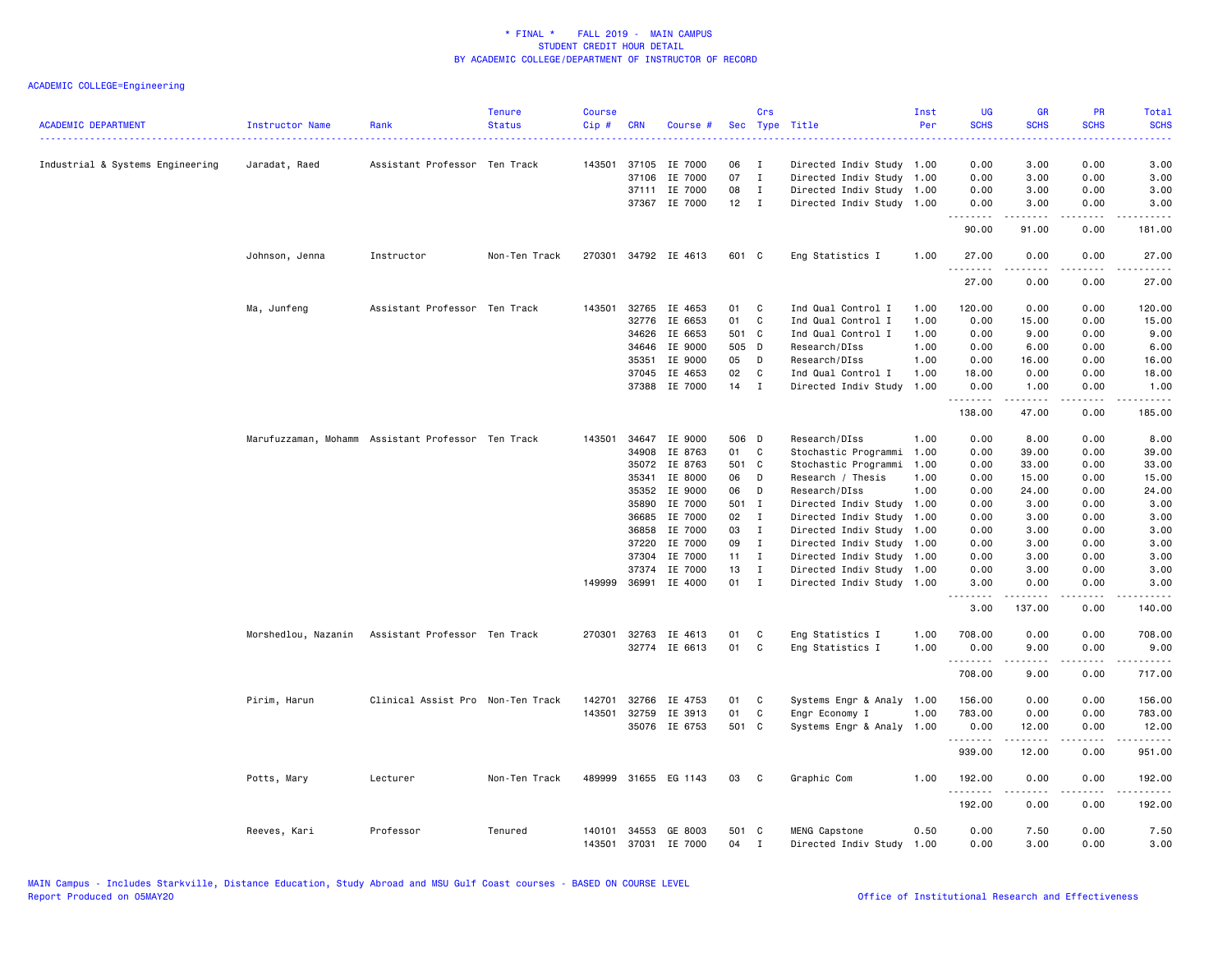| <b>ACADEMIC DEPARTMENT</b>       | Instructor Name | Rank                                               | <b>Tenure</b><br><b>Status</b> | <b>Course</b><br>$Cip \#$ | <b>CRN</b>   | Course #             | Sec          | Crs          | Type Title                | Inst<br>Per | <b>UG</b><br><b>SCHS</b> | <b>GR</b><br><b>SCHS</b>                                                                                                                                     | PR<br><b>SCHS</b>                   | Total<br><b>SCHS</b>                                                                                                              |
|----------------------------------|-----------------|----------------------------------------------------|--------------------------------|---------------------------|--------------|----------------------|--------------|--------------|---------------------------|-------------|--------------------------|--------------------------------------------------------------------------------------------------------------------------------------------------------------|-------------------------------------|-----------------------------------------------------------------------------------------------------------------------------------|
| Industrial & Systems Engineering | Jaradat, Raed   | Assistant Professor Ten Track                      |                                |                           |              | 143501 37105 IE 7000 | 06           | $\mathbf{I}$ | Directed Indiv Study 1.00 |             | 0.00                     | 3.00                                                                                                                                                         | 0.00                                | 3.00                                                                                                                              |
|                                  |                 |                                                    |                                |                           | 37106        | IE 7000              | 07           | $\mathbf{I}$ | Directed Indiv Study      | 1.00        | 0.00                     | 3.00                                                                                                                                                         | 0.00                                | 3.00                                                                                                                              |
|                                  |                 |                                                    |                                |                           | 37111        | IE 7000              | 08           | $\mathbf{I}$ | Directed Indiv Study 1.00 |             | 0.00                     | 3.00                                                                                                                                                         | 0.00                                | 3.00                                                                                                                              |
|                                  |                 |                                                    |                                |                           |              | 37367 IE 7000        | $12$ I       |              | Directed Indiv Study 1.00 |             | 0.00<br>.                | 3.00                                                                                                                                                         | 0.00                                | 3.00<br>$\frac{1}{2} \left( \frac{1}{2} \right) \left( \frac{1}{2} \right) \left( \frac{1}{2} \right) \left( \frac{1}{2} \right)$ |
|                                  |                 |                                                    |                                |                           |              |                      |              |              |                           |             | 90.00                    | 91.00                                                                                                                                                        | 0.00                                | 181.00                                                                                                                            |
|                                  | Johnson, Jenna  | Instructor                                         | Non-Ten Track                  |                           |              | 270301 34792 IE 4613 | 601 C        |              | Eng Statistics I          | 1.00        | 27.00<br>.               | 0.00<br>.                                                                                                                                                    | 0.00<br>$- - - -$                   | 27.00<br>.                                                                                                                        |
|                                  |                 |                                                    |                                |                           |              |                      |              |              |                           |             | 27.00                    | 0.00                                                                                                                                                         | 0.00                                | 27.00                                                                                                                             |
|                                  | Ma, Junfeng     | Assistant Professor Ten Track                      |                                | 143501                    |              | 32765 IE 4653        | 01           | C            | Ind Qual Control I        | 1.00        | 120.00                   | 0.00                                                                                                                                                         | 0.00                                | 120.00                                                                                                                            |
|                                  |                 |                                                    |                                |                           | 32776        | IE 6653              | 01           | C            | Ind Qual Control I        | 1.00        | 0.00                     | 15.00                                                                                                                                                        | 0.00                                | 15.00                                                                                                                             |
|                                  |                 |                                                    |                                |                           | 34626        | IE 6653              | 501 C        |              | Ind Qual Control I        | 1.00        | 0.00                     | 9.00                                                                                                                                                         | 0.00                                | 9.00                                                                                                                              |
|                                  |                 |                                                    |                                |                           | 34646        | IE 9000              | 505 D        |              | Research/DIss             | 1.00        | 0.00                     | 6.00                                                                                                                                                         | 0.00                                | 6.00                                                                                                                              |
|                                  |                 |                                                    |                                |                           | 35351        | IE 9000              | 05           | $\mathsf{D}$ | Research/DIss             | 1.00        | 0.00                     | 16.00                                                                                                                                                        | 0.00                                | 16.00                                                                                                                             |
|                                  |                 |                                                    |                                |                           |              | 37045 IE 4653        | 02           | C            | Ind Qual Control I        | 1.00        | 18.00                    | 0.00                                                                                                                                                         | 0.00                                | 18.00                                                                                                                             |
|                                  |                 |                                                    |                                |                           |              | 37388 IE 7000        | 14           | $\mathbf{I}$ | Directed Indiv Study      | 1.00        | 0.00<br>.                | 1.00                                                                                                                                                         | 0.00<br>$\sim$ $\sim$ $\sim$ $\sim$ | 1.00<br>.                                                                                                                         |
|                                  |                 |                                                    |                                |                           |              |                      |              |              |                           |             | 138.00                   | 47.00                                                                                                                                                        | 0.00                                | 185.00                                                                                                                            |
|                                  |                 | Marufuzzaman, Mohamm Assistant Professor Ten Track |                                | 143501                    |              | 34647 IE 9000        | 506 D        |              | Research/DIss             | 1.00        | 0.00                     | 8.00                                                                                                                                                         | 0.00                                | 8.00                                                                                                                              |
|                                  |                 |                                                    |                                |                           | 34908        | IE 8763              | 01           | C            | Stochastic Programmi      | 1.00        | 0.00                     | 39.00                                                                                                                                                        | 0.00                                | 39.00                                                                                                                             |
|                                  |                 |                                                    |                                |                           | 35072        | IE 8763              | 501 C        |              | Stochastic Programmi      | 1.00        | 0.00                     | 33.00                                                                                                                                                        | 0.00                                | 33.00                                                                                                                             |
|                                  |                 |                                                    |                                |                           | 35341        | IE 8000              | 06           | D            | Research / Thesis         | 1.00        | 0.00                     | 15.00                                                                                                                                                        | 0.00                                | 15.00                                                                                                                             |
|                                  |                 |                                                    |                                |                           | 35352        | IE 9000              | 06           | D            | Research/DIss             | 1.00        | 0.00                     | 24.00                                                                                                                                                        | 0.00                                | 24.00                                                                                                                             |
|                                  |                 |                                                    |                                |                           | 35890        | IE 7000              | 501 I        |              | Directed Indiv Study      | 1.00        | 0.00                     | 3.00                                                                                                                                                         | 0.00                                | 3.00                                                                                                                              |
|                                  |                 |                                                    |                                |                           | 36685        | IE 7000              | 02 I         |              | Directed Indiv Study      | 1.00        | 0.00                     | 3.00                                                                                                                                                         | 0.00                                | 3.00                                                                                                                              |
|                                  |                 |                                                    |                                |                           | 36858        | IE 7000              | 03           | $\mathbf{I}$ | Directed Indiv Study      | 1.00        | 0.00                     | 3.00                                                                                                                                                         | 0.00                                | 3.00                                                                                                                              |
|                                  |                 |                                                    |                                |                           | 37220        | IE 7000              | 09           | $\mathbf{I}$ | Directed Indiv Study 1.00 |             | 0.00                     | 3.00                                                                                                                                                         | 0.00                                | 3.00                                                                                                                              |
|                                  |                 |                                                    |                                |                           | 37304        | IE 7000              | $11 \quad I$ |              | Directed Indiv Study 1.00 |             | 0.00                     | 3.00                                                                                                                                                         | 0.00                                | 3.00                                                                                                                              |
|                                  |                 |                                                    |                                |                           | 37374        | IE 7000              | 13           | $\mathbf{I}$ | Directed Indiv Study 1.00 |             | 0.00                     | 3.00                                                                                                                                                         | 0.00                                | 3.00                                                                                                                              |
|                                  |                 |                                                    |                                |                           | 149999 36991 | IE 4000              | 01           | $\mathbf{I}$ | Directed Indiv Study 1.00 |             | 3.00                     | 0.00                                                                                                                                                         | 0.00                                | 3.00                                                                                                                              |
|                                  |                 |                                                    |                                |                           |              |                      |              |              |                           |             | 3.00                     | 137.00                                                                                                                                                       | 0.00                                | 140.00                                                                                                                            |
|                                  |                 | Morshedlou, Nazanin Assistant Professor Ten Track  |                                |                           |              | 270301 32763 IE 4613 | 01           | C            | Eng Statistics I          | 1.00        | 708.00                   | 0.00                                                                                                                                                         | 0.00                                | 708.00                                                                                                                            |
|                                  |                 |                                                    |                                |                           |              | 32774 IE 6613        | 01           | C            | Eng Statistics I          | 1.00        | 0.00<br><b></b>          | 9.00<br>$\frac{1}{2} \left( \frac{1}{2} \right) \left( \frac{1}{2} \right) \left( \frac{1}{2} \right) \left( \frac{1}{2} \right) \left( \frac{1}{2} \right)$ | 0.00<br>.                           | 9.00<br>.                                                                                                                         |
|                                  |                 |                                                    |                                |                           |              |                      |              |              |                           |             | 708.00                   | 9.00                                                                                                                                                         | 0.00                                | 717.00                                                                                                                            |
|                                  | Pirim, Harun    | Clinical Assist Pro Non-Ten Track                  |                                | 142701                    | 32766        | IE 4753              | 01           | C            | Systems Engr & Analy      | 1.00        | 156.00                   | 0.00                                                                                                                                                         | 0.00                                | 156.00                                                                                                                            |
|                                  |                 |                                                    |                                |                           | 143501 32759 | IE 3913              | 01           | C            | Engr Economy I            | 1.00        | 783.00                   | 0.00                                                                                                                                                         | 0.00                                | 783.00                                                                                                                            |
|                                  |                 |                                                    |                                |                           |              | 35076 IE 6753        | 501 C        |              | Systems Engr & Analy 1.00 |             | 0.00<br><u>.</u>         | 12.00<br>.                                                                                                                                                   | 0.00<br>.                           | 12.00                                                                                                                             |
|                                  |                 |                                                    |                                |                           |              |                      |              |              |                           |             | 939.00                   | 12.00                                                                                                                                                        | 0.00                                | 951.00                                                                                                                            |
|                                  | Potts, Mary     | Lecturer                                           | Non-Ten Track                  |                           |              | 489999 31655 EG 1143 | 03           | C            | Graphic Com               | 1.00        | 192.00                   | 0.00                                                                                                                                                         | 0.00                                | 192.00                                                                                                                            |
|                                  |                 |                                                    |                                |                           |              |                      |              |              |                           |             | . <b>.</b><br>192.00     | .<br>0.00                                                                                                                                                    | .<br>0.00                           | $- - - - - -$<br>192.00                                                                                                           |
|                                  | Reeves, Kari    | Professor                                          | Tenured                        |                           |              | 140101 34553 GE 8003 | 501 C        |              | MENG Capstone             | 0.50        | 0.00                     | 7.50                                                                                                                                                         | 0.00                                | 7.50                                                                                                                              |
|                                  |                 |                                                    |                                | 143501                    | 37031        | IE 7000              | 04           | $\mathbf{I}$ | Directed Indiv Study      | 1.00        | 0.00                     | 3.00                                                                                                                                                         | 0.00                                | 3.00                                                                                                                              |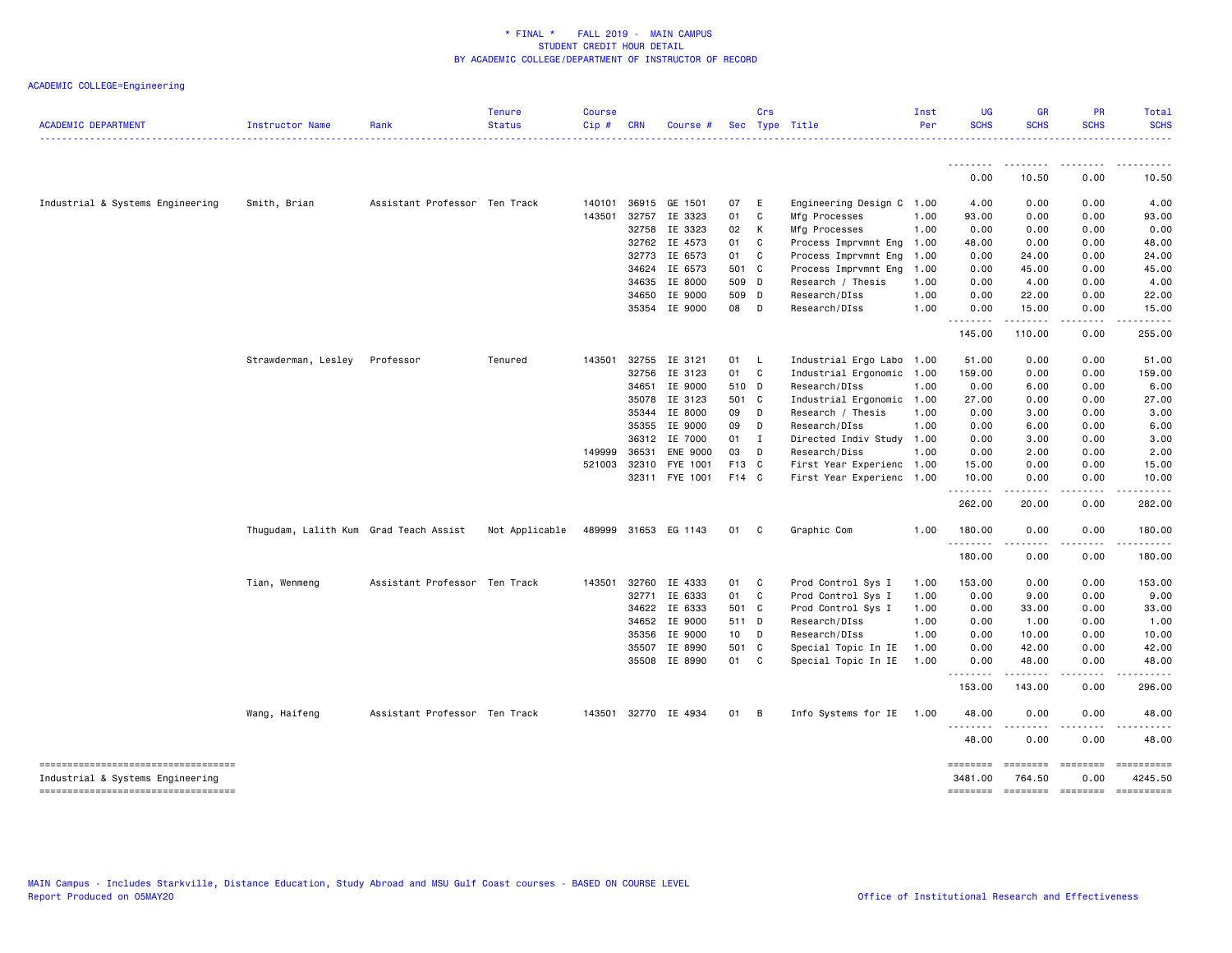| <b>ACADEMIC DEPARTMENT</b>            | Instructor Name                        | Rank                          | <b>Tenure</b><br><b>Status</b> | <b>Course</b><br>Cip# | <b>CRN</b> | Course #             |        | Crs            | Sec Type Title            | Inst<br>Per | <b>UG</b><br><b>SCHS</b> | <b>GR</b><br><b>SCHS</b> | <b>PR</b><br><b>SCHS</b> | Total<br><b>SCHS</b> |
|---------------------------------------|----------------------------------------|-------------------------------|--------------------------------|-----------------------|------------|----------------------|--------|----------------|---------------------------|-------------|--------------------------|--------------------------|--------------------------|----------------------|
|                                       |                                        |                               |                                |                       |            |                      |        |                |                           |             |                          |                          |                          | .                    |
|                                       |                                        |                               |                                |                       |            |                      |        |                |                           |             | 0.00                     | 10.50                    | 0.00                     | 10.50                |
| Industrial & Systems Engineering      | Smith, Brian                           | Assistant Professor Ten Track |                                | 140101                | 36915      | GE 1501              | 07     | E              | Engineering Design C 1.00 |             | 4.00                     | 0.00                     | 0.00                     | 4.00                 |
|                                       |                                        |                               |                                | 143501                |            | 32757 IE 3323        | 01     | C              | Mfg Processes             | 1.00        | 93.00                    | 0.00                     | 0.00                     | 93.00                |
|                                       |                                        |                               |                                |                       | 32758      | IE 3323              | 02     | $\mathsf{K}$   | Mfg Processes             | 1.00        | 0.00                     | 0.00                     | 0.00                     | 0.00                 |
|                                       |                                        |                               |                                |                       |            | 32762 IE 4573        | 01     | C.             | Process Imprvmnt Eng 1.00 |             | 48.00                    | 0.00                     | 0.00                     | 48.00                |
|                                       |                                        |                               |                                |                       | 32773      | IE 6573              | 01     | C              | Process Imprvmnt Eng      | 1.00        | 0.00                     | 24.00                    | 0.00                     | 24.00                |
|                                       |                                        |                               |                                |                       | 34624      | IE 6573              | 501 C  |                | Process Imprvmnt Eng      | 1.00        | 0.00                     | 45.00                    | 0.00                     | 45.00                |
|                                       |                                        |                               |                                |                       | 34635      | IE 8000              | 509 D  |                | Research / Thesis         | 1.00        | 0.00                     | 4.00                     | 0.00                     | 4.00                 |
|                                       |                                        |                               |                                |                       | 34650      | IE 9000              | 509 D  |                | Research/DIss             | 1.00        | 0.00                     | 22.00                    | 0.00                     | 22.00                |
|                                       |                                        |                               |                                |                       |            | 35354 IE 9000        | 08 D   |                | Research/DIss             | 1.00        | 0.00<br><u>.</u>         | 15.00<br>.               | 0.00<br>.                | 15.00<br>.           |
|                                       |                                        |                               |                                |                       |            |                      |        |                |                           |             | 145.00                   | 110.00                   | 0.00                     | 255.00               |
|                                       | Strawderman, Lesley                    | Professor                     | Tenured                        | 143501                |            | 32755 IE 3121        | 01 L   |                | Industrial Ergo Labo 1.00 |             | 51.00                    | 0.00                     | 0.00                     | 51.00                |
|                                       |                                        |                               |                                |                       | 32756      | IE 3123              | 01 C   |                | Industrial Ergonomic 1.00 |             | 159.00                   | 0.00                     | 0.00                     | 159.00               |
|                                       |                                        |                               |                                |                       | 34651      | IE 9000              | 510 D  |                | Research/DIss             | 1.00        | 0.00                     | 6.00                     | 0.00                     | 6.00                 |
|                                       |                                        |                               |                                |                       | 35078      | IE 3123              | 501 C  |                | Industrial Ergonomic      | 1.00        | 27.00                    | 0.00                     | 0.00                     | 27.00                |
|                                       |                                        |                               |                                |                       | 35344      | IE 8000              | 09     | $\mathsf{D}$   | Research / Thesis         | 1.00        | 0.00                     | 3.00                     | 0.00                     | 3.00                 |
|                                       |                                        |                               |                                |                       | 35355      | IE 9000              | 09     | D              | Research/DIss             | 1.00        | 0.00                     | 6.00                     | 0.00                     | 6.00                 |
|                                       |                                        |                               |                                |                       | 36312      | IE 7000              | $01$ I |                | Directed Indiv Study 1.00 |             | 0.00                     | 3.00                     | 0.00                     | 3.00                 |
|                                       |                                        |                               |                                | 149999                | 36531      | <b>ENE 9000</b>      | 03     | $\mathsf{D}$   | Research/Diss             | 1.00        | 0.00                     | 2.00                     | 0.00                     | 2.00                 |
|                                       |                                        |                               |                                | 521003                | 32310      | FYE 1001             | F13 C  |                | First Year Experienc 1.00 |             | 15.00                    | 0.00                     | 0.00                     | 15.00                |
|                                       |                                        |                               |                                |                       |            | 32311 FYE 1001       | F14 C  |                | First Year Experienc 1.00 |             | 10.00                    | 0.00                     | 0.00                     | 10.00                |
|                                       |                                        |                               |                                |                       |            |                      |        |                |                           |             | .<br>262.00              | .<br>20.00               | .<br>0.00                | .<br>282.00          |
|                                       | Thugudam, Lalith Kum Grad Teach Assist |                               | Not Applicable                 |                       |            | 489999 31653 EG 1143 | 01     | $\mathbf{C}$   | Graphic Com               | 1.00        | 180.00                   | 0.00                     | 0.00                     | 180.00               |
|                                       |                                        |                               |                                |                       |            |                      |        |                |                           |             | .<br>180.00              | .<br>0.00                | .<br>0.00                | 180.00               |
|                                       | Tian, Wenmeng                          | Assistant Professor Ten Track |                                | 143501                | 32760      | IE 4333              | 01 C   |                | Prod Control Sys I        | 1.00        | 153.00                   | 0.00                     | 0.00                     | 153.00               |
|                                       |                                        |                               |                                |                       | 32771      | IE 6333              | 01     | C <sub>1</sub> | Prod Control Sys I        | 1.00        | 0.00                     | 9.00                     | 0.00                     | 9.00                 |
|                                       |                                        |                               |                                |                       | 34622      | IE 6333              | 501 C  |                | Prod Control Sys I        | 1.00        | 0.00                     | 33.00                    | 0.00                     | 33.00                |
|                                       |                                        |                               |                                |                       | 34652      | IE 9000              | 511 D  |                | Research/DIss             | 1.00        | 0.00                     | 1.00                     | 0.00                     | 1.00                 |
|                                       |                                        |                               |                                |                       | 35356      | IE 9000              | 10 D   |                | Research/DIss             | 1.00        | 0.00                     | 10.00                    | 0.00                     | 10.00                |
|                                       |                                        |                               |                                |                       | 35507      | IE 8990              | 501 C  |                | Special Topic In IE       | 1.00        | 0.00                     | 42.00                    | 0.00                     | 42.00                |
|                                       |                                        |                               |                                |                       |            | 35508 IE 8990        | 01 C   |                | Special Topic In IE       | 1.00        | 0.00                     | 48.00                    | 0.00                     | 48.00                |
|                                       |                                        |                               |                                |                       |            |                      |        |                |                           |             | <u>.</u><br>153.00       | $- - - - -$<br>143.00    | .<br>0.00                | .<br>296.00          |
|                                       | Wang, Haifeng                          | Assistant Professor Ten Track |                                |                       |            | 143501 32770 IE 4934 | 01     | B              | Info Systems for IE       | 1.00        | 48.00                    | 0.00                     | 0.00                     | 48.00                |
|                                       |                                        |                               |                                |                       |            |                      |        |                |                           |             | .<br>48.00               | 0.00                     | 0.00                     | 48.00                |
| ===================================== |                                        |                               |                                |                       |            |                      |        |                |                           |             | ========                 |                          |                          | ==========           |
| Industrial & Systems Engineering      |                                        |                               |                                |                       |            |                      |        |                |                           |             | 3481.00                  | 764.50                   | 0.00                     | 4245.50              |
| -----------------------------------   |                                        |                               |                                |                       |            |                      |        |                |                           |             | ========                 |                          | ========= ========       | -2222222222          |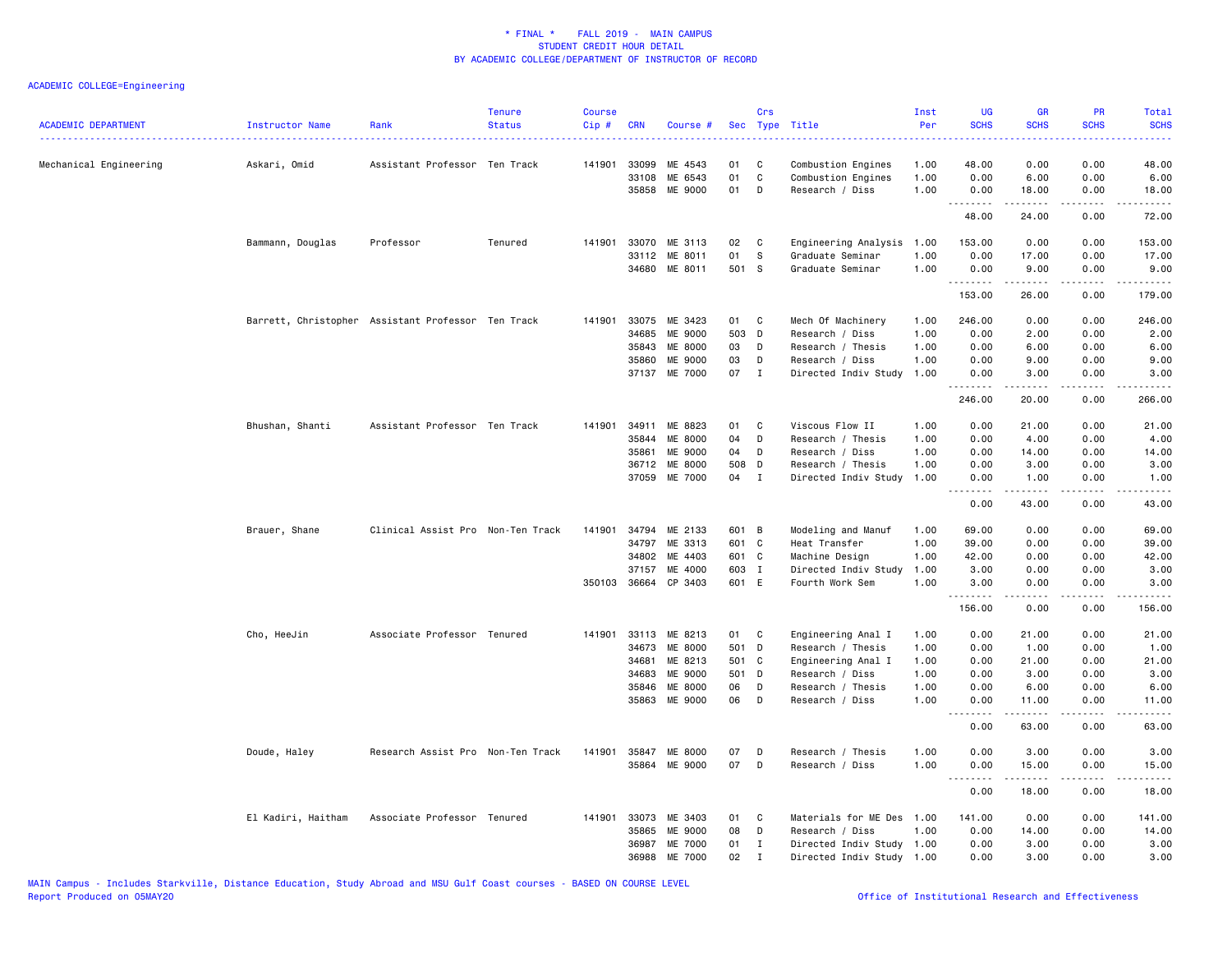| <b>ACADEMIC DEPARTMENT</b> | Instructor Name                                    | Rank                              | <b>Tenure</b><br><b>Status</b> | <b>Course</b><br>Cip# | <b>CRN</b> | Course #                        |                | Crs          | Sec Type Title            | Inst<br>Per | <b>UG</b><br><b>SCHS</b> | <b>GR</b><br><b>SCHS</b>                                                                                                                                                                                                                                                                                                                     | PR<br><b>SCHS</b> | Total<br><b>SCHS</b><br>$\frac{1}{2} \left( \frac{1}{2} \right) \left( \frac{1}{2} \right) \left( \frac{1}{2} \right) \left( \frac{1}{2} \right)$                                       |
|----------------------------|----------------------------------------------------|-----------------------------------|--------------------------------|-----------------------|------------|---------------------------------|----------------|--------------|---------------------------|-------------|--------------------------|----------------------------------------------------------------------------------------------------------------------------------------------------------------------------------------------------------------------------------------------------------------------------------------------------------------------------------------------|-------------------|-----------------------------------------------------------------------------------------------------------------------------------------------------------------------------------------|
| Mechanical Engineering     | Askari, Omid                                       | Assistant Professor Ten Track     |                                | 141901                | 33099      | ME 4543                         | 01             | C            | Combustion Engines        | 1.00        | 48.00                    | 0.00                                                                                                                                                                                                                                                                                                                                         | 0.00              | 48.00                                                                                                                                                                                   |
|                            |                                                    |                                   |                                |                       | 33108      | ME 6543                         | 01             | $\mathbb{C}$ | Combustion Engines        | 1.00        | 0.00                     | 6.00                                                                                                                                                                                                                                                                                                                                         | 0.00              | 6.00                                                                                                                                                                                    |
|                            |                                                    |                                   |                                |                       | 35858      | ME 9000                         | 01             | D            | Research / Diss           | 1.00        | 0.00                     | 18.00<br>.                                                                                                                                                                                                                                                                                                                                   | 0.00              | 18.00                                                                                                                                                                                   |
|                            |                                                    |                                   |                                |                       |            |                                 |                |              |                           |             | .<br>48.00               | 24.00                                                                                                                                                                                                                                                                                                                                        | .<br>0.00         | .<br>72.00                                                                                                                                                                              |
|                            | Bammann, Douglas                                   | Professor                         | Tenured                        | 141901                | 33070      | ME 3113                         | 02             | C            | Engineering Analysis      | 1.00        | 153.00                   | 0.00                                                                                                                                                                                                                                                                                                                                         | 0.00              | 153.00                                                                                                                                                                                  |
|                            |                                                    |                                   |                                |                       |            | 33112 ME 8011                   | 01             | s.           | Graduate Seminar          | 1.00        | 0.00                     | 17.00                                                                                                                                                                                                                                                                                                                                        | 0.00              | 17.00                                                                                                                                                                                   |
|                            |                                                    |                                   |                                |                       |            | 34680 ME 8011                   | 501 S          |              | Graduate Seminar          | 1.00        | 0.00                     | 9.00<br><u>.</u>                                                                                                                                                                                                                                                                                                                             | 0.00<br>.         | 9.00<br>$\frac{1}{2} \left( \frac{1}{2} \right) \left( \frac{1}{2} \right) \left( \frac{1}{2} \right) \left( \frac{1}{2} \right) \left( \frac{1}{2} \right) \left( \frac{1}{2} \right)$ |
|                            |                                                    |                                   |                                |                       |            |                                 |                |              |                           |             | 153.00                   | 26.00                                                                                                                                                                                                                                                                                                                                        | 0.00              | 179.00                                                                                                                                                                                  |
|                            | Barrett, Christopher Assistant Professor Ten Track |                                   |                                | 141901                |            | 33075 ME 3423                   | 01 C           |              | Mech Of Machinery         | 1.00        | 246.00                   | 0.00                                                                                                                                                                                                                                                                                                                                         | 0.00              | 246.00                                                                                                                                                                                  |
|                            |                                                    |                                   |                                |                       | 34685      | ME 9000                         | 503 D          |              | Research / Diss           | 1.00        | 0.00                     | 2.00                                                                                                                                                                                                                                                                                                                                         | 0.00              | 2.00                                                                                                                                                                                    |
|                            |                                                    |                                   |                                |                       | 35843      | ME 8000                         | 03             | D            | Research / Thesis         | 1.00        | 0.00                     | 6.00                                                                                                                                                                                                                                                                                                                                         | 0.00              | 6.00                                                                                                                                                                                    |
|                            |                                                    |                                   |                                |                       | 35860      | <b>ME 9000</b>                  | 03             | D            | Research / Diss           | 1.00        | 0.00                     | 9.00                                                                                                                                                                                                                                                                                                                                         | 0.00              | 9.00                                                                                                                                                                                    |
|                            |                                                    |                                   |                                |                       | 37137      | ME 7000                         | 07             | $\mathbf{I}$ | Directed Indiv Study      | 1.00        | 0.00<br>.                | 3.00<br>$\frac{1}{2} \left( \begin{array}{ccc} 1 & 0 & 0 & 0 \\ 0 & 0 & 0 & 0 \\ 0 & 0 & 0 & 0 \\ 0 & 0 & 0 & 0 \\ 0 & 0 & 0 & 0 \\ 0 & 0 & 0 & 0 \\ 0 & 0 & 0 & 0 \\ 0 & 0 & 0 & 0 \\ 0 & 0 & 0 & 0 \\ 0 & 0 & 0 & 0 \\ 0 & 0 & 0 & 0 & 0 \\ 0 & 0 & 0 & 0 & 0 \\ 0 & 0 & 0 & 0 & 0 \\ 0 & 0 & 0 & 0 & 0 \\ 0 & 0 & 0 & 0 & 0 \\ 0 & 0 & 0$ | 0.00<br>.         | 3.00<br>.                                                                                                                                                                               |
|                            |                                                    |                                   |                                |                       |            |                                 |                |              |                           |             | 246.00                   | 20.00                                                                                                                                                                                                                                                                                                                                        | 0.00              | 266.00                                                                                                                                                                                  |
|                            | Bhushan, Shanti                                    | Assistant Professor Ten Track     |                                | 141901                | 34911      | ME 8823                         | 01             | C            | Viscous Flow II           | 1.00        | 0.00                     | 21.00                                                                                                                                                                                                                                                                                                                                        | 0.00              | 21.00                                                                                                                                                                                   |
|                            |                                                    |                                   |                                |                       | 35844      | ME 8000                         | 04             | D            | Research / Thesis         | 1.00        | 0.00                     | 4.00                                                                                                                                                                                                                                                                                                                                         | 0.00              | 4.00                                                                                                                                                                                    |
|                            |                                                    |                                   |                                |                       | 35861      | ME 9000                         | 04             | D            | Research / Diss           | 1.00        | 0.00                     | 14.00                                                                                                                                                                                                                                                                                                                                        | 0.00              | 14.00                                                                                                                                                                                   |
|                            |                                                    |                                   |                                |                       | 36712      | ME 8000                         | 508 D          |              | Research / Thesis         | 1.00        | 0.00                     | 3.00                                                                                                                                                                                                                                                                                                                                         | 0.00              | 3.00                                                                                                                                                                                    |
|                            |                                                    |                                   |                                |                       |            | 37059 ME 7000                   | 04 I           |              | Directed Indiv Study      | 1.00        | 0.00<br>.                | 1.00<br>$\frac{1}{2} \left( \frac{1}{2} \right) \left( \frac{1}{2} \right) \left( \frac{1}{2} \right) \left( \frac{1}{2} \right) \left( \frac{1}{2} \right)$                                                                                                                                                                                 | 0.00<br>.         | 1.00<br>المستمات                                                                                                                                                                        |
|                            |                                                    |                                   |                                |                       |            |                                 |                |              |                           |             | 0.00                     | 43.00                                                                                                                                                                                                                                                                                                                                        | 0.00              | 43.00                                                                                                                                                                                   |
|                            | Brauer, Shane                                      | Clinical Assist Pro Non-Ten Track |                                | 141901                | 34794      | ME 2133                         | 601 B          |              | Modeling and Manuf        | 1.00        | 69.00                    | 0.00                                                                                                                                                                                                                                                                                                                                         | 0.00              | 69.00                                                                                                                                                                                   |
|                            |                                                    |                                   |                                |                       | 34797      | ME 3313                         | 601 C          |              | Heat Transfer             | 1.00        | 39.00                    | 0.00                                                                                                                                                                                                                                                                                                                                         | 0.00              | 39.00                                                                                                                                                                                   |
|                            |                                                    |                                   |                                |                       | 34802      | ME 4403                         | 601 C          |              | Machine Design            | 1.00        | 42.00                    | 0.00                                                                                                                                                                                                                                                                                                                                         | 0.00              | 42.00                                                                                                                                                                                   |
|                            |                                                    |                                   |                                |                       | 37157      | ME 4000<br>350103 36664 CP 3403 | 603 I<br>601 E |              | Directed Indiv Study      | 1.00        | 3.00                     | 0.00                                                                                                                                                                                                                                                                                                                                         | 0.00              | 3.00                                                                                                                                                                                    |
|                            |                                                    |                                   |                                |                       |            |                                 |                |              | Fourth Work Sem           | 1.00        | 3.00<br><u>.</u>         | 0.00<br>.                                                                                                                                                                                                                                                                                                                                    | 0.00<br>.         | 3.00<br><u>.</u>                                                                                                                                                                        |
|                            |                                                    |                                   |                                |                       |            |                                 |                |              |                           |             | 156.00                   | 0.00                                                                                                                                                                                                                                                                                                                                         | 0.00              | 156.00                                                                                                                                                                                  |
|                            | Cho, HeeJin                                        | Associate Professor Tenured       |                                | 141901                |            | 33113 ME 8213                   | 01             | C            | Engineering Anal I        | 1.00        | 0.00                     | 21.00                                                                                                                                                                                                                                                                                                                                        | 0.00              | 21.00                                                                                                                                                                                   |
|                            |                                                    |                                   |                                |                       | 34673      | ME 8000                         | 501 D          |              | Research / Thesis         | 1.00        | 0.00                     | 1.00                                                                                                                                                                                                                                                                                                                                         | 0.00              | 1.00                                                                                                                                                                                    |
|                            |                                                    |                                   |                                |                       | 34681      | ME 8213                         | 501 C          |              | Engineering Anal I        | 1.00        | 0.00                     | 21.00                                                                                                                                                                                                                                                                                                                                        | 0.00              | 21.00                                                                                                                                                                                   |
|                            |                                                    |                                   |                                |                       | 34683      | <b>ME 9000</b>                  | 501 D          |              | Research / Diss           | 1.00        | 0.00                     | 3.00                                                                                                                                                                                                                                                                                                                                         | 0.00              | 3.00                                                                                                                                                                                    |
|                            |                                                    |                                   |                                |                       | 35846      | ME 8000                         | 06             | D            | Research / Thesis         | 1.00        | 0.00                     | 6.00                                                                                                                                                                                                                                                                                                                                         | 0.00              | 6.00                                                                                                                                                                                    |
|                            |                                                    |                                   |                                |                       | 35863      | ME 9000                         | 06             | D            | Research / Diss           | 1.00        | 0.00<br>.                | 11.00<br>$\frac{1}{2}$                                                                                                                                                                                                                                                                                                                       | 0.00<br>.         | 11.00<br>.                                                                                                                                                                              |
|                            |                                                    |                                   |                                |                       |            |                                 |                |              |                           |             | 0.00                     | 63.00                                                                                                                                                                                                                                                                                                                                        | 0.00              | 63.00                                                                                                                                                                                   |
|                            | Doude, Haley                                       | Research Assist Pro Non-Ten Track |                                | 141901                | 35847      | ME 8000                         | 07             | D            | Research / Thesis         | 1.00        | 0.00                     | 3.00                                                                                                                                                                                                                                                                                                                                         | 0.00              | 3.00                                                                                                                                                                                    |
|                            |                                                    |                                   |                                |                       |            | 35864 ME 9000                   | 07             | D            | Research / Diss           | 1.00        | 0.00<br><b></b>          | 15.00<br>.                                                                                                                                                                                                                                                                                                                                   | 0.00<br>.         | 15.00<br>.                                                                                                                                                                              |
|                            |                                                    |                                   |                                |                       |            |                                 |                |              |                           |             | 0.00                     | 18.00                                                                                                                                                                                                                                                                                                                                        | 0.00              | 18.00                                                                                                                                                                                   |
|                            | El Kadiri, Haitham                                 | Associate Professor Tenured       |                                | 141901                | 33073      | ME 3403                         | 01             | C            | Materials for ME Des      | 1.00        | 141.00                   | 0.00                                                                                                                                                                                                                                                                                                                                         | 0.00              | 141.00                                                                                                                                                                                  |
|                            |                                                    |                                   |                                |                       | 35865      | ME 9000                         | 08             | D            | Research / Diss           | 1.00        | 0.00                     | 14.00                                                                                                                                                                                                                                                                                                                                        | 0.00              | 14.00                                                                                                                                                                                   |
|                            |                                                    |                                   |                                |                       | 36987      | ME 7000                         | 01             | $\mathbf{I}$ | Directed Indiv Study 1.00 |             | 0.00                     | 3.00                                                                                                                                                                                                                                                                                                                                         | 0.00              | 3.00                                                                                                                                                                                    |
|                            |                                                    |                                   |                                |                       | 36988      | ME 7000                         | 02             | $\mathbf I$  | Directed Indiv Study 1.00 |             | 0.00                     | 3.00                                                                                                                                                                                                                                                                                                                                         | 0.00              | 3.00                                                                                                                                                                                    |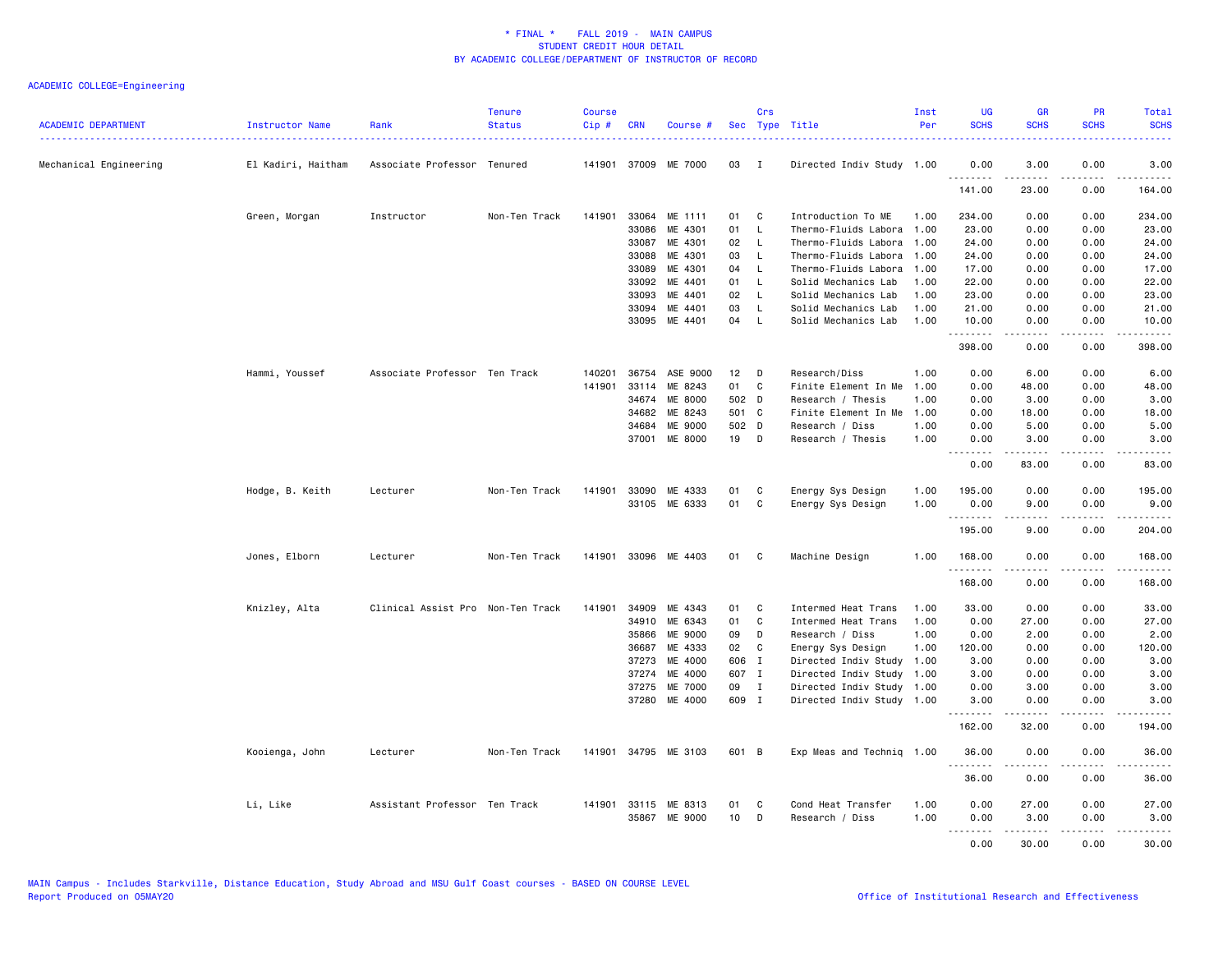| <b>ACADEMIC DEPARTMENT</b> | Instructor Name    | Rank                              | <b>Tenure</b><br><b>Status</b> | <b>Course</b><br>$Cip \#$ | <b>CRN</b>   | Course #             | Sec             | Crs          | Type Title                | Inst<br>Per | <b>UG</b><br><b>SCHS</b> | <b>GR</b><br><b>SCHS</b>                                                                                                                                     | PR<br><b>SCHS</b> | Total<br><b>SCHS</b> |
|----------------------------|--------------------|-----------------------------------|--------------------------------|---------------------------|--------------|----------------------|-----------------|--------------|---------------------------|-------------|--------------------------|--------------------------------------------------------------------------------------------------------------------------------------------------------------|-------------------|----------------------|
| Mechanical Engineering     | El Kadiri, Haitham | Associate Professor Tenured       |                                |                           |              | 141901 37009 ME 7000 | 03              | - I          | Directed Indiv Study 1.00 |             | 0.00                     | 3.00                                                                                                                                                         | 0.00              | 3.00                 |
|                            |                    |                                   |                                |                           |              |                      |                 |              |                           |             | 141.00                   | 23.00                                                                                                                                                        | 0.00              | 164.00               |
|                            | Green, Morgan      | Instructor                        | Non-Ten Track                  | 141901                    | 33064        | ME 1111              | 01              | C            | Introduction To ME        | 1.00        | 234.00                   | 0.00                                                                                                                                                         | 0.00              | 234.00               |
|                            |                    |                                   |                                |                           | 33086        | ME 4301              | 01              | $\mathsf{L}$ | Thermo-Fluids Labora      | 1.00        | 23.00                    | 0.00                                                                                                                                                         | 0.00              | 23.00                |
|                            |                    |                                   |                                |                           | 33087        | ME 4301              | 02              | <b>L</b>     | Thermo-Fluids Labora      | 1.00        | 24.00                    | 0.00                                                                                                                                                         | 0.00              | 24.00                |
|                            |                    |                                   |                                |                           | 33088        | ME 4301              | 03              | $\mathsf{L}$ | Thermo-Fluids Labora      | 1.00        | 24.00                    | 0.00                                                                                                                                                         | 0.00              | 24.00                |
|                            |                    |                                   |                                |                           | 33089        | ME 4301              | 04              | $\mathsf{L}$ | Thermo-Fluids Labora      | 1.00        | 17.00                    | 0.00                                                                                                                                                         | 0.00              | 17.00                |
|                            |                    |                                   |                                |                           | 33092        | ME 4401              | 01              | $\mathsf{L}$ | Solid Mechanics Lab       | 1.00        | 22.00                    | 0.00                                                                                                                                                         | 0.00              | 22.00                |
|                            |                    |                                   |                                |                           | 33093        | ME 4401              | 02              | - L          | Solid Mechanics Lab       | 1.00        | 23.00                    | 0.00                                                                                                                                                         | 0.00              | 23.00                |
|                            |                    |                                   |                                |                           | 33094        | ME 4401              | 03              | L            | Solid Mechanics Lab       | 1.00        | 21.00                    | 0.00                                                                                                                                                         | 0.00              | 21.00                |
|                            |                    |                                   |                                |                           | 33095        | ME 4401              | 04              | $\mathsf{L}$ | Solid Mechanics Lab       | 1.00        | 10.00<br>.               | 0.00<br>.                                                                                                                                                    | 0.00<br>.         | 10.00<br>.           |
|                            |                    |                                   |                                |                           |              |                      |                 |              |                           |             | 398.00                   | 0.00                                                                                                                                                         | 0.00              | 398.00               |
|                            | Hammi, Youssef     | Associate Professor Ten Track     |                                | 140201                    | 36754        | ASE 9000             | 12              | D            | Research/Diss             | 1.00        | 0.00                     | 6.00                                                                                                                                                         | 0.00              | 6.00                 |
|                            |                    |                                   |                                | 141901                    | 33114        | ME 8243              | 01              | C            | Finite Element In Me      | 1.00        | 0.00                     | 48.00                                                                                                                                                        | 0.00              | 48.00                |
|                            |                    |                                   |                                |                           | 34674        | ME 8000              | 502 D           |              | Research / Thesis         | 1.00        | 0.00                     | 3.00                                                                                                                                                         | 0.00              | 3.00                 |
|                            |                    |                                   |                                |                           | 34682        | ME 8243              | 501 C           |              | Finite Element In Me      | 1.00        | 0.00                     | 18.00                                                                                                                                                        | 0.00              | 18.00                |
|                            |                    |                                   |                                |                           | 34684        | ME 9000              | 502 D           |              | Research / Diss           | 1.00        | 0.00                     | 5.00                                                                                                                                                         | 0.00              | 5.00                 |
|                            |                    |                                   |                                |                           | 37001        | ME 8000              | 19              | D            | Research / Thesis         | 1.00        | 0.00<br>.                | 3.00<br>.                                                                                                                                                    | 0.00<br>.         | 3.00<br>.            |
|                            |                    |                                   |                                |                           |              |                      |                 |              |                           |             | 0.00                     | 83.00                                                                                                                                                        | 0.00              | 83.00                |
|                            | Hodge, B. Keith    | Lecturer                          | Non-Ten Track                  | 141901                    | 33090        | ME 4333              | 01              | C            | Energy Sys Design         | 1.00        | 195.00                   | 0.00                                                                                                                                                         | 0.00              | 195.00               |
|                            |                    |                                   |                                |                           |              | 33105 ME 6333        | 01              | C            | Energy Sys Design         | 1.00        | 0.00<br>.                | 9.00                                                                                                                                                         | 0.00              | 9.00                 |
|                            |                    |                                   |                                |                           |              |                      |                 |              |                           |             | 195.00                   | 9.00                                                                                                                                                         | 0.00              | 204.00               |
|                            | Jones, Elborn      | Lecturer                          | Non-Ten Track                  |                           |              | 141901 33096 ME 4403 | 01              | C            | Machine Design            | 1.00        | 168.00                   | 0.00                                                                                                                                                         | 0.00              | 168.00               |
|                            |                    |                                   |                                |                           |              |                      |                 |              |                           |             | .<br>168.00              | 0.00                                                                                                                                                         | ----<br>0.00      | .<br>168.00          |
|                            | Knizley, Alta      | Clinical Assist Pro Non-Ten Track |                                | 141901                    | 34909        | ME 4343              | 01              | C            | Intermed Heat Trans       | 1.00        | 33.00                    | 0.00                                                                                                                                                         | 0.00              | 33.00                |
|                            |                    |                                   |                                |                           | 34910        | ME 6343              | 01              | C            | Intermed Heat Trans       | 1.00        | 0.00                     | 27.00                                                                                                                                                        | 0.00              | 27.00                |
|                            |                    |                                   |                                |                           | 35866        | ME 9000              | 09              | D            | Research / Diss           | 1.00        | 0.00                     | 2.00                                                                                                                                                         | 0.00              | 2.00                 |
|                            |                    |                                   |                                |                           | 36687        | ME 4333              | 02              | C            | Energy Sys Design         | 1.00        | 120.00                   | 0.00                                                                                                                                                         | 0.00              | 120.00               |
|                            |                    |                                   |                                |                           | 37273        | ME 4000              | 606 I           |              | Directed Indiv Study      | 1.00        | 3.00                     | 0.00                                                                                                                                                         | 0.00              | 3.00                 |
|                            |                    |                                   |                                |                           | 37274        | ME 4000              | 607 I           |              | Directed Indiv Study      | 1.00        | 3.00                     | 0.00                                                                                                                                                         | 0.00              | 3.00                 |
|                            |                    |                                   |                                |                           | 37275        | ME 7000              | 09              | I            | Directed Indiv Study      | 1.00        | 0.00                     | 3.00                                                                                                                                                         | 0.00              | 3.00                 |
|                            |                    |                                   |                                |                           | 37280        | ME 4000              | 609 I           |              | Directed Indiv Study 1.00 |             | 3.00<br>.                | 0.00<br>$\frac{1}{2} \left( \frac{1}{2} \right) \left( \frac{1}{2} \right) \left( \frac{1}{2} \right) \left( \frac{1}{2} \right) \left( \frac{1}{2} \right)$ | 0.00<br>.         | 3.00<br>.            |
|                            |                    |                                   |                                |                           |              |                      |                 |              |                           |             | 162.00                   | 32.00                                                                                                                                                        | 0.00              | 194.00               |
|                            | Kooienga, John     | Lecturer                          | Non-Ten Track                  |                           |              | 141901 34795 ME 3103 | 601 B           |              | Exp Meas and Techniq 1.00 |             | 36.00                    | 0.00                                                                                                                                                         | 0.00              | 36.00                |
|                            |                    |                                   |                                |                           |              |                      |                 |              |                           |             | .<br>36.00               | <u>.</u><br>0.00                                                                                                                                             | .<br>0.00         | .<br>36.00           |
|                            | Li, Like           | Assistant Professor Ten Track     |                                |                           | 141901 33115 | ME 8313              | 01              | C            | Cond Heat Transfer        | 1.00        | 0.00                     | 27.00                                                                                                                                                        | 0.00              | 27.00                |
|                            |                    |                                   |                                |                           |              | 35867 ME 9000        | 10 <sup>1</sup> | D            | Research / Diss           | 1.00        | 0.00<br>.                | 3.00<br>.                                                                                                                                                    | 0.00<br>.         | 3.00<br>.            |
|                            |                    |                                   |                                |                           |              |                      |                 |              |                           |             | 0.00                     | 30.00                                                                                                                                                        | 0.00              | 30.00                |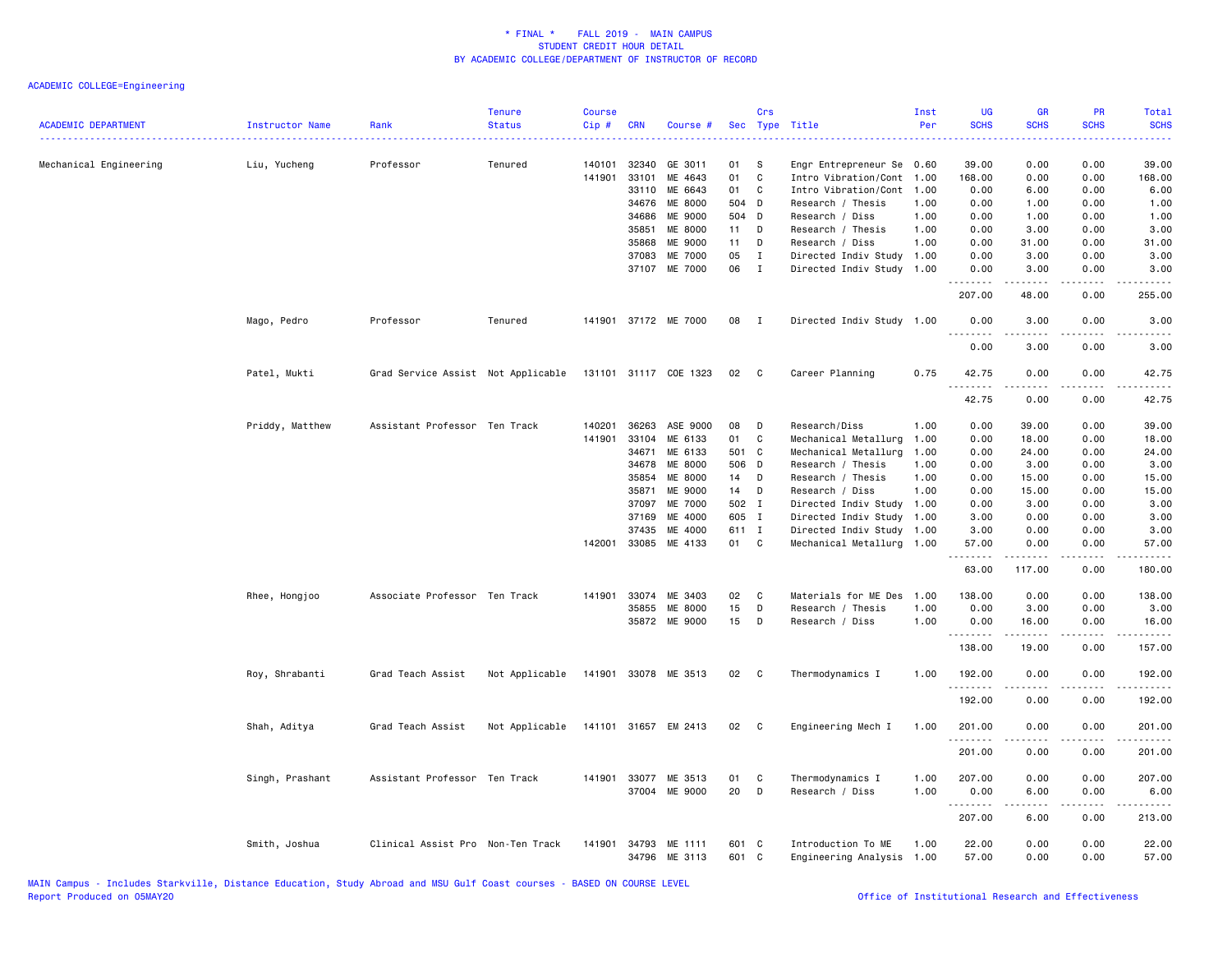|                            |                 |                                    | <b>Tenure</b>  | <b>Course</b> |            |                                |                | Crs          |                                                 | Inst<br>Per | UG<br><b>SCHS</b> | <b>GR</b><br><b>SCHS</b>                                                                                                                                     | PR<br><b>SCHS</b>                   | Total<br><b>SCHS</b>                                                                                                                                                                      |
|----------------------------|-----------------|------------------------------------|----------------|---------------|------------|--------------------------------|----------------|--------------|-------------------------------------------------|-------------|-------------------|--------------------------------------------------------------------------------------------------------------------------------------------------------------|-------------------------------------|-------------------------------------------------------------------------------------------------------------------------------------------------------------------------------------------|
| <b>ACADEMIC DEPARTMENT</b> | Instructor Name | Rank                               | <b>Status</b>  | Cip#          | <b>CRN</b> | Course #                       | Sec            |              | Type Title                                      |             |                   |                                                                                                                                                              |                                     |                                                                                                                                                                                           |
| Mechanical Engineering     | Liu, Yucheng    | Professor                          | Tenured        | 140101        | 32340      | GE 3011                        | 01             | <b>S</b>     | Engr Entrepreneur Se 0.60                       |             | 39.00             | 0.00                                                                                                                                                         | 0.00                                | 39.00                                                                                                                                                                                     |
|                            |                 |                                    |                | 141901        | 33101      | ME 4643                        | 01             | $\mathbf c$  | Intro Vibration/Cont                            | 1.00        | 168.00            | 0.00                                                                                                                                                         | 0.00                                | 168.00                                                                                                                                                                                    |
|                            |                 |                                    |                |               |            | 33110 ME 6643                  | 01 C           |              | Intro Vibration/Cont                            | 1.00        | 0.00              | 6.00                                                                                                                                                         | 0.00                                | 6.00                                                                                                                                                                                      |
|                            |                 |                                    |                |               | 34676      | ME 8000                        | 504 D          |              | Research / Thesis                               | 1.00        | 0.00              | 1.00                                                                                                                                                         | 0.00                                | 1.00                                                                                                                                                                                      |
|                            |                 |                                    |                |               | 34686      | ME 9000                        | 504 D          |              | Research / Diss                                 | 1.00        | 0.00              | 1.00                                                                                                                                                         | 0.00                                | 1.00                                                                                                                                                                                      |
|                            |                 |                                    |                |               | 35851      | ME 8000                        | 11             | D            | Research / Thesis                               | 1.00        | 0.00              | 3.00                                                                                                                                                         | 0.00                                | 3.00                                                                                                                                                                                      |
|                            |                 |                                    |                |               | 35868      | ME 9000                        | 11             | D            | Research / Diss                                 | 1.00        | 0.00              | 31.00                                                                                                                                                        | 0.00                                | 31.00                                                                                                                                                                                     |
|                            |                 |                                    |                |               | 37083      | ME 7000                        | 05             | $\mathbf{I}$ | Directed Indiv Study                            | 1.00        | 0.00              | 3.00                                                                                                                                                         | 0.00                                | 3.00                                                                                                                                                                                      |
|                            |                 |                                    |                |               |            | 37107 ME 7000                  | 06             | $\mathbf{I}$ | Directed Indiv Study 1.00                       |             | 0.00              | 3.00                                                                                                                                                         | 0.00                                | 3.00                                                                                                                                                                                      |
|                            |                 |                                    |                |               |            |                                |                |              |                                                 |             | .<br>207.00       | $- - - - -$<br>48.00                                                                                                                                         | .<br>0.00                           | .<br>255.00                                                                                                                                                                               |
|                            | Mago, Pedro     | Professor                          | Tenured        |               |            | 141901 37172 ME 7000           | 08             | $\mathbf{I}$ | Directed Indiv Study 1.00                       |             | 0.00              | 3.00                                                                                                                                                         | 0.00                                | 3.00                                                                                                                                                                                      |
|                            |                 |                                    |                |               |            |                                |                |              |                                                 |             | 0.00              | 3.00                                                                                                                                                         | 0.00                                | 3.00                                                                                                                                                                                      |
|                            | Patel, Mukti    | Grad Service Assist Not Applicable |                |               |            | 131101 31117 COE 1323          | 02 C           |              | Career Planning                                 | 0.75        | 42.75<br>.        | 0.00<br>$\frac{1}{2} \left( \frac{1}{2} \right) \left( \frac{1}{2} \right) \left( \frac{1}{2} \right) \left( \frac{1}{2} \right) \left( \frac{1}{2} \right)$ | 0.00<br>.                           | 42.75<br>.                                                                                                                                                                                |
|                            |                 |                                    |                |               |            |                                |                |              |                                                 |             | 42.75             | 0.00                                                                                                                                                         | 0.00                                | 42.75                                                                                                                                                                                     |
|                            | Priddy, Matthew | Assistant Professor Ten Track      |                | 140201        |            | 36263 ASE 9000                 | 08             | D            | Research/Diss                                   | 1.00        | 0.00              | 39.00                                                                                                                                                        | 0.00                                | 39.00                                                                                                                                                                                     |
|                            |                 |                                    |                | 141901        | 33104      | ME 6133                        | 01             | C            | Mechanical Metallurg                            | 1.00        | 0.00              | 18.00                                                                                                                                                        | 0.00                                | 18.00                                                                                                                                                                                     |
|                            |                 |                                    |                |               | 34671      | ME 6133                        | 501 C          |              | Mechanical Metallurg                            | 1.00        | 0.00              | 24.00                                                                                                                                                        | 0.00                                | 24.00                                                                                                                                                                                     |
|                            |                 |                                    |                |               | 34678      | <b>ME 8000</b>                 | 506 D          |              | Research / Thesis                               | 1.00        | 0.00              | 3.00                                                                                                                                                         | 0.00                                | 3.00                                                                                                                                                                                      |
|                            |                 |                                    |                |               | 35854      | ME 8000                        | 14             | D            | Research / Thesis                               | 1.00        | 0.00              | 15.00                                                                                                                                                        | 0.00                                | 15.00                                                                                                                                                                                     |
|                            |                 |                                    |                |               | 35871      | ME 9000                        | 14             | $\mathsf{D}$ | Research / Diss                                 | 1.00        | 0.00              | 15.00                                                                                                                                                        | 0.00                                | 15.00                                                                                                                                                                                     |
|                            |                 |                                    |                |               |            | ME 7000                        |                |              |                                                 |             |                   |                                                                                                                                                              | 0.00                                |                                                                                                                                                                                           |
|                            |                 |                                    |                |               | 37097      |                                | 502 I          |              | Directed Indiv Study                            | 1.00        | 0.00              | 3.00                                                                                                                                                         |                                     | 3.00                                                                                                                                                                                      |
|                            |                 |                                    |                |               | 37169      | ME 4000                        | 605 I          |              | Directed Indiv Study                            | 1.00        | 3.00              | 0.00                                                                                                                                                         | 0.00                                | 3.00                                                                                                                                                                                      |
|                            |                 |                                    |                |               | 37435      | ME 4000                        | 611 I          |              | Directed Indiv Study                            | 1.00        | 3.00              | 0.00                                                                                                                                                         | 0.00                                | 3.00                                                                                                                                                                                      |
|                            |                 |                                    |                | 142001        |            | 33085 ME 4133                  | 01 C           |              | Mechanical Metallurg 1.00                       |             | 57.00<br>.        | 0.00<br>.                                                                                                                                                    | 0.00<br>.                           | 57.00<br>.                                                                                                                                                                                |
|                            |                 |                                    |                |               |            |                                |                |              |                                                 |             | 63.00             | 117.00                                                                                                                                                       | 0.00                                | 180.00                                                                                                                                                                                    |
|                            | Rhee, Hongjoo   | Associate Professor Ten Track      |                | 141901        | 33074      | ME 3403                        | 02             | C            | Materials for ME Des                            | 1.00        | 138.00            | 0.00                                                                                                                                                         | 0.00                                | 138.00                                                                                                                                                                                    |
|                            |                 |                                    |                |               | 35855      | ME 8000                        | 15             | D            | Research / Thesis                               | 1.00        | 0.00              | 3.00                                                                                                                                                         | 0.00                                | 3.00                                                                                                                                                                                      |
|                            |                 |                                    |                |               |            | 35872 ME 9000                  | 15             | D            | Research / Diss                                 | 1.00        | 0.00<br>.         | 16.00                                                                                                                                                        | 0.00<br>$\sim$ $\sim$ $\sim$ $\sim$ | 16.00<br>د د د د د                                                                                                                                                                        |
|                            |                 |                                    |                |               |            |                                |                |              |                                                 |             | 138.00            | 19.00                                                                                                                                                        | 0.00                                | 157.00                                                                                                                                                                                    |
|                            | Roy, Shrabanti  | Grad Teach Assist                  | Not Applicable |               |            | 141901 33078 ME 3513           | 02 C           |              | Thermodynamics I                                | 1.00        | 192.00            | 0.00                                                                                                                                                         | 0.00                                | 192.00<br><u>.</u>                                                                                                                                                                        |
|                            |                 |                                    |                |               |            |                                |                |              |                                                 |             | 192.00            | 0.00                                                                                                                                                         | 0.00                                | 192.00                                                                                                                                                                                    |
|                            | Shah, Aditya    | Grad Teach Assist                  | Not Applicable |               |            | 141101 31657 EM 2413           | 02             | $\mathbf{C}$ | Engineering Mech I                              | 1.00        | 201.00<br>.       | 0.00                                                                                                                                                         | 0.00                                | 201.00<br>$\frac{1}{2} \left( \frac{1}{2} \right) \left( \frac{1}{2} \right) \left( \frac{1}{2} \right) \left( \frac{1}{2} \right) \left( \frac{1}{2} \right) \left( \frac{1}{2} \right)$ |
|                            |                 |                                    |                |               |            |                                |                |              |                                                 |             | 201.00            | 0.00                                                                                                                                                         | 0.00                                | 201.00                                                                                                                                                                                    |
|                            | Singh, Prashant | Assistant Professor Ten Track      |                | 141901        | 33077      | ME 3513                        | 01             | C            | Thermodynamics I                                | 1.00        | 207.00            | 0.00                                                                                                                                                         | 0.00                                | 207.00                                                                                                                                                                                    |
|                            |                 |                                    |                |               |            | 37004 ME 9000                  | 20             | D            | Research / Diss                                 | 1.00        | 0.00<br>.         | 6.00<br>.                                                                                                                                                    | 0.00<br>$\omega$ is a $\omega$      | 6.00<br>.                                                                                                                                                                                 |
|                            |                 |                                    |                |               |            |                                |                |              |                                                 |             | 207.00            | 6.00                                                                                                                                                         | 0.00                                | 213.00                                                                                                                                                                                    |
|                            | Smith, Joshua   | Clinical Assist Pro Non-Ten Track  |                | 141901        |            | 34793 ME 1111<br>34796 ME 3113 | 601 C<br>601 C |              | Introduction To ME<br>Engineering Analysis 1.00 | 1.00        | 22.00<br>57.00    | 0.00<br>0.00                                                                                                                                                 | 0.00<br>0.00                        | 22.00<br>57.00                                                                                                                                                                            |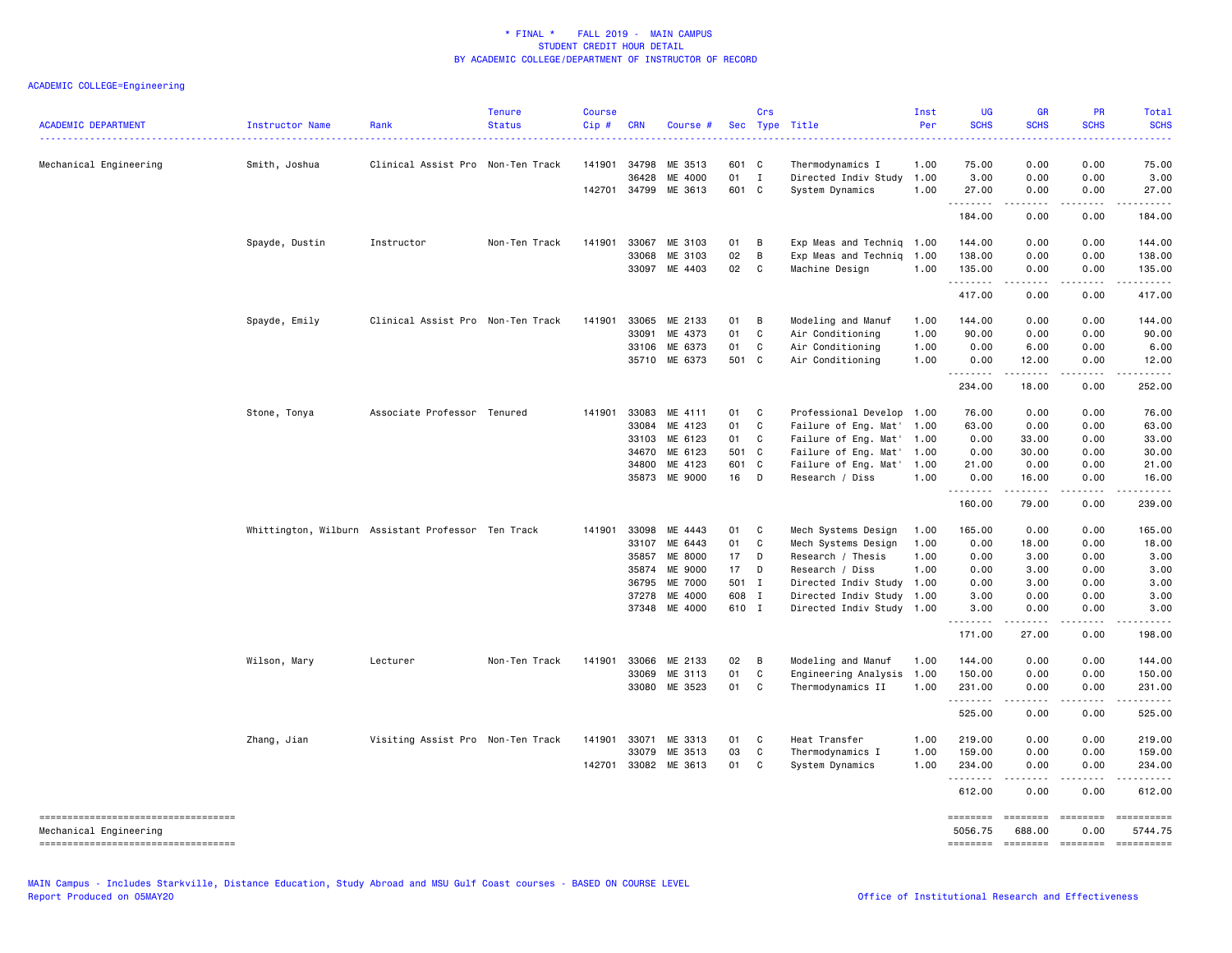| <b>ACADEMIC DEPARTMENT</b>                                       | Instructor Name                                    | Rank                              | <b>Tenure</b><br><b>Status</b> | <b>Course</b><br>Cip# | <b>CRN</b>     | Course #             |                | Crs            | Sec Type Title                                         | Inst<br>Per | <b>UG</b><br><b>SCHS</b> | <b>GR</b><br><b>SCHS</b>                                                                                   | <b>PR</b><br><b>SCHS</b> | Total<br><b>SCHS</b>  |
|------------------------------------------------------------------|----------------------------------------------------|-----------------------------------|--------------------------------|-----------------------|----------------|----------------------|----------------|----------------|--------------------------------------------------------|-------------|--------------------------|------------------------------------------------------------------------------------------------------------|--------------------------|-----------------------|
| Mechanical Engineering                                           | Smith, Joshua                                      | Clinical Assist Pro Non-Ten Track |                                |                       | 141901 34798   | ME 3513              | 601 C          |                | Thermodynamics I                                       | 1.00        | 75.00                    | 0.00                                                                                                       | 0.00                     | 75.00                 |
|                                                                  |                                                    |                                   |                                |                       | 36428          | ME 4000              | 01 I           |                | Directed Indiv Study                                   | 1.00        | 3.00                     | 0.00                                                                                                       | 0.00                     | 3.00                  |
|                                                                  |                                                    |                                   |                                |                       | 142701 34799   | ME 3613              | 601 C          |                | System Dynamics                                        | 1.00        | 27.00<br>.               | 0.00<br>-----                                                                                              | 0.00<br>.                | 27.00                 |
|                                                                  |                                                    |                                   |                                |                       |                |                      |                |                |                                                        |             | 184.00                   | 0.00                                                                                                       | 0.00                     | 184.00                |
|                                                                  | Spayde, Dustin                                     | Instructor                        | Non-Ten Track                  | 141901                | 33067          | ME 3103              | 01             | B              | Exp Meas and Techniq 1.00                              |             | 144.00                   | 0.00                                                                                                       | 0.00                     | 144.00                |
|                                                                  |                                                    |                                   |                                |                       | 33068          | ME 3103              | 02             | B              | Exp Meas and Techniq                                   | 1.00        | 138.00                   | 0.00                                                                                                       | 0.00                     | 138.00                |
|                                                                  |                                                    |                                   |                                |                       |                | 33097 ME 4403        | 02             | $\overline{c}$ | Machine Design                                         | 1.00        | 135.00<br>.              | 0.00<br>المتمام المتحدة                                                                                    | 0.00<br>.                | 135.00<br>.           |
|                                                                  |                                                    |                                   |                                |                       |                |                      |                |                |                                                        |             | 417.00                   | 0.00                                                                                                       | 0.00                     | 417.00                |
|                                                                  | Spayde, Emily                                      | Clinical Assist Pro Non-Ten Track |                                | 141901                | 33065          | ME 2133              | 01             | - в            | Modeling and Manuf                                     | 1.00        | 144.00                   | 0.00                                                                                                       | 0.00                     | 144.00                |
|                                                                  |                                                    |                                   |                                |                       | 33091          | ME 4373              | 01             | C              | Air Conditioning                                       | 1.00        | 90.00                    | 0.00                                                                                                       | 0.00                     | 90.00                 |
|                                                                  |                                                    |                                   |                                |                       | 33106          | ME 6373              | 01             | C              | Air Conditioning                                       | 1.00        | 0.00                     | 6.00                                                                                                       | 0.00                     | 6.00                  |
|                                                                  |                                                    |                                   |                                |                       | 35710          | ME 6373              | 501 C          |                | Air Conditioning                                       | 1.00        | 0.00<br>.                | 12.00                                                                                                      | 0.00                     | 12.00                 |
|                                                                  |                                                    |                                   |                                |                       |                |                      |                |                |                                                        |             | 234.00                   | 18.00                                                                                                      | 0.00                     | 252.00                |
|                                                                  | Stone, Tonya                                       | Associate Professor Tenured       |                                | 141901                | 33083          | ME 4111              | 01             | $\mathbf{C}$   | Professional Develop 1.00                              |             | 76.00                    | 0.00                                                                                                       | 0.00                     | 76.00                 |
|                                                                  |                                                    |                                   |                                |                       | 33084          | ME 4123              | 01             | C              | Failure of Eng. Mat'                                   | 1.00        | 63.00                    | 0.00                                                                                                       | 0.00                     | 63.00                 |
|                                                                  |                                                    |                                   |                                |                       | 33103          | ME 6123              | 01             | $\mathbf{C}$   | Failure of Eng. Mat'                                   | 1.00        | 0.00                     | 33.00                                                                                                      | 0.00                     | 33.00                 |
|                                                                  |                                                    |                                   |                                |                       | 34670          | ME 6123              | 501 C          |                | Failure of Eng. Mat'                                   | 1.00        | 0.00                     | 30.00                                                                                                      | 0.00                     | 30.00                 |
|                                                                  |                                                    |                                   |                                |                       | 34800          | ME 4123              | 601 C          |                | Failure of Eng. Mat'                                   | 1.00        | 21.00                    | 0.00                                                                                                       | 0.00                     | 21.00                 |
|                                                                  |                                                    |                                   |                                |                       | 35873          | ME 9000              | 16 D           |                | Research / Diss                                        | 1.00        | 0.00<br>.                | 16.00<br>$\begin{array}{cccccccccc} \bullet & \bullet & \bullet & \bullet & \bullet & \bullet \end{array}$ | 0.00<br>.                | 16.00<br>.            |
|                                                                  |                                                    |                                   |                                |                       |                |                      |                |                |                                                        |             | 160.00                   | 79.00                                                                                                      | 0.00                     | 239.00                |
|                                                                  | Whittington, Wilburn Assistant Professor Ten Track |                                   |                                | 141901                | 33098          | ME 4443              | 01             | $\mathbf{C}$   | Mech Systems Design                                    | 1.00        | 165.00                   | 0.00                                                                                                       | 0.00                     | 165.00                |
|                                                                  |                                                    |                                   |                                |                       | 33107          | ME 6443              | 01             | C              | Mech Systems Design                                    | 1.00        | 0.00                     | 18.00                                                                                                      | 0.00                     | 18.00                 |
|                                                                  |                                                    |                                   |                                |                       | 35857          | ME 8000              | 17 D           |                | Research / Thesis                                      | 1.00        | 0.00                     | 3.00                                                                                                       | 0.00                     | 3.00                  |
|                                                                  |                                                    |                                   |                                |                       | 35874          | <b>ME 9000</b>       | 17             | D              | Research / Diss                                        | 1.00        | 0.00                     | 3.00                                                                                                       | 0.00                     | 3.00                  |
|                                                                  |                                                    |                                   |                                |                       | 36795          | <b>ME 7000</b>       | 501 I          |                | Directed Indiv Study                                   | 1.00        | 0.00                     | 3.00                                                                                                       | 0.00                     | 3.00                  |
|                                                                  |                                                    |                                   |                                |                       | 37278<br>37348 | ME 4000<br>ME 4000   | 608 I<br>610 I |                | Directed Indiv Study 1.00<br>Directed Indiv Study 1.00 |             | 3.00<br>3.00             | 0.00<br>0.00                                                                                               | 0.00<br>0.00             | 3.00<br>3.00          |
|                                                                  |                                                    |                                   |                                |                       |                |                      |                |                |                                                        |             | .                        | .                                                                                                          | .                        | .                     |
|                                                                  |                                                    |                                   |                                |                       |                |                      |                |                |                                                        |             | 171.00                   | 27.00                                                                                                      | 0.00                     | 198.00                |
|                                                                  | Wilson, Mary                                       | Lecturer                          | Non-Ten Track                  | 141901                | 33066          | ME 2133              | 02             | B              | Modeling and Manuf                                     | 1.00        | 144.00                   | 0.00                                                                                                       | 0.00                     | 144.00                |
|                                                                  |                                                    |                                   |                                |                       | 33069          | ME 3113              | 01             | C              | Engineering Analysis                                   | 1.00        | 150.00                   | 0.00                                                                                                       | 0.00                     | 150.00                |
|                                                                  |                                                    |                                   |                                |                       |                | 33080 ME 3523        | 01             | C              | Thermodynamics II                                      | 1.00        | 231.00<br>.              | 0.00<br>.                                                                                                  | 0.00<br>.                | 231.00<br>.           |
|                                                                  |                                                    |                                   |                                |                       |                |                      |                |                |                                                        |             | 525.00                   | 0.00                                                                                                       | 0.00                     | 525.00                |
|                                                                  | Zhang, Jian                                        | Visiting Assist Pro Non-Ten Track |                                | 141901                | 33071          | ME 3313              | 01             | C              | Heat Transfer                                          | 1.00        | 219.00                   | 0.00                                                                                                       | 0.00                     | 219.00                |
|                                                                  |                                                    |                                   |                                |                       | 33079          | ME 3513              | 03             | C              | Thermodynamics I                                       | 1.00        | 159.00                   | 0.00                                                                                                       | 0.00                     | 159.00                |
|                                                                  |                                                    |                                   |                                |                       |                | 142701 33082 ME 3613 | 01 C           |                | System Dynamics                                        | 1.00        | 234.00<br>.              | 0.00<br>.                                                                                                  | 0.00<br>-----            | 234.00<br>.           |
|                                                                  |                                                    |                                   |                                |                       |                |                      |                |                |                                                        |             | 612.00                   | 0.00                                                                                                       | 0.00                     | 612.00                |
| ----------------------------------                               |                                                    |                                   |                                |                       |                |                      |                |                |                                                        |             | ========                 | ========                                                                                                   | ========                 | ==========            |
| Mechanical Engineering<br>====================================== |                                                    |                                   |                                |                       |                |                      |                |                |                                                        |             | 5056.75<br>========      | 688.00<br>--------- --------                                                                               | 0.00                     | 5744.75<br>========== |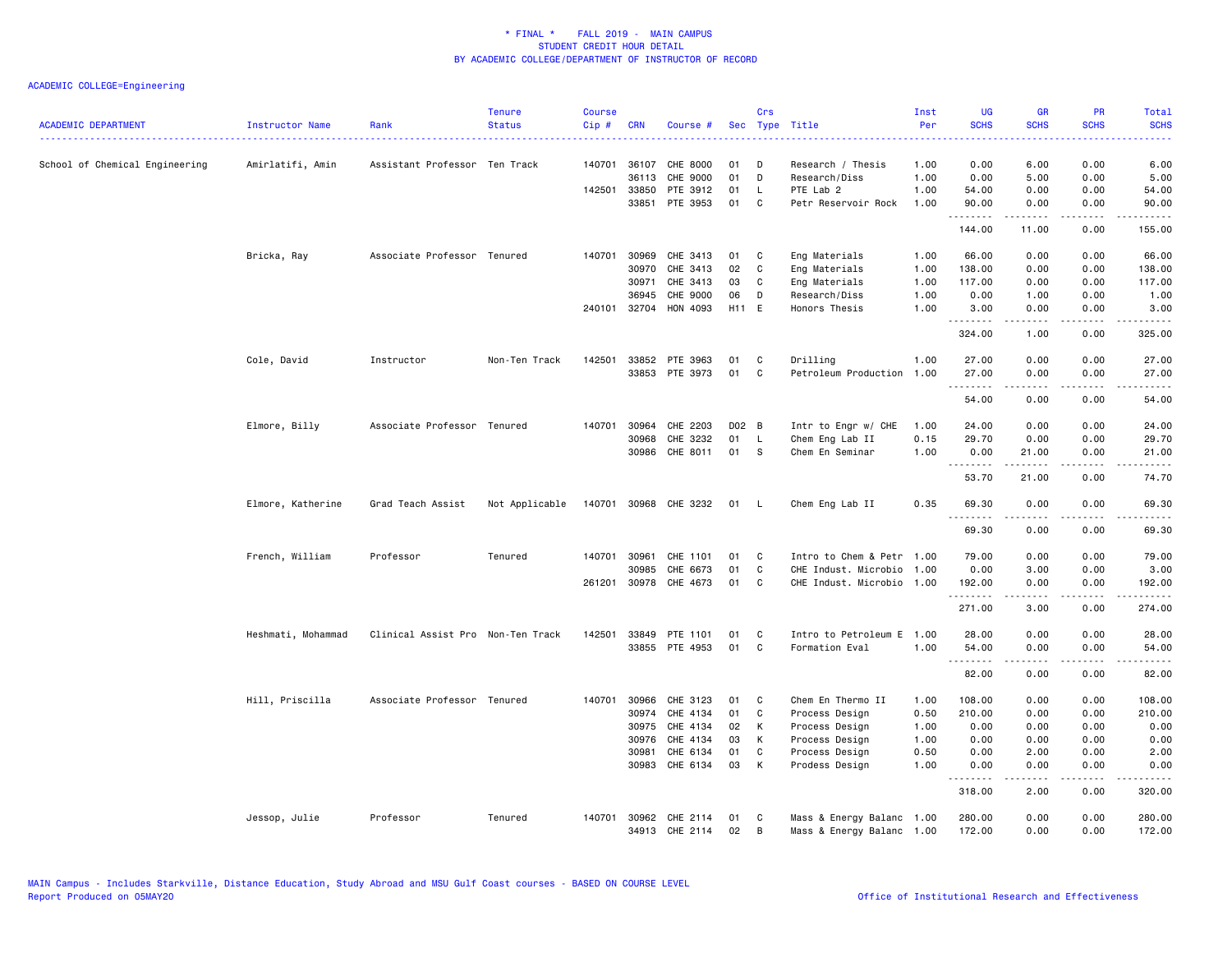| <b>ACADEMIC DEPARTMENT</b><br>------------------------------------ | Instructor Name<br>. <u>.</u> . | Rank                              | <b>Tenure</b><br><b>Status</b> | <b>Course</b><br>Cip# | <b>CRN</b>   | Course #              |          | Crs | Sec Type Title            | Inst<br>Per | <b>UG</b><br><b>SCHS</b> | <b>GR</b><br><b>SCHS</b> | <b>PR</b><br><b>SCHS</b> | Total<br><b>SCHS</b>                                                                                                                                         |
|--------------------------------------------------------------------|---------------------------------|-----------------------------------|--------------------------------|-----------------------|--------------|-----------------------|----------|-----|---------------------------|-------------|--------------------------|--------------------------|--------------------------|--------------------------------------------------------------------------------------------------------------------------------------------------------------|
| School of Chemical Engineering                                     | Amirlatifi, Amin                | Assistant Professor Ten Track     |                                |                       | 140701 36107 | CHE 8000              | 01       | D   | Research / Thesis         | 1.00        | 0.00                     | 6.00                     | 0.00                     | 6.00                                                                                                                                                         |
|                                                                    |                                 |                                   |                                |                       | 36113        | CHE 9000              | 01       | D   | Research/Diss             | 1.00        | 0.00                     | 5.00                     | 0.00                     | 5.00                                                                                                                                                         |
|                                                                    |                                 |                                   |                                |                       | 142501 33850 | PTE 3912              | 01       | L.  | PTE Lab 2                 | 1.00        | 54.00                    | 0.00                     | 0.00                     | 54.00                                                                                                                                                        |
|                                                                    |                                 |                                   |                                |                       | 33851        | PTE 3953              | 01       | C   | Petr Reservoir Rock       | 1.00        | 90.00<br>.               | 0.00<br>------           | 0.00<br>.                | 90.00<br>.                                                                                                                                                   |
|                                                                    |                                 |                                   |                                |                       |              |                       |          |     |                           |             | 144.00                   | 11.00                    | 0.00                     | 155.00                                                                                                                                                       |
|                                                                    | Bricka, Ray                     | Associate Professor Tenured       |                                |                       | 140701 30969 | CHE 3413              | 01       | C   | Eng Materials             | 1.00        | 66.00                    | 0.00                     | 0.00                     | 66.00                                                                                                                                                        |
|                                                                    |                                 |                                   |                                |                       | 30970        | CHE 3413              | 02       | C   | Eng Materials             | 1.00        | 138.00                   | 0.00                     | 0.00                     | 138.00                                                                                                                                                       |
|                                                                    |                                 |                                   |                                |                       | 30971        | CHE 3413              | 03       | C   | Eng Materials             | 1.00        | 117.00                   | 0.00                     | 0.00                     | 117.00                                                                                                                                                       |
|                                                                    |                                 |                                   |                                |                       | 36945        | CHE 9000              | 06       | D   | Research/Diss             | 1.00        | 0.00                     | 1.00                     | 0.00                     | 1.00                                                                                                                                                         |
|                                                                    |                                 |                                   |                                |                       |              | 240101 32704 HON 4093 | H11 E    |     | Honors Thesis             | 1.00        | 3.00<br>.                | 0.00<br>.                | 0.00<br>د د د د          | 3.00<br>$\frac{1}{2} \left( \frac{1}{2} \right) \left( \frac{1}{2} \right) \left( \frac{1}{2} \right) \left( \frac{1}{2} \right) \left( \frac{1}{2} \right)$ |
|                                                                    |                                 |                                   |                                |                       |              |                       |          |     |                           |             | 324.00                   | 1.00                     | 0.00                     | 325.00                                                                                                                                                       |
|                                                                    | Cole, David                     | Instructor                        | Non-Ten Track                  |                       | 142501 33852 | PTE 3963              | 01       | C   | Drilling                  | 1.00        | 27.00                    | 0.00                     | 0.00                     | 27.00                                                                                                                                                        |
|                                                                    |                                 |                                   |                                |                       |              | 33853 PTE 3973        | 01       | C   | Petroleum Production 1.00 |             | 27.00                    | 0.00                     | 0.00                     | 27.00                                                                                                                                                        |
|                                                                    |                                 |                                   |                                |                       |              |                       |          |     |                           |             | .                        | .                        | .                        | .                                                                                                                                                            |
|                                                                    |                                 |                                   |                                |                       |              |                       |          |     |                           |             | 54.00                    | 0.00                     | 0.00                     | 54.00                                                                                                                                                        |
|                                                                    | Elmore, Billy                   | Associate Professor Tenured       |                                | 140701                | 30964        | CHE 2203              | D02 B    |     | Intr to Engr w/ CHE       | 1.00        | 24.00                    | 0.00                     | 0.00                     | 24.00                                                                                                                                                        |
|                                                                    |                                 |                                   |                                |                       | 30968        | CHE 3232              | 01       | L   | Chem Eng Lab II           | 0.15        | 29.70                    | 0.00                     | 0.00                     | 29.70                                                                                                                                                        |
|                                                                    |                                 |                                   |                                |                       | 30986        | CHE 8011              | 01       | -S  | Chem En Seminar           | 1.00        | 0.00                     | 21.00                    | 0.00                     | 21.00                                                                                                                                                        |
|                                                                    |                                 |                                   |                                |                       |              |                       |          |     |                           |             | .<br>53.70               | المتمالين<br>21.00       | .<br>0.00                | .<br>74.70                                                                                                                                                   |
|                                                                    | Elmore, Katherine               | Grad Teach Assist                 | Not Applicable                 |                       |              | 140701 30968 CHE 3232 | 01 L     |     | Chem Eng Lab II           | 0.35        | 69.30                    | 0.00                     | 0.00                     | 69.30                                                                                                                                                        |
|                                                                    |                                 |                                   |                                |                       |              |                       |          |     |                           |             | .<br>69.30               | .<br>0.00                | 0.00                     | 69.30                                                                                                                                                        |
|                                                                    |                                 |                                   |                                |                       |              |                       |          |     |                           |             |                          |                          |                          |                                                                                                                                                              |
|                                                                    | French, William                 | Professor                         | Tenured                        |                       | 140701 30961 | CHE 1101              | 01       | C   | Intro to Chem & Petr      | 1.00        | 79.00                    | 0.00                     | 0.00                     | 79.00                                                                                                                                                        |
|                                                                    |                                 |                                   |                                |                       | 30985        | CHE 6673              | 01<br>01 | C   | CHE Indust. Microbio      | 1.00        | 0.00                     | 3.00                     | 0.00                     | 3.00                                                                                                                                                         |
|                                                                    |                                 |                                   |                                |                       | 261201 30978 | CHE 4673              |          | C   | CHE Indust. Microbio      | 1.00        | 192.00                   | 0.00                     | 0.00<br>د د د د          | 192.00                                                                                                                                                       |
|                                                                    |                                 |                                   |                                |                       |              |                       |          |     |                           |             | 271.00                   | 3.00                     | 0.00                     | 274.00                                                                                                                                                       |
|                                                                    | Heshmati, Mohammad              | Clinical Assist Pro Non-Ten Track |                                |                       | 142501 33849 | PTE 1101              | 01       | C   | Intro to Petroleum E      | 1.00        | 28.00                    | 0.00                     | 0.00                     | 28.00                                                                                                                                                        |
|                                                                    |                                 |                                   |                                |                       |              | 33855 PTE 4953        | 01       | C   | Formation Eval            | 1.00        | 54.00                    | 0.00                     | 0.00                     | 54.00                                                                                                                                                        |
|                                                                    |                                 |                                   |                                |                       |              |                       |          |     |                           |             | .<br>82.00               | .<br>0.00                | د د د د<br>0.00          | .<br>82.00                                                                                                                                                   |
|                                                                    | Hill, Priscilla                 | Associate Professor Tenured       |                                | 140701                | 30966        | CHE 3123              | 01       | C   | Chem En Thermo II         | 1.00        | 108.00                   | 0.00                     | 0.00                     | 108.00                                                                                                                                                       |
|                                                                    |                                 |                                   |                                |                       | 30974        | CHE 4134              | 01       | C   | Process Design            | 0.50        | 210.00                   | 0.00                     | 0.00                     | 210.00                                                                                                                                                       |
|                                                                    |                                 |                                   |                                |                       | 30975        | CHE 4134              | 02       | К   | Process Design            | 1.00        | 0.00                     | 0.00                     | 0.00                     | 0.00                                                                                                                                                         |
|                                                                    |                                 |                                   |                                |                       | 30976        | CHE 4134              | 03       | К   | Process Design            | 1.00        | 0.00                     | 0.00                     | 0.00                     | 0.00                                                                                                                                                         |
|                                                                    |                                 |                                   |                                |                       | 30981        | CHE 6134              | 01       | C   | Process Design            | 0.50        | 0.00                     | 2.00                     | 0.00                     | 2.00                                                                                                                                                         |
|                                                                    |                                 |                                   |                                |                       | 30983        | CHE 6134              | 03       | К   | Prodess Design            | 1.00        | 0.00<br>.                | 0.00<br>.                | 0.00<br>.                | 0.00<br>$- - - - -$                                                                                                                                          |
|                                                                    |                                 |                                   |                                |                       |              |                       |          |     |                           |             | 318.00                   | 2.00                     | 0.00                     | 320.00                                                                                                                                                       |
|                                                                    | Jessop, Julie                   | Professor                         | Tenured                        | 140701                |              | 30962 CHE 2114        | 01       | C   | Mass & Energy Balanc 1.00 |             | 280.00                   | 0.00                     | 0.00                     | 280.00                                                                                                                                                       |
|                                                                    |                                 |                                   |                                |                       |              | 34913 CHE 2114        | 02       | B   | Mass & Energy Balanc 1.00 |             | 172.00                   | 0.00                     | 0.00                     | 172.00                                                                                                                                                       |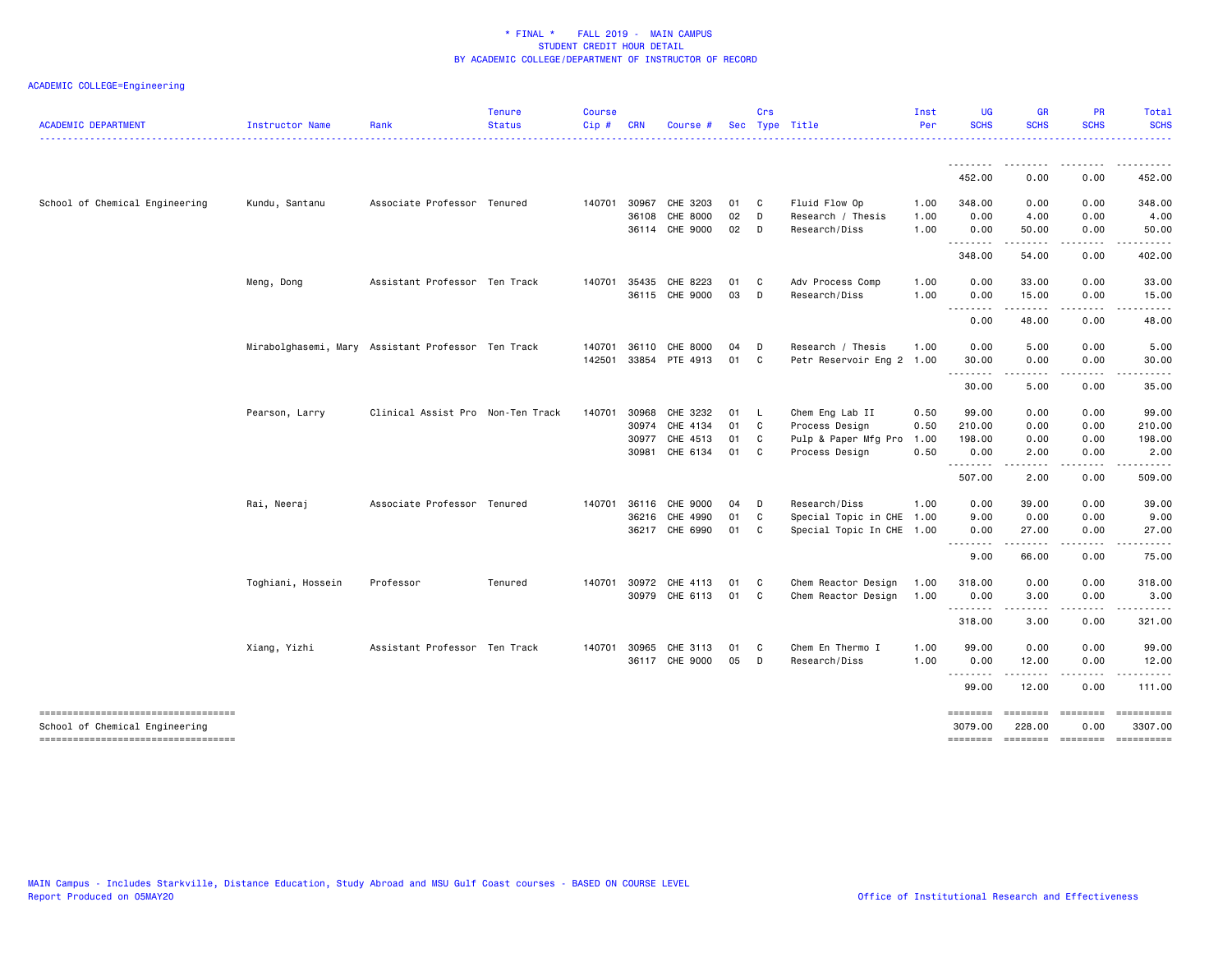| <b>ACADEMIC DEPARTMENT</b>            | Instructor Name   | Rank                                               | <b>Tenure</b><br><b>Status</b> | <b>Course</b><br>Cip# | <b>CRN</b>   | Course #                   |          | Crs          | Sec Type Title                     | Inst<br>Per  | <b>UG</b><br><b>SCHS</b> | <b>GR</b><br><b>SCHS</b> | <b>PR</b><br><b>SCHS</b> | Total<br><b>SCHS</b>               |
|---------------------------------------|-------------------|----------------------------------------------------|--------------------------------|-----------------------|--------------|----------------------------|----------|--------------|------------------------------------|--------------|--------------------------|--------------------------|--------------------------|------------------------------------|
|                                       |                   |                                                    |                                |                       |              |                            |          |              |                                    |              |                          |                          |                          |                                    |
|                                       |                   |                                                    |                                |                       |              |                            |          |              |                                    |              | 452.00                   | 0.00                     | 0.00                     | 452.00                             |
| School of Chemical Engineering        | Kundu, Santanu    | Associate Professor Tenured                        |                                |                       | 140701 30967 | CHE 3203                   | 01       | $\mathbf{C}$ | Fluid Flow Op                      | 1.00         | 348.00                   | 0.00                     | 0.00                     | 348.00                             |
|                                       |                   |                                                    |                                |                       | 36108        | CHE 8000<br>36114 CHE 9000 | 02<br>02 | D<br>D       | Research / Thesis<br>Research/Diss | 1.00<br>1.00 | 0.00<br>0.00             | 4.00<br>50.00            | 0.00<br>0.00             | 4.00<br>50.00                      |
|                                       |                   |                                                    |                                |                       |              |                            |          |              |                                    |              | .                        | .                        | .                        | .                                  |
|                                       |                   |                                                    |                                |                       |              |                            |          |              |                                    |              | 348.00                   | 54.00                    | 0.00                     | 402.00                             |
|                                       | Meng, Dong        | Assistant Professor Ten Track                      |                                |                       | 140701 35435 | CHE 8223                   | 01       | C.           | Adv Process Comp                   | 1.00         | 0.00                     | 33.00                    | 0.00                     | 33.00                              |
|                                       |                   |                                                    |                                |                       |              | 36115 CHE 9000             | 03       | D            | Research/Diss                      | 1.00         | 0.00                     | 15.00                    | 0.00                     | 15.00                              |
|                                       |                   |                                                    |                                |                       |              |                            |          |              |                                    |              | .<br>0.00                | .<br>48.00               | .<br>0.00                | .<br>48.00                         |
|                                       |                   | Mirabolghasemi, Mary Assistant Professor Ten Track |                                | 140701                | 36110        | CHE 8000                   | 04       | D            | Research / Thesis                  | 1.00         | 0.00                     | 5.00                     | 0.00                     | 5.00                               |
|                                       |                   |                                                    |                                | 142501                | 33854        | PTE 4913                   | 01       | $\mathbf{C}$ | Petr Reservoir Eng 2 1.00          |              | 30.00                    | 0.00                     | 0.00                     | 30.00                              |
|                                       |                   |                                                    |                                |                       |              |                            |          |              |                                    |              | .<br>30.00               | .<br>5.00                | $\frac{1}{2}$<br>0.00    | $\cdots$<br>35.00                  |
|                                       | Pearson, Larry    | Clinical Assist Pro Non-Ten Track                  |                                |                       | 140701 30968 | CHE 3232                   | 01       | - L          | Chem Eng Lab II                    | 0.50         | 99.00                    | 0.00                     | 0.00                     | 99.00                              |
|                                       |                   |                                                    |                                |                       | 30974        | CHE 4134                   | 01       | $\mathbf{C}$ | Process Design                     | 0.50         | 210.00                   | 0.00                     | 0.00                     | 210.00                             |
|                                       |                   |                                                    |                                |                       | 30977        | CHE 4513                   | 01       | C.           | Pulp & Paper Mfg Pro               | 1.00         | 198.00                   | 0.00                     | 0.00                     | 198.00                             |
|                                       |                   |                                                    |                                |                       | 30981        | CHE 6134                   | 01       | C            | Process Design                     | 0.50         | 0.00<br>.                | 2.00                     | 0.00                     | 2.00                               |
|                                       |                   |                                                    |                                |                       |              |                            |          |              |                                    |              | 507.00                   | 2.00                     | 0.00                     | 509.00                             |
|                                       | Rai, Neeraj       | Associate Professor Tenured                        |                                |                       | 140701 36116 | CHE 9000                   | 04       | D            | Research/Diss                      | 1.00         | 0.00                     | 39.00                    | 0.00                     | 39.00                              |
|                                       |                   |                                                    |                                |                       | 36216        | CHE 4990                   | 01       | C            | Special Topic in CHE 1.00          |              | 9.00                     | 0.00                     | 0.00                     | 9.00                               |
|                                       |                   |                                                    |                                |                       |              | 36217 CHE 6990             | 01       | C            | Special Topic In CHE 1.00          |              | 0.00<br><u>.</u>         | 27.00                    | 0.00                     | 27.00                              |
|                                       |                   |                                                    |                                |                       |              |                            |          |              |                                    |              | 9.00                     | 66.00                    | 0.00                     | 75.00                              |
|                                       | Toghiani, Hossein | Professor                                          | Tenured                        |                       | 140701 30972 | CHE 4113                   | 01       | $\mathbf{C}$ | Chem Reactor Design                | 1.00         | 318.00                   | 0.00                     | 0.00                     | 318.00                             |
|                                       |                   |                                                    |                                |                       |              | 30979 CHE 6113             | 01       | $\mathbf{C}$ | Chem Reactor Design                | 1.00         | 0.00                     | 3.00                     | 0.00                     | 3.00                               |
|                                       |                   |                                                    |                                |                       |              |                            |          |              |                                    |              | <u>.</u><br>318.00       | .<br>3.00                | .<br>0.00                | .<br>321.00                        |
|                                       | Xiang, Yizhi      | Assistant Professor Ten Track                      |                                |                       | 140701 30965 | CHE 3113                   | 01       | C            | Chem En Thermo I                   | 1.00         | 99.00                    | 0.00                     | 0.00                     | 99.00                              |
|                                       |                   |                                                    |                                |                       |              | 36117 CHE 9000             | 05       | D            | Research/Diss                      | 1.00         | 0.00                     | 12.00                    | 0.00                     | 12.00                              |
|                                       |                   |                                                    |                                |                       |              |                            |          |              |                                    |              | .<br>99.00               | .<br>12.00               | $- - - - -$<br>0.00      | .<br>111.00                        |
| -----------------------------------   |                   |                                                    |                                |                       |              |                            |          |              |                                    |              | ========                 | ========                 | <b>EBBBBBBB</b>          |                                    |
| School of Chemical Engineering        |                   |                                                    |                                |                       |              |                            |          |              |                                    |              | 3079.00                  | 228.00                   | 0.00                     | 3307.00                            |
| ------------------------------------- |                   |                                                    |                                |                       |              |                            |          |              |                                    |              |                          |                          |                          | -------- ------- ------- --------- |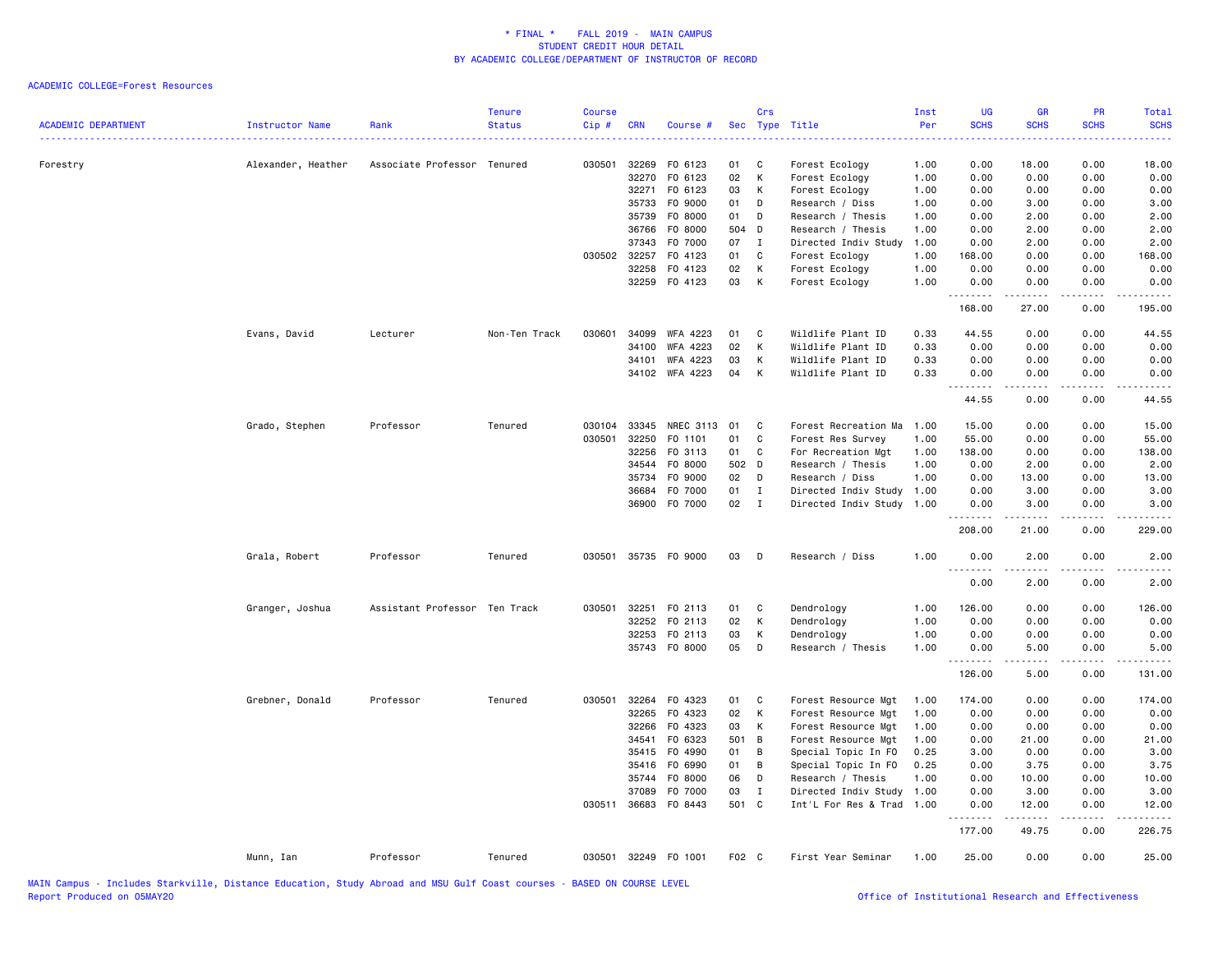| <b>ACADEMIC DEPARTMENT</b> | Instructor Name    | Rank                          | <b>Tenure</b><br><b>Status</b> | <b>Course</b><br>Cip # | CRN          | Course #             |       | Crs          | Sec Type Title       | Inst<br>Per | <b>UG</b><br><b>SCHS</b><br>----  | <b>GR</b><br><b>SCHS</b>                                                                                                                                     | PR<br><b>SCHS</b> | Total<br><b>SCHS</b> |
|----------------------------|--------------------|-------------------------------|--------------------------------|------------------------|--------------|----------------------|-------|--------------|----------------------|-------------|-----------------------------------|--------------------------------------------------------------------------------------------------------------------------------------------------------------|-------------------|----------------------|
| Forestry                   | Alexander, Heather | Associate Professor Tenured   |                                | 030501                 | 32269        | F0 6123              | 01    | C            | Forest Ecology       | 1.00        | 0.00                              | 18.00                                                                                                                                                        | 0.00              | 18.00                |
|                            |                    |                               |                                |                        | 32270        | F0 6123              | 02    | К            | Forest Ecology       | 1.00        | 0.00                              | 0.00                                                                                                                                                         | 0.00              | 0.00                 |
|                            |                    |                               |                                |                        | 32271        | F0 6123              | 03    | K            | Forest Ecology       | 1.00        | 0.00                              | 0.00                                                                                                                                                         | 0.00              | 0.00                 |
|                            |                    |                               |                                |                        | 35733        | F0 9000              | 01    | D            | Research / Diss      | 1.00        | 0.00                              | 3.00                                                                                                                                                         | 0.00              | 3.00                 |
|                            |                    |                               |                                |                        | 35739        | F0 8000              | 01    | D            | Research / Thesis    | 1.00        | 0.00                              | 2.00                                                                                                                                                         | 0.00              | 2.00                 |
|                            |                    |                               |                                |                        | 36766        | F0 8000              | 504 D |              | Research / Thesis    | 1.00        | 0.00                              | 2.00                                                                                                                                                         | 0.00              | 2.00                 |
|                            |                    |                               |                                |                        | 37343        | F0 7000              | 07    | $\mathbf I$  | Directed Indiv Study | 1.00        | 0.00                              | 2.00                                                                                                                                                         | 0.00              | 2.00                 |
|                            |                    |                               |                                |                        | 030502 32257 | F0 4123              | 01    | C            | Forest Ecology       | 1.00        | 168.00                            | 0.00                                                                                                                                                         | 0.00              | 168.00               |
|                            |                    |                               |                                |                        | 32258        | F0 4123              | 02    | К            | Forest Ecology       | 1.00        | 0.00                              | 0.00                                                                                                                                                         | 0.00              | 0.00                 |
|                            |                    |                               |                                |                        |              | 32259 F0 4123        | 03    | К            | Forest Ecology       | 1.00        | 0.00<br>.                         | 0.00<br>$\frac{1}{2} \left( \frac{1}{2} \right) \left( \frac{1}{2} \right) \left( \frac{1}{2} \right) \left( \frac{1}{2} \right) \left( \frac{1}{2} \right)$ | 0.00<br>.         | 0.00<br>.            |
|                            |                    |                               |                                |                        |              |                      |       |              |                      |             | 168.00                            | 27.00                                                                                                                                                        | 0.00              | 195.00               |
|                            | Evans, David       | Lecturer                      | Non-Ten Track                  | 030601                 | 34099        | <b>WFA 4223</b>      | 01    | C            | Wildlife Plant ID    | 0.33        | 44.55                             | 0.00                                                                                                                                                         | 0.00              | 44.55                |
|                            |                    |                               |                                |                        | 34100        | <b>WFA 4223</b>      | 02    | К            | Wildlife Plant ID    | 0.33        | 0.00                              | 0.00                                                                                                                                                         | 0.00              | 0.00                 |
|                            |                    |                               |                                |                        | 34101        | WFA 4223             | 03    | К            | Wildlife Plant ID    | 0.33        | 0.00                              | 0.00                                                                                                                                                         | 0.00              | 0.00                 |
|                            |                    |                               |                                |                        |              | 34102 WFA 4223       | 04    | К            | Wildlife Plant ID    | 0.33        | 0.00<br>1.1.1.1.1.1.1             | 0.00<br>.                                                                                                                                                    | 0.00<br>.         | 0.00<br>.            |
|                            |                    |                               |                                |                        |              |                      |       |              |                      |             | 44.55                             | 0.00                                                                                                                                                         | 0.00              | 44.55                |
|                            | Grado, Stephen     | Professor                     | Tenured                        | 030104                 | 33345        | NREC 3113 01         |       | C            | Forest Recreation Ma | 1.00        | 15.00                             | 0.00                                                                                                                                                         | 0.00              | 15.00                |
|                            |                    |                               |                                | 030501                 | 32250        | F0 1101              | 01    | C            | Forest Res Survey    | 1.00        | 55.00                             | 0.00                                                                                                                                                         | 0.00              | 55.00                |
|                            |                    |                               |                                |                        | 32256        | F0 3113              | 01    | C            | For Recreation Mgt   | 1.00        | 138.00                            | 0.00                                                                                                                                                         | 0.00              | 138.00               |
|                            |                    |                               |                                |                        | 34544        | F0 8000              | 502 D |              | Research / Thesis    | 1.00        | 0.00                              | 2.00                                                                                                                                                         | 0.00              | 2.00                 |
|                            |                    |                               |                                |                        | 35734        | F0 9000              | 02    | D            | Research / Diss      | 1.00        | 0.00                              | 13.00                                                                                                                                                        | 0.00              | 13.00                |
|                            |                    |                               |                                |                        | 36684        | F0 7000              | 01    | $\mathbf{I}$ | Directed Indiv Study | 1.00        | 0.00                              | 3.00                                                                                                                                                         | 0.00              | 3.00                 |
|                            |                    |                               |                                |                        |              | 36900 F0 7000        | 02    | $\mathbf{I}$ | Directed Indiv Study | 1.00        | 0.00                              | 3.00                                                                                                                                                         | 0.00              | 3.00                 |
|                            |                    |                               |                                |                        |              |                      |       |              |                      |             | .<br>208.00                       | .<br>21.00                                                                                                                                                   | .<br>0.00         | .<br>229.00          |
|                            | Grala, Robert      | Professor                     | Tenured                        |                        |              | 030501 35735 FO 9000 | 03    | D            | Research / Diss      | 1.00        | 0.00                              | 2.00                                                                                                                                                         | 0.00              | 2.00                 |
|                            |                    |                               |                                |                        |              |                      |       |              |                      |             | $\sim$ $\sim$ $\sim$<br>.<br>0.00 | 2.00                                                                                                                                                         | 0.00              | 2.00                 |
|                            | Granger, Joshua    | Assistant Professor Ten Track |                                | 030501                 | 32251        | F0 2113              | 01    | C            | Dendrology           | 1.00        | 126.00                            | 0.00                                                                                                                                                         | 0.00              | 126.00               |
|                            |                    |                               |                                |                        | 32252        | F0 2113              | 02    | К            | Dendrology           | 1.00        | 0.00                              | 0.00                                                                                                                                                         | 0.00              | 0.00                 |
|                            |                    |                               |                                |                        | 32253        | FO 2113              | 03    | К            | Dendrology           | 1.00        | 0.00                              | 0.00                                                                                                                                                         | 0.00              | 0.00                 |
|                            |                    |                               |                                |                        |              | 35743 F0 8000        | 05    | D            | Research / Thesis    | 1.00        | 0.00                              | 5.00                                                                                                                                                         | 0.00              | 5.00                 |
|                            |                    |                               |                                |                        |              |                      |       |              |                      |             | <u>.</u><br>126.00                | .<br>5.00                                                                                                                                                    | .<br>0.00         | .<br>131.00          |
|                            | Grebner, Donald    | Professor                     | Tenured                        | 030501                 | 32264        | F0 4323              | 01    | C            | Forest Resource Mgt  | 1.00        | 174.00                            | 0.00                                                                                                                                                         | 0.00              | 174.00               |
|                            |                    |                               |                                |                        | 32265        | F0 4323              | 02    | K            | Forest Resource Mgt  | 1.00        | 0.00                              | 0.00                                                                                                                                                         | 0.00              | 0.00                 |
|                            |                    |                               |                                |                        | 32266        | F0 4323              | 03    | К            | Forest Resource Mgt  | 1.00        | 0.00                              | 0.00                                                                                                                                                         | 0.00              | 0.00                 |
|                            |                    |                               |                                |                        | 34541        | F0 6323              | 501 B |              | Forest Resource Mgt  | 1.00        | 0.00                              | 21.00                                                                                                                                                        | 0.00              | 21.00                |
|                            |                    |                               |                                |                        | 35415        | F0 4990              | 01    | В            | Special Topic In FO  | 0.25        | 3.00                              | 0.00                                                                                                                                                         | 0.00              | 3.00                 |
|                            |                    |                               |                                |                        | 35416        | F0 6990              | 01    | В            | Special Topic In FO  | 0.25        | 0.00                              | 3.75                                                                                                                                                         | 0.00              | 3.75                 |
|                            |                    |                               |                                |                        | 35744        | F0 8000              | 06    | D            | Research / Thesis    | 1.00        | 0.00                              | 10.00                                                                                                                                                        | 0.00              | 10.00                |
|                            |                    |                               |                                |                        | 37089        | F0 7000              | 03    | I            | Directed Indiv Study | 1.00        | 0.00                              | 3.00                                                                                                                                                         | 0.00              | 3.00                 |
|                            |                    |                               |                                |                        |              | 030511 36683 FO 8443 | 501 C |              | Int'L For Res & Trad | 1.00        | 0.00<br><u>.</u>                  | 12.00<br>.                                                                                                                                                   | 0.00<br>.         | 12.00<br>. <b>.</b>  |
|                            |                    |                               |                                |                        |              |                      |       |              |                      |             | 177.00                            | 49.75                                                                                                                                                        | 0.00              | 226.75               |
|                            | Munn, Ian          | Professor                     | Tenured                        |                        |              | 030501 32249 F0 1001 | F02 C |              | First Year Seminar   | 1.00        | 25.00                             | 0.00                                                                                                                                                         | 0.00              | 25.00                |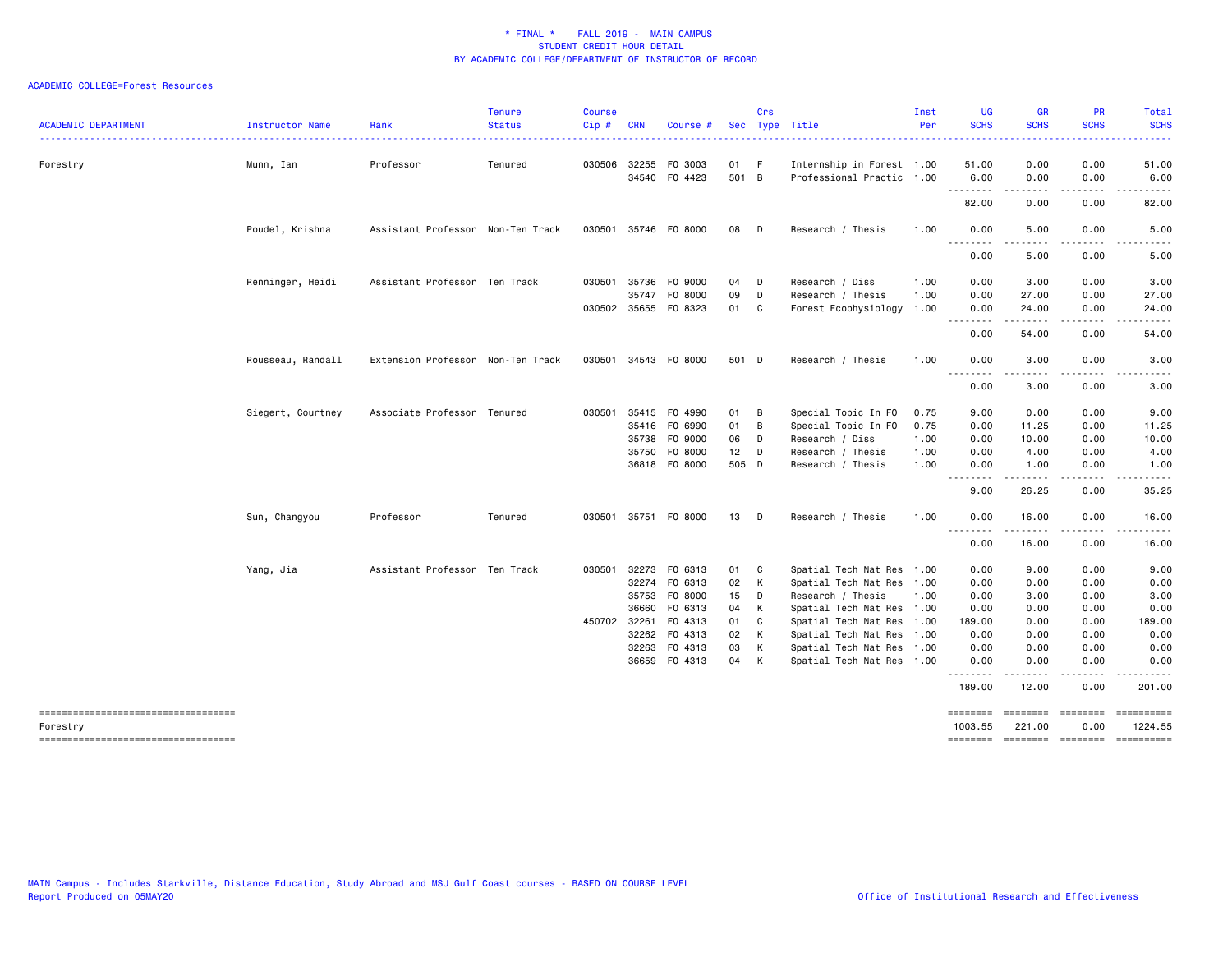|                                      |                   |                                   | <b>Tenure</b> | <b>Course</b> |              |                      |        | Crs          |                           | Inst | <b>UG</b>               | <b>GR</b>                      | <b>PR</b>    | Total                                                                                                                                                         |
|--------------------------------------|-------------------|-----------------------------------|---------------|---------------|--------------|----------------------|--------|--------------|---------------------------|------|-------------------------|--------------------------------|--------------|---------------------------------------------------------------------------------------------------------------------------------------------------------------|
| <b>ACADEMIC DEPARTMENT</b>           | Instructor Name   | Rank                              | <b>Status</b> | Cip#          | <b>CRN</b>   | Course               |        |              | Sec Type Title            | Per  | <b>SCHS</b>             | <b>SCHS</b>                    | <b>SCHS</b>  | <b>SCHS</b><br>.                                                                                                                                              |
| Forestry                             | Munn, Ian         | Professor                         | Tenured       |               | 030506 32255 | F0 3003              | 01 F   |              | Internship in Forest 1.00 |      | 51.00                   | 0.00                           | 0.00         | 51.00                                                                                                                                                         |
|                                      |                   |                                   |               |               |              | 34540 FO 4423        | 501 B  |              | Professional Practic 1.00 |      | 6.00                    | 0.00                           | 0.00         | 6.00                                                                                                                                                          |
|                                      |                   |                                   |               |               |              |                      |        |              |                           |      | <u>.</u>                |                                |              |                                                                                                                                                               |
|                                      |                   |                                   |               |               |              |                      |        |              |                           |      | 82.00                   | 0.00                           | 0.00         | 82.00                                                                                                                                                         |
|                                      | Poudel, Krishna   | Assistant Professor Non-Ten Track |               |               |              | 030501 35746 F0 8000 | 08     | $\Box$       | Research / Thesis         | 1.00 | 0.00<br>.               | 5.00<br>$\cdots \cdots \cdots$ | 0.00         | 5.00                                                                                                                                                          |
|                                      |                   |                                   |               |               |              |                      |        |              |                           |      | 0.00                    | 5.00                           | 0.00         | 5.00                                                                                                                                                          |
|                                      | Renninger, Heidi  | Assistant Professor Ten Track     |               |               | 030501 35736 | F0 9000              | 04 D   |              | Research / Diss           | 1.00 | 0.00                    | 3.00                           | 0.00         | 3.00                                                                                                                                                          |
|                                      |                   |                                   |               |               | 35747        | F0 8000              | 09     | D            | Research / Thesis         | 1.00 | 0.00                    | 27.00                          | 0.00         | 27.00                                                                                                                                                         |
|                                      |                   |                                   |               |               |              | 030502 35655 F0 8323 | 01 C   |              | Forest Ecophysiology      | 1.00 | 0.00<br>. <b>.</b>      | 24.00<br>$- - - - -$           | 0.00<br>.    | 24.00<br>$\frac{1}{2} \left( \frac{1}{2} \right) \left( \frac{1}{2} \right) \left( \frac{1}{2} \right) \left( \frac{1}{2} \right) \left( \frac{1}{2} \right)$ |
|                                      |                   |                                   |               |               |              |                      |        |              |                           |      | 0.00                    | 54.00                          | 0.00         | 54.00                                                                                                                                                         |
|                                      | Rousseau, Randall | Extension Professor Non-Ten Track |               |               |              | 030501 34543 F0 8000 | 501 D  |              | Research / Thesis         | 1.00 | 0.00                    | 3.00                           | 0.00         | 3.00                                                                                                                                                          |
|                                      |                   |                                   |               |               |              |                      |        |              |                           |      | $  -$<br>.<br>0.00      | 3.00                           | 0.00         | 3.00                                                                                                                                                          |
|                                      | Siegert, Courtney | Associate Professor Tenured       |               |               | 030501 35415 | F0 4990              | 01     | B            | Special Topic In FO       | 0.75 | 9.00                    | 0.00                           | 0.00         | 9.00                                                                                                                                                          |
|                                      |                   |                                   |               |               | 35416        | F0 6990              | 01 B   |              | Special Topic In FO       | 0.75 | 0.00                    | 11.25                          | 0.00         | 11.25                                                                                                                                                         |
|                                      |                   |                                   |               |               |              | 35738 FO 9000        | 06     | - D          | Research / Diss           | 1.00 | 0.00                    | 10.00                          | 0.00         | 10.00                                                                                                                                                         |
|                                      |                   |                                   |               |               | 35750        | F0 8000              | $12$ D |              | Research / Thesis         | 1.00 | 0.00                    | 4.00                           | 0.00         | 4.00                                                                                                                                                          |
|                                      |                   |                                   |               |               |              | 36818 FO 8000        | 505 D  |              | Research / Thesis         | 1.00 | 0.00<br>$- - -$<br>---- | 1.00<br>-----                  | 0.00<br>.    | 1.00<br>. <b>.</b> .                                                                                                                                          |
|                                      |                   |                                   |               |               |              |                      |        |              |                           |      | 9.00                    | 26.25                          | 0.00         | 35.25                                                                                                                                                         |
|                                      | Sun, Changyou     | Professor                         | Tenured       |               |              | 030501 35751 F0 8000 | 13 D   |              | Research / Thesis         | 1.00 | 0.00                    | 16.00                          | 0.00         | 16.00                                                                                                                                                         |
|                                      |                   |                                   |               |               |              |                      |        |              |                           |      | $- - -$<br>.<br>0.00    | .<br>16.00                     | .<br>0.00    | . <u>.</u><br>16.00                                                                                                                                           |
|                                      | Yang, Jia         | Assistant Professor Ten Track     |               | 030501        | 32273        | F0 6313              | 01     | $\mathbf{C}$ | Spatial Tech Nat Res 1.00 |      | 0.00                    | 9.00                           | 0.00         | 9.00                                                                                                                                                          |
|                                      |                   |                                   |               |               | 32274        | F0 6313              | 02     | K            | Spatial Tech Nat Res 1.00 |      | 0.00                    | 0.00                           | 0.00         | 0.00                                                                                                                                                          |
|                                      |                   |                                   |               |               | 35753        | F0 8000              | 15 D   |              | Research / Thesis         | 1.00 | 0.00                    | 3.00                           | 0.00         | 3.00                                                                                                                                                          |
|                                      |                   |                                   |               |               | 36660        | F0 6313              | 04     | K            | Spatial Tech Nat Res 1.00 |      | 0.00                    | 0.00                           | 0.00         | 0.00                                                                                                                                                          |
|                                      |                   |                                   |               | 450702 32261  |              | F0 4313              | 01     | C            | Spatial Tech Nat Res 1.00 |      | 189.00                  | 0.00                           | 0.00         | 189.00                                                                                                                                                        |
|                                      |                   |                                   |               |               | 32262        | F0 4313              | 02     | K            | Spatial Tech Nat Res 1.00 |      | 0.00                    | 0.00                           | 0.00         | 0.00                                                                                                                                                          |
|                                      |                   |                                   |               |               | 32263        | F0 4313              | 03     | K            | Spatial Tech Nat Res 1.00 |      | 0.00                    | 0.00                           | 0.00         | 0.00                                                                                                                                                          |
|                                      |                   |                                   |               |               |              | 36659 FO 4313        | 04     | $\mathsf{K}$ | Spatial Tech Nat Res 1.00 |      | 0.00<br>--------        | 0.00<br>.                      | 0.00<br>.    | 0.00                                                                                                                                                          |
|                                      |                   |                                   |               |               |              |                      |        |              |                           |      | 189.00                  | 12.00                          | 0.00         | 201.00                                                                                                                                                        |
| ==================================== |                   |                                   |               |               |              |                      |        |              |                           |      | ========                | <b>EEEEEEE</b>                 | $=$          |                                                                                                                                                               |
| Forestry                             |                   |                                   |               |               |              |                      |        |              |                           |      | 1003.55                 | 221.00                         | 0.00         | 1224.55                                                                                                                                                       |
| -----------------------------------  |                   |                                   |               |               |              |                      |        |              |                           |      | ========                | <b>EDEDEDED</b>                | $=$ ======== |                                                                                                                                                               |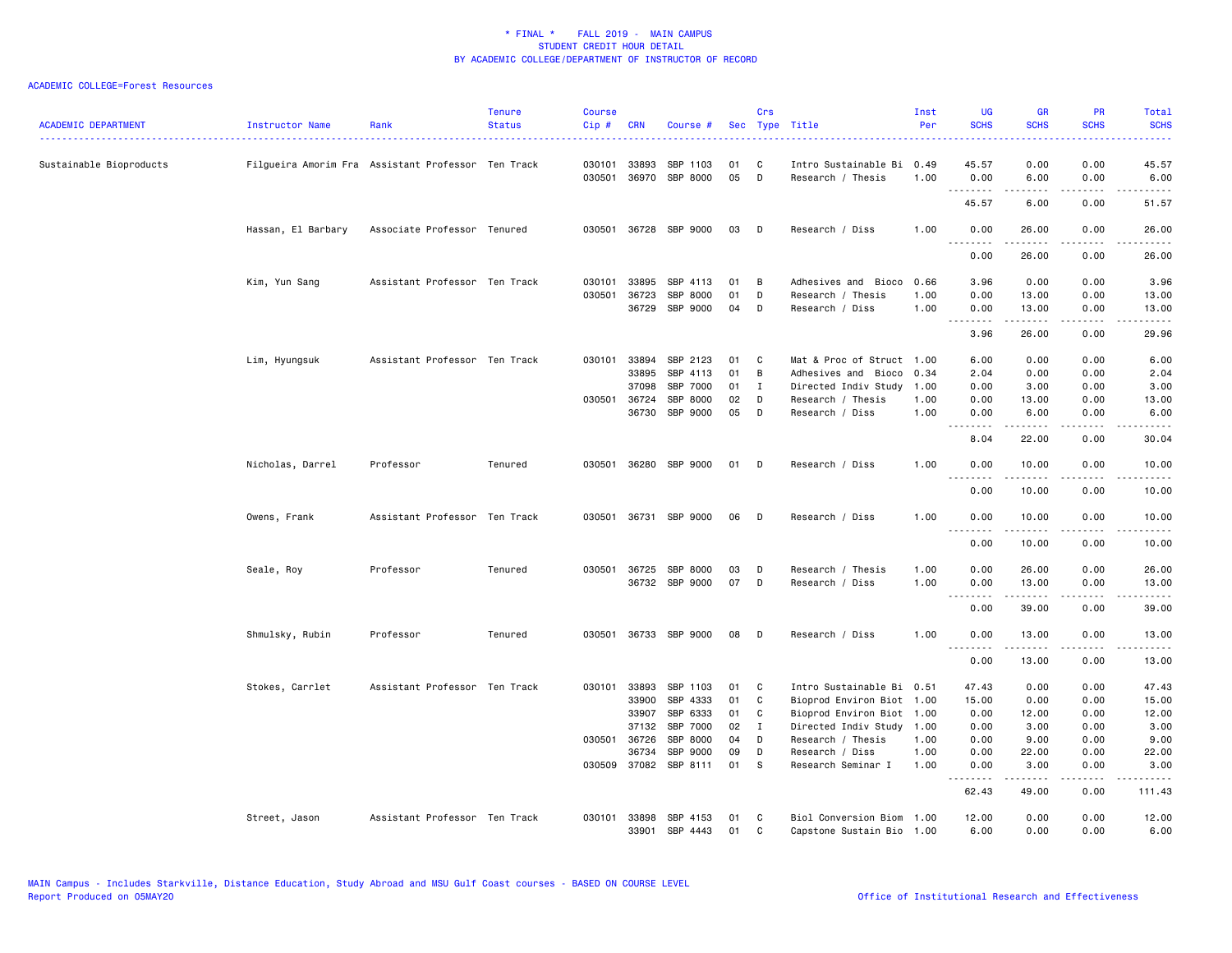| <b>ACADEMIC DEPARTMENT</b> | Instructor Name    | Rank                                               | <b>Tenure</b><br><b>Status</b> | <b>Course</b><br>Cip# | <b>CRN</b>     | Course #              |          | Crs          | Sec Type Title                            | Inst<br>Per  | <b>UG</b><br><b>SCHS</b> | <b>GR</b><br><b>SCHS</b>                                                                                                                                      | PR<br><b>SCHS</b> | <b>Total</b><br><b>SCHS</b> |
|----------------------------|--------------------|----------------------------------------------------|--------------------------------|-----------------------|----------------|-----------------------|----------|--------------|-------------------------------------------|--------------|--------------------------|---------------------------------------------------------------------------------------------------------------------------------------------------------------|-------------------|-----------------------------|
| Sustainable Bioproducts    |                    | Filgueira Amorim Fra Assistant Professor Ten Track |                                | 030101<br>030501      | 33893<br>36970 | SBP 1103<br>SBP 8000  | 01<br>05 | C<br>D       | Intro Sustainable Bi<br>Research / Thesis | 0.49<br>1.00 | 45.57<br>0.00            | 0.00<br>6.00                                                                                                                                                  | 0.00<br>0.00      | 45.57<br>6.00               |
|                            |                    |                                                    |                                |                       |                |                       |          |              |                                           |              | .<br>45.57               | .<br>6.00                                                                                                                                                     | .<br>0.00         | .<br>51.57                  |
|                            | Hassan, El Barbary | Associate Professor Tenured                        |                                |                       |                | 030501 36728 SBP 9000 | 03       | D            | Research / Diss                           | 1.00         | 0.00                     | 26.00                                                                                                                                                         | 0.00              | 26.00                       |
|                            |                    |                                                    |                                |                       |                |                       |          |              |                                           |              | .<br>0.00                | 26.00                                                                                                                                                         | 0.00              | 26.00                       |
|                            | Kim, Yun Sang      | Assistant Professor Ten Track                      |                                | 030101                | 33895          | SBP 4113              | 01       | В            | Adhesives and Bioco                       | 0.66         | 3.96                     | 0.00                                                                                                                                                          | 0.00              | 3.96                        |
|                            |                    |                                                    |                                | 030501                | 36723          | SBP 8000              | 01       | D            | Research / Thesis                         | 1.00         | 0.00                     | 13.00                                                                                                                                                         | 0.00              | 13.00                       |
|                            |                    |                                                    |                                |                       | 36729          | SBP 9000              | 04       | D            | Research / Diss                           | 1.00         | 0.00<br>.                | 13.00<br>$- - - - -$                                                                                                                                          | 0.00<br>.         | 13.00<br>.                  |
|                            |                    |                                                    |                                |                       |                |                       |          |              |                                           |              | 3.96                     | 26.00                                                                                                                                                         | 0.00              | 29.96                       |
|                            | Lim, Hyungsuk      | Assistant Professor Ten Track                      |                                | 030101                | 33894          | SBP 2123              | 01       | C            | Mat & Proc of Struct 1.00                 |              | 6.00                     | 0.00                                                                                                                                                          | 0.00              | 6.00                        |
|                            |                    |                                                    |                                |                       | 33895          | SBP 4113              | 01       | В            | Adhesives and Bioco                       | 0.34         | 2.04                     | 0.00                                                                                                                                                          | 0.00              | 2.04                        |
|                            |                    |                                                    |                                |                       | 37098          | SBP 7000              | 01       | $\mathbf{I}$ | Directed Indiv Study                      | 1.00         | 0.00                     | 3.00                                                                                                                                                          | 0.00              | 3.00                        |
|                            |                    |                                                    |                                | 030501                | 36724          | SBP 8000              | 02       | D            | Research / Thesis                         | 1.00         | 0.00                     | 13.00                                                                                                                                                         | 0.00              | 13.00                       |
|                            |                    |                                                    |                                |                       | 36730          | SBP 9000              | 05       | D            | Research / Diss                           | 1.00         | 0.00<br>.                | 6.00<br>$\omega$ is $\omega$ in $\omega$                                                                                                                      | 0.00<br>.         | 6.00<br>.                   |
|                            |                    |                                                    |                                |                       |                |                       |          |              |                                           |              | 8.04                     | 22.00                                                                                                                                                         | 0.00              | 30.04                       |
|                            | Nicholas, Darrel   | Professor                                          | Tenured                        |                       |                | 030501 36280 SBP 9000 | 01       | D            | Research / Diss                           | 1.00         | 0.00<br>$- - -$<br>.     | 10.00                                                                                                                                                         | 0.00<br>.         | 10.00<br>.                  |
|                            |                    |                                                    |                                |                       |                |                       |          |              |                                           |              | 0.00                     | 10.00                                                                                                                                                         | 0.00              | 10.00                       |
|                            | Owens, Frank       | Assistant Professor Ten Track                      |                                | 030501                |                | 36731 SBP 9000        | 06       | D            | Research / Diss                           | 1.00         | 0.00<br>$  -$            | 10.00                                                                                                                                                         | 0.00              | 10.00                       |
|                            |                    |                                                    |                                |                       |                |                       |          |              |                                           |              | 0.00                     | 10.00                                                                                                                                                         | 0.00              | 10.00                       |
|                            | Seale, Roy         | Professor                                          | Tenured                        |                       | 030501 36725   | SBP 8000              | 03       | D            | Research / Thesis                         | 1.00         | 0.00                     | 26.00                                                                                                                                                         | 0.00              | 26.00                       |
|                            |                    |                                                    |                                |                       |                | 36732 SBP 9000        | 07       | D            | Research / Diss                           | 1.00         | 0.00                     | 13.00                                                                                                                                                         | 0.00              | 13.00                       |
|                            |                    |                                                    |                                |                       |                |                       |          |              |                                           |              | .<br>0.00                | $\frac{1}{2} \left( \frac{1}{2} \right) \left( \frac{1}{2} \right) \left( \frac{1}{2} \right) \left( \frac{1}{2} \right) \left( \frac{1}{2} \right)$<br>39.00 | .<br>0.00         | .<br>39.00                  |
|                            | Shmulsky, Rubin    | Professor                                          | Tenured                        | 030501                |                | 36733 SBP 9000        | 08       | D            | Research / Diss                           | 1.00         | 0.00                     | 13.00<br>$\frac{1}{2} \left( \frac{1}{2} \right) \left( \frac{1}{2} \right) \left( \frac{1}{2} \right) \left( \frac{1}{2} \right) \left( \frac{1}{2} \right)$ | 0.00<br>.         | 13.00<br>.                  |
|                            |                    |                                                    |                                |                       |                |                       |          |              |                                           |              | 0.00                     | 13.00                                                                                                                                                         | 0.00              | 13.00                       |
|                            | Stokes, Carrlet    | Assistant Professor Ten Track                      |                                |                       | 030101 33893   | SBP 1103              | 01       | C            | Intro Sustainable Bi 0.51                 |              | 47.43                    | 0.00                                                                                                                                                          | 0.00              | 47.43                       |
|                            |                    |                                                    |                                |                       | 33900          | SBP 4333              | 01       | C            | Bioprod Environ Biot                      | 1.00         | 15.00                    | 0.00                                                                                                                                                          | 0.00              | 15.00                       |
|                            |                    |                                                    |                                |                       | 33907          | SBP 6333              | 01       | C            | Bioprod Environ Biot 1.00                 |              | 0.00                     | 12.00                                                                                                                                                         | 0.00              | 12.00                       |
|                            |                    |                                                    |                                |                       | 37132          | SBP 7000              | 02       | $\mathbf{I}$ | Directed Indiv Study 1.00                 |              | 0.00                     | 3.00                                                                                                                                                          | 0.00              | 3.00                        |
|                            |                    |                                                    |                                | 030501                | 36726          | SBP 8000              | 04       | D            | Research / Thesis                         | 1.00         | 0.00                     | 9.00                                                                                                                                                          | 0.00              | 9.00                        |
|                            |                    |                                                    |                                |                       | 36734          | SBP 9000              | 09       | D            | Research / Diss                           | 1.00         | 0.00                     | 22.00                                                                                                                                                         | 0.00              | 22.00                       |
|                            |                    |                                                    |                                |                       | 030509 37082   | SBP 8111              | 01       | S            | Research Seminar I                        | 1.00         | 0.00                     | 3.00                                                                                                                                                          | 0.00              | 3.00                        |
|                            |                    |                                                    |                                |                       |                |                       |          |              |                                           |              | .<br>62.43               | .<br>49.00                                                                                                                                                    | د د د د<br>0.00   | .<br>111.43                 |
|                            | Street, Jason      | Assistant Professor Ten Track                      |                                | 030101                | 33898          | SBP 4153              | 01       | C            | Biol Conversion Biom                      | 1.00         | 12.00                    | 0.00                                                                                                                                                          | 0.00              | 12.00                       |
|                            |                    |                                                    |                                |                       | 33901          | SBP 4443              | 01       | C            | Capstone Sustain Bio 1.00                 |              | 6.00                     | 0.00                                                                                                                                                          | 0.00              | 6.00                        |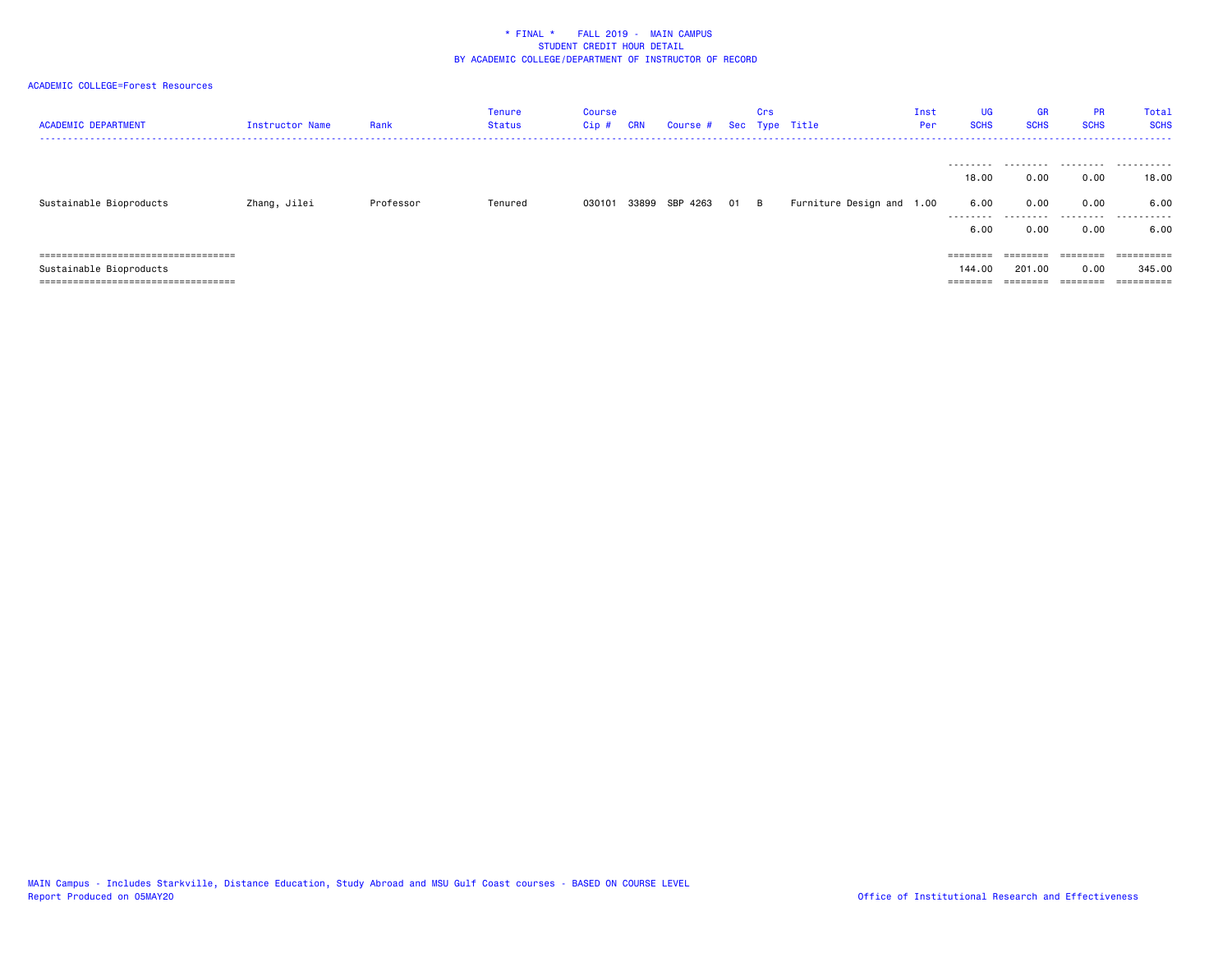# ACADEMIC COLLEGE=Forest Resources

| <b>ACADEMIC DEPARTMENT</b>            | Instructor Name | Rank      | <b>Tenure</b><br><b>Status</b> | <b>Course</b><br>$Cip$ # | <b>CRN</b> | Course # |    | Crs | Sec Type Title            | Inst<br>Per | <b>UG</b><br><b>SCHS</b> | <b>GR</b><br><b>SCHS</b> | <b>PR</b><br><b>SCHS</b> | Total<br><b>SCHS</b> |
|---------------------------------------|-----------------|-----------|--------------------------------|--------------------------|------------|----------|----|-----|---------------------------|-------------|--------------------------|--------------------------|--------------------------|----------------------|
|                                       |                 | Professor | Tenured                        |                          | 33899      | SBP 4263 |    |     |                           |             | 18.00<br>6.00            | 0.00<br>0.00             | 0.00<br>0.00             | 18.00<br>6.00        |
| Sustainable Bioproducts               | Zhang, Jilei    |           |                                | 030101                   |            |          | 01 | B   | Furniture Design and 1.00 |             | ---------                |                          |                          |                      |
|                                       |                 |           |                                |                          |            |          |    |     |                           |             | 6.0                      | 0.00                     | 0.00                     | 6.00                 |
| ===================================== |                 |           |                                |                          |            |          |    |     |                           |             |                          | --------                 | ========                 | ==========           |
| Sustainable Bioproducts               |                 |           |                                |                          |            |          |    |     |                           |             | 144.00                   | 201.00                   | 0.00                     | 345.00               |
| ===================================== |                 |           |                                |                          |            |          |    |     |                           |             | ________<br>========     | ========                 |                          | ==========           |

MAIN Campus - Includes Starkville, Distance Education, Study Abroad and MSU Gulf Coast courses - BASED ON COURSE LEVEL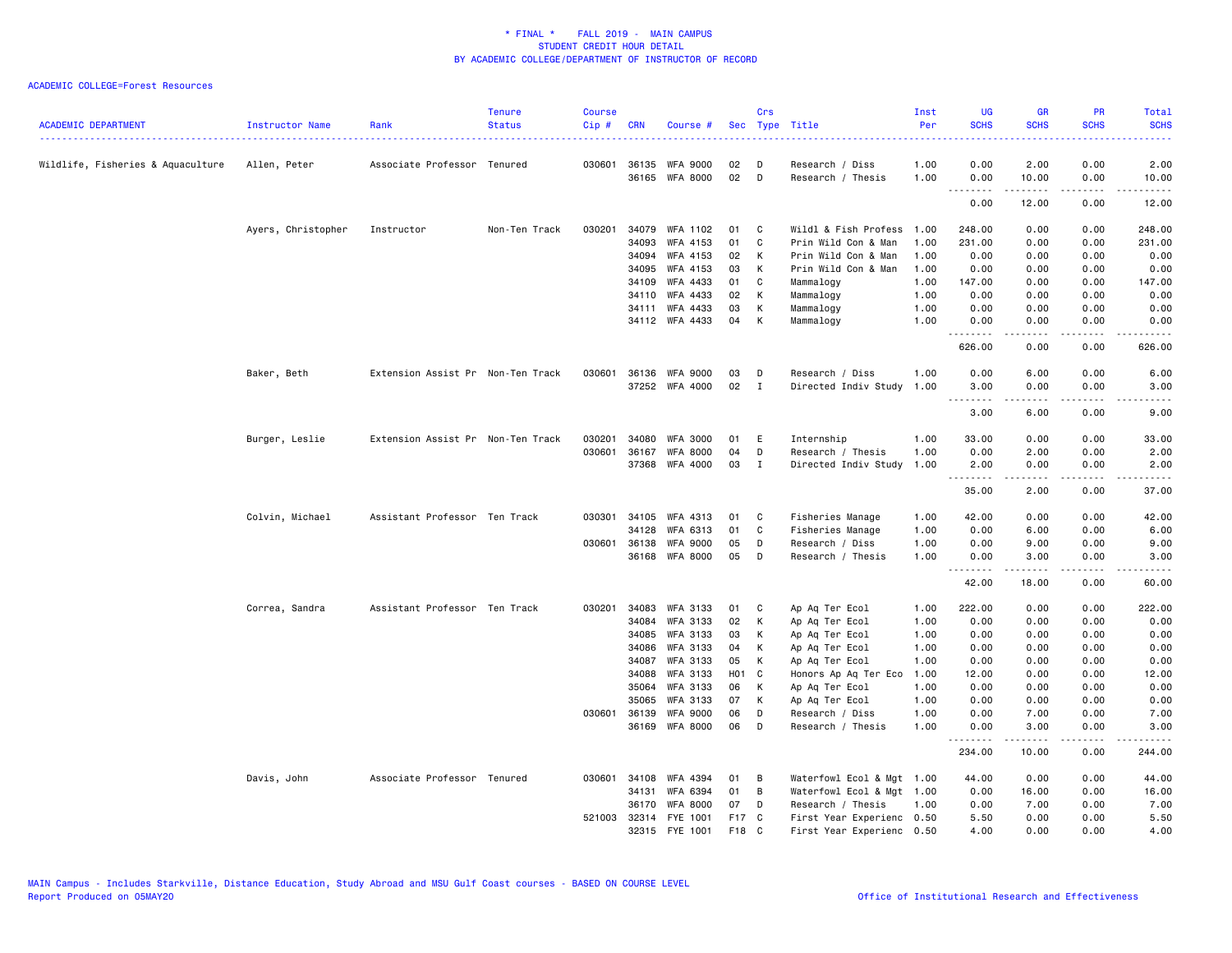| <b>ACADEMIC DEPARTMENT</b>        | Instructor Name    | Rank                              | <b>Tenure</b><br><b>Status</b> | <b>Course</b><br>Cip # | <b>CRN</b>     | Course #              |          | Crs          | Sec Type Title                    | Inst<br>Per  | <b>UG</b><br><b>SCHS</b> | <b>GR</b><br><b>SCHS</b> | <b>PR</b><br><b>SCHS</b>     | Total<br><b>SCHS</b>                                                                                                              |
|-----------------------------------|--------------------|-----------------------------------|--------------------------------|------------------------|----------------|-----------------------|----------|--------------|-----------------------------------|--------------|--------------------------|--------------------------|------------------------------|-----------------------------------------------------------------------------------------------------------------------------------|
| Wildlife, Fisheries & Aquaculture | Allen, Peter       | Associate Professor Tenured       |                                |                        | 030601 36135   | WFA 9000              | 02       | D            | Research / Diss                   | 1.00         | 0.00                     | 2.00                     | 0.00                         | 2.00                                                                                                                              |
|                                   |                    |                                   |                                |                        |                | 36165 WFA 8000        | 02       | D            | Research / Thesis                 | 1.00         | 0.00                     | 10.00                    | 0.00                         | 10.00                                                                                                                             |
|                                   |                    |                                   |                                |                        |                |                       |          |              |                                   |              | .<br>0.00                | .<br>12.00               | .<br>0.00                    | .<br>12.00                                                                                                                        |
|                                   | Ayers, Christopher | Instructor                        | Non-Ten Track                  | 030201                 | 34079          | WFA 1102              | 01       | C            | Wildl & Fish Profess              | 1.00         | 248.00                   | 0.00                     | 0.00                         | 248.00                                                                                                                            |
|                                   |                    |                                   |                                |                        | 34093          | WFA 4153              | 01       | C            | Prin Wild Con & Man               | 1.00         | 231.00                   | 0.00                     | 0.00                         | 231.00                                                                                                                            |
|                                   |                    |                                   |                                |                        | 34094          | WFA 4153              | 02       | К            | Prin Wild Con & Man               | 1.00         | 0.00                     | 0.00                     | 0.00                         | 0.00                                                                                                                              |
|                                   |                    |                                   |                                |                        | 34095          | WFA 4153              | 03       | К            | Prin Wild Con & Man               | 1.00         | 0.00                     | 0.00                     | 0.00                         | 0.00                                                                                                                              |
|                                   |                    |                                   |                                |                        | 34109          | WFA 4433              | 01       | C            | Mammalogy                         | 1.00         | 147.00                   | 0.00                     | 0.00                         | 147.00                                                                                                                            |
|                                   |                    |                                   |                                |                        | 34110          | WFA 4433              | 02       | К            | Mammalogy                         | 1.00         | 0.00                     | 0.00                     | 0.00                         | 0.00                                                                                                                              |
|                                   |                    |                                   |                                |                        |                | 34111 WFA 4433        | 03       | К            | Mammalogy                         | 1.00         | 0.00                     | 0.00                     | 0.00                         | 0.00                                                                                                                              |
|                                   |                    |                                   |                                |                        |                | 34112 WFA 4433        | 04       | К            | Mammalogy                         | 1.00         | 0.00<br>.                | 0.00                     | 0.00                         | 0.00                                                                                                                              |
|                                   |                    |                                   |                                |                        |                |                       |          |              |                                   |              | 626.00                   | 0.00                     | 0.00                         | 626.00                                                                                                                            |
|                                   | Baker, Beth        | Extension Assist Pr Non-Ten Track |                                | 030601                 |                | 36136 WFA 9000        | 03       | D            | Research / Diss                   | 1.00         | 0.00                     | 6.00                     | 0.00                         | 6.00                                                                                                                              |
|                                   |                    |                                   |                                |                        |                | 37252 WFA 4000        | 02       | $\mathbf{I}$ | Directed Indiv Study              | 1.00         | 3.00<br>.                | 0.00<br>.                | 0.00<br>.                    | 3.00<br>$\frac{1}{2} \left( \frac{1}{2} \right) \left( \frac{1}{2} \right) \left( \frac{1}{2} \right) \left( \frac{1}{2} \right)$ |
|                                   |                    |                                   |                                |                        |                |                       |          |              |                                   |              | 3.00                     | 6.00                     | 0.00                         | 9.00                                                                                                                              |
|                                   | Burger, Leslie     | Extension Assist Pr Non-Ten Track |                                | 030201                 | 34080          | <b>WFA 3000</b>       | 01       | E            | Internship                        | 1.00         | 33.00                    | 0.00                     | 0.00                         | 33.00                                                                                                                             |
|                                   |                    |                                   |                                | 030601                 | 36167          | <b>WFA 8000</b>       | 04       | D            | Research / Thesis                 | 1.00         | 0.00                     | 2.00                     | 0.00                         | 2.00                                                                                                                              |
|                                   |                    |                                   |                                |                        |                | 37368 WFA 4000        | 03       | $\mathbf{I}$ | Directed Indiv Study              | 1.00         | 2.00<br><u>.</u>         | 0.00<br>-----            | 0.00<br>.                    | 2.00<br>.                                                                                                                         |
|                                   |                    |                                   |                                |                        |                |                       |          |              |                                   |              | 35.00                    | 2.00                     | 0.00                         | 37.00                                                                                                                             |
|                                   | Colvin, Michael    | Assistant Professor Ten Track     |                                |                        | 030301 34105   | WFA 4313              | 01       | C            | Fisheries Manage                  | 1.00         | 42.00                    | 0.00                     | 0.00                         | 42.00                                                                                                                             |
|                                   |                    |                                   |                                |                        | 34128          | WFA 6313              | 01       | C            | Fisheries Manage                  | 1.00         | 0.00                     | 6.00                     | 0.00                         | 6.00                                                                                                                              |
|                                   |                    |                                   |                                |                        | 030601 36138   | <b>WFA 9000</b>       | 05       | D            | Research / Diss                   | 1.00         | 0.00                     | 9.00                     | 0.00                         | 9.00                                                                                                                              |
|                                   |                    |                                   |                                |                        | 36168          | WFA 8000              | 05       | D            | Research / Thesis                 | 1.00         | 0.00<br>.                | 3.00<br>.                | 0.00<br>$\sim$ $\sim$ $\sim$ | 3.00                                                                                                                              |
|                                   |                    |                                   |                                |                        |                |                       |          |              |                                   |              | 42.00                    | 18.00                    | 0.00                         | 60.00                                                                                                                             |
|                                   | Correa, Sandra     | Assistant Professor Ten Track     |                                |                        | 030201 34083   | WFA 3133              | 01       | C            | Ap Aq Ter Ecol                    | 1.00         | 222.00                   | 0.00                     | 0.00                         | 222.00                                                                                                                            |
|                                   |                    |                                   |                                |                        | 34084          | <b>WFA 3133</b>       | 02       | К            | Ap Aq Ter Ecol                    | 1.00         | 0.00                     | 0.00                     | 0.00                         | 0.00                                                                                                                              |
|                                   |                    |                                   |                                |                        | 34085          | <b>WFA 3133</b>       | 03       | К            | Ap Aq Ter Ecol                    | 1.00         | 0.00                     | 0.00                     | 0.00                         | 0.00                                                                                                                              |
|                                   |                    |                                   |                                |                        | 34086          | <b>WFA 3133</b>       | 04       | К            | Ap Aq Ter Ecol                    | 1.00         | 0.00                     | 0.00                     | 0.00                         | 0.00                                                                                                                              |
|                                   |                    |                                   |                                |                        | 34087          | WFA 3133              | 05       | К            | Ap Aq Ter Ecol                    | 1.00         | 0.00                     | 0.00                     | 0.00                         | 0.00                                                                                                                              |
|                                   |                    |                                   |                                |                        | 34088          | WFA 3133              | H01      | C            | Honors Ap Aq Ter Eco              | 1.00         | 12.00                    | 0.00                     | 0.00                         | 12.00                                                                                                                             |
|                                   |                    |                                   |                                |                        | 35064<br>35065 | WFA 3133              | 06<br>07 | К            | Ap Aq Ter Ecol                    | 1.00         | 0.00                     | 0.00                     | 0.00                         | 0.00                                                                                                                              |
|                                   |                    |                                   |                                | 030601                 | 36139          | WFA 3133<br>WFA 9000  | 06       | К<br>D       | Ap Aq Ter Ecol<br>Research / Diss | 1.00<br>1.00 | 0.00<br>0.00             | 0.00<br>7.00             | 0.00<br>0.00                 | 0.00<br>7.00                                                                                                                      |
|                                   |                    |                                   |                                |                        | 36169          | WFA 8000              | 06       | D            | Research / Thesis                 | 1.00         | 0.00                     | 3.00                     | 0.00                         | 3.00                                                                                                                              |
|                                   |                    |                                   |                                |                        |                |                       |          |              |                                   |              | .                        | .                        | د د د د                      | .                                                                                                                                 |
|                                   |                    |                                   |                                |                        |                |                       |          |              |                                   |              | 234.00                   | 10.00                    | 0.00                         | 244.00                                                                                                                            |
|                                   | Davis, John        | Associate Professor Tenured       |                                |                        | 030601 34108   | WFA 4394              | 01       | B            | Waterfowl Ecol & Mgt 1.00         |              | 44.00                    | 0.00                     | 0.00                         | 44.00                                                                                                                             |
|                                   |                    |                                   |                                |                        | 34131          | WFA 6394              | 01       | B            | Waterfowl Ecol & Mgt 1.00         |              | 0.00                     | 16.00                    | 0.00                         | 16.00                                                                                                                             |
|                                   |                    |                                   |                                |                        | 36170          | <b>WFA 8000</b>       | 07       | D            | Research / Thesis                 | 1.00         | 0.00                     | 7.00                     | 0.00                         | 7.00                                                                                                                              |
|                                   |                    |                                   |                                |                        |                | 521003 32314 FYE 1001 | F17 C    |              | First Year Experienc 0.50         |              | 5.50                     | 0.00                     | 0.00                         | 5.50                                                                                                                              |
|                                   |                    |                                   |                                |                        |                | 32315 FYE 1001        | F18      | - C          | First Year Experienc 0.50         |              | 4.00                     | 0.00                     | 0.00                         | 4.00                                                                                                                              |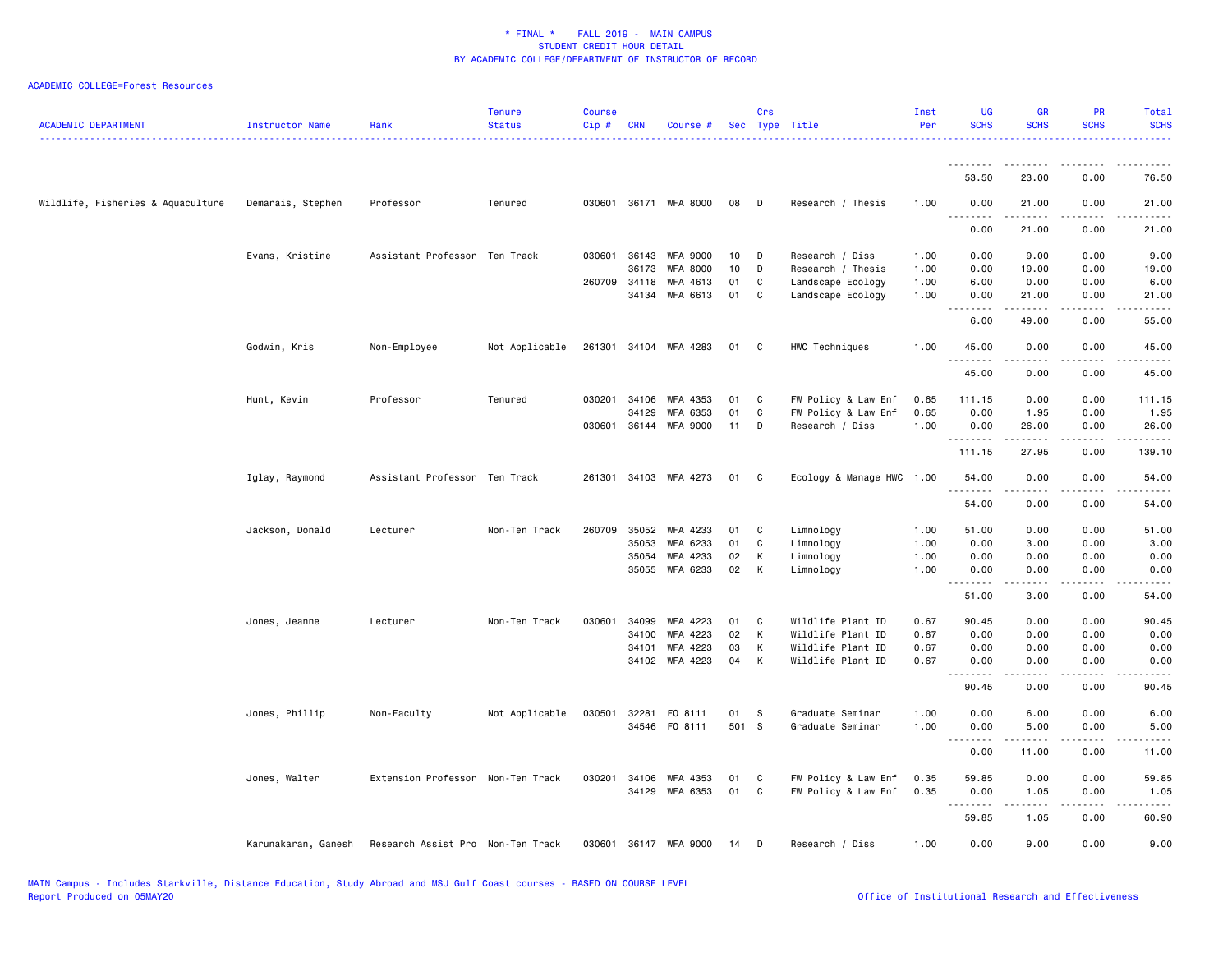| <b>ACADEMIC DEPARTMENT</b>        | Instructor Name     | Rank                              | <b>Tenure</b><br><b>Status</b> | <b>Course</b><br>Cip# | <b>CRN</b> | Course #              |       | Crs | Sec Type Title            | Inst<br>Per | <b>UG</b><br><b>SCHS</b> | <b>GR</b><br><b>SCHS</b> | <b>PR</b><br><b>SCHS</b> | Total<br><b>SCHS</b>            |
|-----------------------------------|---------------------|-----------------------------------|--------------------------------|-----------------------|------------|-----------------------|-------|-----|---------------------------|-------------|--------------------------|--------------------------|--------------------------|---------------------------------|
|                                   |                     |                                   |                                |                       |            |                       |       |     |                           |             | --------                 |                          |                          |                                 |
|                                   |                     |                                   |                                |                       |            |                       |       |     |                           |             | 53.50                    | 23.00                    | 0.00                     | 76.50                           |
| Wildlife, Fisheries & Aquaculture | Demarais, Stephen   | Professor                         | Tenured                        |                       |            | 030601 36171 WFA 8000 | 08    | D   | Research / Thesis         | 1.00        | 0.00<br><u>.</u>         | 21.00<br>.               | 0.00<br>.                | 21.00<br>.                      |
|                                   |                     |                                   |                                |                       |            |                       |       |     |                           |             | 0.00                     | 21.00                    | 0.00                     | 21.00                           |
|                                   | Evans, Kristine     | Assistant Professor Ten Track     |                                | 030601                | 36143      | WFA 9000              | 10    | D   | Research / Diss           | 1.00        | 0.00                     | 9.00                     | 0.00                     | 9.00                            |
|                                   |                     |                                   |                                |                       | 36173      | <b>WFA 8000</b>       | 10    | D   | Research / Thesis         | 1.00        | 0.00                     | 19.00                    | 0.00                     | 19.00                           |
|                                   |                     |                                   |                                | 260709                | 34118      | WFA 4613              | 01    | C   | Landscape Ecology         | 1.00        | 6.00                     | 0.00                     | 0.00                     | 6.00                            |
|                                   |                     |                                   |                                |                       |            | 34134 WFA 6613        | 01    | C   | Landscape Ecology         | 1.00        | 0.00<br>.                | 21.00<br>-----           | 0.00<br>$\frac{1}{2}$    | 21.00<br>$\frac{1}{2}$          |
|                                   |                     |                                   |                                |                       |            |                       |       |     |                           |             | 6.00                     | 49.00                    | 0.00                     | 55.00                           |
|                                   | Godwin, Kris        | Non-Employee                      | Not Applicable                 |                       |            | 261301 34104 WFA 4283 | 01 C  |     | HWC Techniques            | 1.00        | 45.00<br>.               | 0.00<br>.                | 0.00<br>.                | 45.00<br>.                      |
|                                   |                     |                                   |                                |                       |            |                       |       |     |                           |             | 45.00                    | 0.00                     | 0.00                     | 45.00                           |
|                                   | Hunt, Kevin         | Professor                         | Tenured                        | 030201                | 34106      | WFA 4353              | 01    | C   | FW Policy & Law Enf       | 0.65        | 111.15                   | 0.00                     | 0.00                     | 111.15                          |
|                                   |                     |                                   |                                |                       | 34129      | WFA 6353              | 01    | C   | FW Policy & Law Enf       | 0.65        | 0.00                     | 1.95                     | 0.00                     | 1.95                            |
|                                   |                     |                                   |                                | 030601                |            | 36144 WFA 9000        | 11    | D   | Research / Diss           | 1.00        | 0.00                     | 26.00                    | 0.00                     | 26.00                           |
|                                   |                     |                                   |                                |                       |            |                       |       |     |                           |             | --------<br>111.15       | .                        | $  -$                    | $\frac{1}{2}$                   |
|                                   |                     |                                   |                                |                       |            |                       |       |     |                           |             |                          | 27.95                    | 0.00                     | 139.10                          |
|                                   | Iglay, Raymond      | Assistant Professor Ten Track     |                                |                       |            | 261301 34103 WFA 4273 | 01 C  |     | Ecology & Manage HWC 1.00 |             | 54.00<br><u>.</u>        | 0.00<br>.                | 0.00<br>.                | 54.00<br>.                      |
|                                   |                     |                                   |                                |                       |            |                       |       |     |                           |             | 54.00                    | 0.00                     | 0.00                     | 54.00                           |
|                                   | Jackson, Donald     | Lecturer                          | Non-Ten Track                  | 260709                | 35052      | WFA 4233              | 01    | C   | Limnology                 | 1.00        | 51.00                    | 0.00                     | 0.00                     | 51.00                           |
|                                   |                     |                                   |                                |                       | 35053      | WFA 6233              | 01    | C   | Limnology                 | 1.00        | 0.00                     | 3.00                     | 0.00                     | 3.00                            |
|                                   |                     |                                   |                                |                       | 35054      | WFA 4233              | 02    | K   | Limnology                 | 1.00        | 0.00                     | 0.00                     | 0.00                     | 0.00                            |
|                                   |                     |                                   |                                |                       | 35055      | WFA 6233              | 02    | К   | Limnology                 | 1.00        | 0.00<br>.                | 0.00<br>.                | 0.00<br>.                | 0.00<br>$\omega$ is $\omega$ in |
|                                   |                     |                                   |                                |                       |            |                       |       |     |                           |             | 51.00                    | 3.00                     | 0.00                     | 54.00                           |
|                                   | Jones, Jeanne       | Lecturer                          | Non-Ten Track                  | 030601                | 34099      | WFA 4223              | 01    | C   | Wildlife Plant ID         | 0.67        | 90.45                    | 0.00                     | 0.00                     | 90.45                           |
|                                   |                     |                                   |                                |                       | 34100      | WFA 4223              | 02    | К   | Wildlife Plant ID         | 0.67        | 0.00                     | 0.00                     | 0.00                     | 0.00                            |
|                                   |                     |                                   |                                |                       | 34101      | WFA 4223              | 03    | К   | Wildlife Plant ID         | 0.67        | 0.00                     | 0.00                     | 0.00                     | 0.00                            |
|                                   |                     |                                   |                                |                       |            | 34102 WFA 4223        | 04    | К   | Wildlife Plant ID         | 0.67        | 0.00                     | 0.00<br>.                | 0.00<br>$- - - -$        | 0.00<br>$\frac{1}{2}$           |
|                                   |                     |                                   |                                |                       |            |                       |       |     |                           |             | 90.45                    | 0.00                     | 0.00                     | 90.45                           |
|                                   | Jones, Phillip      | Non-Faculty                       | Not Applicable                 | 030501                | 32281      | FO 8111               | 01    | S   | Graduate Seminar          | 1.00        | 0.00                     | 6.00                     | 0.00                     | 6.00                            |
|                                   |                     |                                   |                                |                       |            | 34546 FO 8111         | 501 S |     | Graduate Seminar          | 1.00        | 0.00                     | 5.00                     | 0.00                     | 5.00                            |
|                                   |                     |                                   |                                |                       |            |                       |       |     |                           |             | .                        |                          |                          | -----                           |
|                                   |                     |                                   |                                |                       |            |                       |       |     |                           |             | 0.00                     | 11.00                    | 0.00                     | 11.00                           |
|                                   | Jones, Walter       | Extension Professor Non-Ten Track |                                | 030201                | 34106      | WFA 4353              | 01    | C   | FW Policy & Law Enf       | 0.35        | 59.85                    | 0.00                     | 0.00                     | 59.85                           |
|                                   |                     |                                   |                                |                       |            | 34129 WFA 6353        | 01    | C   | FW Policy & Law Enf       | 0.35        | 0.00                     | 1.05                     | 0.00                     | 1.05                            |
|                                   |                     |                                   |                                |                       |            |                       |       |     |                           |             | .                        | .                        | د د د د                  | $\omega$ is $\omega$ in .       |
|                                   |                     |                                   |                                |                       |            |                       |       |     |                           |             | 59.85                    | 1.05                     | 0.00                     | 60.90                           |
|                                   | Karunakaran, Ganesh | Research Assist Pro Non-Ten Track |                                | 030601                |            | 36147 WFA 9000        | 14    | D   | Research / Diss           | 1.00        | 0.00                     | 9.00                     | 0.00                     | 9.00                            |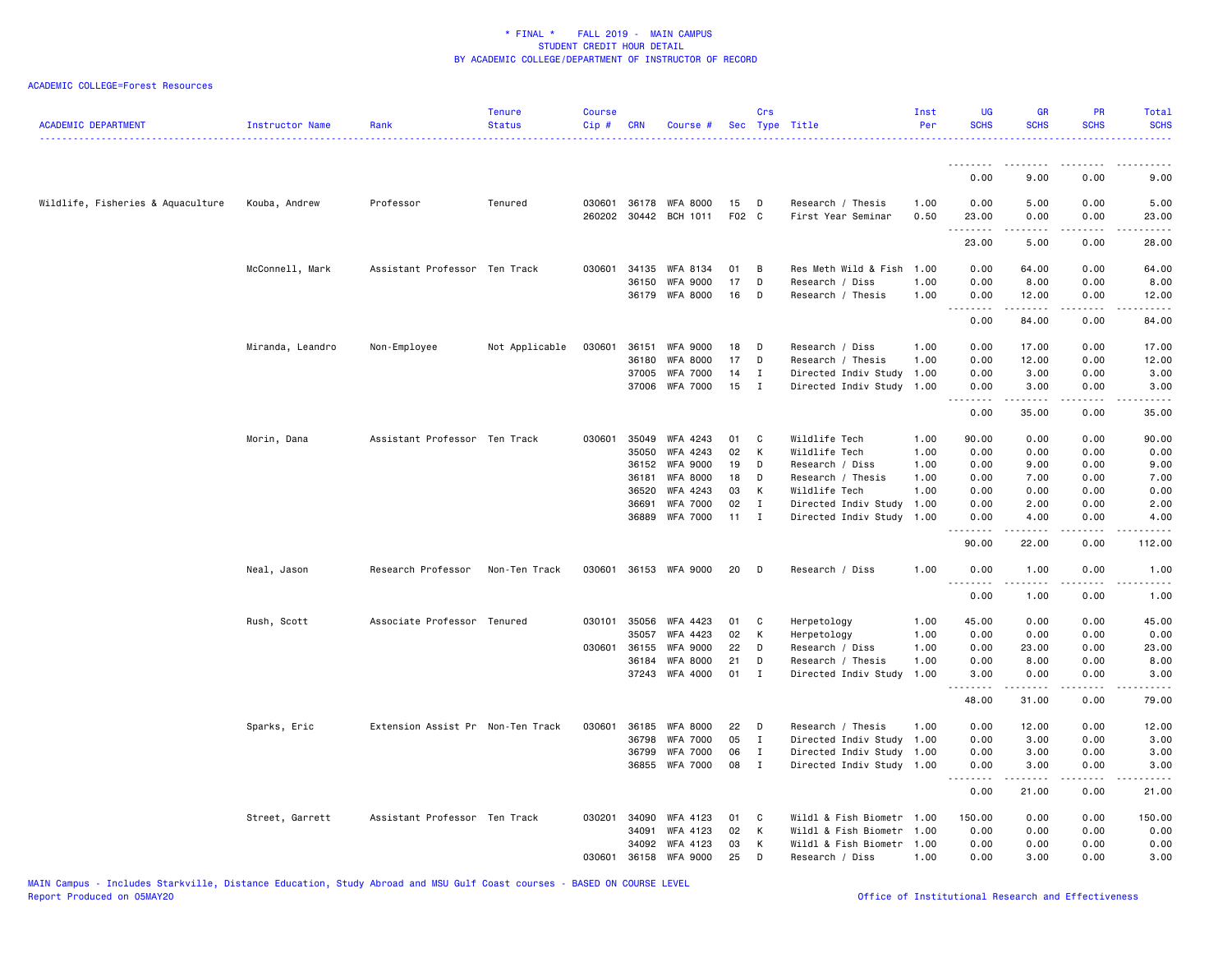| <b>ACADEMIC DEPARTMENT</b>        | Instructor Name  | Rank                              | <b>Tenure</b><br><b>Status</b> | <b>Course</b><br>Cip# | <b>CRN</b>     | Course #                                |             | Crs              | Sec Type Title                               | Inst<br>Per  | UG<br><b>SCHS</b>  | <b>GR</b><br><b>SCHS</b>                                                                                                                                      | PR<br><b>SCHS</b> | Total<br><b>SCHS</b>        |
|-----------------------------------|------------------|-----------------------------------|--------------------------------|-----------------------|----------------|-----------------------------------------|-------------|------------------|----------------------------------------------|--------------|--------------------|---------------------------------------------------------------------------------------------------------------------------------------------------------------|-------------------|-----------------------------|
|                                   |                  |                                   |                                |                       |                |                                         |             |                  |                                              |              | 0.00               | 9.00                                                                                                                                                          | 0.00              | 9.00                        |
|                                   |                  |                                   |                                |                       |                |                                         |             |                  |                                              |              |                    |                                                                                                                                                               |                   |                             |
| Wildlife, Fisheries & Aquaculture | Kouba, Andrew    | Professor                         | Tenured                        | 260202                |                | 030601 36178 WFA 8000<br>30442 BCH 1011 | 15<br>F02 C | D                | Research / Thesis<br>First Year Seminar      | 1.00<br>0.50 | 0.00<br>23.00<br>. | 5.00<br>0.00<br>.                                                                                                                                             | 0.00<br>0.00<br>. | 5.00<br>23.00<br>.          |
|                                   |                  |                                   |                                |                       |                |                                         |             |                  |                                              |              | 23.00              | 5.00                                                                                                                                                          | 0.00              | 28.00                       |
|                                   | McConnell, Mark  | Assistant Professor Ten Track     |                                | 030601                | 34135          | WFA 8134                                | 01          | B                | Res Meth Wild & Fish                         | 1.00         | 0.00               | 64.00                                                                                                                                                         | 0.00              | 64.00                       |
|                                   |                  |                                   |                                |                       | 36150          | <b>WFA 9000</b>                         | 17          | D                | Research / Diss                              | 1.00         | 0.00               | 8.00                                                                                                                                                          | 0.00              | 8.00                        |
|                                   |                  |                                   |                                |                       |                | 36179 WFA 8000                          | 16          | D                | Research / Thesis                            | 1.00         | 0.00<br>.          | 12.00<br>$\frac{1}{2} \left( \frac{1}{2} \right) \left( \frac{1}{2} \right) \left( \frac{1}{2} \right) \left( \frac{1}{2} \right) \left( \frac{1}{2} \right)$ | 0.00<br>.         | 12.00<br>.                  |
|                                   |                  |                                   |                                |                       |                |                                         |             |                  |                                              |              | 0.00               | 84.00                                                                                                                                                         | 0.00              | 84.00                       |
|                                   | Miranda, Leandro | Non-Employee                      | Not Applicable                 | 030601                | 36151          | <b>WFA 9000</b>                         | 18          | D                | Research / Diss                              | 1.00         | 0.00               | 17.00                                                                                                                                                         | 0.00              | 17.00                       |
|                                   |                  |                                   |                                |                       | 36180          | WFA 8000                                | 17          | D                | Research / Thesis                            | 1.00         | 0.00               | 12.00                                                                                                                                                         | 0.00              | 12.00                       |
|                                   |                  |                                   |                                |                       | 37005          | WFA 7000                                | 14          | $\bf{I}$         | Directed Indiv Study                         | 1.00         | 0.00               | 3.00                                                                                                                                                          | 0.00              | 3.00                        |
|                                   |                  |                                   |                                |                       | 37006          | <b>WFA 7000</b>                         | 15          | $\mathbf{I}$     | Directed Indiv Study                         | 1.00         | 0.00<br><u>.</u>   | 3.00                                                                                                                                                          | 0.00              | 3.00<br>$\frac{1}{2}$       |
|                                   |                  |                                   |                                |                       |                |                                         |             |                  |                                              |              | 0.00               | 35.00                                                                                                                                                         | 0.00              | 35.00                       |
|                                   | Morin, Dana      | Assistant Professor Ten Track     |                                | 030601                | 35049          | WFA 4243                                | 01          | C                | Wildlife Tech                                | 1.00         | 90.00              | 0.00                                                                                                                                                          | 0.00              | 90.00                       |
|                                   |                  |                                   |                                |                       | 35050          | WFA 4243                                | 02          | К                | Wildlife Tech                                | 1.00         | 0.00               | 0.00                                                                                                                                                          | 0.00              | 0.00                        |
|                                   |                  |                                   |                                |                       | 36152          | <b>WFA 9000</b>                         | 19          | D                | Research / Diss                              | 1.00         | 0.00               | 9.00                                                                                                                                                          | 0.00              | 9.00                        |
|                                   |                  |                                   |                                |                       | 36181          | <b>WFA 8000</b>                         | 18          | D                | Research / Thesis                            | 1.00         | 0.00               | 7.00                                                                                                                                                          | 0.00              | 7.00                        |
|                                   |                  |                                   |                                |                       | 36520<br>36691 | WFA 4243<br><b>WFA 7000</b>             | 03<br>02    | К<br>$\mathbf I$ | Wildlife Tech                                | 1.00<br>1.00 | 0.00<br>0.00       | 0.00<br>2.00                                                                                                                                                  | 0.00<br>0.00      | 0.00<br>2.00                |
|                                   |                  |                                   |                                |                       | 36889          | <b>WFA 7000</b>                         | 11          | $\mathbf{I}$     | Directed Indiv Study<br>Directed Indiv Study | 1.00         | 0.00               | 4.00                                                                                                                                                          | 0.00              | 4.00                        |
|                                   |                  |                                   |                                |                       |                |                                         |             |                  |                                              |              | .                  |                                                                                                                                                               | .                 | $\sim$ $\sim$ $\sim$ $\sim$ |
|                                   |                  |                                   |                                |                       |                |                                         |             |                  |                                              |              | 90.00              | 22.00                                                                                                                                                         | 0.00              | 112.00                      |
|                                   | Neal, Jason      | Research Professor                | Non-Ten Track                  |                       |                | 030601 36153 WFA 9000                   | 20          | D                | Research / Diss                              | 1.00         | 0.00               | 1.00<br>.                                                                                                                                                     | 0.00              | 1.00<br>.                   |
|                                   |                  |                                   |                                |                       |                |                                         |             |                  |                                              |              | 0.00               | 1.00                                                                                                                                                          | 0.00              | 1.00                        |
|                                   | Rush, Scott      | Associate Professor Tenured       |                                |                       | 030101 35056   | WFA 4423                                | 01          | C                | Herpetology                                  | 1.00         | 45.00              | 0.00                                                                                                                                                          | 0.00              | 45.00                       |
|                                   |                  |                                   |                                |                       | 35057          | WFA 4423                                | 02          | к                | Herpetology                                  | 1.00         | 0.00               | 0.00                                                                                                                                                          | 0.00              | 0.00                        |
|                                   |                  |                                   |                                | 030601                | 36155          | WFA 9000                                | 22          | D                | Research / Diss                              | 1.00         | 0.00               | 23.00                                                                                                                                                         | 0.00              | 23.00                       |
|                                   |                  |                                   |                                |                       | 36184          | <b>WFA 8000</b>                         | 21          | D                | Research / Thesis                            | 1.00         | 0.00               | 8.00                                                                                                                                                          | 0.00              | 8.00                        |
|                                   |                  |                                   |                                |                       |                | 37243 WFA 4000                          | 01          | $\mathbf I$      | Directed Indiv Study                         | 1.00         | 3.00<br>.          | 0.00<br>د د د د د                                                                                                                                             | 0.00<br>.         | 3.00<br>د د د د د           |
|                                   |                  |                                   |                                |                       |                |                                         |             |                  |                                              |              | 48.00              | 31.00                                                                                                                                                         | 0.00              | 79.00                       |
|                                   | Sparks, Eric     | Extension Assist Pr Non-Ten Track |                                | 030601                | 36185          | WFA 8000                                | 22          | D                | Research / Thesis                            | 1.00         | 0.00               | 12.00                                                                                                                                                         | 0.00              | 12.00                       |
|                                   |                  |                                   |                                |                       | 36798          | <b>WFA 7000</b>                         | 05          | $\mathbf I$      | Directed Indiv Study                         | 1.00         | 0.00               | 3.00                                                                                                                                                          | 0.00              | 3.00                        |
|                                   |                  |                                   |                                |                       | 36799          | <b>WFA 7000</b>                         | 06          | $\mathbf{I}$     | Directed Indiv Study                         | 1.00         | 0.00               | 3.00                                                                                                                                                          | 0.00              | 3.00                        |
|                                   |                  |                                   |                                |                       |                | 36855 WFA 7000                          | 08          | $\mathbf{I}$     | Directed Indiv Study 1.00                    |              | 0.00<br>.          | 3.00<br>.                                                                                                                                                     | 0.00<br>.         | 3.00<br>.                   |
|                                   |                  |                                   |                                |                       |                |                                         |             |                  |                                              |              | 0.00               | 21.00                                                                                                                                                         | 0.00              | 21.00                       |
|                                   | Street, Garrett  | Assistant Professor Ten Track     |                                | 030201                | 34090          | WFA 4123                                | 01          | C                | Wildl & Fish Biometr 1.00                    |              | 150.00             | 0.00                                                                                                                                                          | 0.00              | 150.00                      |
|                                   |                  |                                   |                                |                       | 34091          | WFA 4123                                | 02          | K                | Wildl & Fish Biometr 1.00                    |              | 0.00               | 0.00                                                                                                                                                          | 0.00              | 0.00                        |
|                                   |                  |                                   |                                |                       | 34092          | WFA 4123                                | 03          | к                | Wildl & Fish Biometr 1.00                    |              | 0.00               | 0.00                                                                                                                                                          | 0.00              | 0.00                        |
|                                   |                  |                                   |                                | 030601                | 36158          | <b>WFA 9000</b>                         | 25          | D                | Research / Diss                              | 1.00         | 0.00               | 3.00                                                                                                                                                          | 0.00              | 3.00                        |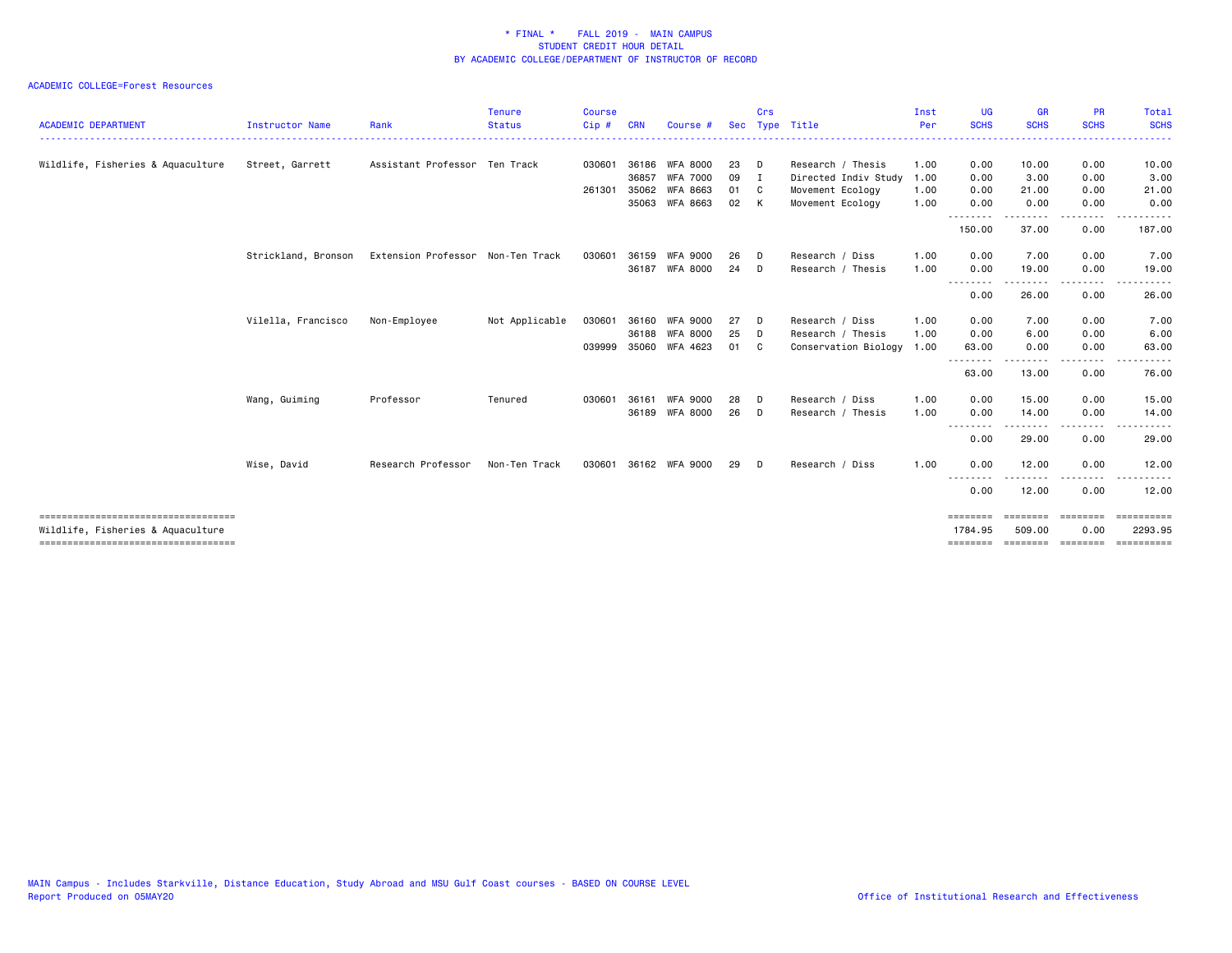| <b>ACADEMIC DEPARTMENT</b>                                                | Instructor Name     | Rank                              | <b>Tenure</b><br><b>Status</b> | <b>Course</b><br>Cip# | <b>CRN</b> | <b>Course</b>   | Sec | Crs            | Type Title           | Inst<br>Per | <b>UG</b><br><b>SCHS</b>                                                                               | <b>GR</b><br><b>SCHS</b> | <b>PR</b><br><b>SCHS</b>                                                                                                          | <b>Total</b><br><b>SCHS</b>                                                                                                                                                                                                                                                                                                                                                                                                                                                                       |
|---------------------------------------------------------------------------|---------------------|-----------------------------------|--------------------------------|-----------------------|------------|-----------------|-----|----------------|----------------------|-------------|--------------------------------------------------------------------------------------------------------|--------------------------|-----------------------------------------------------------------------------------------------------------------------------------|---------------------------------------------------------------------------------------------------------------------------------------------------------------------------------------------------------------------------------------------------------------------------------------------------------------------------------------------------------------------------------------------------------------------------------------------------------------------------------------------------|
|                                                                           |                     |                                   |                                |                       |            |                 |     |                |                      | .           |                                                                                                        |                          |                                                                                                                                   |                                                                                                                                                                                                                                                                                                                                                                                                                                                                                                   |
| Wildlife, Fisheries & Aquaculture                                         | Street, Garrett     | Assistant Professor Ten Track     |                                | 030601                | 36186      | <b>WFA 8000</b> | 23  | D              | Research / Thesis    | 1.00        | 0.00                                                                                                   | 10.00                    | 0.00                                                                                                                              | 10.00                                                                                                                                                                                                                                                                                                                                                                                                                                                                                             |
|                                                                           |                     |                                   |                                |                       | 36857      | WFA 7000        | 09  | $\blacksquare$ | Directed Indiv Study | 1.00        | 0.00                                                                                                   | 3.00                     | 0.00                                                                                                                              | 3.00                                                                                                                                                                                                                                                                                                                                                                                                                                                                                              |
|                                                                           |                     |                                   |                                | 261301                | 35062      | WFA 8663        | 01  | C              | Movement Ecology     | 1.00        | 0.00                                                                                                   | 21.00                    | 0.00                                                                                                                              | 21.00                                                                                                                                                                                                                                                                                                                                                                                                                                                                                             |
|                                                                           |                     |                                   |                                |                       |            | 35063 WFA 8663  | 02  | K              | Movement Ecology     | 1.00        | 0.00                                                                                                   | 0.00                     | 0.00<br>$\frac{1}{2} \left( \frac{1}{2} \right) \left( \frac{1}{2} \right) \left( \frac{1}{2} \right) \left( \frac{1}{2} \right)$ | 0.00<br>$\cdots$                                                                                                                                                                                                                                                                                                                                                                                                                                                                                  |
|                                                                           |                     |                                   |                                |                       |            |                 |     |                |                      |             | 150.00                                                                                                 | 37.00                    | 0.00                                                                                                                              | 187.00                                                                                                                                                                                                                                                                                                                                                                                                                                                                                            |
|                                                                           | Strickland, Bronson | Extension Professor Non-Ten Track |                                | 030601                | 36159      | WFA 9000        | 26  | D              | Research / Diss      | 1.00        | 0.00                                                                                                   | 7.00                     | 0.00                                                                                                                              | 7.00                                                                                                                                                                                                                                                                                                                                                                                                                                                                                              |
|                                                                           |                     |                                   |                                |                       |            | 36187 WFA 8000  | 24  | D              | Research / Thesis    | 1.00        | 0.00                                                                                                   | 19.00                    | 0.00                                                                                                                              | 19.00                                                                                                                                                                                                                                                                                                                                                                                                                                                                                             |
|                                                                           |                     |                                   |                                |                       |            |                 |     |                |                      |             | .<br>0.00                                                                                              | 26.00                    | 0.00                                                                                                                              | 26.00                                                                                                                                                                                                                                                                                                                                                                                                                                                                                             |
|                                                                           | Vilella, Francisco  | Non-Employee                      | Not Applicable                 | 030601                | 36160      | WFA 9000        | 27  | D              | Research / Diss      | 1.00        | 0.00                                                                                                   | 7.00                     | 0.00                                                                                                                              | 7.00                                                                                                                                                                                                                                                                                                                                                                                                                                                                                              |
|                                                                           |                     |                                   |                                |                       | 36188      | WFA 8000        | 25  | D              | Research / Thesis    | 1.00        | 0.00                                                                                                   | 6.00                     | 0.00                                                                                                                              | 6.00                                                                                                                                                                                                                                                                                                                                                                                                                                                                                              |
|                                                                           |                     |                                   |                                | 039999                | 35060      | WFA 4623        | 01  | C              | Conservation Biology | 1.00        | 63.00                                                                                                  | 0.00                     | 0.00<br>----                                                                                                                      | 63.00<br>$\frac{1}{2} \left( \frac{1}{2} \right) \left( \frac{1}{2} \right) \left( \frac{1}{2} \right) \left( \frac{1}{2} \right) \left( \frac{1}{2} \right)$                                                                                                                                                                                                                                                                                                                                     |
|                                                                           |                     |                                   |                                |                       |            |                 |     |                |                      |             | 63.00                                                                                                  | 13.00                    | 0.00                                                                                                                              | 76.00                                                                                                                                                                                                                                                                                                                                                                                                                                                                                             |
|                                                                           | Wang, Guiming       | Professor                         | Tenured                        | 030601                | 36161      | <b>WFA 9000</b> | 28  | D              | Research / Diss      | 1.00        | 0.00                                                                                                   | 15.00                    | 0.00                                                                                                                              | 15.00                                                                                                                                                                                                                                                                                                                                                                                                                                                                                             |
|                                                                           |                     |                                   |                                |                       |            | 36189 WFA 8000  | 26  | D              | Research / Thesis    | 1.00        | 0.00<br>- - - - - - - -                                                                                | 14.00<br>. <b>.</b>      | 0.00<br>. <u>. .</u>                                                                                                              | 14.00                                                                                                                                                                                                                                                                                                                                                                                                                                                                                             |
|                                                                           |                     |                                   |                                |                       |            |                 |     |                |                      |             | 0.00                                                                                                   | 29.00                    | 0.00                                                                                                                              | 29.00                                                                                                                                                                                                                                                                                                                                                                                                                                                                                             |
|                                                                           | Wise, David         | Research Professor                | Non-Ten Track                  | 030601                |            | 36162 WFA 9000  | 29  | D              | Research / Diss      | 1.00        | 0.00                                                                                                   | 12.00                    | 0.00                                                                                                                              | 12.00                                                                                                                                                                                                                                                                                                                                                                                                                                                                                             |
|                                                                           |                     |                                   |                                |                       |            |                 |     |                |                      |             | $\frac{1}{2} \left( \frac{1}{2} \right) \left( \frac{1}{2} \right) \left( \frac{1}{2} \right)$<br>0.00 | 12.00                    | 0.00                                                                                                                              | 12.00                                                                                                                                                                                                                                                                                                                                                                                                                                                                                             |
| ====================================<br>Wildlife, Fisheries & Aquaculture |                     |                                   |                                |                       |            |                 |     |                |                      |             | ========<br>1784.95                                                                                    | ========<br>509.00       | ========<br>0.00                                                                                                                  | $\begin{array}{cccccccccc} \multicolumn{3}{c}{} & \multicolumn{3}{c}{} & \multicolumn{3}{c}{} & \multicolumn{3}{c}{} & \multicolumn{3}{c}{} & \multicolumn{3}{c}{} & \multicolumn{3}{c}{} & \multicolumn{3}{c}{} & \multicolumn{3}{c}{} & \multicolumn{3}{c}{} & \multicolumn{3}{c}{} & \multicolumn{3}{c}{} & \multicolumn{3}{c}{} & \multicolumn{3}{c}{} & \multicolumn{3}{c}{} & \multicolumn{3}{c}{} & \multicolumn{3}{c}{} & \multicolumn{3}{c}{} & \multicolumn{3}{c}{} & \mult$<br>2293.95 |
|                                                                           |                     |                                   |                                |                       |            |                 |     |                |                      |             | ========                                                                                               | $=$ = = = = = = =        |                                                                                                                                   | ==========                                                                                                                                                                                                                                                                                                                                                                                                                                                                                        |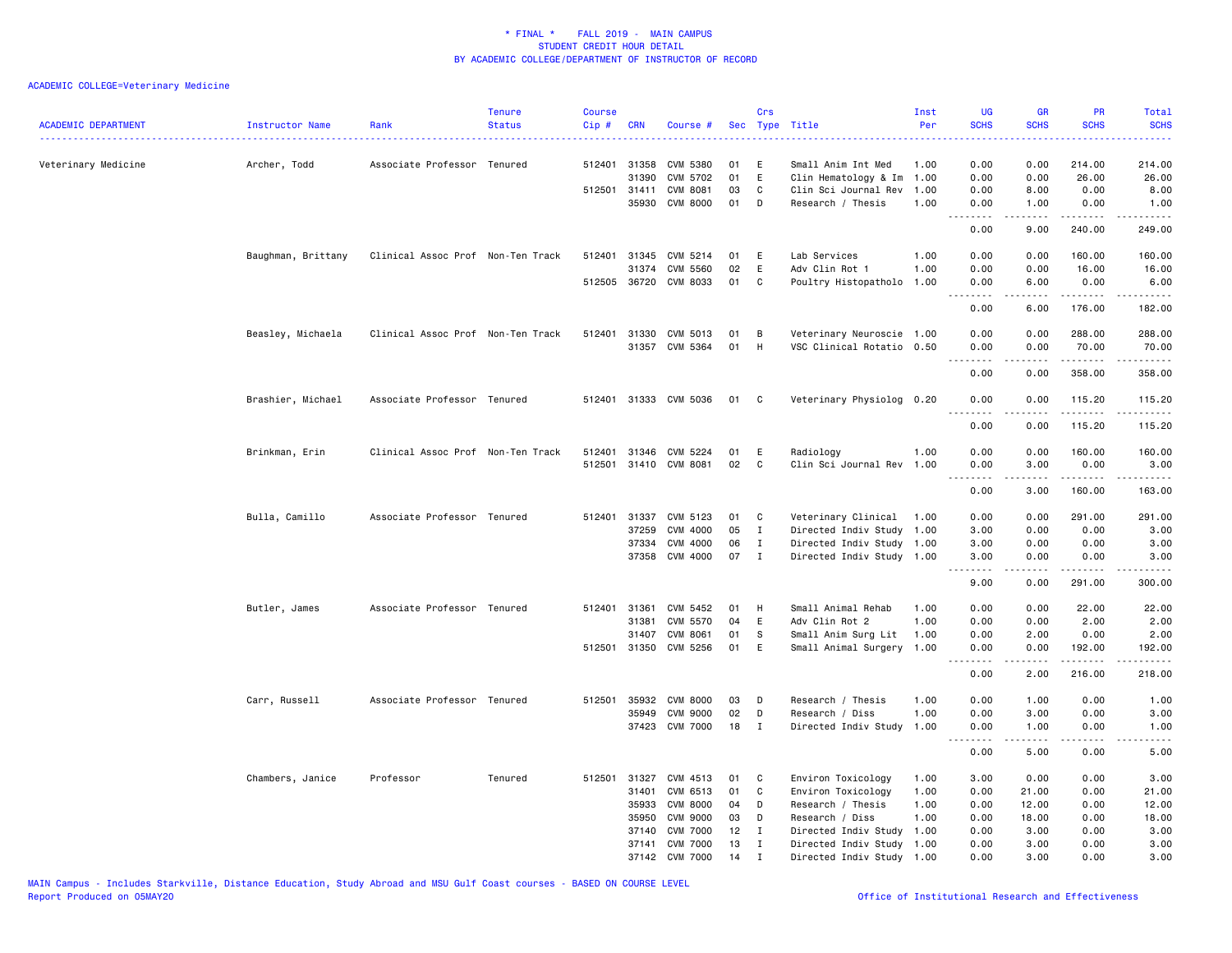| <b>ACADEMIC DEPARTMENT</b> | Instructor Name<br>. | Rank                              | <b>Tenure</b><br><b>Status</b> | <b>Course</b><br>Cip# | <b>CRN</b>   | Course #              |    | Crs          | Sec Type Title            | Inst<br>Per | UG<br><b>SCHS</b>       | GR<br><b>SCHS</b> | PR<br><b>SCHS</b>                   | Total<br><b>SCHS</b>                                                                                                                |
|----------------------------|----------------------|-----------------------------------|--------------------------------|-----------------------|--------------|-----------------------|----|--------------|---------------------------|-------------|-------------------------|-------------------|-------------------------------------|-------------------------------------------------------------------------------------------------------------------------------------|
| Veterinary Medicine        | Archer, Todd         | Associate Professor Tenured       |                                | 512401                | 31358        | CVM 5380              | 01 | Ε            | Small Anim Int Med        | 1.00        | 0.00                    | 0.00              | 214.00                              | 214.00                                                                                                                              |
|                            |                      |                                   |                                |                       | 31390        | CVM 5702              | 01 | E            | Clin Hematology & Im      | 1.00        | 0.00                    | 0.00              | 26.00                               | 26.00                                                                                                                               |
|                            |                      |                                   |                                |                       | 512501 31411 | CVM 8081              | 03 | C            | Clin Sci Journal Rev      | 1.00        | 0.00                    | 8.00              | 0.00                                | 8.00                                                                                                                                |
|                            |                      |                                   |                                |                       |              | 35930 CVM 8000        | 01 | D            | Research / Thesis         | 1.00        | 0.00                    | 1.00              | 0.00<br>.                           | 1.00<br>.                                                                                                                           |
|                            |                      |                                   |                                |                       |              |                       |    |              |                           |             | 0.00                    | 9.00              | 240.00                              | 249.00                                                                                                                              |
|                            | Baughman, Brittany   | Clinical Assoc Prof Non-Ten Track |                                |                       |              | 512401 31345 CVM 5214 | 01 | E            | Lab Services              | 1.00        | 0.00                    | 0.00              | 160.00                              | 160.00                                                                                                                              |
|                            |                      |                                   |                                |                       | 31374        | <b>CVM 5560</b>       | 02 | E            | Adv Clin Rot 1            | 1.00        | 0.00                    | 0.00              | 16.00                               | 16.00                                                                                                                               |
|                            |                      |                                   |                                |                       |              | 512505 36720 CVM 8033 | 01 | C            | Poultry Histopatholo      | 1.00        | 0.00<br>.               | 6.00<br>.         | 0.00<br>.                           | 6.00                                                                                                                                |
|                            |                      |                                   |                                |                       |              |                       |    |              |                           |             | 0.00                    | 6.00              | 176.00                              | 182.00                                                                                                                              |
|                            | Beasley, Michaela    | Clinical Assoc Prof Non-Ten Track |                                | 512401                | 31330        | CVM 5013              | 01 | В            | Veterinary Neuroscie 1.00 |             | 0.00                    | 0.00              | 288.00                              | 288.00                                                                                                                              |
|                            |                      |                                   |                                |                       |              | 31357 CVM 5364        | 01 | H            | VSC Clinical Rotatio 0.50 |             | 0.00                    | 0.00              | 70.00                               | 70.00                                                                                                                               |
|                            |                      |                                   |                                |                       |              |                       |    |              |                           |             | <u>--------</u><br>0.00 | 0.00              | .<br>358.00                         | ------<br>358.00                                                                                                                    |
|                            | Brashier, Michael    | Associate Professor Tenured       |                                |                       |              | 512401 31333 CVM 5036 | 01 | $\mathbf{C}$ | Veterinary Physiolog 0.20 |             | 0.00                    | 0.00              | 115.20                              | 115.20                                                                                                                              |
|                            |                      |                                   |                                |                       |              |                       |    |              |                           |             | $\frac{1}{2}$<br>0.00   | .<br>0.00         | .<br>115.20                         | $- - - - - -$<br>115.20                                                                                                             |
|                            | Brinkman, Erin       | Clinical Assoc Prof Non-Ten Track |                                | 512401                |              | 31346 CVM 5224        | 01 | E            | Radiology                 | 1.00        | 0.00                    | 0.00              | 160.00                              | 160.00                                                                                                                              |
|                            |                      |                                   |                                | 512501                |              | 31410 CVM 8081        | 02 | C            | Clin Sci Journal Rev      | 1.00        | 0.00                    | 3.00              | 0.00                                | 3.00                                                                                                                                |
|                            |                      |                                   |                                |                       |              |                       |    |              |                           |             | .<br>0.00               | .<br>3.00         | .<br>160.00                         | .<br>163.00                                                                                                                         |
|                            | Bulla, Camillo       | Associate Professor Tenured       |                                | 512401                | 31337        | CVM 5123              | 01 | C            | Veterinary Clinical       | 1.00        | 0.00                    | 0.00              | 291.00                              | 291.00                                                                                                                              |
|                            |                      |                                   |                                |                       | 37259        | CVM 4000              | 05 | I            | Directed Indiv Study 1.00 |             | 3.00                    | 0.00              | 0.00                                | 3.00                                                                                                                                |
|                            |                      |                                   |                                |                       | 37334        | CVM 4000              | 06 | Ι.           | Directed Indiv Study 1.00 |             | 3.00                    | 0.00              | 0.00                                | 3.00                                                                                                                                |
|                            |                      |                                   |                                |                       |              | 37358 CVM 4000        | 07 | $\mathbf I$  | Directed Indiv Study 1.00 |             | 3.00                    | 0.00              | 0.00                                | 3.00                                                                                                                                |
|                            |                      |                                   |                                |                       |              |                       |    |              |                           |             | <u>.</u><br>9.00        | .<br>0.00         | <b></b><br>291.00                   | .<br>300.00                                                                                                                         |
|                            | Butler, James        | Associate Professor Tenured       |                                | 512401                | 31361        | CVM 5452              | 01 | H            | Small Animal Rehab        | 1.00        | 0.00                    | 0.00              | 22.00                               | 22.00                                                                                                                               |
|                            |                      |                                   |                                |                       | 31381        | CVM 5570              | 04 | E            | Adv Clin Rot 2            | 1.00        | 0.00                    | 0.00              | 2.00                                | 2.00                                                                                                                                |
|                            |                      |                                   |                                |                       | 31407        | <b>CVM 8061</b>       | 01 | s            | Small Anim Surg Lit       | 1.00        | 0.00                    | 2.00              | 0.00                                | 2.00                                                                                                                                |
|                            |                      |                                   |                                |                       | 512501 31350 | CVM 5256              | 01 | E            | Small Animal Surgery 1.00 |             | 0.00<br>.               | 0.00<br>.         | 192.00<br>.                         | 192.00<br>$\begin{array}{cccccccccccccc} \bullet & \bullet & \bullet & \bullet & \bullet & \bullet & \bullet & \bullet \end{array}$ |
|                            |                      |                                   |                                |                       |              |                       |    |              |                           |             | 0.00                    | 2.00              | 216.00                              | 218.00                                                                                                                              |
|                            | Carr, Russell        | Associate Professor Tenured       |                                | 512501                | 35932        | <b>CVM 8000</b>       | 03 | D            | Research / Thesis         | 1.00        | 0.00                    | 1.00              | 0.00                                | 1.00                                                                                                                                |
|                            |                      |                                   |                                |                       | 35949        | <b>CVM 9000</b>       | 02 | D            | Research / Diss           | 1.00        | 0.00                    | 3.00              | 0.00                                | 3.00                                                                                                                                |
|                            |                      |                                   |                                |                       |              | 37423 CVM 7000        | 18 | I            | Directed Indiv Study      | 1.00        | 0.00<br>----            | 1.00              | 0.00<br>$\sim$ $\sim$ $\sim$ $\sim$ | 1.00                                                                                                                                |
|                            |                      |                                   |                                |                       |              |                       |    |              |                           |             | 0.00                    | 5.00              | 0.00                                | 5.00                                                                                                                                |
|                            | Chambers, Janice     | Professor                         | Tenured                        |                       | 512501 31327 | CVM 4513              | 01 | $\mathbf{C}$ | Environ Toxicology        | 1.00        | 3.00                    | 0.00              | 0.00                                | 3.00                                                                                                                                |
|                            |                      |                                   |                                |                       | 31401        | CVM 6513              | 01 | C            | Environ Toxicology        | 1.00        | 0.00                    | 21.00             | 0.00                                | 21.00                                                                                                                               |
|                            |                      |                                   |                                |                       | 35933        | <b>CVM 8000</b>       | 04 | D            | Research / Thesis         | 1.00        | 0.00                    | 12.00             | 0.00                                | 12.00                                                                                                                               |
|                            |                      |                                   |                                |                       | 35950        | <b>CVM 9000</b>       | 03 | D            | Research / Diss           | 1.00        | 0.00                    | 18.00             | 0.00                                | 18.00                                                                                                                               |
|                            |                      |                                   |                                |                       | 37140        | <b>CVM 7000</b>       | 12 | $\mathbf{I}$ | Directed Indiv Study      | 1.00        | 0.00                    | 3.00              | 0.00                                | 3.00                                                                                                                                |
|                            |                      |                                   |                                |                       | 37141        | <b>CVM 7000</b>       | 13 | Ι.           | Directed Indiv Study      | 1.00        | 0.00                    | 3.00              | 0.00                                | 3.00                                                                                                                                |
|                            |                      |                                   |                                |                       |              | 37142 CVM 7000        | 14 | $\mathbf{I}$ | Directed Indiv Study 1.00 |             | 0.00                    | 3.00              | 0.00                                | 3.00                                                                                                                                |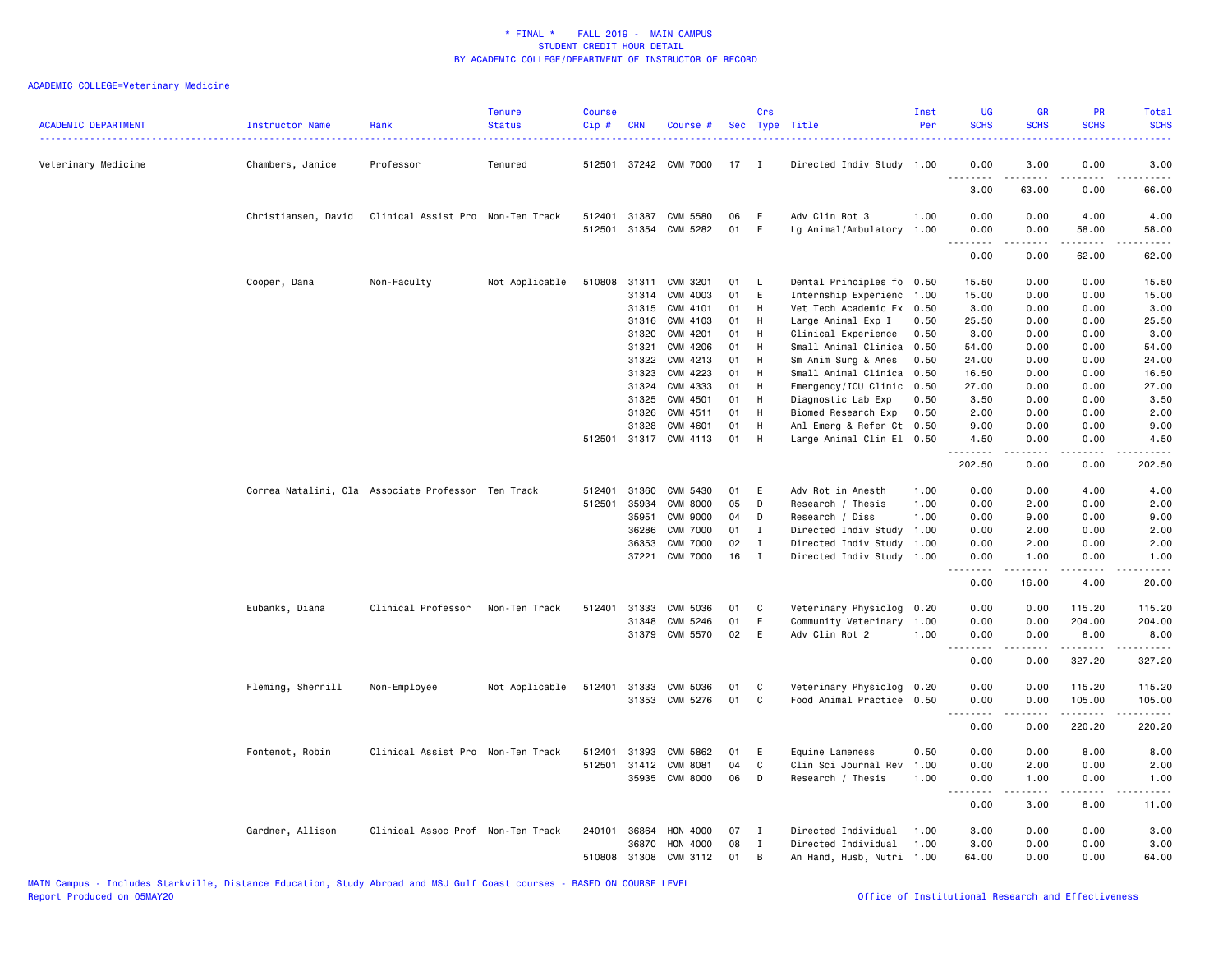| <b>ACADEMIC DEPARTMENT</b> | Instructor Name     | Rank                                               | <b>Tenure</b><br><b>Status</b> | <b>Course</b><br>$Cip \#$ | CRN          | Course #                   |          | Crs          | Sec Type Title                            | Inst<br>Per  | <b>UG</b><br><b>SCHS</b> | <b>GR</b><br><b>SCHS</b>                                                                                                                                      | PR<br><b>SCHS</b>                                                                                                                 | Total<br><b>SCHS</b>                                                                                                               |
|----------------------------|---------------------|----------------------------------------------------|--------------------------------|---------------------------|--------------|----------------------------|----------|--------------|-------------------------------------------|--------------|--------------------------|---------------------------------------------------------------------------------------------------------------------------------------------------------------|-----------------------------------------------------------------------------------------------------------------------------------|------------------------------------------------------------------------------------------------------------------------------------|
| Veterinary Medicine        | Chambers, Janice    | Professor                                          | Tenured                        |                           |              | 512501 37242 CVM 7000      | 17       | $\mathbf{I}$ | Directed Indiv Study 1.00                 |              | 0.00<br>.                | 3.00                                                                                                                                                          | 0.00                                                                                                                              | 3.00                                                                                                                               |
|                            |                     |                                                    |                                |                           |              |                            |          |              |                                           |              | 3.00                     | $\frac{1}{2} \left( \frac{1}{2} \right) \left( \frac{1}{2} \right) \left( \frac{1}{2} \right) \left( \frac{1}{2} \right) \left( \frac{1}{2} \right)$<br>63.00 | $\frac{1}{2} \left( \frac{1}{2} \right) \left( \frac{1}{2} \right) \left( \frac{1}{2} \right) \left( \frac{1}{2} \right)$<br>0.00 | $\frac{1}{2} \left( \frac{1}{2} \right) \left( \frac{1}{2} \right) \left( \frac{1}{2} \right) \left( \frac{1}{2} \right)$<br>66.00 |
|                            | Christiansen, David | Clinical Assist Pro Non-Ten Track                  |                                | 512401                    | 31387        | CVM 5580                   | 06       | E            | Adv Clin Rot 3                            | 1.00         | 0.00                     | 0.00                                                                                                                                                          | 4.00                                                                                                                              | 4.00                                                                                                                               |
|                            |                     |                                                    |                                |                           |              | 512501 31354 CVM 5282      | 01       | E            | Lg Animal/Ambulatory                      | 1.00         | 0.00<br>.                | 0.00<br>2.2.2.2.2                                                                                                                                             | 58.00<br>.                                                                                                                        | 58.00<br>.                                                                                                                         |
|                            |                     |                                                    |                                |                           |              |                            |          |              |                                           |              | 0.00                     | 0.00                                                                                                                                                          | 62.00                                                                                                                             | 62.00                                                                                                                              |
|                            | Cooper, Dana        | Non-Faculty                                        | Not Applicable                 | 510808                    | 31311        | CVM 3201                   | 01       | L,           | Dental Principles fo                      | 0.50         | 15.50                    | 0.00                                                                                                                                                          | 0.00                                                                                                                              | 15.50                                                                                                                              |
|                            |                     |                                                    |                                |                           | 31314        | CVM 4003                   | 01       | E            | Internship Experienc                      | 1.00         | 15.00                    | 0.00                                                                                                                                                          | 0.00                                                                                                                              | 15.00                                                                                                                              |
|                            |                     |                                                    |                                |                           | 31315        | CVM 4101                   | 01       | H            | Vet Tech Academic Ex                      | 0.50         | 3.00                     | 0.00                                                                                                                                                          | 0.00                                                                                                                              | 3.00                                                                                                                               |
|                            |                     |                                                    |                                |                           | 31316        | CVM 4103                   | 01       | H            | Large Animal Exp I                        | 0.50         | 25.50                    | 0.00                                                                                                                                                          | 0.00                                                                                                                              | 25.50                                                                                                                              |
|                            |                     |                                                    |                                |                           | 31320        | CVM 4201                   | 01       | H            | Clinical Experience                       | 0.50         | 3.00                     | 0.00                                                                                                                                                          | 0.00                                                                                                                              | 3.00                                                                                                                               |
|                            |                     |                                                    |                                |                           | 31321        | CVM 4206                   | 01       | H            | Small Animal Clinica                      | 0.50         | 54.00                    | 0.00                                                                                                                                                          | 0.00                                                                                                                              | 54.00                                                                                                                              |
|                            |                     |                                                    |                                |                           | 31322        | CVM 4213                   | 01       | H            | Sm Anim Surg & Anes                       | 0.50         | 24.00                    | 0.00                                                                                                                                                          | 0.00                                                                                                                              | 24.00                                                                                                                              |
|                            |                     |                                                    |                                |                           | 31323        | CVM 4223                   | 01       | H            | Small Animal Clinica                      | 0.50         | 16.50                    | 0.00                                                                                                                                                          | 0.00                                                                                                                              | 16.50                                                                                                                              |
|                            |                     |                                                    |                                |                           | 31324        | CVM 4333                   | 01       | H            | Emergency/ICU Clinic                      | 0.50         | 27.00                    | 0.00                                                                                                                                                          | 0.00                                                                                                                              | 27.00                                                                                                                              |
|                            |                     |                                                    |                                |                           | 31325        | CVM 4501                   | 01       | H            | Diagnostic Lab Exp                        | 0.50         | 3.50                     | 0.00                                                                                                                                                          | 0.00                                                                                                                              | 3.50                                                                                                                               |
|                            |                     |                                                    |                                |                           | 31326        | CVM 4511                   | 01       | H            | Biomed Research Exp                       | 0.50         | 2.00                     | 0.00                                                                                                                                                          | 0.00                                                                                                                              | 2.00                                                                                                                               |
|                            |                     |                                                    |                                |                           | 31328        | CVM 4601                   | 01       | H            | Anl Emerg & Refer Ct                      | 0.50         | 9.00                     | 0.00                                                                                                                                                          | 0.00                                                                                                                              | 9.00                                                                                                                               |
|                            |                     |                                                    |                                |                           |              | 512501 31317 CVM 4113      | 01       | H            | Large Animal Clin El 0.50                 |              | 4.50<br>.                | 0.00<br>-----                                                                                                                                                 | 0.00<br>.                                                                                                                         | 4.50<br>-----                                                                                                                      |
|                            |                     |                                                    |                                |                           |              |                            |          |              |                                           |              | 202.50                   | 0.00                                                                                                                                                          | 0.00                                                                                                                              | 202.50                                                                                                                             |
|                            |                     | Correa Natalini, Cla Associate Professor Ten Track |                                | 512401                    | 31360        | CVM 5430                   | 01       | E            | Adv Rot in Anesth                         | 1.00         | 0.00                     | 0.00                                                                                                                                                          | 4.00                                                                                                                              | 4.00                                                                                                                               |
|                            |                     |                                                    |                                | 512501                    | 35934        | <b>CVM 8000</b>            | 05       | D            | Research / Thesis                         | 1.00         | 0.00                     | 2.00                                                                                                                                                          | 0.00                                                                                                                              | 2.00                                                                                                                               |
|                            |                     |                                                    |                                |                           | 35951        | <b>CVM 9000</b>            | 04       | D            | Research / Diss                           | 1.00         | 0.00                     | 9.00                                                                                                                                                          | 0.00                                                                                                                              | 9.00                                                                                                                               |
|                            |                     |                                                    |                                |                           | 36286        | <b>CVM 7000</b>            | 01       | Ι.           | Directed Indiv Study                      | 1.00         | 0.00                     | 2.00                                                                                                                                                          | 0.00                                                                                                                              | 2.00                                                                                                                               |
|                            |                     |                                                    |                                |                           | 36353        | <b>CVM 7000</b>            | 02       | Ι.           | Directed Indiv Study                      | 1.00         | 0.00                     | 2.00                                                                                                                                                          | 0.00                                                                                                                              | 2.00                                                                                                                               |
|                            |                     |                                                    |                                |                           | 37221        | <b>CVM 7000</b>            | 16       | $\mathbf{I}$ | Directed Indiv Study 1.00                 |              | 0.00                     | 1.00                                                                                                                                                          | 0.00                                                                                                                              | 1.00                                                                                                                               |
|                            |                     |                                                    |                                |                           |              |                            |          |              |                                           |              | <u>.</u><br>0.00         | .<br>16.00                                                                                                                                                    | .<br>4.00                                                                                                                         | .<br>20.00                                                                                                                         |
|                            | Eubanks, Diana      | Clinical Professor                                 | Non-Ten Track                  | 512401                    | 31333        | CVM 5036                   | 01       | C            | Veterinary Physiolog                      | 0.20         | 0.00                     | 0.00                                                                                                                                                          | 115.20                                                                                                                            | 115.20                                                                                                                             |
|                            |                     |                                                    |                                |                           | 31348        | CVM 5246                   | 01       | E            | Community Veterinary                      | 1.00         | 0.00                     | 0.00                                                                                                                                                          | 204.00                                                                                                                            | 204.00                                                                                                                             |
|                            |                     |                                                    |                                |                           |              | 31379 CVM 5570             | 02       | E            | Adv Clin Rot 2                            | 1.00         | 0.00                     | 0.00                                                                                                                                                          | 8.00                                                                                                                              | 8.00<br>$-$ - - - - $-$                                                                                                            |
|                            |                     |                                                    |                                |                           |              |                            |          |              |                                           |              | د د د د<br>0.00          | 0.00                                                                                                                                                          | 327.20                                                                                                                            | 327.20                                                                                                                             |
|                            | Fleming, Sherrill   | Non-Employee                                       | Not Applicable                 |                           |              | 512401 31333 CVM 5036      | 01       | C            | Veterinary Physiolog 0.20                 |              | 0.00                     | 0.00                                                                                                                                                          | 115.20                                                                                                                            | 115.20                                                                                                                             |
|                            |                     |                                                    |                                |                           |              | 31353 CVM 5276             | 01       | C            | Food Animal Practice 0.50                 |              | 0.00                     | 0.00                                                                                                                                                          | 105.00                                                                                                                            | 105.00                                                                                                                             |
|                            |                     |                                                    |                                |                           |              |                            |          |              |                                           |              | .<br>0.00                | -----<br>0.00                                                                                                                                                 | $- - - - - - -$<br>220.20                                                                                                         | .<br>220.20                                                                                                                        |
|                            |                     |                                                    |                                |                           |              |                            |          |              |                                           |              |                          |                                                                                                                                                               |                                                                                                                                   |                                                                                                                                    |
|                            | Fontenot, Robin     | Clinical Assist Pro Non-Ten Track                  |                                | 512401                    | 31393        | CVM 5862                   | 01       | E            | Equine Lameness                           | 0.50         | 0.00                     | 0.00                                                                                                                                                          | 8.00                                                                                                                              | 8.00                                                                                                                               |
|                            |                     |                                                    |                                |                           | 512501 31412 | CVM 8081<br>35935 CVM 8000 | 04<br>06 | C<br>D       | Clin Sci Journal Rev<br>Research / Thesis | 1.00<br>1.00 | 0.00<br>0.00             | 2.00<br>1.00                                                                                                                                                  | 0.00<br>0.00                                                                                                                      | 2.00<br>1.00                                                                                                                       |
|                            |                     |                                                    |                                |                           |              |                            |          |              |                                           |              | .                        | $\frac{1}{2} \left( \frac{1}{2} \right) \left( \frac{1}{2} \right) \left( \frac{1}{2} \right) \left( \frac{1}{2} \right) \left( \frac{1}{2} \right)$          | .                                                                                                                                 | .                                                                                                                                  |
|                            |                     |                                                    |                                |                           |              |                            |          |              |                                           |              | 0.00                     | 3.00                                                                                                                                                          | 8.00                                                                                                                              | 11.00                                                                                                                              |
|                            | Gardner, Allison    | Clinical Assoc Prof Non-Ten Track                  |                                | 240101                    | 36864        | <b>HON 4000</b>            | 07       | I            | Directed Individual                       | 1.00         | 3.00                     | 0.00                                                                                                                                                          | 0.00                                                                                                                              | 3.00                                                                                                                               |
|                            |                     |                                                    |                                |                           | 36870        | HON 4000                   | 08       | Ι.           | Directed Individual                       | 1.00         | 3.00                     | 0.00                                                                                                                                                          | 0.00                                                                                                                              | 3.00                                                                                                                               |
|                            |                     |                                                    |                                |                           | 510808 31308 | CVM 3112                   | 01       | <b>B</b>     | An Hand, Husb, Nutri 1.00                 |              | 64.00                    | 0.00                                                                                                                                                          | 0.00                                                                                                                              | 64.00                                                                                                                              |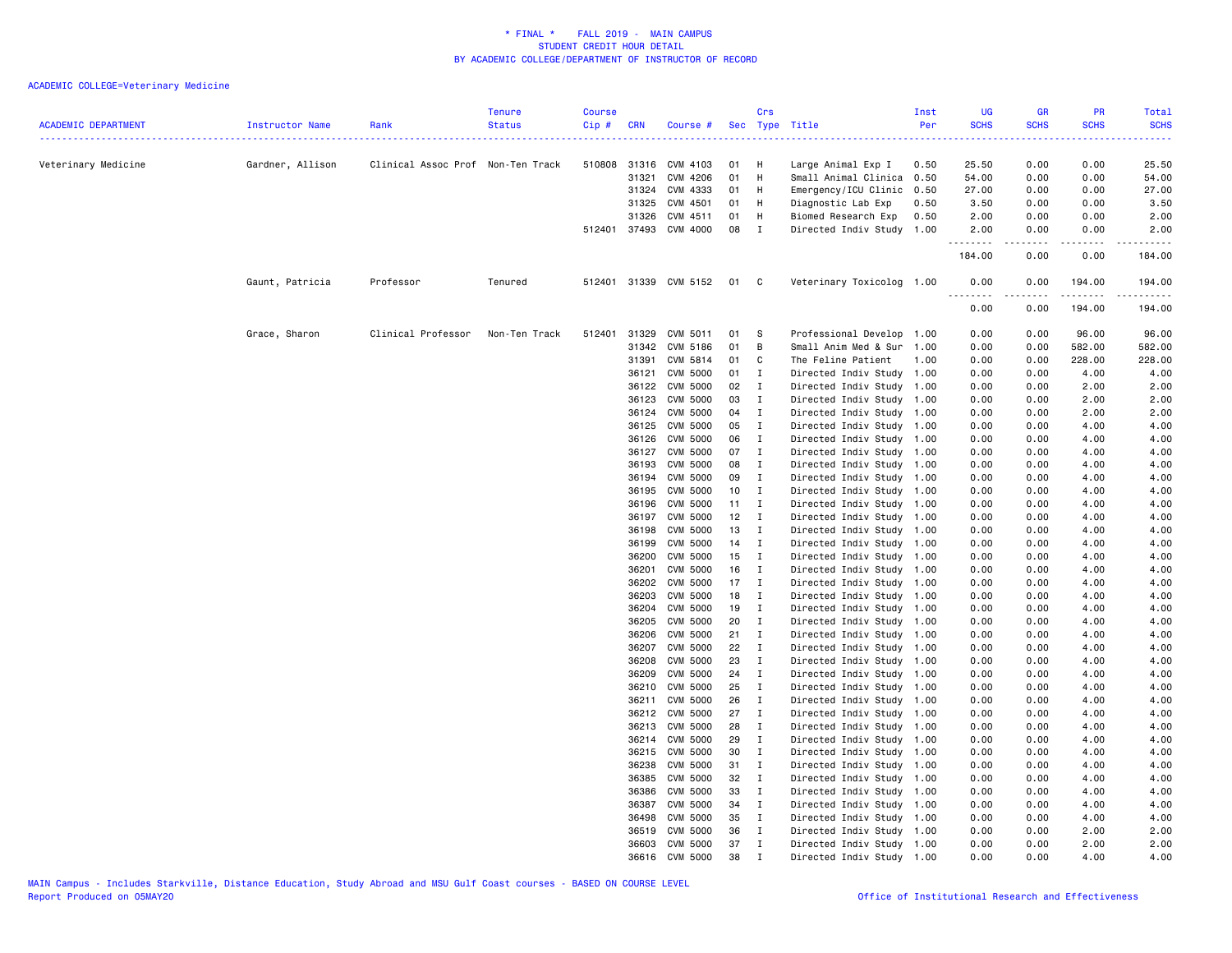| <b>ACADEMIC DEPARTMENT</b> | Instructor Name  | Rank                              | <b>Tenure</b><br><b>Status</b> | <b>Course</b><br>Cip# | <b>CRN</b>     | Course #                   |              | Crs                            | Sec Type Title                                         | Inst<br>Per | UG<br><b>SCHS</b> | <b>GR</b><br><b>SCHS</b> | PR<br><b>SCHS</b> | Total<br><b>SCHS</b>                                                                                                                                           |
|----------------------------|------------------|-----------------------------------|--------------------------------|-----------------------|----------------|----------------------------|--------------|--------------------------------|--------------------------------------------------------|-------------|-------------------|--------------------------|-------------------|----------------------------------------------------------------------------------------------------------------------------------------------------------------|
| Veterinary Medicine        | Gardner, Allison | Clinical Assoc Prof Non-Ten Track | . <u>.</u> .                   |                       |                | 510808 31316 CVM 4103      | 01           | - H                            | Large Animal Exp I                                     | 0.50        | 25.50             | 0.00                     | 0.00              | 25.50                                                                                                                                                          |
|                            |                  |                                   |                                |                       | 31321          | CVM 4206                   | 01           | H                              | Small Animal Clinica                                   | 0.50        | 54.00             | 0.00                     | 0.00              | 54.00                                                                                                                                                          |
|                            |                  |                                   |                                |                       | 31324          | CVM 4333                   | 01 H         |                                | Emergency/ICU Clinic                                   | 0.50        | 27.00             | 0.00                     | 0.00              | 27.00                                                                                                                                                          |
|                            |                  |                                   |                                |                       | 31325          | CVM 4501                   | 01 H         |                                | Diagnostic Lab Exp                                     | 0.50        | 3.50              | 0.00                     | 0.00              | 3.50                                                                                                                                                           |
|                            |                  |                                   |                                |                       | 31326          | CVM 4511                   | 01           | H                              | Biomed Research Exp                                    | 0.50        | 2.00              | 0.00                     | 0.00              | 2.00                                                                                                                                                           |
|                            |                  |                                   |                                |                       |                | 512401 37493 CVM 4000      | 08           | $\mathbf{I}$                   | Directed Indiv Study 1.00                              |             | 2.00<br>.         | 0.00<br>.                | 0.00<br><u>.</u>  | 2.00<br>.                                                                                                                                                      |
|                            |                  |                                   |                                |                       |                |                            |              |                                |                                                        |             | 184.00            | 0.00                     | 0.00              | 184.00                                                                                                                                                         |
|                            | Gaunt, Patricia  | Professor                         | Tenured                        |                       |                | 512401 31339 CVM 5152      | 01           | $\overline{\phantom{a}}$ C     | Veterinary Toxicolog 1.00                              |             | 0.00<br>.         | 0.00                     | 194.00<br>.       | 194.00<br>$\frac{1}{2} \left( \frac{1}{2} \right) \left( \frac{1}{2} \right) \left( \frac{1}{2} \right) \left( \frac{1}{2} \right) \left( \frac{1}{2} \right)$ |
|                            |                  |                                   |                                |                       |                |                            |              |                                |                                                        |             | 0.00              | 0.00                     | 194.00            | 194.00                                                                                                                                                         |
|                            | Grace, Sharon    | Clinical Professor                | Non-Ten Track                  | 512401                | 31329          | CVM 5011                   | 01           | - S                            | Professional Develop 1.00                              |             | 0.00              | 0.00                     | 96.00             | 96.00                                                                                                                                                          |
|                            |                  |                                   |                                |                       | 31342          | CVM 5186                   | 01           | B                              | Small Anim Med & Sur 1.00                              |             | 0.00              | 0.00                     | 582.00            | 582.00                                                                                                                                                         |
|                            |                  |                                   |                                |                       | 31391          | CVM 5814                   | 01           | C                              | The Feline Patient                                     | 1.00        | 0.00              | 0.00                     | 228.00            | 228.00                                                                                                                                                         |
|                            |                  |                                   |                                |                       | 36121          | <b>CVM 5000</b>            | 01           | $\mathbf{I}$                   | Directed Indiv Study 1.00                              |             | 0.00              | 0.00                     | 4.00              | 4.00                                                                                                                                                           |
|                            |                  |                                   |                                |                       | 36122          | CVM 5000                   | 02           | $\blacksquare$                 | Directed Indiv Study                                   | 1.00        | 0.00              | 0.00                     | 2.00              | 2.00                                                                                                                                                           |
|                            |                  |                                   |                                |                       | 36123          | CVM 5000<br>36124 CVM 5000 | 03<br>04     | $\mathbf I$<br>$\mathbf{I}$    | Directed Indiv Study 1.00                              |             | 0.00<br>0.00      | 0.00<br>0.00             | 2.00<br>2.00      | 2.00<br>2.00                                                                                                                                                   |
|                            |                  |                                   |                                |                       | 36125          | CVM 5000                   | 05           | $\mathbf{I}$                   | Directed Indiv Study 1.00<br>Directed Indiv Study 1.00 |             | 0.00              | 0.00                     | 4.00              | 4.00                                                                                                                                                           |
|                            |                  |                                   |                                |                       | 36126          | CVM 5000                   | 06           | $\mathbf{I}$                   | Directed Indiv Study 1.00                              |             | 0.00              | 0.00                     | 4.00              | 4.00                                                                                                                                                           |
|                            |                  |                                   |                                |                       | 36127          | CVM 5000                   | 07           | $\mathbf{I}$                   | Directed Indiv Study 1.00                              |             | 0.00              | 0.00                     | 4.00              | 4.00                                                                                                                                                           |
|                            |                  |                                   |                                |                       | 36193          | CVM 5000                   | 08           | $\mathbf{I}$                   | Directed Indiv Study 1.00                              |             | 0.00              | 0.00                     | 4.00              | 4.00                                                                                                                                                           |
|                            |                  |                                   |                                |                       | 36194          | <b>CVM 5000</b>            | 09           | $\blacksquare$                 | Directed Indiv Study 1.00                              |             | 0.00              | 0.00                     | 4.00              | 4.00                                                                                                                                                           |
|                            |                  |                                   |                                |                       | 36195          | <b>CVM 5000</b>            | 10           | $\mathbf{I}$                   | Directed Indiv Study 1.00                              |             | 0.00              | 0.00                     | 4.00              | 4.00                                                                                                                                                           |
|                            |                  |                                   |                                |                       | 36196          | <b>CVM 5000</b>            | $11 \quad I$ |                                | Directed Indiv Study 1.00                              |             | 0.00              | 0.00                     | 4.00              | 4.00                                                                                                                                                           |
|                            |                  |                                   |                                |                       | 36197          | CVM 5000                   | $12$ I       |                                | Directed Indiv Study 1.00                              |             | 0.00              | 0.00                     | 4.00              | 4.00                                                                                                                                                           |
|                            |                  |                                   |                                |                       | 36198          | CVM 5000                   | 13           | I                              | Directed Indiv Study 1.00                              |             | 0.00              | 0.00                     | 4.00              | 4.00                                                                                                                                                           |
|                            |                  |                                   |                                |                       | 36199          | CVM 5000                   | 14           | $\mathbf{I}$                   | Directed Indiv Study 1.00                              |             | 0.00              | 0.00                     | 4.00              | 4.00                                                                                                                                                           |
|                            |                  |                                   |                                |                       | 36200          | CVM 5000                   | 15           | $\mathbf{I}$                   | Directed Indiv Study 1.00                              |             | 0.00              | 0.00                     | 4.00              | 4.00                                                                                                                                                           |
|                            |                  |                                   |                                |                       | 36201          | CVM 5000                   | 16           | $\mathbf{I}$                   | Directed Indiv Study 1.00                              |             | 0.00              | 0.00                     | 4.00              | 4.00                                                                                                                                                           |
|                            |                  |                                   |                                |                       | 36202          | <b>CVM 5000</b>            | 17           | $\mathbf{I}$                   | Directed Indiv Study 1.00                              |             | 0.00              | 0.00                     | 4.00              | 4.00                                                                                                                                                           |
|                            |                  |                                   |                                |                       | 36203          | CVM 5000                   | 18           | $\mathbf{I}$                   | Directed Indiv Study 1.00                              |             | 0.00              | 0.00                     | 4.00              | 4.00                                                                                                                                                           |
|                            |                  |                                   |                                |                       | 36204          | CVM 5000                   | 19           | $\blacksquare$                 | Directed Indiv Study 1.00                              |             | 0.00              | 0.00                     | 4.00              | 4.00                                                                                                                                                           |
|                            |                  |                                   |                                |                       | 36205          | <b>CVM 5000</b>            | 20           | $\mathbf I$                    | Directed Indiv Study 1.00                              |             | 0.00              | 0.00                     | 4.00              | 4.00                                                                                                                                                           |
|                            |                  |                                   |                                |                       | 36206          | CVM 5000                   | 21           | $\mathbf{I}$                   | Directed Indiv Study 1.00                              |             | 0.00              | 0.00                     | 4.00              | 4.00                                                                                                                                                           |
|                            |                  |                                   |                                |                       | 36207<br>36208 | CVM 5000<br>CVM 5000       | 22<br>23     | $\mathbf{I}$<br>$\blacksquare$ | Directed Indiv Study 1.00<br>Directed Indiv Study 1.00 |             | 0.00<br>0.00      | 0.00<br>0.00             | 4.00<br>4.00      | 4.00<br>4.00                                                                                                                                                   |
|                            |                  |                                   |                                |                       | 36209          | <b>CVM 5000</b>            | 24           | $\mathbf{I}$                   | Directed Indiv Study 1.00                              |             | 0.00              | 0.00                     | 4.00              | 4.00                                                                                                                                                           |
|                            |                  |                                   |                                |                       |                | 36210 CVM 5000             | 25           | $\mathbf{I}$                   | Directed Indiv Study 1.00                              |             | 0.00              | 0.00                     | 4.00              | 4.00                                                                                                                                                           |
|                            |                  |                                   |                                |                       | 36211          | <b>CVM 5000</b>            | 26           | $\mathbf{I}$                   | Directed Indiv Study 1.00                              |             | 0.00              | 0.00                     | 4.00              | 4.00                                                                                                                                                           |
|                            |                  |                                   |                                |                       |                | 36212 CVM 5000             | 27           | I                              | Directed Indiv Study 1.00                              |             | 0.00              | 0.00                     | 4.00              | 4.00                                                                                                                                                           |
|                            |                  |                                   |                                |                       |                | 36213 CVM 5000             | 28           | $\mathbf{I}$                   | Directed Indiv Study 1.00                              |             | 0.00              | 0.00                     | 4.00              | 4.00                                                                                                                                                           |
|                            |                  |                                   |                                |                       |                | 36214 CVM 5000             | 29           | $\mathbf{I}$                   | Directed Indiv Study 1.00                              |             | 0.00              | 0.00                     | 4.00              | 4.00                                                                                                                                                           |
|                            |                  |                                   |                                |                       | 36215          | CVM 5000                   | 30           | $\blacksquare$                 | Directed Indiv Study 1.00                              |             | 0.00              | 0.00                     | 4.00              | 4.00                                                                                                                                                           |
|                            |                  |                                   |                                |                       | 36238          | <b>CVM 5000</b>            | 31           | $\mathbf{I}$                   | Directed Indiv Study 1.00                              |             | 0.00              | 0.00                     | 4.00              | 4.00                                                                                                                                                           |
|                            |                  |                                   |                                |                       | 36385          | <b>CVM 5000</b>            | 32           | $\mathbf{I}$                   | Directed Indiv Study 1.00                              |             | 0.00              | 0.00                     | 4.00              | 4.00                                                                                                                                                           |
|                            |                  |                                   |                                |                       | 36386          | <b>CVM 5000</b>            | 33           | $\mathbf{I}$                   | Directed Indiv Study 1.00                              |             | 0.00              | 0.00                     | 4.00              | 4.00                                                                                                                                                           |
|                            |                  |                                   |                                |                       | 36387          | CVM 5000                   | 34           | I                              | Directed Indiv Study 1.00                              |             | 0.00              | 0.00                     | 4.00              | 4.00                                                                                                                                                           |
|                            |                  |                                   |                                |                       | 36498          | CVM 5000                   | 35           | $\mathbf{I}$                   | Directed Indiv Study 1.00                              |             | 0.00              | 0.00                     | 4.00              | 4.00                                                                                                                                                           |
|                            |                  |                                   |                                |                       | 36519          | <b>CVM 5000</b>            | 36           | $\mathbf{I}$                   | Directed Indiv Study 1.00                              |             | 0.00              | 0.00                     | 2.00              | 2.00                                                                                                                                                           |
|                            |                  |                                   |                                |                       | 36603          | CVM 5000                   | 37           | $\mathbf{I}$                   | Directed Indiv Study 1.00                              |             | 0.00              | 0.00                     | 2.00              | 2.00                                                                                                                                                           |
|                            |                  |                                   |                                |                       |                | 36616 CVM 5000             | 38           | $\mathbf I$                    | Directed Indiv Study 1.00                              |             | 0.00              | 0.00                     | 4.00              | 4.00                                                                                                                                                           |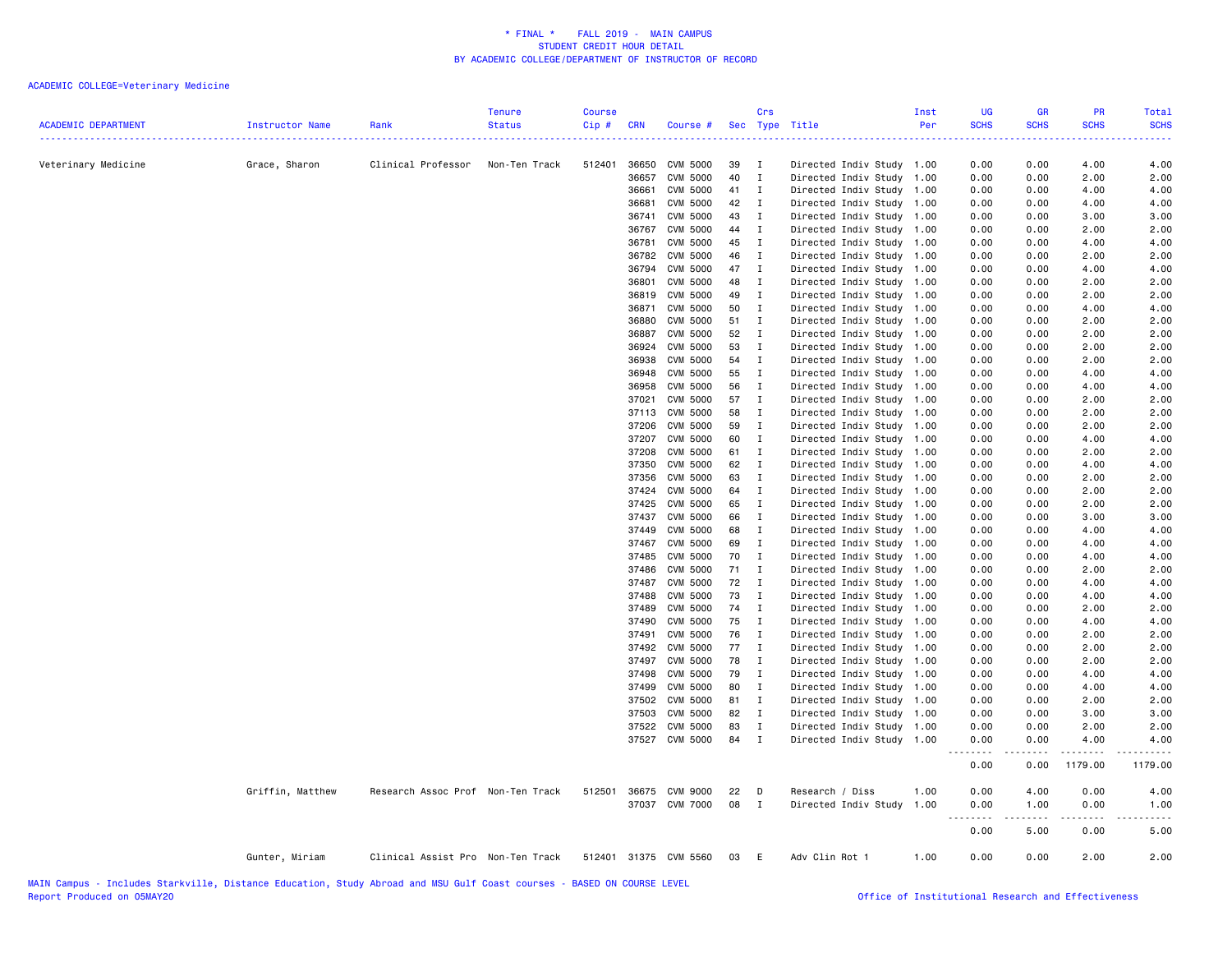| <b>ACADEMIC DEPARTMENT</b> | Instructor Name  | Rank                              | <b>Tenure</b><br><b>Status</b> | <b>Course</b><br>Cip # | <b>CRN</b>     | Course #              |          | Crs                          | Sec Type Title                                         | Inst<br>Per | <b>UG</b><br><b>SCHS</b> | <b>GR</b><br><b>SCHS</b> | <b>PR</b><br><b>SCHS</b> | <b>Total</b><br><b>SCHS</b> |
|----------------------------|------------------|-----------------------------------|--------------------------------|------------------------|----------------|-----------------------|----------|------------------------------|--------------------------------------------------------|-------------|--------------------------|--------------------------|--------------------------|-----------------------------|
| Veterinary Medicine        | Grace, Sharon    | Clinical Professor                | Non-Ten Track                  | 512401                 | 36650          | CVM 5000              | 39       | $\mathbf{I}$                 | Directed Indiv Study 1.00                              |             | 0.00                     | 0.00                     | 4.00                     | 4.00                        |
|                            |                  |                                   |                                |                        | 36657          | CVM 5000              | 40       | $\mathbf{I}$                 | Directed Indiv Study 1.00                              |             | 0.00                     | 0.00                     | 2.00                     | 2.00                        |
|                            |                  |                                   |                                |                        | 36661          | CVM 5000              | 41       | $\mathbf{I}$                 | Directed Indiv Study                                   | 1.00        | 0.00                     | 0.00                     | 4.00                     | 4.00                        |
|                            |                  |                                   |                                |                        | 36681          | CVM 5000              | 42       | $\mathbf{I}$                 | Directed Indiv Study 1.00                              |             | 0.00                     | 0.00                     | 4.00                     | 4.00                        |
|                            |                  |                                   |                                |                        | 36741          | CVM 5000              | 43       | $\mathbf{I}$                 | Directed Indiv Study 1.00                              |             | 0.00                     | 0.00                     | 3.00                     | 3.00                        |
|                            |                  |                                   |                                |                        | 36767          | <b>CVM 5000</b>       | 44       | $\mathbf{I}$                 | Directed Indiv Study 1.00                              |             | 0.00                     | 0.00                     | 2.00                     | 2.00                        |
|                            |                  |                                   |                                |                        | 36781          | <b>CVM 5000</b>       | 45       | $\mathbf{I}$                 | Directed Indiv Study 1.00                              |             | 0.00                     | 0.00                     | 4.00                     | 4.00                        |
|                            |                  |                                   |                                |                        | 36782          | <b>CVM 5000</b>       | 46       | $\mathbf{I}$                 | Directed Indiv Study 1.00                              |             | 0.00                     | 0.00                     | 2.00                     | 2.00                        |
|                            |                  |                                   |                                |                        | 36794          | <b>CVM 5000</b>       | 47       | $\mathbf{I}$                 | Directed Indiv Study 1.00                              |             | 0.00                     | 0.00                     | 4.00                     | 4.00                        |
|                            |                  |                                   |                                |                        | 36801          | <b>CVM 5000</b>       | 48       | $\mathbf{I}$                 | Directed Indiv Study                                   | 1.00        | 0.00                     | 0.00                     | 2.00                     | 2.00                        |
|                            |                  |                                   |                                |                        | 36819          | CVM 5000              | 49       | $\mathbf{I}$                 | Directed Indiv Study                                   | 1.00        | 0.00                     | 0.00                     | 2.00                     | 2.00                        |
|                            |                  |                                   |                                |                        | 36871          | <b>CVM 5000</b>       | 50       | $\mathbf{I}$                 | Directed Indiv Study 1.00                              |             | 0.00                     | 0.00                     | 4.00                     | 4.00                        |
|                            |                  |                                   |                                |                        | 36880          | CVM 5000              | 51       | $\mathbf{I}$                 | Directed Indiv Study 1.00                              |             | 0.00                     | 0.00                     | 2.00                     | 2.00                        |
|                            |                  |                                   |                                |                        | 36887          | CVM 5000              | 52       | $\mathbf{I}$                 | Directed Indiv Study 1.00                              |             | 0.00                     | 0.00                     | 2.00                     | 2.00                        |
|                            |                  |                                   |                                |                        | 36924          | CVM 5000              | 53       | $\mathbf{I}$                 | Directed Indiv Study 1.00                              |             | 0.00                     | 0.00                     | 2.00                     | 2.00                        |
|                            |                  |                                   |                                |                        | 36938          | CVM 5000              | 54       | $\mathbf{I}$                 | Directed Indiv Study 1.00                              |             | 0.00                     | 0.00                     | 2.00                     | 2.00                        |
|                            |                  |                                   |                                |                        | 36948          | CVM 5000              | 55       | $\mathbf{I}$                 | Directed Indiv Study 1.00                              |             | 0.00                     | 0.00                     | 4.00                     | 4.00                        |
|                            |                  |                                   |                                |                        | 36958          | CVM 5000              | 56       | $\mathbf{I}$                 | Directed Indiv Study                                   | 1.00        | 0.00                     | 0.00                     | 4.00                     | 4.00                        |
|                            |                  |                                   |                                |                        | 37021          | <b>CVM 5000</b>       | 57       | $\mathbf{I}$                 | Directed Indiv Study                                   | 1.00        | 0.00                     | 0.00                     | 2.00                     | 2.00                        |
|                            |                  |                                   |                                |                        | 37113          | <b>CVM 5000</b>       | 58       | $\mathbf{I}$                 | Directed Indiv Study 1.00                              |             | 0.00                     | 0.00                     | 2.00                     | 2.00                        |
|                            |                  |                                   |                                |                        | 37206          | <b>CVM 5000</b>       | 59       | $\mathbf{I}$                 | Directed Indiv Study 1.00                              |             | 0.00                     | 0.00                     | 2.00                     | 2.00                        |
|                            |                  |                                   |                                |                        | 37207          | CVM 5000              | 60       | $\mathbf{I}$                 | Directed Indiv Study 1.00                              |             | 0.00                     | 0.00                     | 4.00                     | 4.00                        |
|                            |                  |                                   |                                |                        | 37208          | CVM 5000              | 61       | $\mathbf{I}$                 | Directed Indiv Study 1.00                              |             | 0.00                     | 0.00                     | 2.00                     | 2.00                        |
|                            |                  |                                   |                                |                        | 37350          | <b>CVM 5000</b>       | 62       | $\mathbf{I}$                 | Directed Indiv Study 1.00                              |             | 0.00                     | 0.00                     | 4.00                     | 4.00                        |
|                            |                  |                                   |                                |                        | 37356          | CVM 5000<br>CVM 5000  | 63<br>64 | $\mathbf{I}$                 | Directed Indiv Study 1.00                              |             | 0.00                     | 0.00                     | 2.00                     | 2.00                        |
|                            |                  |                                   |                                |                        | 37424<br>37425 | <b>CVM 5000</b>       | 65       | $\mathbf{I}$<br>$\mathbf{I}$ | Directed Indiv Study 1.00<br>Directed Indiv Study 1.00 |             | 0.00<br>0.00             | 0.00<br>0.00             | 2.00<br>2.00             | 2.00<br>2.00                |
|                            |                  |                                   |                                |                        | 37437          | <b>CVM 5000</b>       | 66       | $\mathbf{I}$                 | Directed Indiv Study 1.00                              |             | 0.00                     | 0.00                     | 3.00                     | 3.00                        |
|                            |                  |                                   |                                |                        | 37449          | CVM 5000              | 68       | $\blacksquare$               | Directed Indiv Study                                   | 1.00        | 0.00                     | 0.00                     | 4.00                     | 4.00                        |
|                            |                  |                                   |                                |                        | 37467          | <b>CVM 5000</b>       | 69       | $\mathbf{I}$                 | Directed Indiv Study                                   | 1.00        | 0.00                     | 0.00                     | 4.00                     | 4.00                        |
|                            |                  |                                   |                                |                        | 37485          | CVM 5000              | 70       | $\mathbf{I}$                 | Directed Indiv Study 1.00                              |             | 0.00                     | 0.00                     | 4.00                     | 4.00                        |
|                            |                  |                                   |                                |                        | 37486          | <b>CVM 5000</b>       | 71       | $\mathbf{I}$                 | Directed Indiv Study 1.00                              |             | 0.00                     | 0.00                     | 2.00                     | 2.00                        |
|                            |                  |                                   |                                |                        | 37487          | <b>CVM 5000</b>       | 72       | $\mathbf{I}$                 | Directed Indiv Study 1.00                              |             | 0.00                     | 0.00                     | 4.00                     | 4.00                        |
|                            |                  |                                   |                                |                        | 37488          | <b>CVM 5000</b>       | 73       | $\mathbf{I}$                 | Directed Indiv Study 1.00                              |             | 0.00                     | 0.00                     | 4.00                     | 4.00                        |
|                            |                  |                                   |                                |                        | 37489          | <b>CVM 5000</b>       | 74       | $\mathbf{I}$                 | Directed Indiv Study                                   | 1.00        | 0.00                     | 0.00                     | 2.00                     | 2.00                        |
|                            |                  |                                   |                                |                        | 37490          | CVM 5000              | 75       | $\blacksquare$               | Directed Indiv Study                                   | 1.00        | 0.00                     | 0.00                     | 4.00                     | 4.00                        |
|                            |                  |                                   |                                |                        | 37491          | <b>CVM 5000</b>       | 76       | $\mathbf{I}$                 | Directed Indiv Study                                   | 1.00        | 0.00                     | 0.00                     | 2.00                     | 2.00                        |
|                            |                  |                                   |                                |                        | 37492          | CVM 5000              | 77       | $\blacksquare$               | Directed Indiv Study                                   | 1.00        | 0.00                     | 0.00                     | 2.00                     | 2.00                        |
|                            |                  |                                   |                                |                        | 37497          | <b>CVM 5000</b>       | 78       | $\mathbf{I}$                 | Directed Indiv Study 1.00                              |             | 0.00                     | 0.00                     | 2.00                     | 2.00                        |
|                            |                  |                                   |                                |                        | 37498          | CVM 5000              | 79       | $\mathbf{I}$                 | Directed Indiv Study                                   | 1.00        | 0.00                     | 0.00                     | 4.00                     | 4.00                        |
|                            |                  |                                   |                                |                        | 37499          | CVM 5000              | 80       | $\mathbf{I}$                 | Directed Indiv Study 1.00                              |             | 0.00                     | 0.00                     | 4.00                     | 4.00                        |
|                            |                  |                                   |                                |                        | 37502          | <b>CVM 5000</b>       | 81       | $\mathbf{I}$                 | Directed Indiv Study 1.00                              |             | 0.00                     | 0.00                     | 2.00                     | 2.00                        |
|                            |                  |                                   |                                |                        | 37503          | CVM 5000              | 82       | $\mathbf{I}$                 | Directed Indiv Study 1.00                              |             | 0.00                     | 0.00                     | 3.00                     | 3.00                        |
|                            |                  |                                   |                                |                        | 37522          | <b>CVM 5000</b>       | 83       | $\mathbf{I}$                 | Directed Indiv Study 1.00                              |             | 0.00                     | 0.00                     | 2.00                     | 2.00                        |
|                            |                  |                                   |                                |                        |                | 37527 CVM 5000        | 84       | $\mathbf{I}$                 | Directed Indiv Study 1.00                              |             | 0.00<br>.                | 0.00                     | 4.00                     | 4.00                        |
|                            |                  |                                   |                                |                        |                |                       |          |                              |                                                        |             | 0.00                     | 0.00                     | 1179.00                  | 1179.00                     |
|                            | Griffin, Matthew | Research Assoc Prof Non-Ten Track |                                |                        |                | 512501 36675 CVM 9000 | 22       | $\mathsf{D}$                 | Research / Diss                                        | 1.00        | 0.00                     | 4.00                     | 0.00                     | 4.00                        |
|                            |                  |                                   |                                |                        |                | 37037 CVM 7000        | 08       | $\mathbf{I}$                 | Directed Indiv Study                                   | 1.00        | 0.00                     | 1.00                     | 0.00                     | 1.00                        |
|                            |                  |                                   |                                |                        |                |                       |          |                              |                                                        |             | <u>.</u>                 | .                        | 22222                    | .<br>$\frac{1}{2}$          |
|                            |                  |                                   |                                |                        |                |                       |          |                              |                                                        |             | 0.00                     | 5.00                     | 0.00                     | 5.00                        |
|                            | Gunter, Miriam   | Clinical Assist Pro Non-Ten Track |                                |                        |                | 512401 31375 CVM 5560 | 03       | E.                           | Adv Clin Rot 1                                         | 1.00        | 0.00                     | 0.00                     | 2.00                     | 2.00                        |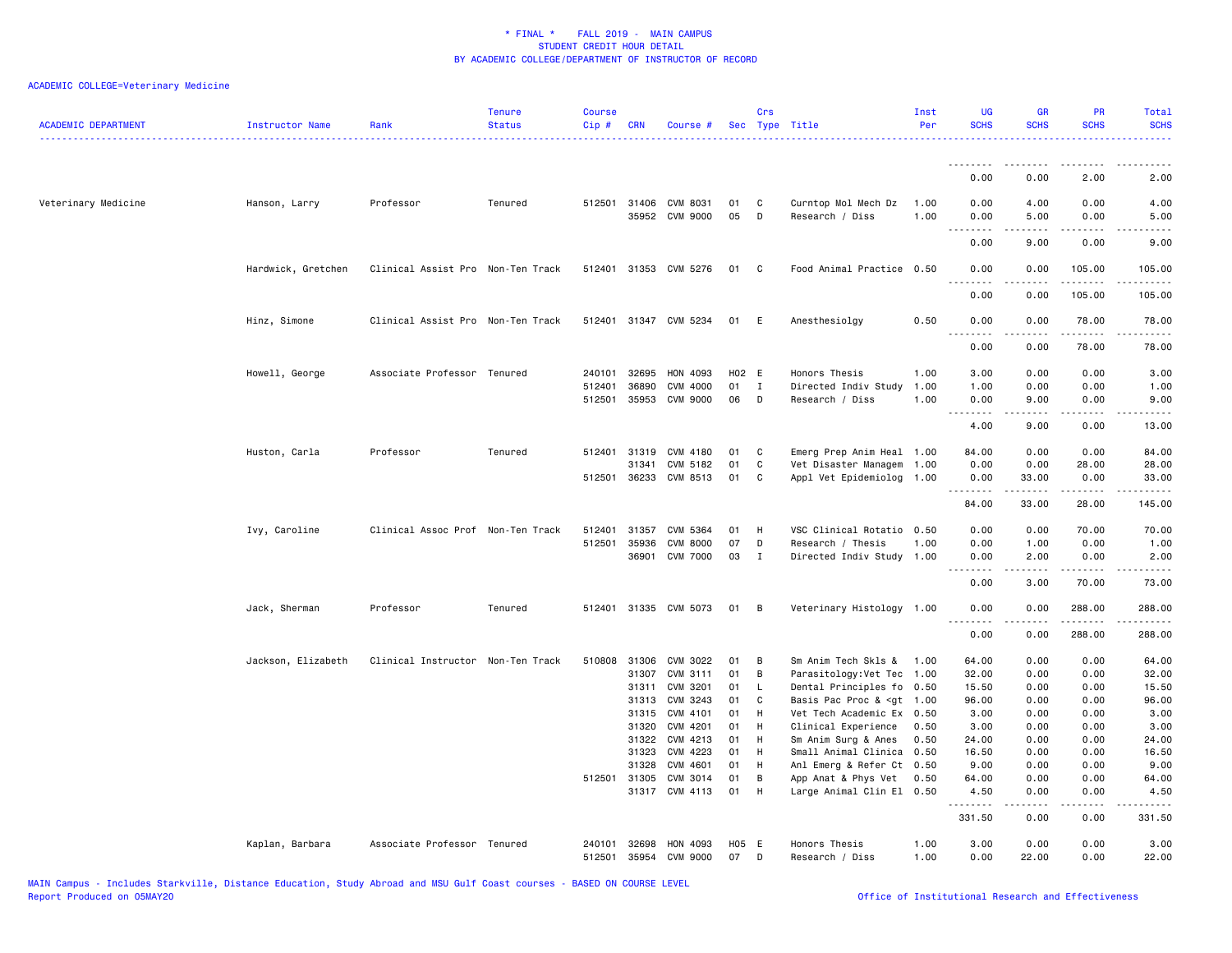| <b>ACADEMIC DEPARTMENT</b> | Instructor Name    | Rank                              | <b>Tenure</b><br><b>Status</b> | <b>Course</b><br>Cip# | <b>CRN</b>     | Course #                                |          | Crs          | Sec Type Title                                                                                        | Inst<br>Per  | <b>UG</b><br><b>SCHS</b> | <b>GR</b><br><b>SCHS</b>                                                                                                                                     | <b>PR</b><br><b>SCHS</b> | Total<br><b>SCHS</b>                                                                                                                                         |
|----------------------------|--------------------|-----------------------------------|--------------------------------|-----------------------|----------------|-----------------------------------------|----------|--------------|-------------------------------------------------------------------------------------------------------|--------------|--------------------------|--------------------------------------------------------------------------------------------------------------------------------------------------------------|--------------------------|--------------------------------------------------------------------------------------------------------------------------------------------------------------|
|                            |                    |                                   |                                |                       |                |                                         |          |              |                                                                                                       |              | <u>.</u><br>0.00         | -----<br>0.00                                                                                                                                                | 2.00                     | 2.00                                                                                                                                                         |
| Veterinary Medicine        | Hanson, Larry      | Professor                         | Tenured                        |                       |                | 512501 31406 CVM 8031<br>35952 CVM 9000 | 01<br>05 | C<br>D       | Curntop Mol Mech Dz<br>Research / Diss                                                                | 1.00<br>1.00 | 0.00<br>0.00             | 4.00<br>5.00                                                                                                                                                 | 0.00<br>0.00             | 4.00<br>5.00                                                                                                                                                 |
|                            |                    |                                   |                                |                       |                |                                         |          |              |                                                                                                       |              | .<br>0.00                | .<br>9.00                                                                                                                                                    | .<br>0.00                | $\frac{1}{2} \left( \frac{1}{2} \right) \left( \frac{1}{2} \right) \left( \frac{1}{2} \right) \left( \frac{1}{2} \right) \left( \frac{1}{2} \right)$<br>9.00 |
|                            | Hardwick, Gretchen | Clinical Assist Pro Non-Ten Track |                                |                       |                | 512401 31353 CVM 5276                   | 01       | C            | Food Animal Practice 0.50                                                                             |              | 0.00                     | 0.00                                                                                                                                                         | 105.00                   | 105.00                                                                                                                                                       |
|                            |                    |                                   |                                |                       |                |                                         |          |              |                                                                                                       |              | 0.00                     | 0.00                                                                                                                                                         | 105.00                   | 105.00                                                                                                                                                       |
|                            | Hinz, Simone       | Clinical Assist Pro Non-Ten Track |                                |                       |                | 512401 31347 CVM 5234                   | 01       | E            | Anesthesiolgy                                                                                         | 0.50         | 0.00<br>$- - - -$        | 0.00<br>.                                                                                                                                                    | 78.00<br>.               | 78.00<br>.                                                                                                                                                   |
|                            |                    |                                   |                                |                       |                |                                         |          |              |                                                                                                       |              | 0.00                     | 0.00                                                                                                                                                         | 78.00                    | 78.00                                                                                                                                                        |
|                            | Howell, George     | Associate Professor Tenured       |                                | 240101                | 32695          | HON 4093                                |          | H02 E        | Honors Thesis                                                                                         | 1.00         | 3.00                     | 0.00                                                                                                                                                         | 0.00                     | 3.00                                                                                                                                                         |
|                            |                    |                                   |                                | 512401                | 36890          | CVM 4000                                | 01       | Ι.           | Directed Indiv Study                                                                                  | 1.00         | 1.00                     | 0.00                                                                                                                                                         | 0.00                     | 1.00                                                                                                                                                         |
|                            |                    |                                   |                                | 512501                | 35953          | CVM 9000                                | 06       | D            | Research / Diss                                                                                       | 1.00         | 0.00<br><u>.</u>         | 9.00<br>$\frac{1}{2} \left( \frac{1}{2} \right) \left( \frac{1}{2} \right) \left( \frac{1}{2} \right) \left( \frac{1}{2} \right) \left( \frac{1}{2} \right)$ | 0.00<br>.                | 9.00<br>.                                                                                                                                                    |
|                            |                    |                                   |                                |                       |                |                                         |          |              |                                                                                                       |              | 4.00                     | 9.00                                                                                                                                                         | 0.00                     | 13.00                                                                                                                                                        |
|                            | Huston, Carla      | Professor                         | Tenured                        | 512401                | 31319          | CVM 4180                                | 01       | C            | Emerg Prep Anim Heal 1.00                                                                             |              | 84.00                    | 0.00                                                                                                                                                         | 0.00                     | 84.00                                                                                                                                                        |
|                            |                    |                                   |                                |                       | 31341          | CVM 5182                                | 01       | $\mathtt{C}$ | Vet Disaster Managem                                                                                  | 1.00         | 0.00                     | 0.00                                                                                                                                                         | 28.00                    | 28.00                                                                                                                                                        |
|                            |                    |                                   |                                |                       |                | 512501 36233 CVM 8513                   | 01       | C            | Appl Vet Epidemiolog                                                                                  | 1.00         | 0.00<br>.                | 33.00<br>-----                                                                                                                                               | 0.00<br>د د د د د        | 33,00<br>.                                                                                                                                                   |
|                            |                    |                                   |                                |                       |                |                                         |          |              |                                                                                                       |              | 84.00                    | 33.00                                                                                                                                                        | 28.00                    | 145.00                                                                                                                                                       |
|                            | Ivy, Caroline      | Clinical Assoc Prof Non-Ten Track |                                | 512401                | 31357          | CVM 5364                                | 01       | H            | VSC Clinical Rotatio                                                                                  | 0.50         | 0.00                     | 0.00                                                                                                                                                         | 70.00                    | 70.00                                                                                                                                                        |
|                            |                    |                                   |                                | 512501                | 35936          | <b>CVM 8000</b>                         | 07       | D            | Research / Thesis                                                                                     | 1.00         | 0.00                     | 1.00                                                                                                                                                         | 0.00                     | 1.00                                                                                                                                                         |
|                            |                    |                                   |                                |                       | 36901          | <b>CVM 7000</b>                         | 03       | Ι.           | Directed Indiv Study                                                                                  | 1.00         | 0.00<br>.                | 2.00<br>.                                                                                                                                                    | 0.00<br>.                | 2.00<br>.                                                                                                                                                    |
|                            |                    |                                   |                                |                       |                |                                         |          |              |                                                                                                       |              | 0.00                     | 3.00                                                                                                                                                         | 70.00                    | 73.00                                                                                                                                                        |
|                            | Jack, Sherman      | Professor                         | Tenured                        | 512401                |                | 31335 CVM 5073                          | 01       | в            | Veterinary Histology 1.00                                                                             |              | 0.00<br>$\frac{1}{2}$    | 0.00                                                                                                                                                         | 288.00<br>.              | 288.00<br>$- - - - -$                                                                                                                                        |
|                            |                    |                                   |                                |                       |                |                                         |          |              |                                                                                                       |              | 0.00                     | 0.00                                                                                                                                                         | 288.00                   | 288.00                                                                                                                                                       |
|                            | Jackson, Elizabeth | Clinical Instructor Non-Ten Track |                                | 510808                | 31306          | CVM 3022                                | 01       | B            | Sm Anim Tech Skls &                                                                                   | 1.00         | 64.00                    | 0.00                                                                                                                                                         | 0.00                     | 64.00                                                                                                                                                        |
|                            |                    |                                   |                                |                       | 31307          | CVM 3111                                | 01       | B            | Parasitology:Vet Tec                                                                                  | 1.00         | 32.00                    | 0.00                                                                                                                                                         | 0.00                     | 32.00                                                                                                                                                        |
|                            |                    |                                   |                                |                       | 31311          | CVM 3201                                | 01       | L            | Dental Principles fo                                                                                  | 0.50         | 15.50                    | 0.00                                                                                                                                                         | 0.00                     | 15.50                                                                                                                                                        |
|                            |                    |                                   |                                |                       | 31313          | CVM 3243                                | 01       | C            | Basis Pac Proc & <gt< td=""><td>1.00</td><td>96.00</td><td>0.00</td><td>0.00</td><td>96.00</td></gt<> | 1.00         | 96.00                    | 0.00                                                                                                                                                         | 0.00                     | 96.00                                                                                                                                                        |
|                            |                    |                                   |                                |                       | 31315          | CVM 4101                                | 01       | H            | Vet Tech Academic Ex                                                                                  | 0.50         | 3.00                     | 0.00                                                                                                                                                         | 0.00                     | 3.00                                                                                                                                                         |
|                            |                    |                                   |                                |                       | 31320          | CVM 4201                                | 01       | Н            | Clinical Experience                                                                                   | 0.50         | 3.00                     | 0.00                                                                                                                                                         | 0.00                     | 3.00                                                                                                                                                         |
|                            |                    |                                   |                                |                       | 31322<br>31323 | CVM 4213<br>CVM 4223                    | 01<br>01 | H<br>H       | Sm Anim Surg & Anes<br>Small Animal Clinica                                                           | 0.50<br>0.50 | 24.00<br>16.50           | 0.00<br>0.00                                                                                                                                                 | 0.00<br>0.00             | 24.00<br>16.50                                                                                                                                               |
|                            |                    |                                   |                                |                       | 31328          | CVM 4601                                | 01       | H            | Anl Emerg & Refer Ct                                                                                  | 0.50         | 9.00                     | 0.00                                                                                                                                                         | 0.00                     | 9.00                                                                                                                                                         |
|                            |                    |                                   |                                |                       | 512501 31305   | CVM 3014                                | 01       | B            | App Anat & Phys Vet                                                                                   | 0.50         | 64.00                    | 0.00                                                                                                                                                         | 0.00                     | 64.00                                                                                                                                                        |
|                            |                    |                                   |                                |                       | 31317          | CVM 4113                                | 01       | H            | Large Animal Clin El 0.50                                                                             |              | 4.50                     | 0.00                                                                                                                                                         | 0.00                     | 4.50                                                                                                                                                         |
|                            |                    |                                   |                                |                       |                |                                         |          |              |                                                                                                       |              | .<br>331.50              | .<br>0.00                                                                                                                                                    | $  -$<br>0.00            | .<br>331.50                                                                                                                                                  |
|                            | Kaplan, Barbara    | Associate Professor Tenured       |                                | 240101                | 32698          | HON 4093                                | H05 E    |              | Honors Thesis                                                                                         | 1.00         | 3.00                     | 0.00                                                                                                                                                         | 0.00                     | 3.00                                                                                                                                                         |
|                            |                    |                                   |                                | 512501                |                | 35954 CVM 9000                          | 07       | D            | Research / Diss                                                                                       | 1.00         | 0.00                     | 22.00                                                                                                                                                        | 0.00                     | 22.00                                                                                                                                                        |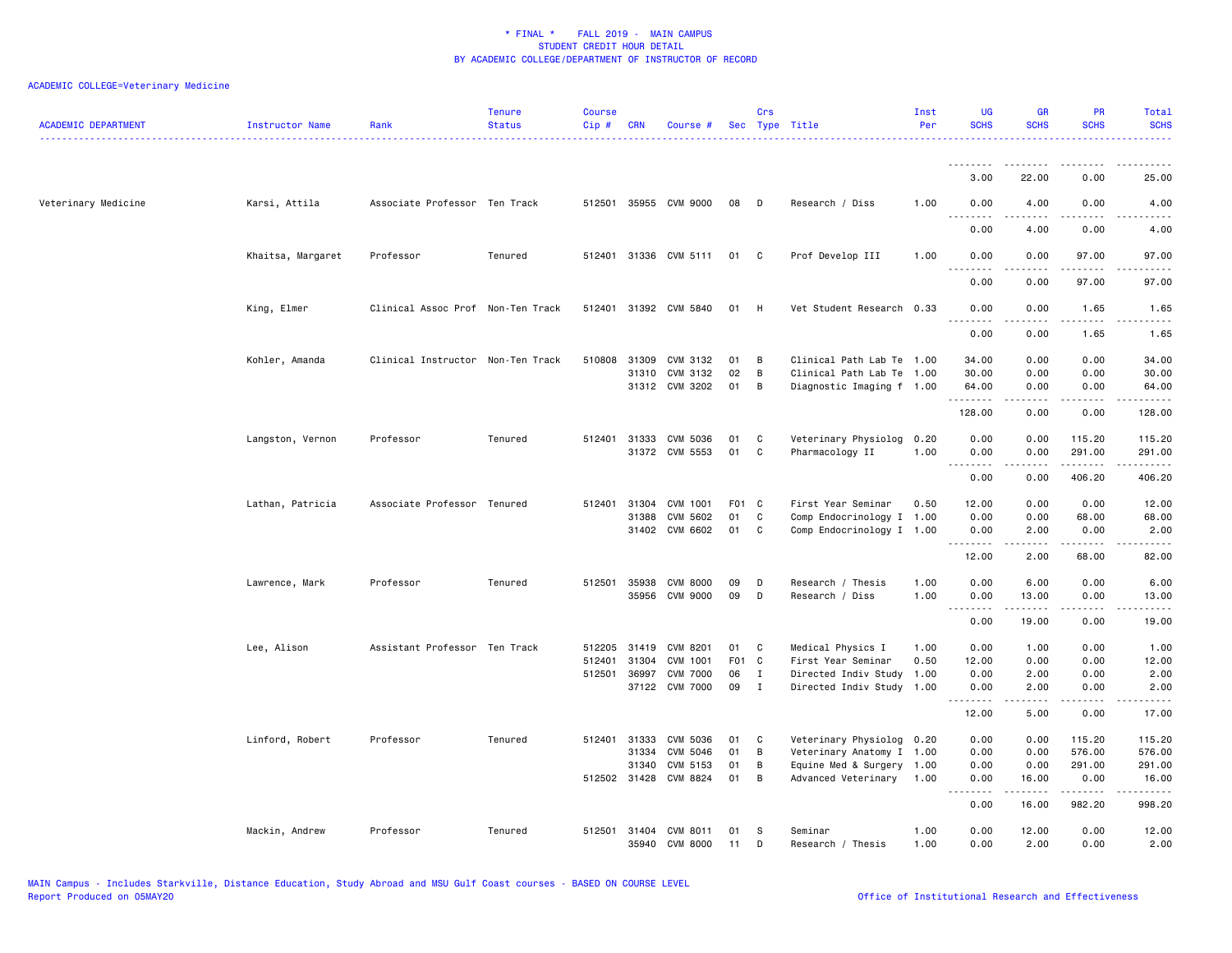| ACADEMIC DEPARTMENT | Instructor Name   | Rank                              | <b>Tenure</b><br><b>Status</b> | <b>Course</b><br>$Cip \#$ | CRN          | Course #                         |          | Crs          | Sec Type Title               | Inst<br>Per  | <b>UG</b><br><b>SCHS</b> | <b>GR</b><br><b>SCHS</b>                                                                                                                                      | PR<br><b>SCHS</b>     | Total<br><b>SCHS</b>          |
|---------------------|-------------------|-----------------------------------|--------------------------------|---------------------------|--------------|----------------------------------|----------|--------------|------------------------------|--------------|--------------------------|---------------------------------------------------------------------------------------------------------------------------------------------------------------|-----------------------|-------------------------------|
|                     |                   |                                   |                                |                           |              |                                  |          |              |                              |              | .                        |                                                                                                                                                               |                       |                               |
|                     |                   |                                   |                                |                           |              |                                  |          |              |                              |              | 3.00                     | 22.00                                                                                                                                                         | 0.00                  | 25.00                         |
| Veterinary Medicine | Karsi, Attila     | Associate Professor Ten Track     |                                |                           |              | 512501 35955 CVM 9000            | 08       | D            | Research / Diss              | 1.00         | 0.00<br>.                | 4.00<br>.                                                                                                                                                     | 0.00<br>$\frac{1}{2}$ | 4.00<br>$- - - -$             |
|                     |                   |                                   |                                |                           |              |                                  |          |              |                              |              | 0.00                     | 4.00                                                                                                                                                          | 0.00                  | 4.00                          |
|                     | Khaitsa, Margaret | Professor                         | Tenured                        |                           |              | 512401 31336 CVM 5111            | 01       | $\mathbf{C}$ | Prof Develop III             | 1.00         | 0.00<br>.                | 0.00<br><u>.</u>                                                                                                                                              | 97.00<br>.            | 97.00<br>.                    |
|                     |                   |                                   |                                |                           |              |                                  |          |              |                              |              | 0.00                     | 0.00                                                                                                                                                          | 97.00                 | 97.00                         |
|                     | King, Elmer       | Clinical Assoc Prof Non-Ten Track |                                | 512401                    |              | 31392 CVM 5840                   | 01       | H            | Vet Student Research         | 0.33         | 0.00<br><u>.</u>         | 0.00<br>.                                                                                                                                                     | 1.65<br>.             | 1.65<br>$\frac{1}{2}$         |
|                     |                   |                                   |                                |                           |              |                                  |          |              |                              |              | 0.00                     | 0.00                                                                                                                                                          | 1.65                  | 1.65                          |
|                     | Kohler, Amanda    | Clinical Instructor Non-Ten Track |                                | 510808                    | 31309        | CVM 3132                         | 01       | B            | Clinical Path Lab Te 1.00    |              | 34.00                    | 0.00                                                                                                                                                          | 0.00                  | 34.00                         |
|                     |                   |                                   |                                |                           | 31310        | CVM 3132                         | 02       | B            | Clinical Path Lab Te 1.00    |              | 30.00                    | 0.00                                                                                                                                                          | 0.00                  | 30.00                         |
|                     |                   |                                   |                                |                           |              | 31312 CVM 3202                   | 01       | B            | Diagnostic Imaging f 1.00    |              | 64.00<br>--------        | 0.00<br>-----                                                                                                                                                 | 0.00<br>.             | 64.00<br>.                    |
|                     |                   |                                   |                                |                           |              |                                  |          |              |                              |              | 128.00                   | 0.00                                                                                                                                                          | 0.00                  | 128.00                        |
|                     | Langston, Vernon  | Professor                         | Tenured                        |                           |              | 512401 31333 CVM 5036            | 01       | C            | Veterinary Physiolog         | 0.20         | 0.00                     | 0.00                                                                                                                                                          | 115.20                | 115.20                        |
|                     |                   |                                   |                                |                           |              | 31372 CVM 5553                   | 01       | C            | Pharmacology II              | 1.00         | 0.00                     | 0.00                                                                                                                                                          | 291.00                | 291.00                        |
|                     |                   |                                   |                                |                           |              |                                  |          |              |                              |              | .<br>0.00                | 0.00                                                                                                                                                          | .<br>406.20           | .<br>406.20                   |
|                     | Lathan, Patricia  | Associate Professor Tenured       |                                |                           | 512401 31304 | CVM 1001                         | F01 C    |              | First Year Seminar           | 0.50         | 12.00                    | 0.00                                                                                                                                                          | 0.00                  | 12.00                         |
|                     |                   |                                   |                                |                           | 31388        | CVM 5602                         | 01       | $\mathtt{C}$ | Comp Endocrinology I 1.00    |              | 0.00                     | 0.00                                                                                                                                                          | 68.00                 | 68.00                         |
|                     |                   |                                   |                                |                           |              | 31402 CVM 6602                   | 01       | C            | Comp Endocrinology I 1.00    |              | 0.00                     | 2.00                                                                                                                                                          | 0.00                  | 2.00                          |
|                     |                   |                                   |                                |                           |              |                                  |          |              |                              |              | 12.00                    | 2.00                                                                                                                                                          | 68.00                 | 82.00                         |
|                     | Lawrence, Mark    | Professor                         | Tenured                        |                           | 512501 35938 | <b>CVM 8000</b>                  | 09       | D            | Research / Thesis            | 1.00         | 0.00                     | 6.00                                                                                                                                                          | 0.00                  | 6.00                          |
|                     |                   |                                   |                                |                           |              | 35956 CVM 9000                   | 09       | D            | Research / Diss              | 1.00         | 0.00                     | 13.00                                                                                                                                                         | 0.00                  | 13,00                         |
|                     |                   |                                   |                                |                           |              |                                  |          |              |                              |              | .<br>0.00                | $\frac{1}{2} \left( \frac{1}{2} \right) \left( \frac{1}{2} \right) \left( \frac{1}{2} \right) \left( \frac{1}{2} \right) \left( \frac{1}{2} \right)$<br>19.00 | د د د د<br>0.00       | $\sim$ $\sim$ $\sim$<br>19.00 |
|                     | Lee, Alison       | Assistant Professor Ten Track     |                                | 512205                    | 31419        | <b>CVM 8201</b>                  | 01       | C            | Medical Physics I            | 1.00         | 0.00                     | 1.00                                                                                                                                                          | 0.00                  | 1.00                          |
|                     |                   |                                   |                                | 512401                    | 31304        | CVM 1001                         | F01 C    |              | First Year Seminar           | 0.50         | 12.00                    | 0.00                                                                                                                                                          | 0.00                  | 12.00                         |
|                     |                   |                                   |                                |                           | 512501 36997 | <b>CVM 7000</b>                  | 06       | I            | Directed Indiv Study         | 1.00         | 0.00                     | 2.00                                                                                                                                                          | 0.00                  | 2.00                          |
|                     |                   |                                   |                                |                           |              | 37122 CVM 7000                   | 09       | $\mathbf{I}$ | Directed Indiv Study 1.00    |              | 0.00<br>.                | 2.00<br>$- - - - -$                                                                                                                                           | 0.00<br>.             | 2.00<br>.                     |
|                     |                   |                                   |                                |                           |              |                                  |          |              |                              |              | 12.00                    | 5.00                                                                                                                                                          | 0.00                  | 17.00                         |
|                     | Linford, Robert   | Professor                         | Tenured                        |                           | 512401 31333 | CVM 5036                         | 01       | C            | Veterinary Physiolog 0.20    |              | 0.00                     | 0.00                                                                                                                                                          | 115.20                | 115.20                        |
|                     |                   |                                   |                                |                           | 31334        | CVM 5046                         | 01       | B            | Veterinary Anatomy I 1.00    |              | 0.00                     | 0.00                                                                                                                                                          | 576.00                | 576.00                        |
|                     |                   |                                   |                                |                           | 31340        | CVM 5153                         | 01       | B            | Equine Med & Surgery 1.00    |              | 0.00                     | 0.00                                                                                                                                                          | 291.00                | 291.00                        |
|                     |                   |                                   |                                |                           | 512502 31428 | CVM 8824                         | 01       | B            | Advanced Veterinary          | 1.00         | 0.00<br><b></b>          | 16.00<br>.                                                                                                                                                    | 0.00<br>.             | 16.00<br>.                    |
|                     |                   |                                   |                                |                           |              |                                  |          |              |                              |              | 0.00                     | 16.00                                                                                                                                                         | 982.20                | 998.20                        |
|                     | Mackin, Andrew    | Professor                         | Tenured                        | 512501                    |              | 31404 CVM 8011<br>35940 CVM 8000 | 01<br>11 | -S<br>D      | Seminar<br>Research / Thesis | 1.00<br>1.00 | 0.00<br>0.00             | 12.00<br>2.00                                                                                                                                                 | 0.00<br>0.00          | 12.00<br>2.00                 |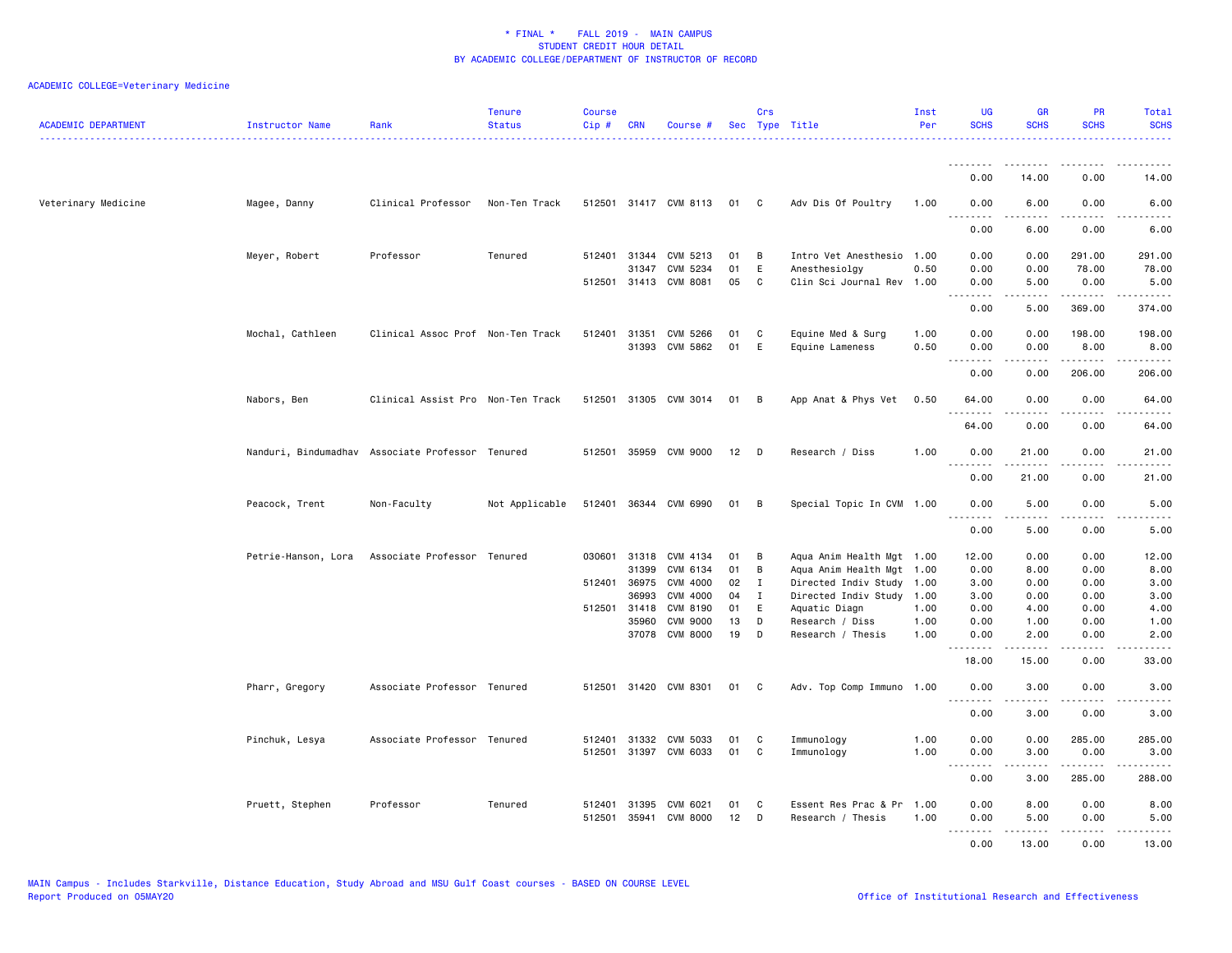| <b>ACADEMIC DEPARTMENT</b> | Instructor Name  | Rank                                             | <b>Tenure</b><br><b>Status</b> | <b>Course</b><br>Cip # | <b>CRN</b>   | Course #              |      | Crs            | Sec Type Title            | Inst<br>Per | <b>UG</b><br><b>SCHS</b> | <b>GR</b><br><b>SCHS</b> | PR<br><b>SCHS</b>            | Total<br><b>SCHS</b>      |
|----------------------------|------------------|--------------------------------------------------|--------------------------------|------------------------|--------------|-----------------------|------|----------------|---------------------------|-------------|--------------------------|--------------------------|------------------------------|---------------------------|
|                            |                  |                                                  |                                |                        |              |                       |      |                |                           |             | <u>.</u><br>0.00         | 14.00                    | 0.00                         | 14.00                     |
|                            |                  |                                                  |                                |                        |              |                       |      |                |                           |             |                          |                          |                              |                           |
| Veterinary Medicine        | Magee, Danny     | Clinical Professor                               | Non-Ten Track                  |                        |              | 512501 31417 CVM 8113 | 01 C |                | Adv Dis Of Poultry        | 1.00        | 0.00<br><u>.</u>         | 6.00<br>.                | 0.00<br>.                    | 6.00<br>-----             |
|                            |                  |                                                  |                                |                        |              |                       |      |                |                           |             | 0.00                     | 6.00                     | 0.00                         | 6.00                      |
|                            | Meyer, Robert    | Professor                                        | Tenured                        |                        |              | 512401 31344 CVM 5213 | 01   | B              | Intro Vet Anesthesio      | 1.00        | 0.00                     | 0.00                     | 291.00                       | 291.00                    |
|                            |                  |                                                  |                                |                        | 31347        | CVM 5234              | 01   | E              | Anesthesiolgy             | 0.50        | 0.00                     | 0.00                     | 78.00                        | 78.00                     |
|                            |                  |                                                  |                                |                        |              | 512501 31413 CVM 8081 | 05   | C              | Clin Sci Journal Rev 1.00 |             | 0.00<br><u>.</u>         | 5.00                     | 0.00<br>.                    | 5.00<br>.                 |
|                            |                  |                                                  |                                |                        |              |                       |      |                |                           |             | 0.00                     | 5.00                     | 369,00                       | 374.00                    |
|                            | Mochal, Cathleen | Clinical Assoc Prof Non-Ten Track                |                                |                        |              | 512401 31351 CVM 5266 | 01   | C              | Equine Med & Surg         | 1.00        | 0.00                     | 0.00                     | 198.00                       | 198.00                    |
|                            |                  |                                                  |                                |                        |              | 31393 CVM 5862        | 01   | E              | Equine Lameness           | 0.50        | 0.00                     | 0.00                     | 8.00                         | 8.00                      |
|                            |                  |                                                  |                                |                        |              |                       |      |                |                           |             | <u>.</u><br>0.00         | .<br>0.00                | .<br>206.00                  | .<br>206.00               |
|                            | Nabors, Ben      | Clinical Assist Pro Non-Ten Track                |                                | 512501                 |              | 31305 CVM 3014        | 01   | B              | App Anat & Phys Vet       | 0.50        | 64.00                    | 0.00                     | 0.00                         | 64.00                     |
|                            |                  |                                                  |                                |                        |              |                       |      |                |                           |             | 64.00                    | 0.00                     | .<br>0.00                    | 64.00                     |
|                            |                  | Nanduri, Bindumadhav Associate Professor Tenured |                                |                        |              | 512501 35959 CVM 9000 | 12   | D D            | Research / Diss           | 1.00        | 0.00                     | 21.00                    | 0.00                         | 21.00                     |
|                            |                  |                                                  |                                |                        |              |                       |      |                |                           |             | .<br>0.00                | <u>.</u><br>21.00        | .<br>0.00                    | .<br>21.00                |
|                            | Peacock, Trent   | Non-Faculty                                      | Not Applicable                 |                        |              | 512401 36344 CVM 6990 | 01   | $\overline{B}$ | Special Topic In CVM 1.00 |             | 0.00<br><u>.</u>         | 5.00<br>.                | 0.00<br>$\frac{1}{2}$        | 5.00                      |
|                            |                  |                                                  |                                |                        |              |                       |      |                |                           |             | 0.00                     | 5.00                     | 0.00                         | 5.00                      |
|                            |                  | Petrie-Hanson, Lora Associate Professor Tenured  |                                |                        |              | 030601 31318 CVM 4134 | 01   | В              | Aqua Anim Health Mgt 1.00 |             | 12.00                    | 0.00                     | 0.00                         | 12.00                     |
|                            |                  |                                                  |                                |                        | 31399        | CVM 6134              | 01   | В              | Aqua Anim Health Mgt 1.00 |             | 0.00                     | 8.00                     | 0.00                         | 8.00                      |
|                            |                  |                                                  |                                | 512401                 | 36975        | CVM 4000              | 02   | I              | Directed Indiv Study 1.00 |             | 3.00                     | 0.00                     | 0.00                         | 3.00                      |
|                            |                  |                                                  |                                |                        | 36993        | CVM 4000              | 04   | $\mathbf{I}$   | Directed Indiv Study 1.00 |             | 3.00                     | 0.00                     | 0.00                         | 3.00                      |
|                            |                  |                                                  |                                |                        | 512501 31418 | CVM 8190              | 01   | E              | Aquatic Diagn             | 1.00        | 0.00                     | 4.00                     | 0.00                         | 4.00                      |
|                            |                  |                                                  |                                |                        | 35960        | <b>CVM 9000</b>       | 13   | D              | Research / Diss           | 1.00        | 0.00                     | 1.00                     | 0.00                         | 1.00                      |
|                            |                  |                                                  |                                |                        |              | 37078 CVM 8000        | 19   | D              | Research / Thesis         | 1.00        | 0.00                     | 2.00<br>.                | 0.00<br>$\sim$ $\sim$ $\sim$ | 2.00                      |
|                            |                  |                                                  |                                |                        |              |                       |      |                |                           |             | 18.00                    | 15.00                    | 0.00                         | 33.00                     |
|                            | Pharr, Gregory   | Associate Professor Tenured                      |                                |                        |              | 512501 31420 CVM 8301 | 01 C |                | Adv. Top Comp Immuno 1.00 |             | 0.00<br>.                | 3.00<br>.                | 0.00<br>.                    | 3.00<br>$\omega$ is a set |
|                            |                  |                                                  |                                |                        |              |                       |      |                |                           |             | 0.00                     | 3.00                     | 0.00                         | 3.00                      |
|                            | Pinchuk, Lesya   | Associate Professor Tenured                      |                                | 512401                 | 31332        | CVM 5033              | 01   | C              | Immunology                | 1.00        | 0.00                     | 0.00                     | 285.00                       | 285.00                    |
|                            |                  |                                                  |                                | 512501                 |              | 31397 CVM 6033        | 01   | C              | Immunology                | 1.00        | 0.00                     | 3.00<br>.                | 0.00                         | 3.00<br>.                 |
|                            |                  |                                                  |                                |                        |              |                       |      |                |                           |             | 0.00                     | 3.00                     | 285.00                       | 288.00                    |
|                            | Pruett, Stephen  | Professor                                        | Tenured                        | 512401                 | 31395        | CVM 6021              | 01   | C              | Essent Res Prac & Pr 1.00 |             | 0.00                     | 8.00                     | 0.00                         | 8.00                      |
|                            |                  |                                                  |                                | 512501                 | 35941        | <b>CVM 8000</b>       | 12   | D              | Research / Thesis         | 1.00        | 0.00<br>.                | 5.00<br>-----            | 0.00<br>.                    | 5.00<br>د د د د د         |
|                            |                  |                                                  |                                |                        |              |                       |      |                |                           |             | 0.00                     | 13.00                    | 0.00                         | 13.00                     |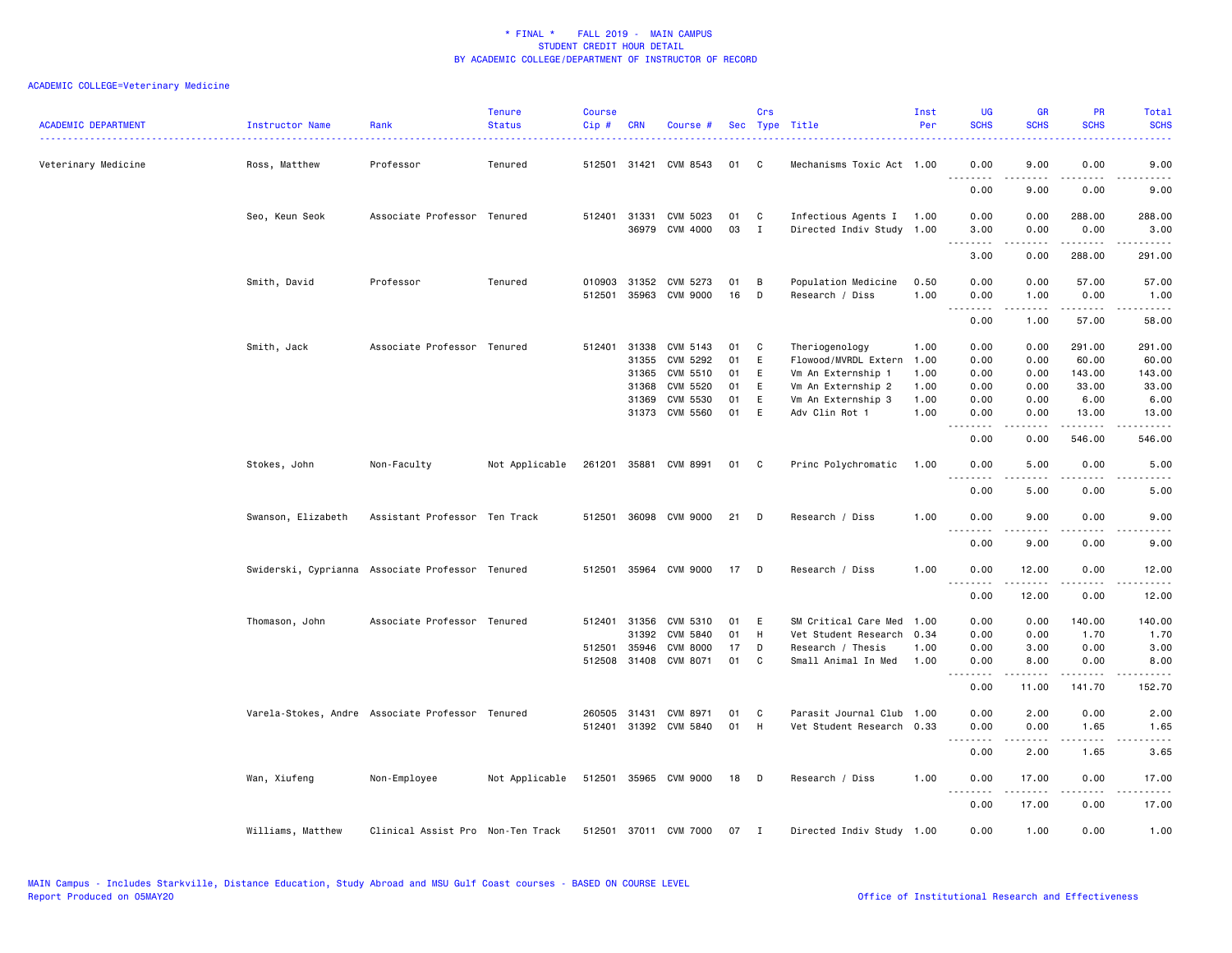| <b>ACADEMIC DEPARTMENT</b> | Instructor Name    | Rank                                             | <b>Tenure</b><br><b>Status</b> | <b>Course</b><br>Cip# | <b>CRN</b>                                | Course #                                                                   |                                  | Crs                        | Sec Type Title                                                                                                             | Inst<br>Per                                  | <b>UG</b><br><b>SCHS</b>                                          | <b>GR</b><br><b>SCHS</b>                                  | PR<br><b>SCHS</b>                                                  | Total<br><b>SCHS</b>                                               |
|----------------------------|--------------------|--------------------------------------------------|--------------------------------|-----------------------|-------------------------------------------|----------------------------------------------------------------------------|----------------------------------|----------------------------|----------------------------------------------------------------------------------------------------------------------------|----------------------------------------------|-------------------------------------------------------------------|-----------------------------------------------------------|--------------------------------------------------------------------|--------------------------------------------------------------------|
| Veterinary Medicine        | Ross, Matthew      | Professor                                        | Tenured                        |                       | 512501 31421                              | CVM 8543                                                                   | 01                               | C                          | Mechanisms Toxic Act 1.00                                                                                                  |                                              | 0.00                                                              | 9.00                                                      | 0.00                                                               | 9.00                                                               |
|                            |                    |                                                  |                                |                       |                                           |                                                                            |                                  |                            |                                                                                                                            |                                              | د د د د<br>0.00                                                   | 9.00                                                      | $\sim$ $\sim$ $\sim$ $\sim$<br>0.00                                | ----<br>9.00                                                       |
|                            | Seo, Keun Seok     | Associate Professor Tenured                      |                                |                       | 512401 31331                              | CVM 5023<br>36979 CVM 4000                                                 | 01<br>03                         | C<br>$\mathbf{I}$          | Infectious Agents I<br>Directed Indiv Study                                                                                | 1.00<br>1.00                                 | 0.00<br>3.00                                                      | 0.00<br>0.00                                              | 288.00<br>0.00                                                     | 288.00<br>3.00                                                     |
|                            |                    |                                                  |                                |                       |                                           |                                                                            |                                  |                            |                                                                                                                            |                                              | .<br>3.00                                                         | .<br>0.00                                                 | .<br>288.00                                                        | . <b>.</b><br>291.00                                               |
|                            | Smith, David       | Professor                                        | Tenured                        | 010903<br>512501      | 31352                                     | CVM 5273<br>35963 CVM 9000                                                 | 01<br>16                         | В<br>D                     | Population Medicine<br>Research / Diss                                                                                     | 0.50<br>1.00                                 | 0.00<br>0.00                                                      | 0.00<br>1.00                                              | 57.00<br>0.00                                                      | 57.00<br>1.00                                                      |
|                            |                    |                                                  |                                |                       |                                           |                                                                            |                                  |                            |                                                                                                                            |                                              | $\sim$ $\sim$ $\sim$ $\sim$<br>0.00                               | .<br>1.00                                                 | د د د د د<br>57.00                                                 | $\omega$ is a $\omega$<br>58.00                                    |
|                            | Smith, Jack        | Associate Professor Tenured                      |                                | 512401                | 31338<br>31355<br>31365<br>31368<br>31369 | CVM 5143<br>CVM 5292<br>CVM 5510<br>CVM 5520<br>CVM 5530<br>31373 CVM 5560 | 01<br>01<br>01<br>01<br>01<br>01 | C<br>E<br>E<br>E<br>E<br>E | Theriogenology<br>Flowood/MVRDL Extern<br>Vm An Externship 1<br>Vm An Externship 2<br>Vm An Externship 3<br>Adv Clin Rot 1 | 1.00<br>1.00<br>1.00<br>1.00<br>1.00<br>1.00 | 0.00<br>0.00<br>0.00<br>0.00<br>0.00<br>0.00<br>المتمالين<br>0.00 | 0.00<br>0.00<br>0.00<br>0.00<br>0.00<br>0.00<br>.<br>0.00 | 291.00<br>60.00<br>143.00<br>33.00<br>6.00<br>13.00<br>.<br>546.00 | 291.00<br>60.00<br>143.00<br>33.00<br>6.00<br>13.00<br>.<br>546.00 |
|                            | Stokes, John       | Non-Faculty                                      | Not Applicable                 |                       |                                           | 261201 35881 CVM 8991                                                      | 01                               | - C                        | Princ Polychromatic                                                                                                        | 1.00                                         | 0.00                                                              | 5.00                                                      | 0.00                                                               | 5.00                                                               |
|                            |                    |                                                  |                                |                       |                                           |                                                                            |                                  |                            |                                                                                                                            |                                              | 0.00                                                              | 5.00                                                      | 0.00                                                               | 5.00                                                               |
|                            | Swanson, Elizabeth | Assistant Professor Ten Track                    |                                |                       |                                           | 512501 36098 CVM 9000                                                      | 21                               | D                          | Research / Diss                                                                                                            | 1.00                                         | 0.00<br>.                                                         | 9.00<br>.                                                 | 0.00                                                               | 9.00                                                               |
|                            |                    |                                                  |                                |                       |                                           |                                                                            |                                  |                            |                                                                                                                            |                                              | 0.00                                                              | 9.00                                                      | 0.00                                                               | 9.00                                                               |
|                            |                    | Swiderski, Cyprianna Associate Professor Tenured |                                |                       |                                           | 512501 35964 CVM 9000                                                      | 17                               | - D                        | Research / Diss                                                                                                            | 1.00                                         | 0.00<br>.                                                         | 12.00<br>.                                                | 0.00<br>.                                                          | 12.00<br>.                                                         |
|                            |                    |                                                  |                                |                       |                                           |                                                                            |                                  |                            |                                                                                                                            |                                              | 0.00                                                              | 12.00                                                     | 0.00                                                               | 12.00                                                              |
|                            | Thomason, John     | Associate Professor Tenured                      |                                | 512401<br>512501      | 31356<br>31392<br>35946<br>512508 31408   | CVM 5310<br>CVM 5840<br><b>CVM 8000</b><br>CVM 8071                        | 01<br>01<br>17<br>01             | Ε<br>H<br>D<br>C           | SM Critical Care Med<br>Vet Student Research<br>Research / Thesis<br>Small Animal In Med                                   | 1.00<br>0.34<br>1.00<br>1.00                 | 0.00<br>0.00<br>0.00<br>0.00<br>.<br>0.00                         | 0.00<br>0.00<br>3.00<br>8.00<br>.<br>11.00                | 140.00<br>1.70<br>0.00<br>0.00<br>.<br>141.70                      | 140.00<br>1.70<br>3.00<br>8.00<br>.<br>152.70                      |
|                            |                    | Varela-Stokes, Andre Associate Professor Tenured |                                |                       | 260505 31431                              | CVM 8971                                                                   | 01                               | C                          | Parasit Journal Club                                                                                                       | 1.00                                         | 0.00                                                              | 2.00                                                      | 0.00                                                               | 2.00                                                               |
|                            |                    |                                                  |                                |                       |                                           | 512401 31392 CVM 5840                                                      | 01                               | H                          | Vet Student Research 0.33                                                                                                  |                                              | 0.00<br>د د د<br>0.00                                             | 0.00<br>2.00                                              | 1.65<br>$\sim$ $\sim$ $\sim$ $\sim$                                | 1.65                                                               |
|                            | Wan, Xiufeng       | Non-Employee                                     | Not Applicable                 |                       |                                           | 512501 35965 CVM 9000                                                      | 18                               | D                          | Research / Diss                                                                                                            | 1.00                                         | 0.00                                                              | 17.00                                                     | 1.65<br>0.00                                                       | 3.65<br>17.00                                                      |
|                            |                    |                                                  |                                |                       |                                           |                                                                            |                                  |                            |                                                                                                                            |                                              | <u>.</u><br>0.00                                                  | .<br>17.00                                                | .<br>0.00                                                          | .<br>17.00                                                         |
|                            | Williams, Matthew  | Clinical Assist Pro Non-Ten Track                |                                |                       |                                           | 512501 37011 CVM 7000                                                      | 07                               | $\mathbf I$                | Directed Indiv Study 1.00                                                                                                  |                                              | 0.00                                                              | 1.00                                                      | 0.00                                                               | 1.00                                                               |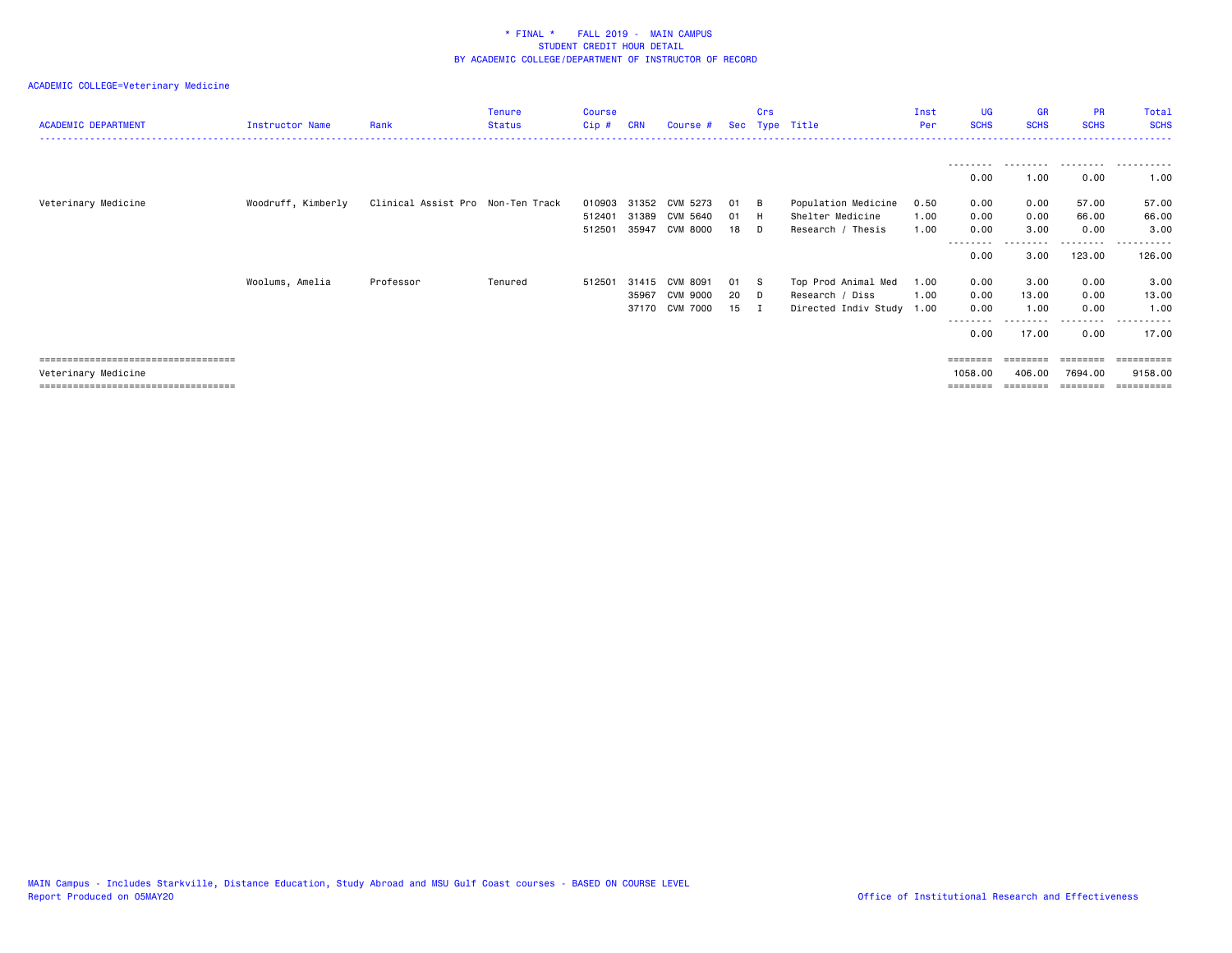| <b>ACADEMIC DEPARTMENT</b>            | Instructor Name    | Rank                              | <b>Tenure</b><br><b>Status</b> | <b>Course</b><br>Cip# | <b>CRN</b> | Course #       |      | Crs         | Sec Type Title       | Inst<br>Per | <b>UG</b><br><b>SCHS</b> | <b>GR</b><br><b>SCHS</b> | <b>PR</b><br><b>SCHS</b> | Total<br><b>SCHS</b> |
|---------------------------------------|--------------------|-----------------------------------|--------------------------------|-----------------------|------------|----------------|------|-------------|----------------------|-------------|--------------------------|--------------------------|--------------------------|----------------------|
|                                       |                    |                                   |                                |                       |            |                |      |             |                      |             | ---------                | .                        | .                        | .                    |
|                                       |                    |                                   |                                |                       |            |                |      |             |                      |             | 0.00                     | 1.00                     | 0.00                     | 1.00                 |
| Veterinary Medicine                   | Woodruff, Kimberly | Clinical Assist Pro Non-Ten Track |                                | 010903                | 31352      | CVM 5273       | 01   | - в         | Population Medicine  | 0.50        | 0.00                     | 0.00                     | 57.00                    | 57.00                |
|                                       |                    |                                   |                                | 512401                | 31389      | CVM 5640       | 01   | -н          | Shelter Medicine     | 1.00        | 0.00                     | 0.00                     | 66.00                    | 66.00                |
|                                       |                    |                                   |                                | 512501                | 35947      | CVM 8000       | 18   | D           | Research / Thesis    | 1.00        | 0.00                     | 3.00                     | 0.00                     | 3.00                 |
|                                       |                    |                                   |                                |                       |            |                |      |             |                      |             |                          |                          | .                        | ------               |
|                                       |                    |                                   |                                |                       |            |                |      |             |                      |             | 0.00                     | 3.00                     | 123.00                   | 126.00               |
|                                       | Woolums, Amelia    | Professor                         | Tenured                        | 512501                |            | 31415 CVM 8091 | 01 S |             | Top Prod Animal Med  | 1.00        | 0.00                     | 3.00                     | 0.00                     | 3.00                 |
|                                       |                    |                                   |                                |                       | 35967      | CVM 9000       | 20   | $\Box$      | Research / Diss      | 1.00        | 0.00                     | 13.00                    | 0.00                     | 13.00                |
|                                       |                    |                                   |                                |                       |            | 37170 CVM 7000 | 15   | $\mathbf I$ | Directed Indiv Study | 1.00        | 0.00                     | 1.00                     | 0.00                     | 1.00                 |
|                                       |                    |                                   |                                |                       |            |                |      |             |                      |             | --------<br>0.00         | 17.00                    | ---------<br>0.00        | .<br>17.00           |
| ====================================  |                    |                                   |                                |                       |            |                |      |             |                      |             | ========                 | ========                 | ========                 | ==========           |
| Veterinary Medicine                   |                    |                                   |                                |                       |            |                |      |             |                      |             | 1058.00                  | 406.00                   | 7694.00                  | 9158.00              |
| ===================================== |                    |                                   |                                |                       |            |                |      |             |                      |             | ========                 |                          | ========                 | ==========           |